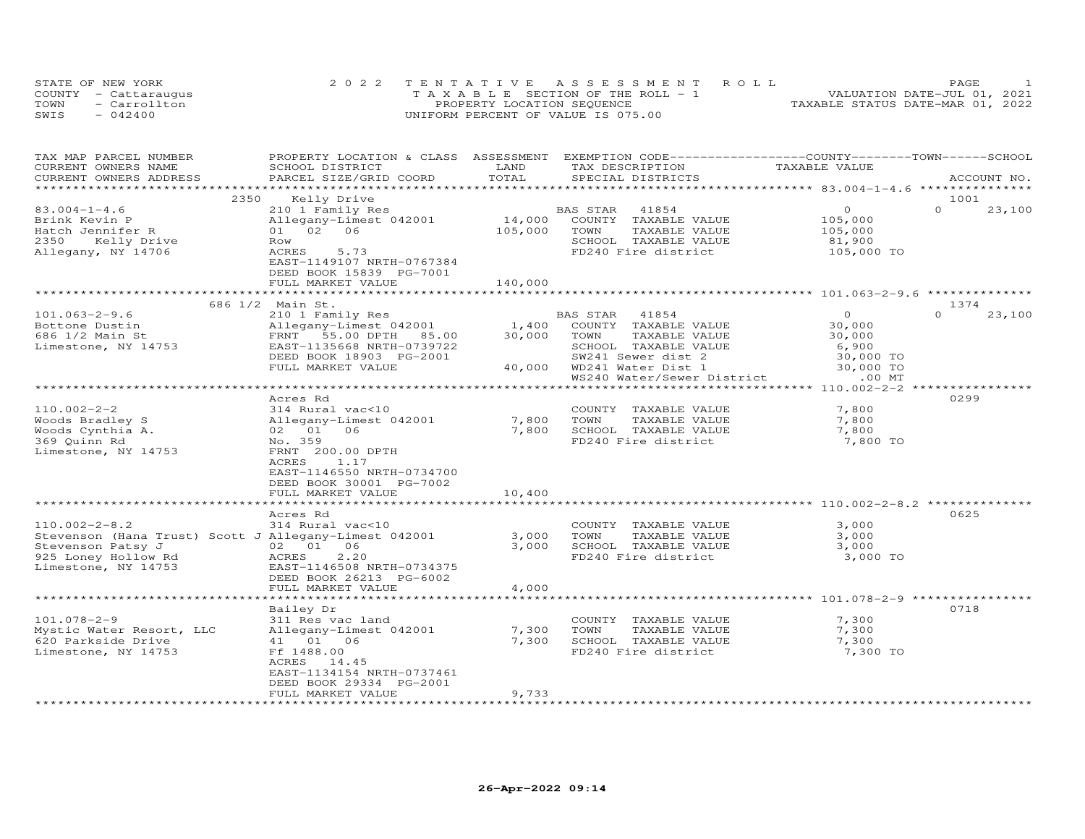|      | STATE OF NEW YORK    | 2022 TENTATIVE ASSESSMENT ROLL        | PAGE                             |
|------|----------------------|---------------------------------------|----------------------------------|
|      | COUNTY - Cattaraugus | T A X A B L E SECTION OF THE ROLL - 1 | VALUATION DATE-JUL 01, 2021      |
| TOWN | - Carrollton         | PROPERTY LOCATION SEQUENCE            | TAXABLE STATUS DATE-MAR 01, 2022 |
| SWIS | $-042400$            | UNIFORM PERCENT OF VALUE IS 075.00    |                                  |

| TAX MAP PARCEL NUMBER                                                      | PROPERTY LOCATION & CLASS ASSESSMENT EXEMPTION CODE-----------------COUNTY-------TOWN------SCHOOL |                |                                               |                |                    |
|----------------------------------------------------------------------------|---------------------------------------------------------------------------------------------------|----------------|-----------------------------------------------|----------------|--------------------|
| CURRENT OWNERS NAME                                                        | SCHOOL DISTRICT                                                                                   | LAND           | TAX DESCRIPTION                               | TAXABLE VALUE  |                    |
| CURRENT OWNERS ADDRESS                                                     | PARCEL SIZE/GRID COORD                                                                            | TOTAL          | SPECIAL DISTRICTS                             |                | ACCOUNT NO.        |
|                                                                            |                                                                                                   |                |                                               |                |                    |
| 2350                                                                       | Kelly Drive                                                                                       |                |                                               |                | 1001               |
| $83.004 - 1 - 4.6$                                                         | 210 1 Family Res                                                                                  |                | BAS STAR<br>41854                             | $\circ$        | $\Omega$<br>23,100 |
| Brink Kevin P                                                              | Allegany-Limest 042001                                                                            | 14,000         | COUNTY TAXABLE VALUE                          | 105,000        |                    |
| Hatch Jennifer R                                                           | 01 02 06                                                                                          | 105,000        | TOWN<br>TAXABLE VALUE                         | 105,000        |                    |
| 2350<br>Kelly Drive                                                        | Row                                                                                               |                | SCHOOL TAXABLE VALUE                          | 81,900         |                    |
| Allegany, NY 14706                                                         | 5.73<br>ACRES                                                                                     |                | FD240 Fire district                           | 105,000 TO     |                    |
|                                                                            | EAST-1149107 NRTH-0767384                                                                         |                |                                               |                |                    |
|                                                                            | DEED BOOK 15839 PG-7001                                                                           |                |                                               |                |                    |
|                                                                            | FULL MARKET VALUE                                                                                 | 140,000        |                                               |                |                    |
|                                                                            |                                                                                                   |                |                                               |                |                    |
|                                                                            | 686 1/2 Main St.                                                                                  |                |                                               |                | 1374               |
| $101.063 - 2 - 9.6$                                                        | 210 1 Family Res                                                                                  |                | BAS STAR<br>41854                             | $\Omega$       | $\Omega$<br>23,100 |
| Bottone Dustin                                                             | Allegany-Limest 042001                                                                            | 1,400          | COUNTY TAXABLE VALUE                          | 30,000         |                    |
| 686 1/2 Main St                                                            | FRNT 55.00 DPTH 85.00                                                                             | 30,000         | TOWN<br>TAXABLE VALUE                         | 30,000         |                    |
| Limestone, NY 14753                                                        | EAST-1135668 NRTH-0739722                                                                         |                | SCHOOL TAXABLE VALUE                          | 6,900          |                    |
|                                                                            | DEED BOOK 18903 PG-2001                                                                           |                | SW241 Sewer dist 2                            | 30,000 TO      |                    |
|                                                                            | FULL MARKET VALUE                                                                                 | 40,000         | WD241 Water Dist 1                            | 30,000 TO      |                    |
|                                                                            |                                                                                                   |                | WS240 Water/Sewer District                    | $.00$ MT       |                    |
|                                                                            |                                                                                                   |                |                                               |                |                    |
|                                                                            | Acres Rd                                                                                          |                |                                               |                | 0299               |
| $110.002 - 2 - 2$                                                          | 314 Rural vac<10                                                                                  |                | COUNTY TAXABLE VALUE                          | 7,800          |                    |
| Woods Bradley S                                                            | Allegany-Limest 042001                                                                            | 7,800          | TOWN<br>TAXABLE VALUE                         | 7,800          |                    |
| Woods Cynthia A.                                                           | 02 01<br>06                                                                                       | 7,800          | SCHOOL TAXABLE VALUE                          | 7,800          |                    |
| 369 Quinn Rd                                                               | No. 359                                                                                           |                | FD240 Fire district                           | 7,800 TO       |                    |
| Limestone, NY 14753                                                        | FRNT 200.00 DPTH                                                                                  |                |                                               |                |                    |
|                                                                            | 1.17<br>ACRES                                                                                     |                |                                               |                |                    |
|                                                                            | EAST-1146550 NRTH-0734700                                                                         |                |                                               |                |                    |
|                                                                            | DEED BOOK 30001 PG-7002                                                                           |                |                                               |                |                    |
|                                                                            | FULL MARKET VALUE                                                                                 | 10,400         |                                               |                |                    |
|                                                                            |                                                                                                   |                |                                               |                |                    |
|                                                                            | Acres Rd                                                                                          |                |                                               |                | 0625               |
| $110.002 - 2 - 8.2$                                                        | 314 Rural vac<10                                                                                  |                | COUNTY TAXABLE VALUE                          | 3,000<br>3,000 |                    |
| Stevenson (Hana Trust) Scott J Allegany-Limest 042001<br>Stevenson Patsy J | 02 01 06                                                                                          | 3,000<br>3,000 | TOWN<br>TAXABLE VALUE<br>SCHOOL TAXABLE VALUE | 3,000          |                    |
| 925 Loney Hollow Rd                                                        | ACRES<br>2, 20                                                                                    |                | FD240 Fire district                           | 3,000 TO       |                    |
| Limestone, NY 14753                                                        | EAST-1146508 NRTH-0734375                                                                         |                |                                               |                |                    |
|                                                                            | DEED BOOK 26213 PG-6002                                                                           |                |                                               |                |                    |
|                                                                            | FULL MARKET VALUE                                                                                 | 4,000          |                                               |                |                    |
|                                                                            |                                                                                                   |                |                                               |                |                    |
|                                                                            | Bailey Dr                                                                                         |                |                                               |                | 0718               |
| $101.078 - 2 - 9$                                                          | 311 Res vac land                                                                                  |                | COUNTY TAXABLE VALUE                          | 7,300          |                    |
| Mystic Water Resort, LLC                                                   | Allegany-Limest 042001                                                                            | 7,300          | TOWN<br>TAXABLE VALUE                         | 7,300          |                    |
| 620 Parkside Drive                                                         | 41  01  06                                                                                        | 7,300          | SCHOOL TAXABLE VALUE                          | 7,300          |                    |
| Limestone, NY 14753                                                        | Ff 1488.00                                                                                        |                | FD240 Fire district                           | 7,300 TO       |                    |
|                                                                            | ACRES 14.45                                                                                       |                |                                               |                |                    |
|                                                                            | EAST-1134154 NRTH-0737461                                                                         |                |                                               |                |                    |
|                                                                            | DEED BOOK 29334 PG-2001                                                                           |                |                                               |                |                    |
|                                                                            | FULL MARKET VALUE                                                                                 | 9,733          |                                               |                |                    |
| *************************                                                  |                                                                                                   |                |                                               |                |                    |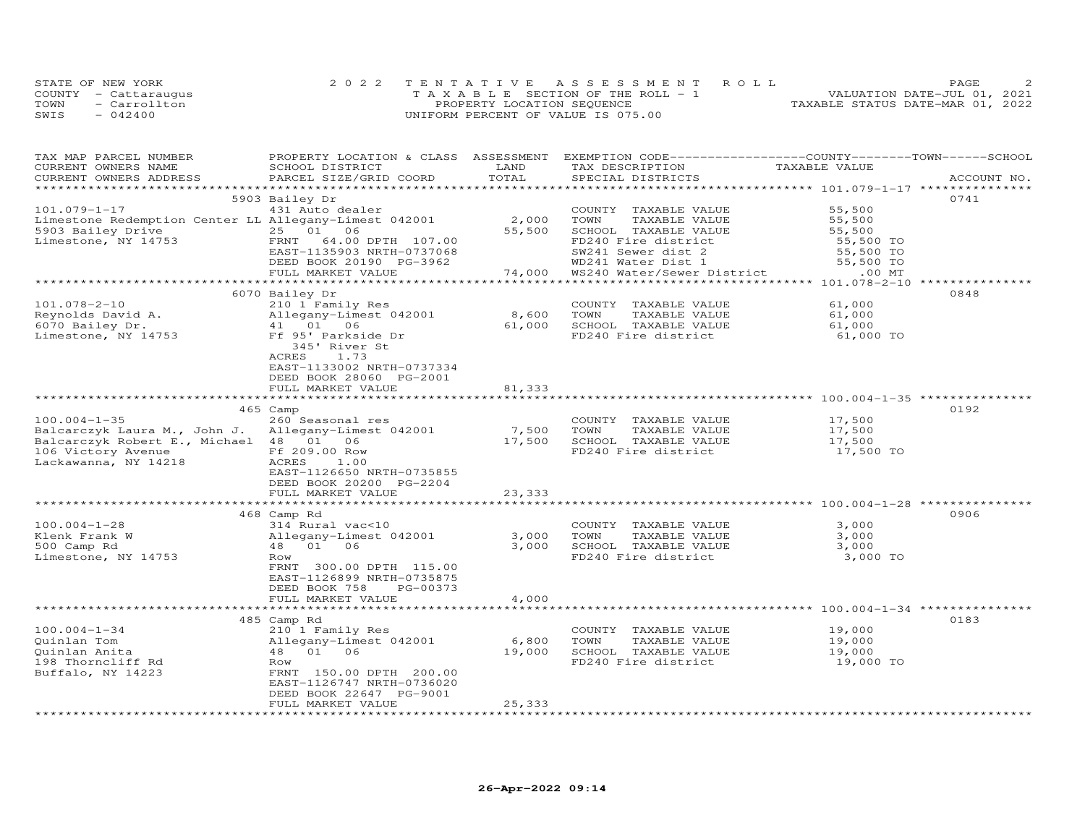|      | STATE OF NEW YORK    | 2022 TENTATIVE ASSESSMENT ROLL        | PAGE                             |
|------|----------------------|---------------------------------------|----------------------------------|
|      | COUNTY - Cattaraugus | T A X A B L E SECTION OF THE ROLL - 1 | VALUATION DATE-JUL 01, 2021      |
| TOWN | - Carrollton         | PROPERTY LOCATION SEQUENCE            | TAXABLE STATUS DATE-MAR 01, 2022 |
| SWIS | $-042400$            | UNIFORM PERCENT OF VALUE IS 075.00    |                                  |

| TAX MAP PARCEL NUMBER<br>CURRENT OWNERS NAME<br>CURRENT OWNERS ADDRESS | PROPERTY LOCATION & CLASS ASSESSMENT<br>SCHOOL DISTRICT<br>PARCEL SIZE/GRID COORD | LAND<br>TOTAL  | EXEMPTION CODE------------------COUNTY-------TOWN-----SCHOOL<br>TAX DESCRIPTION<br>SPECIAL DISTRICTS | TAXABLE VALUE | ACCOUNT NO. |
|------------------------------------------------------------------------|-----------------------------------------------------------------------------------|----------------|------------------------------------------------------------------------------------------------------|---------------|-------------|
|                                                                        |                                                                                   |                |                                                                                                      |               |             |
|                                                                        | 5903 Bailey Dr                                                                    |                |                                                                                                      |               | 0741        |
| $101.079 - 1 - 17$                                                     | 431 Auto dealer                                                                   |                | COUNTY TAXABLE VALUE                                                                                 | 55,500        |             |
| Limestone Redemption Center LL Allegany-Limest 042001                  |                                                                                   | 2,000          | TOWN<br>TAXABLE VALUE                                                                                | 55,500        |             |
| S903 Bailey Drive<br>Timestone, NY 14753                               | 25 01 06                                                                          | 55,500         | SCHOOL TAXABLE VALUE                                                                                 | 55,500        |             |
|                                                                        | FRNT 64.00 DPTH 107.00                                                            |                | FD240 Fire district                                                                                  | 55,500 TO     |             |
|                                                                        | EAST-1135903 NRTH-0737068                                                         |                |                                                                                                      | 55,500 TO     |             |
|                                                                        | DEED BOOK 20190 PG-3962                                                           |                | SW241 Sewer dist 2<br>WD241 Water Dist 1                                                             | 55,500 TO     |             |
|                                                                        | FULL MARKET VALUE                                                                 | 74,000         | WS240 Water/Sewer District                                                                           | $.00$ MT      |             |
|                                                                        |                                                                                   |                |                                                                                                      |               |             |
|                                                                        | 6070 Bailey Dr                                                                    |                |                                                                                                      |               | 0848        |
| $101.078 - 2 - 10$                                                     | 210 1 Family Res                                                                  |                | COUNTY TAXABLE VALUE                                                                                 | 61,000        |             |
|                                                                        | Allegany-Limest 042001                                                            | 8,600          | TOWN<br>TAXABLE VALUE                                                                                | 61,000        |             |
| Reynolds David A.<br>6070 Bailey Dr.                                   | 41 01 06                                                                          | 61,000         | SCHOOL TAXABLE VALUE                                                                                 | 61,000        |             |
| Limestone, NY 14753                                                    | Ff 95' Parkside Dr                                                                |                | FD240 Fire district                                                                                  | 61,000 TO     |             |
|                                                                        | 345' River St                                                                     |                |                                                                                                      |               |             |
|                                                                        | ACRES<br>1.73                                                                     |                |                                                                                                      |               |             |
|                                                                        | EAST-1133002 NRTH-0737334                                                         |                |                                                                                                      |               |             |
|                                                                        | DEED BOOK 28060 PG-2001                                                           |                |                                                                                                      |               |             |
|                                                                        | FULL MARKET VALUE                                                                 | 81,333         |                                                                                                      |               |             |
|                                                                        | **************************                                                        |                |                                                                                                      |               |             |
|                                                                        | 465 Camp                                                                          |                |                                                                                                      |               | 0192        |
| $100.004 - 1 - 35$                                                     | 260 Seasonal res                                                                  |                | COUNTY TAXABLE VALUE                                                                                 | 17,500        |             |
| Balcarczyk Laura M., John J. Allegany-Limest 042001                    |                                                                                   | 7,500          | TOWN<br>TAXABLE VALUE                                                                                | 17,500        |             |
| Balcarczyk Robert E., Michael 48 01 06                                 |                                                                                   | 17,500         | SCHOOL TAXABLE VALUE                                                                                 | 17,500        |             |
| 106 Victory Avenue Ff 209.00 Row                                       |                                                                                   |                | FD240 Fire district                                                                                  | 17,500 TO     |             |
| Lackawanna, NY 14218                                                   | 1.00<br>ACRES                                                                     |                |                                                                                                      |               |             |
|                                                                        | EAST-1126650 NRTH-0735855                                                         |                |                                                                                                      |               |             |
|                                                                        | DEED BOOK 20200 PG-2204                                                           |                |                                                                                                      |               |             |
|                                                                        | FULL MARKET VALUE                                                                 | 23,333         |                                                                                                      |               |             |
|                                                                        |                                                                                   |                |                                                                                                      |               |             |
|                                                                        | 468 Camp Rd                                                                       |                |                                                                                                      |               | 0906        |
| $100.004 - 1 - 28$                                                     | 314 Rural vac<10                                                                  |                | COUNTY TAXABLE VALUE                                                                                 | 3,000         |             |
| Klenk Frank W                                                          | Allegany-Limest 042001                                                            | 3,000          | TOWN<br>TAXABLE VALUE                                                                                | 3,000         |             |
| 500 Camp Rd                                                            | 48  01  06                                                                        | 3,000          | SCHOOL TAXABLE VALUE                                                                                 | 3,000         |             |
| Limestone, NY 14753                                                    | Row                                                                               |                | FD240 Fire district                                                                                  | 3,000 TO      |             |
|                                                                        | FRNT 300.00 DPTH 115.00                                                           |                |                                                                                                      |               |             |
|                                                                        | EAST-1126899 NRTH-0735875                                                         |                |                                                                                                      |               |             |
|                                                                        | DEED BOOK 758<br>PG-00373                                                         |                |                                                                                                      |               |             |
|                                                                        | FULL MARKET VALUE                                                                 | 4,000          |                                                                                                      |               |             |
|                                                                        | *******************************                                                   | ************** |                                                                                                      |               |             |
|                                                                        | 485 Camp Rd                                                                       |                |                                                                                                      |               | 0183        |
| $100.004 - 1 - 34$                                                     | 210 1 Family Res                                                                  |                | COUNTY TAXABLE VALUE                                                                                 | 19,000        |             |
| Quinlan Tom                                                            | Allegany-Limest 042001                                                            | 6,800          | TOWN<br>TAXABLE VALUE                                                                                | 19,000        |             |
| Quinlan Anita                                                          | 48  01  06                                                                        | 19,000         | SCHOOL TAXABLE VALUE                                                                                 | 19,000        |             |
| 198 Thorncliff Rd                                                      | Row                                                                               |                | FD240 Fire district                                                                                  | 19,000 TO     |             |
| Buffalo, NY 14223                                                      | FRNT 150.00 DPTH 200.00                                                           |                |                                                                                                      |               |             |
|                                                                        | EAST-1126747 NRTH-0736020                                                         |                |                                                                                                      |               |             |
|                                                                        | DEED BOOK 22647 PG-9001                                                           |                |                                                                                                      |               |             |
|                                                                        | FULL MARKET VALUE                                                                 | 25,333         |                                                                                                      |               |             |
|                                                                        |                                                                                   |                |                                                                                                      |               |             |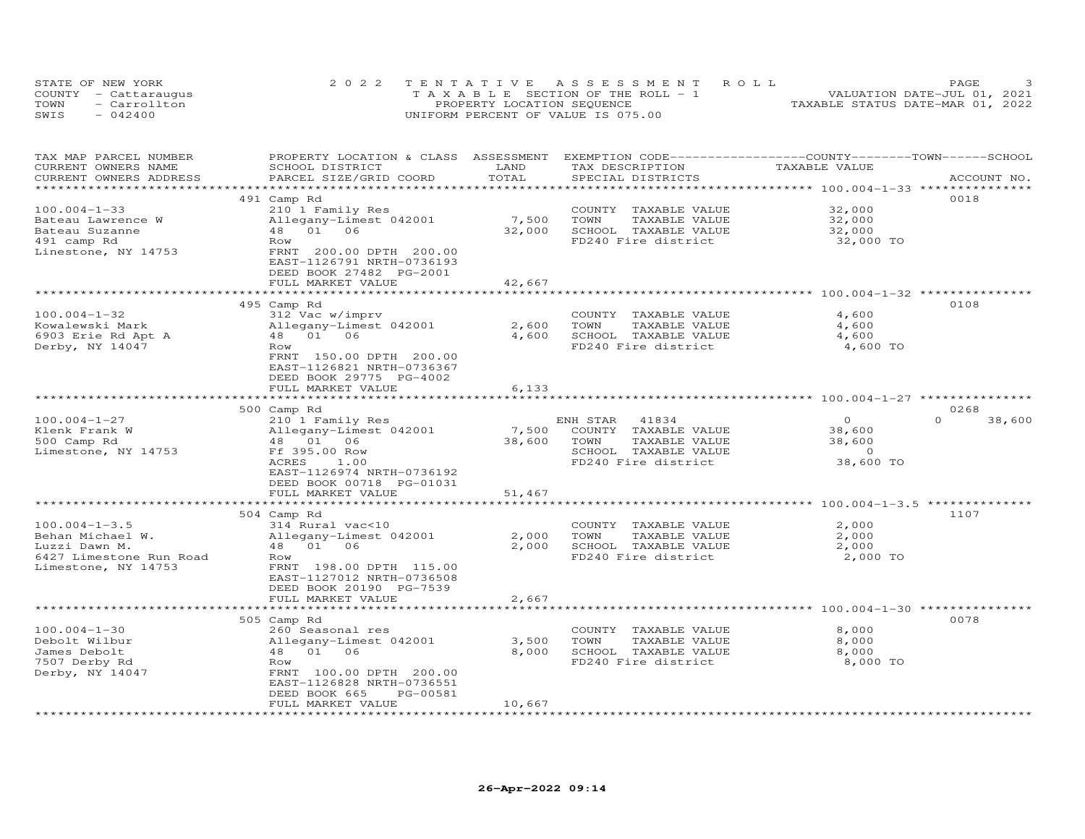| STATE OF NEW YORK    | 2022 TENTATIVE ASSESSMENT ROLL        | PAGE.                            |  |
|----------------------|---------------------------------------|----------------------------------|--|
| COUNTY - Cattaraugus | T A X A B L E SECTION OF THE ROLL - 1 | VALUATION DATE-JUL 01, 2021      |  |
| TOWN<br>- Carrollton | PROPERTY LOCATION SEQUENCE            | TAXABLE STATUS DATE-MAR 01, 2022 |  |
| $-042400$<br>SWIS    | UNIFORM PERCENT OF VALUE IS 075.00    |                                  |  |

| TAX MAP PARCEL NUMBER<br>CURRENT OWNERS NAME<br>CURRENT OWNERS ADDRESS | PROPERTY LOCATION & CLASS ASSESSMENT<br>SCHOOL DISTRICT<br>PARCEL SIZE/GRID COORD                    | LAND<br>TOTAL   | EXEMPTION CODE-----------------COUNTY-------TOWN------SCHOOL<br>TAX DESCRIPTION<br>SPECIAL DISTRICTS | TAXABLE VALUE                 | ACCOUNT NO.        |
|------------------------------------------------------------------------|------------------------------------------------------------------------------------------------------|-----------------|------------------------------------------------------------------------------------------------------|-------------------------------|--------------------|
| ***********************                                                | ******************************                                                                       |                 |                                                                                                      |                               |                    |
| $100.004 - 1 - 33$                                                     | 491 Camp Rd<br>210 1 Family Res                                                                      |                 | COUNTY TAXABLE VALUE                                                                                 | 32,000                        | 0018               |
| Bateau Lawrence W<br>Bateau Suzanne<br>491 camp Rd                     | Allegany-Limest 042001<br>48  01  06<br>Row                                                          | 7,500<br>32,000 | TAXABLE VALUE<br>TOWN<br>SCHOOL TAXABLE VALUE<br>FD240 Fire district                                 | 32,000<br>32,000<br>32,000 TO |                    |
| Linestone, NY 14753                                                    | FRNT 200.00 DPTH 200.00<br>EAST-1126791 NRTH-0736193<br>DEED BOOK 27482 PG-2001<br>FULL MARKET VALUE | 42,667          |                                                                                                      |                               |                    |
|                                                                        | ***********************************                                                                  |                 |                                                                                                      |                               |                    |
|                                                                        | 495 Camp Rd                                                                                          |                 |                                                                                                      |                               | 0108               |
| $100.004 - 1 - 32$                                                     | 312 Vac w/imprv                                                                                      |                 | COUNTY TAXABLE VALUE                                                                                 | 4,600                         |                    |
| Kowalewski Mark                                                        | Allegany-Limest 042001                                                                               | 2,600           | TOWN<br>TAXABLE VALUE                                                                                | 4,600                         |                    |
| 6903 Erie Rd Apt A                                                     | 48 01 06                                                                                             | 4,600           | SCHOOL TAXABLE VALUE                                                                                 | 4,600                         |                    |
| Derby, NY 14047                                                        | Row<br>FRNT 150.00 DPTH 200.00<br>EAST-1126821 NRTH-0736367<br>DEED BOOK 29775 PG-4002               |                 | FD240 Fire district                                                                                  | 4,600 TO                      |                    |
|                                                                        | FULL MARKET VALUE                                                                                    | 6,133           |                                                                                                      |                               |                    |
|                                                                        | 500 Camp Rd                                                                                          |                 |                                                                                                      |                               | 0268               |
| $100.004 - 1 - 27$                                                     | 210 1 Family Res                                                                                     |                 | ENH STAR<br>41834                                                                                    | $\Omega$                      | $\Omega$<br>38,600 |
| Klenk Frank W                                                          | Allegany-Limest 042001                                                                               | 7,500           | COUNTY TAXABLE VALUE                                                                                 | 38,600                        |                    |
| 500 Camp Rd                                                            | 48 01 06                                                                                             | 38,600          | TAXABLE VALUE<br>TOWN                                                                                | 38,600                        |                    |
| Limestone, NY 14753                                                    | Ff 395.00 Row                                                                                        |                 | SCHOOL TAXABLE VALUE                                                                                 | $\circ$                       |                    |
|                                                                        | ACRES<br>1.00                                                                                        |                 | FD240 Fire district                                                                                  | 38,600 TO                     |                    |
|                                                                        | EAST-1126974 NRTH-0736192<br>DEED BOOK 00718 PG-01031                                                |                 |                                                                                                      |                               |                    |
|                                                                        | FULL MARKET VALUE                                                                                    | 51,467          |                                                                                                      |                               |                    |
|                                                                        | *************************                                                                            |                 |                                                                                                      |                               |                    |
|                                                                        | 504 Camp Rd                                                                                          |                 |                                                                                                      |                               | 1107               |
| $100.004 - 1 - 3.5$                                                    | 314 Rural vac<10                                                                                     |                 | COUNTY TAXABLE VALUE                                                                                 | 2,000                         |                    |
| Behan Michael W.                                                       | Allegany-Limest 042001                                                                               | 2,000           | TAXABLE VALUE<br>TOWN                                                                                | 2,000                         |                    |
| Luzzi Dawn M.                                                          | 48 01 06                                                                                             | 2,000           | SCHOOL TAXABLE VALUE                                                                                 | 2,000                         |                    |
| 6427 Limestone Run Road                                                | Row                                                                                                  |                 | FD240 Fire district                                                                                  | 2,000 TO                      |                    |
| Limestone, NY 14753                                                    | FRNT 198.00 DPTH 115.00                                                                              |                 |                                                                                                      |                               |                    |
|                                                                        | EAST-1127012 NRTH-0736508                                                                            |                 |                                                                                                      |                               |                    |
|                                                                        | DEED BOOK 20190 PG-7539                                                                              |                 |                                                                                                      |                               |                    |
|                                                                        | FULL MARKET VALUE                                                                                    | 2,667           |                                                                                                      |                               |                    |
|                                                                        | ***************************                                                                          |                 |                                                                                                      |                               |                    |
|                                                                        | 505 Camp Rd                                                                                          |                 |                                                                                                      |                               | 0078               |
| $100.004 - 1 - 30$                                                     | 260 Seasonal res                                                                                     |                 | COUNTY TAXABLE VALUE                                                                                 | 8,000                         |                    |
| Debolt Wilbur<br>James Debolt                                          | Allegany-Limest 042001<br>48  01  06                                                                 | 3,500<br>8,000  | TOWN<br>TAXABLE VALUE<br>SCHOOL TAXABLE VALUE                                                        | 8,000<br>8,000                |                    |
| 7507 Derby Rd                                                          | Row                                                                                                  |                 | FD240 Fire district                                                                                  | 8,000 TO                      |                    |
| Derby, NY 14047                                                        | FRNT 100.00 DPTH 200.00                                                                              |                 |                                                                                                      |                               |                    |
|                                                                        | EAST-1126828 NRTH-0736551                                                                            |                 |                                                                                                      |                               |                    |
|                                                                        | DEED BOOK 665<br>PG-00581                                                                            |                 |                                                                                                      |                               |                    |
|                                                                        | FULL MARKET VALUE                                                                                    | 10,667          |                                                                                                      |                               |                    |
|                                                                        |                                                                                                      |                 |                                                                                                      |                               |                    |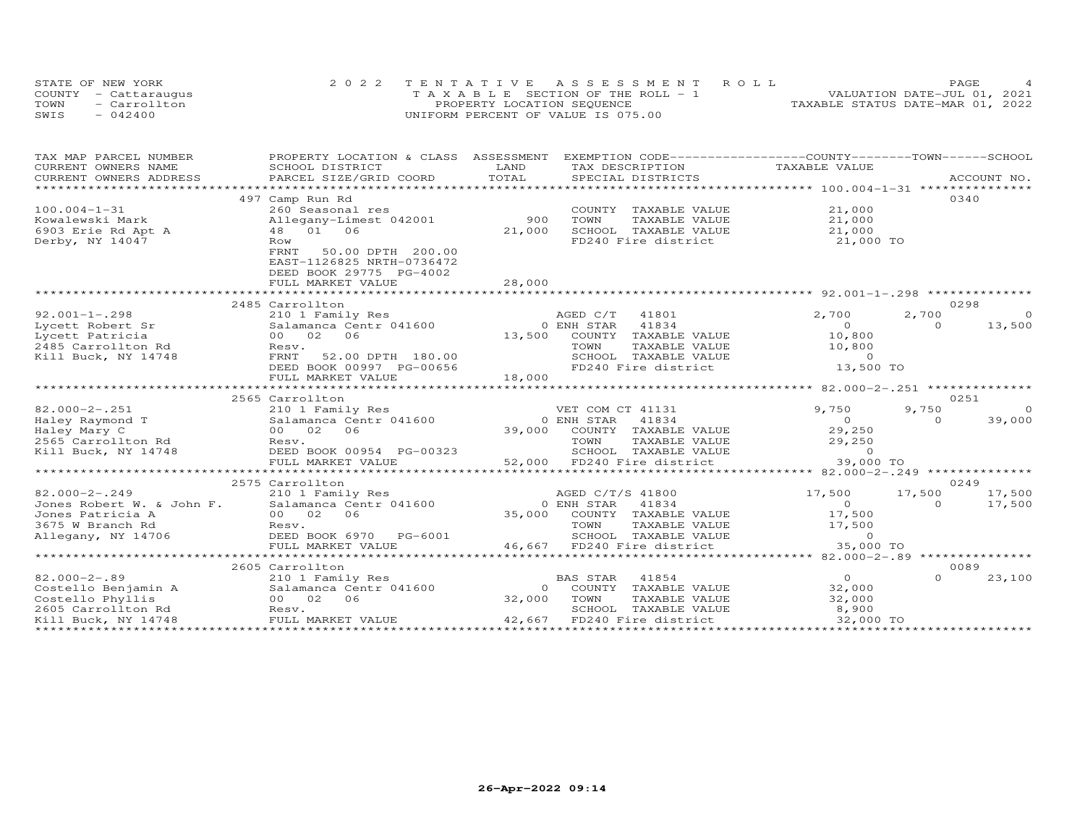|      | STATE OF NEW YORK    | 2022 TENTATIVE ASSESSMENT ROLL        | PAGE.                            |
|------|----------------------|---------------------------------------|----------------------------------|
|      | COUNTY - Cattaraugus | T A X A B L E SECTION OF THE ROLL - 1 | VALUATION DATE-JUL 01, 2021      |
| TOWN | - Carrollton         | PROPERTY LOCATION SEQUENCE            | TAXABLE STATUS DATE-MAR 01, 2022 |
| SWIS | $-042400$            | UNIFORM PERCENT OF VALUE IS 075.00    |                                  |

| TAX MAP PARCEL NUMBER                     | PROPERTY LOCATION & CLASS ASSESSMENT |                               | EXEMPTION CODE------------------COUNTY-------TOWN-----SCHOOL              |                                                    |             |                |
|-------------------------------------------|--------------------------------------|-------------------------------|---------------------------------------------------------------------------|----------------------------------------------------|-------------|----------------|
| CURRENT OWNERS NAME                       | SCHOOL DISTRICT                      | LAND                          | TAX DESCRIPTION                                                           | TAXABLE VALUE                                      |             |                |
| CURRENT OWNERS ADDRESS                    | PARCEL SIZE/GRID COORD               | TOTAL                         | SPECIAL DISTRICTS                                                         |                                                    | ACCOUNT NO. |                |
|                                           |                                      |                               |                                                                           |                                                    |             |                |
|                                           | 497 Camp Run Rd                      |                               |                                                                           |                                                    | 0340        |                |
| $100.004 - 1 - 31$                        | 260 Seasonal res                     |                               | COUNTY TAXABLE VALUE                                                      | 21,000                                             |             |                |
| Kowalewski Mark                           | Allegany-Limest 042001               | 900                           | TOWN<br>TAXABLE VALUE                                                     | 21,000                                             |             |                |
| 6903 Erie Rd Apt A                        | 48 01 06                             | 21,000                        | SCHOOL TAXABLE VALUE                                                      | 21,000                                             |             |                |
| Derby, NY 14047                           | Row                                  |                               | FD240 Fire district                                                       | 21,000 TO                                          |             |                |
|                                           | FRNT<br>50.00 DPTH 200.00            |                               |                                                                           |                                                    |             |                |
|                                           | EAST-1126825 NRTH-0736472            |                               |                                                                           |                                                    |             |                |
|                                           | DEED BOOK 29775 PG-4002              |                               |                                                                           |                                                    |             |                |
|                                           | FULL MARKET VALUE                    | 28,000                        |                                                                           |                                                    |             |                |
|                                           |                                      |                               |                                                                           |                                                    |             |                |
|                                           | 2485 Carrollton                      |                               |                                                                           |                                                    | 0298        |                |
| $92.001 - 1 - .298$                       | 210 1 Family Res                     |                               | AGED C/T<br>41801                                                         | 2,700                                              | 2,700       | $\Omega$       |
| Lycett Robert Sr                          | Salamanca Centr 041600               |                               | 0 ENH STAR<br>41834                                                       | $\overline{O}$                                     | $\Omega$    | 13,500         |
| Lycett Patricia                           | 00 02<br>06                          | 13,500                        | COUNTY TAXABLE VALUE                                                      | 10,800                                             |             |                |
| 2485 Carrollton Rd                        | Resv.                                |                               | TOWN<br>TAXABLE VALUE                                                     | 10,800                                             |             |                |
| Kill Buck, NY 14748                       | FRNT<br>52.00 DPTH 180.00            |                               |                                                                           | $\circ$                                            |             |                |
|                                           | DEED BOOK 00997 PG-00656             |                               | SCHOOL TAXABLE VALUE<br>FD240 Fire district                               | 13,500 TO                                          |             |                |
|                                           | FULL MARKET VALUE                    | 18,000                        |                                                                           |                                                    |             |                |
|                                           |                                      | ***************************** |                                                                           | ******************** 82.000-2-.251 *************** |             |                |
|                                           | 2565 Carrollton                      |                               |                                                                           |                                                    | 0251        |                |
| $82.000 - 2 - .251$                       | 210 1 Family Res                     |                               | VET COM CT 41131                                                          | 9,750                                              | 9,750       | $\overline{0}$ |
| Haley Raymond T                           | Salamanca Centr 041600               |                               | 41834<br>0 ENH STAR                                                       | $\overline{0}$                                     | $\Omega$    | 39,000         |
| Haley Mary C                              | 00 02<br>06                          | 39,000                        | COUNTY TAXABLE VALUE                                                      | 29,250                                             |             |                |
| 2565 Carrollton Rd<br>Kill Buck, NY 14748 | Resv.                                |                               | TOWN<br>TAXABLE VALUE                                                     | 29,250                                             |             |                |
| Kill Buck, NY 14748                       | DEED BOOK 00954 PG-00323             |                               | SCHOOL TAXABLE VALUE                                                      | 29,25<br>$\Omega$                                  |             |                |
|                                           | FULL MARKET VALUE                    |                               | 52,000 FD240 Fire district                                                | 39,000 TO                                          |             |                |
|                                           | ******************************       |                               |                                                                           |                                                    |             |                |
|                                           | 2575 Carrollton                      |                               |                                                                           |                                                    | 0249        |                |
| $82.000 - 2 - .249$                       | 210 1 Family Res                     |                               | AGED C/T/S 41800                                                          | 17,500                                             | 17,500      | 17,500         |
| Jones Robert W. & John F.                 | Salamanca Centr 041600               |                               | 0 ENH STAR<br>41834                                                       | $\overline{O}$                                     | $\Omega$    | 17,500         |
| Jones Patricia A                          | 00 02<br>06                          | 35,000                        | COUNTY TAXABLE VALUE                                                      | 17,500                                             |             |                |
| 3675 W Branch Rd                          | Resv.                                |                               | TOWN<br>TAXABLE VALUE                                                     | 17,500                                             |             |                |
| Allegany, NY 14706                        | DEED BOOK 6970 PG-6001               |                               |                                                                           | $\Omega$                                           |             |                |
|                                           | FULL MARKET VALUE                    |                               | TOWN IRANELLE VALUE<br>SCHOOL TAXABLE VALUE<br>46,667 FD240 Fire district | 35,000 TO                                          |             |                |
|                                           | ***************************          |                               |                                                                           |                                                    |             |                |
|                                           | 2605 Carrollton                      |                               |                                                                           |                                                    | 0089        |                |
| $82.000 - 2 - .89$                        | 210 1 Family Res                     |                               | 41854<br><b>BAS STAR</b>                                                  | $\overline{O}$                                     | $\Omega$    | 23,100         |
| Costello Benjamin A                       | Salamanca Centr 041600               | $\overline{O}$                | COUNTY TAXABLE VALUE                                                      | 32,000                                             |             |                |
| Costello Phyllis                          | 00 02<br>06                          | 32,000                        | TOWN<br>TAXABLE VALUE                                                     | 32,000                                             |             |                |
| 2605 Carrollton Rd                        | Resv.                                |                               | SCHOOL<br>TAXABLE VALUE                                                   | 8,900                                              |             |                |
| Kill Buck, NY 14748                       | FULL MARKET VALUE                    | 42,667                        | FD240 Fire district                                                       | 32,000 TO                                          |             |                |
|                                           |                                      |                               |                                                                           | ****************************                       |             |                |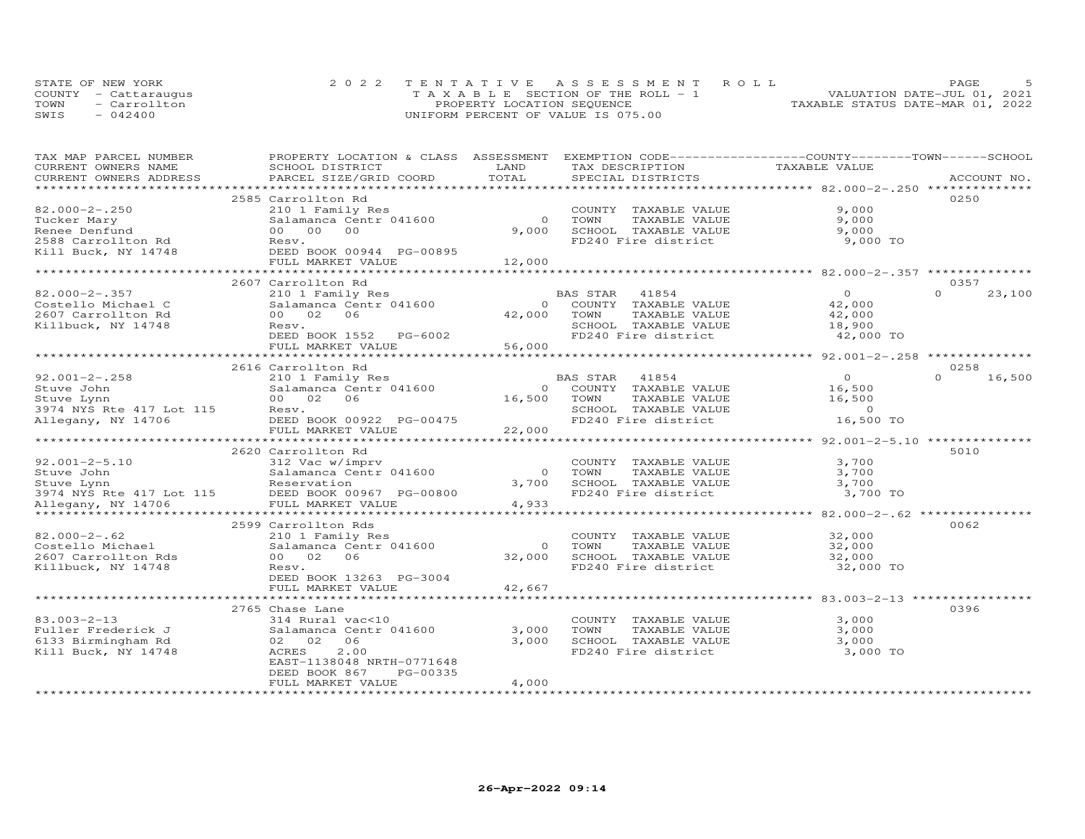|      | STATE OF NEW YORK    | 2022 TENTATIVE ASSESSMENT ROLL        | PAGE                             |
|------|----------------------|---------------------------------------|----------------------------------|
|      | COUNTY - Cattaraugus | T A X A B L E SECTION OF THE ROLL - 1 | VALUATION DATE-JUL 01, 2021      |
| TOWN | - Carrollton         | PROPERTY LOCATION SEQUENCE            | TAXABLE STATUS DATE-MAR 01, 2022 |
| SWIS | $-042400$            | UNIFORM PERCENT OF VALUE IS 075.00    |                                  |

| TAX MAP PARCEL NUMBER                  | PROPERTY LOCATION & CLASS ASSESSMENT EXEMPTION CODE----------------COUNTY-------TOWN------SCHOOL |                          |                        |                                                   |                    |
|----------------------------------------|--------------------------------------------------------------------------------------------------|--------------------------|------------------------|---------------------------------------------------|--------------------|
| CURRENT OWNERS NAME                    | SCHOOL DISTRICT                                                                                  | LAND                     | TAX DESCRIPTION        | TAXABLE VALUE                                     |                    |
| CURRENT OWNERS ADDRESS                 | PARCEL SIZE/GRID COORD                                                                           | TOTAL                    | SPECIAL DISTRICTS      |                                                   | ACCOUNT NO.        |
|                                        |                                                                                                  |                          |                        |                                                   |                    |
|                                        | 2585 Carrollton Rd                                                                               |                          |                        |                                                   | 0250               |
| $82.000 - 2 - .250$                    | 210 1 Family Res                                                                                 |                          | COUNTY TAXABLE VALUE   | 9,000                                             |                    |
| Tucker Mary                            | Salamanca Centr 041600                                                                           | $\Omega$                 | TOWN<br>TAXABLE VALUE  | 9,000                                             |                    |
| Renee Denfund                          | 00 00<br>00                                                                                      | 9,000                    | SCHOOL TAXABLE VALUE   | 9,000                                             |                    |
| 2588 Carrollton Rd                     | Resv.                                                                                            |                          | FD240 Fire district    | 9,000 TO                                          |                    |
| Kill Buck, NY 14748                    | DEED BOOK 00944 PG-00895                                                                         |                          |                        |                                                   |                    |
|                                        | FULL MARKET VALUE                                                                                | 12,000                   |                        |                                                   |                    |
|                                        |                                                                                                  |                          |                        |                                                   |                    |
|                                        | 2607 Carrollton Rd                                                                               |                          |                        |                                                   | 0357               |
| $82.000 - 2 - .357$                    | 210 1 Family Res                                                                                 |                          | BAS STAR<br>41854      | $\Omega$                                          | $\Omega$<br>23,100 |
| Costello Michael C                     | Salamanca Centr 041600                                                                           |                          | 0 COUNTY TAXABLE VALUE | 42,000                                            |                    |
| 2607 Carrollton Rd                     | 00 02<br>06                                                                                      | 42,000 TOWN              | TAXABLE VALUE          | 42,000                                            |                    |
| Killbuck, NY 14748                     | Resv.                                                                                            |                          | SCHOOL TAXABLE VALUE   | 18,900                                            |                    |
|                                        |                                                                                                  |                          | FD240 Fire district    |                                                   |                    |
|                                        | DEED BOOK 1552 PG-6002                                                                           |                          |                        | 42,000 TO                                         |                    |
|                                        | FULL MARKET VALUE                                                                                | 56,000                   |                        |                                                   |                    |
|                                        |                                                                                                  |                          |                        |                                                   |                    |
|                                        | 2616 Carrollton Rd                                                                               |                          |                        |                                                   | 0258               |
| $92.001 - 2 - .258$                    | 210 1 Family Res                                                                                 |                          | BAS STAR<br>41854      | $\Omega$                                          | $\Omega$<br>16,500 |
| Stuve John                             | Salamanca Centr 041600                                                                           | $\Omega$                 | COUNTY TAXABLE VALUE   | 16,500                                            |                    |
| Stuve Lynn                             | 00 02<br>06                                                                                      | 16,500                   | TAXABLE VALUE<br>TOWN  | 16,500                                            |                    |
| 3974 NYS Rte 417 Lot 115               | Resv.                                                                                            |                          | SCHOOL TAXABLE VALUE   | $\overline{0}$                                    |                    |
| Allegany, NY 14706                     | DEED BOOK 00922 PG-00475                                                                         |                          | FD240 Fire district    | 16,500 TO                                         |                    |
|                                        | FULL MARKET VALUE                                                                                | 22,000                   |                        |                                                   |                    |
|                                        | ***************************                                                                      |                          |                        |                                                   |                    |
|                                        | 2620 Carrollton Rd                                                                               |                          |                        |                                                   | 5010               |
| $92.001 - 2 - 5.10$                    | 312 Vac w/imprv                                                                                  |                          | COUNTY TAXABLE VALUE   | 3,700                                             |                    |
| Stuve John                             | Salamanca Centr 041600                                                                           | $\overline{O}$           | TOWN<br>TAXABLE VALUE  | 3,700                                             |                    |
| Stuve Lynn                             | Reservation                                                                                      | 3,700                    | SCHOOL TAXABLE VALUE   | 3,700                                             |                    |
| Stuve Lynn<br>3974 NYS Rte 417 Lot 115 | DEED BOOK 00967 PG-00800                                                                         |                          | FD240 Fire district    | 3,700 TO                                          |                    |
| Allegany, NY 14706                     | FULL MARKET VALUE                                                                                | 4,933                    |                        |                                                   |                    |
|                                        | *******************************                                                                  |                          |                        |                                                   |                    |
|                                        | 2599 Carrollton Rds                                                                              |                          |                        |                                                   | 0062               |
| $82.000 - 2 - .62$                     | 210 1 Family Res                                                                                 |                          | COUNTY TAXABLE VALUE   | 32,000                                            |                    |
| Costello Michael                       | Salamanca Centr 041600                                                                           | $\circ$                  | TOWN<br>TAXABLE VALUE  | 32,000                                            |                    |
|                                        | 00 02<br>06                                                                                      | 32,000                   | SCHOOL TAXABLE VALUE   |                                                   |                    |
| 2607 Carrollton Rds                    |                                                                                                  |                          | FD240 Fire district    | 32,000                                            |                    |
| Killbuck, NY 14748                     | Resv.                                                                                            |                          |                        | 32,000 TO                                         |                    |
|                                        | DEED BOOK 13263 PG-3004                                                                          |                          |                        |                                                   |                    |
|                                        | FULL MARKET VALUE<br>*****************************                                               | 42,667<br>************** |                        |                                                   |                    |
|                                        |                                                                                                  |                          |                        | ********************* 83.003-2-13 *************** |                    |
|                                        | 2765 Chase Lane                                                                                  |                          |                        |                                                   | 0396               |
| $83.003 - 2 - 13$                      | 314 Rural vac<10                                                                                 |                          | COUNTY TAXABLE VALUE   | 3,000                                             |                    |
| Fuller Frederick J                     | Salamanca Centr 041600                                                                           | 3,000                    | TOWN<br>TAXABLE VALUE  | 3,000                                             |                    |
| 6133 Birmingham Rd                     | 06<br>02 02                                                                                      | 3,000                    | SCHOOL TAXABLE VALUE   | 3,000                                             |                    |
| Kill Buck, NY 14748                    | ACRES<br>2.00                                                                                    |                          | FD240 Fire district    | 3,000 TO                                          |                    |
|                                        | EAST-1138048 NRTH-0771648                                                                        |                          |                        |                                                   |                    |
|                                        | DEED BOOK 867<br>PG-00335                                                                        |                          |                        |                                                   |                    |
|                                        | FULL MARKET VALUE                                                                                | 4,000                    |                        |                                                   |                    |
|                                        |                                                                                                  |                          |                        |                                                   |                    |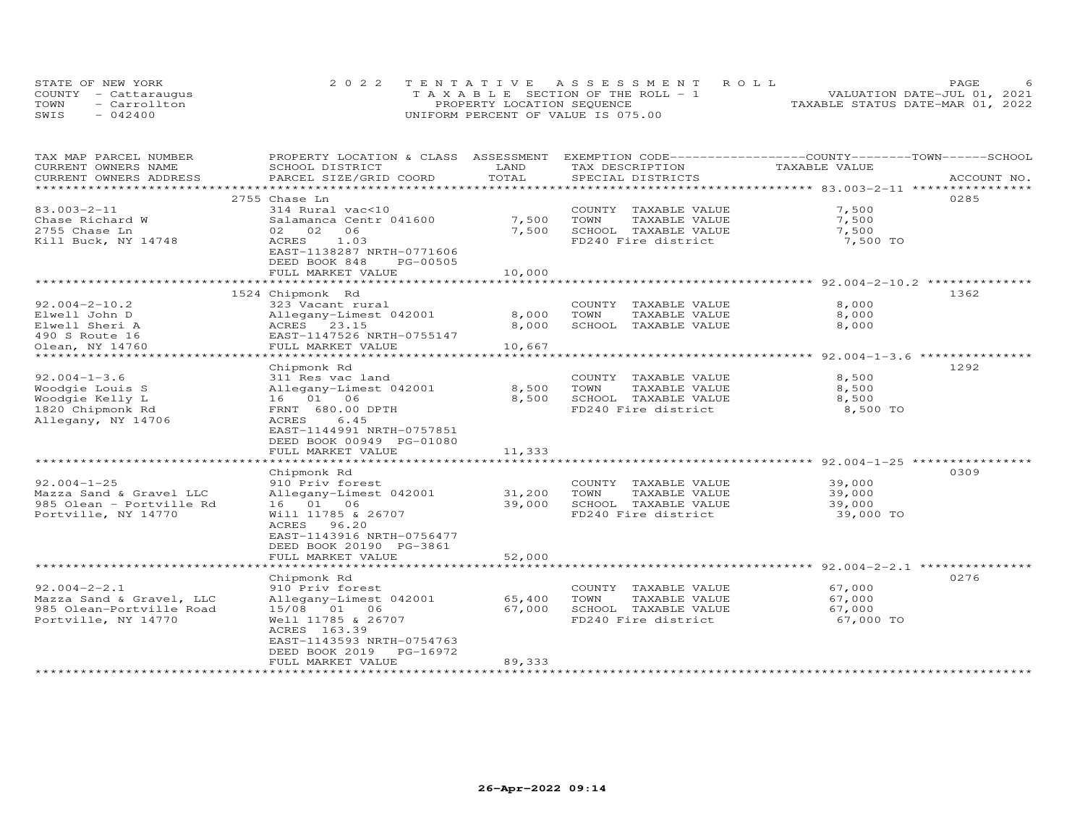| STATE OF NEW YORK    | 2022 TENTATIVE ASSESSMENT ROLL        | PAGE.                            |
|----------------------|---------------------------------------|----------------------------------|
| COUNTY - Cattaraugus | T A X A B L E SECTION OF THE ROLL - 1 | VALUATION DATE-JUL 01, 2021      |
| - Carrollton<br>TOWN | PROPERTY LOCATION SEQUENCE            | TAXABLE STATUS DATE-MAR 01, 2022 |
| SWIS<br>$-042400$    | UNIFORM PERCENT OF VALUE IS 075.00    |                                  |

| TAX MAP PARCEL NUMBER               | PROPERTY LOCATION & CLASS ASSESSMENT    |        |                       | EXEMPTION CODE-----------------COUNTY-------TOWN------SCHOOL |             |
|-------------------------------------|-----------------------------------------|--------|-----------------------|--------------------------------------------------------------|-------------|
| CURRENT OWNERS NAME                 | SCHOOL DISTRICT                         | LAND   | TAX DESCRIPTION       | TAXABLE VALUE                                                |             |
| CURRENT OWNERS ADDRESS              | PARCEL SIZE/GRID COORD                  | TOTAL  | SPECIAL DISTRICTS     |                                                              | ACCOUNT NO. |
| ********************                |                                         |        |                       |                                                              |             |
|                                     | 2755 Chase Ln                           |        |                       |                                                              | 0285        |
| 83.003-2-11                         | 314 Rural vac<10                        |        | COUNTY TAXABLE VALUE  | 7,500                                                        |             |
| Chase Richard W                     | Salamanca Centr 041600                  | 7,500  | TOWN<br>TAXABLE VALUE | 7,500                                                        |             |
| 2755 Chase Ln                       | 02 02<br>06                             | 7,500  | SCHOOL TAXABLE VALUE  | 7,500                                                        |             |
| Kill Buck, NY 14748                 | ACRES 1.03                              |        | FD240 Fire district   | 7,500 TO                                                     |             |
|                                     | EAST-1138287 NRTH-0771606               |        |                       |                                                              |             |
|                                     | DEED BOOK 848<br>PG-00505               |        |                       |                                                              |             |
|                                     | FULL MARKET VALUE                       | 10,000 |                       |                                                              |             |
|                                     |                                         |        |                       |                                                              |             |
|                                     | 1524 Chipmonk Rd                        |        |                       |                                                              | 1362        |
| $92.004 - 2 - 10.2$                 | 323 Vacant rural                        |        | COUNTY TAXABLE VALUE  | 8,000                                                        |             |
| Elwell John D                       | Allegany-Limest 042001                  | 8,000  | TOWN<br>TAXABLE VALUE | 8,000                                                        |             |
| Elwell Sheri A                      | ACRES 23.15                             | 8,000  | SCHOOL TAXABLE VALUE  | 8,000                                                        |             |
| 490 S Route 16                      | EAST-1147526 NRTH-0755147               |        |                       |                                                              |             |
|                                     |                                         |        |                       |                                                              |             |
| Olean, NY 14760<br>**************** | FULL MARKET VALUE<br>****************** | 10,667 |                       | ********* 92.004-1-3.6 ***************                       |             |
|                                     |                                         |        |                       |                                                              | 1292        |
|                                     | Chipmonk Rd                             |        |                       |                                                              |             |
| $92.004 - 1 - 3.6$                  | 311 Res vac land                        |        | COUNTY TAXABLE VALUE  | 8,500                                                        |             |
| Woodgie Louis S                     | Allegany-Limest 042001                  | 8,500  | TOWN<br>TAXABLE VALUE | 8,500                                                        |             |
| Woodgie Kelly L                     | 16 01 06                                | 8,500  | SCHOOL TAXABLE VALUE  | 8,500                                                        |             |
| 1820 Chipmonk Rd                    | FRNT 680.00 DPTH                        |        | FD240 Fire district   | 8,500 TO                                                     |             |
| Allegany, NY 14706                  | ACRES<br>6.45                           |        |                       |                                                              |             |
|                                     | EAST-1144991 NRTH-0757851               |        |                       |                                                              |             |
|                                     | DEED BOOK 00949 PG-01080                |        |                       |                                                              |             |
|                                     | FULL MARKET VALUE                       | 11,333 |                       |                                                              |             |
|                                     | **************************              |        |                       | ************************************* 92.004-1-25 *********  |             |
|                                     | Chipmonk Rd                             |        |                       |                                                              | 0309        |
| $92.004 - 1 - 25$                   | 910 Priv forest                         |        | COUNTY TAXABLE VALUE  | 39,000                                                       |             |
| Mazza Sand & Gravel LLC             | Allegany-Limest 042001                  | 31,200 | TAXABLE VALUE<br>TOWN | 39,000                                                       |             |
| 985 Olean - Portville Rd            | 16 01 06                                | 39,000 | SCHOOL TAXABLE VALUE  | 39,000                                                       |             |
| Portville, NY 14770                 | Will 11785 & 26707                      |        | FD240 Fire district   | 39,000 TO                                                    |             |
|                                     | ACRES 96.20                             |        |                       |                                                              |             |
|                                     | EAST-1143916 NRTH-0756477               |        |                       |                                                              |             |
|                                     | DEED BOOK 20190 PG-3861                 |        |                       |                                                              |             |
|                                     | FULL MARKET VALUE                       | 52,000 |                       |                                                              |             |
|                                     | *******************                     |        |                       | ***************************** 92.004-2-2.1 ***************   |             |
|                                     | Chipmonk Rd                             |        |                       |                                                              | 0276        |
| $92.004 - 2 - 2.1$                  | 910 Priv forest                         |        | COUNTY TAXABLE VALUE  | 67,000                                                       |             |
| Mazza Sand & Gravel, LLC            | Allegany-Limest 042001                  | 65,400 | TOWN<br>TAXABLE VALUE | 67,000                                                       |             |
| 985 Olean-Portville Road            | 15/08 01 06                             | 67,000 | SCHOOL TAXABLE VALUE  | 67,000                                                       |             |
| Portville, NY 14770                 | Well 11785 & 26707                      |        | FD240 Fire district   | 67,000 TO                                                    |             |
|                                     | ACRES 163.39                            |        |                       |                                                              |             |
|                                     | EAST-1143593 NRTH-0754763               |        |                       |                                                              |             |
|                                     | DEED BOOK 2019 PG-16972                 |        |                       |                                                              |             |
|                                     | FULL MARKET VALUE                       | 89,333 |                       |                                                              |             |
|                                     |                                         |        |                       |                                                              |             |
|                                     |                                         |        |                       |                                                              |             |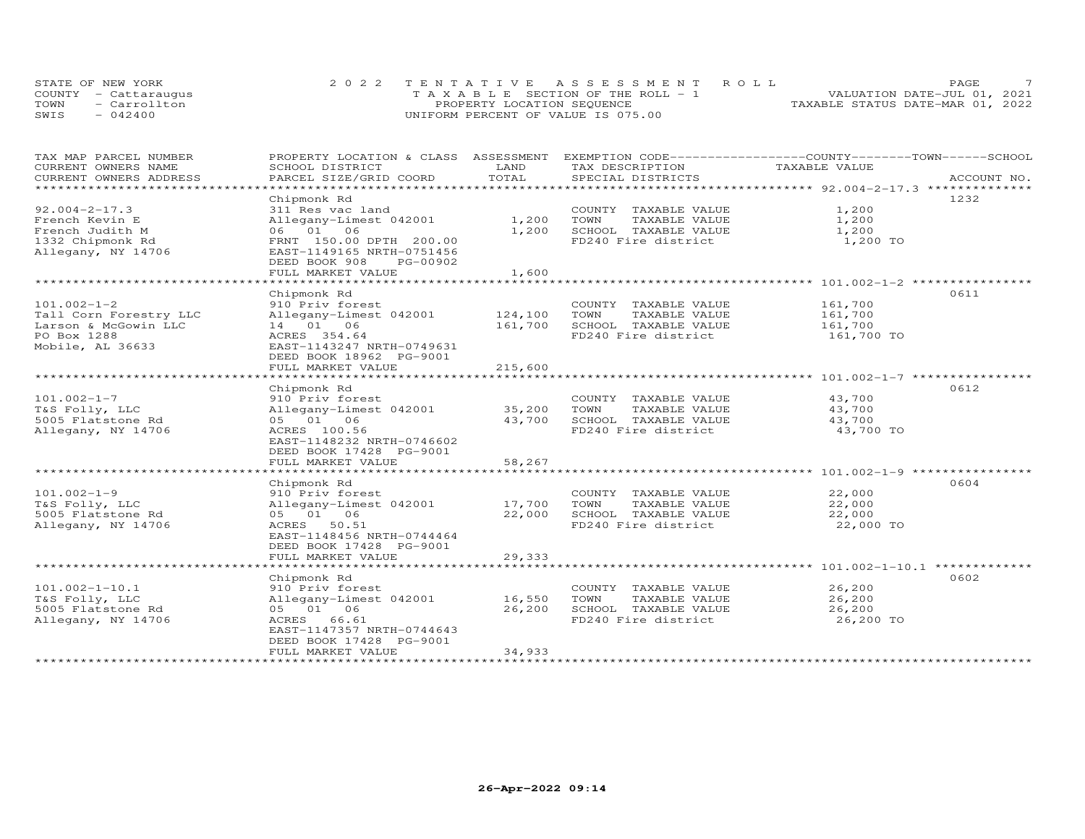|      | STATE OF NEW YORK    | 2022 TENTATIVE ASSESSMENT ROLL        | PAGE                             |  |
|------|----------------------|---------------------------------------|----------------------------------|--|
|      | COUNTY - Cattaraugus | T A X A B L E SECTION OF THE ROLL - 1 | VALUATION DATE-JUL 01, 2021      |  |
| TOWN | - Carrollton         | PROPERTY LOCATION SEQUENCE            | TAXABLE STATUS DATE-MAR 01, 2022 |  |
| SWIS | $-042400$            | UNIFORM PERCENT OF VALUE IS 075.00    |                                  |  |

| TAX MAP PARCEL NUMBER                            | PROPERTY LOCATION & CLASS ASSESSMENT EXEMPTION CODE-----------------COUNTY-------TOWN------SCHOOL |         |                       |               |             |
|--------------------------------------------------|---------------------------------------------------------------------------------------------------|---------|-----------------------|---------------|-------------|
| CURRENT OWNERS NAME                              | SCHOOL DISTRICT                                                                                   | LAND    | TAX DESCRIPTION       | TAXABLE VALUE |             |
| CURRENT OWNERS ADDRESS<br>********************** | PARCEL SIZE/GRID COORD                                                                            | TOTAL   | SPECIAL DISTRICTS     |               | ACCOUNT NO. |
|                                                  |                                                                                                   |         |                       |               |             |
|                                                  | Chipmonk Rd                                                                                       |         |                       |               | 1232        |
| $92.004 - 2 - 17.3$                              | 311 Res vac land                                                                                  |         | COUNTY TAXABLE VALUE  | 1,200         |             |
| French Kevin E                                   | Allegany-Limest 042001                                                                            | 1,200   | TOWN<br>TAXABLE VALUE | 1,200         |             |
| French Judith M                                  | 06 01 06                                                                                          | 1,200   | SCHOOL TAXABLE VALUE  | 1,200         |             |
| 1332 Chipmonk Rd                                 | FRNT 150.00 DPTH 200.00                                                                           |         | FD240 Fire district   | 1,200 TO      |             |
| Allegany, NY 14706                               | EAST-1149165 NRTH-0751456                                                                         |         |                       |               |             |
|                                                  | DEED BOOK 908<br>PG-00902                                                                         |         |                       |               |             |
|                                                  | FULL MARKET VALUE                                                                                 | 1,600   |                       |               |             |
|                                                  |                                                                                                   |         |                       |               |             |
|                                                  | Chipmonk Rd                                                                                       |         |                       |               | 0611        |
| $101.002 - 1 - 2$                                | 910 Priv forest                                                                                   |         | COUNTY TAXABLE VALUE  | 161,700       |             |
| Tall Corn Forestry LLC                           | Allegany-Limest 042001                                                                            | 124,100 | TAXABLE VALUE<br>TOWN | 161,700       |             |
| Larson & McGowin LLC                             | 14 01 06                                                                                          | 161,700 | SCHOOL TAXABLE VALUE  | 161,700       |             |
| PO Box 1288                                      | ACRES 354.64                                                                                      |         | FD240 Fire district   | 161,700 TO    |             |
| Mobile, AL 36633                                 | EAST-1143247 NRTH-0749631                                                                         |         |                       |               |             |
|                                                  | DEED BOOK 18962 PG-9001                                                                           |         |                       |               |             |
|                                                  | FULL MARKET VALUE                                                                                 | 215,600 |                       |               |             |
|                                                  |                                                                                                   |         |                       |               |             |
|                                                  | Chipmonk Rd                                                                                       |         |                       |               | 0612        |
| $101.002 - 1 - 7$                                | 910 Priv forest                                                                                   |         | COUNTY TAXABLE VALUE  | 43,700        |             |
| T&S Folly, LLC                                   | Allegany-Limest 042001                                                                            | 35,200  | TOWN<br>TAXABLE VALUE | 43,700        |             |
| 5005 Flatstone Rd                                | 05 01 06                                                                                          | 43,700  | SCHOOL TAXABLE VALUE  | 43,700        |             |
| Allegany, NY 14706                               | ACRES 100.56                                                                                      |         | FD240 Fire district   | 43,700 TO     |             |
|                                                  | EAST-1148232 NRTH-0746602                                                                         |         |                       |               |             |
|                                                  | DEED BOOK 17428 PG-9001                                                                           |         |                       |               |             |
|                                                  | FULL MARKET VALUE                                                                                 | 58,267  |                       |               |             |
|                                                  |                                                                                                   |         |                       |               |             |
|                                                  | Chipmonk Rd                                                                                       |         |                       |               | 0604        |
| $101.002 - 1 - 9$                                | 910 Priv forest                                                                                   |         | COUNTY TAXABLE VALUE  | 22,000        |             |
| T&S Folly, LLC                                   | Allegany-Limest 042001                                                                            | 17,700  | TOWN<br>TAXABLE VALUE | 22,000        |             |
| 5005 Flatstone Rd                                | 05 01 06                                                                                          | 22,000  | SCHOOL TAXABLE VALUE  | 22,000        |             |
| Allegany, NY 14706                               | ACRES 50.51                                                                                       |         | FD240 Fire district   | 22,000 TO     |             |
|                                                  | EAST-1148456 NRTH-0744464                                                                         |         |                       |               |             |
|                                                  | DEED BOOK 17428 PG-9001                                                                           |         |                       |               |             |
|                                                  |                                                                                                   |         |                       |               |             |
|                                                  | FULL MARKET VALUE                                                                                 | 29,333  |                       |               |             |
|                                                  |                                                                                                   |         |                       |               |             |
|                                                  | Chipmonk Rd                                                                                       |         |                       |               | 0602        |
| $101.002 - 1 - 10.1$                             | 910 Priv forest                                                                                   |         | COUNTY TAXABLE VALUE  | 26,200        |             |
| T&S Folly, LLC                                   | Allegany-Limest 042001                                                                            | 16,550  | TOWN<br>TAXABLE VALUE | 26,200        |             |
| 5005 Flatstone Rd                                | 05 01 06                                                                                          | 26,200  | SCHOOL TAXABLE VALUE  | 26,200        |             |
| Allegany, NY 14706                               | ACRES 66.61                                                                                       |         | FD240 Fire district   | 26,200 TO     |             |
|                                                  | EAST-1147357 NRTH-0744643                                                                         |         |                       |               |             |
|                                                  | DEED BOOK 17428 PG-9001                                                                           |         |                       |               |             |
|                                                  | FULL MARKET VALUE                                                                                 | 34,933  |                       |               |             |
|                                                  |                                                                                                   |         |                       |               |             |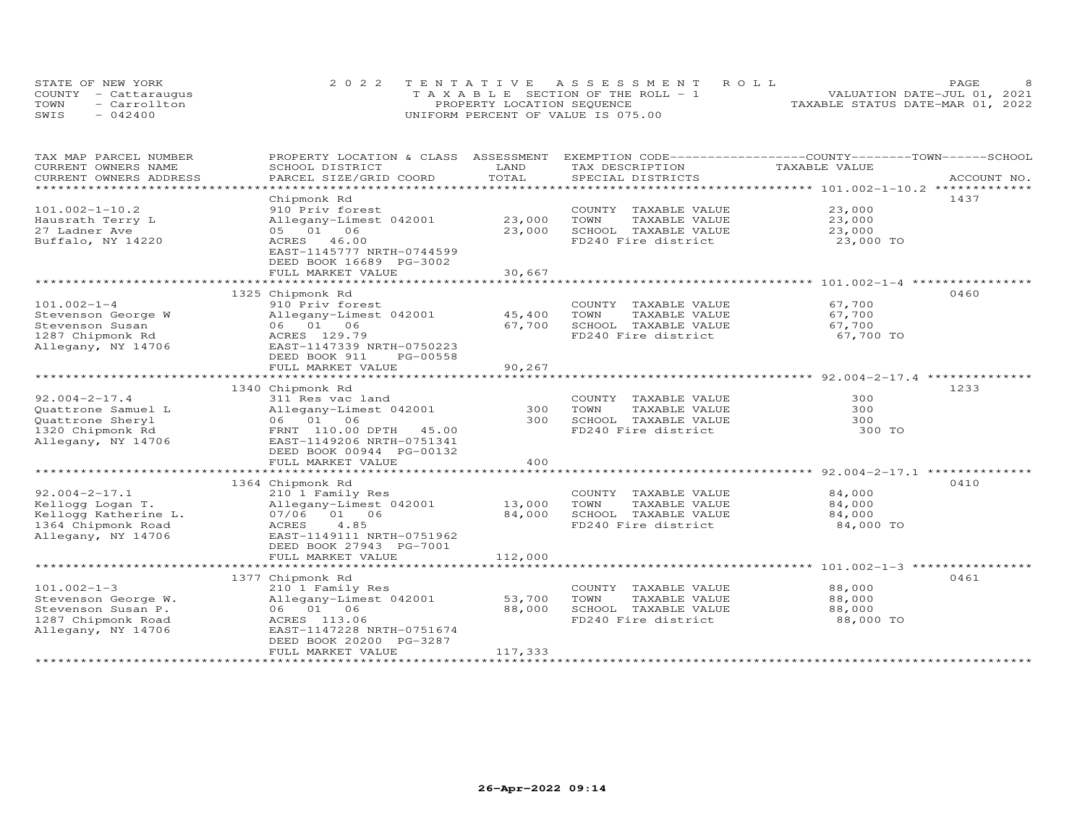| STATE OF NEW YORK |                      | 2022 TENTATIVE ASSESSMENT ROLL        | <b>PAGE</b>                      |  |
|-------------------|----------------------|---------------------------------------|----------------------------------|--|
|                   | COUNTY - Cattaraugus | T A X A B L E SECTION OF THE ROLL - 1 | VALUATION DATE-JUL 01, 2021      |  |
| TOWN              | - Carrollton         | PROPERTY LOCATION SEQUENCE            | TAXABLE STATUS DATE-MAR 01, 2022 |  |
| SWIS              | $-042400$            | UNIFORM PERCENT OF VALUE IS 075.00    |                                  |  |

| TAX MAP PARCEL NUMBER                         | PROPERTY LOCATION & CLASS                                              | ASSESSMENT           | EXEMPTION CODE------------------COUNTY-------TOWN------SCHOOL |                                                            |             |
|-----------------------------------------------|------------------------------------------------------------------------|----------------------|---------------------------------------------------------------|------------------------------------------------------------|-------------|
| CURRENT OWNERS NAME<br>CURRENT OWNERS ADDRESS | SCHOOL DISTRICT<br>PARCEL SIZE/GRID COORD                              | LAND<br>TOTAL        | TAX DESCRIPTION<br>SPECIAL DISTRICTS                          | TAXABLE VALUE                                              | ACCOUNT NO. |
| ***********************                       |                                                                        |                      |                                                               |                                                            |             |
|                                               | Chipmonk Rd                                                            |                      |                                                               |                                                            | 1437        |
| $101.002 - 1 - 10.2$                          | 910 Priv forest                                                        |                      | COUNTY TAXABLE VALUE                                          | 23,000                                                     |             |
| Hausrath Terry L                              | Allegany-Limest 042001                                                 | 23,000               | TOWN<br>TAXABLE VALUE                                         | 23,000                                                     |             |
| 27 Ladner Ave                                 | 05 01 06                                                               | 23,000               | SCHOOL TAXABLE VALUE                                          | 23,000                                                     |             |
| Buffalo, NY 14220                             | 46.00<br>ACRES<br>EAST-1145777 NRTH-0744599<br>DEED BOOK 16689 PG-3002 |                      | FD240 Fire district                                           | 23,000 TO                                                  |             |
|                                               | FULL MARKET VALUE                                                      | 30,667               |                                                               |                                                            |             |
|                                               | *******************************                                        | *************        |                                                               |                                                            |             |
|                                               | 1325 Chipmonk Rd                                                       |                      |                                                               |                                                            | 0460        |
| $101.002 - 1 - 4$                             | 910 Priv forest                                                        |                      | COUNTY TAXABLE VALUE                                          | 67,700                                                     |             |
| Stevenson George W                            | Allegany-Limest 042001                                                 | 45,400               | TOWN<br>TAXABLE VALUE                                         | 67,700                                                     |             |
| Stevenson Susan                               | 06<br>06 01                                                            | 67,700               | SCHOOL TAXABLE VALUE                                          | 67,700                                                     |             |
| 1287 Chipmonk Rd<br>Allegany, NY 14706        | ACRES 129.79<br>EAST-1147339 NRTH-0750223<br>DEED BOOK 911<br>PG-00558 |                      | FD240 Fire district                                           | 67,700 TO                                                  |             |
|                                               | FULL MARKET VALUE<br>***********************                           | 90,267<br>********** |                                                               | ********************************** 92.004-2-17.4 ********* |             |
|                                               |                                                                        |                      |                                                               |                                                            | 1233        |
| $92.004 - 2 - 17.4$                           | 1340 Chipmonk Rd<br>311 Res vac land                                   |                      | COUNTY TAXABLE VALUE                                          | 300                                                        |             |
| Quattrone Samuel L                            | Allegany-Limest 042001                                                 | 300                  | TOWN<br>TAXABLE VALUE                                         | 300                                                        |             |
| Quattrone Sheryl                              | 06 01 06                                                               | 300                  | SCHOOL TAXABLE VALUE                                          | 300                                                        |             |
| 1320 Chipmonk Rd                              | FRNT 110.00 DPTH 45.00                                                 |                      | FD240 Fire district                                           | 300 TO                                                     |             |
| Allegany, NY 14706                            | EAST-1149206 NRTH-0751341<br>DEED BOOK 00944 PG-00132                  |                      |                                                               |                                                            |             |
|                                               | FULL MARKET VALUE                                                      | 400                  |                                                               |                                                            |             |
|                                               |                                                                        |                      |                                                               |                                                            |             |
|                                               | 1364 Chipmonk Rd                                                       |                      |                                                               |                                                            | 0410        |
| $92.004 - 2 - 17.1$                           | 210 1 Family Res                                                       |                      | COUNTY TAXABLE VALUE                                          | 84,000                                                     |             |
| Kellogg Logan T.                              | Allegany-Limest 042001                                                 | 13,000               | TOWN<br>TAXABLE VALUE                                         | 84,000                                                     |             |
| Kellogg Katherine L.                          | 07/06 01 06                                                            | 84,000               | SCHOOL TAXABLE VALUE                                          | 84,000                                                     |             |
| 1364 Chipmonk Road                            | 4.85<br>ACRES                                                          |                      | FD240 Fire district                                           | 84,000 TO                                                  |             |
| Allegany, NY 14706                            | EAST-1149111 NRTH-0751962<br>DEED BOOK 27943 PG-7001                   |                      |                                                               |                                                            |             |
|                                               | FULL MARKET VALUE                                                      | 112,000              |                                                               |                                                            |             |
|                                               |                                                                        |                      |                                                               |                                                            |             |
|                                               | 1377 Chipmonk Rd                                                       |                      |                                                               |                                                            | 0461        |
| $101.002 - 1 - 3$                             | 210 1 Family Res                                                       |                      | COUNTY TAXABLE VALUE                                          | 88,000                                                     |             |
| Stevenson George W.                           | Allegany-Limest 042001                                                 | 53,700               | TOWN<br>TAXABLE VALUE                                         | 88,000                                                     |             |
| Stevenson Susan P.                            | 06 01 06                                                               | 88,000               | SCHOOL TAXABLE VALUE                                          | 88,000                                                     |             |
| 1287 Chipmonk Road                            | ACRES 113.06                                                           |                      | FD240 Fire district                                           | 88,000 TO                                                  |             |
| Allegany, NY 14706                            | EAST-1147228 NRTH-0751674<br>DEED BOOK 20200 PG-3287                   |                      |                                                               |                                                            |             |
|                                               | FULL MARKET VALUE                                                      | 117,333              |                                                               |                                                            |             |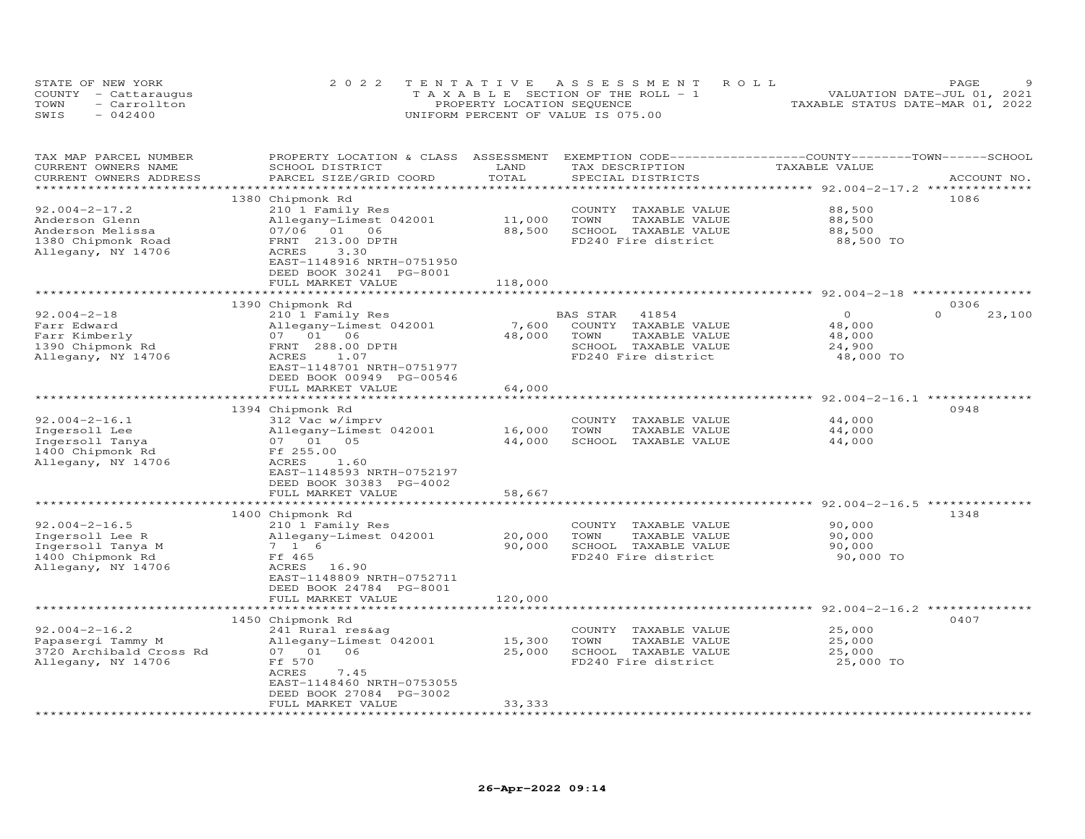|      | STATE OF NEW YORK    | 2022 TENTATIVE ASSESSMENT ROLL        | PAGE                             |
|------|----------------------|---------------------------------------|----------------------------------|
|      | COUNTY - Cattaraugus | T A X A B L E SECTION OF THE ROLL - 1 | VALUATION DATE-JUL 01, 2021      |
| TOWN | - Carrollton         | PROPERTY LOCATION SEQUENCE            | TAXABLE STATUS DATE-MAR 01, 2022 |
| SWIS | $-042400$            | UNIFORM PERCENT OF VALUE IS 075.00    |                                  |

| CURRENT OWNERS NAME<br>LAND<br>TAX DESCRIPTION<br>TAXABLE VALUE<br>SCHOOL DISTRICT<br>TOTAL<br>PARCEL SIZE/GRID COORD<br>CURRENT OWNERS ADDRESS<br>SPECIAL DISTRICTS<br>ACCOUNT NO.<br>********************************** 92.004-2-17.2 **************<br>1380 Chipmonk Rd<br>1086<br>$92.004 - 2 - 17.2$<br>88,500<br>210 1 Family Res<br>COUNTY TAXABLE VALUE<br>11,000<br>88,500<br>Anderson Glenn<br>Allegany-Limest 042001<br>TOWN<br>TAXABLE VALUE<br>88,500<br>Anderson Melissa<br>07/06 01 06<br>SCHOOL TAXABLE VALUE<br>88,500<br>FRNT 213.00 DPTH<br>FD240 Fire district<br>88,500 TO<br>1380 Chipmonk Road<br>Allegany, NY 14706<br>ACRES<br>3.30<br>EAST-1148916 NRTH-0751950<br>DEED BOOK 30241 PG-8001<br>FULL MARKET VALUE<br>118,000<br>****************************** 92.004-2-18 **********<br>***********************<br>***************<br>1390 Chipmonk Rd<br>0306<br>$92.004 - 2 - 18$<br>$\Omega$<br>$\Omega$<br>23,100<br>210 1 Family Res<br>BAS STAR<br>41854<br>Farr Edward<br>7,600<br>Allegany-Limest 042001<br>COUNTY TAXABLE VALUE<br>48,000<br>48,000<br>Farr Kimberly<br>07 01 06<br>48,000<br>TOWN<br>TAXABLE VALUE<br>1390 Chipmonk Rd<br>FRNT 288.00 DPTH<br>SCHOOL TAXABLE VALUE<br>24,900<br>Allegany, NY 14706<br>FD240 Fire district<br>ACRES<br>1.07<br>48,000 TO<br>EAST-1148701 NRTH-0751977<br>DEED BOOK 00949 PG-00546<br>FULL MARKET VALUE<br>64,000<br>*********************<br>*************** 92.004-2-16.1 *********<br>1394 Chipmonk Rd<br>0948<br>$92.004 - 2 - 16.1$<br>312 Vac w/imprv<br>COUNTY TAXABLE VALUE<br>44,000<br>Ingersoll Lee<br>Allegany-Limest 042001<br>16,000<br>TOWN<br>TAXABLE VALUE<br>44,000<br>44,000<br>SCHOOL TAXABLE VALUE<br>Ingersoll Tanya<br>07 01<br>05<br>44,000<br>1400 Chipmonk Rd<br>Ff 255.00<br>Allegany, NY 14706<br>ACRES<br>1.60<br>EAST-1148593 NRTH-0752197<br>DEED BOOK 30383 PG-4002<br>FULL MARKET VALUE<br>58,667<br>*************************<br>******************************** 92.004-2-16.5 **************<br>*******************<br>1400 Chipmonk Rd<br>1348<br>$92.004 - 2 - 16.5$<br>90,000<br>210 1 Family Res<br>COUNTY TAXABLE VALUE<br>Ingersoll Lee R<br>Allegany-Limest 042001<br>20,000<br>TOWN<br>TAXABLE VALUE<br>90,000<br>90,000<br>Ingersoll Tanya M<br>7 1 6<br>SCHOOL TAXABLE VALUE<br>90,000<br>1400 Chipmonk Rd<br>Ff 465<br>FD240 Fire district<br>90,000 TO<br>Allegany, NY 14706<br>ACRES<br>16.90<br>EAST-1148809 NRTH-0752711<br>DEED BOOK 24784 PG-8001<br>FULL MARKET VALUE<br>120,000<br>0407<br>1450 Chipmonk Rd<br>$92.004 - 2 - 16.2$<br>25,000<br>241 Rural res&ag<br>COUNTY TAXABLE VALUE<br>15,300<br>TOWN<br>TAXABLE VALUE<br>25,000<br>Papasergi Tammy M<br>Allegany-Limest 042001<br>25,000<br>3720 Archibald Cross Rd<br>07 01 06<br>SCHOOL TAXABLE VALUE<br>25,000<br>FD240 Fire district<br>25,000 TO<br>Allegany, NY 14706<br>Ff 570<br>ACRES<br>7.45<br>EAST-1148460 NRTH-0753055<br>DEED BOOK 27084 PG-3002<br>FULL MARKET VALUE<br>33,333<br>**************<br>************************ | TAX MAP PARCEL NUMBER | PROPERTY LOCATION & CLASS ASSESSMENT |  | EXEMPTION CODE------------------COUNTY-------TOWN-----SCHOOL |  |
|-------------------------------------------------------------------------------------------------------------------------------------------------------------------------------------------------------------------------------------------------------------------------------------------------------------------------------------------------------------------------------------------------------------------------------------------------------------------------------------------------------------------------------------------------------------------------------------------------------------------------------------------------------------------------------------------------------------------------------------------------------------------------------------------------------------------------------------------------------------------------------------------------------------------------------------------------------------------------------------------------------------------------------------------------------------------------------------------------------------------------------------------------------------------------------------------------------------------------------------------------------------------------------------------------------------------------------------------------------------------------------------------------------------------------------------------------------------------------------------------------------------------------------------------------------------------------------------------------------------------------------------------------------------------------------------------------------------------------------------------------------------------------------------------------------------------------------------------------------------------------------------------------------------------------------------------------------------------------------------------------------------------------------------------------------------------------------------------------------------------------------------------------------------------------------------------------------------------------------------------------------------------------------------------------------------------------------------------------------------------------------------------------------------------------------------------------------------------------------------------------------------------------------------------------------------------------------------------------------------------------------------------------------------------------------------------------------------------------------------------------------------------------------------------------------------------------------------------------------------------------------------------------------------------------------------------------------------------------------------------------------------------------------------------|-----------------------|--------------------------------------|--|--------------------------------------------------------------|--|
|                                                                                                                                                                                                                                                                                                                                                                                                                                                                                                                                                                                                                                                                                                                                                                                                                                                                                                                                                                                                                                                                                                                                                                                                                                                                                                                                                                                                                                                                                                                                                                                                                                                                                                                                                                                                                                                                                                                                                                                                                                                                                                                                                                                                                                                                                                                                                                                                                                                                                                                                                                                                                                                                                                                                                                                                                                                                                                                                                                                                                                           |                       |                                      |  |                                                              |  |
|                                                                                                                                                                                                                                                                                                                                                                                                                                                                                                                                                                                                                                                                                                                                                                                                                                                                                                                                                                                                                                                                                                                                                                                                                                                                                                                                                                                                                                                                                                                                                                                                                                                                                                                                                                                                                                                                                                                                                                                                                                                                                                                                                                                                                                                                                                                                                                                                                                                                                                                                                                                                                                                                                                                                                                                                                                                                                                                                                                                                                                           |                       |                                      |  |                                                              |  |
|                                                                                                                                                                                                                                                                                                                                                                                                                                                                                                                                                                                                                                                                                                                                                                                                                                                                                                                                                                                                                                                                                                                                                                                                                                                                                                                                                                                                                                                                                                                                                                                                                                                                                                                                                                                                                                                                                                                                                                                                                                                                                                                                                                                                                                                                                                                                                                                                                                                                                                                                                                                                                                                                                                                                                                                                                                                                                                                                                                                                                                           |                       |                                      |  |                                                              |  |
|                                                                                                                                                                                                                                                                                                                                                                                                                                                                                                                                                                                                                                                                                                                                                                                                                                                                                                                                                                                                                                                                                                                                                                                                                                                                                                                                                                                                                                                                                                                                                                                                                                                                                                                                                                                                                                                                                                                                                                                                                                                                                                                                                                                                                                                                                                                                                                                                                                                                                                                                                                                                                                                                                                                                                                                                                                                                                                                                                                                                                                           |                       |                                      |  |                                                              |  |
|                                                                                                                                                                                                                                                                                                                                                                                                                                                                                                                                                                                                                                                                                                                                                                                                                                                                                                                                                                                                                                                                                                                                                                                                                                                                                                                                                                                                                                                                                                                                                                                                                                                                                                                                                                                                                                                                                                                                                                                                                                                                                                                                                                                                                                                                                                                                                                                                                                                                                                                                                                                                                                                                                                                                                                                                                                                                                                                                                                                                                                           |                       |                                      |  |                                                              |  |
|                                                                                                                                                                                                                                                                                                                                                                                                                                                                                                                                                                                                                                                                                                                                                                                                                                                                                                                                                                                                                                                                                                                                                                                                                                                                                                                                                                                                                                                                                                                                                                                                                                                                                                                                                                                                                                                                                                                                                                                                                                                                                                                                                                                                                                                                                                                                                                                                                                                                                                                                                                                                                                                                                                                                                                                                                                                                                                                                                                                                                                           |                       |                                      |  |                                                              |  |
|                                                                                                                                                                                                                                                                                                                                                                                                                                                                                                                                                                                                                                                                                                                                                                                                                                                                                                                                                                                                                                                                                                                                                                                                                                                                                                                                                                                                                                                                                                                                                                                                                                                                                                                                                                                                                                                                                                                                                                                                                                                                                                                                                                                                                                                                                                                                                                                                                                                                                                                                                                                                                                                                                                                                                                                                                                                                                                                                                                                                                                           |                       |                                      |  |                                                              |  |
|                                                                                                                                                                                                                                                                                                                                                                                                                                                                                                                                                                                                                                                                                                                                                                                                                                                                                                                                                                                                                                                                                                                                                                                                                                                                                                                                                                                                                                                                                                                                                                                                                                                                                                                                                                                                                                                                                                                                                                                                                                                                                                                                                                                                                                                                                                                                                                                                                                                                                                                                                                                                                                                                                                                                                                                                                                                                                                                                                                                                                                           |                       |                                      |  |                                                              |  |
|                                                                                                                                                                                                                                                                                                                                                                                                                                                                                                                                                                                                                                                                                                                                                                                                                                                                                                                                                                                                                                                                                                                                                                                                                                                                                                                                                                                                                                                                                                                                                                                                                                                                                                                                                                                                                                                                                                                                                                                                                                                                                                                                                                                                                                                                                                                                                                                                                                                                                                                                                                                                                                                                                                                                                                                                                                                                                                                                                                                                                                           |                       |                                      |  |                                                              |  |
|                                                                                                                                                                                                                                                                                                                                                                                                                                                                                                                                                                                                                                                                                                                                                                                                                                                                                                                                                                                                                                                                                                                                                                                                                                                                                                                                                                                                                                                                                                                                                                                                                                                                                                                                                                                                                                                                                                                                                                                                                                                                                                                                                                                                                                                                                                                                                                                                                                                                                                                                                                                                                                                                                                                                                                                                                                                                                                                                                                                                                                           |                       |                                      |  |                                                              |  |
|                                                                                                                                                                                                                                                                                                                                                                                                                                                                                                                                                                                                                                                                                                                                                                                                                                                                                                                                                                                                                                                                                                                                                                                                                                                                                                                                                                                                                                                                                                                                                                                                                                                                                                                                                                                                                                                                                                                                                                                                                                                                                                                                                                                                                                                                                                                                                                                                                                                                                                                                                                                                                                                                                                                                                                                                                                                                                                                                                                                                                                           |                       |                                      |  |                                                              |  |
|                                                                                                                                                                                                                                                                                                                                                                                                                                                                                                                                                                                                                                                                                                                                                                                                                                                                                                                                                                                                                                                                                                                                                                                                                                                                                                                                                                                                                                                                                                                                                                                                                                                                                                                                                                                                                                                                                                                                                                                                                                                                                                                                                                                                                                                                                                                                                                                                                                                                                                                                                                                                                                                                                                                                                                                                                                                                                                                                                                                                                                           |                       |                                      |  |                                                              |  |
|                                                                                                                                                                                                                                                                                                                                                                                                                                                                                                                                                                                                                                                                                                                                                                                                                                                                                                                                                                                                                                                                                                                                                                                                                                                                                                                                                                                                                                                                                                                                                                                                                                                                                                                                                                                                                                                                                                                                                                                                                                                                                                                                                                                                                                                                                                                                                                                                                                                                                                                                                                                                                                                                                                                                                                                                                                                                                                                                                                                                                                           |                       |                                      |  |                                                              |  |
|                                                                                                                                                                                                                                                                                                                                                                                                                                                                                                                                                                                                                                                                                                                                                                                                                                                                                                                                                                                                                                                                                                                                                                                                                                                                                                                                                                                                                                                                                                                                                                                                                                                                                                                                                                                                                                                                                                                                                                                                                                                                                                                                                                                                                                                                                                                                                                                                                                                                                                                                                                                                                                                                                                                                                                                                                                                                                                                                                                                                                                           |                       |                                      |  |                                                              |  |
|                                                                                                                                                                                                                                                                                                                                                                                                                                                                                                                                                                                                                                                                                                                                                                                                                                                                                                                                                                                                                                                                                                                                                                                                                                                                                                                                                                                                                                                                                                                                                                                                                                                                                                                                                                                                                                                                                                                                                                                                                                                                                                                                                                                                                                                                                                                                                                                                                                                                                                                                                                                                                                                                                                                                                                                                                                                                                                                                                                                                                                           |                       |                                      |  |                                                              |  |
|                                                                                                                                                                                                                                                                                                                                                                                                                                                                                                                                                                                                                                                                                                                                                                                                                                                                                                                                                                                                                                                                                                                                                                                                                                                                                                                                                                                                                                                                                                                                                                                                                                                                                                                                                                                                                                                                                                                                                                                                                                                                                                                                                                                                                                                                                                                                                                                                                                                                                                                                                                                                                                                                                                                                                                                                                                                                                                                                                                                                                                           |                       |                                      |  |                                                              |  |
|                                                                                                                                                                                                                                                                                                                                                                                                                                                                                                                                                                                                                                                                                                                                                                                                                                                                                                                                                                                                                                                                                                                                                                                                                                                                                                                                                                                                                                                                                                                                                                                                                                                                                                                                                                                                                                                                                                                                                                                                                                                                                                                                                                                                                                                                                                                                                                                                                                                                                                                                                                                                                                                                                                                                                                                                                                                                                                                                                                                                                                           |                       |                                      |  |                                                              |  |
|                                                                                                                                                                                                                                                                                                                                                                                                                                                                                                                                                                                                                                                                                                                                                                                                                                                                                                                                                                                                                                                                                                                                                                                                                                                                                                                                                                                                                                                                                                                                                                                                                                                                                                                                                                                                                                                                                                                                                                                                                                                                                                                                                                                                                                                                                                                                                                                                                                                                                                                                                                                                                                                                                                                                                                                                                                                                                                                                                                                                                                           |                       |                                      |  |                                                              |  |
|                                                                                                                                                                                                                                                                                                                                                                                                                                                                                                                                                                                                                                                                                                                                                                                                                                                                                                                                                                                                                                                                                                                                                                                                                                                                                                                                                                                                                                                                                                                                                                                                                                                                                                                                                                                                                                                                                                                                                                                                                                                                                                                                                                                                                                                                                                                                                                                                                                                                                                                                                                                                                                                                                                                                                                                                                                                                                                                                                                                                                                           |                       |                                      |  |                                                              |  |
|                                                                                                                                                                                                                                                                                                                                                                                                                                                                                                                                                                                                                                                                                                                                                                                                                                                                                                                                                                                                                                                                                                                                                                                                                                                                                                                                                                                                                                                                                                                                                                                                                                                                                                                                                                                                                                                                                                                                                                                                                                                                                                                                                                                                                                                                                                                                                                                                                                                                                                                                                                                                                                                                                                                                                                                                                                                                                                                                                                                                                                           |                       |                                      |  |                                                              |  |
|                                                                                                                                                                                                                                                                                                                                                                                                                                                                                                                                                                                                                                                                                                                                                                                                                                                                                                                                                                                                                                                                                                                                                                                                                                                                                                                                                                                                                                                                                                                                                                                                                                                                                                                                                                                                                                                                                                                                                                                                                                                                                                                                                                                                                                                                                                                                                                                                                                                                                                                                                                                                                                                                                                                                                                                                                                                                                                                                                                                                                                           |                       |                                      |  |                                                              |  |
|                                                                                                                                                                                                                                                                                                                                                                                                                                                                                                                                                                                                                                                                                                                                                                                                                                                                                                                                                                                                                                                                                                                                                                                                                                                                                                                                                                                                                                                                                                                                                                                                                                                                                                                                                                                                                                                                                                                                                                                                                                                                                                                                                                                                                                                                                                                                                                                                                                                                                                                                                                                                                                                                                                                                                                                                                                                                                                                                                                                                                                           |                       |                                      |  |                                                              |  |
|                                                                                                                                                                                                                                                                                                                                                                                                                                                                                                                                                                                                                                                                                                                                                                                                                                                                                                                                                                                                                                                                                                                                                                                                                                                                                                                                                                                                                                                                                                                                                                                                                                                                                                                                                                                                                                                                                                                                                                                                                                                                                                                                                                                                                                                                                                                                                                                                                                                                                                                                                                                                                                                                                                                                                                                                                                                                                                                                                                                                                                           |                       |                                      |  |                                                              |  |
|                                                                                                                                                                                                                                                                                                                                                                                                                                                                                                                                                                                                                                                                                                                                                                                                                                                                                                                                                                                                                                                                                                                                                                                                                                                                                                                                                                                                                                                                                                                                                                                                                                                                                                                                                                                                                                                                                                                                                                                                                                                                                                                                                                                                                                                                                                                                                                                                                                                                                                                                                                                                                                                                                                                                                                                                                                                                                                                                                                                                                                           |                       |                                      |  |                                                              |  |
|                                                                                                                                                                                                                                                                                                                                                                                                                                                                                                                                                                                                                                                                                                                                                                                                                                                                                                                                                                                                                                                                                                                                                                                                                                                                                                                                                                                                                                                                                                                                                                                                                                                                                                                                                                                                                                                                                                                                                                                                                                                                                                                                                                                                                                                                                                                                                                                                                                                                                                                                                                                                                                                                                                                                                                                                                                                                                                                                                                                                                                           |                       |                                      |  |                                                              |  |
|                                                                                                                                                                                                                                                                                                                                                                                                                                                                                                                                                                                                                                                                                                                                                                                                                                                                                                                                                                                                                                                                                                                                                                                                                                                                                                                                                                                                                                                                                                                                                                                                                                                                                                                                                                                                                                                                                                                                                                                                                                                                                                                                                                                                                                                                                                                                                                                                                                                                                                                                                                                                                                                                                                                                                                                                                                                                                                                                                                                                                                           |                       |                                      |  |                                                              |  |
|                                                                                                                                                                                                                                                                                                                                                                                                                                                                                                                                                                                                                                                                                                                                                                                                                                                                                                                                                                                                                                                                                                                                                                                                                                                                                                                                                                                                                                                                                                                                                                                                                                                                                                                                                                                                                                                                                                                                                                                                                                                                                                                                                                                                                                                                                                                                                                                                                                                                                                                                                                                                                                                                                                                                                                                                                                                                                                                                                                                                                                           |                       |                                      |  |                                                              |  |
|                                                                                                                                                                                                                                                                                                                                                                                                                                                                                                                                                                                                                                                                                                                                                                                                                                                                                                                                                                                                                                                                                                                                                                                                                                                                                                                                                                                                                                                                                                                                                                                                                                                                                                                                                                                                                                                                                                                                                                                                                                                                                                                                                                                                                                                                                                                                                                                                                                                                                                                                                                                                                                                                                                                                                                                                                                                                                                                                                                                                                                           |                       |                                      |  |                                                              |  |
|                                                                                                                                                                                                                                                                                                                                                                                                                                                                                                                                                                                                                                                                                                                                                                                                                                                                                                                                                                                                                                                                                                                                                                                                                                                                                                                                                                                                                                                                                                                                                                                                                                                                                                                                                                                                                                                                                                                                                                                                                                                                                                                                                                                                                                                                                                                                                                                                                                                                                                                                                                                                                                                                                                                                                                                                                                                                                                                                                                                                                                           |                       |                                      |  |                                                              |  |
|                                                                                                                                                                                                                                                                                                                                                                                                                                                                                                                                                                                                                                                                                                                                                                                                                                                                                                                                                                                                                                                                                                                                                                                                                                                                                                                                                                                                                                                                                                                                                                                                                                                                                                                                                                                                                                                                                                                                                                                                                                                                                                                                                                                                                                                                                                                                                                                                                                                                                                                                                                                                                                                                                                                                                                                                                                                                                                                                                                                                                                           |                       |                                      |  |                                                              |  |
|                                                                                                                                                                                                                                                                                                                                                                                                                                                                                                                                                                                                                                                                                                                                                                                                                                                                                                                                                                                                                                                                                                                                                                                                                                                                                                                                                                                                                                                                                                                                                                                                                                                                                                                                                                                                                                                                                                                                                                                                                                                                                                                                                                                                                                                                                                                                                                                                                                                                                                                                                                                                                                                                                                                                                                                                                                                                                                                                                                                                                                           |                       |                                      |  |                                                              |  |
|                                                                                                                                                                                                                                                                                                                                                                                                                                                                                                                                                                                                                                                                                                                                                                                                                                                                                                                                                                                                                                                                                                                                                                                                                                                                                                                                                                                                                                                                                                                                                                                                                                                                                                                                                                                                                                                                                                                                                                                                                                                                                                                                                                                                                                                                                                                                                                                                                                                                                                                                                                                                                                                                                                                                                                                                                                                                                                                                                                                                                                           |                       |                                      |  |                                                              |  |
|                                                                                                                                                                                                                                                                                                                                                                                                                                                                                                                                                                                                                                                                                                                                                                                                                                                                                                                                                                                                                                                                                                                                                                                                                                                                                                                                                                                                                                                                                                                                                                                                                                                                                                                                                                                                                                                                                                                                                                                                                                                                                                                                                                                                                                                                                                                                                                                                                                                                                                                                                                                                                                                                                                                                                                                                                                                                                                                                                                                                                                           |                       |                                      |  |                                                              |  |
|                                                                                                                                                                                                                                                                                                                                                                                                                                                                                                                                                                                                                                                                                                                                                                                                                                                                                                                                                                                                                                                                                                                                                                                                                                                                                                                                                                                                                                                                                                                                                                                                                                                                                                                                                                                                                                                                                                                                                                                                                                                                                                                                                                                                                                                                                                                                                                                                                                                                                                                                                                                                                                                                                                                                                                                                                                                                                                                                                                                                                                           |                       |                                      |  |                                                              |  |
|                                                                                                                                                                                                                                                                                                                                                                                                                                                                                                                                                                                                                                                                                                                                                                                                                                                                                                                                                                                                                                                                                                                                                                                                                                                                                                                                                                                                                                                                                                                                                                                                                                                                                                                                                                                                                                                                                                                                                                                                                                                                                                                                                                                                                                                                                                                                                                                                                                                                                                                                                                                                                                                                                                                                                                                                                                                                                                                                                                                                                                           |                       |                                      |  |                                                              |  |
|                                                                                                                                                                                                                                                                                                                                                                                                                                                                                                                                                                                                                                                                                                                                                                                                                                                                                                                                                                                                                                                                                                                                                                                                                                                                                                                                                                                                                                                                                                                                                                                                                                                                                                                                                                                                                                                                                                                                                                                                                                                                                                                                                                                                                                                                                                                                                                                                                                                                                                                                                                                                                                                                                                                                                                                                                                                                                                                                                                                                                                           |                       |                                      |  |                                                              |  |
|                                                                                                                                                                                                                                                                                                                                                                                                                                                                                                                                                                                                                                                                                                                                                                                                                                                                                                                                                                                                                                                                                                                                                                                                                                                                                                                                                                                                                                                                                                                                                                                                                                                                                                                                                                                                                                                                                                                                                                                                                                                                                                                                                                                                                                                                                                                                                                                                                                                                                                                                                                                                                                                                                                                                                                                                                                                                                                                                                                                                                                           |                       |                                      |  |                                                              |  |
|                                                                                                                                                                                                                                                                                                                                                                                                                                                                                                                                                                                                                                                                                                                                                                                                                                                                                                                                                                                                                                                                                                                                                                                                                                                                                                                                                                                                                                                                                                                                                                                                                                                                                                                                                                                                                                                                                                                                                                                                                                                                                                                                                                                                                                                                                                                                                                                                                                                                                                                                                                                                                                                                                                                                                                                                                                                                                                                                                                                                                                           |                       |                                      |  |                                                              |  |
|                                                                                                                                                                                                                                                                                                                                                                                                                                                                                                                                                                                                                                                                                                                                                                                                                                                                                                                                                                                                                                                                                                                                                                                                                                                                                                                                                                                                                                                                                                                                                                                                                                                                                                                                                                                                                                                                                                                                                                                                                                                                                                                                                                                                                                                                                                                                                                                                                                                                                                                                                                                                                                                                                                                                                                                                                                                                                                                                                                                                                                           |                       |                                      |  |                                                              |  |
|                                                                                                                                                                                                                                                                                                                                                                                                                                                                                                                                                                                                                                                                                                                                                                                                                                                                                                                                                                                                                                                                                                                                                                                                                                                                                                                                                                                                                                                                                                                                                                                                                                                                                                                                                                                                                                                                                                                                                                                                                                                                                                                                                                                                                                                                                                                                                                                                                                                                                                                                                                                                                                                                                                                                                                                                                                                                                                                                                                                                                                           |                       |                                      |  |                                                              |  |
|                                                                                                                                                                                                                                                                                                                                                                                                                                                                                                                                                                                                                                                                                                                                                                                                                                                                                                                                                                                                                                                                                                                                                                                                                                                                                                                                                                                                                                                                                                                                                                                                                                                                                                                                                                                                                                                                                                                                                                                                                                                                                                                                                                                                                                                                                                                                                                                                                                                                                                                                                                                                                                                                                                                                                                                                                                                                                                                                                                                                                                           |                       |                                      |  |                                                              |  |
|                                                                                                                                                                                                                                                                                                                                                                                                                                                                                                                                                                                                                                                                                                                                                                                                                                                                                                                                                                                                                                                                                                                                                                                                                                                                                                                                                                                                                                                                                                                                                                                                                                                                                                                                                                                                                                                                                                                                                                                                                                                                                                                                                                                                                                                                                                                                                                                                                                                                                                                                                                                                                                                                                                                                                                                                                                                                                                                                                                                                                                           |                       |                                      |  |                                                              |  |
|                                                                                                                                                                                                                                                                                                                                                                                                                                                                                                                                                                                                                                                                                                                                                                                                                                                                                                                                                                                                                                                                                                                                                                                                                                                                                                                                                                                                                                                                                                                                                                                                                                                                                                                                                                                                                                                                                                                                                                                                                                                                                                                                                                                                                                                                                                                                                                                                                                                                                                                                                                                                                                                                                                                                                                                                                                                                                                                                                                                                                                           |                       |                                      |  |                                                              |  |
|                                                                                                                                                                                                                                                                                                                                                                                                                                                                                                                                                                                                                                                                                                                                                                                                                                                                                                                                                                                                                                                                                                                                                                                                                                                                                                                                                                                                                                                                                                                                                                                                                                                                                                                                                                                                                                                                                                                                                                                                                                                                                                                                                                                                                                                                                                                                                                                                                                                                                                                                                                                                                                                                                                                                                                                                                                                                                                                                                                                                                                           |                       |                                      |  |                                                              |  |
|                                                                                                                                                                                                                                                                                                                                                                                                                                                                                                                                                                                                                                                                                                                                                                                                                                                                                                                                                                                                                                                                                                                                                                                                                                                                                                                                                                                                                                                                                                                                                                                                                                                                                                                                                                                                                                                                                                                                                                                                                                                                                                                                                                                                                                                                                                                                                                                                                                                                                                                                                                                                                                                                                                                                                                                                                                                                                                                                                                                                                                           |                       |                                      |  |                                                              |  |
|                                                                                                                                                                                                                                                                                                                                                                                                                                                                                                                                                                                                                                                                                                                                                                                                                                                                                                                                                                                                                                                                                                                                                                                                                                                                                                                                                                                                                                                                                                                                                                                                                                                                                                                                                                                                                                                                                                                                                                                                                                                                                                                                                                                                                                                                                                                                                                                                                                                                                                                                                                                                                                                                                                                                                                                                                                                                                                                                                                                                                                           |                       |                                      |  |                                                              |  |
|                                                                                                                                                                                                                                                                                                                                                                                                                                                                                                                                                                                                                                                                                                                                                                                                                                                                                                                                                                                                                                                                                                                                                                                                                                                                                                                                                                                                                                                                                                                                                                                                                                                                                                                                                                                                                                                                                                                                                                                                                                                                                                                                                                                                                                                                                                                                                                                                                                                                                                                                                                                                                                                                                                                                                                                                                                                                                                                                                                                                                                           |                       |                                      |  |                                                              |  |
|                                                                                                                                                                                                                                                                                                                                                                                                                                                                                                                                                                                                                                                                                                                                                                                                                                                                                                                                                                                                                                                                                                                                                                                                                                                                                                                                                                                                                                                                                                                                                                                                                                                                                                                                                                                                                                                                                                                                                                                                                                                                                                                                                                                                                                                                                                                                                                                                                                                                                                                                                                                                                                                                                                                                                                                                                                                                                                                                                                                                                                           |                       |                                      |  |                                                              |  |
|                                                                                                                                                                                                                                                                                                                                                                                                                                                                                                                                                                                                                                                                                                                                                                                                                                                                                                                                                                                                                                                                                                                                                                                                                                                                                                                                                                                                                                                                                                                                                                                                                                                                                                                                                                                                                                                                                                                                                                                                                                                                                                                                                                                                                                                                                                                                                                                                                                                                                                                                                                                                                                                                                                                                                                                                                                                                                                                                                                                                                                           |                       |                                      |  |                                                              |  |
|                                                                                                                                                                                                                                                                                                                                                                                                                                                                                                                                                                                                                                                                                                                                                                                                                                                                                                                                                                                                                                                                                                                                                                                                                                                                                                                                                                                                                                                                                                                                                                                                                                                                                                                                                                                                                                                                                                                                                                                                                                                                                                                                                                                                                                                                                                                                                                                                                                                                                                                                                                                                                                                                                                                                                                                                                                                                                                                                                                                                                                           |                       |                                      |  |                                                              |  |
|                                                                                                                                                                                                                                                                                                                                                                                                                                                                                                                                                                                                                                                                                                                                                                                                                                                                                                                                                                                                                                                                                                                                                                                                                                                                                                                                                                                                                                                                                                                                                                                                                                                                                                                                                                                                                                                                                                                                                                                                                                                                                                                                                                                                                                                                                                                                                                                                                                                                                                                                                                                                                                                                                                                                                                                                                                                                                                                                                                                                                                           |                       |                                      |  |                                                              |  |
|                                                                                                                                                                                                                                                                                                                                                                                                                                                                                                                                                                                                                                                                                                                                                                                                                                                                                                                                                                                                                                                                                                                                                                                                                                                                                                                                                                                                                                                                                                                                                                                                                                                                                                                                                                                                                                                                                                                                                                                                                                                                                                                                                                                                                                                                                                                                                                                                                                                                                                                                                                                                                                                                                                                                                                                                                                                                                                                                                                                                                                           |                       |                                      |  |                                                              |  |
|                                                                                                                                                                                                                                                                                                                                                                                                                                                                                                                                                                                                                                                                                                                                                                                                                                                                                                                                                                                                                                                                                                                                                                                                                                                                                                                                                                                                                                                                                                                                                                                                                                                                                                                                                                                                                                                                                                                                                                                                                                                                                                                                                                                                                                                                                                                                                                                                                                                                                                                                                                                                                                                                                                                                                                                                                                                                                                                                                                                                                                           |                       |                                      |  |                                                              |  |
|                                                                                                                                                                                                                                                                                                                                                                                                                                                                                                                                                                                                                                                                                                                                                                                                                                                                                                                                                                                                                                                                                                                                                                                                                                                                                                                                                                                                                                                                                                                                                                                                                                                                                                                                                                                                                                                                                                                                                                                                                                                                                                                                                                                                                                                                                                                                                                                                                                                                                                                                                                                                                                                                                                                                                                                                                                                                                                                                                                                                                                           |                       |                                      |  |                                                              |  |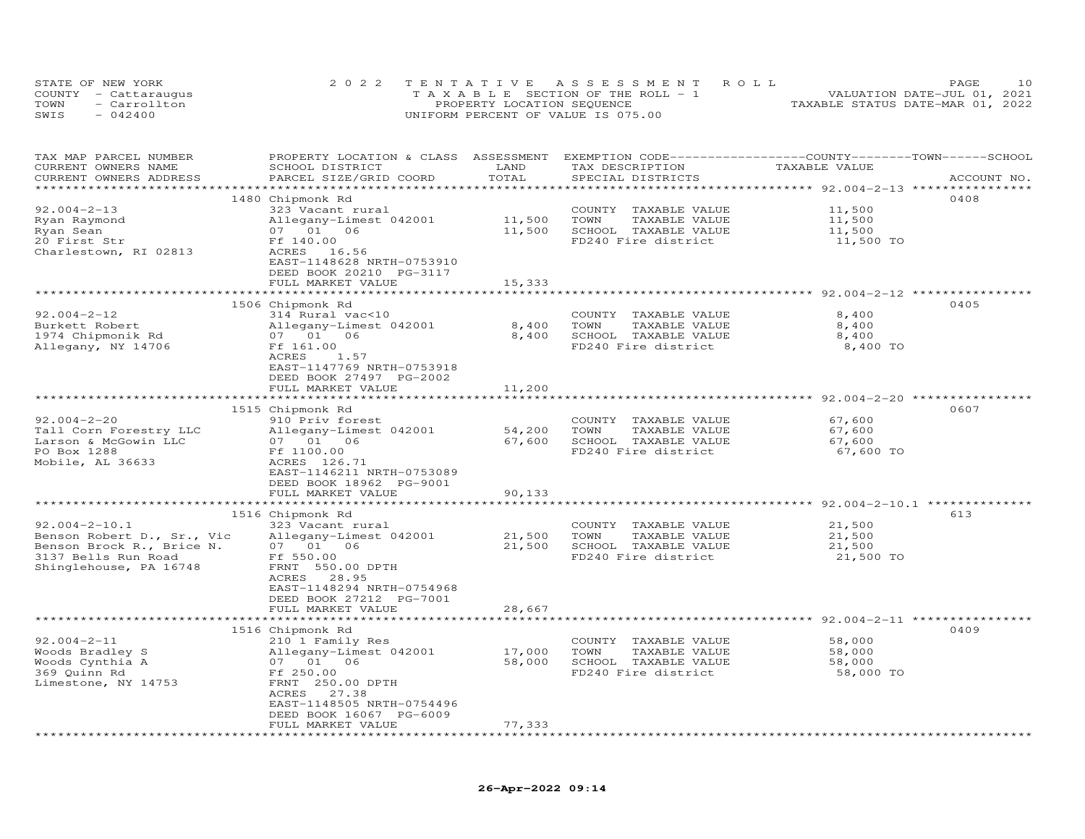|      | STATE OF NEW YORK    | 2022 TENTATIVE ASSESSMENT ROLL        |                                  | PAGE | 1 O |
|------|----------------------|---------------------------------------|----------------------------------|------|-----|
|      | COUNTY - Cattaraugus | T A X A B L E SECTION OF THE ROLL - 1 | VALUATION DATE-JUL 01, 2021      |      |     |
| TOWN | - Carrollton         | PROPERTY LOCATION SEQUENCE            | TAXABLE STATUS DATE-MAR 01, 2022 |      |     |
| SWIS | $-042400$            | UNIFORM PERCENT OF VALUE IS 075.00    |                                  |      |     |

| TAX MAP PARCEL NUMBER<br>CURRENT OWNERS NAME<br>CURRENT OWNERS ADDRESS | PROPERTY LOCATION & CLASS ASSESSMENT<br>SCHOOL DISTRICT<br>PARCEL SIZE/GRID COORD | LAND<br>TOTAL     | EXEMPTION CODE-----------------COUNTY-------TOWN------SCHOOL<br>TAX DESCRIPTION<br>SPECIAL DISTRICTS | TAXABLE VALUE                       | ACCOUNT NO. |
|------------------------------------------------------------------------|-----------------------------------------------------------------------------------|-------------------|------------------------------------------------------------------------------------------------------|-------------------------------------|-------------|
|                                                                        |                                                                                   |                   |                                                                                                      | ************* 92.004-2-13 ********* |             |
|                                                                        | 1480 Chipmonk Rd                                                                  |                   |                                                                                                      |                                     | 0408        |
| $92.004 - 2 - 13$                                                      | 323 Vacant rural                                                                  |                   | COUNTY TAXABLE VALUE                                                                                 | 11,500                              |             |
| Ryan Raymond                                                           | Allegany-Limest 042001                                                            | 11,500            | TOWN<br>TAXABLE VALUE                                                                                | 11,500                              |             |
| Ryan Sean                                                              | 07 01 06                                                                          | 11,500            | SCHOOL TAXABLE VALUE                                                                                 | 11,500                              |             |
| 20 First Str                                                           | Ff 140.00                                                                         |                   | FD240 Fire district                                                                                  | 11,500 TO                           |             |
| Charlestown, RI 02813                                                  | ACRES 16.56                                                                       |                   |                                                                                                      |                                     |             |
|                                                                        | EAST-1148628 NRTH-0753910                                                         |                   |                                                                                                      |                                     |             |
|                                                                        | DEED BOOK 20210 PG-3117                                                           |                   |                                                                                                      |                                     |             |
|                                                                        | FULL MARKET VALUE                                                                 | 15,333            |                                                                                                      |                                     |             |
|                                                                        |                                                                                   | ***************** | ******************************** 92.004-2-12 ****                                                    |                                     |             |
|                                                                        | 1506 Chipmonk Rd                                                                  |                   |                                                                                                      |                                     | 0405        |
| $92.004 - 2 - 12$                                                      | 314 Rural vac<10                                                                  |                   | COUNTY TAXABLE VALUE                                                                                 | 8,400                               |             |
| Burkett Robert                                                         | Allegany-Limest 042001                                                            | 8,400             | TOWN<br>TAXABLE VALUE                                                                                | 8,400                               |             |
| 1974 Chipmonik Rd                                                      | 07 01<br>06                                                                       | 8,400             | SCHOOL TAXABLE VALUE                                                                                 | 8,400                               |             |
| Allegany, NY 14706                                                     | Ff 161.00                                                                         |                   | FD240 Fire district                                                                                  | 8,400 TO                            |             |
|                                                                        | ACRES<br>1.57                                                                     |                   |                                                                                                      |                                     |             |
|                                                                        | EAST-1147769 NRTH-0753918                                                         |                   |                                                                                                      |                                     |             |
|                                                                        | DEED BOOK 27497 PG-2002                                                           |                   |                                                                                                      |                                     |             |
|                                                                        | FULL MARKET VALUE                                                                 | 11,200            |                                                                                                      |                                     |             |
|                                                                        |                                                                                   |                   |                                                                                                      |                                     |             |
|                                                                        | 1515 Chipmonk Rd                                                                  |                   |                                                                                                      |                                     | 0607        |
| $92.004 - 2 - 20$                                                      | 910 Priv forest                                                                   |                   | COUNTY TAXABLE VALUE                                                                                 | 67,600                              |             |
| Tall Corn Forestry LLC                                                 | Allegany-Limest 042001                                                            | 54,200            | TOWN<br>TAXABLE VALUE                                                                                | 67,600                              |             |
| Larson & McGowin LLC                                                   | 07 01 06                                                                          | 67,600            | SCHOOL TAXABLE VALUE                                                                                 | 67,600                              |             |
| PO Box 1288                                                            | Ff 1100.00                                                                        |                   | FD240 Fire district                                                                                  | 67,600 TO                           |             |
| Mobile, AL 36633                                                       | ACRES 126.71                                                                      |                   |                                                                                                      |                                     |             |
|                                                                        | EAST-1146211 NRTH-0753089                                                         |                   |                                                                                                      |                                     |             |
|                                                                        | DEED BOOK 18962 PG-9001                                                           |                   |                                                                                                      |                                     |             |
|                                                                        | FULL MARKET VALUE                                                                 | 90,133            |                                                                                                      |                                     |             |
|                                                                        |                                                                                   |                   |                                                                                                      |                                     |             |
|                                                                        | 1516 Chipmonk Rd                                                                  |                   |                                                                                                      |                                     | 613         |
| $92.004 - 2 - 10.1$                                                    | 323 Vacant rural                                                                  |                   | COUNTY TAXABLE VALUE                                                                                 | 21,500                              |             |
| Benson Robert D., Sr., Vic                                             | Allegany-Limest 042001                                                            | 21,500            | TOWN<br>TAXABLE VALUE                                                                                | 21,500                              |             |
| Benson Brock R., Brice N.                                              | 07 01 06                                                                          | 21,500            | SCHOOL TAXABLE VALUE                                                                                 | 21,500                              |             |
| 3137 Bells Run Road                                                    | Ff 550.00                                                                         |                   | FD240 Fire district                                                                                  | 21,500 TO                           |             |
| Shinglehouse, PA 16748                                                 | FRNT 550.00 DPTH                                                                  |                   |                                                                                                      |                                     |             |
|                                                                        | 28.95<br>ACRES                                                                    |                   |                                                                                                      |                                     |             |
|                                                                        | EAST-1148294 NRTH-0754968                                                         |                   |                                                                                                      |                                     |             |
|                                                                        | DEED BOOK 27212 PG-7001                                                           |                   |                                                                                                      |                                     |             |
|                                                                        | FULL MARKET VALUE                                                                 | 28,667            |                                                                                                      |                                     |             |
|                                                                        |                                                                                   |                   |                                                                                                      |                                     | 0409        |
| $92.004 - 2 - 11$                                                      | 1516 Chipmonk Rd                                                                  |                   |                                                                                                      |                                     |             |
|                                                                        | 210 1 Family Res                                                                  |                   | COUNTY TAXABLE VALUE<br>TOWN                                                                         | 58,000                              |             |
| Woods Bradley S                                                        | Allegany-Limest 042001                                                            | 17,000<br>58,000  | TAXABLE VALUE<br>SCHOOL TAXABLE VALUE                                                                | 58,000<br>58,000                    |             |
| Woods Cynthia A<br>369 Quinn Rd                                        | 07 01 06<br>Ff 250.00                                                             |                   | FD240 Fire district                                                                                  | 58,000 TO                           |             |
|                                                                        |                                                                                   |                   |                                                                                                      |                                     |             |
| Limestone, NY 14753                                                    | FRNT 250.00 DPTH<br>ACRES<br>27.38                                                |                   |                                                                                                      |                                     |             |
|                                                                        | EAST-1148505 NRTH-0754496                                                         |                   |                                                                                                      |                                     |             |
|                                                                        | DEED BOOK 16067 PG-6009                                                           |                   |                                                                                                      |                                     |             |
|                                                                        | FULL MARKET VALUE                                                                 | 77,333            |                                                                                                      |                                     |             |
| **********************                                                 |                                                                                   |                   |                                                                                                      |                                     |             |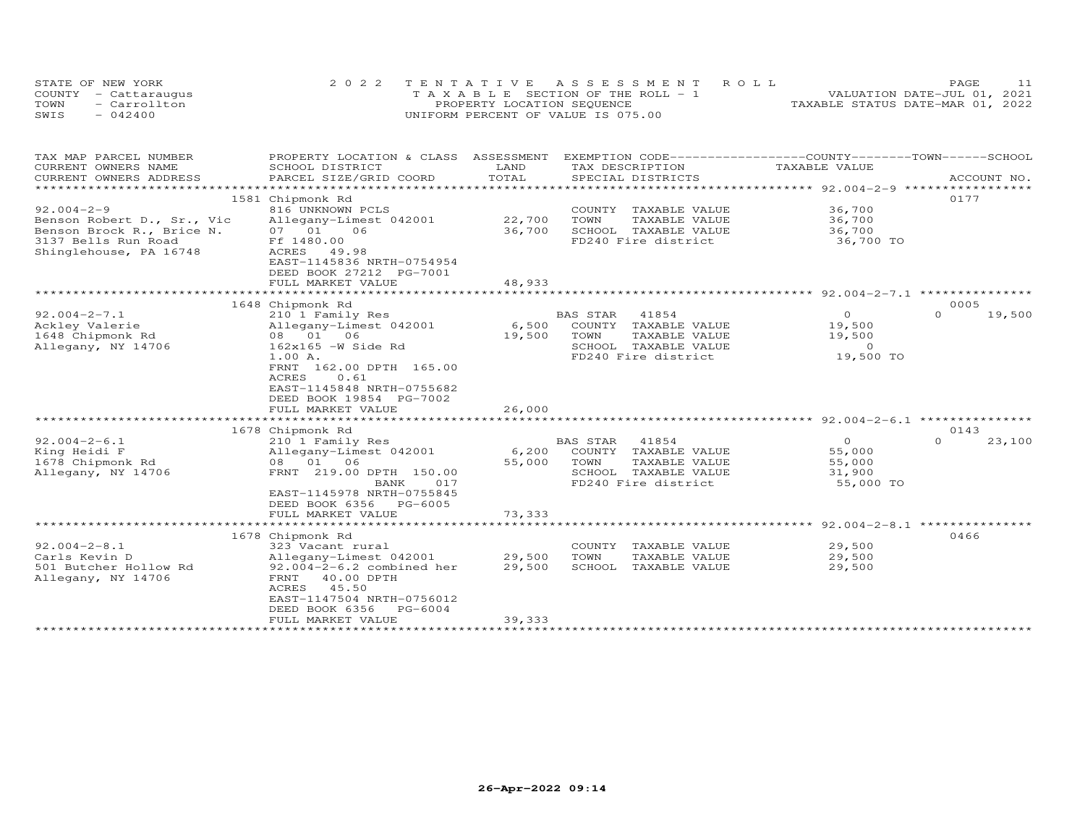| STATE OF NEW YORK    | 2022 TENTATIVE ASSESSMENT ROLL        | <b>PAGE</b>                      |
|----------------------|---------------------------------------|----------------------------------|
| COUNTY - Cattaraugus | T A X A B L E SECTION OF THE ROLL - 1 | VALUATION DATE-JUL 01, 2021      |
| TOWN<br>- Carrollton | PROPERTY LOCATION SEQUENCE            | TAXABLE STATUS DATE-MAR 01, 2022 |
| SWIS<br>$-042400$    | UNIFORM PERCENT OF VALUE IS 075.00    |                                  |

| TAX MAP PARCEL NUMBER<br>CURRENT OWNERS NAME            | PROPERTY LOCATION & CLASS<br>SCHOOL DISTRICT                                                                                      | ASSESSMENT<br>LAND | TAX DESCRIPTION                               | EXEMPTION CODE------------------COUNTY-------TOWN-----SCHOOL<br>TAXABLE VALUE |                    |
|---------------------------------------------------------|-----------------------------------------------------------------------------------------------------------------------------------|--------------------|-----------------------------------------------|-------------------------------------------------------------------------------|--------------------|
| CURRENT OWNERS ADDRESS                                  | PARCEL SIZE/GRID COORD                                                                                                            | TOTAL              | SPECIAL DISTRICTS                             |                                                                               | ACCOUNT NO.        |
|                                                         |                                                                                                                                   |                    |                                               |                                                                               |                    |
| $92.004 - 2 - 9$                                        | 1581 Chipmonk Rd<br>816 UNKNOWN PCLS                                                                                              |                    | COUNTY TAXABLE VALUE                          | 36,700                                                                        | 0177               |
| Benson Robert D., Sr., Vic<br>Benson Brock R., Brice N. | Allegany-Limest 042001<br>06<br>07 01                                                                                             | 22,700<br>36,700   | TOWN<br>TAXABLE VALUE<br>SCHOOL TAXABLE VALUE | 36,700<br>36,700                                                              |                    |
| 3137 Bells Run Road<br>Shinglehouse, PA 16748           | Ff 1480.00<br>ACRES 49.98<br>EAST-1145836 NRTH-0754954<br>DEED BOOK 27212 PG-7001<br>FULL MARKET VALUE                            | 48,933             | FD240 Fire district                           | 36,700 TO                                                                     |                    |
|                                                         |                                                                                                                                   |                    |                                               |                                                                               |                    |
|                                                         | 1648 Chipmonk Rd                                                                                                                  |                    |                                               |                                                                               | 0005               |
| $92.004 - 2 - 7.1$                                      | 210 1 Family Res                                                                                                                  |                    | <b>BAS STAR</b><br>41854                      | $\circ$                                                                       | $\Omega$<br>19,500 |
| Ackley Valerie                                          | Allegany-Limest 042001                                                                                                            | 6,500              | COUNTY<br>TAXABLE VALUE                       | 19,500                                                                        |                    |
| 1648 Chipmonk Rd                                        | 08  01  06                                                                                                                        | 19,500             | TOWN<br>TAXABLE VALUE                         | 19,500                                                                        |                    |
| Allegany, NY 14706                                      | $162x165 - W$ Side Rd                                                                                                             |                    | TAXABLE VALUE<br>SCHOOL                       | $\circ$                                                                       |                    |
|                                                         | 1.00 A.<br>FRNT 162.00 DPTH 165.00<br>ACRES<br>0.61<br>EAST-1145848 NRTH-0755682                                                  |                    | FD240 Fire district                           | 19,500 TO                                                                     |                    |
|                                                         | DEED BOOK 19854 PG-7002<br>FULL MARKET VALUE                                                                                      | 26,000             |                                               |                                                                               |                    |
|                                                         |                                                                                                                                   |                    |                                               | *********** 92.004-2-6.1 ********                                             |                    |
|                                                         | 1678 Chipmonk Rd                                                                                                                  |                    |                                               |                                                                               | 0143               |
| $92.004 - 2 - 6.1$                                      | 210 1 Family Res                                                                                                                  |                    | 41854<br>BAS STAR                             | $\circ$                                                                       | $\Omega$<br>23,100 |
| King Heidi F                                            | Allegany-Limest 042001                                                                                                            | 6,200              | COUNTY TAXABLE VALUE                          | 55,000                                                                        |                    |
| 1678 Chipmonk Rd                                        | 08  01  06                                                                                                                        | 55,000             | TOWN<br>TAXABLE VALUE                         | 55,000                                                                        |                    |
| Allegany, NY 14706                                      | FRNT 219.00 DPTH 150.00                                                                                                           |                    | SCHOOL TAXABLE VALUE                          | 31,900                                                                        |                    |
|                                                         | BANK<br>017<br>EAST-1145978 NRTH-0755845                                                                                          |                    | FD240 Fire district                           | 55,000 TO                                                                     |                    |
|                                                         | DEED BOOK 6356 PG-6005                                                                                                            |                    |                                               |                                                                               |                    |
|                                                         | FULL MARKET VALUE<br>*********************                                                                                        | 73,333             |                                               |                                                                               |                    |
|                                                         |                                                                                                                                   |                    |                                               | ****************** 92.004-2-8.1                                               |                    |
|                                                         | 1678 Chipmonk Rd                                                                                                                  |                    |                                               |                                                                               | 0466               |
| $92.004 - 2 - 8.1$                                      | 323 Vacant rural                                                                                                                  |                    | COUNTY<br>TAXABLE VALUE                       | 29,500                                                                        |                    |
| Carls Kevin D                                           | Allegany-Limest 042001                                                                                                            | 29,500             | TOWN<br>TAXABLE VALUE                         | 29,500                                                                        |                    |
| 501 Butcher Hollow Rd<br>Allegany, NY 14706             | $92.004 - 2 - 6.2$ combined her<br>40.00 DPTH<br>FRNT<br>ACRES<br>45.50<br>EAST-1147504 NRTH-0756012<br>DEED BOOK 6356<br>PG-6004 | 29,500             | SCHOOL<br>TAXABLE VALUE                       | 29,500                                                                        |                    |
|                                                         | FULL MARKET VALUE                                                                                                                 | 39,333             |                                               |                                                                               |                    |
|                                                         | **************************************                                                                                            |                    |                                               |                                                                               |                    |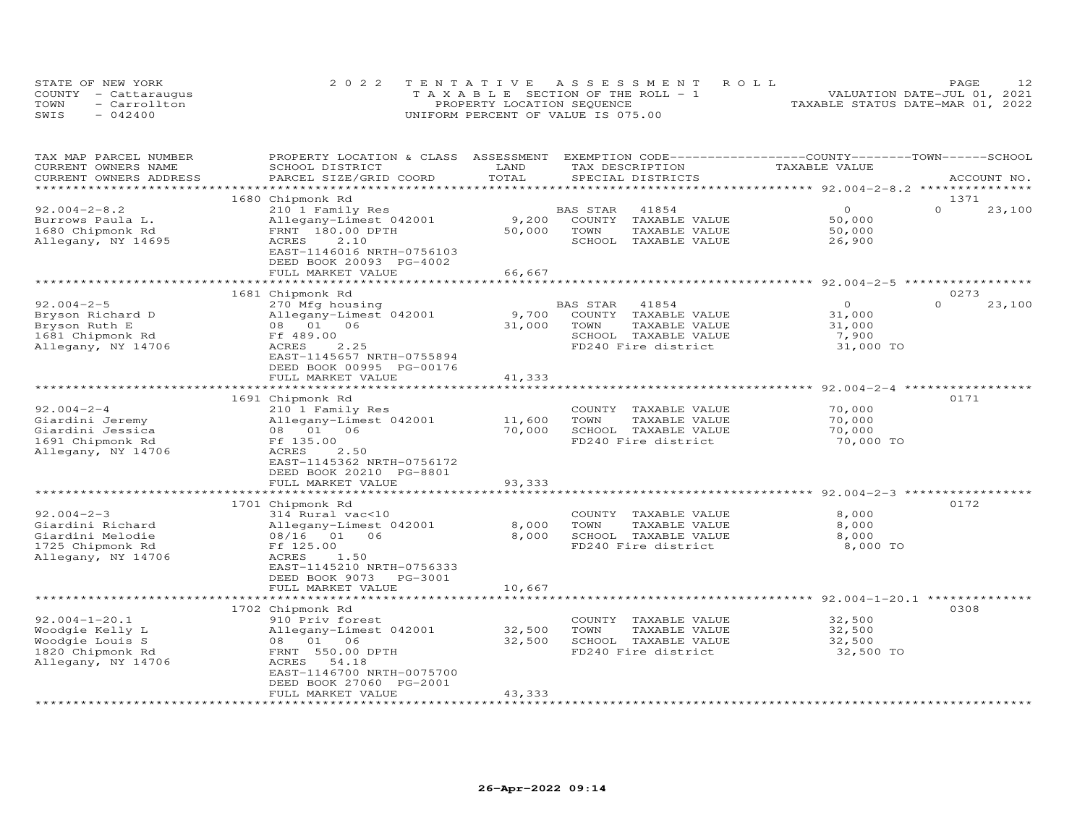|      | STATE OF NEW YORK    | 2022 TENTATIVE ASSESSMENT ROLL        | PAGE.                            |
|------|----------------------|---------------------------------------|----------------------------------|
|      | COUNTY - Cattaraugus | T A X A B L E SECTION OF THE ROLL - 1 | VALUATION DATE-JUL 01, 2021      |
| TOWN | - Carrollton         | PROPERTY LOCATION SEQUENCE            | TAXABLE STATUS DATE-MAR 01, 2022 |
| SWIS | $-042400$            | UNIFORM PERCENT OF VALUE IS 075.00    |                                  |

| TAX MAP PARCEL NUMBER  | PROPERTY LOCATION & CLASS                 | ASSESSMENT              | EXEMPTION CODE-----------------COUNTY-------TOWN------SCHOOL |                                         |                    |
|------------------------|-------------------------------------------|-------------------------|--------------------------------------------------------------|-----------------------------------------|--------------------|
| CURRENT OWNERS NAME    | SCHOOL DISTRICT                           | LAND                    | TAX DESCRIPTION                                              | TAXABLE VALUE                           |                    |
| CURRENT OWNERS ADDRESS | PARCEL SIZE/GRID COORD                    | TOTAL                   | SPECIAL DISTRICTS                                            |                                         | ACCOUNT NO.        |
|                        |                                           |                         |                                                              |                                         |                    |
|                        | 1680 Chipmonk Rd                          |                         |                                                              |                                         | 1371               |
| $92.004 - 2 - 8.2$     | 210 1 Family Res                          |                         | 41854<br>BAS STAR                                            | $\Omega$                                | $\Omega$<br>23,100 |
| Burrows Paula L.       | Allegany-Limest 042001                    | 9,200                   | COUNTY<br>TAXABLE VALUE                                      | 50,000                                  |                    |
| 1680 Chipmonk Rd       | FRNT 180.00 DPTH                          | 50,000                  | TOWN<br>TAXABLE VALUE                                        | 50,000                                  |                    |
| Allegany, NY 14695     | 2.10<br>ACRES                             |                         | SCHOOL<br>TAXABLE VALUE                                      | 26,900                                  |                    |
|                        | EAST-1146016 NRTH-0756103                 |                         |                                                              |                                         |                    |
|                        | DEED BOOK 20093 PG-4002                   |                         |                                                              |                                         |                    |
|                        | FULL MARKET VALUE                         | 66,667                  |                                                              |                                         |                    |
|                        |                                           |                         |                                                              | $92.004 - 2 - 5$                        |                    |
|                        | 1681 Chipmonk Rd                          |                         |                                                              |                                         | 0273               |
| $92.004 - 2 - 5$       | 270 Mfg housing                           |                         | 41854<br>BAS STAR                                            | $\circ$                                 | $\Omega$<br>23,100 |
| Bryson Richard D       | Allegany-Limest 042001                    | 9,700                   | COUNTY<br>TAXABLE VALUE                                      | 31,000                                  |                    |
| Bryson Ruth E          | 01 06<br>08                               | 31,000                  | TOWN<br>TAXABLE VALUE                                        | 31,000                                  |                    |
| 1681 Chipmonk Rd       | Ff 489.00                                 |                         | SCHOOL TAXABLE VALUE                                         | 7,900                                   |                    |
| Allegany, NY 14706     | 2.25<br>ACRES                             |                         | FD240 Fire district                                          | 31,000 TO                               |                    |
|                        | EAST-1145657 NRTH-0755894                 |                         |                                                              |                                         |                    |
|                        | DEED BOOK 00995 PG-00176                  |                         |                                                              |                                         |                    |
|                        | FULL MARKET VALUE                         | 41,333                  |                                                              |                                         |                    |
|                        | * * * * * * * * * * * * * * * * * *       |                         |                                                              | $***$ 92.004-2-4                        |                    |
|                        | 1691 Chipmonk Rd                          |                         |                                                              |                                         | 0171               |
| $92.004 - 2 - 4$       | 210 1 Family Res                          |                         | COUNTY<br>TAXABLE VALUE                                      | 70,000                                  |                    |
| Giardini Jeremy        | Allegany-Limest 042001                    | 11,600                  | TOWN<br>TAXABLE VALUE                                        | 70,000                                  |                    |
| Giardini Jessica       | 08  01  06                                | 70,000                  | SCHOOL TAXABLE VALUE                                         | 70,000                                  |                    |
| 1691 Chipmonk Rd       | Ff 135.00                                 |                         | FD240 Fire district                                          | 70,000 TO                               |                    |
| Allegany, NY 14706     | ACRES<br>2.50                             |                         |                                                              |                                         |                    |
|                        | EAST-1145362 NRTH-0756172                 |                         |                                                              |                                         |                    |
|                        | DEED BOOK 20210 PG-8801                   |                         |                                                              |                                         |                    |
|                        | FULL MARKET VALUE                         | 93,333                  |                                                              |                                         |                    |
|                        |                                           |                         |                                                              | *** 92.004-2-3                          |                    |
|                        | 1701 Chipmonk Rd                          |                         |                                                              |                                         | 0172               |
| $92.004 - 2 - 3$       | 314 Rural vac<10                          |                         | TAXABLE VALUE<br>COUNTY                                      | 8,000                                   |                    |
| Giardini Richard       | Allegany-Limest 042001                    | 8,000                   | TOWN<br>TAXABLE VALUE                                        | 8,000                                   |                    |
| Giardini Melodie       | 08/16 01 06                               | 8,000                   | SCHOOL TAXABLE VALUE                                         | 8,000                                   |                    |
| 1725 Chipmonk Rd       | Ff 125.00                                 |                         | FD240 Fire district                                          | 8,000 TO                                |                    |
| Allegany, NY 14706     | ACRES<br>1.50                             |                         |                                                              |                                         |                    |
|                        | EAST-1145210 NRTH-0756333                 |                         |                                                              |                                         |                    |
|                        | DEED BOOK 9073 PG-3001                    |                         |                                                              |                                         |                    |
|                        | FULL MARKET VALUE                         | 10,667                  |                                                              |                                         |                    |
|                        |                                           |                         |                                                              | **************** 92.004-1-20.1 ******** |                    |
|                        | 1702 Chipmonk Rd                          |                         |                                                              |                                         | 0308               |
| $92.004 - 1 - 20.1$    | 910 Priv forest                           |                         | COUNTY<br>TAXABLE VALUE                                      | 32,500                                  |                    |
| Woodgie Kelly L        | Allegany-Limest 042001                    | 32,500                  | TOWN<br>TAXABLE VALUE                                        | 32,500                                  |                    |
| Woodgie Louis S        | 06<br>08 01                               | 32,500                  | SCHOOL TAXABLE VALUE                                         | 32,500                                  |                    |
| 1820 Chipmonk Rd       | FRNT 550.00 DPTH                          |                         | FD240 Fire district                                          | 32,500 TO                               |                    |
| Allegany, NY 14706     | ACRES<br>54.18                            |                         |                                                              |                                         |                    |
|                        | EAST-1146700 NRTH-0075700                 |                         |                                                              |                                         |                    |
|                        | DEED BOOK 27060 PG-2001                   |                         |                                                              |                                         |                    |
|                        | FULL MARKET VALUE<br>******************** | 43,333<br>************* |                                                              |                                         |                    |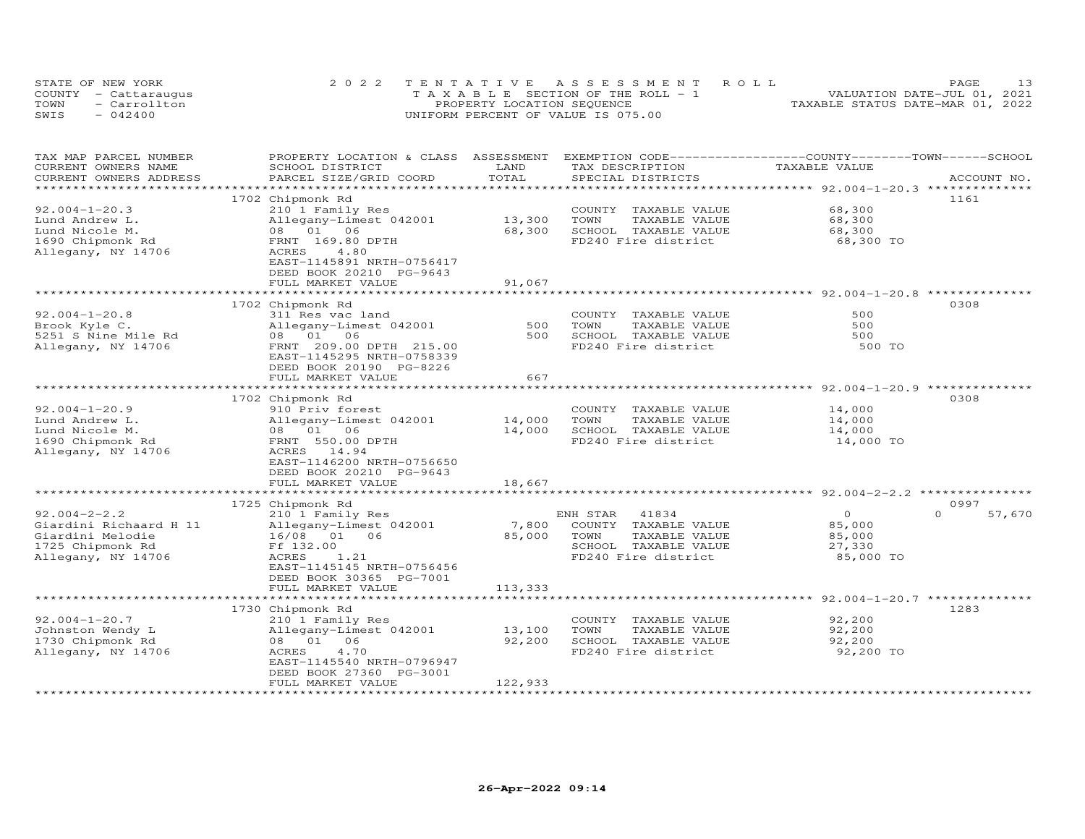|      | STATE OF NEW YORK    | 2022 TENTATIVE ASSESSMENT ROLL        | PAGE                             |
|------|----------------------|---------------------------------------|----------------------------------|
|      | COUNTY - Cattaraugus | T A X A B L E SECTION OF THE ROLL - 1 | VALUATION DATE-JUL 01, 2021      |
| TOWN | - Carrollton         | PROPERTY LOCATION SEQUENCE            | TAXABLE STATUS DATE-MAR 01, 2022 |
| SWIS | $-042400$            | UNIFORM PERCENT OF VALUE IS 075.00    |                                  |

| TAX MAP PARCEL NUMBER<br>CURRENT OWNERS NAME      | PROPERTY LOCATION & CLASS ASSESSMENT<br>SCHOOL DISTRICT | LAND                   | EXEMPTION CODE-----------------COUNTY-------TOWN------SCHOOL<br>TAX DESCRIPTION | TAXABLE VALUE                                                |                    |
|---------------------------------------------------|---------------------------------------------------------|------------------------|---------------------------------------------------------------------------------|--------------------------------------------------------------|--------------------|
| CURRENT OWNERS ADDRESS<br>*********************** | PARCEL SIZE/GRID COORD                                  | TOTAL                  | SPECIAL DISTRICTS                                                               |                                                              | ACCOUNT NO.        |
|                                                   | 1702 Chipmonk Rd                                        |                        |                                                                                 |                                                              | 1161               |
| $92.004 - 1 - 20.3$                               | 210 1 Family Res                                        |                        | COUNTY<br>TAXABLE VALUE                                                         | 68,300                                                       |                    |
| Lund Andrew L.                                    | Allegany-Limest 042001                                  | 13,300                 | TOWN<br>TAXABLE VALUE                                                           | 68,300                                                       |                    |
| Lund Nicole M.                                    | 08 01 06                                                | 68,300                 | SCHOOL TAXABLE VALUE                                                            | 68,300                                                       |                    |
| 1690 Chipmonk Rd                                  | FRNT 169.80 DPTH                                        |                        | FD240 Fire district                                                             | 68,300 TO                                                    |                    |
| Allegany, NY 14706                                | ACRES<br>4.80                                           |                        |                                                                                 |                                                              |                    |
|                                                   | EAST-1145891 NRTH-0756417                               |                        |                                                                                 |                                                              |                    |
|                                                   | DEED BOOK 20210 PG-9643                                 |                        |                                                                                 |                                                              |                    |
|                                                   | FULL MARKET VALUE                                       | 91,067                 |                                                                                 |                                                              |                    |
|                                                   |                                                         |                        |                                                                                 |                                                              | 0308               |
|                                                   | 1702 Chipmonk Rd                                        |                        |                                                                                 | 500                                                          |                    |
| $92.004 - 1 - 20.8$                               | 311 Res vac land                                        | 500                    | COUNTY TAXABLE VALUE<br>TOWN<br>TAXABLE VALUE                                   | 500                                                          |                    |
| Brook Kyle C.<br>5251 S Nine Mile Rd              | Allegany-Limest 042001<br>08  01  06                    | 500                    | SCHOOL TAXABLE VALUE                                                            | 500                                                          |                    |
| Allegany, NY 14706                                | FRNT 209.00 DPTH 215.00                                 |                        | FD240 Fire district                                                             | 500 TO                                                       |                    |
|                                                   | EAST-1145295 NRTH-0758339                               |                        |                                                                                 |                                                              |                    |
|                                                   | DEED BOOK 20190 PG-8226                                 |                        |                                                                                 |                                                              |                    |
|                                                   | FULL MARKET VALUE                                       | 667                    |                                                                                 |                                                              |                    |
|                                                   |                                                         |                        |                                                                                 |                                                              |                    |
|                                                   | 1702 Chipmonk Rd                                        |                        |                                                                                 |                                                              | 0308               |
| $92.004 - 1 - 20.9$                               | 910 Priv forest                                         |                        | COUNTY TAXABLE VALUE                                                            | 14,000                                                       |                    |
| Lund Andrew L.                                    | Allegany-Limest 042001                                  | 14,000                 | TOWN<br>TAXABLE VALUE                                                           | 14,000                                                       |                    |
| Lund Nicole M.                                    | 08 01 06                                                | 14,000                 | SCHOOL TAXABLE VALUE                                                            | 14,000                                                       |                    |
| 1690 Chipmonk Rd                                  | FRNT 550.00 DPTH                                        |                        | FD240 Fire district                                                             | 14,000 TO                                                    |                    |
| Allegany, NY 14706                                | ACRES 14.94                                             |                        |                                                                                 |                                                              |                    |
|                                                   | EAST-1146200 NRTH-0756650                               |                        |                                                                                 |                                                              |                    |
|                                                   | DEED BOOK 20210 PG-9643                                 |                        |                                                                                 |                                                              |                    |
|                                                   | FULL MARKET VALUE<br>***********************            | 18,667<br>************ |                                                                                 | ******************************* 92.004-2-2.2 *************** |                    |
|                                                   | 1725 Chipmonk Rd                                        |                        |                                                                                 |                                                              | 0997               |
| $92.004 - 2 - 2.2$                                | 210 1 Family Res                                        |                        | ENH STAR<br>41834                                                               | $\Omega$                                                     | 57,670<br>$\Omega$ |
| Giardini Richaard H 11                            | Allegany-Limest 042001                                  | 7,800                  | COUNTY TAXABLE VALUE                                                            | 85,000                                                       |                    |
| Giardini Melodie                                  | 16/08 01 06                                             | 85,000                 | TOWN<br>TAXABLE VALUE                                                           | 85,000                                                       |                    |
| 1725 Chipmonk Rd                                  | Ff 132.00                                               |                        | SCHOOL TAXABLE VALUE                                                            | 27,330                                                       |                    |
| Allegany, NY 14706                                | ACRES<br>1.21                                           |                        | FD240 Fire district                                                             | 85,000 TO                                                    |                    |
|                                                   | EAST-1145145 NRTH-0756456                               |                        |                                                                                 |                                                              |                    |
|                                                   | DEED BOOK 30365 PG-7001                                 |                        |                                                                                 |                                                              |                    |
|                                                   | FULL MARKET VALUE                                       | 113,333                |                                                                                 |                                                              |                    |
|                                                   |                                                         |                        |                                                                                 |                                                              |                    |
|                                                   | 1730 Chipmonk Rd                                        |                        |                                                                                 |                                                              | 1283               |
| $92.004 - 1 - 20.7$                               | 210 1 Family Res                                        |                        | COUNTY TAXABLE VALUE                                                            | 92,200                                                       |                    |
| Johnston Wendy L                                  | Allegany-Limest 042001                                  | 13,100                 | TOWN<br>TAXABLE VALUE                                                           | 92,200                                                       |                    |
| 1730 Chipmonk Rd                                  | 08  01  06                                              | 92,200                 | SCHOOL TAXABLE VALUE                                                            | 92,200                                                       |                    |
| Allegany, NY 14706                                | ACRES<br>4.70                                           |                        | FD240 Fire district                                                             | 92,200 TO                                                    |                    |
|                                                   | EAST-1145540 NRTH-0796947<br>DEED BOOK 27360 PG-3001    |                        |                                                                                 |                                                              |                    |
|                                                   | FULL MARKET VALUE                                       | 122,933                |                                                                                 |                                                              |                    |
|                                                   |                                                         |                        |                                                                                 |                                                              |                    |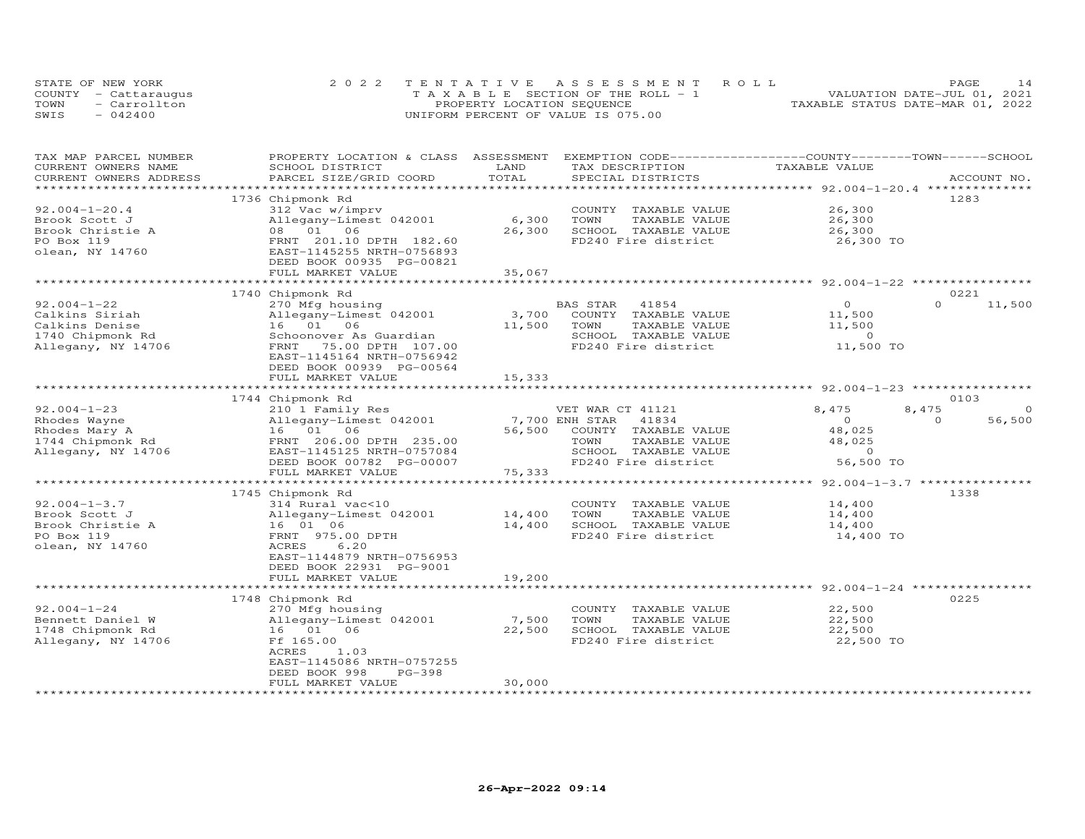|      | STATE OF NEW YORK    | 2022 TENTATIVE ASSESSMENT ROLL        | <b>PAGE</b>                      |
|------|----------------------|---------------------------------------|----------------------------------|
|      | COUNTY - Cattaraugus | T A X A B L E SECTION OF THE ROLL - 1 | VALUATION DATE-JUL 01, 2021      |
| TOWN | - Carrollton         | PROPERTY LOCATION SEQUENCE            | TAXABLE STATUS DATE-MAR 01, 2022 |
| SWIS | $-042400$            | UNIFORM PERCENT OF VALUE IS 075.00    |                                  |

| TAX MAP PARCEL NUMBER         | PROPERTY LOCATION & CLASS ASSESSMENT |                  | EXEMPTION CODE-----------------COUNTY-------TOWN-----SCHOOL |                                                   |                    |
|-------------------------------|--------------------------------------|------------------|-------------------------------------------------------------|---------------------------------------------------|--------------------|
| CURRENT OWNERS NAME           | SCHOOL DISTRICT                      | LAND             | TAX DESCRIPTION                                             | TAXABLE VALUE                                     |                    |
| CURRENT OWNERS ADDRESS        | PARCEL SIZE/GRID COORD               | TOTAL            | SPECIAL DISTRICTS                                           |                                                   | ACCOUNT NO.        |
|                               |                                      |                  |                                                             |                                                   | 1283               |
| $92.004 - 1 - 20.4$           | 1736 Chipmonk Rd<br>312 Vac w/imprv  |                  | COUNTY TAXABLE VALUE                                        | 26,300                                            |                    |
| Brook Scott J                 | Allegany-Limest 042001               | 6,300            | TOWN<br>TAXABLE VALUE                                       | 26,300                                            |                    |
| Brook Christie A              | 08  01  06                           | 26,300           | SCHOOL TAXABLE VALUE                                        | 26,300                                            |                    |
| PO Box 119                    | FRNT 201.10 DPTH 182.60              |                  | FD240 Fire district                                         | 26,300 TO                                         |                    |
| olean, NY 14760               | EAST-1145255 NRTH-0756893            |                  |                                                             |                                                   |                    |
|                               | DEED BOOK 00935 PG-00821             |                  |                                                             |                                                   |                    |
|                               | FULL MARKET VALUE                    | 35,067           |                                                             |                                                   |                    |
|                               |                                      |                  |                                                             |                                                   |                    |
|                               | 1740 Chipmonk Rd                     |                  |                                                             |                                                   | 0221               |
| $92.004 - 1 - 22$             | 270 Mfg housing                      |                  | BAS STAR<br>41854                                           | $\Omega$                                          | $\Omega$<br>11,500 |
| Calkins Siriah                | Allegany-Limest 042001               | 3,700            | COUNTY TAXABLE VALUE                                        | 11,500                                            |                    |
| Calkins Denise                | 16 01 06                             | 11,500           | TOWN<br>TAXABLE VALUE                                       | 11,500                                            |                    |
| 1740 Chipmonk Rd              | Schoonover As Guardian               |                  | SCHOOL TAXABLE VALUE                                        | $\sim$ 0                                          |                    |
| Allegany, NY 14706            | FRNT 75.00 DPTH 107.00               |                  | FD240 Fire district                                         | 11,500 TO                                         |                    |
|                               | EAST-1145164 NRTH-0756942            |                  |                                                             |                                                   |                    |
|                               | DEED BOOK 00939 PG-00564             |                  |                                                             |                                                   |                    |
|                               | FULL MARKET VALUE                    | 15,333           |                                                             |                                                   |                    |
|                               |                                      |                  |                                                             |                                                   |                    |
|                               | 1744 Chipmonk Rd                     |                  |                                                             |                                                   | 0103               |
| $92.004 - 1 - 23$             | 210 1 Family Res                     |                  | VET WAR CT 41121                                            | 8,475                                             | 8,475<br>$\Omega$  |
| Rhodes Wayne                  | Allegany-Limest 042001               |                  | 7,700 ENH STAR<br>41834                                     | $\Omega$                                          | 56,500<br>$\Omega$ |
| Rhodes Mary A                 | 16 01 06                             | 56,500           | COUNTY TAXABLE VALUE                                        | 48,025                                            |                    |
| 1744 Chipmonk Rd              | FRNT 206.00 DPTH 235.00              |                  | TOWN<br>TAXABLE VALUE                                       | 48,025                                            |                    |
| Allegany, NY 14706            | EAST-1145125 NRTH-0757084            |                  | SCHOOL TAXABLE VALUE                                        | $\Omega$                                          |                    |
|                               | DEED BOOK 00782 PG-00007             |                  | FD240 Fire district                                         | 56,500 TO                                         |                    |
|                               | FULL MARKET VALUE                    | 75,333           |                                                             |                                                   |                    |
|                               |                                      |                  |                                                             |                                                   |                    |
|                               | 1745 Chipmonk Rd                     |                  |                                                             |                                                   | 1338               |
| $92.004 - 1 - 3.7$            | 314 Rural vac<10                     |                  | COUNTY TAXABLE VALUE                                        | 14,400                                            |                    |
| Brook Scott J                 | Allegany-Limest 042001               | 14,400           | TOWN<br>TAXABLE VALUE                                       | 14,400                                            |                    |
| Brook Christie A              | 16 01 06                             | 14,400           | SCHOOL TAXABLE VALUE<br>FD240 Fire district                 | 14,400                                            |                    |
| PO Box 119<br>olean, NY 14760 | FRNT 975.00 DPTH<br>ACRES<br>6.20    |                  |                                                             | 14,400 TO                                         |                    |
|                               | EAST-1144879 NRTH-0756953            |                  |                                                             |                                                   |                    |
|                               | DEED BOOK 22931 PG-9001              |                  |                                                             |                                                   |                    |
|                               | FULL MARKET VALUE                    | 19,200           |                                                             |                                                   |                    |
|                               | ***********************              | **************** |                                                             | ******************************* 92.004-1-24 ***** |                    |
|                               | 1748 Chipmonk Rd                     |                  |                                                             |                                                   | 0225               |
| $92.004 - 1 - 24$             | 270 Mfg housing                      |                  | COUNTY TAXABLE VALUE                                        | 22,500                                            |                    |
| Bennett Daniel W              | Allegany-Limest 042001               | 7,500            | TOWN<br>TAXABLE VALUE                                       | 22,500                                            |                    |
| 1748 Chipmonk Rd              | 16 01 06                             | 22,500           | SCHOOL TAXABLE VALUE                                        | 22,500                                            |                    |
| Allegany, NY 14706            | Ff 165.00                            |                  | FD240 Fire district                                         | 22,500 TO                                         |                    |
|                               | ACRES<br>1.03                        |                  |                                                             |                                                   |                    |
|                               | EAST-1145086 NRTH-0757255            |                  |                                                             |                                                   |                    |
|                               | DEED BOOK 998<br>$PG-398$            |                  |                                                             |                                                   |                    |
|                               | FULL MARKET VALUE                    | 30,000           |                                                             |                                                   |                    |
|                               |                                      |                  |                                                             |                                                   |                    |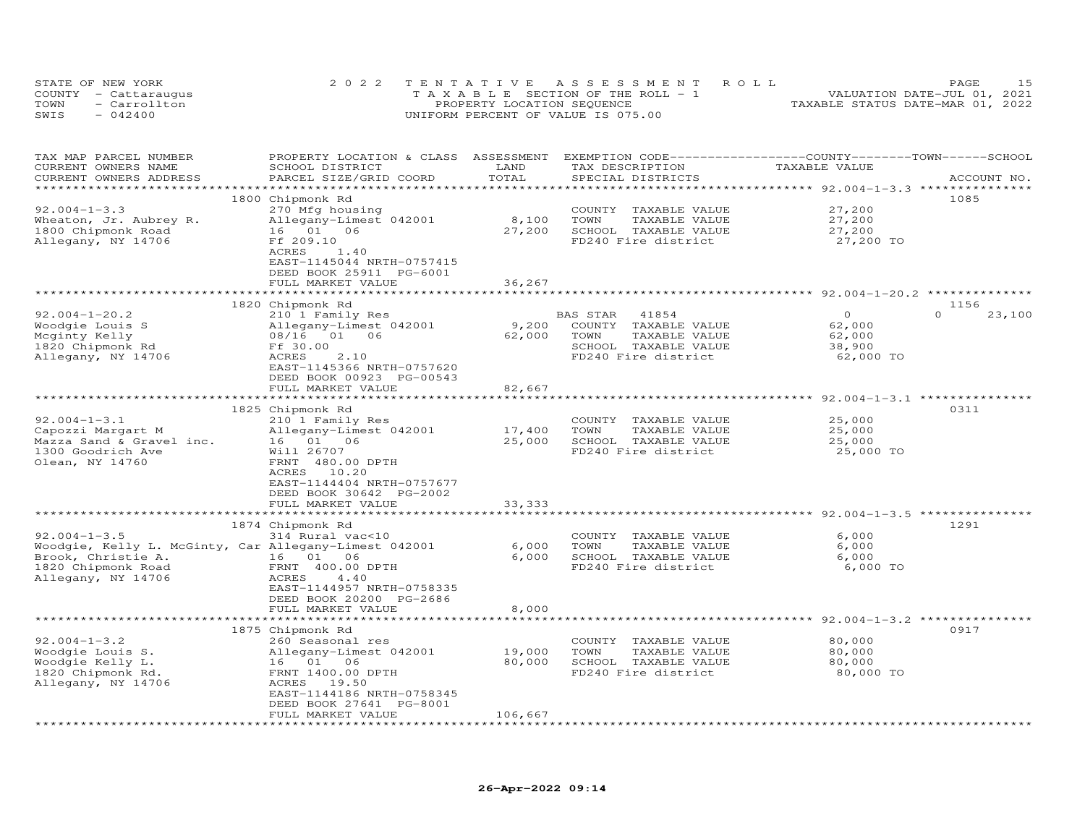|      | STATE OF NEW YORK    | 2022 TENTATIVE ASSESSMENT ROLL        | 15<br>PAGE                       |
|------|----------------------|---------------------------------------|----------------------------------|
|      | COUNTY - Cattaraugus | T A X A B L E SECTION OF THE ROLL - 1 | VALUATION DATE-JUL 01, 2021      |
| TOWN | - Carrollton         | PROPERTY LOCATION SEQUENCE            | TAXABLE STATUS DATE-MAR 01, 2022 |
| SWIS | $-042400$            | UNIFORM PERCENT OF VALUE IS 075.00    |                                  |

| TAX MAP PARCEL NUMBER<br>CURRENT OWNERS NAME          | PROPERTY LOCATION & CLASS ASSESSMENT<br>SCHOOL DISTRICT | LAND<br>TOTAL             | EXEMPTION CODE------------------COUNTY-------TOWN-----SCHOOL<br>TAX DESCRIPTION | TAXABLE VALUE                                                        |                    |
|-------------------------------------------------------|---------------------------------------------------------|---------------------------|---------------------------------------------------------------------------------|----------------------------------------------------------------------|--------------------|
| CURRENT OWNERS ADDRESS<br>***********************     | PARCEL SIZE/GRID COORD                                  |                           | SPECIAL DISTRICTS                                                               |                                                                      | ACCOUNT NO.        |
|                                                       | 1800 Chipmonk Rd                                        |                           |                                                                                 |                                                                      | 1085               |
| $92.004 - 1 - 3.3$                                    | 270 Mfg housing                                         |                           | COUNTY TAXABLE VALUE                                                            | 27,200                                                               |                    |
| Wheaton, Jr. Aubrey R.                                | Allegany-Limest 042001                                  | 8,100                     | TAXABLE VALUE<br>TOWN                                                           | 27,200                                                               |                    |
| 1800 Chipmonk Road                                    | 16 01 06                                                | 27,200                    | SCHOOL TAXABLE VALUE                                                            | 27,200                                                               |                    |
| Allegany, NY 14706                                    | Ff 209.10                                               |                           | FD240 Fire district                                                             | 27,200 TO                                                            |                    |
|                                                       | ACRES<br>1.40                                           |                           |                                                                                 |                                                                      |                    |
|                                                       | EAST-1145044 NRTH-0757415                               |                           |                                                                                 |                                                                      |                    |
|                                                       | DEED BOOK 25911 PG-6001                                 |                           |                                                                                 |                                                                      |                    |
|                                                       | FULL MARKET VALUE                                       | 36,267                    |                                                                                 |                                                                      |                    |
|                                                       |                                                         |                           |                                                                                 | ******************************** 92.004-1-20.2 **************        |                    |
|                                                       | 1820 Chipmonk Rd                                        |                           |                                                                                 |                                                                      | 1156               |
| $92.004 - 1 - 20.2$                                   | 210 1 Family Res                                        |                           | BAS STAR<br>41854                                                               | $\Omega$                                                             | $\Omega$<br>23,100 |
| Woodgie Louis S                                       | Allegany-Limest 042001                                  | 9,200                     | COUNTY TAXABLE VALUE                                                            | 62,000                                                               |                    |
| Mcginty Kelly                                         | 08/16 01 06                                             | 62,000                    | TAXABLE VALUE<br>TOWN                                                           | 62,000                                                               |                    |
| 1820 Chipmonk Rd                                      | Ff 30.00                                                |                           | SCHOOL TAXABLE VALUE                                                            | 38,900                                                               |                    |
| Allegany, NY 14706                                    | 2.10<br>ACRES                                           |                           | FD240 Fire district                                                             | 62,000 TO                                                            |                    |
|                                                       | EAST-1145366 NRTH-0757620                               |                           |                                                                                 |                                                                      |                    |
|                                                       | DEED BOOK 00923 PG-00543                                |                           |                                                                                 |                                                                      |                    |
|                                                       | FULL MARKET VALUE                                       | 82,667                    |                                                                                 |                                                                      |                    |
|                                                       |                                                         |                           |                                                                                 |                                                                      |                    |
|                                                       | 1825 Chipmonk Rd                                        |                           |                                                                                 |                                                                      | 0311               |
| $92.004 - 1 - 3.1$                                    | 210 1 Family Res                                        |                           | COUNTY TAXABLE VALUE                                                            | 25,000                                                               |                    |
| Capozzi Margart M                                     | Allegany-Limest 042001                                  | 17,400                    | TAXABLE VALUE<br>TOWN                                                           | 25,000                                                               |                    |
| Mazza Sand & Gravel inc.                              | 16 01 06                                                | 25,000                    | SCHOOL TAXABLE VALUE                                                            | 25,000                                                               |                    |
| 1300 Goodrich Ave                                     | Will 26707                                              |                           | FD240 Fire district                                                             | 25,000 TO                                                            |                    |
| Olean, NY 14760                                       | FRNT 480.00 DPTH                                        |                           |                                                                                 |                                                                      |                    |
|                                                       | ACRES 10.20                                             |                           |                                                                                 |                                                                      |                    |
|                                                       | EAST-1144404 NRTH-0757677                               |                           |                                                                                 |                                                                      |                    |
|                                                       | DEED BOOK 30642 PG-2002                                 |                           |                                                                                 |                                                                      |                    |
|                                                       | FULL MARKET VALUE<br>*************************          | 33, 333<br>************** |                                                                                 | ************************************** 92.004-1-3.5 **************** |                    |
|                                                       | 1874 Chipmonk Rd                                        |                           |                                                                                 |                                                                      | 1291               |
| $92.004 - 1 - 3.5$                                    | 314 Rural vac<10                                        |                           | COUNTY TAXABLE VALUE                                                            | 6,000                                                                |                    |
| Woodgie, Kelly L. McGinty, Car Allegany-Limest 042001 |                                                         | 6,000                     | TOWN<br>TAXABLE VALUE                                                           | 6,000                                                                |                    |
| Brook, Christie A.                                    | 16 01 06                                                | 6,000                     | SCHOOL TAXABLE VALUE                                                            | 6,000                                                                |                    |
| 1820 Chipmonk Road                                    | FRNT 400.00 DPTH                                        |                           | FD240 Fire district                                                             | 6,000 TO                                                             |                    |
| Allegany, NY 14706                                    | ACRES<br>4.40                                           |                           |                                                                                 |                                                                      |                    |
|                                                       | EAST-1144957 NRTH-0758335                               |                           |                                                                                 |                                                                      |                    |
|                                                       | DEED BOOK 20200 PG-2686                                 |                           |                                                                                 |                                                                      |                    |
|                                                       | FULL MARKET VALUE                                       | 8,000                     |                                                                                 |                                                                      |                    |
|                                                       |                                                         |                           |                                                                                 |                                                                      |                    |
|                                                       | 1875 Chipmonk Rd                                        |                           |                                                                                 |                                                                      | 0917               |
| $92.004 - 1 - 3.2$                                    | 260 Seasonal res                                        |                           | COUNTY TAXABLE VALUE                                                            | 80,000                                                               |                    |
| Woodgie Louis S.                                      | Allegany-Limest 042001                                  | 19,000                    | TOWN<br>TAXABLE VALUE                                                           | 80,000                                                               |                    |
| Woodgie Kelly L.                                      | 16 01 06                                                | 80,000                    | SCHOOL TAXABLE VALUE                                                            | 80,000                                                               |                    |
| 1820 Chipmonk Rd.                                     | FRNT 1400.00 DPTH                                       |                           | FD240 Fire district                                                             | 80,000 TO                                                            |                    |
| Allegany, NY 14706                                    | ACRES 19.50                                             |                           |                                                                                 |                                                                      |                    |
|                                                       | EAST-1144186 NRTH-0758345                               |                           |                                                                                 |                                                                      |                    |
|                                                       | DEED BOOK 27641 PG-8001                                 |                           |                                                                                 |                                                                      |                    |
|                                                       | FULL MARKET VALUE                                       | 106,667                   |                                                                                 |                                                                      |                    |
|                                                       |                                                         |                           |                                                                                 |                                                                      |                    |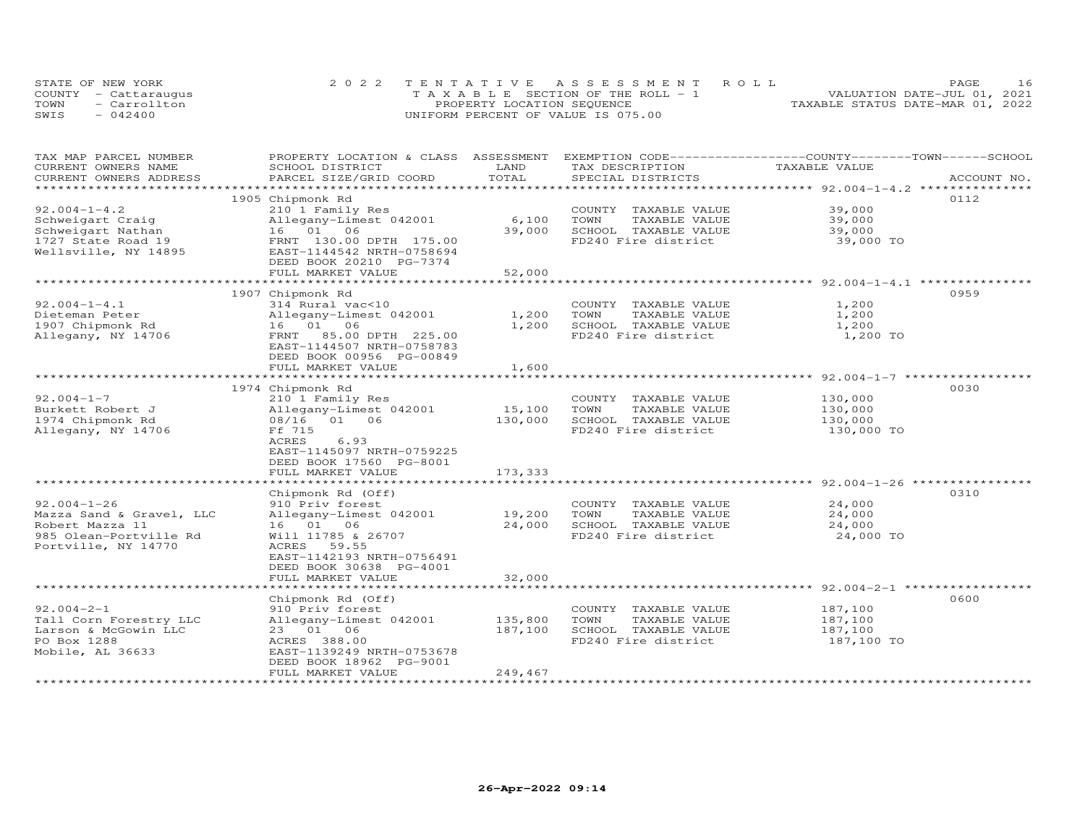|      | STATE OF NEW YORK    | 2022 TENTATIVE ASSESSMENT ROLL        | <b>PAGE</b>                      |
|------|----------------------|---------------------------------------|----------------------------------|
|      | COUNTY - Cattaraugus | T A X A B L E SECTION OF THE ROLL - 1 | VALUATION DATE-JUL 01, 2021      |
| TOWN | - Carrollton         | PROPERTY LOCATION SEQUENCE            | TAXABLE STATUS DATE-MAR 01, 2022 |
| SWIS | $-042400$            | UNIFORM PERCENT OF VALUE IS 075.00    |                                  |

| TAX MAP PARCEL NUMBER<br>CURRENT OWNERS NAME | PROPERTY LOCATION & CLASS ASSESSMENT<br>SCHOOL DISTRICT | LAND        | TAX DESCRIPTION       | EXEMPTION CODE-----------------COUNTY-------TOWN------SCHOOL<br>TAXABLE VALUE |             |
|----------------------------------------------|---------------------------------------------------------|-------------|-----------------------|-------------------------------------------------------------------------------|-------------|
| CURRENT OWNERS ADDRESS                       | PARCEL SIZE/GRID COORD                                  | TOTAL       | SPECIAL DISTRICTS     |                                                                               | ACCOUNT NO. |
|                                              |                                                         |             |                       |                                                                               |             |
|                                              | 1905 Chipmonk Rd                                        |             |                       |                                                                               | 0112        |
| $92.004 - 1 - 4.2$                           | 210 1 Family Res                                        |             | COUNTY TAXABLE VALUE  | 39,000                                                                        |             |
| Schweigart Craig                             | Allegany-Limest 042001                                  | 6,100       | TOWN<br>TAXABLE VALUE | 39,000                                                                        |             |
| Schweigart Nathan                            | 16 01 06                                                | 39,000      | SCHOOL TAXABLE VALUE  | 39,000                                                                        |             |
|                                              |                                                         |             |                       |                                                                               |             |
| 1727 State Road 19                           | FRNT 130.00 DPTH 175.00                                 |             | FD240 Fire district   | 39,000 TO                                                                     |             |
| Wellsville, NY 14895                         | EAST-1144542 NRTH-0758694                               |             |                       |                                                                               |             |
|                                              | DEED BOOK 20210 PG-7374                                 |             |                       |                                                                               |             |
|                                              | FULL MARKET VALUE                                       | 52,000      |                       |                                                                               |             |
|                                              |                                                         |             |                       |                                                                               |             |
|                                              | 1907 Chipmonk Rd                                        |             |                       |                                                                               | 0959        |
| $92.004 - 1 - 4.1$                           | 314 Rural vac<10                                        |             | COUNTY TAXABLE VALUE  | 1,200                                                                         |             |
| Dieteman Peter                               | Allegany-Limest 042001                                  | 1,200       | TAXABLE VALUE<br>TOWN | 1,200                                                                         |             |
| 1907 Chipmonk Rd                             | 16 01 06                                                | 1,200       | SCHOOL TAXABLE VALUE  | 1,200                                                                         |             |
| Allegany, NY 14706                           | FRNT 85.00 DPTH 225.00                                  |             | FD240 Fire district   | 1,200 TO                                                                      |             |
|                                              | EAST-1144507 NRTH-0758783                               |             |                       |                                                                               |             |
|                                              | DEED BOOK 00956 PG-00849                                |             |                       |                                                                               |             |
|                                              | FULL MARKET VALUE                                       | 1,600       |                       |                                                                               |             |
|                                              |                                                         |             |                       |                                                                               |             |
|                                              | 1974 Chipmonk Rd                                        |             |                       |                                                                               | 0030        |
| $92.004 - 1 - 7$                             | 210 1 Family Res                                        |             | COUNTY TAXABLE VALUE  | 130,000                                                                       |             |
| Burkett Robert J                             | Allegany-Limest 042001                                  | 15,100      | TOWN<br>TAXABLE VALUE | 130,000                                                                       |             |
| 1974 Chipmonk Rd                             | 08/16 01 06                                             | 130,000     | SCHOOL TAXABLE VALUE  | 130,000                                                                       |             |
| Allegany, NY 14706                           | Ff 715                                                  |             | FD240 Fire district   | 130,000 TO                                                                    |             |
|                                              | ACRES<br>6.93                                           |             |                       |                                                                               |             |
|                                              | EAST-1145097 NRTH-0759225                               |             |                       |                                                                               |             |
|                                              | DEED BOOK 17560 PG-8001                                 |             |                       |                                                                               |             |
|                                              | FULL MARKET VALUE                                       | 173,333     |                       |                                                                               |             |
|                                              |                                                         |             |                       |                                                                               |             |
|                                              | Chipmonk Rd (Off)                                       |             |                       |                                                                               | 0310        |
| $92.004 - 1 - 26$                            | 910 Priv forest                                         |             | COUNTY TAXABLE VALUE  | 24,000                                                                        |             |
| Mazza Sand & Gravel, LLC                     | Allegany-Limest 042001                                  | 19,200      | TAXABLE VALUE<br>TOWN | 24,000                                                                        |             |
| Robert Mazza 11                              | 16 01 06                                                | 24,000      | SCHOOL TAXABLE VALUE  | 24,000                                                                        |             |
| 985 Olean-Portville Rd                       | Will 11785 & 26707                                      |             | FD240 Fire district   | 24,000 TO                                                                     |             |
| Portville, NY 14770                          | ACRES 59.55                                             |             |                       |                                                                               |             |
|                                              | EAST-1142193 NRTH-0756491                               |             |                       |                                                                               |             |
|                                              | DEED BOOK 30638 PG-4001                                 |             |                       |                                                                               |             |
|                                              | FULL MARKET VALUE                                       | 32,000      |                       |                                                                               |             |
|                                              | ***************************                             | *********** |                       | ******************************* 92.004-2-1 ****************                   |             |
|                                              | Chipmonk Rd (Off)                                       |             |                       |                                                                               | 0600        |
| $92.004 - 2 - 1$                             | 910 Priv forest                                         |             | COUNTY TAXABLE VALUE  | 187,100                                                                       |             |
| Tall Corn Forestry LLC                       | Allegany-Limest 042001                                  | 135,800     | TOWN<br>TAXABLE VALUE | 187,100                                                                       |             |
| Larson & McGowin LLC                         | 23 01 06                                                | 187,100     | SCHOOL TAXABLE VALUE  | 187,100                                                                       |             |
| PO Box 1288                                  | ACRES 388.00                                            |             | FD240 Fire district   | 187,100 TO                                                                    |             |
| Mobile, AL 36633                             | EAST-1139249 NRTH-0753678                               |             |                       |                                                                               |             |
|                                              | DEED BOOK 18962 PG-9001                                 |             |                       |                                                                               |             |
|                                              | FULL MARKET VALUE                                       | 249,467     |                       |                                                                               |             |
|                                              |                                                         |             |                       |                                                                               |             |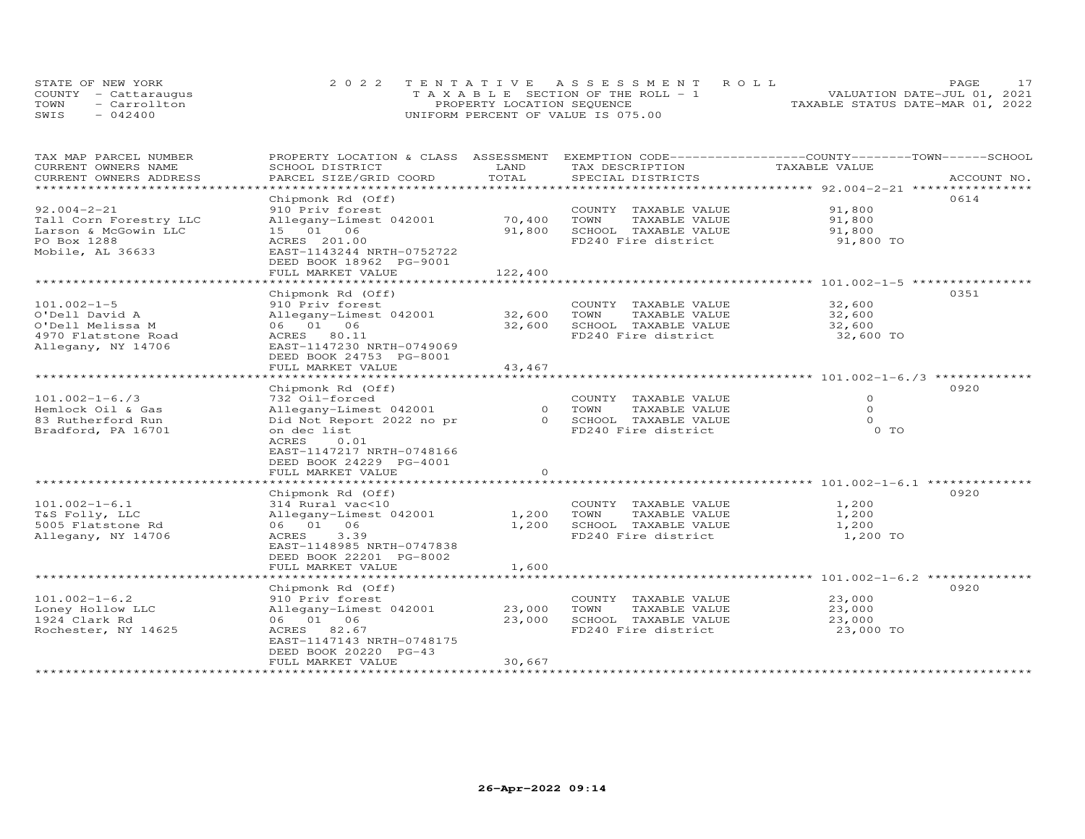| STATE OF NEW YORK |                      | 2022 TENTATIVE ASSESSMENT ROLL        | PAGE.                            |
|-------------------|----------------------|---------------------------------------|----------------------------------|
|                   | COUNTY - Cattaraugus | T A X A B L E SECTION OF THE ROLL - 1 | VALUATION DATE-JUL 01, 2021      |
| TOWN              | - Carrollton         | PROPERTY LOCATION SEQUENCE            | TAXABLE STATUS DATE-MAR 01, 2022 |
| SWIS              | $-042400$            | UNIFORM PERCENT OF VALUE IS 075.00    |                                  |

| TAX MAP PARCEL NUMBER  | PROPERTY LOCATION & CLASS ASSESSMENT |          | EXEMPTION CODE-----------------COUNTY-------TOWN------SCHOOL |               |             |
|------------------------|--------------------------------------|----------|--------------------------------------------------------------|---------------|-------------|
| CURRENT OWNERS NAME    | SCHOOL DISTRICT                      | LAND     | TAX DESCRIPTION                                              | TAXABLE VALUE |             |
| CURRENT OWNERS ADDRESS | PARCEL SIZE/GRID COORD               | TOTAL    | SPECIAL DISTRICTS                                            |               | ACCOUNT NO. |
|                        |                                      |          |                                                              |               |             |
|                        | Chipmonk Rd (Off)                    |          |                                                              |               | 0614        |
| $92.004 - 2 - 21$      | 910 Priv forest                      |          | COUNTY TAXABLE VALUE                                         | 91,800        |             |
| Tall Corn Forestry LLC | Allegany-Limest 042001               | 70,400   | TOWN<br>TAXABLE VALUE                                        | 91,800        |             |
| Larson & McGowin LLC   | 15 01 06                             | 91,800   | SCHOOL TAXABLE VALUE                                         | 91,800        |             |
| PO Box 1288            | ACRES 201.00                         |          | FD240 Fire district                                          | 91,800 TO     |             |
| Mobile, AL 36633       | EAST-1143244 NRTH-0752722            |          |                                                              |               |             |
|                        | DEED BOOK 18962 PG-9001              |          |                                                              |               |             |
|                        | FULL MARKET VALUE                    | 122,400  |                                                              |               |             |
|                        |                                      |          |                                                              |               |             |
|                        | Chipmonk Rd (Off)                    |          |                                                              |               | 0351        |
| $101.002 - 1 - 5$      | 910 Priv forest                      |          | COUNTY TAXABLE VALUE                                         | 32,600        |             |
| O'Dell David A         |                                      |          | TAXABLE VALUE<br>TOWN                                        |               |             |
|                        | Allegany-Limest 042001               | 32,600   |                                                              | 32,600        |             |
| O'Dell Melissa M       | 06 01 06                             | 32,600   | SCHOOL TAXABLE VALUE                                         | 32,600        |             |
| 4970 Flatstone Road    | ACRES 80.11                          |          | FD240 Fire district                                          | 32,600 TO     |             |
| Allegany, NY 14706     | EAST-1147230 NRTH-0749069            |          |                                                              |               |             |
|                        | DEED BOOK 24753 PG-8001              |          |                                                              |               |             |
|                        | FULL MARKET VALUE                    | 43,467   |                                                              |               |             |
|                        |                                      |          |                                                              |               |             |
|                        | Chipmonk Rd (Off)                    |          |                                                              |               | 0920        |
| $101.002 - 1 - 6.73$   | 732 Oil-forced                       |          | COUNTY TAXABLE VALUE                                         | $\circ$       |             |
| Hemlock Oil & Gas      | Allegany-Limest 042001               |          | 0 TOWN<br>TAXABLE VALUE                                      | $\Omega$      |             |
| 83 Rutherford Run      | Did Not Report 2022 no pr            |          | 0 SCHOOL TAXABLE VALUE                                       | $\Omega$      |             |
| Bradford, PA 16701     | on dec list                          |          | FD240 Fire district                                          | 0 TO          |             |
|                        | ACRES<br>0.01                        |          |                                                              |               |             |
|                        | EAST-1147217 NRTH-0748166            |          |                                                              |               |             |
|                        | DEED BOOK 24229 PG-4001              |          |                                                              |               |             |
|                        | FULL MARKET VALUE                    | $\Omega$ |                                                              |               |             |
|                        |                                      |          |                                                              |               |             |
|                        | Chipmonk Rd (Off)                    |          |                                                              |               | 0920        |
| $101.002 - 1 - 6.1$    | 314 Rural vac<10                     |          | COUNTY TAXABLE VALUE                                         | 1,200         |             |
| T&S Folly, LLC         | Allegany-Limest 042001               | 1,200    | TAXABLE VALUE<br>TOWN                                        | 1,200         |             |
| 5005 Flatstone Rd      | 06 01 06                             | 1,200    | SCHOOL TAXABLE VALUE                                         | 1,200         |             |
| Allegany, NY 14706     | 3.39<br>ACRES                        |          | FD240 Fire district                                          | 1,200 TO      |             |
|                        | EAST-1148985 NRTH-0747838            |          |                                                              |               |             |
|                        | DEED BOOK 22201 PG-8002              |          |                                                              |               |             |
|                        | FULL MARKET VALUE                    |          |                                                              |               |             |
|                        |                                      | 1,600    |                                                              |               |             |
|                        |                                      |          |                                                              |               |             |
|                        | Chipmonk Rd (Off)                    |          |                                                              |               | 0920        |
| $101.002 - 1 - 6.2$    | 910 Priv forest                      |          | COUNTY TAXABLE VALUE                                         | 23,000        |             |
| Loney Hollow LLC       | Allegany-Limest 042001               | 23,000   | TOWN<br>TAXABLE VALUE                                        | 23,000        |             |
| 1924 Clark Rd          | 06 01 06                             | 23,000   | SCHOOL TAXABLE VALUE                                         | 23,000        |             |
| Rochester, NY 14625    | ACRES 82.67                          |          | FD240 Fire district                                          | 23,000 TO     |             |
|                        | EAST-1147143 NRTH-0748175            |          |                                                              |               |             |
|                        | DEED BOOK 20220 PG-43                |          |                                                              |               |             |
|                        | FULL MARKET VALUE                    | 30,667   |                                                              |               |             |
|                        | ****************************         |          |                                                              |               |             |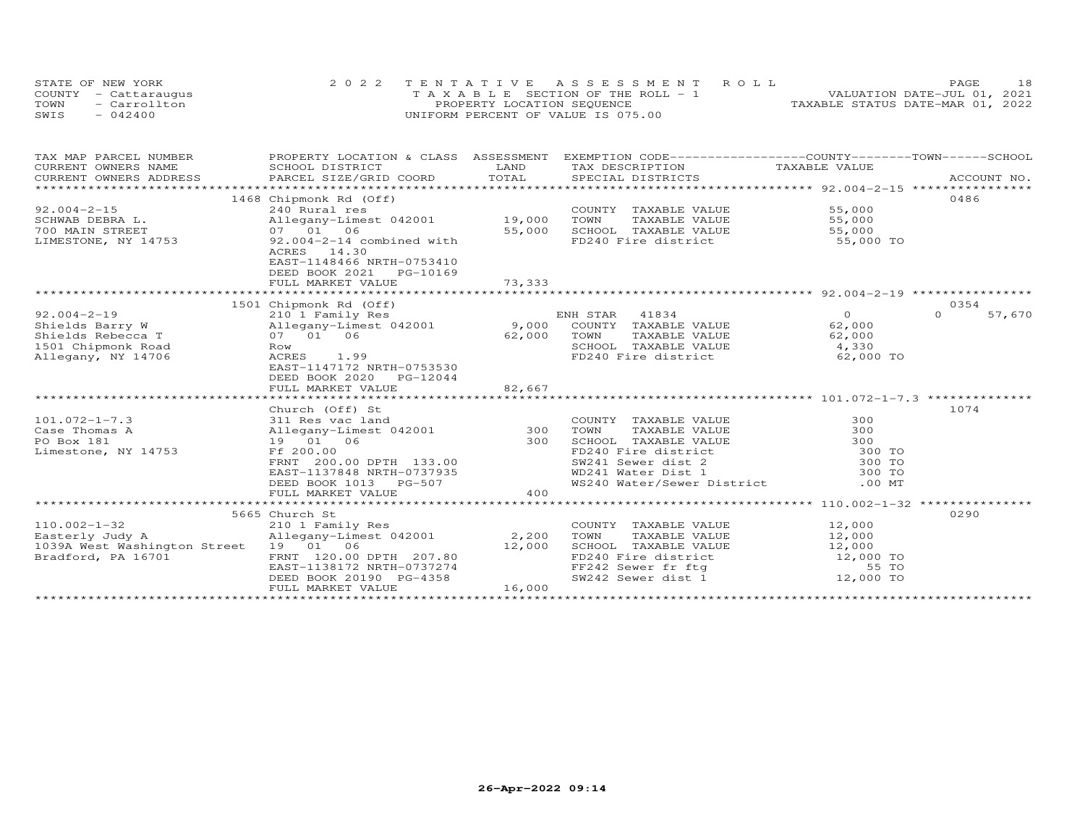| STATE OF NEW YORK    | 2022 TENTATIVE ASSESSMENT ROLL        | 18<br><b>PAGE</b>                |
|----------------------|---------------------------------------|----------------------------------|
| COUNTY - Cattaraugus | T A X A B L E SECTION OF THE ROLL - 1 | VALUATION DATE-JUL 01, 2021      |
| TOWN<br>- Carrollton | PROPERTY LOCATION SEQUENCE            | TAXABLE STATUS DATE-MAR 01, 2022 |
| SWIS<br>$-042400$    | UNIFORM PERCENT OF VALUE IS 075.00    |                                  |

| TAX MAP PARCEL NUMBER<br>CURRENT OWNERS NAME<br>CONNEMY OWNERS ADDRESS DESCRIPTION FOR THE TIME THE TEATH OF THE SERVICES DESCRIPTION ACCOUNT NO.<br>TOTAL SERVICES DESCRIPTION SERVICES DESCRIPTIONS SERVICES SERVICES ACCOUNT NO.<br>CURRENT OWNERS ADDRESS | PROPERTY LOCATION & CLASS ASSESSMENT EXEMPTION CODE----------------COUNTY-------TOWN------SCHOOL<br>SCHOOL DISTRICT                                                             | LAND                      | TAX DESCRIPTION                                                                                                                                                        | TAXABLE VALUE                                                                                                | ACCOUNT NO.        |
|---------------------------------------------------------------------------------------------------------------------------------------------------------------------------------------------------------------------------------------------------------------|---------------------------------------------------------------------------------------------------------------------------------------------------------------------------------|---------------------------|------------------------------------------------------------------------------------------------------------------------------------------------------------------------|--------------------------------------------------------------------------------------------------------------|--------------------|
| $92.004 - 2 - 15$<br>SCHWAB DEBRA L.                                                                                                                                                                                                                          | 1468 Chipmonk Rd (Off)<br>240 Rural res<br>Allegany-Limest 042001 19,000                                                                                                        |                           | COUNTY TAXABLE VALUE<br>TAXABLE VALUE<br>TOWN                                                                                                                          | 55,000<br>55,000                                                                                             | 0486               |
| 700 MAIN STREET<br>LIMESTONE, NY 14753                                                                                                                                                                                                                        | 07 01 06<br>92.004-2-14 combined with<br>ACRES 14.30<br>EAST-1148466 NRTH-0753410<br>DEED BOOK 2021    PG-10169<br>FULL MARKET VALUE                                            | 55,000<br>73,333          | SCHOOL TAXABLE VALUE<br>FD240 Fire district 55,000 TO                                                                                                                  | 55,000                                                                                                       |                    |
|                                                                                                                                                                                                                                                               |                                                                                                                                                                                 |                           |                                                                                                                                                                        |                                                                                                              |                    |
|                                                                                                                                                                                                                                                               | 1501 Chipmonk Rd (Off)                                                                                                                                                          |                           |                                                                                                                                                                        |                                                                                                              | 0354               |
| $92.004 - 2 - 19$<br>Shields Barry W<br>Shields Rebecca T<br>1501 Chipmonk Road<br>Allegany, NY 14706                                                                                                                                                         | 210 1 Family Res<br>Allegany-Limest 042001 9,000 COUNTY TAXABLE VALUE<br>07 01 06<br>Row<br>ACRES 1.99<br>EAST-1147172 NRTH-0753530<br>DEED BOOK 2020 PG-12044                  | 62,000                    | ENH STAR 41834<br>TOWN<br>TAXABLE VALUE<br>SCHOOL TAXABLE VALUE 4,330<br>FD240 Fire district                                                                           | $\overline{O}$<br>62,000<br>62,000<br>62,000 TO                                                              | $\Omega$<br>57,670 |
|                                                                                                                                                                                                                                                               | FULL MARKET VALUE                                                                                                                                                               | 82,667                    |                                                                                                                                                                        |                                                                                                              |                    |
|                                                                                                                                                                                                                                                               | Church (Off) St                                                                                                                                                                 |                           |                                                                                                                                                                        |                                                                                                              | 1074               |
| $101.072 - 1 - 7.3$<br>Case Thomas A<br>PO Box 181<br>Limestone, NY 14753                                                                                                                                                                                     | 311 Res vac land<br>Allegany-Limest 042001 300<br>19  01  06<br>Ff 200.00<br>FRNT 200.00 DPTH 133.00<br>EAST-1137848 NRTH-0737935<br>DEED BOOK 1013 PG-507<br>FULL MARKET VALUE | 300<br>400                | COUNTY TAXABLE VALUE<br>TOWN<br>TAXABLE VALUE<br>SCHOOL TAXABLE VALUE<br>FD240 Fire district<br>SW241 Sewer dist 2<br>WD241 Water Dist 1<br>WS240 Water/Sewer District | 300<br>300<br>300<br>300 TO<br>300 TO<br>300 TO<br>$.00$ MT<br>**************** 110.002-1-32 *************** |                    |
|                                                                                                                                                                                                                                                               | 5665 Church St                                                                                                                                                                  |                           |                                                                                                                                                                        |                                                                                                              | 0290               |
| $110.002 - 1 - 32$<br>Easterly Judy A<br>1039A West Washington Street 19 01 06<br>Bradford, PA 16701                                                                                                                                                          | 210 1 Family Res<br>Allegany-Limest 042001<br>FRNT 120.00 DPTH 207.80<br>EAST-1138172 NRTH-0737274<br>DEED BOOK 20190 PG-4358<br>FULL MARKET VALUE                              | 2,200<br>12,000<br>16,000 | COUNTY TAXABLE VALUE<br>TOWN<br>TAXABLE VALUE<br>FF242 Sewer fr ftg<br>SW242 Sewer dist 1 12,000 TO                                                                    | 12,000<br>12,000<br>55 TO                                                                                    |                    |
|                                                                                                                                                                                                                                                               |                                                                                                                                                                                 |                           |                                                                                                                                                                        |                                                                                                              |                    |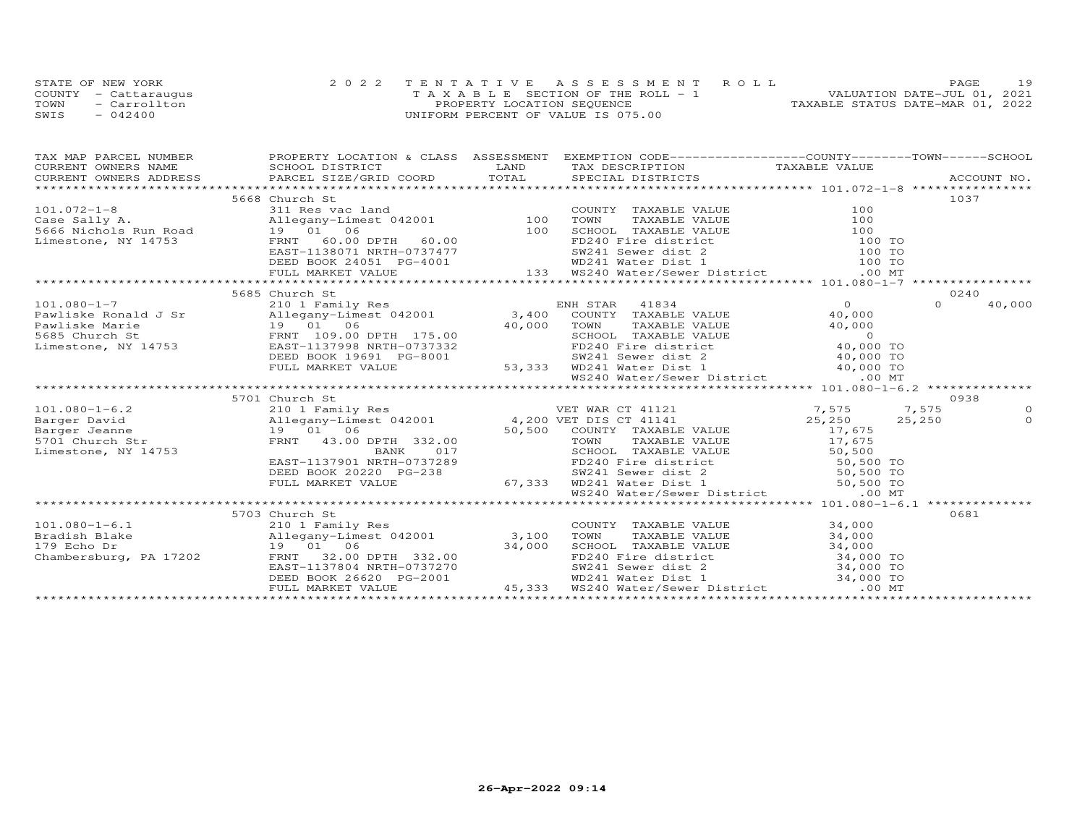|      | STATE OF NEW YORK    | 2022 TENTATIVE ASSESSMENT ROLL        | PAGE                             |
|------|----------------------|---------------------------------------|----------------------------------|
|      | COUNTY - Cattaraugus | T A X A B L E SECTION OF THE ROLL - 1 | VALUATION DATE-JUL 01, 2021      |
| TOWN | - Carrollton         | PROPERTY LOCATION SEQUENCE            | TAXABLE STATUS DATE-MAR 01, 2022 |
| SWIS | $-042400$            | UNIFORM PERCENT OF VALUE IS 075.00    |                                  |

| TAX MAP PARCEL NUMBER  |                                                                                                                                                                                                                                                                                                                                                                                                     | PROPERTY LOCATION & CLASS ASSESSMENT EXEMPTION CODE----------------COUNTY-------TOWN------SCHOOL                                                                                                                                       |                     |
|------------------------|-----------------------------------------------------------------------------------------------------------------------------------------------------------------------------------------------------------------------------------------------------------------------------------------------------------------------------------------------------------------------------------------------------|----------------------------------------------------------------------------------------------------------------------------------------------------------------------------------------------------------------------------------------|---------------------|
|                        |                                                                                                                                                                                                                                                                                                                                                                                                     |                                                                                                                                                                                                                                        |                     |
| CURRENT OWNERS ADDRESS |                                                                                                                                                                                                                                                                                                                                                                                                     |                                                                                                                                                                                                                                        |                     |
|                        |                                                                                                                                                                                                                                                                                                                                                                                                     |                                                                                                                                                                                                                                        |                     |
|                        | 5668 Church St                                                                                                                                                                                                                                                                                                                                                                                      |                                                                                                                                                                                                                                        | 1037                |
|                        |                                                                                                                                                                                                                                                                                                                                                                                                     |                                                                                                                                                                                                                                        |                     |
|                        |                                                                                                                                                                                                                                                                                                                                                                                                     |                                                                                                                                                                                                                                        |                     |
|                        |                                                                                                                                                                                                                                                                                                                                                                                                     |                                                                                                                                                                                                                                        |                     |
|                        |                                                                                                                                                                                                                                                                                                                                                                                                     |                                                                                                                                                                                                                                        |                     |
|                        |                                                                                                                                                                                                                                                                                                                                                                                                     |                                                                                                                                                                                                                                        |                     |
|                        |                                                                                                                                                                                                                                                                                                                                                                                                     |                                                                                                                                                                                                                                        |                     |
|                        |                                                                                                                                                                                                                                                                                                                                                                                                     |                                                                                                                                                                                                                                        |                     |
|                        |                                                                                                                                                                                                                                                                                                                                                                                                     |                                                                                                                                                                                                                                        |                     |
|                        | 5685 Church St                                                                                                                                                                                                                                                                                                                                                                                      |                                                                                                                                                                                                                                        | 0240                |
|                        |                                                                                                                                                                                                                                                                                                                                                                                                     |                                                                                                                                                                                                                                        | $\Omega$<br>40,000  |
|                        |                                                                                                                                                                                                                                                                                                                                                                                                     |                                                                                                                                                                                                                                        |                     |
|                        |                                                                                                                                                                                                                                                                                                                                                                                                     |                                                                                                                                                                                                                                        |                     |
|                        |                                                                                                                                                                                                                                                                                                                                                                                                     |                                                                                                                                                                                                                                        |                     |
|                        |                                                                                                                                                                                                                                                                                                                                                                                                     |                                                                                                                                                                                                                                        |                     |
|                        |                                                                                                                                                                                                                                                                                                                                                                                                     |                                                                                                                                                                                                                                        |                     |
|                        |                                                                                                                                                                                                                                                                                                                                                                                                     |                                                                                                                                                                                                                                        |                     |
|                        |                                                                                                                                                                                                                                                                                                                                                                                                     |                                                                                                                                                                                                                                        |                     |
|                        |                                                                                                                                                                                                                                                                                                                                                                                                     |                                                                                                                                                                                                                                        |                     |
|                        | $\begin{tabular}{l c c c c c c} \multicolumn{3}{c c c c} \multicolumn{3}{c c c} \multicolumn{3}{c c c} \multicolumn{3}{c c c} \multicolumn{3}{c c c} \multicolumn{3}{c c c} \multicolumn{3}{c c c} \multicolumn{3}{c c c} \multicolumn{3}{c c c} \multicolumn{3}{c c c} \multicolumn{3}{c c c} \multicolumn{3}{c c c} \multicolumn{3}{c c c} \multicolumn{3}{c c c} \multicolumn{3}{c c c} \multic$ |                                                                                                                                                                                                                                        | 0938                |
|                        |                                                                                                                                                                                                                                                                                                                                                                                                     |                                                                                                                                                                                                                                        | $\circ$<br>$\Omega$ |
|                        |                                                                                                                                                                                                                                                                                                                                                                                                     |                                                                                                                                                                                                                                        |                     |
|                        |                                                                                                                                                                                                                                                                                                                                                                                                     |                                                                                                                                                                                                                                        |                     |
|                        |                                                                                                                                                                                                                                                                                                                                                                                                     |                                                                                                                                                                                                                                        |                     |
|                        |                                                                                                                                                                                                                                                                                                                                                                                                     |                                                                                                                                                                                                                                        |                     |
|                        |                                                                                                                                                                                                                                                                                                                                                                                                     |                                                                                                                                                                                                                                        |                     |
|                        |                                                                                                                                                                                                                                                                                                                                                                                                     |                                                                                                                                                                                                                                        |                     |
|                        |                                                                                                                                                                                                                                                                                                                                                                                                     |                                                                                                                                                                                                                                        |                     |
|                        |                                                                                                                                                                                                                                                                                                                                                                                                     |                                                                                                                                                                                                                                        |                     |
|                        | 5703 Church St                                                                                                                                                                                                                                                                                                                                                                                      |                                                                                                                                                                                                                                        | 0681                |
| $101.080 - 1 - 6.1$    | 210 1 Family Res                                                                                                                                                                                                                                                                                                                                                                                    | COUNTY TAXABLE VALUE 34,000                                                                                                                                                                                                            |                     |
|                        |                                                                                                                                                                                                                                                                                                                                                                                                     | TAXABLE VALUE 34,000<br>TOWN                                                                                                                                                                                                           |                     |
|                        |                                                                                                                                                                                                                                                                                                                                                                                                     |                                                                                                                                                                                                                                        |                     |
|                        |                                                                                                                                                                                                                                                                                                                                                                                                     | 19 01 06 34,000 SCHOOL TAXABLE VALUE 34,000 TO<br>FRNT 32.00 DPTH 332.00 FD240 Fire district 34,000 TO<br>EAST-1137804 NRTH-0737270 SW241 Sewer dist 2 34,000 TO<br>DEED BOOK 26620 PG-2001 WD241 Water Dist 1 34,000 TO<br>FULL MARKE |                     |
|                        |                                                                                                                                                                                                                                                                                                                                                                                                     |                                                                                                                                                                                                                                        |                     |
|                        |                                                                                                                                                                                                                                                                                                                                                                                                     |                                                                                                                                                                                                                                        |                     |
|                        |                                                                                                                                                                                                                                                                                                                                                                                                     |                                                                                                                                                                                                                                        |                     |
|                        |                                                                                                                                                                                                                                                                                                                                                                                                     |                                                                                                                                                                                                                                        |                     |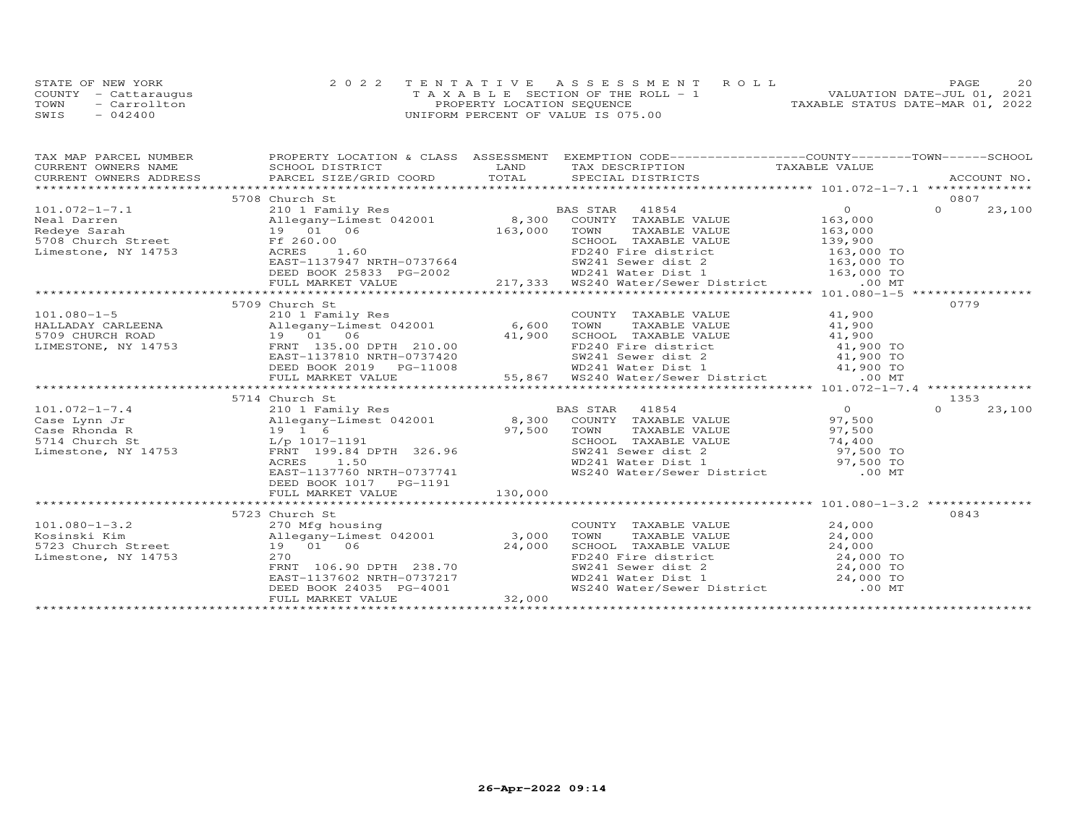|      | STATE OF NEW YORK    | 2022 TENTATIVE ASSESSMENT ROLL        | 20<br>PAGE.                      |
|------|----------------------|---------------------------------------|----------------------------------|
|      | COUNTY - Cattaraugus | T A X A B L E SECTION OF THE ROLL - 1 | VALUATION DATE-JUL 01, 2021      |
| TOWN | - Carrollton         | PROPERTY LOCATION SEQUENCE            | TAXABLE STATUS DATE-MAR 01, 2022 |
| SWIS | $-042400$            | UNIFORM PERCENT OF VALUE IS 075.00    |                                  |

| TAX MAP PARCEL NUMBER BOOPERTY LOCATION & CLASS ASSESSMENT EXEMPTION CODE------------------COUNTY--------TOWN------SCHOOL CURRENT OWNERS NAME SCHOOL DISTRICT LAND TAX DESCRIPTION TAXABLE VALUE                                                                       |                                                                                                                          |         |                                                                                                                                                                                                                                                                              |          |        |
|------------------------------------------------------------------------------------------------------------------------------------------------------------------------------------------------------------------------------------------------------------------------|--------------------------------------------------------------------------------------------------------------------------|---------|------------------------------------------------------------------------------------------------------------------------------------------------------------------------------------------------------------------------------------------------------------------------------|----------|--------|
|                                                                                                                                                                                                                                                                        |                                                                                                                          |         |                                                                                                                                                                                                                                                                              |          |        |
|                                                                                                                                                                                                                                                                        |                                                                                                                          |         |                                                                                                                                                                                                                                                                              |          |        |
|                                                                                                                                                                                                                                                                        | 5708 Church St                                                                                                           |         |                                                                                                                                                                                                                                                                              | 0807     |        |
|                                                                                                                                                                                                                                                                        |                                                                                                                          |         |                                                                                                                                                                                                                                                                              |          | 23,100 |
|                                                                                                                                                                                                                                                                        |                                                                                                                          |         |                                                                                                                                                                                                                                                                              |          |        |
|                                                                                                                                                                                                                                                                        |                                                                                                                          |         |                                                                                                                                                                                                                                                                              |          |        |
|                                                                                                                                                                                                                                                                        |                                                                                                                          |         |                                                                                                                                                                                                                                                                              |          |        |
|                                                                                                                                                                                                                                                                        |                                                                                                                          |         |                                                                                                                                                                                                                                                                              |          |        |
|                                                                                                                                                                                                                                                                        |                                                                                                                          |         |                                                                                                                                                                                                                                                                              |          |        |
|                                                                                                                                                                                                                                                                        |                                                                                                                          |         |                                                                                                                                                                                                                                                                              |          |        |
|                                                                                                                                                                                                                                                                        |                                                                                                                          |         |                                                                                                                                                                                                                                                                              |          |        |
|                                                                                                                                                                                                                                                                        |                                                                                                                          |         |                                                                                                                                                                                                                                                                              |          |        |
|                                                                                                                                                                                                                                                                        | 5709 Church St                                                                                                           |         |                                                                                                                                                                                                                                                                              | 0779     |        |
|                                                                                                                                                                                                                                                                        |                                                                                                                          |         | COUNTY TAXABLE VALUE 41,900                                                                                                                                                                                                                                                  |          |        |
|                                                                                                                                                                                                                                                                        |                                                                                                                          |         | TAXABLE VALUE 41,900                                                                                                                                                                                                                                                         |          |        |
|                                                                                                                                                                                                                                                                        |                                                                                                                          |         |                                                                                                                                                                                                                                                                              |          |        |
| 101.080-1-5<br>HALLADAY CARLEENA<br>5709 CHURCH ROAD<br>5709 CHURCH ROAD<br>19 01 06<br>19 01 06<br>19 01 06<br>19 01 06<br>19 01 06<br>19 01 06<br>19 01 06<br>19 01 06<br>19 01 06<br>19 01 06<br>19 210.00<br>19 210.00<br>210.00<br>210.00<br>210.00<br>210.00<br> |                                                                                                                          |         |                                                                                                                                                                                                                                                                              |          |        |
|                                                                                                                                                                                                                                                                        |                                                                                                                          |         |                                                                                                                                                                                                                                                                              |          |        |
|                                                                                                                                                                                                                                                                        |                                                                                                                          |         |                                                                                                                                                                                                                                                                              |          |        |
|                                                                                                                                                                                                                                                                        |                                                                                                                          |         |                                                                                                                                                                                                                                                                              |          |        |
| 09 CHURCH ROAD<br>MESTONE, NY 14753 19 01 06<br>MESTONE, NY 14753 FRNT 135.00 DPTH 210.00<br>EAST-1137810 NRTH-0737420<br>DEED BOOK 2019 PG-11008 W241 Sewer dist 2 41,900 TO<br>DEED MARKET VALUE 55,867 WD241 Water District 41,900 TO                               |                                                                                                                          |         |                                                                                                                                                                                                                                                                              |          |        |
|                                                                                                                                                                                                                                                                        | 5714 Church St                                                                                                           |         |                                                                                                                                                                                                                                                                              | 1353     |        |
|                                                                                                                                                                                                                                                                        |                                                                                                                          |         |                                                                                                                                                                                                                                                                              | $\Omega$ | 23,100 |
| 101.072-1-7.4<br>Case Lynn Jr anily Res (210 1 Family Res (210 1 Family Res (210 1 Family Res (210 1 Family Res (210 1 Family Res<br>Case Rhonda R 19 1 6 97,500 70WN TAXABLE VALUE 97,500<br>5714 Church St 1/p 1017-1191 526.96 5                                    |                                                                                                                          |         |                                                                                                                                                                                                                                                                              |          |        |
|                                                                                                                                                                                                                                                                        |                                                                                                                          |         |                                                                                                                                                                                                                                                                              |          |        |
|                                                                                                                                                                                                                                                                        |                                                                                                                          |         | SCHOOL TAXABLE VALUE<br>SCHOOL TAXABLE VALUE<br>SW241 Sewer dist 2 97,500 TO<br>WD241 Water Dist 1 97,500 TO<br>WS240 Water/Sewer District 00 MT                                                                                                                             |          |        |
|                                                                                                                                                                                                                                                                        |                                                                                                                          |         |                                                                                                                                                                                                                                                                              |          |        |
|                                                                                                                                                                                                                                                                        |                                                                                                                          |         |                                                                                                                                                                                                                                                                              |          |        |
|                                                                                                                                                                                                                                                                        | EAST-1137760 NRTH-0737741                                                                                                |         |                                                                                                                                                                                                                                                                              |          |        |
|                                                                                                                                                                                                                                                                        | DEED BOOK 1017    PG-1191                                                                                                |         |                                                                                                                                                                                                                                                                              |          |        |
|                                                                                                                                                                                                                                                                        | FULL MARKET VALUE                                                                                                        | 130,000 |                                                                                                                                                                                                                                                                              |          |        |
|                                                                                                                                                                                                                                                                        |                                                                                                                          |         |                                                                                                                                                                                                                                                                              |          |        |
|                                                                                                                                                                                                                                                                        | 5723 Church St                                                                                                           |         |                                                                                                                                                                                                                                                                              | 0843     |        |
|                                                                                                                                                                                                                                                                        |                                                                                                                          |         |                                                                                                                                                                                                                                                                              |          |        |
|                                                                                                                                                                                                                                                                        |                                                                                                                          |         | TOWN                                                                                                                                                                                                                                                                         |          |        |
|                                                                                                                                                                                                                                                                        | 24,000                                                                                                                   |         |                                                                                                                                                                                                                                                                              |          |        |
| Limestone, NY 14753                                                                                                                                                                                                                                                    |                                                                                                                          |         | COUNTY TAXABLE VALUE<br>TOWN TAXABLE VALUE<br>CHOOL TAXABLE VALUE<br>CHOOL TAXABLE VALUE<br>CALUE<br>CALUE<br>CALUE<br>CALUE<br>CALUE<br>CALUE<br>CALUE<br>CALUE<br>CALUE<br>CALUE<br>CALUE<br>CALUE<br>CALUE<br>CALUE<br>CALUE<br>CALUE<br>CALUE<br>CALUE<br>CALUE<br>CALUE |          |        |
|                                                                                                                                                                                                                                                                        |                                                                                                                          |         |                                                                                                                                                                                                                                                                              |          |        |
|                                                                                                                                                                                                                                                                        |                                                                                                                          |         |                                                                                                                                                                                                                                                                              |          |        |
|                                                                                                                                                                                                                                                                        | 19<br>270<br>FRNT 106.90 DPTH 238.70<br>EAST-1137602 NRTH-0737217<br>DEED BOOK 24035 PG-4001<br>FULL MARKET VALUE 32,000 |         |                                                                                                                                                                                                                                                                              |          |        |
|                                                                                                                                                                                                                                                                        |                                                                                                                          |         |                                                                                                                                                                                                                                                                              |          |        |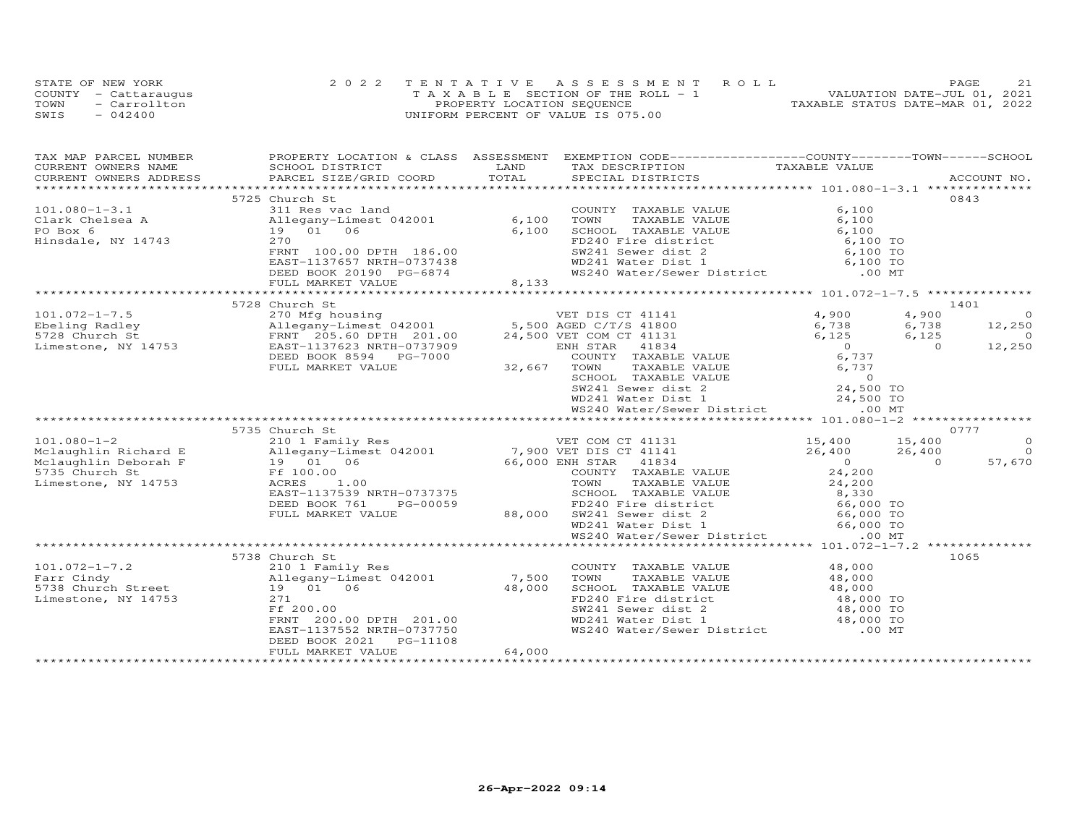|      | STATE OF NEW YORK    | 2022 TENTATIVE ASSESSMENT ROLL        | 21<br><b>PAGE</b>                |
|------|----------------------|---------------------------------------|----------------------------------|
|      | COUNTY - Cattaraugus | T A X A B L E SECTION OF THE ROLL - 1 | VALUATION DATE-JUL 01, 2021      |
| TOWN | - Carrollton         | PROPERTY LOCATION SEQUENCE            | TAXABLE STATUS DATE-MAR 01, 2022 |
| SWIS | $-042400$            | UNIFORM PERCENT OF VALUE IS 075.00    |                                  |

| TAX MAP PARCEL NUMBER                                                                                                                                                                                                                                               |                   |        | PROPERTY LOCATION & CLASS ASSESSMENT EXEMPTION CODE----------------COUNTY-------TOWN------SCHOOL                                                                                              |                |                |
|---------------------------------------------------------------------------------------------------------------------------------------------------------------------------------------------------------------------------------------------------------------------|-------------------|--------|-----------------------------------------------------------------------------------------------------------------------------------------------------------------------------------------------|----------------|----------------|
| CURRENT OWNERS NAME                                                                                                                                                                                                                                                 | SCHOOL DISTRICT   | LAND   | TAX DESCRIPTION TAXABLE VALUE                                                                                                                                                                 |                |                |
|                                                                                                                                                                                                                                                                     |                   |        |                                                                                                                                                                                               |                |                |
|                                                                                                                                                                                                                                                                     |                   |        |                                                                                                                                                                                               | 0843           |                |
| 101.080-1-3.1 5725 Church St<br>Clark Chelsea A all Res vac land<br>PO Box 6 19 01 06 6,100 TOWN TAXABLE VALUE 6,100<br>Hinsdale, NY 14743 270 FD240 Fire district 6,100 TOWN CHANGE VALUE 6,100<br>ERNT 100.00 DPTH 186.00 FD240 Fir                               | 5725 Church St    |        |                                                                                                                                                                                               |                |                |
|                                                                                                                                                                                                                                                                     |                   |        |                                                                                                                                                                                               |                |                |
|                                                                                                                                                                                                                                                                     |                   |        |                                                                                                                                                                                               |                |                |
|                                                                                                                                                                                                                                                                     |                   |        |                                                                                                                                                                                               |                |                |
|                                                                                                                                                                                                                                                                     |                   |        |                                                                                                                                                                                               |                |                |
|                                                                                                                                                                                                                                                                     |                   |        |                                                                                                                                                                                               |                |                |
|                                                                                                                                                                                                                                                                     |                   |        |                                                                                                                                                                                               |                |                |
|                                                                                                                                                                                                                                                                     |                   |        |                                                                                                                                                                                               |                |                |
|                                                                                                                                                                                                                                                                     |                   |        |                                                                                                                                                                                               |                |                |
|                                                                                                                                                                                                                                                                     | 5728 Church St    |        |                                                                                                                                                                                               | 1401           |                |
|                                                                                                                                                                                                                                                                     |                   |        |                                                                                                                                                                                               |                |                |
|                                                                                                                                                                                                                                                                     |                   |        |                                                                                                                                                                                               |                |                |
|                                                                                                                                                                                                                                                                     |                   |        |                                                                                                                                                                                               |                |                |
|                                                                                                                                                                                                                                                                     |                   |        |                                                                                                                                                                                               |                |                |
|                                                                                                                                                                                                                                                                     |                   |        |                                                                                                                                                                                               |                |                |
|                                                                                                                                                                                                                                                                     |                   |        |                                                                                                                                                                                               |                |                |
|                                                                                                                                                                                                                                                                     |                   |        |                                                                                                                                                                                               |                |                |
|                                                                                                                                                                                                                                                                     |                   |        |                                                                                                                                                                                               |                |                |
|                                                                                                                                                                                                                                                                     |                   |        |                                                                                                                                                                                               |                |                |
| 101.072-1-7.5 <sup>5/26</sup> church St<br>Ebeling Radley allegany-Limest 042001 5,500 AGED C/T/S 41800 6,738 6,738 12,250<br>5728 Church St<br>ERST-1137623 NRTH-0737909 ENB STAR 41834 6,138 6,138 12,250<br>EDEL MARKET VALUE STAR 10134 66                      |                   |        |                                                                                                                                                                                               |                |                |
|                                                                                                                                                                                                                                                                     |                   |        |                                                                                                                                                                                               |                |                |
|                                                                                                                                                                                                                                                                     | 5735 Church St    |        |                                                                                                                                                                                               | 0777           |                |
|                                                                                                                                                                                                                                                                     |                   |        |                                                                                                                                                                                               | $\overline{O}$ |                |
|                                                                                                                                                                                                                                                                     |                   |        |                                                                                                                                                                                               |                | $\overline{0}$ |
|                                                                                                                                                                                                                                                                     |                   |        |                                                                                                                                                                                               | 57,670         |                |
|                                                                                                                                                                                                                                                                     |                   |        |                                                                                                                                                                                               |                |                |
|                                                                                                                                                                                                                                                                     |                   |        |                                                                                                                                                                                               |                |                |
|                                                                                                                                                                                                                                                                     |                   |        |                                                                                                                                                                                               |                |                |
|                                                                                                                                                                                                                                                                     |                   |        |                                                                                                                                                                                               |                |                |
|                                                                                                                                                                                                                                                                     |                   |        |                                                                                                                                                                                               |                |                |
|                                                                                                                                                                                                                                                                     |                   |        |                                                                                                                                                                                               |                |                |
| 101.080-1-2<br>Mclaughlin Richard E<br>Mclaughlin Bobrah F<br>26,400<br>5/35 Church St<br>E 1901.00<br>Mclaughlin Bobrah F<br>1901.00<br>5/35 Church St<br>F 100.00<br>EAST-1137539 NRTH-0737375<br>EDED BOOK 761<br>EVEL MARKET VALUE<br>FULL MARKET V             |                   |        |                                                                                                                                                                                               |                |                |
|                                                                                                                                                                                                                                                                     |                   |        |                                                                                                                                                                                               |                |                |
|                                                                                                                                                                                                                                                                     |                   |        | COUNTY TAXABLE VALUE 48,000                                                                                                                                                                   | 1065           |                |
|                                                                                                                                                                                                                                                                     |                   |        |                                                                                                                                                                                               |                |                |
|                                                                                                                                                                                                                                                                     |                   |        |                                                                                                                                                                                               |                |                |
|                                                                                                                                                                                                                                                                     |                   |        |                                                                                                                                                                                               |                |                |
|                                                                                                                                                                                                                                                                     |                   |        |                                                                                                                                                                                               |                |                |
|                                                                                                                                                                                                                                                                     |                   |        |                                                                                                                                                                                               |                |                |
|                                                                                                                                                                                                                                                                     |                   |        | COUNTI IAAABLE VALUE<br>TOWN TAXABLE VALUE<br>SCHOOL TAXABLE VALUE<br>FD240 Fire district<br>SW241 Sewer dist 2 48,000 TO<br>WD241 Water Dist 1 48,000 TO<br>WS240 Water/Sewer District 00 MT |                |                |
|                                                                                                                                                                                                                                                                     |                   |        |                                                                                                                                                                                               |                |                |
| 101.072-1-7.2<br>Farr Cindy<br>5738 Church Street<br>5738 Church Street<br>19 01 06<br>19 01 06<br>19 01 06<br>19 01 06<br>19 01 06<br>19 01 06<br>19 01 06<br>19 01 06<br>19 01 06<br>19 01 06<br>19 10 10<br>18,000 SCHOOL<br>FF 200.00<br>5738 Church Street<br> | FULL MARKET VALUE | 64,000 |                                                                                                                                                                                               |                |                |
|                                                                                                                                                                                                                                                                     |                   |        |                                                                                                                                                                                               |                |                |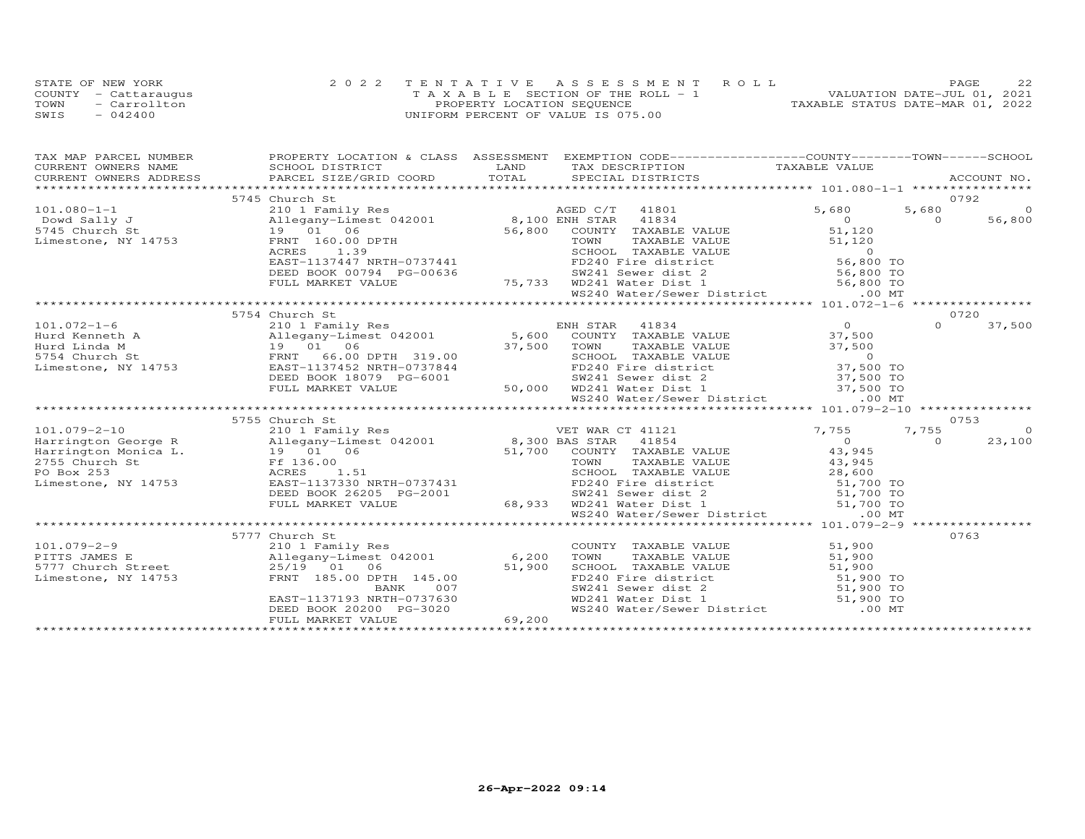|      | STATE OF NEW YORK    | 2022 TENTATIVE ASSESSMENT ROLL        | 22<br>PAGE.                      |
|------|----------------------|---------------------------------------|----------------------------------|
|      | COUNTY - Cattaraugus | T A X A B L E SECTION OF THE ROLL - 1 | VALUATION DATE-JUL 01, 2021      |
| TOWN | - Carrollton         | PROPERTY LOCATION SEQUENCE            | TAXABLE STATUS DATE-MAR 01, 2022 |
| SWIS | $-042400$            | UNIFORM PERCENT OF VALUE IS 075.00    |                                  |

| TAX MAP PARCEL NUMBER  |                                                                                                                                                                                                                                            |                                                                                                                                                                                                                                                                                                                                                                          | PROPERTY LOCATION & CLASS ASSESSMENT EXEMPTION CODE----------------COUNTY-------TOWN------SCHOOL               |
|------------------------|--------------------------------------------------------------------------------------------------------------------------------------------------------------------------------------------------------------------------------------------|--------------------------------------------------------------------------------------------------------------------------------------------------------------------------------------------------------------------------------------------------------------------------------------------------------------------------------------------------------------------------|----------------------------------------------------------------------------------------------------------------|
| CURRENT OWNERS NAME    | SCHOOL DISTRICT                                                                                                                                                                                                                            | LAND TAX DESCRIPTION TAXABLE VALUE                                                                                                                                                                                                                                                                                                                                       |                                                                                                                |
| CURRENT OWNERS ADDRESS |                                                                                                                                                                                                                                            |                                                                                                                                                                                                                                                                                                                                                                          | .CURRENT OWNERS ADDRESS PARCEL SIZE/GRID COORD TOTAL SPECIAL DISTRICTS ACCOUNT NO ACCOUNT NO ACCOUNT NO ARRENT |
|                        |                                                                                                                                                                                                                                            |                                                                                                                                                                                                                                                                                                                                                                          |                                                                                                                |
|                        | 5745 Church St                                                                                                                                                                                                                             |                                                                                                                                                                                                                                                                                                                                                                          | 0792                                                                                                           |
|                        |                                                                                                                                                                                                                                            | 101.080-1-1<br>$\begin{array}{ccccccccc} 101.080-1-1 & 5745 \text{ Church St} & 210 & 101 & 80 & 101 & 080 & 101 & 080 & 0 & 5,680 & 5,680 & 5,680 & 5,680 & 5,680 & 5,680 & 5,680 & 5,680 & 5,680 & 5,680 & 5,680 & 5,680 & 5,680 & 5,680 & 5,680 & 5,680 & 5,680 & 5,680 & 5,680 & 5,$                                                                                 | $\overline{O}$<br>5,680                                                                                        |
|                        |                                                                                                                                                                                                                                            |                                                                                                                                                                                                                                                                                                                                                                          | $\overline{0}$<br>56,800                                                                                       |
|                        |                                                                                                                                                                                                                                            |                                                                                                                                                                                                                                                                                                                                                                          |                                                                                                                |
|                        |                                                                                                                                                                                                                                            |                                                                                                                                                                                                                                                                                                                                                                          |                                                                                                                |
|                        |                                                                                                                                                                                                                                            |                                                                                                                                                                                                                                                                                                                                                                          |                                                                                                                |
|                        |                                                                                                                                                                                                                                            |                                                                                                                                                                                                                                                                                                                                                                          |                                                                                                                |
|                        |                                                                                                                                                                                                                                            |                                                                                                                                                                                                                                                                                                                                                                          |                                                                                                                |
|                        |                                                                                                                                                                                                                                            |                                                                                                                                                                                                                                                                                                                                                                          |                                                                                                                |
|                        |                                                                                                                                                                                                                                            | WS240 Water/Sewer District .00 MT                                                                                                                                                                                                                                                                                                                                        |                                                                                                                |
|                        |                                                                                                                                                                                                                                            |                                                                                                                                                                                                                                                                                                                                                                          |                                                                                                                |
|                        | 5754 Church St                                                                                                                                                                                                                             |                                                                                                                                                                                                                                                                                                                                                                          | 0720                                                                                                           |
|                        |                                                                                                                                                                                                                                            | 101.072-1-6<br>Hurd Kenneth A 210 1 Family Res ENH STAR 41834 0<br>Hurd Kenneth A 210 1 Temily Res 5,600 COUNTY TAXABLE VALUE 37,500<br>Hurd Linda M 19 01 06 37,500 TOWN TAXABLE VALUE 37,500<br>5754 Church St FRNT 66.00 DPTH 319.                                                                                                                                    | $\Omega$<br>37,500                                                                                             |
|                        |                                                                                                                                                                                                                                            |                                                                                                                                                                                                                                                                                                                                                                          |                                                                                                                |
|                        |                                                                                                                                                                                                                                            |                                                                                                                                                                                                                                                                                                                                                                          |                                                                                                                |
|                        |                                                                                                                                                                                                                                            | TOWN TAXABLE VALUE 57,500<br>SCHOOL TAXABLE VALUE 57,500<br>FD240 Fire district 57,500 TO                                                                                                                                                                                                                                                                                |                                                                                                                |
|                        |                                                                                                                                                                                                                                            |                                                                                                                                                                                                                                                                                                                                                                          |                                                                                                                |
|                        |                                                                                                                                                                                                                                            |                                                                                                                                                                                                                                                                                                                                                                          |                                                                                                                |
|                        |                                                                                                                                                                                                                                            |                                                                                                                                                                                                                                                                                                                                                                          |                                                                                                                |
|                        |                                                                                                                                                                                                                                            | DEED BOOK 18079 PG-6001 50,000 WD241 Sewer dist 2 37,500 TO<br>FULL MARKET VALUE 50,000 WD241 Water Dist 1 37,500 TO<br>WS240 Water/Sewer District .00 MT                                                                                                                                                                                                                |                                                                                                                |
|                        |                                                                                                                                                                                                                                            |                                                                                                                                                                                                                                                                                                                                                                          |                                                                                                                |
|                        |                                                                                                                                                                                                                                            | $\begin{tabular}{l c c c c c} \multicolumn{3}{c}{\textbf{201}} & 5755 & \textbf{Church St} & \textbf{2101} & \textbf{1021} & \textbf{111} & \textbf{22101} & \textbf{23101} & \textbf{2411} & \textbf{25101} & \textbf{26101} & \textbf{27101} & \textbf{28101} & \textbf{29101} & \textbf{2011} & \textbf{2011} & \textbf{2011} & \textbf{21011} & \textbf{221011} & \$ | 0753                                                                                                           |
|                        |                                                                                                                                                                                                                                            |                                                                                                                                                                                                                                                                                                                                                                          | 7,755<br>$\Omega$                                                                                              |
|                        |                                                                                                                                                                                                                                            |                                                                                                                                                                                                                                                                                                                                                                          | $\Omega$                                                                                                       |
|                        |                                                                                                                                                                                                                                            |                                                                                                                                                                                                                                                                                                                                                                          | 23,100                                                                                                         |
|                        |                                                                                                                                                                                                                                            |                                                                                                                                                                                                                                                                                                                                                                          |                                                                                                                |
|                        |                                                                                                                                                                                                                                            |                                                                                                                                                                                                                                                                                                                                                                          |                                                                                                                |
|                        |                                                                                                                                                                                                                                            |                                                                                                                                                                                                                                                                                                                                                                          |                                                                                                                |
|                        |                                                                                                                                                                                                                                            |                                                                                                                                                                                                                                                                                                                                                                          |                                                                                                                |
|                        |                                                                                                                                                                                                                                            |                                                                                                                                                                                                                                                                                                                                                                          |                                                                                                                |
|                        |                                                                                                                                                                                                                                            |                                                                                                                                                                                                                                                                                                                                                                          |                                                                                                                |
|                        |                                                                                                                                                                                                                                            |                                                                                                                                                                                                                                                                                                                                                                          |                                                                                                                |
|                        |                                                                                                                                                                                                                                            |                                                                                                                                                                                                                                                                                                                                                                          |                                                                                                                |
|                        | 5777 Church St                                                                                                                                                                                                                             |                                                                                                                                                                                                                                                                                                                                                                          | 0763                                                                                                           |
|                        |                                                                                                                                                                                                                                            | COUNTY TAXABLE VALUE                                                                                                                                                                                                                                                                                                                                                     | 51,900                                                                                                         |
|                        |                                                                                                                                                                                                                                            |                                                                                                                                                                                                                                                                                                                                                                          |                                                                                                                |
|                        |                                                                                                                                                                                                                                            |                                                                                                                                                                                                                                                                                                                                                                          |                                                                                                                |
|                        | 101.079-2-9<br>PITTS JAMES E Allegany-Limest 042001 6,200<br>5777 Church Street 25/19 01 06 51,900<br>Limestone, NY 14753 EAST-1137193 NRTH-0737630<br>EAST-1137193 NRTH-0737630<br>EAST-1137193 NRTH-0737630<br>EAST-1137193 NRTH-0737630 | COWN TAXABLE VALUE<br>TOWN TAXABLE VALUE<br>SCHOOL TAXABLE VALUE<br>FD240 Fire district<br>SW241 Sever dist 2<br>WD241 Water Dist 1<br>WS240 Water/Sewer District<br>00 MT                                                                                                                                                                                               |                                                                                                                |
|                        |                                                                                                                                                                                                                                            |                                                                                                                                                                                                                                                                                                                                                                          |                                                                                                                |
|                        |                                                                                                                                                                                                                                            |                                                                                                                                                                                                                                                                                                                                                                          |                                                                                                                |
|                        | DEED BOOK 20200 PG-3020                                                                                                                                                                                                                    | 69,200                                                                                                                                                                                                                                                                                                                                                                   |                                                                                                                |
|                        | FULL MARKET VALUE                                                                                                                                                                                                                          |                                                                                                                                                                                                                                                                                                                                                                          |                                                                                                                |
|                        |                                                                                                                                                                                                                                            |                                                                                                                                                                                                                                                                                                                                                                          |                                                                                                                |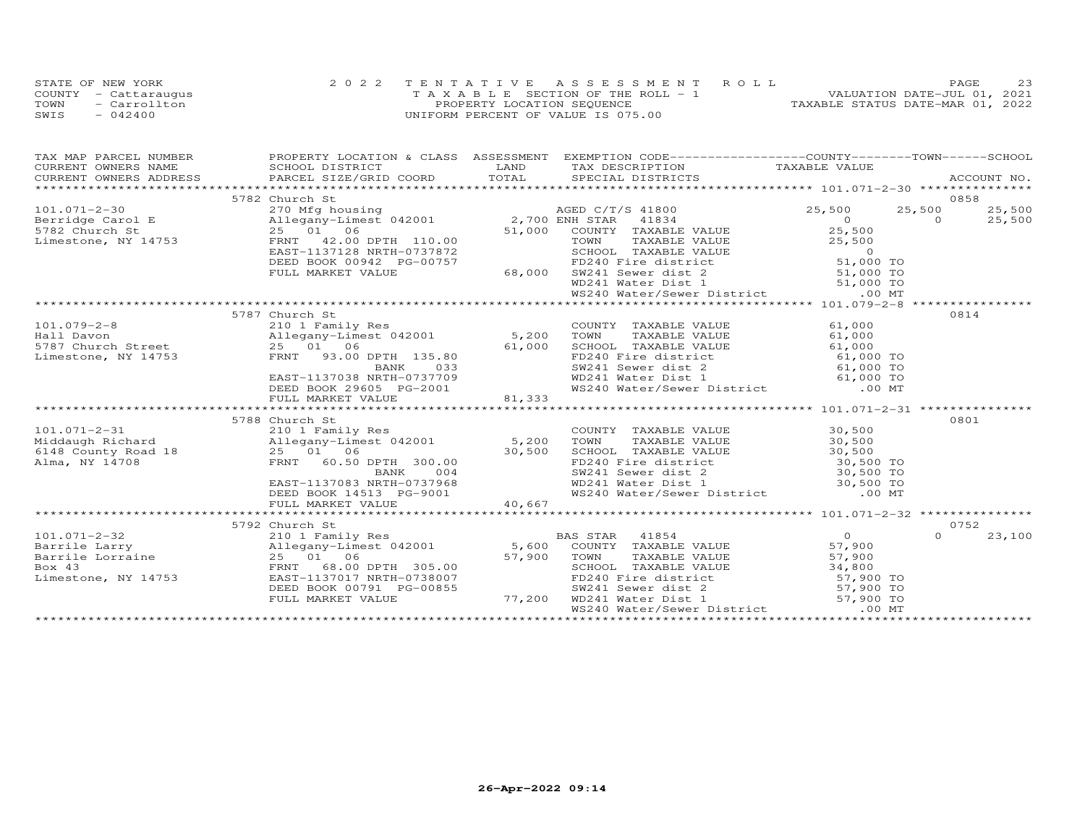|      | STATE OF NEW YORK    | 2022 TENTATIVE ASSESSMENT ROLL        | 23<br>PAGE                       |
|------|----------------------|---------------------------------------|----------------------------------|
|      | COUNTY - Cattaraugus | T A X A B L E SECTION OF THE ROLL - 1 | VALUATION DATE-JUL 01, 2021      |
| TOWN | - Carrollton         | PROPERTY LOCATION SEQUENCE            | TAXABLE STATUS DATE-MAR 01, 2022 |
| SWIS | $-042400$            | UNIFORM PERCENT OF VALUE IS 075.00    |                                  |

| TAX MAP PARCEL NUMBER |                                                                                                                                                                                                               |        | PROPERTY LOCATION & CLASS ASSESSMENT EXEMPTION CODE----------------COUNTY-------TOWN------SCHOOL                                                                                                                                     |                                 |                |        |
|-----------------------|---------------------------------------------------------------------------------------------------------------------------------------------------------------------------------------------------------------|--------|--------------------------------------------------------------------------------------------------------------------------------------------------------------------------------------------------------------------------------------|---------------------------------|----------------|--------|
| CURRENT OWNERS NAME   | SCHOOL DISTRICT                                                                                                                                                                                               |        | LAND TAX DESCRIPTION                                                                                                                                                                                                                 | TAXABLE VALUE                   |                |        |
|                       |                                                                                                                                                                                                               |        |                                                                                                                                                                                                                                      |                                 |                |        |
|                       | 5782 Church St                                                                                                                                                                                                |        |                                                                                                                                                                                                                                      |                                 |                | 0858   |
|                       | 101.071-2-30<br>Berridge Carol E 270 Mfg housing<br>270 Mfg housing<br>2782 Church St 25 01 06 51,000 COUNTY TAXABLE VALUE                                                                                    |        |                                                                                                                                                                                                                                      | 25,500                          | 25,500         | 25,500 |
|                       |                                                                                                                                                                                                               |        |                                                                                                                                                                                                                                      | $25$<br>$0$<br>$25$ 500         | $\overline{0}$ | 25,500 |
|                       |                                                                                                                                                                                                               |        | COUNTY TAXABLE VALUE                                                                                                                                                                                                                 |                                 |                |        |
|                       | Limestone, NY 14753 FRNT 42.00 DPTH 110.00                                                                                                                                                                    |        | COMM TAXABLE VALUE<br>TOWN TAXABLE VALUE<br>FD240 Fire district<br>FD240 Fire district<br>SW241 Sever dist 1<br>WS240 Water/Sewer District<br>MS240 Water/Sewer District<br>MS240 Water/Sewer District<br>MS240 Water/Sewer District |                                 |                |        |
|                       | EAST-1137128 NRTH-0737872                                                                                                                                                                                     |        |                                                                                                                                                                                                                                      |                                 |                |        |
|                       |                                                                                                                                                                                                               |        |                                                                                                                                                                                                                                      |                                 |                |        |
|                       | DEED BOOK 00942 PG-00757<br>FULL MARKET VALUE 68,000                                                                                                                                                          |        |                                                                                                                                                                                                                                      |                                 |                |        |
|                       |                                                                                                                                                                                                               |        |                                                                                                                                                                                                                                      |                                 |                |        |
|                       |                                                                                                                                                                                                               |        |                                                                                                                                                                                                                                      |                                 |                |        |
|                       |                                                                                                                                                                                                               |        |                                                                                                                                                                                                                                      |                                 |                |        |
|                       | 5787 Church St                                                                                                                                                                                                |        |                                                                                                                                                                                                                                      |                                 |                | 0814   |
| $101.079 - 2 - 8$     | 210 1 Family Res                                                                                                                                                                                              |        | COUNTY TAXABLE VALUE                                                                                                                                                                                                                 | 61,000                          |                |        |
|                       |                                                                                                                                                                                                               |        | TAXABLE VALUE<br>TOWN                                                                                                                                                                                                                | 61,000                          |                |        |
|                       |                                                                                                                                                                                                               |        |                                                                                                                                                                                                                                      |                                 |                |        |
|                       | x 2.00<br>Hall Davon<br>5,200<br>5787 Church Street<br>25 01 06<br>5,000<br>5,000<br>5,000<br>5,000<br>5,000<br>61,000<br>5,000<br>61,000<br>5,000<br>5,000<br>5,000<br>5,000<br>5,000                        |        | SCHOOL TAXABLE VALUE 61,000<br>FD240 Fire district 61,000 TO<br>SW241 Sewer dist 2 61,000 TO                                                                                                                                         |                                 |                |        |
|                       | BANK                                                                                                                                                                                                          |        |                                                                                                                                                                                                                                      |                                 |                |        |
|                       |                                                                                                                                                                                                               |        |                                                                                                                                                                                                                                      |                                 |                |        |
|                       |                                                                                                                                                                                                               |        | WD241 Water Dist 1 61,000 TO<br>WS240 Water/Sewer District .00 MT                                                                                                                                                                    |                                 |                |        |
|                       |                                                                                                                                                                                                               |        |                                                                                                                                                                                                                                      |                                 |                |        |
|                       |                                                                                                                                                                                                               |        |                                                                                                                                                                                                                                      |                                 |                |        |
|                       | 5788 Church St                                                                                                                                                                                                |        |                                                                                                                                                                                                                                      |                                 |                | 0801   |
| $101.071 - 2 - 31$    | 210 1 Family Res                                                                                                                                                                                              |        | COUNTY TAXABLE VALUE 30,500                                                                                                                                                                                                          |                                 |                |        |
|                       | Middaugh Richard<br>6148 County Road 18 (1991) 25 (1991) 25 (1991) 25 (1991) 30,500<br>80,500 ERNT (1991) 25 (1991) 300.00<br>Allegany-Limest 042001<br>25 01 06 30,500<br>FRNT 60.50 DPTH 300.00<br>RANK 004 |        |                                                                                                                                                                                                                                      |                                 |                |        |
|                       |                                                                                                                                                                                                               |        |                                                                                                                                                                                                                                      |                                 |                |        |
|                       |                                                                                                                                                                                                               |        |                                                                                                                                                                                                                                      |                                 |                |        |
|                       |                                                                                                                                                                                                               |        |                                                                                                                                                                                                                                      |                                 |                |        |
|                       | EAST-1137083 NRTH-0737968<br>DEED BOOK 14513 PG-9001                                                                                                                                                          |        |                                                                                                                                                                                                                                      |                                 |                |        |
|                       |                                                                                                                                                                                                               |        | TOWN TAXABLE VALUE<br>TOWN TAXABLE VALUE<br>SCHOOL TAXABLE VALUE<br>SO, 500<br>SCHOOL TAXABLE VALUE<br>30, 500 TO<br>FD241 Sewer dist 1<br>WD241 Water Dist 1<br>WS240 Water/Sewer District<br>00 MT                                 |                                 |                |        |
|                       | FULL MARKET VALUE                                                                                                                                                                                             | 40,667 |                                                                                                                                                                                                                                      |                                 |                |        |
|                       |                                                                                                                                                                                                               |        |                                                                                                                                                                                                                                      |                                 |                |        |
|                       | 5792 Church St                                                                                                                                                                                                |        |                                                                                                                                                                                                                                      |                                 |                | 0752   |
|                       |                                                                                                                                                                                                               |        |                                                                                                                                                                                                                                      |                                 | $\Omega$       | 23,100 |
|                       | 101.071-2-32 210 1 Family Res<br>Barrile Larry 25 01 06 57,900 TOWN TAXABLE VALUE<br>Barrile Lorraine 25 01 06 57,900 TOWN TAXABLE VALUE<br>Box 43 FRNT 68.00 DPTH 305.00 57,900 TOWN TAXABLE VALUE           |        |                                                                                                                                                                                                                                      | 0<br>57,900<br>57,900<br>57,900 |                |        |
|                       |                                                                                                                                                                                                               |        | TOWN TAXABLE VALUE 57,900<br>SCHOOL TAXABLE VALUE 34,800                                                                                                                                                                             |                                 |                |        |
|                       |                                                                                                                                                                                                               |        |                                                                                                                                                                                                                                      |                                 |                |        |
| Limestone, NY 14753   | EAST-1137017 NRTH-0738007<br>DEED BOOK 00791 PG-00855                                                                                                                                                         |        | FD240 Fire district<br>ST, 900 TO<br>SW241 Sewer dist 2 57, 900 TO<br>WD241 Water Dist 1 57, 900 TO                                                                                                                                  |                                 |                |        |
|                       | FULL MARKET VALUE                                                                                                                                                                                             | 77,200 |                                                                                                                                                                                                                                      |                                 |                |        |
|                       |                                                                                                                                                                                                               |        | WS240 Water/Sewer District .00 MT                                                                                                                                                                                                    |                                 |                |        |
|                       |                                                                                                                                                                                                               |        |                                                                                                                                                                                                                                      |                                 |                |        |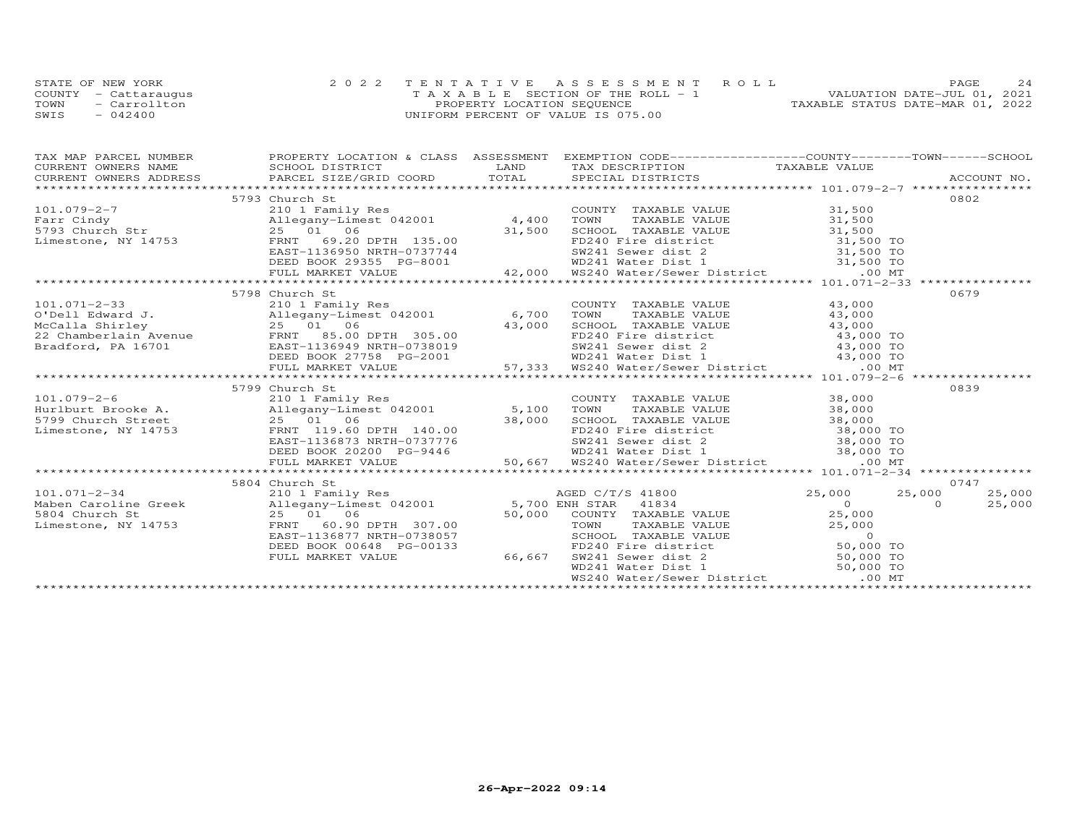|      | STATE OF NEW YORK    | 2022 TENTATIVE ASSESSMENT ROLL     | 2.4<br><b>PAGE</b>               |
|------|----------------------|------------------------------------|----------------------------------|
|      | COUNTY - Cattaraugus | TAXABLE SECTION OF THE ROLL - 1    | VALUATION DATE-JUL 01, 2021      |
| TOWN | - Carrollton         | PROPERTY LOCATION SEQUENCE         | TAXABLE STATUS DATE-MAR 01, 2022 |
| SWIS | $-042400$            | UNIFORM PERCENT OF VALUE IS 075.00 |                                  |

|                                     | TAX MAP PARCEL NUMBER FROPERTY LOCATION & CLASS ASSESSMENT EXEMPTION CODE----------------COUNTY-------TOWN------SCHOOL |  |        |
|-------------------------------------|------------------------------------------------------------------------------------------------------------------------|--|--------|
| CURRENT OWNERS NAME SCHOOL DISTRICT |                                                                                                                        |  |        |
|                                     |                                                                                                                        |  |        |
|                                     |                                                                                                                        |  |        |
|                                     | 5793 Church St                                                                                                         |  | 0802   |
|                                     |                                                                                                                        |  |        |
|                                     |                                                                                                                        |  |        |
|                                     |                                                                                                                        |  |        |
|                                     |                                                                                                                        |  |        |
|                                     |                                                                                                                        |  |        |
|                                     |                                                                                                                        |  |        |
|                                     |                                                                                                                        |  |        |
|                                     |                                                                                                                        |  |        |
|                                     | 5798 Church St                                                                                                         |  | 0679   |
|                                     |                                                                                                                        |  |        |
|                                     |                                                                                                                        |  |        |
|                                     |                                                                                                                        |  |        |
|                                     |                                                                                                                        |  |        |
|                                     |                                                                                                                        |  |        |
|                                     |                                                                                                                        |  |        |
|                                     |                                                                                                                        |  |        |
|                                     | 5799 Church St                                                                                                         |  | 0839   |
|                                     |                                                                                                                        |  |        |
|                                     |                                                                                                                        |  |        |
|                                     |                                                                                                                        |  |        |
|                                     |                                                                                                                        |  |        |
|                                     |                                                                                                                        |  |        |
|                                     |                                                                                                                        |  |        |
|                                     |                                                                                                                        |  |        |
|                                     |                                                                                                                        |  |        |
|                                     | 5804 Church St                                                                                                         |  | 0747   |
|                                     |                                                                                                                        |  | 25,000 |
|                                     |                                                                                                                        |  | 25,000 |
|                                     |                                                                                                                        |  |        |
|                                     |                                                                                                                        |  |        |
|                                     |                                                                                                                        |  |        |
|                                     |                                                                                                                        |  |        |
|                                     |                                                                                                                        |  |        |
|                                     |                                                                                                                        |  |        |
|                                     |                                                                                                                        |  |        |
|                                     |                                                                                                                        |  |        |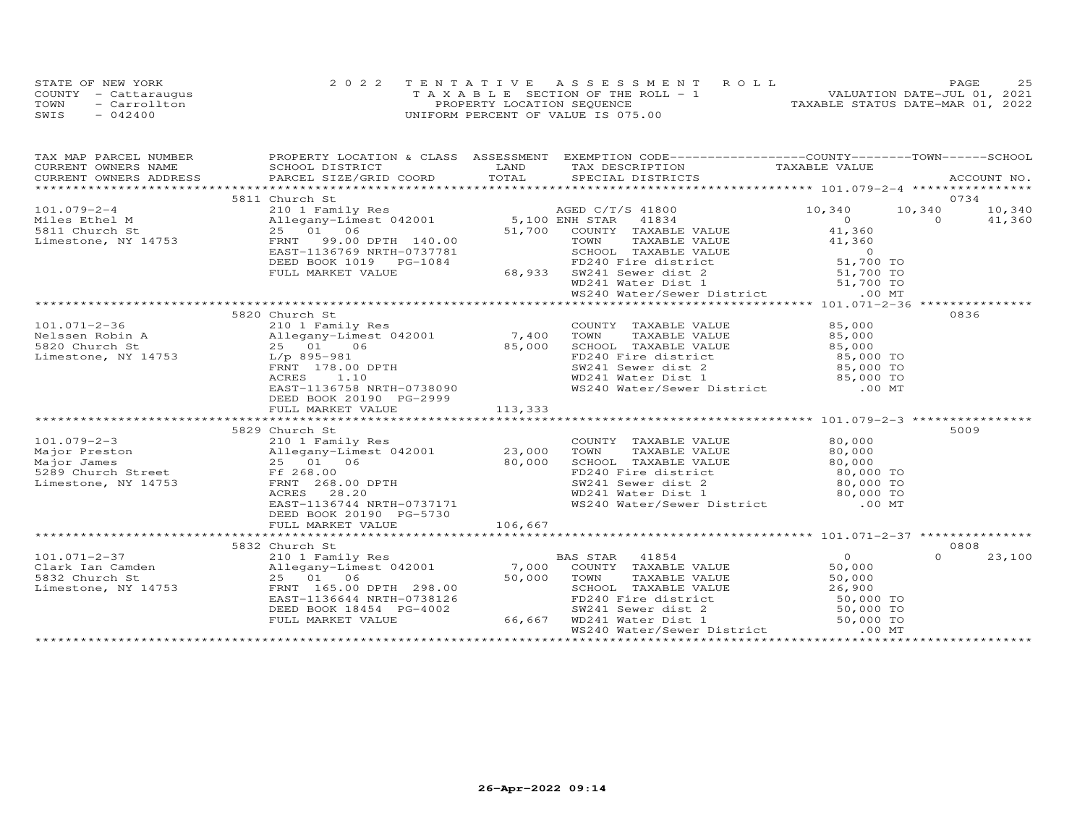|      | STATE OF NEW YORK    | 2022 TENTATIVE ASSESSMENT ROLL        | つら<br><b>PAGE</b>                |
|------|----------------------|---------------------------------------|----------------------------------|
|      | COUNTY - Cattaraugus | T A X A B L E SECTION OF THE ROLL - 1 | VALUATION DATE-JUL 01, 2021      |
| TOWN | - Carrollton         | PROPERTY LOCATION SEQUENCE            | TAXABLE STATUS DATE-MAR 01, 2022 |
| SWIS | $-042400$            | UNIFORM PERCENT OF VALUE IS 075.00    |                                  |

| TAX MAP PARCEL NUMBER | PROPERTY LOCATION & CLASS ASSESSMENT EXEMPTION CODE-----------------COUNTY-------TOWN------SCHOOL                                                                                                                                                                                                                                                                |         |  |          |                |
|-----------------------|------------------------------------------------------------------------------------------------------------------------------------------------------------------------------------------------------------------------------------------------------------------------------------------------------------------------------------------------------------------|---------|--|----------|----------------|
|                       |                                                                                                                                                                                                                                                                                                                                                                  |         |  |          |                |
|                       |                                                                                                                                                                                                                                                                                                                                                                  |         |  |          |                |
|                       | $\begin{array}{cccccccc} 101.079-2-4 & 5811 \text{ Church } \text{St} & 0734 & 0734 \\ \text{Miles Ethel M} & 2101 & \text{Family Res} & 0 & 10,340 & 10,340 & 10,340 \\ \text{Miles Ethel M} & 25 & 01 & 06 & 5,100 \text{ ENN} \text{ STAR} & 41834 & 0 & 0 & 41,360 \\ \text{Limes-toe, NY 14753} & 25 & 01 & 06 & 51,700 & 000 \\ \text{LEMD} & 58 & 50 & 0$ |         |  |          |                |
|                       |                                                                                                                                                                                                                                                                                                                                                                  |         |  |          |                |
|                       | 5820 Church St<br>101.071-2-36<br>Nelssen Robin A 210 1 Family Res<br>Nelssen Robin A Allegany-Limest 042001 7,400 TOWN TAXABLE VALUE 85,000<br>5820 Church St 25 01 06 85,000 SCHOOL TAXABLE VALUE 85,000<br>Limestone, NY 14753 L/p 895-981 FRNT 178.<br>DEED BOOK 20190 PG-2999                                                                               |         |  |          | 0836           |
|                       | FULL MARKET VALUE                                                                                                                                                                                                                                                                                                                                                | 113,333 |  |          |                |
|                       | 5829 Church St                                                                                                                                                                                                                                                                                                                                                   |         |  |          | 5009           |
|                       | 5832 Church St                                                                                                                                                                                                                                                                                                                                                   |         |  | $\Omega$ | 0808<br>23,100 |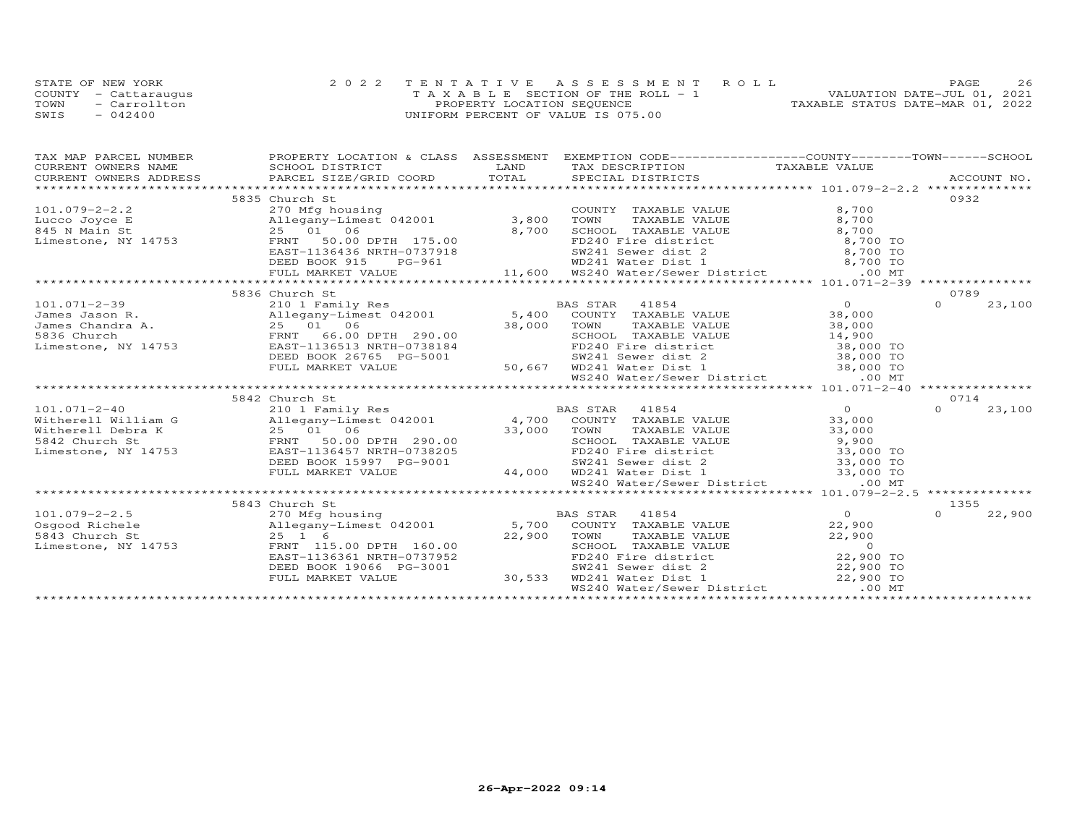|      | STATE OF NEW YORK    | 2022 TENTATIVE ASSESSMENT ROLL        | 26<br><b>PAGE</b>                |
|------|----------------------|---------------------------------------|----------------------------------|
|      | COUNTY - Cattaraugus | T A X A B L E SECTION OF THE ROLL - 1 | VALUATION DATE-JUL 01, 2021      |
| TOWN | - Carrollton         | PROPERTY LOCATION SEQUENCE            | TAXABLE STATUS DATE-MAR 01, 2022 |
| SWIS | $-042400$            | UNIFORM PERCENT OF VALUE IS 075.00    |                                  |

| PROPERTY LOCATION & CLASS ASSESSMENT<br>TAX MAP PARCEL NUMBER                                                                                                                                                                                                  | EXEMPTION CODE-----------------COUNTY-------TOWN------SCHOOL |
|----------------------------------------------------------------------------------------------------------------------------------------------------------------------------------------------------------------------------------------------------------------|--------------------------------------------------------------|
| CURRENT OWNERS NAME                                                                                                                                                                                                                                            |                                                              |
| CORRENT OWNERS NAME SCHOOL DISTRICT<br>CURRENT OWNERS ADDRESS BARCEL SIZE/GRID COORD TOTAL SPECIAL DISTRICTS ACCOUNT NO.<br>XXX DESCRIPTION TAXABLE VALUE TAXABLE VALUE TAXABLE VALUE PARCEL SIZE/GRID COORD TOTAL SPECIAL DISTRICTS<br>CURRENT OWNERS ADDRESS |                                                              |
|                                                                                                                                                                                                                                                                |                                                              |
| 5835 Church St                                                                                                                                                                                                                                                 | 0932                                                         |
| COUNT<br>Lucco Joyce E 2.2<br>Allegany-Limest 042001 3,800 TOWN<br>845 N Main St 25 01 06 8,700 SCHOO<br>Limestone, NY 14753 FRNT 50.00 DPTH 175.00<br>COUNTY TAXABLE VALUE<br>8,700                                                                           |                                                              |
| TAXABLE VALUE<br>8,700                                                                                                                                                                                                                                         |                                                              |
|                                                                                                                                                                                                                                                                |                                                              |
|                                                                                                                                                                                                                                                                |                                                              |
|                                                                                                                                                                                                                                                                |                                                              |
|                                                                                                                                                                                                                                                                |                                                              |
|                                                                                                                                                                                                                                                                |                                                              |
| Ath and the component of the component of the component of the component of the component of the state of the state of the state of the state of the state of the state of the state of the state of the state of the state of                                 |                                                              |
| 5836 Church St                                                                                                                                                                                                                                                 | 0789                                                         |
| 101.071-2-39<br>James Jason R. 210 1 Family Res BAS STAR 41854 0<br>James Jason R. 25 01 06 38,000 TOWN TAXABLE VALUE 38,000<br>James Chandra A. 25 01 06 38,000 TOWN TAXABLE VALUE 38,000<br>ERST-1136513 NRTH-0738184 FD240 Fire di                          | $\Omega$<br>23,100                                           |
|                                                                                                                                                                                                                                                                |                                                              |
| TOWN TAXABLE VALUE 38,000<br>SCHOOL TAXABLE VALUE 14,900<br>FD240 Fire district 38,000 TO                                                                                                                                                                      |                                                              |
|                                                                                                                                                                                                                                                                |                                                              |
|                                                                                                                                                                                                                                                                |                                                              |
| DEED BOOK 26765 PG-5001                                                                                                                                                                                                                                        |                                                              |
| 3-5001 50,667 WD241 Sewer dist 2 38,000 TO<br>50,667 WD241 Water Dist 1 38,000 TO<br>WS240 Water/Sewer District .00 MT<br>FULL MARKET VALUE                                                                                                                    |                                                              |
|                                                                                                                                                                                                                                                                |                                                              |
|                                                                                                                                                                                                                                                                |                                                              |
| 5842 Church St<br>$\frac{0}{33}$                                                                                                                                                                                                                               | 0714                                                         |
|                                                                                                                                                                                                                                                                | $\Omega$<br>23,100                                           |
| 33,000                                                                                                                                                                                                                                                         |                                                              |
| 101.071-2-40<br>Witherell William G<br>Witherell Debra K<br>Mitherell Debra K<br>Mitherell Debra K<br>25 01 06<br>FRNT 50.00 DPTH 290.00<br>TOM TAXABLE VALUE<br>S842 Church St<br>FRNT 50.00 DPTH 290.00<br>SEHOOL TAXABLE VALUE<br>SEHOOL TAXABLE<br>33,000  |                                                              |
| 290.00<br>-0738205<br>PG-9001<br>44,000 WD241 Water Dist 1<br>290.00 TO SCHOOL TAXABLE VALUE<br>PG-9001<br>44,000 WD241 Water Dist 1<br>23,000 TO WD241 Water Dist 1<br>23,000 TO WD241 Water Dist 1<br>23,000 TO WS240 Water/Sewer District                   |                                                              |
| Limestone, NY 14753<br>EAST-1136457 NRTH-0738205                                                                                                                                                                                                               |                                                              |
| DEED BOOK 15997 PG-9001                                                                                                                                                                                                                                        |                                                              |
| FULL MARKET VALUE                                                                                                                                                                                                                                              |                                                              |
|                                                                                                                                                                                                                                                                |                                                              |
|                                                                                                                                                                                                                                                                |                                                              |
| 5843 Church St                                                                                                                                                                                                                                                 | 1355                                                         |
|                                                                                                                                                                                                                                                                | 22,900<br>$\Omega$                                           |
|                                                                                                                                                                                                                                                                |                                                              |
| 5843 Church St<br>Limestone, NY 14753 FRNT 115<br>$\sum_{i=1}^{n} a_i$<br>22,900 TOWN                                                                                                                                                                          |                                                              |
|                                                                                                                                                                                                                                                                |                                                              |
| EAST-1136361 NRTH-0737952                                                                                                                                                                                                                                      |                                                              |
| 30,533<br>DEED BOOK 19066 PG-3001                                                                                                                                                                                                                              |                                                              |
| TOWN TAXABLE VALUE<br>TOWN TAXABLE VALUE<br>FD240 Fire district<br>FD240 Fire district<br>SW241 Sewer dist 2<br>WD241 Water Dist 1<br>PO241 Water Dist<br>FULL MARKET VALUE                                                                                    |                                                              |
| .00 MT<br>WS240 Water/Sewer District                                                                                                                                                                                                                           |                                                              |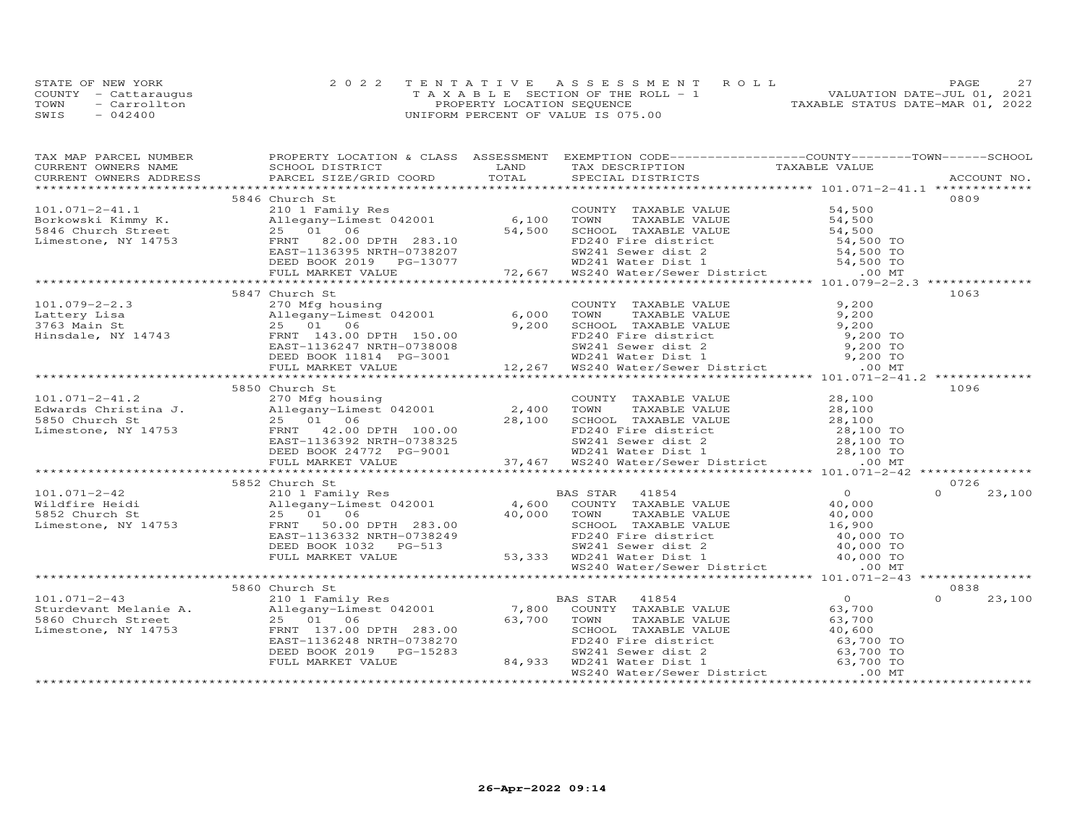|      | STATE OF NEW YORK    | 2022 TENTATIVE ASSESSMENT ROLL        | 27<br>PAGE                       |
|------|----------------------|---------------------------------------|----------------------------------|
|      | COUNTY - Cattaraugus | T A X A B L E SECTION OF THE ROLL - 1 | VALUATION DATE-JUL 01, 2021      |
| TOWN | - Carrollton         | PROPERTY LOCATION SEQUENCE            | TAXABLE STATUS DATE-MAR 01, 2022 |
| SWIS | $-042400$            | UNIFORM PERCENT OF VALUE IS 075.00    |                                  |

| TAX MAP PARCEL NUMBER                                                                                                                                                                                                                                                 | PROPERTY LOCATION & CLASS ASSESSMENT EXEMPTION CODE-----------------COUNTY-------TOWN------SCHOOL |  |                    |
|-----------------------------------------------------------------------------------------------------------------------------------------------------------------------------------------------------------------------------------------------------------------------|---------------------------------------------------------------------------------------------------|--|--------------------|
|                                                                                                                                                                                                                                                                       |                                                                                                   |  |                    |
|                                                                                                                                                                                                                                                                       |                                                                                                   |  |                    |
|                                                                                                                                                                                                                                                                       |                                                                                                   |  |                    |
|                                                                                                                                                                                                                                                                       | 5846 Church St                                                                                    |  | 0809               |
|                                                                                                                                                                                                                                                                       |                                                                                                   |  |                    |
|                                                                                                                                                                                                                                                                       |                                                                                                   |  |                    |
|                                                                                                                                                                                                                                                                       |                                                                                                   |  |                    |
|                                                                                                                                                                                                                                                                       |                                                                                                   |  |                    |
|                                                                                                                                                                                                                                                                       |                                                                                                   |  |                    |
|                                                                                                                                                                                                                                                                       |                                                                                                   |  |                    |
|                                                                                                                                                                                                                                                                       |                                                                                                   |  |                    |
|                                                                                                                                                                                                                                                                       |                                                                                                   |  |                    |
|                                                                                                                                                                                                                                                                       | 5847 Church St                                                                                    |  | 1063               |
|                                                                                                                                                                                                                                                                       |                                                                                                   |  |                    |
|                                                                                                                                                                                                                                                                       |                                                                                                   |  |                    |
|                                                                                                                                                                                                                                                                       |                                                                                                   |  |                    |
|                                                                                                                                                                                                                                                                       |                                                                                                   |  |                    |
|                                                                                                                                                                                                                                                                       |                                                                                                   |  |                    |
|                                                                                                                                                                                                                                                                       |                                                                                                   |  |                    |
|                                                                                                                                                                                                                                                                       |                                                                                                   |  |                    |
| 101.079-2-2.3<br>101.079-2-2.3<br>270 Mfg housing<br>270 Mfg housing<br>25 01 06,000 TOWN TAXABLE VALUE<br>25 01 06,000 TOWN TAXABLE VALUE<br>9,200<br>9,200<br>9,200 TOWN TAXABLE VALUE<br>9,200<br>25 01 08 9,200<br>25 01 09 9,200<br>25 01 9,200                  |                                                                                                   |  |                    |
|                                                                                                                                                                                                                                                                       | 5850 Church St                                                                                    |  | 1096               |
|                                                                                                                                                                                                                                                                       |                                                                                                   |  |                    |
|                                                                                                                                                                                                                                                                       |                                                                                                   |  |                    |
|                                                                                                                                                                                                                                                                       |                                                                                                   |  |                    |
|                                                                                                                                                                                                                                                                       |                                                                                                   |  |                    |
|                                                                                                                                                                                                                                                                       |                                                                                                   |  |                    |
|                                                                                                                                                                                                                                                                       |                                                                                                   |  |                    |
|                                                                                                                                                                                                                                                                       |                                                                                                   |  |                    |
| 101.071-2-41.2<br>Edwards Christina J.<br>Edwards Christina J.<br>270 Migh housing<br>Edwards Christina J.<br>28,100<br>28,100<br>28,100<br>28,100<br>28,100<br>28,100<br>28,100<br>28,100<br>28,100<br>28,100<br>28,100<br>28,100<br>28,100<br>28,100<br>28,100<br>2 |                                                                                                   |  |                    |
|                                                                                                                                                                                                                                                                       |                                                                                                   |  | 0726               |
|                                                                                                                                                                                                                                                                       | 5852 Church St                                                                                    |  |                    |
|                                                                                                                                                                                                                                                                       |                                                                                                   |  |                    |
|                                                                                                                                                                                                                                                                       |                                                                                                   |  |                    |
|                                                                                                                                                                                                                                                                       |                                                                                                   |  |                    |
|                                                                                                                                                                                                                                                                       |                                                                                                   |  |                    |
|                                                                                                                                                                                                                                                                       |                                                                                                   |  |                    |
|                                                                                                                                                                                                                                                                       |                                                                                                   |  |                    |
|                                                                                                                                                                                                                                                                       |                                                                                                   |  |                    |
|                                                                                                                                                                                                                                                                       |                                                                                                   |  |                    |
|                                                                                                                                                                                                                                                                       |                                                                                                   |  |                    |
|                                                                                                                                                                                                                                                                       |                                                                                                   |  | 0838               |
|                                                                                                                                                                                                                                                                       |                                                                                                   |  | $\Omega$<br>23,100 |
|                                                                                                                                                                                                                                                                       |                                                                                                   |  |                    |
|                                                                                                                                                                                                                                                                       |                                                                                                   |  |                    |
|                                                                                                                                                                                                                                                                       |                                                                                                   |  |                    |
|                                                                                                                                                                                                                                                                       |                                                                                                   |  |                    |
|                                                                                                                                                                                                                                                                       |                                                                                                   |  |                    |
|                                                                                                                                                                                                                                                                       |                                                                                                   |  |                    |
|                                                                                                                                                                                                                                                                       |                                                                                                   |  |                    |
|                                                                                                                                                                                                                                                                       |                                                                                                   |  |                    |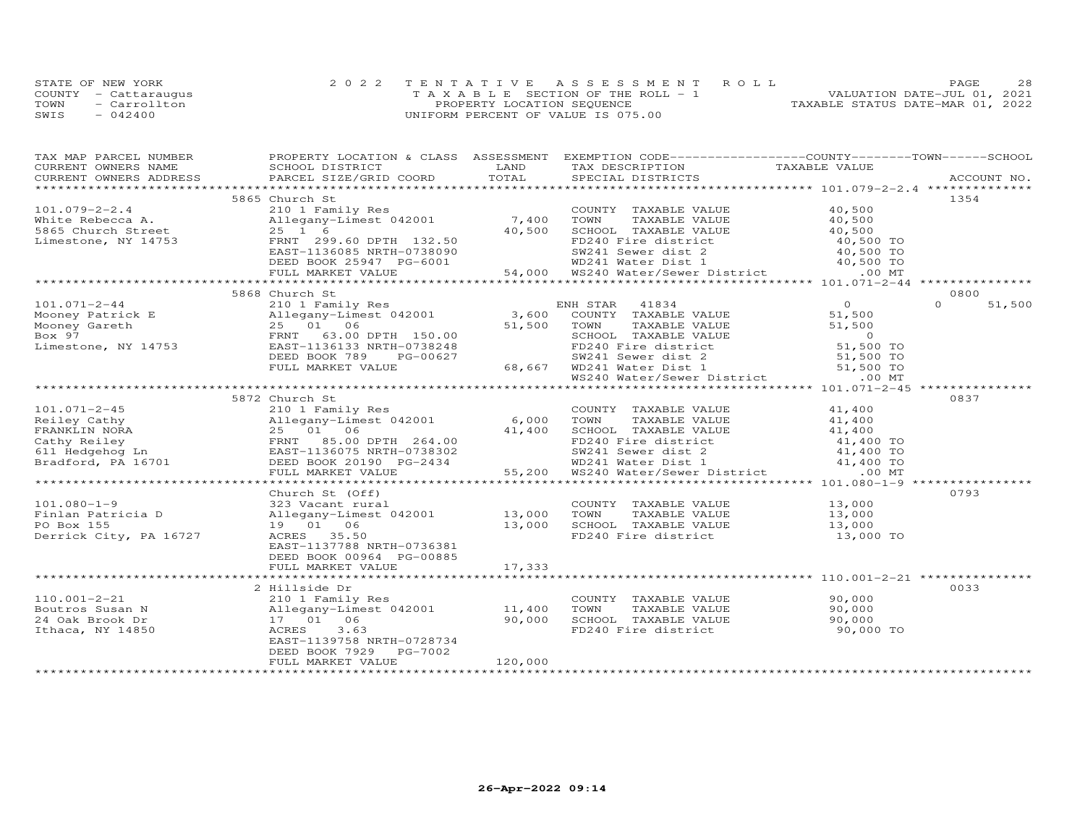|      | STATE OF NEW YORK    | 2022 TENTATIVE ASSESSMENT ROLL        | 28<br>PAGE.                      |
|------|----------------------|---------------------------------------|----------------------------------|
|      | COUNTY - Cattaraugus | T A X A B L E SECTION OF THE ROLL - 1 | VALUATION DATE-JUL 01, 2021      |
| TOWN | - Carrollton         | PROPERTY LOCATION SEQUENCE            | TAXABLE STATUS DATE-MAR 01, 2022 |
| SWIS | $-042400$            | UNIFORM PERCENT OF VALUE IS 075.00    |                                  |

| TAX MAP PARCEL NUMBER           | PROPERTY LOCATION & CLASS ASSESSMENT EXEMPTION CODE----------------COUNTY-------TOWN------SCHOOL                                                                                                                                                                                   |         |                                                                                                         |                |                  |
|---------------------------------|------------------------------------------------------------------------------------------------------------------------------------------------------------------------------------------------------------------------------------------------------------------------------------|---------|---------------------------------------------------------------------------------------------------------|----------------|------------------|
|                                 |                                                                                                                                                                                                                                                                                    |         |                                                                                                         |                |                  |
|                                 |                                                                                                                                                                                                                                                                                    |         |                                                                                                         |                |                  |
|                                 |                                                                                                                                                                                                                                                                                    |         |                                                                                                         |                |                  |
|                                 | 5865 Church St                                                                                                                                                                                                                                                                     |         |                                                                                                         |                | 1354             |
|                                 | 210 1 Family Res<br>Allegany-Limest 042001 7,400 TOWN<br>25 1 6 40,500 SCHOO<br>101.079-2-2.4<br>White Rebecca A. (Allegany-Limest 042001<br>5865 Church Street (25 1 6<br>Limestone, NY 14753<br>EAST-1136085 NATH-0738090<br>$-1.166085$ NATH-0738090<br>$-1.36085$ NATH-0738090 |         | COUNTY TAXABLE VALUE 40,500<br>TOWN TAXABLE VALUE 40,500                                                |                |                  |
|                                 |                                                                                                                                                                                                                                                                                    |         | COUNTY TAXABLE VALUE 40,500<br>7,400 TOWN TAXABLE VALUE 40,500<br>40,500 SCHOOL TAXABLE VALUE 40,500 TO |                |                  |
|                                 |                                                                                                                                                                                                                                                                                    |         |                                                                                                         |                |                  |
|                                 |                                                                                                                                                                                                                                                                                    |         |                                                                                                         |                |                  |
|                                 |                                                                                                                                                                                                                                                                                    |         |                                                                                                         |                |                  |
|                                 |                                                                                                                                                                                                                                                                                    |         |                                                                                                         |                |                  |
|                                 |                                                                                                                                                                                                                                                                                    |         |                                                                                                         |                |                  |
|                                 | 1999.60 DPTH 132.50<br>ERST-1136085 NRTH-0738090<br>EED BOOK 25947 PG-6001<br>FULL MARKET VALUE 54,000 WD241 Water Dist 1 40,500 TO<br>EVILL MARKET VALUE 54,000 WS240 Water/Sewer District 00 MT<br>FULL MARKET VALUE 54,000 WS240 Wate                                           |         |                                                                                                         |                |                  |
|                                 | 5868 Church St                                                                                                                                                                                                                                                                     |         |                                                                                                         |                | 0800             |
|                                 |                                                                                                                                                                                                                                                                                    |         | ENH STAR 41834                                                                                          | $\overline{O}$ | 51,500<br>$\cap$ |
|                                 |                                                                                                                                                                                                                                                                                    |         | COUNTY TAXABLE VALUE 51,500                                                                             |                |                  |
|                                 |                                                                                                                                                                                                                                                                                    |         |                                                                                                         |                |                  |
|                                 |                                                                                                                                                                                                                                                                                    |         |                                                                                                         |                |                  |
|                                 |                                                                                                                                                                                                                                                                                    |         |                                                                                                         |                |                  |
|                                 |                                                                                                                                                                                                                                                                                    |         |                                                                                                         |                |                  |
|                                 |                                                                                                                                                                                                                                                                                    |         |                                                                                                         |                |                  |
|                                 | Allegany-Limster 042001<br>25 01 06 51,500 TOWN TAXABLE VALUE<br>ERNT 63.00 DPTH 150.00 SCHOOL TAXABLE VALUE<br>ERST-1136133 NRTH-0738248 FD240 Fire district 51,500 TOWN<br>DEED BOOK 789 PG-00627 58,667 WD241 Water District 51,500                                             |         |                                                                                                         |                |                  |
|                                 |                                                                                                                                                                                                                                                                                    |         |                                                                                                         |                |                  |
|                                 | 5872 Church St                                                                                                                                                                                                                                                                     |         |                                                                                                         |                | 0837             |
| 101.071-2-45                    | 210 1 Family Res                                                                                                                                                                                                                                                                   |         | COUNTY TAXABLE VALUE 41,400                                                                             |                |                  |
|                                 |                                                                                                                                                                                                                                                                                    |         |                                                                                                         |                |                  |
|                                 |                                                                                                                                                                                                                                                                                    |         |                                                                                                         |                |                  |
|                                 |                                                                                                                                                                                                                                                                                    |         |                                                                                                         |                |                  |
|                                 |                                                                                                                                                                                                                                                                                    |         |                                                                                                         |                |                  |
|                                 |                                                                                                                                                                                                                                                                                    |         |                                                                                                         |                |                  |
|                                 |                                                                                                                                                                                                                                                                                    |         |                                                                                                         |                |                  |
|                                 |                                                                                                                                                                                                                                                                                    |         |                                                                                                         |                |                  |
|                                 |                                                                                                                                                                                                                                                                                    |         |                                                                                                         |                |                  |
|                                 | Church St (Off)                                                                                                                                                                                                                                                                    |         |                                                                                                         |                | 0793             |
| $101.080 - 1 - 9$               |                                                                                                                                                                                                                                                                                    |         |                                                                                                         |                |                  |
| Finlan Patricia D<br>PO Box 155 |                                                                                                                                                                                                                                                                                    |         |                                                                                                         |                |                  |
| PO Box 155                      | COUNTY TAXABLE VALUE 13,000<br>22 Vacant rural COUNTY TAXABLE VALUE 13,000<br>21 Of 13,000 TOWN TAXABLE VALUE 13,000<br>19 01 06 13,000 SCHOOL TAXABLE VALUE 13,000<br>ACRES 35.50 FD240 Fire district 13,000 TO                                                                   |         |                                                                                                         |                |                  |
| Derrick City, PA 16727          |                                                                                                                                                                                                                                                                                    |         |                                                                                                         |                |                  |
|                                 | EAST-1137788 NRTH-0736381                                                                                                                                                                                                                                                          |         |                                                                                                         |                |                  |
|                                 | DEED BOOK 00964 PG-00885                                                                                                                                                                                                                                                           |         |                                                                                                         |                |                  |
|                                 | FULL MARKET VALUE                                                                                                                                                                                                                                                                  | 17,333  |                                                                                                         |                |                  |
|                                 |                                                                                                                                                                                                                                                                                    |         |                                                                                                         |                |                  |
|                                 | 2 Hillside Dr                                                                                                                                                                                                                                                                      |         |                                                                                                         |                | 0033             |
| $110.001 - 2 - 21$              |                                                                                                                                                                                                                                                                                    |         | COUNTY TAXABLE VALUE                                                                                    | 90,000         |                  |
| Boutros Susan N                 | 210 1 Family Res<br>Allegany-Limest 042001 11,400<br>17 01 06 90 90 000                                                                                                                                                                                                            |         | TAXABLE VALUE 90,000<br>TOWN                                                                            |                |                  |
| 24 Oak Brook Dr                 |                                                                                                                                                                                                                                                                                    |         |                                                                                                         |                |                  |
| Ithaca, NY 14850                | 3.63<br>ACRES                                                                                                                                                                                                                                                                      |         |                                                                                                         |                |                  |
|                                 | EAST-1139758 NRTH-0728734                                                                                                                                                                                                                                                          |         |                                                                                                         |                |                  |
|                                 | DEED BOOK 7929 PG-7002                                                                                                                                                                                                                                                             |         |                                                                                                         |                |                  |
|                                 | FULL MARKET VALUE                                                                                                                                                                                                                                                                  | 120,000 |                                                                                                         |                |                  |
| *************************       |                                                                                                                                                                                                                                                                                    |         |                                                                                                         |                |                  |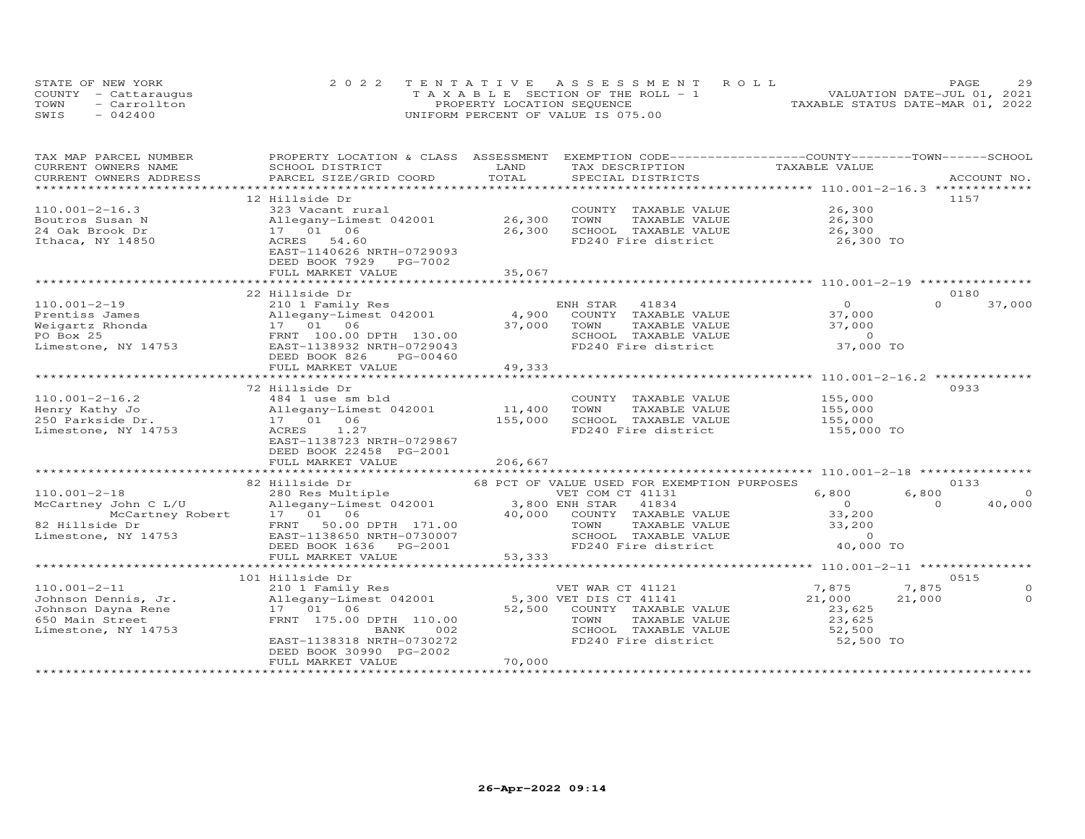|      | STATE OF NEW YORK    | 2022 TENTATIVE ASSESSMENT ROLL        | 29<br><b>PAGE</b>                |
|------|----------------------|---------------------------------------|----------------------------------|
|      | COUNTY - Cattaraugus | T A X A B L E SECTION OF THE ROLL - 1 | VALUATION DATE-JUL 01, 2021      |
| TOWN | - Carrollton         | PROPERTY LOCATION SEQUENCE            | TAXABLE STATUS DATE-MAR 01, 2022 |
| SWIS | $-042400$            | UNIFORM PERCENT OF VALUE IS 075.00    |                                  |

| TAX MAP PARCEL NUMBER     | PROPERTY LOCATION & CLASS ASSESSMENT           |                         | EXEMPTION CODE-----------------COUNTY-------TOWN------SCHOOL   |                                                    |                    |
|---------------------------|------------------------------------------------|-------------------------|----------------------------------------------------------------|----------------------------------------------------|--------------------|
| CURRENT OWNERS NAME       | SCHOOL DISTRICT                                | LAND                    | TAX DESCRIPTION                                                | TAXABLE VALUE                                      |                    |
| CURRENT OWNERS ADDRESS    | PARCEL SIZE/GRID COORD                         | TOTAL                   | SPECIAL DISTRICTS                                              |                                                    | ACCOUNT NO.        |
|                           |                                                | *********************** |                                                                | ******************** 110.001-2-16.3 ************** |                    |
|                           | 12 Hillside Dr                                 |                         |                                                                |                                                    | 1157               |
| $110.001 - 2 - 16.3$      | 323 Vacant rural                               |                         | COUNTY TAXABLE VALUE                                           | 26,300                                             |                    |
| Boutros Susan N           | Allegany-Limest 042001                         | 26,300                  | TOWN<br>TAXABLE VALUE                                          | 26,300                                             |                    |
| 24 Oak Brook Dr           | 17  01  06                                     | 26,300                  | SCHOOL TAXABLE VALUE                                           | 26,300                                             |                    |
| Ithaca, NY 14850          | ACRES 54.60                                    |                         | FD240 Fire district                                            | 26,300 TO                                          |                    |
|                           | EAST-1140626 NRTH-0729093                      |                         |                                                                |                                                    |                    |
|                           | DEED BOOK 7929 PG-7002                         |                         |                                                                |                                                    |                    |
|                           | FULL MARKET VALUE                              | 35,067                  |                                                                |                                                    |                    |
|                           |                                                |                         |                                                                |                                                    |                    |
|                           | 22 Hillside Dr                                 |                         |                                                                |                                                    | 0180               |
| $110.001 - 2 - 19$        | 210 1 Family Res                               |                         | ENH STAR 41834                                                 | $\Omega$                                           | 37,000<br>$\Omega$ |
| Prentiss James            | Allegany-Limest 042001                         | 4,900                   | COUNTY TAXABLE VALUE                                           | 37,000                                             |                    |
| Weigartz Rhonda           | 17 01 06                                       | 37,000                  | TOWN<br>TAXABLE VALUE                                          | 37,000                                             |                    |
| PO Box 25                 | FRNT 100.00 DPTH 130.00                        |                         | SCHOOL TAXABLE VALUE                                           | $\overline{0}$                                     |                    |
| Limestone, NY 14753       | EAST-1138932 NRTH-0729043                      |                         | FD240 Fire district                                            | 37,000 TO                                          |                    |
|                           |                                                |                         |                                                                |                                                    |                    |
|                           | DEED BOOK 826<br>PG-00460<br>FULL MARKET VALUE | 49,333                  |                                                                |                                                    |                    |
|                           | **********************                         |                         |                                                                | ****************** 110.001-2-16.2 **               |                    |
|                           | 72 Hillside Dr                                 |                         |                                                                |                                                    | 0933               |
| $110.001 - 2 - 16.2$      |                                                |                         | COUNTY<br>TAXABLE VALUE                                        | 155,000                                            |                    |
|                           | 484 1 use sm bld                               |                         |                                                                |                                                    |                    |
| Henry Kathy Jo            | Allegany-Limest 042001                         | 11,400                  | TOWN<br>TAXABLE VALUE                                          | 155,000                                            |                    |
| 250 Parkside Dr.          | 17  01  06                                     | 155,000                 | SCHOOL TAXABLE VALUE                                           | 155,000                                            |                    |
| Limestone, NY 14753       | ACRES<br>1.27                                  |                         | FD240 Fire district                                            | 155,000 TO                                         |                    |
|                           | EAST-1138723 NRTH-0729867                      |                         |                                                                |                                                    |                    |
|                           | DEED BOOK 22458 PG-2001                        |                         |                                                                |                                                    |                    |
|                           | FULL MARKET VALUE                              | 206,667                 |                                                                |                                                    |                    |
|                           |                                                |                         |                                                                | ******************** 110.001-2-18 *********        |                    |
|                           | 82 Hillside Dr                                 |                         | 68 PCT OF VALUE USED FOR EXEMPTION PURPOSES                    |                                                    | 0133               |
| $110.001 - 2 - 18$        | 280 Res Multiple                               |                         | VET COM CT 41131                                               | 6,800                                              | 6,800<br>$\Omega$  |
| McCartney John C L/U      | Allegany-Limest 042001                         |                         | 3,800 ENH STAR<br>41834                                        | $\Omega$                                           | $\Omega$<br>40,000 |
| McCartney Robert 17 01 06 |                                                | 40,000                  | COUNTY TAXABLE VALUE                                           | 33,200                                             |                    |
| 82 Hillside Dr            | FRNT<br>50.00 DPTH 171.00                      |                         | TAXABLE VALUE<br>TOWN                                          | 33,200                                             |                    |
| Limestone, NY 14753       | EAST-1138650 NRTH-0730007                      |                         | SCHOOL TAXABLE VALUE                                           | $\circ$                                            |                    |
|                           | DEED BOOK 1636<br>PG-2001                      |                         | FD240 Fire district                                            | 40,000 TO                                          |                    |
|                           | FULL MARKET VALUE                              | 53,333                  |                                                                |                                                    |                    |
|                           | ************************                       |                         | ******************************** 110.001-2-11 **************** |                                                    |                    |
|                           | 101 Hillside Dr                                |                         |                                                                |                                                    | 0515               |
| $110.001 - 2 - 11$        | 210 1 Family Res                               |                         | VET WAR CT 41121                                               | 7,875                                              | 7,875              |
| Johnson Dennis, Jr.       | Allegany-Limest 042001                         |                         | 5,300 VET DIS CT 41141                                         | 21,000                                             | 21,000             |
| Johnson Dayna Rene        | 17  01  06                                     | 52,500                  | COUNTY TAXABLE VALUE                                           | 23,625                                             |                    |
| 650 Main Street           | FRNT 175.00 DPTH 110.00                        |                         | TOWN<br>TAXABLE VALUE                                          | 23,625                                             |                    |
| Limestone, NY 14753       | <b>BANK</b><br>002                             |                         | SCHOOL TAXABLE VALUE                                           | 52,500                                             |                    |
|                           | EAST-1138318 NRTH-0730272                      |                         | FD240 Fire district                                            | 52,500 TO                                          |                    |
|                           | DEED BOOK 30990 PG-2002                        |                         |                                                                |                                                    |                    |
|                           | FULL MARKET VALUE                              | 70,000                  |                                                                |                                                    |                    |
|                           |                                                |                         |                                                                |                                                    |                    |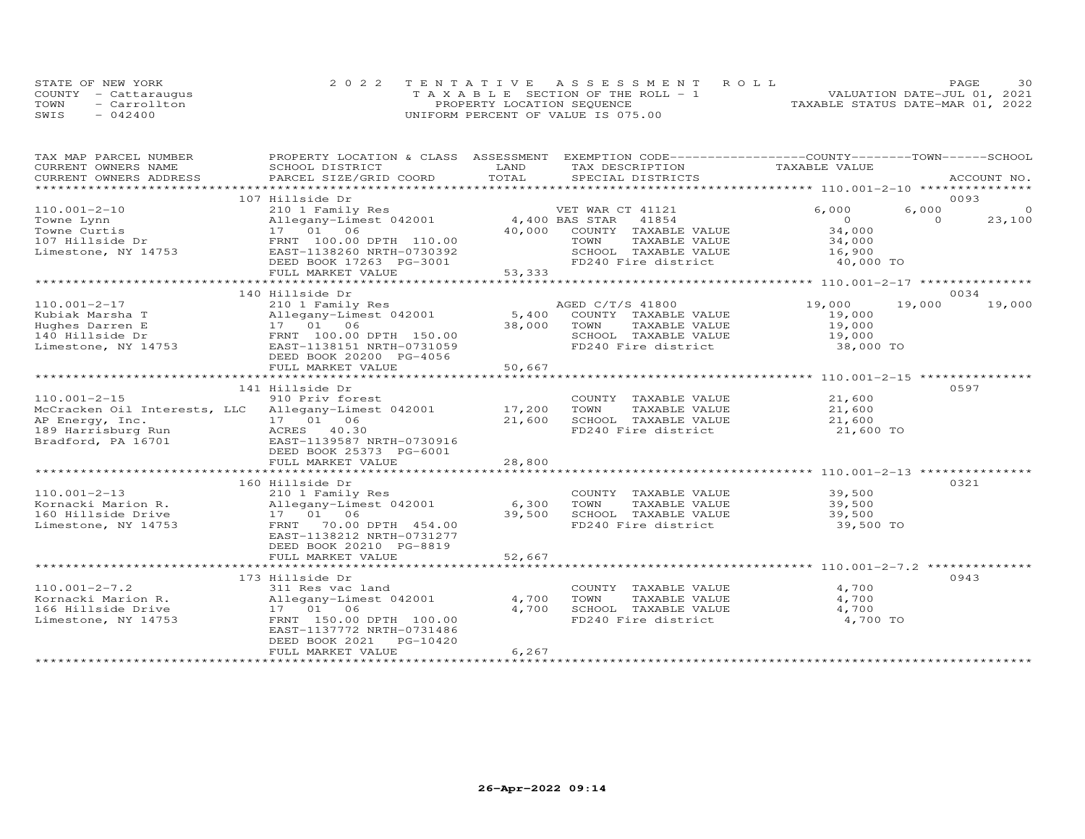|      | STATE OF NEW YORK    | 2022 TENTATIVE ASSESSMENT ROLL        | 30<br>PAGE.                      |
|------|----------------------|---------------------------------------|----------------------------------|
|      | COUNTY - Cattaraugus | T A X A B L E SECTION OF THE ROLL - 1 | VALUATION DATE-JUL 01, 2021      |
| TOWN | - Carrollton         | PROPERTY LOCATION SEQUENCE            | TAXABLE STATUS DATE-MAR 01, 2022 |
| SWIS | $-042400$            | UNIFORM PERCENT OF VALUE IS 075.00    |                                  |

| TAX MAP PARCEL NUMBER                                                             | PROPERTY LOCATION & CLASS ASSESSMENT EXEMPTION CODE----------------COUNTY-------TOWN-----SCHOOL |                |                                             |                     |          |             |
|-----------------------------------------------------------------------------------|-------------------------------------------------------------------------------------------------|----------------|---------------------------------------------|---------------------|----------|-------------|
| CURRENT OWNERS NAME                                                               | SCHOOL DISTRICT                                                                                 | LAND           | TAX DESCRIPTION                             | TAXABLE VALUE       |          |             |
| CURRENT OWNERS ADDRESS                                                            | PARCEL SIZE/GRID COORD                                                                          | TOTAL          | SPECIAL DISTRICTS                           |                     |          | ACCOUNT NO. |
| ***********************                                                           |                                                                                                 |                |                                             |                     |          |             |
|                                                                                   | 107 Hillside Dr                                                                                 |                |                                             |                     |          | 0093        |
| $110.001 - 2 - 10$                                                                | 210 1 Family Res                                                                                |                | VET WAR CT 41121                            | 6,000               | 6,000    |             |
| Towne Lynn                                                                        | Allegany-Limest 042001                                                                          | 4,400 BAS STAR | 41854                                       | $\overline{O}$      | $\Omega$ | 23,100      |
| Towne Curtis                                                                      | 17  01  06                                                                                      | 40,000         | COUNTY TAXABLE VALUE                        | 34,000              |          |             |
| 107 Hillside Dr                                                                   | FRNT 100.00 DPTH 110.00                                                                         |                | TAXABLE VALUE<br>TOWN                       | 34,000              |          |             |
| Limestone, NY 14753                                                               | EAST-1138260 NRTH-0730392                                                                       |                | SCHOOL TAXABLE VALUE                        | 16,900              |          |             |
|                                                                                   | DEED BOOK 17263 PG-3001                                                                         |                | FD240 Fire district                         | 40,000 TO           |          |             |
|                                                                                   | FULL MARKET VALUE                                                                               | 53,333         |                                             |                     |          |             |
|                                                                                   |                                                                                                 |                |                                             |                     |          |             |
|                                                                                   | 140 Hillside Dr                                                                                 |                |                                             |                     | 19,000   | 0034        |
| $110.001 - 2 - 17$                                                                | 210 1 Family Res                                                                                |                | AGED C/T/S 41800                            | 19,000              |          | 19,000      |
| Kubiak Marsha T                                                                   | Allegany-Limest 042001<br>17  01  06                                                            | 38,000         | 5,400 COUNTY TAXABLE VALUE<br>TAXABLE VALUE | 19,000              |          |             |
| Hughes Darren E                                                                   | FRNT 100.00 DPTH 150.00                                                                         |                | TOWN<br>SCHOOL TAXABLE VALUE                | 19,000              |          |             |
| 140 Hillside Dr<br>Limestone, NY 14753                                            | EAST-1138151 NRTH-0731059                                                                       |                | FD240 Fire district                         | 19,000<br>38,000 TO |          |             |
|                                                                                   |                                                                                                 |                |                                             |                     |          |             |
|                                                                                   | DEED BOOK 20200 PG-4056<br>FULL MARKET VALUE                                                    | 50,667         |                                             |                     |          |             |
|                                                                                   |                                                                                                 |                |                                             |                     |          |             |
|                                                                                   | 141 Hillside Dr                                                                                 |                |                                             |                     |          | 0597        |
| $110.001 - 2 - 15$                                                                | 910 Priv forest                                                                                 |                | COUNTY TAXABLE VALUE                        | 21,600              |          |             |
| $110.001$ - $2$ -15<br>McCracken Oil Interests, LLC Allegany-Limest 042001 17,200 |                                                                                                 |                | TOWN<br>TAXABLE VALUE                       | 21,600              |          |             |
| AP Energy, Inc.                                                                   |                                                                                                 | 21,600         | SCHOOL TAXABLE VALUE                        | 21,600              |          |             |
| 189 Harrisburg Run                                                                | 17 01 06<br>ACRES 40.30                                                                         |                | FD240 Fire district                         | 21,600 TO           |          |             |
| Bradford, PA 16701                                                                | EAST-1139587 NRTH-0730916                                                                       |                |                                             |                     |          |             |
|                                                                                   | DEED BOOK 25373 PG-6001                                                                         |                |                                             |                     |          |             |
|                                                                                   | FULL MARKET VALUE                                                                               | 28,800         |                                             |                     |          |             |
|                                                                                   |                                                                                                 |                |                                             |                     |          |             |
|                                                                                   | 160 Hillside Dr                                                                                 |                |                                             |                     |          | 0321        |
| $110.001 - 2 - 13$                                                                | 210 1 Family Res                                                                                |                | COUNTY TAXABLE VALUE                        | 39,500              |          |             |
| Kornacki Marion R.                                                                | Allegany-Limest 042001                                                                          | 6,300          | TOWN<br>TAXABLE VALUE                       | 39,500              |          |             |
| 160 Hillside Drive                                                                | 17  01  06                                                                                      | 39,500         | SCHOOL TAXABLE VALUE                        | 39,500              |          |             |
| Limestone, NY 14753                                                               | 70.00 DPTH 454.00<br>FRNT                                                                       |                | FD240 Fire district                         | 39,500 TO           |          |             |
|                                                                                   | EAST-1138212 NRTH-0731277                                                                       |                |                                             |                     |          |             |
|                                                                                   | DEED BOOK 20210 PG-8819                                                                         |                |                                             |                     |          |             |
|                                                                                   | FULL MARKET VALUE                                                                               | 52,667         |                                             |                     |          |             |
|                                                                                   |                                                                                                 |                |                                             |                     |          |             |
|                                                                                   | 173 Hillside Dr                                                                                 |                |                                             |                     |          | 0943        |
| $110.001 - 2 - 7.2$                                                               | 311 Res vac land                                                                                |                | COUNTY TAXABLE VALUE                        | 4,700               |          |             |
| Kornacki Marion R.                                                                | Allegany-Limest 042001                                                                          | 4,700          | TOWN<br>TAXABLE VALUE                       | 4,700               |          |             |
| 166 Hillside Drive                                                                | 17 01 06                                                                                        | 4,700          | SCHOOL TAXABLE VALUE                        | 4,700               |          |             |
| Limestone, NY 14753                                                               | FRNT 150.00 DPTH 100.00                                                                         |                | FD240 Fire district                         | 4,700 TO            |          |             |
|                                                                                   | EAST-1137772 NRTH-0731486                                                                       |                |                                             |                     |          |             |
|                                                                                   | PG-10420<br>DEED BOOK 2021                                                                      |                |                                             |                     |          |             |
|                                                                                   | FULL MARKET VALUE                                                                               | 6, 267         |                                             |                     |          |             |
|                                                                                   |                                                                                                 |                |                                             |                     |          |             |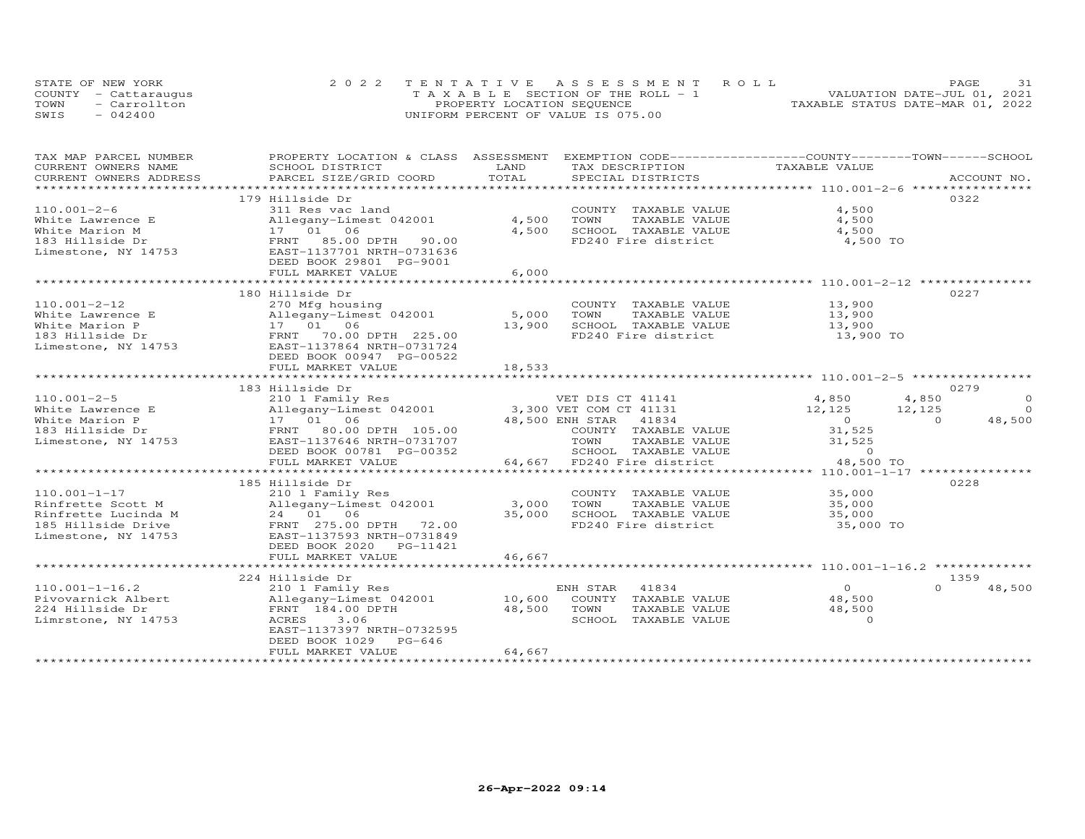| STATE OF NEW YORK |                      | 2022 TENTATIVE ASSESSMENT ROLL        | 31<br><b>PAGE</b>                |
|-------------------|----------------------|---------------------------------------|----------------------------------|
|                   | COUNTY - Cattaraugus | T A X A B L E SECTION OF THE ROLL - 1 | VALUATION DATE-JUL 01, 2021      |
| TOWN              | - Carrollton         | PROPERTY LOCATION SEQUENCE            | TAXABLE STATUS DATE-MAR 01, 2022 |
| SWIS              | $-042400$            | UNIFORM PERCENT OF VALUE IS 075.00    |                                  |

| TAX MAP PARCEL NUMBER  | PROPERTY LOCATION & CLASS ASSESSMENT |                | EXEMPTION CODE------------------COUNTY-------TOWN------SCHOOL |                |                    |
|------------------------|--------------------------------------|----------------|---------------------------------------------------------------|----------------|--------------------|
| CURRENT OWNERS NAME    | SCHOOL DISTRICT                      | LAND           | TAX DESCRIPTION                                               | TAXABLE VALUE  |                    |
| CURRENT OWNERS ADDRESS | PARCEL SIZE/GRID COORD               | TOTAL          | SPECIAL DISTRICTS                                             |                | ACCOUNT NO.        |
| *********************  |                                      |                |                                                               |                |                    |
|                        | 179 Hillside Dr                      |                |                                                               |                | 0322               |
| $110.001 - 2 - 6$      | 311 Res vac land                     |                | COUNTY TAXABLE VALUE                                          | 4,500          |                    |
| White Lawrence E       | Allegany-Limest 042001               | 4,500          | TOWN<br>TAXABLE VALUE                                         | 4,500          |                    |
| White Marion M         | 17 01 06                             | 4,500          | SCHOOL TAXABLE VALUE                                          | 4,500          |                    |
| 183 Hillside Dr        | FRNT 85.00 DPTH<br>90.00             |                | FD240 Fire district                                           | 4,500 TO       |                    |
| Limestone, NY 14753    | EAST-1137701 NRTH-0731636            |                |                                                               |                |                    |
|                        | DEED BOOK 29801 PG-9001              |                |                                                               |                |                    |
|                        | FULL MARKET VALUE                    | 6,000          |                                                               |                |                    |
|                        | ***************************          | ************** |                                                               |                |                    |
|                        | 180 Hillside Dr                      |                |                                                               |                | 0227               |
| $110.001 - 2 - 12$     | 270 Mfg housing                      |                | COUNTY TAXABLE VALUE                                          | 13,900         |                    |
| White Lawrence E       | Allegany-Limest 042001               | 5,000          | TOWN<br>TAXABLE VALUE                                         | 13,900         |                    |
| White Marion P         | 17  01  06                           | 13,900         | SCHOOL TAXABLE VALUE                                          | 13,900         |                    |
| 183 Hillside Dr        | FRNT 70.00 DPTH 225.00               |                | FD240 Fire district                                           | 13,900 TO      |                    |
| Limestone, NY 14753    | EAST-1137864 NRTH-0731724            |                |                                                               |                |                    |
|                        | DEED BOOK 00947 PG-00522             |                |                                                               |                |                    |
|                        | FULL MARKET VALUE                    | 18,533         |                                                               |                |                    |
|                        |                                      |                |                                                               |                |                    |
|                        | 183 Hillside Dr                      |                |                                                               |                | 0279               |
| $110.001 - 2 - 5$      | 210 1 Family Res                     |                | VET DIS CT 41141                                              | 4,850          | 4,850<br>$\circ$   |
| White Lawrence E       | Allegany-Limest 042001               |                | 3,300 VET COM CT 41131                                        | 12,125         | $\Omega$<br>12,125 |
| White Marion P         | 17  01  06                           |                | 48,500 ENH STAR 41834                                         | $\overline{0}$ | 48,500<br>$\Omega$ |
| 183 Hillside Dr        | FRNT 80.00 DPTH 105.00               |                | COUNTY TAXABLE VALUE                                          | 31,525         |                    |
| Limestone, NY 14753    | EAST-1137646 NRTH-0731707            |                | TOWN<br>TAXABLE VALUE                                         | 31,525         |                    |
|                        | DEED BOOK 00781 PG-00352             |                | SCHOOL TAXABLE VALUE                                          | $\Omega$       |                    |
|                        | FULL MARKET VALUE                    |                | 64,667 FD240 Fire district                                    | 48,500 TO      |                    |
|                        |                                      |                |                                                               |                |                    |
|                        | 185 Hillside Dr                      |                |                                                               |                | 0228               |
| $110.001 - 1 - 17$     | 210 1 Family Res                     |                | COUNTY TAXABLE VALUE                                          | 35,000         |                    |
| Rinfrette Scott M      | Allegany-Limest 042001               | 3,000          | TOWN<br>TAXABLE VALUE                                         | 35,000         |                    |
| Rinfrette Lucinda M    | 24 01 06                             | 35,000         | SCHOOL TAXABLE VALUE                                          | 35,000         |                    |
| 185 Hillside Drive     | FRNT 275.00 DPTH 72.00               |                | FD240 Fire district                                           | 35,000 TO      |                    |
| Limestone, NY 14753    | EAST-1137593 NRTH-0731849            |                |                                                               |                |                    |
|                        | DEED BOOK 2020 PG-11421              |                |                                                               |                |                    |
|                        | FULL MARKET VALUE                    | 46,667         |                                                               |                |                    |
|                        |                                      |                |                                                               |                |                    |
|                        | 224 Hillside Dr                      |                |                                                               |                | 1359               |
| $110.001 - 1 - 16.2$   | 210 1 Family Res                     |                | 41834<br>ENH STAR                                             | $\Omega$       | $\Omega$<br>48,500 |
| Pivovarnick Albert     | Allegany-Limest 042001               | 10,600         | COUNTY TAXABLE VALUE                                          | 48,500         |                    |
| 224 Hillside Dr        | FRNT 184.00 DPTH                     | 48,500         | TOWN<br>TAXABLE VALUE                                         | 48,500         |                    |
| Limrstone, NY 14753    | 3.06<br>ACRES                        |                | SCHOOL TAXABLE VALUE                                          | $\Omega$       |                    |
|                        | EAST-1137397 NRTH-0732595            |                |                                                               |                |                    |
|                        | $PG-646$<br>DEED BOOK 1029           |                |                                                               |                |                    |
|                        | FULL MARKET VALUE                    | 64,667         |                                                               |                |                    |
|                        |                                      |                |                                                               |                |                    |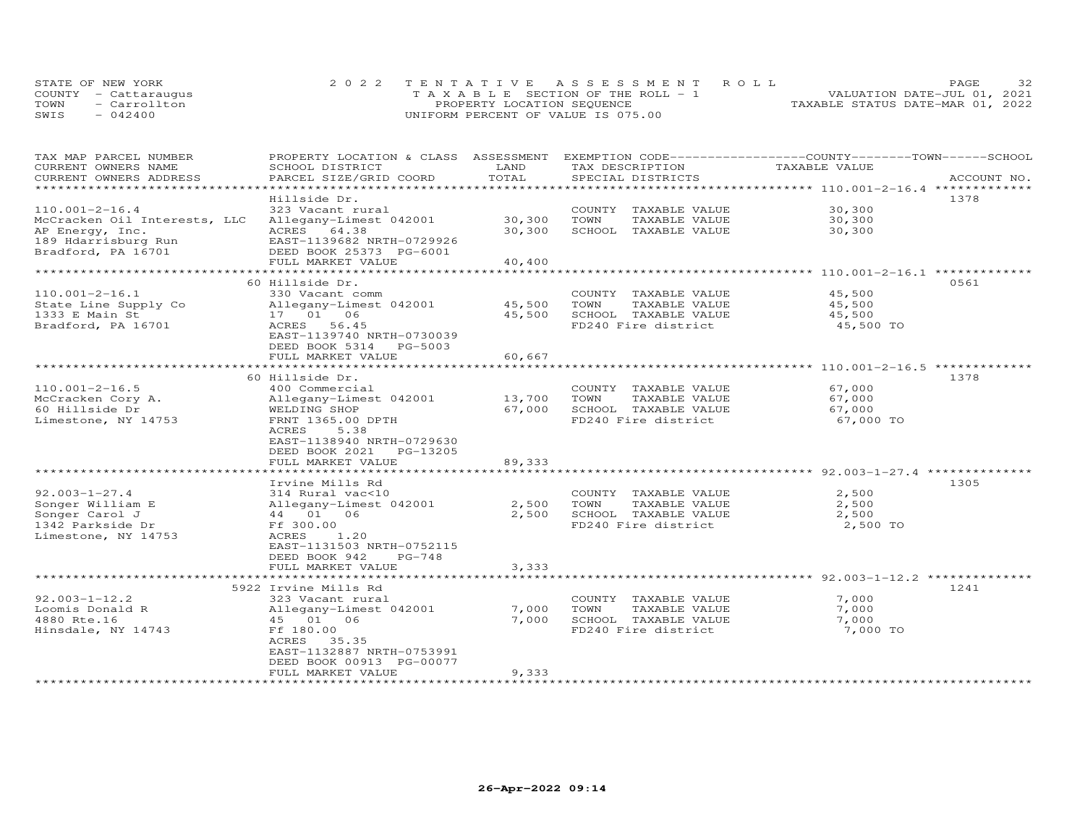| STATE OF NEW YORK    | 2022 TENTATIVE ASSESSMENT ROLL        |                            |  |                                  | <b>PAGE</b> | 32 |
|----------------------|---------------------------------------|----------------------------|--|----------------------------------|-------------|----|
| COUNTY - Cattaraugus | T A X A B L E SECTION OF THE ROLL - 1 |                            |  | VALUATION DATE-JUL 01, 2021      |             |    |
| - Carrollton<br>TOWN |                                       | PROPERTY LOCATION SEQUENCE |  | TAXABLE STATUS DATE-MAR 01, 2022 |             |    |
| SWIS<br>$-042400$    | UNIFORM PERCENT OF VALUE IS 075.00    |                            |  |                                  |             |    |

| TAX MAP PARCEL NUMBER              | PROPERTY LOCATION & CLASS ASSESSMENT |        | EXEMPTION CODE-----------------COUNTY-------TOWN------SCHOOL |                |             |
|------------------------------------|--------------------------------------|--------|--------------------------------------------------------------|----------------|-------------|
| CURRENT OWNERS NAME                | SCHOOL DISTRICT                      | LAND   | TAX DESCRIPTION                                              | TAXABLE VALUE  |             |
| CURRENT OWNERS ADDRESS             | PARCEL SIZE/GRID COORD               | TOTAL  | SPECIAL DISTRICTS                                            |                | ACCOUNT NO. |
| **********************             |                                      |        |                                                              |                |             |
|                                    | Hillside Dr.                         |        |                                                              |                | 1378        |
| $110.001 - 2 - 16.4$               | 323 Vacant rural                     |        | COUNTY TAXABLE VALUE                                         | 30,300         |             |
| McCracken Oil Interests, LLC       | Allegany-Limest 042001               | 30,300 | TOWN<br>TAXABLE VALUE                                        | 30,300         |             |
| AP Energy, Inc.                    | ACRES 64.38                          | 30,300 | SCHOOL TAXABLE VALUE                                         | 30,300         |             |
| 189 Hdarrisburg Run                | EAST-1139682 NRTH-0729926            |        |                                                              |                |             |
| Bradford, PA 16701                 | DEED BOOK 25373 PG-6001              |        |                                                              |                |             |
|                                    | FULL MARKET VALUE                    | 40,400 |                                                              |                |             |
|                                    |                                      |        |                                                              |                |             |
|                                    | 60 Hillside Dr.                      |        |                                                              |                | 0561        |
| $110.001 - 2 - 16.1$               | 330 Vacant comm                      |        | COUNTY TAXABLE VALUE                                         | 45,500         |             |
| State Line Supply Co               | Allegany-Limest 042001               | 45,500 | TOWN<br>TAXABLE VALUE                                        | 45,500         |             |
| 1333 E Main St                     | 17  01  06                           | 45,500 | SCHOOL TAXABLE VALUE                                         | 45,500         |             |
| Bradford, PA 16701                 | ACRES 56.45                          |        | FD240 Fire district                                          | 45,500 TO      |             |
|                                    | EAST-1139740 NRTH-0730039            |        |                                                              |                |             |
|                                    | DEED BOOK 5314 PG-5003               |        |                                                              |                |             |
|                                    | FULL MARKET VALUE                    | 60,667 |                                                              |                |             |
|                                    |                                      |        |                                                              |                |             |
|                                    | 60 Hillside Dr.                      |        |                                                              |                | 1378        |
| $110.001 - 2 - 16.5$               | 400 Commercial                       |        | COUNTY TAXABLE VALUE                                         | 67,000         |             |
| McCracken Cory A.                  | Allegany-Limest 042001               | 13,700 | TOWN<br>TAXABLE VALUE                                        | 67,000         |             |
| 60 Hillside Dr                     | WELDING SHOP                         | 67,000 | SCHOOL TAXABLE VALUE                                         | 67,000         |             |
| Limestone, NY 14753                | FRNT 1365.00 DPTH                    |        | FD240 Fire district                                          | 67,000 TO      |             |
|                                    | ACRES<br>5.38                        |        |                                                              |                |             |
|                                    | EAST-1138940 NRTH-0729630            |        |                                                              |                |             |
|                                    | DEED BOOK 2021<br>PG-13205           |        |                                                              |                |             |
|                                    | FULL MARKET VALUE                    | 89,333 |                                                              |                |             |
|                                    |                                      |        |                                                              |                |             |
|                                    | Irvine Mills Rd                      |        |                                                              |                | 1305        |
| $92.003 - 1 - 27.4$                | 314 Rural vac<10                     |        | COUNTY TAXABLE VALUE                                         | 2,500          |             |
|                                    | Allegany-Limest 042001               | 2,500  | TOWN<br>TAXABLE VALUE                                        |                |             |
| Songer William E<br>Songer Carol J | 44 01 06                             | 2,500  | SCHOOL TAXABLE VALUE                                         | 2,500<br>2,500 |             |
| 1342 Parkside Dr                   | Ff 300.00                            |        | FD240 Fire district                                          | 2,500 TO       |             |
|                                    | ACRES                                |        |                                                              |                |             |
| Limestone, NY 14753                | 1,20                                 |        |                                                              |                |             |
|                                    | EAST-1131503 NRTH-0752115            |        |                                                              |                |             |
|                                    | DEED BOOK 942<br>$PG-748$            |        |                                                              |                |             |
|                                    | FULL MARKET VALUE                    | 3,333  |                                                              |                |             |
|                                    |                                      |        |                                                              |                |             |
|                                    | 5922 Irvine Mills Rd                 |        |                                                              |                | 1241        |
| $92.003 - 1 - 12.2$                | 323 Vacant rural                     |        | COUNTY TAXABLE VALUE                                         | 7,000          |             |
| Loomis Donald R                    | Allegany-Limest 042001               | 7,000  | TOWN<br>TAXABLE VALUE                                        | 7,000          |             |
| 4880 Rte.16                        | 45 01 06                             | 7,000  | SCHOOL TAXABLE VALUE                                         | 7,000          |             |
| Hinsdale, NY 14743                 | Ff 180.00                            |        | FD240 Fire district                                          | 7,000 TO       |             |
|                                    | ACRES<br>35.35                       |        |                                                              |                |             |
|                                    | EAST-1132887 NRTH-0753991            |        |                                                              |                |             |
|                                    | DEED BOOK 00913 PG-00077             |        |                                                              |                |             |
|                                    | FULL MARKET VALUE                    | 9,333  |                                                              |                |             |
|                                    | **********************               |        |                                                              |                |             |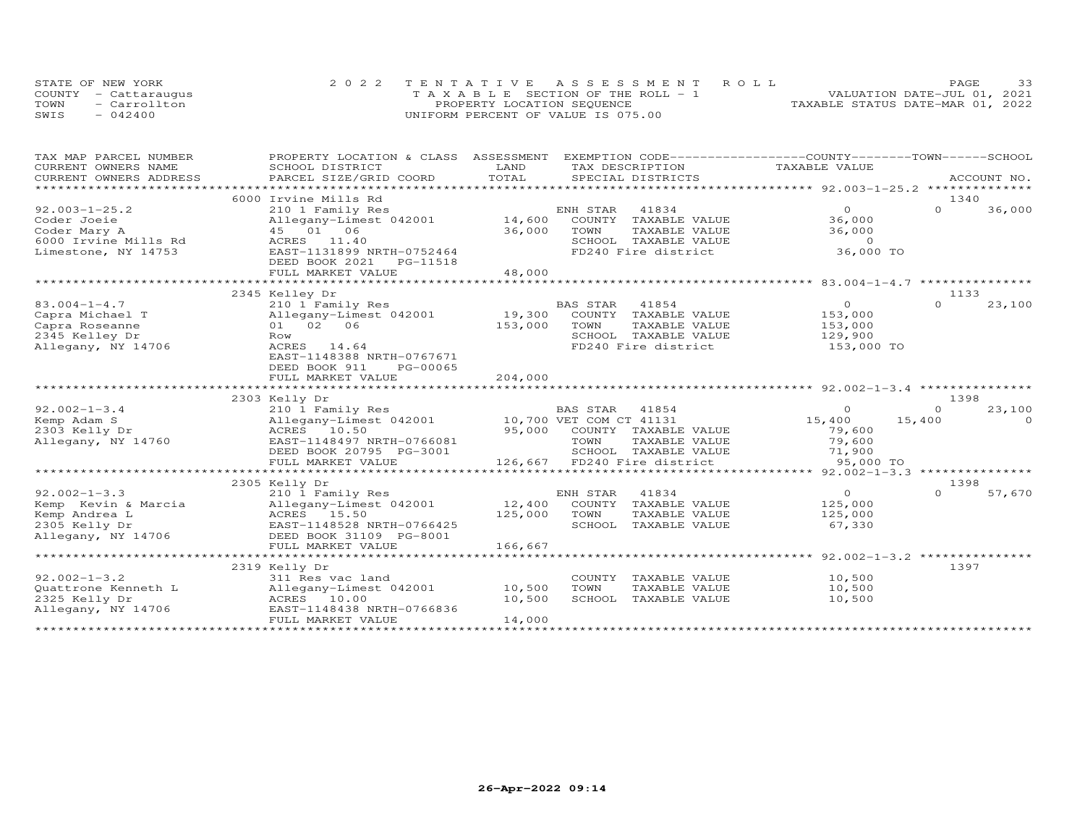|      | STATE OF NEW YORK    | 2022 TENTATIVE ASSESSMENT ROLL        | 33<br><b>PAGE</b>                |
|------|----------------------|---------------------------------------|----------------------------------|
|      | COUNTY - Cattaraugus | T A X A B L E SECTION OF THE ROLL - 1 | VALUATION DATE-JUL 01, 2021      |
| TOWN | - Carrollton         | PROPERTY LOCATION SEQUENCE            | TAXABLE STATUS DATE-MAR 01, 2022 |
| SWIS | $-042400$            | UNIFORM PERCENT OF VALUE IS 075.00    |                                  |

| TAX MAP PARCEL NUMBER  | PROPERTY LOCATION & CLASS ASSESSMENT |         | EXEMPTION CODE------------------COUNTY-------TOWN-----SCHOOL |                |          |             |
|------------------------|--------------------------------------|---------|--------------------------------------------------------------|----------------|----------|-------------|
| CURRENT OWNERS NAME    | SCHOOL DISTRICT                      | LAND    | TAX DESCRIPTION                                              | TAXABLE VALUE  |          |             |
| CURRENT OWNERS ADDRESS | PARCEL SIZE/GRID COORD               | TOTAL   | SPECIAL DISTRICTS                                            |                |          | ACCOUNT NO. |
|                        |                                      |         |                                                              |                |          |             |
|                        | 6000 Irvine Mills Rd                 |         |                                                              |                | 1340     |             |
| $92.003 - 1 - 25.2$    | 210 1 Family Res                     |         | 41834<br>ENH STAR                                            | $\overline{O}$ | $\Omega$ | 36,000      |
| Coder Joeie            | Allegany-Limest 042001               | 14,600  | COUNTY TAXABLE VALUE                                         | 36,000         |          |             |
| Coder Mary A           | 45 01 06                             | 36,000  | TOWN<br>TAXABLE VALUE                                        | 36,000         |          |             |
| 6000 Irvine Mills Rd   | ACRES 11.40                          |         | SCHOOL TAXABLE VALUE                                         | $\circ$        |          |             |
| Limestone, NY 14753    | EAST-1131899 NRTH-0752464            |         | FD240 Fire district                                          | 36,000 TO      |          |             |
|                        | DEED BOOK 2021<br>PG-11518           |         |                                                              |                |          |             |
|                        | FULL MARKET VALUE                    | 48,000  |                                                              |                |          |             |
|                        |                                      |         |                                                              |                |          |             |
|                        | 2345 Kelley Dr                       |         |                                                              |                | 1133     |             |
| $83.004 - 1 - 4.7$     | 210 1 Family Res                     |         | BAS STAR<br>41854                                            | $\overline{0}$ | $\Omega$ | 23,100      |
| Capra Michael T        | Allegany-Limest 042001               | 19,300  | COUNTY<br>TAXABLE VALUE                                      | 153,000        |          |             |
| Capra Roseanne         | 01 02 06                             | 153,000 | TOWN<br>TAXABLE VALUE                                        | 153,000        |          |             |
| 2345 Kelley Dr         | Row                                  |         | SCHOOL TAXABLE VALUE                                         | 129,900        |          |             |
| Allegany, NY 14706     | ACRES 14.64                          |         | FD240 Fire district                                          | 153,000 TO     |          |             |
|                        | EAST-1148388 NRTH-0767671            |         |                                                              |                |          |             |
|                        | PG-00065<br>DEED BOOK 911            |         |                                                              |                |          |             |
|                        | FULL MARKET VALUE                    | 204,000 |                                                              |                |          |             |
|                        | ***********************              |         |                                                              |                |          |             |
|                        | 2303 Kelly Dr                        |         |                                                              |                | 1398     |             |
| $92.002 - 1 - 3.4$     | 210 1 Family Res                     |         | BAS STAR 41854                                               | $\circ$        | $\Omega$ | 23,100      |
| Kemp Adam S            | Allegany-Limest 042001               |         | 10,700 VET COM CT 41131                                      | 15,400         | 15,400   | $\Omega$    |
| 2303 Kelly Dr          | ACRES 10.50                          |         | 95,000 COUNTY TAXABLE VALUE                                  | 79,600         |          |             |
| Allegany, NY 14760     | EAST-1148497 NRTH-0766081            |         | TOWN<br>TAXABLE VALUE                                        | 79,600         |          |             |
|                        | DEED BOOK 20795 PG-3001              |         | SCHOOL TAXABLE VALUE                                         | 71,900         |          |             |
|                        | FULL MARKET VALUE                    |         | 126,667 FD240 Fire district                                  | 95,000 TO      |          |             |
|                        |                                      |         |                                                              |                |          |             |
|                        | 2305 Kelly Dr                        |         |                                                              |                | 1398     |             |
| $92.002 - 1 - 3.3$     | 210 1 Family Res                     |         | ENH STAR<br>41834                                            | $\overline{O}$ | $\Omega$ | 57,670      |
| Kemp Kevin & Marcia    | Allegany-Limest 042001               | 12,400  | COUNTY TAXABLE VALUE                                         | 125,000        |          |             |
| Kemp Andrea L          | ACRES 15.50                          | 125,000 | TOWN<br>TAXABLE VALUE                                        | 125,000        |          |             |
| 2305 Kelly Dr          | EAST-1148528 NRTH-0766425            |         | SCHOOL TAXABLE VALUE                                         | 67,330         |          |             |
| Allegany, NY 14706     | DEED BOOK 31109 PG-8001              |         |                                                              |                |          |             |
|                        | FULL MARKET VALUE                    | 166,667 |                                                              |                |          |             |
|                        |                                      |         |                                                              |                |          |             |
|                        | 2319 Kelly Dr                        |         |                                                              |                | 1397     |             |
| $92.002 - 1 - 3.2$     | 311 Res vac land                     |         | COUNTY TAXABLE VALUE                                         | 10,500         |          |             |
| Quattrone Kenneth L    | Allegany-Limest 042001               | 10,500  | TOWN<br>TAXABLE VALUE                                        | 10,500         |          |             |
| 2325 Kelly Dr          | ACRES 10.00                          | 10,500  | SCHOOL TAXABLE VALUE                                         | 10,500         |          |             |
| Allegany, NY 14706     | EAST-1148438 NRTH-0766836            |         |                                                              |                |          |             |
|                        | FULL MARKET VALUE                    | 14,000  |                                                              |                |          |             |
|                        | *************************            |         |                                                              |                |          |             |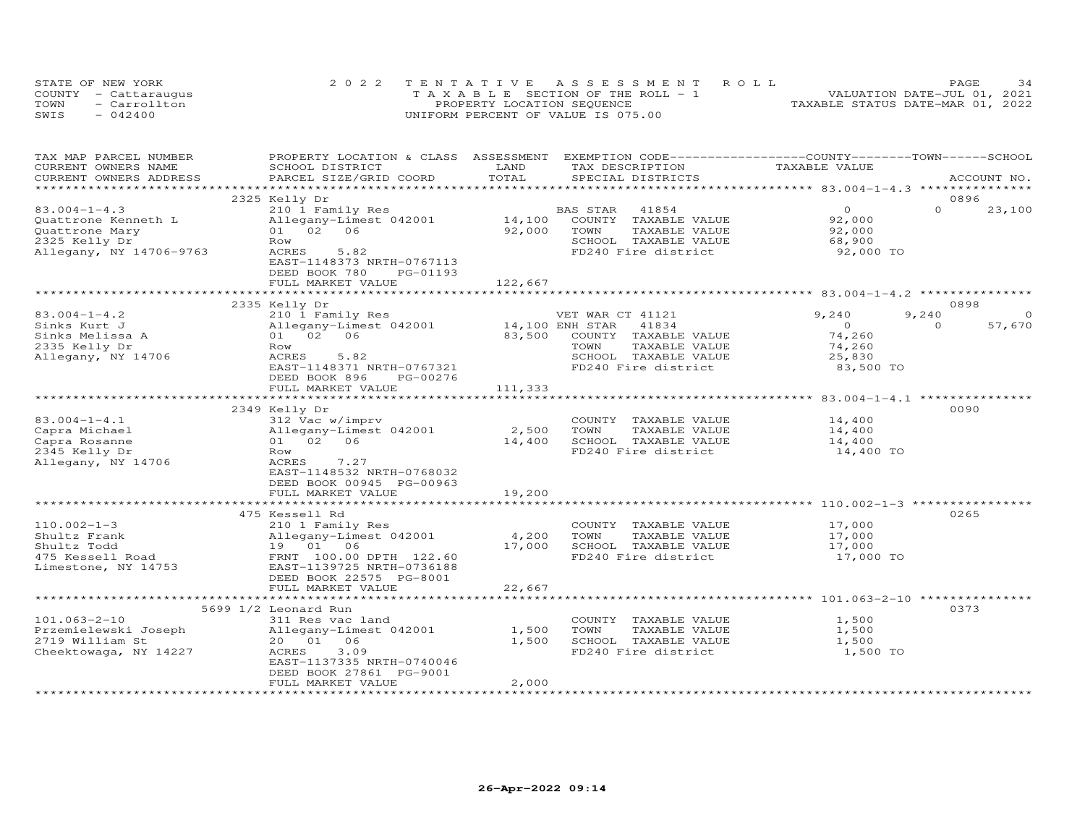| STATE OF NEW YORK    | 2022 TENTATIVE ASSESSMENT ROLL        | 34<br>PAGE.                      |
|----------------------|---------------------------------------|----------------------------------|
| COUNTY - Cattaraugus | T A X A B L E SECTION OF THE ROLL - 1 | VALUATION DATE-JUL 01, 2021      |
| TOWN<br>- Carrollton | PROPERTY LOCATION SEQUENCE            | TAXABLE STATUS DATE-MAR 01, 2022 |
| SWIS<br>$-042400$    | UNIFORM PERCENT OF VALUE IS 075.00    |                                  |

| TAX MAP PARCEL NUMBER                                         | PROPERTY LOCATION & CLASS ASSESSMENT EXEMPTION CODE-----------------COUNTY-------TOWN------SCHOOL |               |                          |                                                     |                    |
|---------------------------------------------------------------|---------------------------------------------------------------------------------------------------|---------------|--------------------------|-----------------------------------------------------|--------------------|
| CURRENT OWNERS NAME                                           | SCHOOL DISTRICT                                                                                   | LAND<br>TOTAL | TAX DESCRIPTION          | TAXABLE VALUE                                       |                    |
| CURRENT OWNERS ADDRESS<br>* * * * * * * * * * * * * * * * * * | PARCEL SIZE/GRID COORD                                                                            |               | SPECIAL DISTRICTS        |                                                     | ACCOUNT NO.        |
|                                                               | 2325 Kelly Dr                                                                                     |               |                          |                                                     | 0896               |
| $83.004 - 1 - 4.3$                                            | 210 1 Family Res                                                                                  |               | BAS STAR<br>41854        | $\Omega$                                            | $\Omega$<br>23,100 |
| Quattrone Kenneth L                                           | Allegany-Limest 042001                                                                            | 14,100        | COUNTY TAXABLE VALUE     | 92,000                                              |                    |
| Quattrone Mary                                                | 01 02 06                                                                                          | 92,000        | TOWN<br>TAXABLE VALUE    | 92,000                                              |                    |
| 2325 Kelly Dr                                                 | Row                                                                                               |               | SCHOOL TAXABLE VALUE     | 68,900                                              |                    |
| Allegany, NY 14706-9763                                       | 5.82<br>ACRES                                                                                     |               | FD240 Fire district      | 92,000 TO                                           |                    |
|                                                               | EAST-1148373 NRTH-0767113                                                                         |               |                          |                                                     |                    |
|                                                               | DEED BOOK 780<br>PG-01193                                                                         |               |                          |                                                     |                    |
|                                                               | FULL MARKET VALUE                                                                                 | 122,667       |                          |                                                     |                    |
|                                                               |                                                                                                   |               |                          |                                                     |                    |
|                                                               | 2335 Kelly Dr                                                                                     |               |                          |                                                     | 0898               |
| $83.004 - 1 - 4.2$                                            | 210 1 Family Res                                                                                  |               | VET WAR CT 41121         | 9,240                                               | 9,240              |
| Sinks Kurt J                                                  | Allegany-Limest 042001                                                                            |               | 14,100 ENH STAR<br>41834 | $\circ$                                             | 57,670<br>$\Omega$ |
| Sinks Melissa A                                               | 01 02 06                                                                                          | 83,500        | COUNTY TAXABLE VALUE     | 74,260                                              |                    |
| 2335 Kelly Dr                                                 | Row                                                                                               |               | TOWN<br>TAXABLE VALUE    | 74,260                                              |                    |
| Allegany, NY 14706                                            | ACRES<br>5.82                                                                                     |               | SCHOOL TAXABLE VALUE     | 25,830                                              |                    |
|                                                               | EAST-1148371 NRTH-0767321                                                                         |               | FD240 Fire district      | 83,500 TO                                           |                    |
|                                                               | DEED BOOK 896<br>PG-00276                                                                         |               |                          |                                                     |                    |
|                                                               | FULL MARKET VALUE                                                                                 | 111,333       |                          |                                                     |                    |
|                                                               |                                                                                                   |               |                          | ****************************** 83.004-1-4.1 ***     |                    |
|                                                               | 2349 Kelly Dr                                                                                     |               |                          |                                                     | 0090               |
| $83.004 - 1 - 4.1$                                            | 312 Vac w/imprv                                                                                   |               | COUNTY TAXABLE VALUE     | 14,400                                              |                    |
| Capra Michael                                                 | Allegany-Limest 042001                                                                            | 2,500         | TOWN<br>TAXABLE VALUE    | 14,400                                              |                    |
| Capra Rosanne                                                 | 01 02 06                                                                                          | 14,400        | SCHOOL TAXABLE VALUE     | 14,400                                              |                    |
| 2345 Kelly Dr                                                 | Row                                                                                               |               | FD240 Fire district      | 14,400 TO                                           |                    |
| Allegany, NY 14706                                            | 7.27<br>ACRES                                                                                     |               |                          |                                                     |                    |
|                                                               | EAST-1148532 NRTH-0768032                                                                         |               |                          |                                                     |                    |
|                                                               | DEED BOOK 00945 PG-00963                                                                          |               |                          |                                                     |                    |
|                                                               | FULL MARKET VALUE                                                                                 | 19,200        |                          |                                                     |                    |
|                                                               | ************************                                                                          |               |                          |                                                     |                    |
|                                                               | 475 Kessell Rd                                                                                    |               |                          |                                                     | 0265               |
| $110.002 - 1 - 3$                                             | 210 1 Family Res                                                                                  |               | COUNTY TAXABLE VALUE     | 17,000                                              |                    |
| Shultz Frank                                                  | Allegany-Limest 042001                                                                            | 4,200         | TAXABLE VALUE<br>TOWN    | 17,000                                              |                    |
| Shultz Todd                                                   | 19 01 06                                                                                          | 17,000        | SCHOOL TAXABLE VALUE     | 17,000                                              |                    |
| 475 Kessell Road                                              | FRNT 100.00 DPTH 122.60                                                                           |               | FD240 Fire district      | 17,000 TO                                           |                    |
| Limestone, NY 14753                                           | EAST-1139725 NRTH-0736188<br>DEED BOOK 22575 PG-8001                                              |               |                          |                                                     |                    |
|                                                               | FULL MARKET VALUE                                                                                 | 22,667        |                          |                                                     |                    |
|                                                               | *************************                                                                         | ************  |                          | ************************ 101.063-2-10 ************* |                    |
|                                                               | 5699 1/2 Leonard Run                                                                              |               |                          |                                                     | 0373               |
| $101.063 - 2 - 10$                                            | 311 Res vac land                                                                                  |               | COUNTY TAXABLE VALUE     | 1,500                                               |                    |
| Przemielewski Joseph                                          | Allegany-Limest 042001                                                                            | 1,500         | TOWN<br>TAXABLE VALUE    | 1,500                                               |                    |
| 2719 William St                                               | 20  01  06                                                                                        | 1,500         | SCHOOL TAXABLE VALUE     | 1,500                                               |                    |
| Cheektowaga, NY 14227                                         | ACRES<br>3.09                                                                                     |               | FD240 Fire district      | 1,500 TO                                            |                    |
|                                                               | EAST-1137335 NRTH-0740046                                                                         |               |                          |                                                     |                    |
|                                                               | DEED BOOK 27861 PG-9001                                                                           |               |                          |                                                     |                    |
|                                                               | FULL MARKET VALUE                                                                                 | 2,000         |                          |                                                     |                    |
|                                                               |                                                                                                   |               |                          |                                                     |                    |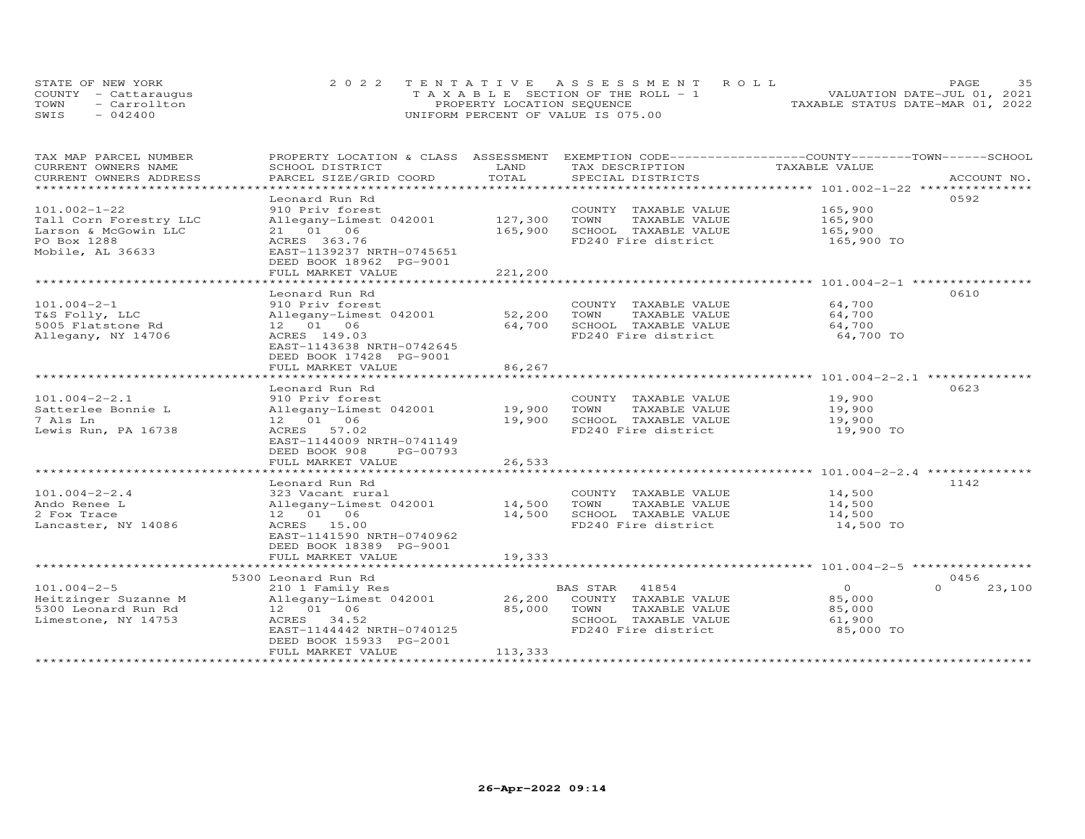|      | STATE OF NEW YORK    | 2022 TENTATIVE ASSESSMENT ROLL                  | 35<br>PAGE.                      |
|------|----------------------|-------------------------------------------------|----------------------------------|
|      | COUNTY - Cattaraugus | $T A X A B I F S E C T I ON OF THE R O I J - 1$ | VALUATION DATE-JUL 01, 2021      |
| TOWN | - Carrollton         | PROPERTY LOCATION SEOUENCE                      | TAXABLE STATUS DATE-MAR 01, 2022 |
| SWIS | $-042400$            | UNIFORM PERCENT OF VALUE IS 075.00              |                                  |

| TAX MAP PARCEL NUMBER     | PROPERTY LOCATION & CLASS ASSESSMENT |               | EXEMPTION CODE-----------------COUNTY-------TOWN------SCHOOL |               |                    |
|---------------------------|--------------------------------------|---------------|--------------------------------------------------------------|---------------|--------------------|
| CURRENT OWNERS NAME       | SCHOOL DISTRICT                      | LAND          | TAX DESCRIPTION                                              | TAXABLE VALUE |                    |
| CURRENT OWNERS ADDRESS    | PARCEL SIZE/GRID COORD               | TOTAL         | SPECIAL DISTRICTS                                            |               | ACCOUNT NO.        |
| ************************* |                                      |               |                                                              |               |                    |
|                           | Leonard Run Rd                       |               |                                                              |               | 0.592              |
| $101.002 - 1 - 22$        | 910 Priv forest                      |               | COUNTY TAXABLE VALUE                                         | 165,900       |                    |
| Tall Corn Forestry LLC    | Allegany-Limest 042001               | 127,300       | TOWN<br>TAXABLE VALUE                                        | 165,900       |                    |
| Larson & McGowin LLC      | 21 01 06                             | 165,900       | SCHOOL TAXABLE VALUE                                         | 165,900       |                    |
| PO Box 1288               | ACRES 363.76                         |               | FD240 Fire district                                          | 165,900 TO    |                    |
| Mobile, AL 36633          | EAST-1139237 NRTH-0745651            |               |                                                              |               |                    |
|                           | DEED BOOK 18962 PG-9001              |               |                                                              |               |                    |
|                           | FULL MARKET VALUE                    | 221,200       |                                                              |               |                    |
|                           | ******************************       | ************* |                                                              |               |                    |
|                           | Leonard Run Rd                       |               |                                                              |               | 0610               |
| $101.004 - 2 - 1$         | 910 Priv forest                      |               | COUNTY TAXABLE VALUE                                         | 64,700        |                    |
| T&S Folly, LLC            | Allegany-Limest 042001               | 52,200        | TAXABLE VALUE<br>TOWN                                        | 64,700        |                    |
| 5005 Flatstone Rd         | 12 01 06                             | 64,700        | SCHOOL TAXABLE VALUE                                         | 64,700        |                    |
| Allegany, NY 14706        | ACRES 149.03                         |               | FD240 Fire district                                          | 64,700 TO     |                    |
|                           | EAST-1143638 NRTH-0742645            |               |                                                              |               |                    |
|                           | DEED BOOK 17428 PG-9001              |               |                                                              |               |                    |
|                           | FULL MARKET VALUE                    | 86,267        |                                                              |               |                    |
|                           |                                      |               |                                                              |               |                    |
|                           | Leonard Run Rd                       |               |                                                              |               | 0623               |
| $101.004 - 2 - 2.1$       | 910 Priv forest                      |               | COUNTY TAXABLE VALUE                                         | 19,900        |                    |
| Satterlee Bonnie L        | Allegany-Limest 042001               | 19,900        | TOWN<br>TAXABLE VALUE                                        | 19,900        |                    |
| 7 Als Ln                  | 12  01  06                           | 19,900        | SCHOOL TAXABLE VALUE                                         | 19,900        |                    |
| Lewis Run, PA 16738       | ACRES 57.02                          |               | FD240 Fire district                                          | 19,900 TO     |                    |
|                           | EAST-1144009 NRTH-0741149            |               |                                                              |               |                    |
|                           | DEED BOOK 908<br>PG-00793            |               |                                                              |               |                    |
|                           | FULL MARKET VALUE                    | 26,533        |                                                              |               |                    |
|                           |                                      |               |                                                              |               |                    |
|                           | Leonard Run Rd                       |               |                                                              |               | 1142               |
| $101.004 - 2 - 2.4$       | 323 Vacant rural                     |               | COUNTY TAXABLE VALUE                                         | 14,500        |                    |
| Ando Renee L              | Allegany-Limest 042001               | 14,500        | TOWN<br>TAXABLE VALUE                                        | 14,500        |                    |
| 2 Fox Trace               | 12  01  06                           | 14,500        | SCHOOL TAXABLE VALUE                                         | 14,500        |                    |
| Lancaster, NY 14086       | ACRES 15.00                          |               | FD240 Fire district                                          | 14,500 TO     |                    |
|                           | EAST-1141590 NRTH-0740962            |               |                                                              |               |                    |
|                           | DEED BOOK 18389 PG-9001              |               |                                                              |               |                    |
|                           | FULL MARKET VALUE                    | 19,333        |                                                              |               |                    |
|                           |                                      |               |                                                              |               |                    |
|                           | 5300 Leonard Run Rd                  |               |                                                              |               | 0456               |
| $101.004 - 2 - 5$         | 210 1 Family Res                     |               | 41854<br>BAS STAR                                            | $\Omega$      | $\Omega$<br>23,100 |
| Heitzinger Suzanne M      | Allegany-Limest 042001               | 26,200        | COUNTY TAXABLE VALUE                                         | 85,000        |                    |
| 5300 Leonard Run Rd       | 12  01  06                           | 85,000        | TAXABLE VALUE<br>TOWN                                        | 85,000        |                    |
| Limestone, NY 14753       | ACRES 34.52                          |               | SCHOOL TAXABLE VALUE                                         | 61,900        |                    |
|                           | EAST-1144442 NRTH-0740125            |               | FD240 Fire district                                          | 85,000 TO     |                    |
|                           | DEED BOOK 15933 PG-2001              |               |                                                              |               |                    |
|                           | FULL MARKET VALUE                    | 113,333       |                                                              |               |                    |
|                           |                                      |               |                                                              |               |                    |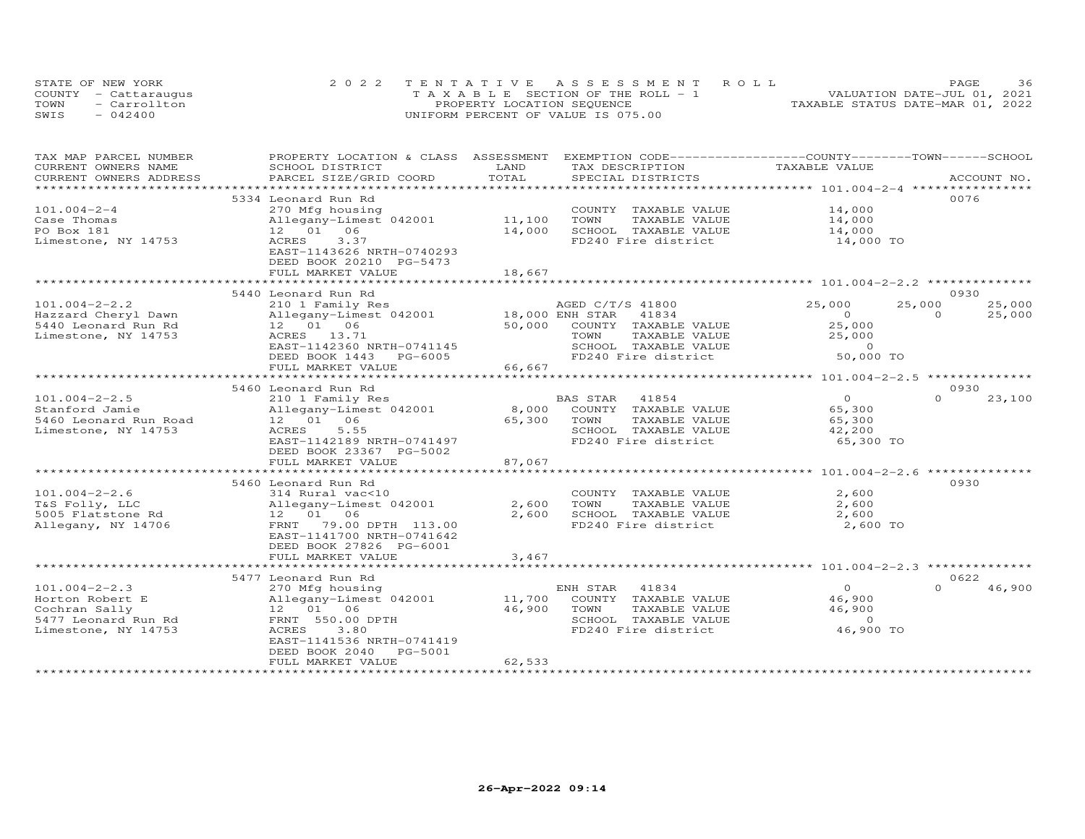|      | STATE OF NEW YORK    | 2022 TENTATIVE ASSESSMENT ROLL        | <b>PAGE</b>                      |
|------|----------------------|---------------------------------------|----------------------------------|
|      | COUNTY - Cattaraugus | T A X A B L E SECTION OF THE ROLL - 1 | VALUATION DATE-JUL 01, 2021      |
| TOWN | $=$ Carrollton       | PROPERTY LOCATION SEQUENCE            | TAXABLE STATUS DATE-MAR 01, 2022 |
| SWIS | $-042400$            | UNIFORM PERCENT OF VALUE IS 075.00    |                                  |

| TAX MAP PARCEL NUMBER  | PROPERTY LOCATION & CLASS ASSESSMENT |                           | EXEMPTION CODE-----------------COUNTY-------TOWN------SCHOOL |                                                    |                    |
|------------------------|--------------------------------------|---------------------------|--------------------------------------------------------------|----------------------------------------------------|--------------------|
| CURRENT OWNERS NAME    | SCHOOL DISTRICT                      | LAND                      | TAX DESCRIPTION                                              | TAXABLE VALUE                                      |                    |
| CURRENT OWNERS ADDRESS | PARCEL SIZE/GRID COORD               | TOTAL                     | SPECIAL DISTRICTS                                            |                                                    | ACCOUNT NO.        |
|                        |                                      | ************************* |                                                              | ******************** 101.004-2-4 ***************** |                    |
|                        | 5334 Leonard Run Rd                  |                           |                                                              |                                                    | 0076               |
| $101.004 - 2 - 4$      | 270 Mfg housing                      |                           | COUNTY TAXABLE VALUE                                         | 14,000                                             |                    |
| Case Thomas            | Allegany-Limest 042001               | 11,100                    | TOWN<br>TAXABLE VALUE                                        | 14,000                                             |                    |
| PO Box 181             | 12 01 06                             | 14,000                    | SCHOOL TAXABLE VALUE                                         | 14,000                                             |                    |
| Limestone, NY 14753    | 3.37<br>ACRES                        |                           | FD240 Fire district                                          | 14,000 TO                                          |                    |
|                        | EAST-1143626 NRTH-0740293            |                           |                                                              |                                                    |                    |
|                        | DEED BOOK 20210 PG-5473              |                           |                                                              |                                                    |                    |
|                        | FULL MARKET VALUE                    | 18,667                    |                                                              |                                                    |                    |
|                        |                                      |                           |                                                              |                                                    |                    |
|                        | 5440 Leonard Run Rd                  |                           |                                                              |                                                    | 0930               |
| $101.004 - 2 - 2.2$    | 210 1 Family Res                     |                           | AGED C/T/S 41800                                             | 25,000                                             | 25,000<br>25,000   |
| Hazzard Cheryl Dawn    | Allegany-Limest 042001               | 18,000 ENH STAR           | 41834                                                        | $\Omega$                                           | $\Omega$<br>25,000 |
|                        | 12  01  06                           | 50,000                    | COUNTY TAXABLE VALUE                                         |                                                    |                    |
| 5440 Leonard Run Rd    |                                      |                           |                                                              | 25,000                                             |                    |
| Limestone, NY 14753    | ACRES 13.71                          |                           | TOWN<br>TAXABLE VALUE                                        | 25,000                                             |                    |
|                        | EAST-1142360 NRTH-0741145            |                           | SCHOOL TAXABLE VALUE                                         | $\Omega$                                           |                    |
|                        | DEED BOOK 1443 PG-6005               |                           | FD240 Fire district                                          | 50,000 TO                                          |                    |
|                        | FULL MARKET VALUE                    | 66,667                    |                                                              |                                                    |                    |
|                        | ********************                 |                           |                                                              |                                                    |                    |
|                        | 5460 Leonard Run Rd                  |                           |                                                              |                                                    | 0930               |
| $101.004 - 2 - 2.5$    | 210 1 Family Res                     |                           | <b>BAS STAR</b><br>41854                                     | $\Omega$                                           | $\Omega$<br>23,100 |
| Stanford Jamie         | Allegany-Limest 042001               | 8,000                     | COUNTY TAXABLE VALUE                                         | 65,300                                             |                    |
| 5460 Leonard Run Road  | 12 01 06                             | 65,300                    | TOWN<br>TAXABLE VALUE                                        | 65,300                                             |                    |
| Limestone, NY 14753    | 5.55<br>ACRES                        |                           | SCHOOL TAXABLE VALUE                                         | 42,200                                             |                    |
|                        | EAST-1142189 NRTH-0741497            |                           | FD240 Fire district                                          | 65,300 TO                                          |                    |
|                        | DEED BOOK 23367 PG-5002              |                           |                                                              |                                                    |                    |
|                        | FULL MARKET VALUE                    | 87,067                    |                                                              |                                                    |                    |
|                        |                                      |                           |                                                              |                                                    |                    |
|                        | 5460 Leonard Run Rd                  |                           |                                                              |                                                    | 0930               |
| $101.004 - 2 - 2.6$    | 314 Rural vac<10                     |                           | COUNTY TAXABLE VALUE                                         | 2,600                                              |                    |
| T&S Folly, LLC         | Allegany-Limest 042001               | 2,600                     | TOWN<br>TAXABLE VALUE                                        | 2,600                                              |                    |
| 5005 Flatstone Rd      | 12  01  06                           | 2,600                     | SCHOOL TAXABLE VALUE                                         | 2,600                                              |                    |
| Allegany, NY 14706     | 79.00 DPTH 113.00<br>FRNT            |                           | FD240 Fire district                                          | 2,600 TO                                           |                    |
|                        | EAST-1141700 NRTH-0741642            |                           |                                                              |                                                    |                    |
|                        | DEED BOOK 27826 PG-6001              |                           |                                                              |                                                    |                    |
|                        | FULL MARKET VALUE                    | 3,467                     |                                                              |                                                    |                    |
|                        |                                      |                           |                                                              |                                                    |                    |
|                        |                                      |                           |                                                              |                                                    | 0622               |
|                        | 5477 Leonard Run Rd                  |                           |                                                              | $\Omega$                                           | 46,900             |
| $101.004 - 2 - 2.3$    | 270 Mfg housing                      |                           | 41834<br>ENH STAR                                            |                                                    |                    |
| Horton Robert E        | Allegany-Limest 042001               | 11,700                    | COUNTY TAXABLE VALUE                                         | 46,900                                             |                    |
| Cochran Sally          | 12  01  06                           | 46,900                    | TOWN<br>TAXABLE VALUE                                        | 46,900                                             |                    |
| 5477 Leonard Run Rd    | FRNT 550.00 DPTH                     |                           | SCHOOL TAXABLE VALUE                                         | $\Omega$                                           |                    |
| Limestone, NY 14753    | ACRES<br>3.80                        |                           | FD240 Fire district                                          | 46,900 TO                                          |                    |
|                        | EAST-1141536 NRTH-0741419            |                           |                                                              |                                                    |                    |
|                        | DEED BOOK 2040<br><b>PG-5001</b>     |                           |                                                              |                                                    |                    |
|                        | FULL MARKET VALUE                    | 62,533                    |                                                              |                                                    |                    |
|                        |                                      |                           |                                                              |                                                    |                    |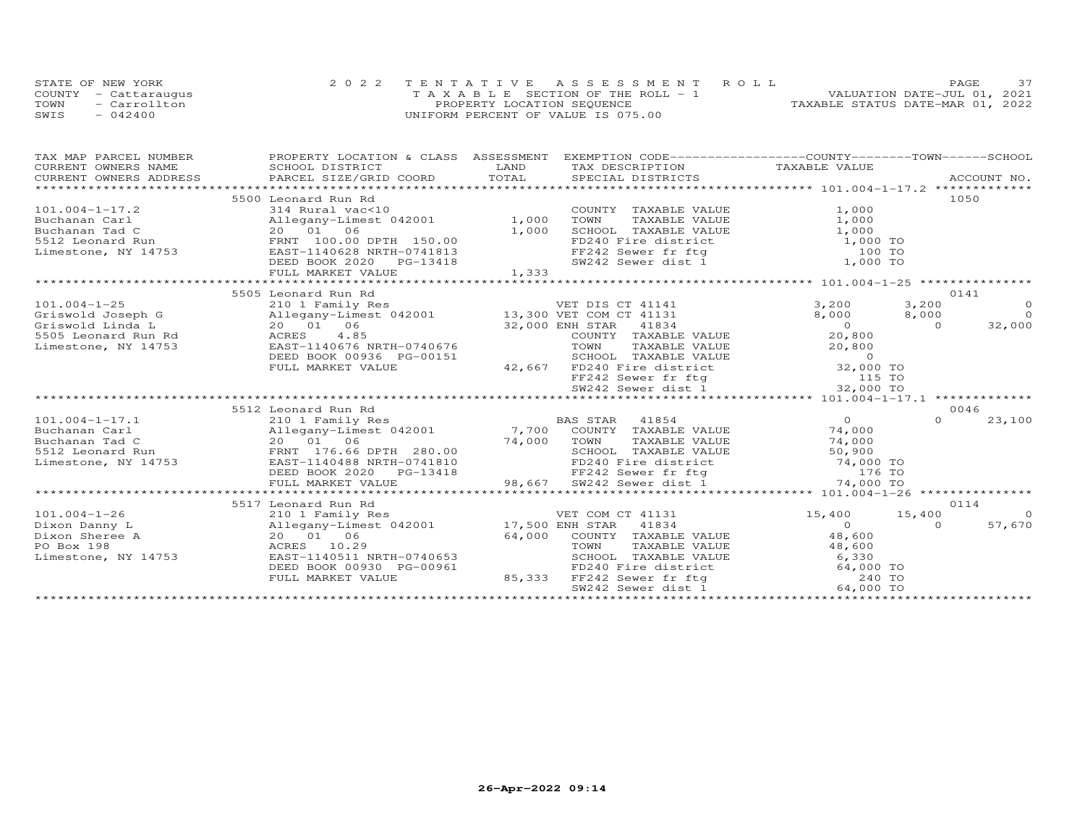|      | STATE OF NEW YORK    | 2022 TENTATIVE ASSESSMENT ROLL        | <b>PAGE</b>                      |
|------|----------------------|---------------------------------------|----------------------------------|
|      | COUNTY - Cattaraugus | T A X A B L E SECTION OF THE ROLL - 1 | VALUATION DATE-JUL 01, 2021      |
| TOWN | $=$ Carrollton       | PROPERTY LOCATION SEQUENCE            | TAXABLE STATUS DATE-MAR 01, 2022 |
| SWIS | $-042400$            | UNIFORM PERCENT OF VALUE IS 075.00    |                                  |

| TAX MAP PARCEL NUMBER  | PROPERTY LOCATION & CLASS ASSESSMENT EXEMPTION CODE----------------COUNTY-------TOWN------SCHOOL                                                                                                                                |       |                                                                                                                                                                                                                |                |                |                |
|------------------------|---------------------------------------------------------------------------------------------------------------------------------------------------------------------------------------------------------------------------------|-------|----------------------------------------------------------------------------------------------------------------------------------------------------------------------------------------------------------------|----------------|----------------|----------------|
| CURRENT OWNERS NAME    | SCHOOL DISTRICT                                                                                                                                                                                                                 | LAND  | TAX DESCRIPTION                                                                                                                                                                                                | TAXABLE VALUE  |                |                |
| CURRENT OWNERS ADDRESS | CURRENT OWNERS ADDRESS FORCEL SIZE/GRID COORD FOR SECIAL SECIES DESITEITS FOR PORT ROLL DISTRICTS ACCOUNT NO.<br>CURRENT OWNERS ADDRESS PARCEL SIZE/GRID COORD TOTAL SPECIAL DISTRICTS FOR PORT PORT PORT PORT PORT PORT OF THE |       |                                                                                                                                                                                                                |                |                |                |
|                        |                                                                                                                                                                                                                                 |       |                                                                                                                                                                                                                |                |                |                |
|                        | 5500 Leonard Run Rd                                                                                                                                                                                                             |       |                                                                                                                                                                                                                |                |                | 1050           |
| $101.004 - 1 - 17.2$   | 314 Rural vac<10                                                                                                                                                                                                                |       | COUNTY TAXABLE VALUE                                                                                                                                                                                           | 1,000          |                |                |
| Buchanan Carl          | Allegany-Limest 042001 1,000                                                                                                                                                                                                    |       | TAXABLE VALUE<br>TOWN                                                                                                                                                                                          | 1,000          |                |                |
| Buchanan Tad C         | 20 01 06                                                                                                                                                                                                                        | 1,000 | SCHOOL TAXABLE VALUE                                                                                                                                                                                           | 1,000          |                |                |
| 5512 Leonard Run       | FRNT 100.00 DPTH 150.00                                                                                                                                                                                                         |       | FD240 Fire district 1,000 TO<br>FF242 Sewer fr ftg 100 TO<br>SW242 Sewer dist 1 1,000 TO                                                                                                                       |                |                |                |
| Limestone, NY 14753    | $\texttt{EAST-1140628}$ NRTH-0741813                                                                                                                                                                                            |       |                                                                                                                                                                                                                |                |                |                |
|                        | DEED BOOK 2020<br>PG-13418                                                                                                                                                                                                      |       |                                                                                                                                                                                                                |                |                |                |
|                        | FULL MARKET VALUE                                                                                                                                                                                                               | 1,333 |                                                                                                                                                                                                                |                |                |                |
|                        |                                                                                                                                                                                                                                 |       |                                                                                                                                                                                                                |                |                |                |
|                        | 5505 Leonard Run Rd                                                                                                                                                                                                             |       |                                                                                                                                                                                                                |                |                | 0141           |
| $101.004 - 1 - 25$     | 210 1 Family Res                                                                                                                                                                                                                |       | VET DIS CT 41141                                                                                                                                                                                               | 3,200          | 3,200          | $\overline{O}$ |
| Griswold Joseph G      | Allegany-Limest 042001 13,300 VET COM CT 41131                                                                                                                                                                                  |       |                                                                                                                                                                                                                | 8,000          | 8,000          | $\overline{0}$ |
| Griswold Linda L       | 20  01  06                                                                                                                                                                                                                      |       | 32,000 ENH STAR 41834<br>סיפאמי ירואוות                                                                                                                                                                        | $\overline{0}$ | $\overline{0}$ | 32,000         |
| 5505 Leonard Run Rd    | ACRES 4.85                                                                                                                                                                                                                      |       | COUNTY TAXABLE VALUE                                                                                                                                                                                           | 20,800         |                |                |
| Limestone, NY 14753    | EAST-1140676 NRTH-0740676                                                                                                                                                                                                       |       | TAXABLE VALUE<br>TOWN                                                                                                                                                                                          | 20,800         |                |                |
|                        | DEED BOOK 00936 PG-00151                                                                                                                                                                                                        |       |                                                                                                                                                                                                                |                |                |                |
|                        | FULL MARKET VALUE                                                                                                                                                                                                               |       |                                                                                                                                                                                                                |                |                |                |
|                        |                                                                                                                                                                                                                                 |       | SCHOOL TAXABLE VALUE<br>42,667 FD240 Fire district 0<br>FF242 Sewer fr ftg 0 115 TO<br>SW242 Sewer dist 1 32,000 TO                                                                                            |                |                |                |
|                        |                                                                                                                                                                                                                                 |       |                                                                                                                                                                                                                |                |                |                |
|                        | 5512 Leonard Run Rd                                                                                                                                                                                                             |       |                                                                                                                                                                                                                |                |                | 0046           |
| $101.004 - 1 - 17.1$   | 210 1 Family Res                                                                                                                                                                                                                |       | <b>BAS STAR</b> 41854                                                                                                                                                                                          | $\overline{0}$ | $\Omega$       | 23,100         |
|                        | Buchanan Carl and Milegany-Limest 042001 7,700 COUNTY TAXABLE VALUE                                                                                                                                                             |       |                                                                                                                                                                                                                | 74,000         |                |                |
| Buchanan Tad C         |                                                                                                                                                                                                                                 |       | TAXABLE VALUE                                                                                                                                                                                                  | 74,000         |                |                |
| 5512 Leonard Run       |                                                                                                                                                                                                                                 |       |                                                                                                                                                                                                                |                |                |                |
| Limestone, NY 14753    |                                                                                                                                                                                                                                 |       | SCHOOL TAXABLE VALUE 50,900<br>FD240 Fire district 74,000 TO<br>FF242 Sewer fr ftg 176 TO                                                                                                                      |                |                |                |
|                        | DEED BOOK 2020 PG-13418                                                                                                                                                                                                         |       |                                                                                                                                                                                                                |                |                |                |
|                        | FULL MARKET VALUE                                                                                                                                                                                                               |       | 98,667 SW242 Sewer dist 1                                                                                                                                                                                      | 74,000 TO      |                |                |
|                        |                                                                                                                                                                                                                                 |       |                                                                                                                                                                                                                |                |                |                |
|                        | 5517 Leonard Run Rd                                                                                                                                                                                                             |       |                                                                                                                                                                                                                |                |                | 0114           |
| $101.004 - 1 - 26$     | 210 1 Family Res                                                                                                                                                                                                                |       | VET COM CT 41131                                                                                                                                                                                               | 15,400 15,400  |                | $\overline{0}$ |
| Dixon Danny L          | Allegany-Limest 042001 17,500 ENH STAR 41834                                                                                                                                                                                    |       |                                                                                                                                                                                                                | $\overline{0}$ | $\Omega$       | 57,670         |
| Dixon Sheree A         | 20 01 06<br>ACRES 10.29                                                                                                                                                                                                         |       |                                                                                                                                                                                                                |                |                |                |
| PO Box 198             | ACRES 10.29                                                                                                                                                                                                                     |       |                                                                                                                                                                                                                |                |                |                |
| Limestone, NY 14753    | EAST-1140511 NRTH-0740653                                                                                                                                                                                                       |       |                                                                                                                                                                                                                |                |                |                |
|                        | DEED BOOK 00930 PG-00961                                                                                                                                                                                                        |       |                                                                                                                                                                                                                |                |                |                |
|                        | FULL MARKET VALUE                                                                                                                                                                                                               |       |                                                                                                                                                                                                                |                |                |                |
|                        |                                                                                                                                                                                                                                 |       | 3-000 COUNTY TAXABLE VALUE 48,600<br>TOWN TAXABLE VALUE 48,600<br>TOWN TAXABLE VALUE 48,600<br>SCHOOL TAXABLE VALUE 48,600<br>FD240 Fire district 64,000 TO<br>85,333 FF242 Sewer dist 1<br>SW242 Sewer dist 1 |                |                |                |
|                        |                                                                                                                                                                                                                                 |       |                                                                                                                                                                                                                |                |                |                |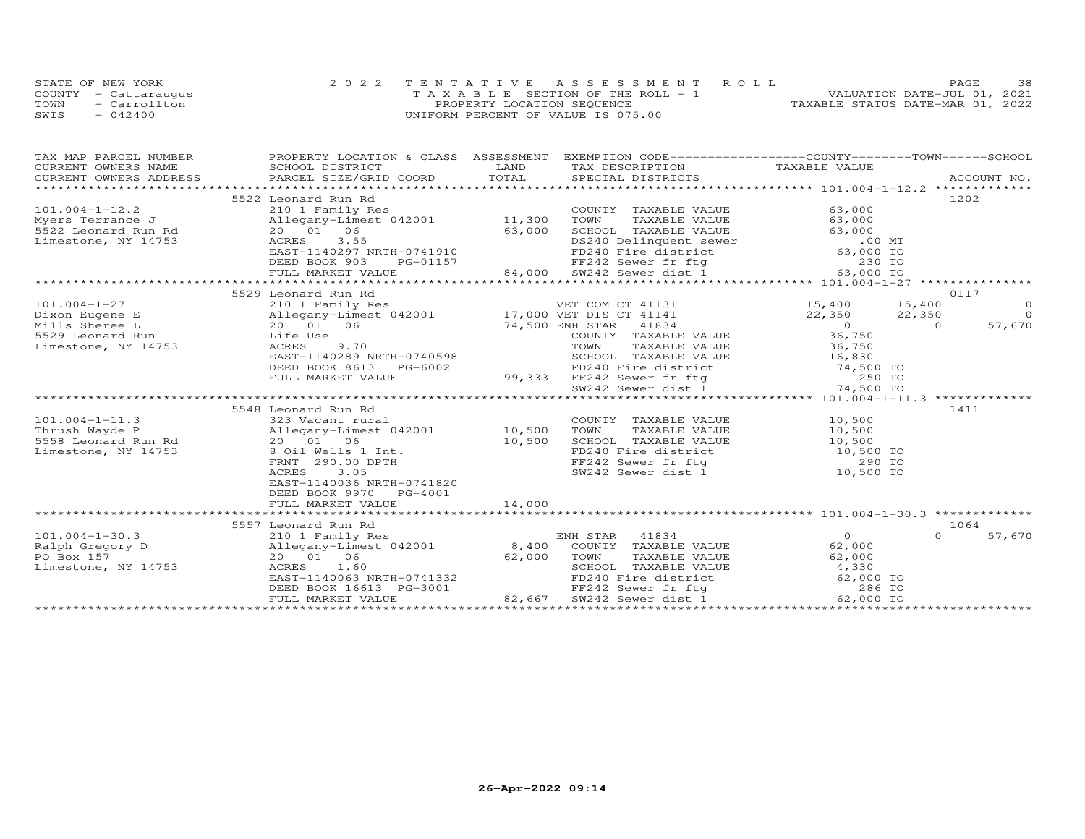|      | STATE OF NEW YORK    | 2022 TENTATIVE ASSESSMENT ROLL        | 38<br>PAGE.                      |
|------|----------------------|---------------------------------------|----------------------------------|
|      | COUNTY - Cattaraugus | T A X A B L E SECTION OF THE ROLL - 1 | VALUATION DATE-JUL 01, 2021      |
| TOWN | - Carrollton         | PROPERTY LOCATION SEQUENCE            | TAXABLE STATUS DATE-MAR 01, 2022 |
| SWIS | $-042400$            | UNIFORM PERCENT OF VALUE IS 075.00    |                                  |

| TAX MAP PARCEL NUMBER  |                                                     | PROPERTY LOCATION & CLASS ASSESSMENT EXEMPTION CODE----------------COUNTY-------TOWN-----SCHOOL       |                                            |
|------------------------|-----------------------------------------------------|-------------------------------------------------------------------------------------------------------|--------------------------------------------|
| CURRENT OWNERS NAME    | SCHOOL DISTRICT                                     | LAND<br>TAX DESCRIPTION                                                                               | TAXABLE VALUE                              |
| CURRENT OWNERS ADDRESS |                                                     |                                                                                                       |                                            |
|                        |                                                     |                                                                                                       |                                            |
|                        | 5522 Leonard Run Rd                                 |                                                                                                       | 1202                                       |
| $101.004 - 1 - 12.2$   | 210 1 Family Res                                    | COUNTY TAXABLE VALUE                                                                                  | 63,000                                     |
| Myers Terrance J       | Allegany-Limest 042001 11,300                       | TOWN<br>TAXABLE VALUE                                                                                 | 63,000                                     |
| 5522 Leonard Run Rd    | 20  01  06                                          | 63,000<br>SCHOOL TAXABLE VALUE                                                                        | 63,000                                     |
| Limestone, NY 14753    | 3.55<br>ACRES                                       | DS240 Delinquent sewer<br>FD240 Fire district 63,000 TO<br>63,000 TO                                  |                                            |
|                        | EAST-1140297 NRTH-0741910                           |                                                                                                       |                                            |
|                        | DEED BOOK 903<br>PG-01157                           | FF242 Sewer fr ftg 64,000 SW242 Sewer dist 1 63,000 TO                                                |                                            |
|                        | FULL MARKET VALUE                                   |                                                                                                       |                                            |
|                        |                                                     |                                                                                                       |                                            |
|                        | 5529 Leonard Run Rd                                 |                                                                                                       | 0117                                       |
| $101.004 - 1 - 27$     |                                                     |                                                                                                       | $15,400$ $15,400$<br>$\overline{O}$        |
| Dixon Eugene E         |                                                     |                                                                                                       | 22,350 22,350<br>$\overline{a}$            |
| Mills Sheree L         | 20 01 06                                            | 74,500 ENH STAR 41834                                                                                 | 57,670<br>$36,750$<br>$36,750$<br>$\Omega$ |
| 5529 Leonard Run       | Life Use                                            | COUNTY TAXABLE VALUE                                                                                  |                                            |
| Limestone, NY 14753    | 9.70<br>ACRES                                       | TOWN<br>TAXABLE VALUE                                                                                 |                                            |
|                        | EAST-1140289 NRTH-0740598                           | SCHOOL TAXABLE VALUE 16,830                                                                           |                                            |
|                        | DEED BOOK 8613 PG-6002                              | FD240 Fire district 74,500 TO<br>99,333 FF242 Sewer fr ftg 250 TO<br>500 SW242 Sewer dist 1 74,500 TO |                                            |
|                        | FULL MARKET VALUE                                   |                                                                                                       |                                            |
|                        |                                                     |                                                                                                       |                                            |
|                        |                                                     |                                                                                                       |                                            |
|                        | 5548 Leonard Run Rd                                 |                                                                                                       | 1411                                       |
| $101.004 - 1 - 11.3$   | 323 Vacant rural<br>Allegany-Limest 042001 10,500   | COUNTY TAXABLE VALUE                                                                                  | 10,500                                     |
| Thrush Wayde P         |                                                     | TOWN<br>TAXABLE VALUE                                                                                 | 10,500                                     |
| 5558 Leonard Run Rd    | 20 01 06                                            | 10,500<br>SCHOOL TAXABLE VALUE                                                                        | 10,500                                     |
| Limestone, NY 14753    | 8 Oil Wells 1 Int.                                  | FD240 Fire district                                                                                   | $10,500$ TO                                |
|                        | FRNT 290.00 DPTH                                    | FF242 Sewer fr ftg<br>sw242 Sewer dist 1 10,500 TO                                                    | 290 TO                                     |
|                        | ACRES<br>3.05                                       |                                                                                                       |                                            |
|                        | EAST-1140036 NRTH-0741820                           |                                                                                                       |                                            |
|                        | DEED BOOK 9970 PG-4001                              |                                                                                                       |                                            |
|                        | FULL MARKET VALUE                                   | 14,000                                                                                                |                                            |
|                        |                                                     |                                                                                                       | 1064                                       |
|                        | 5557 Leonard Run Rd                                 |                                                                                                       | $\Omega$                                   |
| $101.004 - 1 - 30.3$   | 210 1 Family Res                                    | ENH STAR 41834                                                                                        | $\Omega$<br>57,670                         |
| Ralph Gregory D        |                                                     | Allegany-Limest 042001 8,400 COUNTY TAXABLE VALUE                                                     | 62,000                                     |
| PO Box 157             | 20  01  06                                          | 62,000<br>TOWN<br>TAXABLE VALUE                                                                       | 62,000                                     |
| Limestone, NY 14753    | ACRES 1.60                                          | SCHOOL TAXABLE VALUE<br>SCHOOL TAXABLE VALUE<br>FD240 Fire district                                   | 4,330                                      |
|                        | EAST-1140063 NRTH-0741332                           |                                                                                                       | 62,000 TO                                  |
|                        | DEED BOOK 16613 PG-3001<br>FULL MARKET VALUE 82,667 | FF242 Sewer fr ftg                                                                                    | 286 TO                                     |
|                        |                                                     | SW242 Sewer dist 1                                                                                    | 62,000 TO                                  |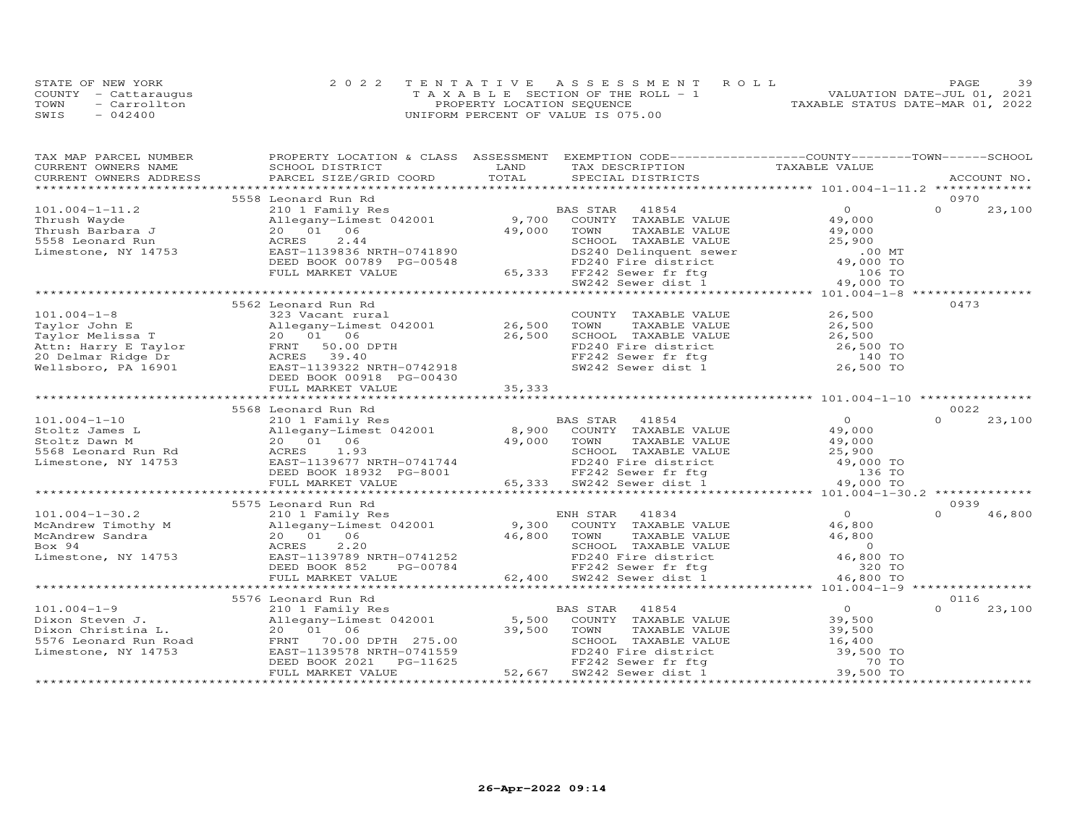|      | STATE OF NEW YORK    | 2022 TENTATIVE ASSESSMENT ROLL        | 39<br>PAGE                       |
|------|----------------------|---------------------------------------|----------------------------------|
|      | COUNTY - Cattaraugus | T A X A B L E SECTION OF THE ROLL - 1 | VALUATION DATE-JUL 01, 2021      |
| TOWN | - Carrollton         | PROPERTY LOCATION SEQUENCE            | TAXABLE STATUS DATE-MAR 01, 2022 |
| SWIS | $-042400$            | UNIFORM PERCENT OF VALUE IS 075.00    |                                  |

| TAX MAP PARCEL NUMBER  | PROPERTY LOCATION & CLASS ASSESSMENT EXEMPTION CODE----------------COUNTY-------TOWN------SCHOOL |        |                                                                                                  |                |                    |
|------------------------|--------------------------------------------------------------------------------------------------|--------|--------------------------------------------------------------------------------------------------|----------------|--------------------|
| CURRENT OWNERS NAME    | SCHOOL DISTRICT                                                                                  | LAND   | TAX DESCRIPTION                                                                                  | TAXABLE VALUE  |                    |
| CURRENT OWNERS ADDRESS | PARCEL SIZE/GRID COORD                                                                           | TOTAL  | SPECIAL DISTRICTS                                                                                |                | ACCOUNT NO.        |
|                        |                                                                                                  |        |                                                                                                  |                |                    |
|                        | 5558 Leonard Run Rd                                                                              |        |                                                                                                  |                | 0970               |
| $101.004 - 1 - 11.2$   | 210 1 Family Res                                                                                 |        | BAS STAR<br>41854                                                                                | $\Omega$       | $\Omega$<br>23,100 |
| Thrush Wayde           | Allegany-Limest 042001 9,700                                                                     |        | COUNTY TAXABLE VALUE                                                                             | 49,000         |                    |
| Thrush Barbara J       | 20 01 06                                                                                         | 49,000 | TOWN<br>TAXABLE VALUE                                                                            | 49,000         |                    |
| 5558 Leonard Run       | 2.44<br>ACRES                                                                                    |        | SCHOOL TAXABLE VALUE                                                                             | 25,900         |                    |
| Limestone, NY 14753    | EAST-1139836 NRTH-0741890                                                                        |        |                                                                                                  | $.00$ MT       |                    |
|                        | DEED BOOK 00789 PG-00548                                                                         |        |                                                                                                  | 49,000 TO      |                    |
|                        | FULL MARKET VALUE                                                                                |        |                                                                                                  | 106 TO         |                    |
|                        |                                                                                                  |        | DS240 Delinquent sewer<br>FD240 Fire district<br>65,333 FF242 Sewer fr ftg<br>SW242 Sewer dist 1 | 49,000 TO      |                    |
|                        |                                                                                                  |        |                                                                                                  |                |                    |
|                        | 5562 Leonard Run Rd                                                                              |        |                                                                                                  |                | 0473               |
| $101.004 - 1 - 8$      | 323 Vacant rural                                                                                 |        | COUNTY TAXABLE VALUE                                                                             | 26,500         |                    |
| Taylor John E          | Allegany-Limest 042001 26,500                                                                    |        | TOWN<br>TAXABLE VALUE                                                                            | 26,500         |                    |
| Taylor Melissa T       | 20  01  06                                                                                       | 26,500 | SCHOOL TAXABLE VALUE                                                                             | 26,500         |                    |
|                        | 50.00 DPTH                                                                                       |        | FD240 Fire district                                                                              | 26,500 TO      |                    |
| 20 Delmar Ridge Dr     | ACRES 39.40                                                                                      |        | FF242 Sewer fr ftg<br>SW242 Sewer dist 1                                                         | 140 TO         |                    |
| Wellsboro, PA 16901    | EAST-1139322 NRTH-0742918                                                                        |        |                                                                                                  | 26,500 TO      |                    |
|                        | DEED BOOK 00918 PG-00430                                                                         |        |                                                                                                  |                |                    |
|                        | FULL MARKET VALUE                                                                                | 35,333 |                                                                                                  |                |                    |
|                        |                                                                                                  |        |                                                                                                  |                |                    |
|                        | 5568 Leonard Run Rd                                                                              |        |                                                                                                  |                | 0022               |
| $101.004 - 1 - 10$     | 210 1 Family Res                                                                                 |        | BAS STAR 41854                                                                                   | $\overline{O}$ | 23,100<br>$\Omega$ |
| Stoltz James L         | Allegany-Limest 042001                                                                           |        | 8,900 COUNTY TAXABLE VALUE                                                                       | 49,000         |                    |
| Stoltz Dawn M          | 20 01 06                                                                                         | 49,000 | TAXABLE VALUE<br>TOWN                                                                            | 49,000         |                    |
| 5568 Leonard Run Rd    | 1.93<br>ACRES                                                                                    |        | SCHOOL TAXABLE VALUE                                                                             | 25,900         |                    |
| Limestone, NY 14753    | EAST-1139677 NRTH-0741744                                                                        |        |                                                                                                  | 49,000 TO      |                    |
|                        | DEED BOOK 18932 PG-8001                                                                          |        |                                                                                                  | 136 TO         |                    |
|                        | FULL MARKET VALUE                                                                                |        | FD240 Fire district<br>FD240 Fire district<br>FF242 Sewer fr ftg<br>65,333 SW242 Sewer dist 1    | 49,000 TO      |                    |
|                        |                                                                                                  |        |                                                                                                  |                |                    |
|                        | 5575 Leonard Run Rd                                                                              |        |                                                                                                  |                | 0939               |
| $101.004 - 1 - 30.2$   | 210 1 Family Res                                                                                 |        | ENH STAR<br>41834                                                                                | $\overline{O}$ | $\Omega$<br>46,800 |
| McAndrew Timothy M     | Allegany-Limest 042001                                                                           |        | 9,300 COUNTY TAXABLE VALUE                                                                       | 46,800         |                    |
| McAndrew Sandra        | 20 01 06                                                                                         | 46,800 | TOWN<br>TAXABLE VALUE                                                                            | 46,800         |                    |
| Box 94                 | ACRES<br>2,20                                                                                    |        | SCHOOL TAXABLE VALUE                                                                             | $\overline{0}$ |                    |
| Limestone, NY 14753    | EAST-1139789 NRTH-0741252                                                                        |        | FD240 Fire district                                                                              | 46,800 TO      |                    |
|                        | DEED BOOK 852<br>PG-00784                                                                        |        | FF242 Sewer fr ftg                                                                               | 320 TO         |                    |
|                        | FULL MARKET VALUE                                                                                |        | 62,400 SW242 Sewer dist 1                                                                        | 46,800 TO      |                    |
|                        |                                                                                                  |        |                                                                                                  |                |                    |
|                        | 5576 Leonard Run Rd                                                                              |        |                                                                                                  |                | 0116               |
| $101.004 - 1 - 9$      | 210 1 Family Res                                                                                 |        | 41854<br>BAS STAR                                                                                | $\Omega$       | 23,100<br>$\Omega$ |
| Dixon Steven J.        | Allegany-Limest 042001                                                                           | 5,500  | COUNTY TAXABLE VALUE                                                                             | 39,500         |                    |
| Dixon Christina L.     | 20 01 06                                                                                         | 39,500 | TOWN<br>TAXABLE VALUE                                                                            | 39,500         |                    |
| 5576 Leonard Run Road  | 70.00 DPTH 275.00<br>FRNT                                                                        |        | SCHOOL TAXABLE VALUE                                                                             | 16,400         |                    |
| Limestone, NY 14753    | EAST-1139578 NRTH-0741559                                                                        |        | FD240 Fire district                                                                              | 39,500 TO      |                    |
|                        | DEED BOOK 2021<br>PG-11625                                                                       |        |                                                                                                  | 70 TO          |                    |
|                        | FULL MARKET VALUE                                                                                | 52,667 | FF242 Sewer fr ftg<br>FF242 Sewer fr ftg                                                         | 39,500 TO      |                    |
|                        |                                                                                                  |        |                                                                                                  |                |                    |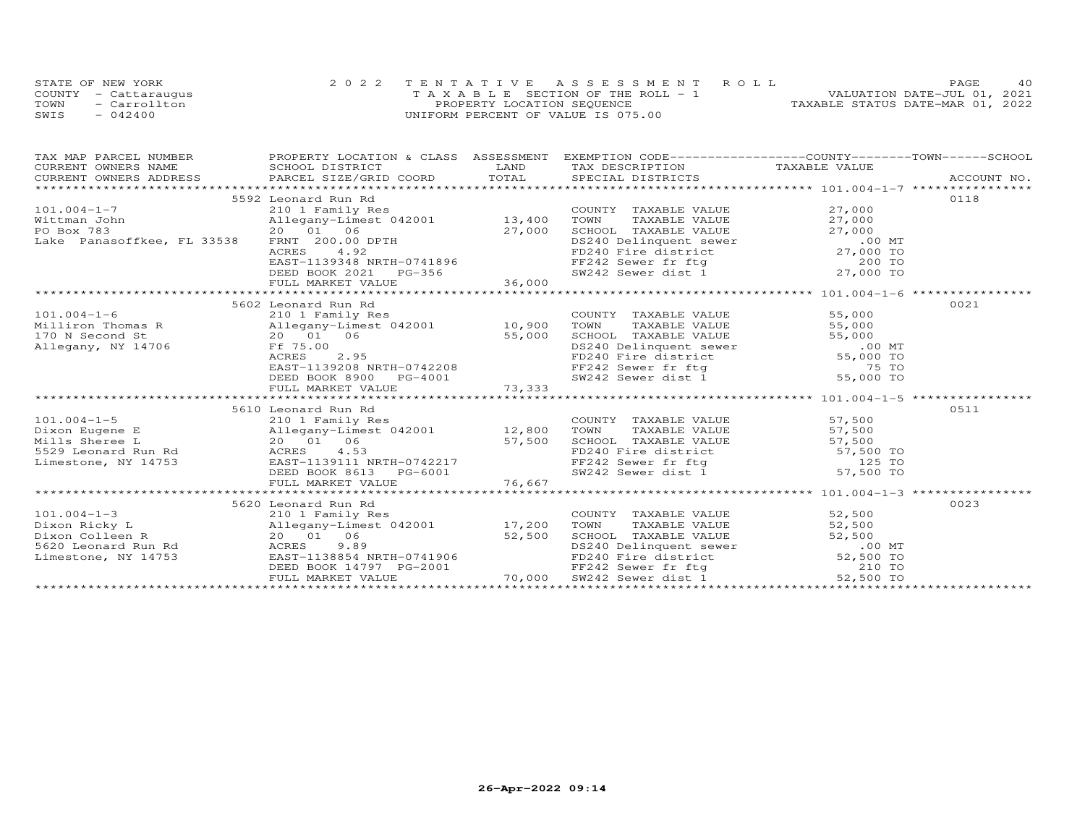|      | STATE OF NEW YORK    | 2022 TENTATIVE ASSESSMENT ROLL     | 4 O<br>PAGE.                     |
|------|----------------------|------------------------------------|----------------------------------|
|      | COUNTY - Cattarauqus | TAXABLE SECTION OF THE ROLL - 1    | VALUATION DATE-JUL 01, 2021      |
| TOWN | - Carrollton         | PROPERTY LOCATION SEQUENCE         | TAXABLE STATUS DATE-MAR 01, 2022 |
| SWIS | $-042400$            | UNIFORM PERCENT OF VALUE IS 075.00 |                                  |

| $\begin{tabular}{lllllllllll} \textsc{rank} & & & & & & & & \textsc{PROPERTY LOCATION & & & & & & \textsc{SSESSMENT} & & & & \textsc{EXEMPTION} & & & & \textsc{CODE}------------------COUNTY-------TOWN----SCHOOL \\ & & & & & & & & & & \textsc{CURRENT} & & & & \textsc{LAND} & & & \textsc{TAXABLE VALUE} & & & \\ & & & & & & & & & & \textsc{CURRENT} & & & \textsc{NADE} & & & \textsc{NCCOUNT NO} & & \\ & & & & & & & & & \textsc{CUCNRENT} & & & \textsc{NUCOUNT NO$ |                                                                                                                                                   |                                                                                                                                                                                                                       |      |
|--------------------------------------------------------------------------------------------------------------------------------------------------------------------------------------------------------------------------------------------------------------------------------------------------------------------------------------------------------------------------------------------------------------------------------------------------------------------------------|---------------------------------------------------------------------------------------------------------------------------------------------------|-----------------------------------------------------------------------------------------------------------------------------------------------------------------------------------------------------------------------|------|
|                                                                                                                                                                                                                                                                                                                                                                                                                                                                                | 5592 Leonard Run Rd                                                                                                                               |                                                                                                                                                                                                                       | 0118 |
| 101.004-1-7<br>Wittman John 210 1 Family Res<br>PO Box 783 20 01 06 27,000                                                                                                                                                                                                                                                                                                                                                                                                     |                                                                                                                                                   | COUNTY TAXABLE VALUE<br>TOWN TAXABLE VALUE 27,000<br>SCHOOL TAXABLE VALUE 27,000<br>DS240 Delinquent sewer 00 MT<br>FD240 Fire district 27,000 TO<br>FF242 Sewer fr ftg 200 TO<br>SW242 Sewer dist 1 27,000 TO        |      |
|                                                                                                                                                                                                                                                                                                                                                                                                                                                                                |                                                                                                                                                   |                                                                                                                                                                                                                       |      |
|                                                                                                                                                                                                                                                                                                                                                                                                                                                                                |                                                                                                                                                   |                                                                                                                                                                                                                       |      |
|                                                                                                                                                                                                                                                                                                                                                                                                                                                                                |                                                                                                                                                   |                                                                                                                                                                                                                       |      |
|                                                                                                                                                                                                                                                                                                                                                                                                                                                                                |                                                                                                                                                   |                                                                                                                                                                                                                       |      |
|                                                                                                                                                                                                                                                                                                                                                                                                                                                                                |                                                                                                                                                   |                                                                                                                                                                                                                       |      |
|                                                                                                                                                                                                                                                                                                                                                                                                                                                                                |                                                                                                                                                   |                                                                                                                                                                                                                       |      |
|                                                                                                                                                                                                                                                                                                                                                                                                                                                                                |                                                                                                                                                   |                                                                                                                                                                                                                       |      |
|                                                                                                                                                                                                                                                                                                                                                                                                                                                                                |                                                                                                                                                   |                                                                                                                                                                                                                       |      |
|                                                                                                                                                                                                                                                                                                                                                                                                                                                                                | 5602 Leonard Run Rd                                                                                                                               |                                                                                                                                                                                                                       | 0021 |
|                                                                                                                                                                                                                                                                                                                                                                                                                                                                                |                                                                                                                                                   |                                                                                                                                                                                                                       |      |
|                                                                                                                                                                                                                                                                                                                                                                                                                                                                                |                                                                                                                                                   |                                                                                                                                                                                                                       |      |
|                                                                                                                                                                                                                                                                                                                                                                                                                                                                                |                                                                                                                                                   |                                                                                                                                                                                                                       |      |
| 101.004-1-6<br>Milliron Thomas R 210 1 Family Res<br>170 N Second St 20 01 06 55,000<br>Allegany, NY 14706 Ff 75.00                                                                                                                                                                                                                                                                                                                                                            |                                                                                                                                                   |                                                                                                                                                                                                                       |      |
|                                                                                                                                                                                                                                                                                                                                                                                                                                                                                |                                                                                                                                                   |                                                                                                                                                                                                                       |      |
|                                                                                                                                                                                                                                                                                                                                                                                                                                                                                |                                                                                                                                                   |                                                                                                                                                                                                                       |      |
|                                                                                                                                                                                                                                                                                                                                                                                                                                                                                |                                                                                                                                                   | COUNTY TAXABLE VALUE 55,000<br>TOWN TAXABLE VALUE 55,000<br>SCHOOL TAXABLE VALUE 55,000<br>DS240 Delinquent sewer 55,000<br>PD240 Fire district 55,000 TO<br>FF242 Sewer fr ftg 75 TO<br>SW242 Sewer dist 1 55,000 TO |      |
|                                                                                                                                                                                                                                                                                                                                                                                                                                                                                | Alleyday - Limest 042001<br>20 01 06 55,000<br>Ff 75.00<br>ACRES 2.95<br>EAST-1139208 NRTH-0742208<br>DEED BOOK 8900 PG-4001<br>FULL MARKET VALUE |                                                                                                                                                                                                                       |      |
|                                                                                                                                                                                                                                                                                                                                                                                                                                                                                |                                                                                                                                                   |                                                                                                                                                                                                                       |      |
|                                                                                                                                                                                                                                                                                                                                                                                                                                                                                | 5610 Leonard Run Rd                                                                                                                               |                                                                                                                                                                                                                       | 0511 |
| 101.004-1-5<br>Dixon Eugene E<br>Mills Sheree L<br>Mills Sheree L<br>20 01 06 57,500 SCHOOL<br>57,500 SCHOOL<br>529 Leonard Run Rd<br>ACRES 4.53                                                                                                                                                                                                                                                                                                                               |                                                                                                                                                   |                                                                                                                                                                                                                       |      |
|                                                                                                                                                                                                                                                                                                                                                                                                                                                                                |                                                                                                                                                   |                                                                                                                                                                                                                       |      |
|                                                                                                                                                                                                                                                                                                                                                                                                                                                                                |                                                                                                                                                   |                                                                                                                                                                                                                       |      |
|                                                                                                                                                                                                                                                                                                                                                                                                                                                                                |                                                                                                                                                   |                                                                                                                                                                                                                       |      |
|                                                                                                                                                                                                                                                                                                                                                                                                                                                                                |                                                                                                                                                   |                                                                                                                                                                                                                       |      |
|                                                                                                                                                                                                                                                                                                                                                                                                                                                                                |                                                                                                                                                   | COUNTY TAXABLE VALUE 57,500<br>TOWN TAXABLE VALUE 57,500<br>SCHOOL TAXABLE VALUE 57,500<br>FD240 Fire district 57,500 TO<br>FF242 Sewer fr ftg 125 TO<br>SW242 Sewer dist 1 57,500 TO                                 |      |
| Mills Shere E<br>Mills Shere E<br>S7,500<br>Mills Shere E<br>20 01 06<br>ACRES 4.53<br>EAST-1139111 NRTH-0742217<br>DEED BOOK 8613 PD240 Fire district 57,500 TO<br>FF242 Sewer fr ftg 125 TO<br>ST,500 TO<br>ENDER SW242 Sewer dist 1 57,500 TO                                                                                                                                                                                                                               |                                                                                                                                                   |                                                                                                                                                                                                                       |      |
|                                                                                                                                                                                                                                                                                                                                                                                                                                                                                |                                                                                                                                                   |                                                                                                                                                                                                                       |      |
|                                                                                                                                                                                                                                                                                                                                                                                                                                                                                | 5620 Leonard Run Rd                                                                                                                               |                                                                                                                                                                                                                       | 0023 |
|                                                                                                                                                                                                                                                                                                                                                                                                                                                                                |                                                                                                                                                   | COUNTY TAXABLE VALUE 52,500                                                                                                                                                                                           |      |
|                                                                                                                                                                                                                                                                                                                                                                                                                                                                                |                                                                                                                                                   | TOWN                                                                                                                                                                                                                  |      |
| 101.004-1-3<br>210 1 Family Res<br>Dixon Ricky L<br>210 1 Family Res<br>Allegany-Limest 042001<br>20 01 06<br>52,500<br>52,500<br>52,500                                                                                                                                                                                                                                                                                                                                       |                                                                                                                                                   |                                                                                                                                                                                                                       |      |
|                                                                                                                                                                                                                                                                                                                                                                                                                                                                                |                                                                                                                                                   |                                                                                                                                                                                                                       |      |
|                                                                                                                                                                                                                                                                                                                                                                                                                                                                                |                                                                                                                                                   |                                                                                                                                                                                                                       |      |
|                                                                                                                                                                                                                                                                                                                                                                                                                                                                                |                                                                                                                                                   | TOWN TAXABLE VALUE<br>TOWN TAXABLE VALUE<br>S2,500<br>SCHOOL TAXABLE VALUE<br>52,500<br>DS240 Delinquent sewer<br>FP242 Sewer fr ftg<br>SW242 Sewer dist.1.000 52,500 TO                                              |      |
|                                                                                                                                                                                                                                                                                                                                                                                                                                                                                |                                                                                                                                                   |                                                                                                                                                                                                                       |      |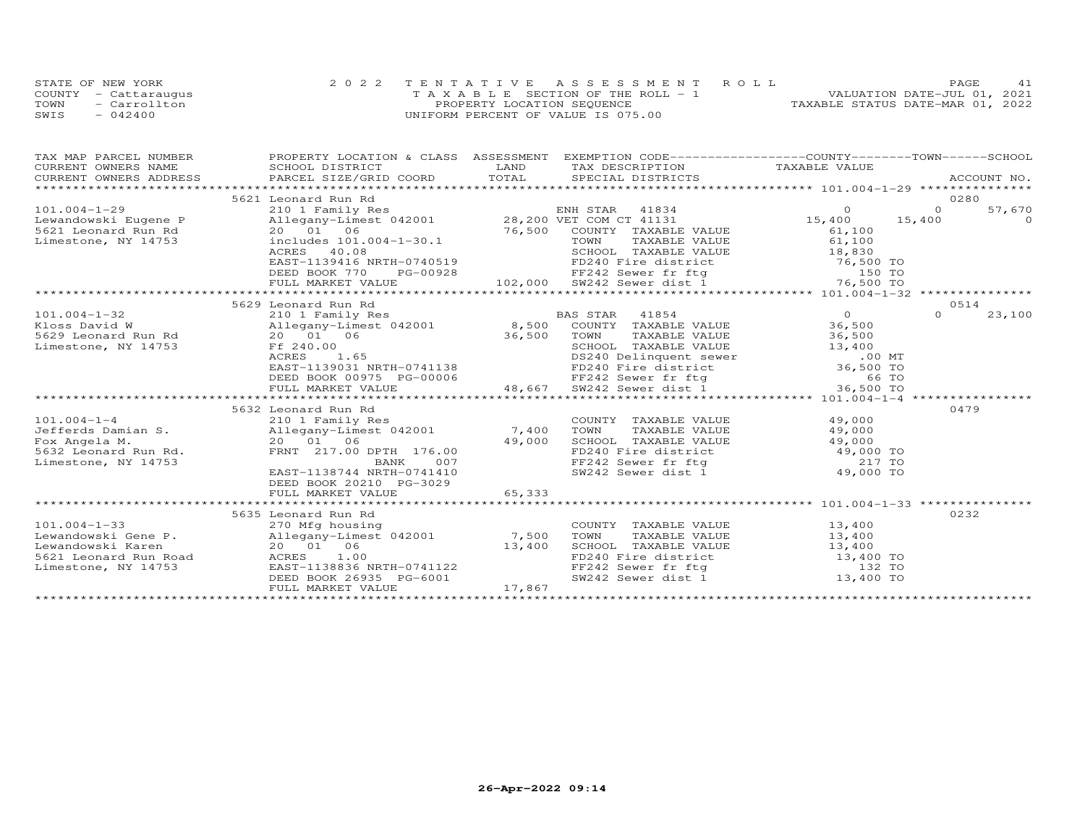|      | STATE OF NEW YORK    | 2022 TENTATIVE ASSESSMENT ROLL     | 41<br>PAGE.                      |
|------|----------------------|------------------------------------|----------------------------------|
|      | COUNTY - Cattarauqus | TAXABLE SECTION OF THE ROLL - 1    | VALUATION DATE-JUL 01, 2021      |
| TOWN | - Carrollton         | PROPERTY LOCATION SEQUENCE         | TAXABLE STATUS DATE-MAR 01, 2022 |
| SWIS | $-042400$            | UNIFORM PERCENT OF VALUE IS 075.00 |                                  |

| TAX MAP PARCEL NUMBER  | PROPERTY LOCATION & CLASS ASSESSMENT EXEMPTION CODE----------------COUNTY-------TOWN------SCHOOL                                                                                          |        |                                                                                                                                                                                                                                                          |                      |          |          |
|------------------------|-------------------------------------------------------------------------------------------------------------------------------------------------------------------------------------------|--------|----------------------------------------------------------------------------------------------------------------------------------------------------------------------------------------------------------------------------------------------------------|----------------------|----------|----------|
| CURRENT OWNERS NAME    | SCHOOL DISTRICT                                                                                                                                                                           | LAND   | TAX DESCRIPTION                                                                                                                                                                                                                                          | TAXABLE VALUE        |          |          |
| CURRENT OWNERS ADDRESS | CONNENT OWNERS ADDRESS FORCEL SIZE/GRID COORD TOTAL SECIAL DISTRICTS THE THE THEORY ACCOUNT NO.<br>TOTAL SECIAL DISTRICTS TRESS PARCEL SIZE/GRID COORD TOTAL SECIAL DISTRICTS ACCOUNT NO. |        |                                                                                                                                                                                                                                                          |                      |          |          |
|                        |                                                                                                                                                                                           |        |                                                                                                                                                                                                                                                          |                      |          |          |
|                        | 5621 Leonard Run Rd                                                                                                                                                                       |        |                                                                                                                                                                                                                                                          |                      |          | 0280     |
| $101.004 - 1 - 29$     |                                                                                                                                                                                           |        |                                                                                                                                                                                                                                                          |                      | $\Omega$ | 57,670   |
| Lewandowski Eugene P   |                                                                                                                                                                                           |        |                                                                                                                                                                                                                                                          |                      | 15,400   | $\Omega$ |
|                        | 5621 Leonard Run Rd<br>Limestone, NY 14753 1ncludes 101.004-1-30.1                                                                                                                        |        | 76,500 COUNTY TAXABLE VALUE                                                                                                                                                                                                                              | 61,100               |          |          |
|                        |                                                                                                                                                                                           |        | 104-1-30.1<br>TOWN TAXABLE VALUE<br>SCHOOL TAXABLE VALUE<br>SCHOOL TAXABLE VALUE<br>FD240 Fire district 165.500 TO<br>PG-00928<br>TE242 Sewer fr ftg<br>150 TO<br>150 TO<br>ILUE<br>TE242 Sewer dist 1<br>TEXABLE VALUE<br>TEXABLE VALUE<br>TEXABLE VALU |                      |          |          |
|                        | ACRES 40.08                                                                                                                                                                               |        |                                                                                                                                                                                                                                                          |                      |          |          |
|                        | EAST-1139416 NRTH-0740519                                                                                                                                                                 |        |                                                                                                                                                                                                                                                          |                      |          |          |
|                        | DEED BOOK 770                                                                                                                                                                             |        |                                                                                                                                                                                                                                                          |                      |          |          |
|                        | FULL MARKET VALUE                                                                                                                                                                         |        |                                                                                                                                                                                                                                                          |                      |          |          |
|                        |                                                                                                                                                                                           |        |                                                                                                                                                                                                                                                          |                      |          |          |
|                        | 5629 Leonard Run Rd                                                                                                                                                                       |        |                                                                                                                                                                                                                                                          |                      |          | 0514     |
| $101.004 - 1 - 32$     | 210 1 Family Res                                                                                                                                                                          |        | BAS STAR 41854                                                                                                                                                                                                                                           | $\overline{O}$       | $\Omega$ | 23,100   |
|                        | Allegany-Limest 042001 8,500 COUNTY TAXABLE VALUE                                                                                                                                         |        |                                                                                                                                                                                                                                                          |                      |          |          |
|                        |                                                                                                                                                                                           | 36,500 | TOWN<br>TAXABLE VALUE                                                                                                                                                                                                                                    | 36,500<br>36,500     |          |          |
|                        |                                                                                                                                                                                           |        | SCHOOL TAXABLE VALUE 13,400                                                                                                                                                                                                                              |                      |          |          |
|                        |                                                                                                                                                                                           |        |                                                                                                                                                                                                                                                          |                      |          |          |
|                        |                                                                                                                                                                                           |        |                                                                                                                                                                                                                                                          |                      |          |          |
|                        |                                                                                                                                                                                           |        |                                                                                                                                                                                                                                                          |                      |          |          |
|                        | ACRES 1.65<br>EAST-1139031 NRTH-0741138<br>DS240 Delinquent sewer<br>FD240 Fire district 36,500 TO<br>DEED BOOK 00975 PG-00006<br>FF242 Sewer fr ftg 66 TO<br>FULL MARKET VALUE           |        |                                                                                                                                                                                                                                                          |                      |          |          |
|                        |                                                                                                                                                                                           |        |                                                                                                                                                                                                                                                          |                      |          |          |
|                        | 5632 Leonard Run Rd                                                                                                                                                                       |        |                                                                                                                                                                                                                                                          |                      |          | 0479     |
|                        |                                                                                                                                                                                           |        | COUNTY TAXABLE VALUE                                                                                                                                                                                                                                     | 49,000               |          |          |
|                        |                                                                                                                                                                                           |        | TAXABLE VALUE<br>TOWN                                                                                                                                                                                                                                    | 49,000               |          |          |
|                        |                                                                                                                                                                                           | 49,000 | SCHOOL TAXABLE VALUE 49,000                                                                                                                                                                                                                              |                      |          |          |
| 5632 Leonard Run Rd.   | FRNT 217.00 DPTH 176.00                                                                                                                                                                   |        |                                                                                                                                                                                                                                                          |                      |          |          |
| Limestone, NY 14753    | 007<br>BANK                                                                                                                                                                               |        | FD240 Fire district $49,000$ TO<br>FF242 Sewer fr ftg and the state of the state of the state of the state of the state of the state of the state of the state of the state of the state of the state of the state of the state o                        |                      |          |          |
|                        | EAST-1138744 NRTH-0741410                                                                                                                                                                 |        |                                                                                                                                                                                                                                                          |                      |          |          |
|                        | DEED BOOK 20210 PG-3029                                                                                                                                                                   |        |                                                                                                                                                                                                                                                          |                      |          |          |
|                        | FULL MARKET VALUE                                                                                                                                                                         | 65,333 |                                                                                                                                                                                                                                                          |                      |          |          |
|                        |                                                                                                                                                                                           |        |                                                                                                                                                                                                                                                          |                      |          |          |
|                        | 5635 Leonard Run Rd                                                                                                                                                                       |        |                                                                                                                                                                                                                                                          |                      |          | 0232     |
| $101.004 - 1 - 33$     | 270 Mfg housing                                                                                                                                                                           |        | COUNTY TAXABLE VALUE 13,400                                                                                                                                                                                                                              |                      |          |          |
|                        | Lewandowski Gene P. Allegany-Limest 042001 7,500                                                                                                                                          |        | TOWN                                                                                                                                                                                                                                                     | TAXABLE VALUE 13,400 |          |          |
|                        |                                                                                                                                                                                           | 13,400 | SCHOOL TAXABLE VALUE 13,400<br>FD240 Fire district 13,400 TO<br>FF242 Sewer fr ftg 132 TO<br>SW242 Sewer dist 1 13,400 TO                                                                                                                                |                      |          |          |
|                        |                                                                                                                                                                                           |        |                                                                                                                                                                                                                                                          |                      |          |          |
|                        | Limestone, NY 14753 EAST-1138836 NRTH-0741122                                                                                                                                             |        |                                                                                                                                                                                                                                                          |                      |          |          |
|                        |                                                                                                                                                                                           |        |                                                                                                                                                                                                                                                          |                      |          |          |
|                        |                                                                                                                                                                                           |        |                                                                                                                                                                                                                                                          |                      |          |          |
|                        |                                                                                                                                                                                           |        |                                                                                                                                                                                                                                                          |                      |          |          |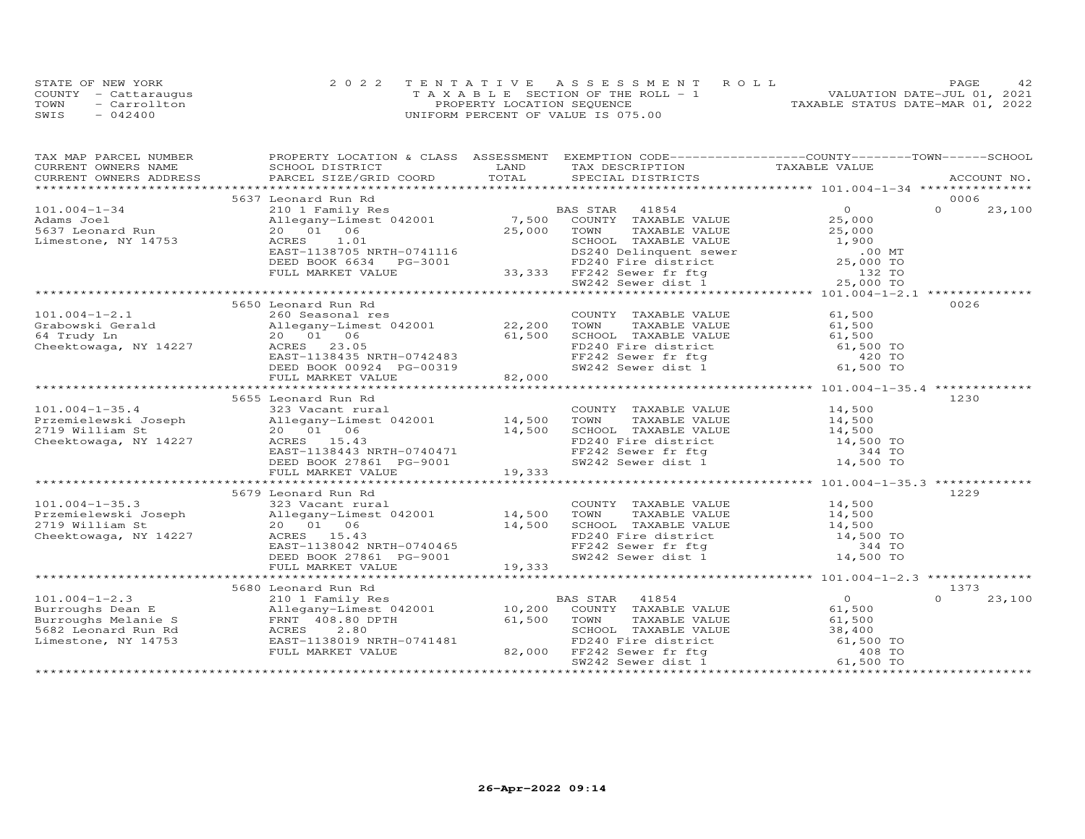|      | STATE OF NEW YORK    | 2022 TENTATIVE ASSESSMENT ROLL     | 42<br>PAGE.                      |
|------|----------------------|------------------------------------|----------------------------------|
|      | COUNTY - Cattarauqus | TAXABLE SECTION OF THE ROLL - 1    | VALUATION DATE-JUL 01, 2021      |
| TOWN | - Carrollton         | PROPERTY LOCATION SEQUENCE         | TAXABLE STATUS DATE-MAR 01, 2022 |
| SWIS | $-042400$            | UNIFORM PERCENT OF VALUE IS 075.00 |                                  |

| TAX MAP PARCEL NUMBER<br>CURRENT OWNERS NAME | PROPERTY LOCATION & CLASS ASSESSMENT EXEMPTION CODE----------------COUNTY-------TOWN------SCHOOL<br>SCHOOL DISTRICT | LAND   | TAX DESCRIPTION                                                                                                                                   | TAXABLE VALUE                                       |          |             |
|----------------------------------------------|---------------------------------------------------------------------------------------------------------------------|--------|---------------------------------------------------------------------------------------------------------------------------------------------------|-----------------------------------------------------|----------|-------------|
| CURRENT OWNERS ADDRESS                       | PARCEL SIZE/GRID COORD                                                                                              | TOTAL  | SPECIAL DISTRICTS                                                                                                                                 |                                                     |          | ACCOUNT NO. |
|                                              |                                                                                                                     |        |                                                                                                                                                   |                                                     |          |             |
|                                              | 5637 Leonard Run Rd                                                                                                 |        |                                                                                                                                                   |                                                     | 0006     |             |
| $101.004 - 1 - 34$                           | 210 1 Family Res                                                                                                    |        | BAS STAR<br>41854                                                                                                                                 | $\overline{O}$                                      | $\Omega$ | 23,100      |
| Adams Joel                                   | Allegany-Limest 042001 7,500 COUNTY TAXABLE VALUE                                                                   |        |                                                                                                                                                   | 25,000                                              |          |             |
| 5637 Leonard Run                             | 20  01  06                                                                                                          | 25,000 | TOWN<br>TAXABLE VALUE                                                                                                                             | 25,000                                              |          |             |
| Limestone, NY 14753                          | 1.01<br>ACRES                                                                                                       |        | ESTROOL TAXABLE VALUE<br>SCHOOL TAXABLE VALUE<br>DS240 Delinquent sewer<br>FD240 Fire district<br>33,333 FF242 Sewer fr ftg<br>SW242 Sewer dist 1 | 1,900                                               |          |             |
|                                              | EAST-1138705 NRTH-0741116                                                                                           |        |                                                                                                                                                   | $.00$ MT                                            |          |             |
|                                              | DEED BOOK 6634 PG-3001                                                                                              |        |                                                                                                                                                   | 25,000 TO                                           |          |             |
|                                              | FULL MARKET VALUE                                                                                                   |        |                                                                                                                                                   | 132 TO                                              |          |             |
|                                              |                                                                                                                     |        |                                                                                                                                                   | 25,000 TO                                           |          |             |
|                                              |                                                                                                                     |        |                                                                                                                                                   |                                                     |          |             |
|                                              | 5650 Leonard Run Rd                                                                                                 |        |                                                                                                                                                   |                                                     | 0026     |             |
| $101.004 - 1 - 2.1$                          | 260 Seasonal res                                                                                                    |        | COUNTY TAXABLE VALUE                                                                                                                              | 61,500                                              |          |             |
| Grabowski Gerald                             | Allegany-Limest 042001 22,200                                                                                       |        | TOWN<br>TAXABLE VALUE<br>TOWN       TAXABLE  VALUE<br>SCHOOL    TAXABLE  VALUE                                                                    | 61,500                                              |          |             |
| 64 Trudy Ln                                  | 20 01 06                                                                                                            | 61,500 |                                                                                                                                                   | 61,500                                              |          |             |
| Cheektowaga, NY 14227                        | ACRES 23.05                                                                                                         |        | FD240 Fire district 61,500 TO<br>FF242 Sewer fr ftg 420 TO<br>SW242 Sewer dist 1 61,500 TO                                                        |                                                     |          |             |
|                                              | EAST-1138435 NRTH-0742483                                                                                           |        |                                                                                                                                                   |                                                     |          |             |
|                                              | DEED BOOK 00924 PG-00319                                                                                            |        |                                                                                                                                                   |                                                     |          |             |
|                                              | FULL MARKET VALUE                                                                                                   | 82,000 |                                                                                                                                                   |                                                     |          |             |
|                                              |                                                                                                                     |        |                                                                                                                                                   |                                                     |          |             |
|                                              | 5655 Leonard Run Rd                                                                                                 |        |                                                                                                                                                   |                                                     | 1230     |             |
| $101.004 - 1 - 35.4$                         | 323 Vacant rural                                                                                                    |        | COUNTY TAXABLE VALUE                                                                                                                              | 14,500<br>14,500                                    |          |             |
| Przemielewski Joseph                         | Allegany-Limest 042001 14,500                                                                                       |        | TAXABLE VALUE<br>TOWN                                                                                                                             |                                                     |          |             |
| 2719 William St                              | 20  01  06                                                                                                          | 14,500 | SCHOOL TAXABLE VALUE $14,500$<br>FD240 Fire district 14,500 TO                                                                                    |                                                     |          |             |
| Cheektowaga, NY 14227                        | ACRES 15.43                                                                                                         |        |                                                                                                                                                   |                                                     |          |             |
|                                              | EAST-1138443 NRTH-0740471<br>DEED BOOK 27861 PG-9001                                                                |        | FF242 Sewer fr ftg<br>SW242 Sewer dist 1                                                                                                          | 344 TO                                              |          |             |
|                                              |                                                                                                                     | 19,333 |                                                                                                                                                   | 14,500 TO                                           |          |             |
|                                              | FULL MARKET VALUE                                                                                                   |        |                                                                                                                                                   |                                                     |          |             |
|                                              |                                                                                                                     |        |                                                                                                                                                   |                                                     |          |             |
|                                              | 5679 Leonard Run Rd                                                                                                 |        | COUNTY TAXABLE VALUE 14,500                                                                                                                       |                                                     | 1229     |             |
| $101.004 - 1 - 35.3$                         | 323 Vacant rural                                                                                                    |        |                                                                                                                                                   |                                                     |          |             |
|                                              |                                                                                                                     |        | TOWN TAXABLE VALUE 14,500<br>SCHOOL TAXABLE VALUE 14,500                                                                                          |                                                     |          |             |
| Cheektowaga, NY 14227                        | ACRES 15.43                                                                                                         |        | SCHOOL IAAADDE VADOU<br>FD240 Fire district from 14,500 TO<br>TE242 Sower fr fta 6 344 TO                                                         |                                                     |          |             |
|                                              | EAST-1138042 NRTH-0740465                                                                                           |        |                                                                                                                                                   |                                                     |          |             |
|                                              | DEED BOOK 27861 PG-9001                                                                                             |        | FF242 Sewer fr ftg<br>SW242 Sewer dist 1                                                                                                          | 14,500 TO                                           |          |             |
|                                              | FULL MARKET VALUE                                                                                                   | 19,333 |                                                                                                                                                   |                                                     |          |             |
|                                              |                                                                                                                     |        |                                                                                                                                                   | ********************* 101.004-1-2.3 *************** |          |             |
|                                              | 5680 Leonard Run Rd                                                                                                 |        |                                                                                                                                                   |                                                     | 1373     |             |
| $101.004 - 1 - 2.3$                          |                                                                                                                     |        |                                                                                                                                                   | 6 <sup>1</sup>                                      | $\Omega$ | 23,100      |
| Burroughs Dean E                             |                                                                                                                     |        | BAS STAR 41854<br>10,200 COUNTY TAXABLE VALUE                                                                                                     |                                                     |          |             |
| Burroughs Melanie S                          | 210 1 Family Res<br>Allegany-Limest 042001<br>FRNT 408.80 DPTH<br>ACRES 2.80                                        | 61,500 | TAXABLE VALUE<br>TOWN                                                                                                                             | 61,500                                              |          |             |
| 5682 Leonard Run Rd                          |                                                                                                                     |        | SCHOOL TAXABLE VALUE                                                                                                                              | 38,400                                              |          |             |
| Limestone, NY 14753                          | EAST-1138019 NRTH-0741481                                                                                           |        |                                                                                                                                                   |                                                     |          |             |
|                                              | FULL MARKET VALUE                                                                                                   |        | SCHOOL INANDER WILLENS<br>FD240 Fire district<br>FP242 Sewer fr fta 61,500 TO<br>82,000 FF242 Sewer fr ftg                                        |                                                     |          |             |
|                                              |                                                                                                                     |        | SW242 Sewer dist 1                                                                                                                                | 61,500 TO                                           |          |             |
|                                              |                                                                                                                     |        |                                                                                                                                                   |                                                     |          |             |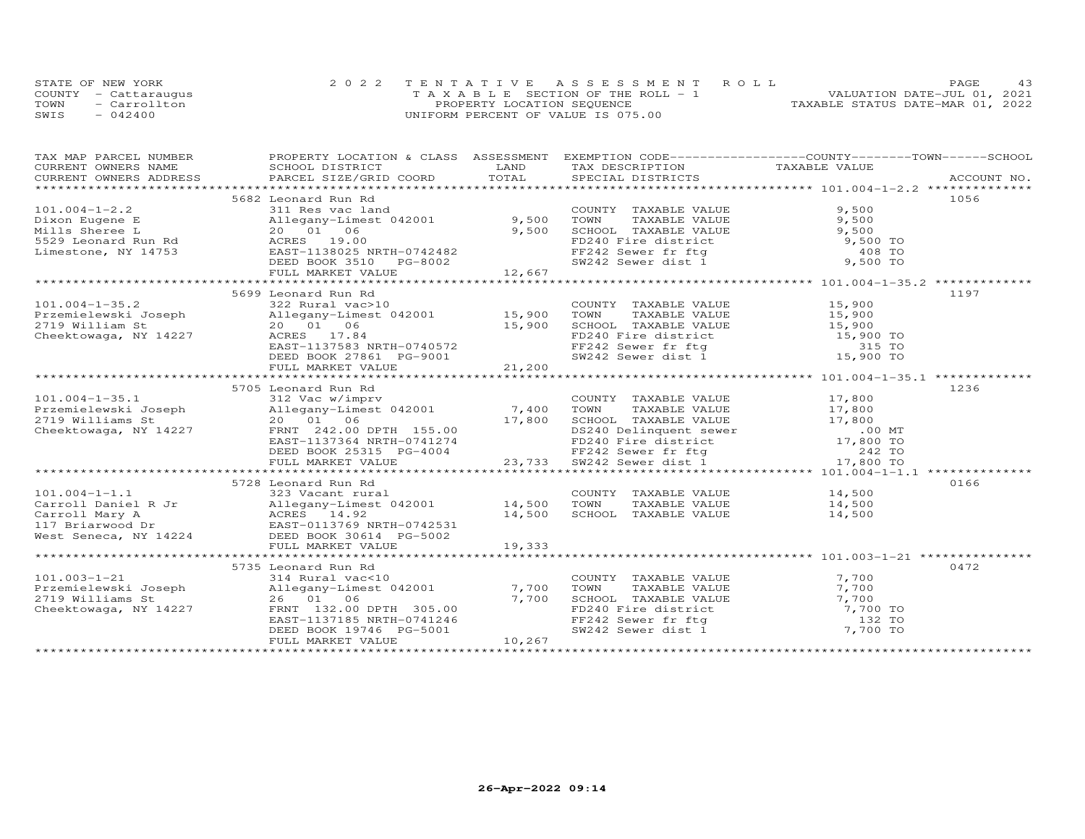|      | STATE OF NEW YORK    | 2022 TENTATIVE ASSESSMENT ROLL        | 43<br><b>PAGE</b>                |
|------|----------------------|---------------------------------------|----------------------------------|
|      | COUNTY - Cattaraugus | T A X A B L E SECTION OF THE ROLL - 1 | VALUATION DATE-JUL 01, 2021      |
| TOWN | - Carrollton         | PROPERTY LOCATION SEQUENCE            | TAXABLE STATUS DATE-MAR 01, 2022 |
| SWIS | $-042400$            | UNIFORM PERCENT OF VALUE IS 075.00    |                                  |

| TAX MAP PARCEL NUMBER                                                | PROPERTY LOCATION & CLASS ASSESSMENT EXEMPTION CODE----------------COUNTY-------TOWN------SCHOOL                                                                                                                                 |        |                                                                                                                                                                |                                              |      |
|----------------------------------------------------------------------|----------------------------------------------------------------------------------------------------------------------------------------------------------------------------------------------------------------------------------|--------|----------------------------------------------------------------------------------------------------------------------------------------------------------------|----------------------------------------------|------|
|                                                                      |                                                                                                                                                                                                                                  |        |                                                                                                                                                                |                                              |      |
|                                                                      | 5682 Leonard Run Rd                                                                                                                                                                                                              |        |                                                                                                                                                                |                                              | 1056 |
| $101.004 - 1 - 2.2$                                                  | 311 Res vac land                                                                                                                                                                                                                 |        | COUNTY TAXABLE VALUE                                                                                                                                           | 9,500                                        |      |
| Dixon Eugene E                                                       | Allegany-Limest 042001 9,500                                                                                                                                                                                                     |        | 9, 500<br>TOWN TAXABLE VALUE<br>SCHOOL TAXABLE VALUE<br>FD240 Fire district<br>FF242 Sewer fr ftg<br>SW242 Sewer dist 1<br>9, 500 TO<br>9, 500 TO<br>9, 500 TO |                                              |      |
| Mills Sheree L                                                       | 20  01  06                                                                                                                                                                                                                       | 9,500  |                                                                                                                                                                |                                              |      |
| First Shere B and the control of the SS29 Leonard Run Rd acres 19.00 |                                                                                                                                                                                                                                  |        |                                                                                                                                                                |                                              |      |
| Limestone, NY 14753                                                  | EAST-1138025 NRTH-0742482<br>DEED BOOK 3510 PG-8002                                                                                                                                                                              |        |                                                                                                                                                                |                                              |      |
|                                                                      |                                                                                                                                                                                                                                  |        |                                                                                                                                                                |                                              |      |
|                                                                      | FULL MARKET VALUE                                                                                                                                                                                                                | 12,667 |                                                                                                                                                                |                                              |      |
|                                                                      |                                                                                                                                                                                                                                  |        |                                                                                                                                                                |                                              |      |
|                                                                      | 5699 Leonard Run Rd                                                                                                                                                                                                              |        |                                                                                                                                                                |                                              | 1197 |
| $101.004 - 1 - 35.2$                                                 | 322 Rural vac>10                                                                                                                                                                                                                 |        | COUNTY TAXABLE VALUE 15,900                                                                                                                                    |                                              |      |
| Przemielewski Joseph                                                 | Allegany-Limest 042001 15,900                                                                                                                                                                                                    |        | TOWN                                                                                                                                                           | TAXABLE VALUE $15,900$                       |      |
| 2719 William St                                                      | 20  01  06<br>15,900                                                                                                                                                                                                             |        |                                                                                                                                                                |                                              |      |
| Cheektowaga, NY 14227                                                | ACRES 17.84                                                                                                                                                                                                                      |        |                                                                                                                                                                |                                              |      |
|                                                                      |                                                                                                                                                                                                                                  |        |                                                                                                                                                                |                                              |      |
|                                                                      | ACKES 17.84<br>EAST-1137583 NRTH-0740572<br>DEED BOOK 27861 PG-9001<br>NIJL MOOK 2755                                                                                                                                            |        | SCHOOL TAXABLE VALUE<br>FD240 Fire district<br>FF242 Sewer fr ftg<br>SW242 Sewer dist 1 15,900 TO<br>SW242 Sewer dist 1 15,900 TO                              |                                              |      |
|                                                                      | FULL MARKET VALUE                                                                                                                                                                                                                | 21,200 |                                                                                                                                                                |                                              |      |
|                                                                      |                                                                                                                                                                                                                                  |        |                                                                                                                                                                |                                              |      |
|                                                                      | 5705 Leonard Run Rd                                                                                                                                                                                                              |        |                                                                                                                                                                |                                              | 1236 |
|                                                                      | 5705 Leonard Run Rd<br>101.004-1-35.1 312 Vac w/imprv<br>Przemielewski Joseph              Allegany-Limest 042001               7,400 TOWN                                                                                       |        | COUNTY TAXABLE VALUE                                                                                                                                           | TAXABLE VALUE 17,800<br>TAXABLE VALUE 17,800 |      |
|                                                                      |                                                                                                                                                                                                                                  |        |                                                                                                                                                                |                                              |      |
|                                                                      |                                                                                                                                                                                                                                  |        |                                                                                                                                                                |                                              |      |
|                                                                      |                                                                                                                                                                                                                                  |        |                                                                                                                                                                |                                              |      |
|                                                                      |                                                                                                                                                                                                                                  |        |                                                                                                                                                                |                                              |      |
|                                                                      |                                                                                                                                                                                                                                  |        |                                                                                                                                                                |                                              |      |
|                                                                      |                                                                                                                                                                                                                                  |        |                                                                                                                                                                |                                              |      |
|                                                                      | 2719 Williams Strategy - Allegary - Limest 042001<br>2719 Williams Strategy - 2719 Williams Strategy - 2719 Williams Strategy - 2719 Williams Strategy - 2719 Williams Strategy - 2719 Williams Strategy - 2719 Williams Strateg |        |                                                                                                                                                                |                                              |      |
|                                                                      | 5728 Leonard Run Rd                                                                                                                                                                                                              |        |                                                                                                                                                                |                                              | 0166 |
| $101.004 - 1 - 1.1$                                                  | 323 Vacant rural                                                                                                                                                                                                                 |        | COUNTY TAXABLE VALUE<br>TOWN       TAXABLE VALUE                                                                                                               | $14,500$<br>$14,500$                         |      |
|                                                                      |                                                                                                                                                                                                                                  |        |                                                                                                                                                                |                                              |      |
|                                                                      |                                                                                                                                                                                                                                  |        | SCHOOL TAXABLE VALUE                                                                                                                                           | 14,500                                       |      |
|                                                                      |                                                                                                                                                                                                                                  |        |                                                                                                                                                                |                                              |      |
|                                                                      |                                                                                                                                                                                                                                  |        |                                                                                                                                                                |                                              |      |
|                                                                      |                                                                                                                                                                                                                                  |        |                                                                                                                                                                |                                              |      |
|                                                                      |                                                                                                                                                                                                                                  |        |                                                                                                                                                                |                                              |      |
|                                                                      | 5735 Leonard Run Rd                                                                                                                                                                                                              |        |                                                                                                                                                                |                                              | 0472 |
| $101.003 - 1 - 21$                                                   | 314 Rural vac<10                                                                                                                                                                                                                 |        | COUNTY TAXABLE VALUE                                                                                                                                           | 7,700                                        |      |
| Przemielewski Joseph                                                 | Allegany-Limest 042001 7,700                                                                                                                                                                                                     |        |                                                                                                                                                                |                                              |      |
| 2719 Williams St                                                     | 26 01 06                                                                                                                                                                                                                         | 7,700  | TOWN TAXABLE VALUE 7,700<br>SCHOOL TAXABLE VALUE 7,700<br>FD240 Fire district 7,700<br>FF242 Sewer fr ftg 132 TO<br>SW242 Sewer dist 1 7,700 TO                |                                              |      |
| Cheektowaga, NY 14227                                                | FRNT 132.00 DPTH 305.00                                                                                                                                                                                                          |        |                                                                                                                                                                |                                              |      |
|                                                                      | EAST-1137185 NRTH-0741246                                                                                                                                                                                                        |        |                                                                                                                                                                |                                              |      |
|                                                                      | DEED BOOK 19746 PG-5001                                                                                                                                                                                                          |        |                                                                                                                                                                |                                              |      |
|                                                                      | FULL MARKET VALUE                                                                                                                                                                                                                | 10,267 |                                                                                                                                                                |                                              |      |
|                                                                      |                                                                                                                                                                                                                                  |        |                                                                                                                                                                |                                              |      |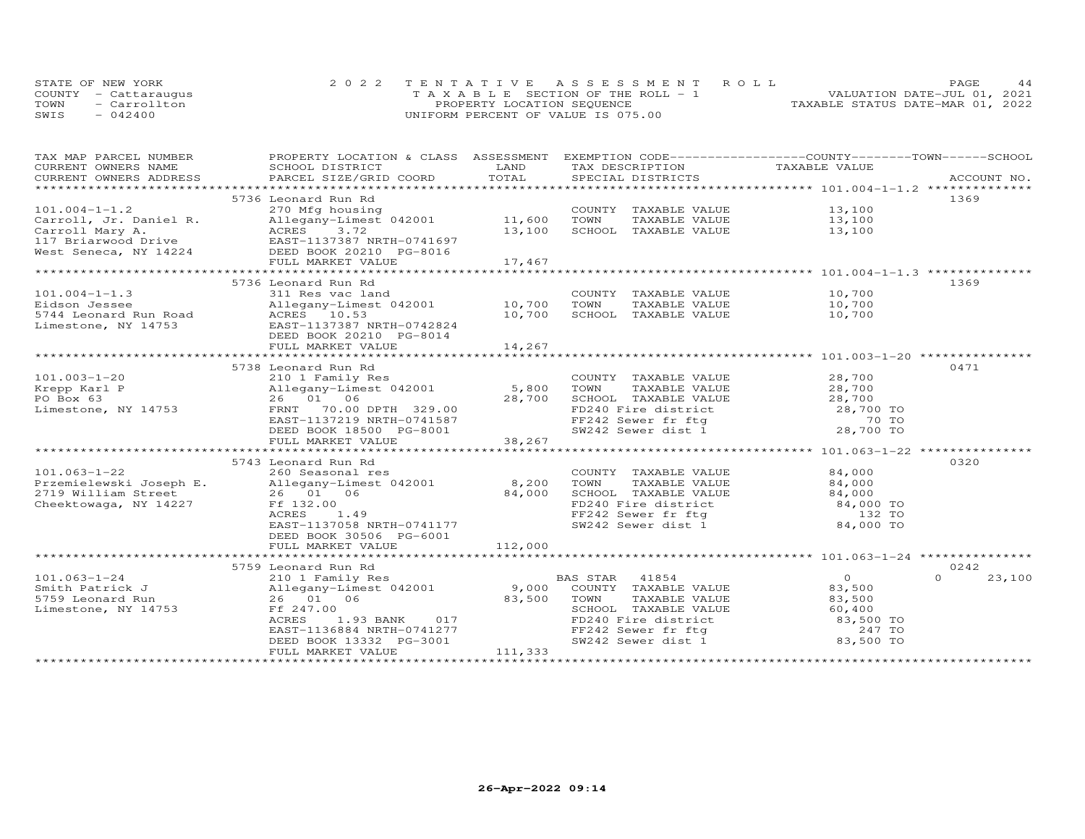|      | STATE OF NEW YORK    | 2022 TENTATIVE ASSESSMENT ROLL                 | 44<br>PAGE                       |
|------|----------------------|------------------------------------------------|----------------------------------|
|      | COUNTY - Cattaraugus | $T A X A B I E S E C T I ON OF THE RO I J = 1$ | VALUATION DATE-JUL 01, 2021      |
| TOWN | - Carrollton         | PROPERTY LOCATION SEQUENCE                     | TAXABLE STATUS DATE-MAR 01, 2022 |
| SWIS | $-042400$            | UNIFORM PERCENT OF VALUE IS 075.00             |                                  |

| TAX MAP PARCEL NUMBER<br>CURRENT OWNERS NAME | PROPERTY LOCATION & CLASS ASSESSMENT<br>SCHOOL DISTRICT                                                                                                                                                                               | LAND    | EXEMPTION CODE-----------------COUNTY-------TOWN------SCHOOL<br>TAX DESCRIPTION                                                 | TAXABLE VALUE                                    |                    |
|----------------------------------------------|---------------------------------------------------------------------------------------------------------------------------------------------------------------------------------------------------------------------------------------|---------|---------------------------------------------------------------------------------------------------------------------------------|--------------------------------------------------|--------------------|
|                                              |                                                                                                                                                                                                                                       |         |                                                                                                                                 |                                                  |                    |
|                                              | .CURRENT OWNERS ADDRESS PARCEL SIZE/GRID COORD TOTAL SPECIAL DISTRICTS ACCOUNT NO ACCOUNT NO ACCOUNT NO ACCOUNT                                                                                                                       |         |                                                                                                                                 |                                                  |                    |
|                                              | 5736 Leonard Run Rd                                                                                                                                                                                                                   |         |                                                                                                                                 |                                                  | 1369               |
| $101.004 - 1 - 1.2$                          | 270 Mfg housing                                                                                                                                                                                                                       |         | COUNTY TAXABLE VALUE 13,100                                                                                                     |                                                  |                    |
|                                              | Allegany-Limest 042001 11,600                                                                                                                                                                                                         |         | TOWN<br>TAXABLE VALUE                                                                                                           |                                                  |                    |
|                                              |                                                                                                                                                                                                                                       | 13,100  | SCHOOL TAXABLE VALUE                                                                                                            | 13,100<br>13,100                                 |                    |
|                                              |                                                                                                                                                                                                                                       |         |                                                                                                                                 |                                                  |                    |
|                                              | Carroll, Jr. Daniel R.<br>Carroll Mary A.<br>117 Briarwood Drive<br>Nest Seneca, NY 14224<br>20210 DEED BOOK 20210 PG-8016<br>20210 DEED BOOK 20210 PG-8016                                                                           |         |                                                                                                                                 |                                                  |                    |
|                                              | FULL MARKET VALUE                                                                                                                                                                                                                     | 17,467  |                                                                                                                                 |                                                  |                    |
|                                              |                                                                                                                                                                                                                                       |         |                                                                                                                                 |                                                  |                    |
|                                              | 5736 Leonard Run Rd                                                                                                                                                                                                                   |         |                                                                                                                                 |                                                  | 1369               |
| $101.004 - 1 - 1.3$                          | 311 Res vac land                                                                                                                                                                                                                      |         | COUNTY TAXABLE VALUE 10,700                                                                                                     |                                                  |                    |
|                                              |                                                                                                                                                                                                                                       |         |                                                                                                                                 | TAXABLE VALUE 10,700                             |                    |
|                                              | Eidson Jessee<br>Sales and Allegany-Limest 042001 10,700 TOWN<br>S744 Leonard Run Road ACRES 10.53 10,700 SCHOO!<br>Limestone, NY 14753 EAST-1137387 NRTH-0742824<br>DEED BOOK 20210 PG-8014                                          |         | SCHOOL TAXABLE VALUE                                                                                                            | 10,700                                           |                    |
|                                              |                                                                                                                                                                                                                                       |         |                                                                                                                                 |                                                  |                    |
|                                              |                                                                                                                                                                                                                                       |         |                                                                                                                                 |                                                  |                    |
|                                              | FULL MARKET VALUE                                                                                                                                                                                                                     | 14,267  |                                                                                                                                 |                                                  |                    |
|                                              |                                                                                                                                                                                                                                       |         |                                                                                                                                 |                                                  |                    |
|                                              | Extepp Karl P<br>PO Box 63<br>Limestone, NY 14753<br>COUNT<br>COUNT<br>28,700<br>COUNT<br>28,700<br>COUNT<br>28,700<br>COUNT<br>28,700<br>COUNT<br>28,700<br>COUNT<br>28,700<br>COUNT<br>28,700<br>COUNT<br>28,700<br>COUNT<br>28,700 |         |                                                                                                                                 |                                                  | 0471               |
|                                              |                                                                                                                                                                                                                                       |         | COUNTY TAXABLE VALUE                                                                                                            | TAXABLE VALUE $28,700$<br>TAXABLE VALUE $28,700$ |                    |
|                                              |                                                                                                                                                                                                                                       |         |                                                                                                                                 |                                                  |                    |
|                                              |                                                                                                                                                                                                                                       |         |                                                                                                                                 |                                                  |                    |
|                                              |                                                                                                                                                                                                                                       |         | 28,700 SCHOOL TAXABLE VALUE 28,700<br>FD240 Fire district 28,700 TO<br>FF242 Sewer fr ftg 70 TO<br>SW242 Sewer dist 1 28,700 TO |                                                  |                    |
|                                              | EAST-1137219 NRTH-0741587<br>DEED BOOK 18500 PG-8001                                                                                                                                                                                  |         |                                                                                                                                 |                                                  |                    |
|                                              |                                                                                                                                                                                                                                       |         |                                                                                                                                 |                                                  |                    |
|                                              | FULL MARKET VALUE                                                                                                                                                                                                                     | 38,267  | *********************************** 101.063-1-22 **                                                                             |                                                  |                    |
|                                              |                                                                                                                                                                                                                                       |         |                                                                                                                                 |                                                  |                    |
|                                              | 5743 Leonard Run Rd                                                                                                                                                                                                                   |         |                                                                                                                                 |                                                  | 0320               |
| $101.063 - 1 - 22$                           | 260 Seasonal res                                                                                                                                                                                                                      |         | COUNTY TAXABLE VALUE                                                                                                            | 84,000                                           |                    |
|                                              | Przemielewski Joseph E.<br>2719 William Street 26 01 06 84,000<br>Cheektowaga, NY 14227 Ff 132.00<br>ACRES 1.49                                                                                                                       |         | TOWN<br>TAXABLE VALUE                                                                                                           | 84,000                                           |                    |
|                                              |                                                                                                                                                                                                                                       |         |                                                                                                                                 |                                                  |                    |
|                                              |                                                                                                                                                                                                                                       |         | SCHOOL TAXABLE VALUE $84,000$<br>FD240 Fire district $84,000$ TO<br>FF242 Sewer fr ftg 132 TO                                   |                                                  |                    |
|                                              | EAST-1137058 NRTH-0741177                                                                                                                                                                                                             |         |                                                                                                                                 |                                                  |                    |
|                                              | DEED BOOK 30506 PG-6001                                                                                                                                                                                                               |         |                                                                                                                                 |                                                  |                    |
|                                              | FULL MARKET VALUE                                                                                                                                                                                                                     | 112,000 |                                                                                                                                 |                                                  |                    |
|                                              |                                                                                                                                                                                                                                       |         |                                                                                                                                 |                                                  |                    |
|                                              | 5759 Leonard Run Rd                                                                                                                                                                                                                   |         |                                                                                                                                 |                                                  | 0242               |
| $101.063 - 1 - 24$                           | 210 1 Family Res<br>Allegany-Limest 042001 (26 01 06 1995) 9,000 COUNTY TAXABLE VALUE<br>26 01 06 183,500 TOWN TAXABLE VALUE                                                                                                          |         |                                                                                                                                 | $\overline{0}$                                   | $\Omega$<br>23,100 |
| Smith Patrick J                              |                                                                                                                                                                                                                                       |         |                                                                                                                                 | 83,500                                           |                    |
| 5759 Leonard Run                             |                                                                                                                                                                                                                                       |         | TAXABLE VALUE                                                                                                                   | 83,500                                           |                    |
| Limestone, NY 14753                          | Ff 247.00                                                                                                                                                                                                                             |         |                                                                                                                                 |                                                  |                    |
|                                              | ACRES<br>1.93 BANK 017                                                                                                                                                                                                                |         | SCHOOL TAXABLE VALUE 60,400<br>FD240 Fire district 83,500 TO<br>FF242 Sewer fr ftg 247 TO<br>SW242 Sewer dist 1 83,500 TO       |                                                  |                    |
|                                              | EAST-1136884 NRTH-0741277                                                                                                                                                                                                             |         |                                                                                                                                 |                                                  |                    |
|                                              | DEED BOOK 13332 PG-3001                                                                                                                                                                                                               |         |                                                                                                                                 |                                                  |                    |
|                                              | FULL MARKET VALUE                                                                                                                                                                                                                     | 111,333 |                                                                                                                                 |                                                  |                    |
|                                              |                                                                                                                                                                                                                                       |         |                                                                                                                                 |                                                  |                    |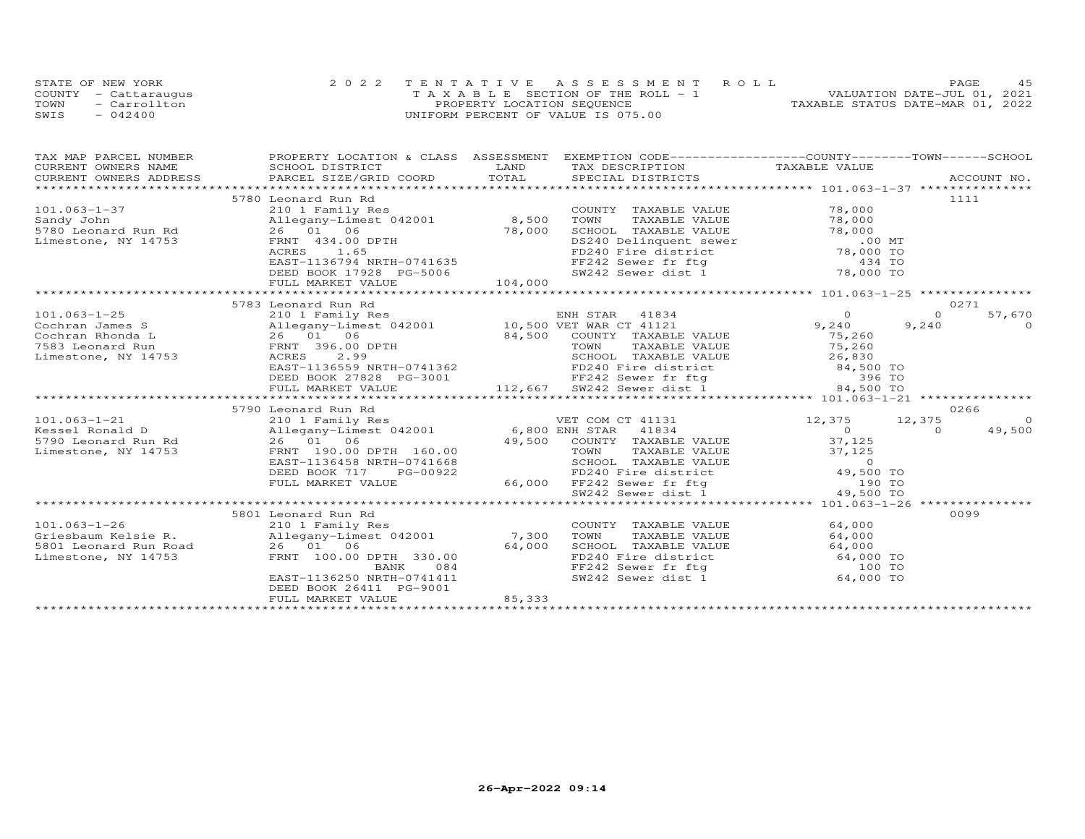|      | STATE OF NEW YORK    | 2022 TENTATIVE ASSESSMENT ROLL     | 4.5<br>PAGE.                     |
|------|----------------------|------------------------------------|----------------------------------|
|      | COUNTY - Cattaraugus | TAXABLE SECTION OF THE ROLL - 1    | VALUATION DATE-JUL 01, 2021      |
| TOWN | - Carrollton         | PROPERTY LOCATION SEQUENCE         | TAXABLE STATUS DATE-MAR 01, 2022 |
| SWIS | $-042400$            | UNIFORM PERCENT OF VALUE IS 075.00 |                                  |

| TAX MAP PARCEL NUMBER                   | PROPERTY LOCATION & CLASS ASSESSMENT EXEMPTION CODE----------------COUNTY-------TOWN-----SCHOOL                                                                                                                                                    |                                                                                                                                                                  |                      |                                                                                                                                                             |          |                    |
|-----------------------------------------|----------------------------------------------------------------------------------------------------------------------------------------------------------------------------------------------------------------------------------------------------|------------------------------------------------------------------------------------------------------------------------------------------------------------------|----------------------|-------------------------------------------------------------------------------------------------------------------------------------------------------------|----------|--------------------|
| CURRENT OWNERS NAME                     | SCHOOL DISTRICT                                                                                                                                                                                                                                    | LAND<br>TAX DESCRIPTION                                                                                                                                          |                      | TAXABLE VALUE                                                                                                                                               |          |                    |
| CURRENT OWNERS ADDRESS                  | .CURRENT OWNERS ADDRESS PARCEL SIZE/GRID COORD TOTAL SPECIAL DISTRICTS (ACCOUNT NO ACCOUNT NO ARCOUNT NO ARRENT                                                                                                                                    |                                                                                                                                                                  |                      |                                                                                                                                                             |          |                    |
|                                         |                                                                                                                                                                                                                                                    |                                                                                                                                                                  |                      |                                                                                                                                                             |          |                    |
|                                         | 5780 Leonard Run Rd                                                                                                                                                                                                                                |                                                                                                                                                                  |                      |                                                                                                                                                             |          | 1111               |
| $101.063 - 1 - 37$                      | 210 1 Family Res                                                                                                                                                                                                                                   |                                                                                                                                                                  | COUNTY TAXABLE VALUE | 78,000                                                                                                                                                      |          |                    |
| Sandy John                              | Allegany-Limest 042001 8,500                                                                                                                                                                                                                       | TOWN                                                                                                                                                             | TAXABLE VALUE        | 78,000                                                                                                                                                      |          |                    |
| 5780 Leonard Run Rd                     | 26 01 06                                                                                                                                                                                                                                           | 78,000                                                                                                                                                           | SCHOOL TAXABLE VALUE | 78,000                                                                                                                                                      |          |                    |
| Limestone, NY 14753                     | FRNT 434.00 DPTH                                                                                                                                                                                                                                   |                                                                                                                                                                  |                      | SCHOOL TAXABLE VALUE 78,000<br>DS240 Delinquent sewer 0.00 MT<br>FD240 Fire district 78,000 TO<br>FF242 Sewer fr ftg 434 TO<br>SW242 Sewer dist 1 78,000 TO |          |                    |
|                                         | ACRES 1.65                                                                                                                                                                                                                                         |                                                                                                                                                                  |                      |                                                                                                                                                             |          |                    |
|                                         | EAST-1136794 NRTH-0741635                                                                                                                                                                                                                          |                                                                                                                                                                  |                      |                                                                                                                                                             |          |                    |
|                                         | DEED BOOK 17928 PG-5006                                                                                                                                                                                                                            |                                                                                                                                                                  |                      |                                                                                                                                                             |          |                    |
|                                         | FULL MARKET VALUE                                                                                                                                                                                                                                  | 104,000                                                                                                                                                          |                      |                                                                                                                                                             |          |                    |
|                                         |                                                                                                                                                                                                                                                    |                                                                                                                                                                  |                      |                                                                                                                                                             |          | 0271               |
|                                         | 5783 Leonard Run Rd                                                                                                                                                                                                                                |                                                                                                                                                                  |                      | ENH STAR 41834 0<br>THE MAD CT 41121 9,240                                                                                                                  | $\Omega$ |                    |
| $101.063 - 1 - 25$                      |                                                                                                                                                                                                                                                    |                                                                                                                                                                  |                      |                                                                                                                                                             |          | 57,670<br>$\Omega$ |
| Cochran James S                         | Allegany-Limest 042<br>26 01 06<br>FRNT 396.00 DPTH                                                                                                                                                                                                |                                                                                                                                                                  |                      |                                                                                                                                                             | 9,240    |                    |
| Cochran Rhonda L                        |                                                                                                                                                                                                                                                    |                                                                                                                                                                  |                      | 75,260<br>75,260                                                                                                                                            |          |                    |
| 7583 Leonard Run<br>Limestone, NY 14753 |                                                                                                                                                                                                                                                    | 84,500 COUNTY TAXABLE VALUE<br>TOWN TAXABLE VALUE<br>SCHOOL TAXABLE VALUE                                                                                        |                      |                                                                                                                                                             |          |                    |
|                                         |                                                                                                                                                                                                                                                    |                                                                                                                                                                  |                      |                                                                                                                                                             |          |                    |
|                                         |                                                                                                                                                                                                                                                    |                                                                                                                                                                  |                      |                                                                                                                                                             |          |                    |
|                                         |                                                                                                                                                                                                                                                    |                                                                                                                                                                  |                      |                                                                                                                                                             |          |                    |
|                                         | ACRES 2.99<br>EAST-1136559 NRTH-0741362<br>DEED BOOK 27828 PG-3001<br>DEED BOOK 27828 PG-3001<br>TEPS 240 Fire district 84,500 TO<br>FE242 Sever dist 1<br>TULL MARKET VALUE<br>TULL MARKET VALUE<br>TULL MARKET VALUE<br>TULL MARKET VALUE<br>TUL |                                                                                                                                                                  |                      |                                                                                                                                                             |          |                    |
|                                         | 5790 Leonard Run Rd                                                                                                                                                                                                                                |                                                                                                                                                                  |                      |                                                                                                                                                             |          | 0266               |
| $101.063 - 1 - 21$                      |                                                                                                                                                                                                                                                    | VET COM CT 41131                                                                                                                                                 |                      | 12,375                                                                                                                                                      | 12,375   | $\overline{0}$     |
| Kessel Ronald D                         |                                                                                                                                                                                                                                                    |                                                                                                                                                                  |                      | $\overline{0}$                                                                                                                                              | $\Omega$ | 49,500             |
|                                         |                                                                                                                                                                                                                                                    | 49,500 COUNTY TAXABLE VALUE                                                                                                                                      |                      | 37,125                                                                                                                                                      |          |                    |
| Limestone, NY 14753                     |                                                                                                                                                                                                                                                    |                                                                                                                                                                  |                      |                                                                                                                                                             |          |                    |
|                                         | EAST-1136458 NRTH-0741668                                                                                                                                                                                                                          |                                                                                                                                                                  |                      |                                                                                                                                                             |          |                    |
|                                         | DEED BOOK 717<br>PG-00922                                                                                                                                                                                                                          |                                                                                                                                                                  |                      |                                                                                                                                                             |          |                    |
|                                         | FULL MARKET VALUE                                                                                                                                                                                                                                  |                                                                                                                                                                  |                      |                                                                                                                                                             |          |                    |
|                                         |                                                                                                                                                                                                                                                    | 1992<br>EXABLE VALUE 37,125<br>668 SCHOOL TAXABLE VALUE 37,125<br>922 FD240 Fire district 49,500 TO<br>66,000 FF242 Sewer fr ftg 190 TO<br>90 SW242 Sewer dist 1 |                      |                                                                                                                                                             |          |                    |
|                                         |                                                                                                                                                                                                                                                    |                                                                                                                                                                  |                      |                                                                                                                                                             |          |                    |
|                                         | 5801 Leonard Run Rd                                                                                                                                                                                                                                |                                                                                                                                                                  |                      |                                                                                                                                                             |          | 0099               |
| $101.063 - 1 - 26$                      | 210 1 Family Res                                                                                                                                                                                                                                   |                                                                                                                                                                  | COUNTY TAXABLE VALUE | 64,000                                                                                                                                                      |          |                    |
|                                         |                                                                                                                                                                                                                                                    | TOWN                                                                                                                                                             | TAXABLE VALUE        | 64,000                                                                                                                                                      |          |                    |
|                                         | Griesbaum Kelsie R. (1992) 210 and 26 01 06<br>5801 Leonard Run Road (26 01 06 64,000                                                                                                                                                              |                                                                                                                                                                  |                      | SCHOOL TAXABLE VALUE 64,000                                                                                                                                 |          |                    |
| Limestone, NY 14753                     | FRNT 100.00 DPTH 330.00                                                                                                                                                                                                                            |                                                                                                                                                                  |                      |                                                                                                                                                             |          |                    |
|                                         | 084<br>BANK                                                                                                                                                                                                                                        |                                                                                                                                                                  |                      | FD240 Fire district 64,000 TO<br>FF242 Sewer fr ftg 100 TO<br>SW242 Sewer dist 1 64,000 TO                                                                  |          |                    |
|                                         | EAST-1136250 NRTH-0741411                                                                                                                                                                                                                          |                                                                                                                                                                  |                      |                                                                                                                                                             |          |                    |
|                                         | DEED BOOK 26411 PG-9001                                                                                                                                                                                                                            |                                                                                                                                                                  |                      |                                                                                                                                                             |          |                    |
|                                         | FULL MARKET VALUE                                                                                                                                                                                                                                  | 85,333                                                                                                                                                           |                      |                                                                                                                                                             |          |                    |
|                                         |                                                                                                                                                                                                                                                    |                                                                                                                                                                  |                      |                                                                                                                                                             |          |                    |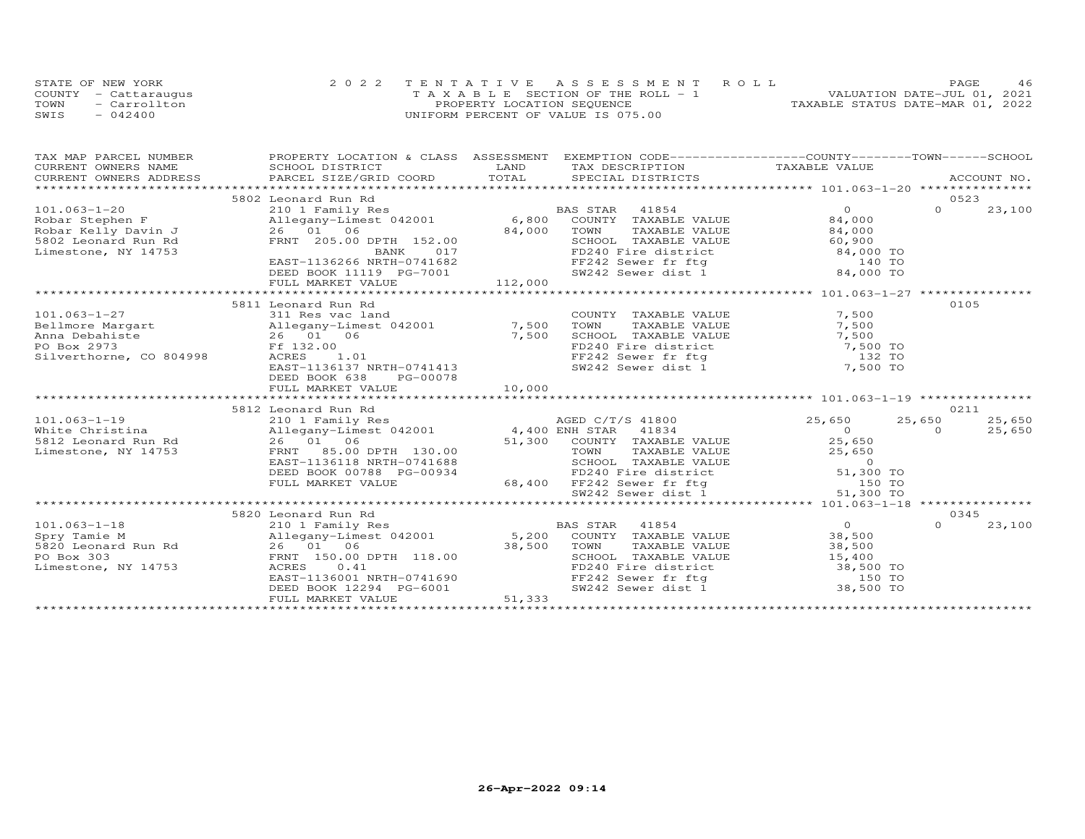| STATE OF NEW YORK    | 2022 TENTATIVE ASSESSMENT ROLL        |                            |  |                                  | <b>PAGE</b>                 | 46 |
|----------------------|---------------------------------------|----------------------------|--|----------------------------------|-----------------------------|----|
| COUNTY - Cattaraugus | T A X A B L E SECTION OF THE ROLL - 1 |                            |  |                                  | VALUATION DATE-JUL 01, 2021 |    |
| TOWN<br>- Carrollton |                                       | PROPERTY LOCATION SEQUENCE |  | TAXABLE STATUS DATE-MAR 01, 2022 |                             |    |
| $-042400$<br>SWIS    | UNIFORM PERCENT OF VALUE IS 075.00    |                            |  |                                  |                             |    |

| TAX MAP PARCEL NUMBER                                         |                                                                                                                                                                                                                                |                                                                                                                                                                                                                                                                                                                                                                                                                                                                                                                                    | PROPERTY LOCATION & CLASS ASSESSMENT EXEMPTION CODE----------------COUNTY-------TOWN------SCHOOL |
|---------------------------------------------------------------|--------------------------------------------------------------------------------------------------------------------------------------------------------------------------------------------------------------------------------|------------------------------------------------------------------------------------------------------------------------------------------------------------------------------------------------------------------------------------------------------------------------------------------------------------------------------------------------------------------------------------------------------------------------------------------------------------------------------------------------------------------------------------|--------------------------------------------------------------------------------------------------|
|                                                               |                                                                                                                                                                                                                                |                                                                                                                                                                                                                                                                                                                                                                                                                                                                                                                                    |                                                                                                  |
|                                                               |                                                                                                                                                                                                                                |                                                                                                                                                                                                                                                                                                                                                                                                                                                                                                                                    |                                                                                                  |
|                                                               |                                                                                                                                                                                                                                |                                                                                                                                                                                                                                                                                                                                                                                                                                                                                                                                    |                                                                                                  |
|                                                               | 5802 Leonard Run Rd                                                                                                                                                                                                            |                                                                                                                                                                                                                                                                                                                                                                                                                                                                                                                                    | 0523<br>$\overline{0}$                                                                           |
| $101.063 - 1 - 20$                                            | 210 1 Family Res<br>Allegany-Limest 042001 6,800                                                                                                                                                                               | BAS STAR 41854                                                                                                                                                                                                                                                                                                                                                                                                                                                                                                                     | $\Omega$<br>23,100                                                                               |
|                                                               |                                                                                                                                                                                                                                |                                                                                                                                                                                                                                                                                                                                                                                                                                                                                                                                    |                                                                                                  |
| Robar Stephen F<br>Robar Kelly Davin J<br>5802 Leonard Run Rd | 26 01 06                                                                                                                                                                                                                       | COUNTY TAXABLE VALUE 84,000<br>TOWN TAXABLE VALUE 84,000<br>SCHOOL TAXABLE VALUE 60,900<br>84,000                                                                                                                                                                                                                                                                                                                                                                                                                                  |                                                                                                  |
|                                                               | FRNT 205.00 DPTH 152.00                                                                                                                                                                                                        |                                                                                                                                                                                                                                                                                                                                                                                                                                                                                                                                    |                                                                                                  |
| Limestone, NY 14753                                           | 017<br>BANK                                                                                                                                                                                                                    |                                                                                                                                                                                                                                                                                                                                                                                                                                                                                                                                    |                                                                                                  |
|                                                               | EAST-1136266 NRTH-0741682                                                                                                                                                                                                      |                                                                                                                                                                                                                                                                                                                                                                                                                                                                                                                                    |                                                                                                  |
|                                                               | DEED BOOK 11119 PG-7001                                                                                                                                                                                                        | EXERICAT MARKER VALUE 34,000<br>FD240 Fire district 60,900<br>FD240 Fire district 84,000 TO<br>FF242 Sewer fr ftg 140 TO<br>SW242 Sewer dist 1 34,000 TO<br>112,000                                                                                                                                                                                                                                                                                                                                                                |                                                                                                  |
|                                                               | FULL MARKET VALUE                                                                                                                                                                                                              | *******************                                                                                                                                                                                                                                                                                                                                                                                                                                                                                                                | ********************* 101.063-1-27 ***************                                               |
|                                                               | 5811 Leonard Run Rd                                                                                                                                                                                                            |                                                                                                                                                                                                                                                                                                                                                                                                                                                                                                                                    | 0105                                                                                             |
| $101.063 - 1 - 27$                                            |                                                                                                                                                                                                                                |                                                                                                                                                                                                                                                                                                                                                                                                                                                                                                                                    |                                                                                                  |
|                                                               | 311 Res vac land                                                                                                                                                                                                               | COUNTY TAXABLE VALUE<br>TAXABLE VALUE                                                                                                                                                                                                                                                                                                                                                                                                                                                                                              | 7,500                                                                                            |
|                                                               |                                                                                                                                                                                                                                |                                                                                                                                                                                                                                                                                                                                                                                                                                                                                                                                    | 7,500                                                                                            |
|                                                               |                                                                                                                                                                                                                                |                                                                                                                                                                                                                                                                                                                                                                                                                                                                                                                                    |                                                                                                  |
|                                                               | x 2911 and 2001<br>Anna Debahiste 26 01 06 7,500 COWN<br>Anna Debahiste 26 01 06 7,500 SCHOO<br>PO Box 2973 Ff 132.00 FD240<br>Silverthorne, CO 804998 ACRES 1.01 FF242                                                        |                                                                                                                                                                                                                                                                                                                                                                                                                                                                                                                                    |                                                                                                  |
|                                                               | EAST-1136137 NRTH-0741413                                                                                                                                                                                                      | SCHOOL TAXABLE VALUE 7,500<br>FD240 Fire district 7,500 TO<br>FF242 Sewer fr ftg 132 TO<br>SW242 Sewer dist 1 7,500 TO                                                                                                                                                                                                                                                                                                                                                                                                             |                                                                                                  |
|                                                               | DEED BOOK 638                                                                                                                                                                                                                  |                                                                                                                                                                                                                                                                                                                                                                                                                                                                                                                                    |                                                                                                  |
|                                                               | PG-00078<br>FULL MARKET VALUE                                                                                                                                                                                                  | 10,000                                                                                                                                                                                                                                                                                                                                                                                                                                                                                                                             |                                                                                                  |
|                                                               |                                                                                                                                                                                                                                |                                                                                                                                                                                                                                                                                                                                                                                                                                                                                                                                    |                                                                                                  |
|                                                               |                                                                                                                                                                                                                                |                                                                                                                                                                                                                                                                                                                                                                                                                                                                                                                                    | 0211                                                                                             |
|                                                               | Notice the Christina and the Christina and the Magnus of the Magnus and the Magnus and the Magnus and the Magnus and the Magnus of the Magnus of the Magnus of the Magnus of the Magnus of the Magnus of the Magnus of the Mag | AGED C/T/S 41800                                                                                                                                                                                                                                                                                                                                                                                                                                                                                                                   | 25,650<br>25,650<br>25,650                                                                       |
|                                                               |                                                                                                                                                                                                                                |                                                                                                                                                                                                                                                                                                                                                                                                                                                                                                                                    | $\overline{0}$<br>$\Omega$<br>25,650                                                             |
|                                                               |                                                                                                                                                                                                                                | 51,300 COUNTY TAXABLE VALUE 25,650                                                                                                                                                                                                                                                                                                                                                                                                                                                                                                 |                                                                                                  |
|                                                               |                                                                                                                                                                                                                                |                                                                                                                                                                                                                                                                                                                                                                                                                                                                                                                                    |                                                                                                  |
|                                                               | EAST-1136118 NRTH-0741688                                                                                                                                                                                                      |                                                                                                                                                                                                                                                                                                                                                                                                                                                                                                                                    |                                                                                                  |
|                                                               | DEED BOOK 00788 PG-00934                                                                                                                                                                                                       |                                                                                                                                                                                                                                                                                                                                                                                                                                                                                                                                    |                                                                                                  |
|                                                               | FULL MARKET VALUE                                                                                                                                                                                                              |                                                                                                                                                                                                                                                                                                                                                                                                                                                                                                                                    |                                                                                                  |
|                                                               |                                                                                                                                                                                                                                | 130.00 $TONN$ TAXABLE VALUE 25,650<br>9741688 SCHOOL TAXABLE VALUE 25,650<br>5-00934 FD240 Fire district 51,300 TO<br>68,400 FF242 Sewer dist                                                                                                                                                                                                                                                                                                                                                                                      |                                                                                                  |
|                                                               |                                                                                                                                                                                                                                |                                                                                                                                                                                                                                                                                                                                                                                                                                                                                                                                    |                                                                                                  |
|                                                               |                                                                                                                                                                                                                                |                                                                                                                                                                                                                                                                                                                                                                                                                                                                                                                                    | 0345                                                                                             |
|                                                               |                                                                                                                                                                                                                                |                                                                                                                                                                                                                                                                                                                                                                                                                                                                                                                                    | $\overline{O}$<br>$\Omega$<br>23,100                                                             |
|                                                               |                                                                                                                                                                                                                                |                                                                                                                                                                                                                                                                                                                                                                                                                                                                                                                                    | 38,500                                                                                           |
|                                                               |                                                                                                                                                                                                                                |                                                                                                                                                                                                                                                                                                                                                                                                                                                                                                                                    | 38,500                                                                                           |
|                                                               |                                                                                                                                                                                                                                |                                                                                                                                                                                                                                                                                                                                                                                                                                                                                                                                    |                                                                                                  |
| Limestone, NY 14753                                           | ACRES<br>0.41                                                                                                                                                                                                                  | ${\small \begin{tabular}{lcccc} 101.063-1-18 & 5820\text{ Leonard Run Rd} & 5820\text{ Leonard Run Rd} \\ \text{Spy Tame M} & 2101\text{ Family Res} & 5,200\text{ COUNTY TAXABLE VALUE} \\ \text{Spy Tame M} & 26 & 1063-1\text{CUNT} \\ \text{PQ Box 303} & 26 & 1066-1\text{CUNT} \\ \text{PQ Box 303} & 5,200\text{ DUMN} & 38,500\text{ TOWN} \\ \text{Limesstone, NY 14753} & 41854\text{CAL$<br>SCHOOL TAXABLE VALUE $15,400$<br>FD240 Fire district 38,500 TO<br>FF242 Sewer fr ftg 150 TO<br>SW242 Sewer dist 1 38,500 TO |                                                                                                  |
|                                                               | EAST-1136001 NRTH-0741690                                                                                                                                                                                                      |                                                                                                                                                                                                                                                                                                                                                                                                                                                                                                                                    |                                                                                                  |
|                                                               |                                                                                                                                                                                                                                |                                                                                                                                                                                                                                                                                                                                                                                                                                                                                                                                    |                                                                                                  |
|                                                               | DEED BOOK 12294 PG-6001<br>FULL MARKET VALUE 51,33<br>FULL MARKET VALUE                                                                                                                                                        | 51,333                                                                                                                                                                                                                                                                                                                                                                                                                                                                                                                             |                                                                                                  |
|                                                               |                                                                                                                                                                                                                                |                                                                                                                                                                                                                                                                                                                                                                                                                                                                                                                                    |                                                                                                  |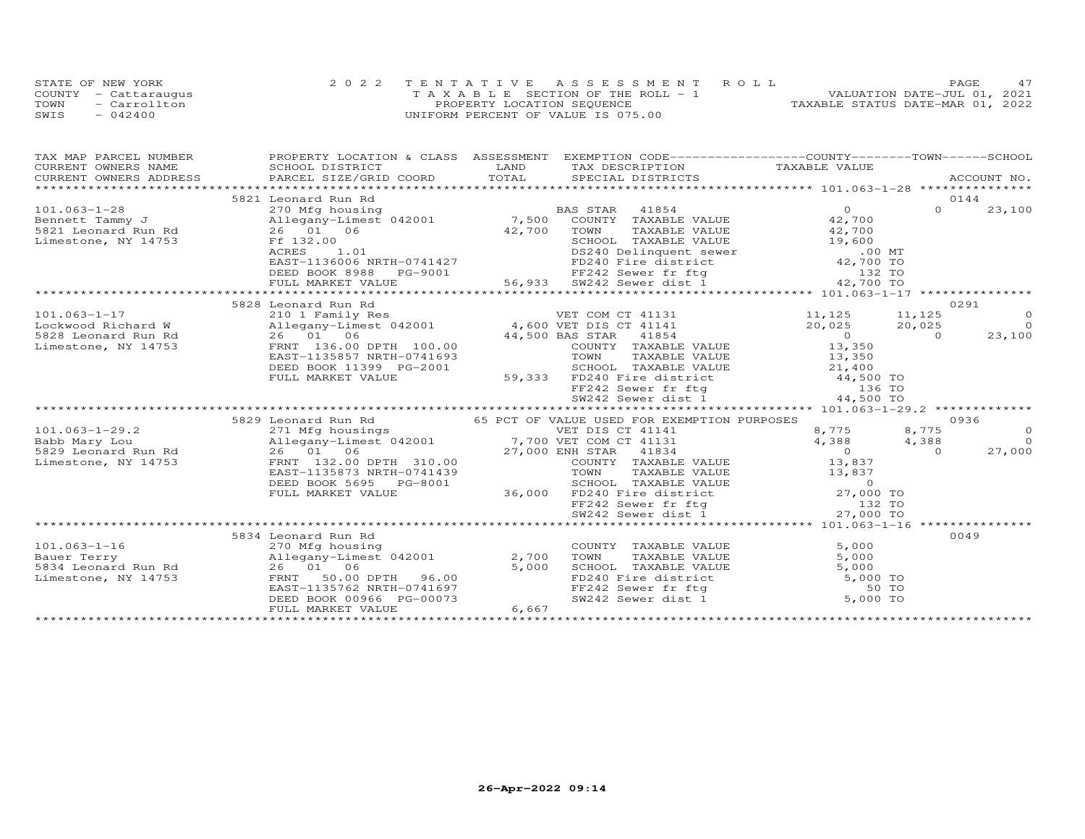| STATE OF NEW YORK    | 2022 TENTATIVE ASSESSMENT ROLL        |  |                                  | PAGE.                       |  |
|----------------------|---------------------------------------|--|----------------------------------|-----------------------------|--|
| COUNTY - Cattaraugus | T A X A B L E SECTION OF THE ROLL - 1 |  |                                  | VALUATION DATE-JUL 01, 2021 |  |
| TOWN<br>- Carrollton | PROPERTY LOCATION SEQUENCE            |  | TAXABLE STATUS DATE-MAR 01, 2022 |                             |  |
| $-042400$<br>SWIS    | UNIFORM PERCENT OF VALUE IS 075.00    |  |                                  |                             |  |

| TAX MAP PARCEL NUMBER                 | PROPERTY LOCATION & CLASS ASSESSMENT EXEMPTION CODE----------------COUNTY-------TOWN------SCHOOL                                                                                                                                             |       |                                                                                                                                             |                           |          |                |
|---------------------------------------|----------------------------------------------------------------------------------------------------------------------------------------------------------------------------------------------------------------------------------------------|-------|---------------------------------------------------------------------------------------------------------------------------------------------|---------------------------|----------|----------------|
|                                       |                                                                                                                                                                                                                                              |       |                                                                                                                                             |                           |          |                |
|                                       |                                                                                                                                                                                                                                              |       |                                                                                                                                             |                           |          |                |
|                                       |                                                                                                                                                                                                                                              |       |                                                                                                                                             |                           |          |                |
|                                       | 5821 Leonard Run Rd                                                                                                                                                                                                                          |       |                                                                                                                                             |                           | $\Omega$ | 0144           |
| $101.063 - 1 - 28$<br>Bennett Tammy J | 270 Mfg housing                                                                                                                                                                                                                              |       |                                                                                                                                             | 0<br>$42,700$<br>$42,700$ |          | 23,100         |
| 5821 Leonard Run Rd                   | Allegany-Limest 042001<br>26 01 06                                                                                                                                                                                                           |       | TAXABLE VALUE                                                                                                                               |                           |          |                |
| Limestone, NY 14753                   | Ff 132.00                                                                                                                                                                                                                                    |       | BAS STAR 41854<br>7,500 COUNTY TAXABLE VALUE<br>42,700 TOWN TAXABLE VALUE<br>SCHOOL TAXABLE VALUE                                           | 19,600                    |          |                |
|                                       | F1 132.000<br>ACRES 1.01<br>EAST-1136006 NRTH-0741427                                                                                                                                                                                        |       |                                                                                                                                             |                           |          |                |
|                                       |                                                                                                                                                                                                                                              |       |                                                                                                                                             |                           |          |                |
|                                       |                                                                                                                                                                                                                                              |       |                                                                                                                                             |                           |          |                |
|                                       |                                                                                                                                                                                                                                              |       |                                                                                                                                             |                           |          |                |
|                                       | mestone, NY 14/53<br>ACRES 1.01<br>EAST-1136006 NRTH-0741427<br>EED BOOK 8988 PG-9001<br>FULL MARKET VALUE 56,933 SW242 Sewer dist 1 42,700 TO<br>FULL MARKET VALUE 56,933 SW242 Sewer dist 1 42,700 TO<br>*******************************   |       |                                                                                                                                             |                           |          |                |
|                                       | 5828 Leonard Run Rd                                                                                                                                                                                                                          |       |                                                                                                                                             |                           |          | 0291           |
| $101.063 - 1 - 17$                    | Leonard Kun Ku<br>21,125 11,125 11,125<br>20,025 20,025 11,125 11,125<br>20,025 20,025 20,025<br>20,025 20,025 20,025<br>20,025 20,025<br>FRNT 136.00 DPTH 100.00 44,500 BAS STAR 41854 0<br>FRNT 136.00 DPTH 100.00 COUNTY TAXABLE VALUE 13 |       |                                                                                                                                             |                           |          | $\circ$        |
| Lockwood Richard W                    |                                                                                                                                                                                                                                              |       |                                                                                                                                             |                           |          | $\overline{O}$ |
| 5828 Leonard Run Rd                   |                                                                                                                                                                                                                                              |       |                                                                                                                                             |                           |          | 23,100         |
| Limestone, NY 14753                   |                                                                                                                                                                                                                                              |       |                                                                                                                                             |                           |          |                |
|                                       |                                                                                                                                                                                                                                              |       |                                                                                                                                             |                           |          |                |
|                                       | DEED BOOK 11399 PG-2001                                                                                                                                                                                                                      |       |                                                                                                                                             |                           |          |                |
|                                       | FULL MARKET VALUE                                                                                                                                                                                                                            |       |                                                                                                                                             |                           |          |                |
|                                       |                                                                                                                                                                                                                                              |       | SOHOOL TAXABLE VALUE<br>59,333 FD240 Fire district<br>FF242 Sewer fr ftg 136 TO<br>SW242 Sewer dist 1 44,500 TO                             |                           |          |                |
|                                       |                                                                                                                                                                                                                                              |       |                                                                                                                                             |                           |          |                |
|                                       | 5829 Leonard Run Rd                                                                                                                                                                                                                          |       | 65 PCT OF VALUE USED FOR EXEMPTION PURPOSES                                                                                                 |                           |          | 0936           |
|                                       | 101.063-1-29.2<br>Babb Mary Lou allegany-Limest 042001<br>5829 Leonard Run Rd 26 01 06<br>Limestone, NY 14753<br>27,000 ENH STAR 41834<br>27,000 ENH STAR 41834<br>27,000 ENH STAR 41834<br>COUNTY TAXABLE                                   |       |                                                                                                                                             | 8,775                     | 8,775    | $\circ$        |
|                                       |                                                                                                                                                                                                                                              |       |                                                                                                                                             | 4,388                     | 4,388    | $\Omega$       |
|                                       |                                                                                                                                                                                                                                              |       |                                                                                                                                             | $\overline{0}$            | $\Omega$ | 27,000         |
|                                       |                                                                                                                                                                                                                                              |       | COUNTY TAXABLE VALUE 13,837                                                                                                                 |                           |          |                |
|                                       | EAST-1135873 NRTH-0741439                                                                                                                                                                                                                    |       |                                                                                                                                             |                           |          |                |
|                                       | DEED BOOK 5695 PG-8001                                                                                                                                                                                                                       |       |                                                                                                                                             |                           |          |                |
|                                       | FULL MARKET VALUE                                                                                                                                                                                                                            |       |                                                                                                                                             |                           |          |                |
|                                       |                                                                                                                                                                                                                                              |       | 11439 TOWN TAXABLE VALUE 13,837<br>3001 SCHOOL TAXABLE VALUE 13,837<br>36,000 FD240 Fere district 27,000 TO<br>SW242 Sewer dist 1 27,000 TO |                           |          |                |
|                                       |                                                                                                                                                                                                                                              |       |                                                                                                                                             |                           |          |                |
|                                       |                                                                                                                                                                                                                                              |       |                                                                                                                                             |                           |          |                |
|                                       | 5834 Leonard Run Rd                                                                                                                                                                                                                          |       |                                                                                                                                             |                           |          | 0049           |
| $101.063 - 1 - 16$                    | 270 Mfg housing                                                                                                                                                                                                                              |       | COUNTY TAXABLE VALUE                                                                                                                        | 5,000                     |          |                |
| Bauer Terry                           | Allegany-Limest 042001                                                                                                                                                                                                                       | 2,700 | TOWN<br>TAXABLE VALUE                                                                                                                       | 5,000                     |          |                |
| 5834 Leonard Run Rd                   | $26 \t 01 \t 06$                                                                                                                                                                                                                             | 5,000 |                                                                                                                                             |                           |          |                |
| Limestone, NY 14753                   | FRNT 50.00 DPTH 96.00<br>EAST-1135762 NRTH-0741697                                                                                                                                                                                           |       | SCHOOL TAXABLE VALUE 5,000<br>FD240 Fire district 5,000 TO<br>FF242 Sewer fr ftg 50 TO<br>SW242 Sewer dist 1 5,000 TO                       |                           |          |                |
|                                       | DEED BOOK 00966 PG-00073                                                                                                                                                                                                                     |       |                                                                                                                                             |                           |          |                |
|                                       | FULL MARKET VALUE                                                                                                                                                                                                                            | 6,667 |                                                                                                                                             |                           |          |                |
|                                       |                                                                                                                                                                                                                                              |       |                                                                                                                                             |                           |          |                |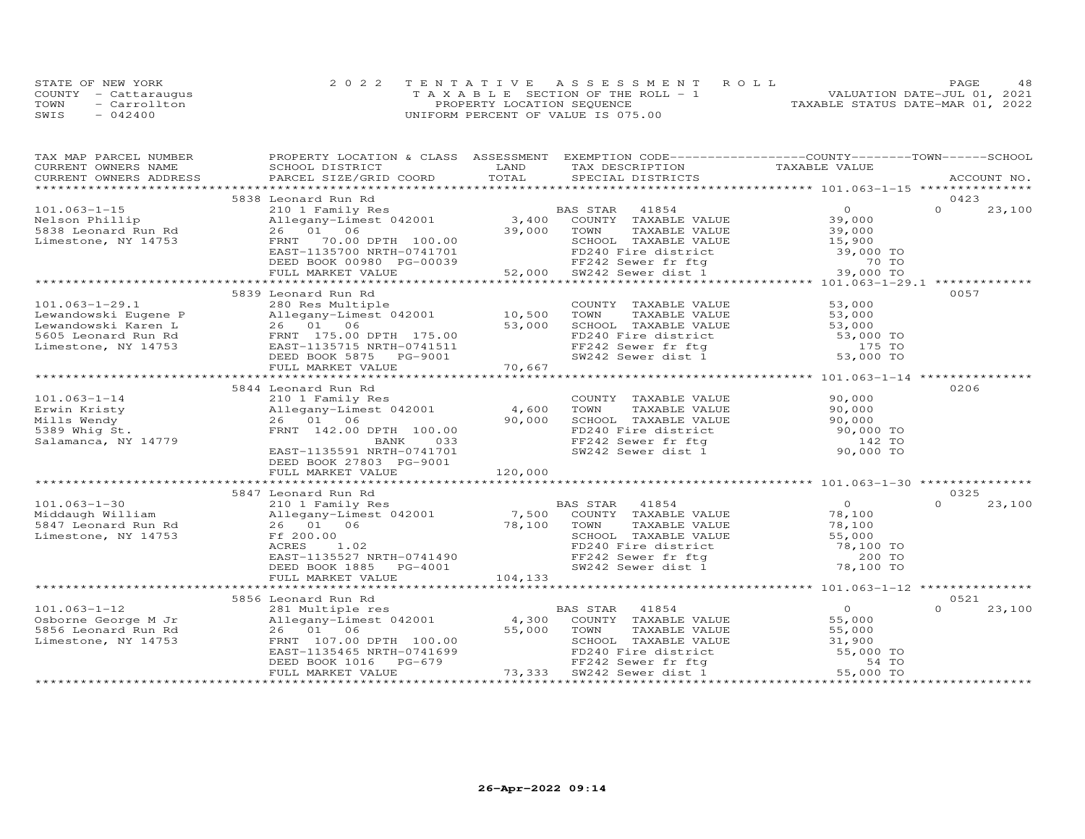|      | STATE OF NEW YORK    | 2022 TENTATIVE ASSESSMENT ROLL        | 48<br>PAGE.                      |
|------|----------------------|---------------------------------------|----------------------------------|
|      | COUNTY - Cattarauqus | T A X A B L E SECTION OF THE ROLL - 1 | VALUATION DATE-JUL 01, 2021      |
| TOWN | - Carrollton         | PROPERTY LOCATION SEQUENCE            | TAXABLE STATUS DATE-MAR 01, 2022 |
| SWIS | $-042400$            | UNIFORM PERCENT OF VALUE IS 075.00    |                                  |

| TAX MAP PARCEL NUMBER  | PROPERTY LOCATION & CLASS ASSESSMENT EXEMPTION CODE----------------COUNTY-------TOWN------SCHOOL |                 |                                                                                                                    |                      |          |             |
|------------------------|--------------------------------------------------------------------------------------------------|-----------------|--------------------------------------------------------------------------------------------------------------------|----------------------|----------|-------------|
| CURRENT OWNERS NAME    | SCHOOL DISTRICT                                                                                  | LAND            | TAX DESCRIPTION TAXABLE VALUE                                                                                      |                      |          |             |
| CURRENT OWNERS ADDRESS | PARCEL SIZE/GRID COORD                                                                           | TOTAL           | SPECIAL DISTRICTS                                                                                                  |                      |          | ACCOUNT NO. |
|                        |                                                                                                  |                 |                                                                                                                    |                      |          |             |
|                        | 5838 Leonard Run Rd                                                                              |                 |                                                                                                                    |                      | 0423     |             |
| $101.063 - 1 - 15$     | 210 1 Family Res                                                                                 |                 | 41854<br>BAS STAR                                                                                                  | $\overline{O}$       | $\Omega$ | 23,100      |
| Nelson Phillip         | 210 1 Family Res<br>Allegany-Limest 042001                                                       | 3,400           | COUNTY TAXABLE VALUE                                                                                               | 39,000               |          |             |
| 5838 Leonard Run Rd    | 26 01 06                                                                                         | 39,000          | TOWN<br>TAXABLE VALUE                                                                                              | 39,000               |          |             |
| Limestone, NY 14753    | 70.00 DPTH 100.00                                                                                |                 | SCHOOL TAXABLE VALUE                                                                                               | $39,000$<br>$15,900$ |          |             |
|                        |                                                                                                  |                 |                                                                                                                    |                      |          |             |
|                        |                                                                                                  |                 |                                                                                                                    |                      |          |             |
|                        |                                                                                                  |                 | FD240 Fire district 59,000 TO<br>FF242 Sewer fr ftg 70 TO<br>SW242 Sewer dist 1 39,000 TO                          |                      |          |             |
|                        |                                                                                                  |                 |                                                                                                                    |                      |          |             |
|                        | 5839 Leonard Run Rd                                                                              |                 |                                                                                                                    |                      | 0057     |             |
| $101.063 - 1 - 29.1$   | 280 Res Multiple                                                                                 |                 | COUNTY TAXABLE VALUE                                                                                               | 53,000               |          |             |
| Lewandowski Eugene P   | Allegany-Limest 042001                                                                           | 10,500          | TOWN<br>TAXABLE VALUE                                                                                              | 53,000               |          |             |
| Lewandowski Karen L    | 26 01 06                                                                                         | 53,000          | SCHOOL TAXABLE VALUE                                                                                               | 53,000               |          |             |
| 5605 Leonard Run Rd    | FRNT 175.00 DPTH 175.00                                                                          |                 |                                                                                                                    | 53,000 TO            |          |             |
| Limestone, NY 14753    | EAST-1135715 NRTH-0741511                                                                        |                 | FD240 Fire district<br>FF242 Sewer fr ftg                                                                          | 175 TO               |          |             |
|                        | DEED BOOK 5875 PG-9001                                                                           |                 | SW242 Sewer dist $1$                                                                                               | 53,000 TO            |          |             |
|                        | FULL MARKET VALUE                                                                                | 70,667          |                                                                                                                    |                      |          |             |
|                        |                                                                                                  |                 |                                                                                                                    |                      |          |             |
|                        | 5844 Leonard Run Rd                                                                              |                 |                                                                                                                    |                      | 0206     |             |
|                        |                                                                                                  |                 |                                                                                                                    | 90,000               |          |             |
| $101.063 - 1 - 14$     | 210 1 Family Res<br>Allegany-Limest 042001                                                       | 4,600           | COUNTY TAXABLE VALUE                                                                                               |                      |          |             |
| Erwin Kristy           | 26 01 06                                                                                         |                 | TOWN<br>TAXABLE VALUE                                                                                              | 90,000               |          |             |
| Mills Wendy            |                                                                                                  | 90,000          | SCHOOL TAXABLE VALUE<br>SCHOOL IAAADDE VADOU<br>FD240 Fire district 6 90,000 TO<br>TELAL COULT fr fta 142 TO       | 90,000               |          |             |
| 5389 Whig St.          | FRNT 142.00 DPTH 100.00                                                                          |                 |                                                                                                                    |                      |          |             |
| Salamanca, NY 14779    | 033<br>BANK                                                                                      |                 | FF242 Sewer fr ftg                                                                                                 |                      |          |             |
|                        | EAST-1135591 NRTH-0741701                                                                        |                 | SW242 Sewer dist 1                                                                                                 | 90,000 TO            |          |             |
|                        | DEED BOOK 27803 PG-9001                                                                          |                 |                                                                                                                    |                      |          |             |
|                        | FULL MARKET VALUE                                                                                | 120,000         |                                                                                                                    |                      |          |             |
|                        |                                                                                                  |                 |                                                                                                                    |                      |          |             |
|                        | 5847 Leonard Run Rd                                                                              |                 |                                                                                                                    |                      | 0325     |             |
| $101.063 - 1 - 30$     | 210 1 Family Res                                                                                 |                 | BAS STAR<br>41854                                                                                                  | $\overline{0}$       | $\Omega$ | 23,100      |
| Middaugh William       | Allegany-Limest 042001<br>Allegany-L<br>26 01                                                    | 7,500<br>78,100 | COUNTY TAXABLE VALUE                                                                                               | 78,100               |          |             |
| 5847 Leonard Run Rd    | 06                                                                                               |                 | TAXABLE VALUE<br>TOWN                                                                                              | 78,100               |          |             |
| Limestone, NY 14753    | Ff 200.00                                                                                        |                 |                                                                                                                    | 55,000               |          |             |
|                        | ACRES<br>1.02                                                                                    |                 | SCHOOL TAXABLE VALUE<br>FD240 Fire district                                                                        | 78,100 TO            |          |             |
|                        | EAST-1135527 NRTH-0741490                                                                        |                 | FF242 Sewer fr ftg                                                                                                 | 200 TO               |          |             |
|                        | DEED BOOK 1885<br>PG-4001                                                                        |                 | SW242 Sewer dist 1                                                                                                 | 78,100 TO            |          |             |
|                        | FULL MARKET VALUE                                                                                | 104,133         |                                                                                                                    |                      |          |             |
|                        |                                                                                                  |                 |                                                                                                                    |                      |          |             |
|                        | 5856 Leonard Run Rd                                                                              |                 |                                                                                                                    |                      | 0521     |             |
| $101.063 - 1 - 12$     | 281 Multiple res<br>Allegany-Limest 042001                                                       |                 | <b>BAS STAR</b><br>41854                                                                                           | $\overline{0}$       | $\Omega$ | 23,100      |
| Osborne George M Jr    |                                                                                                  | 4,300           | COUNTY TAXABLE VALUE                                                                                               | 55,000               |          |             |
| 5856 Leonard Run Rd    | 26 01 06                                                                                         | 55,000          | TOWN<br>TAXABLE VALUE                                                                                              |                      |          |             |
| Limestone, NY 14753    |                                                                                                  |                 | SCHOOL TAXABLE VALUE                                                                                               | 55,000<br>31,900     |          |             |
|                        | FRNT 107.00 DPTH 100.00<br>EAST-1135465 NRTH-0741699<br>DEED BOOK 1016 PG-679<br>THI WILL WILL   |                 | SCHOOL TAXABLE VALUE 31,900<br>FD240 Fire district 55,000 TO<br>FF242 Sewer fr ftg<br>SW242 Sewer dist 1 55,000 TO |                      |          |             |
|                        |                                                                                                  |                 |                                                                                                                    |                      |          |             |
|                        | FULL MARKET VALUE                                                                                | 73,333          |                                                                                                                    |                      |          |             |
|                        |                                                                                                  |                 |                                                                                                                    |                      |          |             |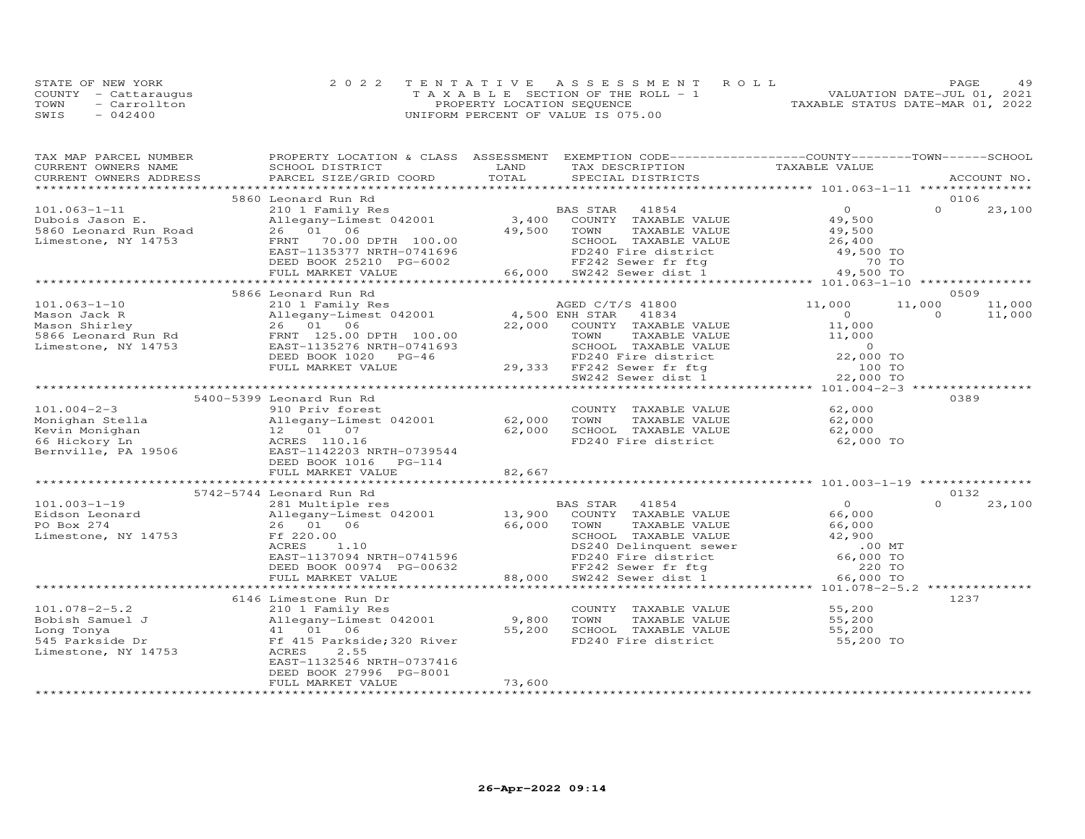|      | STATE OF NEW YORK    | 2022 TENTATIVE ASSESSMENT ROLL        | PAGE.                            | 49 |
|------|----------------------|---------------------------------------|----------------------------------|----|
|      | COUNTY - Cattaraugus | T A X A B L E SECTION OF THE ROLL - 1 | VALUATION DATE-JUL 01, 2021      |    |
| TOWN | - Carrollton         | PROPERTY LOCATION SEQUENCE            | TAXABLE STATUS DATE-MAR 01, 2022 |    |
| SWIS | $-042400$            | UNIFORM PERCENT OF VALUE IS 075.00    |                                  |    |

| TAX MAP PARCEL NUMBER                | PROPERTY LOCATION & CLASS ASSESSMENT EXEMPTION CODE----------------COUNTY-------TOWN------SCHOOL |        |                                                                                                                 |                                                |                    |  |
|--------------------------------------|--------------------------------------------------------------------------------------------------|--------|-----------------------------------------------------------------------------------------------------------------|------------------------------------------------|--------------------|--|
| CURRENT OWNERS NAME                  | SCHOOL DISTRICT                                                                                  | LAND   | TAX DESCRIPTION                                                                                                 | TAXABLE VALUE                                  |                    |  |
| CURRENT OWNERS ADDRESS               | PARCEL SIZE/GRID COORD                                                                           | TOTAL  | SPECIAL DISTRICTS                                                                                               |                                                | ACCOUNT NO.        |  |
|                                      |                                                                                                  |        |                                                                                                                 |                                                |                    |  |
| $101.063 - 1 - 11$                   | 5860 Leonard Run Rd                                                                              |        | 41854                                                                                                           | $\Omega$                                       | 0106<br>$\Omega$   |  |
|                                      | 210 1 Family Res<br>Allegany-Limest 042001 3,400                                                 |        | BAS STAR                                                                                                        |                                                | 23,100             |  |
| Dubois Jason E.                      | 26 01 06                                                                                         | 49,500 | COUNTY TAXABLE VALUE                                                                                            | 49,500                                         |                    |  |
| 5860 Leonard Run Road                |                                                                                                  |        | TOWN<br>TAXABLE VALUE                                                                                           | 49,500                                         |                    |  |
| Limestone, NY 14753                  | 70.00 DPTH 100.00<br>FRNT                                                                        |        | SCHOOL TAXABLE VALUE                                                                                            | 26,400<br>49,500 TO                            |                    |  |
|                                      | EAST-1135377 NRTH-0741696<br>DEED BOOK 25210 PG-6002                                             |        |                                                                                                                 |                                                |                    |  |
|                                      | FULL MARKET VALUE                                                                                |        | 0741696 FD240 Fire district 49,500 TO<br>G-6002 FF242 Sewer fr ftg 70 TO<br>66,000 SW242 Sewer dist 1 49,500 TO |                                                |                    |  |
|                                      |                                                                                                  |        |                                                                                                                 |                                                |                    |  |
|                                      | 5866 Leonard Run Rd                                                                              |        |                                                                                                                 |                                                | 0509               |  |
| $101.063 - 1 - 10$                   | 210 1 Family Res                                                                                 |        | AGED C/T/S 41800                                                                                                | 11,000                                         | 11,000<br>11,000   |  |
| Mason Jack R                         | Allegany-Limest 042001 4,500 ENH STAR                                                            |        | 41834                                                                                                           | $\overline{0}$                                 | $\Omega$<br>11,000 |  |
| Mason Shirley                        | 26 01 06                                                                                         |        | 22,000 COUNTY TAXABLE VALUE                                                                                     | 11,000                                         |                    |  |
| nason Shirrey<br>5866 Leonard Run Rd | FRNT 125.00 DPTH 100.00                                                                          |        | TOWN<br>TAXABLE VALUE                                                                                           | 11,000                                         |                    |  |
| Limestone, NY 14753                  | EAST-1135276 NRTH-0741693                                                                        |        | SCHOOL TAXABLE VALUE                                                                                            |                                                |                    |  |
|                                      | DEED BOOK 1020 PG-46                                                                             |        | FD240 Fire district                                                                                             | $22,000$ TO                                    |                    |  |
|                                      | FULL MARKET VALUE                                                                                |        | 29,333 FF242 Sewer fr ftg                                                                                       | 100 TO                                         |                    |  |
|                                      |                                                                                                  |        | SW242 Sewer dist 1                                                                                              | 22,000 TO                                      |                    |  |
|                                      |                                                                                                  |        |                                                                                                                 | **************** 101.004-2-3 ***************** |                    |  |
|                                      | 5400-5399 Leonard Run Rd                                                                         |        |                                                                                                                 |                                                | 0389               |  |
| $101.004 - 2 - 3$                    | 910 Priv forest                                                                                  |        | COUNTY TAXABLE VALUE                                                                                            | 62,000                                         |                    |  |
| Monighan Stella                      | Allegany-Limest 042001<br>Allegany-Lime<br>12 01 07                                              | 62,000 | TAXABLE VALUE<br>TOWN                                                                                           | 62,000                                         |                    |  |
| Kevin Monighan                       |                                                                                                  | 62,000 | SCHOOL TAXABLE VALUE                                                                                            | 62,000                                         |                    |  |
|                                      | ACRES 110.16                                                                                     |        | FD240 Fire district                                                                                             | 62,000 TO                                      |                    |  |
| 66 Hickory Ln<br>Bernville, PA 19506 | EAST-1142203 NRTH-0739544                                                                        |        |                                                                                                                 |                                                |                    |  |
|                                      | DEED BOOK 1016 PG-114                                                                            |        |                                                                                                                 |                                                |                    |  |
|                                      | FULL MARKET VALUE                                                                                | 82,667 |                                                                                                                 |                                                |                    |  |
|                                      |                                                                                                  |        |                                                                                                                 |                                                |                    |  |
|                                      | 5742-5744 Leonard Run Rd                                                                         |        |                                                                                                                 |                                                | 0132               |  |
| $101.003 - 1 - 19$                   | 281 Multiple res                                                                                 |        | BAS STAR 41854                                                                                                  | $\overline{O}$                                 | $\Omega$<br>23,100 |  |
| Eidson Leonard                       | Allegany-Limest 042001                                                                           |        | 13,900 COUNTY TAXABLE VALUE                                                                                     | 66,000                                         |                    |  |
| PO Box 274                           | 26 01 06                                                                                         | 66,000 | TAXABLE VALUE<br>TOWN                                                                                           | 66,000                                         |                    |  |
| Limestone, NY 14753                  | Ff 220.00                                                                                        |        | SCHOOL TAXABLE VALUE                                                                                            | 42,900                                         |                    |  |
|                                      | ACRES<br>1.10                                                                                    |        | DS240 Delinquent sewer                                                                                          | $.00$ MT                                       |                    |  |
|                                      | EAST-1137094 NRTH-0741596                                                                        |        | FD240 Fire district                                                                                             | 66,000 TO                                      |                    |  |
|                                      | DEED BOOK 00974 PG-00632<br>FULL MARKET VALUE 88,000                                             |        | FF242 Sewer fr ftg                                                                                              | 220 TO                                         |                    |  |
|                                      |                                                                                                  |        | 88,000 SW242 Sewer dist 1                                                                                       | 66,000 TO                                      |                    |  |
|                                      |                                                                                                  |        |                                                                                                                 | ****************** 101.078-2-5.2 **            |                    |  |
|                                      | 6146 Limestone Run Dr                                                                            |        |                                                                                                                 |                                                | 1237               |  |
| $101.078 - 2 - 5.2$                  | 210 1 Family Res                                                                                 |        | COUNTY TAXABLE VALUE                                                                                            | 55,200                                         |                    |  |
| Bobish Samuel J                      |                                                                                                  | 9,800  | TOWN<br>TAXABLE VALUE                                                                                           | 55,200                                         |                    |  |
| Long Tonya                           | Allegany-Limest 042001<br>41 01 06<br>Ff 415 Parkside;320 River                                  | 55,200 | SCHOOL TAXABLE VALUE                                                                                            | 55,200                                         |                    |  |
| 545 Parkside Dr                      |                                                                                                  |        | FD240 Fire district                                                                                             | 55,200 TO                                      |                    |  |
| Limestone, NY 14753                  | 2.55<br>ACRES                                                                                    |        |                                                                                                                 |                                                |                    |  |
|                                      | EAST-1132546 NRTH-0737416                                                                        |        |                                                                                                                 |                                                |                    |  |
|                                      | DEED BOOK 27996 PG-8001                                                                          |        |                                                                                                                 |                                                |                    |  |
|                                      | FULL MARKET VALUE                                                                                | 73,600 |                                                                                                                 |                                                |                    |  |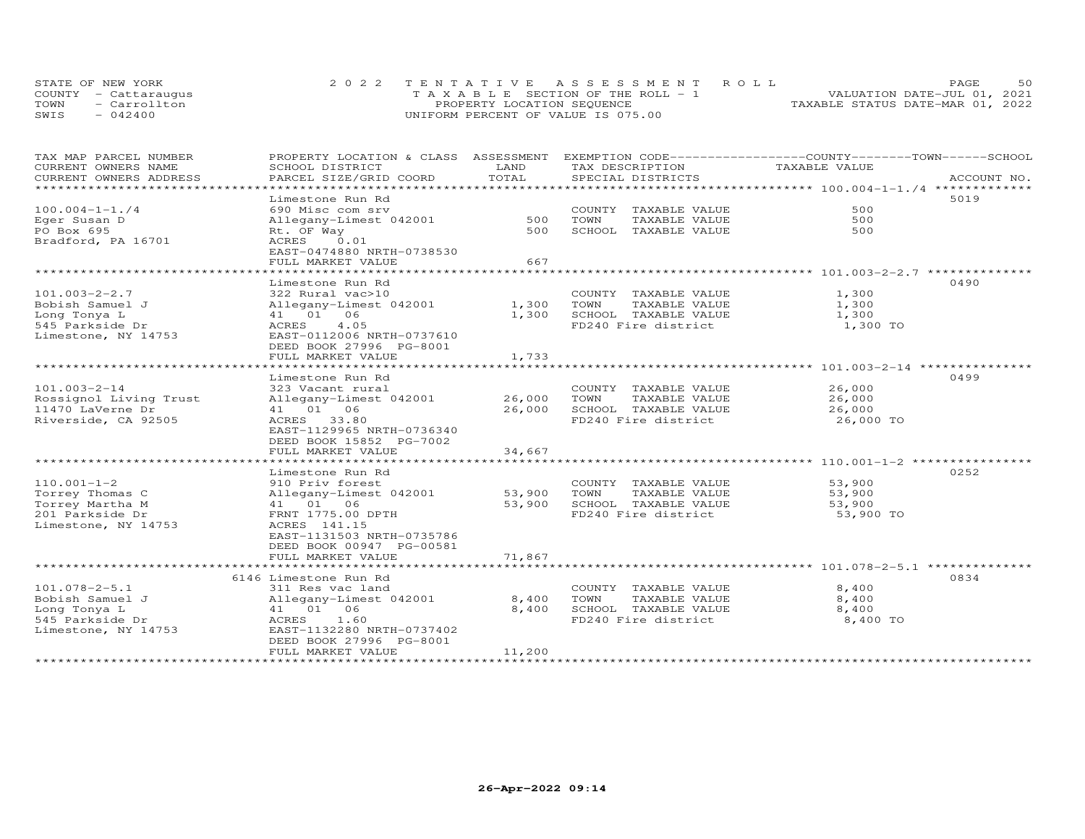|      | STATE OF NEW YORK    | 2022 TENTATIVE ASSESSMENT ROLL            | 50<br>PAGE.                      |
|------|----------------------|-------------------------------------------|----------------------------------|
|      | COUNTY - Cattaraugus | $T A X A B I. E$ SECTION OF THE ROLL $-1$ | VALUATION DATE-JUL 01, 2021      |
| TOWN | - Carrollton         | PROPERTY LOCATION SEQUENCE                | TAXABLE STATUS DATE-MAR 01, 2022 |
| SWIS | $-042400$            | UNIFORM PERCENT OF VALUE IS 075.00        |                                  |

| TAX MAP PARCEL NUMBER           | PROPERTY LOCATION & CLASS ASSESSMENT                 |        | EXEMPTION CODE-----------------COUNTY-------TOWN------SCHOOL |                   |             |
|---------------------------------|------------------------------------------------------|--------|--------------------------------------------------------------|-------------------|-------------|
| CURRENT OWNERS NAME             | SCHOOL DISTRICT                                      | LAND   | TAX DESCRIPTION                                              | TAXABLE VALUE     |             |
| CURRENT OWNERS ADDRESS          | PARCEL SIZE/GRID COORD                               | TOTAL  | SPECIAL DISTRICTS                                            |                   | ACCOUNT NO. |
| **********************          |                                                      |        |                                                              |                   |             |
|                                 | Limestone Run Rd                                     |        |                                                              |                   | 5019        |
| $100.004 - 1 - 1.74$            | 690 Misc com srv                                     |        | COUNTY TAXABLE VALUE                                         | 500               |             |
| Eger Susan D                    | Allegany-Limest 042001                               | 500    | TOWN<br>TAXABLE VALUE                                        | 500               |             |
| PO Box 695                      | Rt. OF Way                                           | 500    | SCHOOL TAXABLE VALUE                                         | 500               |             |
| Bradford, PA 16701              | ACRES<br>0.01                                        |        |                                                              |                   |             |
|                                 | EAST-0474880 NRTH-0738530                            |        |                                                              |                   |             |
|                                 | FULL MARKET VALUE<br>***********************         | 667    |                                                              |                   |             |
|                                 |                                                      |        |                                                              |                   |             |
|                                 | Limestone Run Rd                                     |        |                                                              |                   | 0490        |
| $101.003 - 2 - 2.7$             | 322 Rural vac>10                                     |        | COUNTY TAXABLE VALUE                                         | 1,300             |             |
| Bobish Samuel J                 | Allegany-Limest 042001                               | 1,300  | TOWN<br>TAXABLE VALUE                                        | 1,300             |             |
| Long Tonya L<br>545 Parkside Dr | 41 01 06<br>4.05<br>ACRES                            | 1,300  | SCHOOL TAXABLE VALUE<br>FD240 Fire district                  | 1,300<br>1,300 TO |             |
|                                 |                                                      |        |                                                              |                   |             |
| Limestone, NY 14753             | EAST-0112006 NRTH-0737610<br>DEED BOOK 27996 PG-8001 |        |                                                              |                   |             |
|                                 | FULL MARKET VALUE                                    | 1,733  |                                                              |                   |             |
|                                 |                                                      |        |                                                              |                   |             |
|                                 | Limestone Run Rd                                     |        |                                                              |                   | 0499        |
| $101.003 - 2 - 14$              | 323 Vacant rural                                     |        | COUNTY TAXABLE VALUE                                         | 26,000            |             |
| Rossignol Living Trust          | Allegany-Limest 042001                               | 26,000 | TOWN<br>TAXABLE VALUE                                        | 26,000            |             |
| 11470 LaVerne Dr                | 41 01 06                                             | 26,000 | SCHOOL TAXABLE VALUE                                         | 26,000            |             |
| Riverside, CA 92505             | ACRES 33.80                                          |        | FD240 Fire district                                          | 26,000 TO         |             |
|                                 | EAST-1129965 NRTH-0736340                            |        |                                                              |                   |             |
|                                 | DEED BOOK 15852 PG-7002                              |        |                                                              |                   |             |
|                                 | FULL MARKET VALUE                                    | 34,667 |                                                              |                   |             |
|                                 |                                                      |        |                                                              |                   |             |
|                                 | Limestone Run Rd                                     |        |                                                              |                   | 0252        |
| $110.001 - 1 - 2$               | 910 Priv forest                                      |        | COUNTY TAXABLE VALUE                                         | 53,900            |             |
| Torrey Thomas C                 | Allegany-Limest 042001                               | 53,900 | TOWN<br>TAXABLE VALUE                                        | 53,900            |             |
| Torrey Martha M                 | 41 01 06                                             | 53,900 | SCHOOL TAXABLE VALUE                                         | 53,900            |             |
| 201 Parkside Dr                 | FRNT 1775.00 DPTH                                    |        | FD240 Fire district                                          | 53,900 TO         |             |
| Limestone, NY 14753             | ACRES 141.15                                         |        |                                                              |                   |             |
|                                 | EAST-1131503 NRTH-0735786                            |        |                                                              |                   |             |
|                                 | DEED BOOK 00947 PG-00581                             |        |                                                              |                   |             |
|                                 | FULL MARKET VALUE                                    | 71,867 |                                                              |                   |             |
|                                 |                                                      |        |                                                              |                   |             |
|                                 | 6146 Limestone Run Rd                                |        |                                                              |                   | 0834        |
| $101.078 - 2 - 5.1$             | 311 Res vac land                                     |        | COUNTY TAXABLE VALUE                                         | 8,400             |             |
| Bobish Samuel J                 | Allegany-Limest 042001                               | 8,400  | TAXABLE VALUE<br>TOWN                                        | 8,400             |             |
| Long Tonya L                    | 41 01 06                                             | 8,400  | SCHOOL TAXABLE VALUE                                         | 8,400             |             |
| 545 Parkside Dr                 | ACRES<br>1.60                                        |        | FD240 Fire district                                          | 8,400 TO          |             |
| Limestone, NY 14753             | EAST-1132280 NRTH-0737402                            |        |                                                              |                   |             |
|                                 | DEED BOOK 27996 PG-8001                              |        |                                                              |                   |             |
|                                 | FULL MARKET VALUE                                    | 11,200 |                                                              |                   |             |
| *******************             |                                                      |        |                                                              |                   |             |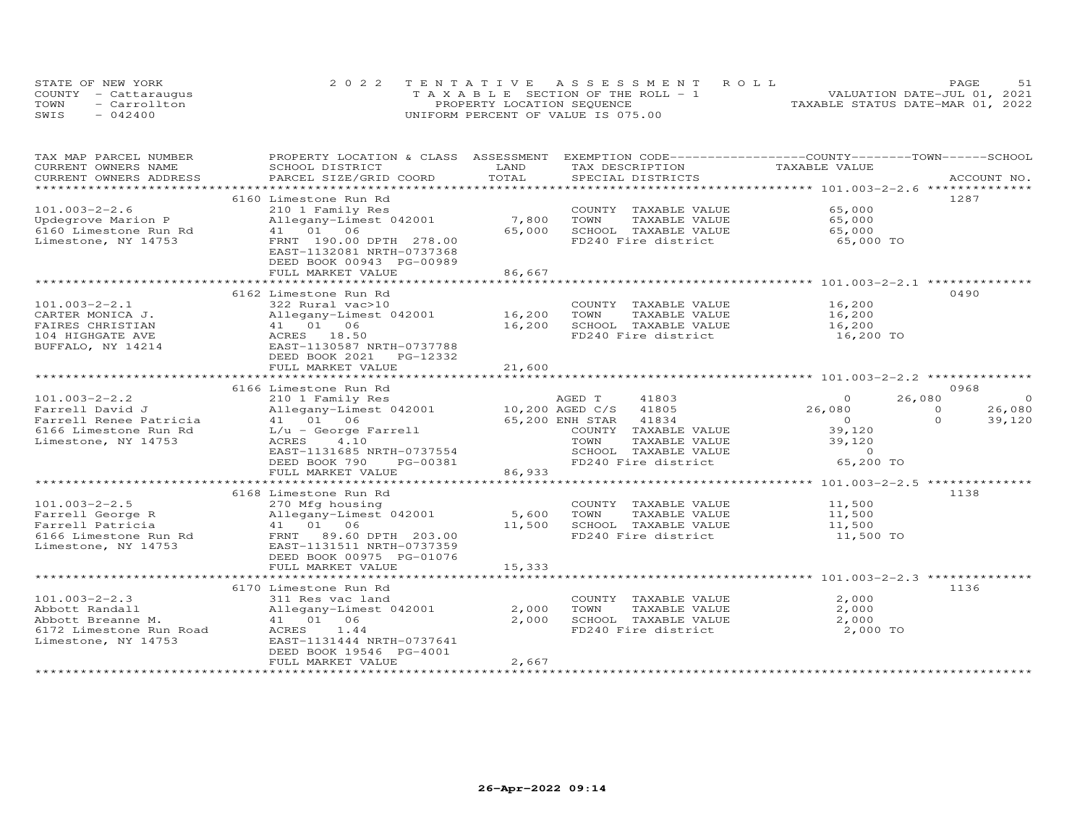|      | STATE OF NEW YORK    | 2022 TENTATIVE ASSESSMENT ROLL        | 51<br>PAGE.                      |
|------|----------------------|---------------------------------------|----------------------------------|
|      | COUNTY - Cattaraugus | T A X A B L E SECTION OF THE ROLL - 1 | VALUATION DATE-JUL 01, 2021      |
| TOWN | - Carrollton         | PROPERTY LOCATION SEQUENCE            | TAXABLE STATUS DATE-MAR 01, 2022 |
| SWIS | $-042400$            | UNIFORM PERCENT OF VALUE IS 075.00    |                                  |

| TAX MAP PARCEL NUMBER   | PROPERTY LOCATION & CLASS ASSESSMENT                 |                 |                             | EXEMPTION CODE------------------COUNTY-------TOWN-----SCHOOL |             |
|-------------------------|------------------------------------------------------|-----------------|-----------------------------|--------------------------------------------------------------|-------------|
| CURRENT OWNERS NAME     | SCHOOL DISTRICT                                      | LAND            | TAX DESCRIPTION             | TAXABLE VALUE                                                |             |
| CURRENT OWNERS ADDRESS  | PARCEL SIZE/GRID COORD                               | TOTAL           | SPECIAL DISTRICTS           |                                                              | ACCOUNT NO. |
| **********************  |                                                      |                 | *************************** | ********************** 101.003-2-2.6 ***************         |             |
|                         | 6160 Limestone Run Rd                                |                 |                             |                                                              | 1287        |
| $101.003 - 2 - 2.6$     | 210 1 Family Res                                     |                 | COUNTY TAXABLE VALUE        | 65,000                                                       |             |
| Updegrove Marion P      | Allegany-Limest 042001                               | 7,800           | TOWN<br>TAXABLE VALUE       | 65,000                                                       |             |
| 6160 Limestone Run Rd   | 41 01 06                                             | 65,000          | SCHOOL TAXABLE VALUE        | 65,000                                                       |             |
| Limestone, NY 14753     | FRNT 190.00 DPTH 278.00                              |                 | FD240 Fire district         | 65,000 TO                                                    |             |
|                         | EAST-1132081 NRTH-0737368                            |                 |                             |                                                              |             |
|                         | DEED BOOK 00943 PG-00989                             |                 |                             |                                                              |             |
|                         | FULL MARKET VALUE                                    | 86,667          |                             |                                                              |             |
|                         |                                                      |                 |                             |                                                              |             |
|                         | 6162 Limestone Run Rd                                |                 |                             |                                                              | 0490        |
| $101.003 - 2 - 2.1$     | 322 Rural vac>10                                     |                 | COUNTY TAXABLE VALUE        | 16,200                                                       |             |
|                         |                                                      | 16,200          |                             |                                                              |             |
| CARTER MONICA J.        | Allegany-Limest 042001                               |                 | TOWN<br>TAXABLE VALUE       | 16,200                                                       |             |
| FAIRES CHRISTIAN        | 41  01  06                                           | 16,200          | SCHOOL TAXABLE VALUE        | 16,200                                                       |             |
| 104 HIGHGATE AVE        | ACRES 18.50                                          |                 | FD240 Fire district         | 16,200 TO                                                    |             |
| BUFFALO, NY 14214       | EAST-1130587 NRTH-0737788                            |                 |                             |                                                              |             |
|                         | DEED BOOK 2021<br>PG-12332                           |                 |                             |                                                              |             |
|                         | FULL MARKET VALUE                                    | 21,600          |                             |                                                              |             |
|                         |                                                      |                 |                             |                                                              |             |
|                         | 6166 Limestone Run Rd                                |                 |                             |                                                              | 0968        |
| $101.003 - 2 - 2.2$     | 210 1 Family Res                                     |                 | 41803<br>AGED T             | 26,080<br>$\Omega$                                           | $\Omega$    |
| Farrell David J         | Allegany-Limest 042001                               | 10,200 AGED C/S | 41805                       | 26,080<br>$\Omega$                                           | 26,080      |
| Farrell Renee Patricia  | 41  01  06                                           |                 | 65,200 ENH STAR<br>41834    | $\overline{O}$<br>$\Omega$                                   | 39,120      |
| 6166 Limestone Run Rd   | $L/u$ - George Farrell                               |                 | COUNTY TAXABLE VALUE        | 39,120                                                       |             |
| Limestone, NY 14753     | ACRES<br>4.10                                        |                 | TOWN<br>TAXABLE VALUE       | 39,120                                                       |             |
|                         | EAST-1131685 NRTH-0737554                            |                 | SCHOOL TAXABLE VALUE        | $\Omega$                                                     |             |
|                         | DEED BOOK 790<br>PG-00381                            |                 | FD240 Fire district         | 65,200 TO                                                    |             |
|                         | FULL MARKET VALUE                                    | 86,933          |                             |                                                              |             |
|                         | **********************                               |                 |                             | *************** 101.003-2-2.5 **************                 |             |
|                         | 6168 Limestone Run Rd                                |                 |                             |                                                              | 1138        |
| $101.003 - 2 - 2.5$     | 270 Mfg housing                                      |                 | COUNTY TAXABLE VALUE        | 11,500                                                       |             |
| Farrell George R        | Allegany-Limest 042001                               | 5,600           | TOWN<br>TAXABLE VALUE       | 11,500                                                       |             |
| Farrell Patricia        | 41  01  06                                           | 11,500          | SCHOOL TAXABLE VALUE        | 11,500                                                       |             |
| 6166 Limestone Run Rd   | FRNT 89.60 DPTH 203.00                               |                 | FD240 Fire district         | 11,500 TO                                                    |             |
| Limestone, NY 14753     | EAST-1131511 NRTH-0737359                            |                 |                             |                                                              |             |
|                         | DEED BOOK 00975 PG-01076                             |                 |                             |                                                              |             |
|                         | FULL MARKET VALUE                                    | 15,333          |                             |                                                              |             |
|                         |                                                      |                 |                             |                                                              |             |
|                         | 6170 Limestone Run Rd                                |                 |                             |                                                              | 1136        |
| $101.003 - 2 - 2.3$     | 311 Res vac land                                     |                 | COUNTY TAXABLE VALUE        | 2,000                                                        |             |
| Abbott Randall          | Allegany-Limest 042001                               | 2,000           | TOWN<br>TAXABLE VALUE       | 2,000                                                        |             |
| Abbott Breanne M.       | 41 01 06                                             | 2,000           | SCHOOL TAXABLE VALUE        | 2,000                                                        |             |
| 6172 Limestone Run Road | 1.44<br>ACRES                                        |                 | FD240 Fire district         | 2,000 TO                                                     |             |
|                         |                                                      |                 |                             |                                                              |             |
| Limestone, NY 14753     | EAST-1131444 NRTH-0737641<br>DEED BOOK 19546 PG-4001 |                 |                             |                                                              |             |
|                         |                                                      |                 |                             |                                                              |             |
|                         | FULL MARKET VALUE                                    | 2,667           |                             |                                                              |             |
|                         |                                                      |                 |                             |                                                              |             |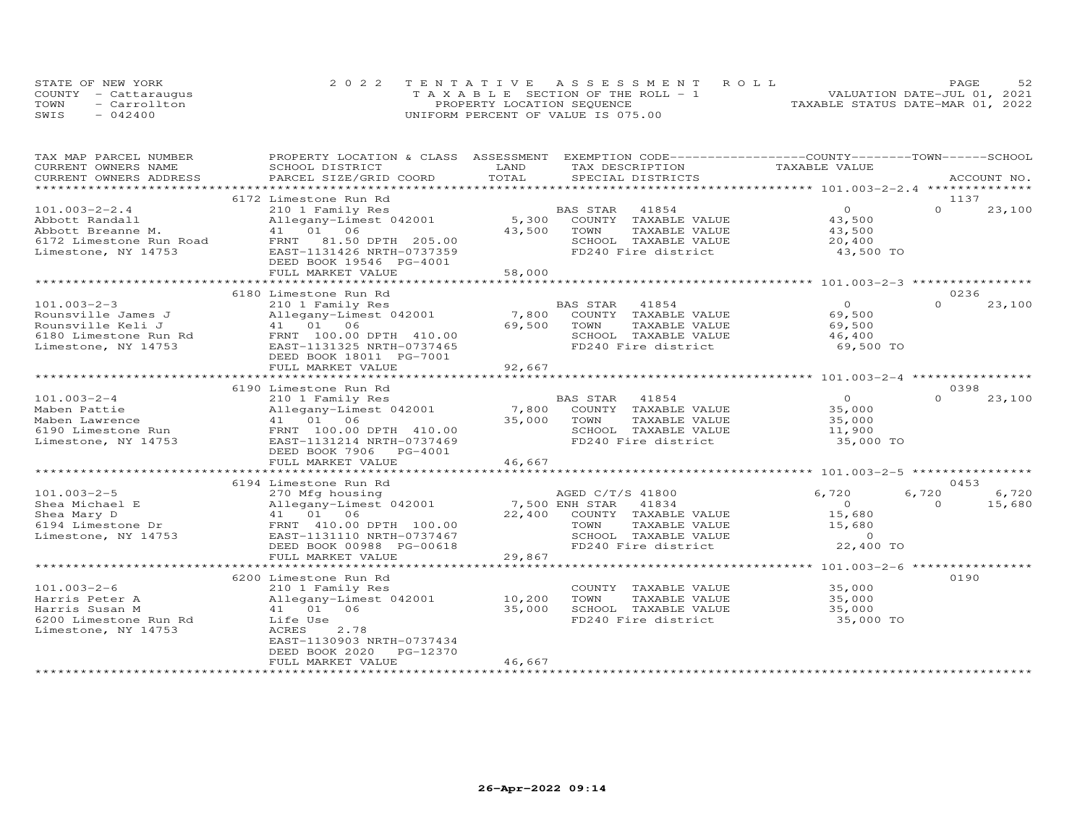|      | STATE OF NEW YORK    | 2022 TENTATIVE ASSESSMENT ROLL        | 52<br>PAGE                       |
|------|----------------------|---------------------------------------|----------------------------------|
|      | COUNTY - Cattaraugus | T A X A B L E SECTION OF THE ROLL - 1 | VALUATION DATE-JUL 01, 2021      |
| TOWN | - Carrollton         | PROPERTY LOCATION SEQUENCE            | TAXABLE STATUS DATE-MAR 01, 2022 |
| SWIS | $-042400$            | UNIFORM PERCENT OF VALUE IS 075.00    |                                  |

| CURRENT OWNERS NAME<br>SCHOOL DISTRICT<br>LAND<br>TAX DESCRIPTION<br>TAXABLE VALUE<br>TOTAL<br>CURRENT OWNERS ADDRESS<br>PARCEL SIZE/GRID COORD<br>SPECIAL DISTRICTS<br>ACCOUNT NO.<br>********************* 101.003-2-2.4 ***************<br>**********************<br>* * * * * * * * * * * * * * * * *<br>6172 Limestone Run Rd<br>1137<br>210 1 Family Res<br>$\Omega$<br>$\Omega$<br>23,100<br>$101.003 - 2 - 2.4$<br>BAS STAR<br>41854<br>5,300<br>Allegany-Limest 042001<br>COUNTY TAXABLE VALUE<br>43,500<br>41 01 06<br>43,500<br>TOWN<br>TAXABLE VALUE<br>43,500<br>81.50 DPTH 205.00<br>SCHOOL TAXABLE VALUE<br>20,400<br>6172 Limestone Run Road<br>FRNT<br>FD240 Fire district<br>Limestone, NY 14753<br>EAST-1131426 NRTH-0737359<br>43,500 TO<br>DEED BOOK 19546 PG-4001<br>FULL MARKET VALUE<br>58,000<br>******************************** 101.003-2-3 *****************<br>6180 Limestone Run Rd<br>0236<br>$101.003 - 2 - 3$<br>210 1 Family Res<br>$\Omega$<br>$\Omega$<br>23,100<br>BAS STAR<br>41854<br>7,800<br>Rounsville James J<br>Allegany-Limest 042001<br>COUNTY TAXABLE VALUE<br>69,500<br>Rounsville Keli J<br>41 01<br>06<br>69,500<br>TOWN<br>TAXABLE VALUE<br>69,500<br>6180 Limestone Run Rd<br>FRNT 100.00 DPTH 410.00<br>SCHOOL TAXABLE VALUE<br>46,400<br>EAST-1131325 NRTH-0737465<br>FD240 Fire district<br>69,500 TO<br>Limestone, NY 14753<br>DEED BOOK 18011 PG-7001<br>FULL MARKET VALUE<br>92,667<br>0398<br>6190 Limestone Run Rd<br>BAS STAR<br>41854<br>$\Omega$<br>$\Omega$<br>$101.003 - 2 - 4$<br>210 1 Family Res<br>23,100<br>Maben Pattie<br>Allegany-Limest 042001<br>7,800<br>COUNTY TAXABLE VALUE<br>35,000<br>35,000<br>TAXABLE VALUE<br>41 01 06<br>TOWN<br>35,000<br>Maben Lawrence<br>FRNT 100.00 DPTH 410.00<br>SCHOOL TAXABLE VALUE<br>11,900<br>6190 Limestone Run<br>EAST-1131214 NRTH-0737469<br>FD240 Fire district<br>Limestone, NY 14753<br>35,000 TO<br>DEED BOOK 7906<br>PG-4001<br>46,667<br>FULL MARKET VALUE<br>0453<br>6194 Limestone Run Rd<br>$101.003 - 2 - 5$<br>AGED C/T/S 41800<br>6,720<br>6,720<br>6,720<br>270 Mfg housing<br>7,500 ENH STAR<br>$\Omega$<br>15,680<br>Shea Michael E<br>Allegany-Limest 042001<br>41834<br>$\Omega$<br>15,680<br>Shea Mary D<br>41 01 06<br>22,400<br>COUNTY TAXABLE VALUE<br>6194 Limestone Dr<br>FRNT 410.00 DPTH 100.00<br>TAXABLE VALUE<br>15,680<br>TOWN<br>EAST-1131110 NRTH-0737467<br>SCHOOL TAXABLE VALUE<br>$\Omega$<br>22,400 TO<br>FD240 Fire district<br>DEED BOOK 00988 PG-00618<br>29,867<br>FULL MARKET VALUE<br>***********************<br>************<br>****************** 101.003-2-6 *****************<br>0190<br>6200 Limestone Run Rd<br>35,000<br>210 1 Family Res<br>COUNTY TAXABLE VALUE<br>10,200<br>Harris Peter A<br>Allegany-Limest 042001<br>TOWN<br>TAXABLE VALUE<br>35,000<br>41 01 06<br>35,000<br>SCHOOL TAXABLE VALUE<br>Harris Susan M<br>35,000 | TAX MAP PARCEL NUMBER | PROPERTY LOCATION & CLASS | ASSESSMENT          | EXEMPTION CODE-----------------COUNTY-------TOWN-----SCHOOL |
|-----------------------------------------------------------------------------------------------------------------------------------------------------------------------------------------------------------------------------------------------------------------------------------------------------------------------------------------------------------------------------------------------------------------------------------------------------------------------------------------------------------------------------------------------------------------------------------------------------------------------------------------------------------------------------------------------------------------------------------------------------------------------------------------------------------------------------------------------------------------------------------------------------------------------------------------------------------------------------------------------------------------------------------------------------------------------------------------------------------------------------------------------------------------------------------------------------------------------------------------------------------------------------------------------------------------------------------------------------------------------------------------------------------------------------------------------------------------------------------------------------------------------------------------------------------------------------------------------------------------------------------------------------------------------------------------------------------------------------------------------------------------------------------------------------------------------------------------------------------------------------------------------------------------------------------------------------------------------------------------------------------------------------------------------------------------------------------------------------------------------------------------------------------------------------------------------------------------------------------------------------------------------------------------------------------------------------------------------------------------------------------------------------------------------------------------------------------------------------------------------------------------------------------------------------------------------------------------------------------------------------------------------------------------------------------------------------------------------------------------------------------------------------------------------------------------------------------------------------------------------------------------------------------|-----------------------|---------------------------|---------------------|-------------------------------------------------------------|
|                                                                                                                                                                                                                                                                                                                                                                                                                                                                                                                                                                                                                                                                                                                                                                                                                                                                                                                                                                                                                                                                                                                                                                                                                                                                                                                                                                                                                                                                                                                                                                                                                                                                                                                                                                                                                                                                                                                                                                                                                                                                                                                                                                                                                                                                                                                                                                                                                                                                                                                                                                                                                                                                                                                                                                                                                                                                                                           |                       |                           |                     |                                                             |
|                                                                                                                                                                                                                                                                                                                                                                                                                                                                                                                                                                                                                                                                                                                                                                                                                                                                                                                                                                                                                                                                                                                                                                                                                                                                                                                                                                                                                                                                                                                                                                                                                                                                                                                                                                                                                                                                                                                                                                                                                                                                                                                                                                                                                                                                                                                                                                                                                                                                                                                                                                                                                                                                                                                                                                                                                                                                                                           |                       |                           |                     |                                                             |
|                                                                                                                                                                                                                                                                                                                                                                                                                                                                                                                                                                                                                                                                                                                                                                                                                                                                                                                                                                                                                                                                                                                                                                                                                                                                                                                                                                                                                                                                                                                                                                                                                                                                                                                                                                                                                                                                                                                                                                                                                                                                                                                                                                                                                                                                                                                                                                                                                                                                                                                                                                                                                                                                                                                                                                                                                                                                                                           |                       |                           |                     |                                                             |
|                                                                                                                                                                                                                                                                                                                                                                                                                                                                                                                                                                                                                                                                                                                                                                                                                                                                                                                                                                                                                                                                                                                                                                                                                                                                                                                                                                                                                                                                                                                                                                                                                                                                                                                                                                                                                                                                                                                                                                                                                                                                                                                                                                                                                                                                                                                                                                                                                                                                                                                                                                                                                                                                                                                                                                                                                                                                                                           |                       |                           |                     |                                                             |
|                                                                                                                                                                                                                                                                                                                                                                                                                                                                                                                                                                                                                                                                                                                                                                                                                                                                                                                                                                                                                                                                                                                                                                                                                                                                                                                                                                                                                                                                                                                                                                                                                                                                                                                                                                                                                                                                                                                                                                                                                                                                                                                                                                                                                                                                                                                                                                                                                                                                                                                                                                                                                                                                                                                                                                                                                                                                                                           |                       |                           |                     |                                                             |
|                                                                                                                                                                                                                                                                                                                                                                                                                                                                                                                                                                                                                                                                                                                                                                                                                                                                                                                                                                                                                                                                                                                                                                                                                                                                                                                                                                                                                                                                                                                                                                                                                                                                                                                                                                                                                                                                                                                                                                                                                                                                                                                                                                                                                                                                                                                                                                                                                                                                                                                                                                                                                                                                                                                                                                                                                                                                                                           | Abbott Randall        |                           |                     |                                                             |
|                                                                                                                                                                                                                                                                                                                                                                                                                                                                                                                                                                                                                                                                                                                                                                                                                                                                                                                                                                                                                                                                                                                                                                                                                                                                                                                                                                                                                                                                                                                                                                                                                                                                                                                                                                                                                                                                                                                                                                                                                                                                                                                                                                                                                                                                                                                                                                                                                                                                                                                                                                                                                                                                                                                                                                                                                                                                                                           | Abbott Breanne M.     |                           |                     |                                                             |
|                                                                                                                                                                                                                                                                                                                                                                                                                                                                                                                                                                                                                                                                                                                                                                                                                                                                                                                                                                                                                                                                                                                                                                                                                                                                                                                                                                                                                                                                                                                                                                                                                                                                                                                                                                                                                                                                                                                                                                                                                                                                                                                                                                                                                                                                                                                                                                                                                                                                                                                                                                                                                                                                                                                                                                                                                                                                                                           |                       |                           |                     |                                                             |
|                                                                                                                                                                                                                                                                                                                                                                                                                                                                                                                                                                                                                                                                                                                                                                                                                                                                                                                                                                                                                                                                                                                                                                                                                                                                                                                                                                                                                                                                                                                                                                                                                                                                                                                                                                                                                                                                                                                                                                                                                                                                                                                                                                                                                                                                                                                                                                                                                                                                                                                                                                                                                                                                                                                                                                                                                                                                                                           |                       |                           |                     |                                                             |
|                                                                                                                                                                                                                                                                                                                                                                                                                                                                                                                                                                                                                                                                                                                                                                                                                                                                                                                                                                                                                                                                                                                                                                                                                                                                                                                                                                                                                                                                                                                                                                                                                                                                                                                                                                                                                                                                                                                                                                                                                                                                                                                                                                                                                                                                                                                                                                                                                                                                                                                                                                                                                                                                                                                                                                                                                                                                                                           |                       |                           |                     |                                                             |
|                                                                                                                                                                                                                                                                                                                                                                                                                                                                                                                                                                                                                                                                                                                                                                                                                                                                                                                                                                                                                                                                                                                                                                                                                                                                                                                                                                                                                                                                                                                                                                                                                                                                                                                                                                                                                                                                                                                                                                                                                                                                                                                                                                                                                                                                                                                                                                                                                                                                                                                                                                                                                                                                                                                                                                                                                                                                                                           |                       |                           |                     |                                                             |
|                                                                                                                                                                                                                                                                                                                                                                                                                                                                                                                                                                                                                                                                                                                                                                                                                                                                                                                                                                                                                                                                                                                                                                                                                                                                                                                                                                                                                                                                                                                                                                                                                                                                                                                                                                                                                                                                                                                                                                                                                                                                                                                                                                                                                                                                                                                                                                                                                                                                                                                                                                                                                                                                                                                                                                                                                                                                                                           |                       |                           |                     |                                                             |
|                                                                                                                                                                                                                                                                                                                                                                                                                                                                                                                                                                                                                                                                                                                                                                                                                                                                                                                                                                                                                                                                                                                                                                                                                                                                                                                                                                                                                                                                                                                                                                                                                                                                                                                                                                                                                                                                                                                                                                                                                                                                                                                                                                                                                                                                                                                                                                                                                                                                                                                                                                                                                                                                                                                                                                                                                                                                                                           |                       |                           |                     |                                                             |
|                                                                                                                                                                                                                                                                                                                                                                                                                                                                                                                                                                                                                                                                                                                                                                                                                                                                                                                                                                                                                                                                                                                                                                                                                                                                                                                                                                                                                                                                                                                                                                                                                                                                                                                                                                                                                                                                                                                                                                                                                                                                                                                                                                                                                                                                                                                                                                                                                                                                                                                                                                                                                                                                                                                                                                                                                                                                                                           |                       |                           |                     |                                                             |
|                                                                                                                                                                                                                                                                                                                                                                                                                                                                                                                                                                                                                                                                                                                                                                                                                                                                                                                                                                                                                                                                                                                                                                                                                                                                                                                                                                                                                                                                                                                                                                                                                                                                                                                                                                                                                                                                                                                                                                                                                                                                                                                                                                                                                                                                                                                                                                                                                                                                                                                                                                                                                                                                                                                                                                                                                                                                                                           |                       |                           |                     |                                                             |
|                                                                                                                                                                                                                                                                                                                                                                                                                                                                                                                                                                                                                                                                                                                                                                                                                                                                                                                                                                                                                                                                                                                                                                                                                                                                                                                                                                                                                                                                                                                                                                                                                                                                                                                                                                                                                                                                                                                                                                                                                                                                                                                                                                                                                                                                                                                                                                                                                                                                                                                                                                                                                                                                                                                                                                                                                                                                                                           |                       |                           |                     |                                                             |
|                                                                                                                                                                                                                                                                                                                                                                                                                                                                                                                                                                                                                                                                                                                                                                                                                                                                                                                                                                                                                                                                                                                                                                                                                                                                                                                                                                                                                                                                                                                                                                                                                                                                                                                                                                                                                                                                                                                                                                                                                                                                                                                                                                                                                                                                                                                                                                                                                                                                                                                                                                                                                                                                                                                                                                                                                                                                                                           |                       |                           |                     |                                                             |
|                                                                                                                                                                                                                                                                                                                                                                                                                                                                                                                                                                                                                                                                                                                                                                                                                                                                                                                                                                                                                                                                                                                                                                                                                                                                                                                                                                                                                                                                                                                                                                                                                                                                                                                                                                                                                                                                                                                                                                                                                                                                                                                                                                                                                                                                                                                                                                                                                                                                                                                                                                                                                                                                                                                                                                                                                                                                                                           |                       |                           |                     |                                                             |
|                                                                                                                                                                                                                                                                                                                                                                                                                                                                                                                                                                                                                                                                                                                                                                                                                                                                                                                                                                                                                                                                                                                                                                                                                                                                                                                                                                                                                                                                                                                                                                                                                                                                                                                                                                                                                                                                                                                                                                                                                                                                                                                                                                                                                                                                                                                                                                                                                                                                                                                                                                                                                                                                                                                                                                                                                                                                                                           |                       |                           |                     |                                                             |
|                                                                                                                                                                                                                                                                                                                                                                                                                                                                                                                                                                                                                                                                                                                                                                                                                                                                                                                                                                                                                                                                                                                                                                                                                                                                                                                                                                                                                                                                                                                                                                                                                                                                                                                                                                                                                                                                                                                                                                                                                                                                                                                                                                                                                                                                                                                                                                                                                                                                                                                                                                                                                                                                                                                                                                                                                                                                                                           |                       |                           |                     |                                                             |
|                                                                                                                                                                                                                                                                                                                                                                                                                                                                                                                                                                                                                                                                                                                                                                                                                                                                                                                                                                                                                                                                                                                                                                                                                                                                                                                                                                                                                                                                                                                                                                                                                                                                                                                                                                                                                                                                                                                                                                                                                                                                                                                                                                                                                                                                                                                                                                                                                                                                                                                                                                                                                                                                                                                                                                                                                                                                                                           |                       |                           |                     |                                                             |
|                                                                                                                                                                                                                                                                                                                                                                                                                                                                                                                                                                                                                                                                                                                                                                                                                                                                                                                                                                                                                                                                                                                                                                                                                                                                                                                                                                                                                                                                                                                                                                                                                                                                                                                                                                                                                                                                                                                                                                                                                                                                                                                                                                                                                                                                                                                                                                                                                                                                                                                                                                                                                                                                                                                                                                                                                                                                                                           |                       |                           |                     |                                                             |
|                                                                                                                                                                                                                                                                                                                                                                                                                                                                                                                                                                                                                                                                                                                                                                                                                                                                                                                                                                                                                                                                                                                                                                                                                                                                                                                                                                                                                                                                                                                                                                                                                                                                                                                                                                                                                                                                                                                                                                                                                                                                                                                                                                                                                                                                                                                                                                                                                                                                                                                                                                                                                                                                                                                                                                                                                                                                                                           |                       |                           |                     |                                                             |
|                                                                                                                                                                                                                                                                                                                                                                                                                                                                                                                                                                                                                                                                                                                                                                                                                                                                                                                                                                                                                                                                                                                                                                                                                                                                                                                                                                                                                                                                                                                                                                                                                                                                                                                                                                                                                                                                                                                                                                                                                                                                                                                                                                                                                                                                                                                                                                                                                                                                                                                                                                                                                                                                                                                                                                                                                                                                                                           |                       |                           |                     |                                                             |
|                                                                                                                                                                                                                                                                                                                                                                                                                                                                                                                                                                                                                                                                                                                                                                                                                                                                                                                                                                                                                                                                                                                                                                                                                                                                                                                                                                                                                                                                                                                                                                                                                                                                                                                                                                                                                                                                                                                                                                                                                                                                                                                                                                                                                                                                                                                                                                                                                                                                                                                                                                                                                                                                                                                                                                                                                                                                                                           |                       |                           |                     |                                                             |
|                                                                                                                                                                                                                                                                                                                                                                                                                                                                                                                                                                                                                                                                                                                                                                                                                                                                                                                                                                                                                                                                                                                                                                                                                                                                                                                                                                                                                                                                                                                                                                                                                                                                                                                                                                                                                                                                                                                                                                                                                                                                                                                                                                                                                                                                                                                                                                                                                                                                                                                                                                                                                                                                                                                                                                                                                                                                                                           |                       |                           |                     |                                                             |
|                                                                                                                                                                                                                                                                                                                                                                                                                                                                                                                                                                                                                                                                                                                                                                                                                                                                                                                                                                                                                                                                                                                                                                                                                                                                                                                                                                                                                                                                                                                                                                                                                                                                                                                                                                                                                                                                                                                                                                                                                                                                                                                                                                                                                                                                                                                                                                                                                                                                                                                                                                                                                                                                                                                                                                                                                                                                                                           |                       |                           |                     |                                                             |
|                                                                                                                                                                                                                                                                                                                                                                                                                                                                                                                                                                                                                                                                                                                                                                                                                                                                                                                                                                                                                                                                                                                                                                                                                                                                                                                                                                                                                                                                                                                                                                                                                                                                                                                                                                                                                                                                                                                                                                                                                                                                                                                                                                                                                                                                                                                                                                                                                                                                                                                                                                                                                                                                                                                                                                                                                                                                                                           |                       |                           |                     |                                                             |
|                                                                                                                                                                                                                                                                                                                                                                                                                                                                                                                                                                                                                                                                                                                                                                                                                                                                                                                                                                                                                                                                                                                                                                                                                                                                                                                                                                                                                                                                                                                                                                                                                                                                                                                                                                                                                                                                                                                                                                                                                                                                                                                                                                                                                                                                                                                                                                                                                                                                                                                                                                                                                                                                                                                                                                                                                                                                                                           |                       |                           |                     |                                                             |
|                                                                                                                                                                                                                                                                                                                                                                                                                                                                                                                                                                                                                                                                                                                                                                                                                                                                                                                                                                                                                                                                                                                                                                                                                                                                                                                                                                                                                                                                                                                                                                                                                                                                                                                                                                                                                                                                                                                                                                                                                                                                                                                                                                                                                                                                                                                                                                                                                                                                                                                                                                                                                                                                                                                                                                                                                                                                                                           |                       |                           |                     |                                                             |
|                                                                                                                                                                                                                                                                                                                                                                                                                                                                                                                                                                                                                                                                                                                                                                                                                                                                                                                                                                                                                                                                                                                                                                                                                                                                                                                                                                                                                                                                                                                                                                                                                                                                                                                                                                                                                                                                                                                                                                                                                                                                                                                                                                                                                                                                                                                                                                                                                                                                                                                                                                                                                                                                                                                                                                                                                                                                                                           |                       |                           |                     |                                                             |
|                                                                                                                                                                                                                                                                                                                                                                                                                                                                                                                                                                                                                                                                                                                                                                                                                                                                                                                                                                                                                                                                                                                                                                                                                                                                                                                                                                                                                                                                                                                                                                                                                                                                                                                                                                                                                                                                                                                                                                                                                                                                                                                                                                                                                                                                                                                                                                                                                                                                                                                                                                                                                                                                                                                                                                                                                                                                                                           |                       |                           |                     |                                                             |
|                                                                                                                                                                                                                                                                                                                                                                                                                                                                                                                                                                                                                                                                                                                                                                                                                                                                                                                                                                                                                                                                                                                                                                                                                                                                                                                                                                                                                                                                                                                                                                                                                                                                                                                                                                                                                                                                                                                                                                                                                                                                                                                                                                                                                                                                                                                                                                                                                                                                                                                                                                                                                                                                                                                                                                                                                                                                                                           |                       |                           |                     |                                                             |
|                                                                                                                                                                                                                                                                                                                                                                                                                                                                                                                                                                                                                                                                                                                                                                                                                                                                                                                                                                                                                                                                                                                                                                                                                                                                                                                                                                                                                                                                                                                                                                                                                                                                                                                                                                                                                                                                                                                                                                                                                                                                                                                                                                                                                                                                                                                                                                                                                                                                                                                                                                                                                                                                                                                                                                                                                                                                                                           |                       |                           |                     |                                                             |
|                                                                                                                                                                                                                                                                                                                                                                                                                                                                                                                                                                                                                                                                                                                                                                                                                                                                                                                                                                                                                                                                                                                                                                                                                                                                                                                                                                                                                                                                                                                                                                                                                                                                                                                                                                                                                                                                                                                                                                                                                                                                                                                                                                                                                                                                                                                                                                                                                                                                                                                                                                                                                                                                                                                                                                                                                                                                                                           |                       |                           |                     |                                                             |
|                                                                                                                                                                                                                                                                                                                                                                                                                                                                                                                                                                                                                                                                                                                                                                                                                                                                                                                                                                                                                                                                                                                                                                                                                                                                                                                                                                                                                                                                                                                                                                                                                                                                                                                                                                                                                                                                                                                                                                                                                                                                                                                                                                                                                                                                                                                                                                                                                                                                                                                                                                                                                                                                                                                                                                                                                                                                                                           |                       |                           |                     |                                                             |
|                                                                                                                                                                                                                                                                                                                                                                                                                                                                                                                                                                                                                                                                                                                                                                                                                                                                                                                                                                                                                                                                                                                                                                                                                                                                                                                                                                                                                                                                                                                                                                                                                                                                                                                                                                                                                                                                                                                                                                                                                                                                                                                                                                                                                                                                                                                                                                                                                                                                                                                                                                                                                                                                                                                                                                                                                                                                                                           | Limestone, NY 14753   |                           |                     |                                                             |
|                                                                                                                                                                                                                                                                                                                                                                                                                                                                                                                                                                                                                                                                                                                                                                                                                                                                                                                                                                                                                                                                                                                                                                                                                                                                                                                                                                                                                                                                                                                                                                                                                                                                                                                                                                                                                                                                                                                                                                                                                                                                                                                                                                                                                                                                                                                                                                                                                                                                                                                                                                                                                                                                                                                                                                                                                                                                                                           |                       |                           |                     |                                                             |
|                                                                                                                                                                                                                                                                                                                                                                                                                                                                                                                                                                                                                                                                                                                                                                                                                                                                                                                                                                                                                                                                                                                                                                                                                                                                                                                                                                                                                                                                                                                                                                                                                                                                                                                                                                                                                                                                                                                                                                                                                                                                                                                                                                                                                                                                                                                                                                                                                                                                                                                                                                                                                                                                                                                                                                                                                                                                                                           |                       |                           |                     |                                                             |
|                                                                                                                                                                                                                                                                                                                                                                                                                                                                                                                                                                                                                                                                                                                                                                                                                                                                                                                                                                                                                                                                                                                                                                                                                                                                                                                                                                                                                                                                                                                                                                                                                                                                                                                                                                                                                                                                                                                                                                                                                                                                                                                                                                                                                                                                                                                                                                                                                                                                                                                                                                                                                                                                                                                                                                                                                                                                                                           |                       |                           |                     |                                                             |
|                                                                                                                                                                                                                                                                                                                                                                                                                                                                                                                                                                                                                                                                                                                                                                                                                                                                                                                                                                                                                                                                                                                                                                                                                                                                                                                                                                                                                                                                                                                                                                                                                                                                                                                                                                                                                                                                                                                                                                                                                                                                                                                                                                                                                                                                                                                                                                                                                                                                                                                                                                                                                                                                                                                                                                                                                                                                                                           |                       |                           |                     |                                                             |
|                                                                                                                                                                                                                                                                                                                                                                                                                                                                                                                                                                                                                                                                                                                                                                                                                                                                                                                                                                                                                                                                                                                                                                                                                                                                                                                                                                                                                                                                                                                                                                                                                                                                                                                                                                                                                                                                                                                                                                                                                                                                                                                                                                                                                                                                                                                                                                                                                                                                                                                                                                                                                                                                                                                                                                                                                                                                                                           | $101.003 - 2 - 6$     |                           |                     |                                                             |
|                                                                                                                                                                                                                                                                                                                                                                                                                                                                                                                                                                                                                                                                                                                                                                                                                                                                                                                                                                                                                                                                                                                                                                                                                                                                                                                                                                                                                                                                                                                                                                                                                                                                                                                                                                                                                                                                                                                                                                                                                                                                                                                                                                                                                                                                                                                                                                                                                                                                                                                                                                                                                                                                                                                                                                                                                                                                                                           |                       |                           |                     |                                                             |
|                                                                                                                                                                                                                                                                                                                                                                                                                                                                                                                                                                                                                                                                                                                                                                                                                                                                                                                                                                                                                                                                                                                                                                                                                                                                                                                                                                                                                                                                                                                                                                                                                                                                                                                                                                                                                                                                                                                                                                                                                                                                                                                                                                                                                                                                                                                                                                                                                                                                                                                                                                                                                                                                                                                                                                                                                                                                                                           |                       |                           |                     |                                                             |
|                                                                                                                                                                                                                                                                                                                                                                                                                                                                                                                                                                                                                                                                                                                                                                                                                                                                                                                                                                                                                                                                                                                                                                                                                                                                                                                                                                                                                                                                                                                                                                                                                                                                                                                                                                                                                                                                                                                                                                                                                                                                                                                                                                                                                                                                                                                                                                                                                                                                                                                                                                                                                                                                                                                                                                                                                                                                                                           | 6200 Limestone Run Rd | Life Use                  | FD240 Fire district | 35,000 TO                                                   |
| ACRES<br>2.78                                                                                                                                                                                                                                                                                                                                                                                                                                                                                                                                                                                                                                                                                                                                                                                                                                                                                                                                                                                                                                                                                                                                                                                                                                                                                                                                                                                                                                                                                                                                                                                                                                                                                                                                                                                                                                                                                                                                                                                                                                                                                                                                                                                                                                                                                                                                                                                                                                                                                                                                                                                                                                                                                                                                                                                                                                                                                             | Limestone, NY 14753   |                           |                     |                                                             |
| EAST-1130903 NRTH-0737434                                                                                                                                                                                                                                                                                                                                                                                                                                                                                                                                                                                                                                                                                                                                                                                                                                                                                                                                                                                                                                                                                                                                                                                                                                                                                                                                                                                                                                                                                                                                                                                                                                                                                                                                                                                                                                                                                                                                                                                                                                                                                                                                                                                                                                                                                                                                                                                                                                                                                                                                                                                                                                                                                                                                                                                                                                                                                 |                       |                           |                     |                                                             |
| DEED BOOK 2020<br>PG-12370                                                                                                                                                                                                                                                                                                                                                                                                                                                                                                                                                                                                                                                                                                                                                                                                                                                                                                                                                                                                                                                                                                                                                                                                                                                                                                                                                                                                                                                                                                                                                                                                                                                                                                                                                                                                                                                                                                                                                                                                                                                                                                                                                                                                                                                                                                                                                                                                                                                                                                                                                                                                                                                                                                                                                                                                                                                                                |                       |                           |                     |                                                             |
| 46,667<br>FULL MARKET VALUE                                                                                                                                                                                                                                                                                                                                                                                                                                                                                                                                                                                                                                                                                                                                                                                                                                                                                                                                                                                                                                                                                                                                                                                                                                                                                                                                                                                                                                                                                                                                                                                                                                                                                                                                                                                                                                                                                                                                                                                                                                                                                                                                                                                                                                                                                                                                                                                                                                                                                                                                                                                                                                                                                                                                                                                                                                                                               |                       |                           |                     |                                                             |
|                                                                                                                                                                                                                                                                                                                                                                                                                                                                                                                                                                                                                                                                                                                                                                                                                                                                                                                                                                                                                                                                                                                                                                                                                                                                                                                                                                                                                                                                                                                                                                                                                                                                                                                                                                                                                                                                                                                                                                                                                                                                                                                                                                                                                                                                                                                                                                                                                                                                                                                                                                                                                                                                                                                                                                                                                                                                                                           |                       |                           |                     |                                                             |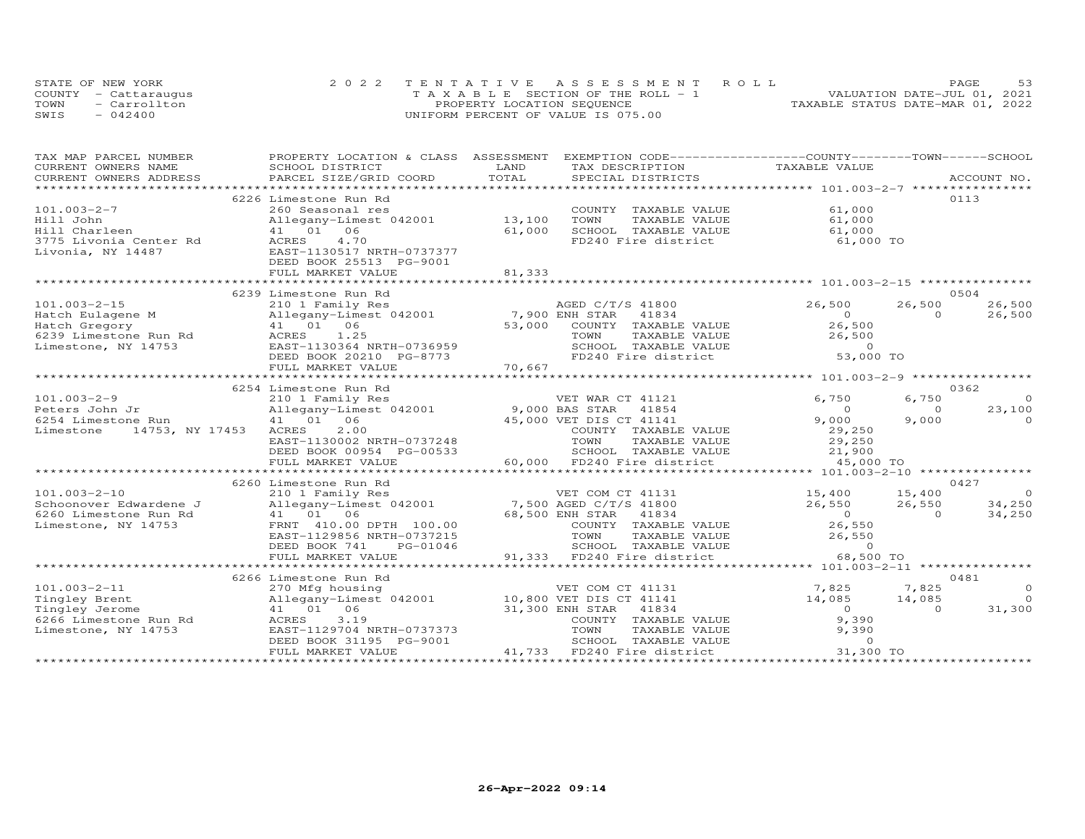|      | STATE OF NEW YORK    |  | 2022 TENTATIVE ASSESSMENT ROLL        | PAGE                        |
|------|----------------------|--|---------------------------------------|-----------------------------|
|      | COUNTY - Cattaraugus |  | T A X A B L E SECTION OF THE ROLL - 1 | VALUATION DATE-JUL 01, 2021 |
| TOWN | - Carrollton         |  | TAXABLE STATUS DATE-MAR 01, 2022      |                             |
| SWIS | $-042400$            |  | UNIFORM PERCENT OF VALUE IS 075.00    |                             |

| TAXABLE VALUE<br>CURRENT OWNERS NAME<br>SCHOOL DISTRICT<br>LAND<br>TAX DESCRIPTION<br>TOTAL<br>CURRENT OWNERS ADDRESS<br>PARCEL SIZE/GRID COORD<br>************************<br>0113<br>6226 Limestone Run Rd<br>$101.003 - 2 - 7$<br>260 Seasonal res<br>61,000<br>COUNTY TAXABLE VALUE<br>13,100<br>Hill John<br>Allegany-Limest 042001<br>TOWN<br>TAXABLE VALUE<br>61,000<br>41 01 06<br>Hill Charleen<br>61,000<br>SCHOOL TAXABLE VALUE<br>61,000<br>4.70<br>FD240 Fire district<br>3775 Livonia Center Rd<br>ACRES<br>61,000 TO<br>Livonia, NY 14487<br>EAST-1130517 NRTH-0737377<br>DEED BOOK 25513 PG-9001 |                |
|------------------------------------------------------------------------------------------------------------------------------------------------------------------------------------------------------------------------------------------------------------------------------------------------------------------------------------------------------------------------------------------------------------------------------------------------------------------------------------------------------------------------------------------------------------------------------------------------------------------|----------------|
|                                                                                                                                                                                                                                                                                                                                                                                                                                                                                                                                                                                                                  |                |
|                                                                                                                                                                                                                                                                                                                                                                                                                                                                                                                                                                                                                  |                |
|                                                                                                                                                                                                                                                                                                                                                                                                                                                                                                                                                                                                                  |                |
|                                                                                                                                                                                                                                                                                                                                                                                                                                                                                                                                                                                                                  |                |
|                                                                                                                                                                                                                                                                                                                                                                                                                                                                                                                                                                                                                  |                |
|                                                                                                                                                                                                                                                                                                                                                                                                                                                                                                                                                                                                                  |                |
|                                                                                                                                                                                                                                                                                                                                                                                                                                                                                                                                                                                                                  |                |
|                                                                                                                                                                                                                                                                                                                                                                                                                                                                                                                                                                                                                  |                |
|                                                                                                                                                                                                                                                                                                                                                                                                                                                                                                                                                                                                                  |                |
|                                                                                                                                                                                                                                                                                                                                                                                                                                                                                                                                                                                                                  |                |
| FULL MARKET VALUE<br>81,333                                                                                                                                                                                                                                                                                                                                                                                                                                                                                                                                                                                      |                |
| ****************************<br>*************                                                                                                                                                                                                                                                                                                                                                                                                                                                                                                                                                                    |                |
| 0504                                                                                                                                                                                                                                                                                                                                                                                                                                                                                                                                                                                                             |                |
| 6239 Limestone Run Rd                                                                                                                                                                                                                                                                                                                                                                                                                                                                                                                                                                                            |                |
| 26,500<br>26,500<br>$101.003 - 2 - 15$<br>210 1 Family Res<br>AGED C/T/S 41800                                                                                                                                                                                                                                                                                                                                                                                                                                                                                                                                   | 26,500         |
| 7,900 ENH STAR<br>Allegany-Limest 042001<br>41834<br>$\Omega$<br>$\Omega$<br>Hatch Eulagene M                                                                                                                                                                                                                                                                                                                                                                                                                                                                                                                    | 26,500         |
| 26,500<br>41 01 06<br>53,000<br>COUNTY TAXABLE VALUE<br>Hatch Gregory                                                                                                                                                                                                                                                                                                                                                                                                                                                                                                                                            |                |
| 1.25<br>TAXABLE VALUE<br>26,500<br>6239 Limestone Run Rd<br>Limestone, NY 14753<br>ACRES<br>TOWN                                                                                                                                                                                                                                                                                                                                                                                                                                                                                                                 |                |
| SCHOOL TAXABLE VALUE<br>$\sim$ 0<br>Limestone, NY 14753<br>EAST-1130364 NRTH-0736959                                                                                                                                                                                                                                                                                                                                                                                                                                                                                                                             |                |
| 53,000 TO<br>FD240 Fire district<br>DEED BOOK 20210 PG-8773                                                                                                                                                                                                                                                                                                                                                                                                                                                                                                                                                      |                |
| 70,667<br>FULL MARKET VALUE                                                                                                                                                                                                                                                                                                                                                                                                                                                                                                                                                                                      |                |
|                                                                                                                                                                                                                                                                                                                                                                                                                                                                                                                                                                                                                  |                |
| 0362<br>6254 Limestone Run Rd                                                                                                                                                                                                                                                                                                                                                                                                                                                                                                                                                                                    |                |
| $101.003 - 2 - 9$<br>6,750<br>6,750<br>210 1 Family Res                                                                                                                                                                                                                                                                                                                                                                                                                                                                                                                                                          | $\circ$        |
| Allegany-Limest 042001<br>Peters John Jr<br>$\overline{O}$<br>$\Omega$                                                                                                                                                                                                                                                                                                                                                                                                                                                                                                                                           | 23,100         |
| VET WAR U.<br>9,000 BAS STAR 41854<br>2011 - The NTS CT 41141<br>6254 Limestone Run<br>41 01 06<br>45,000 VET DIS CT 41141<br>9,000<br>9,000                                                                                                                                                                                                                                                                                                                                                                                                                                                                     | $\Omega$       |
| Limestone<br>14753, NY 17453 ACRES<br>2,00<br>29,250<br>COUNTY TAXABLE VALUE                                                                                                                                                                                                                                                                                                                                                                                                                                                                                                                                     |                |
| EAST-1130002 NRTH-0737248<br>TOWN<br>TAXABLE VALUE<br>29,250                                                                                                                                                                                                                                                                                                                                                                                                                                                                                                                                                     |                |
| SCHOOL TAXABLE VALUE<br>DEED BOOK 00954 PG-00533<br>21,900                                                                                                                                                                                                                                                                                                                                                                                                                                                                                                                                                       |                |
| 60,000 FD240 Fire district<br>FULL MARKET VALUE<br>45,000 TO                                                                                                                                                                                                                                                                                                                                                                                                                                                                                                                                                     |                |
|                                                                                                                                                                                                                                                                                                                                                                                                                                                                                                                                                                                                                  |                |
| 0427<br>6260 Limestone Run Rd                                                                                                                                                                                                                                                                                                                                                                                                                                                                                                                                                                                    |                |
| $101.003 - 2 - 10$<br>VET COM CT 41131<br>15,400<br>15,400<br>210 1 Family Res                                                                                                                                                                                                                                                                                                                                                                                                                                                                                                                                   | $\overline{0}$ |
| Allegany-Limest 042001<br>7,500 AGED C/T/S 41800<br>Schoonover Edwardene J<br>26,550<br>26,550                                                                                                                                                                                                                                                                                                                                                                                                                                                                                                                   | 34,250         |
| 41 01 06<br>6260 Limestone Run Rd<br>68,500 ENH STAR 41834<br>$\bigcirc$<br>$\Omega$                                                                                                                                                                                                                                                                                                                                                                                                                                                                                                                             | 34,250         |
| 26,550<br>Limestone, NY 14753<br>FRNT 410.00 DPTH 100.00<br>COUNTY TAXABLE VALUE                                                                                                                                                                                                                                                                                                                                                                                                                                                                                                                                 |                |
| 26,550<br>EAST-1129856 NRTH-0737215<br>TOWN<br>TAXABLE VALUE                                                                                                                                                                                                                                                                                                                                                                                                                                                                                                                                                     |                |
| PG-01046<br>DEED BOOK 741<br>SCHOOL TAXABLE VALUE<br>$\Omega$                                                                                                                                                                                                                                                                                                                                                                                                                                                                                                                                                    |                |
| 91,333 FD240 Fire district<br>68,500 TO<br>FULL MARKET VALUE                                                                                                                                                                                                                                                                                                                                                                                                                                                                                                                                                     |                |
|                                                                                                                                                                                                                                                                                                                                                                                                                                                                                                                                                                                                                  |                |
| 0481<br>6266 Limestone Run Rd                                                                                                                                                                                                                                                                                                                                                                                                                                                                                                                                                                                    |                |
| $101.003 - 2 - 11$<br>7,825<br>VET COM CT 41131<br>7,825                                                                                                                                                                                                                                                                                                                                                                                                                                                                                                                                                         | $\circ$        |
| 270 Mfg housing<br>Allegany-Limest 042001 10,800 VET DIS CT 41141<br>Tingley Brent<br>14,085<br>14,085                                                                                                                                                                                                                                                                                                                                                                                                                                                                                                           | $\Omega$       |
| $\Omega$                                                                                                                                                                                                                                                                                                                                                                                                                                                                                                                                                                                                         |                |
| 41 01 06<br>Tingley Jerome<br>31,300 ENH STAR<br>41834<br>$\overline{0}$                                                                                                                                                                                                                                                                                                                                                                                                                                                                                                                                         | 31,300         |
| 9,390<br>6266 Limestone Run Rd<br>ACRES<br>3.19<br>COUNTY TAXABLE VALUE                                                                                                                                                                                                                                                                                                                                                                                                                                                                                                                                          |                |
| 9,390<br>EAST-1129704 NRTH-0737373<br>TOWN<br>TAXABLE VALUE<br>Limestone, NY 14753                                                                                                                                                                                                                                                                                                                                                                                                                                                                                                                               |                |
| DEED BOOK 31195 PG-9001<br>SCHOOL TAXABLE VALUE<br>$\Omega$                                                                                                                                                                                                                                                                                                                                                                                                                                                                                                                                                      |                |
| 41,733 FD240 Fire district<br>31,300 TO<br>FULL MARKET VALUE                                                                                                                                                                                                                                                                                                                                                                                                                                                                                                                                                     |                |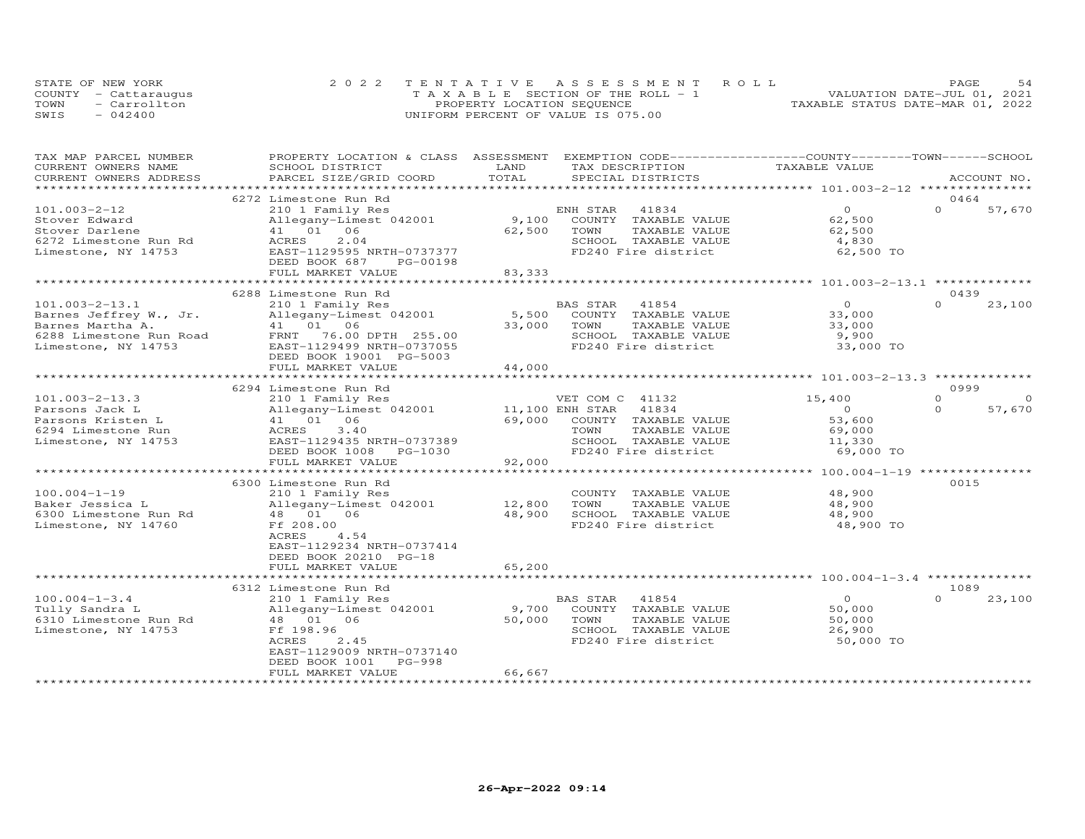|      | STATE OF NEW YORK    | 2022 TENTATIVE ASSESSMENT ROLL     | 54<br>PAGE.                      |
|------|----------------------|------------------------------------|----------------------------------|
|      | COUNTY - Cattaraugus | TAXABLE SECTION OF THE ROLL - 1    | VALUATION DATE-JUL 01, 2021      |
| TOWN | - Carrollton         | PROPERTY LOCATION SEQUENCE         | TAXABLE STATUS DATE-MAR 01, 2022 |
| SWIS | $-042400$            | UNIFORM PERCENT OF VALUE IS 075.00 |                                  |

| TOTAL<br>CURRENT OWNERS ADDRESS<br>PARCEL SIZE/GRID COORD<br>SPECIAL DISTRICTS<br>ACCOUNT NO.<br>0464<br>6272 Limestone Run Rd<br>$\Omega$<br>$\Omega$<br>$101.003 - 2 - 12$<br>210 1 Family Res<br>41834<br>57,670<br>ENH STAR<br>9,100<br>62,500<br>Stover Edward<br>Allegany-Limest 042001<br>COUNTY TAXABLE VALUE<br>41 01 06<br>Stover Darlene<br>62,500<br>TOWN<br>TAXABLE VALUE<br>62,500<br>6272 Limestone Run Rd<br>ACRES<br>2.04<br>SCHOOL TAXABLE VALUE<br>4,830<br>FD240 Fire district<br>62,500 TO<br>Limestone, NY 14753<br>EAST-1129595 NRTH-0737377<br>DEED BOOK 687<br>PG-00198<br>83, 333<br>FULL MARKET VALUE<br>6288 Limestone Run Rd<br>0439<br>$\Omega$<br>$\Omega$<br>210 1 Family Res<br>BAS STAR<br>41854<br>23,100<br>COUNTY TAXABLE VALUE<br>Allegany-Limest 042001<br>5,500<br>33,000<br>41  01  06<br>33,000<br>TOWN<br>TAXABLE VALUE<br>33,000<br>FRNT 76.00 DPTH 255.00<br>SCHOOL TAXABLE VALUE<br>9,900<br>FD240 Fire district<br>EAST-1129499 NRTH-0737055<br>33,000 TO<br>DEED BOOK 19001 PG-5003<br>44,000<br>FULL MARKET VALUE<br>0999<br>6294 Limestone Run Rd<br>$\Omega$<br>VET COM C 41132<br>15,400<br>210 1 Family Res<br>57,670<br>Allegany-Limest 042001<br>11,100 ENH STAR<br>41834<br>$\circ$<br>$\Omega$<br>41 01<br>06<br>69,000<br>COUNTY TAXABLE VALUE<br>53,600<br>TAXABLE VALUE<br>ACRES<br>3.40<br>TOWN<br>69,000<br>EAST-1129435 NRTH-0737389<br>SCHOOL TAXABLE VALUE<br>11,330<br>FD240 Fire district<br>DEED BOOK 1008<br>PG-1030<br>69,000 TO<br>92,000<br>FULL MARKET VALUE<br>**************************<br>0015<br>6300 Limestone Run Rd<br>$100.004 - 1 - 19$<br>210 1 Family Res<br>48,900<br>COUNTY TAXABLE VALUE<br>Allegany-Limest 042001<br>12,800<br>TOWN<br>TAXABLE VALUE<br>48,900<br>Baker Jessica L<br>48 01 06<br>48,900<br>SCHOOL TAXABLE VALUE<br>48,900<br>6300 Limestone Run Rd<br>FD240 Fire district<br>Limestone, NY 14760<br>Ff 208.00<br>48,900 TO<br>ACRES<br>4.54<br>EAST-1129234 NRTH-0737414<br>DEED BOOK 20210 PG-18<br>65,200<br>FULL MARKET VALUE<br>1089<br>6312 Limestone Run Rd<br>$100.004 - 1 - 3.4$<br>41854<br>$\circ$<br>$\Omega$<br>23,100<br>210 1 Family Res<br>BAS STAR<br>Allegany-Limest 042001<br>9,700<br>50,000<br>Tully Sandra L<br>COUNTY TAXABLE VALUE<br>50,000<br>6310 Limestone Run Rd<br>48 01<br>06<br>TOWN<br>TAXABLE VALUE<br>50,000<br>Limestone, NY 14753<br>Ff 198.96<br>SCHOOL TAXABLE VALUE<br>26,900<br>50,000 TO<br>ACRES<br>2.45<br>FD240 Fire district<br>EAST-1129009 NRTH-0737140<br>DEED BOOK 1001<br>PG-998<br>66,667<br>FULL MARKET VALUE | TAX MAP PARCEL NUMBER<br>CURRENT OWNERS NAME | PROPERTY LOCATION & CLASS ASSESSMENT EXEMPTION CODE-----------------COUNTY-------TOWN------SCHOOL<br>SCHOOL DISTRICT | LAND | TAX DESCRIPTION | TAXABLE VALUE |  |
|----------------------------------------------------------------------------------------------------------------------------------------------------------------------------------------------------------------------------------------------------------------------------------------------------------------------------------------------------------------------------------------------------------------------------------------------------------------------------------------------------------------------------------------------------------------------------------------------------------------------------------------------------------------------------------------------------------------------------------------------------------------------------------------------------------------------------------------------------------------------------------------------------------------------------------------------------------------------------------------------------------------------------------------------------------------------------------------------------------------------------------------------------------------------------------------------------------------------------------------------------------------------------------------------------------------------------------------------------------------------------------------------------------------------------------------------------------------------------------------------------------------------------------------------------------------------------------------------------------------------------------------------------------------------------------------------------------------------------------------------------------------------------------------------------------------------------------------------------------------------------------------------------------------------------------------------------------------------------------------------------------------------------------------------------------------------------------------------------------------------------------------------------------------------------------------------------------------------------------------------------------------------------------------------------------------------------------------------------------------------------------------------------------------------------------------------------------------------------------------------------------------------------------------------------------------------------|----------------------------------------------|----------------------------------------------------------------------------------------------------------------------|------|-----------------|---------------|--|
|                                                                                                                                                                                                                                                                                                                                                                                                                                                                                                                                                                                                                                                                                                                                                                                                                                                                                                                                                                                                                                                                                                                                                                                                                                                                                                                                                                                                                                                                                                                                                                                                                                                                                                                                                                                                                                                                                                                                                                                                                                                                                                                                                                                                                                                                                                                                                                                                                                                                                                                                                                            |                                              |                                                                                                                      |      |                 |               |  |
|                                                                                                                                                                                                                                                                                                                                                                                                                                                                                                                                                                                                                                                                                                                                                                                                                                                                                                                                                                                                                                                                                                                                                                                                                                                                                                                                                                                                                                                                                                                                                                                                                                                                                                                                                                                                                                                                                                                                                                                                                                                                                                                                                                                                                                                                                                                                                                                                                                                                                                                                                                            |                                              |                                                                                                                      |      |                 |               |  |
|                                                                                                                                                                                                                                                                                                                                                                                                                                                                                                                                                                                                                                                                                                                                                                                                                                                                                                                                                                                                                                                                                                                                                                                                                                                                                                                                                                                                                                                                                                                                                                                                                                                                                                                                                                                                                                                                                                                                                                                                                                                                                                                                                                                                                                                                                                                                                                                                                                                                                                                                                                            |                                              |                                                                                                                      |      |                 |               |  |
|                                                                                                                                                                                                                                                                                                                                                                                                                                                                                                                                                                                                                                                                                                                                                                                                                                                                                                                                                                                                                                                                                                                                                                                                                                                                                                                                                                                                                                                                                                                                                                                                                                                                                                                                                                                                                                                                                                                                                                                                                                                                                                                                                                                                                                                                                                                                                                                                                                                                                                                                                                            |                                              |                                                                                                                      |      |                 |               |  |
|                                                                                                                                                                                                                                                                                                                                                                                                                                                                                                                                                                                                                                                                                                                                                                                                                                                                                                                                                                                                                                                                                                                                                                                                                                                                                                                                                                                                                                                                                                                                                                                                                                                                                                                                                                                                                                                                                                                                                                                                                                                                                                                                                                                                                                                                                                                                                                                                                                                                                                                                                                            |                                              |                                                                                                                      |      |                 |               |  |
|                                                                                                                                                                                                                                                                                                                                                                                                                                                                                                                                                                                                                                                                                                                                                                                                                                                                                                                                                                                                                                                                                                                                                                                                                                                                                                                                                                                                                                                                                                                                                                                                                                                                                                                                                                                                                                                                                                                                                                                                                                                                                                                                                                                                                                                                                                                                                                                                                                                                                                                                                                            |                                              |                                                                                                                      |      |                 |               |  |
|                                                                                                                                                                                                                                                                                                                                                                                                                                                                                                                                                                                                                                                                                                                                                                                                                                                                                                                                                                                                                                                                                                                                                                                                                                                                                                                                                                                                                                                                                                                                                                                                                                                                                                                                                                                                                                                                                                                                                                                                                                                                                                                                                                                                                                                                                                                                                                                                                                                                                                                                                                            |                                              |                                                                                                                      |      |                 |               |  |
|                                                                                                                                                                                                                                                                                                                                                                                                                                                                                                                                                                                                                                                                                                                                                                                                                                                                                                                                                                                                                                                                                                                                                                                                                                                                                                                                                                                                                                                                                                                                                                                                                                                                                                                                                                                                                                                                                                                                                                                                                                                                                                                                                                                                                                                                                                                                                                                                                                                                                                                                                                            |                                              |                                                                                                                      |      |                 |               |  |
|                                                                                                                                                                                                                                                                                                                                                                                                                                                                                                                                                                                                                                                                                                                                                                                                                                                                                                                                                                                                                                                                                                                                                                                                                                                                                                                                                                                                                                                                                                                                                                                                                                                                                                                                                                                                                                                                                                                                                                                                                                                                                                                                                                                                                                                                                                                                                                                                                                                                                                                                                                            |                                              |                                                                                                                      |      |                 |               |  |
|                                                                                                                                                                                                                                                                                                                                                                                                                                                                                                                                                                                                                                                                                                                                                                                                                                                                                                                                                                                                                                                                                                                                                                                                                                                                                                                                                                                                                                                                                                                                                                                                                                                                                                                                                                                                                                                                                                                                                                                                                                                                                                                                                                                                                                                                                                                                                                                                                                                                                                                                                                            |                                              |                                                                                                                      |      |                 |               |  |
|                                                                                                                                                                                                                                                                                                                                                                                                                                                                                                                                                                                                                                                                                                                                                                                                                                                                                                                                                                                                                                                                                                                                                                                                                                                                                                                                                                                                                                                                                                                                                                                                                                                                                                                                                                                                                                                                                                                                                                                                                                                                                                                                                                                                                                                                                                                                                                                                                                                                                                                                                                            |                                              |                                                                                                                      |      |                 |               |  |
|                                                                                                                                                                                                                                                                                                                                                                                                                                                                                                                                                                                                                                                                                                                                                                                                                                                                                                                                                                                                                                                                                                                                                                                                                                                                                                                                                                                                                                                                                                                                                                                                                                                                                                                                                                                                                                                                                                                                                                                                                                                                                                                                                                                                                                                                                                                                                                                                                                                                                                                                                                            |                                              |                                                                                                                      |      |                 |               |  |
|                                                                                                                                                                                                                                                                                                                                                                                                                                                                                                                                                                                                                                                                                                                                                                                                                                                                                                                                                                                                                                                                                                                                                                                                                                                                                                                                                                                                                                                                                                                                                                                                                                                                                                                                                                                                                                                                                                                                                                                                                                                                                                                                                                                                                                                                                                                                                                                                                                                                                                                                                                            | $101.003 - 2 - 13.1$                         |                                                                                                                      |      |                 |               |  |
|                                                                                                                                                                                                                                                                                                                                                                                                                                                                                                                                                                                                                                                                                                                                                                                                                                                                                                                                                                                                                                                                                                                                                                                                                                                                                                                                                                                                                                                                                                                                                                                                                                                                                                                                                                                                                                                                                                                                                                                                                                                                                                                                                                                                                                                                                                                                                                                                                                                                                                                                                                            | Barnes Jeffrey W., Jr.                       |                                                                                                                      |      |                 |               |  |
|                                                                                                                                                                                                                                                                                                                                                                                                                                                                                                                                                                                                                                                                                                                                                                                                                                                                                                                                                                                                                                                                                                                                                                                                                                                                                                                                                                                                                                                                                                                                                                                                                                                                                                                                                                                                                                                                                                                                                                                                                                                                                                                                                                                                                                                                                                                                                                                                                                                                                                                                                                            | Barnes Martha A.                             |                                                                                                                      |      |                 |               |  |
|                                                                                                                                                                                                                                                                                                                                                                                                                                                                                                                                                                                                                                                                                                                                                                                                                                                                                                                                                                                                                                                                                                                                                                                                                                                                                                                                                                                                                                                                                                                                                                                                                                                                                                                                                                                                                                                                                                                                                                                                                                                                                                                                                                                                                                                                                                                                                                                                                                                                                                                                                                            | 6288 Limestone Run Road                      |                                                                                                                      |      |                 |               |  |
|                                                                                                                                                                                                                                                                                                                                                                                                                                                                                                                                                                                                                                                                                                                                                                                                                                                                                                                                                                                                                                                                                                                                                                                                                                                                                                                                                                                                                                                                                                                                                                                                                                                                                                                                                                                                                                                                                                                                                                                                                                                                                                                                                                                                                                                                                                                                                                                                                                                                                                                                                                            | Limestone, NY 14753                          |                                                                                                                      |      |                 |               |  |
|                                                                                                                                                                                                                                                                                                                                                                                                                                                                                                                                                                                                                                                                                                                                                                                                                                                                                                                                                                                                                                                                                                                                                                                                                                                                                                                                                                                                                                                                                                                                                                                                                                                                                                                                                                                                                                                                                                                                                                                                                                                                                                                                                                                                                                                                                                                                                                                                                                                                                                                                                                            |                                              |                                                                                                                      |      |                 |               |  |
|                                                                                                                                                                                                                                                                                                                                                                                                                                                                                                                                                                                                                                                                                                                                                                                                                                                                                                                                                                                                                                                                                                                                                                                                                                                                                                                                                                                                                                                                                                                                                                                                                                                                                                                                                                                                                                                                                                                                                                                                                                                                                                                                                                                                                                                                                                                                                                                                                                                                                                                                                                            |                                              |                                                                                                                      |      |                 |               |  |
|                                                                                                                                                                                                                                                                                                                                                                                                                                                                                                                                                                                                                                                                                                                                                                                                                                                                                                                                                                                                                                                                                                                                                                                                                                                                                                                                                                                                                                                                                                                                                                                                                                                                                                                                                                                                                                                                                                                                                                                                                                                                                                                                                                                                                                                                                                                                                                                                                                                                                                                                                                            |                                              |                                                                                                                      |      |                 |               |  |
|                                                                                                                                                                                                                                                                                                                                                                                                                                                                                                                                                                                                                                                                                                                                                                                                                                                                                                                                                                                                                                                                                                                                                                                                                                                                                                                                                                                                                                                                                                                                                                                                                                                                                                                                                                                                                                                                                                                                                                                                                                                                                                                                                                                                                                                                                                                                                                                                                                                                                                                                                                            |                                              |                                                                                                                      |      |                 |               |  |
|                                                                                                                                                                                                                                                                                                                                                                                                                                                                                                                                                                                                                                                                                                                                                                                                                                                                                                                                                                                                                                                                                                                                                                                                                                                                                                                                                                                                                                                                                                                                                                                                                                                                                                                                                                                                                                                                                                                                                                                                                                                                                                                                                                                                                                                                                                                                                                                                                                                                                                                                                                            | $101.003 - 2 - 13.3$                         |                                                                                                                      |      |                 |               |  |
|                                                                                                                                                                                                                                                                                                                                                                                                                                                                                                                                                                                                                                                                                                                                                                                                                                                                                                                                                                                                                                                                                                                                                                                                                                                                                                                                                                                                                                                                                                                                                                                                                                                                                                                                                                                                                                                                                                                                                                                                                                                                                                                                                                                                                                                                                                                                                                                                                                                                                                                                                                            | Parsons Jack L                               |                                                                                                                      |      |                 |               |  |
|                                                                                                                                                                                                                                                                                                                                                                                                                                                                                                                                                                                                                                                                                                                                                                                                                                                                                                                                                                                                                                                                                                                                                                                                                                                                                                                                                                                                                                                                                                                                                                                                                                                                                                                                                                                                                                                                                                                                                                                                                                                                                                                                                                                                                                                                                                                                                                                                                                                                                                                                                                            | Parsons Kristen L                            |                                                                                                                      |      |                 |               |  |
|                                                                                                                                                                                                                                                                                                                                                                                                                                                                                                                                                                                                                                                                                                                                                                                                                                                                                                                                                                                                                                                                                                                                                                                                                                                                                                                                                                                                                                                                                                                                                                                                                                                                                                                                                                                                                                                                                                                                                                                                                                                                                                                                                                                                                                                                                                                                                                                                                                                                                                                                                                            | 6294 Limestone Run                           |                                                                                                                      |      |                 |               |  |
|                                                                                                                                                                                                                                                                                                                                                                                                                                                                                                                                                                                                                                                                                                                                                                                                                                                                                                                                                                                                                                                                                                                                                                                                                                                                                                                                                                                                                                                                                                                                                                                                                                                                                                                                                                                                                                                                                                                                                                                                                                                                                                                                                                                                                                                                                                                                                                                                                                                                                                                                                                            | Limestone, NY 14753                          |                                                                                                                      |      |                 |               |  |
|                                                                                                                                                                                                                                                                                                                                                                                                                                                                                                                                                                                                                                                                                                                                                                                                                                                                                                                                                                                                                                                                                                                                                                                                                                                                                                                                                                                                                                                                                                                                                                                                                                                                                                                                                                                                                                                                                                                                                                                                                                                                                                                                                                                                                                                                                                                                                                                                                                                                                                                                                                            |                                              |                                                                                                                      |      |                 |               |  |
|                                                                                                                                                                                                                                                                                                                                                                                                                                                                                                                                                                                                                                                                                                                                                                                                                                                                                                                                                                                                                                                                                                                                                                                                                                                                                                                                                                                                                                                                                                                                                                                                                                                                                                                                                                                                                                                                                                                                                                                                                                                                                                                                                                                                                                                                                                                                                                                                                                                                                                                                                                            |                                              |                                                                                                                      |      |                 |               |  |
|                                                                                                                                                                                                                                                                                                                                                                                                                                                                                                                                                                                                                                                                                                                                                                                                                                                                                                                                                                                                                                                                                                                                                                                                                                                                                                                                                                                                                                                                                                                                                                                                                                                                                                                                                                                                                                                                                                                                                                                                                                                                                                                                                                                                                                                                                                                                                                                                                                                                                                                                                                            |                                              |                                                                                                                      |      |                 |               |  |
|                                                                                                                                                                                                                                                                                                                                                                                                                                                                                                                                                                                                                                                                                                                                                                                                                                                                                                                                                                                                                                                                                                                                                                                                                                                                                                                                                                                                                                                                                                                                                                                                                                                                                                                                                                                                                                                                                                                                                                                                                                                                                                                                                                                                                                                                                                                                                                                                                                                                                                                                                                            |                                              |                                                                                                                      |      |                 |               |  |
|                                                                                                                                                                                                                                                                                                                                                                                                                                                                                                                                                                                                                                                                                                                                                                                                                                                                                                                                                                                                                                                                                                                                                                                                                                                                                                                                                                                                                                                                                                                                                                                                                                                                                                                                                                                                                                                                                                                                                                                                                                                                                                                                                                                                                                                                                                                                                                                                                                                                                                                                                                            |                                              |                                                                                                                      |      |                 |               |  |
|                                                                                                                                                                                                                                                                                                                                                                                                                                                                                                                                                                                                                                                                                                                                                                                                                                                                                                                                                                                                                                                                                                                                                                                                                                                                                                                                                                                                                                                                                                                                                                                                                                                                                                                                                                                                                                                                                                                                                                                                                                                                                                                                                                                                                                                                                                                                                                                                                                                                                                                                                                            |                                              |                                                                                                                      |      |                 |               |  |
|                                                                                                                                                                                                                                                                                                                                                                                                                                                                                                                                                                                                                                                                                                                                                                                                                                                                                                                                                                                                                                                                                                                                                                                                                                                                                                                                                                                                                                                                                                                                                                                                                                                                                                                                                                                                                                                                                                                                                                                                                                                                                                                                                                                                                                                                                                                                                                                                                                                                                                                                                                            |                                              |                                                                                                                      |      |                 |               |  |
|                                                                                                                                                                                                                                                                                                                                                                                                                                                                                                                                                                                                                                                                                                                                                                                                                                                                                                                                                                                                                                                                                                                                                                                                                                                                                                                                                                                                                                                                                                                                                                                                                                                                                                                                                                                                                                                                                                                                                                                                                                                                                                                                                                                                                                                                                                                                                                                                                                                                                                                                                                            |                                              |                                                                                                                      |      |                 |               |  |
|                                                                                                                                                                                                                                                                                                                                                                                                                                                                                                                                                                                                                                                                                                                                                                                                                                                                                                                                                                                                                                                                                                                                                                                                                                                                                                                                                                                                                                                                                                                                                                                                                                                                                                                                                                                                                                                                                                                                                                                                                                                                                                                                                                                                                                                                                                                                                                                                                                                                                                                                                                            |                                              |                                                                                                                      |      |                 |               |  |
|                                                                                                                                                                                                                                                                                                                                                                                                                                                                                                                                                                                                                                                                                                                                                                                                                                                                                                                                                                                                                                                                                                                                                                                                                                                                                                                                                                                                                                                                                                                                                                                                                                                                                                                                                                                                                                                                                                                                                                                                                                                                                                                                                                                                                                                                                                                                                                                                                                                                                                                                                                            |                                              |                                                                                                                      |      |                 |               |  |
|                                                                                                                                                                                                                                                                                                                                                                                                                                                                                                                                                                                                                                                                                                                                                                                                                                                                                                                                                                                                                                                                                                                                                                                                                                                                                                                                                                                                                                                                                                                                                                                                                                                                                                                                                                                                                                                                                                                                                                                                                                                                                                                                                                                                                                                                                                                                                                                                                                                                                                                                                                            |                                              |                                                                                                                      |      |                 |               |  |
|                                                                                                                                                                                                                                                                                                                                                                                                                                                                                                                                                                                                                                                                                                                                                                                                                                                                                                                                                                                                                                                                                                                                                                                                                                                                                                                                                                                                                                                                                                                                                                                                                                                                                                                                                                                                                                                                                                                                                                                                                                                                                                                                                                                                                                                                                                                                                                                                                                                                                                                                                                            |                                              |                                                                                                                      |      |                 |               |  |
|                                                                                                                                                                                                                                                                                                                                                                                                                                                                                                                                                                                                                                                                                                                                                                                                                                                                                                                                                                                                                                                                                                                                                                                                                                                                                                                                                                                                                                                                                                                                                                                                                                                                                                                                                                                                                                                                                                                                                                                                                                                                                                                                                                                                                                                                                                                                                                                                                                                                                                                                                                            |                                              |                                                                                                                      |      |                 |               |  |
|                                                                                                                                                                                                                                                                                                                                                                                                                                                                                                                                                                                                                                                                                                                                                                                                                                                                                                                                                                                                                                                                                                                                                                                                                                                                                                                                                                                                                                                                                                                                                                                                                                                                                                                                                                                                                                                                                                                                                                                                                                                                                                                                                                                                                                                                                                                                                                                                                                                                                                                                                                            |                                              |                                                                                                                      |      |                 |               |  |
|                                                                                                                                                                                                                                                                                                                                                                                                                                                                                                                                                                                                                                                                                                                                                                                                                                                                                                                                                                                                                                                                                                                                                                                                                                                                                                                                                                                                                                                                                                                                                                                                                                                                                                                                                                                                                                                                                                                                                                                                                                                                                                                                                                                                                                                                                                                                                                                                                                                                                                                                                                            |                                              |                                                                                                                      |      |                 |               |  |
|                                                                                                                                                                                                                                                                                                                                                                                                                                                                                                                                                                                                                                                                                                                                                                                                                                                                                                                                                                                                                                                                                                                                                                                                                                                                                                                                                                                                                                                                                                                                                                                                                                                                                                                                                                                                                                                                                                                                                                                                                                                                                                                                                                                                                                                                                                                                                                                                                                                                                                                                                                            |                                              |                                                                                                                      |      |                 |               |  |
|                                                                                                                                                                                                                                                                                                                                                                                                                                                                                                                                                                                                                                                                                                                                                                                                                                                                                                                                                                                                                                                                                                                                                                                                                                                                                                                                                                                                                                                                                                                                                                                                                                                                                                                                                                                                                                                                                                                                                                                                                                                                                                                                                                                                                                                                                                                                                                                                                                                                                                                                                                            |                                              |                                                                                                                      |      |                 |               |  |
|                                                                                                                                                                                                                                                                                                                                                                                                                                                                                                                                                                                                                                                                                                                                                                                                                                                                                                                                                                                                                                                                                                                                                                                                                                                                                                                                                                                                                                                                                                                                                                                                                                                                                                                                                                                                                                                                                                                                                                                                                                                                                                                                                                                                                                                                                                                                                                                                                                                                                                                                                                            |                                              |                                                                                                                      |      |                 |               |  |
|                                                                                                                                                                                                                                                                                                                                                                                                                                                                                                                                                                                                                                                                                                                                                                                                                                                                                                                                                                                                                                                                                                                                                                                                                                                                                                                                                                                                                                                                                                                                                                                                                                                                                                                                                                                                                                                                                                                                                                                                                                                                                                                                                                                                                                                                                                                                                                                                                                                                                                                                                                            |                                              |                                                                                                                      |      |                 |               |  |
|                                                                                                                                                                                                                                                                                                                                                                                                                                                                                                                                                                                                                                                                                                                                                                                                                                                                                                                                                                                                                                                                                                                                                                                                                                                                                                                                                                                                                                                                                                                                                                                                                                                                                                                                                                                                                                                                                                                                                                                                                                                                                                                                                                                                                                                                                                                                                                                                                                                                                                                                                                            |                                              |                                                                                                                      |      |                 |               |  |
|                                                                                                                                                                                                                                                                                                                                                                                                                                                                                                                                                                                                                                                                                                                                                                                                                                                                                                                                                                                                                                                                                                                                                                                                                                                                                                                                                                                                                                                                                                                                                                                                                                                                                                                                                                                                                                                                                                                                                                                                                                                                                                                                                                                                                                                                                                                                                                                                                                                                                                                                                                            |                                              |                                                                                                                      |      |                 |               |  |
|                                                                                                                                                                                                                                                                                                                                                                                                                                                                                                                                                                                                                                                                                                                                                                                                                                                                                                                                                                                                                                                                                                                                                                                                                                                                                                                                                                                                                                                                                                                                                                                                                                                                                                                                                                                                                                                                                                                                                                                                                                                                                                                                                                                                                                                                                                                                                                                                                                                                                                                                                                            |                                              |                                                                                                                      |      |                 |               |  |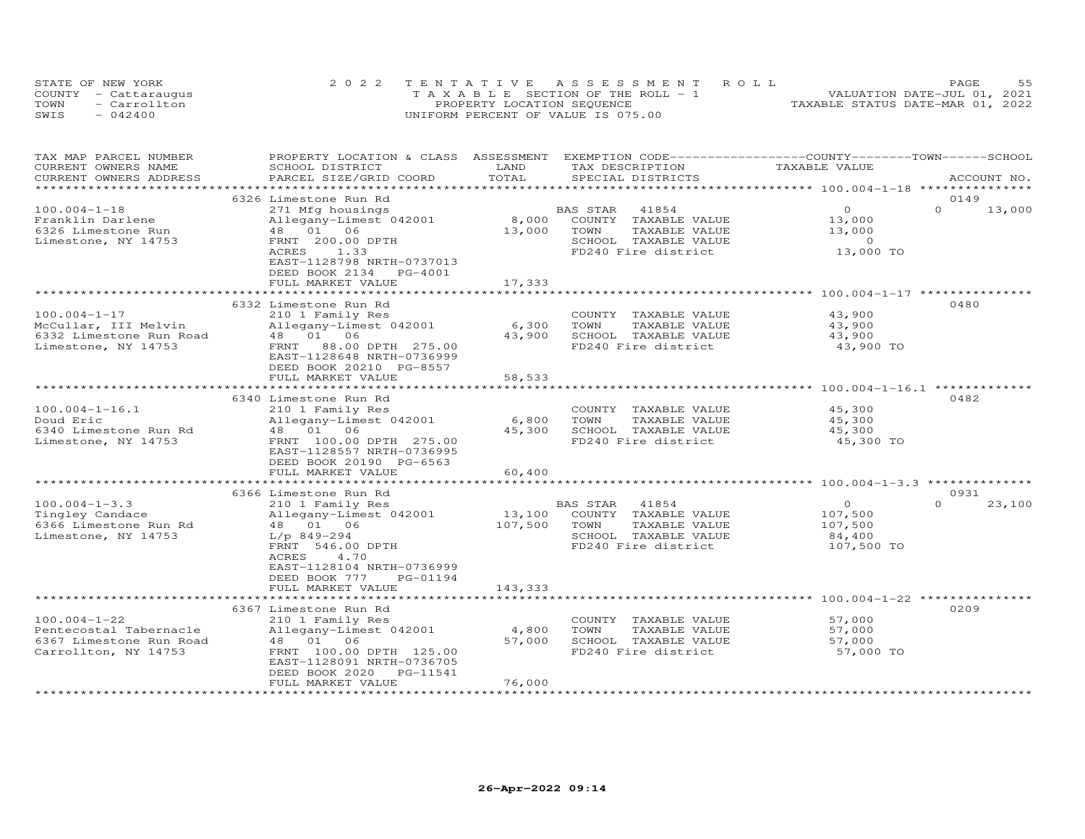| STATE OF NEW YORK |                      | 2022 TENTATIVE ASSESSMENT ROLL        | <b>PAGE</b>                      |
|-------------------|----------------------|---------------------------------------|----------------------------------|
|                   | COUNTY - Cattaraugus | T A X A B L E SECTION OF THE ROLL - 1 | VALUATION DATE-JUL 01, 2021      |
| TOWN              | - Carrollton         | PROPERTY LOCATION SEQUENCE            | TAXABLE STATUS DATE-MAR 01, 2022 |
| SWIS              | $-042400$            | UNIFORM PERCENT OF VALUE IS 075.00    |                                  |

| TAX MAP PARCEL NUMBER<br>CURRENT OWNERS NAME<br>CURRENT OWNERS ADDRESS                          | PROPERTY LOCATION & CLASS ASSESSMENT<br>SCHOOL DISTRICT<br>PARCEL SIZE/GRID COORD                                                                                                                     | LAND<br>TOTAL                 | EXEMPTION CODE-----------------COUNTY-------TOWN------SCHOOL<br>TAX DESCRIPTION<br>SPECIAL DISTRICTS                 | TAXABLE VALUE                                                | ACCOUNT NO.                |
|-------------------------------------------------------------------------------------------------|-------------------------------------------------------------------------------------------------------------------------------------------------------------------------------------------------------|-------------------------------|----------------------------------------------------------------------------------------------------------------------|--------------------------------------------------------------|----------------------------|
| **********************                                                                          | ****************************                                                                                                                                                                          |                               |                                                                                                                      |                                                              |                            |
| $100.004 - 1 - 18$<br>Franklin Darlene<br>6326 Limestone Run<br>Limestone, NY 14753             | 6326 Limestone Run Rd<br>271 Mfg housings<br>Allegany-Limest 042001<br>48  01  06<br>FRNT 200.00 DPTH<br>ACRES<br>1.33<br>EAST-1128798 NRTH-0737013<br>DEED BOOK 2134<br>PG-4001<br>FULL MARKET VALUE | 8,000<br>13,000<br>17,333     | 41854<br>BAS STAR<br>COUNTY<br>TAXABLE VALUE<br>TOWN<br>TAXABLE VALUE<br>SCHOOL TAXABLE VALUE<br>FD240 Fire district | $\Omega$<br>13,000<br>13,000<br>$\circ$<br>13,000 TO         | 0149<br>$\Omega$<br>13,000 |
|                                                                                                 | 6332 Limestone Run Rd                                                                                                                                                                                 | *************                 |                                                                                                                      | ************************ 100.004-1-17 **************         | 0480                       |
| $100.004 - 1 - 17$<br>McCullar, III Melvin<br>6332 Limestone Run Road<br>Limestone, NY 14753    | 210 1 Family Res<br>Allegany-Limest 042001<br>48  01  06<br>FRNT<br>88.00 DPTH 275.00<br>EAST-1128648 NRTH-0736999<br>DEED BOOK 20210 PG-8557                                                         | 6,300<br>43,900               | COUNTY TAXABLE VALUE<br>TOWN<br>TAXABLE VALUE<br>SCHOOL TAXABLE VALUE<br>FD240 Fire district                         | 43,900<br>43,900<br>43,900<br>43,900 TO                      |                            |
|                                                                                                 | FULL MARKET VALUE                                                                                                                                                                                     | 58,533<br>******************* |                                                                                                                      | ******************************** 100.004-1-16.1 ************ |                            |
| $100.004 - 1 - 16.1$<br>Doud Eric<br>6340 Limestone Run Rd                                      | 6340 Limestone Run Rd<br>210 1 Family Res<br>Allegany-Limest 042001<br>48 01 06                                                                                                                       | 6,800<br>45,300               | COUNTY<br>TAXABLE VALUE<br>TOWN<br>TAXABLE VALUE<br>SCHOOL TAXABLE VALUE                                             | 45,300<br>45,300<br>45,300                                   | 0482                       |
| Limestone, NY 14753                                                                             | FRNT 100.00 DPTH 275.00<br>EAST-1128557 NRTH-0736995<br>DEED BOOK 20190 PG-6563<br>FULL MARKET VALUE                                                                                                  | 60,400                        | FD240 Fire district                                                                                                  | 45,300 TO                                                    |                            |
|                                                                                                 | ******************************<br>6366 Limestone Run Rd                                                                                                                                               |                               |                                                                                                                      |                                                              | 0931                       |
| $100.004 - 1 - 3.3$<br>Tingley Candace<br>6366 Limestone Run Rd<br>Limestone, NY 14753          | 210 1 Family Res<br>Allegany-Limest 042001<br>48  01  06<br>$L/p$ 849-294<br>FRNT 546.00 DPTH<br>ACRES<br>4.70<br>EAST-1128104 NRTH-0736999<br>DEED BOOK 777<br>PG-01194                              | 13,100<br>107,500             | 41854<br>BAS STAR<br>COUNTY TAXABLE VALUE<br>TOWN<br>TAXABLE VALUE<br>SCHOOL TAXABLE VALUE<br>FD240 Fire district    | $\circ$<br>107,500<br>107,500<br>84,400<br>107,500 TO        | $\Omega$<br>23,100         |
|                                                                                                 | FULL MARKET VALUE                                                                                                                                                                                     | 143,333                       |                                                                                                                      |                                                              |                            |
|                                                                                                 | ******************************<br>6367 Limestone Run Rd                                                                                                                                               | **************                |                                                                                                                      | ******************************* 100.004-1-22 **************  | 0209                       |
| $100.004 - 1 - 22$<br>Pentecostal Tabernacle<br>6367 Limestone Run Road<br>Carrollton, NY 14753 | 210 1 Family Res<br>Allegany-Limest 042001<br>06<br>48 01<br>FRNT 100.00 DPTH 125.00<br>EAST-1128091 NRTH-0736705<br>DEED BOOK 2020<br>PG-11541                                                       | 4,800<br>57,000               | COUNTY TAXABLE VALUE<br>TOWN<br>TAXABLE VALUE<br>SCHOOL TAXABLE VALUE<br>FD240 Fire district                         | 57,000<br>57,000<br>57,000<br>57,000 TO                      |                            |
|                                                                                                 | FULL MARKET VALUE                                                                                                                                                                                     | 76,000                        |                                                                                                                      |                                                              |                            |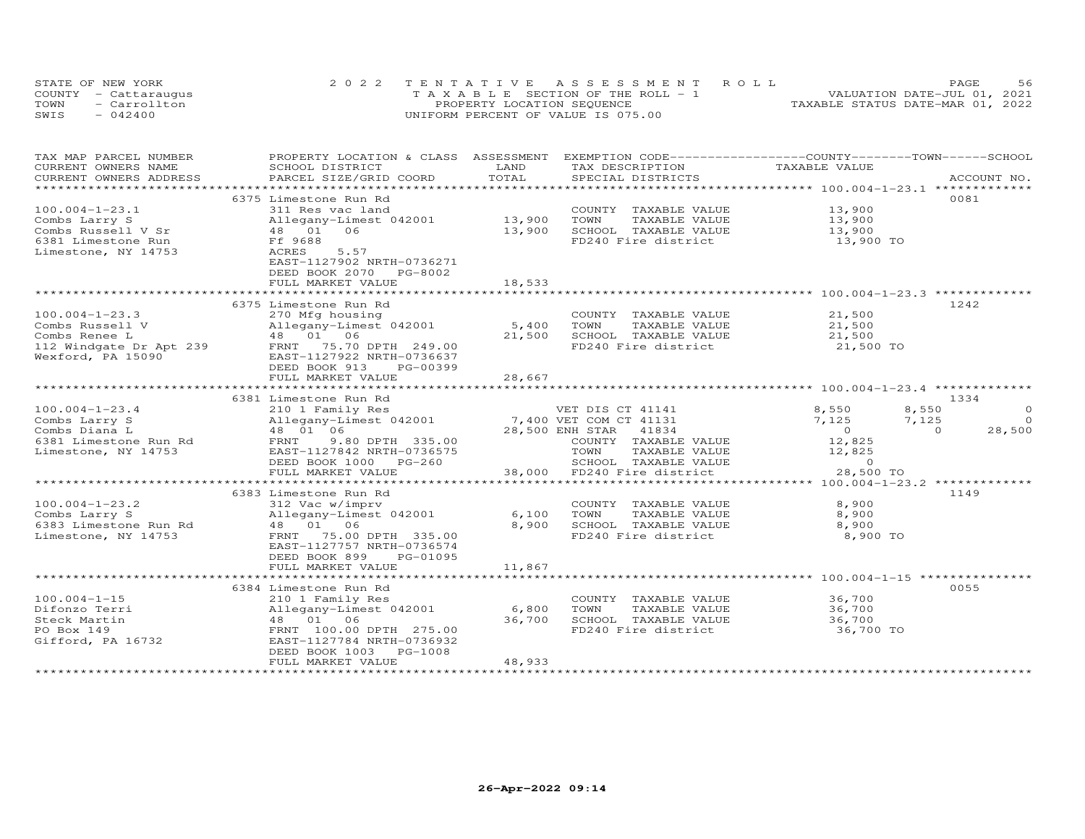|      | STATE OF NEW YORK    | 2022 TENTATIVE ASSESSMENT ROLL        | 56<br>PAGE                       |
|------|----------------------|---------------------------------------|----------------------------------|
|      | COUNTY - Cattaraugus | T A X A B L E SECTION OF THE ROLL - 1 | VALUATION DATE-JUL 01, 2021      |
| TOWN | - Carrollton         | PROPERTY LOCATION SEQUENCE            | TAXABLE STATUS DATE-MAR 01, 2022 |
| SWIS | $-042400$            | UNIFORM PERCENT OF VALUE IS 075.00    |                                  |

| TAX MAP PARCEL NUMBER      | PROPERTY LOCATION & CLASS ASSESSMENT             |        | EXEMPTION CODE-----------------COUNTY-------TOWN------SCHOOL                             |                |                    |
|----------------------------|--------------------------------------------------|--------|------------------------------------------------------------------------------------------|----------------|--------------------|
| CURRENT OWNERS NAME        | SCHOOL DISTRICT                                  | LAND   | TAX DESCRIPTION                                                                          | TAXABLE VALUE  |                    |
| CURRENT OWNERS ADDRESS     | PARCEL SIZE/GRID COORD                           | TOTAL  | SPECIAL DISTRICTS                                                                        |                | ACCOUNT NO.        |
| ***********************    |                                                  |        |                                                                                          |                |                    |
|                            | 6375 Limestone Run Rd                            |        |                                                                                          |                | 0081               |
| $100.004 - 1 - 23.1$       | 311 Res vac land                                 |        | COUNTY TAXABLE VALUE                                                                     | 13,900         |                    |
| Combs Larry S              | Allegany-Limest 042001                           | 13,900 | TOWN<br>TAXABLE VALUE                                                                    | 13,900         |                    |
| Combs Russell V Sr         | 06<br>48 01                                      | 13,900 | SCHOOL TAXABLE VALUE                                                                     | 13,900         |                    |
| 6381 Limestone Run         | Ff 9688                                          |        | FD240 Fire district                                                                      | 13,900 TO      |                    |
| Limestone, NY 14753        | 5.57<br>ACRES                                    |        |                                                                                          |                |                    |
|                            | EAST-1127902 NRTH-0736271                        |        |                                                                                          |                |                    |
|                            | DEED BOOK 2070 PG-8002                           |        |                                                                                          |                |                    |
|                            | FULL MARKET VALUE                                | 18,533 |                                                                                          |                |                    |
|                            |                                                  |        |                                                                                          |                |                    |
|                            | 6375 Limestone Run Rd                            |        |                                                                                          |                | 1242               |
| $100.004 - 1 - 23.3$       | 270 Mfg housing                                  |        | COUNTY TAXABLE VALUE                                                                     | 21,500         |                    |
| Combs Russell V            | Allegany-Limest 042001                           | 5,400  | TAXABLE VALUE<br>TOWN                                                                    | 21,500         |                    |
| Combs Renee L              | 48  01  06                                       | 21,500 | SCHOOL TAXABLE VALUE                                                                     | 21,500         |                    |
| 112 Windgate Dr Apt 239    | FRNT 75.70 DPTH 249.00                           |        | FD240 Fire district                                                                      | 21,500 TO      |                    |
| Wexford, PA 15090          | EAST-1127922 NRTH-0736637                        |        |                                                                                          |                |                    |
|                            | DEED BOOK 913<br>PG-00399                        |        |                                                                                          |                |                    |
|                            | FULL MARKET VALUE                                | 28,667 |                                                                                          |                |                    |
|                            |                                                  |        |                                                                                          |                |                    |
|                            | 6381 Limestone Run Rd                            |        |                                                                                          |                | 1334               |
| $100.004 - 1 - 23.4$       |                                                  |        | VET DIS CT 41141                                                                         | 8,550          | $\Omega$<br>8,550  |
| Combs Larry S              |                                                  |        |                                                                                          | 7,125          | 7,125<br>$\Omega$  |
| Combs Diana L              | 48 01 06                                         |        | 28,500 ENH STAR 41834                                                                    | $\overline{0}$ | 28,500<br>$\Omega$ |
| 6381 Limestone Run Rd FRNT | 9.80 DPTH 335.00                                 |        | COUNTY TAXABLE VALUE                                                                     | 12,825         |                    |
| Limestone, NY 14753        | EAST-1127842 NRTH-0736575                        |        | TOWN<br>TAXABLE VALUE                                                                    | 12,825         |                    |
|                            | DEED BOOK 1000 PG-260                            |        | TOWN TAXABLE VALUE 12,825<br>SCHOOL TAXABLE VALUE 0<br>38,000 FD240 Fire district 28,500 |                |                    |
|                            | FULL MARKET VALUE                                |        |                                                                                          | 28,500 TO      |                    |
|                            |                                                  |        |                                                                                          |                |                    |
|                            | 6383 Limestone Run Rd                            |        |                                                                                          |                | 1149               |
| $100.004 - 1 - 23.2$       | 312 Vac w/imprv                                  |        | COUNTY TAXABLE VALUE                                                                     | 8,900          |                    |
|                            | Allegany-Limest 042001                           | 6,100  | TAXABLE VALUE<br>TOWN                                                                    | 8,900          |                    |
|                            |                                                  | 8,900  | SCHOOL TAXABLE VALUE                                                                     | 8,900          |                    |
| Limestone, NY 14753        | FRNT 75.00 DPTH 335.00                           |        | FD240 Fire district                                                                      | 8,900 TO       |                    |
|                            | EAST-1127757 NRTH-0736574                        |        |                                                                                          |                |                    |
|                            | DEED BOOK 899<br>PG-01095                        |        |                                                                                          |                |                    |
|                            | FULL MARKET VALUE                                | 11,867 |                                                                                          |                |                    |
|                            |                                                  |        |                                                                                          |                |                    |
|                            |                                                  |        |                                                                                          |                | 0055               |
|                            | 6384 Limestone Run Rd                            |        |                                                                                          |                |                    |
| $100.004 - 1 - 15$         | 210 1 Family Res<br>Allegany-Limest 042001 6,800 |        | COUNTY TAXABLE VALUE<br>TAXABLE VALUE                                                    | 36,700         |                    |
| Difonzo Terri              |                                                  |        | TOWN                                                                                     | 36,700         |                    |
| Steck Martin               | 48 01 06                                         | 36,700 | FD240 Fire district                                                                      | 36,700         |                    |
| PO Box 149                 | FRNT 100.00 DPTH 275.00                          |        |                                                                                          | $36,700$ TO    |                    |
| Gifford, PA 16732          | EAST-1127784 NRTH-0736932                        |        |                                                                                          |                |                    |
|                            | DEED BOOK 1003<br>PG-1008                        |        |                                                                                          |                |                    |
|                            | FULL MARKET VALUE                                | 48,933 |                                                                                          |                |                    |
|                            |                                                  |        |                                                                                          |                |                    |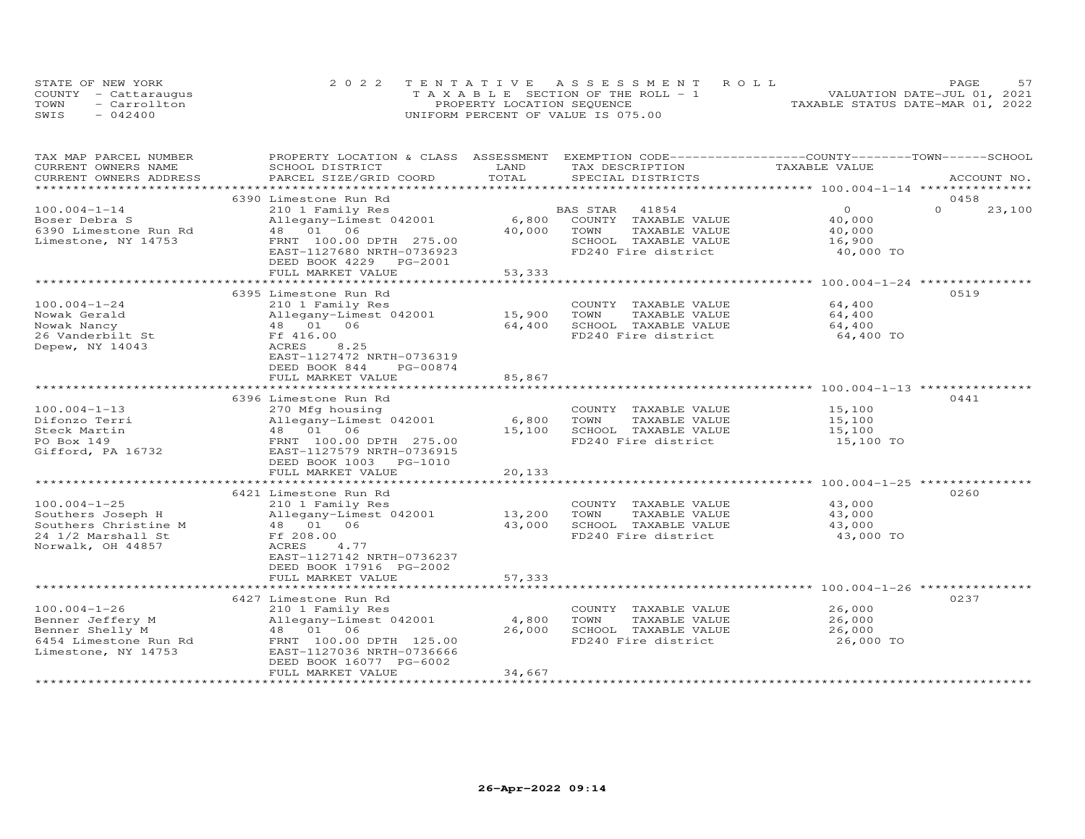|      | STATE OF NEW YORK    | 2022 TENTATIVE ASSESSMENT ROLL        | <b>PAGE</b>                      |
|------|----------------------|---------------------------------------|----------------------------------|
|      | COUNTY - Cattaraugus | T A X A B L E SECTION OF THE ROLL - 1 | VALUATION DATE-JUL 01, 2021      |
| TOWN | - Carrollton         | PROPERTY LOCATION SEQUENCE            | TAXABLE STATUS DATE-MAR 01, 2022 |
| SWIS | $-042400$            | UNIFORM PERCENT OF VALUE IS 075.00    |                                  |

| TAX MAP PARCEL NUMBER                         | PROPERTY LOCATION & CLASS ASSESSMENT EXEMPTION CODE----------------COUNTY-------TOWN------SCHOOL | LAND            |                                               | TAXABLE VALUE                                 |                    |
|-----------------------------------------------|--------------------------------------------------------------------------------------------------|-----------------|-----------------------------------------------|-----------------------------------------------|--------------------|
| CURRENT OWNERS NAME<br>CURRENT OWNERS ADDRESS | SCHOOL DISTRICT<br>PARCEL SIZE/GRID COORD                                                        | TOTAL           | TAX DESCRIPTION<br>SPECIAL DISTRICTS          |                                               | ACCOUNT NO.        |
|                                               |                                                                                                  |                 |                                               |                                               |                    |
|                                               | 6390 Limestone Run Rd                                                                            |                 |                                               |                                               | 0458               |
| $100.004 - 1 - 14$                            | 210 1 Family Res                                                                                 |                 | 41854<br>BAS STAR                             | $\Omega$                                      | $\Omega$<br>23,100 |
| Boser Debra S                                 | Allegany-Limest 042001                                                                           | 6,800           | COUNTY TAXABLE VALUE                          | 40,000                                        |                    |
| 6390 Limestone Run Rd                         | 48 01 06                                                                                         | 40,000          | TAXABLE VALUE<br>TOWN                         | 40,000                                        |                    |
| Limestone, NY 14753                           | FRNT 100.00 DPTH 275.00                                                                          |                 | SCHOOL TAXABLE VALUE                          | 16,900                                        |                    |
|                                               | EAST-1127680 NRTH-0736923                                                                        |                 | FD240 Fire district                           | 40,000 TO                                     |                    |
|                                               | DEED BOOK 4229 PG-2001                                                                           |                 |                                               |                                               |                    |
|                                               | FULL MARKET VALUE                                                                                | 53,333          |                                               |                                               |                    |
|                                               |                                                                                                  |                 |                                               |                                               |                    |
|                                               | 6395 Limestone Run Rd                                                                            |                 |                                               |                                               | 0519               |
| $100.004 - 1 - 24$                            | 210 1 Family Res                                                                                 |                 | COUNTY TAXABLE VALUE                          | 64,400                                        |                    |
| Nowak Gerald                                  | Allegany-Limest 042001                                                                           | 15,900          | TAXABLE VALUE<br>TOWN                         | 64,400                                        |                    |
| Nowak Nancy                                   | 48  01  06                                                                                       | 64,400          | SCHOOL TAXABLE VALUE                          | 64,400                                        |                    |
| 26 Vanderbilt St                              | Ff 416.00                                                                                        |                 | FD240 Fire district                           | 64,400 TO                                     |                    |
| Depew, NY 14043                               | ACRES<br>8.25                                                                                    |                 |                                               |                                               |                    |
|                                               | EAST-1127472 NRTH-0736319                                                                        |                 |                                               |                                               |                    |
|                                               | DEED BOOK 844<br>PG-00874                                                                        |                 |                                               |                                               |                    |
|                                               | FULL MARKET VALUE                                                                                | 85,867          |                                               |                                               |                    |
|                                               | ************************                                                                         | **********      |                                               | ********************* 100.004-1-13 ********** |                    |
|                                               | 6396 Limestone Run Rd                                                                            |                 |                                               |                                               | 0441               |
| $100.004 - 1 - 13$                            | 270 Mfg housing                                                                                  |                 | COUNTY TAXABLE VALUE                          | 15,100                                        |                    |
| Difonzo Terri                                 | Allegany-Limest 042001                                                                           | 6,800           | TOWN<br>TAXABLE VALUE                         | 15,100                                        |                    |
| Steck Martin                                  | 48  01  06                                                                                       | 15,100          | SCHOOL TAXABLE VALUE                          | 15,100                                        |                    |
| PO Box 149                                    | FRNT 100.00 DPTH 275.00                                                                          |                 | FD240 Fire district                           | 15,100 TO                                     |                    |
| Gifford, PA 16732                             | EAST-1127579 NRTH-0736915                                                                        |                 |                                               |                                               |                    |
|                                               | DEED BOOK 1003 PG-1010                                                                           |                 |                                               |                                               |                    |
|                                               | FULL MARKET VALUE                                                                                | 20,133          |                                               |                                               |                    |
|                                               |                                                                                                  |                 |                                               |                                               |                    |
|                                               | 6421 Limestone Run Rd                                                                            |                 |                                               |                                               | 0260               |
| $100.004 - 1 - 25$                            | 210 1 Family Res                                                                                 |                 | COUNTY TAXABLE VALUE                          | 43,000                                        |                    |
| Southers Joseph H                             | Allegany-Limest 042001                                                                           | 13,200          | TOWN<br>TAXABLE VALUE                         | 43,000                                        |                    |
| Southers Christine M                          | 48 01 06                                                                                         | 43,000          | SCHOOL TAXABLE VALUE                          | 43,000                                        |                    |
| 24 1/2 Marshall St                            | Ff 208.00                                                                                        |                 | FD240 Fire district                           | 43,000 TO                                     |                    |
| Norwalk, OH 44857                             | ACRES<br>4.77                                                                                    |                 |                                               |                                               |                    |
|                                               | EAST-1127142 NRTH-0736237                                                                        |                 |                                               |                                               |                    |
|                                               | DEED BOOK 17916 PG-2002                                                                          |                 |                                               |                                               |                    |
|                                               | FULL MARKET VALUE                                                                                | 57,333          |                                               |                                               |                    |
|                                               |                                                                                                  |                 |                                               |                                               |                    |
| $100.004 - 1 - 26$                            | 6427 Limestone Run Rd                                                                            |                 |                                               |                                               | 0237               |
|                                               | 210 1 Family Res                                                                                 |                 | COUNTY TAXABLE VALUE                          | 26,000                                        |                    |
| Benner Jeffery M                              | Allegany-Limest 042001<br>48  01  06                                                             | 4,800<br>26,000 | TOWN<br>TAXABLE VALUE<br>SCHOOL TAXABLE VALUE | 26,000<br>26,000                              |                    |
| Benner Shelly M                               |                                                                                                  |                 | FD240 Fire district                           |                                               |                    |
| 6454 Limestone Run Rd<br>Limestone, NY 14753  | FRNT 100.00 DPTH 125.00<br>EAST-1127036 NRTH-0736666                                             |                 |                                               | 26,000 TO                                     |                    |
|                                               | DEED BOOK 16077 PG-6002                                                                          |                 |                                               |                                               |                    |
|                                               | FULL MARKET VALUE                                                                                | 34,667          |                                               |                                               |                    |
|                                               |                                                                                                  |                 |                                               |                                               |                    |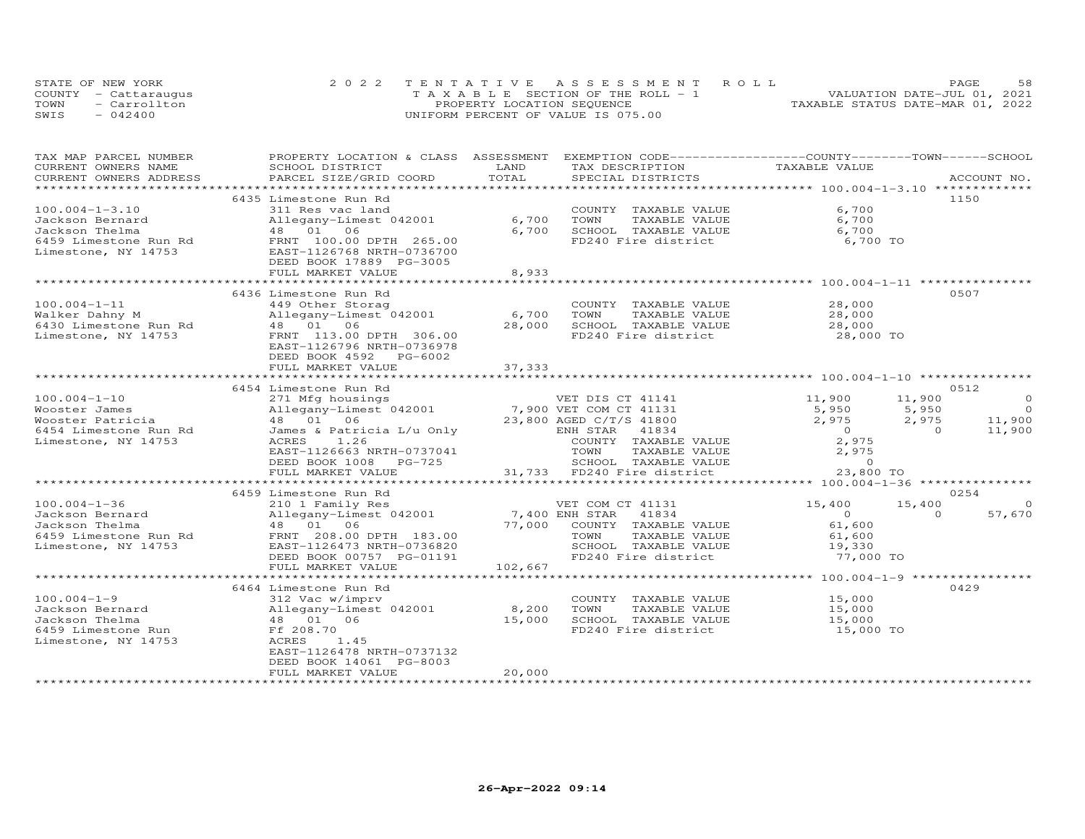|      | STATE OF NEW YORK    | 2022 TENTATIVE ASSESSMENT ROLL        |                                  | PAGE | 58 |
|------|----------------------|---------------------------------------|----------------------------------|------|----|
|      | COUNTY - Cattaraugus | T A X A B L E SECTION OF THE ROLL - 1 | VALUATION DATE-JUL 01, 2021      |      |    |
| TOWN | - Carrollton         | PROPERTY LOCATION SEQUENCE            | TAXABLE STATUS DATE-MAR 01, 2022 |      |    |
| SWIS | $-042400$            | UNIFORM PERCENT OF VALUE IS 075.00    |                                  |      |    |

| TAX MAP PARCEL NUMBER                        | PROPERTY LOCATION & CLASS ASSESSMENT          |                                 |                            | EXEMPTION CODE-----------------COUNTY-------TOWN-----SCHOOL |                                   |
|----------------------------------------------|-----------------------------------------------|---------------------------------|----------------------------|-------------------------------------------------------------|-----------------------------------|
| CURRENT OWNERS NAME                          | SCHOOL DISTRICT                               | LAND                            | TAX DESCRIPTION            | TAXABLE VALUE                                               |                                   |
| CURRENT OWNERS ADDRESS                       | PARCEL SIZE/GRID COORD                        | TOTAL                           | SPECIAL DISTRICTS          |                                                             | ACCOUNT NO.                       |
|                                              |                                               |                                 |                            | **************************** 100.004-1-3.10 **************  |                                   |
|                                              | 6435 Limestone Run Rd                         |                                 |                            |                                                             | 1150                              |
| $100.004 - 1 - 3.10$                         | 311 Res vac land                              |                                 | COUNTY TAXABLE VALUE       | 6,700                                                       |                                   |
| Jackson Bernard                              | Allegany-Limest 042001                        | 6,700                           | TOWN<br>TAXABLE VALUE      | 6,700                                                       |                                   |
| Jackson Thelma                               | 48 01 06                                      | 6,700                           | SCHOOL TAXABLE VALUE       | 6,700                                                       |                                   |
| 6459 Limestone Run Rd                        | FRNT 100.00 DPTH 265.00                       |                                 | FD240 Fire district        | 6,700 TO                                                    |                                   |
| Limestone, NY 14753                          | EAST-1126768 NRTH-0736700                     |                                 |                            |                                                             |                                   |
|                                              | DEED BOOK 17889 PG-3005                       |                                 |                            |                                                             |                                   |
|                                              | FULL MARKET VALUE                             | 8,933                           |                            |                                                             |                                   |
|                                              |                                               |                                 |                            |                                                             |                                   |
|                                              | 6436 Limestone Run Rd                         |                                 |                            |                                                             | 0507                              |
| $100.004 - 1 - 11$                           | 449 Other Storag                              |                                 | COUNTY TAXABLE VALUE       | 28,000                                                      |                                   |
| Walker Dahny M                               | Allegany-Limest 042001                        | 6,700                           | TOWN<br>TAXABLE VALUE      | 28,000                                                      |                                   |
| 6430 Limestone Run Rd                        | 48  01  06                                    | 28,000                          | SCHOOL TAXABLE VALUE       | 28,000                                                      |                                   |
| Limestone, NY 14753                          | FRNT 113.00 DPTH 306.00                       |                                 | FD240 Fire district        | 28,000 TO                                                   |                                   |
|                                              | EAST-1126796 NRTH-0736978                     |                                 |                            |                                                             |                                   |
|                                              | DEED BOOK 4592 PG-6002                        |                                 |                            |                                                             |                                   |
|                                              | FULL MARKET VALUE                             | 37,333                          |                            |                                                             |                                   |
|                                              |                                               |                                 |                            |                                                             |                                   |
|                                              | 6454 Limestone Run Rd                         |                                 |                            |                                                             | 0512                              |
| $100.004 - 1 - 10$                           | 271 Mfg housings                              |                                 | VET DIS CT 41141           | 11,900<br>11,900                                            | $\overline{0}$                    |
| Wooster James                                | Allegany-Limest 042001 7,900 VET COM CT 41131 |                                 |                            | 5,950<br>5,950                                              | $\overline{0}$                    |
| Wooster Patricia                             | 48  01  06                                    |                                 | 23,800 AGED C/T/S 41800    | 2,975                                                       |                                   |
| 6454 Limestone Run Rd                        | James & Patricia L/u Only                     |                                 | ENH STAR<br>41834          | $2,975$<br>0<br>$\overline{0}$                              | $\frac{11,900}{11,900}$<br>11,900 |
| Limestone, NY 14753                          | 1.26<br>ACRES                                 |                                 | COUNTY TAXABLE VALUE       | 2,975                                                       |                                   |
|                                              | EAST-1126663 NRTH-0737041                     |                                 | TOWN<br>TAXABLE VALUE      |                                                             |                                   |
|                                              | DEED BOOK 1008<br>PG-725                      |                                 | SCHOOL TAXABLE VALUE       | 2,975                                                       |                                   |
|                                              | FULL MARKET VALUE                             |                                 | 31,733 FD240 Fire district | 23,800 TO                                                   |                                   |
|                                              |                                               |                                 |                            |                                                             |                                   |
|                                              | 6459 Limestone Run Rd                         |                                 |                            |                                                             | 0254                              |
| $100.004 - 1 - 36$                           | 210 1 Family Res                              |                                 | VET COM CT 41131           | 15,400<br>15,400                                            | $\circ$                           |
| Jackson Bernard                              | Allegany-Limest 042001                        |                                 | 41834                      | $\circ$                                                     | 57,670<br>$\Omega$                |
| Jackson Thelma                               | 48  01  06                                    | 7,400 ENH STAR<br>77,000 COUNTY | COUNTY TAXABLE VALUE       | 61,600                                                      |                                   |
|                                              | FRNT 208.00 DPTH 183.00                       |                                 | TOWN<br>TAXABLE VALUE      | 61,600                                                      |                                   |
| 6459 Limestone Run Rd<br>Limestone, NY 14753 | EAST-1126473 NRTH-0736820                     |                                 | SCHOOL TAXABLE VALUE       | 19,330                                                      |                                   |
|                                              | DEED BOOK 00757 PG-01191                      |                                 | FD240 Fire district        | 77,000 TO                                                   |                                   |
|                                              | FULL MARKET VALUE                             | 102,667                         |                            |                                                             |                                   |
|                                              |                                               |                                 |                            |                                                             |                                   |
|                                              | 6464 Limestone Run Rd                         |                                 |                            |                                                             | 0429                              |
| $100.004 - 1 - 9$                            | 312 Vac w/imprv                               |                                 | COUNTY TAXABLE VALUE       | 15,000                                                      |                                   |
| Jackson Bernard                              | Allegany-Limest 042001                        | 8,200                           | TOWN<br>TAXABLE VALUE      | 15,000                                                      |                                   |
| Jackson Thelma                               | 48  01  06                                    | 15,000                          | SCHOOL TAXABLE VALUE       | 15,000                                                      |                                   |
| 6459 Limestone Run                           | Ff 208.70                                     |                                 | FD240 Fire district        | 15,000 TO                                                   |                                   |
| Limestone, NY 14753                          | ACRES<br>1.45                                 |                                 |                            |                                                             |                                   |
|                                              | EAST-1126478 NRTH-0737132                     |                                 |                            |                                                             |                                   |
|                                              | DEED BOOK 14061 PG-8003                       |                                 |                            |                                                             |                                   |
|                                              | FULL MARKET VALUE                             | 20,000                          |                            |                                                             |                                   |
|                                              |                                               |                                 |                            |                                                             |                                   |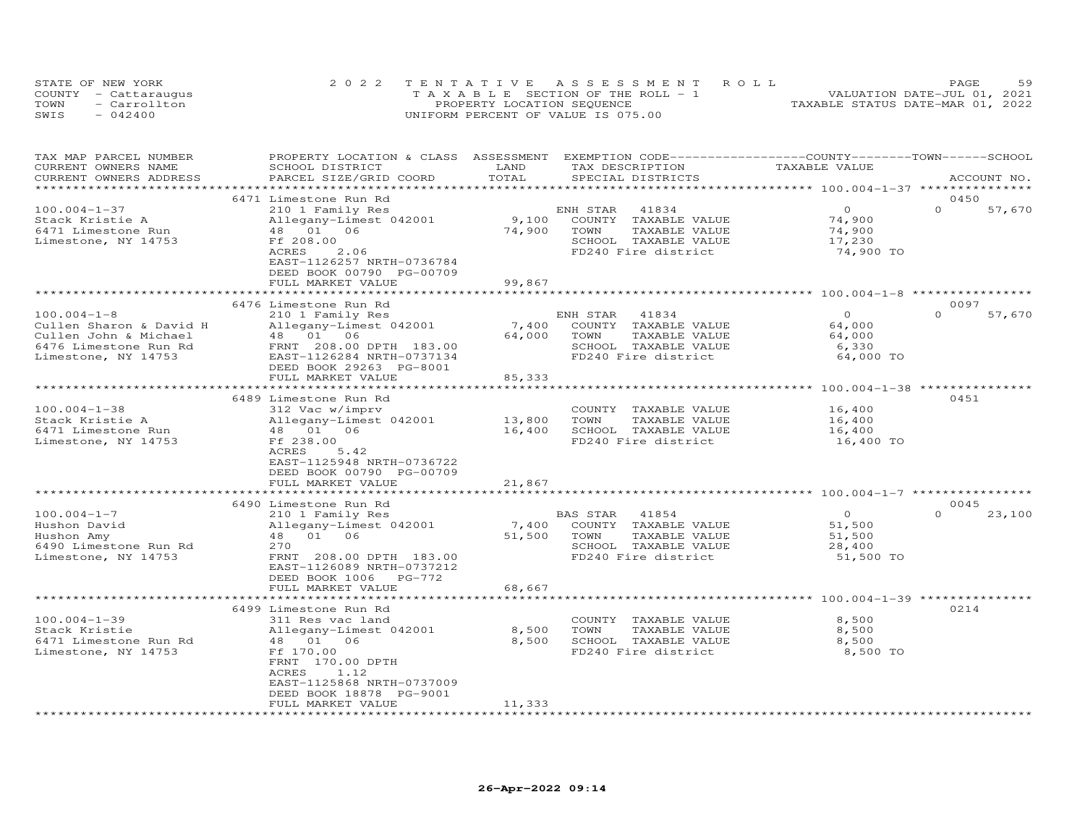|      | STATE OF NEW YORK    | 2022 TENTATIVE ASSESSMENT ROLL        | <b>PAGE</b>                      |
|------|----------------------|---------------------------------------|----------------------------------|
|      | COUNTY - Cattaraugus | T A X A B L E SECTION OF THE ROLL - 1 | VALUATION DATE-JUL 01, 2021      |
| TOWN | $=$ Carrollton       | PROPERTY LOCATION SEQUENCE            | TAXABLE STATUS DATE-MAR 01, 2022 |
| SWIS | $-042400$            | UNIFORM PERCENT OF VALUE IS 075.00    |                                  |

| TAX MAP PARCEL NUMBER   | PROPERTY LOCATION & CLASS ASSESSMENT |                       | EXEMPTION CODE-----------------COUNTY-------TOWN------SCHOOL   |                                           |                    |
|-------------------------|--------------------------------------|-----------------------|----------------------------------------------------------------|-------------------------------------------|--------------------|
| CURRENT OWNERS NAME     | SCHOOL DISTRICT                      | LAND                  | TAX DESCRIPTION                                                | TAXABLE VALUE                             |                    |
| CURRENT OWNERS ADDRESS  | PARCEL SIZE/GRID COORD               | TOTAL                 | SPECIAL DISTRICTS                                              |                                           | ACCOUNT NO.        |
|                         |                                      |                       |                                                                | ***************** 100.004-1-37 ******     |                    |
|                         | 6471 Limestone Run Rd                |                       |                                                                |                                           | 0450               |
| $100.004 - 1 - 37$      | 210 1 Family Res                     |                       | ENH STAR<br>41834                                              | $\circ$                                   | $\Omega$<br>57,670 |
| Stack Kristie A         | Allegany-Limest 042001               | 9,100                 | COUNTY<br>TAXABLE VALUE                                        | 74,900                                    |                    |
| 6471 Limestone Run      | 06<br>48 01                          | 74,900                | TAXABLE VALUE<br>TOWN                                          | 74,900                                    |                    |
|                         |                                      |                       |                                                                |                                           |                    |
| Limestone, NY 14753     | Ff 208.00                            |                       | SCHOOL TAXABLE VALUE                                           | 17,230                                    |                    |
|                         | ACRES<br>2.06                        |                       | FD240 Fire district                                            | 74,900 TO                                 |                    |
|                         | EAST-1126257 NRTH-0736784            |                       |                                                                |                                           |                    |
|                         | DEED BOOK 00790 PG-00709             |                       |                                                                |                                           |                    |
|                         | FULL MARKET VALUE                    | 99,867                |                                                                |                                           |                    |
|                         |                                      | *************         |                                                                |                                           |                    |
|                         | 6476 Limestone Run Rd                |                       |                                                                |                                           | 0097               |
| $100.004 - 1 - 8$       | 210 1 Family Res                     |                       | ENH STAR<br>41834                                              | $\Omega$                                  | $\Omega$<br>57,670 |
| Cullen Sharon & David H | Allegany-Limest 042001               | 7,400                 | COUNTY TAXABLE VALUE                                           | 64,000                                    |                    |
| Cullen John & Michael   | 48  01  06                           | 64,000                | TOWN<br>TAXABLE VALUE                                          | 64,000                                    |                    |
| 6476 Limestone Run Rd   | FRNT 208.00 DPTH 183.00              |                       | SCHOOL TAXABLE VALUE                                           | 6,330                                     |                    |
| Limestone, NY 14753     | EAST-1126284 NRTH-0737134            |                       | FD240 Fire district                                            | 64,000 TO                                 |                    |
|                         | DEED BOOK 29263 PG-8001              |                       |                                                                |                                           |                    |
|                         | FULL MARKET VALUE                    | 85,333                |                                                                |                                           |                    |
|                         |                                      |                       |                                                                | ************ 100.004-1-38 *************** |                    |
|                         | 6489 Limestone Run Rd                |                       |                                                                |                                           | 0451               |
| $100.004 - 1 - 38$      |                                      |                       | COUNTY TAXABLE VALUE                                           |                                           |                    |
|                         | 312 Vac w/imprv                      |                       |                                                                | 16,400                                    |                    |
| Stack Kristie A         | Allegany-Limest 042001               | 13,800                | TOWN<br>TAXABLE VALUE                                          | 16,400                                    |                    |
| 6471 Limestone Run      | 48  01  06                           | 16,400                | SCHOOL TAXABLE VALUE                                           | 16,400                                    |                    |
| Limestone, NY 14753     | Ff 238.00                            |                       | FD240 Fire district                                            | 16,400 TO                                 |                    |
|                         | 5.42<br>ACRES                        |                       |                                                                |                                           |                    |
|                         | EAST-1125948 NRTH-0736722            |                       |                                                                |                                           |                    |
|                         | DEED BOOK 00790 PG-00709             |                       |                                                                |                                           |                    |
|                         | FULL MARKET VALUE                    | 21,867                |                                                                |                                           |                    |
|                         |                                      | * * * * * * * * * * * | ******************************** 100.004-1-7 ***************** |                                           |                    |
|                         | 6490 Limestone Run Rd                |                       |                                                                |                                           | 0045               |
| $100.004 - 1 - 7$       | 210 1 Family Res                     |                       | BAS STAR<br>41854                                              | $\Omega$                                  | $\Omega$<br>23,100 |
| Hushon David            | Allegany-Limest 042001               | 7,400                 | COUNTY TAXABLE VALUE                                           | 51,500                                    |                    |
| Hushon Amy              | 48  01  06                           | 51,500                | TOWN<br>TAXABLE VALUE                                          | 51,500                                    |                    |
| 6490 Limestone Run Rd   | 270                                  |                       | SCHOOL TAXABLE VALUE                                           | 28,400                                    |                    |
| Limestone, NY 14753     | FRNT 208.00 DPTH 183.00              |                       | FD240 Fire district                                            | 51,500 TO                                 |                    |
|                         | EAST-1126089 NRTH-0737212            |                       |                                                                |                                           |                    |
|                         | DEED BOOK 1006<br>$PG-772$           |                       |                                                                |                                           |                    |
|                         | FULL MARKET VALUE                    | 68,667                |                                                                |                                           |                    |
|                         |                                      |                       |                                                                |                                           |                    |
|                         |                                      |                       |                                                                |                                           |                    |
|                         | 6499 Limestone Run Rd                |                       |                                                                |                                           | 0214               |
| $100.004 - 1 - 39$      | 311 Res vac land                     |                       | COUNTY TAXABLE VALUE                                           | 8,500                                     |                    |
| Stack Kristie           | Allegany-Limest 042001               | 8,500                 | TOWN<br>TAXABLE VALUE                                          | 8,500                                     |                    |
| 6471 Limestone Run Rd   | 48  01  06                           | 8,500                 | SCHOOL TAXABLE VALUE                                           | 8,500                                     |                    |
| Limestone, NY 14753     | Ff 170.00                            |                       | FD240 Fire district                                            | 8,500 TO                                  |                    |
|                         | FRNT 170.00 DPTH                     |                       |                                                                |                                           |                    |
|                         | ACRES<br>1.12                        |                       |                                                                |                                           |                    |
|                         | EAST-1125868 NRTH-0737009            |                       |                                                                |                                           |                    |
|                         | DEED BOOK 18878 PG-9001              |                       |                                                                |                                           |                    |
|                         | FULL MARKET VALUE                    | 11,333                |                                                                |                                           |                    |
|                         |                                      |                       |                                                                |                                           |                    |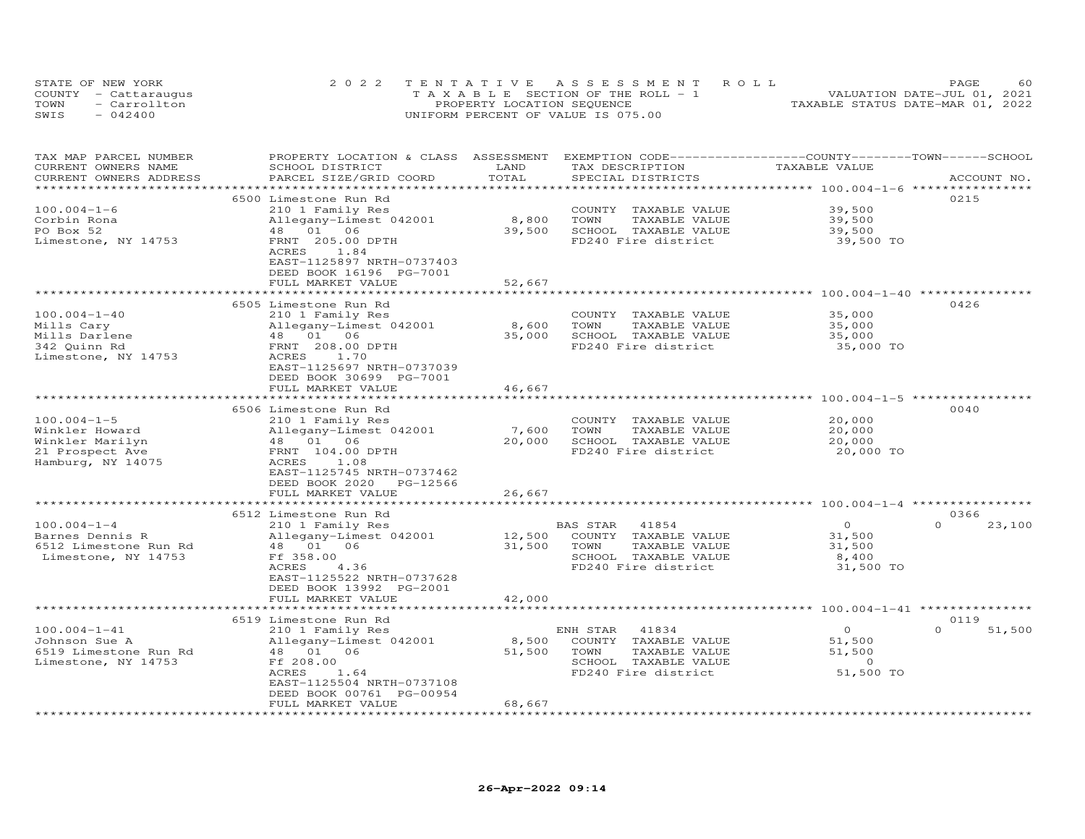| STATE OF NEW YORK |                      | 2022 TENTATIVE ASSESSMENT ROLL        | 60<br>PAGE                       |
|-------------------|----------------------|---------------------------------------|----------------------------------|
|                   | COUNTY - Cattaraugus | T A X A B L E SECTION OF THE ROLL - 1 | VALUATION DATE-JUL 01, 2021      |
| TOWN              | - Carrollton         | PROPERTY LOCATION SEQUENCE            | TAXABLE STATUS DATE-MAR 01, 2022 |
| SWIS              | $-042400$            | UNIFORM PERCENT OF VALUE IS 075.00    |                                  |

| TAX MAP PARCEL NUMBER     | PROPERTY LOCATION & CLASS ASSESSMENT        |                     | EXEMPTION CODE-----------------COUNTY-------TOWN------SCHOOL |                                        |                    |
|---------------------------|---------------------------------------------|---------------------|--------------------------------------------------------------|----------------------------------------|--------------------|
| CURRENT OWNERS NAME       | SCHOOL DISTRICT                             | LAND                | TAX DESCRIPTION                                              | TAXABLE VALUE                          |                    |
| CURRENT OWNERS ADDRESS    | PARCEL SIZE/GRID COORD                      | TOTAL               | SPECIAL DISTRICTS                                            |                                        | ACCOUNT NO.        |
|                           |                                             |                     |                                                              | **************** 100.004-1-6 ********* |                    |
|                           | 6500 Limestone Run Rd                       |                     |                                                              |                                        | 0215               |
| $100.004 - 1 - 6$         |                                             |                     |                                                              | 39,500                                 |                    |
|                           | 210 1 Family Res                            |                     | COUNTY TAXABLE VALUE                                         |                                        |                    |
| Corbin Rona               | Allegany-Limest 042001                      | 8,800               | TOWN<br>TAXABLE VALUE                                        | 39,500                                 |                    |
| PO Box 52                 | 48 01 06                                    | 39,500              | SCHOOL TAXABLE VALUE                                         | 39,500                                 |                    |
| Limestone, NY 14753       | FRNT 205.00 DPTH                            |                     | FD240 Fire district                                          | 39,500 TO                              |                    |
|                           | ACRES<br>1.84                               |                     |                                                              |                                        |                    |
|                           | EAST-1125897 NRTH-0737403                   |                     |                                                              |                                        |                    |
|                           | DEED BOOK 16196 PG-7001                     |                     |                                                              |                                        |                    |
|                           | FULL MARKET VALUE                           | 52,667              |                                                              |                                        |                    |
|                           | ***********************                     | **************      |                                                              |                                        |                    |
|                           | 6505 Limestone Run Rd                       |                     |                                                              |                                        | 0426               |
| $100.004 - 1 - 40$        | 210 1 Family Res                            |                     | COUNTY TAXABLE VALUE                                         | 35,000                                 |                    |
| Mills Cary                | Allegany-Limest 042001                      | 8,600               | TOWN<br>TAXABLE VALUE                                        | 35,000                                 |                    |
|                           | $48$ 01 06                                  |                     |                                                              |                                        |                    |
| Mills Darlene             |                                             | 35,000              | SCHOOL TAXABLE VALUE                                         | 35,000                                 |                    |
| 342 Quinn Rd              | FRNT 208.00 DPTH                            |                     | FD240 Fire district                                          | 35,000 TO                              |                    |
| Limestone, NY 14753       | ACRES<br>1.70                               |                     |                                                              |                                        |                    |
|                           | EAST-1125697 NRTH-0737039                   |                     |                                                              |                                        |                    |
|                           | DEED BOOK 30699 PG-7001                     |                     |                                                              |                                        |                    |
|                           | FULL MARKET VALUE                           | 46,667              |                                                              |                                        |                    |
|                           | ***********************                     | *************       |                                                              |                                        |                    |
|                           | 6506 Limestone Run Rd                       |                     |                                                              |                                        | 0040               |
| $100.004 - 1 - 5$         | 210 1 Family Res                            |                     | COUNTY TAXABLE VALUE                                         | 20,000                                 |                    |
| Winkler Howard            | Allegany-Limest 042001                      | 7,600               | TOWN<br>TAXABLE VALUE                                        | 20,000                                 |                    |
| Winkler Marilyn           | $48$ 01 06                                  | 20,000              | SCHOOL TAXABLE VALUE                                         | 20,000                                 |                    |
| 21 Prospect Ave           | FRNT 104.00 DPTH                            |                     | FD240 Fire district                                          | 20,000 TO                              |                    |
|                           |                                             |                     |                                                              |                                        |                    |
| Hamburg, NY 14075         | ACRES<br>1.08                               |                     |                                                              |                                        |                    |
|                           | EAST-1125745 NRTH-0737462                   |                     |                                                              |                                        |                    |
|                           | DEED BOOK 2020<br>PG-12566                  |                     |                                                              |                                        |                    |
|                           | FULL MARKET VALUE                           | 26,667              |                                                              |                                        |                    |
|                           | *******************************             |                     |                                                              |                                        |                    |
|                           | 6512 Limestone Run Rd                       |                     |                                                              |                                        | 0366               |
| $100.004 - 1 - 4$         | 210 1 Family Res                            |                     | BAS STAR 41854                                               | $\overline{O}$                         | 23,100<br>$\Omega$ |
| Barnes Dennis R           | Allegany-Limest 042001                      |                     | 12,500 COUNTY TAXABLE VALUE                                  | 31,500                                 |                    |
| 6512 Limestone Run Rd     | 48  01  06                                  | 31,500              | TOWN<br>TAXABLE VALUE                                        | 31,500                                 |                    |
| Limestone, NY 14753       | Ff 358.00                                   |                     | SCHOOL TAXABLE VALUE                                         | 8,400                                  |                    |
|                           | 4.36<br>ACRES                               |                     | FD240 Fire district                                          | 31,500 TO                              |                    |
|                           | EAST-1125522 NRTH-0737628                   |                     |                                                              |                                        |                    |
|                           | DEED BOOK 13992 PG-2001                     |                     |                                                              |                                        |                    |
|                           |                                             |                     |                                                              |                                        |                    |
|                           | FULL MARKET VALUE<br>********************** | 42,000              |                                                              |                                        |                    |
|                           |                                             |                     |                                                              |                                        |                    |
|                           | 6519 Limestone Run Rd                       |                     |                                                              |                                        | 0119               |
| $100.004 - 1 - 41$        | 210 1 Family Res                            |                     | ENH STAR 41834                                               | $\overline{0}$                         | 51,500<br>$\Omega$ |
| Johnson Sue A             | Allegany-Limest 042001                      | 8,500               | COUNTY TAXABLE VALUE                                         | 51,500                                 |                    |
| 6519 Limestone Run Rd     | 48 01 06                                    | 51,500              | TOWN<br>TAXABLE VALUE                                        | 51,500                                 |                    |
| Limestone, NY 14753       | Ff 208.00                                   |                     | SCHOOL TAXABLE VALUE                                         | $\overline{0}$                         |                    |
|                           | ACRES<br>1.64                               |                     | FD240 Fire district 51,500 TO                                |                                        |                    |
|                           | EAST-1125504 NRTH-0737108                   |                     |                                                              |                                        |                    |
|                           | DEED BOOK 00761 PG-00954                    |                     |                                                              |                                        |                    |
|                           | FULL MARKET VALUE                           | 68,667              |                                                              |                                        |                    |
| ************************* | ***********************                     | ******************* |                                                              |                                        |                    |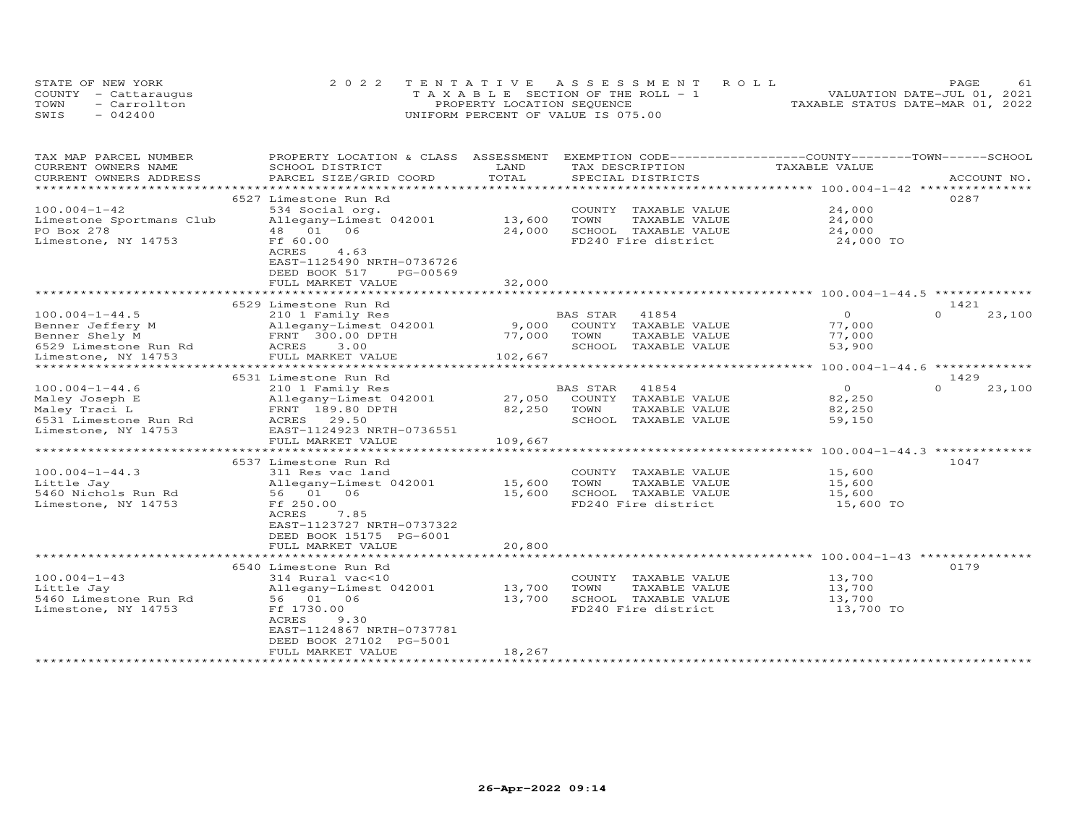|      | STATE OF NEW YORK    | 2022 TENTATIVE ASSESSMENT ROLL        | <b>PAGE</b>                      |
|------|----------------------|---------------------------------------|----------------------------------|
|      | COUNTY - Cattaraugus | T A X A B L E SECTION OF THE ROLL - 1 | VALUATION DATE-JUL 01, 2021      |
| TOWN | - Carrollton         | PROPERTY LOCATION SEQUENCE            | TAXABLE STATUS DATE-MAR 01, 2022 |
| SWIS | $-042400$            | UNIFORM PERCENT OF VALUE IS 075.00    |                                  |

| TAX MAP PARCEL NUMBER                        | PROPERTY LOCATION & CLASS                   | ASSESSMENT                |                              | EXEMPTION CODE------------------COUNTY-------TOWN------SCHOOL |                  |             |
|----------------------------------------------|---------------------------------------------|---------------------------|------------------------------|---------------------------------------------------------------|------------------|-------------|
| CURRENT OWNERS NAME                          | SCHOOL DISTRICT                             | LAND                      | TAX DESCRIPTION              | TAXABLE VALUE                                                 |                  |             |
| CURRENT OWNERS ADDRESS                       | PARCEL SIZE/GRID COORD                      | TOTAL<br>********         | SPECIAL DISTRICTS            |                                                               |                  | ACCOUNT NO. |
|                                              |                                             |                           |                              | *************************** 100.004-1-42 *********            |                  |             |
|                                              | 6527 Limestone Run Rd                       |                           |                              |                                                               | 0287             |             |
| $100.004 - 1 - 42$                           | 534 Social org.                             |                           | COUNTY<br>TAXABLE VALUE      | 24,000                                                        |                  |             |
| Limestone Sportmans Club                     | Allegany-Limest 042001                      | 13,600                    | TOWN<br>TAXABLE VALUE        | 24,000                                                        |                  |             |
| PO Box 278                                   | 48 01<br>06                                 | 24,000                    | SCHOOL TAXABLE VALUE         | 24,000                                                        |                  |             |
| Limestone, NY 14753                          | Ff 60.00                                    |                           | FD240 Fire district          | 24,000 TO                                                     |                  |             |
|                                              | <b>ACRES</b><br>4.63                        |                           |                              |                                                               |                  |             |
|                                              | EAST-1125490 NRTH-0736726                   |                           |                              |                                                               |                  |             |
|                                              | DEED BOOK 517<br>PG-00569                   |                           |                              |                                                               |                  |             |
|                                              | FULL MARKET VALUE                           | 32,000<br>*************** |                              |                                                               |                  |             |
|                                              |                                             |                           |                              |                                                               |                  |             |
|                                              | 6529 Limestone Run Rd                       |                           |                              | $\Omega$                                                      | 1421<br>$\Omega$ |             |
| $100.004 - 1 - 44.5$                         | 210 1 Family Res                            |                           | BAS STAR<br>41854            |                                                               |                  | 23,100      |
| Benner Jeffery M                             | Allegany-Limest 042001                      | 9,000                     | COUNTY<br>TAXABLE VALUE      | 77,000                                                        |                  |             |
| Benner Shely M                               | FRNT 300.00 DPTH                            | 77,000                    | TOWN<br>TAXABLE VALUE        | 77,000                                                        |                  |             |
| 6529 Limestone Run Rd                        | ACRES<br>3.00                               |                           | SCHOOL<br>TAXABLE VALUE      | 53,900                                                        |                  |             |
| Limestone, NY 14753<br>*******************   | FULL MARKET VALUE<br>********************** | 102,667                   |                              | *************** 100.004-1-44.6 **************                 |                  |             |
|                                              |                                             |                           |                              |                                                               |                  |             |
| $100.004 - 1 - 44.6$                         | 6531 Limestone Run Rd                       |                           | 41854<br>BAS STAR            | $\circ$                                                       | 1429<br>$\Omega$ | 23,100      |
|                                              | 210 1 Family Res                            | 27,050                    |                              | 82,250                                                        |                  |             |
| Maley Joseph E                               | Allegany-Limest 042001<br>FRNT 189.80 DPTH  |                           | COUNTY TAXABLE VALUE<br>TOWN | 82,250                                                        |                  |             |
| Maley Traci L                                |                                             | 82,250                    | TAXABLE VALUE<br>SCHOOL      |                                                               |                  |             |
| 6531 Limestone Run Rd<br>Limestone, NY 14753 | ACRES 29.50<br>EAST-1124923 NRTH-0736551    |                           | TAXABLE VALUE                | 59,150                                                        |                  |             |
|                                              | FULL MARKET VALUE                           | 109,667                   |                              |                                                               |                  |             |
|                                              |                                             | * * * * * * * * * * *     |                              | $100.004 - 1 - 44.3$ *************                            |                  |             |
|                                              | 6537 Limestone Run Rd                       |                           |                              |                                                               | 1047             |             |
| $100.004 - 1 - 44.3$                         | 311 Res vac land                            |                           | COUNTY<br>TAXABLE VALUE      | 15,600                                                        |                  |             |
| Little Jay                                   | Allegany-Limest 042001                      | 15,600                    | TOWN<br>TAXABLE VALUE        | 15,600                                                        |                  |             |
| 5460 Nichols Run Rd                          | 56 01<br>06                                 | 15,600                    | SCHOOL TAXABLE VALUE         | 15,600                                                        |                  |             |
| Limestone, NY 14753                          | Ff 250.00                                   |                           | FD240 Fire district          | 15,600 TO                                                     |                  |             |
|                                              | ACRES<br>7.85                               |                           |                              |                                                               |                  |             |
|                                              | EAST-1123727 NRTH-0737322                   |                           |                              |                                                               |                  |             |
|                                              | DEED BOOK 15175 PG-6001                     |                           |                              |                                                               |                  |             |
|                                              | FULL MARKET VALUE                           | 20,800                    |                              |                                                               |                  |             |
|                                              | ***********************                     | * * * * * * * * * * * *   |                              | ******************************* 100.004-1-43 **************** |                  |             |
|                                              | 6540 Limestone Run Rd                       |                           |                              |                                                               | 0179             |             |
| $100.004 - 1 - 43$                           | 314 Rural vac<10                            |                           | COUNTY TAXABLE VALUE         | 13,700                                                        |                  |             |
| Little Jay                                   | Allegany-Limest 042001                      | 13,700                    | TOWN<br>TAXABLE VALUE        | 13,700                                                        |                  |             |
| 5460 Limestone Run Rd                        | 56 01<br>06                                 | 13,700                    | SCHOOL TAXABLE VALUE         | 13,700                                                        |                  |             |
| Limestone, NY 14753                          | Ff 1730.00                                  |                           | FD240 Fire district          | 13,700 TO                                                     |                  |             |
|                                              | ACRES<br>9.30                               |                           |                              |                                                               |                  |             |
|                                              | EAST-1124867 NRTH-0737781                   |                           |                              |                                                               |                  |             |
|                                              | DEED BOOK 27102 PG-5001                     |                           |                              |                                                               |                  |             |
|                                              | FULL MARKET VALUE                           | 18,267                    |                              |                                                               |                  |             |
|                                              |                                             |                           |                              |                                                               |                  |             |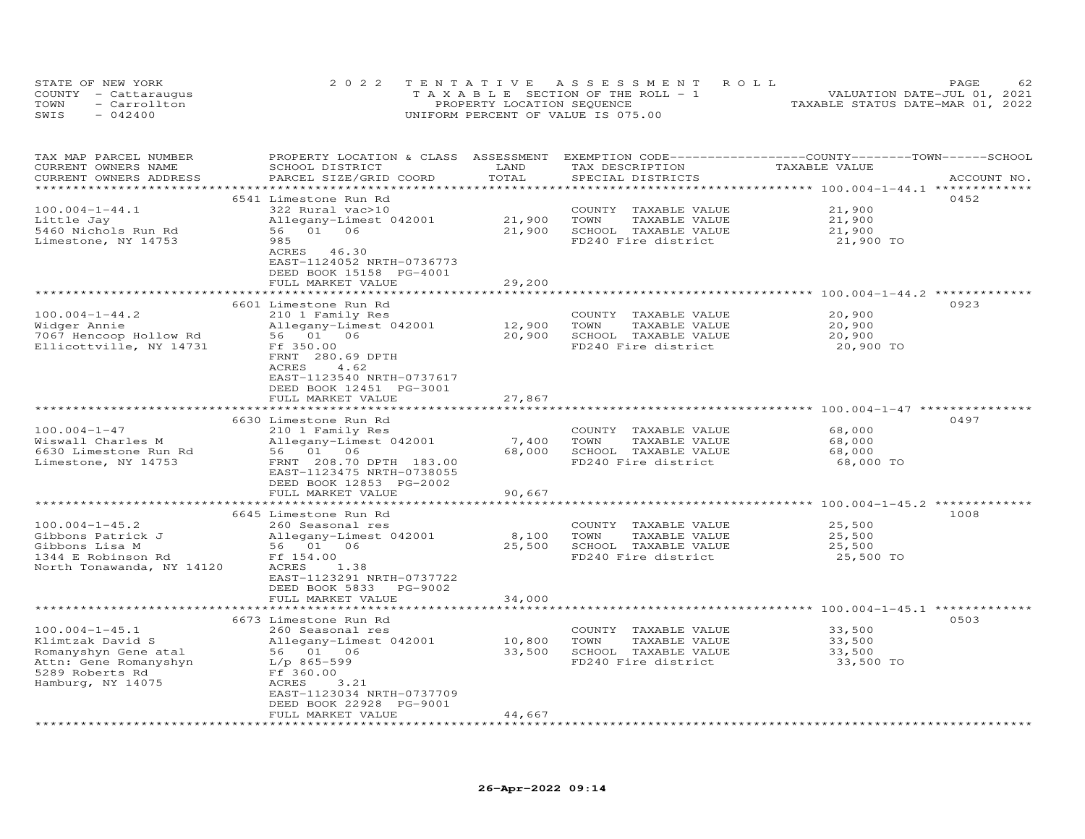|      | STATE OF NEW YORK    | 2022 TENTATIVE ASSESSMENT ROLL        | PAGE                             | 62 |
|------|----------------------|---------------------------------------|----------------------------------|----|
|      | COUNTY - Cattaraugus | T A X A B L E SECTION OF THE ROLL - 1 | VALUATION DATE-JUL 01, 2021      |    |
| TOWN | - Carrollton         | PROPERTY LOCATION SEQUENCE            | TAXABLE STATUS DATE-MAR 01, 2022 |    |
| SWIS | $-042400$            | UNIFORM PERCENT OF VALUE IS 075.00    |                                  |    |

| TAX MAP PARCEL NUMBER<br>CURRENT OWNERS NAME<br>CURRENT OWNERS ADDRESS                                                            | PROPERTY LOCATION & CLASS ASSESSMENT<br>SCHOOL DISTRICT<br>PARCEL SIZE/GRID COORD                                                                                                    | LAND<br>TOTAL             | TAX DESCRIPTION<br>SPECIAL DISTRICTS                                                            | EXEMPTION CODE-----------------COUNTY-------TOWN-----SCHOOL<br>TAXABLE VALUE | ACCOUNT NO. |
|-----------------------------------------------------------------------------------------------------------------------------------|--------------------------------------------------------------------------------------------------------------------------------------------------------------------------------------|---------------------------|-------------------------------------------------------------------------------------------------|------------------------------------------------------------------------------|-------------|
|                                                                                                                                   |                                                                                                                                                                                      |                           |                                                                                                 | ********** 100.004-1-44.1 ******                                             |             |
| $100.004 - 1 - 44.1$<br>Little Jay<br>5460 Nichols Run Rd<br>Limestone, NY 14753                                                  | 6541 Limestone Run Rd<br>322 Rural vac>10<br>Allegany-Limest 042001<br>56 01 06<br>985<br>ACRES 46.30                                                                                | 21,900<br>21,900          | COUNTY<br>TAXABLE VALUE<br>TOWN<br>TAXABLE VALUE<br>SCHOOL TAXABLE VALUE<br>FD240 Fire district | 21,900<br>21,900<br>21,900<br>21,900 TO                                      | 0452        |
|                                                                                                                                   | EAST-1124052 NRTH-0736773<br>DEED BOOK 15158 PG-4001<br>FULL MARKET VALUE                                                                                                            | 29,200                    |                                                                                                 |                                                                              |             |
|                                                                                                                                   |                                                                                                                                                                                      |                           |                                                                                                 |                                                                              |             |
| $100.004 - 1 - 44.2$<br>Widger Annie<br>7067 Hencoop Hollow Rd<br>Ellicottville, NY 14731                                         | 6601 Limestone Run Rd<br>210 1 Family Res<br>Allegany-Limest 042001<br>56 01 06<br>Ff 350.00<br>FRNT 280.69 DPTH<br>ACRES<br>4.62<br>EAST-1123540 NRTH-0737617                       | 12,900<br>20,900          | COUNTY TAXABLE VALUE<br>TOWN<br>TAXABLE VALUE<br>SCHOOL TAXABLE VALUE<br>FD240 Fire district    | 20,900<br>20,900<br>20,900<br>20,900 TO                                      | 0923        |
|                                                                                                                                   | DEED BOOK 12451 PG-3001<br>FULL MARKET VALUE                                                                                                                                         | 27,867                    |                                                                                                 |                                                                              |             |
|                                                                                                                                   | *************                                                                                                                                                                        | **********                |                                                                                                 |                                                                              |             |
|                                                                                                                                   | 6630 Limestone Run Rd                                                                                                                                                                |                           |                                                                                                 |                                                                              | 0497        |
| $100.004 - 1 - 47$<br>Wiswall Charles M<br>6630 Limestone Run Rd<br>Limestone, NY 14753                                           | 210 1 Family Res<br>Allegany-Limest 042001<br>56 01 06<br>FRNT 208.70 DPTH 183.00<br>EAST-1123475 NRTH-0738055<br>DEED BOOK 12853 PG-2002<br>FULL MARKET VALUE                       | 7,400<br>68,000<br>90,667 | COUNTY TAXABLE VALUE<br>TOWN<br>TAXABLE VALUE<br>SCHOOL TAXABLE VALUE<br>FD240 Fire district    | 68,000<br>68,000<br>68,000<br>68,000 TO                                      |             |
|                                                                                                                                   |                                                                                                                                                                                      |                           |                                                                                                 | **** 100.004-1-45.2 *                                                        |             |
| $100.004 - 1 - 45.2$<br>Gibbons Patrick J<br>Gibbons Lisa M<br>1344 E Robinson Rd<br>North Tonawanda, NY 14120                    | 6645 Limestone Run Rd<br>260 Seasonal res<br>Allegany-Limest 042001<br>56 01 06<br>Ff 154.00<br>ACRES<br>1.38<br>EAST-1123291 NRTH-0737722<br>DEED BOOK 5833<br>PG-9002              | 8,100<br>25,500           | COUNTY TAXABLE VALUE<br>TOWN<br>TAXABLE VALUE<br>SCHOOL TAXABLE VALUE<br>FD240 Fire district    | 25,500<br>25,500<br>25,500<br>25,500 TO                                      | 1008        |
|                                                                                                                                   | FULL MARKET VALUE                                                                                                                                                                    | 34,000                    |                                                                                                 |                                                                              |             |
|                                                                                                                                   |                                                                                                                                                                                      |                           |                                                                                                 | ********************** 100.004-1-45.1 ************                           |             |
| $100.004 - 1 - 45.1$<br>Klimtzak David S<br>Romanyshyn Gene atal<br>Attn: Gene Romanyshyn<br>5289 Roberts Rd<br>Hamburg, NY 14075 | 6673 Limestone Run Rd<br>260 Seasonal res<br>Allegany-Limest 042001<br>56 01 06<br>L/p 865-599<br>Ff 360.00<br>ACRES<br>3.21<br>EAST-1123034 NRTH-0737709<br>DEED BOOK 22928 PG-9001 | 10,800<br>33,500          | COUNTY TAXABLE VALUE<br>TOWN<br>TAXABLE VALUE<br>SCHOOL TAXABLE VALUE<br>FD240 Fire district    | 33,500<br>33,500<br>33,500<br>33,500 TO                                      | 0503        |
|                                                                                                                                   | FULL MARKET VALUE                                                                                                                                                                    | 44,667                    |                                                                                                 |                                                                              |             |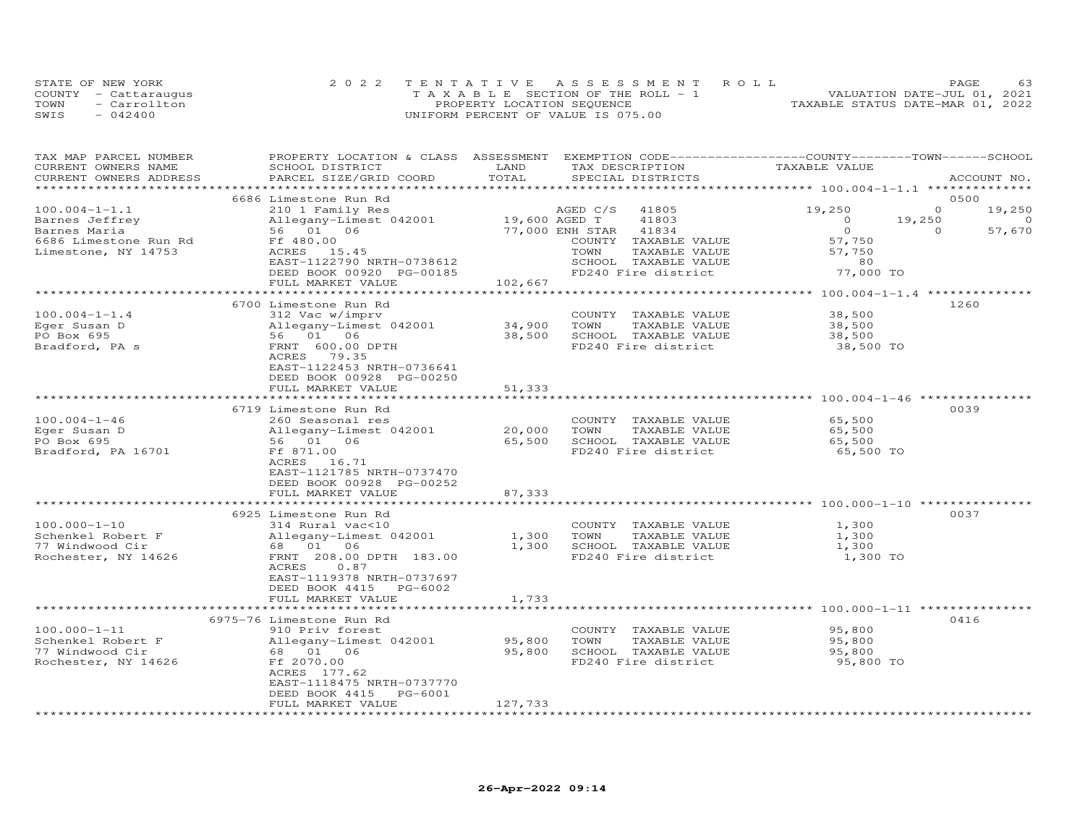|      | STATE OF NEW YORK    | 2022 TENTATIVE ASSESSMENT ROLL        | 63<br>PAGE.                      |
|------|----------------------|---------------------------------------|----------------------------------|
|      | COUNTY - Cattaraugus | T A X A B L E SECTION OF THE ROLL - 1 | VALUATION DATE-JUL 01, 2021      |
| TOWN | - Carrollton         | PROPERTY LOCATION SEQUENCE            | TAXABLE STATUS DATE-MAR 01, 2022 |
| SWIS | $-042400$            | UNIFORM PERCENT OF VALUE IS 075.00    |                                  |

| TAX MAP PARCEL NUMBER<br>CURRENT OWNERS NAME | PROPERTY LOCATION & CLASS ASSESSMENT EXEMPTION CODE----------------COUNTY-------TOWN------SCHOOL<br>SCHOOL DISTRICT | LAND                              | TAX DESCRIPTION                    | TAXABLE VALUE  |          |                    |
|----------------------------------------------|---------------------------------------------------------------------------------------------------------------------|-----------------------------------|------------------------------------|----------------|----------|--------------------|
| CURRENT OWNERS ADDRESS                       | PARCEL SIZE/GRID COORD                                                                                              | TOTAL                             | SPECIAL DISTRICTS                  |                |          | ACCOUNT NO.        |
|                                              |                                                                                                                     |                                   |                                    |                |          |                    |
| $100.004 - 1 - 1.1$                          | 6686 Limestone Run Rd                                                                                               |                                   | AGED C/S 41805                     | 19,250         | $\circ$  | 0500               |
| Barnes Jeffrey                               | 210 1 Family Res                                                                                                    |                                   | 41803                              | $\overline{0}$ | 19,250   | 19,250<br>$\Omega$ |
| Barnes Maria                                 | Allegany-Limest 042001 19,600 AGED T<br>56 01 06 77,000 ENH STAR                                                    |                                   | 41834                              | $\overline{O}$ | $\Omega$ | 57,670             |
| 6686 Limestone Run Rd                        | Ff 480.00                                                                                                           |                                   | COUNTY TAXABLE VALUE               | 57,750         |          |                    |
| Limestone, NY 14753                          | ACRES 15.45                                                                                                         |                                   | TAXABLE VALUE<br>TOWN              | 57,750         |          |                    |
|                                              | EAST-1122790 NRTH-0738612                                                                                           |                                   | SCHOOL TAXABLE VALUE               | 80             |          |                    |
|                                              | DEED BOOK 00920 PG-00185                                                                                            |                                   | FD240 Fire district                | 77,000 TO      |          |                    |
|                                              | FULL MARKET VALUE                                                                                                   | 102,667                           |                                    |                |          |                    |
|                                              |                                                                                                                     |                                   |                                    |                |          |                    |
|                                              | 6700 Limestone Run Rd                                                                                               |                                   |                                    |                |          | 1260               |
| $100.004 - 1 - 1.4$                          | 312 Vac w/imprv                                                                                                     |                                   | COUNTY TAXABLE VALUE               | 38,500         |          |                    |
| Eger Susan D                                 | Allegany-Limest 042001                                                                                              | 34,900    TOWN<br>38,500    SCHOO | TAXABLE VALUE                      | 38,500         |          |                    |
| PO Box 695                                   | 56 01 06                                                                                                            |                                   | 38,500 SCHOOL TAXABLE VALUE        | 38,500         |          |                    |
| Bradford, PA s                               | FRNT 600.00 DPTH                                                                                                    |                                   | FD240 Fire district                | 38,500 TO      |          |                    |
|                                              | ACRES 79.35                                                                                                         |                                   |                                    |                |          |                    |
|                                              | EAST-1122453 NRTH-0736641                                                                                           |                                   |                                    |                |          |                    |
|                                              | DEED BOOK 00928 PG-00250                                                                                            |                                   |                                    |                |          |                    |
|                                              | FULL MARKET VALUE                                                                                                   | 51,333                            |                                    |                |          |                    |
|                                              | 6719 Limestone Run Rd                                                                                               |                                   |                                    |                |          | 0039               |
| $100.004 - 1 - 46$                           | 260 Seasonal res                                                                                                    |                                   | COUNTY TAXABLE VALUE               | 65,500         |          |                    |
| Eger Susan D                                 | Allegany-Limest 042001                                                                                              |                                   | 20,000 TOWN<br>TAXABLE VALUE       | 65,500         |          |                    |
| PO Box 695                                   | $\text{Allegany}$ -                                                                                                 |                                   | 65,500 SCHOOL TAXABLE VALUE        | 65,500         |          |                    |
| Bradford, PA 16701                           | Ff 871.00                                                                                                           |                                   | FD240 Fire district                | 65,500 TO      |          |                    |
|                                              | ACRES 16.71                                                                                                         |                                   |                                    |                |          |                    |
|                                              | EAST-1121785 NRTH-0737470                                                                                           |                                   |                                    |                |          |                    |
|                                              | DEED BOOK 00928 PG-00252                                                                                            |                                   |                                    |                |          |                    |
|                                              | FULL MARKET VALUE                                                                                                   | 87,333                            |                                    |                |          |                    |
|                                              |                                                                                                                     |                                   |                                    |                |          |                    |
|                                              | 6925 Limestone Run Rd                                                                                               |                                   |                                    |                |          | 0037               |
| $100.000 - 1 - 10$                           | 314 Rural vac<10                                                                                                    |                                   | COUNTY TAXABLE VALUE               | 1,300          |          |                    |
| Schenkel Robert F                            |                                                                                                                     |                                   | 1,300 TOWN<br>TAXABLE VALUE        | 1,300          |          |                    |
| 77 Windwood Cir                              | 68 01 06                                                                                                            |                                   | 1,300 SCHOOL TAXABLE VALUE         | 1,300          |          |                    |
| Rochester, NY 14626                          | FRNT 208.00 DPTH 183.00                                                                                             |                                   | FD240 Fire district                | 1,300 TO       |          |                    |
|                                              | ACRES<br>0.87                                                                                                       |                                   |                                    |                |          |                    |
|                                              | EAST-1119378 NRTH-0737697                                                                                           |                                   |                                    |                |          |                    |
|                                              | DEED BOOK 4415 PG-6002                                                                                              |                                   |                                    |                |          |                    |
|                                              | FULL MARKET VALUE                                                                                                   | 1,733                             |                                    |                |          |                    |
|                                              | 6975-76 Limestone Run Rd                                                                                            |                                   |                                    |                |          | 0416               |
| $100.000 - 1 - 11$                           | 910 Priv forest                                                                                                     |                                   | COUNTY TAXABLE VALUE               | 95,800         |          |                    |
| Schenkel Robert F                            | Allegany-Limest 042001                                                                                              | 95,800                            | TOWN<br>TAXABLE VALUE              | 95,800         |          |                    |
| 77 Windwood Cir                              | 68 01 06                                                                                                            |                                   | 95,800 SCHOOL TAXABLE VALUE 95,800 |                |          |                    |
| Rochester, NY 14626                          | Ff 2070.00                                                                                                          |                                   | FD240 Fire district                | 95,800 TO      |          |                    |
|                                              | ACRES 177.62                                                                                                        |                                   |                                    |                |          |                    |
|                                              | EAST-1118475 NRTH-0737770                                                                                           |                                   |                                    |                |          |                    |
|                                              | DEED BOOK 4415 PG-6001                                                                                              |                                   |                                    |                |          |                    |
|                                              | FULL MARKET VALUE                                                                                                   | 127,733                           |                                    |                |          |                    |
|                                              |                                                                                                                     |                                   |                                    |                |          |                    |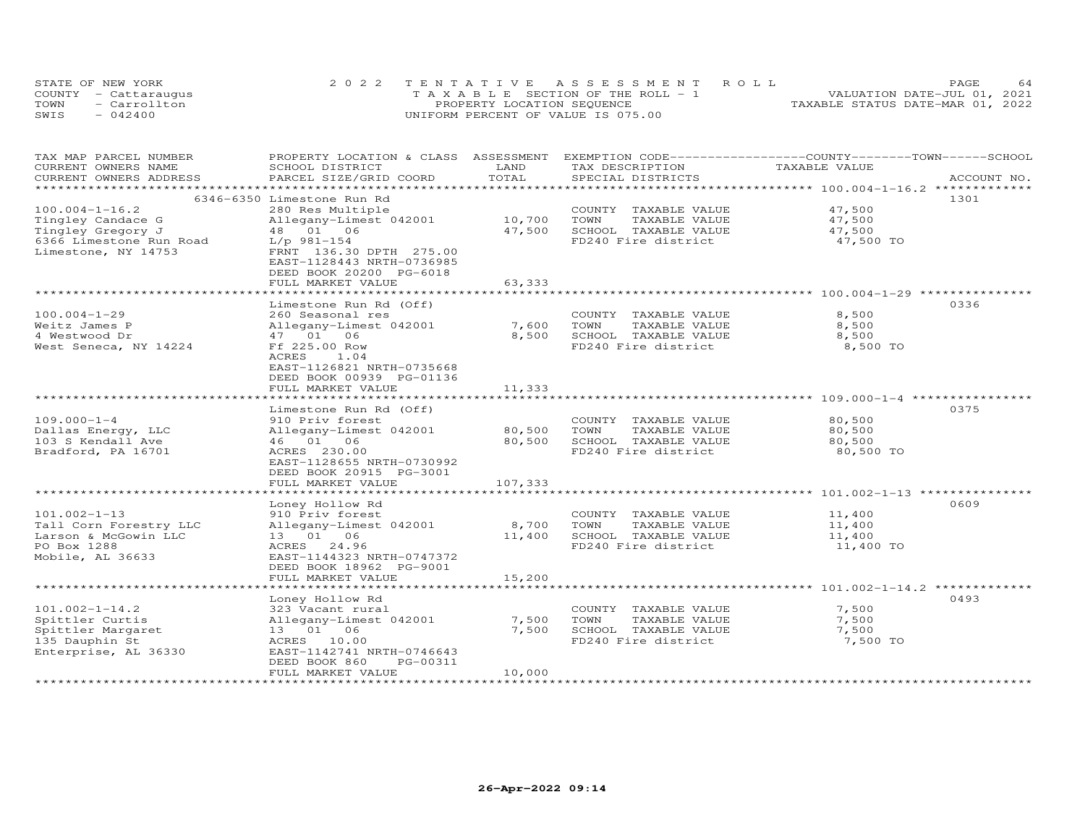| STATE OF NEW YORK    | 2022 TENTATIVE ASSESSMENT ROLL        | 64<br><b>PAGE</b>                |
|----------------------|---------------------------------------|----------------------------------|
| COUNTY - Cattaraugus | T A X A B L E SECTION OF THE ROLL - 1 | VALUATION DATE-JUL 01, 2021      |
| TOWN<br>- Carrollton | PROPERTY LOCATION SEQUENCE            | TAXABLE STATUS DATE-MAR 01, 2022 |
| SWIS<br>$-042400$    | UNIFORM PERCENT OF VALUE IS 075.00    |                                  |

| TAX MAP PARCEL NUMBER   | PROPERTY LOCATION & CLASS  | ASSESSMENT |                       | EXEMPTION CODE-----------------COUNTY-------TOWN-----SCHOOL  |             |
|-------------------------|----------------------------|------------|-----------------------|--------------------------------------------------------------|-------------|
| CURRENT OWNERS NAME     | SCHOOL DISTRICT            | LAND       | TAX DESCRIPTION       | TAXABLE VALUE                                                |             |
| CURRENT OWNERS ADDRESS  | PARCEL SIZE/GRID COORD     | TOTAL      | SPECIAL DISTRICTS     |                                                              | ACCOUNT NO. |
|                         |                            |            |                       |                                                              |             |
|                         | 6346-6350 Limestone Run Rd |            |                       |                                                              | 1301        |
| $100.004 - 1 - 16.2$    | 280 Res Multiple           |            | COUNTY TAXABLE VALUE  | 47,500                                                       |             |
| Tingley Candace G       | Allegany-Limest 042001     | 10,700     | TOWN<br>TAXABLE VALUE | 47,500                                                       |             |
| Tingley Gregory J       | 48  01  06                 | 47,500     | SCHOOL TAXABLE VALUE  | 47,500                                                       |             |
| 6366 Limestone Run Road | $L/p$ 981-154              |            | FD240 Fire district   | 47,500 TO                                                    |             |
| Limestone, NY 14753     | FRNT 136.30 DPTH 275.00    |            |                       |                                                              |             |
|                         | EAST-1128443 NRTH-0736985  |            |                       |                                                              |             |
|                         | DEED BOOK 20200 PG-6018    |            |                       |                                                              |             |
|                         | FULL MARKET VALUE          | 63,333     |                       |                                                              |             |
|                         |                            |            |                       |                                                              |             |
|                         | Limestone Run Rd (Off)     |            |                       |                                                              | 0336        |
| $100.004 - 1 - 29$      | 260 Seasonal res           |            | COUNTY TAXABLE VALUE  | 8,500                                                        |             |
| Weitz James P           | Allegany-Limest 042001     | 7,600      | TOWN<br>TAXABLE VALUE | 8,500                                                        |             |
| 4 Westwood Dr           | 47 01 06                   | 8,500      | SCHOOL TAXABLE VALUE  | 8,500                                                        |             |
| West Seneca, NY 14224   | Ff 225.00 Row              |            | FD240 Fire district   | 8,500 TO                                                     |             |
|                         | ACRES<br>1.04              |            |                       |                                                              |             |
|                         | EAST-1126821 NRTH-0735668  |            |                       |                                                              |             |
|                         | DEED BOOK 00939 PG-01136   |            |                       |                                                              |             |
|                         | FULL MARKET VALUE          | 11,333     |                       |                                                              |             |
|                         |                            |            |                       |                                                              |             |
|                         | Limestone Run Rd (Off)     |            |                       |                                                              | 0375        |
| $109.000 - 1 - 4$       | 910 Priv forest            |            | COUNTY TAXABLE VALUE  | 80,500                                                       |             |
| Dallas Energy, LLC      | Allegany-Limest 042001     | 80,500     | TOWN<br>TAXABLE VALUE | 80,500                                                       |             |
| 103 S Kendall Ave       | 46 01 06                   | 80,500     | SCHOOL TAXABLE VALUE  | 80,500                                                       |             |
| Bradford, PA 16701      | ACRES 230.00               |            | FD240 Fire district   | 80,500 TO                                                    |             |
|                         | EAST-1128655 NRTH-0730992  |            |                       |                                                              |             |
|                         | DEED BOOK 20915 PG-3001    | 107,333    |                       |                                                              |             |
|                         | FULL MARKET VALUE          |            |                       |                                                              |             |
|                         | Loney Hollow Rd            |            |                       |                                                              | 0609        |
| $101.002 - 1 - 13$      | 910 Priv forest            |            | COUNTY TAXABLE VALUE  | 11,400                                                       |             |
| Tall Corn Forestry LLC  | Allegany-Limest 042001     | 8,700      | TOWN<br>TAXABLE VALUE | 11,400                                                       |             |
| Larson & McGowin LLC    | 13 01 06                   | 11,400     | SCHOOL TAXABLE VALUE  | 11,400                                                       |             |
| PO Box 1288             | ACRES 24.96                |            | FD240 Fire district   | 11,400 TO                                                    |             |
| Mobile, AL 36633        | EAST-1144323 NRTH-0747372  |            |                       |                                                              |             |
|                         | DEED BOOK 18962 PG-9001    |            |                       |                                                              |             |
|                         | FULL MARKET VALUE          | 15,200     |                       |                                                              |             |
|                         |                            |            |                       | ******************************* 101.002-1-14.2 ************* |             |
|                         | Loney Hollow Rd            |            |                       |                                                              | 0493        |
| $101.002 - 1 - 14.2$    | 323 Vacant rural           |            | COUNTY TAXABLE VALUE  | 7,500                                                        |             |
| Spittler Curtis         | Allegany-Limest 042001     | 7,500      | TOWN<br>TAXABLE VALUE | 7,500                                                        |             |
| Spittler Margaret       | 13  01  06                 | 7,500      | SCHOOL TAXABLE VALUE  | 7,500                                                        |             |
| 135 Dauphin St          | ACRES 10.00                |            | FD240 Fire district   | 7,500 TO                                                     |             |
| Enterprise, AL 36330    | EAST-1142741 NRTH-0746643  |            |                       |                                                              |             |
|                         | PG-00311<br>DEED BOOK 860  |            |                       |                                                              |             |
|                         | FULL MARKET VALUE          | 10,000     |                       |                                                              |             |
| *********************   |                            |            |                       |                                                              |             |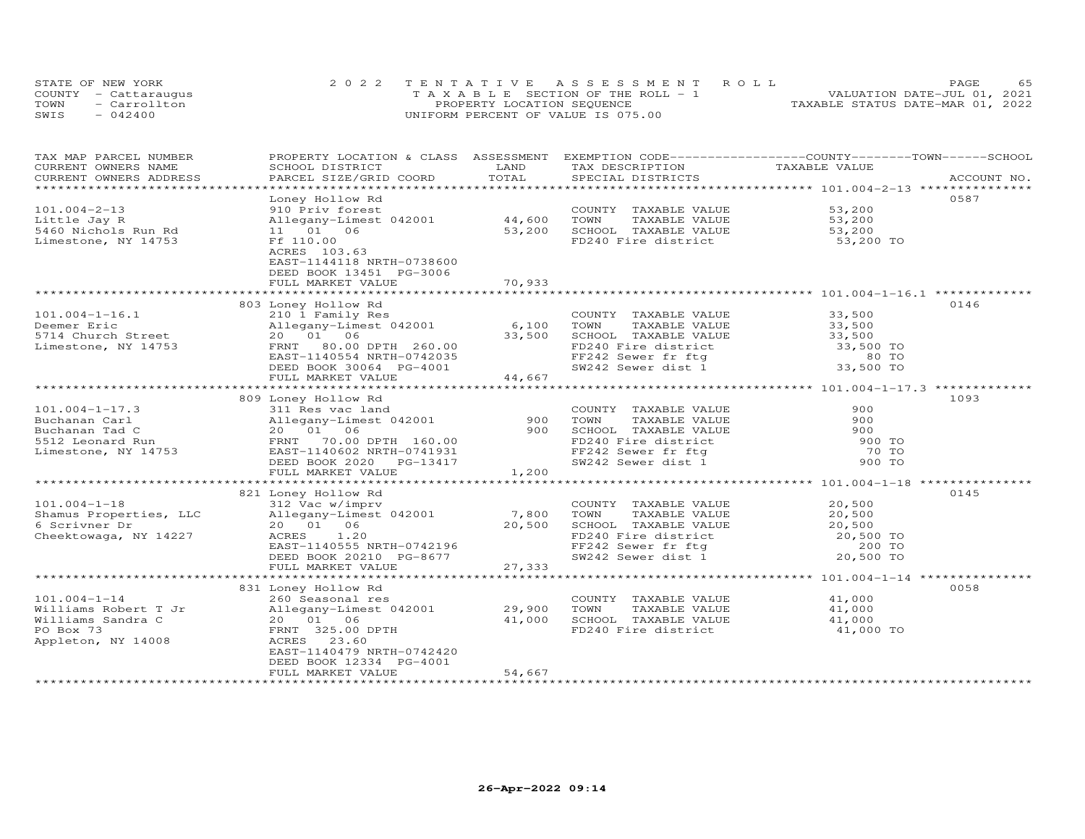| STATE OF NEW YORK    | 2022 TENTATIVE ASSESSMENT ROLL        | 65<br>PAGE.                      |
|----------------------|---------------------------------------|----------------------------------|
| COUNTY - Cattaraugus | T A X A B L E SECTION OF THE ROLL - 1 | VALUATION DATE-JUL 01, 2021      |
| TOWN<br>- Carrollton | PROPERTY LOCATION SEQUENCE            | TAXABLE STATUS DATE-MAR 01, 2022 |
| SWIS<br>$-042400$    | UNIFORM PERCENT OF VALUE IS 075.00    |                                  |

| TAX MAP PARCEL NUMBER                       | PROPERTY LOCATION & CLASS ASSESSMENT |               |                                                                                  | EXEMPTION CODE-----------------COUNTY-------TOWN------SCHOOL |             |
|---------------------------------------------|--------------------------------------|---------------|----------------------------------------------------------------------------------|--------------------------------------------------------------|-------------|
| CURRENT OWNERS NAME                         | SCHOOL DISTRICT                      | LAND<br>TOTAL | TAX DESCRIPTION                                                                  | TAXABLE VALUE                                                |             |
| CURRENT OWNERS ADDRESS<br>***************** | PARCEL SIZE/GRID COORD               |               | SPECIAL DISTRICTS                                                                |                                                              | ACCOUNT NO. |
|                                             |                                      |               |                                                                                  |                                                              | 0587        |
|                                             | Loney Hollow Rd                      |               |                                                                                  |                                                              |             |
| $101.004 - 2 - 13$                          | 910 Priv forest                      |               | COUNTY TAXABLE VALUE                                                             | 53,200                                                       |             |
| Little Jay R                                | Allegany-Limest 042001               | 44,600        | TOWN<br>TAXABLE VALUE                                                            | 53,200                                                       |             |
| 5460 Nichols Run Rd                         | 11 01 06                             | 53,200        | SCHOOL TAXABLE VALUE                                                             |                                                              |             |
| Limestone, NY 14753                         | Ff 110.00                            |               | FD240 Fire district                                                              | $53,200$ TO                                                  |             |
|                                             | ACRES 103.63                         |               |                                                                                  |                                                              |             |
|                                             | EAST-1144118 NRTH-0738600            |               |                                                                                  |                                                              |             |
|                                             | DEED BOOK 13451 PG-3006              |               |                                                                                  |                                                              |             |
|                                             | FULL MARKET VALUE                    | 70,933        |                                                                                  |                                                              |             |
|                                             |                                      |               |                                                                                  |                                                              |             |
|                                             | 803 Loney Hollow Rd                  |               |                                                                                  |                                                              | 0146        |
| $101.004 - 1 - 16.1$                        | 210 1 Family Res                     |               | COUNTY TAXABLE VALUE                                                             | 33,500                                                       |             |
| Deemer Eric                                 | Allegany-Limest 042001               | 6,100         | TOWN<br>TAXABLE VALUE                                                            | 33,500                                                       |             |
| 5714 Church Street                          | 20 01 06                             | 33,500        | SCHOOL TAXABLE VALUE                                                             | 33,500                                                       |             |
| Limestone, NY 14753                         | FRNT 80.00 DPTH 260.00               |               | FD240 Fire district                                                              | 33,500 TO                                                    |             |
|                                             | EAST-1140554 NRTH-0742035            |               | FF242 Sewer fr ftg 60 TO<br>SW242 Sewer dist 1 33,500 TO                         |                                                              |             |
|                                             | DEED BOOK 30064 PG-4001              |               |                                                                                  |                                                              |             |
|                                             | FULL MARKET VALUE                    | 44,667        |                                                                                  |                                                              |             |
|                                             |                                      |               |                                                                                  |                                                              |             |
|                                             | 809 Loney Hollow Rd                  |               |                                                                                  |                                                              | 1093        |
| $101.004 - 1 - 17.3$                        | 311 Res vac land                     | 900           | COUNTY TAXABLE VALUE                                                             | 900                                                          |             |
| Buchanan Carl                               | Allegany-Limest 042001               |               | TOWN<br>TAXABLE VALUE                                                            | 900                                                          |             |
| Buchanan Tad C                              | 20  01  06                           | 900           | SCHOOL TAXABLE VALUE                                                             | 900                                                          |             |
| 5512 Leonard Run                            | FRNT 70.00 DPTH 160.00               |               | FD240 Fire district                                                              | 900 TO                                                       |             |
| Limestone, NY 14753                         | EAST-1140602 NRTH-0741931            |               | FF242 Sewer fr ftg                                                               | 70 TO                                                        |             |
|                                             | DEED BOOK 2020 PG-13417              |               | SW242 Sewer dist 1                                                               | 900 TO                                                       |             |
|                                             | FULL MARKET VALUE                    | 1,200         |                                                                                  |                                                              |             |
|                                             |                                      |               |                                                                                  | ******************* 101.004-1-18 ***                         |             |
|                                             | 821 Loney Hollow Rd                  |               |                                                                                  |                                                              | 0145        |
| $101.004 - 1 - 18$                          | 312 Vac w/imprv                      |               | COUNTY TAXABLE VALUE                                                             | 20,500                                                       |             |
| Shamus Properties, LLC                      | Allegany-Limest 042001               | 7,800         | TOWN<br>TAXABLE VALUE                                                            | 20,500                                                       |             |
| 6 Scrivner Dr                               | 20  01  06                           | 20,500        | SCHOOL TAXABLE VALUE                                                             | 20,500                                                       |             |
| Cheektowaga, NY 14227                       | ACRES<br>1.20                        |               |                                                                                  |                                                              |             |
|                                             | EAST-1140555 NRTH-0742196            |               |                                                                                  |                                                              |             |
|                                             | DEED BOOK 20210 PG-8677              |               | FD240 Fire district<br>FF242 Sewer fr ftg 200 TO<br>SW242 Sewer dist 1 20,500 TO |                                                              |             |
|                                             | FULL MARKET VALUE                    | 27,333        |                                                                                  |                                                              |             |
|                                             |                                      |               |                                                                                  |                                                              |             |
|                                             | 831 Loney Hollow Rd                  |               |                                                                                  |                                                              | 0058        |
| $101.004 - 1 - 14$                          | 260 Seasonal res                     |               | COUNTY TAXABLE VALUE                                                             | 41,000                                                       |             |
| Williams Robert T Jr                        | Allegany-Limest 042001               | 29,900        | TOWN<br>TAXABLE VALUE                                                            | 41,000                                                       |             |
| Williams Sandra C                           | 20 01 06                             | 41,000        | SCHOOL TAXABLE VALUE                                                             | 41,000                                                       |             |
| PO Box 73                                   | FRNT 325.00 DPTH                     |               | FD240 Fire district                                                              | 41,000 TO                                                    |             |
| Appleton, NY 14008                          | ACRES 23.60                          |               |                                                                                  |                                                              |             |
|                                             | EAST-1140479 NRTH-0742420            |               |                                                                                  |                                                              |             |
|                                             | DEED BOOK 12334 PG-4001              |               |                                                                                  |                                                              |             |
|                                             | FULL MARKET VALUE                    | 54,667        |                                                                                  |                                                              |             |
|                                             |                                      |               |                                                                                  |                                                              |             |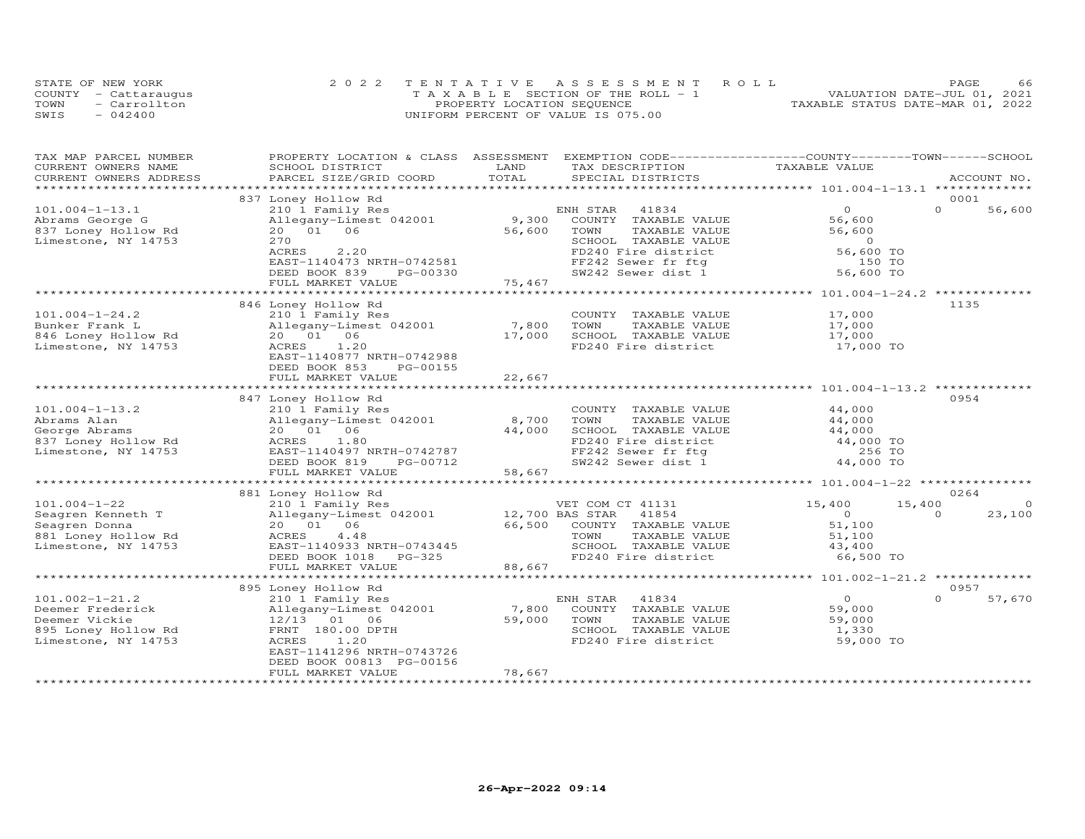|      | STATE OF NEW YORK    | 2022 TENTATIVE ASSESSMENT ROLL        | 66<br><b>PAGE</b>                |
|------|----------------------|---------------------------------------|----------------------------------|
|      | COUNTY - Cattaraugus | T A X A B L E SECTION OF THE ROLL - 1 | VALUATION DATE-JUL 01, 2021      |
| TOWN | - Carrollton         | PROPERTY LOCATION SEQUENCE            | TAXABLE STATUS DATE-MAR 01, 2022 |
| SWIS | $-042400$            | UNIFORM PERCENT OF VALUE IS 075.00    |                                  |

| TAX MAP PARCEL NUMBER<br>CURRENT OWNERS NAME | PROPERTY LOCATION & CLASS ASSESSMENT<br>SCHOOL DISTRICT | LAND            | EXEMPTION CODE-----------------COUNTY-------TOWN------SCHOOL<br>TAX DESCRIPTION | TAXABLE VALUE      |                    |
|----------------------------------------------|---------------------------------------------------------|-----------------|---------------------------------------------------------------------------------|--------------------|--------------------|
| CURRENT OWNERS ADDRESS                       | PARCEL SIZE/GRID COORD                                  | TOTAL           | SPECIAL DISTRICTS                                                               |                    | ACCOUNT NO.        |
| ******************                           |                                                         |                 |                                                                                 |                    |                    |
|                                              | 837 Loney Hollow Rd                                     |                 |                                                                                 |                    | 0001               |
| $101.004 - 1 - 13.1$                         | 210 1 Family Res                                        |                 | ENH STAR<br>41834                                                               | $\overline{O}$     | $\Omega$<br>56,600 |
| Abrams George G                              | Allegany-Limest 042001                                  | 9,300           | COUNTY TAXABLE VALUE                                                            | 56,600             |                    |
| 837 Loney Hollow Rd                          | 20  01  06                                              | 56,600          | TOWN<br>TAXABLE VALUE                                                           | 56,600             |                    |
| Limestone, NY 14753                          | 270                                                     |                 | SCHOOL TAXABLE VALUE                                                            | $\overline{0}$     |                    |
|                                              | ACRES<br>2,20                                           |                 | FD240 Fire district                                                             | 56,600 TO          |                    |
|                                              | EAST-1140473 NRTH-0742581                               |                 | FF242 Sewer fr ftg                                                              | 150 TO             |                    |
|                                              | DEED BOOK 839<br>PG-00330                               |                 | SW242 Sewer dist 1                                                              | 56,600 TO          |                    |
|                                              | FULL MARKET VALUE                                       | 75,467          |                                                                                 |                    |                    |
|                                              |                                                         |                 |                                                                                 |                    |                    |
|                                              | 846 Loney Hollow Rd                                     |                 |                                                                                 |                    | 1135               |
| $101.004 - 1 - 24.2$                         | 210 1 Family Res                                        |                 | COUNTY TAXABLE VALUE                                                            | 17,000             |                    |
| Bunker Frank L                               | Allegany-Limest 042001                                  | 7,800           | TAXABLE VALUE<br>TOWN                                                           | 17,000             |                    |
| 846 Loney Hollow Rd                          | 20 01 06                                                | 17,000          | SCHOOL TAXABLE VALUE                                                            | 17,000             |                    |
| Limestone, NY 14753                          | ACRES<br>1.20                                           |                 | FD240 Fire district                                                             | 17,000 TO          |                    |
|                                              | EAST-1140877 NRTH-0742988                               |                 |                                                                                 |                    |                    |
|                                              | DEED BOOK 853<br>PG-00155                               |                 |                                                                                 |                    |                    |
|                                              | FULL MARKET VALUE                                       | 22,667          |                                                                                 |                    |                    |
|                                              | *******************************                         | ************    |                                                                                 |                    |                    |
|                                              | 847 Loney Hollow Rd                                     |                 |                                                                                 |                    | 0954               |
| $101.004 - 1 - 13.2$                         | 210 1 Family Res                                        |                 | COUNTY TAXABLE VALUE                                                            | 44,000             |                    |
| Abrams Alan                                  | Allegany-Limest 042001                                  | 8,700           | TOWN<br>TAXABLE VALUE                                                           | 44,000             |                    |
| George Abrams                                | 20  01  06                                              | 44,000          | SCHOOL TAXABLE VALUE                                                            | 44,000             |                    |
| 837 Loney Hollow Rd                          | 1.80<br>ACRES                                           |                 | FD240 Fire district                                                             | 44,000 TO          |                    |
| Limestone, NY 14753                          | EAST-1140497 NRTH-0742787                               |                 | FF242 Sewer fr ftg                                                              | 256 TO             |                    |
|                                              | DEED BOOK 819<br>PG-00712                               |                 | SW242 Sewer dist 1                                                              | 44,000 TO          |                    |
|                                              | FULL MARKET VALUE                                       | 58,667          |                                                                                 |                    |                    |
|                                              |                                                         |                 |                                                                                 |                    | **********         |
|                                              | 881 Loney Hollow Rd                                     |                 |                                                                                 |                    | 0264               |
| $101.004 - 1 - 22$                           | 210 1 Family Res                                        |                 | VET COM CT 41131                                                                | 15,400<br>15,400   | $\circ$            |
| Seagren Kenneth T                            | Allegany-Limest 042001                                  | 12,700 BAS STAR | 41854                                                                           | $\circ$            | $\Omega$<br>23,100 |
| Seagren Donna                                | 20 01 06                                                | 66,500          | COUNTY TAXABLE VALUE                                                            | 51,100             |                    |
| 881 Loney Hollow Rd                          | ACRES<br>4.48                                           |                 | TOWN<br>TAXABLE VALUE                                                           | 51,100             |                    |
| Limestone, NY 14753                          | EAST-1140933 NRTH-0743445                               |                 | SCHOOL TAXABLE VALUE                                                            | 43,400             |                    |
|                                              | DEED BOOK 1018<br>$PG-325$                              |                 | FD240 Fire district                                                             | 66,500 TO          |                    |
|                                              | FULL MARKET VALUE                                       | 88,667          |                                                                                 |                    |                    |
|                                              |                                                         |                 |                                                                                 |                    | 0957               |
|                                              | 895 Loney Hollow Rd                                     |                 |                                                                                 | $\Omega$           | $\Omega$           |
| $101.002 - 1 - 21.2$                         | 210 1 Family Res                                        | 7,800           | 41834<br>ENH STAR                                                               |                    | 57,670             |
| Deemer Frederick                             | Allegany-Limest 042001                                  |                 | COUNTY TAXABLE VALUE                                                            | 59,000             |                    |
| Deemer Vickie                                | 12/13 01 06                                             | 59,000          | TOWN<br>TAXABLE VALUE                                                           | 59,000             |                    |
| 895 Loney Hollow Rd<br>Limestone, NY 14753   | FRNT 180.00 DPTH<br>ACRES<br>1.20                       |                 | SCHOOL TAXABLE VALUE<br>FD240 Fire district                                     | 1,330<br>59,000 TO |                    |
|                                              | EAST-1141296 NRTH-0743726                               |                 |                                                                                 |                    |                    |
|                                              | DEED BOOK 00813 PG-00156                                |                 |                                                                                 |                    |                    |
|                                              | FULL MARKET VALUE                                       | 78,667          |                                                                                 |                    |                    |
|                                              |                                                         |                 |                                                                                 |                    |                    |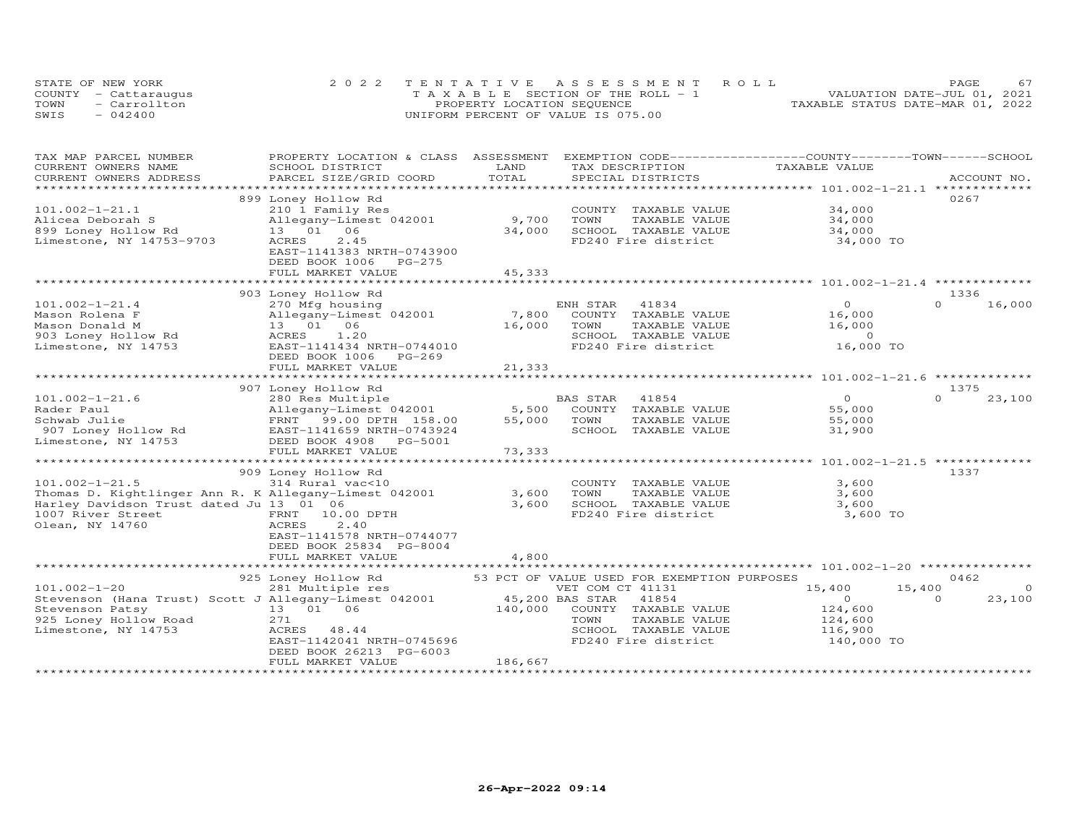|      | STATE OF NEW YORK    | 2022 TENTATIVE ASSESSMENT ROLL        | <b>PAGE</b>                      |
|------|----------------------|---------------------------------------|----------------------------------|
|      | COUNTY - Cattaraugus | T A X A B L E SECTION OF THE ROLL - 1 | VALUATION DATE-JUL 01, 2021      |
| TOWN | - Carrollton         | PROPERTY LOCATION SEQUENCE            | TAXABLE STATUS DATE-MAR 01, 2022 |
| SWIS | $-042400$            | UNIFORM PERCENT OF VALUE IS 075.00    |                                  |

| TAX MAP PARCEL NUMBER                                 | PROPERTY LOCATION & CLASS    | ASSESSMENT      |                                             | EXEMPTION CODE-----------------COUNTY-------TOWN-----SCHOOL |                    |
|-------------------------------------------------------|------------------------------|-----------------|---------------------------------------------|-------------------------------------------------------------|--------------------|
| CURRENT OWNERS NAME                                   | SCHOOL DISTRICT              | LAND            | TAX DESCRIPTION                             | TAXABLE VALUE                                               |                    |
| CURRENT OWNERS ADDRESS                                | PARCEL SIZE/GRID COORD       | TOTAL           | SPECIAL DISTRICTS                           |                                                             | ACCOUNT NO.        |
| **********************                                | ***************************  |                 |                                             |                                                             |                    |
|                                                       | 899 Loney Hollow Rd          |                 |                                             |                                                             | 0267               |
| $101.002 - 1 - 21.1$                                  | 210 1 Family Res             |                 | COUNTY TAXABLE VALUE                        | 34,000                                                      |                    |
| Alicea Deborah S                                      | Allegany-Limest 042001       | 9,700           | TOWN<br>TAXABLE VALUE                       | 34,000                                                      |                    |
| 899 Loney Hollow Rd                                   | 13 01 06                     | 34,000          | SCHOOL TAXABLE VALUE                        | 34,000                                                      |                    |
| Limestone, NY 14753-9703                              | 2.45<br>ACRES                |                 | FD240 Fire district                         | 34,000 TO                                                   |                    |
|                                                       | EAST-1141383 NRTH-0743900    |                 |                                             |                                                             |                    |
|                                                       | DEED BOOK 1006<br>$PG-275$   |                 |                                             |                                                             |                    |
|                                                       | FULL MARKET VALUE            | 45,333          |                                             |                                                             |                    |
|                                                       |                              |                 |                                             |                                                             |                    |
|                                                       | 903 Loney Hollow Rd          |                 |                                             |                                                             | 1336               |
| $101.002 - 1 - 21.4$                                  | 270 Mfg housing              |                 | ENH STAR<br>41834                           | $\Omega$                                                    | $\Omega$<br>16,000 |
| Mason Rolena F                                        | Allegany-Limest 042001       | 7,800           | COUNTY TAXABLE VALUE                        | 16,000                                                      |                    |
| Mason Donald M                                        | 13  01  06                   | 16,000          | TOWN<br>TAXABLE VALUE                       | 16,000                                                      |                    |
| 903 Loney Hollow Rd                                   | 1.20<br>ACRES                |                 | SCHOOL TAXABLE VALUE                        | $\circ$                                                     |                    |
| Limestone, NY 14753                                   | EAST-1141434 NRTH-0744010    |                 | FD240 Fire district                         | 16,000 TO                                                   |                    |
|                                                       | DEED BOOK 1006<br>$PG-269$   |                 |                                             |                                                             |                    |
|                                                       | FULL MARKET VALUE            | 21,333          |                                             |                                                             |                    |
|                                                       |                              |                 |                                             |                                                             |                    |
|                                                       | 907 Loney Hollow Rd          |                 |                                             |                                                             | 1375               |
| $101.002 - 1 - 21.6$                                  | 280 Res Multiple             |                 | BAS STAR<br>41854                           | $\Omega$                                                    | $\Omega$<br>23,100 |
| Rader Paul                                            | Allegany-Limest 042001       | 5,500           | COUNTY TAXABLE VALUE                        | 55,000                                                      |                    |
| Schwab Julie                                          |                              | 55,000          | TOWN                                        | 55,000                                                      |                    |
|                                                       | FRNT 99.00 DPTH 158.00       |                 | TAXABLE VALUE                               |                                                             |                    |
| 907 Loney Hollow Rd                                   | EAST-1141659 NRTH-0743924    |                 | SCHOOL TAXABLE VALUE                        | 31,900                                                      |                    |
| Limestone, NY 14753                                   | DEED BOOK 4908 PG-5001       |                 |                                             |                                                             |                    |
|                                                       | FULL MARKET VALUE            | 73,333          |                                             |                                                             |                    |
|                                                       |                              |                 |                                             |                                                             |                    |
|                                                       | 909 Loney Hollow Rd          |                 |                                             |                                                             | 1337               |
| $101.002 - 1 - 21.5$                                  | 314 Rural vac<10             |                 | COUNTY TAXABLE VALUE                        | 3,600                                                       |                    |
| Thomas D. Kightlinger Ann R. K Allegany-Limest 042001 |                              | 3,600           | TOWN<br>TAXABLE VALUE                       | 3,600                                                       |                    |
| Harley Davidson Trust dated Ju 13 01 06               |                              | 3,600           | SCHOOL TAXABLE VALUE                        | 3,600                                                       |                    |
| 1007 River Street                                     | FRNT 10.00 DPTH              |                 | FD240 Fire district                         | 3,600 TO                                                    |                    |
| Olean, NY 14760                                       | ACRES<br>2.40                |                 |                                             |                                                             |                    |
|                                                       | EAST-1141578 NRTH-0744077    |                 |                                             |                                                             |                    |
|                                                       | DEED BOOK 25834 PG-8004      |                 |                                             |                                                             |                    |
|                                                       | FULL MARKET VALUE            | 4,800           |                                             |                                                             |                    |
|                                                       | **************************** |                 |                                             |                                                             |                    |
|                                                       | 925 Loney Hollow Rd          |                 | 53 PCT OF VALUE USED FOR EXEMPTION PURPOSES |                                                             | 0462               |
| $101.002 - 1 - 20$                                    | 281 Multiple res             |                 | VET COM CT 41131                            | 15,400<br>15,400                                            |                    |
| Stevenson (Hana Trust) Scott J Allegany-Limest 042001 |                              | 45,200 BAS STAR | 41854                                       | $\overline{O}$                                              | 23,100<br>$\Omega$ |
| Stevenson Patsy                                       | 13 01 06                     | 140,000         | COUNTY TAXABLE VALUE                        | 124,600                                                     |                    |
| 925 Loney Hollow Road                                 | 271                          |                 | TOWN<br>TAXABLE VALUE                       | 124,600                                                     |                    |
| Limestone, NY 14753                                   | ACRES 48.44                  |                 | SCHOOL TAXABLE VALUE                        | 116,900                                                     |                    |
|                                                       | EAST-1142041 NRTH-0745696    |                 | FD240 Fire district                         | 140,000 TO                                                  |                    |
|                                                       | DEED BOOK 26213 PG-6003      |                 |                                             |                                                             |                    |
|                                                       | FULL MARKET VALUE            | 186,667         |                                             |                                                             |                    |
|                                                       |                              |                 |                                             |                                                             |                    |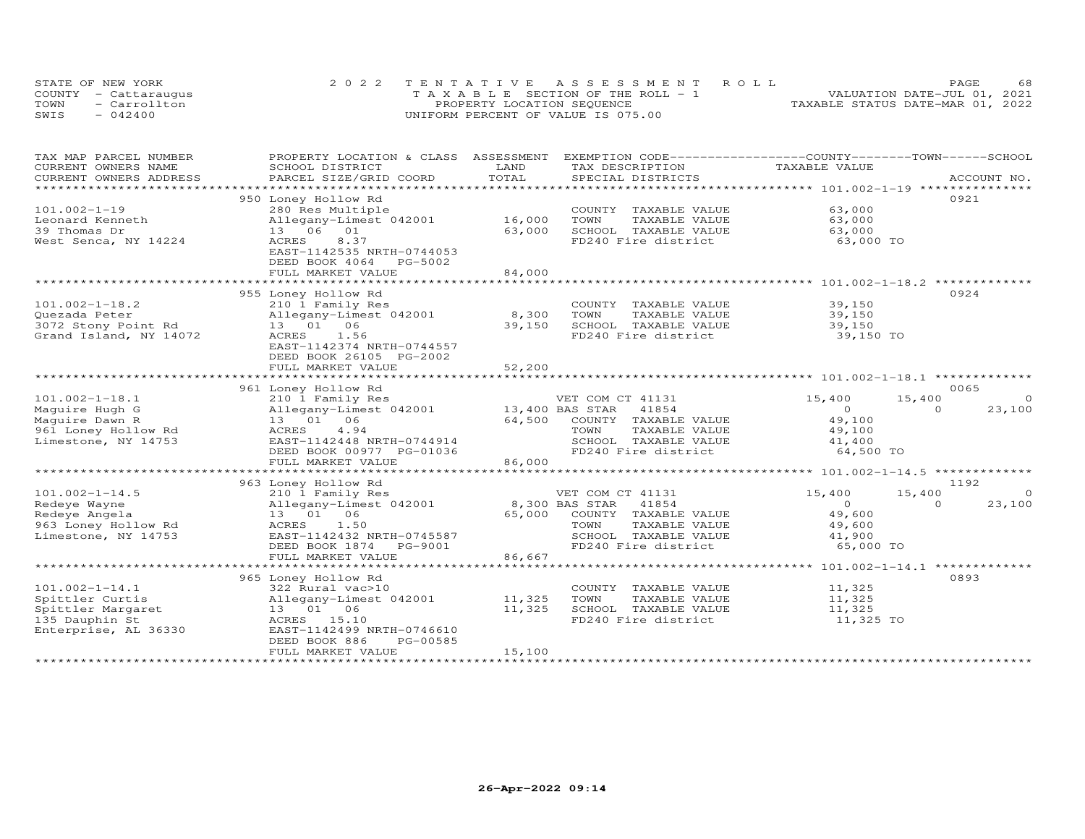|      | STATE OF NEW YORK    | 2022 TENTATIVE ASSESSMENT ROLL        | 68<br><b>PAGE</b>                |
|------|----------------------|---------------------------------------|----------------------------------|
|      | COUNTY - Cattaraugus | T A X A B L E SECTION OF THE ROLL - 1 | VALUATION DATE-JUL 01, 2021      |
| TOWN | - Carrollton         | PROPERTY LOCATION SEQUENCE            | TAXABLE STATUS DATE-MAR 01, 2022 |
| SWIS | $-042400$            | UNIFORM PERCENT OF VALUE IS 075.00    |                                  |

| TAX MAP PARCEL NUMBER  | PROPERTY LOCATION & CLASS ASSESSMENT |        | EXEMPTION CODE-----------------COUNTY-------TOWN------SCHOOL |                  |                    |
|------------------------|--------------------------------------|--------|--------------------------------------------------------------|------------------|--------------------|
| CURRENT OWNERS NAME    | SCHOOL DISTRICT                      | LAND   | TAX DESCRIPTION                                              | TAXABLE VALUE    |                    |
| CURRENT OWNERS ADDRESS | PARCEL SIZE/GRID COORD               | TOTAL  | SPECIAL DISTRICTS                                            |                  | ACCOUNT NO.        |
|                        |                                      |        |                                                              |                  |                    |
|                        | 950 Loney Hollow Rd                  |        |                                                              |                  | 0921               |
| $101.002 - 1 - 19$     | 280 Res Multiple                     |        | COUNTY TAXABLE VALUE                                         | 63,000           |                    |
| Leonard Kenneth        | Allegany-Limest 042001               | 16,000 | TOWN<br>TAXABLE VALUE                                        | 63,000           |                    |
| 39 Thomas Dr           | 13 06 01                             | 63,000 | SCHOOL TAXABLE VALUE                                         | 63,000           |                    |
| West Senca, NY 14224   | <b>ACRES</b><br>8.37                 |        | FD240 Fire district                                          | 63,000 TO        |                    |
|                        | EAST-1142535 NRTH-0744053            |        |                                                              |                  |                    |
|                        | DEED BOOK 4064<br>PG-5002            |        |                                                              |                  |                    |
|                        | FULL MARKET VALUE                    | 84,000 |                                                              |                  |                    |
|                        | ******************************       |        |                                                              |                  |                    |
|                        | 955 Loney Hollow Rd                  |        |                                                              |                  | 0924               |
| $101.002 - 1 - 18.2$   | 210 1 Family Res                     |        | COUNTY TAXABLE VALUE                                         | 39,150           |                    |
| Quezada Peter          | Allegany-Limest 042001               | 8,300  | TOWN<br>TAXABLE VALUE                                        | 39,150           |                    |
| 3072 Stony Point Rd    | 13 01 06                             | 39,150 | SCHOOL TAXABLE VALUE                                         | 39,150           |                    |
| Grand Island, NY 14072 | ACRES<br>1.56                        |        | FD240 Fire district                                          | 39,150 TO        |                    |
|                        | EAST-1142374 NRTH-0744557            |        |                                                              |                  |                    |
|                        | DEED BOOK 26105 PG-2002              |        |                                                              |                  |                    |
|                        | FULL MARKET VALUE                    | 52,200 |                                                              |                  |                    |
|                        |                                      |        |                                                              |                  |                    |
|                        | 961 Loney Hollow Rd                  |        |                                                              |                  | 0065               |
| $101.002 - 1 - 18.1$   | 210 1 Family Res                     |        | VET COM CT 41131                                             | 15,400<br>15,400 | $\circ$            |
| Maguire Hugh G         | Allegany-Limest 042001               |        | 13,400 BAS STAR 41854                                        | $\Omega$         | $\Omega$<br>23,100 |
| Maguire Dawn R         | 13  01  06                           | 64,500 | COUNTY TAXABLE VALUE                                         | 49,100           |                    |
| 961 Loney Hollow Rd    | ACRES<br>4.94                        |        | TAXABLE VALUE<br>TOWN                                        | 49,100           |                    |
| Limestone, NY 14753    | EAST-1142448 NRTH-0744914            |        | SCHOOL TAXABLE VALUE                                         | 41,400           |                    |
|                        | DEED BOOK 00977 PG-01036             |        | FD240 Fire district                                          | 64,500 TO        |                    |
|                        | FULL MARKET VALUE                    | 86,000 |                                                              |                  |                    |
|                        |                                      |        |                                                              |                  |                    |
|                        | 963 Loney Hollow Rd                  |        |                                                              |                  | 1192               |
| $101.002 - 1 - 14.5$   | 210 1 Family Res                     |        | VET COM CT 41131                                             | 15,400<br>15,400 | $\Omega$           |
| Redeye Wayne           | Allegany-Limest 042001               |        | 8,300 BAS STAR<br>41854                                      | $\Omega$         | $\Omega$<br>23,100 |
| Redeye Angela          | 13 01 06                             | 65,000 | COUNTY TAXABLE VALUE                                         | 49,600           |                    |
| 963 Loney Hollow Rd    | 1.50<br>ACRES                        |        | TOWN<br>TAXABLE VALUE                                        | 49,600           |                    |
| Limestone, NY 14753    | EAST-1142432 NRTH-0745587            |        | SCHOOL TAXABLE VALUE                                         | 41,900           |                    |
|                        | DEED BOOK 1874<br>PG-9001            |        | FD240 Fire district                                          | 65,000 TO        |                    |
|                        | FULL MARKET VALUE                    | 86,667 |                                                              |                  |                    |
|                        |                                      |        |                                                              |                  |                    |
|                        | 965 Loney Hollow Rd                  |        |                                                              |                  | 0893               |
| $101.002 - 1 - 14.1$   | 322 Rural vac>10                     |        | COUNTY TAXABLE VALUE                                         | 11,325           |                    |
| Spittler Curtis        | Allegany-Limest 042001               | 11,325 | TOWN<br>TAXABLE VALUE                                        | 11,325           |                    |
| Spittler Margaret      | 13 01 06                             | 11,325 | SCHOOL TAXABLE VALUE                                         | 11,325           |                    |
| 135 Dauphin St         | ACRES 15.10                          |        | FD240 Fire district                                          | 11,325 TO        |                    |
| Enterprise, AL 36330   | EAST-1142499 NRTH-0746610            |        |                                                              |                  |                    |
|                        | PG-00585<br>DEED BOOK 886            |        |                                                              |                  |                    |
|                        | FULL MARKET VALUE                    | 15,100 |                                                              |                  |                    |
|                        |                                      |        |                                                              |                  |                    |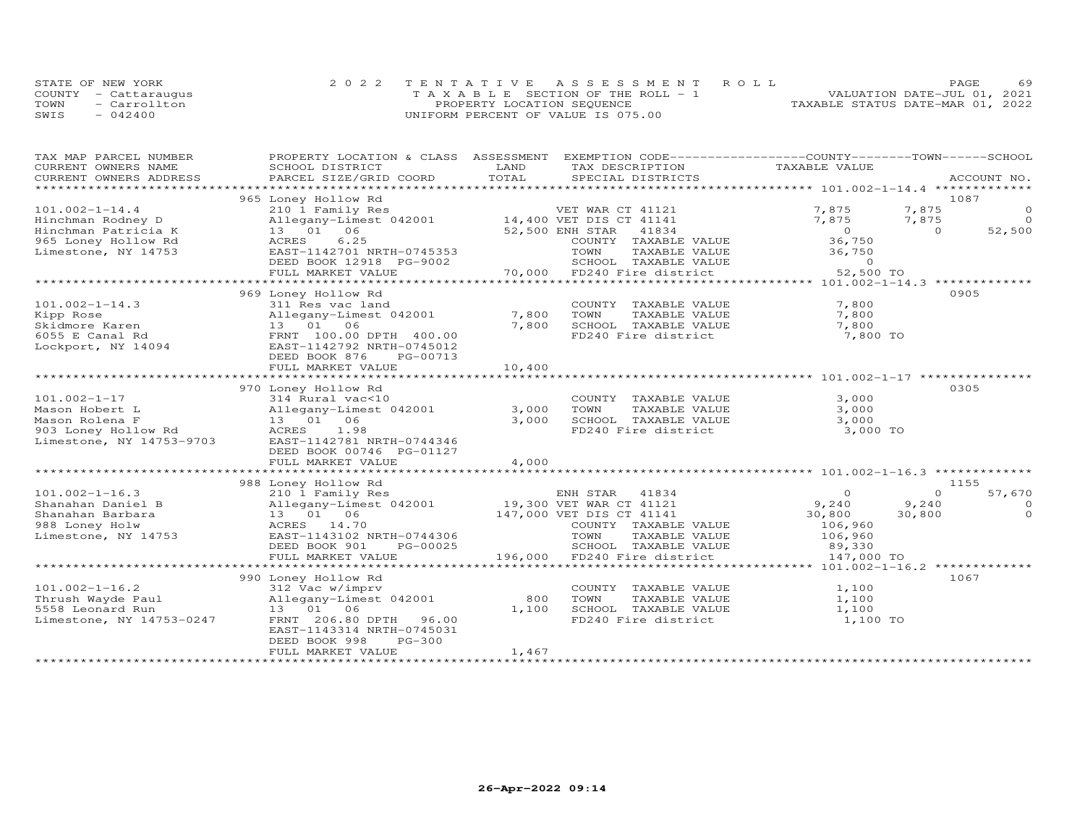|      | STATE OF NEW YORK    | 2022 TENTATIVE ASSESSMENT ROLL        |                                  | PAGE.                       | 69 |
|------|----------------------|---------------------------------------|----------------------------------|-----------------------------|----|
|      | COUNTY - Cattaraugus | T A X A B L E SECTION OF THE ROLL - 1 |                                  | VALUATION DATE-JUL 01, 2021 |    |
| TOWN | - Carrollton         | PROPERTY LOCATION SEQUENCE            | TAXABLE STATUS DATE-MAR 01, 2022 |                             |    |
| SWIS | $-042400$            | UNIFORM PERCENT OF VALUE IS 075.00    |                                  |                             |    |

| TAX MAP PARCEL NUMBER<br>CURRENT OWNERS NAME | PROPERTY LOCATION & CLASS<br>SCHOOL DISTRICT   | LAND                 | ASSESSMENT EXEMPTION CODE------------------COUNTY-------TOWN------SCHOOL<br>TAX DESCRIPTION | TAXABLE VALUE  |          |                 |
|----------------------------------------------|------------------------------------------------|----------------------|---------------------------------------------------------------------------------------------|----------------|----------|-----------------|
| CURRENT OWNERS ADDRESS                       | PARCEL SIZE/GRID COORD                         | TOTAL                | SPECIAL DISTRICTS                                                                           |                |          | ACCOUNT NO.     |
| ***********************                      |                                                |                      |                                                                                             |                |          |                 |
| $101.002 - 1 - 14.4$                         | 965 Loney Hollow Rd<br>210 1 Family Res        |                      | VET WAR CT 41121                                                                            | 7,875          | 7,875    | 1087<br>$\circ$ |
| Hinchman Rodney D                            | Allegany-Limest 042001 14,400 VET DIS CT 41141 |                      |                                                                                             | 7,875          | 7,875    | $\overline{0}$  |
| Hinchman Patricia K                          | 13  01  06                                     |                      | 41834<br>52,500 ENH STAR                                                                    | $\overline{O}$ | $\Omega$ | 52,500          |
| 965 Loney Hollow Rd                          | 6.25<br>ACRES                                  |                      | COUNTY TAXABLE VALUE                                                                        | 36,750         |          |                 |
| Limestone, NY 14753                          | EAST-1142701 NRTH-0745353                      |                      | TOWN<br>TAXABLE VALUE                                                                       | 36,750         |          |                 |
|                                              | DEED BOOK 12918 PG-9002                        |                      | SCHOOL TAXABLE VALUE                                                                        | $\circ$        |          |                 |
|                                              | FULL MARKET VALUE                              |                      | 70,000 FD240 Fire district                                                                  | 52,500 TO      |          |                 |
|                                              |                                                |                      |                                                                                             |                |          |                 |
|                                              | 969 Loney Hollow Rd                            |                      |                                                                                             |                |          | 0905            |
| $101.002 - 1 - 14.3$                         | 311 Res vac land                               |                      | COUNTY TAXABLE VALUE                                                                        | 7,800          |          |                 |
| Kipp Rose                                    | Allegany-Limest 042001                         | 7,800                | TOWN<br>TAXABLE VALUE                                                                       | 7,800          |          |                 |
| Skidmore Karen                               | 13 01 06                                       | 7,800                | SCHOOL TAXABLE VALUE                                                                        | 7,800          |          |                 |
| 6055 E Canal Rd                              | FRNT 100.00 DPTH 400.00                        |                      | FD240 Fire district                                                                         | 7,800 TO       |          |                 |
| Lockport, NY 14094                           | EAST-1142792 NRTH-0745012                      |                      |                                                                                             |                |          |                 |
|                                              | DEED BOOK 876<br>PG-00713                      |                      |                                                                                             |                |          |                 |
|                                              | FULL MARKET VALUE<br>************************* | 10,400<br>********** |                                                                                             |                |          |                 |
|                                              | 970 Loney Hollow Rd                            |                      |                                                                                             |                |          | 0305            |
| $101.002 - 1 - 17$                           | 314 Rural vac<10                               |                      | COUNTY TAXABLE VALUE                                                                        | 3,000          |          |                 |
| Mason Hobert L                               | Allegany-Limest 042001                         | 3,000                | TOWN<br>TAXABLE VALUE                                                                       | 3,000          |          |                 |
| Mason Rolena F                               | 13  01  06                                     | 3,000                | SCHOOL TAXABLE VALUE                                                                        | 3,000          |          |                 |
| 903 Loney Hollow Rd                          | ACRES<br>1.98                                  |                      | FD240 Fire district                                                                         | 3,000 TO       |          |                 |
| Limestone, NY 14753-9703                     | EAST-1142781 NRTH-0744346                      |                      |                                                                                             |                |          |                 |
|                                              | DEED BOOK 00746 PG-01127                       |                      |                                                                                             |                |          |                 |
|                                              | FULL MARKET VALUE                              | 4,000                |                                                                                             |                |          |                 |
|                                              |                                                |                      |                                                                                             |                |          |                 |
|                                              | 988 Loney Hollow Rd                            |                      |                                                                                             |                |          | 1155            |
| $101.002 - 1 - 16.3$                         | 210 1 Family Res                               |                      | ENH STAR 41834<br>19,300 VET WAR CT 41121                                                   | $\circ$        | $\Omega$ | 57,670          |
| Shanahan Daniel B                            | Allegany-Limest 042001                         |                      |                                                                                             | 9,240          | 9,240    | $\circ$         |
| Shanahan Barbara                             | 13  01  06                                     |                      | 147,000 VET DIS CT 41141                                                                    | 30,800         | 30,800   | $\circ$         |
| 988 Loney Holw                               | ACRES 14.70                                    |                      | COUNTY TAXABLE VALUE                                                                        | 106,960        |          |                 |
| Limestone, NY 14753                          | EAST-1143102 NRTH-0744306                      |                      | TOWN<br>TAXABLE VALUE                                                                       | 106,960        |          |                 |
|                                              | PG-00025<br>DEED BOOK 901                      |                      | SCHOOL TAXABLE VALUE                                                                        | 89,330         |          |                 |
|                                              | FULL MARKET VALUE                              |                      | 196,000 FD240 Fire district                                                                 | 147,000 TO     |          |                 |
|                                              | 990 Loney Hollow Rd                            |                      |                                                                                             |                |          | 1067            |
| $101.002 - 1 - 16.2$                         | 312 Vac w/imprv                                |                      | COUNTY TAXABLE VALUE                                                                        | 1,100          |          |                 |
| Thrush Wayde Paul                            | Allegany-Limest 042001                         | 800                  | TOWN<br>TAXABLE VALUE                                                                       | 1,100          |          |                 |
| 5558 Leonard Run                             | 13 01 06                                       | 1,100                | SCHOOL TAXABLE VALUE                                                                        | 1,100          |          |                 |
| Limestone, NY 14753-0247                     | FRNT 206.80 DPTH<br>96.00                      |                      | FD240 Fire district                                                                         | 1,100 TO       |          |                 |
|                                              | EAST-1143314 NRTH-0745031                      |                      |                                                                                             |                |          |                 |
|                                              | $PG-300$<br>DEED BOOK 998                      |                      |                                                                                             |                |          |                 |
|                                              | FULL MARKET VALUE                              | 1,467                |                                                                                             |                |          |                 |
|                                              |                                                |                      |                                                                                             |                |          |                 |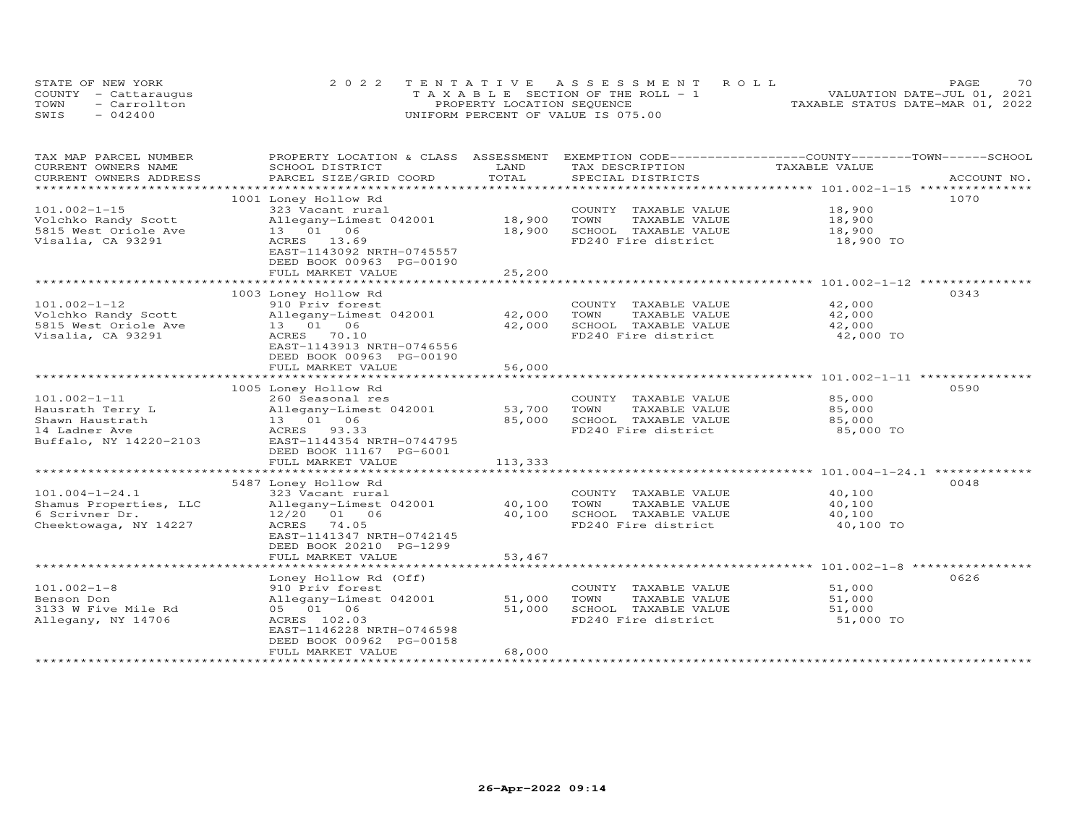| STATE OF NEW YORK    |              | 2022 TENTATIVE ASSESSMENT ROLL        |  |  |                                  | <b>PAGE</b> | 70 |
|----------------------|--------------|---------------------------------------|--|--|----------------------------------|-------------|----|
| COUNTY - Cattaraugus |              | T A X A B L E SECTION OF THE ROLL - 1 |  |  | VALUATION DATE-JUL 01, 2021      |             |    |
| TOWN                 | - Carrollton | PROPERTY LOCATION SEQUENCE            |  |  | TAXABLE STATUS DATE-MAR 01, 2022 |             |    |
| SWIS                 | $-042400$    | UNIFORM PERCENT OF VALUE IS 075.00    |  |  |                                  |             |    |

| TAX MAP PARCEL NUMBER                         | PROPERTY LOCATION & CLASS ASSESSMENT      |                  |                                       | EXEMPTION CODE-----------------COUNTY-------TOWN------SCHOOL |
|-----------------------------------------------|-------------------------------------------|------------------|---------------------------------------|--------------------------------------------------------------|
| CURRENT OWNERS NAME<br>CURRENT OWNERS ADDRESS | SCHOOL DISTRICT<br>PARCEL SIZE/GRID COORD | LAND<br>TOTAL    | TAX DESCRIPTION<br>SPECIAL DISTRICTS  | TAXABLE VALUE<br>ACCOUNT NO.                                 |
| *********************                         |                                           |                  |                                       |                                                              |
|                                               | 1001 Loney Hollow Rd                      |                  |                                       | 1070                                                         |
| $101.002 - 1 - 15$                            | 323 Vacant rural                          |                  | COUNTY TAXABLE VALUE                  | 18,900                                                       |
| Volchko Randy Scott                           | Allegany-Limest 042001                    | 18,900           | TOWN<br>TAXABLE VALUE                 | 18,900                                                       |
| 5815 West Oriole Ave                          | 13 01 06                                  | 18,900           | SCHOOL TAXABLE VALUE                  | 18,900                                                       |
| Visalia, CA 93291                             | ACRES 13.69                               |                  | FD240 Fire district                   | 18,900 TO                                                    |
|                                               | EAST-1143092 NRTH-0745557                 |                  |                                       |                                                              |
|                                               | DEED BOOK 00963 PG-00190                  |                  |                                       |                                                              |
|                                               | FULL MARKET VALUE                         | 25,200           |                                       |                                                              |
|                                               |                                           |                  |                                       |                                                              |
|                                               | 1003 Loney Hollow Rd                      |                  |                                       | 0343                                                         |
| $101.002 - 1 - 12$                            | 910 Priv forest                           |                  | COUNTY TAXABLE VALUE                  | 42,000                                                       |
| Volchko Randy Scott                           | Allegany-Limest 042001                    | 42,000           | TOWN<br>TAXABLE VALUE                 | 42,000                                                       |
| 5815 West Oriole Ave                          | 13  01  06                                | 42,000           | SCHOOL TAXABLE VALUE                  | 42,000                                                       |
| Visalia, CA 93291                             | ACRES 70.10                               |                  | FD240 Fire district                   | 42,000 TO                                                    |
|                                               | EAST-1143913 NRTH-0746556                 |                  |                                       |                                                              |
|                                               | DEED BOOK 00963 PG-00190                  |                  |                                       |                                                              |
|                                               | FULL MARKET VALUE                         | 56,000           |                                       |                                                              |
|                                               |                                           |                  |                                       |                                                              |
|                                               | 1005 Loney Hollow Rd                      |                  |                                       | 0590                                                         |
| $101.002 - 1 - 11$                            | 260 Seasonal res                          |                  | COUNTY TAXABLE VALUE                  | 85,000                                                       |
| Hausrath Terry L                              | Allegany-Limest 042001                    | 53,700           | TOWN<br>TAXABLE VALUE                 | 85,000                                                       |
| Shawn Haustrath                               | 13  01  06                                | 85,000           | SCHOOL TAXABLE VALUE                  | 85,000                                                       |
| 14 Ladner Ave                                 | ACRES 93.33                               |                  | FD240 Fire district                   | 85,000 TO                                                    |
| Buffalo, NY 14220-2103                        | EAST-1144354 NRTH-0744795                 |                  |                                       |                                                              |
|                                               | DEED BOOK 11167 PG-6001                   |                  |                                       |                                                              |
|                                               | FULL MARKET VALUE                         | 113,333          |                                       |                                                              |
|                                               |                                           |                  |                                       |                                                              |
|                                               | 5487 Loney Hollow Rd                      |                  |                                       | 0048                                                         |
| $101.004 - 1 - 24.1$                          | 323 Vacant rural                          |                  | COUNTY TAXABLE VALUE                  | 40,100                                                       |
| Shamus Properties, LLC                        | Allegany-Limest 042001                    | 40,100           | TOWN<br>TAXABLE VALUE                 | 40,100                                                       |
| 6 Scrivner Dr.                                | 12/20 01 06                               | 40,100           | SCHOOL TAXABLE VALUE                  | 40,100                                                       |
| Cheektowaga, NY 14227                         | ACRES 74.05                               |                  | FD240 Fire district                   | 40,100 TO                                                    |
|                                               | EAST-1141347 NRTH-0742145                 |                  |                                       |                                                              |
|                                               | DEED BOOK 20210 PG-1299                   |                  |                                       |                                                              |
|                                               | FULL MARKET VALUE                         | 53,467           |                                       |                                                              |
|                                               |                                           |                  |                                       |                                                              |
|                                               | Loney Hollow Rd (Off)                     |                  |                                       | 0626                                                         |
| $101.002 - 1 - 8$                             | 910 Priv forest                           |                  | COUNTY TAXABLE VALUE<br>TOWN          | 51,000                                                       |
| Benson Don<br>3133 W Five Mile Rd             | Allegany-Limest 042001<br>05 01 06        | 51,000<br>51,000 | TAXABLE VALUE<br>SCHOOL TAXABLE VALUE | 51,000<br>51,000                                             |
|                                               |                                           |                  | FD240 Fire district                   |                                                              |
| Allegany, NY 14706                            | ACRES 102.03<br>EAST-1146228 NRTH-0746598 |                  |                                       | 51,000 TO                                                    |
|                                               | DEED BOOK 00962 PG-00158                  |                  |                                       |                                                              |
|                                               | FULL MARKET VALUE                         | 68,000           |                                       |                                                              |
|                                               |                                           |                  |                                       |                                                              |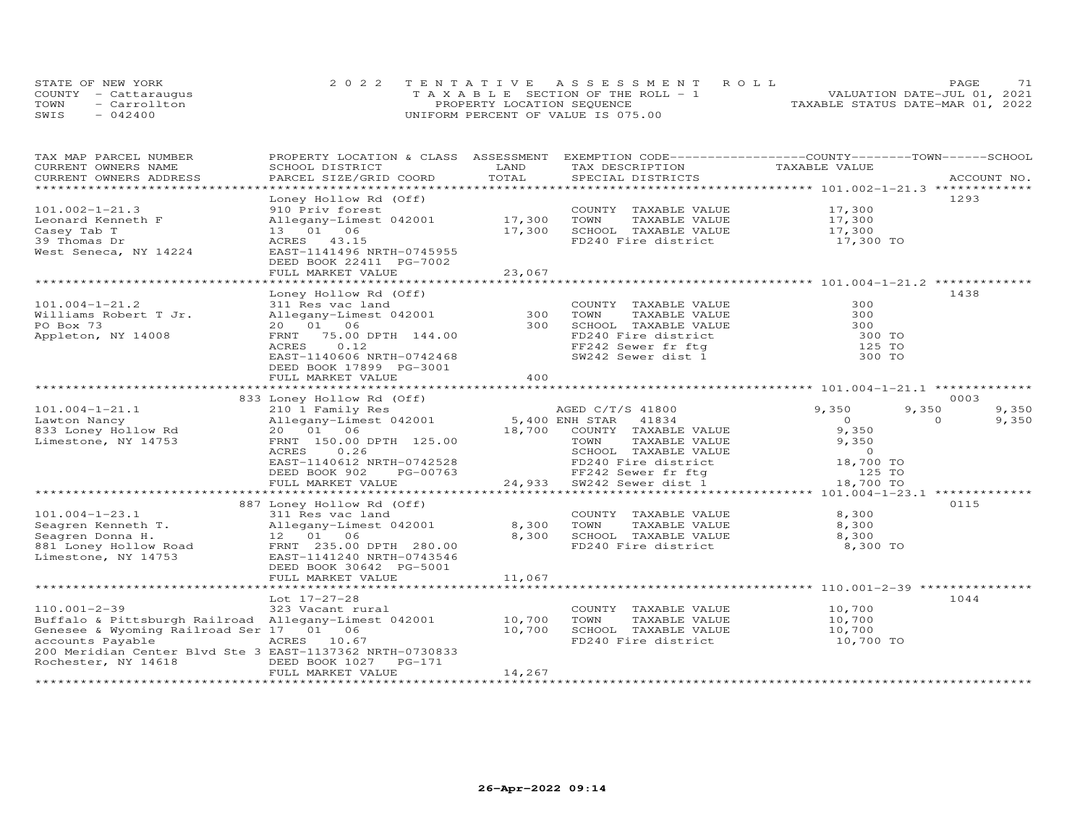| STATE OF NEW YORK |                      | 2022 TENTATIVE ASSESSMENT ROLL        | 71<br><b>PAGE</b>                |
|-------------------|----------------------|---------------------------------------|----------------------------------|
|                   | COUNTY - Cattaraugus | T A X A B L E SECTION OF THE ROLL - 1 | VALUATION DATE-JUL 01, 2021      |
| TOWN              | - Carrollton         | PROPERTY LOCATION SEQUENCE            | TAXABLE STATUS DATE-MAR 01, 2022 |
| SWIS              | $-042400$            | UNIFORM PERCENT OF VALUE IS 075.00    |                                  |

| TAX MAP PARCEL NUMBER<br>CURRENT OWNERS NAME                                 | PROPERTY LOCATION & CLASS ASSESSMENT<br>SCHOOL DISTRICT | LAND   | EXEMPTION CODE-----------------COUNTY-------TOWN------SCHOOL<br>TAX DESCRIPTION | TAXABLE VALUE  |                   |
|------------------------------------------------------------------------------|---------------------------------------------------------|--------|---------------------------------------------------------------------------------|----------------|-------------------|
| CURRENT OWNERS ADDRESS                                                       | PARCEL SIZE/GRID COORD                                  | TOTAL  | SPECIAL DISTRICTS                                                               |                | ACCOUNT NO.       |
|                                                                              |                                                         |        |                                                                                 |                |                   |
|                                                                              | Loney Hollow Rd (Off)                                   |        |                                                                                 |                | 1293              |
| $101.002 - 1 - 21.3$                                                         | 910 Priv forest                                         |        | COUNTY TAXABLE VALUE                                                            | 17,300         |                   |
| Leonard Kenneth F                                                            | Allegany-Limest 042001                                  | 17,300 | TOWN<br>TAXABLE VALUE                                                           | 17,300         |                   |
| Casey Tab T                                                                  | 13 01 06                                                | 17,300 | SCHOOL TAXABLE VALUE                                                            | 17,300         |                   |
| 39 Thomas Dr                                                                 | ACRES 43.15                                             |        | FD240 Fire district                                                             | 17,300 TO      |                   |
| West Seneca, NY 14224                                                        | EAST-1141496 NRTH-0745955                               |        |                                                                                 |                |                   |
|                                                                              | DEED BOOK 22411 PG-7002                                 |        |                                                                                 |                |                   |
|                                                                              | FULL MARKET VALUE                                       | 23,067 |                                                                                 |                |                   |
|                                                                              |                                                         |        |                                                                                 |                |                   |
|                                                                              | Loney Hollow Rd (Off)                                   |        |                                                                                 |                | 1438              |
| $101.004 - 1 - 21.2$                                                         | 311 Res vac land                                        |        | COUNTY TAXABLE VALUE                                                            | 300            |                   |
| Williams Robert T Jr.                                                        | Allegany-Limest 042001                                  | 300    | TOWN<br>TAXABLE VALUE                                                           | 300            |                   |
| PO Box 73                                                                    | 20  01  06                                              | 300    | SCHOOL TAXABLE VALUE                                                            | 300            |                   |
| Appleton, NY 14008                                                           | FRNT 75.00 DPTH 144.00                                  |        | FD240 Fire district                                                             | 300 TO         |                   |
|                                                                              | 0.12<br>ACRES                                           |        | FF242 Sewer fr ftg                                                              | 125 TO         |                   |
|                                                                              | EAST-1140606 NRTH-0742468                               |        | SW242 Sewer dist 1                                                              | 300 TO         |                   |
|                                                                              | DEED BOOK 17899 PG-3001                                 |        |                                                                                 |                |                   |
|                                                                              | FULL MARKET VALUE                                       | 400    |                                                                                 |                |                   |
|                                                                              |                                                         |        |                                                                                 |                |                   |
|                                                                              | 833 Loney Hollow Rd (Off)                               |        |                                                                                 |                | 0003              |
| $101.004 - 1 - 21.1$                                                         | 210 1 Family Res                                        |        | AGED C/T/S 41800                                                                | 9,350<br>9,350 | 9,350             |
| Lawton Nancy                                                                 | Allegany-Limest 042001                                  |        | 5,400 ENH STAR 41834                                                            | $\Omega$       | 9,350<br>$\Omega$ |
| 833 Loney Hollow Rd                                                          | 20  01  06                                              | 18,700 | COUNTY TAXABLE VALUE                                                            | 9,350          |                   |
| Limestone, NY 14753                                                          | FRNT 150.00 DPTH 125.00                                 |        | TOWN<br>TAXABLE VALUE                                                           | 9,350          |                   |
|                                                                              | ACRES<br>0.26                                           |        | SCHOOL TAXABLE VALUE                                                            | $\overline{0}$ |                   |
|                                                                              | EAST-1140612 NRTH-0742528                               |        | FD240 Fire district                                                             | 18,700 TO      |                   |
|                                                                              | DEED BOOK 902<br>PG-00763                               |        | FF242 Sewer fr ftg<br>24,933 SW242 Sewer dist 1                                 | 125 TO         |                   |
|                                                                              | FULL MARKET VALUE                                       |        |                                                                                 | 18,700 TO      |                   |
|                                                                              |                                                         |        |                                                                                 |                |                   |
|                                                                              | 887 Loney Hollow Rd (Off)                               |        |                                                                                 |                | 0115              |
| $101.004 - 1 - 23.1$                                                         | 311 Res vac land                                        |        | COUNTY TAXABLE VALUE                                                            | 8,300          |                   |
| Seagren Kenneth T.                                                           | Allegany-Limest 042001                                  | 8,300  | TOWN<br>TAXABLE VALUE                                                           | 8,300          |                   |
| Seagren Donna H.                                                             | 12  01  06                                              | 8,300  | SCHOOL TAXABLE VALUE                                                            | 8,300          |                   |
| 881 Loney Hollow Road                                                        | FRNT 235.00 DPTH 280.00                                 |        | FD240 Fire district                                                             | 8,300 TO       |                   |
| Limestone, NY 14753                                                          | EAST-1141240 NRTH-0743546                               |        |                                                                                 |                |                   |
|                                                                              | DEED BOOK 30642 PG-5001                                 |        |                                                                                 |                |                   |
|                                                                              | FULL MARKET VALUE                                       | 11,067 |                                                                                 |                |                   |
|                                                                              |                                                         |        |                                                                                 |                |                   |
|                                                                              | Lot 17-27-28                                            |        |                                                                                 |                | 1044              |
| $110.001 - 2 - 39$                                                           | 323 Vacant rural                                        |        | COUNTY TAXABLE VALUE                                                            | 10,700         |                   |
| Buffalo & Pittsburgh Railroad Allegany-Limest 042001                         |                                                         | 10,700 | TOWN<br>TAXABLE VALUE                                                           | 10,700         |                   |
| Genesee & Wyoming Railroad Ser 17 01 06                                      |                                                         | 10,700 | SCHOOL TAXABLE VALUE                                                            | 10,700         |                   |
| accounts Payable<br>200 Meridian Center Blvd Ste 3 EAST-1137362 NRTH-0730833 | ACRES 10.67                                             |        | FD240 Fire district                                                             | 10,700 TO      |                   |
|                                                                              | DEED BOOK 1027<br>$PG-171$                              |        |                                                                                 |                |                   |
| Rochester, NY 14618                                                          | FULL MARKET VALUE                                       | 14,267 |                                                                                 |                |                   |
|                                                                              |                                                         |        |                                                                                 |                |                   |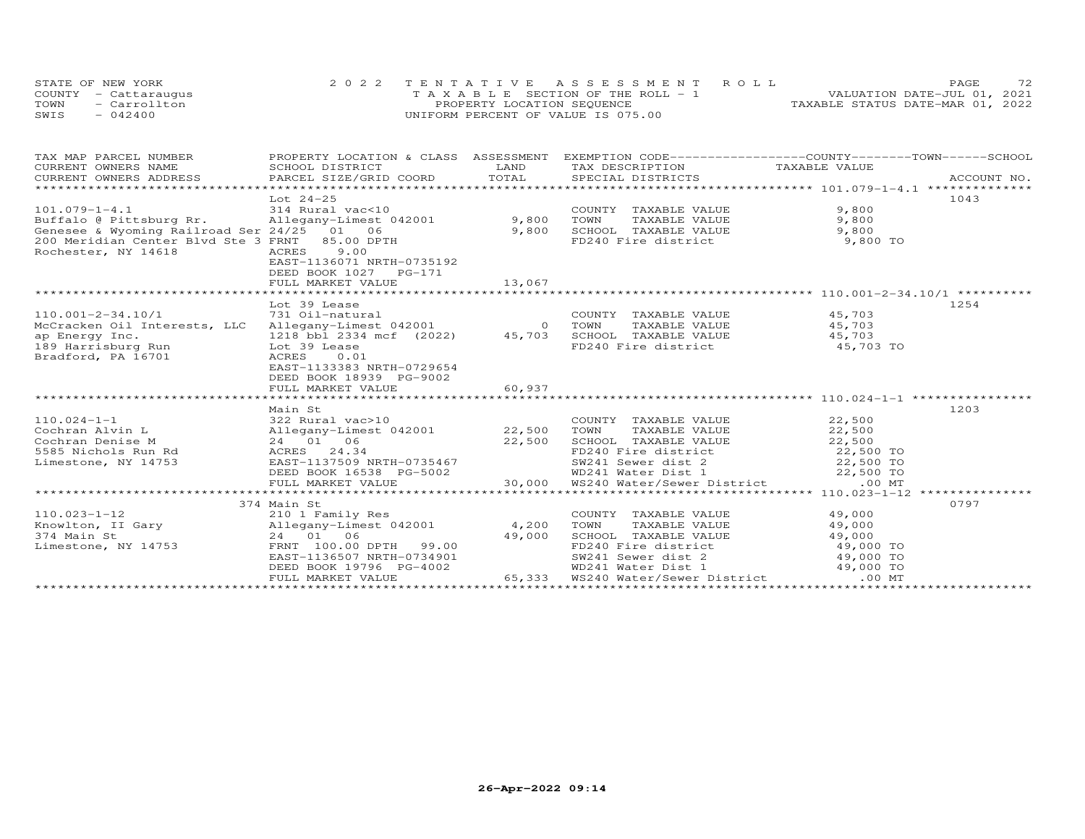| STATE OF NEW YORK    |              | 2022 TENTATIVE ASSESSMENT ROLL        |  |                                  | PAGE. | 72. |
|----------------------|--------------|---------------------------------------|--|----------------------------------|-------|-----|
| COUNTY - Cattaraugus |              | T A X A B L E SECTION OF THE ROLL - 1 |  | VALUATION DATE-JUL 01, 2021      |       |     |
| TOWN                 | - Carrollton | PROPERTY LOCATION SEQUENCE            |  | TAXABLE STATUS DATE-MAR 01, 2022 |       |     |
| SWIS<br>$-042400$    |              | UNIFORM PERCENT OF VALUE IS 075.00    |  |                                  |       |     |

| TAX MAP PARCEL NUMBER                                                                                                                                                                                                                                                        | PROPERTY LOCATION & CLASS ASSESSMENT EXEMPTION CODE----------------COUNTY-------TOWN------SCHOOL                   |        |                                                                                           |        |      |
|------------------------------------------------------------------------------------------------------------------------------------------------------------------------------------------------------------------------------------------------------------------------------|--------------------------------------------------------------------------------------------------------------------|--------|-------------------------------------------------------------------------------------------|--------|------|
| CURRENT OWNERS NAME                                                                                                                                                                                                                                                          | SCHOOL DISTRICT                                                                                                    | LAND   | TAX DESCRIPTION TAXABLE VALUE                                                             |        |      |
|                                                                                                                                                                                                                                                                              |                                                                                                                    |        |                                                                                           |        |      |
|                                                                                                                                                                                                                                                                              |                                                                                                                    |        |                                                                                           |        |      |
|                                                                                                                                                                                                                                                                              | Lot 24-25                                                                                                          |        |                                                                                           |        | 1043 |
| $101.079 - 1 - 4.1$<br>101.079-1-4.1 314 Rural vac<10<br>Buffalo @ Pittsburg Rr.       Allegany-Limest 042001             9,800<br>Genesee & Wyoming Railroad Ser 24/25   01   06                 9,800                                                                      |                                                                                                                    |        | COUNTY TAXABLE VALUE<br>TOWN TAXABLE VALUE                                                | 9,800  |      |
|                                                                                                                                                                                                                                                                              |                                                                                                                    |        |                                                                                           | 9,800  |      |
|                                                                                                                                                                                                                                                                              |                                                                                                                    |        |                                                                                           |        |      |
| 200 Meridian Center Blvd Ste 3 FRNT 85.00 DPTH                                                                                                                                                                                                                               |                                                                                                                    |        | SCHOOL TAXABLE VALUE 9,800<br>FD240 Fire district 9,800 TO                                |        |      |
| Rochester, NY 14618                                                                                                                                                                                                                                                          | 9.00<br>ACRES                                                                                                      |        |                                                                                           |        |      |
|                                                                                                                                                                                                                                                                              | EAST-1136071 NRTH-0735192                                                                                          |        |                                                                                           |        |      |
|                                                                                                                                                                                                                                                                              | DEED BOOK 1027 PG-171                                                                                              |        |                                                                                           |        |      |
|                                                                                                                                                                                                                                                                              |                                                                                                                    |        |                                                                                           |        |      |
|                                                                                                                                                                                                                                                                              |                                                                                                                    |        |                                                                                           |        |      |
|                                                                                                                                                                                                                                                                              | Lot 39 Lease                                                                                                       |        |                                                                                           |        | 1254 |
| 110.001-2-34.10/1 731 Oil-natural COUNT<br>McCracken Oil Interests, LLC Allegany-Limest 042001 0 TOWN                                                                                                                                                                        |                                                                                                                    |        | COUNTY TAXABLE VALUE 45,703<br>TOWN TAXABLE VALUE 45,703                                  |        |      |
|                                                                                                                                                                                                                                                                              |                                                                                                                    |        |                                                                                           |        |      |
|                                                                                                                                                                                                                                                                              |                                                                                                                    |        | SCHOOL TAXABLE VALUE 45,703<br>FD240 Fire district 45,703 TO                              |        |      |
|                                                                                                                                                                                                                                                                              |                                                                                                                    |        |                                                                                           |        |      |
| Bradford, PA 16701                                                                                                                                                                                                                                                           | ACRES<br>0.01                                                                                                      |        |                                                                                           |        |      |
|                                                                                                                                                                                                                                                                              | EAST-1133383 NRTH-0729654                                                                                          |        |                                                                                           |        |      |
|                                                                                                                                                                                                                                                                              | DEED BOOK 18939 PG-9002                                                                                            |        |                                                                                           |        |      |
|                                                                                                                                                                                                                                                                              | FULL MARKET VALUE                                                                                                  | 60,937 |                                                                                           |        |      |
|                                                                                                                                                                                                                                                                              |                                                                                                                    |        |                                                                                           |        |      |
|                                                                                                                                                                                                                                                                              | Main St                                                                                                            |        |                                                                                           |        | 1203 |
| 110.024-1-1<br>Cochran Alvin L<br>Cochran Denise M<br>Cochran Denise M<br>24 01 06<br>24.34<br>24.34<br>22,500<br>22,500<br>22,500<br>22,500<br>22,500<br>22,500<br>22,500<br>22,500<br>22,500<br>22,500<br>22,500<br>22,500<br>22,500<br>22,500<br>22,500<br>22,500<br>22,5 |                                                                                                                    |        |                                                                                           |        |      |
|                                                                                                                                                                                                                                                                              |                                                                                                                    |        |                                                                                           |        |      |
|                                                                                                                                                                                                                                                                              |                                                                                                                    |        |                                                                                           |        |      |
|                                                                                                                                                                                                                                                                              |                                                                                                                    |        |                                                                                           |        |      |
|                                                                                                                                                                                                                                                                              |                                                                                                                    |        |                                                                                           |        |      |
|                                                                                                                                                                                                                                                                              |                                                                                                                    |        |                                                                                           |        |      |
|                                                                                                                                                                                                                                                                              |                                                                                                                    |        |                                                                                           |        |      |
|                                                                                                                                                                                                                                                                              |                                                                                                                    |        |                                                                                           |        |      |
|                                                                                                                                                                                                                                                                              | 374 Main St                                                                                                        |        |                                                                                           |        | 0797 |
|                                                                                                                                                                                                                                                                              |                                                                                                                    |        | COUNTY TAXABLE VALUE                                                                      | 49,000 |      |
|                                                                                                                                                                                                                                                                              |                                                                                                                    |        |                                                                                           |        |      |
| 110.023-1-12<br>Knowlton, II Gary<br>374 Main St 24 01 06 49,000<br>Limestone, NY 14753 FRNT 100.00 DPTH 99.00                                                                                                                                                               | FRNT 100.00 DPTH 99.00 49,000                                                                                      |        | TOWN TAXABLE VALUE 49,000<br>SCHOOL TAXABLE VALUE 49,000<br>FD240 Fire district 49,000 TO |        |      |
|                                                                                                                                                                                                                                                                              |                                                                                                                    |        |                                                                                           |        |      |
|                                                                                                                                                                                                                                                                              | EAST-1136507 NRTH-0734901                                                                                          |        | SW241 Sewer dist 2 49,000 TO                                                              |        |      |
|                                                                                                                                                                                                                                                                              | DEED BOOK 19796 PG-4002 WD241 Water Dist 1 49,000 TO<br>FULL MARKET VALUE 65,333 WS240 Water/Sewer District .00 MT |        |                                                                                           |        |      |
|                                                                                                                                                                                                                                                                              |                                                                                                                    |        |                                                                                           |        |      |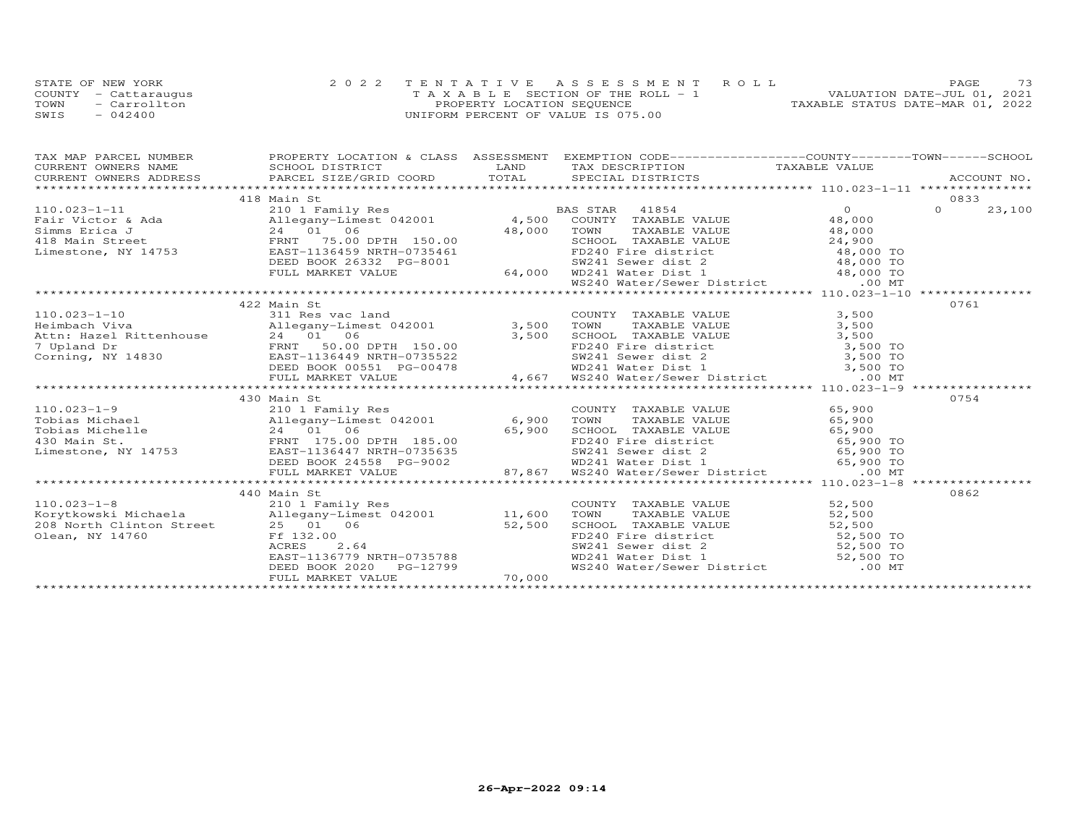|      | STATE OF NEW YORK    | 2022 TENTATIVE ASSESSMENT ROLL     | 73<br>PAGE.                      |
|------|----------------------|------------------------------------|----------------------------------|
|      | COUNTY - Cattaraugus | TAXABLE SECTION OF THE ROLL - 1    | VALUATION DATE-JUL 01, 2021      |
| TOWN | - Carrollton         | PROPERTY LOCATION SEQUENCE         | TAXABLE STATUS DATE-MAR 01, 2022 |
| SWIS | $-042400$            | UNIFORM PERCENT OF VALUE IS 075.00 |                                  |

| 418 Main St                                                                                                                                                                                                                                         |  | 0833   |
|-----------------------------------------------------------------------------------------------------------------------------------------------------------------------------------------------------------------------------------------------------|--|--------|
|                                                                                                                                                                                                                                                     |  | 23,100 |
|                                                                                                                                                                                                                                                     |  |        |
|                                                                                                                                                                                                                                                     |  |        |
|                                                                                                                                                                                                                                                     |  |        |
|                                                                                                                                                                                                                                                     |  |        |
|                                                                                                                                                                                                                                                     |  |        |
|                                                                                                                                                                                                                                                     |  |        |
|                                                                                                                                                                                                                                                     |  |        |
|                                                                                                                                                                                                                                                     |  |        |
| 422 Main St                                                                                                                                                                                                                                         |  | 0761   |
|                                                                                                                                                                                                                                                     |  |        |
|                                                                                                                                                                                                                                                     |  |        |
|                                                                                                                                                                                                                                                     |  |        |
|                                                                                                                                                                                                                                                     |  |        |
|                                                                                                                                                                                                                                                     |  |        |
|                                                                                                                                                                                                                                                     |  |        |
|                                                                                                                                                                                                                                                     |  |        |
| 110.023-1-10<br>Heimbach Viva and S11 Res vac land COUNTY TAXABLE VALUE 3,500<br>Allegany-Limest 042001 3,500 TOWN TAXABLE VALUE 3,500<br>24 01 061 21 01 06 21 01 061 3,500 TOWN TAXABLE VALUE 3,500<br>7 Upland Dr FRNT 50.00 DPTH                |  |        |
| 430 Main St                                                                                                                                                                                                                                         |  | 0754   |
|                                                                                                                                                                                                                                                     |  |        |
|                                                                                                                                                                                                                                                     |  |        |
|                                                                                                                                                                                                                                                     |  |        |
|                                                                                                                                                                                                                                                     |  |        |
|                                                                                                                                                                                                                                                     |  |        |
|                                                                                                                                                                                                                                                     |  |        |
|                                                                                                                                                                                                                                                     |  |        |
|                                                                                                                                                                                                                                                     |  |        |
| 440 Main St                                                                                                                                                                                                                                         |  | 0862   |
|                                                                                                                                                                                                                                                     |  |        |
|                                                                                                                                                                                                                                                     |  |        |
|                                                                                                                                                                                                                                                     |  |        |
|                                                                                                                                                                                                                                                     |  |        |
|                                                                                                                                                                                                                                                     |  |        |
|                                                                                                                                                                                                                                                     |  |        |
|                                                                                                                                                                                                                                                     |  |        |
| 110.023-1-8<br>EXAMPLE VALUE<br>Morytkowski Michaela<br>208 North Clinton Street<br>25 01 06<br>208 North Clinton Street<br>25 01 06<br>26 SCHOOL TAXABLE VALUE<br>25 01 06<br>27,500 SCHOOL TAXABLE VALUE<br>27,500 TOWN TAXABLE VALUE<br>27,500 T |  |        |
|                                                                                                                                                                                                                                                     |  |        |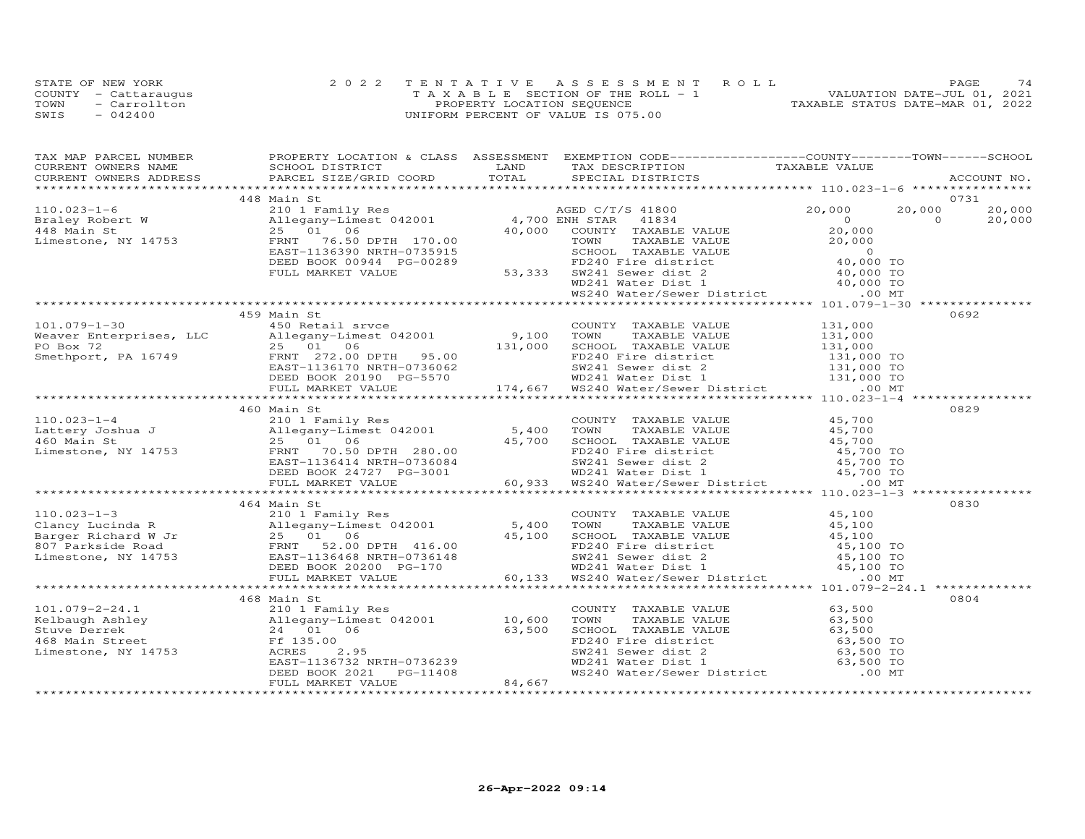|      | STATE OF NEW YORK    | 2022 TENTATIVE ASSESSMENT ROLL        | <b>PAGE</b>                      |
|------|----------------------|---------------------------------------|----------------------------------|
|      | COUNTY - Cattaraugus | T A X A B L E SECTION OF THE ROLL - 1 | VALUATION DATE-JUL 01, 2021      |
| TOWN | $=$ Carrollton       | PROPERTY LOCATION SEQUENCE            | TAXABLE STATUS DATE-MAR 01, 2022 |
| SWIS | $-042400$            | UNIFORM PERCENT OF VALUE IS 075.00    |                                  |

| TAX MAP PARCEL NUMBER                                                                                                                                                                                                                                                                 | PROPERTY LOCATION & CLASS ASSESSMENT EXEMPTION CODE-----------------COUNTY-------TOWN------SCHOOL |                                                                                                                                                                            |               |        |
|---------------------------------------------------------------------------------------------------------------------------------------------------------------------------------------------------------------------------------------------------------------------------------------|---------------------------------------------------------------------------------------------------|----------------------------------------------------------------------------------------------------------------------------------------------------------------------------|---------------|--------|
|                                                                                                                                                                                                                                                                                       |                                                                                                   |                                                                                                                                                                            |               |        |
|                                                                                                                                                                                                                                                                                       |                                                                                                   |                                                                                                                                                                            |               |        |
|                                                                                                                                                                                                                                                                                       | 448 Main St                                                                                       |                                                                                                                                                                            |               | 0731   |
|                                                                                                                                                                                                                                                                                       |                                                                                                   |                                                                                                                                                                            | 20,000 20,000 | 20,000 |
|                                                                                                                                                                                                                                                                                       |                                                                                                   |                                                                                                                                                                            |               | 20,000 |
|                                                                                                                                                                                                                                                                                       |                                                                                                   |                                                                                                                                                                            |               |        |
|                                                                                                                                                                                                                                                                                       |                                                                                                   |                                                                                                                                                                            |               |        |
|                                                                                                                                                                                                                                                                                       |                                                                                                   |                                                                                                                                                                            |               |        |
|                                                                                                                                                                                                                                                                                       |                                                                                                   |                                                                                                                                                                            |               |        |
|                                                                                                                                                                                                                                                                                       |                                                                                                   |                                                                                                                                                                            |               |        |
|                                                                                                                                                                                                                                                                                       |                                                                                                   |                                                                                                                                                                            |               |        |
|                                                                                                                                                                                                                                                                                       |                                                                                                   |                                                                                                                                                                            |               |        |
|                                                                                                                                                                                                                                                                                       |                                                                                                   |                                                                                                                                                                            |               |        |
|                                                                                                                                                                                                                                                                                       | 459 Main St                                                                                       |                                                                                                                                                                            |               | 0692   |
|                                                                                                                                                                                                                                                                                       |                                                                                                   |                                                                                                                                                                            |               |        |
|                                                                                                                                                                                                                                                                                       |                                                                                                   |                                                                                                                                                                            |               |        |
|                                                                                                                                                                                                                                                                                       |                                                                                                   |                                                                                                                                                                            |               |        |
|                                                                                                                                                                                                                                                                                       |                                                                                                   |                                                                                                                                                                            |               |        |
|                                                                                                                                                                                                                                                                                       |                                                                                                   |                                                                                                                                                                            |               |        |
|                                                                                                                                                                                                                                                                                       |                                                                                                   |                                                                                                                                                                            |               |        |
| 101.079-1-30<br>Weaver Enterprises, LLC<br>Meaver Enterprises, LLC<br>25 01 06<br>Smethport, PA 16749<br>ERNT 272.00 DPTH 95.00<br>ERNT 131,000<br>ERNT 272.00 DPTH 95.00<br>ERNT 131,000<br>ERNT 131,000 FD240 Free district<br>DEED BOOK 20190                                      |                                                                                                   |                                                                                                                                                                            |               |        |
|                                                                                                                                                                                                                                                                                       |                                                                                                   |                                                                                                                                                                            |               |        |
|                                                                                                                                                                                                                                                                                       | 460 Main St                                                                                       |                                                                                                                                                                            |               | 0829   |
| 110.023-1-4<br>$\xspace$ 10 Allegany-Limest 042001<br>$\xspace$ 10 Allegany-Limest 042001<br>$\xspace$ 160 Main St<br>$\xspace$ 25 01 06<br>Limestone, NY 14753<br>EED BOOK 24727 PG-3001<br>$\xspace$ 25 01 06<br>EED BOOK 24727 PG-3001<br>$\xspace$ 5,700 5CHOOL TAXABLE VALUE<br> |                                                                                                   |                                                                                                                                                                            |               |        |
|                                                                                                                                                                                                                                                                                       |                                                                                                   |                                                                                                                                                                            |               |        |
|                                                                                                                                                                                                                                                                                       |                                                                                                   |                                                                                                                                                                            |               |        |
|                                                                                                                                                                                                                                                                                       |                                                                                                   |                                                                                                                                                                            |               |        |
|                                                                                                                                                                                                                                                                                       |                                                                                                   |                                                                                                                                                                            |               |        |
|                                                                                                                                                                                                                                                                                       |                                                                                                   |                                                                                                                                                                            |               |        |
|                                                                                                                                                                                                                                                                                       |                                                                                                   |                                                                                                                                                                            |               |        |
|                                                                                                                                                                                                                                                                                       |                                                                                                   |                                                                                                                                                                            |               |        |
|                                                                                                                                                                                                                                                                                       | 464 Main St                                                                                       |                                                                                                                                                                            |               | 0830   |
|                                                                                                                                                                                                                                                                                       |                                                                                                   |                                                                                                                                                                            |               |        |
|                                                                                                                                                                                                                                                                                       |                                                                                                   |                                                                                                                                                                            |               |        |
|                                                                                                                                                                                                                                                                                       |                                                                                                   |                                                                                                                                                                            |               |        |
|                                                                                                                                                                                                                                                                                       |                                                                                                   |                                                                                                                                                                            |               |        |
|                                                                                                                                                                                                                                                                                       |                                                                                                   |                                                                                                                                                                            |               |        |
|                                                                                                                                                                                                                                                                                       |                                                                                                   |                                                                                                                                                                            |               |        |
|                                                                                                                                                                                                                                                                                       |                                                                                                   |                                                                                                                                                                            |               |        |
|                                                                                                                                                                                                                                                                                       |                                                                                                   |                                                                                                                                                                            |               | 0804   |
|                                                                                                                                                                                                                                                                                       | 468 Main St                                                                                       | COUNTY TAXABLE VALUE 63,500                                                                                                                                                |               |        |
|                                                                                                                                                                                                                                                                                       |                                                                                                   | COONT TAXABLE VALUE<br>TOWN TAXABLE VALUE<br>CHOOL TAXABLE VALUE<br>FD240 Fire district<br>SW241 Sewer dist 2<br>WD241 Water Dist 1<br>WS240 Water/Sewer District<br>00 MT |               |        |
|                                                                                                                                                                                                                                                                                       |                                                                                                   |                                                                                                                                                                            |               |        |
|                                                                                                                                                                                                                                                                                       |                                                                                                   |                                                                                                                                                                            |               |        |
|                                                                                                                                                                                                                                                                                       |                                                                                                   |                                                                                                                                                                            |               |        |
|                                                                                                                                                                                                                                                                                       |                                                                                                   |                                                                                                                                                                            |               |        |
|                                                                                                                                                                                                                                                                                       |                                                                                                   |                                                                                                                                                                            |               |        |
| 101.079-2-24.1<br>Kelbaugh Ashley<br>Stuve Derrek<br>468 Main Street<br>24 01 06 63,500<br>Limestone, NY 14753<br>EAST-1136732 NRTH-0736239<br>DEED BOOK 2021 PG-11408<br>FULL MARKET VALUE                                                                                           |                                                                                                   |                                                                                                                                                                            |               |        |
|                                                                                                                                                                                                                                                                                       |                                                                                                   |                                                                                                                                                                            |               |        |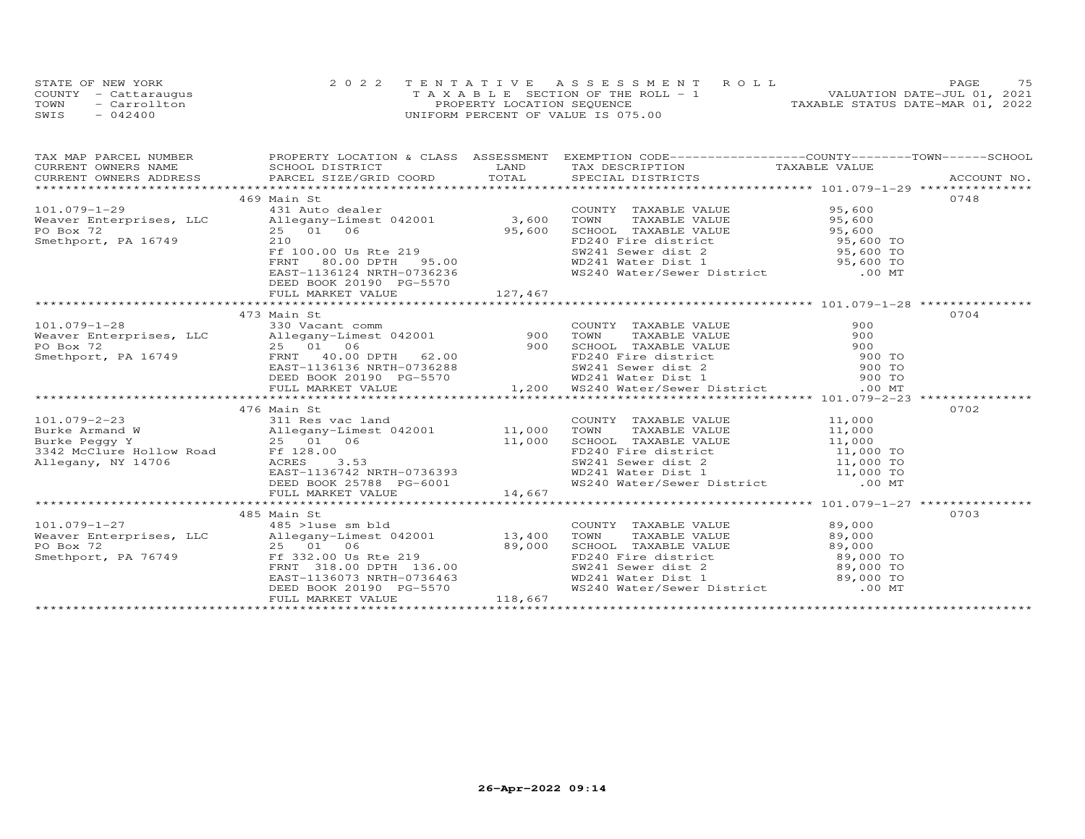| STATE OF NEW YORK    | 2022 TENTATIVE ASSESSMENT ROLL        | 75<br><b>PAGE</b>                |
|----------------------|---------------------------------------|----------------------------------|
| COUNTY - Cattaraugus | T A X A B L E SECTION OF THE ROLL - 1 | VALUATION DATE-JUL 01, 2021      |
| TOWN<br>- Carrollton | PROPERTY LOCATION SEQUENCE            | TAXABLE STATUS DATE-MAR 01, 2022 |
| SWIS<br>$-042400$    | UNIFORM PERCENT OF VALUE IS 075.00    |                                  |

| 469 Main St<br>101.079-1-29<br>Weaver Enterprises, LLC allegany-Limest 042001 3,600 TOWNT TAXABLE VALUE 95,600<br>PO Box 72 25 01 06 95,600 SCHOOL TAXABLE VALUE 95,600<br>Smethport, PA 16749 210 FF 100.00 Us Rte 219 5W241 Sewer dist 2 95,600      |  | 0748 |
|--------------------------------------------------------------------------------------------------------------------------------------------------------------------------------------------------------------------------------------------------------|--|------|
|                                                                                                                                                                                                                                                        |  |      |
|                                                                                                                                                                                                                                                        |  |      |
|                                                                                                                                                                                                                                                        |  |      |
|                                                                                                                                                                                                                                                        |  |      |
|                                                                                                                                                                                                                                                        |  |      |
|                                                                                                                                                                                                                                                        |  |      |
|                                                                                                                                                                                                                                                        |  |      |
| DEED BOOK 20190 PG-5570                                                                                                                                                                                                                                |  |      |
|                                                                                                                                                                                                                                                        |  |      |
|                                                                                                                                                                                                                                                        |  |      |
| 473 Main St                                                                                                                                                                                                                                            |  | 0704 |
|                                                                                                                                                                                                                                                        |  |      |
|                                                                                                                                                                                                                                                        |  |      |
|                                                                                                                                                                                                                                                        |  |      |
|                                                                                                                                                                                                                                                        |  |      |
|                                                                                                                                                                                                                                                        |  |      |
|                                                                                                                                                                                                                                                        |  |      |
|                                                                                                                                                                                                                                                        |  |      |
|                                                                                                                                                                                                                                                        |  |      |
| 476 Main St                                                                                                                                                                                                                                            |  | 0702 |
|                                                                                                                                                                                                                                                        |  |      |
|                                                                                                                                                                                                                                                        |  |      |
|                                                                                                                                                                                                                                                        |  |      |
|                                                                                                                                                                                                                                                        |  |      |
|                                                                                                                                                                                                                                                        |  |      |
|                                                                                                                                                                                                                                                        |  |      |
|                                                                                                                                                                                                                                                        |  |      |
|                                                                                                                                                                                                                                                        |  |      |
|                                                                                                                                                                                                                                                        |  |      |
|                                                                                                                                                                                                                                                        |  | 0703 |
|                                                                                                                                                                                                                                                        |  |      |
|                                                                                                                                                                                                                                                        |  |      |
|                                                                                                                                                                                                                                                        |  |      |
|                                                                                                                                                                                                                                                        |  |      |
|                                                                                                                                                                                                                                                        |  |      |
|                                                                                                                                                                                                                                                        |  |      |
| 485 Main St<br>485 Main St<br>485 >1use sm bld<br>485 >1use sm bld<br>485 >1use sm bld<br>485 >1use sm bld<br>485 >1use sm bld<br>485 >1use sm bld<br>485 >1use sm bld<br>485 >1use sm bld<br>485 >1use sm bld<br>485 >1use sm bld<br>485 >1use sm bld |  |      |
|                                                                                                                                                                                                                                                        |  |      |
|                                                                                                                                                                                                                                                        |  |      |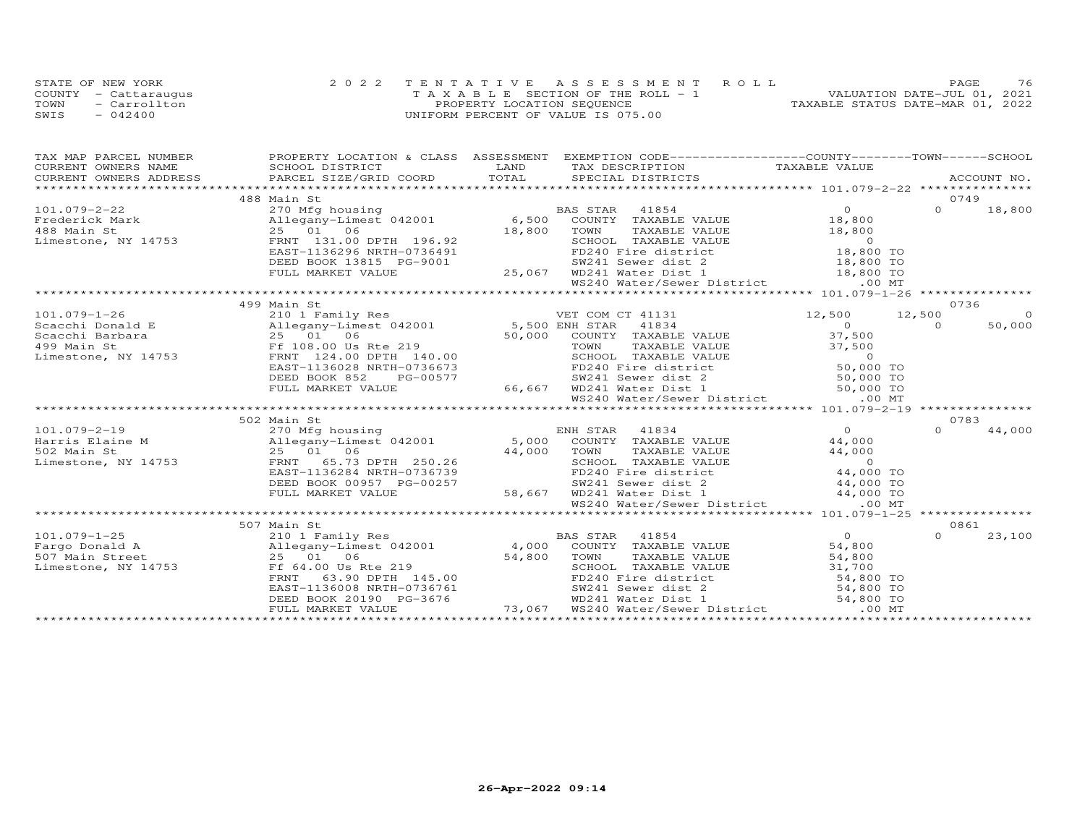|      | STATE OF NEW YORK    | 2022 TENTATIVE ASSESSMENT ROLL        | 76<br><b>PAGE</b>                |
|------|----------------------|---------------------------------------|----------------------------------|
|      | COUNTY - Cattaraugus | T A X A B L E SECTION OF THE ROLL - 1 | VALUATION DATE-JUL 01, 2021      |
| TOWN | - Carrollton         | PROPERTY LOCATION SEQUENCE            | TAXABLE STATUS DATE-MAR 01, 2022 |
| SWIS | $-042400$            | UNIFORM PERCENT OF VALUE IS 075.00    |                                  |

| TAX DESCRIPTION TAXABLE VALUE<br>CURRENT OWNERS NAME<br>SCHOOL DISTRICT<br>LAND<br>0749<br>488 Main St<br>101.079-2-22<br>Frederick Mark 25 01 Mg housing<br>270 Mfg housing<br>25 01 06 18,800 TOWN TAXABLE VALUE<br>25 01 06 18,800 TOWN TAXABLE VALUE<br>25 01 06 18,800 TOWN TAXABLE VALUE<br>25 01 06 18,800 TOWN TAXABLE VALUE<br>25 01 06 18,8<br>0<br>7ALUE 18,800<br>7ALUE 18,800<br>$\Omega$<br>18,800<br>TAXABLE VALUE<br>SCHOOL TAXABLE VALUE<br>FD240 Fire district 18,800 TO<br>SW241 Sewer dist 2 18,800 TO<br>EASI-1130290 NKIH-0730491<br>DEED BOOK 13815 PG-9001 55,067 WD241 Sever dist 1<br>FULL MARKET VALUE 25,067 WD241 Water Dist 1 18,800 TO<br>WS240 Water/Sewer District .00 MT 00 MT 25,067 WD241 Water/Sewer District .00 MT<br>0736<br>499 Main St<br>$\begin{array}{cc} 12,500 & 12,500 \\ 0 & 0 \end{array}$<br>$\overline{0}$<br>101.079-1-26<br>Scacchi Donald E 210 1 Family Res VET COM CT 41131<br>Scacchi Barbara 25 01 06 5,500 ENH STAR 41834 0<br>499 Main St Ff 108.00 Us Rte 219 TOWN TAXABLE VALUE 37,500<br>Limestone, NY 14753 FRNT 124.00 DPTH 140.00 S<br>50,000<br>0.00 TOWN TAXABLE VALUE 37,500<br>0.00 SCHOOL TAXABLE VALUE 37,500<br>FD240 Fire district 50,000 TO<br>0577 SW241 Sewer dist 2 50,000 TO<br>66,667 W241 Water Dist 1 50,000 TO<br>EAST-1136028 NRTH-0736673<br>DEED BOOK 852<br>PG-00577<br>FULL MARKET VALUE<br>WS240 Water/Sewer District<br>$.00$ MT<br>0783<br>502 Main St<br>$\overline{0}$<br>$\cap$<br>44,000<br>COUNTY TAXABLE VALUE<br>TOWN TAXABLE VALUE<br>SCHOOL TAXABLE VALUE<br>FD240 Fire district<br>FD240 Fire district<br>WD241 Water District<br>WD241 Water District<br>44,000 TO<br>44,000 TO<br>44,000 TO<br>44,000 TO<br>44,000 TO<br>EAST-1136284 NRTH-0736739<br>DEED BOOK 00957 PG-00257<br>FULL MARKET VALUE |
|-------------------------------------------------------------------------------------------------------------------------------------------------------------------------------------------------------------------------------------------------------------------------------------------------------------------------------------------------------------------------------------------------------------------------------------------------------------------------------------------------------------------------------------------------------------------------------------------------------------------------------------------------------------------------------------------------------------------------------------------------------------------------------------------------------------------------------------------------------------------------------------------------------------------------------------------------------------------------------------------------------------------------------------------------------------------------------------------------------------------------------------------------------------------------------------------------------------------------------------------------------------------------------------------------------------------------------------------------------------------------------------------------------------------------------------------------------------------------------------------------------------------------------------------------------------------------------------------------------------------------------------------------------------------------------------------------------------------------------------------------------------------------------------------------------------|
|                                                                                                                                                                                                                                                                                                                                                                                                                                                                                                                                                                                                                                                                                                                                                                                                                                                                                                                                                                                                                                                                                                                                                                                                                                                                                                                                                                                                                                                                                                                                                                                                                                                                                                                                                                                                             |
|                                                                                                                                                                                                                                                                                                                                                                                                                                                                                                                                                                                                                                                                                                                                                                                                                                                                                                                                                                                                                                                                                                                                                                                                                                                                                                                                                                                                                                                                                                                                                                                                                                                                                                                                                                                                             |
|                                                                                                                                                                                                                                                                                                                                                                                                                                                                                                                                                                                                                                                                                                                                                                                                                                                                                                                                                                                                                                                                                                                                                                                                                                                                                                                                                                                                                                                                                                                                                                                                                                                                                                                                                                                                             |
|                                                                                                                                                                                                                                                                                                                                                                                                                                                                                                                                                                                                                                                                                                                                                                                                                                                                                                                                                                                                                                                                                                                                                                                                                                                                                                                                                                                                                                                                                                                                                                                                                                                                                                                                                                                                             |
|                                                                                                                                                                                                                                                                                                                                                                                                                                                                                                                                                                                                                                                                                                                                                                                                                                                                                                                                                                                                                                                                                                                                                                                                                                                                                                                                                                                                                                                                                                                                                                                                                                                                                                                                                                                                             |
|                                                                                                                                                                                                                                                                                                                                                                                                                                                                                                                                                                                                                                                                                                                                                                                                                                                                                                                                                                                                                                                                                                                                                                                                                                                                                                                                                                                                                                                                                                                                                                                                                                                                                                                                                                                                             |
|                                                                                                                                                                                                                                                                                                                                                                                                                                                                                                                                                                                                                                                                                                                                                                                                                                                                                                                                                                                                                                                                                                                                                                                                                                                                                                                                                                                                                                                                                                                                                                                                                                                                                                                                                                                                             |
|                                                                                                                                                                                                                                                                                                                                                                                                                                                                                                                                                                                                                                                                                                                                                                                                                                                                                                                                                                                                                                                                                                                                                                                                                                                                                                                                                                                                                                                                                                                                                                                                                                                                                                                                                                                                             |
|                                                                                                                                                                                                                                                                                                                                                                                                                                                                                                                                                                                                                                                                                                                                                                                                                                                                                                                                                                                                                                                                                                                                                                                                                                                                                                                                                                                                                                                                                                                                                                                                                                                                                                                                                                                                             |
|                                                                                                                                                                                                                                                                                                                                                                                                                                                                                                                                                                                                                                                                                                                                                                                                                                                                                                                                                                                                                                                                                                                                                                                                                                                                                                                                                                                                                                                                                                                                                                                                                                                                                                                                                                                                             |
|                                                                                                                                                                                                                                                                                                                                                                                                                                                                                                                                                                                                                                                                                                                                                                                                                                                                                                                                                                                                                                                                                                                                                                                                                                                                                                                                                                                                                                                                                                                                                                                                                                                                                                                                                                                                             |
|                                                                                                                                                                                                                                                                                                                                                                                                                                                                                                                                                                                                                                                                                                                                                                                                                                                                                                                                                                                                                                                                                                                                                                                                                                                                                                                                                                                                                                                                                                                                                                                                                                                                                                                                                                                                             |
|                                                                                                                                                                                                                                                                                                                                                                                                                                                                                                                                                                                                                                                                                                                                                                                                                                                                                                                                                                                                                                                                                                                                                                                                                                                                                                                                                                                                                                                                                                                                                                                                                                                                                                                                                                                                             |
|                                                                                                                                                                                                                                                                                                                                                                                                                                                                                                                                                                                                                                                                                                                                                                                                                                                                                                                                                                                                                                                                                                                                                                                                                                                                                                                                                                                                                                                                                                                                                                                                                                                                                                                                                                                                             |
|                                                                                                                                                                                                                                                                                                                                                                                                                                                                                                                                                                                                                                                                                                                                                                                                                                                                                                                                                                                                                                                                                                                                                                                                                                                                                                                                                                                                                                                                                                                                                                                                                                                                                                                                                                                                             |
|                                                                                                                                                                                                                                                                                                                                                                                                                                                                                                                                                                                                                                                                                                                                                                                                                                                                                                                                                                                                                                                                                                                                                                                                                                                                                                                                                                                                                                                                                                                                                                                                                                                                                                                                                                                                             |
|                                                                                                                                                                                                                                                                                                                                                                                                                                                                                                                                                                                                                                                                                                                                                                                                                                                                                                                                                                                                                                                                                                                                                                                                                                                                                                                                                                                                                                                                                                                                                                                                                                                                                                                                                                                                             |
|                                                                                                                                                                                                                                                                                                                                                                                                                                                                                                                                                                                                                                                                                                                                                                                                                                                                                                                                                                                                                                                                                                                                                                                                                                                                                                                                                                                                                                                                                                                                                                                                                                                                                                                                                                                                             |
|                                                                                                                                                                                                                                                                                                                                                                                                                                                                                                                                                                                                                                                                                                                                                                                                                                                                                                                                                                                                                                                                                                                                                                                                                                                                                                                                                                                                                                                                                                                                                                                                                                                                                                                                                                                                             |
|                                                                                                                                                                                                                                                                                                                                                                                                                                                                                                                                                                                                                                                                                                                                                                                                                                                                                                                                                                                                                                                                                                                                                                                                                                                                                                                                                                                                                                                                                                                                                                                                                                                                                                                                                                                                             |
|                                                                                                                                                                                                                                                                                                                                                                                                                                                                                                                                                                                                                                                                                                                                                                                                                                                                                                                                                                                                                                                                                                                                                                                                                                                                                                                                                                                                                                                                                                                                                                                                                                                                                                                                                                                                             |
|                                                                                                                                                                                                                                                                                                                                                                                                                                                                                                                                                                                                                                                                                                                                                                                                                                                                                                                                                                                                                                                                                                                                                                                                                                                                                                                                                                                                                                                                                                                                                                                                                                                                                                                                                                                                             |
|                                                                                                                                                                                                                                                                                                                                                                                                                                                                                                                                                                                                                                                                                                                                                                                                                                                                                                                                                                                                                                                                                                                                                                                                                                                                                                                                                                                                                                                                                                                                                                                                                                                                                                                                                                                                             |
|                                                                                                                                                                                                                                                                                                                                                                                                                                                                                                                                                                                                                                                                                                                                                                                                                                                                                                                                                                                                                                                                                                                                                                                                                                                                                                                                                                                                                                                                                                                                                                                                                                                                                                                                                                                                             |
|                                                                                                                                                                                                                                                                                                                                                                                                                                                                                                                                                                                                                                                                                                                                                                                                                                                                                                                                                                                                                                                                                                                                                                                                                                                                                                                                                                                                                                                                                                                                                                                                                                                                                                                                                                                                             |
|                                                                                                                                                                                                                                                                                                                                                                                                                                                                                                                                                                                                                                                                                                                                                                                                                                                                                                                                                                                                                                                                                                                                                                                                                                                                                                                                                                                                                                                                                                                                                                                                                                                                                                                                                                                                             |
|                                                                                                                                                                                                                                                                                                                                                                                                                                                                                                                                                                                                                                                                                                                                                                                                                                                                                                                                                                                                                                                                                                                                                                                                                                                                                                                                                                                                                                                                                                                                                                                                                                                                                                                                                                                                             |
|                                                                                                                                                                                                                                                                                                                                                                                                                                                                                                                                                                                                                                                                                                                                                                                                                                                                                                                                                                                                                                                                                                                                                                                                                                                                                                                                                                                                                                                                                                                                                                                                                                                                                                                                                                                                             |
|                                                                                                                                                                                                                                                                                                                                                                                                                                                                                                                                                                                                                                                                                                                                                                                                                                                                                                                                                                                                                                                                                                                                                                                                                                                                                                                                                                                                                                                                                                                                                                                                                                                                                                                                                                                                             |
|                                                                                                                                                                                                                                                                                                                                                                                                                                                                                                                                                                                                                                                                                                                                                                                                                                                                                                                                                                                                                                                                                                                                                                                                                                                                                                                                                                                                                                                                                                                                                                                                                                                                                                                                                                                                             |
|                                                                                                                                                                                                                                                                                                                                                                                                                                                                                                                                                                                                                                                                                                                                                                                                                                                                                                                                                                                                                                                                                                                                                                                                                                                                                                                                                                                                                                                                                                                                                                                                                                                                                                                                                                                                             |
| 58,667 WD241 Water Dist 1                                                                                                                                                                                                                                                                                                                                                                                                                                                                                                                                                                                                                                                                                                                                                                                                                                                                                                                                                                                                                                                                                                                                                                                                                                                                                                                                                                                                                                                                                                                                                                                                                                                                                                                                                                                   |
| WS240 Water/Sewer District .00 MT                                                                                                                                                                                                                                                                                                                                                                                                                                                                                                                                                                                                                                                                                                                                                                                                                                                                                                                                                                                                                                                                                                                                                                                                                                                                                                                                                                                                                                                                                                                                                                                                                                                                                                                                                                           |
|                                                                                                                                                                                                                                                                                                                                                                                                                                                                                                                                                                                                                                                                                                                                                                                                                                                                                                                                                                                                                                                                                                                                                                                                                                                                                                                                                                                                                                                                                                                                                                                                                                                                                                                                                                                                             |
| 507 Main St<br>0861<br>$\begin{bmatrix} 0 \\ 5a \end{bmatrix}$                                                                                                                                                                                                                                                                                                                                                                                                                                                                                                                                                                                                                                                                                                                                                                                                                                                                                                                                                                                                                                                                                                                                                                                                                                                                                                                                                                                                                                                                                                                                                                                                                                                                                                                                              |
| $\Omega$<br>23,100                                                                                                                                                                                                                                                                                                                                                                                                                                                                                                                                                                                                                                                                                                                                                                                                                                                                                                                                                                                                                                                                                                                                                                                                                                                                                                                                                                                                                                                                                                                                                                                                                                                                                                                                                                                          |
|                                                                                                                                                                                                                                                                                                                                                                                                                                                                                                                                                                                                                                                                                                                                                                                                                                                                                                                                                                                                                                                                                                                                                                                                                                                                                                                                                                                                                                                                                                                                                                                                                                                                                                                                                                                                             |
|                                                                                                                                                                                                                                                                                                                                                                                                                                                                                                                                                                                                                                                                                                                                                                                                                                                                                                                                                                                                                                                                                                                                                                                                                                                                                                                                                                                                                                                                                                                                                                                                                                                                                                                                                                                                             |
|                                                                                                                                                                                                                                                                                                                                                                                                                                                                                                                                                                                                                                                                                                                                                                                                                                                                                                                                                                                                                                                                                                                                                                                                                                                                                                                                                                                                                                                                                                                                                                                                                                                                                                                                                                                                             |
|                                                                                                                                                                                                                                                                                                                                                                                                                                                                                                                                                                                                                                                                                                                                                                                                                                                                                                                                                                                                                                                                                                                                                                                                                                                                                                                                                                                                                                                                                                                                                                                                                                                                                                                                                                                                             |
|                                                                                                                                                                                                                                                                                                                                                                                                                                                                                                                                                                                                                                                                                                                                                                                                                                                                                                                                                                                                                                                                                                                                                                                                                                                                                                                                                                                                                                                                                                                                                                                                                                                                                                                                                                                                             |
|                                                                                                                                                                                                                                                                                                                                                                                                                                                                                                                                                                                                                                                                                                                                                                                                                                                                                                                                                                                                                                                                                                                                                                                                                                                                                                                                                                                                                                                                                                                                                                                                                                                                                                                                                                                                             |
| Fargo Donald A<br>507 Main Street<br>Limestone, NY 14753<br>Ef 64.00 US Rte 219<br>ERNT 63.90 DPTH 145.00<br>ERST-1136008 NRTH-0736761<br>ERST-1136008 NRTH-0736761<br>EVILL MARKET VALUE<br>FULL MARKET VALUE<br>FULL MARKET VALUE<br>FULL MARKET                                                                                                                                                                                                                                                                                                                                                                                                                                                                                                                                                                                                                                                                                                                                                                                                                                                                                                                                                                                                                                                                                                                                                                                                                                                                                                                                                                                                                                                                                                                                                          |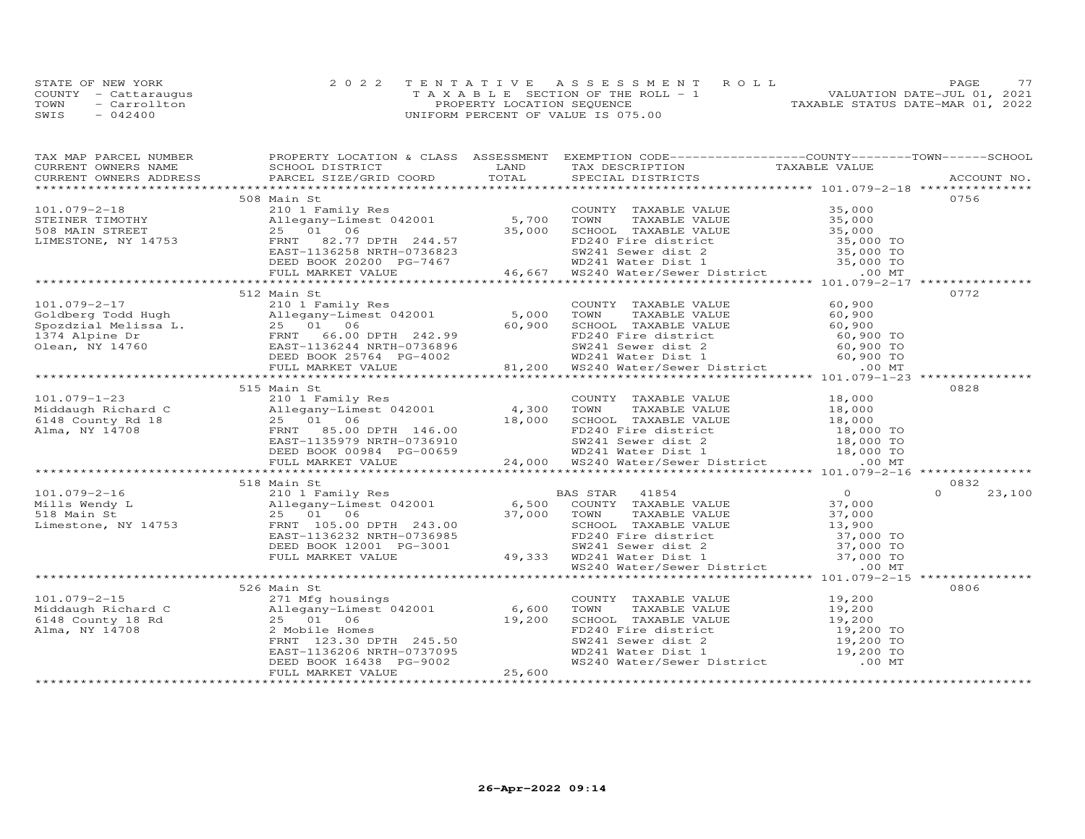|      | STATE OF NEW YORK    | 2022 TENTATIVE ASSESSMENT ROLL        | 77<br><b>PAGE</b>                |
|------|----------------------|---------------------------------------|----------------------------------|
|      | COUNTY - Cattaraugus | T A X A B L E SECTION OF THE ROLL - 1 | VALUATION DATE-JUL 01, 2021      |
| TOWN | - Carrollton         | PROPERTY LOCATION SEQUENCE            | TAXABLE STATUS DATE-MAR 01, 2022 |
| SWIS | $-042400$            | UNIFORM PERCENT OF VALUE IS 075.00    |                                  |

| TAX MAP PARCEL NUMBER                                                                                                                                                                                                                                                                  | PROPERTY LOCATION & CLASS ASSESSMENT EXEMPTION CODE----------------COUNTY-------TOWN------SCHOOL |                                                                                                                                                                                                      |                  |
|----------------------------------------------------------------------------------------------------------------------------------------------------------------------------------------------------------------------------------------------------------------------------------------|--------------------------------------------------------------------------------------------------|------------------------------------------------------------------------------------------------------------------------------------------------------------------------------------------------------|------------------|
|                                                                                                                                                                                                                                                                                        |                                                                                                  |                                                                                                                                                                                                      |                  |
|                                                                                                                                                                                                                                                                                        |                                                                                                  |                                                                                                                                                                                                      |                  |
|                                                                                                                                                                                                                                                                                        |                                                                                                  |                                                                                                                                                                                                      |                  |
|                                                                                                                                                                                                                                                                                        | 508 Main St                                                                                      |                                                                                                                                                                                                      | 0756             |
|                                                                                                                                                                                                                                                                                        |                                                                                                  |                                                                                                                                                                                                      |                  |
|                                                                                                                                                                                                                                                                                        |                                                                                                  |                                                                                                                                                                                                      |                  |
|                                                                                                                                                                                                                                                                                        |                                                                                                  |                                                                                                                                                                                                      |                  |
|                                                                                                                                                                                                                                                                                        |                                                                                                  |                                                                                                                                                                                                      |                  |
|                                                                                                                                                                                                                                                                                        |                                                                                                  |                                                                                                                                                                                                      |                  |
|                                                                                                                                                                                                                                                                                        |                                                                                                  |                                                                                                                                                                                                      |                  |
|                                                                                                                                                                                                                                                                                        |                                                                                                  |                                                                                                                                                                                                      |                  |
| $\begin{array}{cccccccc} 101.079-2-18 & 508 & \text{Main St.} & 0.00 & 0.00 & 0.00 & 0.00 & 0.00 & 0.00 & 0.00 & 0.00 & 0.00 & 0.00 & 0.00 & 0.00 & 0.00 & 0.00 & 0.00 & 0.00 & 0.00 & 0.00 & 0.00 & 0.00 & 0.00 & 0.00 & 0.00 & 0.00 & 0.00 & 0.00 & 0.00 & 0.00 & 0.00 & 0.00 & 0.0$ |                                                                                                  |                                                                                                                                                                                                      |                  |
|                                                                                                                                                                                                                                                                                        | 512 Main St                                                                                      |                                                                                                                                                                                                      | 0772             |
|                                                                                                                                                                                                                                                                                        |                                                                                                  |                                                                                                                                                                                                      |                  |
|                                                                                                                                                                                                                                                                                        |                                                                                                  |                                                                                                                                                                                                      |                  |
|                                                                                                                                                                                                                                                                                        |                                                                                                  |                                                                                                                                                                                                      |                  |
|                                                                                                                                                                                                                                                                                        |                                                                                                  |                                                                                                                                                                                                      |                  |
|                                                                                                                                                                                                                                                                                        |                                                                                                  |                                                                                                                                                                                                      |                  |
|                                                                                                                                                                                                                                                                                        |                                                                                                  |                                                                                                                                                                                                      |                  |
|                                                                                                                                                                                                                                                                                        |                                                                                                  |                                                                                                                                                                                                      |                  |
|                                                                                                                                                                                                                                                                                        |                                                                                                  |                                                                                                                                                                                                      | ***********      |
|                                                                                                                                                                                                                                                                                        | 515 Main St                                                                                      |                                                                                                                                                                                                      | 0828             |
|                                                                                                                                                                                                                                                                                        |                                                                                                  |                                                                                                                                                                                                      |                  |
|                                                                                                                                                                                                                                                                                        |                                                                                                  |                                                                                                                                                                                                      |                  |
|                                                                                                                                                                                                                                                                                        |                                                                                                  |                                                                                                                                                                                                      |                  |
|                                                                                                                                                                                                                                                                                        |                                                                                                  |                                                                                                                                                                                                      |                  |
|                                                                                                                                                                                                                                                                                        |                                                                                                  |                                                                                                                                                                                                      |                  |
|                                                                                                                                                                                                                                                                                        |                                                                                                  |                                                                                                                                                                                                      |                  |
|                                                                                                                                                                                                                                                                                        |                                                                                                  |                                                                                                                                                                                                      |                  |
| 101.079-1-23<br>Middaugh Richard C<br>Middaugh Richard C<br>ERNIE 25 01 Family Res<br>25 01 6<br>Alma, NY 14708 EAST-1135979 NRTH-0736910<br>ERNIE 25 00 DPTH 146.00<br>EAST-1135979 NRTH-0736910<br>EED BOOK 00984 PG-00659 24,000 WD241 Sew                                          |                                                                                                  |                                                                                                                                                                                                      |                  |
|                                                                                                                                                                                                                                                                                        | 518 Main St                                                                                      |                                                                                                                                                                                                      | 0832             |
|                                                                                                                                                                                                                                                                                        |                                                                                                  |                                                                                                                                                                                                      | $\cap$<br>23,100 |
|                                                                                                                                                                                                                                                                                        |                                                                                                  |                                                                                                                                                                                                      |                  |
|                                                                                                                                                                                                                                                                                        |                                                                                                  |                                                                                                                                                                                                      |                  |
|                                                                                                                                                                                                                                                                                        |                                                                                                  |                                                                                                                                                                                                      |                  |
|                                                                                                                                                                                                                                                                                        |                                                                                                  |                                                                                                                                                                                                      |                  |
|                                                                                                                                                                                                                                                                                        |                                                                                                  |                                                                                                                                                                                                      |                  |
|                                                                                                                                                                                                                                                                                        |                                                                                                  |                                                                                                                                                                                                      |                  |
|                                                                                                                                                                                                                                                                                        |                                                                                                  |                                                                                                                                                                                                      |                  |
| 101.079-2-16<br>Mills Wendy L<br>Mills Wendy L<br>25 01 06<br>Linestone, NY 14753<br>EED BOOK 12001 PG-3001<br>EED BOOK 12001 PG-3001<br>EED BOOK 12001 PG-3001<br>EED BOOK 12001 PG-3001<br>PG-3001<br>29.00 PG-301<br>EED BOOK 12001 PG-3001<br>29.                                  |                                                                                                  |                                                                                                                                                                                                      |                  |
|                                                                                                                                                                                                                                                                                        |                                                                                                  |                                                                                                                                                                                                      |                  |
|                                                                                                                                                                                                                                                                                        | 526 Main St                                                                                      |                                                                                                                                                                                                      | 0806             |
|                                                                                                                                                                                                                                                                                        |                                                                                                  | COUNTY TAXABLE VALUE 19,200                                                                                                                                                                          |                  |
|                                                                                                                                                                                                                                                                                        |                                                                                                  |                                                                                                                                                                                                      |                  |
|                                                                                                                                                                                                                                                                                        |                                                                                                  |                                                                                                                                                                                                      |                  |
|                                                                                                                                                                                                                                                                                        |                                                                                                  |                                                                                                                                                                                                      |                  |
|                                                                                                                                                                                                                                                                                        |                                                                                                  |                                                                                                                                                                                                      |                  |
|                                                                                                                                                                                                                                                                                        |                                                                                                  |                                                                                                                                                                                                      |                  |
|                                                                                                                                                                                                                                                                                        |                                                                                                  | COUNT TAXABLE VALUE<br>TOWN TAXABLE VALUE<br>SCHOOL TAXABLE VALUE<br>FD240 Fire district<br>FD240 Fire district<br>WD241 Sewer dist 2<br>WD241 Water District<br>WS240 Water/Sewer District<br>00 MT |                  |
| 101.079-2-15<br>Middaugh Richard C<br>6148 County 18 Rd<br>25 01 06<br>21 Milegany-Limest 042001<br>25 01 06<br>25 01 06<br>25,200<br>25,600<br>EAST-1136206 NRTH-0737095<br>DEED BOOK 16438 PG-9002<br>FULL MARKET VALUE<br>25,600<br>25,600<br>27<br>27<br>2                         |                                                                                                  |                                                                                                                                                                                                      |                  |
|                                                                                                                                                                                                                                                                                        |                                                                                                  |                                                                                                                                                                                                      |                  |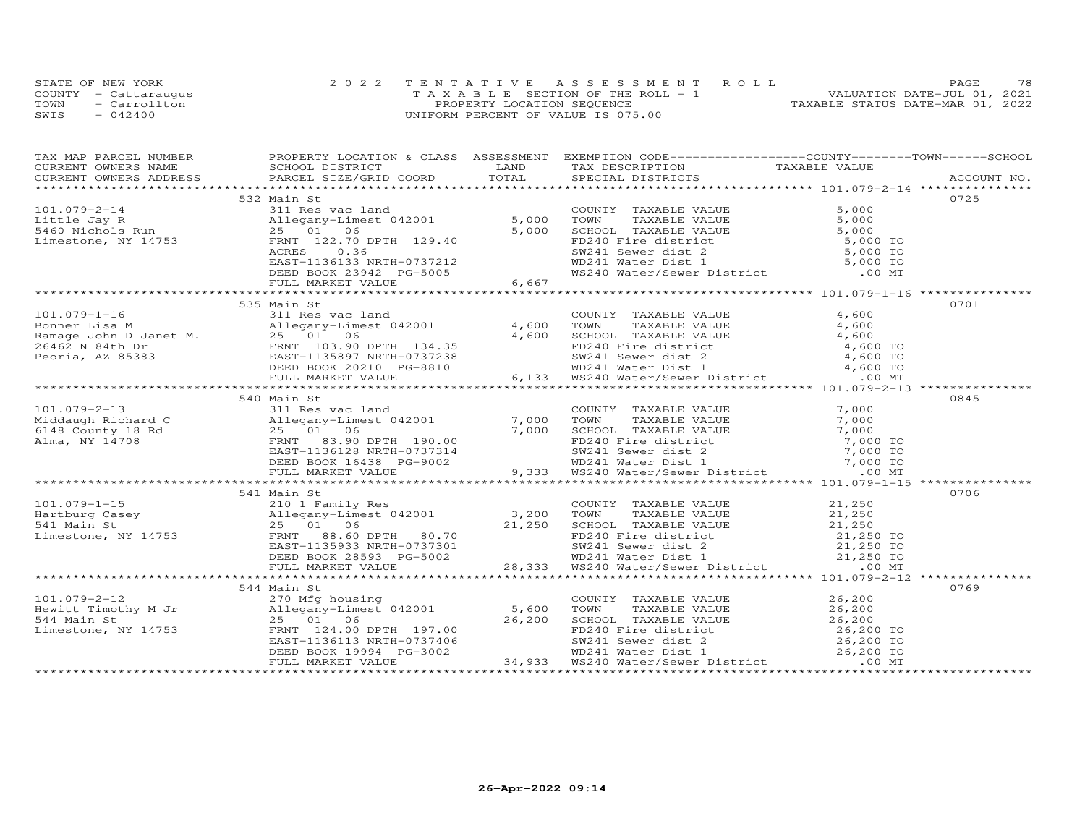|      | STATE OF NEW YORK    | 2022 TENTATIVE ASSESSMENT ROLL        | 78<br>PAGE.                      |
|------|----------------------|---------------------------------------|----------------------------------|
|      | COUNTY - Cattaraugus | T A X A B L E SECTION OF THE ROLL - 1 | VALUATION DATE-JUL 01, 2021      |
| TOWN | - Carrollton         | PROPERTY LOCATION SEQUENCE            | TAXABLE STATUS DATE-MAR 01, 2022 |
| SWIS | $-042400$            | UNIFORM PERCENT OF VALUE IS 075.00    |                                  |

| TAX MAP PARCEL NUMBER FROPERTY LOCATION & CLASS ASSESSMENT EXEMPTION CODE----------------COUNTY-------TOWN------SCHOOL<br>TAX MAP PARCEL NUMBER TROPING TRANSPORTED TO A CONSULTER THE MAP ARE THE MAP AND CONSULT MAP ON THE CONSULTER TRANSPORT ON THE CONSULTER SCIENCE OF THE CONSULTER SCIENCE OF THE CONSULTER TRANSFERS ACCOUNT NO.<br>CURRENT OWNE                 |             |  |      |
|----------------------------------------------------------------------------------------------------------------------------------------------------------------------------------------------------------------------------------------------------------------------------------------------------------------------------------------------------------------------------|-------------|--|------|
|                                                                                                                                                                                                                                                                                                                                                                            |             |  |      |
|                                                                                                                                                                                                                                                                                                                                                                            |             |  |      |
| 101.079-2-14 532 Main St<br>101.079-2-14 532 Main St<br>101.079-2-14 311 Res vac land<br>211 Res vac land<br>25 01 06 5,000 TONITY TAXABLE VALUE 5,000 TO<br>25 01 06 5,000 TONITY TAXABLE VALUE 5,000 TO<br>Limestone, NY 14753 FRNT 129.                                                                                                                                 |             |  |      |
|                                                                                                                                                                                                                                                                                                                                                                            |             |  |      |
|                                                                                                                                                                                                                                                                                                                                                                            |             |  |      |
|                                                                                                                                                                                                                                                                                                                                                                            |             |  |      |
|                                                                                                                                                                                                                                                                                                                                                                            |             |  |      |
|                                                                                                                                                                                                                                                                                                                                                                            |             |  |      |
|                                                                                                                                                                                                                                                                                                                                                                            |             |  |      |
|                                                                                                                                                                                                                                                                                                                                                                            |             |  |      |
|                                                                                                                                                                                                                                                                                                                                                                            |             |  |      |
|                                                                                                                                                                                                                                                                                                                                                                            |             |  |      |
|                                                                                                                                                                                                                                                                                                                                                                            | 535 Main St |  | 0701 |
|                                                                                                                                                                                                                                                                                                                                                                            |             |  |      |
|                                                                                                                                                                                                                                                                                                                                                                            |             |  |      |
|                                                                                                                                                                                                                                                                                                                                                                            |             |  |      |
|                                                                                                                                                                                                                                                                                                                                                                            |             |  |      |
|                                                                                                                                                                                                                                                                                                                                                                            |             |  |      |
|                                                                                                                                                                                                                                                                                                                                                                            |             |  |      |
|                                                                                                                                                                                                                                                                                                                                                                            |             |  |      |
|                                                                                                                                                                                                                                                                                                                                                                            |             |  |      |
|                                                                                                                                                                                                                                                                                                                                                                            | 540 Main St |  | 0845 |
|                                                                                                                                                                                                                                                                                                                                                                            |             |  |      |
|                                                                                                                                                                                                                                                                                                                                                                            |             |  |      |
|                                                                                                                                                                                                                                                                                                                                                                            |             |  |      |
|                                                                                                                                                                                                                                                                                                                                                                            |             |  |      |
|                                                                                                                                                                                                                                                                                                                                                                            |             |  |      |
|                                                                                                                                                                                                                                                                                                                                                                            |             |  |      |
|                                                                                                                                                                                                                                                                                                                                                                            |             |  |      |
|                                                                                                                                                                                                                                                                                                                                                                            |             |  |      |
|                                                                                                                                                                                                                                                                                                                                                                            |             |  | 0706 |
|                                                                                                                                                                                                                                                                                                                                                                            | 541 Main St |  |      |
|                                                                                                                                                                                                                                                                                                                                                                            |             |  |      |
|                                                                                                                                                                                                                                                                                                                                                                            |             |  |      |
|                                                                                                                                                                                                                                                                                                                                                                            |             |  |      |
|                                                                                                                                                                                                                                                                                                                                                                            |             |  |      |
|                                                                                                                                                                                                                                                                                                                                                                            |             |  |      |
|                                                                                                                                                                                                                                                                                                                                                                            |             |  |      |
|                                                                                                                                                                                                                                                                                                                                                                            |             |  |      |
| $\begin{array}{cccccccc} 101.079-1-15 & 541~\text{Main St} & 2101~\text{Family Res} & 21,250 & 0700~\text{Hartburg Case} & 21,250 & 0700~\text{Hartburg Case} & 21,250 & 0700~\text{Hartburg Case} & 21,250 & 0700~\text{Hartburg Case} & 21,250 & 0700~\text{Hartburg Case} & 21,250 & 0700~\text{Hartburg Case} & 21,250 & 070~\text{Hartburg Case} & 21,250~\text{Hart$ |             |  |      |
|                                                                                                                                                                                                                                                                                                                                                                            | 544 Main St |  | 0769 |
|                                                                                                                                                                                                                                                                                                                                                                            |             |  |      |
|                                                                                                                                                                                                                                                                                                                                                                            |             |  |      |
|                                                                                                                                                                                                                                                                                                                                                                            |             |  |      |
|                                                                                                                                                                                                                                                                                                                                                                            |             |  |      |
|                                                                                                                                                                                                                                                                                                                                                                            |             |  |      |
|                                                                                                                                                                                                                                                                                                                                                                            |             |  |      |
| 101.079-2-12<br>344 Main St<br>Hewitt Timothy M Jr allegany-Limest 042001 5,600 TOWN TAXABLE VALUE<br>344 Main St<br>26,200 26,200 26,200 26,200 26,200 26,200 26,200 26,200 26,200 26,200 26,200 26,200 26,200 26,200<br>26,200 ERNT 1                                                                                                                                    |             |  |      |
|                                                                                                                                                                                                                                                                                                                                                                            |             |  |      |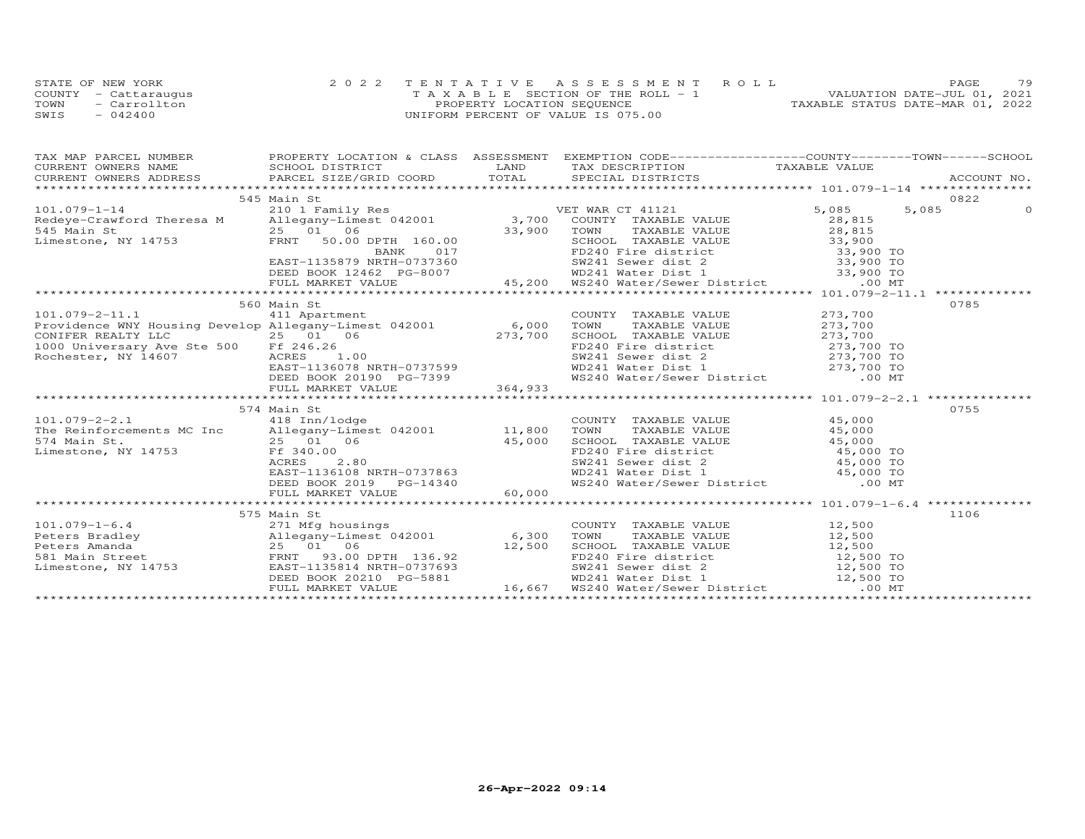| STATE OF NEW YORK    | 2022 TENTATIVE ASSESSMENT ROLL        |                            |  |                                  | PAGE. | 79 |
|----------------------|---------------------------------------|----------------------------|--|----------------------------------|-------|----|
| COUNTY - Cattaraugus | T A X A B L E SECTION OF THE ROLL - 1 |                            |  | VALUATION DATE-JUL 01, 2021      |       |    |
| TOWN<br>- Carrollton |                                       | PROPERTY LOCATION SEQUENCE |  | TAXABLE STATUS DATE-MAR 01, 2022 |       |    |
| $-042400$<br>SWIS    | UNIFORM PERCENT OF VALUE IS 075.00    |                            |  |                                  |       |    |

| TAX MAP PARCEL NUMBER FROPERTY LOCATION & CLASS ASSESSMENT EXEMPTION CODE----------------COUNTY-------TOWN------SCHOOL                                                                                                                                                                                                                                                                                                                                              |               |                                                                                                                                                                                                                                        |      |
|---------------------------------------------------------------------------------------------------------------------------------------------------------------------------------------------------------------------------------------------------------------------------------------------------------------------------------------------------------------------------------------------------------------------------------------------------------------------|---------------|----------------------------------------------------------------------------------------------------------------------------------------------------------------------------------------------------------------------------------------|------|
|                                                                                                                                                                                                                                                                                                                                                                                                                                                                     |               |                                                                                                                                                                                                                                        |      |
|                                                                                                                                                                                                                                                                                                                                                                                                                                                                     |               |                                                                                                                                                                                                                                        |      |
|                                                                                                                                                                                                                                                                                                                                                                                                                                                                     |               |                                                                                                                                                                                                                                        |      |
|                                                                                                                                                                                                                                                                                                                                                                                                                                                                     | 545 Main St   |                                                                                                                                                                                                                                        | 0822 |
|                                                                                                                                                                                                                                                                                                                                                                                                                                                                     |               |                                                                                                                                                                                                                                        |      |
|                                                                                                                                                                                                                                                                                                                                                                                                                                                                     |               |                                                                                                                                                                                                                                        |      |
|                                                                                                                                                                                                                                                                                                                                                                                                                                                                     |               |                                                                                                                                                                                                                                        |      |
|                                                                                                                                                                                                                                                                                                                                                                                                                                                                     |               |                                                                                                                                                                                                                                        |      |
|                                                                                                                                                                                                                                                                                                                                                                                                                                                                     |               |                                                                                                                                                                                                                                        |      |
|                                                                                                                                                                                                                                                                                                                                                                                                                                                                     |               |                                                                                                                                                                                                                                        |      |
|                                                                                                                                                                                                                                                                                                                                                                                                                                                                     |               |                                                                                                                                                                                                                                        |      |
|                                                                                                                                                                                                                                                                                                                                                                                                                                                                     |               |                                                                                                                                                                                                                                        |      |
|                                                                                                                                                                                                                                                                                                                                                                                                                                                                     |               |                                                                                                                                                                                                                                        |      |
| $\begin{tabular}{lllllllllllll} \multicolumn{3}{l}{} & 560 Main St & \multicolumn{3}{l}{} & 560 Main St & \multicolumn{3}{l}{} & 560 Main St & \multicolumn{3}{l}{} & 560 Main St & \multicolumn{3}{l}{} & 560 Main St & \multicolumn{3}{l}{} & 560 Main St & \multicolumn{3}{l}{} & 560 Main St & \multicolumn{3}{l}{} & 560 Main St & \multicolumn{3}{l}{} & 560 MonN \\ \multicolumn{3}{l}{{\small ConUNT}} & 11 & 411 Apartment & 6,000 & TOWN & \multicolumn{$ |               |                                                                                                                                                                                                                                        | 0785 |
|                                                                                                                                                                                                                                                                                                                                                                                                                                                                     |               | COUNTY TAXABLE VALUE 273,700<br>TOWN TAXABLE VALUE 273,700<br>SCHOOL TAXABLE VALUE 273,700<br>FD240 Fire dist 2 273,700 TO<br>SW241 Sewer dist 2 273,700 TO<br>WD241 Water Dist 1 273,700 TO<br>WS240 Water/Sewer District 00 MT       |      |
|                                                                                                                                                                                                                                                                                                                                                                                                                                                                     |               |                                                                                                                                                                                                                                        |      |
|                                                                                                                                                                                                                                                                                                                                                                                                                                                                     |               |                                                                                                                                                                                                                                        |      |
|                                                                                                                                                                                                                                                                                                                                                                                                                                                                     |               |                                                                                                                                                                                                                                        |      |
|                                                                                                                                                                                                                                                                                                                                                                                                                                                                     |               |                                                                                                                                                                                                                                        |      |
|                                                                                                                                                                                                                                                                                                                                                                                                                                                                     |               |                                                                                                                                                                                                                                        |      |
|                                                                                                                                                                                                                                                                                                                                                                                                                                                                     |               |                                                                                                                                                                                                                                        |      |
|                                                                                                                                                                                                                                                                                                                                                                                                                                                                     |               |                                                                                                                                                                                                                                        |      |
|                                                                                                                                                                                                                                                                                                                                                                                                                                                                     |               |                                                                                                                                                                                                                                        |      |
|                                                                                                                                                                                                                                                                                                                                                                                                                                                                     | 574 Main St   |                                                                                                                                                                                                                                        | 0755 |
| $101.079 - 2 - 2.1$<br>101.079-2-2.1 418 Inn/lodge<br>The Reinforcements MC Inc Allegany-Limest 042001 11,800<br>574 Main St. 25 01 06 45,000<br>Limestone, NY 14753 Ff 340.00                                                                                                                                                                                                                                                                                      | 418 Inn/lodge | COUNTY TAXABLE VALUE 45,000                                                                                                                                                                                                            |      |
|                                                                                                                                                                                                                                                                                                                                                                                                                                                                     |               | COUNTY TAXABLE VALUE<br>TOWN TAXABLE VALUE<br>SCHOOL TAXABLE VALUE<br>SCHOOL TAXABLE VALUE<br>FD240 Fire district<br>SW241 Sewer dist 2<br>WD241 Water Dist 1<br>WS240 Water/Sewer District<br>00 MT                                   |      |
|                                                                                                                                                                                                                                                                                                                                                                                                                                                                     |               |                                                                                                                                                                                                                                        |      |
|                                                                                                                                                                                                                                                                                                                                                                                                                                                                     |               |                                                                                                                                                                                                                                        |      |
|                                                                                                                                                                                                                                                                                                                                                                                                                                                                     |               |                                                                                                                                                                                                                                        |      |
|                                                                                                                                                                                                                                                                                                                                                                                                                                                                     |               |                                                                                                                                                                                                                                        |      |
|                                                                                                                                                                                                                                                                                                                                                                                                                                                                     |               |                                                                                                                                                                                                                                        |      |
| 11,000 CHOOL TAXABLE VALUE<br>574 Main St.<br>125 01 06 45,000 45,000 ED240 Fire district 45,000 TO<br>ELIME ENSITI-1136108 NRTH-0737863 EXENDE BOOK 2019 PG-14340 WS240 Water/Sewer District 00 MT<br>FULL MARKET VALUE 60,000<br>TULE                                                                                                                                                                                                                             |               |                                                                                                                                                                                                                                        |      |
|                                                                                                                                                                                                                                                                                                                                                                                                                                                                     |               |                                                                                                                                                                                                                                        |      |
|                                                                                                                                                                                                                                                                                                                                                                                                                                                                     | 575 Main St   |                                                                                                                                                                                                                                        | 1106 |
|                                                                                                                                                                                                                                                                                                                                                                                                                                                                     |               | COUNTY TAXABLE VALUE 12,500                                                                                                                                                                                                            |      |
|                                                                                                                                                                                                                                                                                                                                                                                                                                                                     |               |                                                                                                                                                                                                                                        |      |
|                                                                                                                                                                                                                                                                                                                                                                                                                                                                     |               |                                                                                                                                                                                                                                        |      |
| 101.079-1-6.4<br>Peters Bradley<br>Peters Amanda<br>Peters Amanda<br>25 01 06<br>12,500 SCHOOL<br>EAST-1135814 NRTH-0737693<br>Limestone, NY 14753<br>271 Mfg housings<br>271 Mfg housings<br>271 Mfg housings<br>271 Mfg housings<br>271 Mfg housings                                                                                                                                                                                                              |               |                                                                                                                                                                                                                                        |      |
|                                                                                                                                                                                                                                                                                                                                                                                                                                                                     |               |                                                                                                                                                                                                                                        |      |
|                                                                                                                                                                                                                                                                                                                                                                                                                                                                     |               |                                                                                                                                                                                                                                        |      |
|                                                                                                                                                                                                                                                                                                                                                                                                                                                                     |               | Allegany-Limest 042001 6,300 TOWN TAXABLE VALUE 12,500<br>25 01 06 12,500 SCHOOL TAXABLE VALUE 12,500<br>ERNT 93.00 DPTH 136.92 FD240 Fire district 12,500 TO<br>EAST-1135814 INTH-0737693 50241 Sewer dist 1 12,500 TO<br>EED BOOK 20 |      |
|                                                                                                                                                                                                                                                                                                                                                                                                                                                                     |               |                                                                                                                                                                                                                                        |      |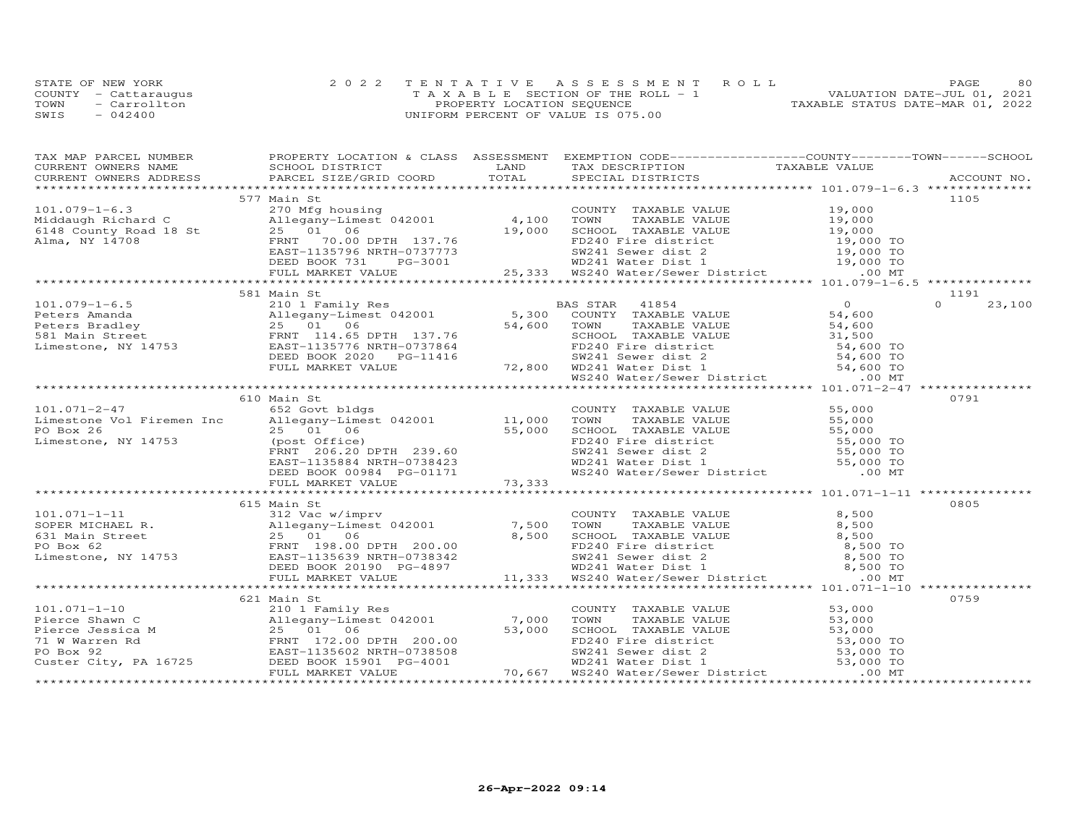|      | STATE OF NEW YORK    | 2022 TENTATIVE ASSESSMENT ROLL        | 80<br>PAGE.                      |
|------|----------------------|---------------------------------------|----------------------------------|
|      | COUNTY - Cattaraugus | T A X A B L E SECTION OF THE ROLL - 1 | VALUATION DATE-JUL 01, 2021      |
| TOWN | - Carrollton         | PROPERTY LOCATION SEQUENCE            | TAXABLE STATUS DATE-MAR 01, 2022 |
| SWIS | $-042400$            | UNIFORM PERCENT OF VALUE IS 075.00    |                                  |

| 577 Main St<br>1105<br>581 Main St<br>1191<br>$\Omega$<br>23,100<br>0791<br>610 Main St<br>0805<br>615 Main St<br>0759<br>621 Main St<br>101.071-1-10<br>Pierce Shawn C<br>Pierce Shawn C<br>Pierce Shawn C<br>Pierce Jessica M<br>25 01 06<br>The Warren Rd<br>ERNT 172.00 DPTH 200.00<br>EED BOOK 15901 PG-4001<br>PG-4001<br>PG-4001<br>PG-4001<br>PG-4001<br>PG-4001<br>PG-4001<br>PG-4001<br>PG-4 | TAX MAP PARCEL NUMBER FROPERTY LOCATION & CLASS ASSESSMENT EXEMPTION CODE----------------COUNTY-------TOWN------SCHOOL |  |  |
|--------------------------------------------------------------------------------------------------------------------------------------------------------------------------------------------------------------------------------------------------------------------------------------------------------------------------------------------------------------------------------------------------------|------------------------------------------------------------------------------------------------------------------------|--|--|
|                                                                                                                                                                                                                                                                                                                                                                                                        |                                                                                                                        |  |  |
|                                                                                                                                                                                                                                                                                                                                                                                                        |                                                                                                                        |  |  |
|                                                                                                                                                                                                                                                                                                                                                                                                        |                                                                                                                        |  |  |
|                                                                                                                                                                                                                                                                                                                                                                                                        |                                                                                                                        |  |  |
|                                                                                                                                                                                                                                                                                                                                                                                                        |                                                                                                                        |  |  |
|                                                                                                                                                                                                                                                                                                                                                                                                        |                                                                                                                        |  |  |
|                                                                                                                                                                                                                                                                                                                                                                                                        |                                                                                                                        |  |  |
|                                                                                                                                                                                                                                                                                                                                                                                                        |                                                                                                                        |  |  |
|                                                                                                                                                                                                                                                                                                                                                                                                        |                                                                                                                        |  |  |
|                                                                                                                                                                                                                                                                                                                                                                                                        |                                                                                                                        |  |  |
|                                                                                                                                                                                                                                                                                                                                                                                                        |                                                                                                                        |  |  |
|                                                                                                                                                                                                                                                                                                                                                                                                        |                                                                                                                        |  |  |
|                                                                                                                                                                                                                                                                                                                                                                                                        |                                                                                                                        |  |  |
|                                                                                                                                                                                                                                                                                                                                                                                                        |                                                                                                                        |  |  |
|                                                                                                                                                                                                                                                                                                                                                                                                        |                                                                                                                        |  |  |
|                                                                                                                                                                                                                                                                                                                                                                                                        |                                                                                                                        |  |  |
|                                                                                                                                                                                                                                                                                                                                                                                                        |                                                                                                                        |  |  |
|                                                                                                                                                                                                                                                                                                                                                                                                        |                                                                                                                        |  |  |
|                                                                                                                                                                                                                                                                                                                                                                                                        |                                                                                                                        |  |  |
|                                                                                                                                                                                                                                                                                                                                                                                                        |                                                                                                                        |  |  |
|                                                                                                                                                                                                                                                                                                                                                                                                        |                                                                                                                        |  |  |
|                                                                                                                                                                                                                                                                                                                                                                                                        |                                                                                                                        |  |  |
|                                                                                                                                                                                                                                                                                                                                                                                                        |                                                                                                                        |  |  |
|                                                                                                                                                                                                                                                                                                                                                                                                        |                                                                                                                        |  |  |
|                                                                                                                                                                                                                                                                                                                                                                                                        |                                                                                                                        |  |  |
|                                                                                                                                                                                                                                                                                                                                                                                                        |                                                                                                                        |  |  |
|                                                                                                                                                                                                                                                                                                                                                                                                        |                                                                                                                        |  |  |
|                                                                                                                                                                                                                                                                                                                                                                                                        |                                                                                                                        |  |  |
|                                                                                                                                                                                                                                                                                                                                                                                                        |                                                                                                                        |  |  |
|                                                                                                                                                                                                                                                                                                                                                                                                        |                                                                                                                        |  |  |
|                                                                                                                                                                                                                                                                                                                                                                                                        |                                                                                                                        |  |  |
|                                                                                                                                                                                                                                                                                                                                                                                                        |                                                                                                                        |  |  |
|                                                                                                                                                                                                                                                                                                                                                                                                        |                                                                                                                        |  |  |
|                                                                                                                                                                                                                                                                                                                                                                                                        |                                                                                                                        |  |  |
|                                                                                                                                                                                                                                                                                                                                                                                                        |                                                                                                                        |  |  |
|                                                                                                                                                                                                                                                                                                                                                                                                        |                                                                                                                        |  |  |
|                                                                                                                                                                                                                                                                                                                                                                                                        |                                                                                                                        |  |  |
|                                                                                                                                                                                                                                                                                                                                                                                                        |                                                                                                                        |  |  |
|                                                                                                                                                                                                                                                                                                                                                                                                        |                                                                                                                        |  |  |
|                                                                                                                                                                                                                                                                                                                                                                                                        |                                                                                                                        |  |  |
|                                                                                                                                                                                                                                                                                                                                                                                                        |                                                                                                                        |  |  |
|                                                                                                                                                                                                                                                                                                                                                                                                        |                                                                                                                        |  |  |
|                                                                                                                                                                                                                                                                                                                                                                                                        |                                                                                                                        |  |  |
|                                                                                                                                                                                                                                                                                                                                                                                                        |                                                                                                                        |  |  |
|                                                                                                                                                                                                                                                                                                                                                                                                        |                                                                                                                        |  |  |
|                                                                                                                                                                                                                                                                                                                                                                                                        |                                                                                                                        |  |  |
|                                                                                                                                                                                                                                                                                                                                                                                                        |                                                                                                                        |  |  |
|                                                                                                                                                                                                                                                                                                                                                                                                        |                                                                                                                        |  |  |
|                                                                                                                                                                                                                                                                                                                                                                                                        |                                                                                                                        |  |  |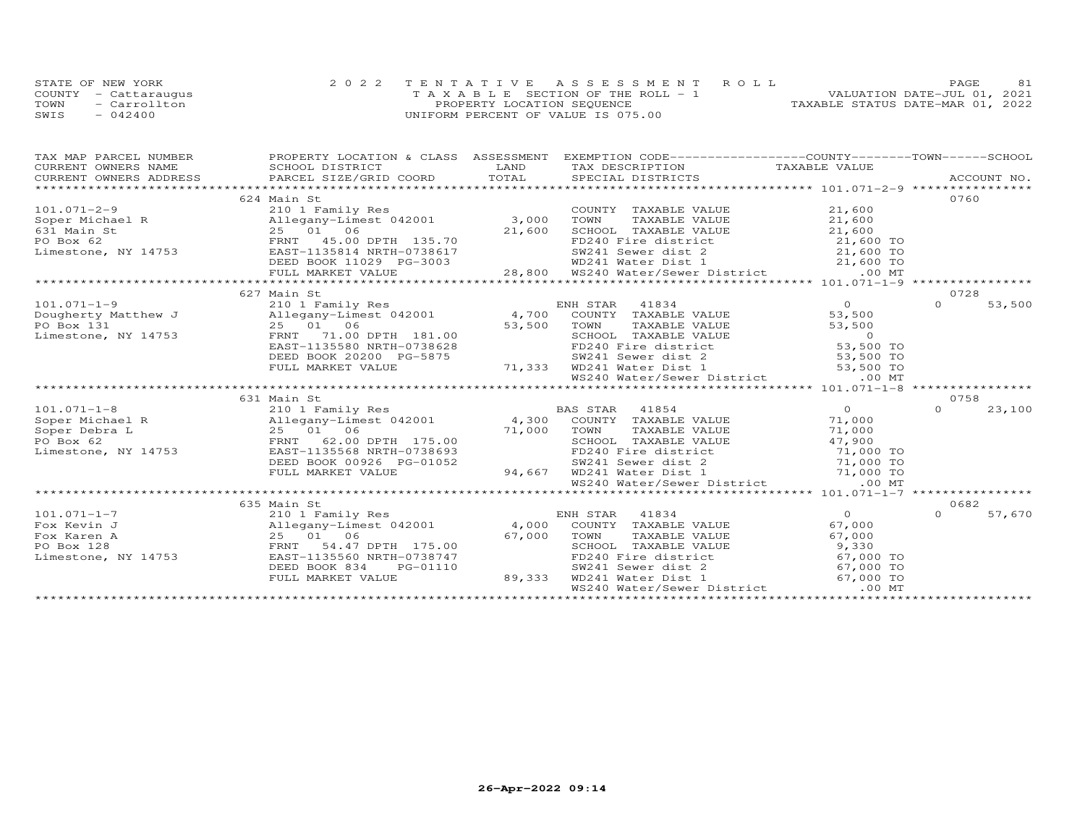|      | STATE OF NEW YORK    | 2022 TENTATIVE ASSESSMENT ROLL        | 81<br>PAGE.                      |
|------|----------------------|---------------------------------------|----------------------------------|
|      | COUNTY - Cattaraugus | T A X A B L E SECTION OF THE ROLL - 1 | VALUATION DATE-JUL 01, 2021      |
| TOWN | - Carrollton         | PROPERTY LOCATION SEQUENCE            | TAXABLE STATUS DATE-MAR 01, 2022 |
| SWIS | $-042400$            | UNIFORM PERCENT OF VALUE IS 075.00    |                                  |

| TAX MAP PARCEL NUMBER             |                                                                                                                                                                                                                                           |        | PROPERTY LOCATION & CLASS ASSESSMENT EXEMPTION CODE----------------COUNTY-------TOWN------SCHOOL                |                 |                    |
|-----------------------------------|-------------------------------------------------------------------------------------------------------------------------------------------------------------------------------------------------------------------------------------------|--------|-----------------------------------------------------------------------------------------------------------------|-----------------|--------------------|
| CURRENT OWNERS NAME               |                                                                                                                                                                                                                                           |        |                                                                                                                 |                 |                    |
| CURRENT OWNERS ADDRESS            |                                                                                                                                                                                                                                           |        |                                                                                                                 |                 |                    |
|                                   |                                                                                                                                                                                                                                           |        |                                                                                                                 |                 |                    |
|                                   | 624 Main St                                                                                                                                                                                                                               |        |                                                                                                                 |                 | 0760               |
| $101.071 - 2 - 9$                 | 210 1 Family Res                                                                                                                                                                                                                          |        | COUNTY TAXABLE VALUE                                                                                            | 21,600          |                    |
|                                   |                                                                                                                                                                                                                                           |        | TAXABLE VALUE<br>TOWN                                                                                           | 21,600          |                    |
|                                   |                                                                                                                                                                                                                                           |        |                                                                                                                 |                 |                    |
|                                   | 101.071-2-9<br>Soper Michael R<br>631 Main St<br>631 Main St<br>632 Main St<br>72.000 PO Box 62<br>EAST-1135814 NRTH-0738617<br>EAST-1135814 NRTH-0738617                                                                                 |        |                                                                                                                 |                 |                    |
| Limestone, NY 14753               |                                                                                                                                                                                                                                           |        |                                                                                                                 |                 |                    |
|                                   |                                                                                                                                                                                                                                           |        |                                                                                                                 |                 |                    |
|                                   |                                                                                                                                                                                                                                           |        |                                                                                                                 |                 |                    |
|                                   | 1 St 25 01 06<br>25 01 06 07 11 135.70<br>27,600 SCHOOL TAXABLE VALUE 21,600 10<br>27,600 ENST 45.00 DPTH 135.70<br>EAST-1135814 NRTH-0738617<br>DEED BOOK 11029 PG-3003 8800 WD241 Water District 21,600 TO<br>EVILL MARKET VALUE 28,800 |        |                                                                                                                 |                 |                    |
|                                   | 627 Main St                                                                                                                                                                                                                               |        |                                                                                                                 |                 | 0728               |
| $101.071 - 1 - 9$                 | 210 1 Family Res                                                                                                                                                                                                                          |        | ENH STAR 41834                                                                                                  | $\overline{0}$  | $\Omega$<br>53,500 |
|                                   | Dougherty Matthew J Allegany-Limest 042001 4,700 COUNTY TAXABLE VALUE<br>Allegany-Limest view.<br>25 01 06<br>FRNT 71.00 DPTH 181.00 53,500<br>100 MPTH-0738628                                                                           |        |                                                                                                                 | 53,500          |                    |
| PO Box 131                        |                                                                                                                                                                                                                                           |        | TAXABLE VALUE<br>TOWN                                                                                           | 53,500          |                    |
| Limestone, NY 14753               |                                                                                                                                                                                                                                           |        |                                                                                                                 |                 |                    |
|                                   |                                                                                                                                                                                                                                           |        |                                                                                                                 |                 |                    |
|                                   | DEED BOOK 20200 PG-5875                                                                                                                                                                                                                   |        | SW241 Sewer dist 2                                                                                              | $53,500$ TO     |                    |
|                                   | FULL MARKET VALUE                                                                                                                                                                                                                         |        | 71,333 WD241 Water Dist 1 53,500 TO                                                                             |                 |                    |
|                                   |                                                                                                                                                                                                                                           |        | WS240 Water/Sewer District .00 MT                                                                               |                 |                    |
|                                   |                                                                                                                                                                                                                                           |        |                                                                                                                 |                 |                    |
|                                   |                                                                                                                                                                                                                                           |        |                                                                                                                 |                 | 0758               |
|                                   |                                                                                                                                                                                                                                           |        |                                                                                                                 | $\overline{0}$  | $\Omega$<br>23,100 |
|                                   |                                                                                                                                                                                                                                           |        |                                                                                                                 | 71,000          |                    |
|                                   |                                                                                                                                                                                                                                           |        |                                                                                                                 | 71,000          |                    |
|                                   |                                                                                                                                                                                                                                           |        |                                                                                                                 | 47,900          |                    |
| Limestone, NY 14753               | EAST-1135568 NRTH-0738693                                                                                                                                                                                                                 |        | FD240 Fire district 71,000 TO                                                                                   |                 |                    |
|                                   | DEED BOOK 00926 PG-01052                                                                                                                                                                                                                  |        |                                                                                                                 |                 |                    |
|                                   | FULL MARKET VALUE                                                                                                                                                                                                                         |        | G-01052 5W241 Sewer dist 2 71,000 TO<br>94,667 WD241 Water Dist 1 71,000 TO<br>WS240 Water/Sewer District 00 MT |                 |                    |
|                                   | **************************                                                                                                                                                                                                                |        |                                                                                                                 |                 |                    |
|                                   |                                                                                                                                                                                                                                           |        |                                                                                                                 |                 |                    |
|                                   | 635 Main St                                                                                                                                                                                                                               |        |                                                                                                                 | $\overline{0}$  | 0682<br>$\Omega$   |
| $101.071 - 1 - 7$<br>Fox Kevin J  | 210 1 Family Res<br>Allegany-Limest 042001 4,000 COUNTY TAXABLE VALUE                                                                                                                                                                     |        | ENH STAR 41834                                                                                                  |                 | 57,670             |
|                                   |                                                                                                                                                                                                                                           | 67,000 |                                                                                                                 | 67,000          |                    |
| Fox Karen A                       | FRNT 54.47 DPTH 175.00                                                                                                                                                                                                                    |        | TOWN<br>TAXABLE VALUE                                                                                           | 67,000<br>9,330 |                    |
| PO Box 128<br>Limestone, NY 14753 | $25$ $01$ $06$ $\text{FRNT}$ $54.47$ $14753$ $\text{EAST}-1135560$<br>EAST-1135560 NRTH-0738747                                                                                                                                           |        | SCHOOL TAXABLE VALUE<br>FD240 Fire district                                                                     | 67,000 TO       |                    |
|                                   | DEED BOOK 834<br>PG-01110                                                                                                                                                                                                                 |        | SW241 Sewer dist 2                                                                                              | 67,000 TO       |                    |
|                                   | FULL MARKET VALUE                                                                                                                                                                                                                         | 89,333 | WD241 Water Dist 1                                                                                              | 67,000 TO       |                    |
|                                   |                                                                                                                                                                                                                                           |        | WS240 Water/Sewer District                                                                                      | .00 MT          |                    |
|                                   |                                                                                                                                                                                                                                           |        |                                                                                                                 |                 |                    |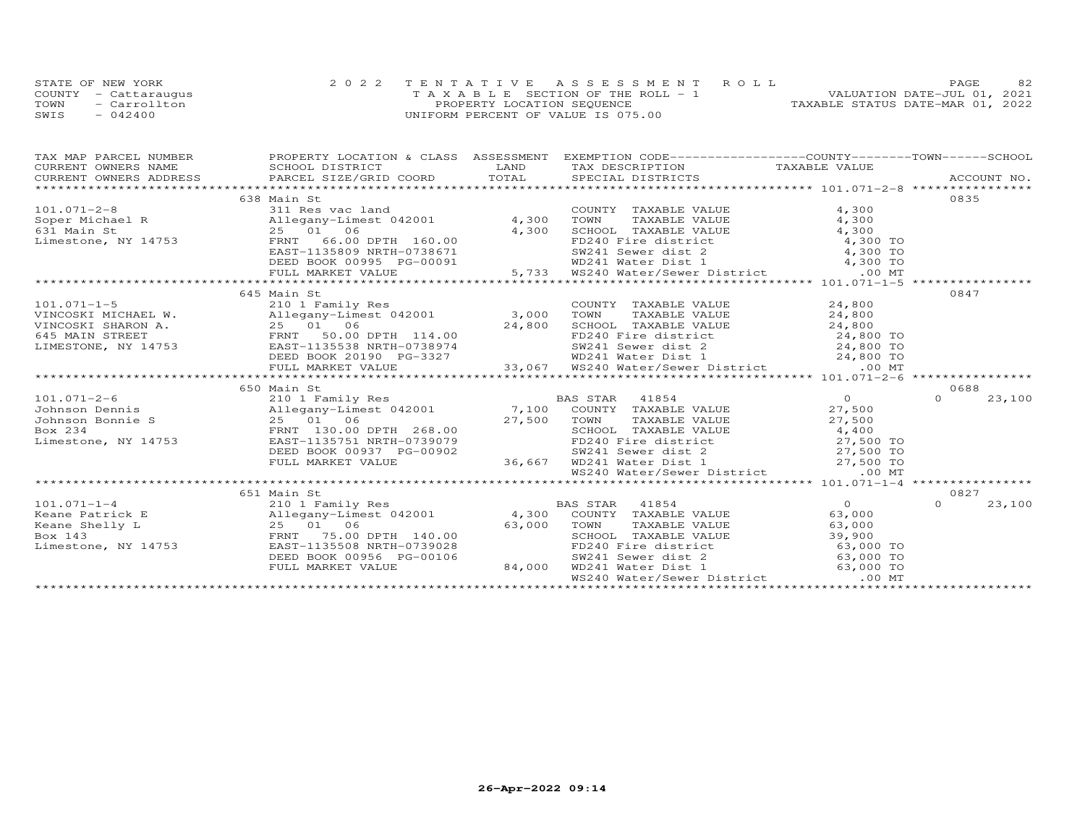|      | STATE OF NEW YORK    | 2022 TENTATIVE ASSESSMENT ROLL     | 82<br><b>PAGE</b>                |
|------|----------------------|------------------------------------|----------------------------------|
|      | COUNTY - Cattaraugus | TAXABLE SECTION OF THE ROLL - 1    | VALUATION DATE-JUL 01, 2021      |
| TOWN | - Carrollton         | PROPERTY LOCATION SEQUENCE         | TAXABLE STATUS DATE-MAR 01, 2022 |
| SWIS | $-042400$            | UNIFORM PERCENT OF VALUE IS 075.00 |                                  |

| $\begin{tabular}{lllllllllll} \textsc{rank} & \textsc{rank} & \textsc{p-1} & \textsc{p-1} & \textsc{p-1} & \textsc{p-1} & \textsc{p-1} & \textsc{p-1} & \textsc{p-1} & \textsc{p-1} & \textsc{p-1} & \textsc{p-1} & \textsc{p-1} & \textsc{p-1} & \textsc{p-1} & \textsc{p-1} & \textsc{p-1} & \textsc{p-1} & \textsc{p-1} & \textsc{p-1} & \textsc{p-1} & \textsc{p-1} & \textsc{p-1} & \textsc{$   |  |                    |
|------------------------------------------------------------------------------------------------------------------------------------------------------------------------------------------------------------------------------------------------------------------------------------------------------------------------------------------------------------------------------------------------------|--|--------------------|
| 638 Main St                                                                                                                                                                                                                                                                                                                                                                                          |  | 0835               |
|                                                                                                                                                                                                                                                                                                                                                                                                      |  |                    |
|                                                                                                                                                                                                                                                                                                                                                                                                      |  |                    |
|                                                                                                                                                                                                                                                                                                                                                                                                      |  |                    |
|                                                                                                                                                                                                                                                                                                                                                                                                      |  |                    |
|                                                                                                                                                                                                                                                                                                                                                                                                      |  |                    |
|                                                                                                                                                                                                                                                                                                                                                                                                      |  |                    |
|                                                                                                                                                                                                                                                                                                                                                                                                      |  |                    |
| $\begin{array}{cccccccc} 101.071-2-8 & 638 \text{ Main St} & 101.88 \text{ Main St} & 101.071-2-8 & 638 \text{ Main St} & 11 \text{ Res vac land} & 2001 & 4,300 & 70 \text{WIN} & 7 \text{AXABLE VALUE} & 4,300 & 631 \text{ Main St} & 4,300 & 70 \text{WIN} & 7 \text{MAXABLE VALUE} & 4,300 & 70 \text{WIN} & 7 \text{MAXABLE VALUE} & 4,300 & 70 \text{WIN} & 7 \text{MAXABLE VALUE} & 4,300 &$ |  |                    |
| 645 Main St                                                                                                                                                                                                                                                                                                                                                                                          |  | 0847               |
|                                                                                                                                                                                                                                                                                                                                                                                                      |  |                    |
|                                                                                                                                                                                                                                                                                                                                                                                                      |  |                    |
|                                                                                                                                                                                                                                                                                                                                                                                                      |  |                    |
|                                                                                                                                                                                                                                                                                                                                                                                                      |  |                    |
|                                                                                                                                                                                                                                                                                                                                                                                                      |  |                    |
|                                                                                                                                                                                                                                                                                                                                                                                                      |  |                    |
|                                                                                                                                                                                                                                                                                                                                                                                                      |  |                    |
| 650 Main St                                                                                                                                                                                                                                                                                                                                                                                          |  | 0688               |
|                                                                                                                                                                                                                                                                                                                                                                                                      |  | 23,100<br>$\cap$   |
|                                                                                                                                                                                                                                                                                                                                                                                                      |  |                    |
|                                                                                                                                                                                                                                                                                                                                                                                                      |  |                    |
|                                                                                                                                                                                                                                                                                                                                                                                                      |  |                    |
|                                                                                                                                                                                                                                                                                                                                                                                                      |  |                    |
|                                                                                                                                                                                                                                                                                                                                                                                                      |  |                    |
|                                                                                                                                                                                                                                                                                                                                                                                                      |  |                    |
| 101.071-2-6 $\footnotesize$<br>101.071-2-6 $\footnotesize$<br>101.071-2-6 $\footnotesize$<br>101.071-2-6 $\footnotesize$<br>101.071-2-6 $\footnotesize$<br>101.071-2-6 $\footnotesize$<br>101.071-2-6 $\footnotesize$<br>101.071-2-6 $\footnotesize$<br>101.071-2-6 $\footnotesize$<br>101.071-2-6 $\footnotesize$<br>101.071-2-6 $\footnotesize$<br>1                                               |  |                    |
|                                                                                                                                                                                                                                                                                                                                                                                                      |  |                    |
| 651 Main St                                                                                                                                                                                                                                                                                                                                                                                          |  | 0827               |
|                                                                                                                                                                                                                                                                                                                                                                                                      |  | $\Omega$<br>23,100 |
|                                                                                                                                                                                                                                                                                                                                                                                                      |  |                    |
|                                                                                                                                                                                                                                                                                                                                                                                                      |  |                    |
|                                                                                                                                                                                                                                                                                                                                                                                                      |  |                    |
|                                                                                                                                                                                                                                                                                                                                                                                                      |  |                    |
|                                                                                                                                                                                                                                                                                                                                                                                                      |  |                    |
|                                                                                                                                                                                                                                                                                                                                                                                                      |  |                    |
|                                                                                                                                                                                                                                                                                                                                                                                                      |  |                    |
|                                                                                                                                                                                                                                                                                                                                                                                                      |  |                    |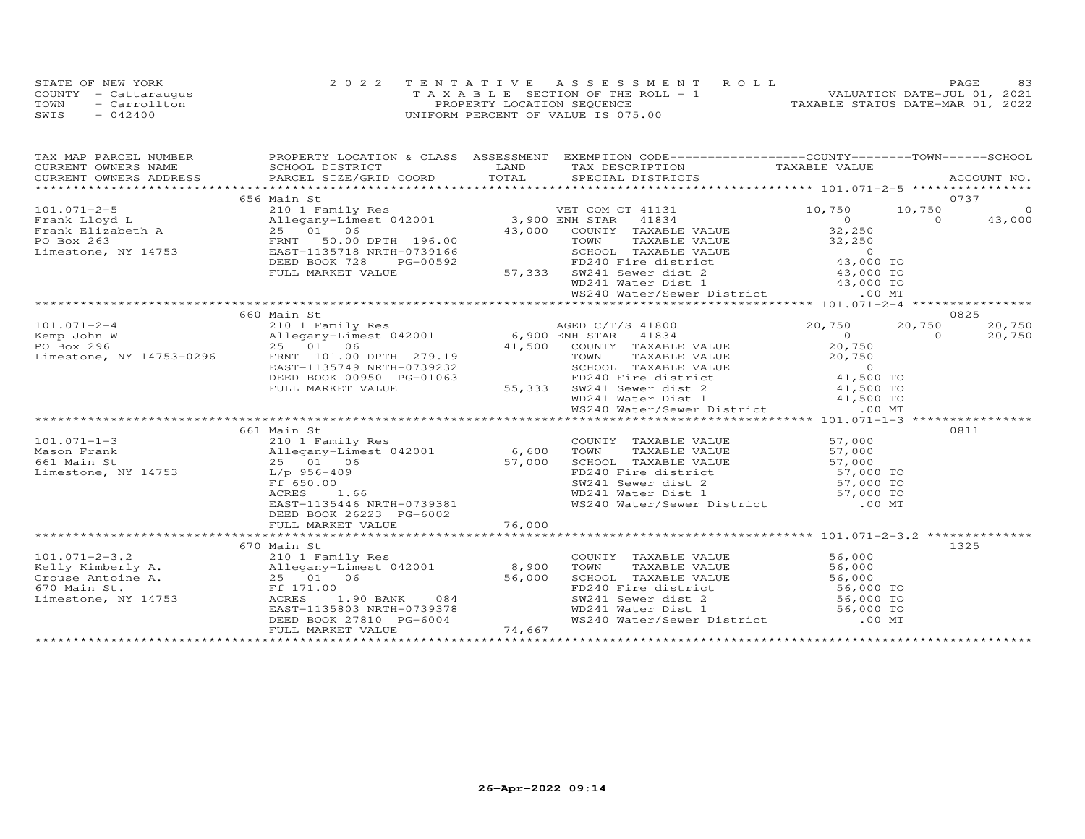|      | STATE OF NEW YORK    | 2022 TENTATIVE ASSESSMENT ROLL        | 83<br>PAGE.                      |
|------|----------------------|---------------------------------------|----------------------------------|
|      | COUNTY - Cattaraugus | T A X A B L E SECTION OF THE ROLL - 1 | VALUATION DATE-JUL 01, 2021      |
| TOWN | - Carrollton         | PROPERTY LOCATION SEQUENCE            | TAXABLE STATUS DATE-MAR 01, 2022 |
| SWIS | $-042400$            | UNIFORM PERCENT OF VALUE IS 075.00    |                                  |

| TAX MAP PARCEL NUMBER |                                                                                                                                                                                                                                                                                                                                                                                                                |      | PROPERTY LOCATION & CLASS ASSESSMENT EXEMPTION CODE----------------COUNTY-------TOWN------SCHOOL                                                                                                                                                |                                            |          |                |
|-----------------------|----------------------------------------------------------------------------------------------------------------------------------------------------------------------------------------------------------------------------------------------------------------------------------------------------------------------------------------------------------------------------------------------------------------|------|-------------------------------------------------------------------------------------------------------------------------------------------------------------------------------------------------------------------------------------------------|--------------------------------------------|----------|----------------|
| CURRENT OWNERS NAME   | SCHOOL DISTRICT                                                                                                                                                                                                                                                                                                                                                                                                | LAND | TAX DESCRIPTION TAXABLE VALUE                                                                                                                                                                                                                   |                                            |          |                |
|                       |                                                                                                                                                                                                                                                                                                                                                                                                                |      |                                                                                                                                                                                                                                                 |                                            |          |                |
|                       |                                                                                                                                                                                                                                                                                                                                                                                                                |      |                                                                                                                                                                                                                                                 |                                            |          |                |
|                       | 656 Main St<br>101.071-2-5<br>Frank Lloyd L<br>Frank Elizabeth A allegany-Limest 042001<br>Frank Elizabeth A 25 01 06<br>PO Box 263<br>Limestone, NY 14753<br>EAST-1135718 NRTH-0739166<br>EAST-1135718 NRTH-0739166<br>EAST-1135718 NRTH-0739166<br>EAST-1135                                                                                                                                                 |      |                                                                                                                                                                                                                                                 |                                            |          | 0737           |
|                       |                                                                                                                                                                                                                                                                                                                                                                                                                |      |                                                                                                                                                                                                                                                 | 10,750 10,750                              |          | $\overline{0}$ |
|                       |                                                                                                                                                                                                                                                                                                                                                                                                                |      | 41834                                                                                                                                                                                                                                           | $\begin{array}{c} 0 \\ 32,250 \end{array}$ | $\Omega$ | 43,000         |
|                       |                                                                                                                                                                                                                                                                                                                                                                                                                |      |                                                                                                                                                                                                                                                 |                                            |          |                |
|                       |                                                                                                                                                                                                                                                                                                                                                                                                                |      |                                                                                                                                                                                                                                                 |                                            |          |                |
|                       |                                                                                                                                                                                                                                                                                                                                                                                                                |      |                                                                                                                                                                                                                                                 |                                            |          |                |
|                       | DEED BOOK 728<br>PG-00592                                                                                                                                                                                                                                                                                                                                                                                      |      |                                                                                                                                                                                                                                                 |                                            |          |                |
|                       | FULL MARKET VALUE                                                                                                                                                                                                                                                                                                                                                                                              |      |                                                                                                                                                                                                                                                 |                                            |          |                |
|                       |                                                                                                                                                                                                                                                                                                                                                                                                                |      |                                                                                                                                                                                                                                                 |                                            |          |                |
|                       |                                                                                                                                                                                                                                                                                                                                                                                                                |      | 196.00 TOWN TAXABLE VALUE<br>196.00 TOWN TAXABLE VALUE<br>32,250<br>1739166 SCHOOL TAXABLE VALUE<br>FD240 Fire district 43,000 TO<br>57,333 SW241 Sewer dist 2 43,000 TO<br>WD241 Water Dist 1 43,000 TO<br>13,000 TO<br>13,000 TO<br>13,000 TO |                                            |          |                |
|                       |                                                                                                                                                                                                                                                                                                                                                                                                                |      |                                                                                                                                                                                                                                                 |                                            |          |                |
|                       | 660 Main St<br>$\begin{array}{cccc} \text{101.071--2-4} & \text{660 Main St} & \text{AGED C/T/S 41800} & \text{20,750} & \text{20,860} \\ \text{Kemp John W} & \text{all-egany-Linear U1} & \text{6900 ENH STAR} & \text{41834} & \text{41834} \\ \text{PO Box 296} & \text{25 01} & \text{6} & \text{41,500} & \text{COMH STAR} & \text{41834} & \text{41834} \\ \text{Limes, NY 14753-0296} & \text{ERM V 1$ |      |                                                                                                                                                                                                                                                 |                                            |          | 0825           |
|                       |                                                                                                                                                                                                                                                                                                                                                                                                                |      |                                                                                                                                                                                                                                                 | 20,750 20,750                              |          | 20,750         |
|                       |                                                                                                                                                                                                                                                                                                                                                                                                                |      |                                                                                                                                                                                                                                                 |                                            | $\Omega$ | 20,750         |
|                       |                                                                                                                                                                                                                                                                                                                                                                                                                |      |                                                                                                                                                                                                                                                 |                                            |          |                |
|                       |                                                                                                                                                                                                                                                                                                                                                                                                                |      |                                                                                                                                                                                                                                                 |                                            |          |                |
|                       |                                                                                                                                                                                                                                                                                                                                                                                                                |      |                                                                                                                                                                                                                                                 |                                            |          |                |
|                       |                                                                                                                                                                                                                                                                                                                                                                                                                |      |                                                                                                                                                                                                                                                 |                                            |          |                |
|                       |                                                                                                                                                                                                                                                                                                                                                                                                                |      |                                                                                                                                                                                                                                                 |                                            |          |                |
|                       |                                                                                                                                                                                                                                                                                                                                                                                                                |      |                                                                                                                                                                                                                                                 |                                            |          |                |
|                       |                                                                                                                                                                                                                                                                                                                                                                                                                |      |                                                                                                                                                                                                                                                 |                                            |          |                |
|                       |                                                                                                                                                                                                                                                                                                                                                                                                                |      |                                                                                                                                                                                                                                                 |                                            |          |                |
|                       | 661 Main St                                                                                                                                                                                                                                                                                                                                                                                                    |      |                                                                                                                                                                                                                                                 |                                            |          | 0811           |
| $101.071 - 1 - 3$     | 210 1 Family Res<br>Allegany-Limest 042001 6,600 TOWN<br>25 01 06 57,000 SCHOOL                                                                                                                                                                                                                                                                                                                                |      | COUNTY TAXABLE VALUE                                                                                                                                                                                                                            |                                            |          |                |
| Mason Frank           |                                                                                                                                                                                                                                                                                                                                                                                                                |      | TAXABLE VALUE<br>TAXABLE VALUE                                                                                                                                                                                                                  | 57,000<br>57,000<br>57,000                 |          |                |
| 661 Main St           |                                                                                                                                                                                                                                                                                                                                                                                                                |      |                                                                                                                                                                                                                                                 |                                            |          |                |
| Limestone, NY 14753   | L/p 956-409                                                                                                                                                                                                                                                                                                                                                                                                    |      |                                                                                                                                                                                                                                                 |                                            |          |                |
|                       |                                                                                                                                                                                                                                                                                                                                                                                                                |      |                                                                                                                                                                                                                                                 |                                            |          |                |
|                       |                                                                                                                                                                                                                                                                                                                                                                                                                |      |                                                                                                                                                                                                                                                 |                                            |          |                |
|                       |                                                                                                                                                                                                                                                                                                                                                                                                                |      | 37,000 SCHOOL TAXABLE VALUE 57,000<br>57,000 SCHOOL TAXABLE VALUE 57,000<br>FD240 Fire district 57,000 TO<br>SW241 Sewer dist 2 57,000 TO<br>WD241 Water District 57,000 TO<br>WS240 Water/Sewer District 57,000 TO<br>NRTH-0739381 WS240       |                                            |          |                |
|                       |                                                                                                                                                                                                                                                                                                                                                                                                                |      |                                                                                                                                                                                                                                                 |                                            |          |                |
|                       |                                                                                                                                                                                                                                                                                                                                                                                                                |      |                                                                                                                                                                                                                                                 |                                            |          |                |
|                       | imestone, NY 14753 $L/p$ 956-409<br>FF 650.00<br>RCRES 1.66 $26223$ PG-6002<br>DEED BOOK 26223 PG-6002<br>FULL MARKET VALUE 76,000<br>FULL MARKET VALUE 76,000<br>FULL MARKET VALUE 76,000                                                                                                                                                                                                                     |      |                                                                                                                                                                                                                                                 |                                            |          |                |
|                       | 670 Main St                                                                                                                                                                                                                                                                                                                                                                                                    |      |                                                                                                                                                                                                                                                 |                                            |          | 1325           |
|                       |                                                                                                                                                                                                                                                                                                                                                                                                                |      | COUNTY TAXABLE VALUE                                                                                                                                                                                                                            | 56,000                                     |          |                |
|                       |                                                                                                                                                                                                                                                                                                                                                                                                                |      | TAXABLE VALUE 56,000<br>TOWN                                                                                                                                                                                                                    |                                            |          |                |
|                       |                                                                                                                                                                                                                                                                                                                                                                                                                |      |                                                                                                                                                                                                                                                 |                                            |          |                |
|                       |                                                                                                                                                                                                                                                                                                                                                                                                                |      |                                                                                                                                                                                                                                                 |                                            |          |                |
| Limestone, NY 14753   | ACRES<br>1.90 BANK 084                                                                                                                                                                                                                                                                                                                                                                                         |      |                                                                                                                                                                                                                                                 |                                            |          |                |
|                       | EAST-1135803 NRTH-0739378                                                                                                                                                                                                                                                                                                                                                                                      |      |                                                                                                                                                                                                                                                 |                                            |          |                |
|                       |                                                                                                                                                                                                                                                                                                                                                                                                                |      | CHOOL TAXABLE VALUE<br>FD240 Fire district 56,000 TO<br>SW241 Sewer dist 2 56,000 TO<br>WD241 Water Dist 1 56,000 TO<br>WS240 Water/Sewer District 00 MT                                                                                        |                                            |          |                |
|                       | EASI-1130000 NAIH-073370<br>DEED BOOK 27810 PG-6004<br>FULL MARKET VALUE 74,667                                                                                                                                                                                                                                                                                                                                |      |                                                                                                                                                                                                                                                 |                                            |          |                |
|                       |                                                                                                                                                                                                                                                                                                                                                                                                                |      |                                                                                                                                                                                                                                                 |                                            |          |                |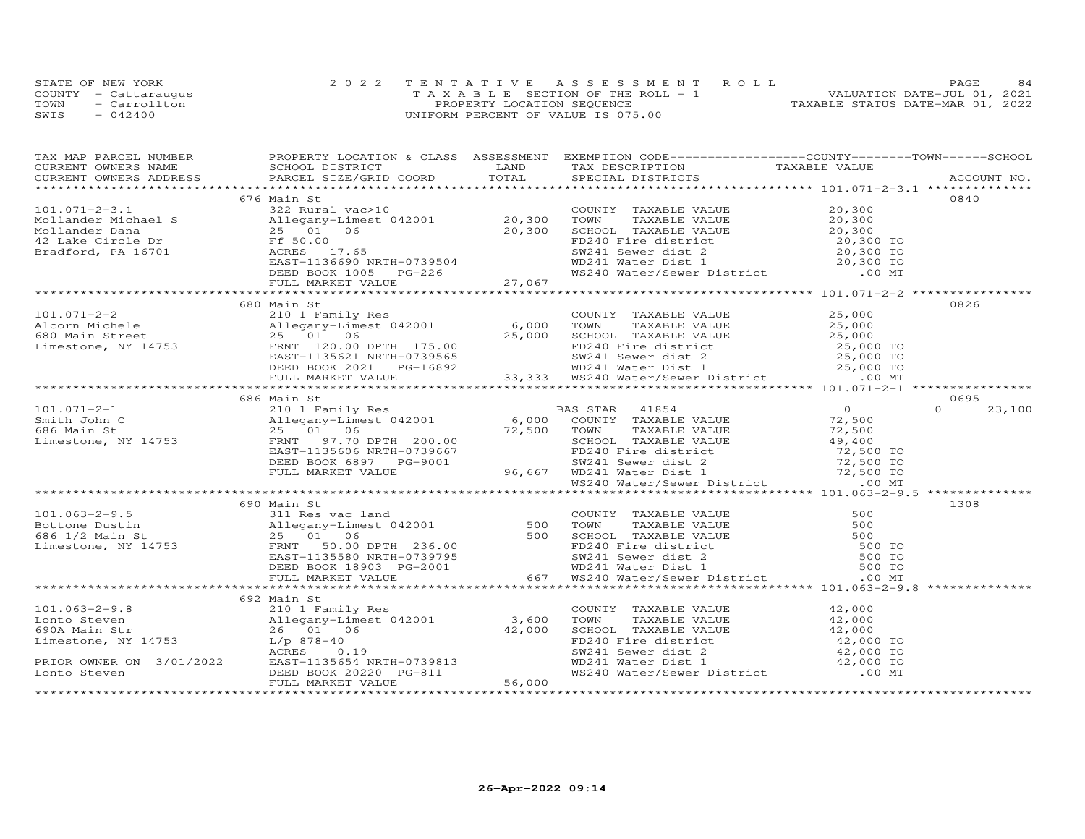|      | STATE OF NEW YORK    | 2022 TENTATIVE ASSESSMENT ROLL        | 84<br>PAGE.                      |
|------|----------------------|---------------------------------------|----------------------------------|
|      | COUNTY - Cattaraugus | T A X A B L E SECTION OF THE ROLL - 1 | VALUATION DATE-JUL 01, 2021      |
| TOWN | - Carrollton         | PROPERTY LOCATION SEQUENCE            | TAXABLE STATUS DATE-MAR 01, 2022 |
| SWIS | $-042400$            | UNIFORM PERCENT OF VALUE IS 075.00    |                                  |

| TAX MAP PARCEL NUMBER FROPERTY LOCATION & CLASS ASSESSMENT EXEMPTION CODE----------------COUNTY-------TOWN------SCHOOL                                                                                                                                                                                                                                                                                |             |  |        |
|-------------------------------------------------------------------------------------------------------------------------------------------------------------------------------------------------------------------------------------------------------------------------------------------------------------------------------------------------------------------------------------------------------|-------------|--|--------|
|                                                                                                                                                                                                                                                                                                                                                                                                       |             |  |        |
|                                                                                                                                                                                                                                                                                                                                                                                                       |             |  |        |
|                                                                                                                                                                                                                                                                                                                                                                                                       | 676 Main St |  | 0840   |
|                                                                                                                                                                                                                                                                                                                                                                                                       |             |  |        |
|                                                                                                                                                                                                                                                                                                                                                                                                       |             |  |        |
|                                                                                                                                                                                                                                                                                                                                                                                                       |             |  |        |
|                                                                                                                                                                                                                                                                                                                                                                                                       |             |  |        |
|                                                                                                                                                                                                                                                                                                                                                                                                       |             |  |        |
|                                                                                                                                                                                                                                                                                                                                                                                                       |             |  |        |
| $\begin{array}{cccccccc} 101.071-2-3.1 & 676 \text{ Main St.} & 0840 & 0840 & 0840 & 0840 & 0840 & 0840 & 0840 & 0840 & 0840 & 0840 & 0840 & 0840 & 0840 & 0840 & 0840 & 0840 & 0840 & 0840 & 0840 & 0840 & 0840 & 0840 & 0840 & 0840 & 0840 & 0840 & 0840 & 0840 & 0840 & 0840 & 0840$                                                                                                               |             |  |        |
|                                                                                                                                                                                                                                                                                                                                                                                                       |             |  |        |
|                                                                                                                                                                                                                                                                                                                                                                                                       | 680 Main St |  | 0826   |
|                                                                                                                                                                                                                                                                                                                                                                                                       |             |  |        |
|                                                                                                                                                                                                                                                                                                                                                                                                       |             |  |        |
|                                                                                                                                                                                                                                                                                                                                                                                                       |             |  |        |
|                                                                                                                                                                                                                                                                                                                                                                                                       |             |  |        |
|                                                                                                                                                                                                                                                                                                                                                                                                       |             |  |        |
|                                                                                                                                                                                                                                                                                                                                                                                                       |             |  |        |
|                                                                                                                                                                                                                                                                                                                                                                                                       |             |  |        |
| $\begin{array}{cccccccc} 101.071-2-2 & 680\text{ Main St.} & 080\text{ Main St.} & 080\text{ Main St.} & 080\text{ Main St.} & 080\text{ AND St.} & 080\text{ AND St.} & 080\text{ AND St.} & 080\text{ AND St.} & 080\text{ AND St.} & 080\text{ AND St.} & 080\text{ AND St.} & 080\text{ AND St.} & 080\text{ AND St.} & 080\text{ AND St.} & 080\text{ AND St.} & 080\text{ AND St.} & 080\text{$ |             |  |        |
|                                                                                                                                                                                                                                                                                                                                                                                                       | 686 Main St |  | 0695   |
|                                                                                                                                                                                                                                                                                                                                                                                                       |             |  | 23,100 |
|                                                                                                                                                                                                                                                                                                                                                                                                       |             |  |        |
|                                                                                                                                                                                                                                                                                                                                                                                                       |             |  |        |
|                                                                                                                                                                                                                                                                                                                                                                                                       |             |  |        |
|                                                                                                                                                                                                                                                                                                                                                                                                       |             |  |        |
|                                                                                                                                                                                                                                                                                                                                                                                                       |             |  |        |
|                                                                                                                                                                                                                                                                                                                                                                                                       |             |  |        |
|                                                                                                                                                                                                                                                                                                                                                                                                       |             |  |        |
| 101.063-2-9.5<br>101.063-2-9.5<br>311 Res vac land COUNTY TAXABLE VALUE<br>800 Alingany-Limest 042001 500 SCROOL TAXABLE VALUE 500<br>666 1/2 Main St 25 01 06 FNT 50.00 DPTH 236.00 500 DOWN TAXABLE VALUE 500<br>Limestone, NY 14753                                                                                                                                                                |             |  | 1308   |
|                                                                                                                                                                                                                                                                                                                                                                                                       |             |  |        |
|                                                                                                                                                                                                                                                                                                                                                                                                       |             |  |        |
|                                                                                                                                                                                                                                                                                                                                                                                                       |             |  |        |
|                                                                                                                                                                                                                                                                                                                                                                                                       |             |  |        |
|                                                                                                                                                                                                                                                                                                                                                                                                       |             |  |        |
|                                                                                                                                                                                                                                                                                                                                                                                                       |             |  |        |
|                                                                                                                                                                                                                                                                                                                                                                                                       |             |  |        |
|                                                                                                                                                                                                                                                                                                                                                                                                       |             |  |        |
|                                                                                                                                                                                                                                                                                                                                                                                                       | 692 Main St |  |        |
|                                                                                                                                                                                                                                                                                                                                                                                                       |             |  |        |
|                                                                                                                                                                                                                                                                                                                                                                                                       |             |  |        |
|                                                                                                                                                                                                                                                                                                                                                                                                       |             |  |        |
|                                                                                                                                                                                                                                                                                                                                                                                                       |             |  |        |
|                                                                                                                                                                                                                                                                                                                                                                                                       |             |  |        |
|                                                                                                                                                                                                                                                                                                                                                                                                       |             |  |        |
|                                                                                                                                                                                                                                                                                                                                                                                                       |             |  |        |
| 101.063-2-9.8<br>Main Str and Steven allegany-Limest 042001<br>Section of the stress of the stress of the stress of the stress of the stress of the stress of the stress of the stress of the stress of the stress of the stres                                                                                                                                                                       |             |  |        |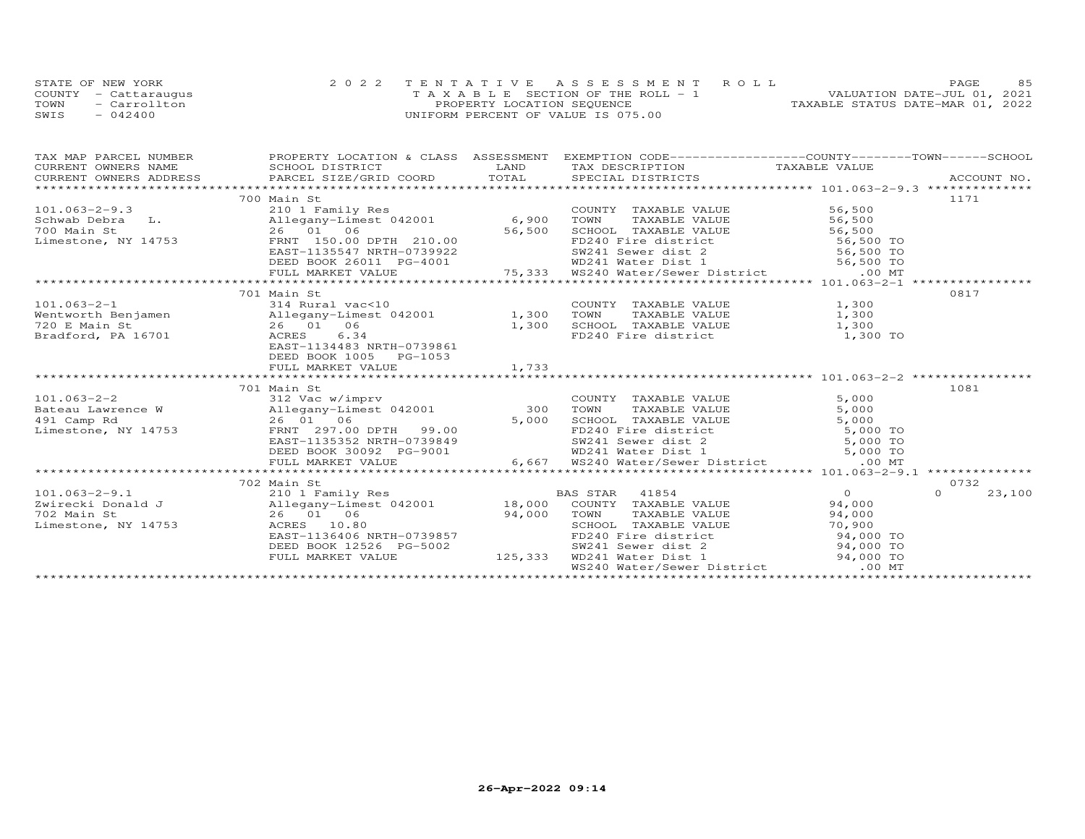|      | STATE OF NEW YORK    | 2022 TENTATIVE ASSESSMENT ROLL        | 85<br>PAGE.                      |
|------|----------------------|---------------------------------------|----------------------------------|
|      | COUNTY - Cattaraugus | T A X A B L E SECTION OF THE ROLL - 1 | VALUATION DATE-JUL 01, 2021      |
| TOWN | - Carrollton         | PROPERTY LOCATION SEQUENCE            | TAXABLE STATUS DATE-MAR 01, 2022 |
| SWIS | $-042400$            | UNIFORM PERCENT OF VALUE IS 075.00    |                                  |

|                                                 | 700 Main St                                                                                                                                                                                                                                |       |                                                                                                                                                                                                    |                                                                                                                                                                                                                                                                                                                                    | 1171               |
|-------------------------------------------------|--------------------------------------------------------------------------------------------------------------------------------------------------------------------------------------------------------------------------------------------|-------|----------------------------------------------------------------------------------------------------------------------------------------------------------------------------------------------------|------------------------------------------------------------------------------------------------------------------------------------------------------------------------------------------------------------------------------------------------------------------------------------------------------------------------------------|--------------------|
|                                                 | 101.063-2-9.3<br>Schwab Debra L. 210 1 Family Res COUNT<br>700 Main St 26 01 06 56,500 SCHOO<br>Limestone, NY 14753 FRNT 150.00 DPTH 210.00 55,500 FD240                                                                                   |       | COUNTY TAXABLE VALUE                                                                                                                                                                               | 56,500                                                                                                                                                                                                                                                                                                                             |                    |
|                                                 |                                                                                                                                                                                                                                            |       |                                                                                                                                                                                                    |                                                                                                                                                                                                                                                                                                                                    |                    |
|                                                 |                                                                                                                                                                                                                                            |       |                                                                                                                                                                                                    |                                                                                                                                                                                                                                                                                                                                    |                    |
|                                                 |                                                                                                                                                                                                                                            |       |                                                                                                                                                                                                    |                                                                                                                                                                                                                                                                                                                                    |                    |
|                                                 |                                                                                                                                                                                                                                            |       |                                                                                                                                                                                                    |                                                                                                                                                                                                                                                                                                                                    |                    |
|                                                 |                                                                                                                                                                                                                                            |       |                                                                                                                                                                                                    |                                                                                                                                                                                                                                                                                                                                    |                    |
|                                                 |                                                                                                                                                                                                                                            |       |                                                                                                                                                                                                    |                                                                                                                                                                                                                                                                                                                                    |                    |
|                                                 | 1.063-2-9.3<br>26 01 06 56,500 TOWN TAXABLE VALUE<br>26 01 06 56,500 TOWN TAXABLE VALUE<br>26 01 06 56,500 TOWN TAXABLE VALUE<br>56,500 TOWN TAXABLE VALUE<br>26 01 06 56,500 TOWN TAXABLE VALUE<br>26 01 06 56,500 FD240 Fire district 56 |       |                                                                                                                                                                                                    |                                                                                                                                                                                                                                                                                                                                    |                    |
|                                                 | 701 Main St                                                                                                                                                                                                                                |       |                                                                                                                                                                                                    |                                                                                                                                                                                                                                                                                                                                    | 0817               |
|                                                 | 101.063-2-1<br>Wentworth Benjamen and S14 Rural vac<10 COUNT<br>26 01 06 1,300 TOWN 20 E Main St 26 01 06 1,300 SCHOO<br>Bradford, PA 16701 ACRES 6.34 FD240                                                                               |       | COUNTY TAXABLE VALUE 1,300<br>TOWN TAXABLE VALUE 1,300                                                                                                                                             |                                                                                                                                                                                                                                                                                                                                    |                    |
|                                                 |                                                                                                                                                                                                                                            |       |                                                                                                                                                                                                    |                                                                                                                                                                                                                                                                                                                                    |                    |
|                                                 |                                                                                                                                                                                                                                            |       | SCHOOL TAXABLE VALUE 1,300                                                                                                                                                                         |                                                                                                                                                                                                                                                                                                                                    |                    |
|                                                 |                                                                                                                                                                                                                                            |       | FD240 Fire district 1,300 TO                                                                                                                                                                       |                                                                                                                                                                                                                                                                                                                                    |                    |
|                                                 | EAST-1134483 NRTH-0739861                                                                                                                                                                                                                  |       |                                                                                                                                                                                                    |                                                                                                                                                                                                                                                                                                                                    |                    |
|                                                 | DEED BOOK 1005 PG-1053                                                                                                                                                                                                                     |       |                                                                                                                                                                                                    |                                                                                                                                                                                                                                                                                                                                    |                    |
|                                                 | FULL MARKET VALUE                                                                                                                                                                                                                          | 1,733 |                                                                                                                                                                                                    |                                                                                                                                                                                                                                                                                                                                    |                    |
|                                                 |                                                                                                                                                                                                                                            |       |                                                                                                                                                                                                    |                                                                                                                                                                                                                                                                                                                                    |                    |
|                                                 | 701 Main St                                                                                                                                                                                                                                |       |                                                                                                                                                                                                    |                                                                                                                                                                                                                                                                                                                                    | 1081               |
|                                                 | 101.063-2-2<br>Bateau Lawrence W 312 Vac w/imprv<br>Bateau Lawrence W 21egany-Limest 042001 300                                                                                                                                            |       | COUNTY TAXABLE VALUE                                                                                                                                                                               | 5,000                                                                                                                                                                                                                                                                                                                              |                    |
|                                                 |                                                                                                                                                                                                                                            |       | TAXABLE VALUE<br>TOWN                                                                                                                                                                              | 5,000                                                                                                                                                                                                                                                                                                                              |                    |
| 491 Camp Rd<br>Limestone, NY 14753 (ERNT 297.00 | 26 01 06<br>FRNT 297.00 DPTH 99.00<br>DAST 197.00 UPTH 0700010                                                                                                                                                                             |       |                                                                                                                                                                                                    |                                                                                                                                                                                                                                                                                                                                    |                    |
|                                                 |                                                                                                                                                                                                                                            |       |                                                                                                                                                                                                    |                                                                                                                                                                                                                                                                                                                                    |                    |
|                                                 | EAST-1135352 NRTH-0739849<br>DEED BOOK 30092 PG-9001                                                                                                                                                                                       |       |                                                                                                                                                                                                    |                                                                                                                                                                                                                                                                                                                                    |                    |
|                                                 |                                                                                                                                                                                                                                            |       |                                                                                                                                                                                                    |                                                                                                                                                                                                                                                                                                                                    |                    |
|                                                 |                                                                                                                                                                                                                                            |       | 5,000 SCHOOL TAXABLE VALUE<br>99.00 FD240 Fire district 5,000 TO<br>-0739849 SW241 Sewer dist 2 5,000 TO<br>PG-9001 6,667 WS240 Water/Sewer District 5,000 TO<br>46,667 WS240 Water/Sewer District |                                                                                                                                                                                                                                                                                                                                    |                    |
|                                                 |                                                                                                                                                                                                                                            |       |                                                                                                                                                                                                    |                                                                                                                                                                                                                                                                                                                                    |                    |
|                                                 | 702 Main St                                                                                                                                                                                                                                |       |                                                                                                                                                                                                    |                                                                                                                                                                                                                                                                                                                                    | 0732               |
|                                                 | 101.063-2-9.1<br>Zwirecki Donald J 210 1 Family Res BAS STAR 41854<br>Zwirecki Donald J Allegany-Limest 042001 18,000 COUNTY TAXABLE VALUE<br>702 Main St 26 01 06 94,000 TOWN TAXABLE VALUE<br>Limestone, NY 14753 ACRES 10.80 SCHOO      |       |                                                                                                                                                                                                    | $\overline{O}$ and $\overline{O}$ and $\overline{O}$ and $\overline{O}$ and $\overline{O}$ and $\overline{O}$ and $\overline{O}$ and $\overline{O}$ and $\overline{O}$ and $\overline{O}$ and $\overline{O}$ and $\overline{O}$ and $\overline{O}$ and $\overline{O}$ and $\overline{O}$ and $\overline{O}$ and $\overline{O}$ and | $\Omega$<br>23,100 |
|                                                 |                                                                                                                                                                                                                                            |       |                                                                                                                                                                                                    | 94,000                                                                                                                                                                                                                                                                                                                             |                    |
|                                                 |                                                                                                                                                                                                                                            |       |                                                                                                                                                                                                    | 94,000                                                                                                                                                                                                                                                                                                                             |                    |
|                                                 |                                                                                                                                                                                                                                            |       |                                                                                                                                                                                                    |                                                                                                                                                                                                                                                                                                                                    |                    |
|                                                 | EAST-1136406 NRTH-0739857                                                                                                                                                                                                                  |       | SCHOOL TAXABLE VALUE<br>FD240 Fire district 94,000 TO                                                                                                                                              |                                                                                                                                                                                                                                                                                                                                    |                    |
|                                                 |                                                                                                                                                                                                                                            |       | SW241 Sewer dist 2 94,000 TO                                                                                                                                                                       |                                                                                                                                                                                                                                                                                                                                    |                    |
|                                                 | DEED BOOK 12526 PG-5002<br>FULL MARKET VALUE 125,333                                                                                                                                                                                       |       | WD241 Water Dist 1 94,000 TO<br>WS240 Water/Sewer District .00 MT<br>WD241 Water Dist 1                                                                                                            |                                                                                                                                                                                                                                                                                                                                    |                    |
|                                                 |                                                                                                                                                                                                                                            |       |                                                                                                                                                                                                    |                                                                                                                                                                                                                                                                                                                                    |                    |
|                                                 |                                                                                                                                                                                                                                            |       |                                                                                                                                                                                                    |                                                                                                                                                                                                                                                                                                                                    |                    |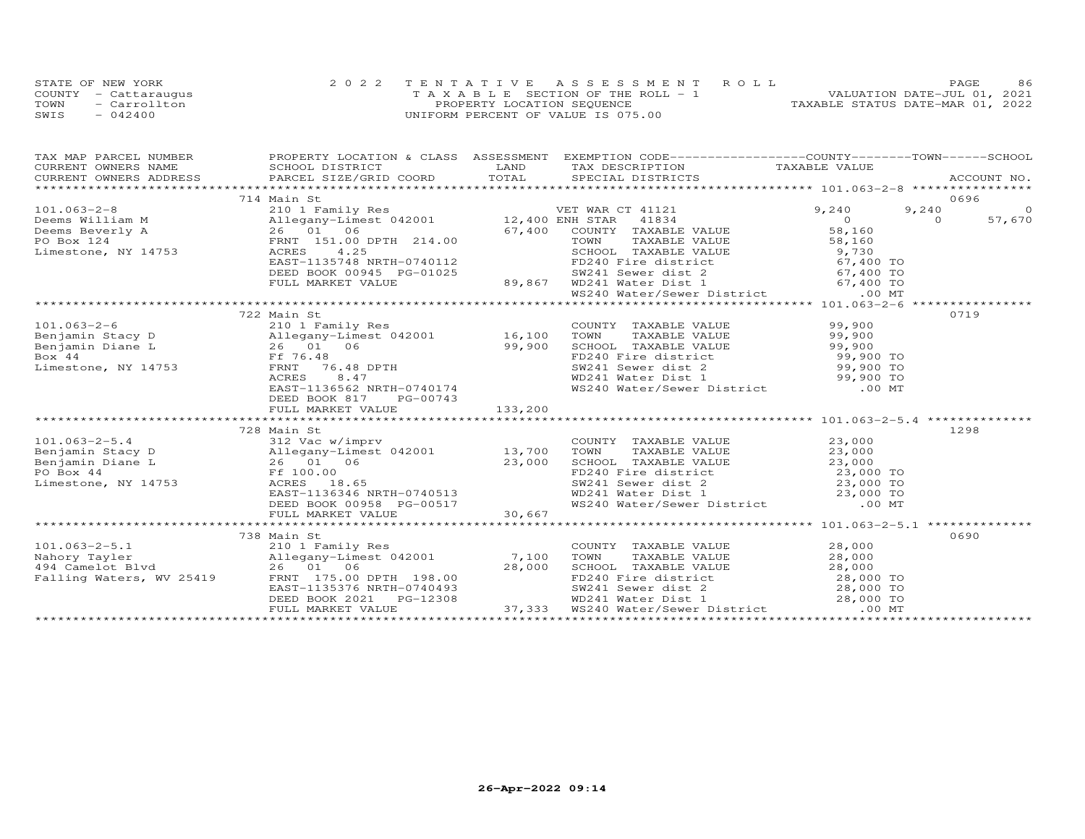| STATE OF NEW YORK    | 2022 TENTATIVE ASSESSMENT ROLL        | 86<br>PAGE.                      |
|----------------------|---------------------------------------|----------------------------------|
| COUNTY - Cattaraugus | T A X A B L E SECTION OF THE ROLL - 1 | VALUATION DATE-JUL 01, 2021      |
| TOWN<br>- Carrollton | PROPERTY LOCATION SEQUENCE            | TAXABLE STATUS DATE-MAR 01, 2022 |
| SWIS<br>$-042400$    | UNIFORM PERCENT OF VALUE IS 075.00    |                                  |

| TAX MAP PARCEL NUMBER |                                                                                                                                                                                                                                                      |        | PROPERTY LOCATION & CLASS ASSESSMENT EXEMPTION CODE----------------COUNTY-------TOWN------SCHOOL                                                                           |          |          |
|-----------------------|------------------------------------------------------------------------------------------------------------------------------------------------------------------------------------------------------------------------------------------------------|--------|----------------------------------------------------------------------------------------------------------------------------------------------------------------------------|----------|----------|
|                       |                                                                                                                                                                                                                                                      |        |                                                                                                                                                                            |          |          |
|                       |                                                                                                                                                                                                                                                      |        |                                                                                                                                                                            |          |          |
|                       | 714 Main St                                                                                                                                                                                                                                          |        |                                                                                                                                                                            |          | 0696     |
|                       | 101.063-2-8<br>Deems William M<br>Deems Beverly A<br>Deems Beverly A<br>26 01 06<br>PO Box 124<br>Limestone, NY 14753<br>EAST-1135748 NRTH-0740112<br>EAST-1135748 NRTH-0740112<br>EAST-1135748 NRTH-0740112<br>EAST-1135748 NRTH-0740112<br>PO Fire |        |                                                                                                                                                                            | 9,240    | $\Omega$ |
|                       |                                                                                                                                                                                                                                                      |        |                                                                                                                                                                            | $\sim$ 0 | 57,670   |
|                       |                                                                                                                                                                                                                                                      |        |                                                                                                                                                                            |          |          |
|                       |                                                                                                                                                                                                                                                      |        |                                                                                                                                                                            |          |          |
|                       |                                                                                                                                                                                                                                                      |        |                                                                                                                                                                            |          |          |
|                       |                                                                                                                                                                                                                                                      |        |                                                                                                                                                                            |          |          |
|                       |                                                                                                                                                                                                                                                      |        |                                                                                                                                                                            |          |          |
|                       |                                                                                                                                                                                                                                                      |        |                                                                                                                                                                            |          |          |
|                       |                                                                                                                                                                                                                                                      |        |                                                                                                                                                                            |          |          |
|                       |                                                                                                                                                                                                                                                      |        |                                                                                                                                                                            |          |          |
|                       | 722 Main St                                                                                                                                                                                                                                          |        |                                                                                                                                                                            |          | 0719     |
|                       | 101.063-2-6 210 1 Family Res<br>Benjamin Stacy D Allegany-Limest 042001 16,100<br>Benjamin Diane L 26 01 06 99,900<br>Box 44 Ff 76.48 DPTH<br>Limestone, NY 14753 FRNT 76.48 DPTH                                                                    |        | COUNTY TAXABLE VALUE 99,900                                                                                                                                                |          |          |
|                       |                                                                                                                                                                                                                                                      |        | TOWN                                                                                                                                                                       |          |          |
|                       |                                                                                                                                                                                                                                                      |        |                                                                                                                                                                            |          |          |
|                       |                                                                                                                                                                                                                                                      |        |                                                                                                                                                                            |          |          |
|                       |                                                                                                                                                                                                                                                      |        |                                                                                                                                                                            |          |          |
|                       |                                                                                                                                                                                                                                                      |        |                                                                                                                                                                            |          |          |
|                       | 26 01 06 99, 900<br>Ff 76.48<br>FRNT 76.48 DPTH<br>ACRES 8.47<br>EAST-1136562_NRTH-0740174                                                                                                                                                           |        | CONN TAXABLE VALUE<br>TOWN TAXABLE VALUE<br>SCHOOL TAXABLE VALUE<br>FD240 Fire district<br>SW241 Sewer dist 2<br>WD241 Water Dist 1<br>WS240 Water/Sewer District<br>00 MT |          |          |
|                       |                                                                                                                                                                                                                                                      |        |                                                                                                                                                                            |          |          |
|                       |                                                                                                                                                                                                                                                      |        |                                                                                                                                                                            |          |          |
|                       |                                                                                                                                                                                                                                                      |        |                                                                                                                                                                            |          |          |
|                       | 728 Main St                                                                                                                                                                                                                                          |        |                                                                                                                                                                            |          | 1298     |
|                       | 101.063-2-5.4 COUNTY<br>Benjamin Stacy D<br>Benjamin Diane L<br>26 01 06 23,000 SCHOOI<br>PO Box 44 Ff 100.00 Einestone, NY 14753 ACRES                                                                                                              |        | COUNTY TAXABLE VALUE<br>TOWN TAXABLE VALUE 23,000                                                                                                                          |          |          |
|                       |                                                                                                                                                                                                                                                      |        |                                                                                                                                                                            |          |          |
|                       | $\frac{23,000}{23,000}$                                                                                                                                                                                                                              |        |                                                                                                                                                                            |          |          |
|                       |                                                                                                                                                                                                                                                      |        |                                                                                                                                                                            |          |          |
|                       |                                                                                                                                                                                                                                                      |        | CHOOL TAXABLE VALUE<br>SCHOOL TAXABLE VALUE<br>FD240 Fire district<br>SW241 Sewer dist 2<br>WD241 Water Dist 1<br>WS240 Water/Sewer District<br>00 MT                      |          |          |
|                       | EAST-1136346 NRTH-0740513<br>DEED BOOK 00958 PG-00517<br>FULL MARKET VALUE 30,667                                                                                                                                                                    |        |                                                                                                                                                                            |          |          |
|                       | FULL MARKET VALUE                                                                                                                                                                                                                                    | 30,667 |                                                                                                                                                                            |          |          |
|                       |                                                                                                                                                                                                                                                      |        |                                                                                                                                                                            |          |          |
|                       | 738 Main St                                                                                                                                                                                                                                          |        |                                                                                                                                                                            |          | 0690     |
| $101.063 - 2 - 5.1$   | 210 1 Family Res                                                                                                                                                                                                                                     |        | COUNTY TAXABLE VALUE 28,000                                                                                                                                                |          |          |
|                       | Nahory Tayler<br>494 Camelot Blvd<br>494 Camelot Blvd<br>494 Camelot Blvd<br>494 Camelot Blvd<br>494 Camelot Blvd<br>494 Camelot Blvd<br>494 Camelot Blvd<br>494 Camelot Blvd<br>494 Camelot Blvd<br>495 Component 195.00 DPTH<br>498.00             |        |                                                                                                                                                                            |          |          |
|                       |                                                                                                                                                                                                                                                      |        |                                                                                                                                                                            |          |          |
|                       |                                                                                                                                                                                                                                                      |        |                                                                                                                                                                            |          |          |
|                       |                                                                                                                                                                                                                                                      |        |                                                                                                                                                                            |          |          |
|                       |                                                                                                                                                                                                                                                      |        |                                                                                                                                                                            |          |          |
|                       | VANDE VALUE<br>VALUE 28,000<br>VALUE 28,000<br>VALUE 28,000<br>VALUE 28,000<br>PRIT 175.00 DPTH 198.00<br>PEED BOOK 2021 PG-12308<br>PEED BOOK 2021 PG-12308<br>PEED BOOK 2021 PG-12308<br>PEED BOOK 2021 PG-12308<br>PEED BOOK 2021 PG-12308<br>PEE |        |                                                                                                                                                                            |          |          |
|                       |                                                                                                                                                                                                                                                      |        |                                                                                                                                                                            |          |          |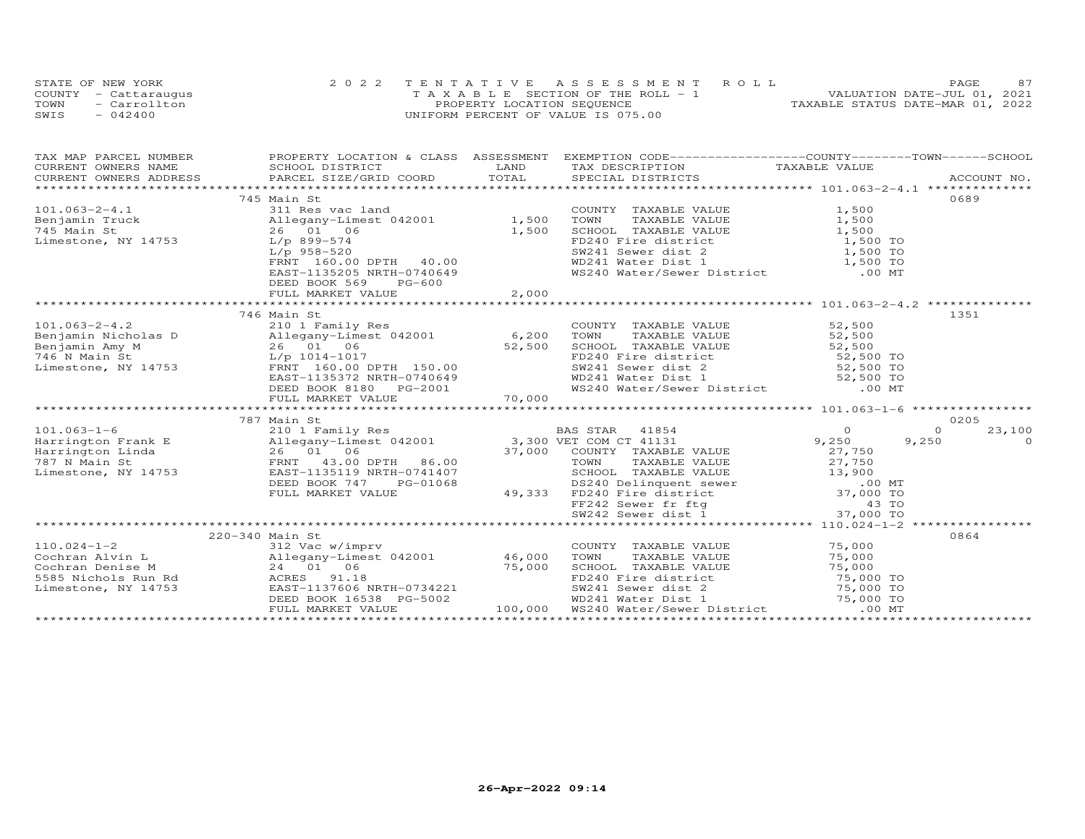|      | STATE OF NEW YORK    | 2022 TENTATIVE ASSESSMENT ROLL        | 87<br><b>PAGE</b>                |
|------|----------------------|---------------------------------------|----------------------------------|
|      | COUNTY - Cattaraugus | T A X A B L E SECTION OF THE ROLL - 1 | VALUATION DATE-JUL 01, 2021      |
| TOWN | - Carrollton         | PROPERTY LOCATION SEQUENCE            | TAXABLE STATUS DATE-MAR 01, 2022 |
| SWIS | $-042400$            | UNIFORM PERCENT OF VALUE IS 075.00    |                                  |

| TAX MAP PARCEL NUMBER |                                                                                                                                                                                                                                                                                                                                                                                                                        | PROPERTY LOCATION & CLASS ASSESSMENT EXEMPTION CODE----------------COUNTY-------TOWN------SCHOOL                                                                                                              |                    |
|-----------------------|------------------------------------------------------------------------------------------------------------------------------------------------------------------------------------------------------------------------------------------------------------------------------------------------------------------------------------------------------------------------------------------------------------------------|---------------------------------------------------------------------------------------------------------------------------------------------------------------------------------------------------------------|--------------------|
|                       |                                                                                                                                                                                                                                                                                                                                                                                                                        |                                                                                                                                                                                                               |                    |
|                       |                                                                                                                                                                                                                                                                                                                                                                                                                        |                                                                                                                                                                                                               |                    |
|                       |                                                                                                                                                                                                                                                                                                                                                                                                                        |                                                                                                                                                                                                               |                    |
|                       | 745 Main St                                                                                                                                                                                                                                                                                                                                                                                                            |                                                                                                                                                                                                               | 0689               |
|                       | 101.063-2-4.1<br>Benjamin Truck all Res vac land<br>745 Main St<br>26 01 06 1,500<br>Limestone, NY 14753 $L/p$ 958-520<br>$L(p)$ 958-520<br>FRNT 160.00 DPTH 40.00<br>EAST -133205 NRTH-0740649<br>FRNT 160.00 DPTH 40.00<br>EAST -133205 NRTH-07                                                                                                                                                                      | COUNTY TAXABLE VALUE 1,500                                                                                                                                                                                    |                    |
|                       |                                                                                                                                                                                                                                                                                                                                                                                                                        | COWN TAXABLE VALUE<br>TOWN TAXABLE VALUE<br>SCHOOL TAXABLE VALUE<br>TOWN TAXABLE VALUE<br>SCHOOL TAXABLE VALUE<br>1,500 TO<br>FD241 Sever dist 1<br>WD241 Water Dist 1<br>WS240 Water/Sewer District<br>00 MT |                    |
|                       |                                                                                                                                                                                                                                                                                                                                                                                                                        |                                                                                                                                                                                                               |                    |
|                       |                                                                                                                                                                                                                                                                                                                                                                                                                        |                                                                                                                                                                                                               |                    |
|                       |                                                                                                                                                                                                                                                                                                                                                                                                                        |                                                                                                                                                                                                               |                    |
|                       |                                                                                                                                                                                                                                                                                                                                                                                                                        |                                                                                                                                                                                                               |                    |
|                       |                                                                                                                                                                                                                                                                                                                                                                                                                        |                                                                                                                                                                                                               |                    |
|                       | DEED BOOK 569<br>PG-600                                                                                                                                                                                                                                                                                                                                                                                                |                                                                                                                                                                                                               |                    |
|                       |                                                                                                                                                                                                                                                                                                                                                                                                                        |                                                                                                                                                                                                               |                    |
|                       |                                                                                                                                                                                                                                                                                                                                                                                                                        |                                                                                                                                                                                                               |                    |
|                       | 746 Main St                                                                                                                                                                                                                                                                                                                                                                                                            |                                                                                                                                                                                                               | 1351               |
|                       |                                                                                                                                                                                                                                                                                                                                                                                                                        | COUNTY TAXABLE VALUE 52,500<br>TAXABLE VALUE 52,500                                                                                                                                                           |                    |
|                       |                                                                                                                                                                                                                                                                                                                                                                                                                        | TOWN                                                                                                                                                                                                          |                    |
|                       |                                                                                                                                                                                                                                                                                                                                                                                                                        |                                                                                                                                                                                                               |                    |
|                       | 101.063-2-4.2<br>Benjamin Nicholas D<br>Benjamin Amy M<br>26 01 06 52,500<br>746 N Main St<br>Limestone, NY 14753<br>$\begin{array}{ccc}\n & 140 \text{ Pauli} & \text{Family Res} \\  & 2101 & \text{Family Res} \\  & 160.10 & 6\n\end{array}$ 8,200<br>746 N Main St<br>Limestone, NY 14753<br>FRNT 160.                                                                                                            | EXERIGAL TAXABLE VALUE<br>SCHOOL TAXABLE VALUE<br>FD240 Fire district<br>SV241 Sewer dist 2 52,500 TO<br>WD241 Water Dist 1 52,500 TO<br>WS240 Water/Sewer District 00 MT                                     |                    |
|                       |                                                                                                                                                                                                                                                                                                                                                                                                                        |                                                                                                                                                                                                               |                    |
|                       |                                                                                                                                                                                                                                                                                                                                                                                                                        |                                                                                                                                                                                                               |                    |
|                       | EAST-1135372 NRTH-0740649<br>DEED BOOK 8180 PG-2001<br>FULL MARKET VALUE 70,000                                                                                                                                                                                                                                                                                                                                        |                                                                                                                                                                                                               |                    |
|                       |                                                                                                                                                                                                                                                                                                                                                                                                                        |                                                                                                                                                                                                               |                    |
|                       | 787 Main St                                                                                                                                                                                                                                                                                                                                                                                                            |                                                                                                                                                                                                               | 0205               |
|                       |                                                                                                                                                                                                                                                                                                                                                                                                                        |                                                                                                                                                                                                               | 23,100<br>$\Omega$ |
|                       |                                                                                                                                                                                                                                                                                                                                                                                                                        |                                                                                                                                                                                                               | 9,250<br>$\Omega$  |
|                       |                                                                                                                                                                                                                                                                                                                                                                                                                        |                                                                                                                                                                                                               |                    |
|                       |                                                                                                                                                                                                                                                                                                                                                                                                                        |                                                                                                                                                                                                               |                    |
|                       |                                                                                                                                                                                                                                                                                                                                                                                                                        |                                                                                                                                                                                                               |                    |
|                       |                                                                                                                                                                                                                                                                                                                                                                                                                        |                                                                                                                                                                                                               |                    |
|                       |                                                                                                                                                                                                                                                                                                                                                                                                                        |                                                                                                                                                                                                               |                    |
|                       |                                                                                                                                                                                                                                                                                                                                                                                                                        |                                                                                                                                                                                                               |                    |
|                       |                                                                                                                                                                                                                                                                                                                                                                                                                        |                                                                                                                                                                                                               |                    |
|                       |                                                                                                                                                                                                                                                                                                                                                                                                                        |                                                                                                                                                                                                               |                    |
|                       | 220-340 Main St                                                                                                                                                                                                                                                                                                                                                                                                        |                                                                                                                                                                                                               | 0864               |
|                       |                                                                                                                                                                                                                                                                                                                                                                                                                        |                                                                                                                                                                                                               |                    |
|                       |                                                                                                                                                                                                                                                                                                                                                                                                                        |                                                                                                                                                                                                               |                    |
|                       |                                                                                                                                                                                                                                                                                                                                                                                                                        |                                                                                                                                                                                                               |                    |
|                       |                                                                                                                                                                                                                                                                                                                                                                                                                        |                                                                                                                                                                                                               |                    |
|                       |                                                                                                                                                                                                                                                                                                                                                                                                                        |                                                                                                                                                                                                               |                    |
|                       |                                                                                                                                                                                                                                                                                                                                                                                                                        |                                                                                                                                                                                                               |                    |
|                       | $\begin{tabular}{lllllllllllllllllllll} \multicolumn{3}{l}{{10.024-1-2}}&{\text{220-340 Man} &{\text{SL} &{\text{312 Vec W/imprv}}} &{\text{COUNTY} & \text{TAXABLE VALUE} & \text{75,000} \\ \multicolumn{3}{l}{\text{Cochran Alvin L}} &{\text{312 Vec W/imprv}} &{\text{24 01 06}} &{\text{2585 N.000}} &{\text{260.000~\text{Cochran Denis}} &{\text{275,000~\text{Cochran Denis}} &{\text{28.000~\text{Cochran D$ |                                                                                                                                                                                                               |                    |
|                       |                                                                                                                                                                                                                                                                                                                                                                                                                        |                                                                                                                                                                                                               |                    |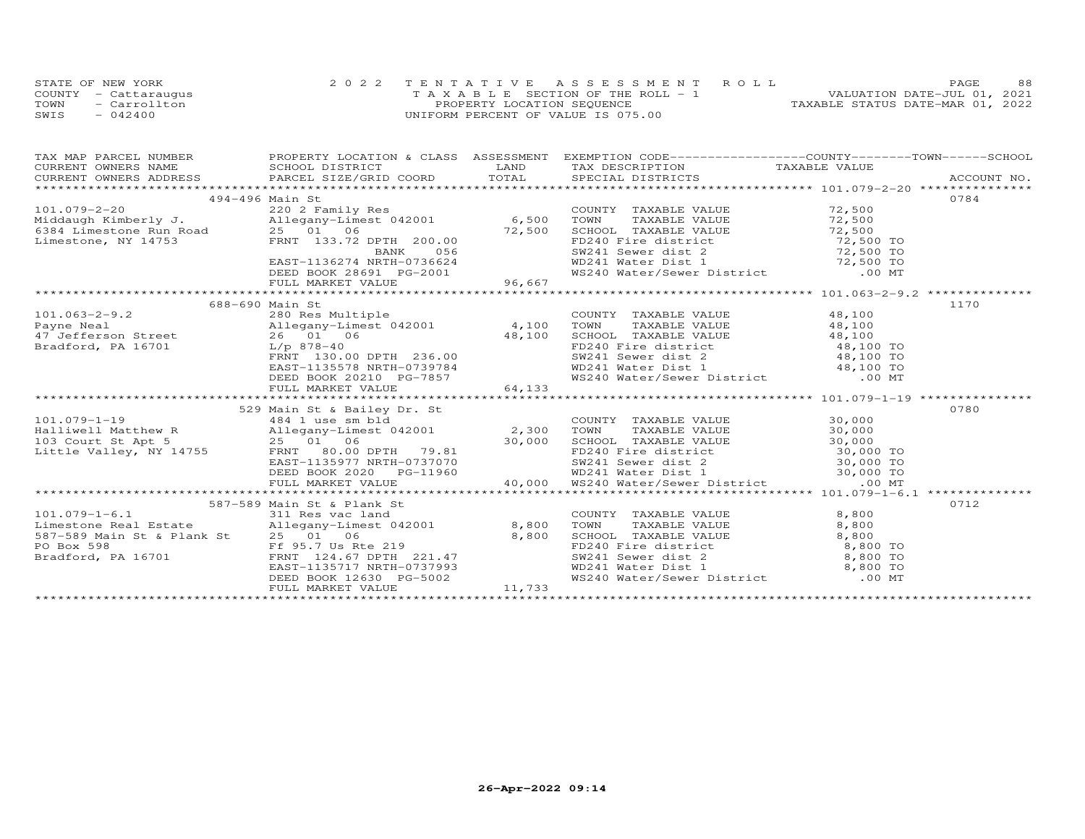| STATE OF NEW YORK    | 2022 TENTATIVE ASSESSMENT ROLL        | 88<br>PAGE.                      |
|----------------------|---------------------------------------|----------------------------------|
| COUNTY - Cattaraugus | T A X A B L E SECTION OF THE ROLL - 1 | VALUATION DATE-JUL 01, 2021      |
| TOWN<br>- Carrollton | PROPERTY LOCATION SEQUENCE            | TAXABLE STATUS DATE-MAR 01, 2022 |
| SWIS<br>$-042400$    | UNIFORM PERCENT OF VALUE IS 075.00    |                                  |

|                                                                                                                                                                                                                                                  | 494-496 Main St                                                                  |                                                                                                                                                                                                                                                                                                                                       |       | 0784 |
|--------------------------------------------------------------------------------------------------------------------------------------------------------------------------------------------------------------------------------------------------|----------------------------------------------------------------------------------|---------------------------------------------------------------------------------------------------------------------------------------------------------------------------------------------------------------------------------------------------------------------------------------------------------------------------------------|-------|------|
| 101.079-2-20<br>Middaugh Kimberly J. (101.079-2-20<br>Middaugh Kimberly J. (1994-496 Milegany-Limest 042001 6,500 TOWN TAXABLE VALUE 72,500<br>6384 Limestone Run Road 25 01 06<br>Limestone, NY 14753 FRNT 133.72 DPTH 200.00<br>EAST-1         |                                                                                  |                                                                                                                                                                                                                                                                                                                                       |       |      |
|                                                                                                                                                                                                                                                  |                                                                                  |                                                                                                                                                                                                                                                                                                                                       |       |      |
|                                                                                                                                                                                                                                                  |                                                                                  |                                                                                                                                                                                                                                                                                                                                       |       |      |
|                                                                                                                                                                                                                                                  |                                                                                  |                                                                                                                                                                                                                                                                                                                                       |       |      |
|                                                                                                                                                                                                                                                  |                                                                                  |                                                                                                                                                                                                                                                                                                                                       |       |      |
|                                                                                                                                                                                                                                                  |                                                                                  |                                                                                                                                                                                                                                                                                                                                       |       |      |
|                                                                                                                                                                                                                                                  |                                                                                  |                                                                                                                                                                                                                                                                                                                                       |       |      |
|                                                                                                                                                                                                                                                  |                                                                                  |                                                                                                                                                                                                                                                                                                                                       |       |      |
|                                                                                                                                                                                                                                                  |                                                                                  |                                                                                                                                                                                                                                                                                                                                       |       |      |
|                                                                                                                                                                                                                                                  | 688-690 Main St                                                                  |                                                                                                                                                                                                                                                                                                                                       |       | 1170 |
| 088-090 Main St<br>280 Rayne Neal<br>280 Res Multiple<br>26 01 06<br>26 01 06<br>26 01 06<br>26 01 06<br>278-40<br>236.00<br>236.00<br>278-40<br>236.00<br>278-40<br>278-40<br>278-20<br>278-40<br>278-20<br>278-40                              |                                                                                  |                                                                                                                                                                                                                                                                                                                                       |       |      |
|                                                                                                                                                                                                                                                  |                                                                                  |                                                                                                                                                                                                                                                                                                                                       |       |      |
|                                                                                                                                                                                                                                                  |                                                                                  |                                                                                                                                                                                                                                                                                                                                       |       |      |
|                                                                                                                                                                                                                                                  |                                                                                  |                                                                                                                                                                                                                                                                                                                                       |       |      |
|                                                                                                                                                                                                                                                  |                                                                                  |                                                                                                                                                                                                                                                                                                                                       |       |      |
|                                                                                                                                                                                                                                                  |                                                                                  |                                                                                                                                                                                                                                                                                                                                       |       |      |
|                                                                                                                                                                                                                                                  | EAST-1135578 NRTH-0739784<br>DEED BOOK 20210 PG-7857<br>FULL MARKET VALUE 64,133 | COUNTY TAXABLE VALUE $\begin{array}{cccc} 48,100 \\ \text{TOWN} & \text{TAXABLE VALUE} & 48,100 \\ \text{SCHOOL} & \text{TAXABLE VALUE} & 48,100 \\ \text{FD240 Fire distinct} & 48,100 \\ \text{SW241 Seven distinct} & 48,100 \\ \text{WD241 Water Dist 1} & 48,100 T0 \\ \text{WS240 Water/Sewer District} & 00 MT \\ \end{array}$ |       |      |
|                                                                                                                                                                                                                                                  |                                                                                  |                                                                                                                                                                                                                                                                                                                                       |       |      |
|                                                                                                                                                                                                                                                  |                                                                                  |                                                                                                                                                                                                                                                                                                                                       |       |      |
|                                                                                                                                                                                                                                                  |                                                                                  |                                                                                                                                                                                                                                                                                                                                       |       |      |
|                                                                                                                                                                                                                                                  |                                                                                  |                                                                                                                                                                                                                                                                                                                                       |       |      |
|                                                                                                                                                                                                                                                  |                                                                                  |                                                                                                                                                                                                                                                                                                                                       |       |      |
|                                                                                                                                                                                                                                                  |                                                                                  |                                                                                                                                                                                                                                                                                                                                       |       |      |
|                                                                                                                                                                                                                                                  |                                                                                  |                                                                                                                                                                                                                                                                                                                                       |       |      |
|                                                                                                                                                                                                                                                  |                                                                                  |                                                                                                                                                                                                                                                                                                                                       |       |      |
|                                                                                                                                                                                                                                                  |                                                                                  |                                                                                                                                                                                                                                                                                                                                       |       |      |
|                                                                                                                                                                                                                                                  |                                                                                  |                                                                                                                                                                                                                                                                                                                                       |       |      |
| 329 Main St & Bailey Dr. St<br>329 Main St & Bailey Dr. St<br>30,000 TOWN TAXABLE VALUE<br>101.079-1-19<br>103 Court St Apt 5<br>25 01 06 DERNI 79.81<br>27.00 DERNI 79.81<br>27.00 SCHOOL TAXABLE VALUE<br>27.00 SCHOL TAXABLE VALUE<br>27.00 S |                                                                                  |                                                                                                                                                                                                                                                                                                                                       |       |      |
| 587-589 Main St & Plank St<br>101.079-1-6.1 311 Res vac land COUNT<br>Limestone Real Estate Allegany-Limest 042001 8,800 TOWN                                                                                                                    | 587-589 Main St & Plank St                                                       |                                                                                                                                                                                                                                                                                                                                       |       | 0712 |
|                                                                                                                                                                                                                                                  |                                                                                  | COUNTY TAXABLE VALUE 8,800                                                                                                                                                                                                                                                                                                            |       |      |
|                                                                                                                                                                                                                                                  |                                                                                  | TAXABLE VALUE                                                                                                                                                                                                                                                                                                                         | 8,800 |      |
|                                                                                                                                                                                                                                                  |                                                                                  |                                                                                                                                                                                                                                                                                                                                       |       |      |
|                                                                                                                                                                                                                                                  |                                                                                  |                                                                                                                                                                                                                                                                                                                                       |       |      |
|                                                                                                                                                                                                                                                  |                                                                                  |                                                                                                                                                                                                                                                                                                                                       |       |      |
| 587–589 Main St & Plank St 25 01 06 8,800<br>PO Box 598 Ff 95.7 Us Rte 219<br>Bradford, PA 16701 EAST-1135717 NRTH-0737993                                                                                                                       |                                                                                  |                                                                                                                                                                                                                                                                                                                                       |       |      |
|                                                                                                                                                                                                                                                  | DEED BOOK 12630 PG-5002<br>FULL MARKET VALUE 11,733                              | CHOOL TAXABLE VALUE<br>SCHOOL TAXABLE VALUE<br>FD240 Fire district<br>SW241 Sewer dist 2 8,800 TO<br>WD241 Water Dist 1 8,800 TO<br>WS240 Water/Sewer District .00 MT                                                                                                                                                                 |       |      |
|                                                                                                                                                                                                                                                  |                                                                                  |                                                                                                                                                                                                                                                                                                                                       |       |      |
|                                                                                                                                                                                                                                                  |                                                                                  |                                                                                                                                                                                                                                                                                                                                       |       |      |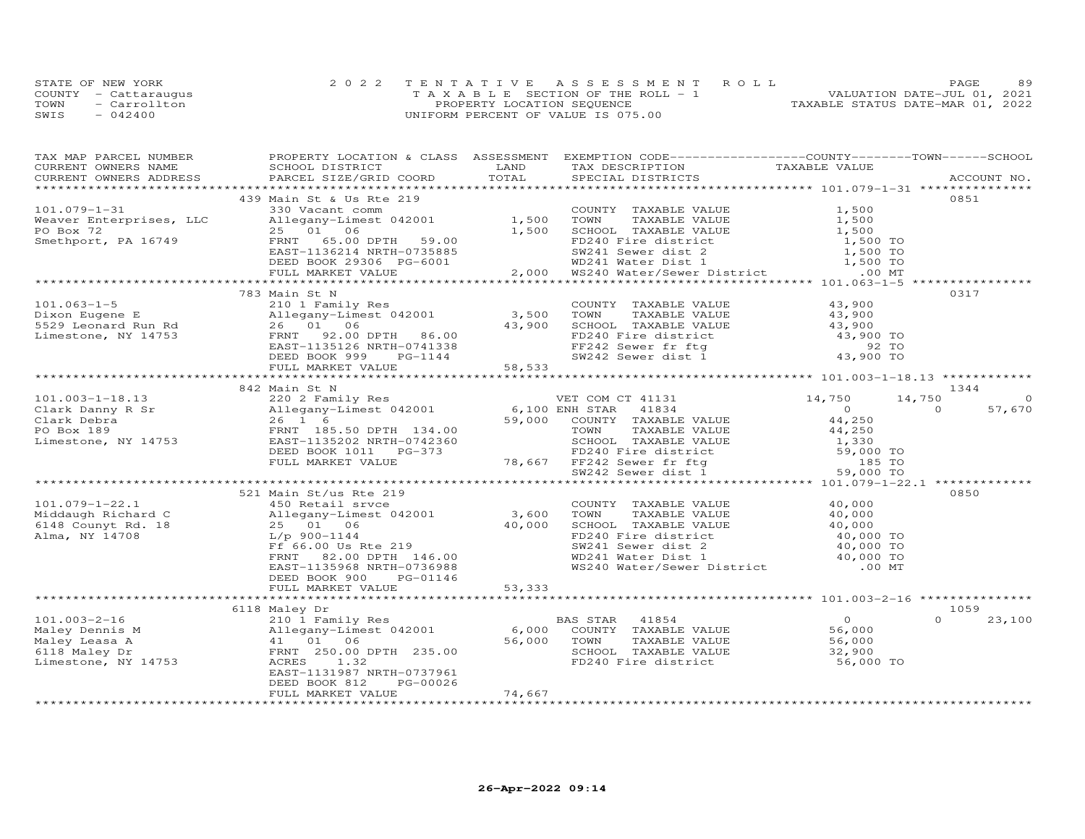|      | STATE OF NEW YORK    | 2022 TENTATIVE ASSESSMENT ROLL        | 89<br><b>PAGE</b>                |
|------|----------------------|---------------------------------------|----------------------------------|
|      | COUNTY - Cattaraugus | T A X A B L E SECTION OF THE ROLL - 1 | VALUATION DATE-JUL 01, 2021      |
| TOWN | $=$ Carrollton       | PROPERTY LOCATION SEQUENCE            | TAXABLE STATUS DATE-MAR 01, 2022 |
| SWIS | $-042400$            | UNIFORM PERCENT OF VALUE IS 075.00    |                                  |

| TAX MAP PARCEL NUMBER | PROPERTY LOCATION & CLASS ASSESSMENT EXEMPTION CODE----------------COUNTY-------TOWN------SCHOOL<br><b>EXAMPLE SERVICE SERVICE SERVICE SERVICE SERVICE SERVICE SERVICE SERVICE SERVICE SERVICE SERVICE SERVICE SERVICE</b>                             |        |                                                                                                                                                                                                                                                    |                                                  |                          |
|-----------------------|--------------------------------------------------------------------------------------------------------------------------------------------------------------------------------------------------------------------------------------------------------|--------|----------------------------------------------------------------------------------------------------------------------------------------------------------------------------------------------------------------------------------------------------|--------------------------------------------------|--------------------------|
|                       |                                                                                                                                                                                                                                                        |        | LAND TAX DESCRIPTION TAXABLE VALUE TOTAL SPECIAL DISTRICTS                                                                                                                                                                                         |                                                  | ACCOUNT NO.              |
|                       |                                                                                                                                                                                                                                                        |        |                                                                                                                                                                                                                                                    |                                                  |                          |
|                       | 439 Main St & Us Rte 219                                                                                                                                                                                                                               |        |                                                                                                                                                                                                                                                    |                                                  | 0851                     |
|                       |                                                                                                                                                                                                                                                        |        | COUNTY TAXABLE VALUE                                                                                                                                                                                                                               | 1,500                                            |                          |
|                       |                                                                                                                                                                                                                                                        |        | TOWN                                                                                                                                                                                                                                               | TAXABLE VALUE 1,500                              |                          |
|                       |                                                                                                                                                                                                                                                        |        | 1,500 SCHOOL TAXABLE VALUE<br>1,500 SCHOOL TAXABLE VALUE<br>FD240 Fire district<br>SW241 Sewer dist 2<br>MD241 Water District<br>2,000 MS240 Water/Sewer District<br>2,000 MS240 Water/Sewer District                                              |                                                  |                          |
|                       |                                                                                                                                                                                                                                                        |        |                                                                                                                                                                                                                                                    |                                                  |                          |
|                       |                                                                                                                                                                                                                                                        |        |                                                                                                                                                                                                                                                    |                                                  |                          |
|                       |                                                                                                                                                                                                                                                        |        |                                                                                                                                                                                                                                                    |                                                  |                          |
|                       | 101.079-1-31<br>Weaver Enterprises, LLC<br>PO Box 72<br>Smethport, PA 16749<br>PO Box 72<br>Smethport, PA 16749<br>PO BOX 72<br>PO FRNT 65.00 DPTH 59.00<br>ERST-1136214 NRTH-0735885<br>DEED BOOK 29306 PG-6001<br>PULL MARKET VALUE<br>PULL MARKET   |        |                                                                                                                                                                                                                                                    |                                                  |                          |
|                       |                                                                                                                                                                                                                                                        |        |                                                                                                                                                                                                                                                    |                                                  | 0317                     |
|                       |                                                                                                                                                                                                                                                        |        |                                                                                                                                                                                                                                                    |                                                  |                          |
|                       |                                                                                                                                                                                                                                                        |        |                                                                                                                                                                                                                                                    |                                                  |                          |
|                       |                                                                                                                                                                                                                                                        |        |                                                                                                                                                                                                                                                    |                                                  |                          |
|                       |                                                                                                                                                                                                                                                        |        |                                                                                                                                                                                                                                                    |                                                  |                          |
|                       |                                                                                                                                                                                                                                                        |        |                                                                                                                                                                                                                                                    |                                                  |                          |
|                       |                                                                                                                                                                                                                                                        |        |                                                                                                                                                                                                                                                    |                                                  |                          |
|                       |                                                                                                                                                                                                                                                        |        |                                                                                                                                                                                                                                                    |                                                  |                          |
|                       |                                                                                                                                                                                                                                                        |        |                                                                                                                                                                                                                                                    |                                                  |                          |
|                       | 842 Main St N                                                                                                                                                                                                                                          |        |                                                                                                                                                                                                                                                    |                                                  | 1344                     |
|                       |                                                                                                                                                                                                                                                        |        |                                                                                                                                                                                                                                                    |                                                  | 14,750<br>$\circ$        |
|                       |                                                                                                                                                                                                                                                        |        |                                                                                                                                                                                                                                                    |                                                  | 57,670<br>$\overline{a}$ |
|                       |                                                                                                                                                                                                                                                        |        |                                                                                                                                                                                                                                                    |                                                  |                          |
|                       |                                                                                                                                                                                                                                                        |        |                                                                                                                                                                                                                                                    |                                                  |                          |
|                       |                                                                                                                                                                                                                                                        |        |                                                                                                                                                                                                                                                    |                                                  |                          |
|                       |                                                                                                                                                                                                                                                        |        |                                                                                                                                                                                                                                                    |                                                  |                          |
|                       |                                                                                                                                                                                                                                                        |        |                                                                                                                                                                                                                                                    |                                                  |                          |
|                       |                                                                                                                                                                                                                                                        |        |                                                                                                                                                                                                                                                    |                                                  |                          |
|                       |                                                                                                                                                                                                                                                        |        |                                                                                                                                                                                                                                                    |                                                  |                          |
|                       | 521 Main St/us Rte 219                                                                                                                                                                                                                                 |        |                                                                                                                                                                                                                                                    |                                                  | 0850                     |
|                       |                                                                                                                                                                                                                                                        |        | COUNTY TAXABLE VALUE 40,000                                                                                                                                                                                                                        |                                                  |                          |
|                       |                                                                                                                                                                                                                                                        |        |                                                                                                                                                                                                                                                    |                                                  |                          |
|                       |                                                                                                                                                                                                                                                        |        |                                                                                                                                                                                                                                                    |                                                  |                          |
|                       |                                                                                                                                                                                                                                                        |        |                                                                                                                                                                                                                                                    |                                                  |                          |
|                       |                                                                                                                                                                                                                                                        |        |                                                                                                                                                                                                                                                    |                                                  |                          |
|                       |                                                                                                                                                                                                                                                        |        |                                                                                                                                                                                                                                                    |                                                  |                          |
|                       | 101.079-1-22.1<br>Middaugh Richard C<br>6148 Counyt Rd. 18<br>Mina, NY 14708<br>Alma, NY 14708<br>COUNTER CONTECT SAST-1135968<br>Mina, NY 14708<br>COUNTER S2.00 DPTH 146.00<br>EAST-1135968<br>EAST-1135968<br>EAST-1135968<br>EAST-1135968<br>EAST- |        | COUNTY TAXABLE VALUE<br>TOWN TAXABLE VALUE<br>SCHOOL TAXABLE VALUE<br>FD240 Fire district<br>SW241 Sewer dist 2<br>WD241 Water Dist 1<br>WS240 Water/Sewer District<br>COUNTY 10,000 TO<br>COUNTY 10,000 TO<br>COUNTY 10,000 TO<br>COUNTY 10,000 T |                                                  |                          |
|                       | DEED BOOK 900 PG-01146<br>FULL MARKET VALUE 53,333                                                                                                                                                                                                     |        |                                                                                                                                                                                                                                                    |                                                  |                          |
|                       |                                                                                                                                                                                                                                                        |        |                                                                                                                                                                                                                                                    |                                                  |                          |
|                       | 6118 Maley Dr                                                                                                                                                                                                                                          |        |                                                                                                                                                                                                                                                    |                                                  | 1059                     |
|                       |                                                                                                                                                                                                                                                        |        |                                                                                                                                                                                                                                                    |                                                  | $\Omega$<br>23,100       |
|                       |                                                                                                                                                                                                                                                        |        |                                                                                                                                                                                                                                                    | $\begin{array}{c}0\\56,000\end{array}$<br>56,000 |                          |
|                       |                                                                                                                                                                                                                                                        |        |                                                                                                                                                                                                                                                    |                                                  |                          |
|                       |                                                                                                                                                                                                                                                        |        |                                                                                                                                                                                                                                                    |                                                  |                          |
|                       | 101.003-2-16<br>Maley Dennis M (110 alo 1 Family Res BAS STAR 41854<br>Maley Dennis M (101 06<br>Maley Leasa A 41 01 06<br>FRNT 250.00 DPTH 235.00<br>EAST-1131987 NRTH-0737961<br>EAST-1131987 NRTH-0737961<br>EAST-1131987 NRTH-0737961              |        | SCHOOL TAXABLE VALUE 32,900<br>FD240 Fire district 56,000 TO                                                                                                                                                                                       |                                                  |                          |
|                       |                                                                                                                                                                                                                                                        |        |                                                                                                                                                                                                                                                    |                                                  |                          |
|                       | PG-00026<br>DEED BOOK 812                                                                                                                                                                                                                              |        |                                                                                                                                                                                                                                                    |                                                  |                          |
|                       | FULL MARKET VALUE                                                                                                                                                                                                                                      | 74,667 |                                                                                                                                                                                                                                                    |                                                  |                          |
|                       |                                                                                                                                                                                                                                                        |        |                                                                                                                                                                                                                                                    |                                                  |                          |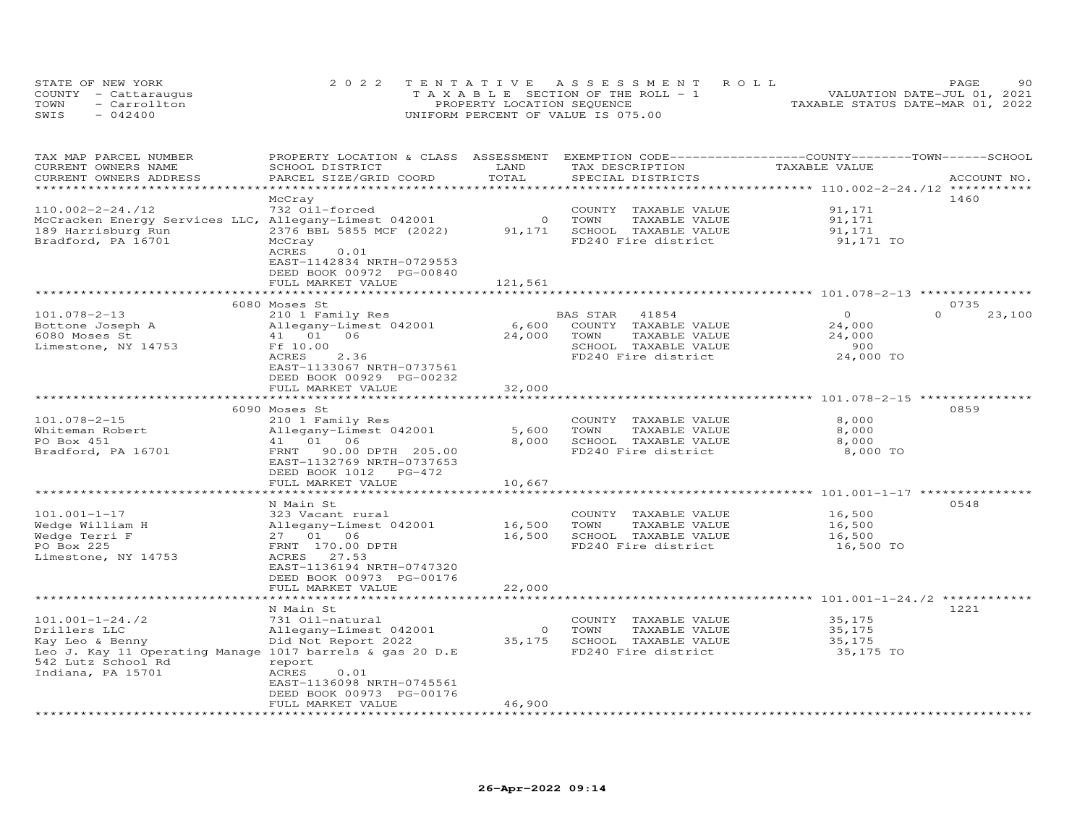| STATE OF NEW YORK |                      | 2022 TENTATIVE ASSESSMENT ROLL        | 90<br>PAGE.                      |
|-------------------|----------------------|---------------------------------------|----------------------------------|
|                   | COUNTY - Cattaraugus | T A X A B L E SECTION OF THE ROLL - 1 | VALUATION DATE-JUL 01, 2021      |
| TOWN              | - Carrollton         | PROPERTY LOCATION SEQUENCE            | TAXABLE STATUS DATE-MAR 01, 2022 |
| SWIS              | $-042400$            | UNIFORM PERCENT OF VALUE IS 075.00    |                                  |

| TAX MAP PARCEL NUMBER<br>CURRENT OWNERS NAME             | PROPERTY LOCATION & CLASS<br>SCHOOL DISTRICT                           | ASSESSMENT<br>LAND | TAX DESCRIPTION         | EXEMPTION CODE-----------------COUNTY-------TOWN-----SCHOOL<br>TAXABLE VALUE |             |
|----------------------------------------------------------|------------------------------------------------------------------------|--------------------|-------------------------|------------------------------------------------------------------------------|-------------|
| CURRENT OWNERS ADDRESS                                   | PARCEL SIZE/GRID COORD                                                 | TOTAL              | SPECIAL DISTRICTS       |                                                                              | ACCOUNT NO. |
|                                                          |                                                                        | **********         |                         | ********************** 110.002-2-24./12 ***********                          |             |
|                                                          | McCray                                                                 |                    |                         |                                                                              | 1460        |
| $110.002 - 2 - 24.712$                                   | 732 Oil-forced                                                         |                    | TAXABLE VALUE<br>COUNTY | 91,171                                                                       |             |
| McCracken Energy Services LLC, Allegany-Limest 042001    |                                                                        | $\circ$            | TOWN<br>TAXABLE VALUE   | 91,171                                                                       |             |
| 189 Harrisburg Run                                       | 2376 BBL 5855 MCF (2022)                                               | 91,171             | SCHOOL TAXABLE VALUE    | 91,171                                                                       |             |
| Bradford, PA 16701                                       | McCray                                                                 |                    | FD240 Fire district     | 91,171 TO                                                                    |             |
|                                                          | ACRES<br>0.01<br>EAST-1142834 NRTH-0729553<br>DEED BOOK 00972 PG-00840 |                    |                         |                                                                              |             |
|                                                          | FULL MARKET VALUE                                                      | 121,561            |                         |                                                                              |             |
|                                                          | ***********************                                                |                    |                         |                                                                              |             |
|                                                          | 6080 Moses St                                                          |                    |                         |                                                                              | 0735        |
| $101.078 - 2 - 13$                                       | 210 1 Family Res                                                       |                    | BAS STAR<br>41854       | $\Omega$<br>$\Omega$                                                         | 23,100      |
| Bottone Joseph A                                         | Allegany-Limest 042001                                                 | 6,600              | COUNTY TAXABLE VALUE    | 24,000                                                                       |             |
| 6080 Moses St                                            | 41 01<br>06                                                            | 24,000             | TOWN<br>TAXABLE VALUE   | 24,000                                                                       |             |
|                                                          |                                                                        |                    |                         | 900                                                                          |             |
| Limestone, NY 14753                                      | Ff 10.00                                                               |                    | SCHOOL TAXABLE VALUE    |                                                                              |             |
|                                                          | ACRES<br>2.36                                                          |                    | FD240 Fire district     | 24,000 TO                                                                    |             |
|                                                          | EAST-1133067 NRTH-0737561                                              |                    |                         |                                                                              |             |
|                                                          | DEED BOOK 00929 PG-00232                                               |                    |                         |                                                                              |             |
|                                                          | FULL MARKET VALUE                                                      | 32,000             |                         |                                                                              |             |
|                                                          |                                                                        |                    |                         |                                                                              |             |
|                                                          | 6090 Moses St                                                          |                    |                         |                                                                              | 0859        |
| $101.078 - 2 - 15$                                       | 210 1 Family Res                                                       |                    | COUNTY TAXABLE VALUE    | 8,000                                                                        |             |
| Whiteman Robert                                          | Allegany-Limest 042001                                                 | 5,600              | TOWN<br>TAXABLE VALUE   | 8,000                                                                        |             |
| PO Box 451                                               | 41 01 06                                                               | 8,000              | SCHOOL TAXABLE VALUE    | 8,000                                                                        |             |
| Bradford, PA 16701                                       | FRNT 90.00 DPTH 205.00                                                 |                    | FD240 Fire district     | 8,000 TO                                                                     |             |
|                                                          | EAST-1132769 NRTH-0737653                                              |                    |                         |                                                                              |             |
|                                                          | DEED BOOK 1012<br>PG-472                                               |                    |                         |                                                                              |             |
|                                                          | FULL MARKET VALUE                                                      | 10,667             |                         |                                                                              |             |
|                                                          |                                                                        | * * * * * * * *    |                         | ******************* 101.001-1-17 ***************                             |             |
|                                                          | N Main St                                                              |                    |                         |                                                                              | 0548        |
| $101.001 - 1 - 17$                                       | 323 Vacant rural                                                       |                    | COUNTY TAXABLE VALUE    | 16,500                                                                       |             |
| Wedge William H                                          | Allegany-Limest 042001                                                 | 16,500             | TOWN<br>TAXABLE VALUE   | 16,500                                                                       |             |
| Wedge Terri F                                            | 27 01 06                                                               | 16,500             | SCHOOL TAXABLE VALUE    | 16,500                                                                       |             |
| PO Box 225                                               | FRNT 170.00 DPTH                                                       |                    | FD240 Fire district     | 16,500 TO                                                                    |             |
| Limestone, NY 14753                                      | 27.53<br>ACRES                                                         |                    |                         |                                                                              |             |
|                                                          | EAST-1136194 NRTH-0747320                                              |                    |                         |                                                                              |             |
|                                                          | DEED BOOK 00973 PG-00176                                               |                    |                         |                                                                              |             |
|                                                          |                                                                        |                    |                         |                                                                              |             |
|                                                          | FULL MARKET VALUE                                                      | 22,000             |                         |                                                                              |             |
|                                                          |                                                                        |                    |                         | ******************** 101.001-1-24./2 *******                                 |             |
|                                                          | N Main St                                                              |                    |                         |                                                                              | 1221        |
| $101.001 - 1 - 24.72$                                    | 731 Oil-natural                                                        |                    | COUNTY TAXABLE VALUE    | 35,175                                                                       |             |
| Drillers LLC                                             | Allegany-Limest 042001                                                 | $\circ$            | TOWN<br>TAXABLE VALUE   | 35,175                                                                       |             |
| Kay Leo & Benny                                          | Did Not Report 2022                                                    | 35,175             | SCHOOL TAXABLE VALUE    | 35,175                                                                       |             |
| Leo J. Kay 11 Operating Manage 1017 barrels & gas 20 D.E |                                                                        |                    | FD240 Fire district     | 35,175 TO                                                                    |             |
| 542 Lutz School Rd                                       | report                                                                 |                    |                         |                                                                              |             |
| Indiana, PA 15701                                        | ACRES<br>0.01                                                          |                    |                         |                                                                              |             |
|                                                          | EAST-1136098 NRTH-0745561                                              |                    |                         |                                                                              |             |
|                                                          | DEED BOOK 00973 PG-00176                                               |                    |                         |                                                                              |             |
|                                                          | FULL MARKET VALUE                                                      | 46,900             |                         |                                                                              |             |
|                                                          |                                                                        |                    |                         |                                                                              |             |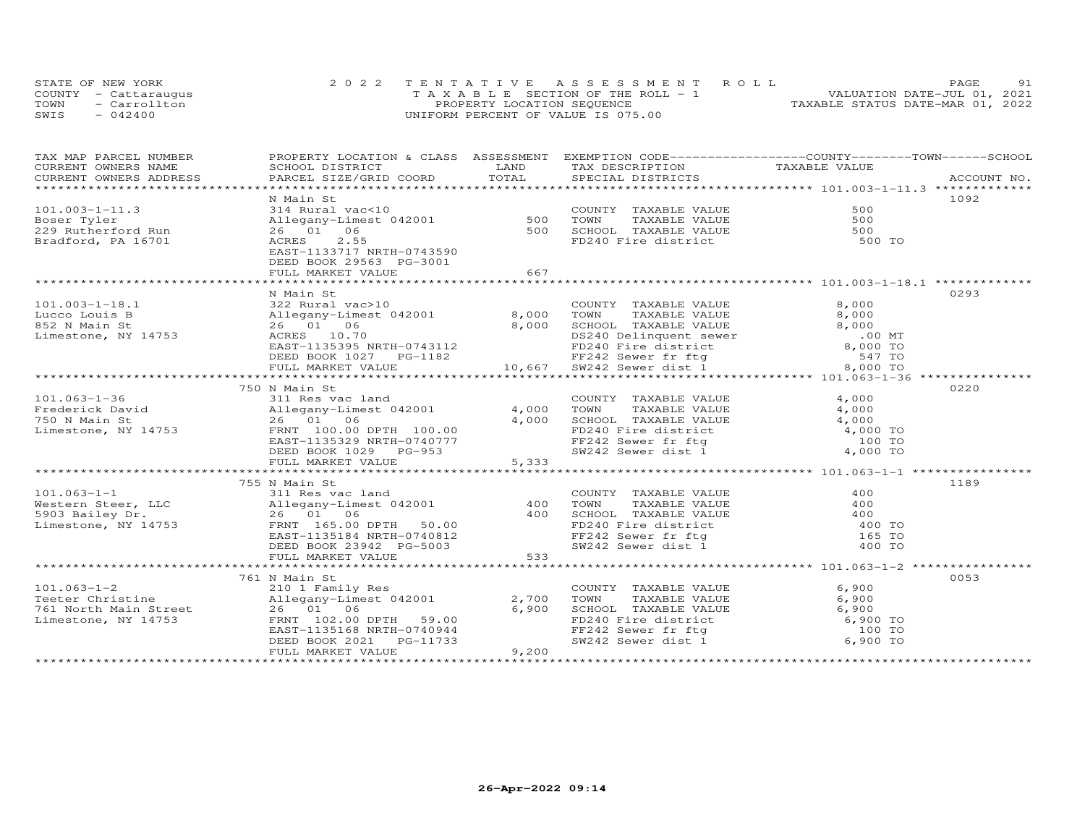| STATE OF NEW YORK    |              | 2022 TENTATIVE ASSESSMENT ROLL        |  |                                  | <b>PAGE</b>                 | 91 |
|----------------------|--------------|---------------------------------------|--|----------------------------------|-----------------------------|----|
| COUNTY - Cattaraugus |              | T A X A B L E SECTION OF THE ROLL - 1 |  |                                  | VALUATION DATE-JUL 01, 2021 |    |
| TOWN                 | - Carrollton | PROPERTY LOCATION SEQUENCE            |  | TAXABLE STATUS DATE-MAR 01, 2022 |                             |    |
| SWIS                 | $-042400$    | UNIFORM PERCENT OF VALUE IS 075.00    |  |                                  |                             |    |

| TAX MAP PARCEL NUMBER                                                                                                                     | PROPERTY LOCATION & CLASS ASSESSMENT EXEMPTION CODE----------------COUNTY-------TOWN------SCHOOL                                                                                                                                                                                                                                                                                                                                                                                                                       |       |                                                                    |               |      |
|-------------------------------------------------------------------------------------------------------------------------------------------|------------------------------------------------------------------------------------------------------------------------------------------------------------------------------------------------------------------------------------------------------------------------------------------------------------------------------------------------------------------------------------------------------------------------------------------------------------------------------------------------------------------------|-------|--------------------------------------------------------------------|---------------|------|
| CURRENT OWNERS NAME                                                                                                                       | SCHOOL DISTRICT                                                                                                                                                                                                                                                                                                                                                                                                                                                                                                        | LAND  | TAX DESCRIPTION                                                    | TAXABLE VALUE |      |
| CURRENT OWNERS ADDRESS                                                                                                                    | $\begin{minipage}{.45\textwidth} \begin{minipage}{.45\textwidth} \begin{minipage}{.45\textwidth} \begin{minipage}{.45\textwidth} \begin{minipage}{.45\textwidth} \begin{minipage}{.45\textwidth} \begin{minipage}{.45\textwidth} \begin{minipage}{.45\textwidth} \begin{minipage}{.45\textwidth} \begin{minipage}{.45\textwidth} \begin{minipage}{.45\textwidth} \begin{minipage}{.45\textwidth} \begin{minipage}{.45\textwidth} \begin{minipage}{.45\textwidth} \begin{minipage}{.45\textwidth} \begin{minipage}{.45$ |       |                                                                    |               |      |
| ******************************                                                                                                            |                                                                                                                                                                                                                                                                                                                                                                                                                                                                                                                        |       |                                                                    |               |      |
|                                                                                                                                           | N Main St                                                                                                                                                                                                                                                                                                                                                                                                                                                                                                              |       |                                                                    |               | 1092 |
| $101.003 - 1 - 11.3$                                                                                                                      | 314 Rural vac<10                                                                                                                                                                                                                                                                                                                                                                                                                                                                                                       |       | COUNTY TAXABLE VALUE                                               | 500           |      |
| Boser Tyler                                                                                                                               | Allegany-Limest 042001                                                                                                                                                                                                                                                                                                                                                                                                                                                                                                 | 500   | TOWN<br>TAXABLE VALUE                                              | 500           |      |
| 229 Rutherford Run                                                                                                                        | 26 01 06                                                                                                                                                                                                                                                                                                                                                                                                                                                                                                               | 500   | SCHOOL TAXABLE VALUE                                               | 500           |      |
| Bradford, PA 16701                                                                                                                        | 2.55<br>ACRES                                                                                                                                                                                                                                                                                                                                                                                                                                                                                                          |       | FD240 Fire district                                                | 500 TO        |      |
|                                                                                                                                           | EAST-1133717 NRTH-0743590                                                                                                                                                                                                                                                                                                                                                                                                                                                                                              |       |                                                                    |               |      |
|                                                                                                                                           | DEED BOOK 29563 PG-3001                                                                                                                                                                                                                                                                                                                                                                                                                                                                                                |       |                                                                    |               |      |
|                                                                                                                                           | FULL MARKET VALUE                                                                                                                                                                                                                                                                                                                                                                                                                                                                                                      | 667   |                                                                    |               |      |
|                                                                                                                                           |                                                                                                                                                                                                                                                                                                                                                                                                                                                                                                                        |       |                                                                    |               |      |
|                                                                                                                                           | N Main St                                                                                                                                                                                                                                                                                                                                                                                                                                                                                                              |       |                                                                    |               | 0293 |
| $101.003 - 1 - 18.1$                                                                                                                      | 322 Rural vac>10                                                                                                                                                                                                                                                                                                                                                                                                                                                                                                       |       | COUNTY TAXABLE VALUE                                               | 8,000         |      |
| Lucco Louis B                                                                                                                             | Allegany-Limest 042001                                                                                                                                                                                                                                                                                                                                                                                                                                                                                                 | 8,000 | TOWN<br>TAXABLE VALUE                                              | 8,000         |      |
| 852 N Main St                                                                                                                             | 26 01 06                                                                                                                                                                                                                                                                                                                                                                                                                                                                                                               | 8,000 | SCHOOL TAXABLE VALUE                                               | 8,000         |      |
| Limestone, NY 14753                                                                                                                       | ACRES 10.70                                                                                                                                                                                                                                                                                                                                                                                                                                                                                                            |       | DS240 Delinquent sewer .00 MT<br>FD240 Fire district 8,000 TO      |               |      |
|                                                                                                                                           | EAST-1135395 NRTH-0743112                                                                                                                                                                                                                                                                                                                                                                                                                                                                                              |       |                                                                    |               |      |
|                                                                                                                                           |                                                                                                                                                                                                                                                                                                                                                                                                                                                                                                                        |       |                                                                    |               |      |
|                                                                                                                                           | FULL MARKET VALUE                                                                                                                                                                                                                                                                                                                                                                                                                                                                                                      |       | 82 FF242 Sewer fr ftg 547 TO<br>10,667 SW242 Sewer dist 1 8,000 TO |               |      |
|                                                                                                                                           |                                                                                                                                                                                                                                                                                                                                                                                                                                                                                                                        |       |                                                                    |               |      |
|                                                                                                                                           | 750 N Main St                                                                                                                                                                                                                                                                                                                                                                                                                                                                                                          |       |                                                                    |               | 0220 |
| $101.063 - 1 - 36$                                                                                                                        | 311 Res vac land                                                                                                                                                                                                                                                                                                                                                                                                                                                                                                       |       | COUNTY TAXABLE VALUE                                               | 4,000         |      |
| Frederick David                                                                                                                           |                                                                                                                                                                                                                                                                                                                                                                                                                                                                                                                        | 4,000 | TOWN<br>TAXABLE VALUE                                              | 4,000         |      |
| 750 N Main St                                                                                                                             | Allegany-Limest 042001<br>26 01 06                                                                                                                                                                                                                                                                                                                                                                                                                                                                                     | 4,000 | SCHOOL TAXABLE VALUE                                               | 4,000         |      |
| Limestone, NY 14753                                                                                                                       | FRNT 100.00 DPTH 100.00                                                                                                                                                                                                                                                                                                                                                                                                                                                                                                |       | FD240 Fire district<br>FF242 Sewer fr ftg                          | 4,000 TO      |      |
|                                                                                                                                           | EAST-1135329 NRTH-0740777                                                                                                                                                                                                                                                                                                                                                                                                                                                                                              |       |                                                                    | 100 TO        |      |
|                                                                                                                                           | DEED BOOK 1029 PG-953                                                                                                                                                                                                                                                                                                                                                                                                                                                                                                  |       | SW242 Sewer dist 1                                                 | 4,000 TO      |      |
|                                                                                                                                           | FULL MARKET VALUE                                                                                                                                                                                                                                                                                                                                                                                                                                                                                                      | 5,333 |                                                                    |               |      |
|                                                                                                                                           |                                                                                                                                                                                                                                                                                                                                                                                                                                                                                                                        |       |                                                                    |               |      |
|                                                                                                                                           | 755 N Main St                                                                                                                                                                                                                                                                                                                                                                                                                                                                                                          |       |                                                                    |               | 1189 |
| $101.063 - 1 - 1$                                                                                                                         | 311 Res vac land                                                                                                                                                                                                                                                                                                                                                                                                                                                                                                       |       | COUNTY TAXABLE VALUE                                               | 400           |      |
|                                                                                                                                           |                                                                                                                                                                                                                                                                                                                                                                                                                                                                                                                        | 400   | TOWN<br>TAXABLE VALUE                                              | 400           |      |
|                                                                                                                                           |                                                                                                                                                                                                                                                                                                                                                                                                                                                                                                                        | 400   | SCHOOL TAXABLE VALUE                                               | 400           |      |
| 101.063-1-1<br>Western Steer, LLC and allegany-Limest 042001<br>5903 Bailey Dr. 26 01 06<br>Limestone, NY 14753 26 PRNT 165.00 DPTH 50.00 | 26 01 06<br>FRNT 165.00 DPTH 50.00<br>EAST-1135184 NRTH-0740812<br>--- 20042 PG-5003                                                                                                                                                                                                                                                                                                                                                                                                                                   |       | FD240 Fire district                                                | 400 TO        |      |
|                                                                                                                                           |                                                                                                                                                                                                                                                                                                                                                                                                                                                                                                                        |       | FF242 Sewer fr ftg                                                 | 165 TO        |      |
|                                                                                                                                           |                                                                                                                                                                                                                                                                                                                                                                                                                                                                                                                        |       | SW242 Sewer dist 1                                                 | 400 TO        |      |
|                                                                                                                                           | FULL MARKET VALUE                                                                                                                                                                                                                                                                                                                                                                                                                                                                                                      | 533   |                                                                    |               |      |
|                                                                                                                                           |                                                                                                                                                                                                                                                                                                                                                                                                                                                                                                                        |       |                                                                    |               |      |
|                                                                                                                                           | 761 N Main St                                                                                                                                                                                                                                                                                                                                                                                                                                                                                                          |       |                                                                    |               | 0053 |
| $101.063 - 1 - 2$                                                                                                                         | 210 1 Family Res                                                                                                                                                                                                                                                                                                                                                                                                                                                                                                       |       | COUNTY TAXABLE VALUE                                               | 6,900         |      |
| Teeter Christine                                                                                                                          | Allegany-Limest 042001                                                                                                                                                                                                                                                                                                                                                                                                                                                                                                 | 2,700 | TAXABLE VALUE<br>TOWN                                              | 6,900         |      |
| 761 North Main Street 26 01 06<br>Limestone, NY 14753 FRNT 102.00                                                                         |                                                                                                                                                                                                                                                                                                                                                                                                                                                                                                                        | 6,900 | SCHOOL TAXABLE VALUE                                               | 6,900         |      |
|                                                                                                                                           | FRNT 102.00 DPTH<br>59.00                                                                                                                                                                                                                                                                                                                                                                                                                                                                                              |       | FD240 Fire district                                                | 6,900 TO      |      |
|                                                                                                                                           | EAST-1135168 NRTH-0740944                                                                                                                                                                                                                                                                                                                                                                                                                                                                                              |       | FF242 Sewer fr ftg                                                 | 100 TO        |      |
|                                                                                                                                           | DEED BOOK 2021    PG-11733                                                                                                                                                                                                                                                                                                                                                                                                                                                                                             |       | SW242 Sewer dist 1                                                 | 6,900 TO      |      |
|                                                                                                                                           | FULL MARKET VALUE                                                                                                                                                                                                                                                                                                                                                                                                                                                                                                      | 9,200 |                                                                    |               |      |
|                                                                                                                                           |                                                                                                                                                                                                                                                                                                                                                                                                                                                                                                                        |       |                                                                    |               |      |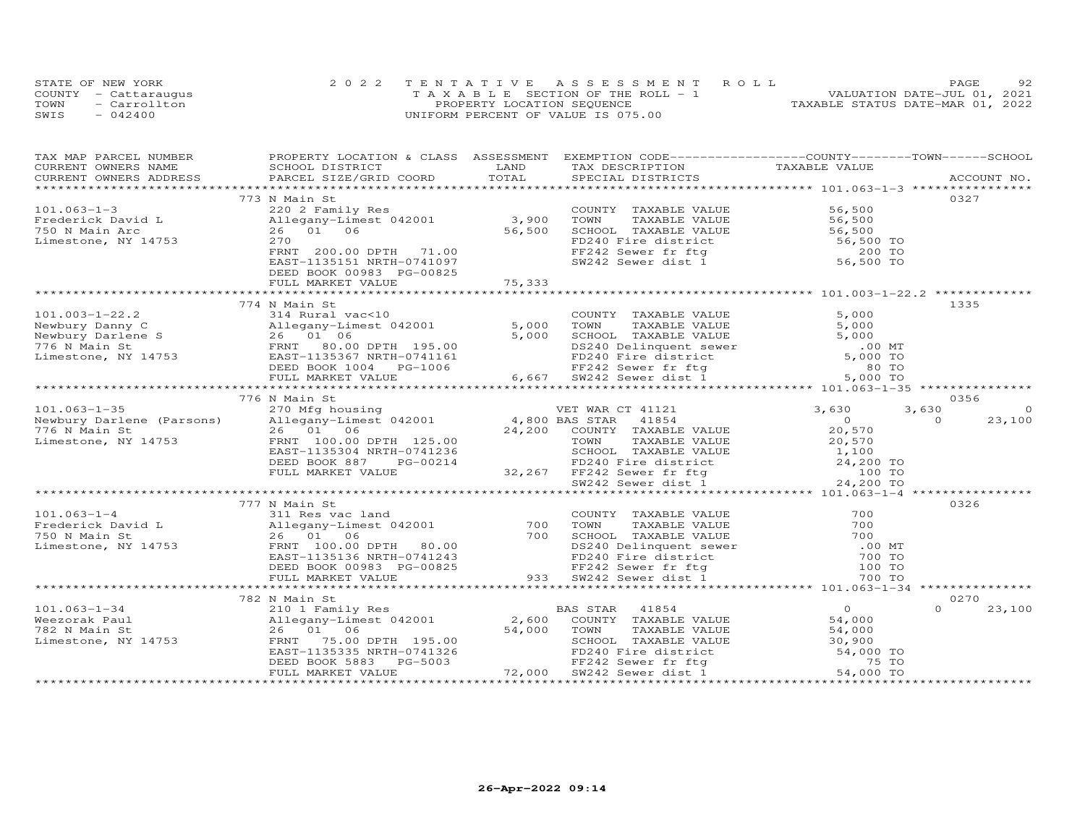|      | STATE OF NEW YORK    | 2022 TENTATIVE ASSESSMENT ROLL        | 92<br>PAGE                       |
|------|----------------------|---------------------------------------|----------------------------------|
|      | COUNTY - Cattaraugus | T A X A B L E SECTION OF THE ROLL - 1 | VALUATION DATE-JUL 01, 2021      |
| TOWN | - Carrollton         | PROPERTY LOCATION SEQUENCE            | TAXABLE STATUS DATE-MAR 01, 2022 |
| SWIS | $-042400$            | UNIFORM PERCENT OF VALUE IS 075.00    |                                  |

| TAX MAP PARCEL NUMBER<br>CURRENT OWNERS NAME               | PROPERTY LOCATION & CLASS ASSESSMENT EXEMPTION CODE----------------COUNTY-------TOWN------SCHOOL<br>SCHOOL DISTRICT                                                                                                                        | LAND   | TAX DESCRIPTION TAXABLE VALUE                                                                                                                                                                                                                 |                |                    |
|------------------------------------------------------------|--------------------------------------------------------------------------------------------------------------------------------------------------------------------------------------------------------------------------------------------|--------|-----------------------------------------------------------------------------------------------------------------------------------------------------------------------------------------------------------------------------------------------|----------------|--------------------|
|                                                            |                                                                                                                                                                                                                                            |        |                                                                                                                                                                                                                                               |                | ACCOUNT NO.        |
|                                                            |                                                                                                                                                                                                                                            |        |                                                                                                                                                                                                                                               |                |                    |
|                                                            | 773 N Main St                                                                                                                                                                                                                              |        |                                                                                                                                                                                                                                               |                | 0327               |
| $101.063 - 1 - 3$                                          | 220 2 Family Res<br>220 2 Family Res<br>Allegany-Limest 042001 3,900<br>26 01 06 56,500<br>270                                                                                                                                             |        | COUNTY TAXABLE VALUE 56,500<br>TOWN TAXABLE VALUE 56,500<br>SCHOOL TAXABLE VALUE 56,500<br>FD240 Fire district 56,500<br>FF242 Sewer fr ftg 200 TO<br>SW242 Sewer dist 1 56,500 TO                                                            |                |                    |
|                                                            |                                                                                                                                                                                                                                            |        |                                                                                                                                                                                                                                               |                |                    |
|                                                            |                                                                                                                                                                                                                                            |        |                                                                                                                                                                                                                                               |                |                    |
| Frederick David L<br>750 N Main Arc<br>Limestone, NY 14753 | 270                                                                                                                                                                                                                                        |        |                                                                                                                                                                                                                                               |                |                    |
|                                                            | FRNT 200.00 DPTH 71.00                                                                                                                                                                                                                     |        |                                                                                                                                                                                                                                               |                |                    |
|                                                            | EAST-1135151 NRTH-0741097                                                                                                                                                                                                                  |        |                                                                                                                                                                                                                                               |                |                    |
|                                                            | DEED BOOK 00983 PG-00825                                                                                                                                                                                                                   |        |                                                                                                                                                                                                                                               |                |                    |
|                                                            | FULL MARKET VALUE                                                                                                                                                                                                                          | 75,333 |                                                                                                                                                                                                                                               |                |                    |
|                                                            |                                                                                                                                                                                                                                            |        |                                                                                                                                                                                                                                               |                |                    |
|                                                            | 774 N Main St                                                                                                                                                                                                                              |        |                                                                                                                                                                                                                                               |                | 1335               |
| $101.003 - 1 - 22.2$                                       | 314 Rural vac<10                                                                                                                                                                                                                           |        | COUNTY TAXABLE VALUE                                                                                                                                                                                                                          | 5,000          |                    |
|                                                            |                                                                                                                                                                                                                                            |        |                                                                                                                                                                                                                                               |                |                    |
|                                                            |                                                                                                                                                                                                                                            |        |                                                                                                                                                                                                                                               |                |                    |
|                                                            |                                                                                                                                                                                                                                            |        |                                                                                                                                                                                                                                               |                |                    |
|                                                            |                                                                                                                                                                                                                                            |        |                                                                                                                                                                                                                                               |                |                    |
|                                                            |                                                                                                                                                                                                                                            |        |                                                                                                                                                                                                                                               |                |                    |
|                                                            | 101.003-1-22.2<br>Newbury Danny C<br>Newbury Danny C<br>Newbury Danny C<br>Newbury Danny C<br>26 01 06 26 01 06 5,000<br>776 N Main St FRNT 80.00 DPTH 195.00<br>The FRNT 80.00 DPTH 195.00<br>EAST-1135367 NRTH-0741161<br>DEED BOOK 1004 |        |                                                                                                                                                                                                                                               |                |                    |
|                                                            |                                                                                                                                                                                                                                            |        |                                                                                                                                                                                                                                               |                |                    |
|                                                            |                                                                                                                                                                                                                                            |        |                                                                                                                                                                                                                                               |                | 0356               |
|                                                            |                                                                                                                                                                                                                                            |        |                                                                                                                                                                                                                                               |                | 3,630<br>$\circ$   |
|                                                            |                                                                                                                                                                                                                                            |        |                                                                                                                                                                                                                                               |                | $\Omega$<br>23,100 |
|                                                            |                                                                                                                                                                                                                                            |        |                                                                                                                                                                                                                                               |                |                    |
|                                                            |                                                                                                                                                                                                                                            |        |                                                                                                                                                                                                                                               |                |                    |
|                                                            |                                                                                                                                                                                                                                            |        |                                                                                                                                                                                                                                               |                |                    |
|                                                            |                                                                                                                                                                                                                                            |        |                                                                                                                                                                                                                                               |                |                    |
|                                                            |                                                                                                                                                                                                                                            |        |                                                                                                                                                                                                                                               |                |                    |
|                                                            |                                                                                                                                                                                                                                            |        |                                                                                                                                                                                                                                               |                |                    |
|                                                            |                                                                                                                                                                                                                                            |        |                                                                                                                                                                                                                                               |                |                    |
|                                                            | 777 N Main St                                                                                                                                                                                                                              |        |                                                                                                                                                                                                                                               |                | 0326               |
| $101.063 - 1 - 4$                                          | 311 Res vac land                                                                                                                                                                                                                           |        |                                                                                                                                                                                                                                               |                |                    |
|                                                            |                                                                                                                                                                                                                                            |        |                                                                                                                                                                                                                                               |                |                    |
|                                                            |                                                                                                                                                                                                                                            |        |                                                                                                                                                                                                                                               |                |                    |
|                                                            |                                                                                                                                                                                                                                            |        |                                                                                                                                                                                                                                               |                |                    |
|                                                            |                                                                                                                                                                                                                                            |        |                                                                                                                                                                                                                                               |                |                    |
|                                                            |                                                                                                                                                                                                                                            |        |                                                                                                                                                                                                                                               |                |                    |
|                                                            | Frederick David Later and COUNIT IAAABLE VALU<br>Frederick David Later and Allegany-Limest 042001 700 TOWN TAXABLE VALU<br>750 N Main St<br>Limestone, NY 14753 FRNT 100.00 DPTH 80.00 DS240 Delinquent sew<br>EAST-1135136 NRTH-07412     |        | COUNTY TAXABLE VALUE<br>TOWN TAXABLE VALUE 700<br>SCHOOL TAXABLE VALUE 700<br>DS240 Delinquent sewer .00 MT<br>FD240 Fire district 700 TO<br>FF242 Sewer fr ftg 100 TO<br>SW242 Sewer district 700 TO<br>SW242 Sewer district 700 TO<br>SW242 |                |                    |
|                                                            |                                                                                                                                                                                                                                            |        |                                                                                                                                                                                                                                               |                |                    |
|                                                            | 782 N Main St                                                                                                                                                                                                                              |        |                                                                                                                                                                                                                                               |                | 0270               |
|                                                            |                                                                                                                                                                                                                                            |        | BAS STAR 41854                                                                                                                                                                                                                                | $\overline{0}$ | $\cap$<br>23,100   |
|                                                            |                                                                                                                                                                                                                                            |        | COUNTY TAXABLE VALUE                                                                                                                                                                                                                          | 54,000         |                    |
|                                                            | 101.063-1-34<br>Weezorak Paul 210 1 Family Res BA<br>Weezorak Paul 26 01 06 54,000<br>Limestone, NY 14753 FRNT 75.00 DPTH 195.00 54,000                                                                                                    |        |                                                                                                                                                                                                                                               |                |                    |
|                                                            |                                                                                                                                                                                                                                            |        |                                                                                                                                                                                                                                               |                |                    |
|                                                            |                                                                                                                                                                                                                                            |        |                                                                                                                                                                                                                                               |                |                    |
|                                                            |                                                                                                                                                                                                                                            |        |                                                                                                                                                                                                                                               |                |                    |
|                                                            | Allegany-Limest 042001<br>26 01 06 54,000 70WN TAXABLE VALUE 54,000<br>FRNT 75.00 DPTH 195.00 54,000 SCHOOL TAXABLE VALUE 30,900<br>EAST-1135335 NRTH-0741326 FD240 Fire district 54,000 TO<br>DEED BOOK 5883 PG-5003 FF242 Sewer dist     |        |                                                                                                                                                                                                                                               |                |                    |
|                                                            |                                                                                                                                                                                                                                            |        |                                                                                                                                                                                                                                               |                |                    |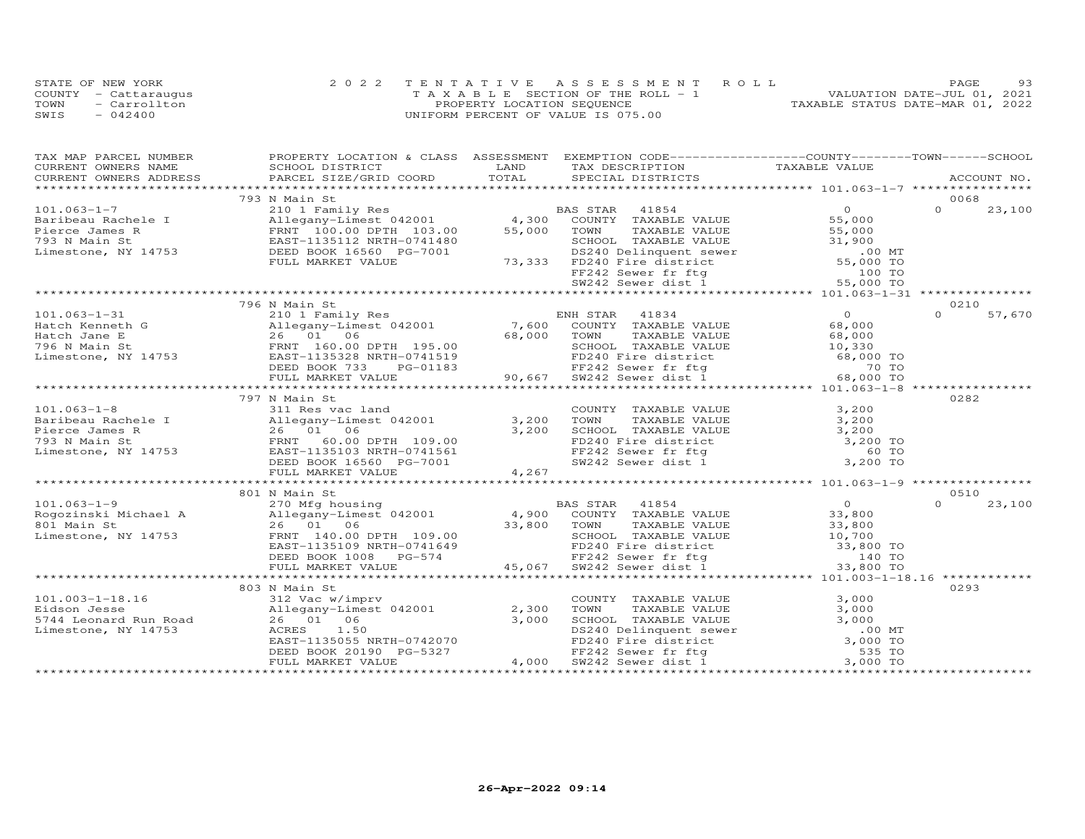|      | STATE OF NEW YORK    | 2022 TENTATIVE ASSESSMENT ROLL        | 93<br>PAGE                       |
|------|----------------------|---------------------------------------|----------------------------------|
|      | COUNTY - Cattaraugus | T A X A B L E SECTION OF THE ROLL - 1 | VALUATION DATE-JUL 01, 2021      |
| TOWN | - Carrollton         | PROPERTY LOCATION SEQUENCE            | TAXABLE STATUS DATE-MAR 01, 2022 |
| SWIS | $-042400$            | UNIFORM PERCENT OF VALUE IS 075.00    |                                  |

| TAX MAP PARCEL NUMBER                                                                                                                                                                                                                                                | PROPERTY LOCATION & CLASS ASSESSMENT EXEMPTION CODE----------------COUNTY-------TOWN------SCHOOL                                                                                                                                         |       |                                                                                                                                                                                                                                            |                                            |          |             |
|----------------------------------------------------------------------------------------------------------------------------------------------------------------------------------------------------------------------------------------------------------------------|------------------------------------------------------------------------------------------------------------------------------------------------------------------------------------------------------------------------------------------|-------|--------------------------------------------------------------------------------------------------------------------------------------------------------------------------------------------------------------------------------------------|--------------------------------------------|----------|-------------|
| CURRENT OWNERS NAME                                                                                                                                                                                                                                                  | SCHOOL DISTRICT                                                                                                                                                                                                                          | LAND  | TAX DESCRIPTION                                                                                                                                                                                                                            | TAXABLE VALUE                              |          |             |
|                                                                                                                                                                                                                                                                      | PARCEL SIZE/GRID COORD                                                                                                                                                                                                                   |       |                                                                                                                                                                                                                                            |                                            |          | ACCOUNT NO. |
|                                                                                                                                                                                                                                                                      |                                                                                                                                                                                                                                          |       |                                                                                                                                                                                                                                            |                                            | 0068     |             |
|                                                                                                                                                                                                                                                                      | 793 N Main St                                                                                                                                                                                                                            |       |                                                                                                                                                                                                                                            |                                            |          |             |
| $101.063 - 1 - 7$                                                                                                                                                                                                                                                    |                                                                                                                                                                                                                                          |       |                                                                                                                                                                                                                                            |                                            |          |             |
| Baribeau Rachele I allegany-Limest 042001<br>Pierce James R FRNT 100.00 DPTH 103.00<br>793 N Main St EAST-1135112 NRTH-0741480<br>Limestone, NY 14753 DEED BOOK 16560 PG-7001                                                                                        |                                                                                                                                                                                                                                          |       |                                                                                                                                                                                                                                            |                                            |          |             |
|                                                                                                                                                                                                                                                                      |                                                                                                                                                                                                                                          |       |                                                                                                                                                                                                                                            |                                            |          |             |
|                                                                                                                                                                                                                                                                      |                                                                                                                                                                                                                                          |       |                                                                                                                                                                                                                                            |                                            |          |             |
|                                                                                                                                                                                                                                                                      |                                                                                                                                                                                                                                          |       |                                                                                                                                                                                                                                            |                                            |          |             |
|                                                                                                                                                                                                                                                                      |                                                                                                                                                                                                                                          |       |                                                                                                                                                                                                                                            |                                            |          |             |
|                                                                                                                                                                                                                                                                      |                                                                                                                                                                                                                                          |       |                                                                                                                                                                                                                                            |                                            |          |             |
|                                                                                                                                                                                                                                                                      |                                                                                                                                                                                                                                          |       |                                                                                                                                                                                                                                            |                                            |          |             |
|                                                                                                                                                                                                                                                                      |                                                                                                                                                                                                                                          |       |                                                                                                                                                                                                                                            |                                            |          |             |
|                                                                                                                                                                                                                                                                      | 796 N Main St                                                                                                                                                                                                                            |       |                                                                                                                                                                                                                                            |                                            | 0210     |             |
| 101.063-1-31<br>Hatch Kenneth G<br>Hatch Jane E<br>26 01 06<br>26 01 06<br>26 01 06<br>26 01 06<br>26 01 06<br>26 01 06<br>26 01 06<br>26 01 195.00<br>26 02 100 100 100 2011<br>26 01 195.00<br>26 02 100 2011<br>26 26 27 2733<br>2012<br>2013<br>2013<br>2013<br> |                                                                                                                                                                                                                                          |       |                                                                                                                                                                                                                                            | $\begin{array}{c} 0 \\ 68,000 \end{array}$ | $\Omega$ | 57,670      |
|                                                                                                                                                                                                                                                                      |                                                                                                                                                                                                                                          |       |                                                                                                                                                                                                                                            |                                            |          |             |
|                                                                                                                                                                                                                                                                      |                                                                                                                                                                                                                                          |       |                                                                                                                                                                                                                                            |                                            |          |             |
|                                                                                                                                                                                                                                                                      |                                                                                                                                                                                                                                          |       |                                                                                                                                                                                                                                            |                                            |          |             |
|                                                                                                                                                                                                                                                                      |                                                                                                                                                                                                                                          |       |                                                                                                                                                                                                                                            |                                            |          |             |
|                                                                                                                                                                                                                                                                      |                                                                                                                                                                                                                                          |       | 68,000<br>195.00<br>68,000<br>7AXABLE VALUE<br>68,000<br>741519<br>FD240 Fire district<br>FF242 Sewer fr ftg<br>70 TO<br>88,000 TO<br>88,000 TO<br>88,000 TO<br>88,000 TO<br>88,000 TO<br>88,000 TO<br>88,000 TO<br>88,000 TO<br>88,000 TO |                                            |          |             |
|                                                                                                                                                                                                                                                                      | FULL MARKET VALUE                                                                                                                                                                                                                        |       |                                                                                                                                                                                                                                            |                                            |          |             |
|                                                                                                                                                                                                                                                                      |                                                                                                                                                                                                                                          |       |                                                                                                                                                                                                                                            |                                            |          |             |
|                                                                                                                                                                                                                                                                      | 797 N Main St                                                                                                                                                                                                                            |       |                                                                                                                                                                                                                                            |                                            | 0282     |             |
| $101.063 - 1 - 8$                                                                                                                                                                                                                                                    | 311 Res vac land                                                                                                                                                                                                                         |       | COUNTY TAXABLE VALUE 3,200                                                                                                                                                                                                                 |                                            |          |             |
|                                                                                                                                                                                                                                                                      |                                                                                                                                                                                                                                          |       |                                                                                                                                                                                                                                            |                                            |          |             |
|                                                                                                                                                                                                                                                                      |                                                                                                                                                                                                                                          |       |                                                                                                                                                                                                                                            |                                            |          |             |
|                                                                                                                                                                                                                                                                      |                                                                                                                                                                                                                                          |       |                                                                                                                                                                                                                                            |                                            |          |             |
|                                                                                                                                                                                                                                                                      |                                                                                                                                                                                                                                          |       |                                                                                                                                                                                                                                            |                                            |          |             |
| 101.085-1-8<br>Baribeau Rachele I allegany-Limest 042001 3,200<br>Pierce James R 26 01 06 3,200<br>793 N Main St FRNT 60.00 DPTH 109.00<br>Limestone, NY 14753 EAST-1135103 NRTH-0741561<br>DEED BOOK 16560 PG-7001                                                  |                                                                                                                                                                                                                                          |       | COMIT TAXABLE VALUE<br>TOWN TAXABLE VALUE<br>SCHOOL TAXABLE VALUE<br>FD240 Fire district<br>FF242 Sewer fr ftg 60 TO<br>SW242 Sewer dist 1 3,200 TO                                                                                        |                                            |          |             |
|                                                                                                                                                                                                                                                                      | FULL MARKET VALUE                                                                                                                                                                                                                        | 4,267 |                                                                                                                                                                                                                                            |                                            |          |             |
|                                                                                                                                                                                                                                                                      |                                                                                                                                                                                                                                          |       |                                                                                                                                                                                                                                            |                                            |          |             |
|                                                                                                                                                                                                                                                                      | 801 N Main St                                                                                                                                                                                                                            |       |                                                                                                                                                                                                                                            |                                            | 0510     |             |
| 101.063-1-9<br>November 270 Mfg housing<br>270 Mfg housing<br>26 01 06<br>26 01 06<br>26 01 06<br>26 01 06<br>26 01 06<br>26 01 06<br>26 01 06<br>26 01 06<br>26 01 06<br>26 01 06<br>26 01 06<br>26 01 06<br>26 01 06<br>26 01 06<br>26 01 06<br>26 01 06<br>26 01  |                                                                                                                                                                                                                                          |       |                                                                                                                                                                                                                                            |                                            | $\Omega$ | 23,100      |
|                                                                                                                                                                                                                                                                      |                                                                                                                                                                                                                                          |       |                                                                                                                                                                                                                                            |                                            |          |             |
|                                                                                                                                                                                                                                                                      |                                                                                                                                                                                                                                          |       |                                                                                                                                                                                                                                            |                                            |          |             |
|                                                                                                                                                                                                                                                                      |                                                                                                                                                                                                                                          |       |                                                                                                                                                                                                                                            |                                            |          |             |
|                                                                                                                                                                                                                                                                      |                                                                                                                                                                                                                                          |       |                                                                                                                                                                                                                                            |                                            |          |             |
|                                                                                                                                                                                                                                                                      |                                                                                                                                                                                                                                          |       |                                                                                                                                                                                                                                            |                                            |          |             |
|                                                                                                                                                                                                                                                                      |                                                                                                                                                                                                                                          |       |                                                                                                                                                                                                                                            |                                            |          |             |
|                                                                                                                                                                                                                                                                      |                                                                                                                                                                                                                                          |       |                                                                                                                                                                                                                                            |                                            |          |             |
|                                                                                                                                                                                                                                                                      | 803 N Main St                                                                                                                                                                                                                            |       |                                                                                                                                                                                                                                            |                                            | 0293     |             |
|                                                                                                                                                                                                                                                                      |                                                                                                                                                                                                                                          |       |                                                                                                                                                                                                                                            | 3,000                                      |          |             |
| 101.003-1-18.16 312 Vac w/imprv<br>Eidson Jesse allegany-Limest 042001 2,300<br>5744 Leonard Run Road 26 01 06 3,000<br>Limestone, NY 14753 ACRES 1.50                                                                                                               |                                                                                                                                                                                                                                          |       | COUNTY TAXABLE VALUE                                                                                                                                                                                                                       |                                            |          |             |
|                                                                                                                                                                                                                                                                      |                                                                                                                                                                                                                                          |       |                                                                                                                                                                                                                                            |                                            |          |             |
|                                                                                                                                                                                                                                                                      |                                                                                                                                                                                                                                          |       |                                                                                                                                                                                                                                            |                                            |          |             |
|                                                                                                                                                                                                                                                                      |                                                                                                                                                                                                                                          |       |                                                                                                                                                                                                                                            |                                            |          |             |
|                                                                                                                                                                                                                                                                      |                                                                                                                                                                                                                                          |       |                                                                                                                                                                                                                                            |                                            |          |             |
|                                                                                                                                                                                                                                                                      |                                                                                                                                                                                                                                          |       |                                                                                                                                                                                                                                            |                                            |          |             |
|                                                                                                                                                                                                                                                                      | 312 Vac w/imprv<br>Allegany-Limest 042001 2,300 TOWNTY TAXABLE VALUE<br>26 01 06 3,000 TOWN TAXABLE VALUE<br>26 01 06 3,000 SCHOOL TAXABLE VALUE<br>26 01 06 3,000 SCHOOL TAXABLE VALUE<br>DEED BOOK 20190 PG-5327 FD240 Fire district 3 |       |                                                                                                                                                                                                                                            |                                            |          |             |
|                                                                                                                                                                                                                                                                      |                                                                                                                                                                                                                                          |       |                                                                                                                                                                                                                                            |                                            |          |             |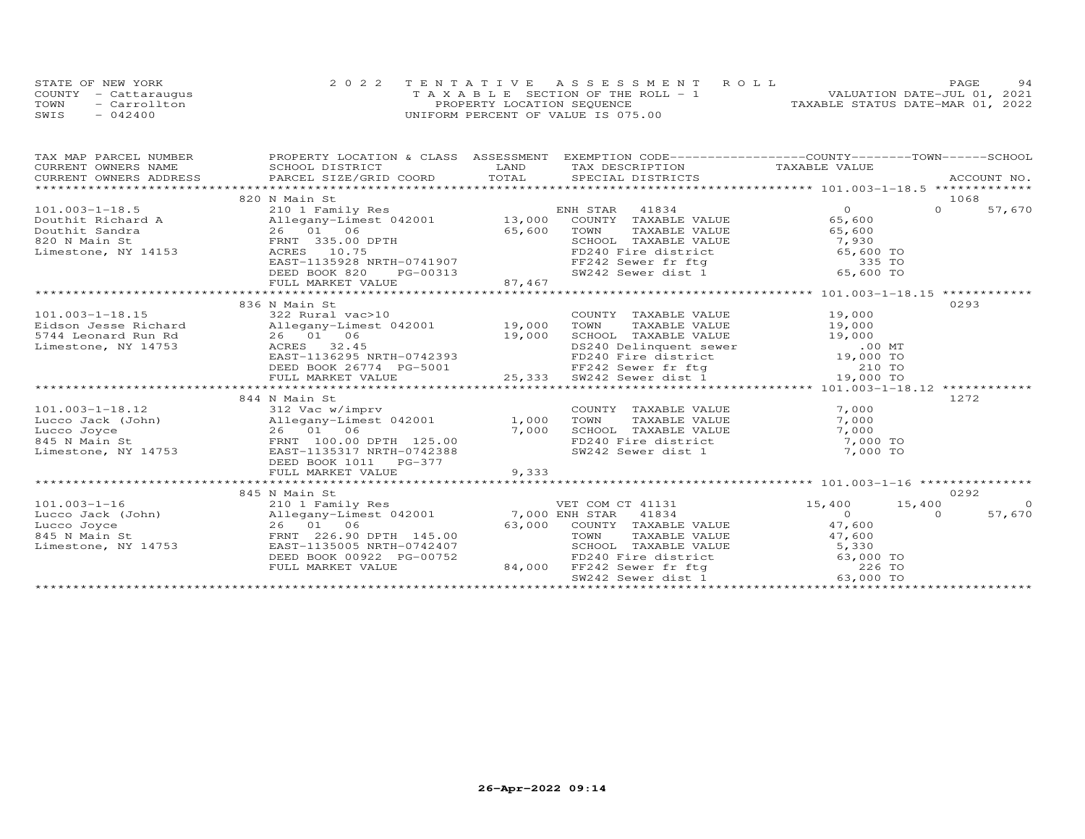| STATE OF NEW YORK |                      | 2022 TENTATIVE ASSESSMENT ROLL        | 94<br>PAGE.                      |
|-------------------|----------------------|---------------------------------------|----------------------------------|
|                   | COUNTY - Cattaraugus | T A X A B L E SECTION OF THE ROLL - 1 | VALUATION DATE-JUL 01, 2021      |
| TOWN              | - Carrollton         | PROPERTY LOCATION SEQUENCE            | TAXABLE STATUS DATE-MAR 01, 2022 |
| SWIS              | $-042400$            | UNIFORM PERCENT OF VALUE IS 075.00    |                                  |

| TAX MAP PARCEL NUMBER | PROPERTY LOCATION & CLASS ASSESSMENT EXEMPTION CODE-----------------COUNTY-------TOWN------SCHOOL                                                                                                                                                                                                                                       |  |      |                |
|-----------------------|-----------------------------------------------------------------------------------------------------------------------------------------------------------------------------------------------------------------------------------------------------------------------------------------------------------------------------------------|--|------|----------------|
|                       |                                                                                                                                                                                                                                                                                                                                         |  |      |                |
|                       |                                                                                                                                                                                                                                                                                                                                         |  |      |                |
|                       |                                                                                                                                                                                                                                                                                                                                         |  |      |                |
|                       | 820 N Main St                                                                                                                                                                                                                                                                                                                           |  | 1068 |                |
|                       |                                                                                                                                                                                                                                                                                                                                         |  |      | 57,670         |
|                       |                                                                                                                                                                                                                                                                                                                                         |  |      |                |
|                       |                                                                                                                                                                                                                                                                                                                                         |  |      |                |
|                       |                                                                                                                                                                                                                                                                                                                                         |  |      |                |
|                       |                                                                                                                                                                                                                                                                                                                                         |  |      |                |
|                       |                                                                                                                                                                                                                                                                                                                                         |  |      |                |
|                       |                                                                                                                                                                                                                                                                                                                                         |  |      |                |
|                       |                                                                                                                                                                                                                                                                                                                                         |  |      |                |
|                       | $\begin{array}{cccccccc} 101.003-1-18.5 & 820\text{ N Main St} & 104.003-1-18.5 & 1068\text{ NMin} & 0& 1068\text{ NMin} & 0& 1068\text{ NMin} & 0& 1068\text{ NMin} & 0& 1068\text{ NMin} & 0& 1068\text{ Nmin} & 0& 1068\text{ Nmin} & 0& 1068\text{ Nmin} & 0& 1068\text{ Nmin} & 0& 1068\text{ Nmin} & 0& 1068\text{ Nmin} & 0& 10$ |  |      |                |
|                       | 836 N Main St<br>101.003-1-18.15          322 Rural vac>10                                   19,000<br>Eidson Jesse Richard       Allegany-Limest 042001      19,000   TOWN   TAXABLE VALUE       19,000<br>5744 Leonard Run Rd       26   01  06                                                                                       |  | 0293 |                |
|                       |                                                                                                                                                                                                                                                                                                                                         |  |      |                |
|                       |                                                                                                                                                                                                                                                                                                                                         |  |      |                |
|                       |                                                                                                                                                                                                                                                                                                                                         |  |      |                |
|                       |                                                                                                                                                                                                                                                                                                                                         |  |      |                |
|                       |                                                                                                                                                                                                                                                                                                                                         |  |      |                |
|                       |                                                                                                                                                                                                                                                                                                                                         |  |      |                |
|                       | dson Jesse Richard allegany-Limest 042001 19,000 TOWN TAXABLE VALUE 19,000<br>44 Leonard Run Rd 26 01 06 19,000 SCR240 Delinquent swer 00 MT<br>mestone, NY 14753 ACRES 32.45 ENST-1136295 NRTH-0742393 ED240 Fire district 19,000                                                                                                      |  |      |                |
|                       |                                                                                                                                                                                                                                                                                                                                         |  |      |                |
|                       | 844 N Main St                                                                                                                                                                                                                                                                                                                           |  | 1272 |                |
|                       |                                                                                                                                                                                                                                                                                                                                         |  |      |                |
|                       |                                                                                                                                                                                                                                                                                                                                         |  |      |                |
|                       |                                                                                                                                                                                                                                                                                                                                         |  |      |                |
|                       |                                                                                                                                                                                                                                                                                                                                         |  |      |                |
|                       |                                                                                                                                                                                                                                                                                                                                         |  |      |                |
|                       |                                                                                                                                                                                                                                                                                                                                         |  |      |                |
|                       |                                                                                                                                                                                                                                                                                                                                         |  |      |                |
|                       | 845 N Main St                                                                                                                                                                                                                                                                                                                           |  | 0292 |                |
|                       |                                                                                                                                                                                                                                                                                                                                         |  |      | $\overline{0}$ |
|                       |                                                                                                                                                                                                                                                                                                                                         |  |      | 57,670         |
|                       |                                                                                                                                                                                                                                                                                                                                         |  |      |                |
|                       |                                                                                                                                                                                                                                                                                                                                         |  |      |                |
|                       |                                                                                                                                                                                                                                                                                                                                         |  |      |                |
|                       |                                                                                                                                                                                                                                                                                                                                         |  |      |                |
|                       |                                                                                                                                                                                                                                                                                                                                         |  |      |                |
|                       |                                                                                                                                                                                                                                                                                                                                         |  |      |                |
|                       |                                                                                                                                                                                                                                                                                                                                         |  |      |                |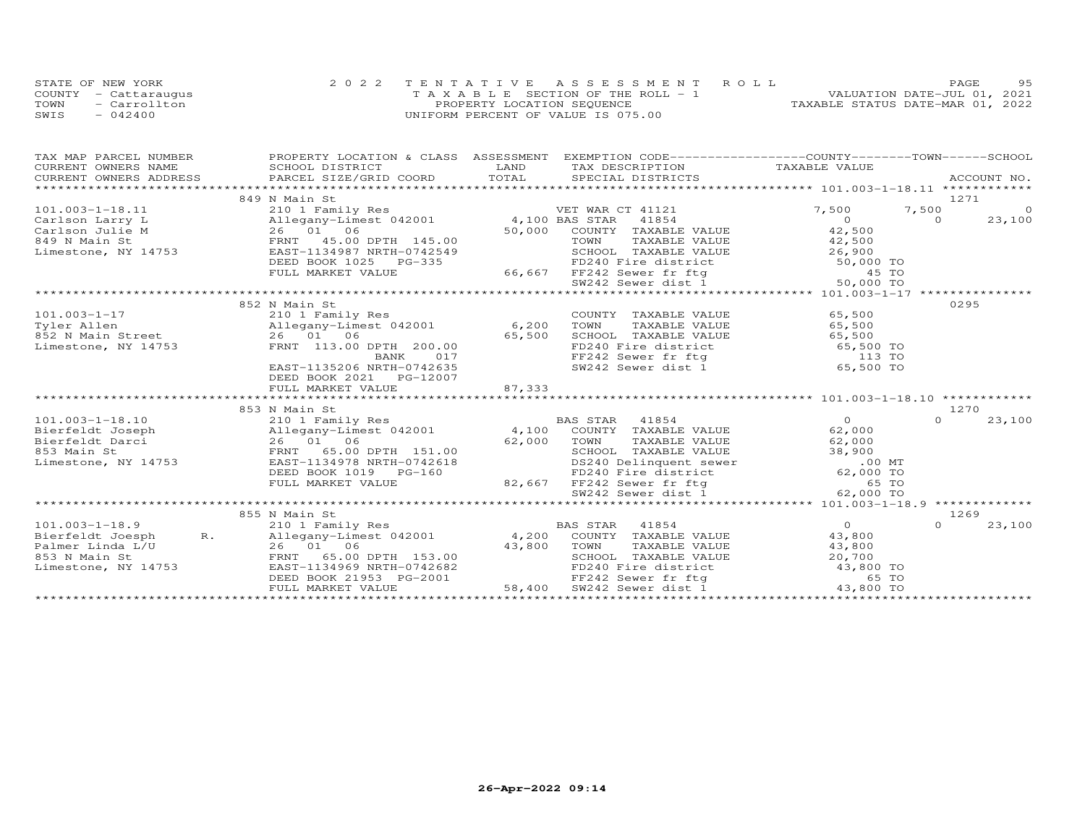|      | STATE OF NEW YORK    | 2022 TENTATIVE ASSESSMENT ROLL        | 9.5<br>PAGE                      |
|------|----------------------|---------------------------------------|----------------------------------|
|      | COUNTY - Cattaraugus | T A X A B L E SECTION OF THE ROLL - 1 | VALUATION DATE-JUL 01, 2021      |
| TOWN | - Carrollton         | PROPERTY LOCATION SEQUENCE            | TAXABLE STATUS DATE-MAR 01, 2022 |
| SWIS | $-042400$            | UNIFORM PERCENT OF VALUE IS 075.00    |                                  |

| TAX MAP PARCEL NUMBER  | PROPERTY LOCATION & CLASS ASSESSMENT EXEMPTION CODE----------------COUNTY-------TOWN-----SCHOOL                                                                                                                                                            |        |                                                                                                                                                                                                          |                |          |                |
|------------------------|------------------------------------------------------------------------------------------------------------------------------------------------------------------------------------------------------------------------------------------------------------|--------|----------------------------------------------------------------------------------------------------------------------------------------------------------------------------------------------------------|----------------|----------|----------------|
| CURRENT OWNERS NAME    | SCHOOL DISTRICT                                                                                                                                                                                                                                            | LAND   | TAX DESCRIPTION                                                                                                                                                                                          | TAXABLE VALUE  |          |                |
| CURRENT OWNERS ADDRESS | CONNENT OWNERS ADDRESS FORCEL SIZE/GRID COORD TOTAL SECIAL DISTRICTS THE THE RECOUNT NO.<br>TOTAL SECIAL DISTRICTS FOR PORT DISTRICTS ACCOUNT NO.                                                                                                          |        |                                                                                                                                                                                                          |                |          |                |
|                        |                                                                                                                                                                                                                                                            |        |                                                                                                                                                                                                          |                |          |                |
|                        | 849 N Main St                                                                                                                                                                                                                                              |        |                                                                                                                                                                                                          |                | 1271     |                |
| $101.003 - 1 - 18.11$  | 210 1 Family Res<br>VET WAR CT 41121<br>Carlson Julie M (Carlson Villegany-Limest 042001 4,100 BAS STAR 41121<br>Carlson Julie M 26 01 06 50,000 COUNTY TAXABLE<br>849 N Main St FRNT 45.00 DPTH 145.00 TOWN TAXABLE<br>Limestone, NY 14753 EAST-1134987 N |        | VET WAR CT 41121                                                                                                                                                                                         | 7,500          | 7,500    | $\overline{0}$ |
|                        |                                                                                                                                                                                                                                                            |        |                                                                                                                                                                                                          | $\overline{0}$ | $\Omega$ | 23,100         |
|                        |                                                                                                                                                                                                                                                            |        | COUNTY TAXABLE VALUE 42,500                                                                                                                                                                              |                |          |                |
|                        |                                                                                                                                                                                                                                                            |        | 45.00 TOWN TAXABLE VALUE 42,500<br>42549 SCHOOL TAXABLE VALUE 42,500<br>335 FD240 Fire district 50,000 TO<br>66,667 FF242 Sewer fr ftg 45 TO                                                             |                |          |                |
|                        |                                                                                                                                                                                                                                                            |        |                                                                                                                                                                                                          |                |          |                |
|                        | DEED BOOK 1025 PG-335                                                                                                                                                                                                                                      |        |                                                                                                                                                                                                          |                |          |                |
|                        | FULL MARKET VALUE                                                                                                                                                                                                                                          |        |                                                                                                                                                                                                          |                |          |                |
|                        |                                                                                                                                                                                                                                                            |        |                                                                                                                                                                                                          |                |          |                |
|                        | 1910 1 Family Res<br>210 1 Family Res<br>210 1 Family Res<br>26 01 06 6,200<br>26 01 06 652 0 6,200<br>26 01 06 65 600                                                                                                                                     |        |                                                                                                                                                                                                          |                |          |                |
|                        |                                                                                                                                                                                                                                                            |        |                                                                                                                                                                                                          |                | 0295     |                |
|                        |                                                                                                                                                                                                                                                            |        | COUNTY TAXABLE VALUE                                                                                                                                                                                     | 65,500         |          |                |
|                        |                                                                                                                                                                                                                                                            |        | TOWN TAXABLE VALUE 65,500<br>SCHOOL TAXABLE VALUE 65,500<br>FD240 Fire district 65,500 TO                                                                                                                |                |          |                |
|                        |                                                                                                                                                                                                                                                            |        |                                                                                                                                                                                                          |                |          |                |
|                        |                                                                                                                                                                                                                                                            |        |                                                                                                                                                                                                          |                |          |                |
|                        |                                                                                                                                                                                                                                                            |        | FF242 Sewer fr ftg<br>SW242 Sewer dist 1 65,500 TO                                                                                                                                                       |                |          |                |
|                        | EAST-1135206 NRTH-0742635                                                                                                                                                                                                                                  |        |                                                                                                                                                                                                          |                |          |                |
|                        | DEED BOOK 2021    PG-12007                                                                                                                                                                                                                                 |        |                                                                                                                                                                                                          |                |          |                |
|                        | FULL MARKET VALUE                                                                                                                                                                                                                                          | 87,333 |                                                                                                                                                                                                          |                |          |                |
|                        |                                                                                                                                                                                                                                                            |        |                                                                                                                                                                                                          |                |          |                |
|                        | 853 N Main St                                                                                                                                                                                                                                              |        |                                                                                                                                                                                                          | $\overline{0}$ | 1270     |                |
| $101.003 - 1 - 18.10$  | 210 1 Family Res                                                                                                                                                                                                                                           |        | BAS STAR 41854                                                                                                                                                                                           |                | $\Omega$ | 23,100         |
|                        |                                                                                                                                                                                                                                                            |        |                                                                                                                                                                                                          | 62,000         |          |                |
|                        |                                                                                                                                                                                                                                                            |        |                                                                                                                                                                                                          | 62,000         |          |                |
| Limestone, NY 14753    | EAST-1134978 NRTH-0742618                                                                                                                                                                                                                                  |        |                                                                                                                                                                                                          |                |          |                |
|                        | DEED BOOK 1019 PG-160                                                                                                                                                                                                                                      |        | 151.00 SCHOOL TAXABLE VALUE 38,900<br>1742618 DS240 Delinquent sewer .00 MT<br>5-160 PD240 Fire district 62,000 TO<br>82,667 FF242 Sewer dist 1 62,000 TO                                                |                |          |                |
|                        | FULL MARKET VALUE                                                                                                                                                                                                                                          |        |                                                                                                                                                                                                          |                |          |                |
|                        |                                                                                                                                                                                                                                                            |        |                                                                                                                                                                                                          |                |          |                |
|                        |                                                                                                                                                                                                                                                            |        |                                                                                                                                                                                                          |                |          |                |
|                        | 855 N Main St                                                                                                                                                                                                                                              |        |                                                                                                                                                                                                          |                | 1269     |                |
| $101.003 - 1 - 18.9$   | 210 1 Family Res                                                                                                                                                                                                                                           |        | BAS STAR<br>41854                                                                                                                                                                                        | $\overline{0}$ | $\Omega$ | 23,100         |
| Bierfeldt Joesph R.    | Allegany-Limest 042001                                                                                                                                                                                                                                     |        | 4,200 COUNTY TAXABLE VALUE                                                                                                                                                                               |                |          |                |
| Palmer Linda L/U       |                                                                                                                                                                                                                                                            |        |                                                                                                                                                                                                          |                |          |                |
| 853 N Main St          |                                                                                                                                                                                                                                                            |        |                                                                                                                                                                                                          |                |          |                |
| Limestone, NY 14753    | EAST-1134969 NRTH-0742682                                                                                                                                                                                                                                  |        |                                                                                                                                                                                                          |                |          |                |
|                        |                                                                                                                                                                                                                                                            |        |                                                                                                                                                                                                          |                |          |                |
|                        | DEED BOOK 21953 PG-2001<br>FULL MARKET VALUE 58,400<br>FULL MARKET VALUE                                                                                                                                                                                   |        | 4,200 COUNTY TAXABLE VALUE 43,800<br>43,800 TOWN TAXABLE VALUE 43,800<br>SCHOOL TAXABLE VALUE 43,800<br>FD240 Fire district 43,800 TO<br>FF242 Sewer fr ftg 65 TO<br>58,400 SW242 Sewer dist 1 43,800 TO |                |          |                |
|                        |                                                                                                                                                                                                                                                            |        |                                                                                                                                                                                                          |                |          |                |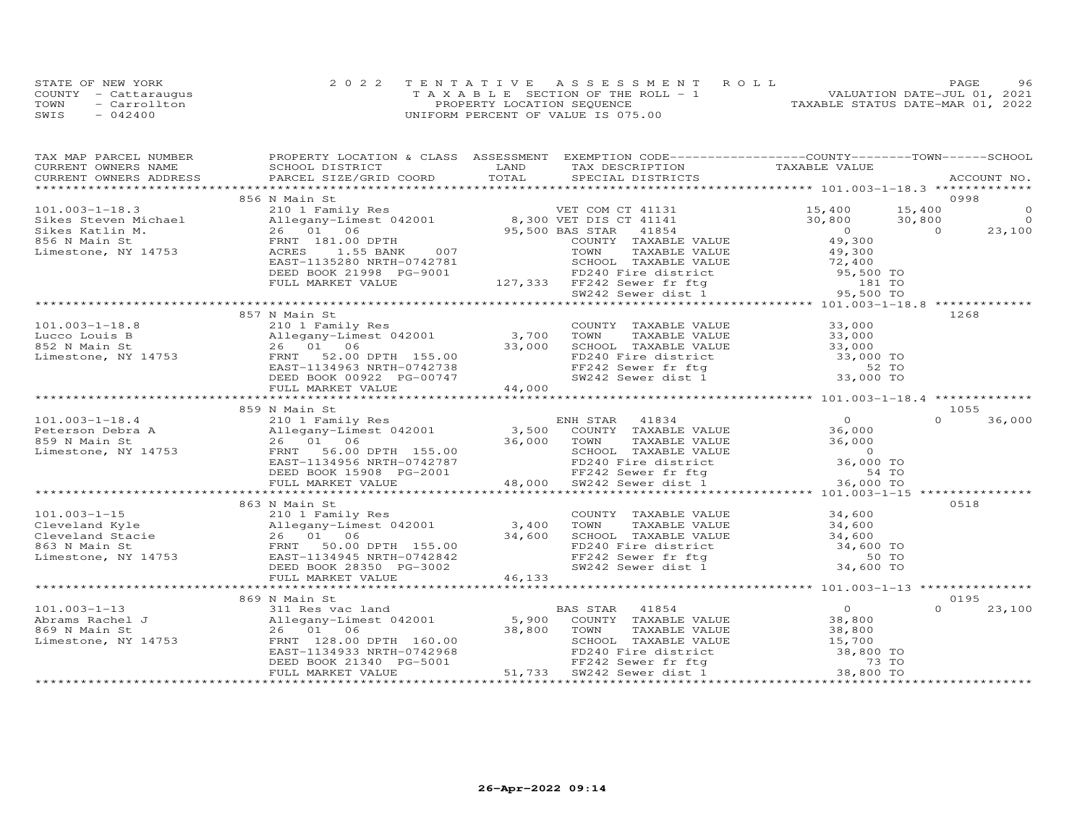|      | STATE OF NEW YORK    | 2022 TENTATIVE ASSESSMENT ROLL        | 96<br>PAGE.                      |
|------|----------------------|---------------------------------------|----------------------------------|
|      | COUNTY - Cattaraugus | T A X A B L E SECTION OF THE ROLL - 1 | VALUATION DATE-JUL 01, 2021      |
| TOWN | - Carrollton         | PROPERTY LOCATION SEQUENCE            | TAXABLE STATUS DATE-MAR 01, 2022 |
| SWIS | $-042400$            | UNIFORM PERCENT OF VALUE IS 075.00    |                                  |

| TAX MAP PARCEL NUMBER                                                                                                                                                                                                                                                                                                                                                                                      | PROPERTY LOCATION & CLASS ASSESSMENT EXEMPTION CODE----------------COUNTY-------TOWN------SCHOOL |  |                    |
|------------------------------------------------------------------------------------------------------------------------------------------------------------------------------------------------------------------------------------------------------------------------------------------------------------------------------------------------------------------------------------------------------------|--------------------------------------------------------------------------------------------------|--|--------------------|
|                                                                                                                                                                                                                                                                                                                                                                                                            |                                                                                                  |  |                    |
|                                                                                                                                                                                                                                                                                                                                                                                                            |                                                                                                  |  |                    |
|                                                                                                                                                                                                                                                                                                                                                                                                            | 856 N Main St                                                                                    |  | 0998               |
|                                                                                                                                                                                                                                                                                                                                                                                                            |                                                                                                  |  |                    |
|                                                                                                                                                                                                                                                                                                                                                                                                            |                                                                                                  |  |                    |
|                                                                                                                                                                                                                                                                                                                                                                                                            |                                                                                                  |  |                    |
|                                                                                                                                                                                                                                                                                                                                                                                                            |                                                                                                  |  |                    |
|                                                                                                                                                                                                                                                                                                                                                                                                            |                                                                                                  |  |                    |
|                                                                                                                                                                                                                                                                                                                                                                                                            |                                                                                                  |  |                    |
|                                                                                                                                                                                                                                                                                                                                                                                                            |                                                                                                  |  |                    |
|                                                                                                                                                                                                                                                                                                                                                                                                            |                                                                                                  |  |                    |
|                                                                                                                                                                                                                                                                                                                                                                                                            |                                                                                                  |  |                    |
|                                                                                                                                                                                                                                                                                                                                                                                                            |                                                                                                  |  |                    |
|                                                                                                                                                                                                                                                                                                                                                                                                            | 857 N Main St                                                                                    |  | 1268               |
|                                                                                                                                                                                                                                                                                                                                                                                                            |                                                                                                  |  |                    |
|                                                                                                                                                                                                                                                                                                                                                                                                            |                                                                                                  |  |                    |
|                                                                                                                                                                                                                                                                                                                                                                                                            |                                                                                                  |  |                    |
|                                                                                                                                                                                                                                                                                                                                                                                                            |                                                                                                  |  |                    |
|                                                                                                                                                                                                                                                                                                                                                                                                            |                                                                                                  |  |                    |
|                                                                                                                                                                                                                                                                                                                                                                                                            |                                                                                                  |  |                    |
|                                                                                                                                                                                                                                                                                                                                                                                                            |                                                                                                  |  |                    |
| $\begin{array}{cccccccc} 101.003-1-18.8 & 857\;N\; \mathrm{Malm\; St.}\\ \text{Lucco Louis B} & 210\;l\; \mathrm{Family\; Res} & 2101\;l\; \mathrm{Family\; Res} & 2101\;l\; \mathrm{Family\; Res} & 2101\;l\; \mathrm{Family\; Res} & 2101\;l\; \mathrm{Family\; Res} & 2101\;l\; \mathrm{Family\; Res} & 2101\;l\; \mathrm{Family\; Res} & 2101\;l\; \mathrm{Family\; Res} & 2101\;l\; \mathrm{Family\;$ |                                                                                                  |  |                    |
|                                                                                                                                                                                                                                                                                                                                                                                                            | 859 N Main St                                                                                    |  | 1055               |
| $\begin{array}{cccccccc} 101.003-1-18.4 & 859 N & \text{Man St} & 2101 Family Res & \text{ENH STAR} & 41834 & 0 & 1055 \\ \text{Peterson Debra A} & 2101 Family Res & 3,500 & \text{COUNTY TAXABLE VALUE} & 36,000 & 36,000 \\ 859 N & \text{Main St} & 26 & 01 & 06 & 36,000 \\ \text{Linear} & 26 & 01 & 06 & 36,000 \\ \text{Linear} & 26 & 01 & 06 & 36,000 \\ \text{Linear} & 26 & $                  |                                                                                                  |  |                    |
|                                                                                                                                                                                                                                                                                                                                                                                                            |                                                                                                  |  |                    |
|                                                                                                                                                                                                                                                                                                                                                                                                            |                                                                                                  |  |                    |
|                                                                                                                                                                                                                                                                                                                                                                                                            |                                                                                                  |  |                    |
|                                                                                                                                                                                                                                                                                                                                                                                                            |                                                                                                  |  |                    |
|                                                                                                                                                                                                                                                                                                                                                                                                            |                                                                                                  |  |                    |
|                                                                                                                                                                                                                                                                                                                                                                                                            |                                                                                                  |  |                    |
|                                                                                                                                                                                                                                                                                                                                                                                                            |                                                                                                  |  |                    |
|                                                                                                                                                                                                                                                                                                                                                                                                            | 863 N Main St                                                                                    |  | 0518               |
|                                                                                                                                                                                                                                                                                                                                                                                                            |                                                                                                  |  |                    |
|                                                                                                                                                                                                                                                                                                                                                                                                            |                                                                                                  |  |                    |
|                                                                                                                                                                                                                                                                                                                                                                                                            |                                                                                                  |  |                    |
| 101.003-1-15<br>Cleveland Kyle<br>Cleveland Kyle<br>26 01 06<br>ERNT 134945 NRTH-0742842<br>Limestone, NY 14753<br>THE BOOK 28350 PG-3002<br>THE MARKET VALUE<br>THE MARKET VALUE<br>26 01 06<br>26 01 06<br>26 01 06<br>26 01 06<br>26 01 06<br>26 01 06                                                                                                                                                  |                                                                                                  |  |                    |
|                                                                                                                                                                                                                                                                                                                                                                                                            |                                                                                                  |  |                    |
|                                                                                                                                                                                                                                                                                                                                                                                                            |                                                                                                  |  |                    |
|                                                                                                                                                                                                                                                                                                                                                                                                            |                                                                                                  |  |                    |
|                                                                                                                                                                                                                                                                                                                                                                                                            |                                                                                                  |  |                    |
|                                                                                                                                                                                                                                                                                                                                                                                                            | 869 N Main St                                                                                    |  | 0195               |
|                                                                                                                                                                                                                                                                                                                                                                                                            |                                                                                                  |  | $\Omega$<br>23,100 |
|                                                                                                                                                                                                                                                                                                                                                                                                            |                                                                                                  |  |                    |
|                                                                                                                                                                                                                                                                                                                                                                                                            |                                                                                                  |  |                    |
|                                                                                                                                                                                                                                                                                                                                                                                                            |                                                                                                  |  |                    |
|                                                                                                                                                                                                                                                                                                                                                                                                            |                                                                                                  |  |                    |
|                                                                                                                                                                                                                                                                                                                                                                                                            |                                                                                                  |  |                    |
| 101.003-1-13<br>Abrams Rachel J<br>Abrams Rachel J<br>Allegany-Limest 042001<br>26 01 06<br>Limestone, NY 14753<br>EED BOOK 21340 PG-5001<br>TAXABLE VALUE<br>26 01 06<br>28,800 TOWN TAXABLE VALUE<br>26 01 06<br>38,800 TOWN TAXABLE VALUE<br>26 01                                                                                                                                                      |                                                                                                  |  |                    |
|                                                                                                                                                                                                                                                                                                                                                                                                            |                                                                                                  |  |                    |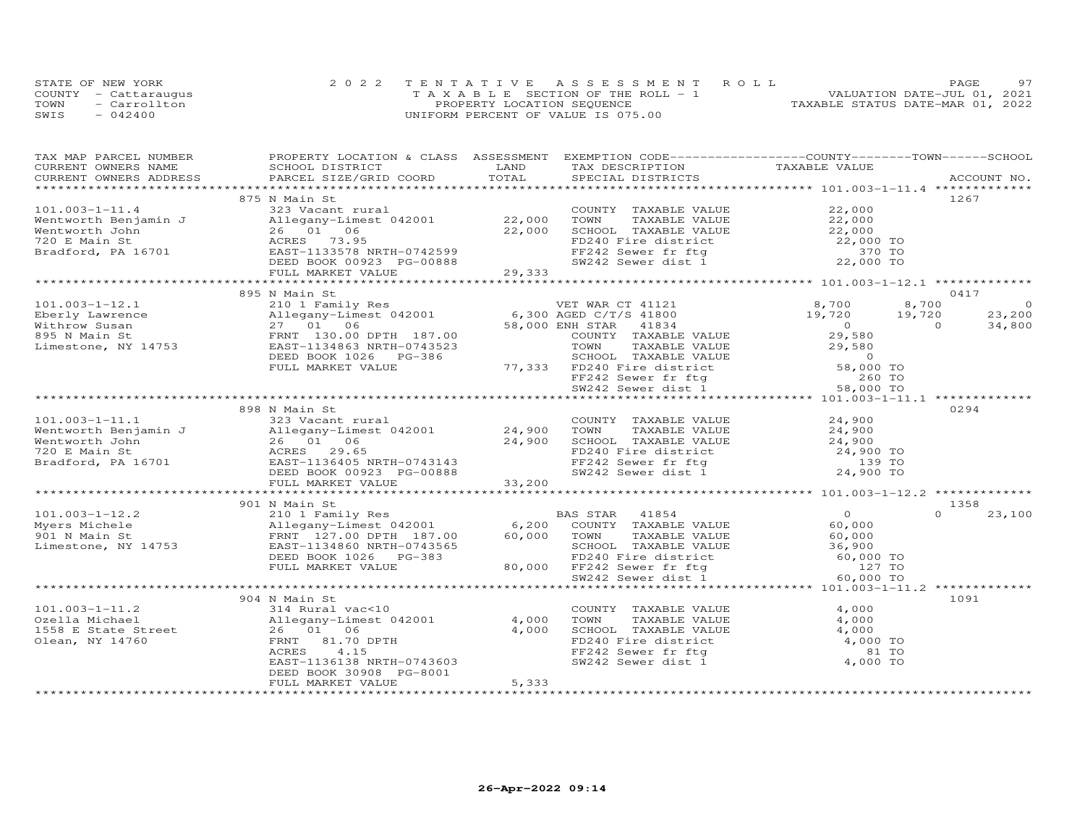|      | STATE OF NEW YORK    | 2022 TENTATIVE ASSESSMENT ROLL        | <b>PAGE</b>                      |
|------|----------------------|---------------------------------------|----------------------------------|
|      | COUNTY - Cattaraugus | T A X A B L E SECTION OF THE ROLL - 1 | VALUATION DATE-JUL 01, 2021      |
| TOWN | $=$ Carrollton       | PROPERTY LOCATION SEQUENCE            | TAXABLE STATUS DATE-MAR 01, 2022 |
| SWIS | $-042400$            | UNIFORM PERCENT OF VALUE IS 075.00    |                                  |

| TAX MAP PARCEL NUMBER                                                                                                                                                          | PROPERTY LOCATION & CLASS ASSESSMENT EXEMPTION CODE----------------COUNTY-------TOWN------SCHOOL                                                                         |               |                                                                                                                                   |                      |                          |
|--------------------------------------------------------------------------------------------------------------------------------------------------------------------------------|--------------------------------------------------------------------------------------------------------------------------------------------------------------------------|---------------|-----------------------------------------------------------------------------------------------------------------------------------|----------------------|--------------------------|
| CURRENT OWNERS NAME                                                                                                                                                            | SCHOOL DISTRICT                                                                                                                                                          | LAND<br>TOTAL | TAX DESCRIPTION                                                                                                                   | TAXABLE VALUE        |                          |
| CURRENT OWNERS ADDRESS                                                                                                                                                         | PARCEL SIZE/GRID COORD                                                                                                                                                   |               | SPECIAL DISTRICTS                                                                                                                 |                      | ACCOUNT NO.              |
|                                                                                                                                                                                | 875 N Main St                                                                                                                                                            |               |                                                                                                                                   |                      | 1267                     |
| $101.003 - 1 - 11.4$                                                                                                                                                           | 323 Vacant rural                                                                                                                                                         |               | COUNTY TAXABLE VALUE                                                                                                              | 22,000               |                          |
| Wentworth Benjamin J                                                                                                                                                           | Allegany-Limest 042001 22,000                                                                                                                                            |               | TOWN<br>TAXABLE VALUE                                                                                                             |                      |                          |
| Wentworth John                                                                                                                                                                 | 26 01 06                                                                                                                                                                 | 22,000        |                                                                                                                                   | 22,000               |                          |
| 720 E Main St                                                                                                                                                                  | ACRES 73.95                                                                                                                                                              |               | SCHOOL TAXABLE VALUE 22,000<br>FD240 Fire district 22,000 TO<br>FF242 Sewer fr ftg 370 TO<br>SW242 Sewer dist 1 22,000 TO         |                      |                          |
| Bradford, PA 16701                                                                                                                                                             | EAST-1133578 NRTH-0742599                                                                                                                                                |               |                                                                                                                                   |                      |                          |
|                                                                                                                                                                                | DEED BOOK 00923 PG-00888                                                                                                                                                 |               |                                                                                                                                   |                      |                          |
|                                                                                                                                                                                | FULL MARKET VALUE                                                                                                                                                        | 29,333        |                                                                                                                                   |                      |                          |
|                                                                                                                                                                                |                                                                                                                                                                          |               |                                                                                                                                   |                      |                          |
|                                                                                                                                                                                | 895 N Main St                                                                                                                                                            |               |                                                                                                                                   |                      | 0417                     |
| $101.003 - 1 - 12.1$                                                                                                                                                           |                                                                                                                                                                          |               |                                                                                                                                   | 8,700                | 8,700<br>$\Omega$        |
| Eberly Lawrence                                                                                                                                                                | $\begin{tabular}{lllllllllll} \bf 210 & I\ \bf Family\ Res & & \tt VET\ WAR\ CT\ 41121 \\ \bf Allegany-Limest\ 042001 & & \tt6,300\ AGED\ C/T/S\ 41800 \\ \end{tabular}$ |               |                                                                                                                                   | 19,720 19,720        | 23,200                   |
| Withrow Susan                                                                                                                                                                  | Allegany-Limest 042001<br>27 01 06<br>FRNT 130.00 DPTH 187.00<br>753 EAST-1134863 NRTH-0743523                                                                           |               | 58,000 ENH STAR 41834                                                                                                             | $\overline{0}$       | $\overline{0}$<br>34,800 |
| 895 N Main St                                                                                                                                                                  |                                                                                                                                                                          |               | COUNTY TAXABLE VALUE                                                                                                              | 29,580               |                          |
| Limestone, NY 14753                                                                                                                                                            | EAST-1134863 NRTH-0743523                                                                                                                                                |               | TOWN<br>TAXABLE VALUE                                                                                                             | 29,580               |                          |
|                                                                                                                                                                                | DEED BOOK 1026 PG-386                                                                                                                                                    |               |                                                                                                                                   |                      |                          |
|                                                                                                                                                                                | FULL MARKET VALUE                                                                                                                                                        |               |                                                                                                                                   |                      |                          |
|                                                                                                                                                                                |                                                                                                                                                                          |               |                                                                                                                                   |                      |                          |
|                                                                                                                                                                                |                                                                                                                                                                          |               | EXERIBILY VALUE<br>SCHOOL TAXABLE VALUE<br>The district 58,000 TO<br>FF242 Sewer dist 1 58,000 TO<br>SW242 Sewer dist 1 58,000 TO |                      |                          |
|                                                                                                                                                                                |                                                                                                                                                                          |               |                                                                                                                                   |                      |                          |
|                                                                                                                                                                                | 898 N Main St                                                                                                                                                            |               |                                                                                                                                   |                      | 0294                     |
| $101.003 - 1 - 11.1$                                                                                                                                                           | 323 Vacant rural                                                                                                                                                         |               | COUNTY TAXABLE VALUE                                                                                                              | 24,900               |                          |
| Ventworth Benjamin J<br>Wentworth Benjamin J<br>Wentworth John 26 01 06 24,900<br>720 E Main St 24,900<br>8120 E Main St 29.65<br>Bradford, PA 16701 EAST-1136405 NRTH-0743143 |                                                                                                                                                                          |               | TOWN<br>TAXABLE VALUE                                                                                                             |                      |                          |
|                                                                                                                                                                                |                                                                                                                                                                          |               |                                                                                                                                   | $24,900$<br>$24,900$ |                          |
|                                                                                                                                                                                |                                                                                                                                                                          |               |                                                                                                                                   |                      |                          |
|                                                                                                                                                                                |                                                                                                                                                                          |               | TOWN TAXABLE VALUE<br>SCHOOL TAXABLE VALUE<br>FD240 Fire district<br>The fritt of the 139 TO<br>139 TO<br>24 900 TO               |                      |                          |
|                                                                                                                                                                                | DEED BOOK 00923 PG-00888                                                                                                                                                 |               | FF242 Sewer fr ftg<br>SW242 Sewer dist 1                                                                                          | 24,900 TO            |                          |
|                                                                                                                                                                                | FULL MARKET VALUE                                                                                                                                                        | 33,200        |                                                                                                                                   |                      |                          |
|                                                                                                                                                                                |                                                                                                                                                                          |               |                                                                                                                                   |                      |                          |
|                                                                                                                                                                                | 901 N Main St                                                                                                                                                            |               |                                                                                                                                   |                      | 1358                     |
| $101.003 - 1 - 12.2$                                                                                                                                                           | 210 1 Family Res BP<br>Allegany-Limest 042001 6,200                                                                                                                      |               | BAS STAR 41854                                                                                                                    | $\overline{O}$       | $\cap$<br>23,100         |
| Myers Michele                                                                                                                                                                  |                                                                                                                                                                          |               | COUNTY TAXABLE VALUE                                                                                                              | 60,000               |                          |
| 901 N Main St                                                                                                                                                                  | FRNT 127.00 DPTH 187.00                                                                                                                                                  |               | 60,000 TOWN<br>TAXABLE VALUE                                                                                                      | 60,000               |                          |
| Limestone, NY 14753                                                                                                                                                            | EAST-1134860 NRTH-0743565                                                                                                                                                |               | SCHOOL TAXABLE VALUE                                                                                                              | 36,900               |                          |
|                                                                                                                                                                                | DEED BOOK 1026 PG-383                                                                                                                                                    |               |                                                                                                                                   | 60,000 TO            |                          |
|                                                                                                                                                                                | FULL MARKET VALUE                                                                                                                                                        |               |                                                                                                                                   | 127 TO               |                          |
|                                                                                                                                                                                |                                                                                                                                                                          |               | SUNDER FIRE district<br>FD240 Fire district<br>80,000 FF242 Sewer fr ftg<br>SW242 Sewer dist 1                                    | 60,000 TO            |                          |
|                                                                                                                                                                                |                                                                                                                                                                          |               |                                                                                                                                   |                      |                          |
|                                                                                                                                                                                | 904 N Main St                                                                                                                                                            |               |                                                                                                                                   |                      | 1091                     |
| $101.003 - 1 - 11.2$                                                                                                                                                           | 314 Rural vac<10                                                                                                                                                         |               | COUNTY TAXABLE VALUE                                                                                                              | 4,000                |                          |
| Ozella Michael                                                                                                                                                                 | Allegany-Limest 042001                                                                                                                                                   | 4,000         | TOWN<br>TAXABLE VALUE                                                                                                             | 4,000                |                          |
| 1558 E State Street                                                                                                                                                            | 26 01 06                                                                                                                                                                 | 4,000         | SCHOOL TAXABLE VALUE 4,000<br>FD240 Fire district 4,000 TO                                                                        |                      |                          |
| Olean, NY 14760                                                                                                                                                                | FRNT 81.70 DPTH                                                                                                                                                          |               |                                                                                                                                   |                      |                          |
|                                                                                                                                                                                | ACRES<br>4.15                                                                                                                                                            |               | FF242 Sewer fr ftg                                                                                                                | 81 TO                |                          |
|                                                                                                                                                                                | EAST-1136138 NRTH-0743603                                                                                                                                                |               | SW242 Sewer dist $1$                                                                                                              | 4,000 TO             |                          |
|                                                                                                                                                                                | DEED BOOK 30908 PG-8001                                                                                                                                                  |               |                                                                                                                                   |                      |                          |
|                                                                                                                                                                                | FULL MARKET VALUE                                                                                                                                                        | 5,333         |                                                                                                                                   |                      |                          |
|                                                                                                                                                                                |                                                                                                                                                                          |               |                                                                                                                                   |                      |                          |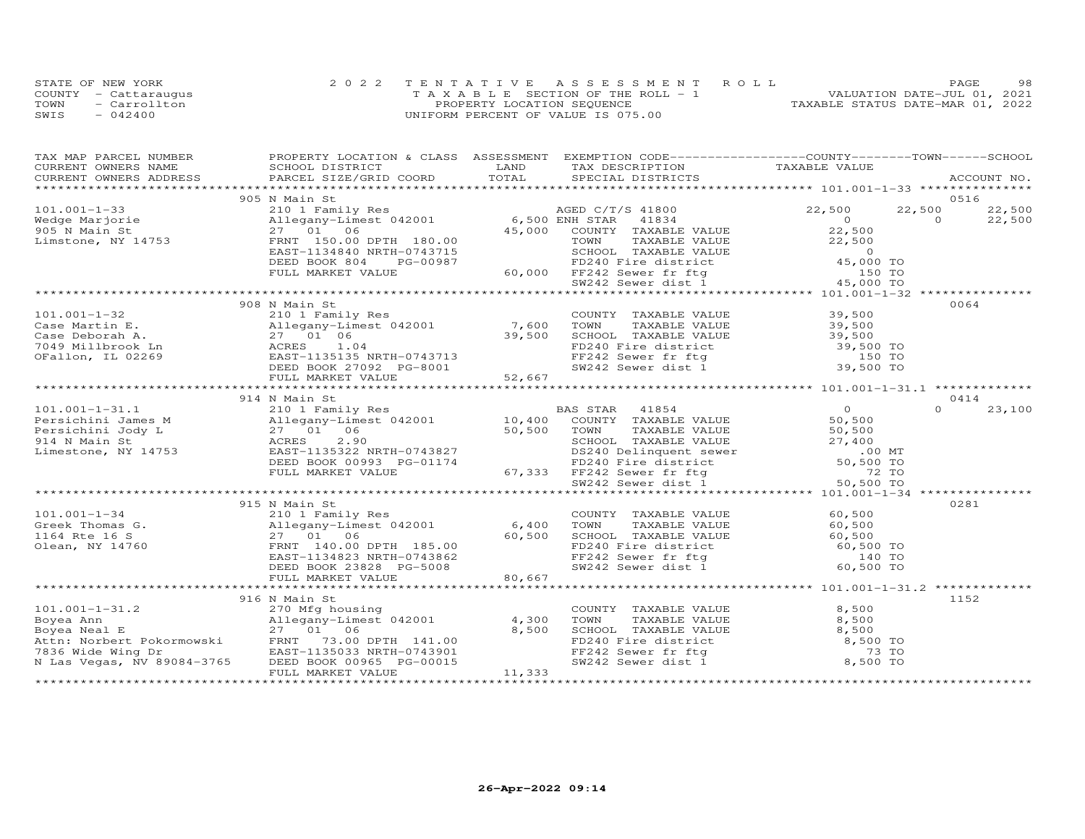|      | STATE OF NEW YORK    | 2022 TENTATIVE ASSESSMENT ROLL        | 98<br>PAGE                       |
|------|----------------------|---------------------------------------|----------------------------------|
|      | COUNTY - Cattaraugus | T A X A B L E SECTION OF THE ROLL - 1 | VALUATION DATE-JUL 01, 2021      |
| TOWN | - Carrollton         | PROPERTY LOCATION SEQUENCE            | TAXABLE STATUS DATE-MAR 01, 2022 |
| SWIS | $-042400$            | UNIFORM PERCENT OF VALUE IS 075.00    |                                  |

| TAX MAP PARCEL NUMBER<br>CURRENT OWNERS NAME                                                                                                                                                                                   | PROPERTY LOCATION & CLASS ASSESSMENT<br>SCHOOL DISTRICT                                                                                                                                                                                                                                                                                                                                                                                                                                                 | LAND   | EXEMPTION CODE-----------------COUNTY-------TOWN------SCHOOL<br>TAX DESCRIPTION TAXABLE VALUE                                                        |                                                  |                    |
|--------------------------------------------------------------------------------------------------------------------------------------------------------------------------------------------------------------------------------|---------------------------------------------------------------------------------------------------------------------------------------------------------------------------------------------------------------------------------------------------------------------------------------------------------------------------------------------------------------------------------------------------------------------------------------------------------------------------------------------------------|--------|------------------------------------------------------------------------------------------------------------------------------------------------------|--------------------------------------------------|--------------------|
| CURRENT OWNERS ADDRESS                                                                                                                                                                                                         | .CURRENT OWNERS ADDRESS PARCEL SIZE/GRID COORD TOTAL SPECIAL DISTRICTS ACCOUNT NO ACCOUNT NO ACCOUNT NO ACCOUNT                                                                                                                                                                                                                                                                                                                                                                                         |        |                                                                                                                                                      |                                                  | ACCOUNT NO.        |
|                                                                                                                                                                                                                                |                                                                                                                                                                                                                                                                                                                                                                                                                                                                                                         |        |                                                                                                                                                      |                                                  |                    |
|                                                                                                                                                                                                                                | 905 N Main St                                                                                                                                                                                                                                                                                                                                                                                                                                                                                           |        |                                                                                                                                                      |                                                  | 0516               |
| $101.001 - 1 - 33$                                                                                                                                                                                                             |                                                                                                                                                                                                                                                                                                                                                                                                                                                                                                         |        |                                                                                                                                                      |                                                  | 22,500<br>22,500   |
| Wedge Marjorie<br>905 N Main St<br>Limstone, NY 14753                                                                                                                                                                          |                                                                                                                                                                                                                                                                                                                                                                                                                                                                                                         |        |                                                                                                                                                      |                                                  | $\Omega$<br>22,500 |
|                                                                                                                                                                                                                                |                                                                                                                                                                                                                                                                                                                                                                                                                                                                                                         |        |                                                                                                                                                      |                                                  |                    |
|                                                                                                                                                                                                                                |                                                                                                                                                                                                                                                                                                                                                                                                                                                                                                         |        |                                                                                                                                                      |                                                  |                    |
|                                                                                                                                                                                                                                |                                                                                                                                                                                                                                                                                                                                                                                                                                                                                                         |        |                                                                                                                                                      |                                                  |                    |
|                                                                                                                                                                                                                                |                                                                                                                                                                                                                                                                                                                                                                                                                                                                                                         |        |                                                                                                                                                      |                                                  |                    |
|                                                                                                                                                                                                                                |                                                                                                                                                                                                                                                                                                                                                                                                                                                                                                         |        |                                                                                                                                                      |                                                  |                    |
|                                                                                                                                                                                                                                | N MAIN STRING HEMILY Res<br>210 1 Family Res<br>22,500 22<br>Allegany-Limest 042001 6,500 ENH STAR 41834 0<br>27 01 06 45,000 COUNTY TAXABLE VALUE 22,500 TOWN TAXABLE VALUE 22,500<br>FRNT 150.00 DPTH 180.00 TOWN TAXABLE VALUE 22,500                                                                                                                                                                                                                                                                |        |                                                                                                                                                      |                                                  |                    |
|                                                                                                                                                                                                                                | 908 N Main St                                                                                                                                                                                                                                                                                                                                                                                                                                                                                           |        |                                                                                                                                                      |                                                  | 0064               |
| $101.001 - 1 - 32$                                                                                                                                                                                                             |                                                                                                                                                                                                                                                                                                                                                                                                                                                                                                         |        |                                                                                                                                                      |                                                  |                    |
|                                                                                                                                                                                                                                |                                                                                                                                                                                                                                                                                                                                                                                                                                                                                                         |        |                                                                                                                                                      |                                                  |                    |
|                                                                                                                                                                                                                                |                                                                                                                                                                                                                                                                                                                                                                                                                                                                                                         |        |                                                                                                                                                      |                                                  |                    |
| Case Martin E.<br>Case Martin E.<br>Case Deborah A.<br>7049 Millbrook Ln (27 01)<br>7049 Millbrook Ln (27 01)<br>705 DEED BOOK                                                                                                 |                                                                                                                                                                                                                                                                                                                                                                                                                                                                                                         |        |                                                                                                                                                      |                                                  |                    |
|                                                                                                                                                                                                                                |                                                                                                                                                                                                                                                                                                                                                                                                                                                                                                         |        |                                                                                                                                                      |                                                  |                    |
|                                                                                                                                                                                                                                |                                                                                                                                                                                                                                                                                                                                                                                                                                                                                                         |        |                                                                                                                                                      |                                                  |                    |
|                                                                                                                                                                                                                                |                                                                                                                                                                                                                                                                                                                                                                                                                                                                                                         |        |                                                                                                                                                      |                                                  |                    |
|                                                                                                                                                                                                                                | .01.001-1-32 908 N Main St<br>2008 N Main Strainly Res<br>201 FaxaBLE VALUE 39,500<br>201 FAXABLE VALUE 39,500<br>27 01 06 39,500 500 500 39,500 500 39,500 500 39,500 500 39,500<br>27 01 06 27 01 06 39,500 500 500 500 500 500 500 5<br>1.001-1-31.1<br>Persichini James M<br>Persichini James M<br>Persichini James M<br>Persichini James M<br>Persichini James M<br>Persichini James M<br>27 01 06<br>27 01 06<br>27 01 06<br>27 01 06<br>29 10 06<br>27 01 06<br>29 10 06<br>27 01 06<br>29 10 06 |        |                                                                                                                                                      |                                                  |                    |
|                                                                                                                                                                                                                                |                                                                                                                                                                                                                                                                                                                                                                                                                                                                                                         |        |                                                                                                                                                      | $\frac{0}{50}$                                   | 0414               |
|                                                                                                                                                                                                                                |                                                                                                                                                                                                                                                                                                                                                                                                                                                                                                         |        |                                                                                                                                                      |                                                  | $\Omega$<br>23,100 |
|                                                                                                                                                                                                                                |                                                                                                                                                                                                                                                                                                                                                                                                                                                                                                         |        |                                                                                                                                                      |                                                  |                    |
|                                                                                                                                                                                                                                |                                                                                                                                                                                                                                                                                                                                                                                                                                                                                                         |        |                                                                                                                                                      |                                                  |                    |
|                                                                                                                                                                                                                                |                                                                                                                                                                                                                                                                                                                                                                                                                                                                                                         |        |                                                                                                                                                      |                                                  |                    |
|                                                                                                                                                                                                                                |                                                                                                                                                                                                                                                                                                                                                                                                                                                                                                         |        |                                                                                                                                                      |                                                  |                    |
|                                                                                                                                                                                                                                |                                                                                                                                                                                                                                                                                                                                                                                                                                                                                                         |        |                                                                                                                                                      |                                                  |                    |
|                                                                                                                                                                                                                                |                                                                                                                                                                                                                                                                                                                                                                                                                                                                                                         |        |                                                                                                                                                      |                                                  |                    |
|                                                                                                                                                                                                                                |                                                                                                                                                                                                                                                                                                                                                                                                                                                                                                         |        |                                                                                                                                                      |                                                  |                    |
|                                                                                                                                                                                                                                |                                                                                                                                                                                                                                                                                                                                                                                                                                                                                                         |        |                                                                                                                                                      |                                                  |                    |
|                                                                                                                                                                                                                                | 915 N Main St                                                                                                                                                                                                                                                                                                                                                                                                                                                                                           |        |                                                                                                                                                      |                                                  | 0281               |
| $101.001 - 1 - 34$                                                                                                                                                                                                             | 210 1 Family Res                                                                                                                                                                                                                                                                                                                                                                                                                                                                                        |        | TAXABLE VALUE 60,500<br>TAXABLE VALUE 60,500<br>COUNTY TAXABLE VALUE<br>TOWN                                                                         |                                                  |                    |
|                                                                                                                                                                                                                                |                                                                                                                                                                                                                                                                                                                                                                                                                                                                                                         |        |                                                                                                                                                      |                                                  |                    |
|                                                                                                                                                                                                                                | Creek Thomas G.<br>Creek Thomas G.<br>27 01 06 60,500<br>1164 Rte 16 S 27 01 06 60,500<br>27 01 06 60,500<br>27 01 06 60,500<br>FRNT 140.00 DPTH 185.00 60,500<br>EAST-1134823 NRTH-0743862<br>DEED BOOK 23828 PG-5008                                                                                                                                                                                                                                                                                  |        | SCHOOL TAXABLE VALUE 60,500<br>FD240 Fire district 60,500 TO<br>FF242 Sewer fr ftg 140 TO<br>SW242 Sewer dist 1 60,500 TO                            |                                                  |                    |
|                                                                                                                                                                                                                                |                                                                                                                                                                                                                                                                                                                                                                                                                                                                                                         |        |                                                                                                                                                      |                                                  |                    |
|                                                                                                                                                                                                                                |                                                                                                                                                                                                                                                                                                                                                                                                                                                                                                         |        |                                                                                                                                                      |                                                  |                    |
|                                                                                                                                                                                                                                | FULL MARKET VALUE                                                                                                                                                                                                                                                                                                                                                                                                                                                                                       | 80,667 |                                                                                                                                                      |                                                  |                    |
|                                                                                                                                                                                                                                |                                                                                                                                                                                                                                                                                                                                                                                                                                                                                                         |        |                                                                                                                                                      | ********************* 101.001-1-31.2 *********** |                    |
|                                                                                                                                                                                                                                | 916 N Main St                                                                                                                                                                                                                                                                                                                                                                                                                                                                                           |        |                                                                                                                                                      |                                                  | 1152               |
| $101.001 - 1 - 31.2$                                                                                                                                                                                                           |                                                                                                                                                                                                                                                                                                                                                                                                                                                                                                         |        |                                                                                                                                                      | 8,500                                            |                    |
| Polyea Ann an ann an a-chuid air ann an a-chuid air ann a-chuid air an a-chuid air an a-chuid air ann an a-chuid air ann an a-chuid air ann a-chuid air ann a-chuid air ann a-chuid air ann a-chuid air ann a-chuid air ann a- | 270 Mfg housing<br>Allegany-Limest 042001 4,300<br>27 01 06 8 500                                                                                                                                                                                                                                                                                                                                                                                                                                       |        |                                                                                                                                                      |                                                  |                    |
|                                                                                                                                                                                                                                | 27 01 06                                                                                                                                                                                                                                                                                                                                                                                                                                                                                                | 8,500  |                                                                                                                                                      |                                                  |                    |
|                                                                                                                                                                                                                                |                                                                                                                                                                                                                                                                                                                                                                                                                                                                                                         |        |                                                                                                                                                      |                                                  |                    |
|                                                                                                                                                                                                                                | EAST-1135033 NRTH-0743901                                                                                                                                                                                                                                                                                                                                                                                                                                                                               |        |                                                                                                                                                      |                                                  |                    |
| N Las Vegas, NV 89084-3765                                                                                                                                                                                                     | 73.00 DPTH 141.00<br>-1135033 NRTH-0743901<br>BOOK 00965 PG-00015<br>DEED BOOK 00965 PG-00015                                                                                                                                                                                                                                                                                                                                                                                                           |        | TOWN TAXABLE VALUE 8,500<br>SCHOOL TAXABLE VALUE 8,500<br>FD240 Fire district 8,500 TO<br>FF242 Sewer fr ftg 8,500 TO<br>SW242 Sewer dist 1 8,500 TO |                                                  |                    |
|                                                                                                                                                                                                                                | FULL MARKET VALUE                                                                                                                                                                                                                                                                                                                                                                                                                                                                                       | 11,333 |                                                                                                                                                      |                                                  |                    |
|                                                                                                                                                                                                                                |                                                                                                                                                                                                                                                                                                                                                                                                                                                                                                         |        |                                                                                                                                                      |                                                  |                    |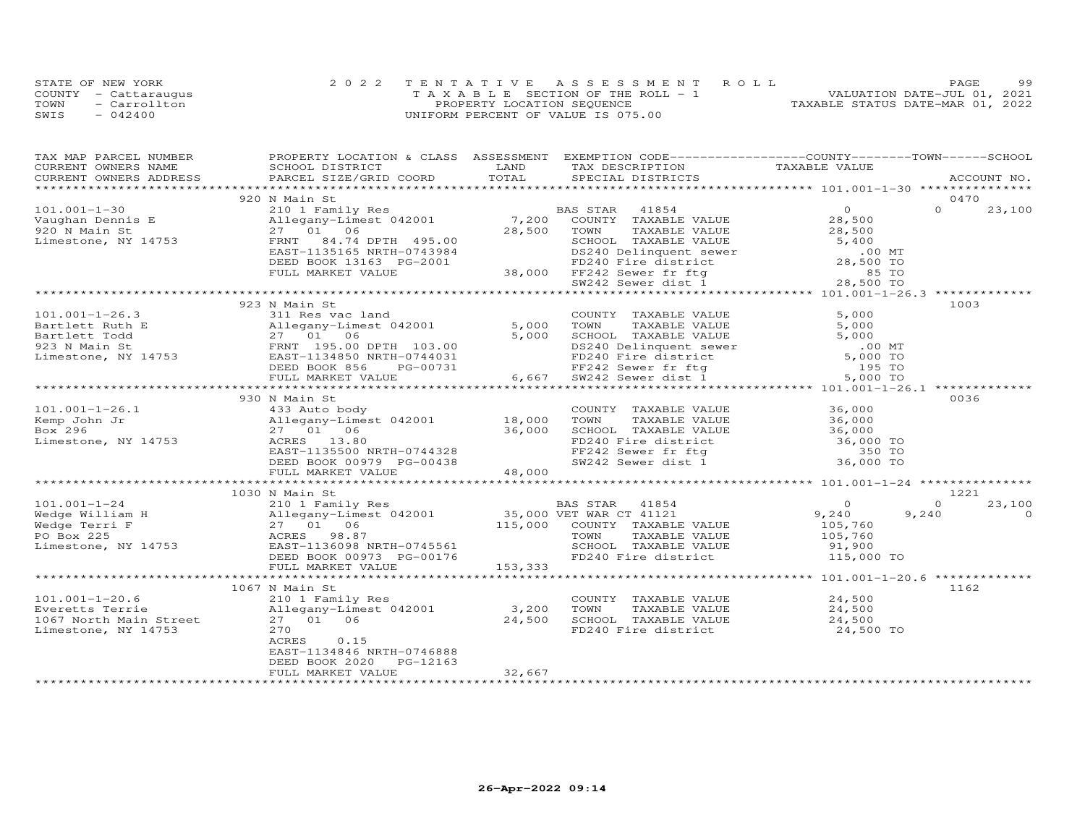|      | STATE OF NEW YORK    | 2022 TENTATIVE ASSESSMENT ROLL        | 99<br>PAGE                       |
|------|----------------------|---------------------------------------|----------------------------------|
|      | COUNTY - Cattaraugus | T A X A B L E SECTION OF THE ROLL - 1 | VALUATION DATE-JUL 01, 2021      |
| TOWN | - Carrollton         | PROPERTY LOCATION SEQUENCE            | TAXABLE STATUS DATE-MAR 01, 2022 |
| SWIS | $-042400$            | UNIFORM PERCENT OF VALUE IS 075.00    |                                  |

| TAX MAP PARCEL NUMBER          | PROPERTY LOCATION & CLASS ASSESSMENT EXEMPTION CODE----------------COUNTY-------TOWN------SCHOOL |         |                                                                                                                                         |                      |                    |
|--------------------------------|--------------------------------------------------------------------------------------------------|---------|-----------------------------------------------------------------------------------------------------------------------------------------|----------------------|--------------------|
| CURRENT OWNERS NAME            | SCHOOL DISTRICT                                                                                  | LAND    | TAX DESCRIPTION                                                                                                                         | TAXABLE VALUE        |                    |
| CURRENT OWNERS ADDRESS         | PARCEL SIZE/GRID COORD                                                                           | TOTAL   | SPECIAL DISTRICTS                                                                                                                       |                      | ACCOUNT NO.        |
|                                |                                                                                                  |         |                                                                                                                                         |                      |                    |
|                                | 920 N Main St                                                                                    |         |                                                                                                                                         |                      | 0470               |
| $101.001 - 1 - 30$             | 210 1 Family Res                                                                                 |         | 41854<br>BAS STAR                                                                                                                       | $\Omega$             | $\Omega$<br>23,100 |
| Vaughan Dennis E               | Allegany-Limest 042001 7,200                                                                     |         | COUNTY TAXABLE VALUE                                                                                                                    | 28,500               |                    |
| 920 N Main St                  | 27 01 06                                                                                         | 28,500  | TOWN<br>TAXABLE VALUE                                                                                                                   | 28,500               |                    |
| Limestone, NY 14753            | 84.74 DPTH 495.00<br>FRNT                                                                        |         | SCHOOL TAXABLE VALUE                                                                                                                    | 5,400                |                    |
|                                | EAST-1135165 NRTH-0743984                                                                        |         |                                                                                                                                         |                      |                    |
|                                | DEED BOOK 13163 PG-2001                                                                          |         | DS240 Delinquent sewer<br>FD240 Fire district<br>38,000 FF242 Sewer fr ftg 85 TO<br>SW242 Sewer dist 1 28,500 TO                        |                      |                    |
|                                | FULL MARKET VALUE                                                                                |         |                                                                                                                                         |                      |                    |
|                                |                                                                                                  |         |                                                                                                                                         |                      |                    |
|                                |                                                                                                  |         |                                                                                                                                         |                      |                    |
|                                | 923 N Main St                                                                                    |         |                                                                                                                                         |                      | 1003               |
| $101.001 - 1 - 26.3$           | 311 Res vac land                                                                                 | 5,000   | COUNTY TAXABLE VALUE                                                                                                                    | 5,000                |                    |
| Bartlett Ruth E                | Allegany-Limest 042001                                                                           |         | TOWN<br>TAXABLE VALUE                                                                                                                   | 5,000                |                    |
| Bartlett Todd<br>923 N Main St | 27 01 06<br>FRNT 195.00DPTH 103.00<br>EAST-1134850NRTH-0744031                                   | 5,000   | TOWN TAXABLE VALUE<br>SCHOOL TAXABLE VALUE<br>DS240 Delinquent sewer<br>FD240 Fire district<br>FF242 Sewer fr ftg<br>CW242 Sewer dist 1 | 5,000<br>.00 MT      |                    |
|                                | EAST-1134850 NRTH-0744031                                                                        |         |                                                                                                                                         |                      |                    |
| Limestone, NY 14753            | DEED BOOK 856<br>PG-00731                                                                        |         |                                                                                                                                         | $5,000$ TO<br>195 TO |                    |
|                                | FULL MARKET VALUE                                                                                | 6,667   |                                                                                                                                         | 5,000 TO             |                    |
|                                |                                                                                                  |         |                                                                                                                                         |                      |                    |
|                                | 930 N Main St                                                                                    |         |                                                                                                                                         |                      | 0036               |
| $101.001 - 1 - 26.1$           | 433 Auto body                                                                                    |         | COUNTY TAXABLE VALUE                                                                                                                    |                      |                    |
| Kemp John Jr                   | 433 Auto body<br>Allegany-Limest 042001               18,000                                     |         | TOWN<br>TAXABLE VALUE                                                                                                                   | 36,000               |                    |
| Box 296                        | 27 01 06                                                                                         | 36,000  |                                                                                                                                         |                      |                    |
| Limestone, NY 14753            | ACRES 13.80                                                                                      |         | SCHOOL TAXABLE VALUE $36,000$<br>FD240 Fire district $36,000$ TO<br>FF242 Sewer fr ftg 350 TO<br>SW242 Sewer dist 1 36,000 TO           |                      |                    |
|                                | EAST-1135500 NRTH-0744328                                                                        |         |                                                                                                                                         |                      |                    |
|                                | DEED BOOK 00979 PG-00438                                                                         |         |                                                                                                                                         |                      |                    |
|                                | FULL MARKET VALUE                                                                                | 48,000  |                                                                                                                                         |                      |                    |
|                                |                                                                                                  |         |                                                                                                                                         |                      |                    |
|                                | 1030 N Main St                                                                                   |         |                                                                                                                                         |                      | 1221               |
| $101.001 - 1 - 24$             | 210 1 Family Res                                                                                 |         | BAS STAR<br>41854                                                                                                                       | $\circ$              | 23,100<br>$\Omega$ |
| Wedge William H                |                                                                                                  |         |                                                                                                                                         | 9,240                | 9,240<br>$\Omega$  |
| Wedge Terri F                  | 210 - Lamers 1942001 15,000 VET WAR CT 41121<br>27 01 06 115,000 COUNTY TAXABLE VALUE            |         |                                                                                                                                         | 105,760              |                    |
| PO Box 225                     | ACRES 98.87                                                                                      |         | TOWN<br>TAXABLE VALUE                                                                                                                   | 105,760              |                    |
| Limestone, NY 14753            | EAST-1136098 NRTH-0745561                                                                        |         | SCHOOL TAXABLE VALUE                                                                                                                    | 91,900               |                    |
|                                | DEED BOOK 00973 PG-00176                                                                         |         | FD240 Fire district                                                                                                                     | 115,000 TO           |                    |
|                                | FULL MARKET VALUE                                                                                | 153,333 |                                                                                                                                         |                      |                    |
|                                |                                                                                                  |         |                                                                                                                                         |                      |                    |
|                                | 1067 N Main St                                                                                   |         |                                                                                                                                         |                      | 1162               |
| $101.001 - 1 - 20.6$           | 210 1 Family Res                                                                                 |         | COUNTY TAXABLE VALUE                                                                                                                    | 24,500               |                    |
| Everetts Terrie                | Allegany-Limest 042001                                                                           | 3,200   | TOWN<br>TAXABLE VALUE                                                                                                                   | 24,500               |                    |
| 1067 North Main Street         | 27 01 06                                                                                         | 24,500  | SCHOOL TAXABLE VALUE                                                                                                                    | 24,500               |                    |
| Limestone, NY 14753            | 270                                                                                              |         | FD240 Fire district                                                                                                                     | 24,500 TO            |                    |
|                                | ACRES<br>0.15                                                                                    |         |                                                                                                                                         |                      |                    |
|                                | EAST-1134846 NRTH-0746888                                                                        |         |                                                                                                                                         |                      |                    |
|                                | PG-12163<br>DEED BOOK 2020                                                                       |         |                                                                                                                                         |                      |                    |
|                                | FULL MARKET VALUE                                                                                | 32,667  |                                                                                                                                         |                      |                    |
|                                |                                                                                                  |         |                                                                                                                                         |                      |                    |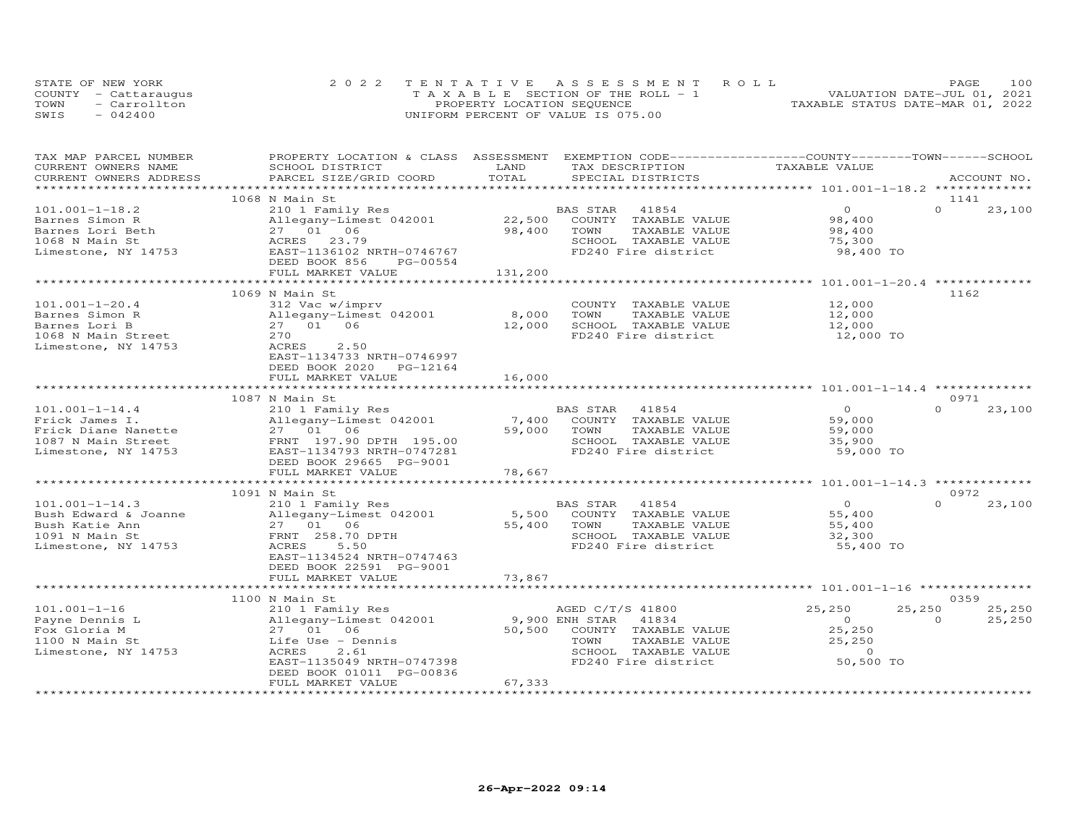| STATE OF NEW YORK    | 2022 TENTATIVE ASSESSMENT ROLL        | 100<br>PAGE.                     |
|----------------------|---------------------------------------|----------------------------------|
| COUNTY - Cattaraugus | T A X A B L E SECTION OF THE ROLL - 1 | VALUATION DATE-JUL 01, 2021      |
| TOWN<br>- Carrollton | PROPERTY LOCATION SEQUENCE            | TAXABLE STATUS DATE-MAR 01, 2022 |
| SWIS<br>$-042400$    | UNIFORM PERCENT OF VALUE IS 075.00    |                                  |

| TAX MAP PARCEL NUMBER  | PROPERTY LOCATION & CLASS ASSESSMENT |                    | EXEMPTION CODE-----------------COUNTY-------TOWN------SCHOOL |                  |                    |
|------------------------|--------------------------------------|--------------------|--------------------------------------------------------------|------------------|--------------------|
| CURRENT OWNERS NAME    | SCHOOL DISTRICT                      | LAND<br>TOTAL      | TAX DESCRIPTION                                              | TAXABLE VALUE    |                    |
| CURRENT OWNERS ADDRESS | PARCEL SIZE/GRID COORD               |                    | SPECIAL DISTRICTS                                            |                  | ACCOUNT NO.        |
|                        | 1068 N Main St                       |                    |                                                              |                  | 1141               |
| $101.001 - 1 - 18.2$   | 210 1 Family Res                     |                    | BAS STAR<br>41854                                            | $\Omega$         | $\Omega$<br>23,100 |
| Barnes Simon R         | Allegany-Limest 042001               | 22,500             | COUNTY<br>TAXABLE VALUE                                      | 98,400           |                    |
| Barnes Lori Beth       | 27 01 06                             | 98,400             | TOWN<br>TAXABLE VALUE                                        | 98,400           |                    |
| 1068 N Main St         | ACRES<br>23.79                       |                    | SCHOOL TAXABLE VALUE                                         | 75,300           |                    |
| Limestone, NY 14753    | EAST-1136102 NRTH-0746767            |                    | FD240 Fire district                                          | 98,400 TO        |                    |
|                        | DEED BOOK 856<br>PG-00554            |                    |                                                              |                  |                    |
|                        | FULL MARKET VALUE                    | 131,200            |                                                              |                  |                    |
|                        |                                      |                    |                                                              |                  |                    |
|                        | 1069 N Main St                       |                    |                                                              |                  | 1162               |
| $101.001 - 1 - 20.4$   | 312 Vac w/imprv                      |                    | COUNTY TAXABLE VALUE                                         | 12,000           |                    |
| Barnes Simon R         | Allegany-Limest 042001               | 8,000              | TOWN<br>TAXABLE VALUE                                        | 12,000           |                    |
| Barnes Lori B          | 27 01 06                             | 12,000             | SCHOOL TAXABLE VALUE                                         | 12,000           |                    |
| 1068 N Main Street     | 270                                  |                    | FD240 Fire district                                          | 12,000 TO        |                    |
| Limestone, NY 14753    | ACRES<br>2.50                        |                    |                                                              |                  |                    |
|                        | EAST-1134733 NRTH-0746997            |                    |                                                              |                  |                    |
|                        | DEED BOOK 2020<br>PG-12164           |                    |                                                              |                  |                    |
|                        | FULL MARKET VALUE                    | 16,000             |                                                              |                  |                    |
|                        |                                      | ****************** |                                                              |                  |                    |
|                        | 1087 N Main St                       |                    |                                                              |                  | 0971               |
| $101.001 - 1 - 14.4$   | 210 1 Family Res                     |                    | BAS STAR<br>41854                                            | $\Omega$         | $\Omega$<br>23,100 |
| Frick James I.         | Allegany-Limest 042001               | 7,400              | COUNTY TAXABLE VALUE                                         | 59,000           |                    |
| Frick Diane Nanette    | 27 01 06                             | 59,000             | TOWN<br>TAXABLE VALUE                                        | 59,000           |                    |
| 1087 N Main Street     | FRNT 197.90 DPTH 195.00              |                    | SCHOOL TAXABLE VALUE                                         | 35,900           |                    |
| Limestone, NY 14753    | EAST-1134793 NRTH-0747281            |                    | FD240 Fire district                                          | 59,000 TO        |                    |
|                        | DEED BOOK 29665 PG-9001              |                    |                                                              |                  |                    |
|                        | FULL MARKET VALUE                    | 78,667             |                                                              |                  |                    |
|                        |                                      |                    |                                                              |                  |                    |
|                        | 1091 N Main St                       |                    |                                                              |                  | 0972               |
| $101.001 - 1 - 14.3$   | 210 1 Family Res                     |                    | 41854<br>BAS STAR                                            | $\overline{O}$   | $\Omega$<br>23,100 |
| Bush Edward & Joanne   | Allegany-Limest 042001               | 5,500              | COUNTY TAXABLE VALUE                                         | 55,400           |                    |
| Bush Katie Ann         | 27 01 06                             | 55,400             | TOWN<br>TAXABLE VALUE                                        | 55,400           |                    |
| 1091 N Main St         | FRNT 258.70 DPTH                     |                    | SCHOOL TAXABLE VALUE                                         | 32,300           |                    |
| Limestone, NY 14753    | ACRES<br>5.50                        |                    | FD240 Fire district                                          | 55,400 TO        |                    |
|                        | EAST-1134524 NRTH-0747463            |                    |                                                              |                  |                    |
|                        | DEED BOOK 22591 PG-9001              |                    |                                                              |                  |                    |
|                        | FULL MARKET VALUE                    | 73,867             |                                                              |                  |                    |
|                        |                                      |                    |                                                              |                  |                    |
|                        | 1100 N Main St                       |                    |                                                              |                  | 0359               |
| $101.001 - 1 - 16$     | 210 1 Family Res                     |                    | AGED C/T/S 41800                                             | 25,250<br>25,250 | 25,250             |
| Payne Dennis L         | Allegany-Limest 042001               |                    | 9,900 ENH STAR<br>41834                                      | $\Omega$         | $\Omega$<br>25,250 |
| Fox Gloria M           | 27 01 06                             | 50,500             | COUNTY TAXABLE VALUE                                         | 25,250           |                    |
| 1100 N Main St         | Life Use - Dennis                    |                    | TOWN<br>TAXABLE VALUE                                        | 25,250           |                    |
| Limestone, NY 14753    | ACRES<br>2.61                        |                    | SCHOOL TAXABLE VALUE                                         | $\Omega$         |                    |
|                        | EAST-1135049 NRTH-0747398            |                    | FD240 Fire district                                          | 50,500 TO        |                    |
|                        | DEED BOOK 01011 PG-00836             |                    |                                                              |                  |                    |
|                        | FULL MARKET VALUE                    | 67,333             |                                                              |                  |                    |
|                        |                                      |                    |                                                              |                  |                    |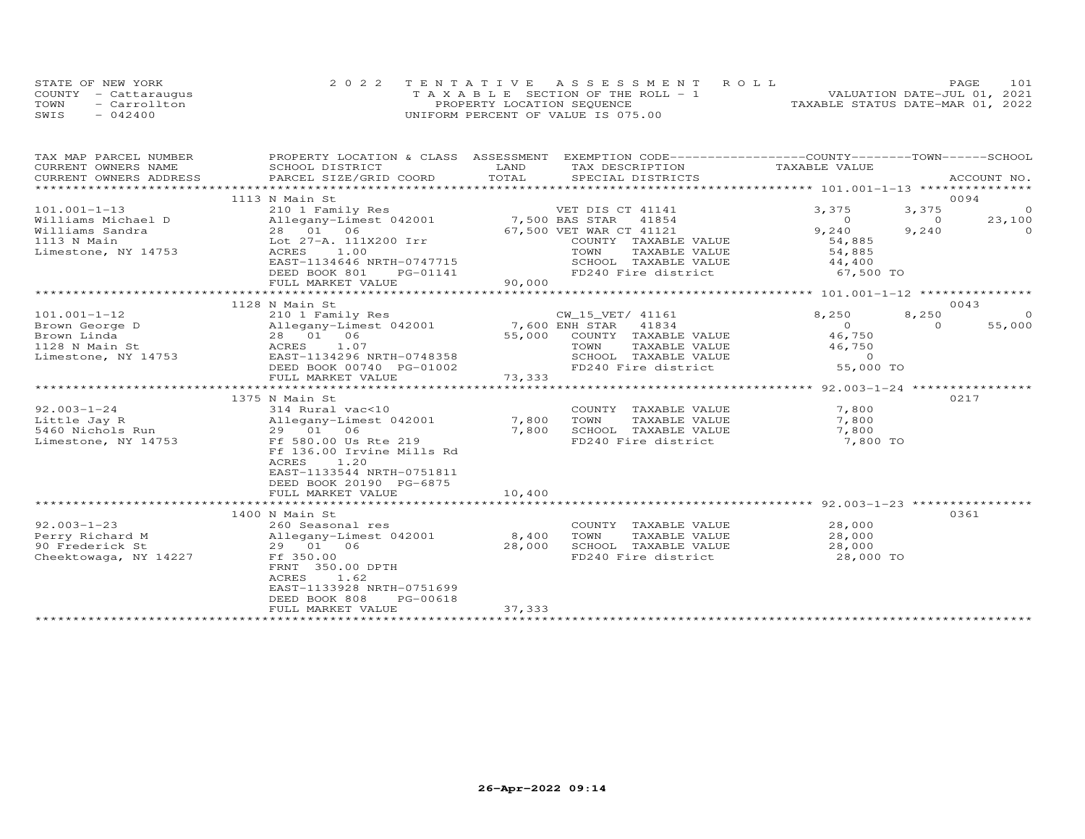|      | STATE OF NEW YORK    | 2022 TENTATIVE ASSESSMENT ROLL        | 101<br><b>PAGE</b>               |
|------|----------------------|---------------------------------------|----------------------------------|
|      | COUNTY - Cattarauqus | T A X A B L E SECTION OF THE ROLL - 1 | VALUATION DATE-JUL 01, 2021      |
| TOWN | - Carrollton         | PROPERTY LOCATION SEQUENCE            | TAXABLE STATUS DATE-MAR 01, 2022 |
| SWIS | $-042400$            | UNIFORM PERCENT OF VALUE IS 075.00    |                                  |

| TAX MAP PARCEL NUMBER              |                                             |                                                                  | PROPERTY LOCATION & CLASS ASSESSMENT EXEMPTION CODE----------------COUNTY-------TOWN-----SCHOOL |
|------------------------------------|---------------------------------------------|------------------------------------------------------------------|-------------------------------------------------------------------------------------------------|
| CURRENT OWNERS NAME                | SCHOOL DISTRICT                             | LAND<br>TAX DESCRIPTION                                          | TAXABLE VALUE                                                                                   |
| CURRENT OWNERS ADDRESS             | PARCEL SIZE/GRID COORD                      | TOTAL<br>SPECIAL DISTRICTS                                       | ACCOUNT NO.                                                                                     |
|                                    | 1113 N Main St                              |                                                                  | 0094                                                                                            |
| $101.001 - 1 - 13$                 | 210 1 Family Res                            | VET DIS CT 41141                                                 | 3,375<br>3,375<br>$\Omega$                                                                      |
| Williams Michael D                 | Allegany-Limest 042001                      | 7,500 BAS STAR 41854                                             | $\overline{O}$<br>23,100<br>$\overline{0}$                                                      |
| Williams Sandra                    | 28 01 06                                    | 67,500 VET WAR CT 41121                                          | 9,240<br>9,240<br>$\Omega$                                                                      |
| 1113 N Main                        | Lot 27-A. 111X200 Irr                       | COUNTY TAXABLE VALUE                                             | 54,885                                                                                          |
| Limestone, NY 14753                | ACRES<br>1.00                               | TOWN<br>TAXABLE VALUE                                            | 54,885                                                                                          |
|                                    | EAST-1134646 NRTH-0747715                   | SCHOOL TAXABLE VALUE 44,400                                      |                                                                                                 |
|                                    | DEED BOOK 801<br>PG-01141                   |                                                                  | FD240 Fire district 67,500 TO                                                                   |
|                                    | FULL MARKET VALUE                           | 90,000                                                           |                                                                                                 |
|                                    | 1128 N Main St                              |                                                                  | 0043                                                                                            |
| $101.001 - 1 - 12$                 | 210 1 Family Res                            | CW 15 VET/ 41161                                                 | 8,250<br>8,250<br>$\circ$                                                                       |
| Brown George D                     | Allegany-Limest 042001 7,600 ENH STAR 41834 |                                                                  | $\overline{0}$<br>$\Omega$<br>55,000                                                            |
| Brown Linda                        | 28 01 06                                    | 55,000 COUNTY TAXABLE VALUE                                      | 46,750                                                                                          |
| 1128 N Main St                     | ACRES<br>1.07                               | TOWN<br>TAXABLE VALUE                                            | 46,750                                                                                          |
| Limestone, NY 14753                | EAST-1134296 NRTH-0748358                   | SCHOOL TAXABLE VALUE                                             | $\overline{a}$ and $\overline{a}$ and $\overline{a}$                                            |
|                                    | DEED BOOK 00740 PG-01002                    | FD240 Fire district                                              | 55,000 TO                                                                                       |
|                                    | FULL MARKET VALUE                           | 73,333                                                           |                                                                                                 |
|                                    |                                             |                                                                  |                                                                                                 |
|                                    | 1375 N Main St                              |                                                                  | 0217                                                                                            |
| $92.003 - 1 - 24$<br>Little Jay R  | 314 Rural vac<10                            | COUNTY TAXABLE VALUE<br>7,800<br>TOWN<br>TAXABLE VALUE           | 7,800<br>7,800                                                                                  |
| 5460 Nichols Run                   | Allegany-Limest 042001<br>29 01 06          | 7,800<br>SCHOOL TAXABLE VALUE                                    | 7,800                                                                                           |
| Limestone, NY 14753                | Ff 580.00 Us Rte 219                        | FD240 Fire district                                              | 7,800 TO                                                                                        |
|                                    | Ff 136.00 Irvine Mills Rd                   |                                                                  |                                                                                                 |
|                                    | <b>ACRES</b><br>1.20                        |                                                                  |                                                                                                 |
|                                    | EAST-1133544 NRTH-0751811                   |                                                                  |                                                                                                 |
|                                    | DEED BOOK 20190 PG-6875                     |                                                                  |                                                                                                 |
|                                    | FULL MARKET VALUE                           | 10,400                                                           |                                                                                                 |
|                                    |                                             |                                                                  |                                                                                                 |
|                                    | 1400 N Main St                              |                                                                  | 0361                                                                                            |
| $92.003 - 1 - 23$                  | 260 Seasonal res                            | COUNTY TAXABLE VALUE                                             | 28,000                                                                                          |
| Perry Richard M<br>90 Frederick St | Allegany-Limest 042001<br>29 01 06          | 8,400<br>TOWN<br>TAXABLE VALUE<br>28,000<br>SCHOOL TAXABLE VALUE | 28,000<br>28,000                                                                                |
| Cheektowaga, NY 14227              | Ff 350.00                                   | FD240 Fire district                                              | 28,000 TO                                                                                       |
|                                    | FRNT 350.00 DPTH                            |                                                                  |                                                                                                 |
|                                    | ACRES 1.62                                  |                                                                  |                                                                                                 |
|                                    | EAST-1133928 NRTH-0751699                   |                                                                  |                                                                                                 |
|                                    | DEED BOOK 808<br>PG-00618                   |                                                                  |                                                                                                 |
|                                    | FULL MARKET VALUE                           | 37,333                                                           |                                                                                                 |
|                                    |                                             |                                                                  |                                                                                                 |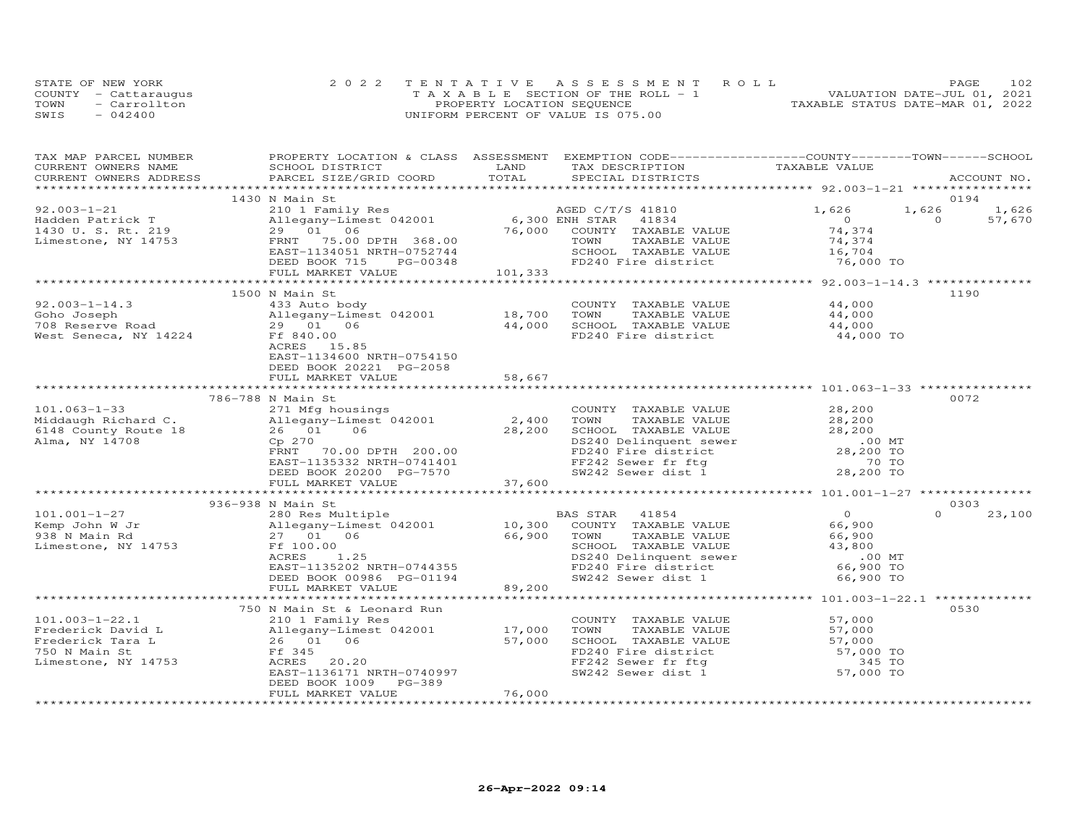|      | STATE OF NEW YORK    | 2022 TENTATIVE ASSESSMENT ROLL        | PAGE                             | 102 |
|------|----------------------|---------------------------------------|----------------------------------|-----|
|      | COUNTY - Cattaraugus | T A X A B L E SECTION OF THE ROLL - 1 | VALUATION DATE-JUL 01, 2021      |     |
| TOWN | - Carrollton         | PROPERTY LOCATION SEQUENCE            | TAXABLE STATUS DATE-MAR 01, 2022 |     |
| SWIS | $-042400$            | UNIFORM PERCENT OF VALUE IS 075.00    |                                  |     |

| TAX DESCRIPTION TAXABLE VALUE<br>SPECIAL DISTRICTS<br>CURRENT OWNERS ADDRESS PARCEL SIZE/GRID COORD TOTAL<br>ACCOUNT NO.<br>0194<br>1430 N Main St<br>N Main St<br>210 1 Family Res<br>21 1,626 1<br>29 01 06 76,000 ENH STAR 41834 0<br>29 01 06 76,000 COUNTY TAXABLE VALUE 74,374<br>29 01 06 76,000 COUNTY TAXABLE VALUE 74,374<br>23 1 23 20 20 1 233<br>23 29 20 20 1 233<br>23 29 20 20 20 20<br>1,626<br>92.003-1-21<br>1,626<br>$\overline{0}$<br>Fadden Patrick T<br>1430 U.S. Rt. 219 29 01 06<br>57,670<br>Limestone, NY 14753<br>101,333<br>FULL MARKET VALUE<br>1190<br>1500 N Main St<br>$92.003 - 1 - 14.3$<br>433 Auto body<br>COUNTY TAXABLE VALUE 44,000<br>2-1-14.5 and the community of the countral countral countral countral countral countral countral countral<br>Goho Joseph allegany-Limest 042001 and the most sense in the 44,000<br>TOR Reserve Road 29 01 06 and the SCHOOL<br>ACRES 15.85<br>EAST-1134600 NRTH-0754150<br>DEED BOOK 20221 PG-2058<br>58,667<br>FULL MARKET VALUE<br>0072<br>786-788 N Main St<br>28,200<br>COUNTY TAXABLE VALUE<br>101.063-1-33<br>Middaugh Richard C. Allegany-Limest 042001<br>6148 County Route 18<br>26 01 06 28,200<br>Alma, NY 14708<br>Cp 270<br>FRNT 70.00 DPTH 200.00<br>TOWN TAXABLE VALUE<br>TOWN TAXABLE VALUE<br>SCHOOL TAXABLE VALUE<br>DS240 Delinquent sewer<br>FD240 Fire district<br>FF242 Sewer fr ftg<br>SW242 Sewer dist 1<br>28,200 TO<br>28,200 TO<br>28,200 TO<br>EAST-1135332 NRTH-0741401<br>DEED BOOK 20200 PG-7570<br>FULL MARKET VALUE 37,600<br>936-938 N Main St<br>0.303<br>$\overline{O}$<br>$\Omega$<br>BAS STAR 41854<br>23,100<br>COUNTY TAXABLE VALUE<br>66,900<br>Allegany-Limest 042001<br>27 01 06 66,900<br>Ff 100.00<br>ACRES 1.25<br>EAST-1135202 NRTH-0744355<br>DEED BOOK 00986 PG-01194 89,200<br>FULL MARKET VALUE 89,200<br>TAXABLE VALUE<br>66,900<br>Limestone, NY 14753 Ff 100.00<br>SCHOOL TAXABLE VALUE<br>43,800<br>00 MT.<br>66,900 TO<br>66,900 TO<br>DS240 Delinquent sewer<br>FD240 Fire district<br>SW242 Sewer dist 1<br>0530<br>750 N Main St & Leonard Run<br>$101.003 - 1 - 22.1$<br>210 1 Family Res<br>COUNTY TAXABLE VALUE<br>57,000<br>TOWN<br>TAXABLE VALUE<br>57,000<br>SCHOOL TAXABLE VALUE 57,000<br>FD240 Fire district 57,000 TO<br>FF242 Sewer fr ftg 57,000 TO<br>57,000<br>Limestone, NY 14753<br>ACRES 20.20<br>EAST-1136171 NRTH-0740997<br>DEED BOOK 1009 PG-389<br>76,000<br>FULL MARKET VALUE | TAX MAP PARCEL NUMBER | PROPERTY LOCATION & CLASS ASSESSMENT EXEMPTION CODE----------------COUNTY-------TOWN-----SCHOOL |      |  |  |
|-------------------------------------------------------------------------------------------------------------------------------------------------------------------------------------------------------------------------------------------------------------------------------------------------------------------------------------------------------------------------------------------------------------------------------------------------------------------------------------------------------------------------------------------------------------------------------------------------------------------------------------------------------------------------------------------------------------------------------------------------------------------------------------------------------------------------------------------------------------------------------------------------------------------------------------------------------------------------------------------------------------------------------------------------------------------------------------------------------------------------------------------------------------------------------------------------------------------------------------------------------------------------------------------------------------------------------------------------------------------------------------------------------------------------------------------------------------------------------------------------------------------------------------------------------------------------------------------------------------------------------------------------------------------------------------------------------------------------------------------------------------------------------------------------------------------------------------------------------------------------------------------------------------------------------------------------------------------------------------------------------------------------------------------------------------------------------------------------------------------------------------------------------------------------------------------------------------------------------------------------------------------------------------------------------------------------------------------------------------------------------------------------------------------------------------------------|-----------------------|-------------------------------------------------------------------------------------------------|------|--|--|
|                                                                                                                                                                                                                                                                                                                                                                                                                                                                                                                                                                                                                                                                                                                                                                                                                                                                                                                                                                                                                                                                                                                                                                                                                                                                                                                                                                                                                                                                                                                                                                                                                                                                                                                                                                                                                                                                                                                                                                                                                                                                                                                                                                                                                                                                                                                                                                                                                                                 | CURRENT OWNERS NAME   | SCHOOL DISTRICT                                                                                 | LAND |  |  |
|                                                                                                                                                                                                                                                                                                                                                                                                                                                                                                                                                                                                                                                                                                                                                                                                                                                                                                                                                                                                                                                                                                                                                                                                                                                                                                                                                                                                                                                                                                                                                                                                                                                                                                                                                                                                                                                                                                                                                                                                                                                                                                                                                                                                                                                                                                                                                                                                                                                 |                       |                                                                                                 |      |  |  |
|                                                                                                                                                                                                                                                                                                                                                                                                                                                                                                                                                                                                                                                                                                                                                                                                                                                                                                                                                                                                                                                                                                                                                                                                                                                                                                                                                                                                                                                                                                                                                                                                                                                                                                                                                                                                                                                                                                                                                                                                                                                                                                                                                                                                                                                                                                                                                                                                                                                 |                       |                                                                                                 |      |  |  |
|                                                                                                                                                                                                                                                                                                                                                                                                                                                                                                                                                                                                                                                                                                                                                                                                                                                                                                                                                                                                                                                                                                                                                                                                                                                                                                                                                                                                                                                                                                                                                                                                                                                                                                                                                                                                                                                                                                                                                                                                                                                                                                                                                                                                                                                                                                                                                                                                                                                 |                       |                                                                                                 |      |  |  |
|                                                                                                                                                                                                                                                                                                                                                                                                                                                                                                                                                                                                                                                                                                                                                                                                                                                                                                                                                                                                                                                                                                                                                                                                                                                                                                                                                                                                                                                                                                                                                                                                                                                                                                                                                                                                                                                                                                                                                                                                                                                                                                                                                                                                                                                                                                                                                                                                                                                 |                       |                                                                                                 |      |  |  |
|                                                                                                                                                                                                                                                                                                                                                                                                                                                                                                                                                                                                                                                                                                                                                                                                                                                                                                                                                                                                                                                                                                                                                                                                                                                                                                                                                                                                                                                                                                                                                                                                                                                                                                                                                                                                                                                                                                                                                                                                                                                                                                                                                                                                                                                                                                                                                                                                                                                 |                       |                                                                                                 |      |  |  |
|                                                                                                                                                                                                                                                                                                                                                                                                                                                                                                                                                                                                                                                                                                                                                                                                                                                                                                                                                                                                                                                                                                                                                                                                                                                                                                                                                                                                                                                                                                                                                                                                                                                                                                                                                                                                                                                                                                                                                                                                                                                                                                                                                                                                                                                                                                                                                                                                                                                 |                       |                                                                                                 |      |  |  |
|                                                                                                                                                                                                                                                                                                                                                                                                                                                                                                                                                                                                                                                                                                                                                                                                                                                                                                                                                                                                                                                                                                                                                                                                                                                                                                                                                                                                                                                                                                                                                                                                                                                                                                                                                                                                                                                                                                                                                                                                                                                                                                                                                                                                                                                                                                                                                                                                                                                 |                       |                                                                                                 |      |  |  |
|                                                                                                                                                                                                                                                                                                                                                                                                                                                                                                                                                                                                                                                                                                                                                                                                                                                                                                                                                                                                                                                                                                                                                                                                                                                                                                                                                                                                                                                                                                                                                                                                                                                                                                                                                                                                                                                                                                                                                                                                                                                                                                                                                                                                                                                                                                                                                                                                                                                 |                       |                                                                                                 |      |  |  |
|                                                                                                                                                                                                                                                                                                                                                                                                                                                                                                                                                                                                                                                                                                                                                                                                                                                                                                                                                                                                                                                                                                                                                                                                                                                                                                                                                                                                                                                                                                                                                                                                                                                                                                                                                                                                                                                                                                                                                                                                                                                                                                                                                                                                                                                                                                                                                                                                                                                 |                       |                                                                                                 |      |  |  |
|                                                                                                                                                                                                                                                                                                                                                                                                                                                                                                                                                                                                                                                                                                                                                                                                                                                                                                                                                                                                                                                                                                                                                                                                                                                                                                                                                                                                                                                                                                                                                                                                                                                                                                                                                                                                                                                                                                                                                                                                                                                                                                                                                                                                                                                                                                                                                                                                                                                 |                       |                                                                                                 |      |  |  |
|                                                                                                                                                                                                                                                                                                                                                                                                                                                                                                                                                                                                                                                                                                                                                                                                                                                                                                                                                                                                                                                                                                                                                                                                                                                                                                                                                                                                                                                                                                                                                                                                                                                                                                                                                                                                                                                                                                                                                                                                                                                                                                                                                                                                                                                                                                                                                                                                                                                 |                       |                                                                                                 |      |  |  |
|                                                                                                                                                                                                                                                                                                                                                                                                                                                                                                                                                                                                                                                                                                                                                                                                                                                                                                                                                                                                                                                                                                                                                                                                                                                                                                                                                                                                                                                                                                                                                                                                                                                                                                                                                                                                                                                                                                                                                                                                                                                                                                                                                                                                                                                                                                                                                                                                                                                 |                       |                                                                                                 |      |  |  |
|                                                                                                                                                                                                                                                                                                                                                                                                                                                                                                                                                                                                                                                                                                                                                                                                                                                                                                                                                                                                                                                                                                                                                                                                                                                                                                                                                                                                                                                                                                                                                                                                                                                                                                                                                                                                                                                                                                                                                                                                                                                                                                                                                                                                                                                                                                                                                                                                                                                 |                       |                                                                                                 |      |  |  |
|                                                                                                                                                                                                                                                                                                                                                                                                                                                                                                                                                                                                                                                                                                                                                                                                                                                                                                                                                                                                                                                                                                                                                                                                                                                                                                                                                                                                                                                                                                                                                                                                                                                                                                                                                                                                                                                                                                                                                                                                                                                                                                                                                                                                                                                                                                                                                                                                                                                 |                       |                                                                                                 |      |  |  |
|                                                                                                                                                                                                                                                                                                                                                                                                                                                                                                                                                                                                                                                                                                                                                                                                                                                                                                                                                                                                                                                                                                                                                                                                                                                                                                                                                                                                                                                                                                                                                                                                                                                                                                                                                                                                                                                                                                                                                                                                                                                                                                                                                                                                                                                                                                                                                                                                                                                 |                       |                                                                                                 |      |  |  |
|                                                                                                                                                                                                                                                                                                                                                                                                                                                                                                                                                                                                                                                                                                                                                                                                                                                                                                                                                                                                                                                                                                                                                                                                                                                                                                                                                                                                                                                                                                                                                                                                                                                                                                                                                                                                                                                                                                                                                                                                                                                                                                                                                                                                                                                                                                                                                                                                                                                 |                       |                                                                                                 |      |  |  |
|                                                                                                                                                                                                                                                                                                                                                                                                                                                                                                                                                                                                                                                                                                                                                                                                                                                                                                                                                                                                                                                                                                                                                                                                                                                                                                                                                                                                                                                                                                                                                                                                                                                                                                                                                                                                                                                                                                                                                                                                                                                                                                                                                                                                                                                                                                                                                                                                                                                 |                       |                                                                                                 |      |  |  |
|                                                                                                                                                                                                                                                                                                                                                                                                                                                                                                                                                                                                                                                                                                                                                                                                                                                                                                                                                                                                                                                                                                                                                                                                                                                                                                                                                                                                                                                                                                                                                                                                                                                                                                                                                                                                                                                                                                                                                                                                                                                                                                                                                                                                                                                                                                                                                                                                                                                 |                       |                                                                                                 |      |  |  |
|                                                                                                                                                                                                                                                                                                                                                                                                                                                                                                                                                                                                                                                                                                                                                                                                                                                                                                                                                                                                                                                                                                                                                                                                                                                                                                                                                                                                                                                                                                                                                                                                                                                                                                                                                                                                                                                                                                                                                                                                                                                                                                                                                                                                                                                                                                                                                                                                                                                 |                       |                                                                                                 |      |  |  |
|                                                                                                                                                                                                                                                                                                                                                                                                                                                                                                                                                                                                                                                                                                                                                                                                                                                                                                                                                                                                                                                                                                                                                                                                                                                                                                                                                                                                                                                                                                                                                                                                                                                                                                                                                                                                                                                                                                                                                                                                                                                                                                                                                                                                                                                                                                                                                                                                                                                 |                       |                                                                                                 |      |  |  |
|                                                                                                                                                                                                                                                                                                                                                                                                                                                                                                                                                                                                                                                                                                                                                                                                                                                                                                                                                                                                                                                                                                                                                                                                                                                                                                                                                                                                                                                                                                                                                                                                                                                                                                                                                                                                                                                                                                                                                                                                                                                                                                                                                                                                                                                                                                                                                                                                                                                 |                       |                                                                                                 |      |  |  |
|                                                                                                                                                                                                                                                                                                                                                                                                                                                                                                                                                                                                                                                                                                                                                                                                                                                                                                                                                                                                                                                                                                                                                                                                                                                                                                                                                                                                                                                                                                                                                                                                                                                                                                                                                                                                                                                                                                                                                                                                                                                                                                                                                                                                                                                                                                                                                                                                                                                 |                       |                                                                                                 |      |  |  |
|                                                                                                                                                                                                                                                                                                                                                                                                                                                                                                                                                                                                                                                                                                                                                                                                                                                                                                                                                                                                                                                                                                                                                                                                                                                                                                                                                                                                                                                                                                                                                                                                                                                                                                                                                                                                                                                                                                                                                                                                                                                                                                                                                                                                                                                                                                                                                                                                                                                 |                       |                                                                                                 |      |  |  |
|                                                                                                                                                                                                                                                                                                                                                                                                                                                                                                                                                                                                                                                                                                                                                                                                                                                                                                                                                                                                                                                                                                                                                                                                                                                                                                                                                                                                                                                                                                                                                                                                                                                                                                                                                                                                                                                                                                                                                                                                                                                                                                                                                                                                                                                                                                                                                                                                                                                 |                       |                                                                                                 |      |  |  |
|                                                                                                                                                                                                                                                                                                                                                                                                                                                                                                                                                                                                                                                                                                                                                                                                                                                                                                                                                                                                                                                                                                                                                                                                                                                                                                                                                                                                                                                                                                                                                                                                                                                                                                                                                                                                                                                                                                                                                                                                                                                                                                                                                                                                                                                                                                                                                                                                                                                 |                       |                                                                                                 |      |  |  |
|                                                                                                                                                                                                                                                                                                                                                                                                                                                                                                                                                                                                                                                                                                                                                                                                                                                                                                                                                                                                                                                                                                                                                                                                                                                                                                                                                                                                                                                                                                                                                                                                                                                                                                                                                                                                                                                                                                                                                                                                                                                                                                                                                                                                                                                                                                                                                                                                                                                 |                       |                                                                                                 |      |  |  |
|                                                                                                                                                                                                                                                                                                                                                                                                                                                                                                                                                                                                                                                                                                                                                                                                                                                                                                                                                                                                                                                                                                                                                                                                                                                                                                                                                                                                                                                                                                                                                                                                                                                                                                                                                                                                                                                                                                                                                                                                                                                                                                                                                                                                                                                                                                                                                                                                                                                 |                       |                                                                                                 |      |  |  |
|                                                                                                                                                                                                                                                                                                                                                                                                                                                                                                                                                                                                                                                                                                                                                                                                                                                                                                                                                                                                                                                                                                                                                                                                                                                                                                                                                                                                                                                                                                                                                                                                                                                                                                                                                                                                                                                                                                                                                                                                                                                                                                                                                                                                                                                                                                                                                                                                                                                 |                       |                                                                                                 |      |  |  |
|                                                                                                                                                                                                                                                                                                                                                                                                                                                                                                                                                                                                                                                                                                                                                                                                                                                                                                                                                                                                                                                                                                                                                                                                                                                                                                                                                                                                                                                                                                                                                                                                                                                                                                                                                                                                                                                                                                                                                                                                                                                                                                                                                                                                                                                                                                                                                                                                                                                 |                       |                                                                                                 |      |  |  |
|                                                                                                                                                                                                                                                                                                                                                                                                                                                                                                                                                                                                                                                                                                                                                                                                                                                                                                                                                                                                                                                                                                                                                                                                                                                                                                                                                                                                                                                                                                                                                                                                                                                                                                                                                                                                                                                                                                                                                                                                                                                                                                                                                                                                                                                                                                                                                                                                                                                 |                       |                                                                                                 |      |  |  |
|                                                                                                                                                                                                                                                                                                                                                                                                                                                                                                                                                                                                                                                                                                                                                                                                                                                                                                                                                                                                                                                                                                                                                                                                                                                                                                                                                                                                                                                                                                                                                                                                                                                                                                                                                                                                                                                                                                                                                                                                                                                                                                                                                                                                                                                                                                                                                                                                                                                 |                       |                                                                                                 |      |  |  |
|                                                                                                                                                                                                                                                                                                                                                                                                                                                                                                                                                                                                                                                                                                                                                                                                                                                                                                                                                                                                                                                                                                                                                                                                                                                                                                                                                                                                                                                                                                                                                                                                                                                                                                                                                                                                                                                                                                                                                                                                                                                                                                                                                                                                                                                                                                                                                                                                                                                 |                       |                                                                                                 |      |  |  |
|                                                                                                                                                                                                                                                                                                                                                                                                                                                                                                                                                                                                                                                                                                                                                                                                                                                                                                                                                                                                                                                                                                                                                                                                                                                                                                                                                                                                                                                                                                                                                                                                                                                                                                                                                                                                                                                                                                                                                                                                                                                                                                                                                                                                                                                                                                                                                                                                                                                 |                       |                                                                                                 |      |  |  |
|                                                                                                                                                                                                                                                                                                                                                                                                                                                                                                                                                                                                                                                                                                                                                                                                                                                                                                                                                                                                                                                                                                                                                                                                                                                                                                                                                                                                                                                                                                                                                                                                                                                                                                                                                                                                                                                                                                                                                                                                                                                                                                                                                                                                                                                                                                                                                                                                                                                 |                       |                                                                                                 |      |  |  |
|                                                                                                                                                                                                                                                                                                                                                                                                                                                                                                                                                                                                                                                                                                                                                                                                                                                                                                                                                                                                                                                                                                                                                                                                                                                                                                                                                                                                                                                                                                                                                                                                                                                                                                                                                                                                                                                                                                                                                                                                                                                                                                                                                                                                                                                                                                                                                                                                                                                 |                       |                                                                                                 |      |  |  |
|                                                                                                                                                                                                                                                                                                                                                                                                                                                                                                                                                                                                                                                                                                                                                                                                                                                                                                                                                                                                                                                                                                                                                                                                                                                                                                                                                                                                                                                                                                                                                                                                                                                                                                                                                                                                                                                                                                                                                                                                                                                                                                                                                                                                                                                                                                                                                                                                                                                 |                       |                                                                                                 |      |  |  |
|                                                                                                                                                                                                                                                                                                                                                                                                                                                                                                                                                                                                                                                                                                                                                                                                                                                                                                                                                                                                                                                                                                                                                                                                                                                                                                                                                                                                                                                                                                                                                                                                                                                                                                                                                                                                                                                                                                                                                                                                                                                                                                                                                                                                                                                                                                                                                                                                                                                 |                       |                                                                                                 |      |  |  |
|                                                                                                                                                                                                                                                                                                                                                                                                                                                                                                                                                                                                                                                                                                                                                                                                                                                                                                                                                                                                                                                                                                                                                                                                                                                                                                                                                                                                                                                                                                                                                                                                                                                                                                                                                                                                                                                                                                                                                                                                                                                                                                                                                                                                                                                                                                                                                                                                                                                 |                       |                                                                                                 |      |  |  |
|                                                                                                                                                                                                                                                                                                                                                                                                                                                                                                                                                                                                                                                                                                                                                                                                                                                                                                                                                                                                                                                                                                                                                                                                                                                                                                                                                                                                                                                                                                                                                                                                                                                                                                                                                                                                                                                                                                                                                                                                                                                                                                                                                                                                                                                                                                                                                                                                                                                 |                       |                                                                                                 |      |  |  |
|                                                                                                                                                                                                                                                                                                                                                                                                                                                                                                                                                                                                                                                                                                                                                                                                                                                                                                                                                                                                                                                                                                                                                                                                                                                                                                                                                                                                                                                                                                                                                                                                                                                                                                                                                                                                                                                                                                                                                                                                                                                                                                                                                                                                                                                                                                                                                                                                                                                 |                       |                                                                                                 |      |  |  |
|                                                                                                                                                                                                                                                                                                                                                                                                                                                                                                                                                                                                                                                                                                                                                                                                                                                                                                                                                                                                                                                                                                                                                                                                                                                                                                                                                                                                                                                                                                                                                                                                                                                                                                                                                                                                                                                                                                                                                                                                                                                                                                                                                                                                                                                                                                                                                                                                                                                 |                       |                                                                                                 |      |  |  |
|                                                                                                                                                                                                                                                                                                                                                                                                                                                                                                                                                                                                                                                                                                                                                                                                                                                                                                                                                                                                                                                                                                                                                                                                                                                                                                                                                                                                                                                                                                                                                                                                                                                                                                                                                                                                                                                                                                                                                                                                                                                                                                                                                                                                                                                                                                                                                                                                                                                 |                       |                                                                                                 |      |  |  |
|                                                                                                                                                                                                                                                                                                                                                                                                                                                                                                                                                                                                                                                                                                                                                                                                                                                                                                                                                                                                                                                                                                                                                                                                                                                                                                                                                                                                                                                                                                                                                                                                                                                                                                                                                                                                                                                                                                                                                                                                                                                                                                                                                                                                                                                                                                                                                                                                                                                 |                       |                                                                                                 |      |  |  |
|                                                                                                                                                                                                                                                                                                                                                                                                                                                                                                                                                                                                                                                                                                                                                                                                                                                                                                                                                                                                                                                                                                                                                                                                                                                                                                                                                                                                                                                                                                                                                                                                                                                                                                                                                                                                                                                                                                                                                                                                                                                                                                                                                                                                                                                                                                                                                                                                                                                 |                       |                                                                                                 |      |  |  |
|                                                                                                                                                                                                                                                                                                                                                                                                                                                                                                                                                                                                                                                                                                                                                                                                                                                                                                                                                                                                                                                                                                                                                                                                                                                                                                                                                                                                                                                                                                                                                                                                                                                                                                                                                                                                                                                                                                                                                                                                                                                                                                                                                                                                                                                                                                                                                                                                                                                 |                       |                                                                                                 |      |  |  |
|                                                                                                                                                                                                                                                                                                                                                                                                                                                                                                                                                                                                                                                                                                                                                                                                                                                                                                                                                                                                                                                                                                                                                                                                                                                                                                                                                                                                                                                                                                                                                                                                                                                                                                                                                                                                                                                                                                                                                                                                                                                                                                                                                                                                                                                                                                                                                                                                                                                 |                       |                                                                                                 |      |  |  |
|                                                                                                                                                                                                                                                                                                                                                                                                                                                                                                                                                                                                                                                                                                                                                                                                                                                                                                                                                                                                                                                                                                                                                                                                                                                                                                                                                                                                                                                                                                                                                                                                                                                                                                                                                                                                                                                                                                                                                                                                                                                                                                                                                                                                                                                                                                                                                                                                                                                 |                       |                                                                                                 |      |  |  |
|                                                                                                                                                                                                                                                                                                                                                                                                                                                                                                                                                                                                                                                                                                                                                                                                                                                                                                                                                                                                                                                                                                                                                                                                                                                                                                                                                                                                                                                                                                                                                                                                                                                                                                                                                                                                                                                                                                                                                                                                                                                                                                                                                                                                                                                                                                                                                                                                                                                 |                       |                                                                                                 |      |  |  |
|                                                                                                                                                                                                                                                                                                                                                                                                                                                                                                                                                                                                                                                                                                                                                                                                                                                                                                                                                                                                                                                                                                                                                                                                                                                                                                                                                                                                                                                                                                                                                                                                                                                                                                                                                                                                                                                                                                                                                                                                                                                                                                                                                                                                                                                                                                                                                                                                                                                 |                       |                                                                                                 |      |  |  |
|                                                                                                                                                                                                                                                                                                                                                                                                                                                                                                                                                                                                                                                                                                                                                                                                                                                                                                                                                                                                                                                                                                                                                                                                                                                                                                                                                                                                                                                                                                                                                                                                                                                                                                                                                                                                                                                                                                                                                                                                                                                                                                                                                                                                                                                                                                                                                                                                                                                 |                       |                                                                                                 |      |  |  |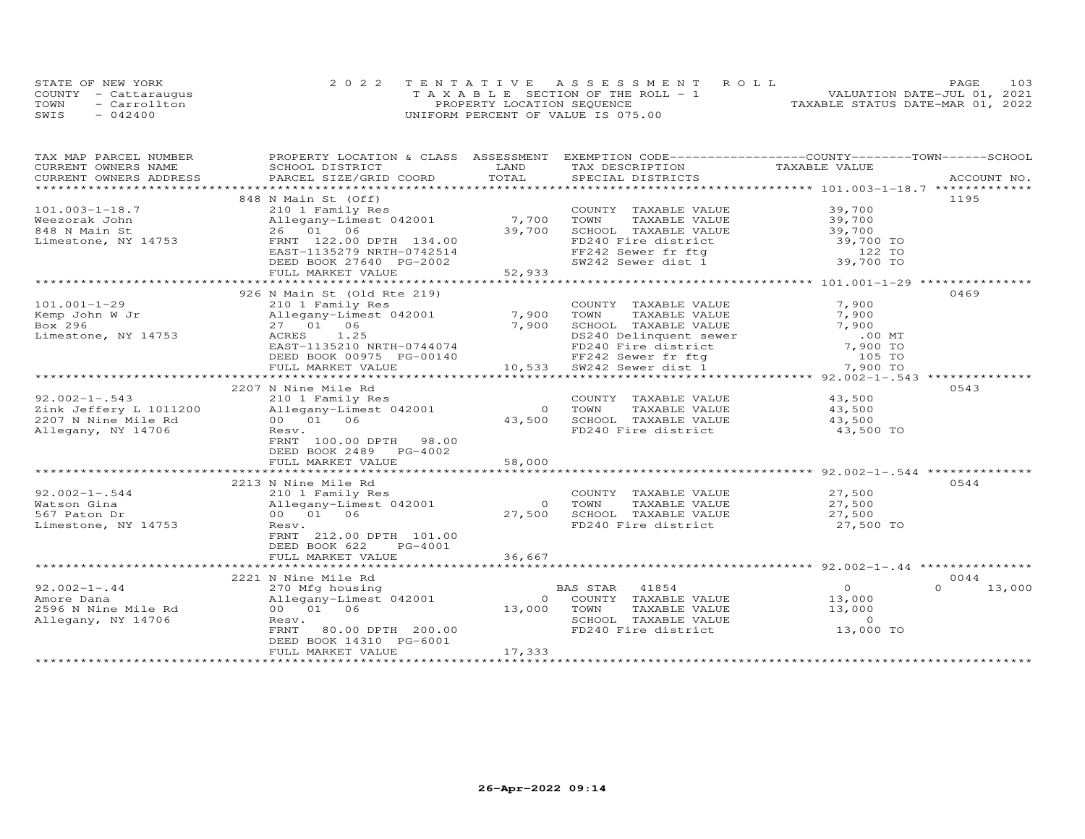|      | STATE OF NEW YORK    | 2022 TENTATIVE ASSESSMENT ROLL        | 103<br>PAGE.                     |
|------|----------------------|---------------------------------------|----------------------------------|
|      | COUNTY - Cattarauqus | T A X A B L E SECTION OF THE ROLL - 1 | VALUATION DATE-JUL 01, 2021      |
| TOWN | - Carrollton         | PROPERTY LOCATION SEQUENCE            | TAXABLE STATUS DATE-MAR 01, 2022 |
| SWIS | $-042400$            | UNIFORM PERCENT OF VALUE IS 075.00    |                                  |

| TAX MAP PARCEL NUMBER     | PROPERTY LOCATION & CLASS ASSESSMENT |                | EXEMPTION CODE-----------------COUNTY-------TOWN------SCHOOL |                                 |                    |
|---------------------------|--------------------------------------|----------------|--------------------------------------------------------------|---------------------------------|--------------------|
| CURRENT OWNERS NAME       | SCHOOL DISTRICT                      | LAND           | TAX DESCRIPTION                                              | TAXABLE VALUE                   |                    |
| CURRENT OWNERS ADDRESS    | PARCEL SIZE/GRID COORD               | TOTAL          | SPECIAL DISTRICTS                                            |                                 | ACCOUNT NO.        |
| ************************* |                                      |                |                                                              |                                 |                    |
|                           | 848 N Main St (Off)                  |                |                                                              |                                 | 1195               |
| $101.003 - 1 - 18.7$      | 210 1 Family Res                     |                | COUNTY TAXABLE VALUE                                         | 39,700                          |                    |
| Weezorak John             | Allegany-Limest 042001               | 7,700          | TOWN      TAXABLE  VALUE<br>SCHOOL    TAXABLE  VALUE         | $39,700$<br>$39,700$            |                    |
| 848 N Main St             | 26 01 06                             | 39,700         |                                                              |                                 |                    |
| Limestone, NY 14753       | FRNT 122.00 DPTH 134.00              |                | FD240 Fire district                                          | 39,700 TO                       |                    |
|                           | EAST-1135279 NRTH-0742514            |                | FF242 Sewer fr ftg                                           | 122 TO                          |                    |
|                           | DEED BOOK 27640 PG-2002              |                | SW242 Sewer dist 1 39,700 TO                                 |                                 |                    |
|                           | FULL MARKET VALUE                    | 52,933         |                                                              |                                 |                    |
|                           | **************************           | ************   |                                                              | ************** 101.001-1-29 *** |                    |
|                           | 926 N Main St (Old Rte 219)          |                |                                                              |                                 | 0469               |
| $101.001 - 1 - 29$        | 210 1 Family Res                     |                | COUNTY TAXABLE VALUE                                         | 7,900                           |                    |
| Kemp John W Jr            | Allegany-Limest 042001               | 7,900          | TOWN<br>TAXABLE VALUE                                        | 7,900                           |                    |
| Box 296                   | 27 01 06                             | 7,900          | SCHOOL TAXABLE VALUE                                         | 7,900                           |                    |
| Limestone, NY 14753       | ACRES<br>1.25                        |                | DS240 Delinquent sewer<br>FD240 Fire district                | $.00$ MT                        |                    |
|                           | EAST-1135210 NRTH-0744074            |                |                                                              | 7,900 TO                        |                    |
|                           | DEED BOOK 00975 PG-00140             |                | FF242 Sewer fr ftg<br>SW242 Sewer dist 1                     | 105 TO                          |                    |
|                           | FULL MARKET VALUE                    |                | FF242 Sewer fr ftg<br>10,533 SW242 Sewer dist 1              | 7,900 TO                        |                    |
|                           |                                      |                |                                                              |                                 |                    |
|                           | 2207 N Nine Mile Rd                  |                |                                                              |                                 | 0543               |
| $92.002 - 1 - .543$       | 210 1 Family Res                     |                | COUNTY TAXABLE VALUE                                         | 43,500                          |                    |
| Zink Jeffery L 1011200    | Allegany-Limest 042001               | $\overline{0}$ | TOWN<br>TAXABLE VALUE                                        | 43,500                          |                    |
| 2207 N Nine Mile Rd       | 00 01 06                             | 43,500         | SCHOOL TAXABLE VALUE                                         | 43,500                          |                    |
| Allegany, NY 14706        | Resv.                                |                | FD240 Fire district                                          | 43,500 TO                       |                    |
|                           | FRNT 100.00 DPTH 98.00               |                |                                                              |                                 |                    |
|                           | DEED BOOK 2489 PG-4002               |                |                                                              |                                 |                    |
|                           | FULL MARKET VALUE                    | 58,000         |                                                              |                                 |                    |
|                           |                                      |                |                                                              |                                 |                    |
|                           | 2213 N Nine Mile Rd                  |                |                                                              |                                 | 0544               |
| $92.002 - 1 - .544$       | 210 1 Family Res                     |                | COUNTY TAXABLE VALUE                                         | 27,500<br>27.500                |                    |
| Watson Gina               | Allegany-Limest 042001               | $\bigcirc$     | TOWN<br>TAXABLE VALUE                                        | 27,500                          |                    |
| 567 Paton Dr              | 00 01 06                             | 27,500         |                                                              |                                 |                    |
| Limestone, NY 14753       | Resv.                                |                | SCHOOL TAXABLE VALUE 27,500<br>FD240 Fire district 27,500 TO |                                 |                    |
|                           | FRNT 212.00 DPTH 101.00              |                |                                                              |                                 |                    |
|                           | DEED BOOK 622<br>PG-4001             |                |                                                              |                                 |                    |
|                           | FULL MARKET VALUE                    | 36,667         |                                                              |                                 |                    |
|                           |                                      |                |                                                              |                                 |                    |
|                           | 2221 N Nine Mile Rd                  |                |                                                              |                                 | 0044               |
| $92.002 - 1 - .44$        | 270 Mfg housing                      |                | BAS STAR<br>41854                                            | $\overline{O}$                  | $\Omega$<br>13,000 |
| Amore Dana                | Allegany-Limest 042001               | $\circ$        | COUNTY TAXABLE VALUE                                         | 13,000                          |                    |
| 2596 N Nine Mile Rd       | 00 01 06                             | 13,000         | TOWN<br>TAXABLE VALUE                                        | 13,000                          |                    |
| Allegany, NY 14706        | Resv.                                |                | SCHOOL TAXABLE VALUE                                         | $\overline{0}$                  |                    |
|                           | 80.00 DPTH 200.00<br>FRNT            |                | FD240 Fire district                                          | 13,000 TO                       |                    |
|                           | DEED BOOK 14310 PG-6001              |                |                                                              |                                 |                    |
|                           | FULL MARKET VALUE                    | 17,333         |                                                              |                                 |                    |
|                           |                                      |                |                                                              |                                 |                    |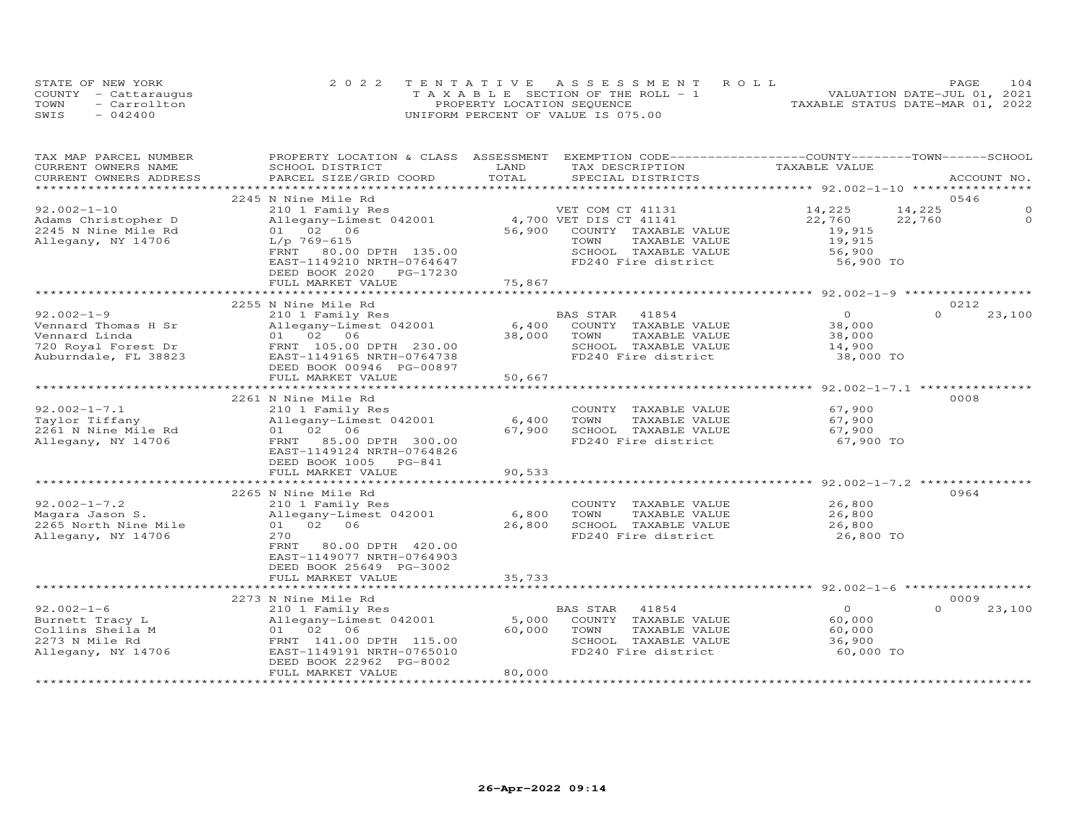| STATE OF NEW YORK    |              | 2022 TENTATIVE ASSESSMENT ROLL        |  |  |                                  | PAGE. | 104 |
|----------------------|--------------|---------------------------------------|--|--|----------------------------------|-------|-----|
| COUNTY - Cattaraugus |              | T A X A B L E SECTION OF THE ROLL - 1 |  |  | VALUATION DATE-JUL 01, 2021      |       |     |
| TOWN                 | - Carrollton | PROPERTY LOCATION SEQUENCE            |  |  | TAXABLE STATUS DATE-MAR 01, 2022 |       |     |
| SWIS                 | $-042400$    | UNIFORM PERCENT OF VALUE IS 075.00    |  |  |                                  |       |     |

| TAX MAP PARCEL NUMBER<br>CURRENT OWNERS NAME | PROPERTY LOCATION & CLASS ASSESSMENT<br>SCHOOL DISTRICT | LAND                    | EXEMPTION CODE-----------------COUNTY-------TOWN------SCHOOL<br>TAX DESCRIPTION | TAXABLE VALUE                         |                  |             |
|----------------------------------------------|---------------------------------------------------------|-------------------------|---------------------------------------------------------------------------------|---------------------------------------|------------------|-------------|
| CURRENT OWNERS ADDRESS                       | PARCEL SIZE/GRID COORD                                  | TOTAL                   | SPECIAL DISTRICTS                                                               |                                       |                  | ACCOUNT NO. |
|                                              |                                                         |                         |                                                                                 |                                       |                  |             |
|                                              | 2245 N Nine Mile Rd                                     |                         |                                                                                 |                                       | 0546             |             |
| $92.002 - 1 - 10$                            | 210 1 Family Res                                        |                         | VET COM CT 41131                                                                | 14,225                                | 14,225           | ∩           |
| Adams Christopher D                          | Allegany-Limest 042001                                  |                         | 4,700 VET DIS CT 41141                                                          | 22,760                                | 22,760           | $\Omega$    |
| 2245 N Nine Mile Rd                          | 01 02 06                                                | 56,900                  | COUNTY TAXABLE VALUE                                                            | 19,915                                |                  |             |
| Allegany, NY 14706                           | $L/p$ 769-615                                           |                         | TOWN<br>TAXABLE VALUE                                                           | 19,915                                |                  |             |
|                                              | FRNT 80.00 DPTH 135.00                                  |                         | SCHOOL TAXABLE VALUE                                                            | 56,900                                |                  |             |
|                                              | EAST-1149210 NRTH-0764647                               |                         | FD240 Fire district                                                             | 56,900 TO                             |                  |             |
|                                              | DEED BOOK 2020<br>PG-17230                              |                         |                                                                                 |                                       |                  |             |
|                                              | FULL MARKET VALUE                                       | 75,867                  |                                                                                 |                                       |                  |             |
|                                              |                                                         |                         |                                                                                 |                                       |                  |             |
|                                              | 2255 N Nine Mile Rd                                     |                         |                                                                                 | $\Omega$                              | 0212<br>$\Omega$ |             |
| $92.002 - 1 - 9$                             | 210 1 Family Res                                        |                         | 41854<br>BAS STAR                                                               |                                       |                  | 23,100      |
| Vennard Thomas H Sr                          | Allegany-Limest 042001                                  | 6,400                   | COUNTY TAXABLE VALUE                                                            | 38,000                                |                  |             |
| Vennard Linda                                | 01 02 06                                                | 38,000                  | TOWN<br>TAXABLE VALUE                                                           | 38,000                                |                  |             |
| 720 Royal Forest Dr<br>Auburndale, FL 38823  | FRNT 105.00 DPTH 230.00                                 |                         | SCHOOL TAXABLE VALUE<br>FD240 Fire district                                     | 14,900                                |                  |             |
|                                              | EAST-1149165 NRTH-0764738<br>DEED BOOK 00946 PG-00897   |                         |                                                                                 | 38,000 TO                             |                  |             |
|                                              | FULL MARKET VALUE                                       | 50,667                  |                                                                                 |                                       |                  |             |
|                                              |                                                         |                         |                                                                                 | ********* 92.002-1-7.1 ************** |                  |             |
|                                              | 2261 N Nine Mile Rd                                     |                         |                                                                                 |                                       | 0008             |             |
| $92.002 - 1 - 7.1$                           | 210 1 Family Res                                        |                         | COUNTY TAXABLE VALUE                                                            | 67,900                                |                  |             |
| Taylor Tiffany                               | Allegany-Limest 042001                                  | 6,400                   | TOWN<br>TAXABLE VALUE                                                           | 67,900                                |                  |             |
| 2261 N Nine Mile Rd                          | 01 02 06                                                | 67,900                  | SCHOOL TAXABLE VALUE                                                            | 67,900                                |                  |             |
| Allegany, NY 14706                           | FRNT<br>85.00 DPTH 300.00                               |                         | FD240 Fire district                                                             | 67,900 TO                             |                  |             |
|                                              | EAST-1149124 NRTH-0764826                               |                         |                                                                                 |                                       |                  |             |
|                                              | DEED BOOK 1005 PG-841                                   |                         |                                                                                 |                                       |                  |             |
|                                              | FULL MARKET VALUE                                       | 90,533                  |                                                                                 |                                       |                  |             |
|                                              |                                                         |                         |                                                                                 |                                       |                  |             |
|                                              | 2265 N Nine Mile Rd                                     |                         |                                                                                 |                                       | 0964             |             |
| $92.002 - 1 - 7.2$                           | 210 1 Family Res                                        |                         | COUNTY TAXABLE VALUE                                                            | 26,800                                |                  |             |
| Magara Jason S.                              | Allegany-Limest 042001                                  | 6,800                   | TAXABLE VALUE<br>TOWN                                                           | 26,800                                |                  |             |
| 2265 North Nine Mile                         | 01 02 06                                                | 26,800                  | SCHOOL TAXABLE VALUE                                                            | 26,800                                |                  |             |
| Allegany, NY 14706                           | 270                                                     |                         | FD240 Fire district                                                             | 26,800 TO                             |                  |             |
|                                              | FRNT<br>80.00 DPTH 420.00                               |                         |                                                                                 |                                       |                  |             |
|                                              | EAST-1149077 NRTH-0764903                               |                         |                                                                                 |                                       |                  |             |
|                                              | DEED BOOK 25649 PG-3002                                 |                         |                                                                                 |                                       |                  |             |
|                                              | FULL MARKET VALUE                                       | 35,733<br>************* |                                                                                 |                                       |                  |             |
|                                              |                                                         |                         |                                                                                 |                                       | 0009             |             |
| $92.002 - 1 - 6$                             | 2273 N Nine Mile Rd<br>210 1 Family Res                 |                         | BAS STAR<br>41854                                                               | $\overline{O}$                        | $\Omega$         | 23,100      |
| Burnett Tracy L                              | Allegany-Limest 042001                                  | 5,000                   | COUNTY TAXABLE VALUE                                                            | 60,000                                |                  |             |
| Collins Sheila M                             | 01 02 06                                                | 60,000                  | TOWN<br>TAXABLE VALUE                                                           | 60,000                                |                  |             |
| 2273 N Mile Rd                               | FRNT 141.00 DPTH 115.00                                 |                         | SCHOOL TAXABLE VALUE                                                            | 36,900                                |                  |             |
| Allegany, NY 14706                           | EAST-1149191 NRTH-0765010                               |                         | FD240 Fire district                                                             | 60,000 TO                             |                  |             |
|                                              | DEED BOOK 22962 PG-8002                                 |                         |                                                                                 |                                       |                  |             |
|                                              | FULL MARKET VALUE                                       | 80,000                  |                                                                                 |                                       |                  |             |
|                                              |                                                         |                         |                                                                                 |                                       |                  |             |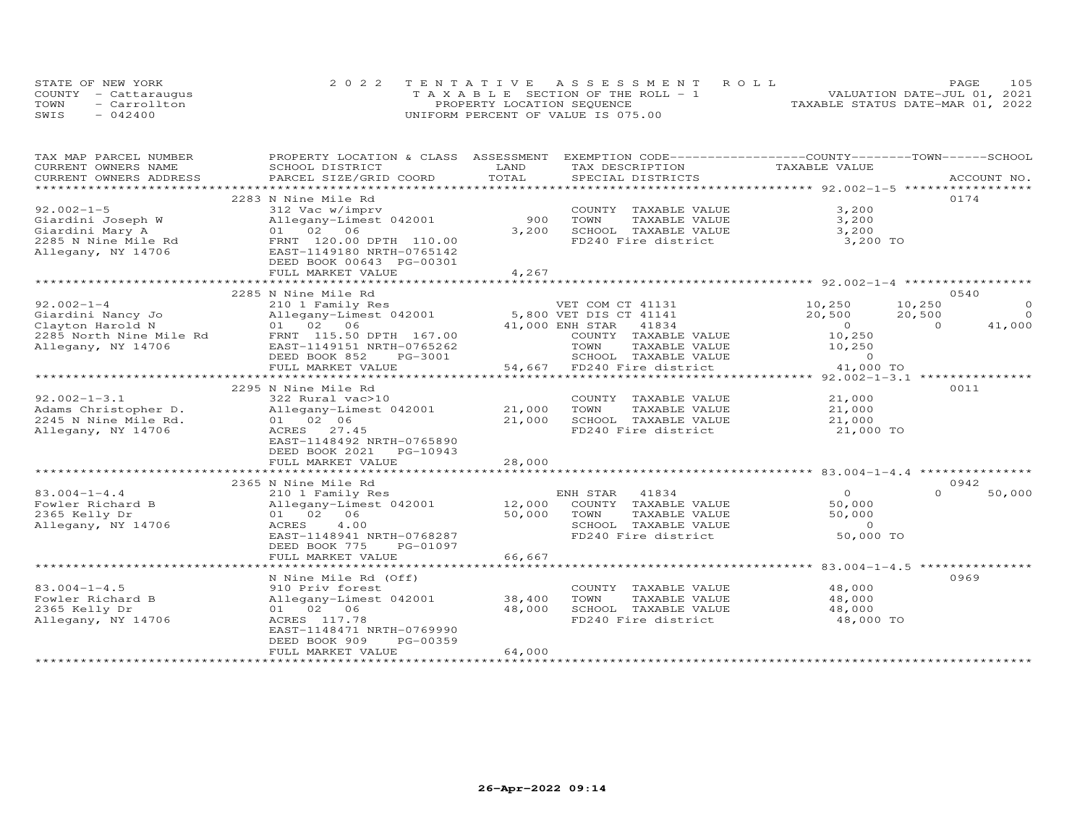|      | STATE OF NEW YORK    | 2022 TENTATIVE ASSESSMENT ROLL        | 105<br>PAGE.                     |
|------|----------------------|---------------------------------------|----------------------------------|
|      | COUNTY - Cattaraugus | T A X A B L E SECTION OF THE ROLL - 1 | VALUATION DATE-JUL 01, 2021      |
| TOWN | - Carrollton         | PROPERTY LOCATION SEQUENCE            | TAXABLE STATUS DATE-MAR 01, 2022 |
| SWIS | $-042400$            | UNIFORM PERCENT OF VALUE IS 075.00    |                                  |

| TAX MAP PARCEL NUMBER   | PROPERTY LOCATION & CLASS ASSESSMENT |             | EXEMPTION CODE-----------------COUNTY-------TOWN------SCHOOL |                  |                    |
|-------------------------|--------------------------------------|-------------|--------------------------------------------------------------|------------------|--------------------|
| CURRENT OWNERS NAME     | SCHOOL DISTRICT                      | LAND        | TAX DESCRIPTION                                              | TAXABLE VALUE    |                    |
| CURRENT OWNERS ADDRESS  | PARCEL SIZE/GRID COORD               | TOTAL       | SPECIAL DISTRICTS                                            |                  | ACCOUNT NO.        |
| *********************** |                                      |             |                                                              |                  |                    |
|                         | 2283 N Nine Mile Rd                  |             |                                                              |                  | 0174               |
| $92.002 - 1 - 5$        | 312 Vac w/imprv                      |             | COUNTY TAXABLE VALUE                                         | 3,200            |                    |
| Giardini Joseph W       | Allegany-Limest 042001               | 900         | TOWN<br>TAXABLE VALUE                                        | 3,200            |                    |
| Giardini Mary A         | 01 02 06                             | 3,200       | SCHOOL TAXABLE VALUE                                         | 3,200            |                    |
| 2285 N Nine Mile Rd     | FRNT 120.00 DPTH 110.00              |             | FD240 Fire district                                          | 3,200 TO         |                    |
| Allegany, NY 14706      | EAST-1149180 NRTH-0765142            |             |                                                              |                  |                    |
|                         | DEED BOOK 00643 PG-00301             |             |                                                              |                  |                    |
|                         | FULL MARKET VALUE                    | 4,267       |                                                              |                  |                    |
|                         | *************************            | *********** |                                                              |                  |                    |
|                         | 2285 N Nine Mile Rd                  |             |                                                              |                  | 0540               |
| $92.002 - 1 - 4$        | 210 1 Family Res                     |             | VET COM CT 41131                                             | 10,250<br>10,250 | $\Omega$           |
| Giardini Nancy Jo       | Allegany-Limest 042001               |             | 5,800 VET DIS CT 41141                                       | 20,500<br>20,500 | $\Omega$           |
| Clayton Harold N        | 01 02 06                             |             | 41834<br>41,000 ENH STAR                                     | $\overline{0}$   | 41,000<br>$\Omega$ |
| 2285 North Nine Mile Rd | FRNT 115.50 DPTH 167.00              |             | COUNTY TAXABLE VALUE                                         | 10,250           |                    |
| Allegany, NY 14706      | EAST-1149151 NRTH-0765262            |             | TOWN<br>TAXABLE VALUE                                        | 10,250           |                    |
|                         | DEED BOOK 852<br>PG-3001             |             | SCHOOL TAXABLE VALUE                                         | $\Omega$         |                    |
|                         | FULL MARKET VALUE                    |             | 54,667 FD240 Fire district                                   | 41,000 TO        |                    |
|                         |                                      |             |                                                              |                  |                    |
|                         | 2295 N Nine Mile Rd                  |             |                                                              |                  | 0011               |
| $92.002 - 1 - 3.1$      | 322 Rural vac>10                     |             | COUNTY TAXABLE VALUE                                         | 21,000           |                    |
| Adams Christopher D.    | Allegany-Limest 042001               | 21,000      | TOWN<br>TAXABLE VALUE                                        | 21,000           |                    |
| 2245 N Nine Mile Rd.    | 01 02 06                             | 21,000      | SCHOOL TAXABLE VALUE                                         | 21,000           |                    |
| Allegany, NY 14706      | ACRES 27.45                          |             | FD240 Fire district                                          | 21,000 TO        |                    |
|                         | EAST-1148492 NRTH-0765890            |             |                                                              |                  |                    |
|                         | DEED BOOK 2021 PG-10943              |             |                                                              |                  |                    |
|                         | FULL MARKET VALUE                    | 28,000      |                                                              |                  |                    |
|                         |                                      |             |                                                              |                  |                    |
|                         | 2365 N Nine Mile Rd                  |             |                                                              |                  | 0942               |
| $83.004 - 1 - 4.4$      | 210 1 Family Res                     |             | ENH STAR<br>41834                                            | $\overline{0}$   | 50,000<br>$\Omega$ |
| Fowler Richard B        | Allegany-Limest 042001               | 12,000      | COUNTY TAXABLE VALUE                                         | 50,000           |                    |
| 2365 Kelly Dr           | 01 02 06                             | 50,000      | TAXABLE VALUE<br>TOWN                                        | 50,000           |                    |
| Allegany, NY 14706      | 4.00<br>ACRES                        |             | SCHOOL TAXABLE VALUE                                         | $\overline{0}$   |                    |
|                         | EAST-1148941 NRTH-0768287            |             | FD240 Fire district                                          | 50,000 TO        |                    |
|                         | DEED BOOK 775<br>PG-01097            |             |                                                              |                  |                    |
|                         | FULL MARKET VALUE                    | 66,667      |                                                              |                  |                    |
|                         |                                      |             |                                                              |                  |                    |
|                         | N Nine Mile Rd (Off)                 |             |                                                              |                  | 0969               |
| $83.004 - 1 - 4.5$      | 910 Priv forest                      |             | COUNTY TAXABLE VALUE                                         | 48,000           |                    |
| Fowler Richard B        | Allegany-Limest 042001               | 38,400      | TOWN<br>TAXABLE VALUE                                        | 48,000           |                    |
| 2365 Kelly Dr           | 01 02 06                             | 48,000      | SCHOOL TAXABLE VALUE                                         | 48,000           |                    |
| Allegany, NY 14706      | ACRES 117.78                         |             | FD240 Fire district                                          | 48,000 TO        |                    |
|                         | EAST-1148471 NRTH-0769990            |             |                                                              |                  |                    |
|                         | PG-00359<br>DEED BOOK 909            |             |                                                              |                  |                    |
|                         | FULL MARKET VALUE                    | 64,000      |                                                              |                  |                    |
|                         |                                      |             |                                                              |                  |                    |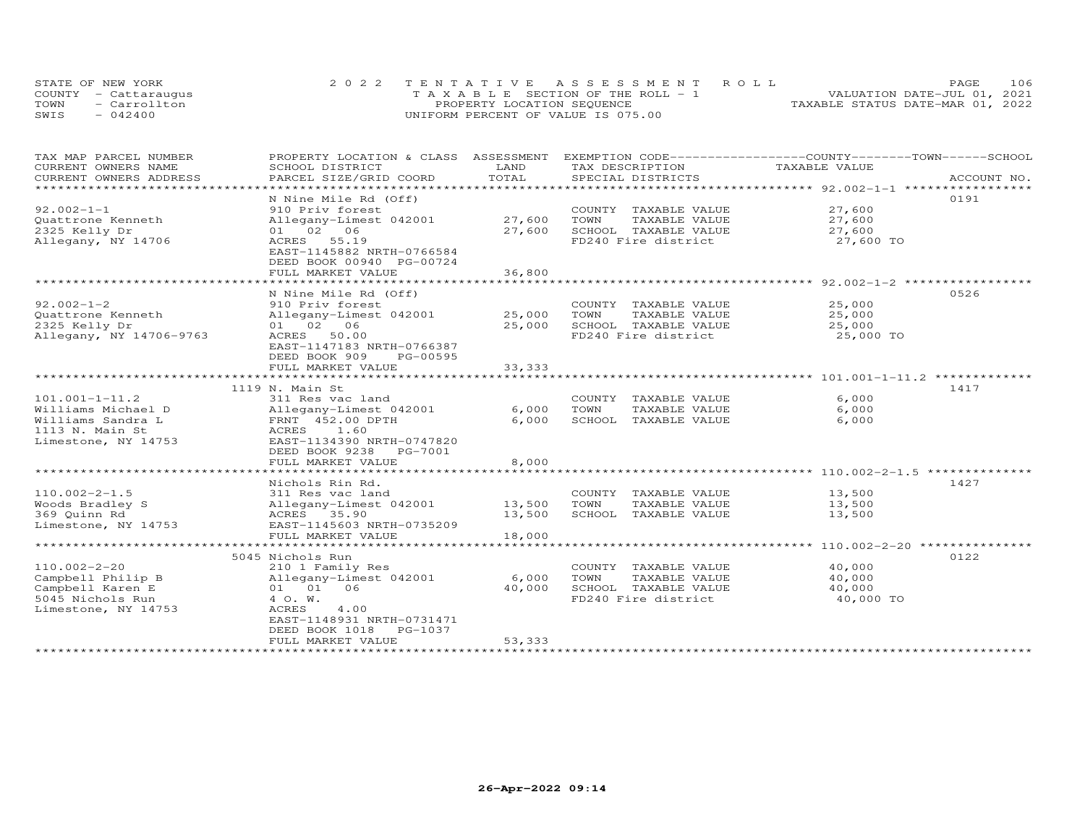|      | STATE OF NEW YORK    | 2022 TENTATIVE ASSESSMENT ROLL        | 106<br>PAGE.                     |
|------|----------------------|---------------------------------------|----------------------------------|
|      | COUNTY - Cattaraugus | T A X A B L E SECTION OF THE ROLL - 1 | VALUATION DATE-JUL 01, 2021      |
| TOWN | - Carrollton         | PROPERTY LOCATION SEQUENCE            | TAXABLE STATUS DATE-MAR 01, 2022 |
| SWIS | $-042400$            | UNIFORM PERCENT OF VALUE IS 075.00    |                                  |

| TAX MAP PARCEL NUMBER<br>CURRENT OWNERS NAME<br>CURRENT OWNERS ADDRESS                                    | PROPERTY LOCATION & CLASS ASSESSMENT<br>SCHOOL DISTRICT<br>PARCEL SIZE/GRID COORD                                                                                                                                | LAND<br>TOTAL               | EXEMPTION CODE-----------------COUNTY-------TOWN------SCHOOL<br>TAX DESCRIPTION<br>SPECIAL DISTRICTS | TAXABLE VALUE                           | ACCOUNT NO. |
|-----------------------------------------------------------------------------------------------------------|------------------------------------------------------------------------------------------------------------------------------------------------------------------------------------------------------------------|-----------------------------|------------------------------------------------------------------------------------------------------|-----------------------------------------|-------------|
| ************************                                                                                  |                                                                                                                                                                                                                  |                             |                                                                                                      |                                         |             |
| $92.002 - 1 - 1$<br>Quattrone Kenneth<br>2325 Kelly Dr<br>Allegany, NY 14706                              | N Nine Mile Rd (Off)<br>910 Priv forest<br>Allegany-Limest 042001<br>01 02 06<br>55.19<br>ACRES<br>EAST-1145882 NRTH-0766584<br>DEED BOOK 00940 PG-00724<br>FULL MARKET VALUE                                    | 27,600<br>27,600<br>36,800  | COUNTY TAXABLE VALUE<br>TOWN<br>TAXABLE VALUE<br>SCHOOL TAXABLE VALUE<br>FD240 Fire district         | 27,600<br>27,600<br>27,600<br>27,600 TO | 0191        |
| $92.002 - 1 - 2$<br>Quattrone Kenneth<br>2325 Kelly Dr<br>Allegany, NY 14706-9763                         | N Nine Mile Rd (Off)<br>910 Priv forest<br>Allegany-Limest 042001<br>01 02 06<br>50.00<br>ACRES<br>EAST-1147183 NRTH-0766387<br>DEED BOOK 909<br>PG-00595<br>FULL MARKET VALUE<br>****************************** | 25,000<br>25,000<br>33, 333 | COUNTY TAXABLE VALUE<br>TOWN<br>TAXABLE VALUE<br>SCHOOL TAXABLE VALUE<br>FD240 Fire district         | 25,000<br>25,000<br>25,000<br>25,000 TO | 0526        |
| $101.001 - 1 - 11.2$<br>Williams Michael D<br>Williams Sandra L<br>1113 N. Main St<br>Limestone, NY 14753 | 1119 N. Main St<br>311 Res vac land<br>Allegany-Limest 042001<br>FRNT 452.00 DPTH<br>ACRES 1.60<br>EAST-1134390 NRTH-0747820<br>DEED BOOK 9238 PG-7001<br>FULL MARKET VALUE                                      | 6,000<br>6,000<br>8,000     | COUNTY TAXABLE VALUE<br>TOWN<br>TAXABLE VALUE<br>SCHOOL TAXABLE VALUE                                | 6,000<br>6,000<br>6,000                 | 1417        |
| $110.002 - 2 - 1.5$<br>Woods Bradley S<br>369 Quinn Rd<br>Limestone, NY 14753                             | Nichols Rin Rd.<br>311 Res vac land<br>Allegany-Limest 042001<br>ACRES 35.90<br>EAST-1145603 NRTH-0735209<br>FULL MARKET VALUE<br>*************************                                                      | 13,500<br>13,500<br>18,000  | COUNTY TAXABLE VALUE<br>TOWN<br>TAXABLE VALUE<br>SCHOOL TAXABLE VALUE                                | 13,500<br>13,500<br>13,500              | 1427        |
| $110.002 - 2 - 20$<br>Campbell Philip B<br>Campbell Karen E<br>5045 Nichols Run<br>Limestone, NY 14753    | 5045 Nichols Run<br>210 1 Family Res<br>Allegany-Limest 042001<br>01 01 06<br>4 O.W.<br>ACRES<br>4.00<br>EAST-1148931 NRTH-0731471<br>DEED BOOK 1018<br>PG-1037<br>FULL MARKET VALUE                             | 6,000<br>40,000<br>53,333   | COUNTY TAXABLE VALUE<br>TOWN<br>TAXABLE VALUE<br>SCHOOL TAXABLE VALUE<br>FD240 Fire district         | 40,000<br>40,000<br>40,000<br>40,000 TO | 0122        |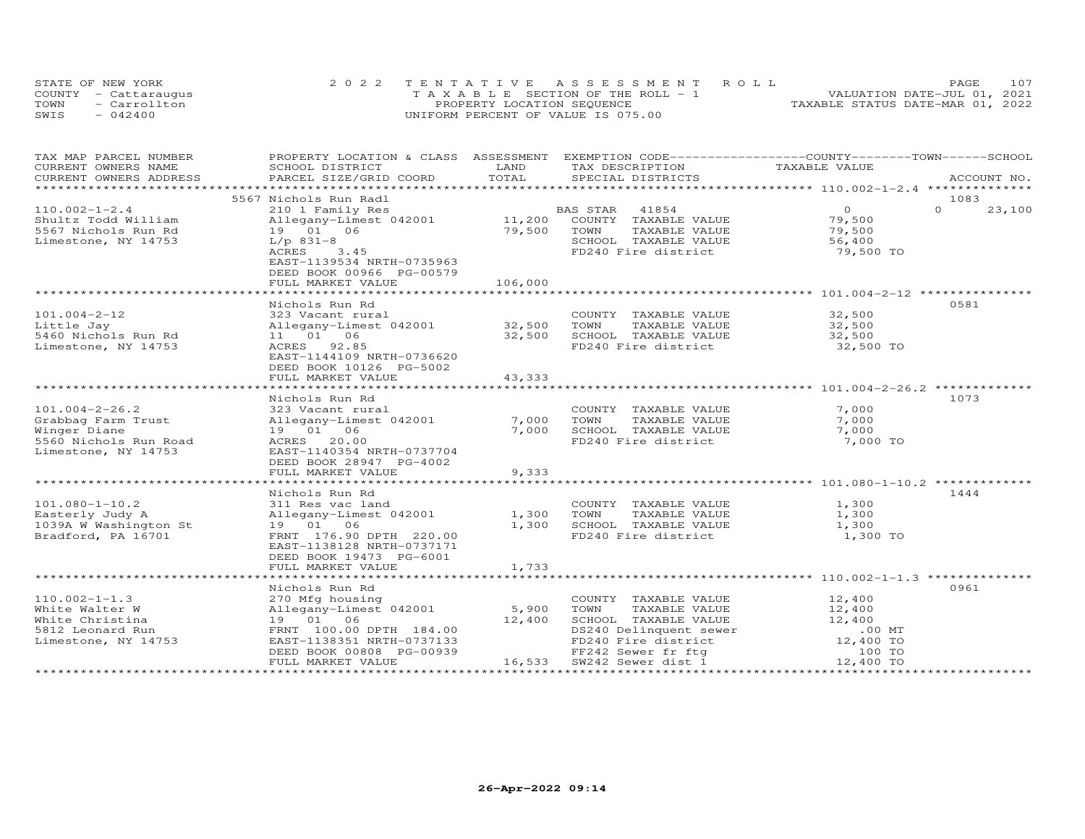|      | STATE OF NEW YORK    | 2022 TENTATIVE ASSESSMENT ROLL        |  |                                  | PAGE | 107 |
|------|----------------------|---------------------------------------|--|----------------------------------|------|-----|
|      | COUNTY - Cattaraugus | T A X A B L E SECTION OF THE ROLL - 1 |  | VALUATION DATE-JUL 01, 2021      |      |     |
| TOWN | - Carrollton         | PROPERTY LOCATION SEQUENCE            |  | TAXABLE STATUS DATE-MAR 01, 2022 |      |     |
| SWIS | $-042400$            | UNIFORM PERCENT OF VALUE IS 075.00    |  |                                  |      |     |

| TAX MAP PARCEL NUMBER                             | PROPERTY LOCATION & CLASS ASSESSMENT                  |                        | EXEMPTION CODE-----------------COUNTY-------TOWN------SCHOOL                                                                                                                                                                                                      |                |          |             |
|---------------------------------------------------|-------------------------------------------------------|------------------------|-------------------------------------------------------------------------------------------------------------------------------------------------------------------------------------------------------------------------------------------------------------------|----------------|----------|-------------|
| CURRENT OWNERS NAME                               | SCHOOL DISTRICT                                       | LAND<br>TOTAL          | TAX DESCRIPTION                                                                                                                                                                                                                                                   | TAXABLE VALUE  |          |             |
| CURRENT OWNERS ADDRESS<br>*********************** | PARCEL SIZE/GRID COORD                                |                        | SPECIAL DISTRICTS                                                                                                                                                                                                                                                 |                |          | ACCOUNT NO. |
|                                                   | 5567 Nichols Run Radl                                 |                        |                                                                                                                                                                                                                                                                   |                | 1083     |             |
| $110.002 - 1 - 2.4$                               | 210 1 Family Res                                      |                        | BAS STAR<br>41854                                                                                                                                                                                                                                                 | $\overline{O}$ | $\Omega$ | 23,100      |
| Shultz Todd William                               | Allegany-Limest 042001                                | $11,200$ <sup>BZ</sup> | COUNTY TAXABLE VALUE                                                                                                                                                                                                                                              | 79,500         |          |             |
| 5567 Nichols Run Rd                               | 19  01  06                                            | 79,500                 | TOWN<br>TAXABLE VALUE                                                                                                                                                                                                                                             | 79,500         |          |             |
| Limestone, NY 14753                               | $L/p$ 831-8                                           |                        | SCHOOL TAXABLE VALUE                                                                                                                                                                                                                                              | 56,400         |          |             |
|                                                   | ACRES<br>3.45                                         |                        | FD240 Fire district                                                                                                                                                                                                                                               | 79,500 TO      |          |             |
|                                                   | EAST-1139534 NRTH-0735963                             |                        |                                                                                                                                                                                                                                                                   |                |          |             |
|                                                   | DEED BOOK 00966 PG-00579                              |                        |                                                                                                                                                                                                                                                                   |                |          |             |
|                                                   | FULL MARKET VALUE                                     | 106,000                |                                                                                                                                                                                                                                                                   |                |          |             |
|                                                   |                                                       |                        |                                                                                                                                                                                                                                                                   |                |          |             |
|                                                   | Nichols Run Rd                                        |                        |                                                                                                                                                                                                                                                                   |                | 0581     |             |
| $101.004 - 2 - 12$                                | 323 Vacant rural                                      |                        | COUNTY TAXABLE VALUE                                                                                                                                                                                                                                              | 32,500         |          |             |
| Little Jay                                        | Allegany-Limest 042001 32,500                         |                        | TOWN<br>TAXABLE VALUE                                                                                                                                                                                                                                             | 32,500         |          |             |
| 5460 Nichols Run Rd                               | 11  01  06                                            | 32,500                 | SCHOOL TAXABLE VALUE                                                                                                                                                                                                                                              | 32,500         |          |             |
| Limestone, NY 14753                               | ACRES 92.85                                           |                        | FD240 Fire district                                                                                                                                                                                                                                               | 32,500 TO      |          |             |
|                                                   | EAST-1144109 NRTH-0736620                             |                        |                                                                                                                                                                                                                                                                   |                |          |             |
|                                                   | DEED BOOK 10126 PG-5002                               |                        |                                                                                                                                                                                                                                                                   |                |          |             |
|                                                   | FULL MARKET VALUE                                     | 43,333                 |                                                                                                                                                                                                                                                                   |                |          |             |
|                                                   |                                                       |                        |                                                                                                                                                                                                                                                                   |                |          |             |
|                                                   | Nichols Run Rd                                        |                        |                                                                                                                                                                                                                                                                   |                | 1073     |             |
| $101.004 - 2 - 26.2$                              | 323 Vacant rural                                      |                        | COUNTY TAXABLE VALUE                                                                                                                                                                                                                                              | 7,000          |          |             |
| Grabbag Farm Trust<br>Winger Diane                | Allegany-Limest 042001<br>19  01  06                  | 7,000<br>7,000         | TOWN<br>TAXABLE VALUE<br>TOWN<br>SCHOOL TAXABLE VALUE                                                                                                                                                                                                             | 7,000<br>7,000 |          |             |
| 5560 Nichols Run Road                             | ACRES 20.00                                           |                        | FD240 Fire district                                                                                                                                                                                                                                               | 7,000 TO       |          |             |
| Limestone, NY 14753                               | EAST-1140354 NRTH-0737704                             |                        |                                                                                                                                                                                                                                                                   |                |          |             |
|                                                   | DEED BOOK 28947 PG-4002                               |                        |                                                                                                                                                                                                                                                                   |                |          |             |
|                                                   | FULL MARKET VALUE                                     | 9,333                  |                                                                                                                                                                                                                                                                   |                |          |             |
|                                                   |                                                       |                        |                                                                                                                                                                                                                                                                   |                |          |             |
|                                                   | Nichols Run Rd                                        |                        |                                                                                                                                                                                                                                                                   |                | 1444     |             |
| $101.080 - 1 - 10.2$                              | 311 Res vac land                                      |                        | COUNTY TAXABLE VALUE 1,300                                                                                                                                                                                                                                        |                |          |             |
| Easterly Judy A                                   | Allegany-Limest 042001                                | 1,300                  | TOWN<br>TAXABLE VALUE                                                                                                                                                                                                                                             | 1,300          |          |             |
| 1039A W Washington St                             | 19  01  06                                            | 1,300                  | TOWN       TAXABLE  VALUE<br>SCHOOL   TAXABLE  VALUE                                                                                                                                                                                                              | 1,300          |          |             |
| Bradford, PA 16701                                | FRNT 176.90 DPTH 220.00                               |                        | FD240 Fire district                                                                                                                                                                                                                                               | 1,300 TO       |          |             |
|                                                   | EAST-1138128 NRTH-0737171                             |                        |                                                                                                                                                                                                                                                                   |                |          |             |
|                                                   | DEED BOOK 19473 PG-6001                               |                        |                                                                                                                                                                                                                                                                   |                |          |             |
|                                                   | FULL MARKET VALUE                                     | 1,733                  |                                                                                                                                                                                                                                                                   |                |          |             |
|                                                   |                                                       |                        |                                                                                                                                                                                                                                                                   |                |          |             |
|                                                   | Nichols Run Rd                                        |                        |                                                                                                                                                                                                                                                                   |                | 0961     |             |
| $110.002 - 1 - 1.3$                               | 270 Mfg housing<br>Allegany-Limest 042001 5,900       |                        | COUNTY TAXABLE VALUE                                                                                                                                                                                                                                              | 12,400         |          |             |
| White Walter W                                    |                                                       |                        | TOWN<br>TAXABLE VALUE                                                                                                                                                                                                                                             | 12,400         |          |             |
| White Christina                                   | 19 01 06                                              | 12,400                 | SCHOOL TAXABLE VALUE                                                                                                                                                                                                                                              | 12,400         |          |             |
| 5812 Leonard Run                                  | FRNT 100.00 DPTH 184.00                               |                        |                                                                                                                                                                                                                                                                   |                |          |             |
| Limestone, NY 14753                               | EAST-1138351 NRTH-0737133<br>DEED BOOK 00808 PG-00939 |                        |                                                                                                                                                                                                                                                                   |                |          |             |
|                                                   | FULL MARKET VALUE                                     |                        | SCHOOL TAXABLE value.<br>DS240 Delinquent sewer<br>FD240 Fire district<br>The contract of the contract of the contract of the contract of the contract of the contract of the contract of the contract of the contract of the contra<br>16,533 SW242 Sewer dist 1 | 12,400 TO      |          |             |
|                                                   |                                                       |                        |                                                                                                                                                                                                                                                                   |                |          |             |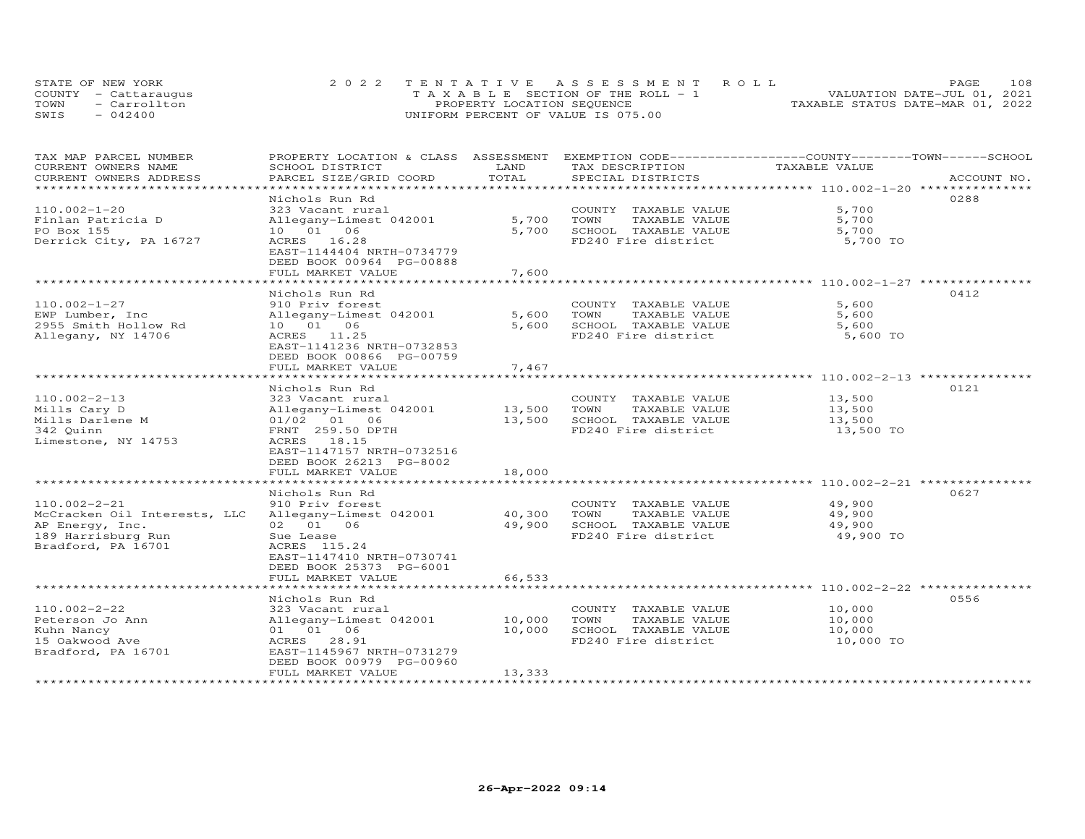|      | STATE OF NEW YORK    | 2022 TENTATIVE ASSESSMENT ROLL        | 108<br><b>PAGE</b>               |
|------|----------------------|---------------------------------------|----------------------------------|
|      | COUNTY - Cattaraugus | T A X A B L E SECTION OF THE ROLL - 1 | VALUATION DATE-JUL 01, 2021      |
| TOWN | - Carrollton         | PROPERTY LOCATION SEQUENCE            | TAXABLE STATUS DATE-MAR 01, 2022 |
| SWIS | $-042400$            | UNIFORM PERCENT OF VALUE IS 075.00    |                                  |

| TAX MAP PARCEL NUMBER<br>CURRENT OWNERS NAME | PROPERTY LOCATION & CLASS ASSESSMENT EXEMPTION CODE----------------COUNTY-------TOWN------SCHOOL<br>SCHOOL DISTRICT | LAND                        | TAX DESCRIPTION                                                 | TAXABLE VALUE                |             |
|----------------------------------------------|---------------------------------------------------------------------------------------------------------------------|-----------------------------|-----------------------------------------------------------------|------------------------------|-------------|
| CURRENT OWNERS ADDRESS                       | PARCEL SIZE/GRID COORD                                                                                              | TOTAL                       | SPECIAL DISTRICTS                                               |                              | ACCOUNT NO. |
| ******************************               |                                                                                                                     |                             |                                                                 |                              |             |
|                                              | Nichols Run Rd                                                                                                      |                             |                                                                 |                              | 0288        |
| $110.002 - 1 - 20$                           | 323 Vacant rural                                                                                                    |                             | COUNTY TAXABLE VALUE                                            | 5,700                        |             |
| Finlan Patricia D                            | Allegany-Limest 042001                                                                                              | 5,700                       | TOWN<br>TAXABLE VALUE                                           | 5,700                        |             |
| PO Box 155                                   | 10 01 06                                                                                                            | 5,700                       | SCHOOL TAXABLE VALUE                                            | 5,700                        |             |
| Derrick City, PA 16727                       | ACRES 16.28                                                                                                         |                             | FD240 Fire district                                             | 5,700 TO                     |             |
|                                              | EAST-1144404 NRTH-0734779                                                                                           |                             |                                                                 |                              |             |
|                                              | DEED BOOK 00964 PG-00888                                                                                            |                             |                                                                 |                              |             |
|                                              | FULL MARKET VALUE                                                                                                   | 7,600                       |                                                                 |                              |             |
|                                              |                                                                                                                     |                             | ********************************* 110.002-1-27 **************** |                              |             |
|                                              | Nichols Run Rd                                                                                                      |                             |                                                                 |                              | 0412        |
| $110.002 - 1 - 27$                           | 910 Priv forest                                                                                                     |                             | COUNTY TAXABLE VALUE                                            | 5,600                        |             |
| EWP Lumber, Inc                              | Allegany-Limest 042001                                                                                              | 5,600                       | TAXABLE VALUE<br>TOWN                                           | 5,600                        |             |
| 2955 Smith Hollow Rd                         | 10  01  06                                                                                                          | 5,600                       | SCHOOL TAXABLE VALUE                                            | 5,600                        |             |
| Allegany, NY 14706                           | ACRES 11.25<br>EAST-1141236 NRTH-0732853                                                                            |                             | FD240 Fire district                                             | 5,600 TO                     |             |
|                                              | DEED BOOK 00866 PG-00759                                                                                            |                             |                                                                 |                              |             |
|                                              | FULL MARKET VALUE                                                                                                   | 7,467                       |                                                                 |                              |             |
|                                              |                                                                                                                     |                             |                                                                 | *********** 110.002-2-13 *** |             |
|                                              | Nichols Run Rd                                                                                                      |                             |                                                                 |                              | 0121        |
| $110.002 - 2 - 13$                           | 323 Vacant rural                                                                                                    |                             | COUNTY TAXABLE VALUE                                            | 13,500                       |             |
| Mills Cary D                                 | Allegany-Limest 042001                                                                                              | 13,500                      | TOWN<br>TAXABLE VALUE                                           | 13,500                       |             |
| Mills Darlene M                              | 01/02 01 06                                                                                                         | 13,500                      | SCHOOL TAXABLE VALUE                                            | 13,500                       |             |
| 342 Quinn                                    | FRNT 259.50 DPTH                                                                                                    |                             | FD240 Fire district                                             | 13,500 TO                    |             |
| Limestone, NY 14753                          | ACRES 18.15                                                                                                         |                             |                                                                 |                              |             |
|                                              | EAST-1147157 NRTH-0732516                                                                                           |                             |                                                                 |                              |             |
|                                              | DEED BOOK 26213 PG-8002                                                                                             |                             |                                                                 |                              |             |
|                                              | FULL MARKET VALUE                                                                                                   | 18,000                      |                                                                 |                              |             |
|                                              |                                                                                                                     |                             |                                                                 |                              |             |
|                                              | Nichols Run Rd                                                                                                      |                             |                                                                 |                              | 0627        |
| $110.002 - 2 - 21$                           | 910 Priv forest                                                                                                     |                             | COUNTY TAXABLE VALUE                                            | 49,900                       |             |
| McCracken Oil Interests, LLC                 | Allegany-Limest 042001                                                                                              | 40,300                      | TOWN<br>TAXABLE VALUE                                           | 49,900                       |             |
| AP Energy, Inc.                              | 02 01 06                                                                                                            | 49,900                      | SCHOOL TAXABLE VALUE                                            | 49,900                       |             |
| 189 Harrisburg Run<br>Bradford, PA 16701     | Sue Lease<br>ACRES 115.24                                                                                           |                             | FD240 Fire district                                             | 49,900 TO                    |             |
|                                              | EAST-1147410 NRTH-0730741                                                                                           |                             |                                                                 |                              |             |
|                                              | DEED BOOK 25373 PG-6001                                                                                             |                             |                                                                 |                              |             |
|                                              | FULL MARKET VALUE                                                                                                   | 66,533                      |                                                                 |                              |             |
|                                              |                                                                                                                     | * * * * * * * * * * * * * * |                                                                 |                              |             |
|                                              | Nichols Run Rd                                                                                                      |                             |                                                                 |                              | 0556        |
| $110.002 - 2 - 22$                           | 323 Vacant rural                                                                                                    |                             | COUNTY TAXABLE VALUE                                            | 10,000                       |             |
| Peterson Jo Ann                              | Allegany-Limest 042001                                                                                              | 10,000                      | TOWN<br>TAXABLE VALUE                                           | 10,000                       |             |
| Kuhn Nancy                                   | 01 01 06                                                                                                            | 10,000                      | SCHOOL TAXABLE VALUE                                            | 10,000                       |             |
| 15 Oakwood Ave                               | ACRES 28.91                                                                                                         |                             | FD240 Fire district                                             | 10,000 TO                    |             |
| Bradford, PA 16701                           | EAST-1145967 NRTH-0731279                                                                                           |                             |                                                                 |                              |             |
|                                              | DEED BOOK 00979 PG-00960                                                                                            |                             |                                                                 |                              |             |
|                                              | FULL MARKET VALUE                                                                                                   | 13,333                      |                                                                 |                              |             |
|                                              |                                                                                                                     |                             |                                                                 |                              |             |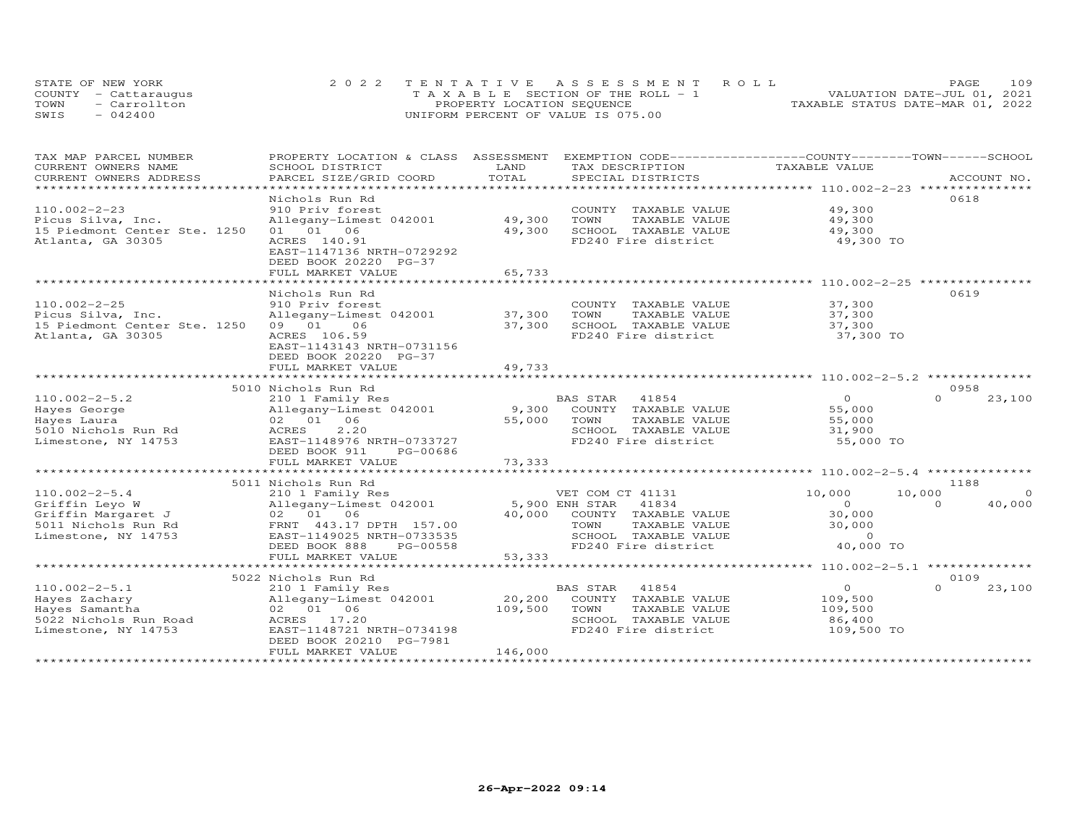| STATE OF NEW YORK    |              | 2022 TENTATIVE ASSESSMENT ROLL        |  |  |                                  | PAGE. | 109 |
|----------------------|--------------|---------------------------------------|--|--|----------------------------------|-------|-----|
| COUNTY - Cattaraugus |              | T A X A B L E SECTION OF THE ROLL - 1 |  |  | VALUATION DATE-JUL 01, 2021      |       |     |
| TOWN                 | - Carrollton | PROPERTY LOCATION SEQUENCE            |  |  | TAXABLE STATUS DATE-MAR 01, 2022 |       |     |
| SWIS<br>$-042400$    |              | UNIFORM PERCENT OF VALUE IS 075.00    |  |  |                                  |       |     |

| TAX MAP PARCEL NUMBER              | PROPERTY LOCATION & CLASS ASSESSMENT |         | EXEMPTION CODE-----------------COUNTY-------TOWN------SCHOOL |                |                    |
|------------------------------------|--------------------------------------|---------|--------------------------------------------------------------|----------------|--------------------|
| CURRENT OWNERS NAME                | SCHOOL DISTRICT                      | LAND    | TAX DESCRIPTION                                              | TAXABLE VALUE  |                    |
| CURRENT OWNERS ADDRESS             | PARCEL SIZE/GRID COORD               | TOTAL   | SPECIAL DISTRICTS                                            |                | ACCOUNT NO.        |
| ***********************            |                                      |         |                                                              |                |                    |
|                                    | Nichols Run Rd                       |         |                                                              |                | 0618               |
| $110.002 - 2 - 23$                 | 910 Priv forest                      |         | COUNTY TAXABLE VALUE                                         | 49,300         |                    |
| Picus Silva, Inc.                  | Allegany-Limest 042001               | 49,300  | TOWN<br>TAXABLE VALUE                                        | 49,300         |                    |
| 15 Piedmont Center Ste. 1250       | 01 01 06                             | 49,300  | SCHOOL TAXABLE VALUE                                         | 49,300         |                    |
| Atlanta, GA 30305                  | ACRES 140.91                         |         | FD240 Fire district                                          | 49,300 TO      |                    |
|                                    | EAST-1147136 NRTH-0729292            |         |                                                              |                |                    |
|                                    | DEED BOOK 20220 PG-37                |         |                                                              |                |                    |
|                                    | FULL MARKET VALUE                    | 65,733  |                                                              |                |                    |
|                                    |                                      |         |                                                              |                |                    |
|                                    | Nichols Run Rd                       |         |                                                              |                | 0619               |
| $110.002 - 2 - 25$                 | 910 Priv forest                      |         | COUNTY TAXABLE VALUE                                         | 37,300         |                    |
| Picus Silva, Inc.                  | Allegany-Limest 042001               | 37,300  | TOWN<br>TAXABLE VALUE                                        | 37,300         |                    |
| 15 Piedmont Center Ste. 1250 09 01 | 06                                   | 37,300  | SCHOOL TAXABLE VALUE                                         | 37,300         |                    |
| Atlanta, GA 30305                  | ACRES 106.59                         |         | FD240 Fire district                                          | 37,300 TO      |                    |
|                                    | EAST-1143143 NRTH-0731156            |         |                                                              |                |                    |
|                                    | DEED BOOK 20220 PG-37                |         |                                                              |                |                    |
|                                    | FULL MARKET VALUE                    | 49,733  |                                                              |                |                    |
|                                    |                                      |         |                                                              |                |                    |
|                                    | 5010 Nichols Run Rd                  |         |                                                              |                | 0958               |
| $110.002 - 2 - 5.2$                | 210 1 Family Res                     |         | BAS STAR<br>41854                                            | $\overline{0}$ | $\Omega$<br>23,100 |
| Hayes George                       | Allegany-Limest 042001               |         | 9,300 COUNTY TAXABLE VALUE                                   | 55,000         |                    |
| Hayes Laura                        | 02 01 06                             | 55,000  | TOWN<br>TAXABLE VALUE                                        | 55,000         |                    |
| 5010 Nichols Run Rd                | ACRES<br>2,20                        |         | SCHOOL TAXABLE VALUE                                         | 31,900         |                    |
| Limestone, NY 14753                | EAST-1148976 NRTH-0733727            |         | FD240 Fire district                                          | 55,000 TO      |                    |
|                                    | DEED BOOK 911<br>PG-00686            |         |                                                              |                |                    |
|                                    | FULL MARKET VALUE                    | 73,333  |                                                              |                |                    |
|                                    |                                      |         |                                                              |                |                    |
|                                    | 5011 Nichols Run Rd                  |         |                                                              |                | 1188               |
| $110.002 - 2 - 5.4$                | 210 1 Family Res                     |         | VET COM CT 41131                                             | 10,000         | 10,000<br>$\Omega$ |
| Griffin Leyo W                     | Allegany-Limest 042001               |         | 5,900 ENH STAR 41834                                         | $\overline{O}$ | 40,000<br>$\Omega$ |
| Griffin Margaret J                 | 02 01 06                             | 40,000  | COUNTY TAXABLE VALUE                                         | 30,000         |                    |
| 5011 Nichols Run Rd                | FRNT 443.17 DPTH 157.00              |         | TOWN<br>TAXABLE VALUE                                        | 30,000         |                    |
| Limestone, NY 14753                | EAST-1149025 NRTH-0733535            |         | SCHOOL TAXABLE VALUE                                         | $\overline{0}$ |                    |
|                                    | DEED BOOK 888<br>PG-00558            |         | FD240 Fire district                                          | 40,000 TO      |                    |
|                                    | FULL MARKET VALUE                    | 53,333  |                                                              |                |                    |
|                                    |                                      |         |                                                              |                |                    |
|                                    | 5022 Nichols Run Rd                  |         |                                                              |                | 0109               |
| $110.002 - 2 - 5.1$                | 210 1 Family Res                     |         | 41854<br>BAS STAR                                            | $\overline{O}$ | $\Omega$<br>23,100 |
| Hayes Zachary                      | Allegany-Limest 042001               | 20,200  | COUNTY TAXABLE VALUE                                         | 109,500        |                    |
| Hayes Samantha                     | 02 01 06                             | 109,500 | TOWN<br>TAXABLE VALUE                                        | 109,500        |                    |
| 5022 Nichols Run Road              | ACRES 17.20                          |         | SCHOOL TAXABLE VALUE                                         | 86,400         |                    |
| Limestone, NY 14753                | EAST-1148721 NRTH-0734198            |         | FD240 Fire district                                          | 109,500 TO     |                    |
|                                    | DEED BOOK 20210 PG-7981              |         |                                                              |                |                    |
|                                    | FULL MARKET VALUE                    | 146,000 |                                                              |                |                    |
|                                    |                                      |         |                                                              |                |                    |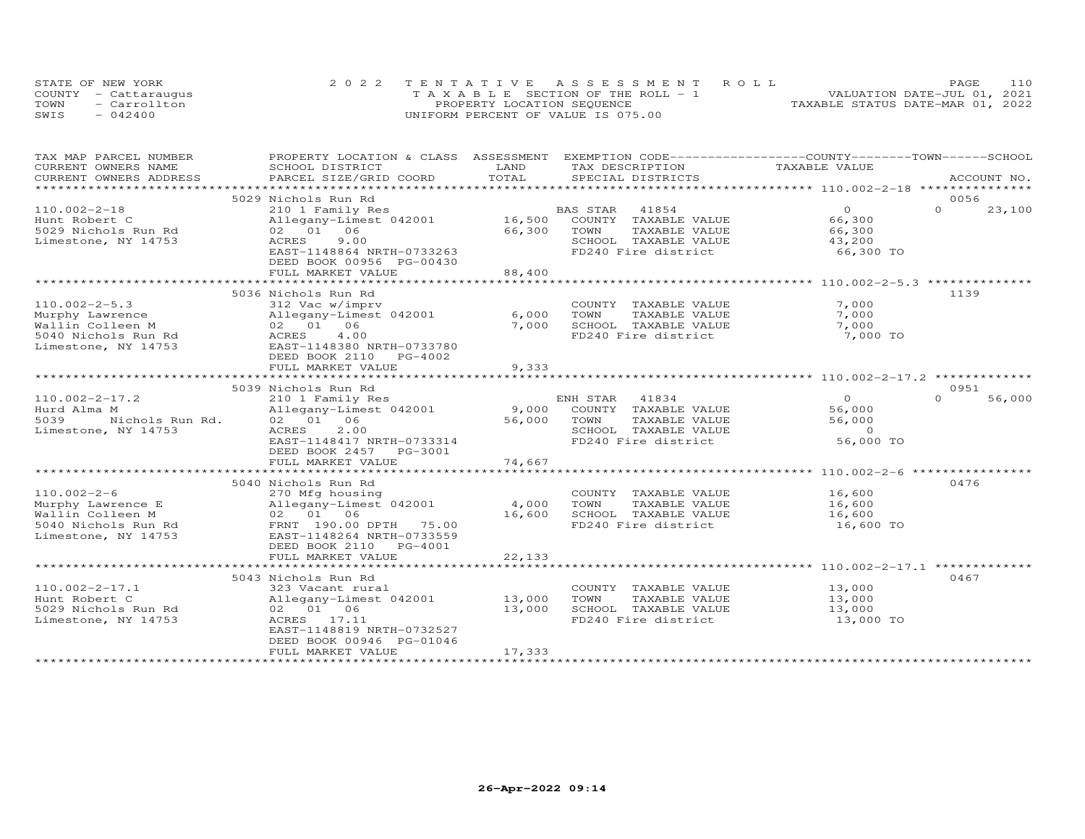|      | STATE OF NEW YORK    | 2022 TENTATIVE ASSESSMENT ROLL     | 110<br>PAGE.                     |
|------|----------------------|------------------------------------|----------------------------------|
|      | COUNTY - Cattaraugus | TAXABLE SECTION OF THE ROLL - 1    | VALUATION DATE-JUL 01, 2021      |
| TOWN | - Carrollton         | PROPERTY LOCATION SEQUENCE         | TAXABLE STATUS DATE-MAR 01, 2022 |
| SWIS | $-042400$            | UNIFORM PERCENT OF VALUE IS 075.00 |                                  |

| TAX MAP PARCEL NUMBER    | PROPERTY LOCATION & CLASS ASSESSMENT |               | EXEMPTION CODE-----------------COUNTY-------TOWN------SCHOOL |                |                    |
|--------------------------|--------------------------------------|---------------|--------------------------------------------------------------|----------------|--------------------|
| CURRENT OWNERS NAME      | SCHOOL DISTRICT                      | LAND          | TAX DESCRIPTION                                              | TAXABLE VALUE  |                    |
| CURRENT OWNERS ADDRESS   | PARCEL SIZE/GRID COORD               | TOTAL         | SPECIAL DISTRICTS                                            |                | ACCOUNT NO.        |
| ************************ |                                      |               |                                                              |                |                    |
|                          | 5029 Nichols Run Rd                  |               |                                                              |                | 0056               |
| $110.002 - 2 - 18$       | 210 1 Family Res                     |               | BAS STAR<br>41854                                            | $\Omega$       | $\Omega$<br>23,100 |
| Hunt Robert C            | Allegany-Limest 042001               | 16,500        | COUNTY TAXABLE VALUE                                         | 66,300         |                    |
| 5029 Nichols Run Rd      | 02 01 06                             | 66,300        | TOWN<br>TAXABLE VALUE                                        | 66,300         |                    |
| Limestone, NY 14753      | ACRES<br>9.00                        |               | SCHOOL TAXABLE VALUE                                         | 43,200         |                    |
|                          | EAST-1148864 NRTH-0733263            |               | FD240 Fire district                                          | 66,300 TO      |                    |
|                          | DEED BOOK 00956 PG-00430             |               |                                                              |                |                    |
|                          | FULL MARKET VALUE                    | 88,400        |                                                              |                |                    |
|                          | **************************           | ************* |                                                              |                |                    |
|                          | 5036 Nichols Run Rd                  |               |                                                              |                | 1139               |
| $110.002 - 2 - 5.3$      |                                      |               |                                                              | 7,000          |                    |
|                          | 312 Vac w/imprv                      |               | COUNTY TAXABLE VALUE                                         |                |                    |
| Murphy Lawrence          | Allegany-Limest 042001               | 6,000         | TOWN<br>TAXABLE VALUE                                        | 7,000          |                    |
| Wallin Colleen M         | 02 01 06                             | 7,000         | SCHOOL TAXABLE VALUE                                         | 7,000          |                    |
| 5040 Nichols Run Rd      | ACRES<br>4.00                        |               | FD240 Fire district                                          | 7,000 TO       |                    |
| Limestone, NY 14753      | EAST-1148380 NRTH-0733780            |               |                                                              |                |                    |
|                          | DEED BOOK 2110 PG-4002               |               |                                                              |                |                    |
|                          | FULL MARKET VALUE                    | 9,333         |                                                              |                |                    |
|                          |                                      |               |                                                              |                |                    |
|                          | 5039 Nichols Run Rd                  |               |                                                              |                | 0951               |
| $110.002 - 2 - 17.2$     | 210 1 Family Res                     |               | ENH STAR<br>41834                                            | $\overline{O}$ | $\Omega$<br>56,000 |
| Hurd Alma M              | Allegany-Limest 042001               | 9,000         | COUNTY TAXABLE VALUE                                         | 56,000         |                    |
| 5039<br>Nichols Run Rd.  | 02 01 06                             | 56,000        | TAXABLE VALUE<br>TOWN                                        | 56,000         |                    |
| Limestone, NY 14753      | ACRES<br>2.00                        |               | SCHOOL TAXABLE VALUE                                         | $\Omega$       |                    |
|                          | EAST-1148417 NRTH-0733314            |               | FD240 Fire district                                          | 56,000 TO      |                    |
|                          | DEED BOOK 2457 PG-3001               |               |                                                              |                |                    |
|                          | FULL MARKET VALUE                    | 74,667        |                                                              |                |                    |
|                          |                                      |               |                                                              |                |                    |
|                          | 5040 Nichols Run Rd                  |               |                                                              |                | 0476               |
| $110.002 - 2 - 6$        | 270 Mfg housing                      |               | COUNTY TAXABLE VALUE                                         | 16,600         |                    |
| Murphy Lawrence E        | Allegany-Limest 042001               | 4,000         | TOWN<br>TAXABLE VALUE                                        | 16,600         |                    |
| Wallin Colleen M         | 02 01 06                             | 16,600        | SCHOOL TAXABLE VALUE                                         | 16,600         |                    |
| 5040 Nichols Run Rd      | FRNT 190.00 DPTH 75.00               |               | FD240 Fire district                                          | 16,600 TO      |                    |
|                          | EAST-1148264 NRTH-0733559            |               |                                                              |                |                    |
| Limestone, NY 14753      |                                      |               |                                                              |                |                    |
|                          | DEED BOOK 2110 PG-4001               |               |                                                              |                |                    |
|                          | FULL MARKET VALUE                    | 22,133        |                                                              |                |                    |
|                          |                                      |               |                                                              |                |                    |
|                          | 5043 Nichols Run Rd                  |               |                                                              |                | 0467               |
| $110.002 - 2 - 17.1$     | 323 Vacant rural                     |               | COUNTY TAXABLE VALUE                                         | 13,000         |                    |
| Hunt Robert C            | Allegany-Limest 042001               | 13,000        | TOWN<br>TAXABLE VALUE                                        | 13,000         |                    |
| 5029 Nichols Run Rd      | 02 01 06                             | 13,000        | SCHOOL TAXABLE VALUE                                         | 13,000         |                    |
| Limestone, NY 14753      | ACRES 17.11                          |               | FD240 Fire district                                          | 13,000 TO      |                    |
|                          | EAST-1148819 NRTH-0732527            |               |                                                              |                |                    |
|                          | DEED BOOK 00946 PG-01046             |               |                                                              |                |                    |
|                          | FULL MARKET VALUE                    | 17,333        |                                                              |                |                    |
|                          |                                      |               |                                                              |                |                    |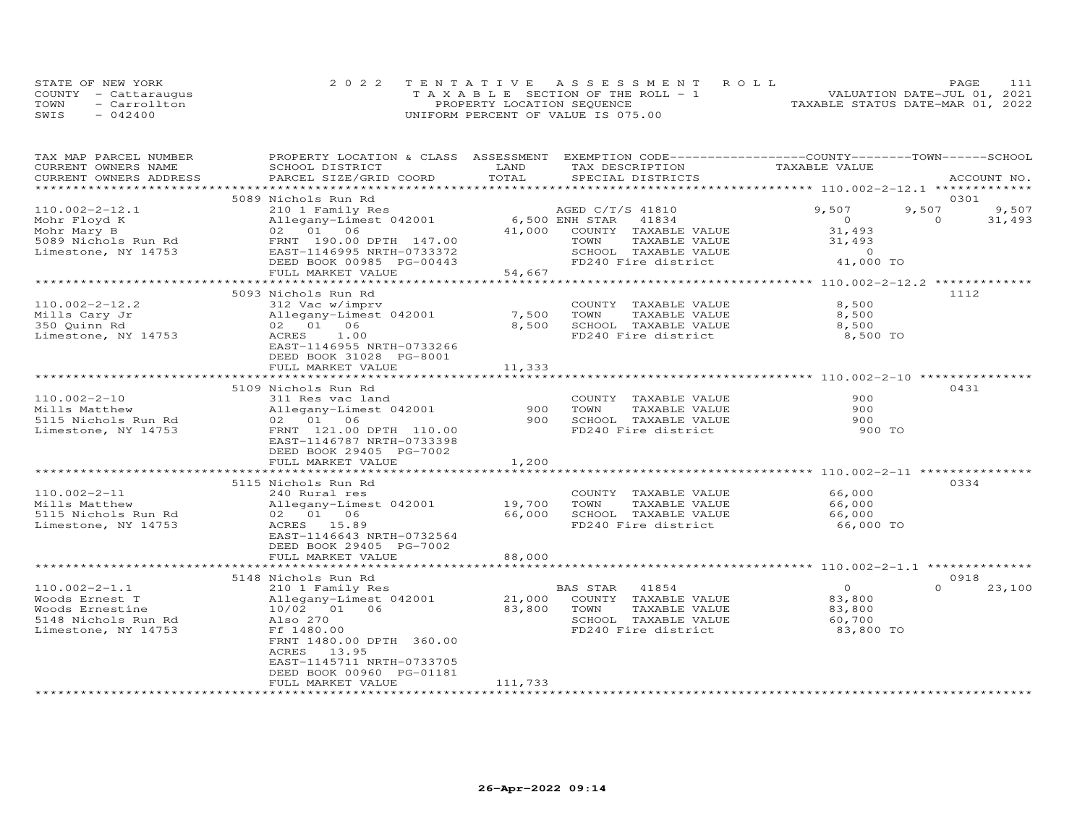|      | STATE OF NEW YORK    | 2022 TENTATIVE ASSESSMENT ROLL        | PAGE                             |
|------|----------------------|---------------------------------------|----------------------------------|
|      | COUNTY - Cattaraugus | T A X A B L E SECTION OF THE ROLL - 1 | VALUATION DATE-JUL 01, 2021      |
| TOWN | - Carrollton         | PROPERTY LOCATION SEQUENCE            | TAXABLE STATUS DATE-MAR 01, 2022 |
| SWIS | $-042400$            | UNIFORM PERCENT OF VALUE IS 075.00    |                                  |

| TAX MAP PARCEL NUMBER             | PROPERTY LOCATION & CLASS ASSESSMENT EXEMPTION CODE-----------------COUNTY-------TOWN------SCHOOL |                  |                                               |                                                        |                    |
|-----------------------------------|---------------------------------------------------------------------------------------------------|------------------|-----------------------------------------------|--------------------------------------------------------|--------------------|
| CURRENT OWNERS NAME               | SCHOOL DISTRICT                                                                                   | LAND             | TAX DESCRIPTION                               | TAXABLE VALUE                                          |                    |
| CURRENT OWNERS ADDRESS            | PARCEL SIZE/GRID COORD                                                                            | TOTAL            | SPECIAL DISTRICTS                             | ************************* 110.002-2-12.1 ************* | ACCOUNT NO.        |
|                                   | 5089 Nichols Run Rd                                                                               |                  |                                               |                                                        | 0301               |
| $110.002 - 2 - 12.1$              | 210 1 Family Res                                                                                  |                  | AGED C/T/S 41810                              | 9,507                                                  | 9,507<br>9,507     |
| Mohr Floyd K                      | Allegany-Limest 042001                                                                            | 6,500 ENH STAR   | 41834                                         | $\overline{O}$                                         | $\Omega$<br>31,493 |
| Mohr Mary B                       | 02 01 06                                                                                          | 41,000           | COUNTY TAXABLE VALUE                          | 31,493                                                 |                    |
| 5089 Nichols Run Rd               | FRNT 190.00 DPTH 147.00                                                                           |                  | TOWN<br>TAXABLE VALUE                         | 31,493                                                 |                    |
| Limestone, NY 14753               | EAST-1146995 NRTH-0733372                                                                         |                  | SCHOOL TAXABLE VALUE                          | $\Omega$                                               |                    |
|                                   | DEED BOOK 00985 PG-00443                                                                          |                  | FD240 Fire district                           | 41,000 TO                                              |                    |
|                                   | FULL MARKET VALUE                                                                                 | 54,667           |                                               |                                                        |                    |
|                                   |                                                                                                   |                  |                                               |                                                        |                    |
|                                   | 5093 Nichols Run Rd                                                                               |                  |                                               |                                                        | 1112               |
| $110.002 - 2 - 12.2$              | 312 Vac w/imprv                                                                                   |                  | COUNTY TAXABLE VALUE                          | 8,500                                                  |                    |
| Mills Cary Jr                     | Allegany-Limest 042001                                                                            | 7,500            | TOWN<br>TAXABLE VALUE                         | 8,500                                                  |                    |
| 350 Quinn Rd                      | 02 01 06                                                                                          | 8,500            | SCHOOL TAXABLE VALUE                          | 8,500                                                  |                    |
| Limestone, NY 14753               | ACRES<br>1.00                                                                                     |                  | FD240 Fire district                           | 8,500 TO                                               |                    |
|                                   | EAST-1146955 NRTH-0733266                                                                         |                  |                                               |                                                        |                    |
|                                   | DEED BOOK 31028 PG-8001                                                                           |                  |                                               |                                                        |                    |
|                                   | FULL MARKET VALUE                                                                                 | 11,333           |                                               |                                                        |                    |
|                                   |                                                                                                   |                  |                                               |                                                        |                    |
|                                   | 5109 Nichols Run Rd                                                                               |                  |                                               |                                                        | 0431               |
| $110.002 - 2 - 10$                | 311 Res vac land                                                                                  |                  | COUNTY TAXABLE VALUE                          | 900                                                    |                    |
| Mills Matthew                     | Allegany-Limest 042001                                                                            | 900              | TOWN<br>TAXABLE VALUE                         | 900                                                    |                    |
| 5115 Nichols Run Rd               | 02 01 06                                                                                          | 900              | SCHOOL TAXABLE VALUE                          | 900                                                    |                    |
| Limestone, NY 14753               | FRNT 121.00 DPTH 110.00                                                                           |                  | FD240 Fire district                           | 900 TO                                                 |                    |
|                                   | EAST-1146787 NRTH-0733398                                                                         |                  |                                               |                                                        |                    |
|                                   | DEED BOOK 29405 PG-7002                                                                           |                  |                                               |                                                        |                    |
|                                   | FULL MARKET VALUE                                                                                 | 1,200            |                                               |                                                        |                    |
|                                   |                                                                                                   |                  |                                               |                                                        |                    |
|                                   | 5115 Nichols Run Rd                                                                               |                  |                                               |                                                        | 0334               |
| $110.002 - 2 - 11$                | 240 Rural res                                                                                     |                  | COUNTY TAXABLE VALUE                          | 66,000                                                 |                    |
| Mills Matthew                     | Allegany-Limest 042001                                                                            | 19,700           | TOWN<br>TAXABLE VALUE                         | 66,000                                                 |                    |
| 5115 Nichols Run Rd               | 02 01 06                                                                                          | 66,000           | SCHOOL TAXABLE VALUE                          | 66,000                                                 |                    |
| Limestone, NY 14753               | ACRES 15.89                                                                                       |                  | FD240 Fire district                           | 66,000 TO                                              |                    |
|                                   | EAST-1146643 NRTH-0732564                                                                         |                  |                                               |                                                        |                    |
|                                   | DEED BOOK 29405 PG-7002                                                                           |                  |                                               |                                                        |                    |
|                                   | FULL MARKET VALUE                                                                                 | 88,000           |                                               |                                                        |                    |
|                                   |                                                                                                   |                  |                                               |                                                        | 0918               |
| $110.002 - 2 - 1.1$               | 5148 Nichols Run Rd                                                                               |                  | BAS STAR<br>41854                             | $\overline{0}$                                         | $\Omega$<br>23,100 |
|                                   | 210 1 Family Res                                                                                  |                  |                                               |                                                        |                    |
| Woods Ernest T<br>Woods Ernestine | Allegany-Limest 042001<br>10/02 01 06                                                             | 21,000<br>83,800 | COUNTY TAXABLE VALUE<br>TOWN<br>TAXABLE VALUE | 83,800<br>83,800                                       |                    |
| 5148 Nichols Run Rd               | Also 270                                                                                          |                  | SCHOOL TAXABLE VALUE                          | 60,700                                                 |                    |
| Limestone, NY 14753               | Ff 1480.00                                                                                        |                  | FD240 Fire district                           | 83,800 TO                                              |                    |
|                                   | FRNT 1480.00 DPTH 360.00                                                                          |                  |                                               |                                                        |                    |
|                                   | ACRES<br>13.95                                                                                    |                  |                                               |                                                        |                    |
|                                   | EAST-1145711 NRTH-0733705                                                                         |                  |                                               |                                                        |                    |
|                                   | DEED BOOK 00960 PG-01181                                                                          |                  |                                               |                                                        |                    |
|                                   | FULL MARKET VALUE                                                                                 | 111,733          |                                               |                                                        |                    |
|                                   |                                                                                                   |                  |                                               |                                                        |                    |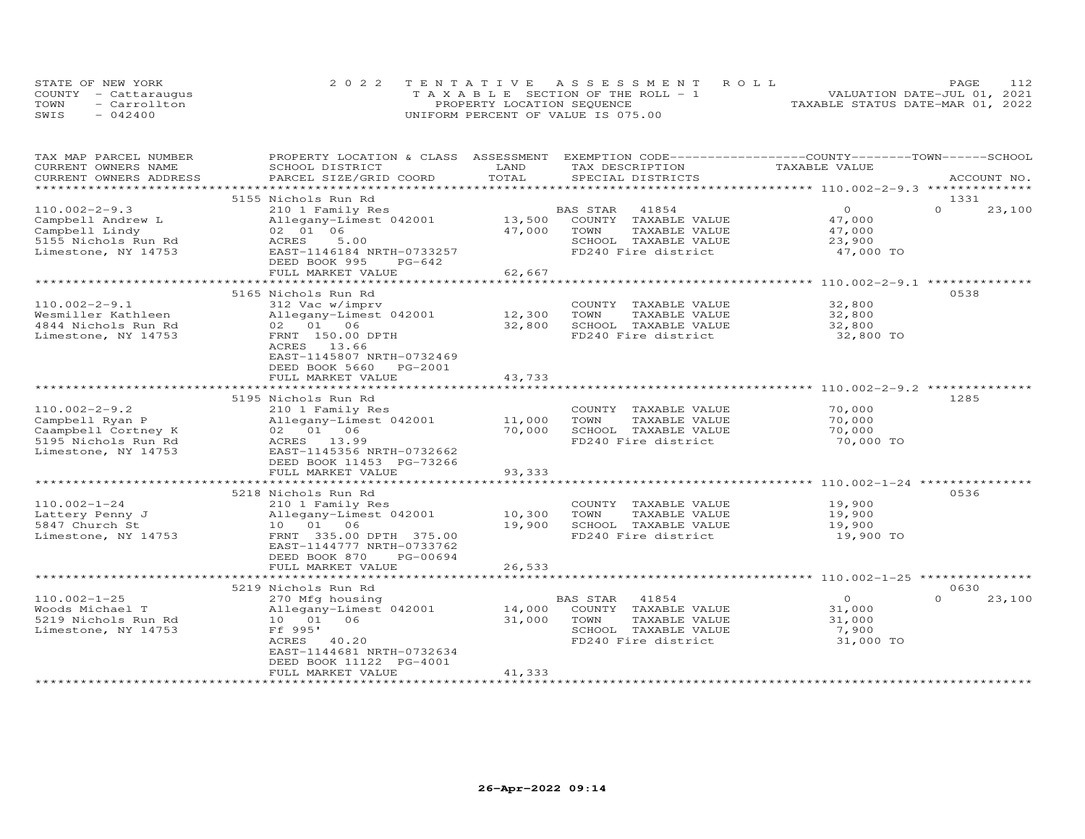|      | STATE OF NEW YORK    | 2022 TENTATIVE ASSESSMENT ROLL     | PAGE.                            | 112 |
|------|----------------------|------------------------------------|----------------------------------|-----|
|      | COUNTY - Cattaraugus | TAXABLE SECTION OF THE ROLL - 1    | VALUATION DATE-JUL 01, 2021      |     |
| TOWN | - Carrollton         | PROPERTY LOCATION SEQUENCE         | TAXABLE STATUS DATE-MAR 01, 2022 |     |
| SWIS | $-042400$            | UNIFORM PERCENT OF VALUE IS 075.00 |                                  |     |

| TAX MAP PARCEL NUMBER<br>CURRENT OWNERS NAME | PROPERTY LOCATION & CLASS ASSESSMENT<br>SCHOOL DISTRICT | LAND               | EXEMPTION CODE-----------------COUNTY-------TOWN-----SCHOOL<br>TAX DESCRIPTION | TAXABLE VALUE                                                 |          |             |
|----------------------------------------------|---------------------------------------------------------|--------------------|--------------------------------------------------------------------------------|---------------------------------------------------------------|----------|-------------|
| CURRENT OWNERS ADDRESS                       | PARCEL SIZE/GRID COORD                                  | TOTAL              | SPECIAL DISTRICTS                                                              |                                                               |          | ACCOUNT NO. |
|                                              |                                                         | ************       |                                                                                | ********************************310.002-2-9.3 *************** |          |             |
|                                              | 5155 Nichols Run Rd                                     |                    |                                                                                |                                                               | 1331     |             |
| $110.002 - 2 - 9.3$                          | 210 1 Family Res                                        |                    | BAS STAR<br>41854                                                              | $\circ$                                                       | $\Omega$ | 23,100      |
| Campbell Andrew L                            | Allegany-Limest 042001                                  | 13,500             | COUNTY TAXABLE VALUE                                                           | 47,000                                                        |          |             |
| Campbell Lindy                               | 02 01 06                                                | 47,000             | TOWN<br>TAXABLE VALUE                                                          | 47,000                                                        |          |             |
| 5155 Nichols Run Rd                          | 5.00<br>ACRES                                           |                    | SCHOOL TAXABLE VALUE                                                           | 23,900                                                        |          |             |
| Limestone, NY 14753                          | EAST-1146184 NRTH-0733257                               |                    | FD240 Fire district                                                            | 47,000 TO                                                     |          |             |
|                                              | DEED BOOK 995<br>$PG-642$                               |                    |                                                                                |                                                               |          |             |
|                                              | FULL MARKET VALUE                                       | 62,667             |                                                                                |                                                               |          |             |
|                                              | **************************                              | ****************** |                                                                                |                                                               |          |             |
|                                              | 5165 Nichols Run Rd                                     |                    |                                                                                |                                                               | 0538     |             |
| $110.002 - 2 - 9.1$                          | 312 Vac w/imprv                                         |                    | COUNTY TAXABLE VALUE                                                           | 32,800                                                        |          |             |
| Wesmiller Kathleen                           | Allegany-Limest 042001                                  | 12,300             | TOWN<br>TAXABLE VALUE                                                          | 32,800                                                        |          |             |
| 4844 Nichols Run Rd                          | 02 01 06                                                | 32,800             | SCHOOL TAXABLE VALUE                                                           | 32,800                                                        |          |             |
| Limestone, NY 14753                          | FRNT 150.00 DPTH                                        |                    | FD240 Fire district                                                            | 32,800 TO                                                     |          |             |
|                                              | ACRES 13.66                                             |                    |                                                                                |                                                               |          |             |
|                                              | EAST-1145807 NRTH-0732469                               |                    |                                                                                |                                                               |          |             |
|                                              | DEED BOOK 5660<br>PG-2001                               |                    |                                                                                |                                                               |          |             |
|                                              | FULL MARKET VALUE                                       | 43,733             |                                                                                |                                                               |          |             |
|                                              |                                                         |                    |                                                                                | ******************* 110.002-2-9.2 *********                   |          |             |
|                                              | 5195 Nichols Run Rd                                     |                    |                                                                                |                                                               | 1285     |             |
| $110.002 - 2 - 9.2$                          | 210 1 Family Res                                        |                    | COUNTY TAXABLE VALUE                                                           | 70,000                                                        |          |             |
| Campbell Ryan P                              | Allegany-Limest 042001                                  | 11,000             | TOWN<br>TAXABLE VALUE                                                          | 70,000                                                        |          |             |
| Caampbell Cortney K                          | 02 01 06                                                | 70,000             | SCHOOL TAXABLE VALUE                                                           | 70,000                                                        |          |             |
| 5195 Nichols Run Rd                          | ACRES 13.99                                             |                    | FD240 Fire district                                                            | 70,000 TO                                                     |          |             |
| Limestone, NY 14753                          | EAST-1145356 NRTH-0732662                               |                    |                                                                                |                                                               |          |             |
|                                              | DEED BOOK 11453 PG-73266                                |                    |                                                                                |                                                               |          |             |
|                                              | FULL MARKET VALUE                                       | 93,333             |                                                                                |                                                               |          |             |
|                                              |                                                         |                    |                                                                                | ******************************** 110.002-1-24 *********       |          |             |
|                                              | 5218 Nichols Run Rd                                     |                    |                                                                                |                                                               | 0536     |             |
| $110.002 - 1 - 24$                           | 210 1 Family Res                                        |                    | COUNTY TAXABLE VALUE                                                           | 19,900                                                        |          |             |
| Lattery Penny J                              | Allegany-Limest 042001                                  | 10,300             | TAXABLE VALUE<br>TOWN                                                          | 19,900                                                        |          |             |
| 5847 Church St                               | 10 01 06                                                | 19,900             | SCHOOL TAXABLE VALUE                                                           | 19,900                                                        |          |             |
| Limestone, NY 14753                          | FRNT 335.00 DPTH 375.00                                 |                    | FD240 Fire district                                                            | 19,900 TO                                                     |          |             |
|                                              | EAST-1144777 NRTH-0733762                               |                    |                                                                                |                                                               |          |             |
|                                              | DEED BOOK 870<br>PG-00694                               |                    |                                                                                |                                                               |          |             |
|                                              | FULL MARKET VALUE                                       | 26,533             |                                                                                |                                                               |          |             |
|                                              |                                                         |                    |                                                                                |                                                               |          |             |
|                                              | 5219 Nichols Run Rd                                     |                    |                                                                                |                                                               | 0630     |             |
| $110.002 - 1 - 25$                           | 270 Mfg housing                                         |                    | 41854<br>BAS STAR                                                              | $\Omega$                                                      | $\Omega$ | 23,100      |
| Woods Michael T                              | Allegany-Limest 042001                                  | 14,000             | COUNTY TAXABLE VALUE                                                           | 31,000                                                        |          |             |
| 5219 Nichols Run Rd                          | 10 01 06                                                | 31,000             | TOWN<br>TAXABLE VALUE                                                          | 31,000                                                        |          |             |
| Limestone, NY 14753                          | Ff 995'                                                 |                    | SCHOOL TAXABLE VALUE                                                           | 7,900                                                         |          |             |
|                                              | ACRES 40.20                                             |                    | FD240 Fire district                                                            | 31,000 TO                                                     |          |             |
|                                              | EAST-1144681 NRTH-0732634                               |                    |                                                                                |                                                               |          |             |
|                                              | DEED BOOK 11122 PG-4001                                 |                    |                                                                                |                                                               |          |             |
|                                              | FULL MARKET VALUE                                       | 41,333             |                                                                                |                                                               |          |             |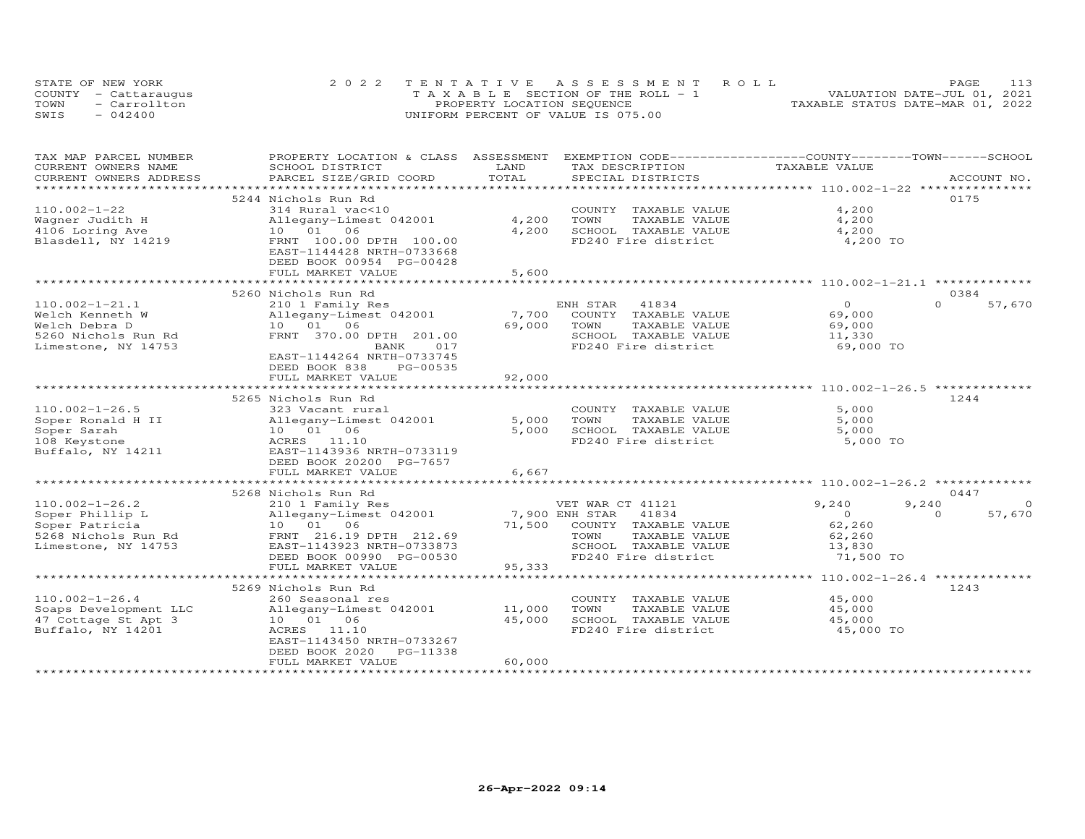|      | STATE OF NEW YORK    | 2022 TENTATIVE ASSESSMENT ROLL        | PAGE.                            |
|------|----------------------|---------------------------------------|----------------------------------|
|      | COUNTY - Cattaraugus | T A X A B L E SECTION OF THE ROLL - 1 | VALUATION DATE-JUL 01, 2021      |
| TOWN | $=$ Carrollton       | PROPERTY LOCATION SEQUENCE            | TAXABLE STATUS DATE-MAR 01, 2022 |
| SWIS | $-042400$            | UNIFORM PERCENT OF VALUE IS 075.00    |                                  |

| TAX MAP PARCEL NUMBER                        | PROPERTY LOCATION & CLASS ASSESSMENT |              | EXEMPTION CODE------------------COUNTY-------TOWN------SCHOOL  |                                                  |                    |
|----------------------------------------------|--------------------------------------|--------------|----------------------------------------------------------------|--------------------------------------------------|--------------------|
| CURRENT OWNERS NAME                          | SCHOOL DISTRICT                      | LAND         | TAX DESCRIPTION                                                | TAXABLE VALUE                                    |                    |
| CURRENT OWNERS ADDRESS<br>****************** | PARCEL SIZE/GRID COORD               | TOTAL        | SPECIAL DISTRICTS                                              |                                                  | ACCOUNT NO.        |
|                                              | 5244 Nichols Run Rd                  |              |                                                                |                                                  | 0175               |
| $110.002 - 1 - 22$                           | 314 Rural vac<10                     |              | COUNTY TAXABLE VALUE                                           | 4,200                                            |                    |
| Wagner Judith H                              | Allegany-Limest 042001               | 4,200        | TOWN<br>TAXABLE VALUE                                          | 4,200                                            |                    |
| 4106 Loring Ave                              | 10 01 06                             | 4,200        | SCHOOL TAXABLE VALUE                                           | 4,200                                            |                    |
| Blasdell, NY 14219                           | FRNT 100.00 DPTH 100.00              |              | FD240 Fire district                                            | 4,200 TO                                         |                    |
|                                              | EAST-1144428 NRTH-0733668            |              |                                                                |                                                  |                    |
|                                              | DEED BOOK 00954 PG-00428             |              |                                                                |                                                  |                    |
|                                              | FULL MARKET VALUE                    | 5,600        |                                                                |                                                  |                    |
|                                              |                                      |              |                                                                | ************************ 110.002-1-21.1 ******** |                    |
|                                              | 5260 Nichols Run Rd                  |              |                                                                |                                                  | 0384               |
| $110.002 - 1 - 21.1$                         | 210 1 Family Res                     |              | ENH STAR 41834                                                 | $\Omega$                                         | $\Omega$<br>57,670 |
| Welch Kenneth W                              | Allegany-Limest 042001               | 7,700        | COUNTY TAXABLE VALUE                                           | 69,000                                           |                    |
| Welch Debra D                                | 10 01 06                             | 69,000       | TOWN<br>TAXABLE VALUE                                          | 69,000                                           |                    |
| 5260 Nichols Run Rd                          | FRNT 370.00 DPTH 201.00              |              | SCHOOL TAXABLE VALUE                                           | 11,330                                           |                    |
| Limestone, NY 14753                          | BANK<br>017                          |              | FD240 Fire district                                            | 69,000 TO                                        |                    |
|                                              | EAST-1144264 NRTH-0733745            |              |                                                                |                                                  |                    |
|                                              | DEED BOOK 838<br>PG-00535            |              |                                                                |                                                  |                    |
|                                              | FULL MARKET VALUE                    | 92,000       |                                                                |                                                  |                    |
|                                              | ********************                 |              | ******************************** 110.002-1-26.5 ************** |                                                  |                    |
|                                              | 5265 Nichols Run Rd                  |              |                                                                |                                                  | 1244               |
| $110.002 - 1 - 26.5$                         | 323 Vacant rural                     |              | COUNTY TAXABLE VALUE                                           | 5,000                                            |                    |
| Soper Ronald H II                            | Allegany-Limest 042001               | 5,000        | TOWN<br>TAXABLE VALUE                                          | 5,000                                            |                    |
| Soper Sarah                                  | 10  01  06                           | 5,000        | SCHOOL TAXABLE VALUE                                           | 5,000                                            |                    |
| 108 Keystone                                 | ACRES 11.10                          |              | FD240 Fire district                                            | 5,000 TO                                         |                    |
| Buffalo, NY 14211                            | EAST-1143936 NRTH-0733119            |              |                                                                |                                                  |                    |
|                                              | DEED BOOK 20200 PG-7657              |              |                                                                |                                                  |                    |
|                                              | FULL MARKET VALUE                    | 6,667        |                                                                |                                                  |                    |
|                                              |                                      | ************ |                                                                |                                                  |                    |
|                                              | 5268 Nichols Run Rd                  |              |                                                                |                                                  | 0447               |
| $110.002 - 1 - 26.2$                         | 210 1 Family Res                     |              | VET WAR CT 41121                                               | 9,240                                            | 9,240<br>$\Omega$  |
| Soper Phillip L                              | Allegany-Limest 042001               |              | 7,900 ENH STAR<br>41834                                        | $\Omega$                                         | $\Omega$<br>57,670 |
| Soper Patricia                               | 10  01  06                           | 71,500       | COUNTY TAXABLE VALUE                                           | 62,260                                           |                    |
| 5268 Nichols Run Rd                          | FRNT 216.19 DPTH 212.69              |              | TAXABLE VALUE<br>TOWN                                          | 62,260                                           |                    |
| Limestone, NY 14753                          | EAST-1143923 NRTH-0733873            |              | SCHOOL TAXABLE VALUE                                           | 13,830                                           |                    |
|                                              | DEED BOOK 00990 PG-00530             |              | FD240 Fire district                                            | 71,500 TO                                        |                    |
|                                              | FULL MARKET VALUE                    | 95,333       |                                                                |                                                  |                    |
|                                              |                                      |              |                                                                |                                                  |                    |
|                                              | 5269 Nichols Run Rd                  |              |                                                                |                                                  | 1243               |
| $110.002 - 1 - 26.4$                         | 260 Seasonal res                     |              | COUNTY TAXABLE VALUE                                           | 45,000                                           |                    |
| Soaps Development LLC                        | Allegany-Limest 042001               | 11,000       | TOWN<br>TAXABLE VALUE                                          | 45,000                                           |                    |
| 47 Cottage St Apt 3                          | 10  01  06                           | 45,000       | SCHOOL TAXABLE VALUE                                           | 45,000                                           |                    |
| Buffalo, NY 14201                            | ACRES 11.10                          |              | FD240 Fire district                                            | 45,000 TO                                        |                    |
|                                              | EAST-1143450 NRTH-0733267            |              |                                                                |                                                  |                    |
|                                              | DEED BOOK 2020<br>PG-11338           |              |                                                                |                                                  |                    |
|                                              | FULL MARKET VALUE                    | 60,000       |                                                                |                                                  |                    |
|                                              |                                      |              |                                                                |                                                  |                    |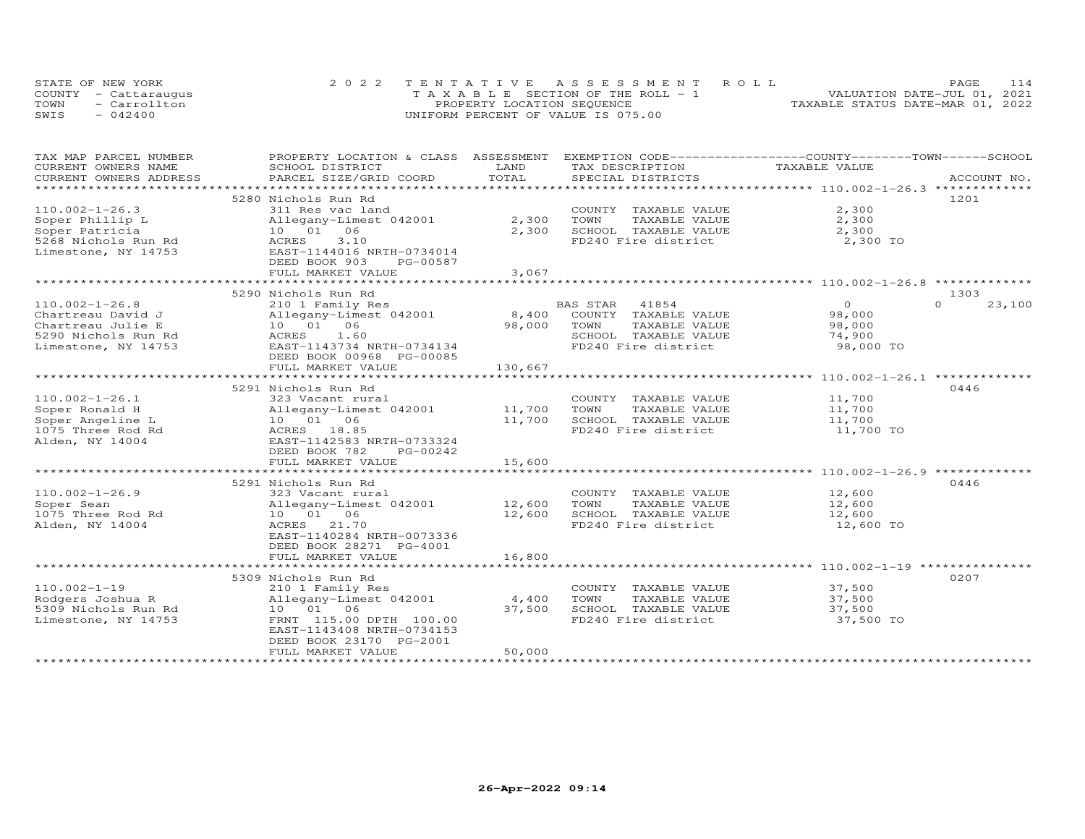| STATE OF NEW YORK    | 2022 TENTATIVE ASSESSMENT ROLL        | 114<br>PAGE.                     |
|----------------------|---------------------------------------|----------------------------------|
| COUNTY - Cattaraugus | T A X A B L E SECTION OF THE ROLL - 1 | VALUATION DATE-JUL 01, 2021      |
| TOWN<br>- Carrollton | PROPERTY LOCATION SEQUENCE            | TAXABLE STATUS DATE-MAR 01, 2022 |
| SWIS<br>$-042400$    | UNIFORM PERCENT OF VALUE IS 075.00    |                                  |

| TAX MAP PARCEL NUMBER  | PROPERTY LOCATION & CLASS ASSESSMENT      |         | EXEMPTION CODE------------------COUNTY-------TOWN------SCHOOL |                |                    |
|------------------------|-------------------------------------------|---------|---------------------------------------------------------------|----------------|--------------------|
| CURRENT OWNERS NAME    | SCHOOL DISTRICT                           | LAND    | TAX DESCRIPTION                                               | TAXABLE VALUE  |                    |
| CURRENT OWNERS ADDRESS | PARCEL SIZE/GRID COORD                    | TOTAL   | SPECIAL DISTRICTS                                             |                | ACCOUNT NO.        |
| ********************** |                                           |         |                                                               |                |                    |
|                        | 5280 Nichols Run Rd                       |         |                                                               |                | 1201               |
| $110.002 - 1 - 26.3$   | 311 Res vac land                          |         | COUNTY TAXABLE VALUE                                          | 2,300          |                    |
| Soper Phillip L        | Allegany-Limest 042001                    | 2,300   | TOWN<br>TAXABLE VALUE                                         | 2,300          |                    |
| Soper Patricia         | 10  01  06                                | 2,300   | SCHOOL TAXABLE VALUE                                          | 2,300          |                    |
| 5268 Nichols Run Rd    | ACRES<br>3.10                             |         | FD240 Fire district                                           | 2,300 TO       |                    |
| Limestone, NY 14753    | EAST-1144016 NRTH-0734014                 |         |                                                               |                |                    |
|                        | DEED BOOK 903<br>PG-00587                 |         |                                                               |                |                    |
|                        | FULL MARKET VALUE                         | 3,067   |                                                               |                |                    |
|                        |                                           |         |                                                               |                |                    |
|                        | 5290 Nichols Run Rd                       |         |                                                               |                | 1303               |
| $110.002 - 1 - 26.8$   | 210 1 Family Res                          |         | BAS STAR<br>41854                                             | $\overline{O}$ | 23,100<br>$\Omega$ |
| Chartreau David J      | Allegany-Limest 042001                    | 8,400   | COUNTY TAXABLE VALUE                                          | 98,000         |                    |
| Chartreau Julie E      | 10 01 06                                  | 98,000  | TOWN<br>TAXABLE VALUE                                         | 98,000         |                    |
| 5290 Nichols Run Rd    | ACRES<br>1.60                             |         | SCHOOL TAXABLE VALUE                                          | 74,900         |                    |
| Limestone, NY 14753    | EAST-1143734 NRTH-0734134                 |         | FD240 Fire district                                           | 98,000 TO      |                    |
|                        | DEED BOOK 00968 PG-00085                  |         |                                                               |                |                    |
|                        | FULL MARKET VALUE                         | 130,667 |                                                               |                |                    |
|                        |                                           |         |                                                               |                |                    |
|                        | 5291 Nichols Run Rd                       |         |                                                               |                | 0446               |
| $110.002 - 1 - 26.1$   | 323 Vacant rural                          |         | COUNTY TAXABLE VALUE                                          | 11,700         |                    |
| Soper Ronald H         | Allegany-Limest 042001 11,700             |         | TOWN<br>TAXABLE VALUE                                         | 11,700         |                    |
| Soper Angeline L       |                                           | 11,700  | SCHOOL TAXABLE VALUE                                          | 11,700         |                    |
| 1075 Three Rod Rd      | Allegany-Limes<br>10 01 06<br>ACRES 18.85 |         | FD240 Fire district                                           | $11,700$ TO    |                    |
| Alden, NY 14004        | EAST-1142583 NRTH-0733324                 |         |                                                               |                |                    |
|                        | DEED BOOK 782<br>PG-00242                 |         |                                                               |                |                    |
|                        | FULL MARKET VALUE                         | 15,600  |                                                               |                |                    |
|                        |                                           |         |                                                               |                |                    |
|                        | 5291 Nichols Run Rd                       |         |                                                               |                | 0446               |
| $110.002 - 1 - 26.9$   | 323 Vacant rural                          |         | COUNTY TAXABLE VALUE                                          | 12,600         |                    |
| Soper Sean             | Allegany-Limest 042001 12,600             |         | TOWN<br>TAXABLE VALUE                                         | 12,600         |                    |
| 1075 Three Rod Rd      | 10  01  06                                | 12,600  | SCHOOL TAXABLE VALUE                                          | 12,600         |                    |
| Alden, NY 14004        | ACRES 21.70                               |         | FD240 Fire district                                           | 12,600 TO      |                    |
|                        | EAST-1140284 NRTH-0073336                 |         |                                                               |                |                    |
|                        | DEED BOOK 28271 PG-4001                   |         |                                                               |                |                    |
|                        | FULL MARKET VALUE                         | 16,800  |                                                               |                |                    |
|                        |                                           |         |                                                               |                |                    |
|                        | 5309 Nichols Run Rd                       |         |                                                               |                | 0207               |
| $110.002 - 1 - 19$     | 210 1 Family Res                          |         | COUNTY TAXABLE VALUE                                          | 37,500         |                    |
| Rodgers Joshua R       | Allegany-Limest 042001                    | 4,400   | TOWN<br>TAXABLE VALUE                                         | 37,500         |                    |
| 5309 Nichols Run Rd    | 10 01 06                                  | 37,500  | SCHOOL TAXABLE VALUE                                          | 37,500         |                    |
| Limestone, NY 14753    | FRNT 115.00 DPTH 100.00                   |         | FD240 Fire district                                           | 37,500 TO      |                    |
|                        | EAST-1143408 NRTH-0734153                 |         |                                                               |                |                    |
|                        | DEED BOOK 23170 PG-2001                   |         |                                                               |                |                    |
|                        | FULL MARKET VALUE                         | 50,000  |                                                               |                |                    |
|                        |                                           |         |                                                               |                |                    |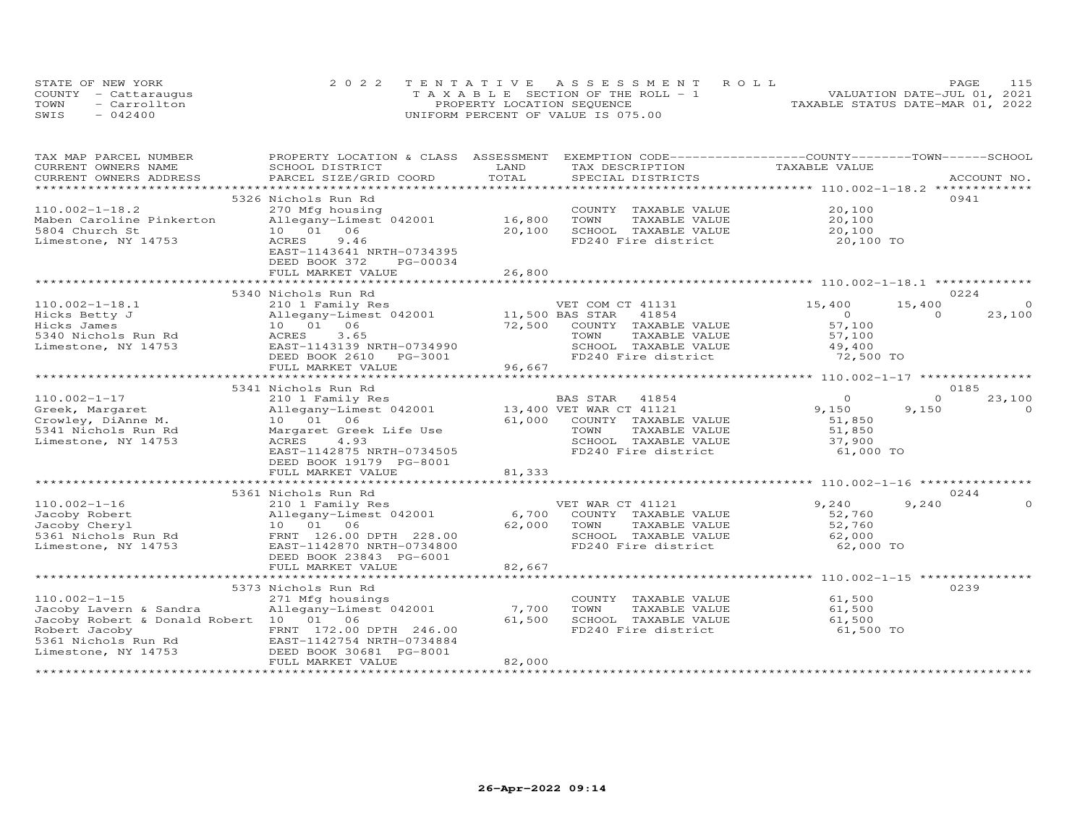|      | STATE OF NEW YORK    | 2022 TENTATIVE ASSESSMENT ROLL        | PAGE                             |
|------|----------------------|---------------------------------------|----------------------------------|
|      | COUNTY - Cattaraugus | T A X A B L E SECTION OF THE ROLL - 1 | VALUATION DATE-JUL 01, 2021      |
| TOWN | - Carrollton         | PROPERTY LOCATION SEQUENCE            | TAXABLE STATUS DATE-MAR 01, 2022 |
| SWIS | $-042400$            | UNIFORM PERCENT OF VALUE IS 075.00    |                                  |

| TAX MAP PARCEL NUMBER                         | PROPERTY LOCATION & CLASS ASSESSMENT |                 | EXEMPTION CODE-----------------COUNTY-------TOWN------SCHOOL |                |                    |
|-----------------------------------------------|--------------------------------------|-----------------|--------------------------------------------------------------|----------------|--------------------|
| CURRENT OWNERS NAME<br>CURRENT OWNERS ADDRESS | SCHOOL DISTRICT                      | LAND<br>TOTAL   | TAX DESCRIPTION<br>SPECIAL DISTRICTS                         | TAXABLE VALUE  |                    |
|                                               | PARCEL SIZE/GRID COORD               |                 |                                                              |                | ACCOUNT NO.        |
|                                               |                                      |                 |                                                              |                |                    |
|                                               | 5326 Nichols Run Rd                  |                 |                                                              | 20,100         | 0941               |
| $110.002 - 1 - 18.2$                          | 270 Mfg housing                      |                 | COUNTY TAXABLE VALUE                                         |                |                    |
| Maben Caroline Pinkerton                      | Allegany-Limest 042001               | 16,800          | TOWN<br>TAXABLE VALUE                                        | 20,100         |                    |
| 5804 Church St                                | 10 01 06                             | 20,100          | SCHOOL TAXABLE VALUE                                         | 20,100         |                    |
| Limestone, NY 14753                           | ACRES<br>9.46                        |                 | FD240 Fire district                                          | 20,100 TO      |                    |
|                                               | EAST-1143641 NRTH-0734395            |                 |                                                              |                |                    |
|                                               | DEED BOOK 372<br>PG-00034            |                 |                                                              |                |                    |
|                                               | FULL MARKET VALUE                    | 26,800          |                                                              |                |                    |
|                                               |                                      |                 |                                                              |                |                    |
|                                               | 5340 Nichols Run Rd                  |                 |                                                              |                | 0224               |
| $110.002 - 1 - 18.1$                          | 210 1 Family Res                     |                 | VET COM CT 41131                                             | 15,400         | 15,400<br>$\circ$  |
| Hicks Betty J                                 | Allegany-Limest 042001               | 11,500 BAS STAR | 41854                                                        | $\overline{O}$ | 23,100<br>$\Omega$ |
| Hicks James                                   | 10  01  06                           | 72,500          | COUNTY TAXABLE VALUE                                         | 57,100         |                    |
| 5340 Nichols Run Rd                           | 3.65<br>ACRES                        |                 | TOWN<br>TAXABLE VALUE                                        | 57,100         |                    |
| Limestone, NY 14753                           | EAST-1143139 NRTH-0734990            |                 | SCHOOL TAXABLE VALUE                                         | 49,400         |                    |
|                                               | DEED BOOK 2610<br>PG-3001            |                 | FD240 Fire district                                          | 72,500 TO      |                    |
|                                               | FULL MARKET VALUE                    | 96,667          |                                                              |                |                    |
|                                               | ************************             |                 |                                                              |                |                    |
|                                               | 5341 Nichols Run Rd                  |                 |                                                              |                | 0185               |
| $110.002 - 1 - 17$                            | 210 1 Family Res                     |                 | BAS STAR<br>41854                                            | $\circ$        | $\circ$<br>23,100  |
| Greek, Margaret                               | Allegany-Limest 042001               |                 | 13,400 VET WAR CT 41121                                      | 9,150          | 9,150<br>$\Omega$  |
| Crowley, DiAnne M.                            | 10 01 06                             |                 | 61,000 COUNTY TAXABLE VALUE                                  | 51,850         |                    |
| 5341 Nichols Run Rd                           | Margaret Greek Life Use              |                 | TOWN<br>TAXABLE VALUE                                        | 51,850         |                    |
| Limestone, NY 14753                           | ACRES<br>4.93                        |                 | SCHOOL TAXABLE VALUE                                         | 37,900         |                    |
|                                               | EAST-1142875 NRTH-0734505            |                 | FD240 Fire district                                          | $51,000$ TO    |                    |
|                                               | DEED BOOK 19179 PG-8001              |                 |                                                              |                |                    |
|                                               | FULL MARKET VALUE                    | 81,333          |                                                              |                |                    |
|                                               | *****************************        |                 |                                                              |                |                    |
|                                               | 5361 Nichols Run Rd                  |                 |                                                              |                | 0244               |
| $110.002 - 1 - 16$                            | 210 1 Family Res                     |                 | VET WAR CT 41121                                             | 9,240          | 9,240              |
| Jacoby Robert                                 | Allegany-Limest 042001               | 6,700           | COUNTY TAXABLE VALUE                                         | 52,760         |                    |
| Jacoby Cheryl                                 | 10 01 06                             | 62,000          | TOWN<br>TAXABLE VALUE                                        | 52,760         |                    |
| 5361 Nichols Run Rd                           | FRNT 126.00 DPTH 228.00              |                 | SCHOOL TAXABLE VALUE                                         | 62,000         |                    |
| Limestone, NY 14753                           | EAST-1142870 NRTH-0734800            |                 | FD240 Fire district                                          | 62,000 TO      |                    |
|                                               | DEED BOOK 23843 PG-6001              |                 |                                                              |                |                    |
|                                               | FULL MARKET VALUE                    | 82,667          |                                                              |                |                    |
|                                               |                                      |                 |                                                              |                |                    |
|                                               | 5373 Nichols Run Rd                  |                 |                                                              |                | 0239               |
| $110.002 - 1 - 15$                            | 271 Mfg housings                     |                 | COUNTY TAXABLE VALUE                                         | 61,500         |                    |
| Jacoby Lavern & Sandra                        | Allegany-Limest 042001               | 7,700           | TOWN<br>TAXABLE VALUE                                        | 61,500         |                    |
| Jacoby Robert & Donald Robert 10 01 06        |                                      | 61,500          | SCHOOL TAXABLE VALUE                                         | 61,500         |                    |
|                                               |                                      |                 | FD240 Fire district                                          |                |                    |
| Robert Jacoby                                 | FRNT 172.00 DPTH 246.00              |                 |                                                              | 61,500 TO      |                    |
| 5361 Nichols Run Rd                           | EAST-1142754 NRTH-0734884            |                 |                                                              |                |                    |
| Limestone, NY 14753                           | DEED BOOK 30681 PG-8001              | 82,000          |                                                              |                |                    |
|                                               | FULL MARKET VALUE                    |                 |                                                              |                |                    |
|                                               |                                      |                 |                                                              |                |                    |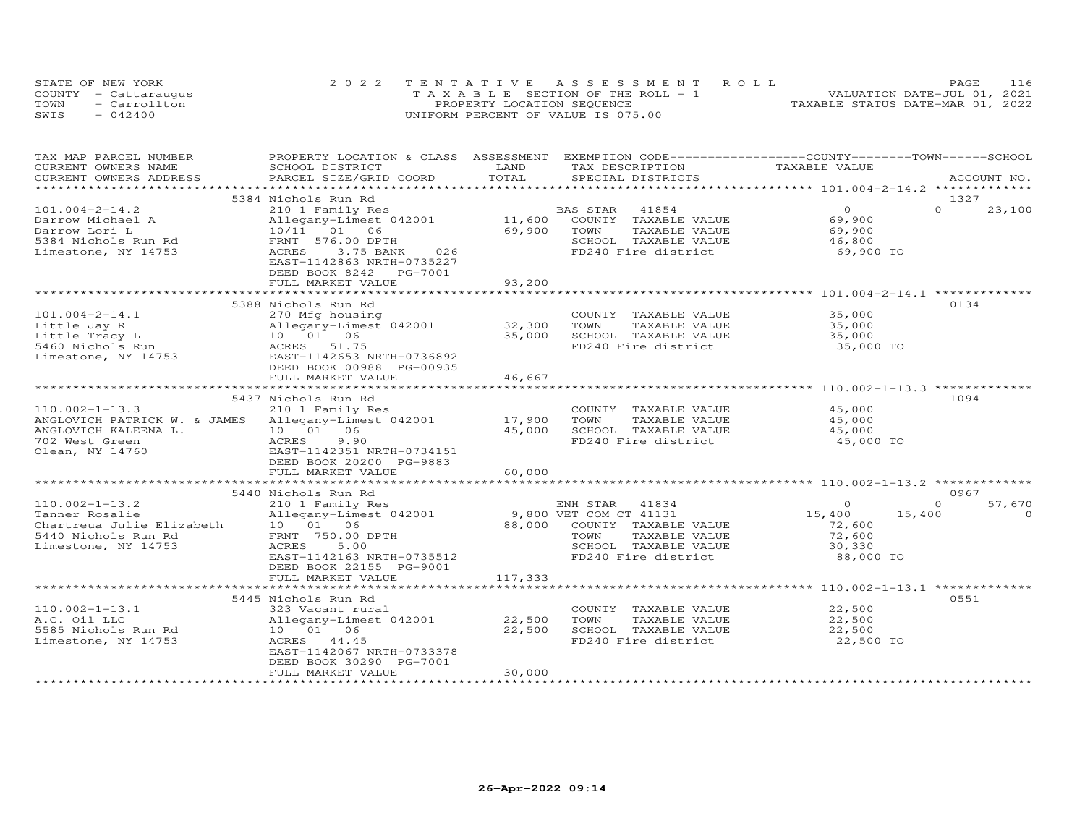|      | STATE OF NEW YORK    | 2022 TENTATIVE ASSESSMENT ROLL        | 116<br>PAGE                      |
|------|----------------------|---------------------------------------|----------------------------------|
|      | COUNTY - Cattaraugus | T A X A B L E SECTION OF THE ROLL - 1 | VALUATION DATE-JUL 01, 2021      |
| TOWN | - Carrollton         | PROPERTY LOCATION SEQUENCE            | TAXABLE STATUS DATE-MAR 01, 2022 |
| SWIS | $-042400$            | UNIFORM PERCENT OF VALUE IS 075.00    |                                  |

| TAX MAP PARCEL NUMBER<br>CURRENT OWNERS NAME | PROPERTY LOCATION & CLASS ASSESSMENT EXEMPTION CODE----------------COUNTY-------TOWN-----SCHOOL<br>SCHOOL DISTRICT | LAND    | TAX DESCRIPTION        | TAXABLE VALUE                                |                       |
|----------------------------------------------|--------------------------------------------------------------------------------------------------------------------|---------|------------------------|----------------------------------------------|-----------------------|
| CURRENT OWNERS ADDRESS                       | PARCEL SIZE/GRID COORD                                                                                             | TOTAL   | SPECIAL DISTRICTS      |                                              | ACCOUNT NO.           |
|                                              |                                                                                                                    |         |                        |                                              |                       |
|                                              | 5384 Nichols Run Rd                                                                                                |         |                        |                                              | 1327                  |
| $101.004 - 2 - 14.2$                         | 210 1 Family Res                                                                                                   |         | 41854<br>BAS STAR      | $\Omega$                                     | $\Omega$<br>23,100    |
| Darrow Michael A                             | Allegany-Limest 042001                                                                                             | 11,600  | COUNTY TAXABLE VALUE   | 69,900                                       |                       |
| Darrow Lori L                                | 10/11 01 06                                                                                                        | 69,900  | TAXABLE VALUE<br>TOWN  | 69,900                                       |                       |
| 5384 Nichols Run Rd                          | FRNT 576.00 DPTH                                                                                                   |         | SCHOOL TAXABLE VALUE   | 46,800                                       |                       |
| Limestone, NY 14753                          | ACRES<br>3.75 BANK<br>026                                                                                          |         | FD240 Fire district    | 69,900 TO                                    |                       |
|                                              | EAST-1142863 NRTH-0735227                                                                                          |         |                        |                                              |                       |
|                                              | DEED BOOK 8242<br>PG-7001                                                                                          |         |                        |                                              |                       |
|                                              | FULL MARKET VALUE                                                                                                  | 93,200  |                        |                                              |                       |
|                                              |                                                                                                                    |         |                        |                                              |                       |
|                                              | 5388 Nichols Run Rd                                                                                                |         |                        |                                              | 0134                  |
| $101.004 - 2 - 14.1$                         | 270 Mfg housing                                                                                                    |         | COUNTY TAXABLE VALUE   | 35,000                                       |                       |
| Little Jay R                                 | Allegany-Limest 042001                                                                                             | 32,300  | TOWN<br>TAXABLE VALUE  | 35,000                                       |                       |
| Little Tracy L                               | 10  01  06                                                                                                         | 35,000  | SCHOOL TAXABLE VALUE   | 35,000                                       |                       |
| 5460 Nichols Run                             | ACRES 51.75                                                                                                        |         | FD240 Fire district    | 35,000 TO                                    |                       |
| Limestone, NY 14753                          | EAST-1142653 NRTH-0736892                                                                                          |         |                        |                                              |                       |
|                                              | DEED BOOK 00988 PG-00935                                                                                           |         |                        |                                              |                       |
|                                              | FULL MARKET VALUE                                                                                                  | 46,667  |                        |                                              |                       |
|                                              | ********************                                                                                               |         |                        | **************** 110.002-1-13.3 ************ |                       |
|                                              | 5437 Nichols Run Rd                                                                                                |         |                        |                                              | 1094                  |
| $110.002 - 1 - 13.3$                         | 210 1 Family Res                                                                                                   |         | COUNTY TAXABLE VALUE   | 45,000                                       |                       |
| ANGLOVICH PATRICK W. & JAMES                 | Allegany-Limest 042001                                                                                             | 17,900  | TOWN<br>TAXABLE VALUE  | 45,000                                       |                       |
| ANGLOVICH KALEENA L.                         | 10 01 06                                                                                                           | 45,000  | SCHOOL TAXABLE VALUE   | 45,000                                       |                       |
| 702 West Green                               | 9.90<br>ACRES                                                                                                      |         | FD240 Fire district    | 45,000 TO                                    |                       |
| Olean, NY 14760                              | EAST-1142351 NRTH-0734151                                                                                          |         |                        |                                              |                       |
|                                              | DEED BOOK 20200 PG-9883                                                                                            |         |                        |                                              |                       |
|                                              | FULL MARKET VALUE                                                                                                  | 60,000  |                        |                                              |                       |
|                                              |                                                                                                                    |         |                        |                                              |                       |
|                                              | 5440 Nichols Run Rd                                                                                                |         |                        |                                              | 0967                  |
| $110.002 - 1 - 13.2$                         | 210 1 Family Res                                                                                                   |         | 41834<br>ENH STAR      | $\Omega$                                     | 57,670<br>$\mathbf 0$ |
| Tanner Rosalie                               | Allegany-Limest 042001                                                                                             |         | 9,800 VET COM CT 41131 | 15,400<br>15,400                             | $\Omega$              |
| Chartreua Julie Elizabeth                    | 10 01 06                                                                                                           | 88,000  | COUNTY TAXABLE VALUE   | 72,600                                       |                       |
| 5440 Nichols Run Rd                          | FRNT 750.00 DPTH                                                                                                   |         | TOWN<br>TAXABLE VALUE  | 72,600                                       |                       |
| Limestone, NY 14753                          | 5.00<br>ACRES                                                                                                      |         | SCHOOL TAXABLE VALUE   | 30,330                                       |                       |
|                                              | EAST-1142163 NRTH-0735512                                                                                          |         | FD240 Fire district    | 88,000 TO                                    |                       |
|                                              | DEED BOOK 22155 PG-9001                                                                                            |         |                        |                                              |                       |
|                                              | FULL MARKET VALUE                                                                                                  | 117,333 |                        |                                              |                       |
|                                              |                                                                                                                    |         |                        |                                              |                       |
|                                              | 5445 Nichols Run Rd                                                                                                |         |                        |                                              | 0551                  |
| $110.002 - 1 - 13.1$                         | 323 Vacant rural                                                                                                   |         | COUNTY TAXABLE VALUE   | 22,500                                       |                       |
| A.C. Oil LLC                                 | Allegany-Limest 042001                                                                                             | 22,500  | TOWN<br>TAXABLE VALUE  | 22,500                                       |                       |
| 5585 Nichols Run Rd                          | 10  01  06                                                                                                         | 22,500  | SCHOOL TAXABLE VALUE   | 22,500                                       |                       |
| Limestone, NY 14753                          | ACRES 44.45<br>EAST-1142067 NRTH-0733378                                                                           |         | FD240 Fire district    | 22,500 TO                                    |                       |
|                                              | DEED BOOK 30290 PG-7001                                                                                            |         |                        |                                              |                       |
|                                              | FULL MARKET VALUE                                                                                                  | 30,000  |                        |                                              |                       |
|                                              |                                                                                                                    |         |                        |                                              |                       |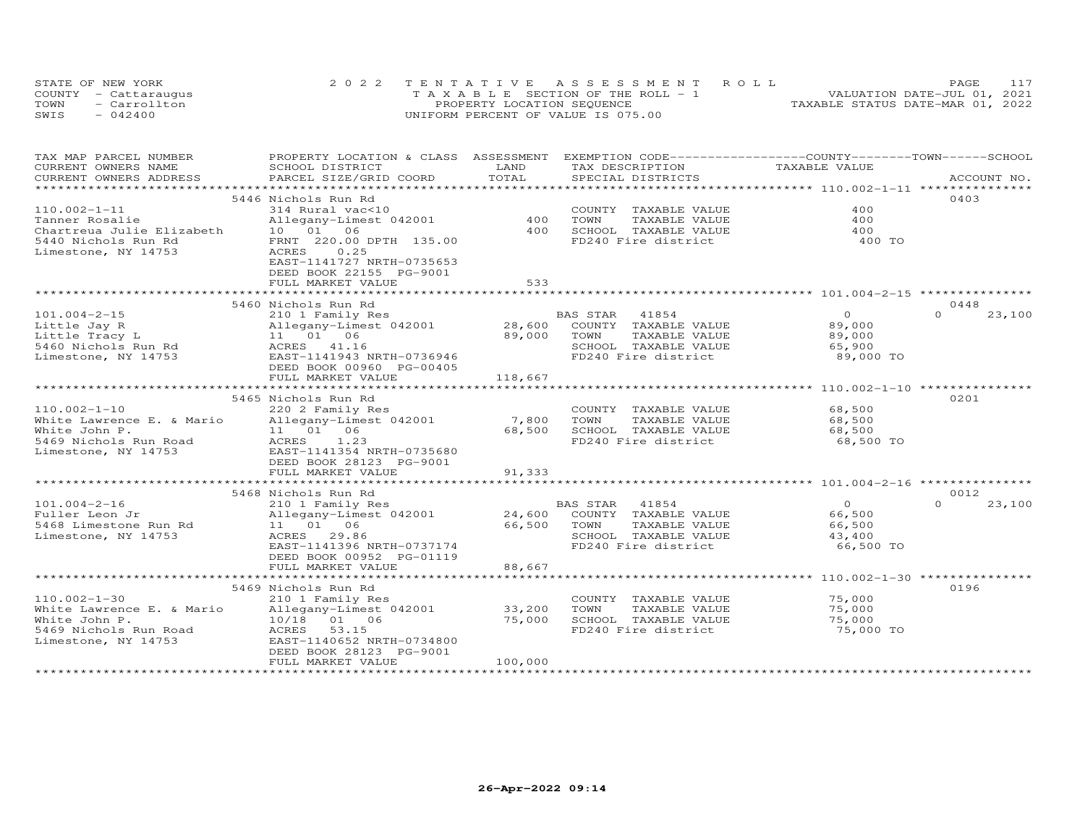|      | STATE OF NEW YORK    | 2022 TENTATIVE ASSESSMENT ROLL        | PAGE.                            |
|------|----------------------|---------------------------------------|----------------------------------|
|      | COUNTY - Cattaraugus | T A X A B L E SECTION OF THE ROLL - 1 | VALUATION DATE-JUL 01, 2021      |
| TOWN | $=$ Carrollton       | PROPERTY LOCATION SEQUENCE            | TAXABLE STATUS DATE-MAR 01, 2022 |
| SWIS | $-042400$            | UNIFORM PERCENT OF VALUE IS 075.00    |                                  |

| TAX MAP PARCEL NUMBER<br>CURRENT OWNERS NAME | PROPERTY LOCATION & CLASS ASSESSMENT<br>SCHOOL DISTRICT | LAND            | EXEMPTION CODE-----------------COUNTY-------TOWN------SCHOOL<br>TAX DESCRIPTION | TAXABLE VALUE       |                    |
|----------------------------------------------|---------------------------------------------------------|-----------------|---------------------------------------------------------------------------------|---------------------|--------------------|
| CURRENT OWNERS ADDRESS                       | PARCEL SIZE/GRID COORD                                  | TOTAL           | SPECIAL DISTRICTS                                                               |                     | ACCOUNT NO.        |
| ***********************                      |                                                         |                 |                                                                                 |                     |                    |
|                                              | 5446 Nichols Run Rd                                     |                 |                                                                                 |                     | 0403               |
| $110.002 - 1 - 11$                           | 314 Rural vac<10                                        |                 | COUNTY TAXABLE VALUE                                                            | 400                 |                    |
| Tanner Rosalie                               | Allegany-Limest 042001                                  | 400             | TOWN<br>TAXABLE VALUE                                                           | 400                 |                    |
| Chartreua Julie Elizabeth                    | 10 01 06                                                | 400             | SCHOOL TAXABLE VALUE                                                            | 400                 |                    |
| 5440 Nichols Run Rd                          | FRNT 220.00 DPTH 135.00                                 |                 | FD240 Fire district                                                             | 400 TO              |                    |
| Limestone, NY 14753                          | ACRES<br>0.25                                           |                 |                                                                                 |                     |                    |
|                                              | EAST-1141727 NRTH-0735653                               |                 |                                                                                 |                     |                    |
|                                              | DEED BOOK 22155 PG-9001<br>FULL MARKET VALUE            | 533             |                                                                                 |                     |                    |
|                                              |                                                         |                 |                                                                                 |                     |                    |
|                                              | 5460 Nichols Run Rd                                     |                 |                                                                                 |                     | 0448               |
| $101.004 - 2 - 15$                           | 210 1 Family Res                                        |                 | BAS STAR 41854                                                                  | $\Omega$            | $\Omega$<br>23,100 |
| Little Jay R                                 | Allegany-Limest 042001                                  | 28,600          | COUNTY TAXABLE VALUE                                                            | 89,000              |                    |
| Little Tracy L                               | 11 01 06                                                | 89,000          | TOWN<br>TAXABLE VALUE                                                           | 89,000              |                    |
| 5460 Nichols Run Rd                          | ACRES 41.16                                             |                 | SCHOOL TAXABLE VALUE                                                            | 65,900              |                    |
| Limestone, NY 14753                          | EAST-1141943 NRTH-0736946                               |                 | FD240 Fire district                                                             | 89,000 TO           |                    |
|                                              | DEED BOOK 00960 PG-00405                                |                 |                                                                                 |                     |                    |
|                                              | FULL MARKET VALUE                                       | 118,667         |                                                                                 |                     |                    |
|                                              | ****************************                            |                 |                                                                                 |                     |                    |
|                                              | 5465 Nichols Run Rd                                     |                 |                                                                                 |                     | 0201               |
| $110.002 - 1 - 10$                           | 220 2 Family Res                                        |                 | COUNTY TAXABLE VALUE                                                            | 68,500              |                    |
| White Lawrence E. & Mario                    | Allegany-Limest 042001                                  | 7,800<br>68,500 | TOWN<br>TAXABLE VALUE                                                           | 68,500              |                    |
| White John P.<br>5469 Nichols Run Road       | 11  01  06<br>ACRES<br>1.23                             |                 | SCHOOL TAXABLE VALUE<br>FD240 Fire district                                     | 68,500<br>68,500 TO |                    |
| Limestone, NY 14753                          | EAST-1141354 NRTH-0735680                               |                 |                                                                                 |                     |                    |
|                                              | DEED BOOK 28123 PG-9001                                 |                 |                                                                                 |                     |                    |
|                                              | FULL MARKET VALUE                                       | 91,333          |                                                                                 |                     |                    |
|                                              | **************************                              | ***********     |                                                                                 |                     |                    |
|                                              | 5468 Nichols Run Rd                                     |                 |                                                                                 |                     | 0012               |
| $101.004 - 2 - 16$                           | 210 1 Family Res                                        |                 | BAS STAR<br>41854                                                               | $\overline{O}$      | $\Omega$<br>23,100 |
| Fuller Leon Jr                               | Allegany-Limest 042001                                  | 24,600          | COUNTY TAXABLE VALUE                                                            | 66,500              |                    |
| 5468 Limestone Run Rd                        | 11 01 06                                                | 66,500          | TOWN<br>TAXABLE VALUE                                                           | 66,500              |                    |
| Limestone, NY 14753                          | ACRES 29.86                                             |                 | SCHOOL TAXABLE VALUE                                                            | 43,400              |                    |
|                                              | EAST-1141396 NRTH-0737174                               |                 | FD240 Fire district                                                             | 66,500 TO           |                    |
|                                              | DEED BOOK 00952 PG-01119                                | 88,667          |                                                                                 |                     |                    |
|                                              | FULL MARKET VALUE<br>******************************     | **************  |                                                                                 |                     |                    |
|                                              | 5469 Nichols Run Rd                                     |                 |                                                                                 |                     | 0196               |
| $110.002 - 1 - 30$                           | 210 1 Family Res                                        |                 | COUNTY TAXABLE VALUE                                                            | 75,000              |                    |
| White Lawrence E. & Mario                    | Allegany-Limest 042001                                  | 33,200          | TOWN<br>TAXABLE VALUE                                                           | 75,000              |                    |
| White John P.                                | 10/18 01 06                                             | 75,000          | SCHOOL TAXABLE VALUE                                                            | 75,000              |                    |
| 5469 Nichols Run Road                        | ACRES<br>53.15                                          |                 | FD240 Fire district                                                             | 75,000 TO           |                    |
| Limestone, NY 14753                          | EAST-1140652 NRTH-0734800                               |                 |                                                                                 |                     |                    |
|                                              | DEED BOOK 28123 PG-9001                                 |                 |                                                                                 |                     |                    |
|                                              | FULL MARKET VALUE                                       | 100,000         |                                                                                 |                     |                    |
|                                              |                                                         |                 |                                                                                 |                     |                    |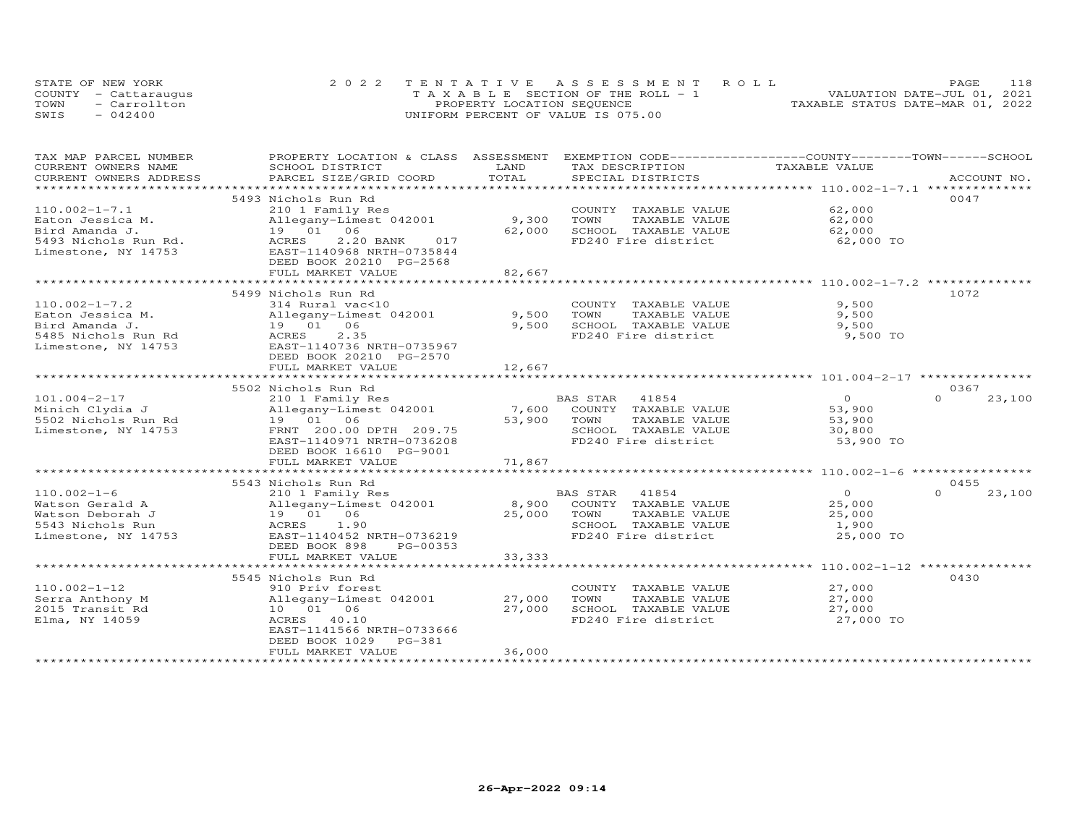|      | STATE OF NEW YORK    | 2022 TENTATIVE ASSESSMENT ROLL     | 118<br><b>PAGE</b>               |
|------|----------------------|------------------------------------|----------------------------------|
|      | COUNTY - Cattaraugus | TAXABLE SECTION OF THE ROLL - 1    | VALUATION DATE-JUL 01, 2021      |
| TOWN | - Carrollton         | PROPERTY LOCATION SEQUENCE         | TAXABLE STATUS DATE-MAR 01, 2022 |
| SWIS | $-042400$            | UNIFORM PERCENT OF VALUE IS 075.00 |                                  |

| TAX MAP PARCEL NUMBER   | PROPERTY LOCATION & CLASS ASSESSMENT EXEMPTION CODE----------------COUNTY-------TOWN------SCHOOL |            |                            |                                                             |                    |
|-------------------------|--------------------------------------------------------------------------------------------------|------------|----------------------------|-------------------------------------------------------------|--------------------|
| CURRENT OWNERS NAME     | SCHOOL DISTRICT                                                                                  | LAND       | TAX DESCRIPTION            | TAXABLE VALUE                                               |                    |
| CURRENT OWNERS ADDRESS  | PARCEL SIZE/GRID COORD                                                                           | TOTAL      | SPECIAL DISTRICTS          |                                                             | ACCOUNT NO.        |
| *********************** |                                                                                                  |            |                            |                                                             |                    |
|                         | 5493 Nichols Run Rd                                                                              |            |                            |                                                             | 0047               |
| $110.002 - 1 - 7.1$     | 210 1 Family Res                                                                                 |            | COUNTY TAXABLE VALUE       | 62,000                                                      |                    |
| Eaton Jessica M.        | Allegany-Limest 042001                                                                           | 9,300      | TOWN<br>TAXABLE VALUE      | 62,000                                                      |                    |
| Bird Amanda J.          | 19  01  06                                                                                       | 62,000     | SCHOOL TAXABLE VALUE       | 62,000                                                      |                    |
| 5493 Nichols Run Rd.    | 2.20 BANK<br>017<br>ACRES                                                                        |            | FD240 Fire district        | 62,000 TO                                                   |                    |
| Limestone, NY 14753     | EAST-1140968 NRTH-0735844                                                                        |            |                            |                                                             |                    |
|                         | DEED BOOK 20210 PG-2568                                                                          |            |                            |                                                             |                    |
|                         | FULL MARKET VALUE                                                                                | 82,667     |                            |                                                             |                    |
|                         | **************************                                                                       | ********** |                            | ***********************************110.002-1-7.2 ********** |                    |
|                         | 5499 Nichols Run Rd                                                                              |            |                            |                                                             | 1072               |
| $110.002 - 1 - 7.2$     | 314 Rural vac<10                                                                                 |            | COUNTY TAXABLE VALUE       | 9,500                                                       |                    |
| Eaton Jessica M.        | Allegany-Limest 042001                                                                           | 9,500      | TOWN<br>TAXABLE VALUE      | 9,500                                                       |                    |
| Bird Amanda J.          | 19  01  06                                                                                       | 9,500      | SCHOOL TAXABLE VALUE       | 9,500                                                       |                    |
| 5485 Nichols Run Rd     | ACRES<br>2.35                                                                                    |            | FD240 Fire district        | 9,500 TO                                                    |                    |
| Limestone, NY 14753     | EAST-1140736 NRTH-0735967                                                                        |            |                            |                                                             |                    |
|                         | DEED BOOK 20210 PG-2570                                                                          |            |                            |                                                             |                    |
|                         | FULL MARKET VALUE                                                                                | 12,667     |                            |                                                             |                    |
|                         |                                                                                                  |            |                            |                                                             |                    |
|                         | 5502 Nichols Run Rd                                                                              |            |                            |                                                             | 0367               |
| $101.004 - 2 - 17$      | 210 1 Family Res                                                                                 |            | BAS STAR<br>41854          | $\overline{O}$                                              | $\Omega$<br>23,100 |
| Minich Clydia J         | Allegany-Limest 042001                                                                           |            | 7,600 COUNTY TAXABLE VALUE | 53,900                                                      |                    |
| 5502 Nichols Run Rd     | 19 01 06                                                                                         | 53,900     | TAXABLE VALUE<br>TOWN      | 53,900                                                      |                    |
| Limestone, NY 14753     | FRNT 200.00 DPTH 209.75                                                                          |            | SCHOOL TAXABLE VALUE       | 30,800                                                      |                    |
|                         | EAST-1140971 NRTH-0736208                                                                        |            | FD240 Fire district        | 53,900 TO                                                   |                    |
|                         | DEED BOOK 16610 PG-9001                                                                          |            |                            |                                                             |                    |
|                         | FULL MARKET VALUE                                                                                | 71,867     |                            |                                                             |                    |
|                         |                                                                                                  |            |                            |                                                             |                    |
|                         | 5543 Nichols Run Rd                                                                              |            |                            |                                                             | 0455               |
|                         |                                                                                                  |            |                            | $\Omega$                                                    | $\Omega$           |
| $110.002 - 1 - 6$       | 210 1 Family Res                                                                                 |            | BAS STAR<br>41854          |                                                             | 23,100             |
| Watson Gerald A         | Allegany-Limest 042001                                                                           | 8,900      | COUNTY TAXABLE VALUE       | 25,000                                                      |                    |
| Watson Deborah J        | 19  01  06                                                                                       | 25,000     | TOWN<br>TAXABLE VALUE      | 25,000                                                      |                    |
| 5543 Nichols Run        | 1.90<br>ACRES                                                                                    |            | SCHOOL TAXABLE VALUE       | 1,900                                                       |                    |
| Limestone, NY 14753     | EAST-1140452 NRTH-0736219                                                                        |            | FD240 Fire district        | 25,000 TO                                                   |                    |
|                         | DEED BOOK 898<br>PG-00353                                                                        |            |                            |                                                             |                    |
|                         | FULL MARKET VALUE                                                                                | 33,333     |                            |                                                             |                    |
|                         |                                                                                                  |            |                            |                                                             |                    |
|                         | 5545 Nichols Run Rd                                                                              |            |                            |                                                             | 0430               |
| $110.002 - 1 - 12$      | 910 Priv forest                                                                                  |            | COUNTY TAXABLE VALUE       | 27,000                                                      |                    |
| Serra Anthony M         | Allegany-Limest 042001                                                                           | 27,000     | TOWN<br>TAXABLE VALUE      | 27,000                                                      |                    |
| 2015 Transit Rd         | 10 01 06                                                                                         | 27,000     | SCHOOL TAXABLE VALUE       | 27,000                                                      |                    |
| Elma, NY 14059          | ACRES 40.10                                                                                      |            | FD240 Fire district        | 27,000 TO                                                   |                    |
|                         | EAST-1141566 NRTH-0733666                                                                        |            |                            |                                                             |                    |
|                         | DEED BOOK 1029<br>PG-381                                                                         |            |                            |                                                             |                    |
|                         | FULL MARKET VALUE                                                                                | 36,000     |                            |                                                             |                    |
|                         |                                                                                                  |            |                            |                                                             |                    |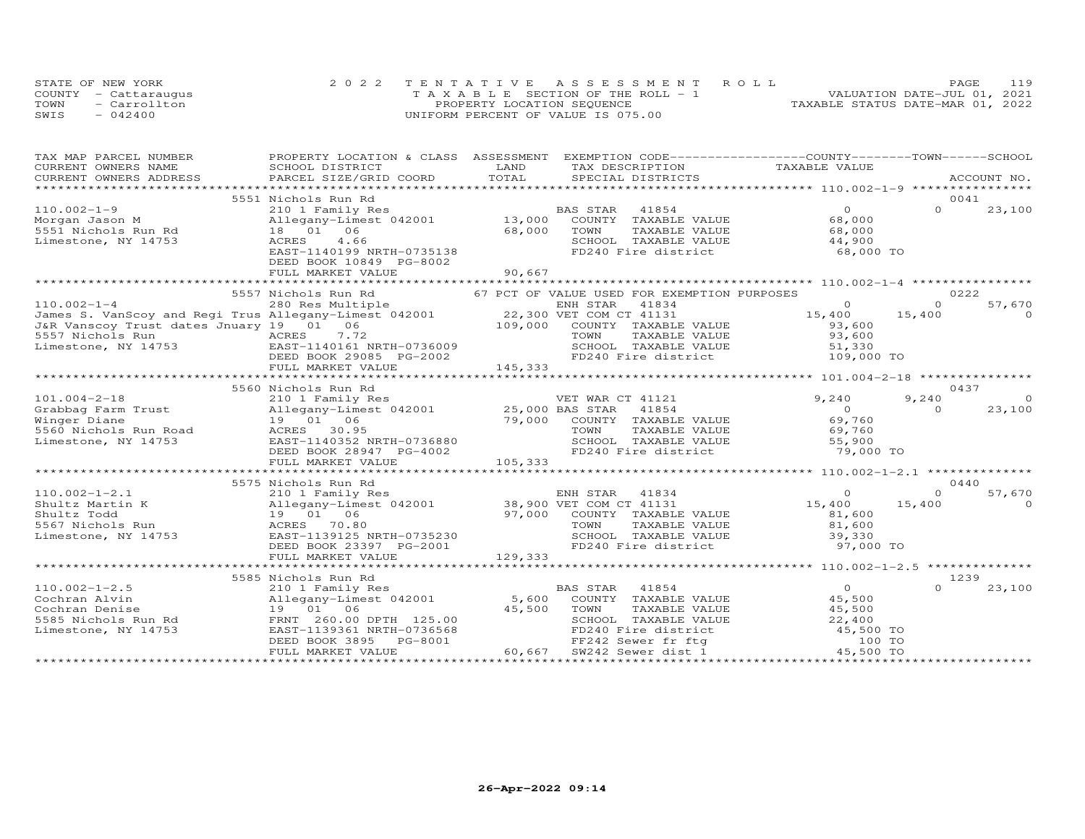|      | STATE OF NEW YORK    | 2022 TENTATIVE ASSESSMENT ROLL        | 119<br>PAGE                      |
|------|----------------------|---------------------------------------|----------------------------------|
|      | COUNTY - Cattaraugus | T A X A B L E SECTION OF THE ROLL - 1 | VALUATION DATE-JUL 01, 2021      |
| TOWN | - Carrollton         | PROPERTY LOCATION SEQUENCE            | TAXABLE STATUS DATE-MAR 01, 2022 |
| SWIS | $-042400$            | UNIFORM PERCENT OF VALUE IS 075.00    |                                  |

| TAXABLE VALUE<br>CURRENT OWNERS NAME<br>LAND<br>SCHOOL DISTRICT<br>TAX DESCRIPTION<br>ACCOUNT NO.<br>.CURRENT OWNERS ADDRESS PARCEL SIZE/GRID COORD TOTAL SPECIAL DISTRICTS ACCOUNT NO ACCOUNT NO ACCOUNT NO ARE A LATA AND MALL THAT A LATA A LATA A LATA A LATA A LATA A LATA A LATA A LATA A LATA A LATA A LATA A LATA A LATA A<br>5551 Nichols Run Rd<br>0041<br>BAS STAR<br>$\circ$<br>$\Omega$<br>23,100<br>210 1 Family Res<br>41854<br>13,000 COUNTY TAXABLE VALUE<br>68,000<br>Allegany-Limest 042001<br>18 01 06<br>68,000<br>TOWN<br>TAXABLE VALUE<br>68,000<br>Limestone, NY 14753<br>ACRES<br>4.66<br>SCHOOL TAXABLE VALUE<br>44,900<br>FD240 Fire district<br>EAST-1140199 NRTH-0735138<br>68,000 TO<br>DEED BOOK 10849 PG-8002<br>90,667<br>FULL MARKET VALUE<br>0222<br>5557 Nichols Run Rd<br>67 PCT OF VALUE USED FOR EXEMPTION PURPOSES<br>57,670<br>$\circ$<br>$\Omega$<br>15,400<br>15,400<br>$\Omega$<br>COUNTY TAXABLE VALUE<br>93,600<br>5557 Nichols Run                       ACRES     7.72<br>Limestone, NY 14753                   EAST-1140161 NRTH-0736009<br>TAXABLE VALUE<br>93,600<br>SCHOOL TAXABLE VALUE<br>51,330<br>FD240 Fire district<br>109,000 TO<br>DEED BOOK 29085 PG-2002<br>145,333<br>FULL MARKET VALUE<br>0437<br>5560 Nichols Run Rd<br>9,240<br>9,240<br>$\circ$<br>$\overline{O}$<br>23,100<br>$\Omega$<br>69,760<br>COUNTY TAXABLE VALUE<br>ACRES 30.95<br>5560 Nichols Run Road<br>69,760<br>TOWN<br>TAXABLE VALUE<br>EAST-1140352 NRTH-0736880<br>SCHOOL TAXABLE VALUE<br>55,900<br>Limestone, NY 14753<br>DEED BOOK 28947 PG-4002<br>FD240 Fire district<br>79,000 TO<br>105,333<br>FULL MARKET VALUE<br>5575 Nichols Run Rd<br>0440<br>$110.002 - 1 - 2.1$<br>57,670<br>210 1 Family Res<br>$\Omega$<br>$\Omega$<br>15,400<br>15,400<br>$\Omega$<br>Shultz Martin K<br>19 01 06<br>97,000 COUNTY TAXABLE VALUE<br>Shultz Todd<br>81,600<br>ACRES 70.80<br>5567 Nichols Run<br>TOWN<br>TAXABLE VALUE<br>81,600<br>SCHOOL TAXABLE VALUE<br>Limestone, NY 14753<br>EAST-1139125 NRTH-0735230<br>39,330<br>FD240 Fire district<br>DEED BOOK 23397 PG-2001<br>97,000 TO<br>FULL MARKET VALUE<br>129,333<br>1239<br>5585 Nichols Run Rd<br>$\overline{0}$<br>$110.002 - 1 - 2.5$<br>210 1 Family Res<br>BAS STAR 41854<br>23,100<br>Allegany-Limest 042001 5,600<br>45,500<br>Cochran Alvin<br>COUNTY TAXABLE VALUE<br>Cochran Denise<br>19 01 06<br>45,500<br>TOWN<br>TAXABLE VALUE<br>45,500<br>FRNT 260.00 DPTH 125.00<br>5585 Nichols Run Rd<br>SCHOOL TAXABLE VALUE<br>FD240 Fire district and the 15,500 TO<br>The count of the contract of the 100 TO<br>EAST-1139361 NRTH-0736568<br>Limestone, NY 14753<br>PG-8001<br>$\texttt{FD240}$ Fire under the series of the series of the series of the series of the series of the series of the series of the series of the series of the series of the series of the series of the series of the series of th<br>DEED BOOK 3895<br>60,667<br>FULL MARKET VALUE | TAX MAP PARCEL NUMBER | PROPERTY LOCATION & CLASS ASSESSMENT EXEMPTION CODE----------------COUNTY-------TOWN-----SCHOOL |  |  |  |
|----------------------------------------------------------------------------------------------------------------------------------------------------------------------------------------------------------------------------------------------------------------------------------------------------------------------------------------------------------------------------------------------------------------------------------------------------------------------------------------------------------------------------------------------------------------------------------------------------------------------------------------------------------------------------------------------------------------------------------------------------------------------------------------------------------------------------------------------------------------------------------------------------------------------------------------------------------------------------------------------------------------------------------------------------------------------------------------------------------------------------------------------------------------------------------------------------------------------------------------------------------------------------------------------------------------------------------------------------------------------------------------------------------------------------------------------------------------------------------------------------------------------------------------------------------------------------------------------------------------------------------------------------------------------------------------------------------------------------------------------------------------------------------------------------------------------------------------------------------------------------------------------------------------------------------------------------------------------------------------------------------------------------------------------------------------------------------------------------------------------------------------------------------------------------------------------------------------------------------------------------------------------------------------------------------------------------------------------------------------------------------------------------------------------------------------------------------------------------------------------------------------------------------------------------------------------------------------------------------------------------------------------------------------------------------------------------------------------------------------------------------------------------------------------------------------------------------------------------------------------------------------------------------------------------------------------------------------------|-----------------------|-------------------------------------------------------------------------------------------------|--|--|--|
|                                                                                                                                                                                                                                                                                                                                                                                                                                                                                                                                                                                                                                                                                                                                                                                                                                                                                                                                                                                                                                                                                                                                                                                                                                                                                                                                                                                                                                                                                                                                                                                                                                                                                                                                                                                                                                                                                                                                                                                                                                                                                                                                                                                                                                                                                                                                                                                                                                                                                                                                                                                                                                                                                                                                                                                                                                                                                                                                                                      |                       |                                                                                                 |  |  |  |
|                                                                                                                                                                                                                                                                                                                                                                                                                                                                                                                                                                                                                                                                                                                                                                                                                                                                                                                                                                                                                                                                                                                                                                                                                                                                                                                                                                                                                                                                                                                                                                                                                                                                                                                                                                                                                                                                                                                                                                                                                                                                                                                                                                                                                                                                                                                                                                                                                                                                                                                                                                                                                                                                                                                                                                                                                                                                                                                                                                      |                       |                                                                                                 |  |  |  |
|                                                                                                                                                                                                                                                                                                                                                                                                                                                                                                                                                                                                                                                                                                                                                                                                                                                                                                                                                                                                                                                                                                                                                                                                                                                                                                                                                                                                                                                                                                                                                                                                                                                                                                                                                                                                                                                                                                                                                                                                                                                                                                                                                                                                                                                                                                                                                                                                                                                                                                                                                                                                                                                                                                                                                                                                                                                                                                                                                                      |                       |                                                                                                 |  |  |  |
|                                                                                                                                                                                                                                                                                                                                                                                                                                                                                                                                                                                                                                                                                                                                                                                                                                                                                                                                                                                                                                                                                                                                                                                                                                                                                                                                                                                                                                                                                                                                                                                                                                                                                                                                                                                                                                                                                                                                                                                                                                                                                                                                                                                                                                                                                                                                                                                                                                                                                                                                                                                                                                                                                                                                                                                                                                                                                                                                                                      |                       |                                                                                                 |  |  |  |
|                                                                                                                                                                                                                                                                                                                                                                                                                                                                                                                                                                                                                                                                                                                                                                                                                                                                                                                                                                                                                                                                                                                                                                                                                                                                                                                                                                                                                                                                                                                                                                                                                                                                                                                                                                                                                                                                                                                                                                                                                                                                                                                                                                                                                                                                                                                                                                                                                                                                                                                                                                                                                                                                                                                                                                                                                                                                                                                                                                      | $110.002 - 1 - 9$     |                                                                                                 |  |  |  |
|                                                                                                                                                                                                                                                                                                                                                                                                                                                                                                                                                                                                                                                                                                                                                                                                                                                                                                                                                                                                                                                                                                                                                                                                                                                                                                                                                                                                                                                                                                                                                                                                                                                                                                                                                                                                                                                                                                                                                                                                                                                                                                                                                                                                                                                                                                                                                                                                                                                                                                                                                                                                                                                                                                                                                                                                                                                                                                                                                                      | Morgan Jason M        |                                                                                                 |  |  |  |
|                                                                                                                                                                                                                                                                                                                                                                                                                                                                                                                                                                                                                                                                                                                                                                                                                                                                                                                                                                                                                                                                                                                                                                                                                                                                                                                                                                                                                                                                                                                                                                                                                                                                                                                                                                                                                                                                                                                                                                                                                                                                                                                                                                                                                                                                                                                                                                                                                                                                                                                                                                                                                                                                                                                                                                                                                                                                                                                                                                      | 5551 Nichols Run Rd   |                                                                                                 |  |  |  |
|                                                                                                                                                                                                                                                                                                                                                                                                                                                                                                                                                                                                                                                                                                                                                                                                                                                                                                                                                                                                                                                                                                                                                                                                                                                                                                                                                                                                                                                                                                                                                                                                                                                                                                                                                                                                                                                                                                                                                                                                                                                                                                                                                                                                                                                                                                                                                                                                                                                                                                                                                                                                                                                                                                                                                                                                                                                                                                                                                                      |                       |                                                                                                 |  |  |  |
|                                                                                                                                                                                                                                                                                                                                                                                                                                                                                                                                                                                                                                                                                                                                                                                                                                                                                                                                                                                                                                                                                                                                                                                                                                                                                                                                                                                                                                                                                                                                                                                                                                                                                                                                                                                                                                                                                                                                                                                                                                                                                                                                                                                                                                                                                                                                                                                                                                                                                                                                                                                                                                                                                                                                                                                                                                                                                                                                                                      |                       |                                                                                                 |  |  |  |
|                                                                                                                                                                                                                                                                                                                                                                                                                                                                                                                                                                                                                                                                                                                                                                                                                                                                                                                                                                                                                                                                                                                                                                                                                                                                                                                                                                                                                                                                                                                                                                                                                                                                                                                                                                                                                                                                                                                                                                                                                                                                                                                                                                                                                                                                                                                                                                                                                                                                                                                                                                                                                                                                                                                                                                                                                                                                                                                                                                      |                       |                                                                                                 |  |  |  |
|                                                                                                                                                                                                                                                                                                                                                                                                                                                                                                                                                                                                                                                                                                                                                                                                                                                                                                                                                                                                                                                                                                                                                                                                                                                                                                                                                                                                                                                                                                                                                                                                                                                                                                                                                                                                                                                                                                                                                                                                                                                                                                                                                                                                                                                                                                                                                                                                                                                                                                                                                                                                                                                                                                                                                                                                                                                                                                                                                                      |                       |                                                                                                 |  |  |  |
|                                                                                                                                                                                                                                                                                                                                                                                                                                                                                                                                                                                                                                                                                                                                                                                                                                                                                                                                                                                                                                                                                                                                                                                                                                                                                                                                                                                                                                                                                                                                                                                                                                                                                                                                                                                                                                                                                                                                                                                                                                                                                                                                                                                                                                                                                                                                                                                                                                                                                                                                                                                                                                                                                                                                                                                                                                                                                                                                                                      |                       |                                                                                                 |  |  |  |
|                                                                                                                                                                                                                                                                                                                                                                                                                                                                                                                                                                                                                                                                                                                                                                                                                                                                                                                                                                                                                                                                                                                                                                                                                                                                                                                                                                                                                                                                                                                                                                                                                                                                                                                                                                                                                                                                                                                                                                                                                                                                                                                                                                                                                                                                                                                                                                                                                                                                                                                                                                                                                                                                                                                                                                                                                                                                                                                                                                      |                       |                                                                                                 |  |  |  |
|                                                                                                                                                                                                                                                                                                                                                                                                                                                                                                                                                                                                                                                                                                                                                                                                                                                                                                                                                                                                                                                                                                                                                                                                                                                                                                                                                                                                                                                                                                                                                                                                                                                                                                                                                                                                                                                                                                                                                                                                                                                                                                                                                                                                                                                                                                                                                                                                                                                                                                                                                                                                                                                                                                                                                                                                                                                                                                                                                                      |                       |                                                                                                 |  |  |  |
|                                                                                                                                                                                                                                                                                                                                                                                                                                                                                                                                                                                                                                                                                                                                                                                                                                                                                                                                                                                                                                                                                                                                                                                                                                                                                                                                                                                                                                                                                                                                                                                                                                                                                                                                                                                                                                                                                                                                                                                                                                                                                                                                                                                                                                                                                                                                                                                                                                                                                                                                                                                                                                                                                                                                                                                                                                                                                                                                                                      |                       |                                                                                                 |  |  |  |
|                                                                                                                                                                                                                                                                                                                                                                                                                                                                                                                                                                                                                                                                                                                                                                                                                                                                                                                                                                                                                                                                                                                                                                                                                                                                                                                                                                                                                                                                                                                                                                                                                                                                                                                                                                                                                                                                                                                                                                                                                                                                                                                                                                                                                                                                                                                                                                                                                                                                                                                                                                                                                                                                                                                                                                                                                                                                                                                                                                      |                       |                                                                                                 |  |  |  |
|                                                                                                                                                                                                                                                                                                                                                                                                                                                                                                                                                                                                                                                                                                                                                                                                                                                                                                                                                                                                                                                                                                                                                                                                                                                                                                                                                                                                                                                                                                                                                                                                                                                                                                                                                                                                                                                                                                                                                                                                                                                                                                                                                                                                                                                                                                                                                                                                                                                                                                                                                                                                                                                                                                                                                                                                                                                                                                                                                                      |                       |                                                                                                 |  |  |  |
|                                                                                                                                                                                                                                                                                                                                                                                                                                                                                                                                                                                                                                                                                                                                                                                                                                                                                                                                                                                                                                                                                                                                                                                                                                                                                                                                                                                                                                                                                                                                                                                                                                                                                                                                                                                                                                                                                                                                                                                                                                                                                                                                                                                                                                                                                                                                                                                                                                                                                                                                                                                                                                                                                                                                                                                                                                                                                                                                                                      |                       |                                                                                                 |  |  |  |
|                                                                                                                                                                                                                                                                                                                                                                                                                                                                                                                                                                                                                                                                                                                                                                                                                                                                                                                                                                                                                                                                                                                                                                                                                                                                                                                                                                                                                                                                                                                                                                                                                                                                                                                                                                                                                                                                                                                                                                                                                                                                                                                                                                                                                                                                                                                                                                                                                                                                                                                                                                                                                                                                                                                                                                                                                                                                                                                                                                      |                       |                                                                                                 |  |  |  |
|                                                                                                                                                                                                                                                                                                                                                                                                                                                                                                                                                                                                                                                                                                                                                                                                                                                                                                                                                                                                                                                                                                                                                                                                                                                                                                                                                                                                                                                                                                                                                                                                                                                                                                                                                                                                                                                                                                                                                                                                                                                                                                                                                                                                                                                                                                                                                                                                                                                                                                                                                                                                                                                                                                                                                                                                                                                                                                                                                                      |                       |                                                                                                 |  |  |  |
|                                                                                                                                                                                                                                                                                                                                                                                                                                                                                                                                                                                                                                                                                                                                                                                                                                                                                                                                                                                                                                                                                                                                                                                                                                                                                                                                                                                                                                                                                                                                                                                                                                                                                                                                                                                                                                                                                                                                                                                                                                                                                                                                                                                                                                                                                                                                                                                                                                                                                                                                                                                                                                                                                                                                                                                                                                                                                                                                                                      |                       |                                                                                                 |  |  |  |
|                                                                                                                                                                                                                                                                                                                                                                                                                                                                                                                                                                                                                                                                                                                                                                                                                                                                                                                                                                                                                                                                                                                                                                                                                                                                                                                                                                                                                                                                                                                                                                                                                                                                                                                                                                                                                                                                                                                                                                                                                                                                                                                                                                                                                                                                                                                                                                                                                                                                                                                                                                                                                                                                                                                                                                                                                                                                                                                                                                      |                       |                                                                                                 |  |  |  |
|                                                                                                                                                                                                                                                                                                                                                                                                                                                                                                                                                                                                                                                                                                                                                                                                                                                                                                                                                                                                                                                                                                                                                                                                                                                                                                                                                                                                                                                                                                                                                                                                                                                                                                                                                                                                                                                                                                                                                                                                                                                                                                                                                                                                                                                                                                                                                                                                                                                                                                                                                                                                                                                                                                                                                                                                                                                                                                                                                                      |                       |                                                                                                 |  |  |  |
|                                                                                                                                                                                                                                                                                                                                                                                                                                                                                                                                                                                                                                                                                                                                                                                                                                                                                                                                                                                                                                                                                                                                                                                                                                                                                                                                                                                                                                                                                                                                                                                                                                                                                                                                                                                                                                                                                                                                                                                                                                                                                                                                                                                                                                                                                                                                                                                                                                                                                                                                                                                                                                                                                                                                                                                                                                                                                                                                                                      |                       |                                                                                                 |  |  |  |
|                                                                                                                                                                                                                                                                                                                                                                                                                                                                                                                                                                                                                                                                                                                                                                                                                                                                                                                                                                                                                                                                                                                                                                                                                                                                                                                                                                                                                                                                                                                                                                                                                                                                                                                                                                                                                                                                                                                                                                                                                                                                                                                                                                                                                                                                                                                                                                                                                                                                                                                                                                                                                                                                                                                                                                                                                                                                                                                                                                      |                       |                                                                                                 |  |  |  |
|                                                                                                                                                                                                                                                                                                                                                                                                                                                                                                                                                                                                                                                                                                                                                                                                                                                                                                                                                                                                                                                                                                                                                                                                                                                                                                                                                                                                                                                                                                                                                                                                                                                                                                                                                                                                                                                                                                                                                                                                                                                                                                                                                                                                                                                                                                                                                                                                                                                                                                                                                                                                                                                                                                                                                                                                                                                                                                                                                                      |                       |                                                                                                 |  |  |  |
|                                                                                                                                                                                                                                                                                                                                                                                                                                                                                                                                                                                                                                                                                                                                                                                                                                                                                                                                                                                                                                                                                                                                                                                                                                                                                                                                                                                                                                                                                                                                                                                                                                                                                                                                                                                                                                                                                                                                                                                                                                                                                                                                                                                                                                                                                                                                                                                                                                                                                                                                                                                                                                                                                                                                                                                                                                                                                                                                                                      |                       |                                                                                                 |  |  |  |
|                                                                                                                                                                                                                                                                                                                                                                                                                                                                                                                                                                                                                                                                                                                                                                                                                                                                                                                                                                                                                                                                                                                                                                                                                                                                                                                                                                                                                                                                                                                                                                                                                                                                                                                                                                                                                                                                                                                                                                                                                                                                                                                                                                                                                                                                                                                                                                                                                                                                                                                                                                                                                                                                                                                                                                                                                                                                                                                                                                      |                       |                                                                                                 |  |  |  |
|                                                                                                                                                                                                                                                                                                                                                                                                                                                                                                                                                                                                                                                                                                                                                                                                                                                                                                                                                                                                                                                                                                                                                                                                                                                                                                                                                                                                                                                                                                                                                                                                                                                                                                                                                                                                                                                                                                                                                                                                                                                                                                                                                                                                                                                                                                                                                                                                                                                                                                                                                                                                                                                                                                                                                                                                                                                                                                                                                                      |                       |                                                                                                 |  |  |  |
|                                                                                                                                                                                                                                                                                                                                                                                                                                                                                                                                                                                                                                                                                                                                                                                                                                                                                                                                                                                                                                                                                                                                                                                                                                                                                                                                                                                                                                                                                                                                                                                                                                                                                                                                                                                                                                                                                                                                                                                                                                                                                                                                                                                                                                                                                                                                                                                                                                                                                                                                                                                                                                                                                                                                                                                                                                                                                                                                                                      |                       |                                                                                                 |  |  |  |
|                                                                                                                                                                                                                                                                                                                                                                                                                                                                                                                                                                                                                                                                                                                                                                                                                                                                                                                                                                                                                                                                                                                                                                                                                                                                                                                                                                                                                                                                                                                                                                                                                                                                                                                                                                                                                                                                                                                                                                                                                                                                                                                                                                                                                                                                                                                                                                                                                                                                                                                                                                                                                                                                                                                                                                                                                                                                                                                                                                      |                       |                                                                                                 |  |  |  |
|                                                                                                                                                                                                                                                                                                                                                                                                                                                                                                                                                                                                                                                                                                                                                                                                                                                                                                                                                                                                                                                                                                                                                                                                                                                                                                                                                                                                                                                                                                                                                                                                                                                                                                                                                                                                                                                                                                                                                                                                                                                                                                                                                                                                                                                                                                                                                                                                                                                                                                                                                                                                                                                                                                                                                                                                                                                                                                                                                                      |                       |                                                                                                 |  |  |  |
|                                                                                                                                                                                                                                                                                                                                                                                                                                                                                                                                                                                                                                                                                                                                                                                                                                                                                                                                                                                                                                                                                                                                                                                                                                                                                                                                                                                                                                                                                                                                                                                                                                                                                                                                                                                                                                                                                                                                                                                                                                                                                                                                                                                                                                                                                                                                                                                                                                                                                                                                                                                                                                                                                                                                                                                                                                                                                                                                                                      |                       |                                                                                                 |  |  |  |
|                                                                                                                                                                                                                                                                                                                                                                                                                                                                                                                                                                                                                                                                                                                                                                                                                                                                                                                                                                                                                                                                                                                                                                                                                                                                                                                                                                                                                                                                                                                                                                                                                                                                                                                                                                                                                                                                                                                                                                                                                                                                                                                                                                                                                                                                                                                                                                                                                                                                                                                                                                                                                                                                                                                                                                                                                                                                                                                                                                      |                       |                                                                                                 |  |  |  |
|                                                                                                                                                                                                                                                                                                                                                                                                                                                                                                                                                                                                                                                                                                                                                                                                                                                                                                                                                                                                                                                                                                                                                                                                                                                                                                                                                                                                                                                                                                                                                                                                                                                                                                                                                                                                                                                                                                                                                                                                                                                                                                                                                                                                                                                                                                                                                                                                                                                                                                                                                                                                                                                                                                                                                                                                                                                                                                                                                                      |                       |                                                                                                 |  |  |  |
|                                                                                                                                                                                                                                                                                                                                                                                                                                                                                                                                                                                                                                                                                                                                                                                                                                                                                                                                                                                                                                                                                                                                                                                                                                                                                                                                                                                                                                                                                                                                                                                                                                                                                                                                                                                                                                                                                                                                                                                                                                                                                                                                                                                                                                                                                                                                                                                                                                                                                                                                                                                                                                                                                                                                                                                                                                                                                                                                                                      |                       |                                                                                                 |  |  |  |
|                                                                                                                                                                                                                                                                                                                                                                                                                                                                                                                                                                                                                                                                                                                                                                                                                                                                                                                                                                                                                                                                                                                                                                                                                                                                                                                                                                                                                                                                                                                                                                                                                                                                                                                                                                                                                                                                                                                                                                                                                                                                                                                                                                                                                                                                                                                                                                                                                                                                                                                                                                                                                                                                                                                                                                                                                                                                                                                                                                      |                       |                                                                                                 |  |  |  |
|                                                                                                                                                                                                                                                                                                                                                                                                                                                                                                                                                                                                                                                                                                                                                                                                                                                                                                                                                                                                                                                                                                                                                                                                                                                                                                                                                                                                                                                                                                                                                                                                                                                                                                                                                                                                                                                                                                                                                                                                                                                                                                                                                                                                                                                                                                                                                                                                                                                                                                                                                                                                                                                                                                                                                                                                                                                                                                                                                                      |                       |                                                                                                 |  |  |  |
|                                                                                                                                                                                                                                                                                                                                                                                                                                                                                                                                                                                                                                                                                                                                                                                                                                                                                                                                                                                                                                                                                                                                                                                                                                                                                                                                                                                                                                                                                                                                                                                                                                                                                                                                                                                                                                                                                                                                                                                                                                                                                                                                                                                                                                                                                                                                                                                                                                                                                                                                                                                                                                                                                                                                                                                                                                                                                                                                                                      |                       |                                                                                                 |  |  |  |
|                                                                                                                                                                                                                                                                                                                                                                                                                                                                                                                                                                                                                                                                                                                                                                                                                                                                                                                                                                                                                                                                                                                                                                                                                                                                                                                                                                                                                                                                                                                                                                                                                                                                                                                                                                                                                                                                                                                                                                                                                                                                                                                                                                                                                                                                                                                                                                                                                                                                                                                                                                                                                                                                                                                                                                                                                                                                                                                                                                      |                       |                                                                                                 |  |  |  |
|                                                                                                                                                                                                                                                                                                                                                                                                                                                                                                                                                                                                                                                                                                                                                                                                                                                                                                                                                                                                                                                                                                                                                                                                                                                                                                                                                                                                                                                                                                                                                                                                                                                                                                                                                                                                                                                                                                                                                                                                                                                                                                                                                                                                                                                                                                                                                                                                                                                                                                                                                                                                                                                                                                                                                                                                                                                                                                                                                                      |                       |                                                                                                 |  |  |  |
|                                                                                                                                                                                                                                                                                                                                                                                                                                                                                                                                                                                                                                                                                                                                                                                                                                                                                                                                                                                                                                                                                                                                                                                                                                                                                                                                                                                                                                                                                                                                                                                                                                                                                                                                                                                                                                                                                                                                                                                                                                                                                                                                                                                                                                                                                                                                                                                                                                                                                                                                                                                                                                                                                                                                                                                                                                                                                                                                                                      |                       |                                                                                                 |  |  |  |
|                                                                                                                                                                                                                                                                                                                                                                                                                                                                                                                                                                                                                                                                                                                                                                                                                                                                                                                                                                                                                                                                                                                                                                                                                                                                                                                                                                                                                                                                                                                                                                                                                                                                                                                                                                                                                                                                                                                                                                                                                                                                                                                                                                                                                                                                                                                                                                                                                                                                                                                                                                                                                                                                                                                                                                                                                                                                                                                                                                      |                       |                                                                                                 |  |  |  |
|                                                                                                                                                                                                                                                                                                                                                                                                                                                                                                                                                                                                                                                                                                                                                                                                                                                                                                                                                                                                                                                                                                                                                                                                                                                                                                                                                                                                                                                                                                                                                                                                                                                                                                                                                                                                                                                                                                                                                                                                                                                                                                                                                                                                                                                                                                                                                                                                                                                                                                                                                                                                                                                                                                                                                                                                                                                                                                                                                                      |                       |                                                                                                 |  |  |  |
|                                                                                                                                                                                                                                                                                                                                                                                                                                                                                                                                                                                                                                                                                                                                                                                                                                                                                                                                                                                                                                                                                                                                                                                                                                                                                                                                                                                                                                                                                                                                                                                                                                                                                                                                                                                                                                                                                                                                                                                                                                                                                                                                                                                                                                                                                                                                                                                                                                                                                                                                                                                                                                                                                                                                                                                                                                                                                                                                                                      |                       |                                                                                                 |  |  |  |
|                                                                                                                                                                                                                                                                                                                                                                                                                                                                                                                                                                                                                                                                                                                                                                                                                                                                                                                                                                                                                                                                                                                                                                                                                                                                                                                                                                                                                                                                                                                                                                                                                                                                                                                                                                                                                                                                                                                                                                                                                                                                                                                                                                                                                                                                                                                                                                                                                                                                                                                                                                                                                                                                                                                                                                                                                                                                                                                                                                      |                       |                                                                                                 |  |  |  |
|                                                                                                                                                                                                                                                                                                                                                                                                                                                                                                                                                                                                                                                                                                                                                                                                                                                                                                                                                                                                                                                                                                                                                                                                                                                                                                                                                                                                                                                                                                                                                                                                                                                                                                                                                                                                                                                                                                                                                                                                                                                                                                                                                                                                                                                                                                                                                                                                                                                                                                                                                                                                                                                                                                                                                                                                                                                                                                                                                                      |                       |                                                                                                 |  |  |  |
|                                                                                                                                                                                                                                                                                                                                                                                                                                                                                                                                                                                                                                                                                                                                                                                                                                                                                                                                                                                                                                                                                                                                                                                                                                                                                                                                                                                                                                                                                                                                                                                                                                                                                                                                                                                                                                                                                                                                                                                                                                                                                                                                                                                                                                                                                                                                                                                                                                                                                                                                                                                                                                                                                                                                                                                                                                                                                                                                                                      |                       |                                                                                                 |  |  |  |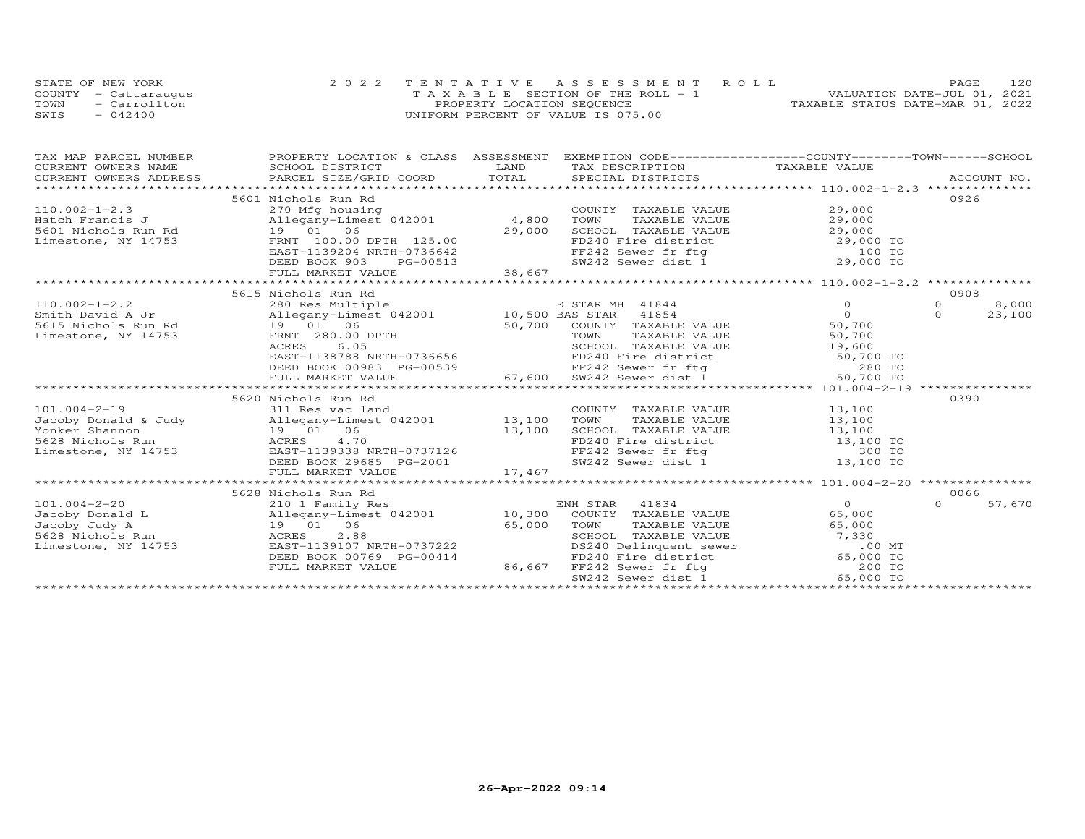|      | STATE OF NEW YORK    | 2022 TENTATIVE ASSESSMENT ROLL        | PAGE.                            | 120 |
|------|----------------------|---------------------------------------|----------------------------------|-----|
|      | COUNTY - Cattarauqus | T A X A B L E SECTION OF THE ROLL - 1 | VALUATION DATE-JUL 01, 2021      |     |
| TOWN | - Carrollton         | PROPERTY LOCATION SEQUENCE            | TAXABLE STATUS DATE-MAR 01, 2022 |     |
| SWIS | $-042400$            | UNIFORM PERCENT OF VALUE IS 075.00    |                                  |     |

| TAX MAP PARCEL NUMBER PROPERTY LOCATION & CLASS ASSESSMENT EXEMPTION CODE--------------------COUNTY--------TOWN------SCHOOL CURRENT OWNERS NAME SCHOOL DISTRICT LAND TAX DESCRIPTION TAXABLE VALUE<br>CURRENT OWNERS ADDRESS PARC    |                                                                                                                                                                                                         |                    |
|--------------------------------------------------------------------------------------------------------------------------------------------------------------------------------------------------------------------------------------|---------------------------------------------------------------------------------------------------------------------------------------------------------------------------------------------------------|--------------------|
|                                                                                                                                                                                                                                      |                                                                                                                                                                                                         |                    |
|                                                                                                                                                                                                                                      |                                                                                                                                                                                                         |                    |
| 5601 Nichols Run Rd                                                                                                                                                                                                                  |                                                                                                                                                                                                         | 0926               |
|                                                                                                                                                                                                                                      |                                                                                                                                                                                                         |                    |
|                                                                                                                                                                                                                                      |                                                                                                                                                                                                         |                    |
|                                                                                                                                                                                                                                      |                                                                                                                                                                                                         |                    |
|                                                                                                                                                                                                                                      |                                                                                                                                                                                                         |                    |
|                                                                                                                                                                                                                                      |                                                                                                                                                                                                         |                    |
|                                                                                                                                                                                                                                      |                                                                                                                                                                                                         |                    |
|                                                                                                                                                                                                                                      |                                                                                                                                                                                                         |                    |
|                                                                                                                                                                                                                                      |                                                                                                                                                                                                         |                    |
| 5615 Nichols Run Rd                                                                                                                                                                                                                  |                                                                                                                                                                                                         | 0908               |
|                                                                                                                                                                                                                                      |                                                                                                                                                                                                         | 8,000              |
|                                                                                                                                                                                                                                      |                                                                                                                                                                                                         | 23,100             |
|                                                                                                                                                                                                                                      |                                                                                                                                                                                                         |                    |
|                                                                                                                                                                                                                                      |                                                                                                                                                                                                         |                    |
|                                                                                                                                                                                                                                      |                                                                                                                                                                                                         |                    |
|                                                                                                                                                                                                                                      |                                                                                                                                                                                                         |                    |
|                                                                                                                                                                                                                                      |                                                                                                                                                                                                         |                    |
|                                                                                                                                                                                                                                      |                                                                                                                                                                                                         |                    |
|                                                                                                                                                                                                                                      |                                                                                                                                                                                                         |                    |
| 5620 Nichols Run Rd                                                                                                                                                                                                                  |                                                                                                                                                                                                         | 0390               |
|                                                                                                                                                                                                                                      | COUNTY TAXABLE VALUE 13,100                                                                                                                                                                             |                    |
| 101.004-2-19<br>Jacoby Donald & Judy allegany-Limest 042001 13,100 TOWN<br>Yonker Shannon 19 01 06 13,100 SCHOO<br>5628 Nichols Run ACRES 4.70 FD240                                                                                 | TOWN TAXABLE VALUE<br>SCHOOL TAXABLE VALUE<br>SCHOOL TAXABLE VALUE<br>TD240 Fire district<br>FF242 Sewer fr ftg<br>SW242 Sewer dist 1 13,100 TO                                                         |                    |
|                                                                                                                                                                                                                                      |                                                                                                                                                                                                         |                    |
|                                                                                                                                                                                                                                      |                                                                                                                                                                                                         |                    |
| Limestone, NY 14753 EAST-1139338 NRTH-0737126                                                                                                                                                                                        |                                                                                                                                                                                                         |                    |
|                                                                                                                                                                                                                                      |                                                                                                                                                                                                         |                    |
|                                                                                                                                                                                                                                      |                                                                                                                                                                                                         |                    |
| 5628 Nichols Run Rd                                                                                                                                                                                                                  |                                                                                                                                                                                                         | 0066               |
|                                                                                                                                                                                                                                      |                                                                                                                                                                                                         | $\Omega$<br>57,670 |
|                                                                                                                                                                                                                                      |                                                                                                                                                                                                         |                    |
|                                                                                                                                                                                                                                      |                                                                                                                                                                                                         |                    |
| 101.004-2-20 210 1 Family Res ENH STAR 41834 0<br>Jacoby Donald L Allegany-Limest 042001 10,300 COUNTY TAXABLE VALUE 65,000<br>Jacoby Judy A 19 01 06 65,000 TOWN TAXABLE VALUE 65,000<br>5628 Nichols Run ACRES 2.88 SCHOOL TAXABLE | TOWN TAXABLE VALUE<br>TOWN TAXABLE VALUE<br>SCHOOL TAXABLE VALUE<br>DS240 Delinquent sewer<br>FD240 Fire district<br>FF242 Sewer fr ftg<br>SW242 Sewer dist 1 65,000 TO<br>SW242 Sewer dist 1 65,000 TO |                    |
|                                                                                                                                                                                                                                      |                                                                                                                                                                                                         |                    |
|                                                                                                                                                                                                                                      |                                                                                                                                                                                                         |                    |
| DEED BOOK 00769 PG-00414<br>FULL MARKET VALUE 86,667                                                                                                                                                                                 |                                                                                                                                                                                                         |                    |
|                                                                                                                                                                                                                                      |                                                                                                                                                                                                         |                    |
|                                                                                                                                                                                                                                      |                                                                                                                                                                                                         |                    |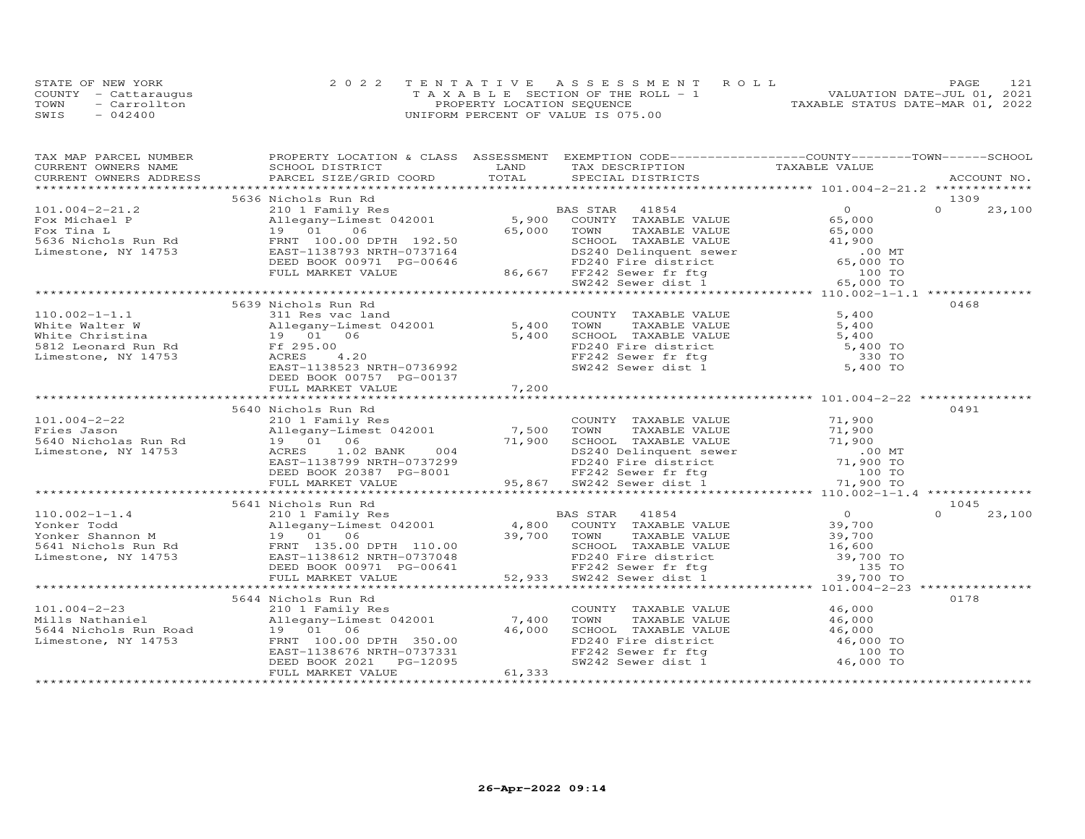|      | STATE OF NEW YORK    | 2022 TENTATIVE ASSESSMENT ROLL        | 121<br>PAGE                      |
|------|----------------------|---------------------------------------|----------------------------------|
|      | COUNTY - Cattaraugus | T A X A B L E SECTION OF THE ROLL - 1 | VALUATION DATE-JUL 01, 2021      |
| TOWN | - Carrollton         | PROPERTY LOCATION SEQUENCE            | TAXABLE STATUS DATE-MAR 01, 2022 |
| SWIS | $-042400$            | UNIFORM PERCENT OF VALUE IS 075.00    |                                  |

| TAX MAP PARCEL NUMBER                                                                                                                                                                                                                        | PROPERTY LOCATION & CLASS ASSESSMENT EXEMPTION CODE----------------COUNTY-------TOWN------SCHOOL |       |                                                                                                                                                                           |       |                    |
|----------------------------------------------------------------------------------------------------------------------------------------------------------------------------------------------------------------------------------------------|--------------------------------------------------------------------------------------------------|-------|---------------------------------------------------------------------------------------------------------------------------------------------------------------------------|-------|--------------------|
|                                                                                                                                                                                                                                              |                                                                                                  |       |                                                                                                                                                                           |       |                    |
|                                                                                                                                                                                                                                              |                                                                                                  |       |                                                                                                                                                                           |       |                    |
|                                                                                                                                                                                                                                              |                                                                                                  |       |                                                                                                                                                                           |       |                    |
|                                                                                                                                                                                                                                              | 5636 Nichols Run Rd                                                                              |       |                                                                                                                                                                           |       | 1309               |
|                                                                                                                                                                                                                                              |                                                                                                  |       |                                                                                                                                                                           |       | $\Omega$<br>23,100 |
|                                                                                                                                                                                                                                              |                                                                                                  |       |                                                                                                                                                                           |       |                    |
|                                                                                                                                                                                                                                              |                                                                                                  |       |                                                                                                                                                                           |       |                    |
|                                                                                                                                                                                                                                              |                                                                                                  |       |                                                                                                                                                                           |       |                    |
|                                                                                                                                                                                                                                              |                                                                                                  |       |                                                                                                                                                                           |       |                    |
|                                                                                                                                                                                                                                              |                                                                                                  |       |                                                                                                                                                                           |       |                    |
|                                                                                                                                                                                                                                              |                                                                                                  |       |                                                                                                                                                                           |       |                    |
|                                                                                                                                                                                                                                              |                                                                                                  |       |                                                                                                                                                                           |       |                    |
|                                                                                                                                                                                                                                              |                                                                                                  |       |                                                                                                                                                                           |       |                    |
|                                                                                                                                                                                                                                              | 5639 Nichols Run Rd                                                                              |       |                                                                                                                                                                           |       | 0468               |
| $110.002 - 1 - 1.1$                                                                                                                                                                                                                          | 311 Res vac land                                                                                 |       | COUNTY TAXABLE VALUE                                                                                                                                                      | 5,400 |                    |
| Nhite Walter W and the Matter Music of the Matter Music of the Matter Music of the Matter Music of the Music of the Music of the Music of the Music of the Music of the Music of the Music of the Music of the Music of the Mu               |                                                                                                  |       |                                                                                                                                                                           |       |                    |
|                                                                                                                                                                                                                                              |                                                                                                  |       |                                                                                                                                                                           |       |                    |
|                                                                                                                                                                                                                                              |                                                                                                  |       |                                                                                                                                                                           |       |                    |
|                                                                                                                                                                                                                                              |                                                                                                  |       |                                                                                                                                                                           |       |                    |
|                                                                                                                                                                                                                                              | EAST-1138523 NRTH-0736992                                                                        |       | COUNIT IAXABLE VALUE<br>TOWN TAXABLE VALUE<br>SCHOOL TAXABLE VALUE<br>FD240 Fire district<br>FF242 Sewer fr ftg<br>SW242 Sewer dist 1<br>5,400 TO<br>5,400 TO<br>5,400 TO |       |                    |
|                                                                                                                                                                                                                                              | DEED BOOK 00757 PG-00137                                                                         |       |                                                                                                                                                                           |       |                    |
|                                                                                                                                                                                                                                              | FULL MARKET VALUE                                                                                | 7,200 |                                                                                                                                                                           |       |                    |
|                                                                                                                                                                                                                                              |                                                                                                  |       |                                                                                                                                                                           |       |                    |
|                                                                                                                                                                                                                                              | 5640 Nichols Run Rd                                                                              |       |                                                                                                                                                                           |       | 0491               |
|                                                                                                                                                                                                                                              |                                                                                                  |       |                                                                                                                                                                           |       |                    |
|                                                                                                                                                                                                                                              |                                                                                                  |       |                                                                                                                                                                           |       |                    |
|                                                                                                                                                                                                                                              |                                                                                                  |       |                                                                                                                                                                           |       |                    |
|                                                                                                                                                                                                                                              |                                                                                                  |       |                                                                                                                                                                           |       |                    |
|                                                                                                                                                                                                                                              |                                                                                                  |       |                                                                                                                                                                           |       |                    |
|                                                                                                                                                                                                                                              |                                                                                                  |       |                                                                                                                                                                           |       |                    |
|                                                                                                                                                                                                                                              |                                                                                                  |       |                                                                                                                                                                           |       |                    |
|                                                                                                                                                                                                                                              |                                                                                                  |       |                                                                                                                                                                           |       |                    |
|                                                                                                                                                                                                                                              |                                                                                                  |       |                                                                                                                                                                           |       | 1045               |
|                                                                                                                                                                                                                                              |                                                                                                  |       |                                                                                                                                                                           |       | $\Omega$<br>23,100 |
|                                                                                                                                                                                                                                              |                                                                                                  |       |                                                                                                                                                                           |       |                    |
|                                                                                                                                                                                                                                              |                                                                                                  |       |                                                                                                                                                                           |       |                    |
|                                                                                                                                                                                                                                              |                                                                                                  |       |                                                                                                                                                                           |       |                    |
|                                                                                                                                                                                                                                              |                                                                                                  |       |                                                                                                                                                                           |       |                    |
|                                                                                                                                                                                                                                              |                                                                                                  |       |                                                                                                                                                                           |       |                    |
|                                                                                                                                                                                                                                              |                                                                                                  |       |                                                                                                                                                                           |       |                    |
|                                                                                                                                                                                                                                              |                                                                                                  |       |                                                                                                                                                                           |       |                    |
|                                                                                                                                                                                                                                              | 5644 Nichols Run Rd                                                                              |       |                                                                                                                                                                           |       | 0178               |
|                                                                                                                                                                                                                                              |                                                                                                  |       |                                                                                                                                                                           |       |                    |
|                                                                                                                                                                                                                                              |                                                                                                  |       | COUNTY TAXABLE VALUE 46,000<br>TOWN TAXABLE VALUE 46,000                                                                                                                  |       |                    |
|                                                                                                                                                                                                                                              |                                                                                                  |       |                                                                                                                                                                           |       |                    |
|                                                                                                                                                                                                                                              |                                                                                                  |       | TOWN TAXABLE VALUE 46,000<br>SCHOOL TAXABLE VALUE 46,000<br>FD240 Fire district 46,000 TO<br>FF242 Sewer fr ftg 100 TO<br>SW242 Sewer dist 1 46,000 TO                    |       |                    |
|                                                                                                                                                                                                                                              |                                                                                                  |       |                                                                                                                                                                           |       |                    |
|                                                                                                                                                                                                                                              |                                                                                                  |       |                                                                                                                                                                           |       |                    |
| 101.004-2-23<br>Mills Nathaniel 210 1 Family Res<br>Mills Nathaniel 210 1 Family Res<br>Mills Nathaniel 210 1 6<br>5644 Nichols Run Road 19 01 06<br>Limestone, NY 14753 FRNT 100.00 DPTH 350.00<br>EED BOOK 2021 PG-12095<br>FULL MARKET VA |                                                                                                  |       |                                                                                                                                                                           |       |                    |
|                                                                                                                                                                                                                                              |                                                                                                  |       |                                                                                                                                                                           |       |                    |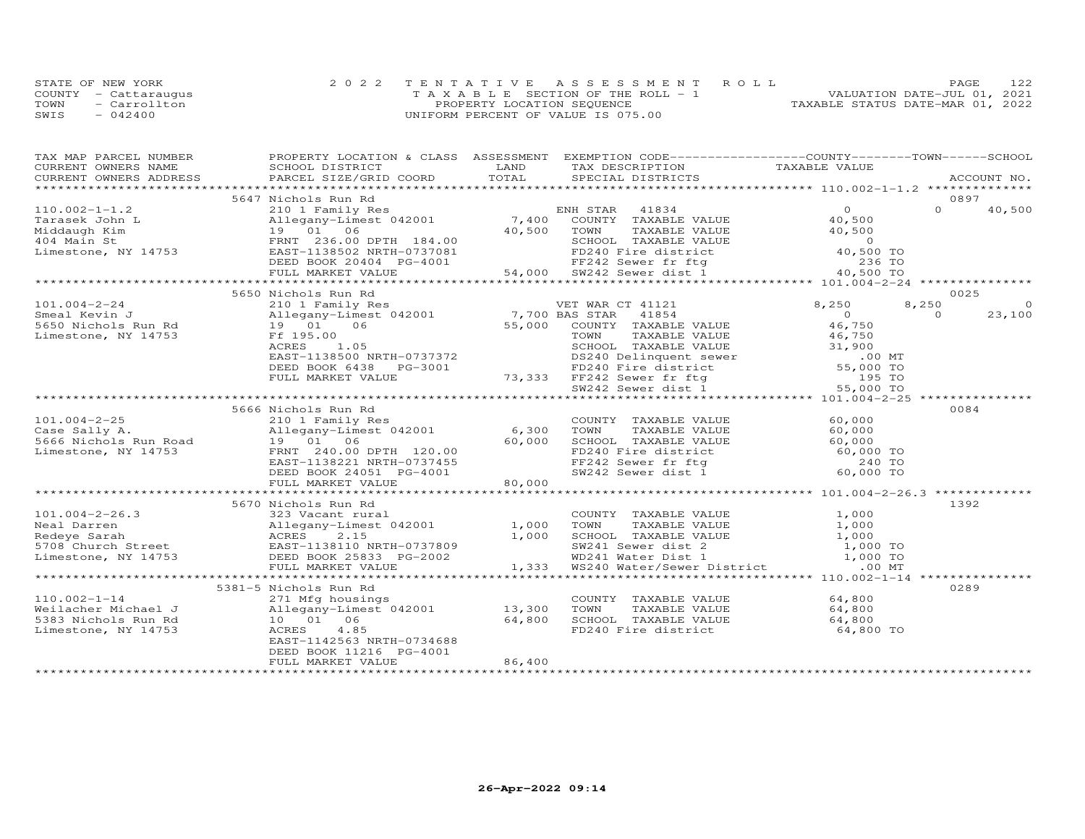|      | STATE OF NEW YORK    | 2022 TENTATIVE ASSESSMENT ROLL     | 12.2<br><b>PAGE</b>              |
|------|----------------------|------------------------------------|----------------------------------|
|      | COUNTY - Cattaraugus | TAXABLE SECTION OF THE ROLL - 1    | VALUATION DATE-JUL 01, 2021      |
| TOWN | - Carrollton         | PROPERTY LOCATION SEQUENCE         | TAXABLE STATUS DATE-MAR 01, 2022 |
| SWIS | $-042400$            | UNIFORM PERCENT OF VALUE IS 075.00 |                                  |

| TAX MAP PARCEL NUMBER | PROPERTY LOCATION & CLASS ASSESSMENT EXEMPTION CODE----------------COUNTY-------TOWN------SCHOOL                                                                                                                                                      |        |                             |                      |                      |
|-----------------------|-------------------------------------------------------------------------------------------------------------------------------------------------------------------------------------------------------------------------------------------------------|--------|-----------------------------|----------------------|----------------------|
|                       |                                                                                                                                                                                                                                                       |        |                             |                      |                      |
|                       | CURRENT OWNERS NAME SCHOOL DISTRICT TRAND LAND CURRENT OWNERS ADDRESS PARCEL SIZE/GRID COORD TOTAL                                                                                                                                                    |        |                             |                      |                      |
|                       |                                                                                                                                                                                                                                                       |        |                             |                      |                      |
|                       | 5647 Nichols Run Rd                                                                                                                                                                                                                                   |        |                             |                      | 0897                 |
|                       |                                                                                                                                                                                                                                                       |        |                             |                      |                      |
|                       |                                                                                                                                                                                                                                                       |        |                             |                      |                      |
|                       |                                                                                                                                                                                                                                                       |        |                             |                      |                      |
|                       |                                                                                                                                                                                                                                                       |        |                             |                      |                      |
|                       |                                                                                                                                                                                                                                                       |        |                             |                      |                      |
|                       |                                                                                                                                                                                                                                                       |        |                             |                      |                      |
|                       |                                                                                                                                                                                                                                                       |        |                             |                      |                      |
|                       |                                                                                                                                                                                                                                                       |        |                             |                      |                      |
|                       | 5650 Nichols Run Rd                                                                                                                                                                                                                                   |        |                             |                      | 0025                 |
|                       | 101.004-2-24 210 1 Family Res<br>Smeal Kevin J<br>5650 Nichols Run Rd<br>Limestone, NY 14753 Ff 195.00<br>ACRES 1.05<br>1.05<br>1.05<br>1.05<br>1.05<br>2.000 COUNTY TAXABLE VALUE<br>2.000 COUNTY TAXABLE VALUE<br>2.000 COUNTY TAXABLE VALUE<br>2.0 |        | VET WAR CT 41121            | 8,250                | $\Omega$<br>8,250    |
|                       |                                                                                                                                                                                                                                                       |        |                             |                      | $\bigcirc$<br>23,100 |
|                       |                                                                                                                                                                                                                                                       |        |                             | $0$<br>46,750        |                      |
|                       |                                                                                                                                                                                                                                                       |        |                             |                      |                      |
|                       |                                                                                                                                                                                                                                                       |        |                             |                      |                      |
|                       |                                                                                                                                                                                                                                                       |        |                             |                      |                      |
|                       |                                                                                                                                                                                                                                                       |        |                             |                      |                      |
|                       |                                                                                                                                                                                                                                                       |        |                             |                      |                      |
|                       |                                                                                                                                                                                                                                                       |        |                             |                      |                      |
|                       | Ff 195.00<br>ACRES 1.05<br>EAST-1138500 NRTH-0737372<br>DEED BOOK 6438 PG-3001<br>FULL MARKET VALUE 73,333 FF242 Sewer district 55,000 TO<br>TEED BOOK 6438 PG-3001<br>TEED BOOK 6438 PG-3001<br>TEED BOOK 6438 PG-3001<br>TEED ALUE 73,333 FF        |        |                             |                      |                      |
|                       | 5666 Nichols Run Rd                                                                                                                                                                                                                                   |        |                             |                      | 0084                 |
|                       |                                                                                                                                                                                                                                                       |        |                             |                      |                      |
|                       | 101.004-2-25<br>Case Sally A. allegany-Limest 042001<br>5666 Nichols Run Road 19 01 06<br>Limestone, NY 14753<br>ERNT 240.00 DPTH 120.00<br>ERNT 138221 NRTH-0737455<br>DEED BOOK 24051 PG-4001 80,000 SCHOOL TAXABLE VALUE 60,000                    |        |                             |                      |                      |
|                       |                                                                                                                                                                                                                                                       |        |                             |                      |                      |
|                       |                                                                                                                                                                                                                                                       |        |                             |                      |                      |
|                       |                                                                                                                                                                                                                                                       |        |                             |                      |                      |
|                       |                                                                                                                                                                                                                                                       |        |                             |                      |                      |
|                       |                                                                                                                                                                                                                                                       |        |                             |                      |                      |
|                       |                                                                                                                                                                                                                                                       |        |                             |                      |                      |
|                       |                                                                                                                                                                                                                                                       |        |                             |                      |                      |
|                       | 5670 Nichols Run Rd                                                                                                                                                                                                                                   |        |                             |                      | 1392                 |
|                       |                                                                                                                                                                                                                                                       |        |                             |                      |                      |
|                       |                                                                                                                                                                                                                                                       |        |                             |                      |                      |
|                       | 101.004-2-26.3<br>Neal Darren Mel Darren Allegany-Limest 042001<br>Redeye Sarah ACRES 2.15 Allegany-Limest 042001<br>Redeye Sarah ACRES 2.15 Allegany-Limest 042001<br>Redeye Sarah ACRES 2.15 ALUE 1,000<br>EXABLE VALUE 1,000<br>FOR Chu            |        |                             |                      |                      |
|                       |                                                                                                                                                                                                                                                       |        |                             |                      |                      |
|                       |                                                                                                                                                                                                                                                       |        |                             |                      |                      |
|                       |                                                                                                                                                                                                                                                       |        |                             |                      |                      |
|                       |                                                                                                                                                                                                                                                       |        |                             |                      |                      |
|                       | 5381-5 Nichols Run Rd                                                                                                                                                                                                                                 |        |                             |                      | 0289                 |
| $110.002 - 1 - 14$    |                                                                                                                                                                                                                                                       |        | COUNTY TAXABLE VALUE 64,800 |                      |                      |
| Weilacher Michael J   |                                                                                                                                                                                                                                                       |        |                             | TAXABLE VALUE 64,800 |                      |
| 5383 Nichols Run Rd   |                                                                                                                                                                                                                                                       |        |                             |                      |                      |
| Limestone, NY 14753   | 271 Mfg housings<br>Allegany-Limest 042001 13,300 TOWN<br>10 01 06 64,800 SCHOO<br>ACRES 4.85 FD240                                                                                                                                                   |        |                             |                      |                      |
|                       | EAST-1142563 NRTH-0734688                                                                                                                                                                                                                             |        |                             |                      |                      |
|                       | DEED BOOK 11216 PG-4001                                                                                                                                                                                                                               |        |                             |                      |                      |
|                       | FULL MARKET VALUE                                                                                                                                                                                                                                     | 86,400 |                             |                      |                      |
|                       |                                                                                                                                                                                                                                                       |        |                             |                      |                      |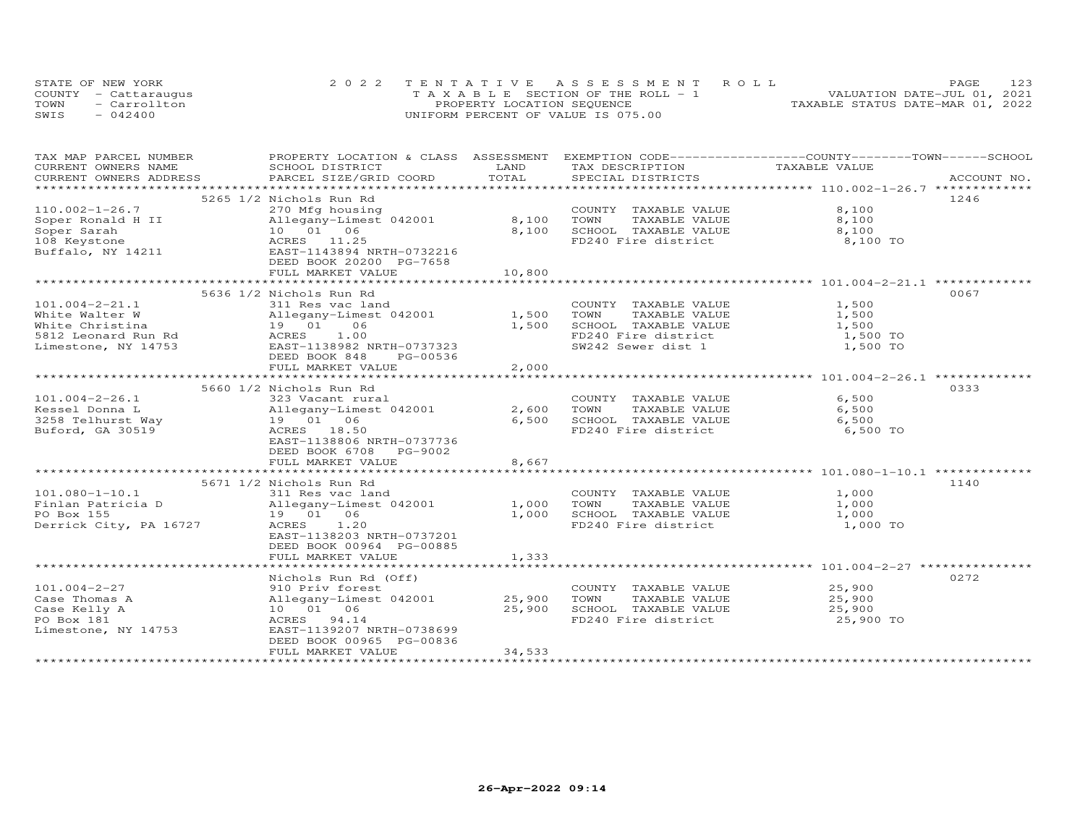| STATE OF NEW YORK    | 2022 TENTATIVE ASSESSMENT ROLL        | 123<br>PAGE                      |
|----------------------|---------------------------------------|----------------------------------|
| COUNTY - Cattaraugus | T A X A B L E SECTION OF THE ROLL - 1 | VALUATION DATE-JUL 01, 2021      |
| TOWN<br>- Carrollton | PROPERTY LOCATION SEQUENCE            | TAXABLE STATUS DATE-MAR 01, 2022 |
| SWIS<br>$-042400$    | UNIFORM PERCENT OF VALUE IS 075.00    |                                  |

| TAX MAP PARCEL NUMBER                                                                                                                                |                                                                           |              |                             | PROPERTY LOCATION & CLASS ASSESSMENT EXEMPTION CODE-----------------COUNTY-------TOWN------SCHOOL               |
|------------------------------------------------------------------------------------------------------------------------------------------------------|---------------------------------------------------------------------------|--------------|-----------------------------|-----------------------------------------------------------------------------------------------------------------|
| CURRENT OWNERS NAME                                                                                                                                  | SCHOOL DISTRICT                                                           | LAND         | TAX DESCRIPTION             | TAXABLE VALUE                                                                                                   |
|                                                                                                                                                      |                                                                           |              |                             | .CURRENT OWNERS ADDRESS PARCEL SIZE/GRID COORD TOTAL SPECIAL DISTRICTS ACCOUNT NO ACCOUNT NO ACCOUNT NO ACCOUNT |
|                                                                                                                                                      |                                                                           |              |                             |                                                                                                                 |
|                                                                                                                                                      | 5265 1/2 Nichols Run Rd                                                   |              |                             | 1246                                                                                                            |
| $110.002 - 1 - 26.7$                                                                                                                                 | 270 Mfg housing                                                           |              | COUNTY TAXABLE VALUE        | 8,100                                                                                                           |
|                                                                                                                                                      |                                                                           | 8,100        | TOWN<br>TAXABLE VALUE       | 8,100                                                                                                           |
|                                                                                                                                                      |                                                                           | 8,100        | SCHOOL TAXABLE VALUE        | 8,100                                                                                                           |
|                                                                                                                                                      |                                                                           |              | FD240 Fire district         | 8,100 TO                                                                                                        |
|                                                                                                                                                      |                                                                           |              |                             |                                                                                                                 |
|                                                                                                                                                      | DEED BOOK 20200 PG-7658                                                   |              |                             |                                                                                                                 |
|                                                                                                                                                      | FULL MARKET VALUE                                                         | 10,800       |                             |                                                                                                                 |
|                                                                                                                                                      |                                                                           |              |                             |                                                                                                                 |
|                                                                                                                                                      | 5636 1/2 Nichols Run Rd                                                   |              |                             | 0067                                                                                                            |
| $101.004 - 2 - 21.1$                                                                                                                                 | 311 Res vac land                                                          |              | COUNTY TAXABLE VALUE        | 1,500                                                                                                           |
|                                                                                                                                                      |                                                                           | $1,500$ TOWN | TAXABLE VALUE               | 1,500                                                                                                           |
| White Walter W Allegany-Limest 042001<br>White Christina 19 01 06<br>5812 Leonard Run Rd ACRES 1.00<br>Limestone, NY 14753 EAST-1138982 NRTH-0737323 |                                                                           | 1,500        | SCHOOL TAXABLE VALUE        | 1,500                                                                                                           |
|                                                                                                                                                      |                                                                           |              | FD240 Fire district         | 1,500 TO                                                                                                        |
|                                                                                                                                                      |                                                                           |              | SW242 Sewer dist 1          | 1,500 TO                                                                                                        |
|                                                                                                                                                      | DEED BOOK 848<br>PG-00536                                                 |              |                             |                                                                                                                 |
|                                                                                                                                                      | FULL MARKET VALUE                                                         | 2,000        |                             |                                                                                                                 |
|                                                                                                                                                      |                                                                           |              |                             |                                                                                                                 |
|                                                                                                                                                      | 5660 1/2 Nichols Run Rd                                                   |              |                             | 0333                                                                                                            |
| $101.004 - 2 - 26.1$                                                                                                                                 | 323 Vacant rural                                                          |              | COUNTY TAXABLE VALUE        | 6,500                                                                                                           |
|                                                                                                                                                      |                                                                           |              | 2,600 TOWN<br>TAXABLE VALUE | 6,500                                                                                                           |
|                                                                                                                                                      |                                                                           | 6,500        | SCHOOL TAXABLE VALUE        | 6,500                                                                                                           |
| 101.004-2-26.1<br>Kessel Donna L<br>3258 Telhurst Way (Allegany-Limest 042001<br>3258 Telhurst Way (A 19 01 06<br>Buford, GA 30519 (ACRES 18.50      |                                                                           |              | FD240 Fire district         | 6,500 TO                                                                                                        |
|                                                                                                                                                      | EAST-1138806 NRTH-0737736                                                 |              |                             |                                                                                                                 |
|                                                                                                                                                      | DEED BOOK 6708 PG-9002                                                    |              |                             |                                                                                                                 |
|                                                                                                                                                      | FULL MARKET VALUE                                                         | 8,667        |                             |                                                                                                                 |
|                                                                                                                                                      |                                                                           |              |                             |                                                                                                                 |
|                                                                                                                                                      | 5671 1/2 Nichols Run Rd                                                   |              |                             | 1140                                                                                                            |
| $101.080 - 1 - 10.1$                                                                                                                                 | 311 Res vac land                                                          |              | COUNTY TAXABLE VALUE        | 1,000                                                                                                           |
| Finlan Patricia D                                                                                                                                    |                                                                           |              | TOWN<br>TAXABLE VALUE       | 1,000                                                                                                           |
| PO Box 155                                                                                                                                           | 211 No. 3 March 1942001<br>Allegany-Limest 042001 1,000<br>19 01 06 1,000 |              | SCHOOL TAXABLE VALUE        | 1,000                                                                                                           |
| Derrick City, PA 16727                                                                                                                               | ACRES 1.20                                                                |              | FD240 Fire district         | 1,000 TO                                                                                                        |
|                                                                                                                                                      | EAST-1138203 NRTH-0737201                                                 |              |                             |                                                                                                                 |
|                                                                                                                                                      | DEED BOOK 00964 PG-00885                                                  |              |                             |                                                                                                                 |
|                                                                                                                                                      | FULL MARKET VALUE                                                         | 1,333        |                             |                                                                                                                 |
|                                                                                                                                                      |                                                                           |              |                             |                                                                                                                 |
|                                                                                                                                                      | Nichols Run Rd (Off)                                                      |              |                             | 0272                                                                                                            |
| $101.004 - 2 - 27$                                                                                                                                   | 910 Priv forest                                                           |              | COUNTY TAXABLE VALUE        | 25,900                                                                                                          |
| Case Thomas A                                                                                                                                        | Allegany-Limest 042001 25,900                                             |              | TOWN<br>TAXABLE VALUE       | 25,900                                                                                                          |
| Case Kelly A                                                                                                                                         | 10  01  06                                                                | 25,900       | SCHOOL TAXABLE VALUE        |                                                                                                                 |
| PO Box 181                                                                                                                                           | ACRES 94.14                                                               |              | FD240 Fire district         | 25,900<br>25,900 TO                                                                                             |
| Limestone, NY 14753                                                                                                                                  | EAST-1139207 NRTH-0738699                                                 |              |                             |                                                                                                                 |
|                                                                                                                                                      | DEED BOOK 00965 PG-00836                                                  |              |                             |                                                                                                                 |
|                                                                                                                                                      | FULL MARKET VALUE                                                         | 34,533       |                             |                                                                                                                 |
|                                                                                                                                                      |                                                                           |              |                             |                                                                                                                 |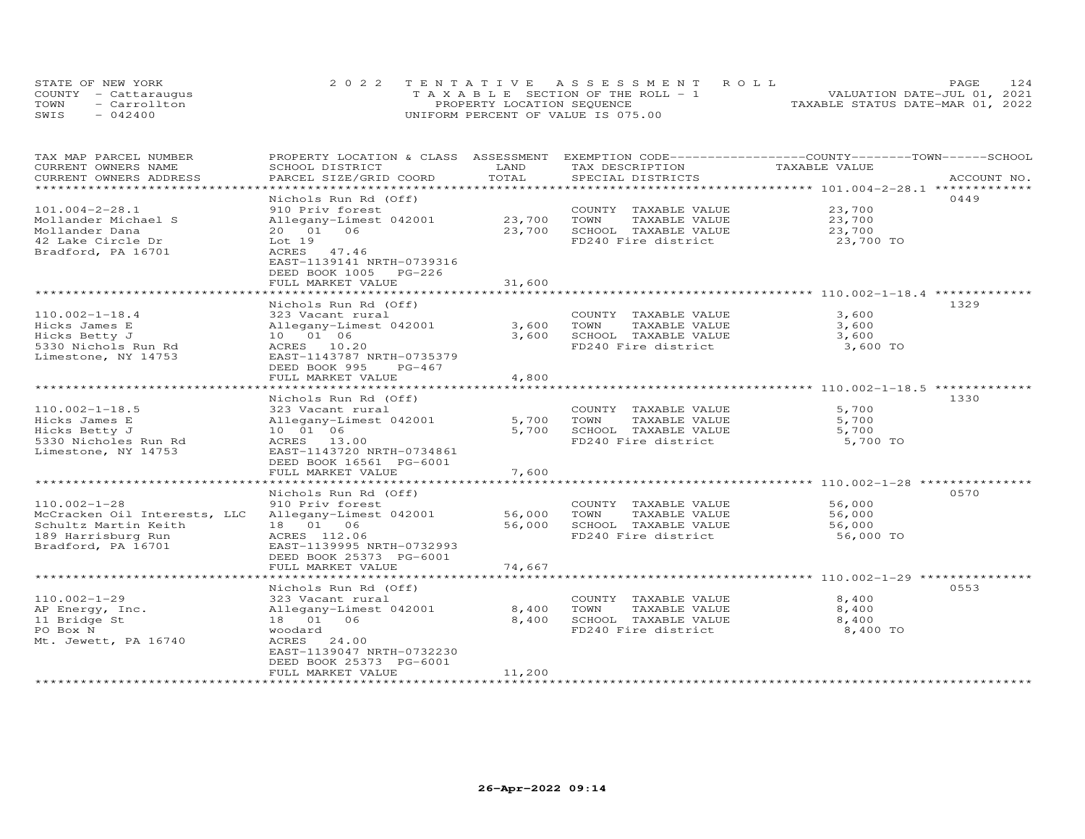| STATE OF NEW YORK    | 2022 TENTATIVE ASSESSMENT ROLL        | 124<br><b>PAGE</b>               |
|----------------------|---------------------------------------|----------------------------------|
| COUNTY - Cattaraugus | T A X A B L E SECTION OF THE ROLL - 1 | VALUATION DATE-JUL 01, 2021      |
| TOWN<br>- Carrollton | PROPERTY LOCATION SEQUENCE            | TAXABLE STATUS DATE-MAR 01, 2022 |
| SWIS<br>$-042400$    | UNIFORM PERCENT OF VALUE IS 075.00    |                                  |

| TAX MAP PARCEL NUMBER                         | PROPERTY LOCATION & CLASS ASSESSMENT               |        | EXEMPTION CODE-----------------COUNTY-------TOWN------SCHOOL |               |             |
|-----------------------------------------------|----------------------------------------------------|--------|--------------------------------------------------------------|---------------|-------------|
| CURRENT OWNERS NAME                           | SCHOOL DISTRICT                                    | LAND   | TAX DESCRIPTION                                              | TAXABLE VALUE |             |
| CURRENT OWNERS ADDRESS<br>******************* | PARCEL SIZE/GRID COORD                             | TOTAL  | SPECIAL DISTRICTS                                            |               | ACCOUNT NO. |
|                                               |                                                    |        |                                                              |               |             |
|                                               | Nichols Run Rd (Off)                               |        |                                                              |               | 0449        |
| $101.004 - 2 - 28.1$                          | 910 Priv forest                                    |        | COUNTY TAXABLE VALUE                                         | 23,700        |             |
| Mollander Michael S                           | Allegany-Limest 042001                             | 23,700 | TOWN<br>TAXABLE VALUE                                        | 23,700        |             |
| Mollander Dana                                | 20  01  06                                         | 23,700 | SCHOOL TAXABLE VALUE                                         | 23,700        |             |
| 42 Lake Circle Dr                             | Lot 19                                             |        | FD240 Fire district                                          | 23,700 TO     |             |
| Bradford, PA 16701                            | ACRES 47.46                                        |        |                                                              |               |             |
|                                               | EAST-1139141 NRTH-0739316<br>DEED BOOK 1005 PG-226 |        |                                                              |               |             |
|                                               | FULL MARKET VALUE                                  | 31,600 |                                                              |               |             |
|                                               |                                                    |        |                                                              |               |             |
|                                               | Nichols Run Rd (Off)                               |        |                                                              |               | 1329        |
| $110.002 - 1 - 18.4$                          | 323 Vacant rural                                   |        | COUNTY TAXABLE VALUE                                         | 3,600         |             |
| Hicks James E                                 | Allegany-Limest 042001                             | 3,600  | TOWN<br>TAXABLE VALUE                                        | 3,600         |             |
| Hicks Betty J                                 | 10 01 06                                           | 3,600  | SCHOOL TAXABLE VALUE                                         | 3,600         |             |
| 5330 Nichols Run Rd                           | ACRES 10.20                                        |        | FD240 Fire district                                          | 3,600 TO      |             |
| Limestone, NY 14753                           | EAST-1143787 NRTH-0735379                          |        |                                                              |               |             |
|                                               | DEED BOOK 995<br>PG-467                            |        |                                                              |               |             |
|                                               | FULL MARKET VALUE                                  | 4,800  |                                                              |               |             |
|                                               | * * * * * * * * * * * * * * * * * * *              |        |                                                              |               |             |
|                                               | Nichols Run Rd (Off)                               |        |                                                              |               | 1330        |
| $110.002 - 1 - 18.5$                          | 323 Vacant rural                                   |        | COUNTY TAXABLE VALUE                                         | 5,700         |             |
| Hicks James E                                 | Allegany-Limest 042001                             | 5,700  | TOWN<br>TAXABLE VALUE                                        | 5,700         |             |
| Hicks Betty J                                 | 10 01 06                                           | 5,700  | SCHOOL TAXABLE VALUE                                         | 5,700         |             |
| 5330 Nicholes Run Rd                          | ACRES 13.00                                        |        | FD240 Fire district                                          | 5,700 TO      |             |
| Limestone, NY 14753                           | EAST-1143720 NRTH-0734861                          |        |                                                              |               |             |
|                                               | DEED BOOK 16561 PG-6001                            |        |                                                              |               |             |
|                                               | FULL MARKET VALUE                                  | 7,600  |                                                              |               |             |
|                                               |                                                    |        |                                                              |               |             |
|                                               | Nichols Run Rd (Off)                               |        |                                                              |               | 0570        |
| $110.002 - 1 - 28$                            | 910 Priv forest                                    |        | COUNTY TAXABLE VALUE                                         | 56,000        |             |
| McCracken Oil Interests, LLC                  | Allegany-Limest 042001                             | 56,000 | TOWN<br>TAXABLE VALUE                                        | 56,000        |             |
| Schultz Martin Keith                          | 18  01  06                                         | 56,000 | SCHOOL TAXABLE VALUE                                         | 56,000        |             |
| 189 Harrisburg Run                            | ACRES 112.06                                       |        | FD240 Fire district                                          | 56,000 TO     |             |
| Bradford, PA 16701                            | EAST-1139995 NRTH-0732993                          |        |                                                              |               |             |
|                                               | DEED BOOK 25373 PG-6001                            |        |                                                              |               |             |
|                                               | FULL MARKET VALUE                                  | 74,667 |                                                              |               |             |
|                                               |                                                    |        |                                                              |               |             |
|                                               | Nichols Run Rd (Off)                               |        |                                                              |               | 0553        |
| $110.002 - 1 - 29$                            | 323 Vacant rural                                   |        | COUNTY TAXABLE VALUE                                         | 8,400         |             |
| AP Energy, Inc.                               | Allegany-Limest 042001                             | 8,400  | TOWN<br>TAXABLE VALUE                                        | 8,400         |             |
| 11 Bridge St                                  | 18  01  06                                         | 8,400  | SCHOOL TAXABLE VALUE                                         | 8,400         |             |
| PO Box N                                      | woodard                                            |        | FD240 Fire district                                          | 8,400 TO      |             |
| Mt. Jewett, PA 16740                          | ACRES 24.00                                        |        |                                                              |               |             |
|                                               | EAST-1139047 NRTH-0732230                          |        |                                                              |               |             |
|                                               | DEED BOOK 25373 PG-6001                            |        |                                                              |               |             |
|                                               | FULL MARKET VALUE                                  | 11,200 |                                                              |               |             |
|                                               |                                                    |        |                                                              |               |             |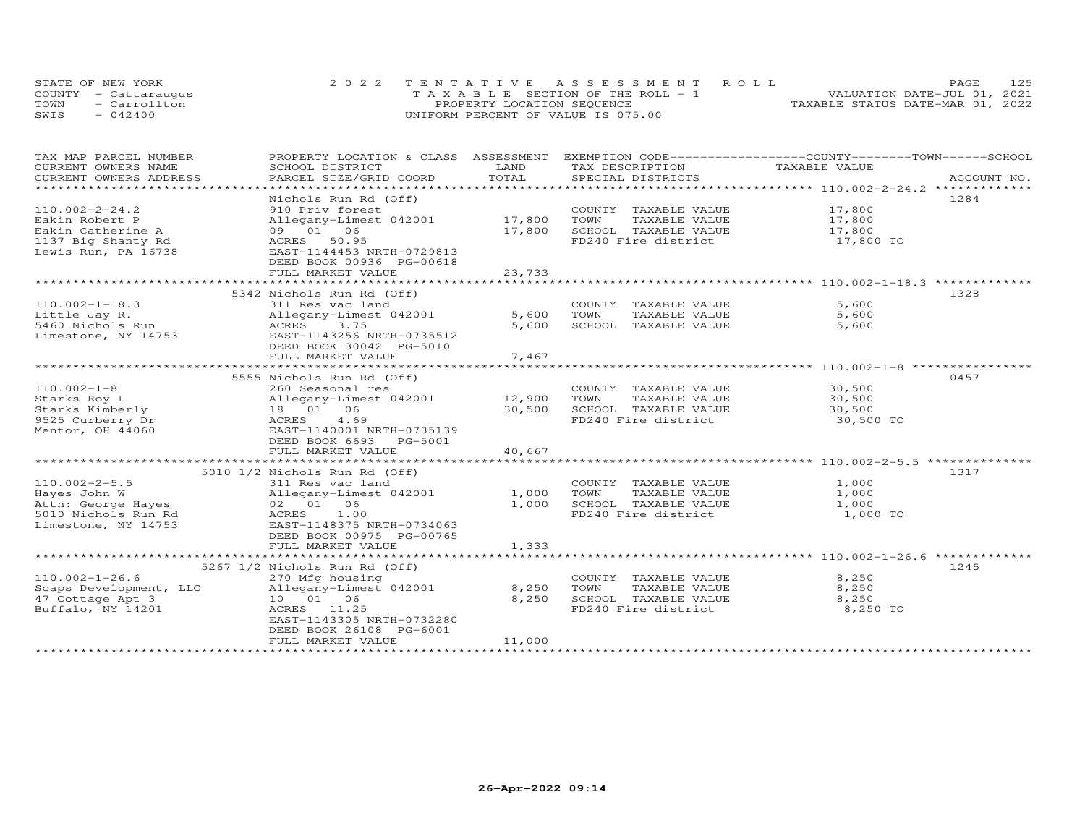| STATE OF NEW YORK    | 2022 TENTATIVE ASSESSMENT ROLL        | 12.5<br>PAGE.                    |
|----------------------|---------------------------------------|----------------------------------|
| COUNTY - Cattaraugus | T A X A B L E SECTION OF THE ROLL - 1 | VALUATION DATE-JUL 01, 2021      |
| TOWN<br>- Carrollton | PROPERTY LOCATION SEQUENCE            | TAXABLE STATUS DATE-MAR 01, 2022 |
| SWIS<br>$-042400$    | UNIFORM PERCENT OF VALUE IS 075.00    |                                  |

| TAX MAP PARCEL NUMBER                         | PROPERTY LOCATION & CLASS ASSESSMENT                  |               | EXEMPTION CODE------------------COUNTY-------TOWN------SCHOOL |                                                       |             |
|-----------------------------------------------|-------------------------------------------------------|---------------|---------------------------------------------------------------|-------------------------------------------------------|-------------|
| CURRENT OWNERS NAME<br>CURRENT OWNERS ADDRESS | SCHOOL DISTRICT<br>PARCEL SIZE/GRID COORD             | LAND<br>TOTAL | TAX DESCRIPTION<br>SPECIAL DISTRICTS                          | TAXABLE VALUE                                         | ACCOUNT NO. |
| ******************************                |                                                       |               |                                                               |                                                       |             |
|                                               | Nichols Run Rd (Off)                                  |               |                                                               |                                                       | 1284        |
| $110.002 - 2 - 24.2$                          | 910 Priv forest                                       |               | COUNTY TAXABLE VALUE 17,800                                   |                                                       |             |
| Eakin Robert P                                | Allegany-Limest 042001 17,800                         |               | TOWN<br>TAXABLE VALUE                                         |                                                       |             |
| Eakin Catherine A                             | 09 01 06                                              | 17,800        | SCHOOL TAXABLE VALUE                                          | 17,800<br>17,800                                      |             |
| 1137 Big Shanty Rd                            | ACRES<br>50.95                                        |               | FD240 Fire district 17,800 TO                                 |                                                       |             |
| Lewis Run, PA 16738                           | EAST-1144453 NRTH-0729813                             |               |                                                               |                                                       |             |
|                                               | DEED BOOK 00936 PG-00618                              |               |                                                               |                                                       |             |
|                                               | FULL MARKET VALUE                                     | 23,733        |                                                               | ************************ 110.002-1-18.3 ************* |             |
|                                               |                                                       |               |                                                               |                                                       |             |
| $110.002 - 1 - 18.3$                          | 5342 Nichols Run Rd (Off)<br>311 Res vac land         |               | COUNTY TAXABLE VALUE                                          | 5,600                                                 | 1328        |
| Little Jay R.                                 | Allegany-Limest 042001                                | 5,600         | TOWN<br>TAXABLE VALUE                                         | 5,600                                                 |             |
| 5460 Nichols Run                              | ACRES<br>3.75                                         | 5,600         | SCHOOL TAXABLE VALUE                                          | 5,600                                                 |             |
| Limestone, NY 14753                           | EAST-1143256 NRTH-0735512                             |               |                                                               |                                                       |             |
|                                               | DEED BOOK 30042 PG-5010                               |               |                                                               |                                                       |             |
|                                               | FULL MARKET VALUE                                     | 7,467         |                                                               |                                                       |             |
|                                               |                                                       |               |                                                               |                                                       |             |
|                                               | 5555 Nichols Run Rd (Off)                             |               |                                                               |                                                       | 0457        |
| $110.002 - 1 - 8$                             | 260 Seasonal res                                      |               | COUNTY TAXABLE VALUE                                          | 30,500                                                |             |
| Starks Roy L                                  | Allegany-Limest 042001 12,900                         |               | TOWN<br>TAXABLE VALUE                                         | 30,500                                                |             |
| Starks Kimberly                               | 18  01  06                                            | 30,500        | SCHOOL TAXABLE VALUE                                          | 30,500                                                |             |
| 9525 Curberry Dr                              | 4.69<br>ACRES                                         |               | FD240 Fire district                                           | 30,500 TO                                             |             |
| Mentor, OH 44060                              | EAST-1140001 NRTH-0735139                             |               |                                                               |                                                       |             |
|                                               | DEED BOOK 6693 PG-5001<br>FULL MARKET VALUE           | 40,667        |                                                               |                                                       |             |
|                                               |                                                       |               |                                                               |                                                       |             |
|                                               | 5010 1/2 Nichols Run Rd (Off)                         |               |                                                               |                                                       | 1317        |
| $110.002 - 2 - 5.5$                           | 311 Res vac land                                      |               | COUNTY TAXABLE VALUE                                          | 1,000                                                 |             |
| Hayes John W                                  | Allegany-Limest 042001                                | 1,000         | TOWN<br>TAXABLE VALUE                                         | 1,000                                                 |             |
| Attn: George Hayes                            | 02 01 06                                              | 1,000         | SCHOOL TAXABLE VALUE                                          | 1,000                                                 |             |
| 5010 Nichols Run Rd                           | ACRES<br>1.00                                         |               | FD240 Fire district                                           | 1,000 TO                                              |             |
| Limestone, NY 14753                           | EAST-1148375 NRTH-0734063                             |               |                                                               |                                                       |             |
|                                               | DEED BOOK 00975 PG-00765                              |               |                                                               |                                                       |             |
|                                               | FULL MARKET VALUE                                     | 1,333         |                                                               |                                                       |             |
|                                               | 5267 1/2 Nichols Run Rd (Off)                         |               |                                                               |                                                       | 1245        |
| $110.002 - 1 - 26.6$                          | 270 Mfg housing                                       |               | COUNTY TAXABLE VALUE                                          | 8,250                                                 |             |
| Soaps Development, LLC                        | 270 Mfg housing<br>Allegany-Limest 042001<br>10 01 06 | 8,250         | TOWN<br>TAXABLE VALUE                                         | 8,250                                                 |             |
| 47 Cottage Apt 3                              | 10 01 06                                              | 8,250         | SCHOOL TAXABLE VALUE                                          | 8,250                                                 |             |
| Buffalo, NY 14201                             | ACRES 11.25                                           |               | FD240 Fire district                                           | 8,250 TO                                              |             |
|                                               | EAST-1143305 NRTH-0732280                             |               |                                                               |                                                       |             |
|                                               | DEED BOOK 26108 PG-6001                               |               |                                                               |                                                       |             |
|                                               | FULL MARKET VALUE                                     | 11,000        |                                                               |                                                       |             |
|                                               |                                                       |               |                                                               |                                                       |             |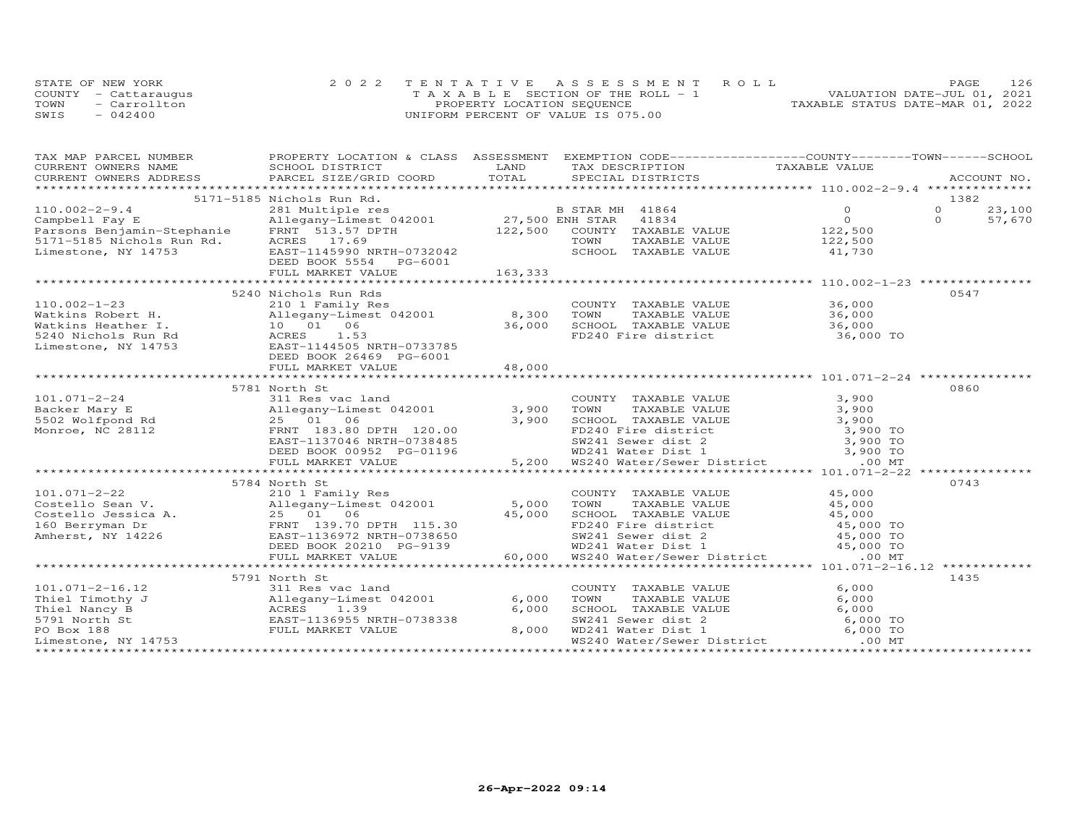|      | STATE OF NEW YORK    | 2022 TENTATIVE ASSESSMENT ROLL           | 126<br>PAGE                      |
|------|----------------------|------------------------------------------|----------------------------------|
|      | COUNTY - Cattaraugus | $T A X A B I F$ SECTION OF THE ROLL $-1$ | VALUATION DATE-JUL 01, 2021      |
| TOWN | - Carrollton         | PROPERTY LOCATION SEQUENCE               | TAXABLE STATUS DATE-MAR 01, 2022 |
| SWIS | $-042400$            | UNIFORM PERCENT OF VALUE IS 075.00       |                                  |

| TAX MAP PARCEL NUMBER                                                                                                                                                                                                                    |                                                                                                                         |                                                                 | PROPERTY LOCATION & CLASS ASSESSMENT EXEMPTION CODE-----------------COUNTY--------TOWN------SCHOOL                                                                                                                                        |                  |                      |        |
|------------------------------------------------------------------------------------------------------------------------------------------------------------------------------------------------------------------------------------------|-------------------------------------------------------------------------------------------------------------------------|-----------------------------------------------------------------|-------------------------------------------------------------------------------------------------------------------------------------------------------------------------------------------------------------------------------------------|------------------|----------------------|--------|
| CURRENT OWNERS NAME SCHOOL DISTRICT                                                                                                                                                                                                      |                                                                                                                         | LAND                                                            | TAX DESCRIPTION TAXABLE VALUE                                                                                                                                                                                                             |                  |                      |        |
|                                                                                                                                                                                                                                          |                                                                                                                         |                                                                 |                                                                                                                                                                                                                                           |                  |                      |        |
|                                                                                                                                                                                                                                          |                                                                                                                         |                                                                 |                                                                                                                                                                                                                                           |                  |                      |        |
| 5171-5185 Nichols Run Rd.<br>281 Multiple res (281 Multiple res (281 Multiple res (281 Multiple res (281 Multiple res (281 Multiple res (2<br>27,500 ENH STAR 41834 (22,500 Parsons Benjamin-Stephanie FRNT 51.57 DPTH 122,500 COU       | 5171-5185 Nichols Run Rd.                                                                                               |                                                                 |                                                                                                                                                                                                                                           |                  | 1382                 |        |
|                                                                                                                                                                                                                                          |                                                                                                                         |                                                                 |                                                                                                                                                                                                                                           |                  | $\Omega$<br>$\Omega$ | 23,100 |
|                                                                                                                                                                                                                                          |                                                                                                                         |                                                                 |                                                                                                                                                                                                                                           |                  |                      | 57,670 |
|                                                                                                                                                                                                                                          |                                                                                                                         |                                                                 | TAXABLE VALUE 122,500                                                                                                                                                                                                                     |                  |                      |        |
|                                                                                                                                                                                                                                          |                                                                                                                         |                                                                 | TOWN                                                                                                                                                                                                                                      |                  |                      |        |
|                                                                                                                                                                                                                                          |                                                                                                                         |                                                                 | SCHOOL TAXABLE VALUE 41,730                                                                                                                                                                                                               |                  |                      |        |
|                                                                                                                                                                                                                                          |                                                                                                                         |                                                                 |                                                                                                                                                                                                                                           |                  |                      |        |
|                                                                                                                                                                                                                                          |                                                                                                                         |                                                                 |                                                                                                                                                                                                                                           |                  |                      |        |
|                                                                                                                                                                                                                                          | 5240 Nichols Run Rds                                                                                                    |                                                                 |                                                                                                                                                                                                                                           |                  | 0547                 |        |
| $110.002 - 1 - 23$                                                                                                                                                                                                                       |                                                                                                                         |                                                                 | COUNTY TAXABLE VALUE 36,000                                                                                                                                                                                                               |                  |                      |        |
|                                                                                                                                                                                                                                          | 210 1 Family Res<br>Allegany-Limest 042001 8,300 TOWN                                                                   |                                                                 |                                                                                                                                                                                                                                           |                  |                      |        |
| Watkins Robert H.                                                                                                                                                                                                                        |                                                                                                                         |                                                                 | TAXABLE VALUE 36,000                                                                                                                                                                                                                      |                  |                      |        |
|                                                                                                                                                                                                                                          | 36,000                                                                                                                  |                                                                 |                                                                                                                                                                                                                                           |                  |                      |        |
|                                                                                                                                                                                                                                          |                                                                                                                         |                                                                 |                                                                                                                                                                                                                                           |                  |                      |        |
| Watkins Heather I.<br>5240 Nichols Run Rd<br>Limestone, NY 14753<br>EAST-1144505 NRTH-0733785<br>REBENT PRED PRED PRED PRESS NRTH-0733785                                                                                                |                                                                                                                         |                                                                 |                                                                                                                                                                                                                                           |                  |                      |        |
|                                                                                                                                                                                                                                          | DEED BOOK 26469 PG-6001                                                                                                 |                                                                 |                                                                                                                                                                                                                                           |                  |                      |        |
|                                                                                                                                                                                                                                          | FULL MARKET VALUE                                                                                                       | 48,000                                                          |                                                                                                                                                                                                                                           |                  |                      |        |
|                                                                                                                                                                                                                                          | 5781 North St                                                                                                           |                                                                 |                                                                                                                                                                                                                                           |                  | 0860                 |        |
| 101.071-2-24<br>Backer Mary E<br>5502 Wolfpond Rd 25 01 06<br>Monroe, NC 28112<br>Monroe, NC 28112<br>25 01 06<br>25 01 06<br>25 01 06<br>25 01 06<br>25 01 06<br>25 01 06<br>27 183.80 DPTH 120.00                                      |                                                                                                                         |                                                                 |                                                                                                                                                                                                                                           |                  |                      |        |
|                                                                                                                                                                                                                                          |                                                                                                                         |                                                                 |                                                                                                                                                                                                                                           |                  |                      |        |
|                                                                                                                                                                                                                                          |                                                                                                                         |                                                                 |                                                                                                                                                                                                                                           |                  |                      |        |
|                                                                                                                                                                                                                                          |                                                                                                                         |                                                                 |                                                                                                                                                                                                                                           |                  |                      |        |
|                                                                                                                                                                                                                                          | EAST-1137046 NRTH-0738485                                                                                               |                                                                 |                                                                                                                                                                                                                                           |                  |                      |        |
|                                                                                                                                                                                                                                          | DEED BOOK 00952 PG-01196                                                                                                |                                                                 |                                                                                                                                                                                                                                           |                  |                      |        |
|                                                                                                                                                                                                                                          |                                                                                                                         |                                                                 |                                                                                                                                                                                                                                           |                  |                      |        |
|                                                                                                                                                                                                                                          | FULL MARKET VALUE                                                                                                       |                                                                 | 3,900 TOWN TAXABLE VALUE 3,900<br>3,900 TOWN TAXABLE VALUE 3,900<br>3,900 SCHOOL TAXABLE VALUE 3,900<br>FD240 Fire district 3,900 TO<br>87240 Sever dist 2 3,900 TO<br>87241 Sever dist 2 3,900 TO<br>5,200 WD241 Water District 3,900 TO |                  |                      |        |
|                                                                                                                                                                                                                                          | 5784 North St                                                                                                           | $3, 5$<br>$-01196$<br>$3, 25$<br>$-01196$<br>$3, 25$<br>$5, 25$ |                                                                                                                                                                                                                                           |                  | 0743                 |        |
|                                                                                                                                                                                                                                          |                                                                                                                         |                                                                 | COUNTY TAXABLE VALUE                                                                                                                                                                                                                      |                  |                      |        |
|                                                                                                                                                                                                                                          |                                                                                                                         |                                                                 |                                                                                                                                                                                                                                           | 45,000<br>45,000 |                      |        |
|                                                                                                                                                                                                                                          |                                                                                                                         |                                                                 |                                                                                                                                                                                                                                           |                  |                      |        |
| 101.071-2-22 210 1 Family Res<br>Costello Sean V. Allegany-Limest 042001 5,000<br>Costello Jessica A. 25 01 06 45,000<br>160 Berryman Dr FRNT 139.70 DPTH 115.30<br>Amherst, NY 14226 EAET-1136972 NRTH-0738650<br>FRNT 139.70 DPTH 115. |                                                                                                                         |                                                                 |                                                                                                                                                                                                                                           |                  |                      |        |
|                                                                                                                                                                                                                                          |                                                                                                                         |                                                                 |                                                                                                                                                                                                                                           |                  |                      |        |
|                                                                                                                                                                                                                                          |                                                                                                                         |                                                                 |                                                                                                                                                                                                                                           |                  |                      |        |
|                                                                                                                                                                                                                                          |                                                                                                                         |                                                                 |                                                                                                                                                                                                                                           |                  |                      |        |
|                                                                                                                                                                                                                                          |                                                                                                                         |                                                                 |                                                                                                                                                                                                                                           |                  |                      |        |
|                                                                                                                                                                                                                                          | 5791 North St                                                                                                           |                                                                 |                                                                                                                                                                                                                                           |                  | 1435                 |        |
| $101.071 - 2 - 16.12$                                                                                                                                                                                                                    | 311 Res vac land                                                                                                        |                                                                 | COUNTY TAXABLE VALUE                                                                                                                                                                                                                      | 6,000            |                      |        |
| Thiel Timothy J                                                                                                                                                                                                                          |                                                                                                                         | 6,000                                                           |                                                                                                                                                                                                                                           |                  |                      |        |
| Thiel Nancy B                                                                                                                                                                                                                            |                                                                                                                         | 6,000                                                           |                                                                                                                                                                                                                                           |                  |                      |        |
| 5791 North St                                                                                                                                                                                                                            |                                                                                                                         |                                                                 |                                                                                                                                                                                                                                           |                  |                      |        |
| PO Box 188                                                                                                                                                                                                                               | 2<br>311 Res vac land<br>J<br>Allegany-Limest 042001<br>ACRES<br>1.39<br>EAST-1136955 NRTH-0738338<br>FULL MARKET VALUE | 8,000                                                           | TOWN TAXABLE VALUE<br>SCHOOL TAXABLE VALUE<br>SW241 Sewer dist 2 6,000 TO<br>WD241 Water Dist 1 6,000 TO<br>6,000 TO<br>6,000 TO                                                                                                          |                  |                      |        |
| Limestone, NY 14753                                                                                                                                                                                                                      |                                                                                                                         |                                                                 | WS240 Water/Sewer District .00 MT                                                                                                                                                                                                         |                  |                      |        |
|                                                                                                                                                                                                                                          |                                                                                                                         |                                                                 |                                                                                                                                                                                                                                           |                  |                      |        |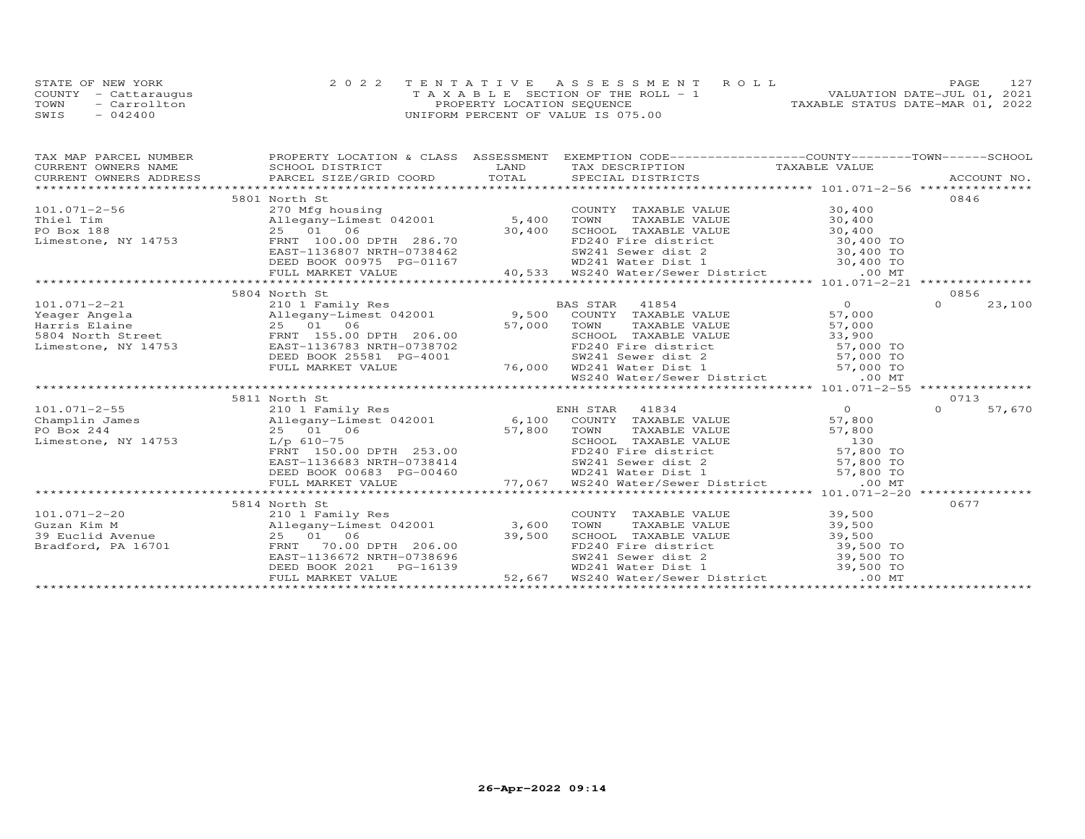| STATE OF NEW YORK    | 2022 TENTATIVE ASSESSMENT ROLL        |                            |  |                                  | PAGE. | 127 |
|----------------------|---------------------------------------|----------------------------|--|----------------------------------|-------|-----|
| COUNTY - Cattaraugus | T A X A B L E SECTION OF THE ROLL - 1 |                            |  | VALUATION DATE-JUL 01, 2021      |       |     |
| TOWN<br>- Carrollton |                                       | PROPERTY LOCATION SEQUENCE |  | TAXABLE STATUS DATE-MAR 01, 2022 |       |     |
| $-042400$<br>SWIS    | UNIFORM PERCENT OF VALUE IS 075.00    |                            |  |                                  |       |     |

| TAX MAP PARCEL NUMBER                                                                                                                                | PROPERTY LOCATION & CLASS ASSESSMENT                                                                                                 | EXEMPTION CODE-----------------COUNTY-------TOWN------SCHOOL                                                                                                                                                                          |        |
|------------------------------------------------------------------------------------------------------------------------------------------------------|--------------------------------------------------------------------------------------------------------------------------------------|---------------------------------------------------------------------------------------------------------------------------------------------------------------------------------------------------------------------------------------|--------|
|                                                                                                                                                      | SCHOOL DISTRICT                                                                                                                      |                                                                                                                                                                                                                                       |        |
|                                                                                                                                                      |                                                                                                                                      |                                                                                                                                                                                                                                       |        |
|                                                                                                                                                      |                                                                                                                                      |                                                                                                                                                                                                                                       |        |
|                                                                                                                                                      | 5801 North St                                                                                                                        |                                                                                                                                                                                                                                       | 0846   |
| 101.071-2-56<br>Thiel Tim allegany-Limest 042001 5,400 TOWN<br>PO Box 188 25 01 06 30,400 SCHOO<br>Limestone, NY 14753 FRNT 100.00 DPTH 286.70 FD240 |                                                                                                                                      |                                                                                                                                                                                                                                       |        |
|                                                                                                                                                      |                                                                                                                                      |                                                                                                                                                                                                                                       |        |
|                                                                                                                                                      |                                                                                                                                      |                                                                                                                                                                                                                                       |        |
|                                                                                                                                                      |                                                                                                                                      |                                                                                                                                                                                                                                       |        |
|                                                                                                                                                      |                                                                                                                                      |                                                                                                                                                                                                                                       |        |
|                                                                                                                                                      |                                                                                                                                      |                                                                                                                                                                                                                                       |        |
|                                                                                                                                                      |                                                                                                                                      |                                                                                                                                                                                                                                       |        |
|                                                                                                                                                      |                                                                                                                                      |                                                                                                                                                                                                                                       |        |
|                                                                                                                                                      | 5804 North St                                                                                                                        |                                                                                                                                                                                                                                       | 0856   |
|                                                                                                                                                      |                                                                                                                                      |                                                                                                                                                                                                                                       |        |
|                                                                                                                                                      |                                                                                                                                      |                                                                                                                                                                                                                                       |        |
|                                                                                                                                                      |                                                                                                                                      |                                                                                                                                                                                                                                       |        |
|                                                                                                                                                      |                                                                                                                                      |                                                                                                                                                                                                                                       |        |
|                                                                                                                                                      |                                                                                                                                      |                                                                                                                                                                                                                                       |        |
|                                                                                                                                                      |                                                                                                                                      |                                                                                                                                                                                                                                       |        |
|                                                                                                                                                      |                                                                                                                                      |                                                                                                                                                                                                                                       |        |
|                                                                                                                                                      |                                                                                                                                      |                                                                                                                                                                                                                                       |        |
|                                                                                                                                                      | 5811 North St                                                                                                                        |                                                                                                                                                                                                                                       | 0713   |
|                                                                                                                                                      |                                                                                                                                      |                                                                                                                                                                                                                                       | 57,670 |
|                                                                                                                                                      |                                                                                                                                      |                                                                                                                                                                                                                                       |        |
|                                                                                                                                                      |                                                                                                                                      |                                                                                                                                                                                                                                       |        |
|                                                                                                                                                      |                                                                                                                                      |                                                                                                                                                                                                                                       |        |
|                                                                                                                                                      |                                                                                                                                      |                                                                                                                                                                                                                                       |        |
|                                                                                                                                                      |                                                                                                                                      |                                                                                                                                                                                                                                       |        |
|                                                                                                                                                      |                                                                                                                                      |                                                                                                                                                                                                                                       |        |
|                                                                                                                                                      |                                                                                                                                      |                                                                                                                                                                                                                                       |        |
|                                                                                                                                                      |                                                                                                                                      |                                                                                                                                                                                                                                       |        |
|                                                                                                                                                      | 5814 North St                                                                                                                        |                                                                                                                                                                                                                                       | 0677   |
|                                                                                                                                                      |                                                                                                                                      |                                                                                                                                                                                                                                       |        |
|                                                                                                                                                      |                                                                                                                                      |                                                                                                                                                                                                                                       |        |
|                                                                                                                                                      |                                                                                                                                      |                                                                                                                                                                                                                                       |        |
|                                                                                                                                                      |                                                                                                                                      |                                                                                                                                                                                                                                       |        |
|                                                                                                                                                      |                                                                                                                                      |                                                                                                                                                                                                                                       |        |
|                                                                                                                                                      | 25 01 06 39,500<br>PRNT 70.00 DPTH 206.00 39,500<br>EAST-1136672 NRTH-0738696<br>DEED BOOK 2021 PG-16139<br>FULL MARKET VALUE 52,667 | COUNTY TAXABLE VALUE 39,500<br>TOWN TAXABLE VALUE 39,500<br>SCHOOL TAXABLE VALUE 39,500<br>FD240 Fire district 39,500 TO<br>WD241 Sewer dist 2 39,500 TO<br>WD241 Water/Sewer District 39,500 TO<br>WS240 Water/Sewer District .00 MT |        |
|                                                                                                                                                      |                                                                                                                                      |                                                                                                                                                                                                                                       |        |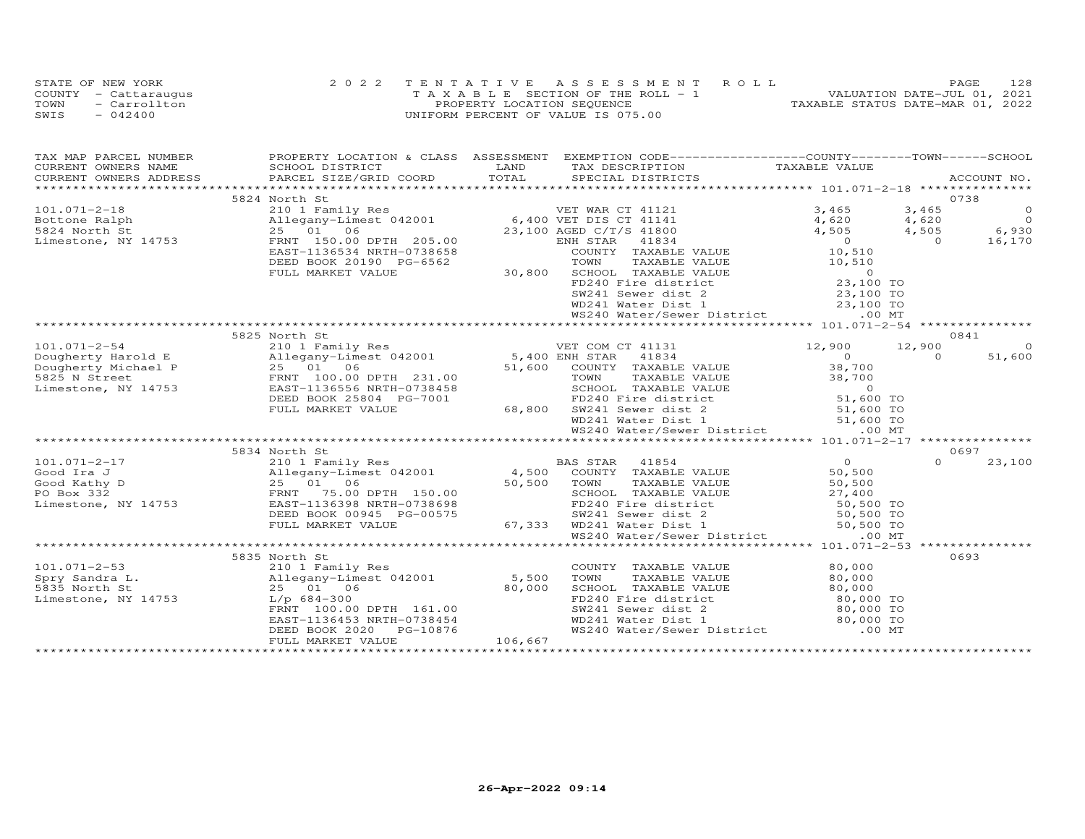|      | STATE OF NEW YORK    | 2022 TENTATIVE ASSESSMENT ROLL        | 128<br><b>PAGE</b>               |
|------|----------------------|---------------------------------------|----------------------------------|
|      | COUNTY - Cattaraugus | T A X A B L E SECTION OF THE ROLL - 1 | VALUATION DATE-JUL 01, 2021      |
| TOWN | - Carrollton         | PROPERTY LOCATION SEQUENCE            | TAXABLE STATUS DATE-MAR 01, 2022 |
| SWIS | $-042400$            | UNIFORM PERCENT OF VALUE IS 075.00    |                                  |

| TAX MAP PARCEL NUMBER                                 |                                                                                                                                                                                                                                                                                                                                          |         | PROPERTY LOCATION & CLASS ASSESSMENT EXEMPTION CODE----------------COUNTY-------TOWN------SCHOOL                                                                                                                                                                                                                              |                                        |          |             |
|-------------------------------------------------------|------------------------------------------------------------------------------------------------------------------------------------------------------------------------------------------------------------------------------------------------------------------------------------------------------------------------------------------|---------|-------------------------------------------------------------------------------------------------------------------------------------------------------------------------------------------------------------------------------------------------------------------------------------------------------------------------------|----------------------------------------|----------|-------------|
| CURRENT OWNERS NAME                                   | SCHOOL DISTRICT                                                                                                                                                                                                                                                                                                                          | LAND    | TAX DESCRIPTION TAXABLE VALUE                                                                                                                                                                                                                                                                                                 |                                        |          | ACCOUNT NO. |
|                                                       | .CURRENT OWNERS ADDRESS PARCEL SIZE/GRID COORD TOTAL SPECIAL DISTRICTS ACCOUNT NO ACCOUNT NO ACCOUNT NO ARE A LIST AND A LIST AND A LIST AND A LIST AND A LIST AND A LIST AND A LIST AND A LIST AND A LIST AND A LIST AND A LI                                                                                                           |         |                                                                                                                                                                                                                                                                                                                               |                                        |          |             |
|                                                       | 5824 North St                                                                                                                                                                                                                                                                                                                            |         |                                                                                                                                                                                                                                                                                                                               |                                        | 0738     |             |
| $101.071 - 2 - 18$                                    |                                                                                                                                                                                                                                                                                                                                          |         | $\begin{tabular}{l c c c c c} \multicolumn{3}{l}{\textbf{North St}} & 0738 \\ 210 & Fami1y Res & 0738 \\ 220 & 10 & 6,400 VET DIS CT 41141 & 3,465 & 3,465 & 0 \\ 23,100 ASEDD & 23,100 ASEDD TTS CT 41141 & 4,620 & 4,620 & 0 \\ 25,00 & 23,100 ASEDD TTS CT 41141 & 4,620 & 4,620 & 0 \\ 27,100 AERT & 150.00 DFFH & 205.0$ |                                        |          |             |
| Bottone Ralph<br>5824 North St<br>Limestone, NY 14753 |                                                                                                                                                                                                                                                                                                                                          |         |                                                                                                                                                                                                                                                                                                                               |                                        |          |             |
|                                                       |                                                                                                                                                                                                                                                                                                                                          |         |                                                                                                                                                                                                                                                                                                                               |                                        |          |             |
|                                                       |                                                                                                                                                                                                                                                                                                                                          |         |                                                                                                                                                                                                                                                                                                                               |                                        |          |             |
|                                                       |                                                                                                                                                                                                                                                                                                                                          |         |                                                                                                                                                                                                                                                                                                                               |                                        |          |             |
|                                                       |                                                                                                                                                                                                                                                                                                                                          |         |                                                                                                                                                                                                                                                                                                                               |                                        |          |             |
|                                                       |                                                                                                                                                                                                                                                                                                                                          |         |                                                                                                                                                                                                                                                                                                                               |                                        |          |             |
|                                                       |                                                                                                                                                                                                                                                                                                                                          |         |                                                                                                                                                                                                                                                                                                                               |                                        |          |             |
|                                                       |                                                                                                                                                                                                                                                                                                                                          |         |                                                                                                                                                                                                                                                                                                                               |                                        |          |             |
|                                                       |                                                                                                                                                                                                                                                                                                                                          |         |                                                                                                                                                                                                                                                                                                                               |                                        |          |             |
|                                                       |                                                                                                                                                                                                                                                                                                                                          |         |                                                                                                                                                                                                                                                                                                                               |                                        |          |             |
|                                                       |                                                                                                                                                                                                                                                                                                                                          |         |                                                                                                                                                                                                                                                                                                                               |                                        | 0841     |             |
|                                                       |                                                                                                                                                                                                                                                                                                                                          |         |                                                                                                                                                                                                                                                                                                                               |                                        | 12,900   | $\Omega$    |
|                                                       |                                                                                                                                                                                                                                                                                                                                          |         |                                                                                                                                                                                                                                                                                                                               |                                        | $\Omega$ | 51,600      |
|                                                       |                                                                                                                                                                                                                                                                                                                                          |         |                                                                                                                                                                                                                                                                                                                               |                                        |          |             |
|                                                       |                                                                                                                                                                                                                                                                                                                                          |         |                                                                                                                                                                                                                                                                                                                               |                                        |          |             |
|                                                       |                                                                                                                                                                                                                                                                                                                                          |         |                                                                                                                                                                                                                                                                                                                               |                                        |          |             |
|                                                       |                                                                                                                                                                                                                                                                                                                                          |         |                                                                                                                                                                                                                                                                                                                               |                                        |          |             |
|                                                       |                                                                                                                                                                                                                                                                                                                                          |         |                                                                                                                                                                                                                                                                                                                               |                                        |          |             |
|                                                       |                                                                                                                                                                                                                                                                                                                                          |         |                                                                                                                                                                                                                                                                                                                               |                                        |          |             |
|                                                       |                                                                                                                                                                                                                                                                                                                                          |         |                                                                                                                                                                                                                                                                                                                               |                                        |          |             |
|                                                       | 5834 North St                                                                                                                                                                                                                                                                                                                            |         |                                                                                                                                                                                                                                                                                                                               |                                        | 0697     |             |
|                                                       |                                                                                                                                                                                                                                                                                                                                          |         |                                                                                                                                                                                                                                                                                                                               | $\begin{array}{c}0\\50.500\end{array}$ | $\Omega$ | 23,100      |
|                                                       |                                                                                                                                                                                                                                                                                                                                          |         |                                                                                                                                                                                                                                                                                                                               | 50,500                                 |          |             |
|                                                       |                                                                                                                                                                                                                                                                                                                                          |         | TAXABLE VALUE                                                                                                                                                                                                                                                                                                                 | 50,500                                 |          |             |
|                                                       | 101.071-2-17<br>Good Ira J<br>Cood Kathy D<br>Pamily Res<br>Allegany-Limest 042001<br>25 01 06<br>PO Box 332<br>FRNT 75.00 DPTH 150.00<br>Limestone, NY 14753<br>EAST-1136398 NRTH-0738698<br>EAST-1136398 NRTH-0738698<br>EAST-1136398 NRTH-0738698                                                                                     |         |                                                                                                                                                                                                                                                                                                                               |                                        |          |             |
|                                                       |                                                                                                                                                                                                                                                                                                                                          |         |                                                                                                                                                                                                                                                                                                                               |                                        |          |             |
|                                                       |                                                                                                                                                                                                                                                                                                                                          |         | FRNT 75.00 DPTH 150.00<br>EAST-1136398 NRTH-0738698<br>DEED BOOK 00945 PG-00575<br>FD240 Fire district 50,500 TO<br>SW241 Sewer dist 2<br>SO,500 TO<br>FULL MARKET VALUE 67,333 WD241 Water Dist 1<br>WE240 WILL MARKET VALUE 67,333 WD241 W                                                                                  |                                        |          |             |
|                                                       |                                                                                                                                                                                                                                                                                                                                          |         | WS240 Water/Sewer District .00 MT                                                                                                                                                                                                                                                                                             |                                        |          |             |
|                                                       |                                                                                                                                                                                                                                                                                                                                          |         |                                                                                                                                                                                                                                                                                                                               |                                        |          |             |
|                                                       | 5835 North St                                                                                                                                                                                                                                                                                                                            |         |                                                                                                                                                                                                                                                                                                                               |                                        | 0693     |             |
|                                                       |                                                                                                                                                                                                                                                                                                                                          |         | COUNTY TAXABLE VALUE<br>TAXABLE VALUE                                                                                                                                                                                                                                                                                         | 80,000                                 |          |             |
|                                                       |                                                                                                                                                                                                                                                                                                                                          |         | TOWN                                                                                                                                                                                                                                                                                                                          | 80,000                                 |          |             |
|                                                       |                                                                                                                                                                                                                                                                                                                                          |         |                                                                                                                                                                                                                                                                                                                               |                                        |          |             |
|                                                       | 101.071-2-53<br>Spry Sandra L.<br>5,500<br>5835 North St<br>5,500<br>1.06<br>1.06<br>1.06<br>1.06<br>1.06<br>1.06<br>1.06<br>1.06<br>25<br>25<br>2.01<br>2.06<br>2.000<br>2.000<br>2.000<br>2.000<br>2.000<br>2.000<br>2.000<br>Allegany-Limest 042001<br>25 01 06 80,000<br>L/p 684-300<br>FRNT 100.00 DPTH 161.00<br>-0010 NPTH 161.00 |         |                                                                                                                                                                                                                                                                                                                               |                                        |          |             |
|                                                       | EAST-1136453 NRTH-0738454                                                                                                                                                                                                                                                                                                                |         |                                                                                                                                                                                                                                                                                                                               |                                        |          |             |
|                                                       | DEED BOOK 2020 PG-10876                                                                                                                                                                                                                                                                                                                  |         | COROOL TAXABLE VALUE<br>SCHOOL TAXABLE VALUE<br>FD240 Fire district<br>SW241 Sewer dist 2 80,000 TO<br>WD241 Water Dist 1 80,000 TO<br>WS240 Water/Sewer District .00 MT                                                                                                                                                      |                                        |          |             |
|                                                       | FULL MARKET VALUE                                                                                                                                                                                                                                                                                                                        | 106,667 |                                                                                                                                                                                                                                                                                                                               |                                        |          |             |
|                                                       |                                                                                                                                                                                                                                                                                                                                          |         |                                                                                                                                                                                                                                                                                                                               |                                        |          |             |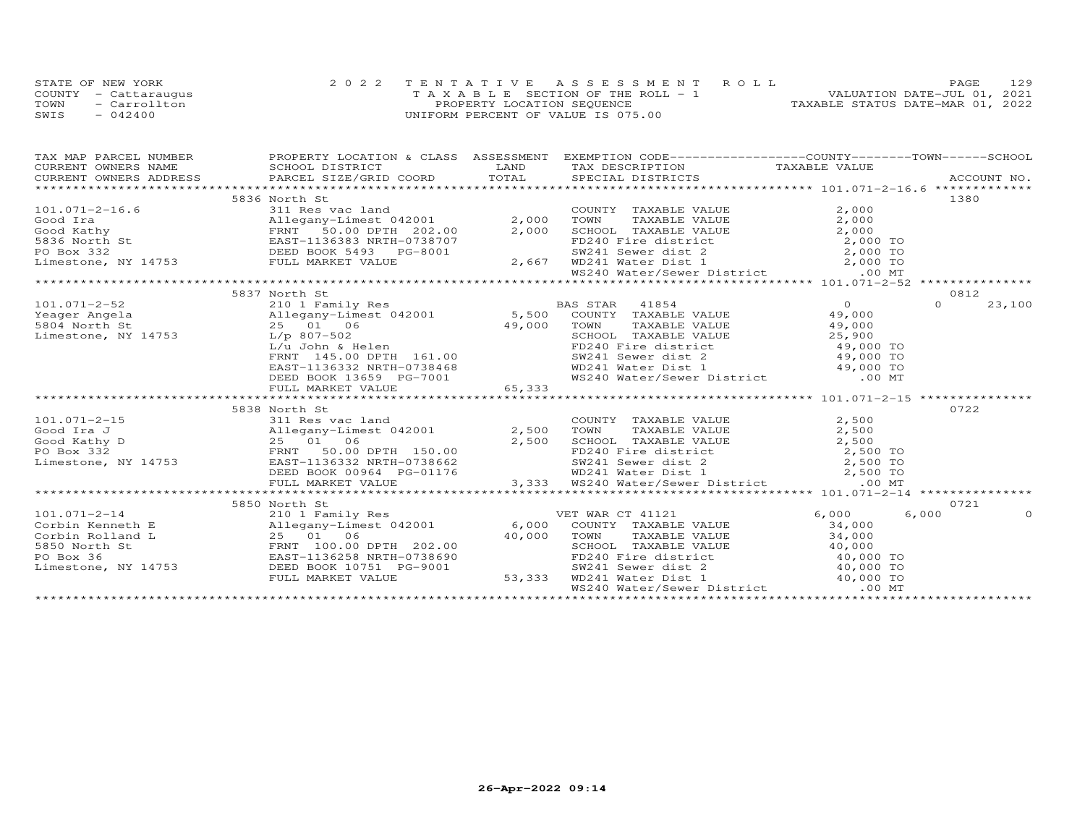|      | STATE OF NEW YORK    | 2022 TENTATIVE ASSESSMENT ROLL        | 129<br>PAGE                      |
|------|----------------------|---------------------------------------|----------------------------------|
|      | COUNTY - Cattaraugus | T A X A B L E SECTION OF THE ROLL - 1 | VALUATION DATE-JUL 01, 2021      |
| TOWN | - Carrollton         | PROPERTY LOCATION SEQUENCE            | TAXABLE STATUS DATE-MAR 01, 2022 |
| SWIS | $-042400$            | UNIFORM PERCENT OF VALUE IS 075.00    |                                  |

| 5836 North St                                                                                                                                                                                                                                                                                                                                                                                        |  | 1380                            |
|------------------------------------------------------------------------------------------------------------------------------------------------------------------------------------------------------------------------------------------------------------------------------------------------------------------------------------------------------------------------------------------------------|--|---------------------------------|
|                                                                                                                                                                                                                                                                                                                                                                                                      |  |                                 |
|                                                                                                                                                                                                                                                                                                                                                                                                      |  |                                 |
|                                                                                                                                                                                                                                                                                                                                                                                                      |  |                                 |
|                                                                                                                                                                                                                                                                                                                                                                                                      |  |                                 |
|                                                                                                                                                                                                                                                                                                                                                                                                      |  |                                 |
|                                                                                                                                                                                                                                                                                                                                                                                                      |  |                                 |
| 101.071-2-16.6<br>3836 NOTH SERIC COUNTY TAXABLE VALUE 2,000<br>Good Ira allegany-Limest 042001<br>Series and 2,000 TOWN TAXABLE VALUE 2,000<br>Good Kathy FRNT 50.00 DPTH 202.00 2,000 SCHOOL TAXABLE VALUE 2,000<br>FRNT 50.00 DPTH                                                                                                                                                                |  |                                 |
|                                                                                                                                                                                                                                                                                                                                                                                                      |  |                                 |
| 5837 North St<br>$\begin{array}{cccc} \texttt{101.071--2-52} & \texttt{5837 North St} & \texttt{2101 m} & \texttt{2101 m} & \texttt{2101 m} & \texttt{2101 m} & \texttt{2101 m} & \texttt{2101 m} & \texttt{2101 m} & \texttt{2101 m} & \texttt{2101 m} & \texttt{2101 m} & \texttt{2101 m} & \texttt{2101 m} & \texttt{2101 m} & \texttt{2101 m} & \texttt{2101 m} & \texttt{2101 m} & \texttt{210$ |  | 0812                            |
|                                                                                                                                                                                                                                                                                                                                                                                                      |  | $\Omega$ and $\Omega$<br>23,100 |
|                                                                                                                                                                                                                                                                                                                                                                                                      |  |                                 |
|                                                                                                                                                                                                                                                                                                                                                                                                      |  |                                 |
|                                                                                                                                                                                                                                                                                                                                                                                                      |  |                                 |
|                                                                                                                                                                                                                                                                                                                                                                                                      |  |                                 |
|                                                                                                                                                                                                                                                                                                                                                                                                      |  |                                 |
|                                                                                                                                                                                                                                                                                                                                                                                                      |  |                                 |
|                                                                                                                                                                                                                                                                                                                                                                                                      |  |                                 |
|                                                                                                                                                                                                                                                                                                                                                                                                      |  |                                 |
|                                                                                                                                                                                                                                                                                                                                                                                                      |  |                                 |
| 5838 North St                                                                                                                                                                                                                                                                                                                                                                                        |  | 0722                            |
|                                                                                                                                                                                                                                                                                                                                                                                                      |  |                                 |
|                                                                                                                                                                                                                                                                                                                                                                                                      |  |                                 |
|                                                                                                                                                                                                                                                                                                                                                                                                      |  |                                 |
|                                                                                                                                                                                                                                                                                                                                                                                                      |  |                                 |
|                                                                                                                                                                                                                                                                                                                                                                                                      |  |                                 |
|                                                                                                                                                                                                                                                                                                                                                                                                      |  |                                 |
|                                                                                                                                                                                                                                                                                                                                                                                                      |  |                                 |
| $\begin{array}{cccccccc} 101.071-2-15 & 5838 & \text{North St} & 0122 & 500 & 0122 & 5838 & 5838 & 5838 & 5838 & 5838 & 5838 & 5838 & 5838 & 5838 & 5838 & 5838 & 5838 & 5838 & 5838 & 5838 & 5838 & 5838 & 5838 & 5838 & 5838 & 5838 & 5838 & 5838 & 5838 & 5838 & 5838 & 5838 & 5838 &$                                                                                                            |  |                                 |
|                                                                                                                                                                                                                                                                                                                                                                                                      |  | 0721                            |
|                                                                                                                                                                                                                                                                                                                                                                                                      |  | 6,000<br>$\Omega$               |
|                                                                                                                                                                                                                                                                                                                                                                                                      |  |                                 |
|                                                                                                                                                                                                                                                                                                                                                                                                      |  |                                 |
|                                                                                                                                                                                                                                                                                                                                                                                                      |  |                                 |
|                                                                                                                                                                                                                                                                                                                                                                                                      |  |                                 |
|                                                                                                                                                                                                                                                                                                                                                                                                      |  |                                 |
|                                                                                                                                                                                                                                                                                                                                                                                                      |  |                                 |
|                                                                                                                                                                                                                                                                                                                                                                                                      |  |                                 |
|                                                                                                                                                                                                                                                                                                                                                                                                      |  |                                 |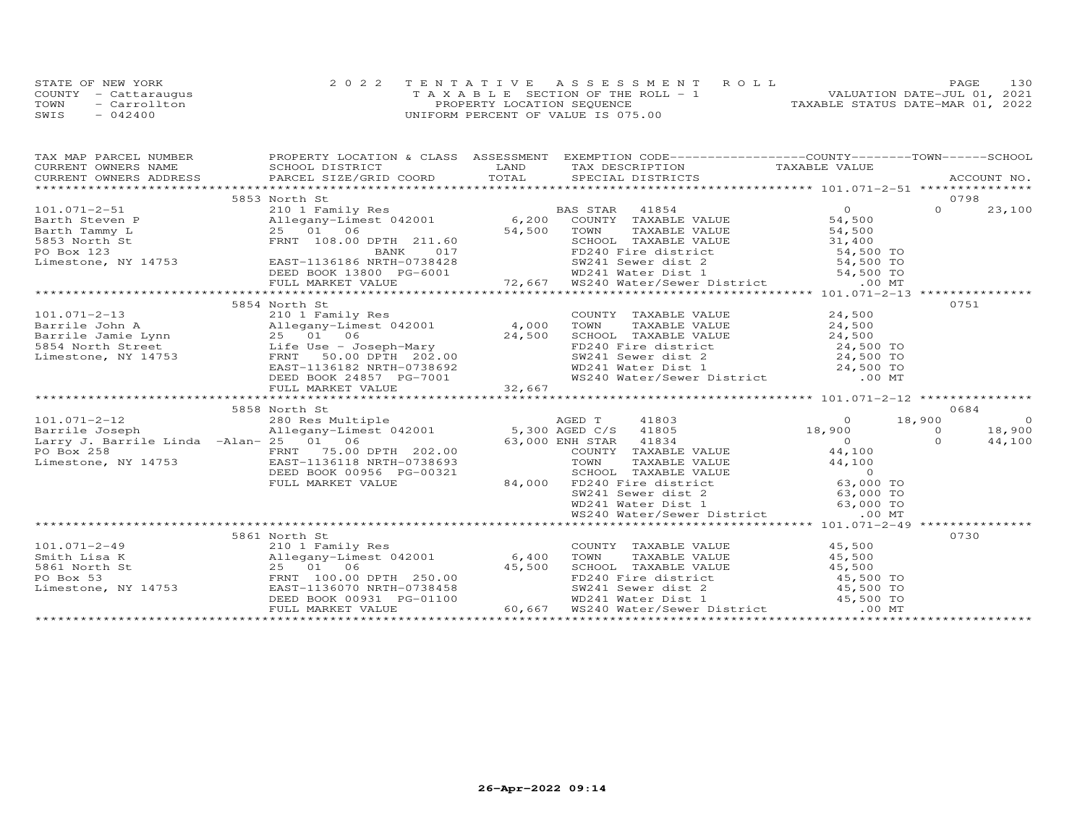|      | STATE OF NEW YORK    | 2022 TENTATIVE ASSESSMENT ROLL        | 130<br><b>PAGE</b>               |
|------|----------------------|---------------------------------------|----------------------------------|
|      | COUNTY - Cattaraugus | T A X A B L E SECTION OF THE ROLL - 1 | VALUATION DATE-JUL 01, 2021      |
| TOWN | - Carrollton         | PROPERTY LOCATION SEQUENCE            | TAXABLE STATUS DATE-MAR 01, 2022 |
| SWIS | $-042400$            | UNIFORM PERCENT OF VALUE IS 075.00    |                                  |

| TAX MAP PARCEL NUMBER                  |                                                                                                                                                                                                                                                           | PROPERTY LOCATION & CLASS ASSESSMENT EXEMPTION CODE----------------COUNTY-------TOWN------SCHOOL                                                                                                                                                                 |                                    |                    |
|----------------------------------------|-----------------------------------------------------------------------------------------------------------------------------------------------------------------------------------------------------------------------------------------------------------|------------------------------------------------------------------------------------------------------------------------------------------------------------------------------------------------------------------------------------------------------------------|------------------------------------|--------------------|
|                                        |                                                                                                                                                                                                                                                           |                                                                                                                                                                                                                                                                  |                                    |                    |
|                                        |                                                                                                                                                                                                                                                           |                                                                                                                                                                                                                                                                  |                                    |                    |
|                                        |                                                                                                                                                                                                                                                           |                                                                                                                                                                                                                                                                  |                                    |                    |
|                                        | 5853 North St                                                                                                                                                                                                                                             |                                                                                                                                                                                                                                                                  |                                    | 0798               |
|                                        |                                                                                                                                                                                                                                                           |                                                                                                                                                                                                                                                                  |                                    | 23,100             |
|                                        |                                                                                                                                                                                                                                                           |                                                                                                                                                                                                                                                                  |                                    |                    |
|                                        |                                                                                                                                                                                                                                                           |                                                                                                                                                                                                                                                                  |                                    |                    |
|                                        |                                                                                                                                                                                                                                                           |                                                                                                                                                                                                                                                                  |                                    |                    |
|                                        |                                                                                                                                                                                                                                                           |                                                                                                                                                                                                                                                                  |                                    |                    |
|                                        |                                                                                                                                                                                                                                                           |                                                                                                                                                                                                                                                                  |                                    |                    |
|                                        |                                                                                                                                                                                                                                                           |                                                                                                                                                                                                                                                                  |                                    |                    |
|                                        |                                                                                                                                                                                                                                                           |                                                                                                                                                                                                                                                                  |                                    |                    |
|                                        | 5854 North St                                                                                                                                                                                                                                             |                                                                                                                                                                                                                                                                  |                                    | 0751               |
|                                        |                                                                                                                                                                                                                                                           | COUNTY TAXABLE VALUE                                                                                                                                                                                                                                             | 24,500                             |                    |
|                                        |                                                                                                                                                                                                                                                           | TAXABLE VALUE 24,500                                                                                                                                                                                                                                             |                                    |                    |
|                                        |                                                                                                                                                                                                                                                           |                                                                                                                                                                                                                                                                  |                                    |                    |
|                                        |                                                                                                                                                                                                                                                           |                                                                                                                                                                                                                                                                  |                                    |                    |
|                                        |                                                                                                                                                                                                                                                           |                                                                                                                                                                                                                                                                  |                                    |                    |
|                                        | 101.071-2-13<br>Barrile John A Milegany-Limest 042001 4,000 TOWN<br>Barrile Jamie Lynn 25 01 06 24,500 SCHOO<br>24,500 SCHOO Life Use - Joseph-Mary 24,500 SCHOO<br>Limestone, NY 14753 FRNT 50.00 DPTH 202.00 SW241<br>EAST-1136182 NRT                  |                                                                                                                                                                                                                                                                  |                                    |                    |
|                                        |                                                                                                                                                                                                                                                           | CHOOL TAXABLE VALUE<br>SCHOOL TAXABLE VALUE<br>FD240 Fire district<br>SW241 Sewer dist 2<br>WD241 Water Dist 1<br>WS240 Water/Sewer District<br>.00 MT                                                                                                           |                                    |                    |
|                                        | ------<br>EAST-1136182 NRTH-0738692<br>DEED BOOK 24857 PG-7001<br>FULL MARKET VALUE 32,667                                                                                                                                                                |                                                                                                                                                                                                                                                                  |                                    |                    |
|                                        |                                                                                                                                                                                                                                                           |                                                                                                                                                                                                                                                                  |                                    |                    |
|                                        | 5858 North St                                                                                                                                                                                                                                             |                                                                                                                                                                                                                                                                  |                                    | 0684               |
| $101.071 - 2 - 12$                     |                                                                                                                                                                                                                                                           |                                                                                                                                                                                                                                                                  | $41803$ 0 18,900<br>41805 18,900 0 | $\overline{0}$     |
| Barrile Joseph                         |                                                                                                                                                                                                                                                           |                                                                                                                                                                                                                                                                  |                                    | 18,900             |
| Larry J. Barrile Linda -Alan- 25 01 06 |                                                                                                                                                                                                                                                           | VH STAR 41834 0<br>COUNTY TAXABLE VALUE 44,100<br>63,000 ENH STAR 41834                                                                                                                                                                                          |                                    | $\Omega$<br>44,100 |
|                                        |                                                                                                                                                                                                                                                           |                                                                                                                                                                                                                                                                  |                                    |                    |
|                                        | PO Box 258<br>Limestone, NY 14753<br>EAST-1136118 NRTH-0738693                                                                                                                                                                                            | FOWN TAXABLE VALUE<br>SCHOOL TAXABLE VALUE<br>SCHOOL TAXABLE VALUE<br>SCHOOL TAXABLE VALUE<br>$44,100$<br>0<br>$14,100$<br>0<br>0<br>0<br>0<br>53,000 TO<br>WD241 Water Dist 1<br>WS240 Water/Sewer District<br>63,000 TO<br>63,000 TO<br>63,000 TO<br>63,000 TO |                                    |                    |
|                                        | DEED BOOK 00956 PG-00321                                                                                                                                                                                                                                  |                                                                                                                                                                                                                                                                  |                                    |                    |
|                                        | FULL MARKET VALUE                                                                                                                                                                                                                                         |                                                                                                                                                                                                                                                                  |                                    |                    |
|                                        |                                                                                                                                                                                                                                                           |                                                                                                                                                                                                                                                                  |                                    |                    |
|                                        |                                                                                                                                                                                                                                                           |                                                                                                                                                                                                                                                                  |                                    |                    |
|                                        |                                                                                                                                                                                                                                                           |                                                                                                                                                                                                                                                                  |                                    |                    |
|                                        |                                                                                                                                                                                                                                                           |                                                                                                                                                                                                                                                                  |                                    |                    |
|                                        | 5861 North St                                                                                                                                                                                                                                             |                                                                                                                                                                                                                                                                  |                                    | 0730               |
| $101.071 - 2 - 49$                     | 210 1 Family Res                                                                                                                                                                                                                                          | COUNTY TAXABLE VALUE 45,500                                                                                                                                                                                                                                      |                                    |                    |
|                                        |                                                                                                                                                                                                                                                           |                                                                                                                                                                                                                                                                  |                                    |                    |
|                                        |                                                                                                                                                                                                                                                           |                                                                                                                                                                                                                                                                  |                                    |                    |
|                                        | 101.071-2-49<br>Smith Lisa K<br>Smith Lisa K<br>5861 North St<br>PO Box 53<br>Limestone, NY 14753<br>Limestone, NY 14753<br>CEED BOOK 00931 PG-01100                                                                                                      |                                                                                                                                                                                                                                                                  |                                    |                    |
|                                        |                                                                                                                                                                                                                                                           |                                                                                                                                                                                                                                                                  |                                    |                    |
|                                        |                                                                                                                                                                                                                                                           |                                                                                                                                                                                                                                                                  |                                    |                    |
|                                        | 9.11egany–Limest 042001<br>3.11egany–Limest 042001<br>3.5 01 06<br>2.5 01 06<br>2.5 01 06<br>2.5 01 06<br>2.5 01 06<br>2.5 01 06<br>2.5 01 06<br>2.5 01 06<br>2.5 01 06<br>2.5 01 06<br>2.5 00 FD240 Fire district<br>2.5 00 FD240 Fire district<br>2.5 0 |                                                                                                                                                                                                                                                                  |                                    |                    |
|                                        |                                                                                                                                                                                                                                                           |                                                                                                                                                                                                                                                                  |                                    |                    |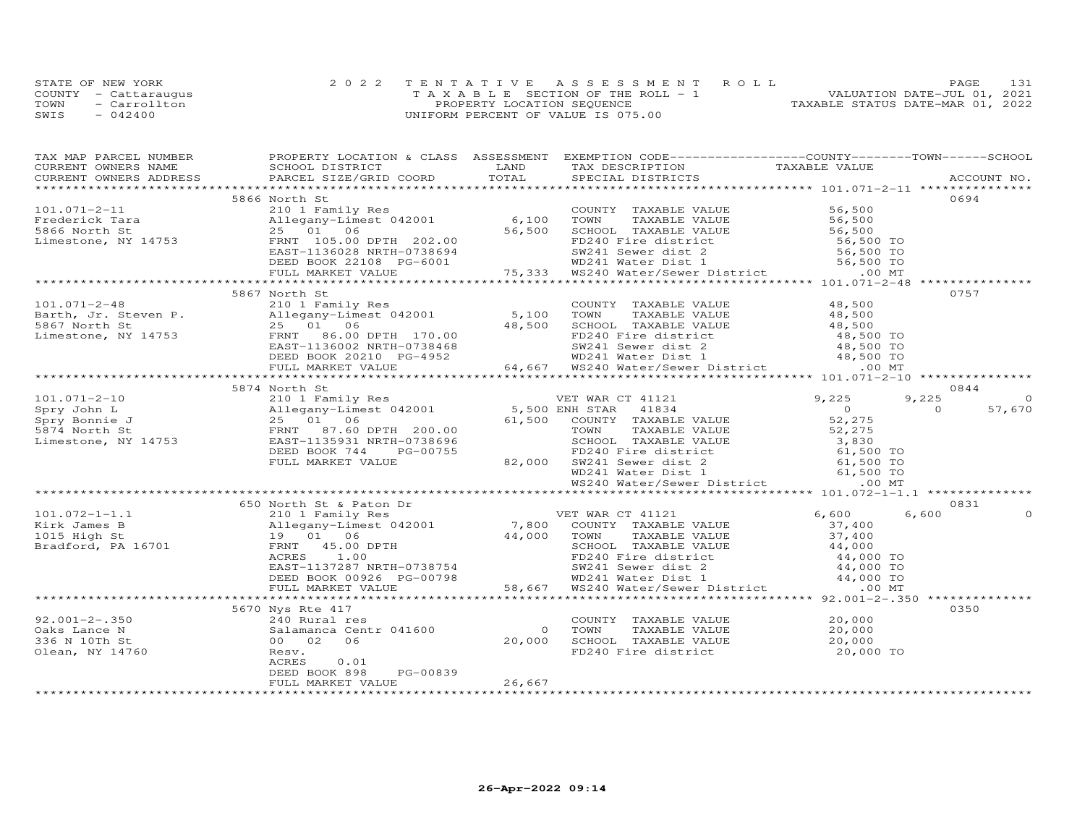|      | STATE OF NEW YORK    | 2022 TENTATIVE ASSESSMENT ROLL     | 131<br>PAGE.                     |
|------|----------------------|------------------------------------|----------------------------------|
|      | COUNTY - Cattaraugus | TAXABLE SECTION OF THE ROLL - 1    | VALUATION DATE-JUL 01, 2021      |
| TOWN | - Carrollton         | PROPERTY LOCATION SEQUENCE         | TAXABLE STATUS DATE-MAR 01, 2022 |
| SWIS | $-042400$            | UNIFORM PERCENT OF VALUE IS 075.00 |                                  |

| TAX MAP PARCEL NUMBER | PROPERTY LOCATION & CLASS ASSESSMENT EXEMPTION CODE-----------------COUNTY-------TOWN------SCHOOL                                                                                                                                                                                      |        |  |                     |
|-----------------------|----------------------------------------------------------------------------------------------------------------------------------------------------------------------------------------------------------------------------------------------------------------------------------------|--------|--|---------------------|
|                       |                                                                                                                                                                                                                                                                                        |        |  |                     |
|                       |                                                                                                                                                                                                                                                                                        |        |  |                     |
|                       |                                                                                                                                                                                                                                                                                        |        |  |                     |
|                       | 5866 North St                                                                                                                                                                                                                                                                          |        |  | 0694                |
|                       |                                                                                                                                                                                                                                                                                        |        |  |                     |
|                       |                                                                                                                                                                                                                                                                                        |        |  |                     |
|                       |                                                                                                                                                                                                                                                                                        |        |  |                     |
|                       |                                                                                                                                                                                                                                                                                        |        |  |                     |
|                       |                                                                                                                                                                                                                                                                                        |        |  |                     |
|                       |                                                                                                                                                                                                                                                                                        |        |  |                     |
|                       |                                                                                                                                                                                                                                                                                        |        |  |                     |
|                       | 5867 North St                                                                                                                                                                                                                                                                          |        |  | 0757                |
|                       |                                                                                                                                                                                                                                                                                        |        |  |                     |
|                       |                                                                                                                                                                                                                                                                                        |        |  |                     |
|                       |                                                                                                                                                                                                                                                                                        |        |  |                     |
|                       |                                                                                                                                                                                                                                                                                        |        |  |                     |
|                       |                                                                                                                                                                                                                                                                                        |        |  |                     |
|                       |                                                                                                                                                                                                                                                                                        |        |  |                     |
|                       |                                                                                                                                                                                                                                                                                        |        |  |                     |
|                       | 101.071-2-48<br>Barth, Jr. Steven P. $2500$ , Multimest 042001<br>2506/ Allegany-Limest 042001<br>25067 North St 2501<br>2501<br>2501<br>2600 DPTH 170.00<br>EXED BOOK 20210 PG-4952<br>2500 DEED BOOK 20210 PG-4952<br>2600 DEED BOOK 20210 PG-                                       |        |  |                     |
|                       | 5874 North St                                                                                                                                                                                                                                                                          |        |  | 0844                |
|                       |                                                                                                                                                                                                                                                                                        |        |  | 9,225<br>$\Omega$   |
|                       |                                                                                                                                                                                                                                                                                        |        |  | 57,670<br>$\bigcap$ |
|                       |                                                                                                                                                                                                                                                                                        |        |  |                     |
|                       |                                                                                                                                                                                                                                                                                        |        |  |                     |
|                       |                                                                                                                                                                                                                                                                                        |        |  |                     |
|                       |                                                                                                                                                                                                                                                                                        |        |  |                     |
|                       |                                                                                                                                                                                                                                                                                        |        |  |                     |
|                       |                                                                                                                                                                                                                                                                                        |        |  |                     |
|                       |                                                                                                                                                                                                                                                                                        |        |  |                     |
|                       |                                                                                                                                                                                                                                                                                        |        |  |                     |
|                       | 650 North St & Paton Dr                                                                                                                                                                                                                                                                |        |  | 0831                |
|                       |                                                                                                                                                                                                                                                                                        |        |  |                     |
|                       |                                                                                                                                                                                                                                                                                        |        |  |                     |
|                       |                                                                                                                                                                                                                                                                                        |        |  |                     |
|                       |                                                                                                                                                                                                                                                                                        |        |  |                     |
|                       |                                                                                                                                                                                                                                                                                        |        |  |                     |
|                       |                                                                                                                                                                                                                                                                                        |        |  |                     |
|                       |                                                                                                                                                                                                                                                                                        |        |  |                     |
|                       |                                                                                                                                                                                                                                                                                        |        |  |                     |
|                       |                                                                                                                                                                                                                                                                                        |        |  |                     |
|                       | 5670 Nys Rte 417                                                                                                                                                                                                                                                                       |        |  | 0350                |
| $92.001 - 2 - .350$   | Nys Rte 417<br>240 Rural res<br>Salamanca Centr 041600<br>00 02 06<br>20,000 SCHOOL TAXABLE VALUE<br>20,000 SCHOOL TAXABLE VALUE<br>20,000 SCHOOL TAXABLE VALUE<br>20,000 FD240 Fire district<br>20,000 TO<br>NET AND STREE 417<br>240 Rural res<br>3alamanca Cen<br>00 02 06<br>Resv. |        |  |                     |
| Oaks Lance N          |                                                                                                                                                                                                                                                                                        |        |  |                     |
| 336 N 10Th St         |                                                                                                                                                                                                                                                                                        |        |  |                     |
| Olean, NY 14760       |                                                                                                                                                                                                                                                                                        |        |  |                     |
|                       |                                                                                                                                                                                                                                                                                        |        |  |                     |
|                       | PG-00839<br>DEED BOOK 898                                                                                                                                                                                                                                                              |        |  |                     |
|                       | FULL MARKET VALUE                                                                                                                                                                                                                                                                      | 26,667 |  |                     |
|                       |                                                                                                                                                                                                                                                                                        |        |  |                     |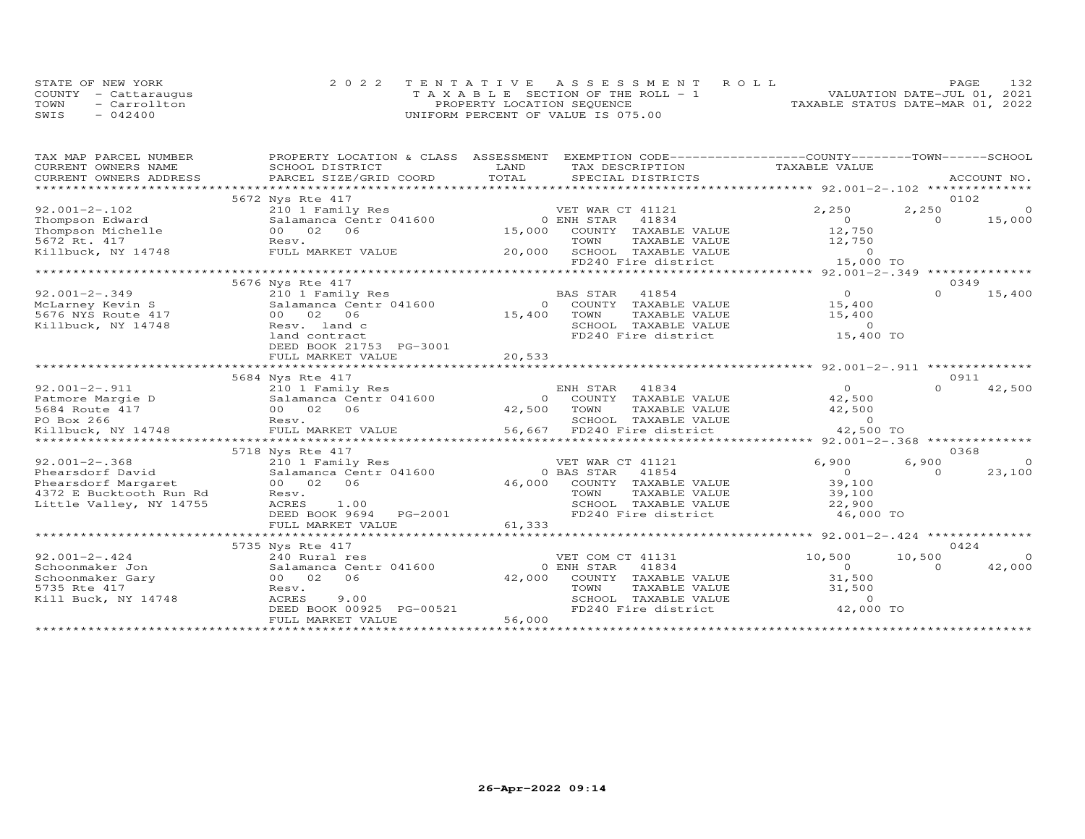|      | STATE OF NEW YORK    | 2022 TENTATIVE ASSESSMENT ROLL        | 1.32.<br>PAGE.                   |
|------|----------------------|---------------------------------------|----------------------------------|
|      | COUNTY - Cattaraugus | T A X A B L E SECTION OF THE ROLL - 1 | VALUATION DATE-JUL 01, 2021      |
| TOWN | - Carrollton         | PROPERTY LOCATION SEQUENCE            | TAXABLE STATUS DATE-MAR 01, 2022 |
| SWIS | $-042400$            | UNIFORM PERCENT OF VALUE IS 075.00    |                                  |

| TAX MAP PARCEL NUMBER   | PROPERTY LOCATION & CLASS | EXEMPTION CODE-----------------COUNTY-------TOWN------SCHOOL<br>ASSESSMENT |                                                        |             |
|-------------------------|---------------------------|----------------------------------------------------------------------------|--------------------------------------------------------|-------------|
| CURRENT OWNERS NAME     | SCHOOL DISTRICT           | LAND<br>TAX DESCRIPTION                                                    | TAXABLE VALUE                                          |             |
| CURRENT OWNERS ADDRESS  | PARCEL SIZE/GRID COORD    | TOTAL<br>SPECIAL DISTRICTS                                                 |                                                        | ACCOUNT NO. |
| *********************** |                           |                                                                            |                                                        |             |
|                         | 5672 Nys Rte 417          |                                                                            |                                                        | 0102        |
| $92.001 - 2 - 102$      | 210 1 Family Res          | VET WAR CT 41121                                                           | 2,250<br>2,250                                         | $\Omega$    |
| Thompson Edward         | Salamanca Centr 041600    | 0 ENH STAR<br>41834                                                        | $\Omega$<br>$\Omega$                                   | 15,000      |
| Thompson Michelle       | 00 02<br>06               | 15,000 COUNTY TAXABLE VALUE                                                | 12,750                                                 |             |
| 5672 Rt. 417            | Resv.                     | TOWN<br>TAXABLE VALUE                                                      | 12,750                                                 |             |
| Killbuck, NY 14748      | FULL MARKET VALUE         | SCHOOL TAXABLE VALUE<br>20,000                                             | $\overline{0}$                                         |             |
|                         |                           | FD240 Fire district                                                        | 15,000 TO                                              |             |
|                         |                           |                                                                            |                                                        |             |
|                         | 5676 Nys Rte 417          |                                                                            |                                                        | 0349        |
| $92.001 - 2 - .349$     | 210 1 Family Res          | 41854<br>BAS STAR                                                          | $\Omega$<br>$\cap$                                     | 15,400      |
| McLarney Kevin S        | Salamanca Centr 041600    | COUNTY TAXABLE VALUE<br>$\Omega$                                           | 15,400                                                 |             |
| 5676 NYS Route 417      | 00 02 06                  | 15,400<br>TOWN<br>TAXABLE VALUE                                            | 15,400                                                 |             |
| Killbuck, NY 14748      | Resv. land c              | SCHOOL TAXABLE VALUE                                                       | $\overline{0}$                                         |             |
|                         | land contract             | FD240 Fire district                                                        | 15,400 TO                                              |             |
|                         | DEED BOOK 21753 PG-3001   |                                                                            |                                                        |             |
|                         | FULL MARKET VALUE         | 20,533                                                                     |                                                        |             |
|                         |                           |                                                                            | ************ 92.001-2-.911 *********                   |             |
|                         | 5684 Nys Rte 417          |                                                                            |                                                        | 0911        |
| $92.001 - 2 - .911$     | 210 1 Family Res          | ENH STAR<br>41834                                                          | $\Omega$<br>$\Omega$                                   | 42,500      |
| Patmore Margie D        | Salamanca Centr 041600    | COUNTY TAXABLE VALUE<br>$\Omega$                                           | 42,500                                                 |             |
| 5684 Route 417          | 00 02<br>06               | 42,500<br>TOWN<br>TAXABLE VALUE                                            | 42,500                                                 |             |
| PO Box 266              | Resv.                     | SCHOOL TAXABLE VALUE                                                       | $\overline{0}$                                         |             |
| Killbuck, NY 14748      | FULL MARKET VALUE         | 56,667 FD240 Fire district                                                 | 42,500 TO                                              |             |
|                         | ************************  |                                                                            | **************************** 92.001-2-.368 *********** |             |
|                         | 5718 Nys Rte 417          |                                                                            |                                                        | 0368        |
| $92.001 - 2 - .368$     | 210 1 Family Res          | VET WAR CT 41121                                                           | 6,900<br>6,900                                         | $\Omega$    |
| Phearsdorf David        | Salamanca Centr 041600    | 0 BAS STAR<br>41854                                                        | $\overline{0}$<br>$\Omega$                             | 23,100      |
| Phearsdorf Margaret     | 00 02<br>06               | 46,000<br>COUNTY TAXABLE VALUE                                             | 39,100                                                 |             |
| 4372 E Bucktooth Run Rd | Resv.                     | TOWN<br>TAXABLE VALUE                                                      | 39,100                                                 |             |
| Little Valley, NY 14755 | ACRES<br>1.00             | SCHOOL TAXABLE VALUE                                                       | 22,900                                                 |             |
|                         | DEED BOOK 9694<br>PG-2001 | FD240 Fire district                                                        | 46,000 TO                                              |             |
|                         | FULL MARKET VALUE         | 61,333                                                                     |                                                        |             |
|                         | ************************* |                                                                            | ******************** 92.001-2-.424 **************      |             |
|                         | 5735 Nys Rte 417          |                                                                            |                                                        | 0424        |
| $92.001 - 2 - .424$     | 240 Rural res             | VET COM CT 41131                                                           | 10,500<br>10,500                                       | $\Omega$    |
| Schoonmaker Jon         | Salamanca Centr 041600    | 0 ENH STAR<br>41834                                                        | $\Omega$<br>$\Omega$                                   | 42,000      |
|                         |                           |                                                                            |                                                        |             |
| Schoonmaker Gary        | 00 02<br>06               | 42,000<br>COUNTY TAXABLE VALUE                                             | 31,500                                                 |             |
| 5735 Rte 417            | Resv.                     | TOWN<br>TAXABLE VALUE                                                      | 31,500                                                 |             |
| Kill Buck, NY 14748     | ACRES<br>9.00             | SCHOOL TAXABLE VALUE                                                       | $\Omega$                                               |             |
|                         | DEED BOOK 00925 PG-00521  | FD240 Fire district                                                        | 42,000 TO                                              |             |
|                         | FULL MARKET VALUE         | 56,000                                                                     |                                                        |             |
|                         |                           |                                                                            |                                                        |             |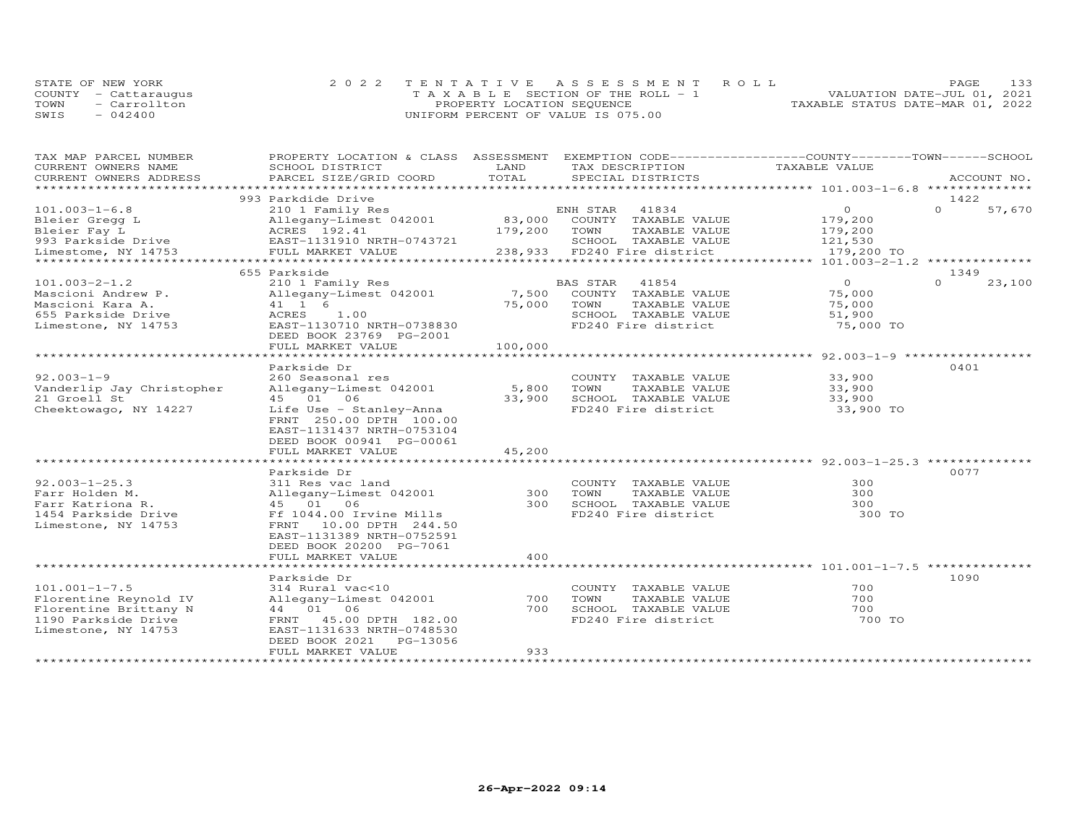| STATE OF NEW YORK    | 2022 TENTATIVE ASSESSMENT ROLL     |                                  | PAGE                        | 133 |
|----------------------|------------------------------------|----------------------------------|-----------------------------|-----|
| COUNTY - Cattaraugus | TAXABLE SECTION OF THE ROLL - 1    |                                  | VALUATION DATE-JUL 01, 2021 |     |
| TOWN<br>- Carrollton | PROPERTY LOCATION SEQUENCE         | TAXABLE STATUS DATE-MAR 01, 2022 |                             |     |
| $-042400$<br>SWIS    | UNIFORM PERCENT OF VALUE IS 075.00 |                                  |                             |     |

| TAX MAP PARCEL NUMBER                         | PROPERTY LOCATION & CLASS ASSESSMENT EXEMPTION CODE----------------COUNTY-------TOWN-----SCHOOL |         |                                               |                  |                  |             |
|-----------------------------------------------|-------------------------------------------------------------------------------------------------|---------|-----------------------------------------------|------------------|------------------|-------------|
| CURRENT OWNERS NAME                           | SCHOOL DISTRICT                                                                                 | LAND    | TAX DESCRIPTION                               | TAXABLE VALUE    |                  |             |
| CURRENT OWNERS ADDRESS<br>******************* | PARCEL SIZE/GRID COORD                                                                          | TOTAL   | SPECIAL DISTRICTS                             |                  |                  | ACCOUNT NO. |
|                                               |                                                                                                 |         |                                               |                  |                  |             |
|                                               | 993 Parkdide Drive                                                                              |         |                                               |                  | 1422             |             |
| $101.003 - 1 - 6.8$                           | 210 1 Family Res                                                                                |         | ENH STAR<br>41834                             | $\circ$          | $\Omega$         | 57,670      |
| Bleier Gregg L                                | Allegany-Limest 042001                                                                          |         | 83,000 COUNTY TAXABLE VALUE                   | 179,200          |                  |             |
| Bleier Fay L                                  | ACRES 192.41                                                                                    | 179,200 | TOWN<br>TAXABLE VALUE                         | 179,200          |                  |             |
| 993 Parkside Drive                            | EAST-1131910 NRTH-0743721                                                                       |         | SCHOOL TAXABLE VALUE                          | 121,530          |                  |             |
| Limestome, NY 14753                           | FULL MARKET VALUE                                                                               |         | 238,933 FD240 Fire district                   | 179,200 TO       |                  |             |
|                                               |                                                                                                 |         |                                               |                  |                  |             |
| $101.003 - 2 - 1.2$                           | 655 Parkside<br>210 1 Family Res                                                                |         | BAS STAR<br>41854                             | $\Omega$         | 1349<br>$\Omega$ | 23,100      |
|                                               |                                                                                                 |         |                                               |                  |                  |             |
| Mascioni Andrew P.                            | Allegany-Limest 042001                                                                          |         | 7,500 COUNTY TAXABLE VALUE                    | 75,000           |                  |             |
| Mascioni Kara A.<br>655 Parkside Drive        | 41 1 6<br>1.00<br>ACRES                                                                         | 75,000  | TOWN<br>TAXABLE VALUE<br>SCHOOL TAXABLE VALUE | 75,000<br>51,900 |                  |             |
| Limestone, NY 14753                           | EAST-1130710 NRTH-0738830                                                                       |         | FD240 Fire district                           | 75,000 TO        |                  |             |
|                                               |                                                                                                 |         |                                               |                  |                  |             |
|                                               | DEED BOOK 23769 PG-2001<br>FULL MARKET VALUE                                                    | 100,000 |                                               |                  |                  |             |
|                                               |                                                                                                 |         |                                               |                  |                  |             |
|                                               | Parkside Dr                                                                                     |         |                                               |                  | 0401             |             |
| $92.003 - 1 - 9$                              |                                                                                                 |         |                                               | 33,900           |                  |             |
| Vanderlip Jay Christopher                     | 260 Seasonal res<br>Allegany-Limest 042001                                                      | 5,800   | COUNTY TAXABLE VALUE<br>TOWN<br>TAXABLE VALUE | 33,900           |                  |             |
| 21 Groell St                                  | 45 01 06                                                                                        | 33,900  | SCHOOL TAXABLE VALUE                          | 33,900           |                  |             |
|                                               |                                                                                                 |         | FD240 Fire district                           | 33,900 TO        |                  |             |
| Cheektowago, NY 14227                         | Life Use - Stanley-Anna<br>FRNT 250.00 DPTH 100.00                                              |         |                                               |                  |                  |             |
|                                               | EAST-1131437 NRTH-0753104                                                                       |         |                                               |                  |                  |             |
|                                               | DEED BOOK 00941 PG-00061                                                                        |         |                                               |                  |                  |             |
|                                               | FULL MARKET VALUE                                                                               | 45,200  |                                               |                  |                  |             |
|                                               |                                                                                                 |         |                                               |                  |                  |             |
|                                               | Parkside Dr                                                                                     |         |                                               |                  | 0077             |             |
| $92.003 - 1 - 25.3$                           | 311 Res vac land                                                                                |         | COUNTY TAXABLE VALUE                          | 300              |                  |             |
| Farr Holden M.                                | Allegany-Limest 042001                                                                          | 300     | TOWN<br>TAXABLE VALUE                         | 300              |                  |             |
| Farr Katriona R.                              | 45 01 06                                                                                        | 300     | SCHOOL TAXABLE VALUE                          | 300              |                  |             |
| 1454 Parkside Drive                           | Ff 1044.00 Irvine Mills                                                                         |         | FD240 Fire district                           | 300 TO           |                  |             |
| Limestone, NY 14753                           | FRNT 10.00 DPTH 244.50                                                                          |         |                                               |                  |                  |             |
|                                               | EAST-1131389 NRTH-0752591                                                                       |         |                                               |                  |                  |             |
|                                               | DEED BOOK 20200 PG-7061                                                                         |         |                                               |                  |                  |             |
|                                               | FULL MARKET VALUE                                                                               | 400     |                                               |                  |                  |             |
|                                               |                                                                                                 |         |                                               |                  |                  |             |
|                                               | Parkside Dr                                                                                     |         |                                               |                  | 1090             |             |
| $101.001 - 1 - 7.5$                           | 314 Rural vac<10                                                                                |         | COUNTY TAXABLE VALUE                          | 700              |                  |             |
| Florentine Reynold IV                         | Allegany-Limest 042001                                                                          | 700     | TOWN<br>TAXABLE VALUE                         | 700              |                  |             |
| Florentine Brittany N                         | 44 01 06                                                                                        | 700     | SCHOOL TAXABLE VALUE                          | 700              |                  |             |
| 1190 Parkside Drive                           | FRNT 45.00 DPTH 182.00                                                                          |         | FD240 Fire district                           | 700 TO           |                  |             |
| Limestone, NY 14753                           | EAST-1131633 NRTH-0748530                                                                       |         |                                               |                  |                  |             |
|                                               | PG-13056<br>DEED BOOK 2021                                                                      |         |                                               |                  |                  |             |
|                                               | FULL MARKET VALUE                                                                               | 933     |                                               |                  |                  |             |
|                                               |                                                                                                 |         |                                               |                  |                  |             |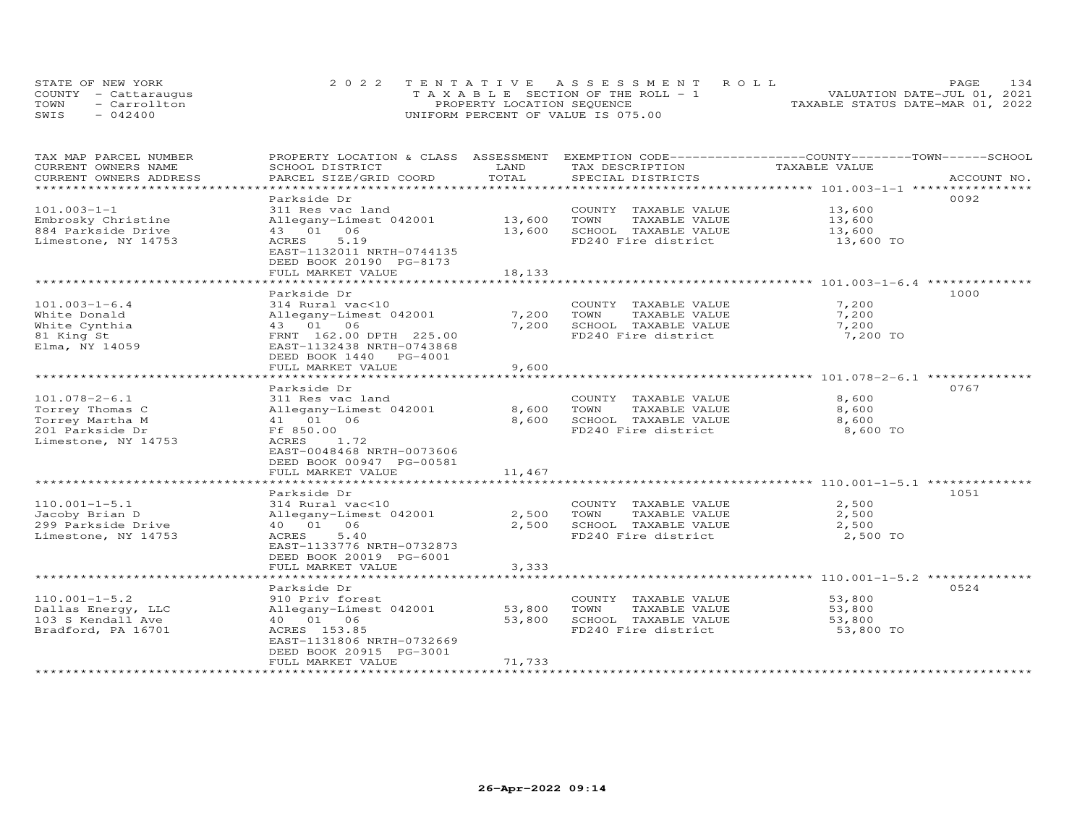| STATE OF NEW YORK    | 2022 TENTATIVE ASSESSMENT ROLL        | 134<br><b>PAGE</b>               |
|----------------------|---------------------------------------|----------------------------------|
| COUNTY - Cattaraugus | T A X A B L E SECTION OF THE ROLL - 1 | VALUATION DATE-JUL 01, 2021      |
| TOWN<br>- Carrollton | PROPERTY LOCATION SEQUENCE            | TAXABLE STATUS DATE-MAR 01, 2022 |
| SWIS<br>$-042400$    | UNIFORM PERCENT OF VALUE IS 075.00    |                                  |

| TAX MAP PARCEL NUMBER  | PROPERTY LOCATION & CLASS ASSESSMENT EXEMPTION CODE----------------COUNTY-------TOWN-----SCHOOL |        |                       |                                                     |             |
|------------------------|-------------------------------------------------------------------------------------------------|--------|-----------------------|-----------------------------------------------------|-------------|
| CURRENT OWNERS NAME    | SCHOOL DISTRICT                                                                                 | LAND   | TAX DESCRIPTION       | TAXABLE VALUE                                       |             |
| CURRENT OWNERS ADDRESS | PARCEL SIZE/GRID COORD                                                                          | TOTAL  | SPECIAL DISTRICTS     |                                                     | ACCOUNT NO. |
| ********************   |                                                                                                 |        |                       |                                                     |             |
|                        | Parkside Dr                                                                                     |        |                       |                                                     | 0092        |
| $101.003 - 1 - 1$      | 311 Res vac land                                                                                |        | COUNTY TAXABLE VALUE  | 13,600                                              |             |
| Embrosky Christine     | Allegany-Limest 042001                                                                          | 13,600 | TOWN<br>TAXABLE VALUE | 13,600                                              |             |
| 884 Parkside Drive     | 43 01 06                                                                                        | 13,600 | SCHOOL TAXABLE VALUE  | 13,600                                              |             |
| Limestone, NY 14753    | 5.19<br>ACRES                                                                                   |        | FD240 Fire district   | 13,600 TO                                           |             |
|                        | EAST-1132011 NRTH-0744135                                                                       |        |                       |                                                     |             |
|                        | DEED BOOK 20190 PG-8173                                                                         |        |                       |                                                     |             |
|                        | FULL MARKET VALUE                                                                               | 18,133 |                       |                                                     |             |
|                        |                                                                                                 |        |                       |                                                     |             |
|                        | Parkside Dr                                                                                     |        |                       |                                                     | 1000        |
| $101.003 - 1 - 6.4$    | 314 Rural vac<10                                                                                |        | COUNTY TAXABLE VALUE  | 7,200                                               |             |
| White Donald           | Allegany-Limest 042001                                                                          | 7,200  | TOWN<br>TAXABLE VALUE | 7,200                                               |             |
| White Cynthia          | 43 01 06                                                                                        | 7,200  | SCHOOL TAXABLE VALUE  | 7,200                                               |             |
| 81 King St             | FRNT 162.00 DPTH 225.00                                                                         |        | FD240 Fire district   | 7,200 TO                                            |             |
| Elma, NY 14059         | EAST-1132438 NRTH-0743868                                                                       |        |                       |                                                     |             |
|                        | DEED BOOK 1440 PG-4001                                                                          |        |                       |                                                     |             |
|                        | FULL MARKET VALUE                                                                               | 9,600  |                       |                                                     |             |
|                        | ************************                                                                        |        |                       | ********************************** 101.078-2-6.1 ** |             |
|                        | Parkside Dr                                                                                     |        |                       |                                                     | 0767        |
| $101.078 - 2 - 6.1$    | 311 Res vac land                                                                                |        | COUNTY TAXABLE VALUE  | 8,600                                               |             |
| Torrey Thomas C        | Allegany-Limest 042001                                                                          | 8,600  | TOWN<br>TAXABLE VALUE | 8,600                                               |             |
| Torrey Martha M        | 41  01  06                                                                                      | 8,600  | SCHOOL TAXABLE VALUE  | 8,600                                               |             |
| 201 Parkside Dr        | Ff 850.00                                                                                       |        | FD240 Fire district   | 8,600 TO                                            |             |
| Limestone, NY 14753    | ACRES<br>1.72                                                                                   |        |                       |                                                     |             |
|                        | EAST-0048468 NRTH-0073606                                                                       |        |                       |                                                     |             |
|                        | DEED BOOK 00947 PG-00581                                                                        |        |                       |                                                     |             |
|                        | FULL MARKET VALUE                                                                               | 11,467 |                       |                                                     |             |
|                        |                                                                                                 |        |                       |                                                     |             |
|                        | Parkside Dr                                                                                     |        |                       |                                                     | 1051        |
| $110.001 - 1 - 5.1$    | 314 Rural vac<10                                                                                |        | COUNTY TAXABLE VALUE  | 2,500                                               |             |
| Jacoby Brian D         | Allegany-Limest 042001                                                                          | 2,500  | TOWN<br>TAXABLE VALUE | 2,500                                               |             |
| 299 Parkside Drive     | 40  01  06                                                                                      | 2,500  | SCHOOL TAXABLE VALUE  | 2,500                                               |             |
| Limestone, NY 14753    | ACRES<br>5.40                                                                                   |        | FD240 Fire district   | 2,500 TO                                            |             |
|                        | EAST-1133776 NRTH-0732873                                                                       |        |                       |                                                     |             |
|                        | DEED BOOK 20019 PG-6001                                                                         |        |                       |                                                     |             |
|                        | FULL MARKET VALUE                                                                               | 3,333  |                       |                                                     |             |
|                        |                                                                                                 |        |                       |                                                     |             |
|                        | Parkside Dr                                                                                     |        |                       |                                                     | 0524        |
| $110.001 - 1 - 5.2$    | 910 Priv forest                                                                                 |        | COUNTY TAXABLE VALUE  | 53,800                                              |             |
| Dallas Energy, LLC     | Allegany-Limest 042001                                                                          | 53,800 | TOWN<br>TAXABLE VALUE | 53,800                                              |             |
| 103 S Kendall Ave      | 40  01  06                                                                                      | 53,800 | SCHOOL TAXABLE VALUE  | 53,800                                              |             |
| Bradford, PA 16701     | ACRES 153.85                                                                                    |        | FD240 Fire district   | 53,800 TO                                           |             |
|                        | EAST-1131806 NRTH-0732669                                                                       |        |                       |                                                     |             |
|                        | DEED BOOK 20915 PG-3001                                                                         |        |                       |                                                     |             |
|                        | FULL MARKET VALUE                                                                               | 71,733 |                       |                                                     |             |
|                        |                                                                                                 |        |                       |                                                     |             |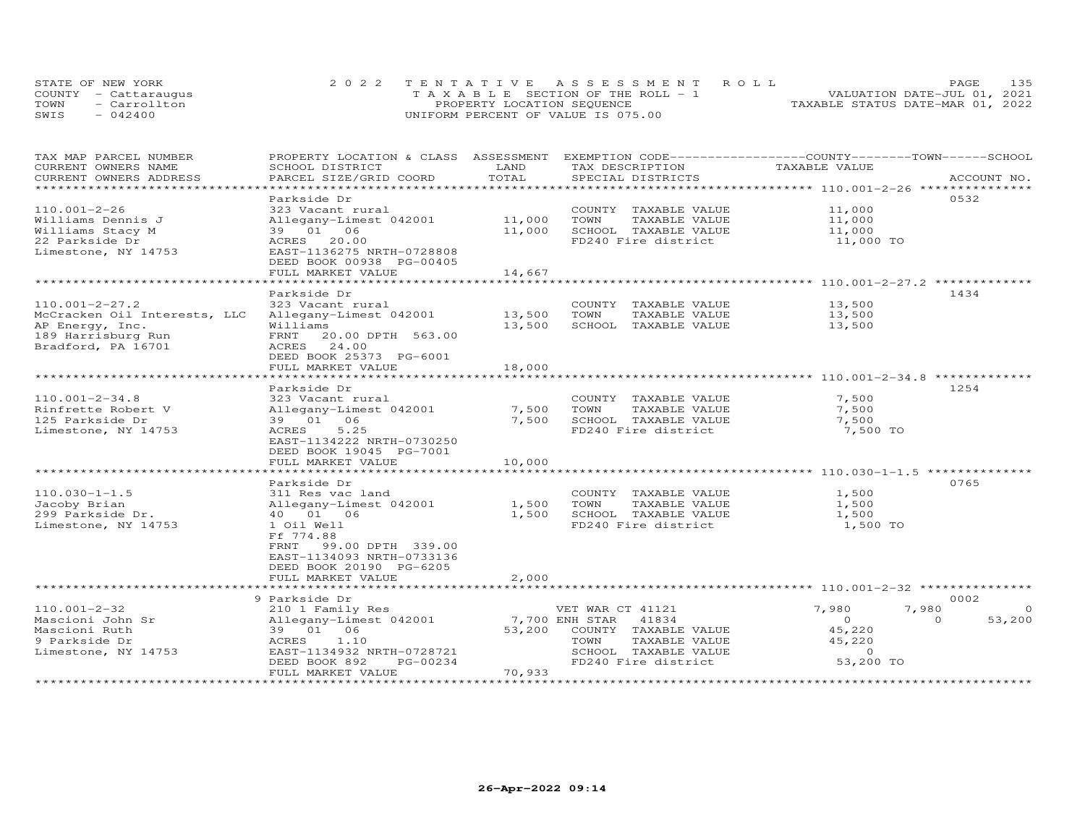|      | STATE OF NEW YORK    | 2022 TENTATIVE ASSESSMENT ROLL                 | 135<br>PAGE.                     |
|------|----------------------|------------------------------------------------|----------------------------------|
|      | COUNTY - Cattaraugus | $T A X A B I E S E C T I ON OF THE RO I J = 1$ | VALUATION DATE-JUL 01, 2021      |
| TOWN | - Carrollton         | PROPERTY LOCATION SEQUENCE                     | TAXABLE STATUS DATE-MAR 01, 2022 |
| SWIS | $-042400$            | UNIFORM PERCENT OF VALUE IS 075.00             |                                  |

| TAX MAP PARCEL NUMBER<br>CURRENT OWNERS NAME | PROPERTY LOCATION & CLASS ASSESSMENT<br>SCHOOL DISTRICT | LAND        | TAX DESCRIPTION         | EXEMPTION CODE-----------------COUNTY-------TOWN------SCHOOL<br>TAXABLE VALUE |
|----------------------------------------------|---------------------------------------------------------|-------------|-------------------------|-------------------------------------------------------------------------------|
| CURRENT OWNERS ADDRESS                       | PARCEL SIZE/GRID COORD                                  | TOTAL       | SPECIAL DISTRICTS       | ACCOUNT NO.                                                                   |
|                                              |                                                         | *********   |                         |                                                                               |
|                                              | Parkside Dr                                             |             |                         | 0532                                                                          |
| $110.001 - 2 - 26$                           | 323 Vacant rural                                        |             | COUNTY TAXABLE VALUE    | 11,000                                                                        |
| Williams Dennis J                            | Allegany-Limest 042001                                  | 11,000      | TOWN<br>TAXABLE VALUE   | 11,000                                                                        |
| Williams Stacy M                             | 39 01 06                                                | 11,000      | SCHOOL TAXABLE VALUE    | 11,000                                                                        |
| 22 Parkside Dr                               | ACRES 20.00                                             |             | FD240 Fire district     | 11,000 TO                                                                     |
| Limestone, NY 14753                          | EAST-1136275 NRTH-0728808                               |             |                         |                                                                               |
|                                              | DEED BOOK 00938 PG-00405                                |             |                         |                                                                               |
|                                              | FULL MARKET VALUE                                       | 14,667      |                         |                                                                               |
|                                              |                                                         |             |                         |                                                                               |
|                                              | Parkside Dr                                             |             |                         | 1434                                                                          |
| $110.001 - 2 - 27.2$                         | 323 Vacant rural                                        |             | COUNTY TAXABLE VALUE    | 13,500                                                                        |
| McCracken Oil Interests, LLC                 | Allegany-Limest 042001                                  | 13,500      | TOWN<br>TAXABLE VALUE   | 13,500                                                                        |
| AP Energy, Inc.                              | Williams                                                | 13,500      | SCHOOL TAXABLE VALUE    | 13,500                                                                        |
| 189 Harrisburg Run                           | 20.00 DPTH 563.00<br>FRNT                               |             |                         |                                                                               |
| Bradford, PA 16701                           | ACRES<br>24.00                                          |             |                         |                                                                               |
|                                              | DEED BOOK 25373 PG-6001                                 |             |                         |                                                                               |
|                                              | FULL MARKET VALUE                                       | 18,000      |                         |                                                                               |
|                                              |                                                         |             |                         |                                                                               |
|                                              | Parkside Dr                                             |             |                         | 1254                                                                          |
| $110.001 - 2 - 34.8$                         | 323 Vacant rural                                        |             | COUNTY TAXABLE VALUE    | 7,500                                                                         |
| Rinfrette Robert V                           | Allegany-Limest 042001                                  | 7,500       | TOWN<br>TAXABLE VALUE   | 7,500                                                                         |
| 125 Parkside Dr                              | 39 01 06                                                | 7,500       | SCHOOL TAXABLE VALUE    | 7,500                                                                         |
| Limestone, NY 14753                          | 5.25<br>ACRES                                           |             | FD240 Fire district     | 7,500 TO                                                                      |
|                                              | EAST-1134222 NRTH-0730250                               |             |                         |                                                                               |
|                                              | DEED BOOK 19045 PG-7001                                 |             |                         |                                                                               |
|                                              | FULL MARKET VALUE                                       | 10,000      |                         |                                                                               |
|                                              | **********************                                  | *********** |                         |                                                                               |
|                                              | Parkside Dr                                             |             |                         | 0765                                                                          |
| $110.030 - 1 - 1.5$                          | 311 Res vac land                                        |             | COUNTY TAXABLE VALUE    | 1,500                                                                         |
| Jacoby Brian                                 | Allegany-Limest 042001                                  | 1,500       | TOWN<br>TAXABLE VALUE   | 1,500                                                                         |
| 299 Parkside Dr.                             | 40  01  06                                              | 1,500       | SCHOOL TAXABLE VALUE    | 1,500                                                                         |
| Limestone, NY 14753                          | 1 Oil Well                                              |             | FD240 Fire district     | 1,500 TO                                                                      |
|                                              | Ff 774.88                                               |             |                         |                                                                               |
|                                              | 99.00 DPTH 339.00<br>FRNT                               |             |                         |                                                                               |
|                                              | EAST-1134093 NRTH-0733136                               |             |                         |                                                                               |
|                                              | DEED BOOK 20190 PG-6205                                 |             |                         |                                                                               |
|                                              | FULL MARKET VALUE                                       | 2,000       |                         |                                                                               |
|                                              | ***********************                                 |             |                         | ******************************* 110.001-2-32 ****************                 |
|                                              | 9 Parkside Dr                                           |             |                         | 0002                                                                          |
| $110.001 - 2 - 32$                           | 210 1 Family Res                                        |             | VET WAR CT 41121        | 7,980<br>7,980<br>$\Omega$                                                    |
| Mascioni John Sr                             | Allegany-Limest 042001                                  |             | 7,700 ENH STAR<br>41834 | 53,200<br>$\Omega$<br>$\Omega$                                                |
| Mascioni Ruth                                | 39 01 06                                                | 53,200      | COUNTY TAXABLE VALUE    | 45,220                                                                        |
| 9 Parkside Dr                                | 1.10<br>ACRES                                           |             | TOWN<br>TAXABLE VALUE   | 45,220<br>$\circ$                                                             |
| Limestone, NY 14753                          | EAST-1134932 NRTH-0728721                               |             | SCHOOL TAXABLE VALUE    | 53,200 TO                                                                     |
|                                              | DEED BOOK 892<br>PG-00234<br>FULL MARKET VALUE          | 70,933      | FD240 Fire district     |                                                                               |
|                                              |                                                         |             |                         |                                                                               |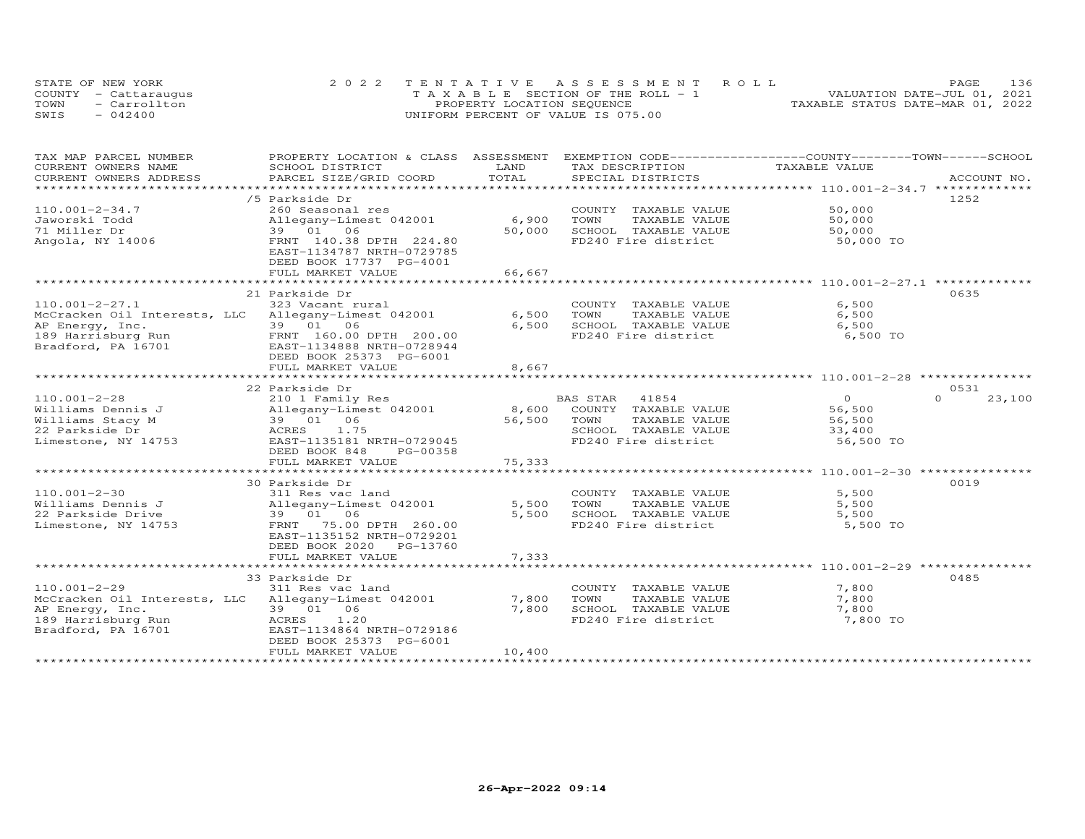|      | STATE OF NEW YORK    | 2022 TENTATIVE ASSESSMENT ROLL        | 136<br><b>PAGE</b>               |
|------|----------------------|---------------------------------------|----------------------------------|
|      | COUNTY - Cattaraugus | T A X A B L E SECTION OF THE ROLL - 1 | VALUATION DATE-JUL 01, 2021      |
| TOWN | - Carrollton         | PROPERTY LOCATION SEQUENCE            | TAXABLE STATUS DATE-MAR 01, 2022 |
| SWIS | $-042400$            | UNIFORM PERCENT OF VALUE IS 075.00    |                                  |

| TAX MAP PARCEL NUMBER                               | PROPERTY LOCATION & CLASS ASSESSMENT |        | EXEMPTION CODE-----------------COUNTY-------TOWN------SCHOOL |                |                    |
|-----------------------------------------------------|--------------------------------------|--------|--------------------------------------------------------------|----------------|--------------------|
| CURRENT OWNERS NAME                                 | SCHOOL DISTRICT                      | LAND   | TAX DESCRIPTION                                              | TAXABLE VALUE  |                    |
| CURRENT OWNERS ADDRESS                              | PARCEL SIZE/GRID COORD               | TOTAL  | SPECIAL DISTRICTS                                            |                | ACCOUNT NO.        |
| *********************                               |                                      |        |                                                              |                |                    |
|                                                     | /5 Parkside Dr                       |        |                                                              |                | 1252               |
| $110.001 - 2 - 34.7$                                | 260 Seasonal res                     |        | COUNTY TAXABLE VALUE                                         | 50,000         |                    |
| Jaworski Todd                                       | Allegany-Limest 042001               | 6,900  | TOWN<br>TAXABLE VALUE                                        | 50,000         |                    |
| 71 Miller Dr                                        | 39 01 06                             | 50,000 | SCHOOL TAXABLE VALUE                                         | 50,000         |                    |
| Angola, NY 14006                                    | FRNT 140.38 DPTH 224.80              |        | FD240 Fire district                                          | 50,000 TO      |                    |
|                                                     | EAST-1134787 NRTH-0729785            |        |                                                              |                |                    |
|                                                     | DEED BOOK 17737 PG-4001              |        |                                                              |                |                    |
|                                                     | FULL MARKET VALUE                    | 66,667 |                                                              |                |                    |
|                                                     |                                      |        |                                                              |                |                    |
|                                                     | 21 Parkside Dr                       |        |                                                              |                | 0635               |
|                                                     |                                      |        |                                                              |                |                    |
| $110.001 - 2 - 27.1$                                | 323 Vacant rural                     |        | COUNTY TAXABLE VALUE                                         | 6,500          |                    |
| McCracken Oil Interests, LLC Allegany-Limest 042001 |                                      | 6,500  | TOWN<br>TAXABLE VALUE                                        | 6,500          |                    |
| AP Energy, Inc.                                     | 39 01 06                             | 6,500  | SCHOOL TAXABLE VALUE                                         | 6,500          |                    |
| 189 Harrisburg Run                                  | FRNT 160.00 DPTH 200.00              |        | FD240 Fire district                                          | 6,500 TO       |                    |
| Bradford, PA 16701                                  | EAST-1134888 NRTH-0728944            |        |                                                              |                |                    |
|                                                     | DEED BOOK 25373 PG-6001              |        |                                                              |                |                    |
|                                                     | FULL MARKET VALUE                    | 8,667  |                                                              |                |                    |
|                                                     |                                      |        |                                                              |                |                    |
|                                                     | 22 Parkside Dr                       |        |                                                              |                | 0531               |
| $110.001 - 2 - 28$                                  | 210 1 Family Res                     |        | BAS STAR<br>41854                                            | $\overline{O}$ | $\Omega$<br>23,100 |
| Williams Dennis J                                   | Allegany-Limest 042001               | 8,600  | COUNTY TAXABLE VALUE                                         | 56,500         |                    |
| Williams Stacy M                                    | 39 01 06                             | 56,500 | TAXABLE VALUE<br>TOWN                                        | 56,500         |                    |
| 22 Parkside Dr                                      | 1.75<br>ACRES                        |        | SCHOOL TAXABLE VALUE                                         | 33,400         |                    |
| Limestone, NY 14753                                 | EAST-1135181 NRTH-0729045            |        | FD240 Fire district                                          | 56,500 TO      |                    |
|                                                     | DEED BOOK 848<br>PG-00358            |        |                                                              |                |                    |
|                                                     | FULL MARKET VALUE                    | 75,333 |                                                              |                |                    |
|                                                     |                                      |        |                                                              |                |                    |
|                                                     | 30 Parkside Dr                       |        |                                                              |                | 0019               |
|                                                     |                                      |        |                                                              |                |                    |
| $110.001 - 2 - 30$                                  | 311 Res vac land                     |        | COUNTY TAXABLE VALUE                                         | 5,500          |                    |
| Williams Dennis J                                   | Allegany-Limest 042001               | 5,500  | TOWN<br>TAXABLE VALUE                                        | 5,500          |                    |
| 22 Parkside Drive                                   | 39 01 06                             | 5,500  | SCHOOL TAXABLE VALUE                                         | 5,500          |                    |
| Limestone, NY 14753                                 | 75.00 DPTH 260.00<br>FRNT            |        | FD240 Fire district                                          | 5,500 TO       |                    |
|                                                     | EAST-1135152 NRTH-0729201            |        |                                                              |                |                    |
|                                                     | DEED BOOK 2020 PG-13760              |        |                                                              |                |                    |
|                                                     | FULL MARKET VALUE                    | 7,333  |                                                              |                |                    |
|                                                     |                                      |        |                                                              |                |                    |
|                                                     | 33 Parkside Dr                       |        |                                                              |                | 0485               |
| $110.001 - 2 - 29$                                  | 311 Res vac land                     |        | COUNTY TAXABLE VALUE                                         | 7,800          |                    |
| McCracken Oil Interests, LLC Allegany-Limest 042001 |                                      | 7,800  | TAXABLE VALUE<br>TOWN                                        | 7,800          |                    |
| AP Energy, Inc.                                     | 39 01 06                             | 7,800  | SCHOOL TAXABLE VALUE                                         | 7,800          |                    |
| 189 Harrisburg Run                                  | 1.20<br>ACRES                        |        | FD240 Fire district                                          | 7,800 TO       |                    |
| Bradford, PA 16701                                  | EAST-1134864 NRTH-0729186            |        |                                                              |                |                    |
|                                                     | DEED BOOK 25373 PG-6001              |        |                                                              |                |                    |
|                                                     | FULL MARKET VALUE                    | 10,400 |                                                              |                |                    |
|                                                     |                                      |        |                                                              |                |                    |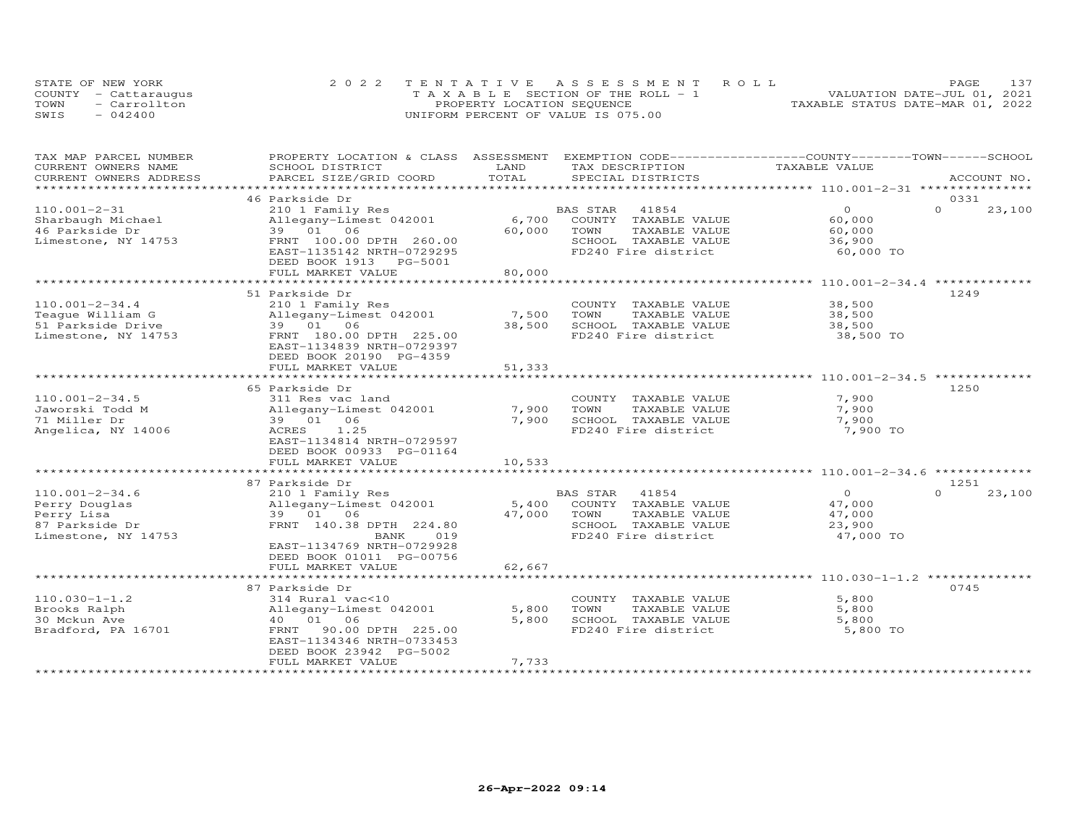|      | STATE OF NEW YORK    | 2022 TENTATIVE ASSESSMENT ROLL        | PAGE.                            |
|------|----------------------|---------------------------------------|----------------------------------|
|      | COUNTY - Cattaraugus | T A X A B L E SECTION OF THE ROLL - 1 | VALUATION DATE-JUL 01, 2021      |
| TOWN | - Carrollton         | PROPERTY LOCATION SEQUENCE            | TAXABLE STATUS DATE-MAR 01, 2022 |
| SWIS | $-042400$            | UNIFORM PERCENT OF VALUE IS 075.00    |                                  |

| TAX MAP PARCEL NUMBER<br>CURRENT OWNERS NAME | PROPERTY LOCATION & CLASS ASSESSMENT<br>SCHOOL DISTRICT | LAND       | EXEMPTION CODE-----------------COUNTY-------TOWN-----SCHOOL<br>TAX DESCRIPTION | TAXABLE VALUE                                          |          |             |
|----------------------------------------------|---------------------------------------------------------|------------|--------------------------------------------------------------------------------|--------------------------------------------------------|----------|-------------|
| CURRENT OWNERS ADDRESS                       | PARCEL SIZE/GRID COORD                                  | TOTAL      | SPECIAL DISTRICTS                                                              |                                                        |          | ACCOUNT NO. |
|                                              |                                                         | ********** |                                                                                | ************ 110.001-2-31 ****************             |          |             |
|                                              | 46 Parkside Dr                                          |            |                                                                                |                                                        | 0331     |             |
| $110.001 - 2 - 31$                           | 210 1 Family Res                                        |            | 41854<br>BAS STAR                                                              | $\circ$                                                | $\Omega$ | 23,100      |
| Sharbaugh Michael                            | Allegany-Limest 042001                                  | 6,700      | COUNTY TAXABLE VALUE                                                           | 60,000                                                 |          |             |
| 46 Parkside Dr                               | 39 01<br>06                                             | 60,000     | TOWN<br>TAXABLE VALUE                                                          | 60,000                                                 |          |             |
| Limestone, NY 14753                          | FRNT 100.00 DPTH 260.00                                 |            | SCHOOL TAXABLE VALUE                                                           | 36,900                                                 |          |             |
|                                              | EAST-1135142 NRTH-0729295                               |            | FD240 Fire district                                                            | 60,000 TO                                              |          |             |
|                                              | DEED BOOK 1913 PG-5001                                  |            |                                                                                |                                                        |          |             |
|                                              | FULL MARKET VALUE                                       | 80,000     |                                                                                |                                                        |          |             |
|                                              |                                                         |            |                                                                                | **************** 110.001-2-34.4 *******                |          |             |
|                                              | 51 Parkside Dr                                          |            |                                                                                |                                                        | 1249     |             |
| $110.001 - 2 - 34.4$                         | 210 1 Family Res                                        |            | COUNTY TAXABLE VALUE                                                           | 38,500                                                 |          |             |
| Teaque William G                             | Allegany-Limest 042001                                  | 7,500      | TOWN<br>TAXABLE VALUE                                                          | 38,500                                                 |          |             |
| 51 Parkside Drive                            | 39 01 06                                                | 38,500     | SCHOOL TAXABLE VALUE                                                           | 38,500                                                 |          |             |
| Limestone, NY 14753                          | FRNT 180.00 DPTH 225.00                                 |            | FD240 Fire district                                                            | 38,500 TO                                              |          |             |
|                                              | EAST-1134839 NRTH-0729397                               |            |                                                                                |                                                        |          |             |
|                                              | DEED BOOK 20190 PG-4359                                 |            |                                                                                |                                                        |          |             |
|                                              | FULL MARKET VALUE                                       | 51,333     |                                                                                |                                                        |          |             |
|                                              | ********************                                    |            |                                                                                | ********************************** 110.001-2-34.5 *    |          |             |
|                                              | 65 Parkside Dr                                          |            |                                                                                |                                                        | 1250     |             |
| $110.001 - 2 - 34.5$                         | 311 Res vac land                                        |            | COUNTY TAXABLE VALUE                                                           | 7,900                                                  |          |             |
| Jaworski Todd M                              | Allegany-Limest 042001                                  | 7,900      | TOWN<br>TAXABLE VALUE                                                          | 7,900                                                  |          |             |
| 71 Miller Dr                                 | 39 01 06                                                | 7,900      | SCHOOL TAXABLE VALUE                                                           | 7,900                                                  |          |             |
| Angelica, NY 14006                           | ACRES<br>1.25                                           |            | FD240 Fire district                                                            | 7,900 TO                                               |          |             |
|                                              | EAST-1134814 NRTH-0729597                               |            |                                                                                |                                                        |          |             |
|                                              | DEED BOOK 00933 PG-01164                                |            |                                                                                |                                                        |          |             |
|                                              | FULL MARKET VALUE                                       | 10,533     |                                                                                |                                                        |          |             |
|                                              |                                                         |            |                                                                                | $************110.001-2-34.6**$                         |          |             |
|                                              | 87 Parkside Dr                                          |            |                                                                                |                                                        | 1251     |             |
| $110.001 - 2 - 34.6$                         | 210 1 Family Res                                        |            | 41854<br>BAS STAR                                                              | $\circ$                                                | $\Omega$ | 23,100      |
| Perry Douglas                                | Allegany-Limest 042001                                  | 5,400      | COUNTY TAXABLE VALUE                                                           | 47,000                                                 |          |             |
| Perry Lisa                                   | 39 01 06                                                | 47,000     | TOWN<br>TAXABLE VALUE                                                          | 47,000                                                 |          |             |
| 87 Parkside Dr                               | FRNT 140.38 DPTH 224.80                                 |            | SCHOOL TAXABLE VALUE                                                           | 23,900                                                 |          |             |
| Limestone, NY 14753                          | BANK<br>019                                             |            | FD240 Fire district                                                            | 47,000 TO                                              |          |             |
|                                              | EAST-1134769 NRTH-0729928                               |            |                                                                                |                                                        |          |             |
|                                              | DEED BOOK 01011 PG-00756                                |            |                                                                                |                                                        |          |             |
|                                              | FULL MARKET VALUE                                       | 62,667     |                                                                                |                                                        |          |             |
|                                              | **********************                                  |            |                                                                                | ******************************* 110.030-1-1.2 ******** |          |             |
|                                              | 87 Parkside Dr                                          |            |                                                                                |                                                        | 0745     |             |
| $110.030 - 1 - 1.2$                          | 314 Rural vac<10                                        |            | COUNTY TAXABLE VALUE                                                           | 5,800                                                  |          |             |
|                                              | Allegany-Limest 042001                                  | 5,800      | TOWN                                                                           | 5,800                                                  |          |             |
| Brooks Ralph                                 | 40 01<br>06                                             |            | TAXABLE VALUE                                                                  |                                                        |          |             |
| 30 Mckun Ave                                 |                                                         | 5,800      | SCHOOL TAXABLE VALUE                                                           | 5,800                                                  |          |             |
| Bradford, PA 16701                           | 90.00 DPTH 225.00<br>FRNT                               |            | FD240 Fire district                                                            | 5,800 TO                                               |          |             |
|                                              | EAST-1134346 NRTH-0733453                               |            |                                                                                |                                                        |          |             |
|                                              | DEED BOOK 23942 PG-5002                                 |            |                                                                                |                                                        |          |             |
|                                              | FULL MARKET VALUE                                       | 7,733      |                                                                                |                                                        |          |             |
|                                              |                                                         |            |                                                                                |                                                        |          |             |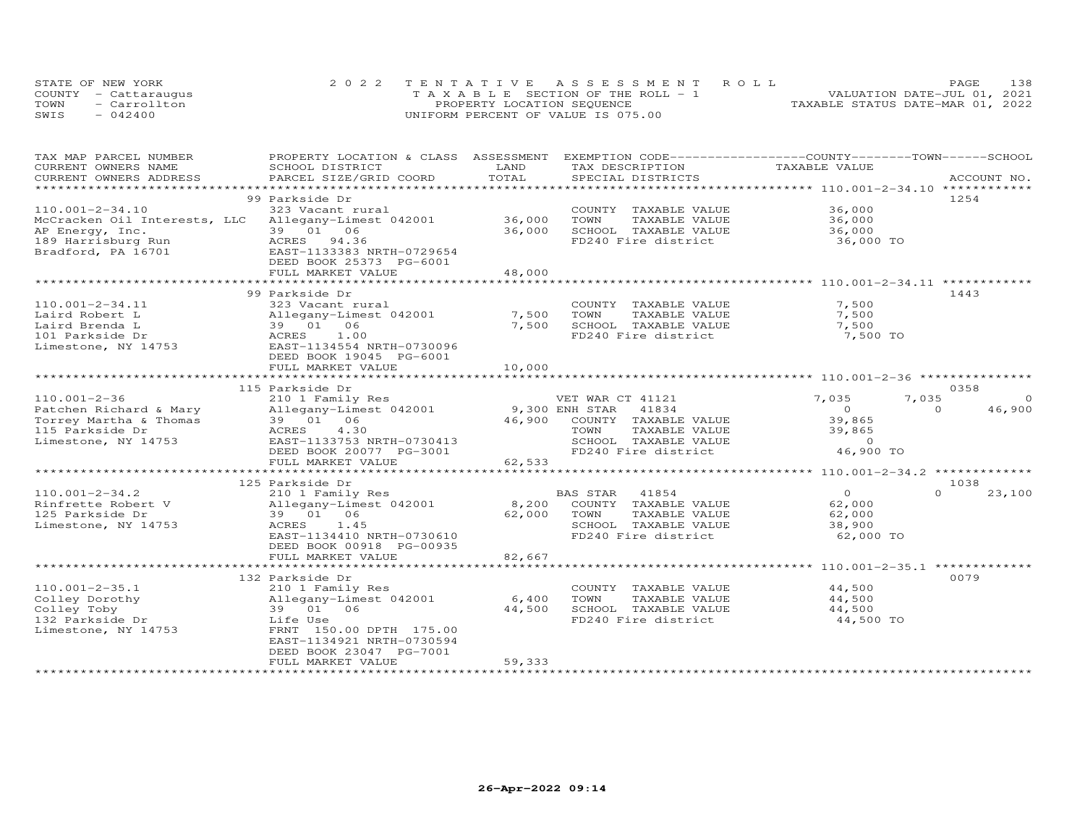|      | STATE OF NEW YORK    | 2022 TENTATIVE ASSESSMENT ROLL        | 138<br>PAGE.                     |
|------|----------------------|---------------------------------------|----------------------------------|
|      | COUNTY - Cattaraugus | T A X A B L E SECTION OF THE ROLL - 1 | VALUATION DATE-JUL 01, 2021      |
| TOWN | $=$ Carrollton       | PROPERTY LOCATION SEQUENCE            | TAXABLE STATUS DATE-MAR 01, 2022 |
| SWIS | $-042400$            | UNIFORM PERCENT OF VALUE IS 075.00    |                                  |

| TAX MAP PARCEL NUMBER<br>CURRENT OWNERS NAME | PROPERTY LOCATION & CLASS ASSESSMENT<br>SCHOOL DISTRICT | LAND<br>TAX DESCRIPTION         | EXEMPTION CODE-----------------COUNTY-------TOWN------SCHOOL<br>TAXABLE VALUE |
|----------------------------------------------|---------------------------------------------------------|---------------------------------|-------------------------------------------------------------------------------|
| CURRENT OWNERS ADDRESS                       | PARCEL SIZE/GRID COORD                                  | TOTAL<br>SPECIAL DISTRICTS      | ACCOUNT NO.                                                                   |
| *******************                          |                                                         | **************                  |                                                                               |
|                                              | 99 Parkside Dr                                          |                                 | 1254                                                                          |
| 110.001-2-34.10                              | 323 Vacant rural                                        | COUNTY TAXABLE VALUE            | 36,000                                                                        |
|                                              |                                                         | 36,000                          |                                                                               |
| McCracken Oil Interests, LLC                 | Allegany-Limest 042001<br>39 01 06                      | TOWN<br>TAXABLE VALUE           | 36,000                                                                        |
| AP Energy, Inc.                              |                                                         | 36,000<br>SCHOOL TAXABLE VALUE  | 36,000                                                                        |
| 189 Harrisburg Run                           | ACRES 94.36                                             | FD240 Fire district             | 36,000 TO                                                                     |
| Bradford, PA 16701                           | EAST-1133383 NRTH-0729654                               |                                 |                                                                               |
|                                              | DEED BOOK 25373 PG-6001                                 |                                 |                                                                               |
|                                              | FULL MARKET VALUE                                       | 48,000                          |                                                                               |
|                                              |                                                         |                                 |                                                                               |
|                                              | 99 Parkside Dr                                          |                                 | 1443                                                                          |
| $110.001 - 2 - 34.11$                        | 323 Vacant rural                                        | COUNTY TAXABLE VALUE            | 7,500                                                                         |
| Laird Robert L                               | Allegany-Limest 042001                                  | 7,500<br>TOWN<br>TAXABLE VALUE  | 7,500                                                                         |
| Laird Brenda L                               | 39 01 06                                                | 7,500<br>SCHOOL TAXABLE VALUE   | 7,500                                                                         |
| 101 Parkside Dr                              | ACRES<br>1.00                                           | FD240 Fire district             | 7,500 TO                                                                      |
| Limestone, NY 14753                          | EAST-1134554 NRTH-0730096                               |                                 |                                                                               |
|                                              | DEED BOOK 19045 PG-6001                                 |                                 |                                                                               |
|                                              | FULL MARKET VALUE                                       | 10,000                          |                                                                               |
|                                              |                                                         |                                 |                                                                               |
|                                              | 115 Parkside Dr                                         |                                 | 0358                                                                          |
| $110.001 - 2 - 36$                           | 210 1 Family Res                                        | VET WAR CT 41121                | 7,035<br>7,035<br>$\Omega$                                                    |
| Patchen Richard & Mary                       | Allegany-Limest 042001                                  | 9,300 ENH STAR<br>41834         | 46,900<br>$\circ$<br>$\Omega$                                                 |
| Torrey Martha & Thomas                       | 39 01 06                                                | 46,900<br>COUNTY TAXABLE VALUE  | 39,865                                                                        |
| 115 Parkside Dr                              | ACRES<br>4.30                                           | TOWN<br>TAXABLE VALUE           | 39,865                                                                        |
| Limestone, NY 14753                          | EAST-1133753 NRTH-0730413                               | SCHOOL TAXABLE VALUE            | $\Omega$                                                                      |
|                                              | DEED BOOK 20077 PG-3001                                 | FD240 Fire district             | 46,900 TO                                                                     |
|                                              | FULL MARKET VALUE                                       | 62,533                          |                                                                               |
|                                              |                                                         |                                 | ******************************** 110.001-2-34.2 **************                |
|                                              | 125 Parkside Dr                                         |                                 | 1038                                                                          |
| $110.001 - 2 - 34.2$                         | 210 1 Family Res                                        | <b>BAS STAR</b><br>41854        | $\Omega$<br>23,100<br>$\circ$                                                 |
| Rinfrette Robert V                           | Allegany-Limest 042001                                  | 8,200<br>COUNTY TAXABLE VALUE   | 62,000                                                                        |
| 125 Parkside Dr                              | 06<br>39 01                                             | 62,000<br>TOWN<br>TAXABLE VALUE | 62,000                                                                        |
| Limestone, NY 14753                          | 1.45<br>ACRES                                           | SCHOOL TAXABLE VALUE            | 38,900                                                                        |
|                                              | EAST-1134410 NRTH-0730610                               | FD240 Fire district             | 62,000 TO                                                                     |
|                                              | DEED BOOK 00918 PG-00935                                |                                 |                                                                               |
|                                              | FULL MARKET VALUE                                       | 82,667                          |                                                                               |
|                                              | **********************                                  |                                 | ****************** 110.001-2-35.1 **************                              |
|                                              | 132 Parkside Dr                                         |                                 | 0079                                                                          |
| $110.001 - 2 - 35.1$                         | 210 1 Family Res                                        | COUNTY TAXABLE VALUE            | 44,500                                                                        |
| Colley Dorothy                               | Allegany-Limest 042001                                  | 6,400<br>TOWN<br>TAXABLE VALUE  | 44,500                                                                        |
| Colley Toby                                  | 39 01 06                                                | SCHOOL TAXABLE VALUE<br>44,500  | 44,500                                                                        |
|                                              |                                                         |                                 |                                                                               |
| 132 Parkside Dr                              | Life Use                                                | FD240 Fire district             | 44,500 TO                                                                     |
| Limestone, NY 14753                          | FRNT 150.00 DPTH 175.00                                 |                                 |                                                                               |
|                                              | EAST-1134921 NRTH-0730594                               |                                 |                                                                               |
|                                              | DEED BOOK 23047 PG-7001                                 |                                 |                                                                               |
|                                              | FULL MARKET VALUE                                       | 59,333                          |                                                                               |
|                                              |                                                         |                                 |                                                                               |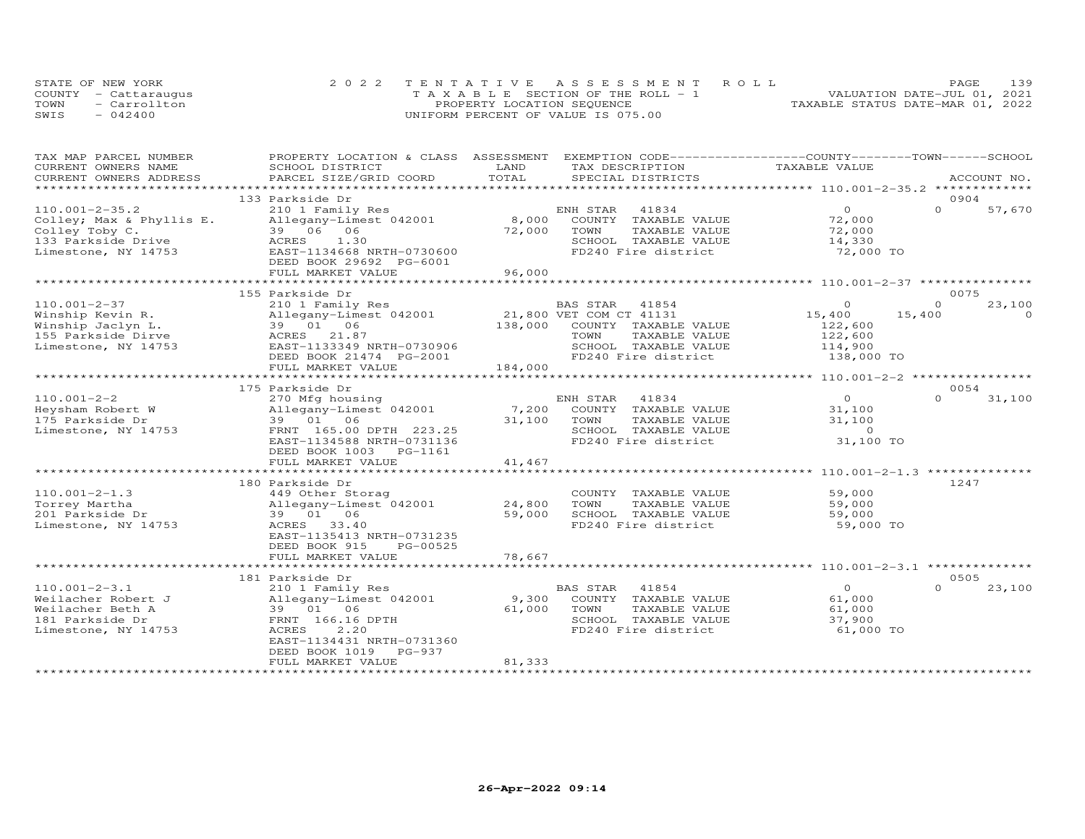|      | STATE OF NEW YORK    | 2022 TENTATIVE ASSESSMENT ROLL        |                                  | PAGE | 139 |
|------|----------------------|---------------------------------------|----------------------------------|------|-----|
|      | COUNTY - Cattaraugus | T A X A B L E SECTION OF THE ROLL - 1 | VALUATION DATE-JUL 01, 2021      |      |     |
| TOWN | - Carrollton         | PROPERTY LOCATION SEQUENCE            | TAXABLE STATUS DATE-MAR 01, 2022 |      |     |
| SWIS | $-042400$            | UNIFORM PERCENT OF VALUE IS 075.00    |                                  |      |     |

| TAX MAP PARCEL NUMBER                         | PROPERTY LOCATION & CLASS ASSESSMENT      | LAND         | EXEMPTION CODE------------------COUNTY-------TOWN------SCHOOL | TAXABLE VALUE                                     |             |          |
|-----------------------------------------------|-------------------------------------------|--------------|---------------------------------------------------------------|---------------------------------------------------|-------------|----------|
| CURRENT OWNERS NAME<br>CURRENT OWNERS ADDRESS | SCHOOL DISTRICT<br>PARCEL SIZE/GRID COORD | TOTAL        | TAX DESCRIPTION<br>SPECIAL DISTRICTS                          |                                                   | ACCOUNT NO. |          |
| *******************                           |                                           |              |                                                               |                                                   |             |          |
|                                               | 133 Parkside Dr                           |              |                                                               |                                                   | 0904        |          |
| $110.001 - 2 - 35.2$                          | 210 1 Family Res                          |              | 41834<br>ENH STAR                                             | $\Omega$                                          | $\Omega$    | 57,670   |
| Colley; Max & Phyllis E.                      | Allegany-Limest 042001                    | 8,000        | COUNTY TAXABLE VALUE                                          | 72,000                                            |             |          |
| Colley Toby C.                                | 39 06 06                                  | 72,000       | TOWN<br>TAXABLE VALUE                                         | 72,000                                            |             |          |
| 133 Parkside Drive                            | 1.30<br>ACRES                             |              | SCHOOL TAXABLE VALUE                                          | 14,330                                            |             |          |
| Limestone, NY 14753                           | EAST-1134668 NRTH-0730600                 |              | FD240 Fire district                                           | 72,000 TO                                         |             |          |
|                                               | DEED BOOK 29692 PG-6001                   |              |                                                               |                                                   |             |          |
|                                               | FULL MARKET VALUE                         | 96,000       |                                                               |                                                   |             |          |
|                                               |                                           |              |                                                               |                                                   |             |          |
|                                               |                                           |              |                                                               |                                                   | 0075        |          |
| $110.001 - 2 - 37$                            | 155 Parkside Dr<br>210 1 Family Res       |              | BAS STAR<br>41854                                             | $\Omega$                                          | $\Omega$    | 23,100   |
|                                               | Allegany-Limest 042001                    |              | 21,800 VET COM CT 41131                                       | 15,400                                            | 15,400      | $\Omega$ |
| Winship Kevin R.<br>Winship Jaclyn L.         | 39 01<br>06                               | 138,000      | COUNTY TAXABLE VALUE                                          | 122,600                                           |             |          |
|                                               |                                           |              |                                                               |                                                   |             |          |
| 155 Parkside Dirve                            | ACRES<br>21.87                            |              | TOWN<br>TAXABLE VALUE                                         | 122,600                                           |             |          |
| Limestone, NY 14753                           | EAST-1133349 NRTH-0730906                 |              | SCHOOL TAXABLE VALUE                                          | 114,900                                           |             |          |
|                                               | DEED BOOK 21474 PG-2001                   |              | FD240 Fire district                                           | 138,000 TO                                        |             |          |
|                                               | FULL MARKET VALUE                         | 184,000      |                                                               |                                                   |             |          |
|                                               |                                           |              |                                                               |                                                   | 0054        |          |
|                                               | 175 Parkside Dr                           |              |                                                               |                                                   |             |          |
| $110.001 - 2 - 2$                             | 270 Mfg housing                           |              | ENH STAR<br>41834                                             | $\circ$                                           | $\Omega$    | 31,100   |
| Heysham Robert W                              | Allegany-Limest 042001                    | 7,200        | COUNTY TAXABLE VALUE                                          | 31,100                                            |             |          |
| 175 Parkside Dr                               | 39 01 06                                  | 31,100       | TOWN<br>TAXABLE VALUE                                         | 31,100                                            |             |          |
| Limestone, NY 14753                           | FRNT 165.00 DPTH 223.25                   |              | SCHOOL TAXABLE VALUE                                          | $\Omega$                                          |             |          |
|                                               | EAST-1134588 NRTH-0731136                 |              | FD240 Fire district                                           | 31,100 TO                                         |             |          |
|                                               | PG-1161<br>DEED BOOK 1003                 |              |                                                               |                                                   |             |          |
|                                               | FULL MARKET VALUE                         | 41,467       |                                                               |                                                   |             |          |
|                                               |                                           | ************ |                                                               | ******************* 110.001-2-1.3 *************** |             |          |
|                                               | 180 Parkside Dr                           |              |                                                               |                                                   | 1247        |          |
| $110.001 - 2 - 1.3$                           | 449 Other Storag                          |              | COUNTY TAXABLE VALUE                                          | 59,000                                            |             |          |
| Torrey Martha                                 | Allegany-Limest 042001                    | 24,800       | TOWN<br>TAXABLE VALUE                                         | 59,000                                            |             |          |
| 201 Parkside Dr                               | 06<br>39 01                               | 59,000       | SCHOOL TAXABLE VALUE                                          | 59,000                                            |             |          |
| Limestone, NY 14753                           | ACRES<br>33.40                            |              | FD240 Fire district                                           | 59,000 TO                                         |             |          |
|                                               | EAST-1135413 NRTH-0731235                 |              |                                                               |                                                   |             |          |
|                                               | DEED BOOK 915<br>PG-00525                 |              |                                                               |                                                   |             |          |
|                                               | FULL MARKET VALUE                         | 78,667       |                                                               |                                                   |             |          |
|                                               | ***********************                   | ************ |                                                               |                                                   |             |          |
|                                               | 181 Parkside Dr                           |              |                                                               |                                                   | 0505        |          |
| $110.001 - 2 - 3.1$                           | 210 1 Family Res                          |              | BAS STAR<br>41854                                             | $\circ$                                           | $\Omega$    | 23,100   |
| Weilacher Robert J                            | Allegany-Limest 042001                    | 9,300        | COUNTY TAXABLE VALUE                                          | 61,000                                            |             |          |
| Weilacher Beth A                              | 39 01 06                                  | 61,000       | TOWN<br>TAXABLE VALUE                                         | 61,000                                            |             |          |
| 181 Parkside Dr                               | FRNT 166.16 DPTH                          |              | SCHOOL TAXABLE VALUE                                          | 37,900                                            |             |          |
| Limestone, NY 14753                           | ACRES<br>2,20                             |              | FD240 Fire district                                           | 61,000 TO                                         |             |          |
|                                               | EAST-1134431 NRTH-0731360                 |              |                                                               |                                                   |             |          |
|                                               | DEED BOOK 1019<br>PG-937                  |              |                                                               |                                                   |             |          |
|                                               | FULL MARKET VALUE                         | 81,333       |                                                               |                                                   |             |          |
|                                               |                                           |              |                                                               |                                                   |             |          |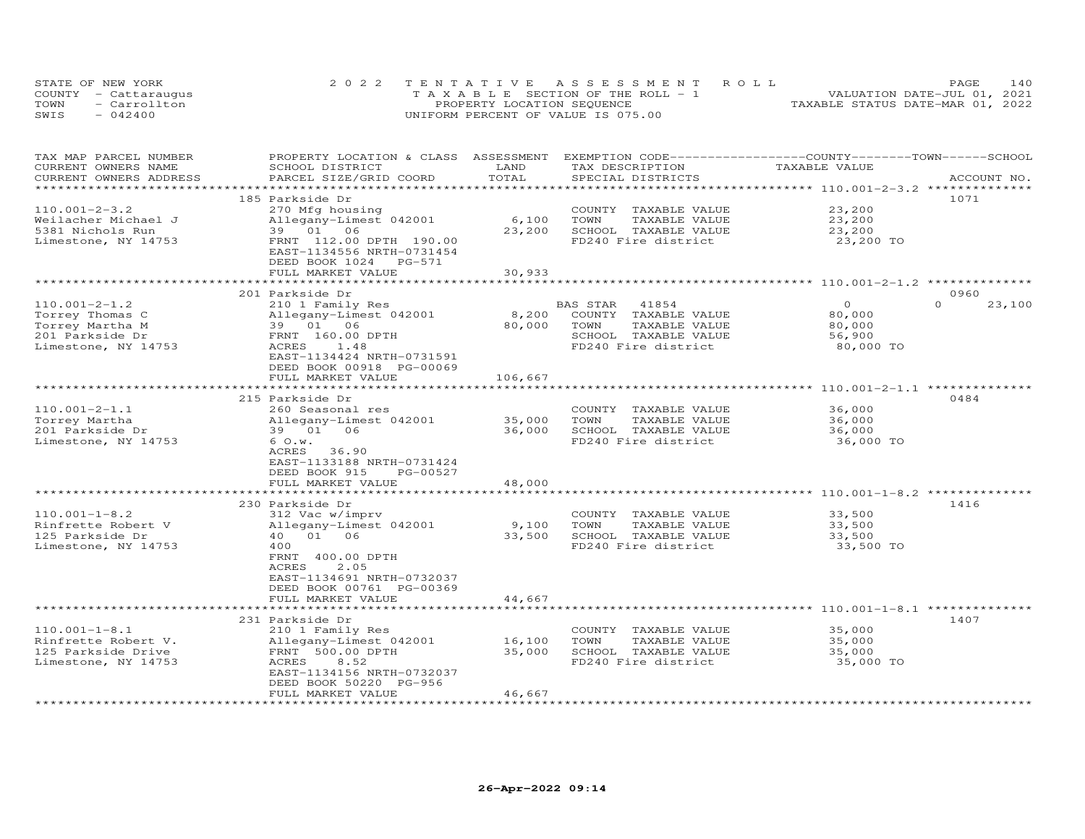| STATE OF NEW YORK |                      | 2022 TENTATIVE ASSESSMENT ROLL        | 140<br><b>PAGE</b>               |
|-------------------|----------------------|---------------------------------------|----------------------------------|
|                   | COUNTY - Cattaraugus | T A X A B L E SECTION OF THE ROLL - 1 | VALUATION DATE-JUL 01, 2021      |
| TOWN              | - Carrollton         | PROPERTY LOCATION SEQUENCE            | TAXABLE STATUS DATE-MAR 01, 2022 |
| SWIS              | $-042400$            | UNIFORM PERCENT OF VALUE IS 075.00    |                                  |

| TAX MAP PARCEL NUMBER<br>CURRENT OWNERS NAME | PROPERTY LOCATION & CLASS ASSESSMENT<br>SCHOOL DISTRICT | LAND                         | EXEMPTION CODE-----------------COUNTY-------TOWN------SCHOOL<br>TAX DESCRIPTION | TAXABLE VALUE                                                 |                    |
|----------------------------------------------|---------------------------------------------------------|------------------------------|---------------------------------------------------------------------------------|---------------------------------------------------------------|--------------------|
| CURRENT OWNERS ADDRESS                       | PARCEL SIZE/GRID COORD                                  | TOTAL<br>******************* | SPECIAL DISTRICTS                                                               | ********************** 110.001-2-3.2 ***************          | ACCOUNT NO.        |
|                                              | 185 Parkside Dr                                         |                              |                                                                                 |                                                               | 1071               |
| $110.001 - 2 - 3.2$                          | 270 Mfg housing                                         |                              | COUNTY TAXABLE VALUE                                                            | 23,200                                                        |                    |
| Weilacher Michael J                          | Allegany-Limest 042001                                  | 6,100                        | TOWN<br>TAXABLE VALUE                                                           | 23,200                                                        |                    |
| 5381 Nichols Run                             | 39 01 06                                                | 23,200                       | SCHOOL TAXABLE VALUE                                                            | 23,200                                                        |                    |
| Limestone, NY 14753                          | FRNT 112.00 DPTH 190.00                                 |                              | FD240 Fire district                                                             | 23,200 TO                                                     |                    |
|                                              | EAST-1134556 NRTH-0731454                               |                              |                                                                                 |                                                               |                    |
|                                              | DEED BOOK 1024 PG-571                                   |                              |                                                                                 |                                                               |                    |
|                                              | FULL MARKET VALUE                                       | 30,933                       |                                                                                 |                                                               |                    |
|                                              |                                                         |                              |                                                                                 | ********** 110.001-2-1.2                                      |                    |
|                                              | 201 Parkside Dr                                         |                              |                                                                                 |                                                               | 0960               |
| $110.001 - 2 - 1.2$                          | 210 1 Family Res                                        |                              | 41854<br>BAS STAR                                                               | $\circ$                                                       | $\Omega$<br>23,100 |
| Torrey Thomas C                              | Allegany-Limest 042001                                  | 8,200                        | COUNTY TAXABLE VALUE                                                            | 80,000                                                        |                    |
| Torrey Martha M                              | 39 01 06                                                | 80,000                       | TAXABLE VALUE<br>TOWN                                                           | 80,000                                                        |                    |
| 201 Parkside Dr                              | FRNT 160.00 DPTH                                        |                              | SCHOOL TAXABLE VALUE                                                            | 56,900                                                        |                    |
| Limestone, NY 14753                          | 1.48<br>ACRES                                           |                              | FD240 Fire district                                                             | 80,000 TO                                                     |                    |
|                                              | EAST-1134424 NRTH-0731591                               |                              |                                                                                 |                                                               |                    |
|                                              | DEED BOOK 00918 PG-00069                                |                              |                                                                                 |                                                               |                    |
|                                              | FULL MARKET VALUE                                       | 106,667                      |                                                                                 |                                                               |                    |
|                                              | **********************                                  |                              |                                                                                 |                                                               |                    |
|                                              | 215 Parkside Dr                                         |                              |                                                                                 |                                                               | 0484               |
| $110.001 - 2 - 1.1$                          | 260 Seasonal res                                        |                              | COUNTY TAXABLE VALUE                                                            | 36,000                                                        |                    |
| Torrey Martha                                | Allegany-Limest 042001                                  | 35,000                       | TOWN<br>TAXABLE VALUE                                                           | 36,000                                                        |                    |
| 201 Parkside Dr                              | 39 01 06                                                | 36,000                       | SCHOOL TAXABLE VALUE                                                            | 36,000                                                        |                    |
| Limestone, NY 14753                          | 6 O.w.                                                  |                              | FD240 Fire district                                                             | 36,000 TO                                                     |                    |
|                                              | ACRES<br>36.90                                          |                              |                                                                                 |                                                               |                    |
|                                              | EAST-1133188 NRTH-0731424                               |                              |                                                                                 |                                                               |                    |
|                                              | DEED BOOK 915<br>PG-00527<br>FULL MARKET VALUE          | 48,000                       |                                                                                 |                                                               |                    |
|                                              |                                                         |                              |                                                                                 |                                                               |                    |
|                                              | 230 Parkside Dr                                         |                              |                                                                                 |                                                               | 1416               |
| $110.001 - 1 - 8.2$                          | 312 Vac w/imprv                                         |                              | COUNTY TAXABLE VALUE                                                            | 33,500                                                        |                    |
| Rinfrette Robert V                           | Allegany-Limest 042001                                  | 9,100                        | TOWN<br>TAXABLE VALUE                                                           | 33,500                                                        |                    |
| 125 Parkside Dr                              | 40 01 06                                                | 33,500                       | SCHOOL TAXABLE VALUE                                                            | 33,500                                                        |                    |
| Limestone, NY 14753                          | 400                                                     |                              | FD240 Fire district                                                             | 33,500 TO                                                     |                    |
|                                              | FRNT 400.00 DPTH                                        |                              |                                                                                 |                                                               |                    |
|                                              | ACRES<br>2.05                                           |                              |                                                                                 |                                                               |                    |
|                                              | EAST-1134691 NRTH-0732037                               |                              |                                                                                 |                                                               |                    |
|                                              | DEED BOOK 00761 PG-00369                                |                              |                                                                                 |                                                               |                    |
|                                              | FULL MARKET VALUE                                       | 44,667                       |                                                                                 |                                                               |                    |
|                                              |                                                         |                              |                                                                                 | ******************************** 110.001-1-8.1 ************** |                    |
|                                              | 231 Parkside Dr                                         |                              |                                                                                 |                                                               | 1407               |
| $110.001 - 1 - 8.1$                          | 210 1 Family Res                                        |                              | COUNTY TAXABLE VALUE                                                            | 35,000                                                        |                    |
| Rinfrette Robert V.                          | Allegany-Limest 042001                                  | 16,100                       | TOWN<br>TAXABLE VALUE                                                           | 35,000                                                        |                    |
| 125 Parkside Drive                           | FRNT 500.00 DPTH                                        | 35,000                       | SCHOOL TAXABLE VALUE                                                            | 35,000                                                        |                    |
| Limestone, NY 14753                          | 8.52<br>ACRES                                           |                              | FD240 Fire district                                                             | 35,000 TO                                                     |                    |
|                                              | EAST-1134156 NRTH-0732037                               |                              |                                                                                 |                                                               |                    |
|                                              | DEED BOOK 50220 PG-956                                  |                              |                                                                                 |                                                               |                    |
| *********************                        | FULL MARKET VALUE<br>**************************         | 46,667                       |                                                                                 |                                                               |                    |
|                                              |                                                         | ******************           |                                                                                 |                                                               |                    |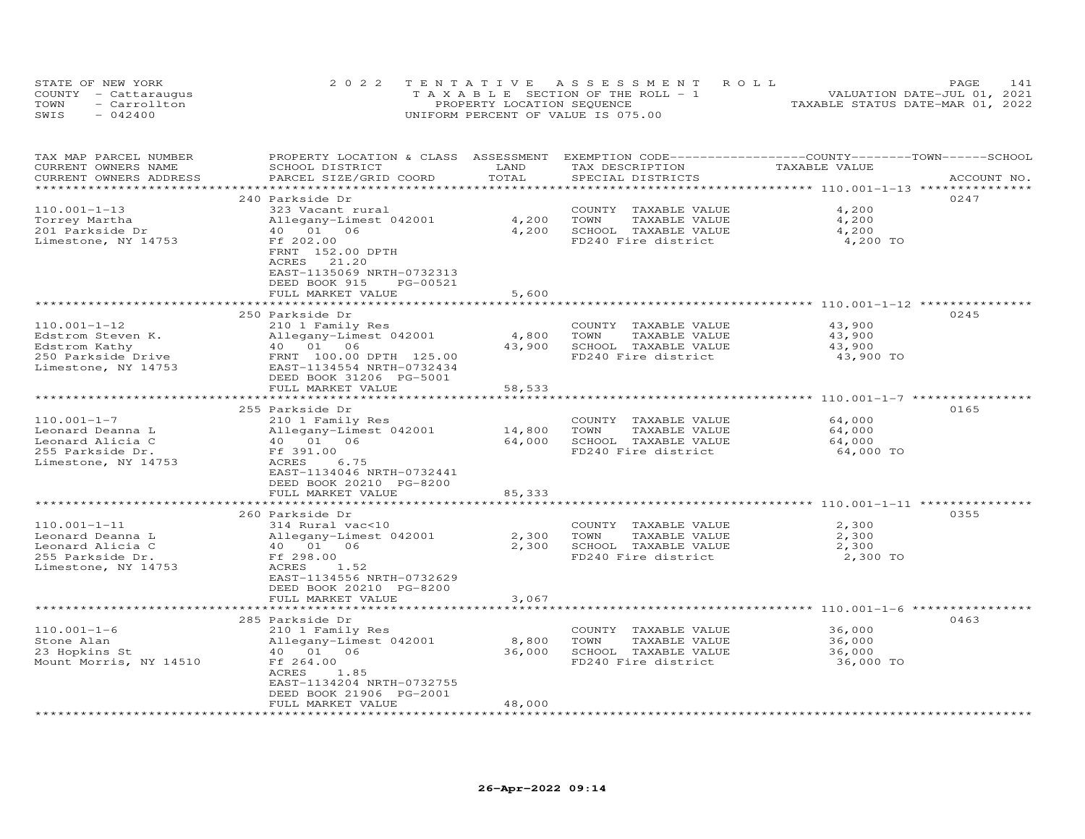|      | STATE OF NEW YORK    | 2022 TENTATIVE ASSESSMENT ROLL        | 141<br>PAGE.                     |
|------|----------------------|---------------------------------------|----------------------------------|
|      | COUNTY - Cattaraugus | T A X A B L E SECTION OF THE ROLL - 1 | VALUATION DATE-JUL 01, 2021      |
| TOWN | - Carrollton         | PROPERTY LOCATION SEQUENCE            | TAXABLE STATUS DATE-MAR 01, 2022 |
| SWIS | $-042400$            | UNIFORM PERCENT OF VALUE IS 075.00    |                                  |

| TAX MAP PARCEL NUMBER  | PROPERTY LOCATION & CLASS ASSESSMENT |        | EXEMPTION CODE-----------------COUNTY-------TOWN------SCHOOL |                                          |             |
|------------------------|--------------------------------------|--------|--------------------------------------------------------------|------------------------------------------|-------------|
| CURRENT OWNERS NAME    | SCHOOL DISTRICT                      | LAND   | TAX DESCRIPTION                                              | TAXABLE VALUE                            |             |
| CURRENT OWNERS ADDRESS | PARCEL SIZE/GRID COORD               | TOTAL  | SPECIAL DISTRICTS                                            |                                          | ACCOUNT NO. |
|                        | *******************************      |        |                                                              | ***************** 110.001-1-13 ********* |             |
|                        | 240 Parkside Dr                      |        |                                                              |                                          | 0247        |
| $110.001 - 1 - 13$     | 323 Vacant rural                     |        | COUNTY TAXABLE VALUE                                         | 4,200                                    |             |
| Torrey Martha          | Allegany-Limest 042001               | 4,200  | TOWN<br>TAXABLE VALUE                                        | 4,200                                    |             |
| 201 Parkside Dr        | 40  01  06                           | 4,200  | SCHOOL TAXABLE VALUE                                         | 4,200                                    |             |
| Limestone, NY 14753    | Ff 202.00                            |        | FD240 Fire district                                          | 4,200 TO                                 |             |
|                        | FRNT 152.00 DPTH                     |        |                                                              |                                          |             |
|                        | ACRES 21.20                          |        |                                                              |                                          |             |
|                        |                                      |        |                                                              |                                          |             |
|                        | EAST-1135069 NRTH-0732313            |        |                                                              |                                          |             |
|                        | DEED BOOK 915<br>PG-00521            |        |                                                              |                                          |             |
|                        | FULL MARKET VALUE                    | 5,600  |                                                              |                                          |             |
|                        |                                      |        |                                                              |                                          |             |
|                        | 250 Parkside Dr                      |        |                                                              |                                          | 0245        |
| $110.001 - 1 - 12$     | 210 1 Family Res                     |        | COUNTY TAXABLE VALUE                                         | 43,900                                   |             |
| Edstrom Steven K.      | Allegany-Limest 042001               | 4,800  | TOWN<br>TAXABLE VALUE                                        | 43,900                                   |             |
| Edstrom Kathy          | 40 01 06                             | 43,900 | SCHOOL TAXABLE VALUE                                         | 43,900                                   |             |
| 250 Parkside Drive     | FRNT 100.00 DPTH 125.00              |        | FD240 Fire district                                          | 43,900 TO                                |             |
| Limestone, NY 14753    | EAST-1134554 NRTH-0732434            |        |                                                              |                                          |             |
|                        | DEED BOOK 31206 PG-5001              |        |                                                              |                                          |             |
|                        | FULL MARKET VALUE                    | 58,533 |                                                              |                                          |             |
|                        | *****************************        |        |                                                              |                                          |             |
|                        | 255 Parkside Dr                      |        |                                                              |                                          | 0165        |
| $110.001 - 1 - 7$      | 210 1 Family Res                     |        | COUNTY TAXABLE VALUE                                         | 64,000                                   |             |
| Leonard Deanna L       | Allegany-Limest 042001               | 14,800 | TOWN<br>TAXABLE VALUE                                        | 64,000                                   |             |
| Leonard Alicia C       | 40  01  06                           | 64,000 | SCHOOL TAXABLE VALUE                                         | 64,000                                   |             |
|                        |                                      |        |                                                              |                                          |             |
| 255 Parkside Dr.       | Ff 391.00                            |        | FD240 Fire district                                          | 64,000 TO                                |             |
| Limestone, NY 14753    | ACRES<br>6.75                        |        |                                                              |                                          |             |
|                        | EAST-1134046 NRTH-0732441            |        |                                                              |                                          |             |
|                        | DEED BOOK 20210 PG-8200              |        |                                                              |                                          |             |
|                        | FULL MARKET VALUE                    | 85,333 |                                                              |                                          |             |
|                        | *********************************    |        |                                                              |                                          |             |
|                        | 260 Parkside Dr                      |        |                                                              |                                          | 0355        |
| $110.001 - 1 - 11$     | 314 Rural vac<10                     |        | COUNTY TAXABLE VALUE                                         | 2,300                                    |             |
| Leonard Deanna L       | Allegany-Limest 042001               | 2,300  | TOWN<br>TAXABLE VALUE                                        | 2,300                                    |             |
| Leonard Alicia C       | 40 01<br>06                          | 2,300  | SCHOOL TAXABLE VALUE                                         | 2,300                                    |             |
| 255 Parkside Dr.       | Ff 298.00                            |        | FD240 Fire district                                          | 2,300 TO                                 |             |
| Limestone, NY 14753    | ACRES<br>1.52                        |        |                                                              |                                          |             |
|                        | EAST-1134556 NRTH-0732629            |        |                                                              |                                          |             |
|                        | DEED BOOK 20210 PG-8200              |        |                                                              |                                          |             |
|                        | FULL MARKET VALUE                    | 3,067  |                                                              |                                          |             |
|                        |                                      |        |                                                              |                                          |             |
|                        | 285 Parkside Dr                      |        |                                                              |                                          | 0463        |
| $110.001 - 1 - 6$      | 210 1 Family Res                     |        | COUNTY TAXABLE VALUE                                         | 36,000                                   |             |
| Stone Alan             | Allegany-Limest 042001               | 8,800  | TOWN<br>TAXABLE VALUE                                        | 36,000                                   |             |
| 23 Hopkins St          | 40  01  06                           | 36,000 | SCHOOL TAXABLE VALUE                                         | 36,000                                   |             |
|                        |                                      |        |                                                              |                                          |             |
| Mount Morris, NY 14510 | Ff 264.00                            |        | FD240 Fire district                                          | 36,000 TO                                |             |
|                        | ACRES<br>1.85                        |        |                                                              |                                          |             |
|                        | EAST-1134204 NRTH-0732755            |        |                                                              |                                          |             |
|                        | DEED BOOK 21906 PG-2001              |        |                                                              |                                          |             |
|                        | FULL MARKET VALUE                    | 48,000 |                                                              |                                          |             |
|                        |                                      |        |                                                              |                                          |             |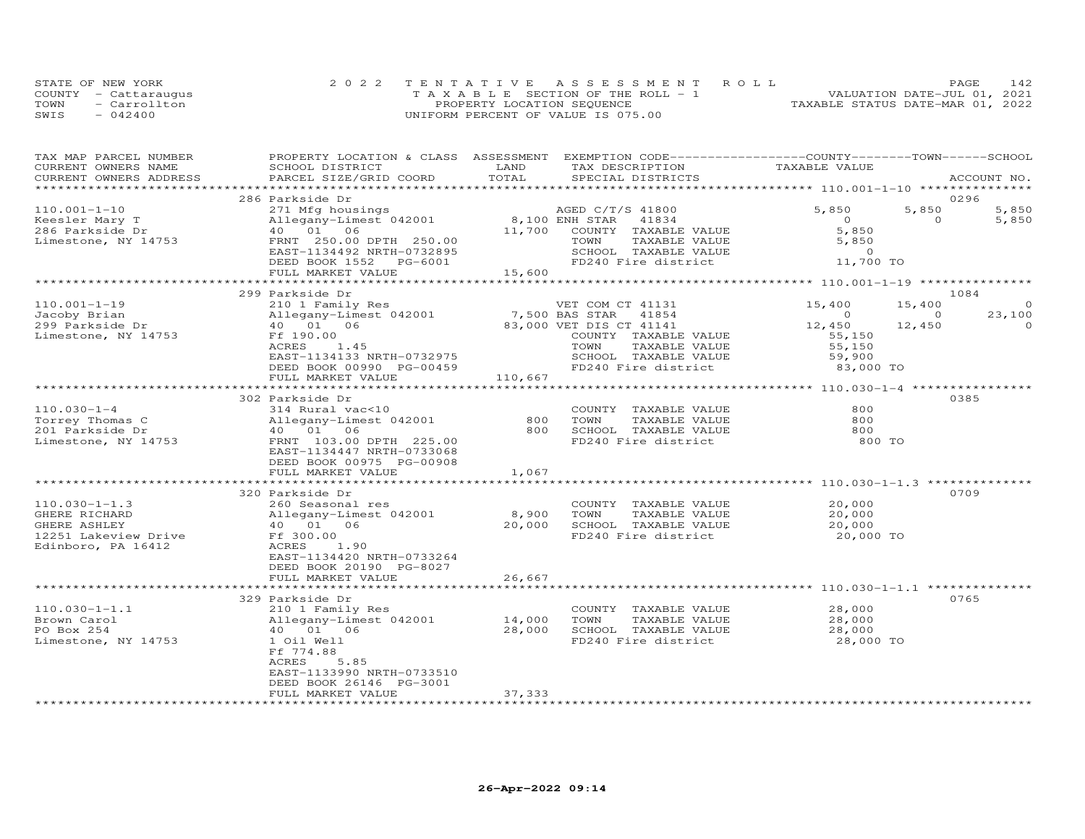|      | STATE OF NEW YORK    | 2022 TENTATIVE ASSESSMENT ROLL        | 142.<br>PAGE                     |
|------|----------------------|---------------------------------------|----------------------------------|
|      | COUNTY - Cattaraugus | T A X A B L E SECTION OF THE ROLL - 1 | VALUATION DATE-JUL 01, 2021      |
| TOWN | - Carrollton         | PROPERTY LOCATION SEQUENCE            | TAXABLE STATUS DATE-MAR 01, 2022 |
| SWIS | $-042400$            | UNIFORM PERCENT OF VALUE IS 075.00    |                                  |

| TAX MAP PARCEL NUMBER<br>CURRENT OWNERS NAME | PROPERTY LOCATION & CLASS ASSESSMENT EXEMPTION CODE----------------COUNTY-------TOWN------SCHOOL<br>SCHOOL DISTRICT | LAND    | TAX DESCRIPTION         | TAXABLE VALUE    |                    |
|----------------------------------------------|---------------------------------------------------------------------------------------------------------------------|---------|-------------------------|------------------|--------------------|
| CURRENT OWNERS ADDRESS                       | PARCEL SIZE/GRID COORD                                                                                              | TOTAL   | SPECIAL DISTRICTS       |                  | ACCOUNT NO.        |
|                                              |                                                                                                                     |         |                         |                  |                    |
|                                              | 286 Parkside Dr                                                                                                     |         |                         |                  | 0296               |
| $110.001 - 1 - 10$                           | 271 Mfg housings                                                                                                    |         | AGED C/T/S 41800        | 5,850<br>5,850   | 5,850              |
| Keesler Mary T                               | Allegany-Limest 042001                                                                                              |         | 8,100 ENH STAR<br>41834 | $\overline{O}$   | $\circ$<br>5,850   |
| 286 Parkside Dr                              | 40  01  06                                                                                                          | 11,700  | COUNTY TAXABLE VALUE    | 5,850            |                    |
| Limestone, NY 14753                          | FRNT 250.00 DPTH 250.00                                                                                             |         | TOWN<br>TAXABLE VALUE   | 5,850            |                    |
|                                              | EAST-1134492 NRTH-0732895                                                                                           |         | SCHOOL TAXABLE VALUE    | $\Omega$         |                    |
|                                              | DEED BOOK 1552 PG-6001                                                                                              |         | FD240 Fire district     | 11,700 TO        |                    |
|                                              | FULL MARKET VALUE                                                                                                   | 15,600  |                         |                  |                    |
|                                              |                                                                                                                     |         |                         |                  |                    |
|                                              | 299 Parkside Dr                                                                                                     |         |                         |                  | 1084               |
| $110.001 - 1 - 19$                           | 210 1 Family Res                                                                                                    |         | VET COM CT 41131        | 15,400<br>15,400 | $\Omega$           |
| Jacoby Brian                                 | Allegany-Limest 042001                                                                                              |         | 7,500 BAS STAR 41854    | $\Omega$         | 23,100<br>$\Omega$ |
| 299 Parkside Dr                              | 40  01  06                                                                                                          |         | 83,000 VET DIS CT 41141 | 12,450<br>12,450 | $\Omega$           |
| Limestone, NY 14753                          | Ff 190.00                                                                                                           |         | COUNTY TAXABLE VALUE    | 55,150           |                    |
|                                              | ACRES<br>1.45                                                                                                       |         | TOWN<br>TAXABLE VALUE   | 55,150           |                    |
|                                              | EAST-1134133 NRTH-0732975                                                                                           |         | SCHOOL TAXABLE VALUE    | 59,900           |                    |
|                                              | DEED BOOK 00990 PG-00459                                                                                            |         | FD240 Fire district     | 83,000 TO        |                    |
|                                              | FULL MARKET VALUE                                                                                                   | 110,667 |                         |                  |                    |
|                                              |                                                                                                                     |         |                         |                  |                    |
|                                              | 302 Parkside Dr                                                                                                     |         |                         |                  | 0385               |
| $110.030 - 1 - 4$                            | 314 Rural vac<10                                                                                                    |         | COUNTY TAXABLE VALUE    | 800              |                    |
| Torrey Thomas C                              | Allegany-Limest 042001                                                                                              | 800     | TOWN<br>TAXABLE VALUE   | 800              |                    |
| 201 Parkside Dr                              | 40  01  06                                                                                                          | 800     | SCHOOL TAXABLE VALUE    | 800              |                    |
| Limestone, NY 14753                          | FRNT 103.00 DPTH 225.00                                                                                             |         | FD240 Fire district     | 800 TO           |                    |
|                                              | EAST-1134447 NRTH-0733068                                                                                           |         |                         |                  |                    |
|                                              | DEED BOOK 00975 PG-00908                                                                                            |         |                         |                  |                    |
|                                              | FULL MARKET VALUE                                                                                                   | 1,067   |                         |                  |                    |
|                                              |                                                                                                                     |         |                         |                  |                    |
|                                              | 320 Parkside Dr                                                                                                     |         |                         |                  | 0709               |
| $110.030 - 1 - 1.3$                          | 260 Seasonal res                                                                                                    |         | COUNTY TAXABLE VALUE    | 20,000           |                    |
| GHERE RICHARD                                | Allegany-Limest 042001                                                                                              | 8,900   | TOWN<br>TAXABLE VALUE   | 20,000           |                    |
| GHERE ASHLEY                                 | 40 01 06                                                                                                            | 20,000  | SCHOOL TAXABLE VALUE    | 20,000           |                    |
|                                              | Ff 300.00                                                                                                           |         | FD240 Fire district     |                  |                    |
| 12251 Lakeview Drive<br>Edinboro, PA 16412   | ACRES<br>1.90                                                                                                       |         |                         | 20,000 TO        |                    |
|                                              | EAST-1134420 NRTH-0733264                                                                                           |         |                         |                  |                    |
|                                              |                                                                                                                     |         |                         |                  |                    |
|                                              | DEED BOOK 20190 PG-8027                                                                                             | 26,667  |                         |                  |                    |
|                                              | FULL MARKET VALUE                                                                                                   |         |                         |                  |                    |
|                                              | 329 Parkside Dr                                                                                                     |         |                         |                  | 0765               |
| $110.030 - 1 - 1.1$                          | 210 1 Family Res                                                                                                    |         | COUNTY TAXABLE VALUE    | 28,000           |                    |
| Brown Carol                                  | Allegany-Limest 042001                                                                                              | 14,000  | TOWN<br>TAXABLE VALUE   | 28,000           |                    |
| PO Box 254                                   | 40  01  06                                                                                                          | 28,000  | SCHOOL TAXABLE VALUE    | 28,000           |                    |
|                                              |                                                                                                                     |         | FD240 Fire district     |                  |                    |
| Limestone, NY 14753                          | 1 Oil Well<br>Ff 774.88                                                                                             |         |                         | 28,000 TO        |                    |
|                                              | ACRES<br>5.85                                                                                                       |         |                         |                  |                    |
|                                              | EAST-1133990 NRTH-0733510                                                                                           |         |                         |                  |                    |
|                                              | DEED BOOK 26146 PG-3001                                                                                             |         |                         |                  |                    |
|                                              | FULL MARKET VALUE                                                                                                   | 37,333  |                         |                  |                    |
|                                              |                                                                                                                     |         |                         |                  |                    |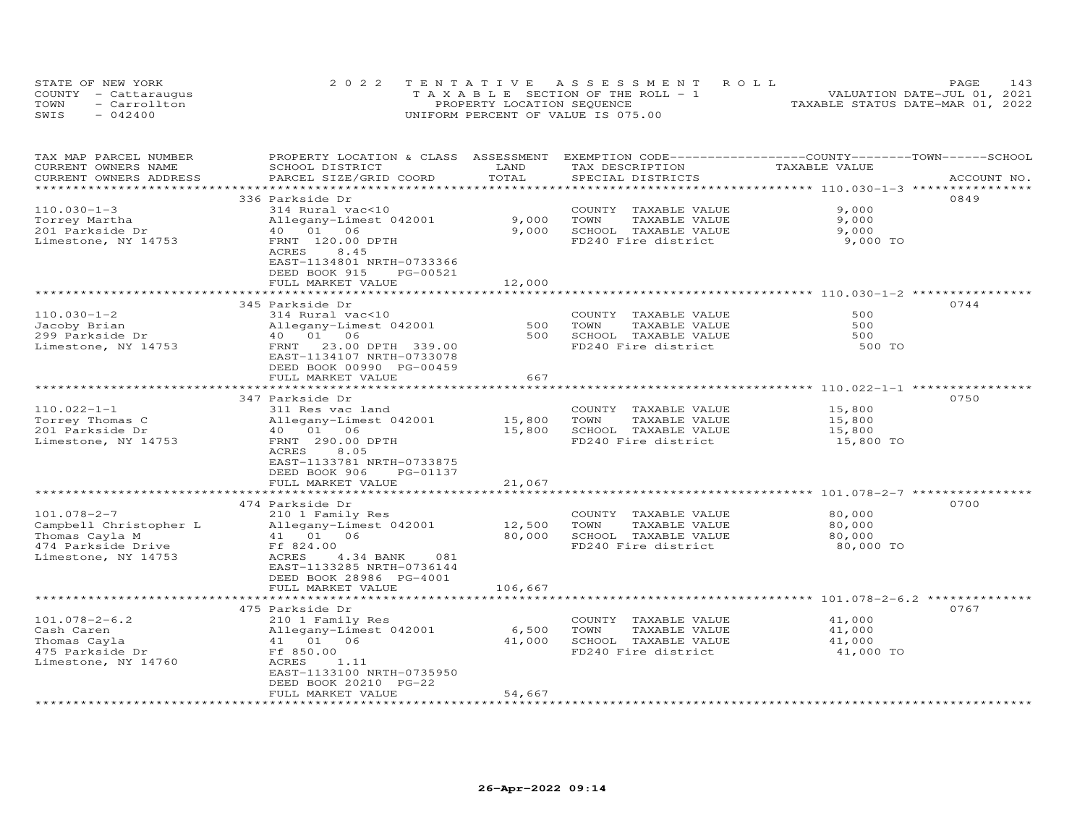|      | STATE OF NEW YORK    | 2022 TENTATIVE ASSESSMENT ROLL        | PAGE.                            |
|------|----------------------|---------------------------------------|----------------------------------|
|      | COUNTY - Cattaraugus | T A X A B L E SECTION OF THE ROLL - 1 | VALUATION DATE-JUL 01, 2021      |
| TOWN | - Carrollton         | PROPERTY LOCATION SEQUENCE            | TAXABLE STATUS DATE-MAR 01, 2022 |
| SWIS | $-042400$            | UNIFORM PERCENT OF VALUE IS 075.00    |                                  |

| TAX MAP PARCEL NUMBER<br>CURRENT OWNERS NAME<br>CURRENT OWNERS ADDRESS                                     | PROPERTY LOCATION & CLASS ASSESSMENT<br>SCHOOL DISTRICT<br>PARCEL SIZE/GRID COORD                                                                                                   | LAND<br>TOTAL              | EXEMPTION CODE-----------------COUNTY-------TOWN------SCHOOL<br>TAX DESCRIPTION<br>SPECIAL DISTRICTS | TAXABLE VALUE                                      | ACCOUNT NO. |
|------------------------------------------------------------------------------------------------------------|-------------------------------------------------------------------------------------------------------------------------------------------------------------------------------------|----------------------------|------------------------------------------------------------------------------------------------------|----------------------------------------------------|-------------|
| ***********************                                                                                    | ****************************                                                                                                                                                        |                            |                                                                                                      |                                                    |             |
| $110.030 - 1 - 3$<br>Torrey Martha                                                                         | 336 Parkside Dr<br>314 Rural vac<10<br>Allegany-Limest 042001                                                                                                                       | 9,000                      | COUNTY<br>TAXABLE VALUE<br>TOWN<br>TAXABLE VALUE                                                     | 9,000<br>9,000                                     | 0849        |
| 201 Parkside Dr<br>Limestone, NY 14753                                                                     | 40  01  06<br>FRNT 120.00 DPTH<br>ACRES<br>8.45<br>EAST-1134801 NRTH-0733366<br>DEED BOOK 915<br>PG-00521                                                                           | 9,000                      | SCHOOL TAXABLE VALUE<br>FD240 Fire district                                                          | 9,000<br>9,000 TO                                  |             |
|                                                                                                            | FULL MARKET VALUE                                                                                                                                                                   | 12,000                     |                                                                                                      |                                                    |             |
|                                                                                                            | 345 Parkside Dr                                                                                                                                                                     |                            |                                                                                                      | ******************** 110.030-1-2 *********         | 0744        |
| $110.030 - 1 - 2$<br>Jacoby Brian<br>299 Parkside Dr<br>Limestone, NY 14753                                | 314 Rural vac<10<br>Allegany-Limest 042001<br>40 01 06<br>23.00 DPTH 339.00<br>FRNT<br>EAST-1134107 NRTH-0733078<br>DEED BOOK 00990 PG-00459                                        | 500<br>500                 | COUNTY TAXABLE VALUE<br>TOWN<br>TAXABLE VALUE<br>SCHOOL TAXABLE VALUE<br>FD240 Fire district         | 500<br>500<br>500<br>500 TO                        |             |
|                                                                                                            | FULL MARKET VALUE                                                                                                                                                                   | 667                        |                                                                                                      |                                                    |             |
|                                                                                                            | 347 Parkside Dr                                                                                                                                                                     |                            |                                                                                                      |                                                    | 0750        |
| $110.022 - 1 - 1$<br>Torrey Thomas C<br>201 Parkside Dr<br>Limestone, NY 14753                             | 311 Res vac land<br>Allegany-Limest 042001<br>40  01  06<br>FRNT 290.00 DPTH<br><b>ACRES</b><br>8.05<br>EAST-1133781 NRTH-0733875<br>DEED BOOK 906<br>PG-01137<br>FULL MARKET VALUE | 15,800<br>15,800<br>21,067 | COUNTY TAXABLE VALUE<br>TOWN<br>TAXABLE VALUE<br>SCHOOL TAXABLE VALUE<br>FD240 Fire district         | 15,800<br>15,800<br>15,800<br>15,800 TO            |             |
|                                                                                                            |                                                                                                                                                                                     | ******************         |                                                                                                      | ******************************** 101.078-2-7 ***** |             |
| $101.078 - 2 - 7$<br>Campbell Christopher L<br>Thomas Cayla M<br>474 Parkside Drive<br>Limestone, NY 14753 | 474 Parkside Dr<br>210 1 Family Res<br>Allegany-Limest 042001<br>41 01<br>06<br>Ff 824.00<br>ACRES<br>4.34 BANK<br>081<br>EAST-1133285 NRTH-0736144<br>DEED BOOK 28986 PG-4001      | 12,500<br>80,000           | COUNTY TAXABLE VALUE<br>TOWN<br>TAXABLE VALUE<br>SCHOOL TAXABLE VALUE<br>FD240 Fire district         | 80,000<br>80,000<br>80,000<br>80,000 TO            | 0700        |
|                                                                                                            | FULL MARKET VALUE                                                                                                                                                                   | 106,667                    |                                                                                                      |                                                    |             |
|                                                                                                            | 475 Parkside Dr                                                                                                                                                                     |                            |                                                                                                      |                                                    | 0767        |
| $101.078 - 2 - 6.2$<br>Cash Caren<br>Thomas Cayla<br>475 Parkside Dr<br>Limestone, NY 14760                | 210 1 Family Res<br>Allegany-Limest 042001<br>41 01 06<br>Ff 850.00<br>ACRES<br>1.11<br>EAST-1133100 NRTH-0735950<br>DEED BOOK 20210 PG-22                                          | 6,500<br>41,000            | COUNTY<br>TAXABLE VALUE<br>TOWN<br>TAXABLE VALUE<br>SCHOOL TAXABLE VALUE<br>FD240 Fire district      | 41,000<br>41,000<br>41,000<br>41,000 TO            |             |
| ************************                                                                                   | FULL MARKET VALUE<br>**************************                                                                                                                                     | 54,667<br>***************  |                                                                                                      |                                                    |             |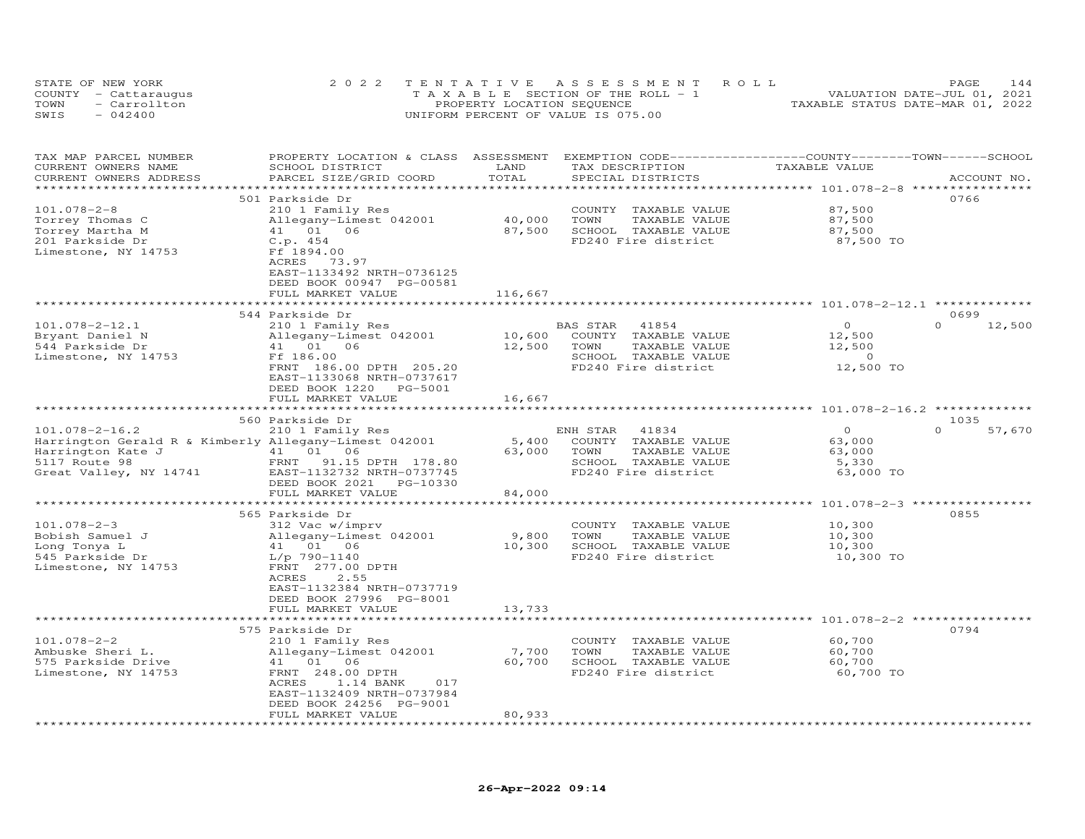|      | STATE OF NEW YORK    | 2022 TENTATIVE ASSESSMENT ROLL        | 144<br>PAGE                      |
|------|----------------------|---------------------------------------|----------------------------------|
|      | COUNTY - Cattaraugus | T A X A B L E SECTION OF THE ROLL - 1 | VALUATION DATE-JUL 01, 2021      |
| TOWN | - Carrollton         | PROPERTY LOCATION SEQUENCE            | TAXABLE STATUS DATE-MAR 01, 2022 |
| SWIS | $-042400$            | UNIFORM PERCENT OF VALUE IS 075.00    |                                  |

| TAX MAP PARCEL NUMBER<br>CURRENT OWNERS NAME<br>CURRENT OWNERS ADDRESS                                                                        | PROPERTY LOCATION & CLASS<br>SCHOOL DISTRICT<br>PARCEL SIZE/GRID COORD                                                                                                                                    | ASSESSMENT<br>LAND<br>TOTAL               | EXEMPTION CODE-----------------COUNTY-------TOWN-----SCHOOL<br>TAX DESCRIPTION<br>SPECIAL DISTRICTS                      | TAXABLE VALUE                                         | ACCOUNT NO.                |
|-----------------------------------------------------------------------------------------------------------------------------------------------|-----------------------------------------------------------------------------------------------------------------------------------------------------------------------------------------------------------|-------------------------------------------|--------------------------------------------------------------------------------------------------------------------------|-------------------------------------------------------|----------------------------|
|                                                                                                                                               |                                                                                                                                                                                                           |                                           |                                                                                                                          | ********* 101.078-2-8 **                              |                            |
| $101.078 - 2 - 8$<br>Torrey Thomas C<br>Torrey Martha M<br>201 Parkside Dr<br>Limestone, NY 14753                                             | 501 Parkside Dr<br>210 1 Family Res<br>Allegany-Limest 042001<br>41 01 06<br>C.p.454<br>Ff 1894.00<br>ACRES<br>73.97<br>EAST-1133492 NRTH-0736125<br>DEED BOOK 00947 PG-00581                             | 40,000<br>87,500                          | COUNTY<br>TAXABLE VALUE<br>TAXABLE VALUE<br>TOWN<br>SCHOOL TAXABLE VALUE<br>FD240 Fire district                          | 87,500<br>87,500<br>87,500<br>87,500 TO               | 0766                       |
|                                                                                                                                               | FULL MARKET VALUE                                                                                                                                                                                         | 116,667                                   |                                                                                                                          |                                                       |                            |
|                                                                                                                                               |                                                                                                                                                                                                           |                                           |                                                                                                                          | *********** 101.078-2-12.1 *                          |                            |
| $101.078 - 2 - 12.1$<br>Bryant Daniel N<br>544 Parkside Dr<br>Limestone, NY 14753                                                             | 544 Parkside Dr<br>210 1 Family Res<br>Allegany-Limest 042001<br>41  01  06<br>Ff 186.00<br>FRNT 186.00 DPTH 205.20<br>EAST-1133068 NRTH-0737617<br>DEED BOOK 1220<br>PG-5001                             | 10,600<br>12,500                          | <b>BAS STAR</b><br>41854<br>COUNTY TAXABLE VALUE<br>TOWN<br>TAXABLE VALUE<br>SCHOOL TAXABLE VALUE<br>FD240 Fire district | $\Omega$<br>12,500<br>12,500<br>$\sim$ 0<br>12,500 TO | 0699<br>$\Omega$<br>12,500 |
|                                                                                                                                               | FULL MARKET VALUE                                                                                                                                                                                         | 16,667                                    |                                                                                                                          |                                                       |                            |
|                                                                                                                                               |                                                                                                                                                                                                           |                                           |                                                                                                                          | ************* 101.078-2-16.2 **************           |                            |
|                                                                                                                                               | 560 Parkside Dr                                                                                                                                                                                           |                                           |                                                                                                                          |                                                       | 1035                       |
| $101.078 - 2 - 16.2$<br>Harrington Gerald R & Kimberly Allegany-Limest 042001<br>Harrington Kate J<br>5117 Route 98<br>Great Valley, NY 14741 | 210 1 Family Res<br>41 01 06<br>FRNT<br>91.15 DPTH 178.80<br>EAST-1132732 NRTH-0737745<br>DEED BOOK 2021<br>PG-10330<br>FULL MARKET VALUE<br>**************************                                   | 5,400<br>63,000<br>84,000<br>************ | ENH STAR<br>41834<br>COUNTY<br>TAXABLE VALUE<br>TOWN<br>TAXABLE VALUE<br>SCHOOL TAXABLE VALUE<br>FD240 Fire district     | $\Omega$<br>63,000<br>63,000<br>5,330<br>63,000 TO    | $\Omega$<br>57,670         |
|                                                                                                                                               | 565 Parkside Dr                                                                                                                                                                                           |                                           |                                                                                                                          | *********************** 101.078-2-3 ****************  | 0855                       |
| $101.078 - 2 - 3$<br>Bobish Samuel J<br>Long Tonya L<br>545 Parkside Dr<br>Limestone, NY 14753                                                | 312 Vac w/imprv<br>Allegany-Limest 042001<br>41 01 06<br>$L/p$ 790-1140<br>FRNT 277.00 DPTH<br>ACRES<br>2.55<br>EAST-1132384 NRTH-0737719<br>DEED BOOK 27996 PG-8001                                      | 9,800<br>10,300                           | COUNTY<br>TAXABLE VALUE<br>TOWN<br>TAXABLE VALUE<br>SCHOOL TAXABLE VALUE<br>FD240 Fire district                          | 10,300<br>10,300<br>10,300<br>10,300 TO               |                            |
|                                                                                                                                               | FULL MARKET VALUE                                                                                                                                                                                         | 13,733                                    |                                                                                                                          |                                                       |                            |
| $101.078 - 2 - 2$<br>Ambuske Sheri L.<br>575 Parkside Drive<br>Limestone, NY 14753                                                            | 575 Parkside Dr<br>210 1 Family Res<br>Allegany-Limest 042001<br>41  01  06<br>FRNT 248.00 DPTH<br>017<br>ACRES<br>1.14 BANK<br>EAST-1132409 NRTH-0737984<br>DEED BOOK 24256 PG-9001<br>FULL MARKET VALUE | 7,700<br>60,700<br>80,933                 | COUNTY TAXABLE VALUE<br>TOWN<br>TAXABLE VALUE<br>SCHOOL TAXABLE VALUE<br>FD240 Fire district                             | 60,700<br>60,700<br>60,700<br>60,700 TO               | 0794                       |
|                                                                                                                                               |                                                                                                                                                                                                           |                                           |                                                                                                                          |                                                       |                            |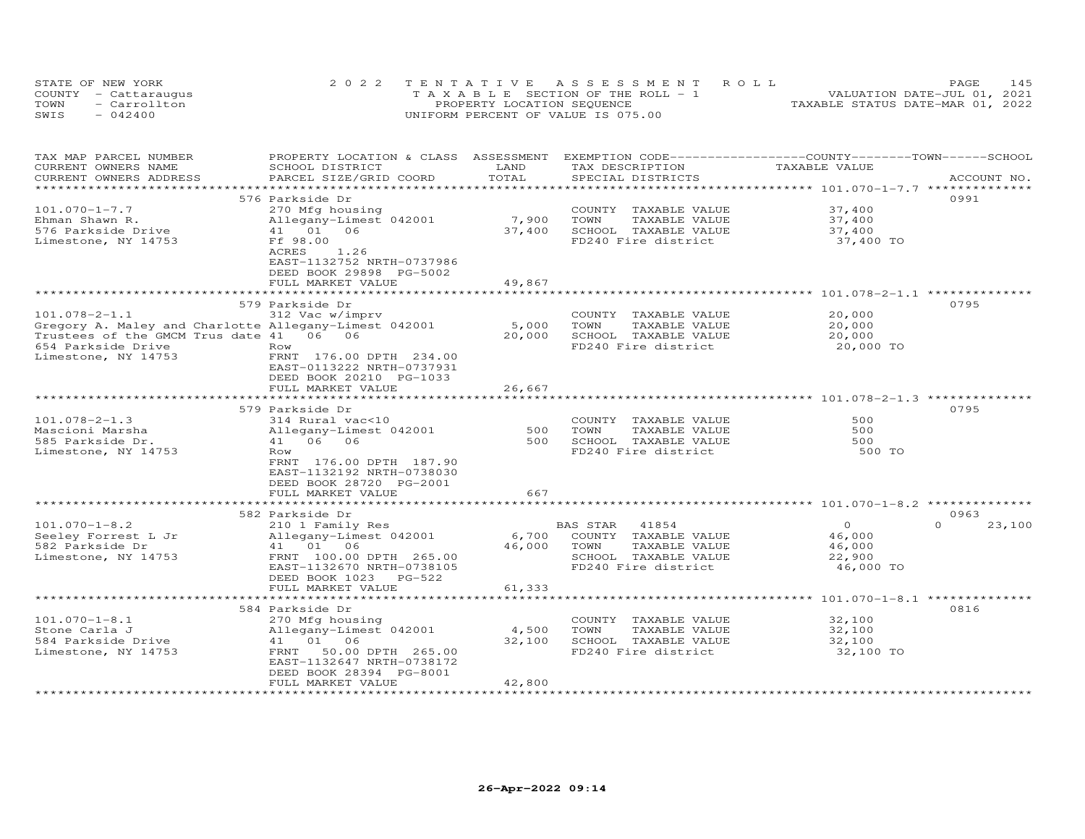|      | STATE OF NEW YORK    | 2022 TENTATIVE ASSESSMENT ROLL        | 145<br>PAGE.                     |
|------|----------------------|---------------------------------------|----------------------------------|
|      | COUNTY - Cattaraugus | T A X A B L E SECTION OF THE ROLL - 1 | VALUATION DATE-JUL 01, 2021      |
| TOWN | - Carrollton         | PROPERTY LOCATION SEQUENCE            | TAXABLE STATUS DATE-MAR 01, 2022 |
| SWIS | $-042400$            | UNIFORM PERCENT OF VALUE IS 075.00    |                                  |

| TAX MAP PARCEL NUMBER<br>CURRENT OWNERS NAME<br>CURRENT OWNERS ADDRESS                                                                                               | PROPERTY LOCATION & CLASS ASSESSMENT<br>SCHOOL DISTRICT<br>PARCEL SIZE/GRID COORD                                                                                                                              | LAND<br>TOTAL             | TAX DESCRIPTION<br>SPECIAL DISTRICTS                                                                              | EXEMPTION CODE-----------------COUNTY-------TOWN------SCHOOL<br>TAXABLE VALUE | ACCOUNT NO.                |
|----------------------------------------------------------------------------------------------------------------------------------------------------------------------|----------------------------------------------------------------------------------------------------------------------------------------------------------------------------------------------------------------|---------------------------|-------------------------------------------------------------------------------------------------------------------|-------------------------------------------------------------------------------|----------------------------|
|                                                                                                                                                                      | ***********************                                                                                                                                                                                        |                           |                                                                                                                   |                                                                               |                            |
| $101.070 - 1 - 7.7$<br>Ehman Shawn R.<br>576 Parkside Drive<br>Limestone, NY 14753                                                                                   | 576 Parkside Dr<br>270 Mfg housing<br>Allegany-Limest 042001<br>41 01 06<br>Ff 98.00<br>1.26<br>ACRES<br>EAST-1132752 NRTH-0737986<br>DEED BOOK 29898 PG-5002<br>FULL MARKET VALUE<br>************************ | 7,900<br>37,400<br>49,867 | COUNTY TAXABLE VALUE<br>TAXABLE VALUE<br>TOWN<br>SCHOOL TAXABLE VALUE<br>FD240 Fire district                      | 37,400<br>37,400<br>37,400<br>37,400 TO                                       | 0991                       |
|                                                                                                                                                                      | 579 Parkside Dr                                                                                                                                                                                                |                           |                                                                                                                   | ************************ 101.078-2-1.1 **************                         | 0795                       |
| $101.078 - 2 - 1.1$<br>Gregory A. Maley and Charlotte Allegany-Limest 042001<br>Trustees of the GMCM Trus date 41 06 06<br>654 Parkside Drive<br>Limestone, NY 14753 | 312 Vac w/imprv<br>Row<br>FRNT 176.00 DPTH 234.00<br>EAST-0113222 NRTH-0737931<br>DEED BOOK 20210 PG-1033                                                                                                      | 5,000<br>20,000           | COUNTY TAXABLE VALUE<br>TOWN<br>TAXABLE VALUE<br>SCHOOL TAXABLE VALUE<br>FD240 Fire district                      | 20,000<br>20,000<br>20,000<br>20,000 TO                                       |                            |
|                                                                                                                                                                      | FULL MARKET VALUE                                                                                                                                                                                              | 26,667                    |                                                                                                                   |                                                                               |                            |
|                                                                                                                                                                      | 579 Parkside Dr                                                                                                                                                                                                |                           |                                                                                                                   |                                                                               | 0795                       |
| $101.078 - 2 - 1.3$<br>Mascioni Marsha<br>585 Parkside Dr.<br>Limestone, NY 14753                                                                                    | 314 Rural vac<10<br>Allegany-Limest 042001<br>41 06 06<br>Row<br>FRNT 176.00 DPTH 187.90<br>EAST-1132192 NRTH-0738030<br>DEED BOOK 28720 PG-2001                                                               | 500<br>500                | COUNTY TAXABLE VALUE<br>TOWN<br>TAXABLE VALUE<br>SCHOOL TAXABLE VALUE<br>FD240 Fire district                      | 500<br>500<br>500<br>500 TO                                                   |                            |
|                                                                                                                                                                      | FULL MARKET VALUE                                                                                                                                                                                              | 667                       |                                                                                                                   |                                                                               |                            |
| $101.070 - 1 - 8.2$<br>Seeley Forrest L Jr<br>582 Parkside Dr<br>Limestone, NY 14753                                                                                 | 582 Parkside Dr<br>210 1 Family Res<br>Allegany-Limest 042001<br>41 01 06<br>FRNT 100.00 DPTH 265.00<br>EAST-1132670 NRTH-0738105<br>DEED BOOK 1023<br>$PG-522$<br>FULL MARKET VALUE                           | 6,700<br>46,000<br>61,333 | 41854<br>BAS STAR<br>COUNTY TAXABLE VALUE<br>TOWN<br>TAXABLE VALUE<br>SCHOOL TAXABLE VALUE<br>FD240 Fire district | $\Omega$<br>46,000<br>46,000<br>22,900<br>46,000 TO                           | 0963<br>$\Omega$<br>23,100 |
|                                                                                                                                                                      |                                                                                                                                                                                                                |                           |                                                                                                                   | ********************* 101.070-1-8.1 ***************                           |                            |
| $101.070 - 1 - 8.1$<br>Stone Carla J<br>584 Parkside Drive<br>Limestone, NY 14753                                                                                    | 584 Parkside Dr<br>270 Mfg housing<br>Allegany-Limest 042001<br>41 01 06<br>50.00 DPTH 265.00<br>FRNT<br>EAST-1132647 NRTH-0738172<br>DEED BOOK 28394 PG-8001<br>FULL MARKET VALUE                             | 4,500<br>32,100<br>42,800 | COUNTY TAXABLE VALUE<br>TOWN<br>TAXABLE VALUE<br>SCHOOL TAXABLE VALUE<br>FD240 Fire district                      | 32,100<br>32,100<br>32,100<br>32,100 TO                                       | 0816                       |
|                                                                                                                                                                      |                                                                                                                                                                                                                |                           |                                                                                                                   |                                                                               |                            |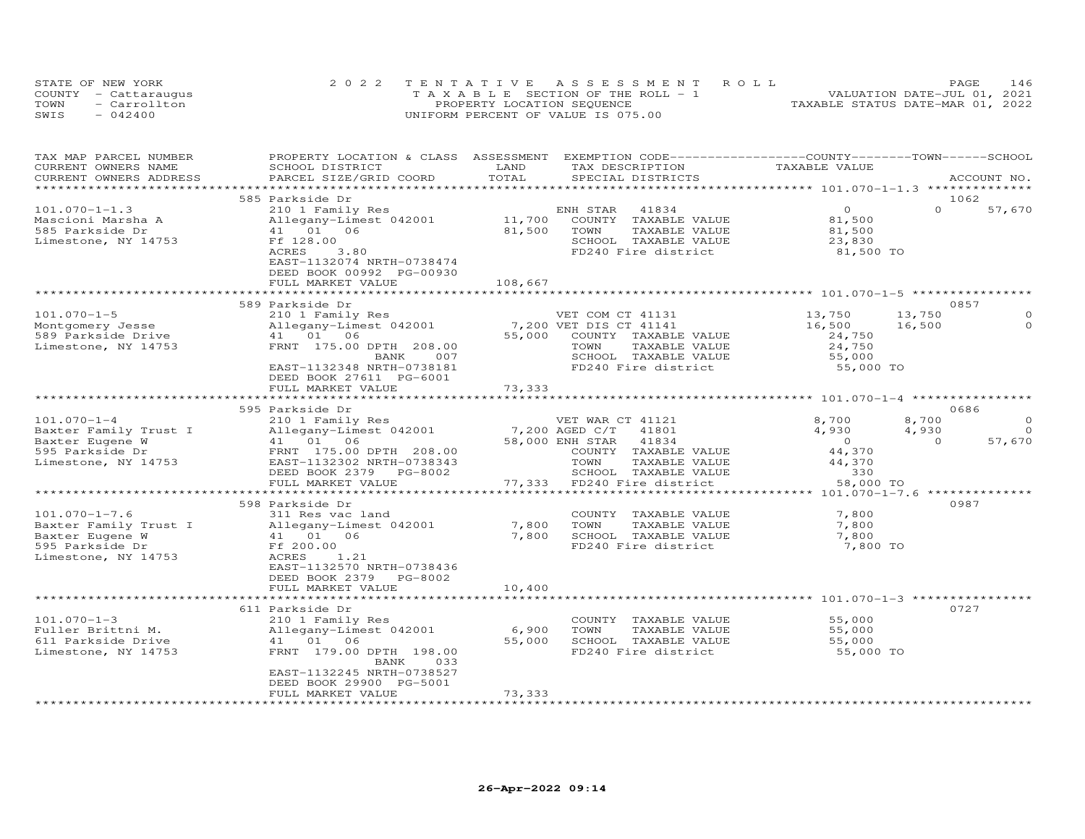|      | STATE OF NEW YORK    | 2022 TENTATIVE ASSESSMENT ROLL        | 146<br><b>PAGE</b>               |
|------|----------------------|---------------------------------------|----------------------------------|
|      | COUNTY - Cattaraugus | T A X A B L E SECTION OF THE ROLL - 1 | VALUATION DATE-JUL 01, 2021      |
| TOWN | - Carrollton         | PROPERTY LOCATION SEQUENCE            | TAXABLE STATUS DATE-MAR 01, 2022 |
| SWIS | $-042400$            | UNIFORM PERCENT OF VALUE IS 075.00    |                                  |

| TAX MAP PARCEL NUMBER  | PROPERTY LOCATION & CLASS ASSESSMENT EXEMPTION CODE-----------------COUNTY-------TOWN------SCHOOL |         |                                               |                |          |             |
|------------------------|---------------------------------------------------------------------------------------------------|---------|-----------------------------------------------|----------------|----------|-------------|
| CURRENT OWNERS NAME    | SCHOOL DISTRICT                                                                                   | LAND    | TAX DESCRIPTION                               | TAXABLE VALUE  |          |             |
| CURRENT OWNERS ADDRESS | PARCEL SIZE/GRID COORD                                                                            | TOTAL   | SPECIAL DISTRICTS                             |                |          | ACCOUNT NO. |
|                        |                                                                                                   |         |                                               |                |          |             |
|                        | 585 Parkside Dr                                                                                   |         |                                               |                |          | 1062        |
| $101.070 - 1 - 1.3$    | 210 1 Family Res                                                                                  |         | ENH STAR<br>41834                             | $\Omega$       | $\Omega$ | 57,670      |
| Mascioni Marsha A      | Allegany-Limest 042001                                                                            | 11,700  | COUNTY TAXABLE VALUE                          | 81,500         |          |             |
| 585 Parkside Dr        | 41 01<br>06                                                                                       | 81,500  | TOWN<br>TAXABLE VALUE                         | 81,500         |          |             |
| Limestone, NY 14753    | Ff 128.00<br>3,80<br>ACRES                                                                        |         | SCHOOL TAXABLE VALUE                          | 23,830         |          |             |
|                        | EAST-1132074 NRTH-0738474                                                                         |         | FD240 Fire district                           | 81,500 TO      |          |             |
|                        | DEED BOOK 00992 PG-00930                                                                          |         |                                               |                |          |             |
|                        | FULL MARKET VALUE                                                                                 | 108,667 |                                               |                |          |             |
|                        |                                                                                                   |         |                                               |                |          |             |
|                        | 589 Parkside Dr                                                                                   |         |                                               |                |          | 0857        |
| $101.070 - 1 - 5$      | 210 1 Family Res                                                                                  |         | VET COM CT 41131                              | 13,750         | 13,750   | $\Omega$    |
| Montgomery Jesse       | Allegany-Limest 042001                                                                            |         | 7,200 VET DIS CT 41141                        | 16,500         | 16,500   | $\Omega$    |
| 589 Parkside Drive     | 41 01 06                                                                                          | 55,000  | COUNTY TAXABLE VALUE                          | 24,750         |          |             |
| Limestone, NY 14753    | FRNT 175.00 DPTH 208.00                                                                           |         | TOWN<br>TAXABLE VALUE                         | 24,750         |          |             |
|                        | 007<br>BANK                                                                                       |         | SCHOOL TAXABLE VALUE                          | 55,000         |          |             |
|                        | EAST-1132348 NRTH-0738181                                                                         |         | FD240 Fire district                           | 55,000 TO      |          |             |
|                        | DEED BOOK 27611 PG-6001                                                                           |         |                                               |                |          |             |
|                        | FULL MARKET VALUE                                                                                 | 73,333  |                                               |                |          |             |
|                        |                                                                                                   |         |                                               |                |          |             |
|                        | 595 Parkside Dr                                                                                   |         |                                               |                |          | 0686        |
| $101.070 - 1 - 4$      | 210 1 Family Res                                                                                  |         | VET WAR CT 41121                              | 8,700          | 8,700    | $\Omega$    |
| Baxter Family Trust I  | Allegany-Limest 042001                                                                            |         | 7,200 AGED C/T<br>41801                       | 4,930          | 4,930    | $\Omega$    |
| Baxter Eugene W        | 41 01 06                                                                                          |         | 58,000 ENH STAR<br>41834                      | $\overline{0}$ | $\Omega$ | 57,670      |
| 595 Parkside Dr        | FRNT 175.00 DPTH 208.00<br>EAST-1132302 NRTH-0738343                                              |         | COUNTY TAXABLE VALUE<br>TOWN<br>TAXABLE VALUE | 44,370         |          |             |
| Limestone, NY 14753    | DEED BOOK 2379 PG-8002                                                                            |         | SCHOOL TAXABLE VALUE                          | 44,370<br>330  |          |             |
|                        | FULL MARKET VALUE                                                                                 |         | 77,333 FD240 Fire district                    | 58,000 TO      |          |             |
|                        |                                                                                                   |         |                                               |                |          |             |
|                        | 598 Parkside Dr                                                                                   |         |                                               |                |          | 0987        |
| $101.070 - 1 - 7.6$    | 311 Res vac land                                                                                  |         | COUNTY TAXABLE VALUE                          | 7,800          |          |             |
| Baxter Family Trust I  | Allegany-Limest 042001                                                                            | 7,800   | TOWN<br>TAXABLE VALUE                         | 7,800          |          |             |
| Baxter Eugene W        | 41 01<br>06                                                                                       | 7,800   | SCHOOL TAXABLE VALUE                          | 7,800          |          |             |
| 595 Parkside Dr        | Ff 200.00                                                                                         |         | FD240 Fire district                           | 7,800 TO       |          |             |
| Limestone, NY 14753    | 1.21<br>ACRES                                                                                     |         |                                               |                |          |             |
|                        | EAST-1132570 NRTH-0738436                                                                         |         |                                               |                |          |             |
|                        | DEED BOOK 2379<br>PG-8002                                                                         |         |                                               |                |          |             |
|                        | FULL MARKET VALUE                                                                                 | 10,400  |                                               |                |          |             |
|                        |                                                                                                   |         |                                               |                |          |             |
|                        | 611 Parkside Dr                                                                                   |         |                                               |                |          | 0727        |
| $101.070 - 1 - 3$      | 210 1 Family Res                                                                                  |         | COUNTY TAXABLE VALUE                          | 55,000         |          |             |
| Fuller Brittni M.      | Allegany-Limest 042001                                                                            | 6,900   | TOWN<br>TAXABLE VALUE                         | 55,000         |          |             |
| 611 Parkside Drive     | 41 01<br>06                                                                                       | 55,000  | SCHOOL TAXABLE VALUE<br>FD240 Fire district   | 55,000         |          |             |
| Limestone, NY 14753    | FRNT 179.00 DPTH 198.00<br>033<br>BANK                                                            |         |                                               | 55,000 TO      |          |             |
|                        | EAST-1132245 NRTH-0738527                                                                         |         |                                               |                |          |             |
|                        | DEED BOOK 29900 PG-5001                                                                           |         |                                               |                |          |             |
|                        | FULL MARKET VALUE                                                                                 | 73,333  |                                               |                |          |             |
|                        |                                                                                                   |         |                                               |                |          |             |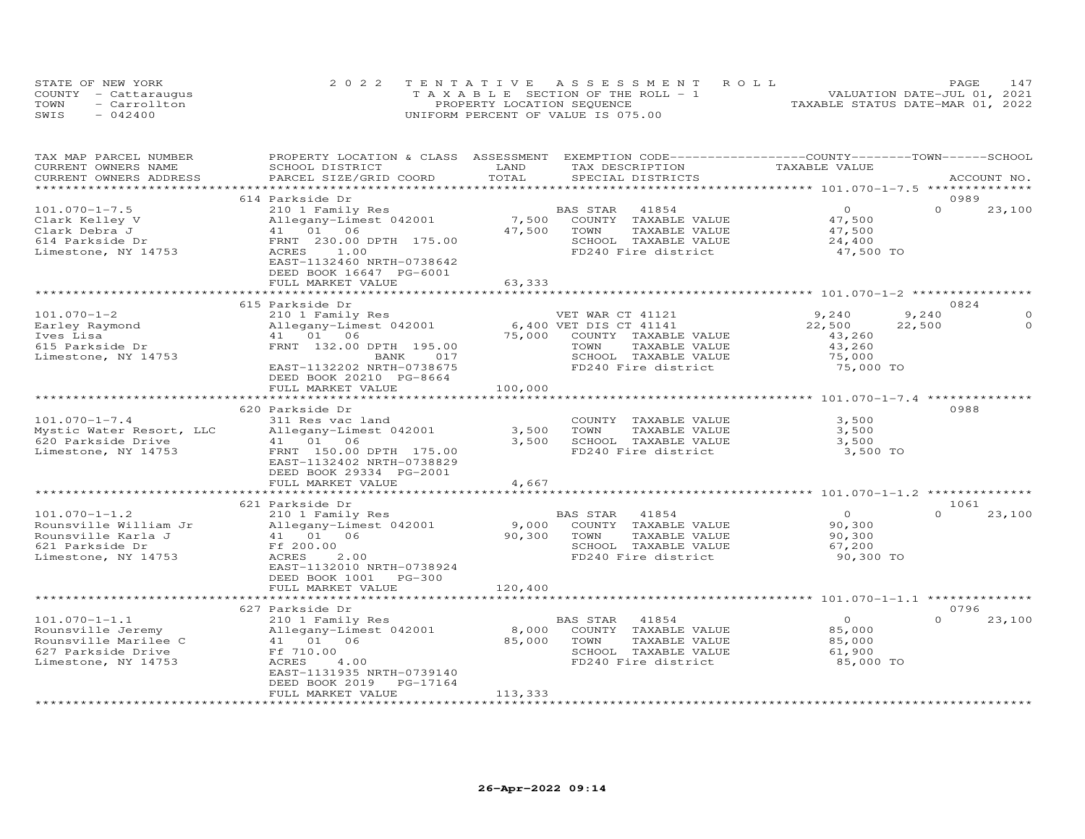|      | STATE OF NEW YORK    | 2022 TENTATIVE ASSESSMENT ROLL        | 147<br>PAGE                      |
|------|----------------------|---------------------------------------|----------------------------------|
|      | COUNTY - Cattaraugus | T A X A B L E SECTION OF THE ROLL - 1 | VALUATION DATE-JUL 01, 2021      |
| TOWN | - Carrollton         | PROPERTY LOCATION SEQUENCE            | TAXABLE STATUS DATE-MAR 01, 2022 |
| SWIS | $-042400$            | UNIFORM PERCENT OF VALUE IS 075.00    |                                  |

| TAXABLE VALUE<br>CURRENT OWNERS NAME<br>SCHOOL DISTRICT<br>LAND<br>TAX DESCRIPTION<br>TOTAL<br>PARCEL SIZE/GRID COORD<br>CURRENT OWNERS ADDRESS<br>SPECIAL DISTRICTS<br>ACCOUNT NO.<br>***********************<br>614 Parkside Dr<br>0989<br>$101.070 - 1 - 7.5$<br>$\Omega$<br>$\Omega$<br>210 1 Family Res<br>BAS STAR<br>41854<br>7,500<br>Clark Kelley V<br>Allegany-Limest 042001<br>COUNTY TAXABLE VALUE<br>47,500 |          |
|--------------------------------------------------------------------------------------------------------------------------------------------------------------------------------------------------------------------------------------------------------------------------------------------------------------------------------------------------------------------------------------------------------------------------|----------|
|                                                                                                                                                                                                                                                                                                                                                                                                                          |          |
|                                                                                                                                                                                                                                                                                                                                                                                                                          |          |
|                                                                                                                                                                                                                                                                                                                                                                                                                          |          |
|                                                                                                                                                                                                                                                                                                                                                                                                                          |          |
|                                                                                                                                                                                                                                                                                                                                                                                                                          | 23,100   |
|                                                                                                                                                                                                                                                                                                                                                                                                                          |          |
| 41  01  06<br>47,500<br>Clark Debra J<br>TOWN<br>TAXABLE VALUE<br>47,500                                                                                                                                                                                                                                                                                                                                                 |          |
| FRNT 230.00 DPTH 175.00<br>SCHOOL TAXABLE VALUE<br>614 Parkside Dr<br>24,400                                                                                                                                                                                                                                                                                                                                             |          |
| Limestone, NY 14753<br>ACRES<br>1.00<br>FD240 Fire district<br>47,500 TO                                                                                                                                                                                                                                                                                                                                                 |          |
| EAST-1132460 NRTH-0738642                                                                                                                                                                                                                                                                                                                                                                                                |          |
| DEED BOOK 16647 PG-6001                                                                                                                                                                                                                                                                                                                                                                                                  |          |
| FULL MARKET VALUE<br>63,333                                                                                                                                                                                                                                                                                                                                                                                              |          |
| ************ 101.070-1-2 ***************<br>*******                                                                                                                                                                                                                                                                                                                                                                      |          |
| 615 Parkside Dr<br>0824                                                                                                                                                                                                                                                                                                                                                                                                  |          |
| $101.070 - 1 - 2$<br>9,240<br>9.240<br>210 1 Family Res<br>VET WAR CT 41121                                                                                                                                                                                                                                                                                                                                              |          |
| 6,400 VET DIS CT 41141<br>22,500<br>Earley Raymond<br>Allegany-Limest 042001<br>22,500                                                                                                                                                                                                                                                                                                                                   | $\Omega$ |
| 41 01 06<br>75,000<br>Ives Lisa<br>43,260<br>COUNTY TAXABLE VALUE                                                                                                                                                                                                                                                                                                                                                        |          |
| FRNT 132.00 DPTH 195.00<br>615 Parkside Dr<br>TOWN<br>TAXABLE VALUE<br>43,260                                                                                                                                                                                                                                                                                                                                            |          |
| SCHOOL TAXABLE VALUE<br>75,000<br>Limestone, NY 14753<br>BANK<br>017                                                                                                                                                                                                                                                                                                                                                     |          |
| EAST-1132202 NRTH-0738675<br>FD240 Fire district<br>75,000 TO                                                                                                                                                                                                                                                                                                                                                            |          |
| DEED BOOK 20210 PG-8664                                                                                                                                                                                                                                                                                                                                                                                                  |          |
| FULL MARKET VALUE<br>100,000                                                                                                                                                                                                                                                                                                                                                                                             |          |
| ************<br>*********************** 101.070-1-7.4 ***************                                                                                                                                                                                                                                                                                                                                                    |          |
| 0988<br>620 Parkside Dr                                                                                                                                                                                                                                                                                                                                                                                                  |          |
| $101.070 - 1 - 7.4$<br>3,500<br>311 Res vac land<br>COUNTY TAXABLE VALUE                                                                                                                                                                                                                                                                                                                                                 |          |
| Mystic Water Resort, LLC<br>Allegany-Limest 042001<br>3,500<br>TOWN<br>TAXABLE VALUE<br>3,500                                                                                                                                                                                                                                                                                                                            |          |
| 620 Parkside Drive<br>3,500<br>SCHOOL TAXABLE VALUE<br>3,500<br>41 01 06                                                                                                                                                                                                                                                                                                                                                 |          |
| FRNT 150.00 DPTH 175.00<br>FD240 Fire district<br>3,500 TO<br>Limestone, NY 14753                                                                                                                                                                                                                                                                                                                                        |          |
| EAST-1132402 NRTH-0738829                                                                                                                                                                                                                                                                                                                                                                                                |          |
| DEED BOOK 29334 PG-2001                                                                                                                                                                                                                                                                                                                                                                                                  |          |
| FULL MARKET VALUE<br>4,667                                                                                                                                                                                                                                                                                                                                                                                               |          |
| *********** 101.070-1-1.2                                                                                                                                                                                                                                                                                                                                                                                                |          |
| 621 Parkside Dr<br>1061                                                                                                                                                                                                                                                                                                                                                                                                  |          |
| $101.070 - 1 - 1.2$<br>41854<br>$\Omega$<br>$\Omega$<br>210 1 Family Res<br>BAS STAR                                                                                                                                                                                                                                                                                                                                     | 23,100   |
| Rounsville William Jr<br>90,300<br>Allegany-Limest 042001<br>9,000<br>COUNTY TAXABLE VALUE                                                                                                                                                                                                                                                                                                                               |          |
| Rounsville Karla J<br>41 01 06<br>90,300<br>TOWN<br>TAXABLE VALUE<br>90,300                                                                                                                                                                                                                                                                                                                                              |          |
| Ff 200.00<br>SCHOOL TAXABLE VALUE<br>621 Parkside Dr<br>67,200                                                                                                                                                                                                                                                                                                                                                           |          |
| FD240 Fire district<br>Limestone, NY 14753<br>ACRES<br>2.00<br>90,300 TO                                                                                                                                                                                                                                                                                                                                                 |          |
| EAST-1132010 NRTH-0738924                                                                                                                                                                                                                                                                                                                                                                                                |          |
| DEED BOOK 1001<br>$PG-300$                                                                                                                                                                                                                                                                                                                                                                                               |          |
| 120,400<br>FULL MARKET VALUE                                                                                                                                                                                                                                                                                                                                                                                             |          |
|                                                                                                                                                                                                                                                                                                                                                                                                                          |          |
| 627 Parkside Dr<br>0796                                                                                                                                                                                                                                                                                                                                                                                                  |          |
| $101.070 - 1 - 1.1$<br>$\Omega$<br>210 1 Family Res<br>41854<br>$\circ$<br>BAS STAR                                                                                                                                                                                                                                                                                                                                      | 23,100   |
| Rounsville Jeremy<br>Allegany-Limest 042001<br>8,000<br>COUNTY TAXABLE VALUE<br>85,000                                                                                                                                                                                                                                                                                                                                   |          |
| Rounsville Marilee C<br>06<br>85,000<br>41 01<br>TOWN<br>TAXABLE VALUE<br>85,000                                                                                                                                                                                                                                                                                                                                         |          |
| 627 Parkside Drive<br>Ff 710.00<br>SCHOOL TAXABLE VALUE<br>61,900                                                                                                                                                                                                                                                                                                                                                        |          |
| FD240 Fire district<br>Limestone, NY 14753<br>ACRES<br>4.00<br>85,000 TO                                                                                                                                                                                                                                                                                                                                                 |          |
| EAST-1131935 NRTH-0739140                                                                                                                                                                                                                                                                                                                                                                                                |          |
| DEED BOOK 2019<br>PG-17164                                                                                                                                                                                                                                                                                                                                                                                               |          |
| FULL MARKET VALUE<br>113,333<br>*******************<br>***********************<br>***************                                                                                                                                                                                                                                                                                                                        |          |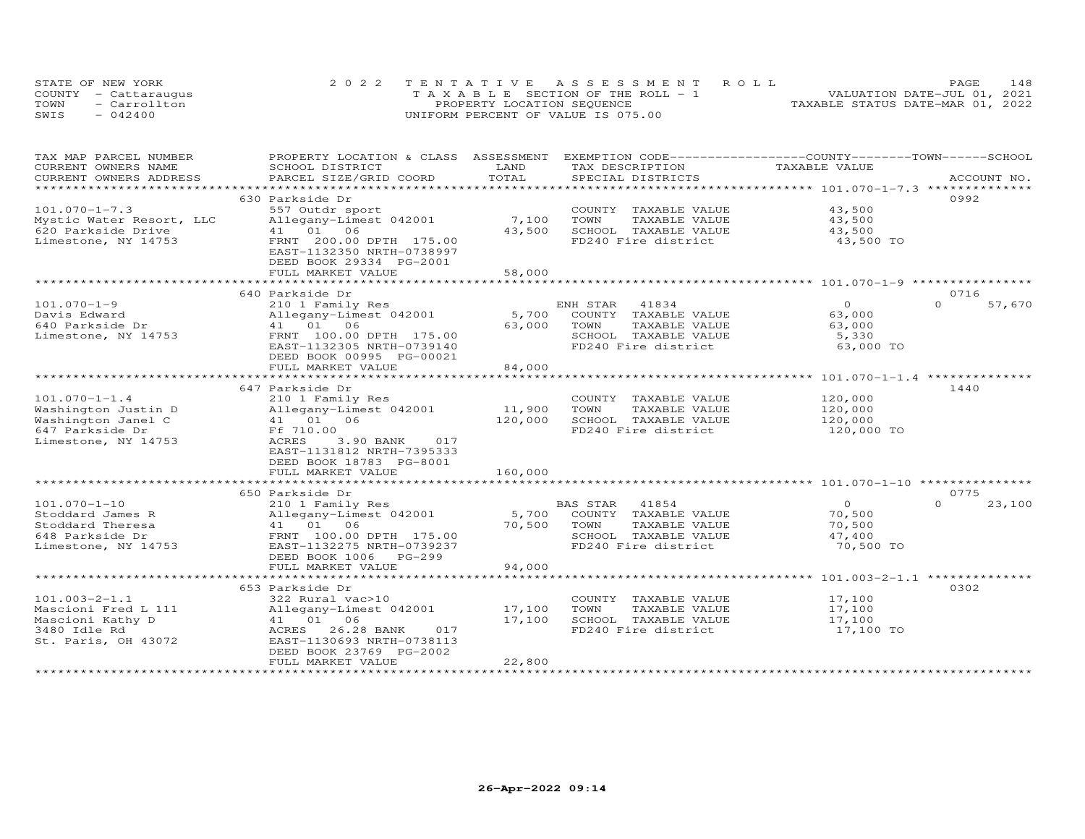|      | STATE OF NEW YORK    | 2022 TENTATIVE ASSESSMENT ROLL        | 148<br>PAGE.                     |
|------|----------------------|---------------------------------------|----------------------------------|
|      | COUNTY - Cattaraugus | T A X A B L E SECTION OF THE ROLL - 1 | VALUATION DATE-JUL 01, 2021      |
| TOWN | - Carrollton         | PROPERTY LOCATION SEQUENCE            | TAXABLE STATUS DATE-MAR 01, 2022 |
| SWIS | $-042400$            | UNIFORM PERCENT OF VALUE IS 075.00    |                                  |

| TAX MAP PARCEL NUMBER    | PROPERTY LOCATION & CLASS ASSESSMENT               |                          | EXEMPTION CODE------------------COUNTY-------TOWN-----SCHOOL |                |                    |
|--------------------------|----------------------------------------------------|--------------------------|--------------------------------------------------------------|----------------|--------------------|
| CURRENT OWNERS NAME      | SCHOOL DISTRICT                                    | LAND                     | TAX DESCRIPTION                                              | TAXABLE VALUE  |                    |
| CURRENT OWNERS ADDRESS   | PARCEL SIZE/GRID COORD                             | TOTAL                    | SPECIAL DISTRICTS                                            |                | ACCOUNT NO.        |
| **********************   | ****************************                       |                          |                                                              |                |                    |
|                          | 630 Parkside Dr                                    |                          |                                                              |                | 0992               |
| $101.070 - 1 - 7.3$      | 557 Outdr sport                                    |                          | COUNTY TAXABLE VALUE                                         | 43,500         |                    |
| Mystic Water Resort, LLC | Allegany-Limest 042001                             | 7,100                    | TOWN<br>TAXABLE VALUE                                        | 43,500         |                    |
| 620 Parkside Drive       | 41 01 06                                           | 43,500                   | SCHOOL TAXABLE VALUE                                         | 43,500         |                    |
| Limestone, NY 14753      | FRNT 200.00 DPTH 175.00                            |                          | FD240 Fire district                                          | 43,500 TO      |                    |
|                          | EAST-1132350 NRTH-0738997                          |                          |                                                              |                |                    |
|                          | DEED BOOK 29334 PG-2001                            |                          |                                                              |                |                    |
|                          | FULL MARKET VALUE                                  | 58,000                   |                                                              |                |                    |
|                          |                                                    |                          |                                                              |                |                    |
|                          |                                                    |                          |                                                              |                | 0716               |
|                          | 640 Parkside Dr                                    |                          |                                                              | $\Omega$       | $\Omega$           |
| $101.070 - 1 - 9$        | 210 1 Family Res                                   |                          | ENH STAR<br>41834                                            |                | 57,670             |
| Davis Edward             | Allegany-Limest 042001                             | 5,700                    | COUNTY TAXABLE VALUE                                         | 63,000         |                    |
| 640 Parkside Dr          | 41 01 06                                           | 63,000                   | TOWN<br>TAXABLE VALUE                                        | 63,000         |                    |
| Limestone, NY 14753      | FRNT 100.00 DPTH 175.00                            |                          | SCHOOL TAXABLE VALUE                                         | 5,330          |                    |
|                          | EAST-1132305 NRTH-0739140                          |                          | FD240 Fire district                                          | 63,000 TO      |                    |
|                          | DEED BOOK 00995 PG-00021                           |                          |                                                              |                |                    |
|                          | FULL MARKET VALUE                                  | 84,000                   |                                                              |                |                    |
|                          |                                                    |                          |                                                              |                |                    |
|                          | 647 Parkside Dr                                    |                          |                                                              |                | 1440               |
| $101.070 - 1 - 1.4$      | 210 1 Family Res                                   |                          | COUNTY TAXABLE VALUE                                         | 120,000        |                    |
| Washington Justin D      | Allegany-Limest 042001                             | 11,900                   | TOWN<br>TAXABLE VALUE                                        | 120,000        |                    |
| Washington Janel C       | 41 01 06                                           | 120,000                  | SCHOOL TAXABLE VALUE                                         | 120,000        |                    |
| 647 Parkside Dr          | Ff 710.00                                          |                          | FD240 Fire district                                          | 120,000 TO     |                    |
| Limestone, NY 14753      | 3.90 BANK<br>ACRES<br>017                          |                          |                                                              |                |                    |
|                          | EAST-1131812 NRTH-7395333                          |                          |                                                              |                |                    |
|                          | DEED BOOK 18783 PG-8001                            |                          |                                                              |                |                    |
|                          | FULL MARKET VALUE                                  | 160,000                  |                                                              |                |                    |
|                          |                                                    | **********               |                                                              |                |                    |
|                          | 650 Parkside Dr                                    |                          |                                                              |                | 0775               |
| $101.070 - 1 - 10$       | 210 1 Family Res                                   |                          | BAS STAR<br>41854                                            | $\overline{0}$ | $\Omega$<br>23,100 |
| Stoddard James R         | Allegany-Limest 042001                             | 5,700                    | COUNTY TAXABLE VALUE                                         | 70,500         |                    |
| Stoddard Theresa         | 41 01 06                                           | 70,500                   | TOWN<br>TAXABLE VALUE                                        | 70,500         |                    |
| 648 Parkside Dr          | FRNT 100.00 DPTH 175.00                            |                          | SCHOOL TAXABLE VALUE                                         | 47,400         |                    |
| Limestone, NY 14753      | EAST-1132275 NRTH-0739237                          |                          | FD240 Fire district                                          | 70,500 TO      |                    |
|                          |                                                    |                          |                                                              |                |                    |
|                          | DEED BOOK 1006 PG-299                              |                          |                                                              |                |                    |
|                          | FULL MARKET VALUE<br>***************************** | 94,000<br>************** |                                                              |                |                    |
|                          |                                                    |                          |                                                              |                |                    |
|                          | 653 Parkside Dr                                    |                          |                                                              |                | 0302               |
| $101.003 - 2 - 1.1$      | 322 Rural vac>10                                   |                          | COUNTY TAXABLE VALUE                                         | 17,100         |                    |
| Mascioni Fred L 111      | Allegany-Limest 042001                             | 17,100                   | TOWN<br>TAXABLE VALUE                                        | 17,100         |                    |
| Mascioni Kathy D         | 41  01  06                                         | 17,100                   | SCHOOL TAXABLE VALUE                                         | 17,100         |                    |
| 3480 Idle Rd             | 26.28 BANK<br>ACRES<br>017                         |                          | FD240 Fire district                                          | 17,100 TO      |                    |
| St. Paris, OH 43072      | EAST-1130693 NRTH-0738113                          |                          |                                                              |                |                    |
|                          | DEED BOOK 23769 PG-2002                            |                          |                                                              |                |                    |
|                          | FULL MARKET VALUE                                  | 22,800                   |                                                              |                |                    |
|                          | * * * * * * * * * * * * * * * * * * * *            |                          |                                                              |                |                    |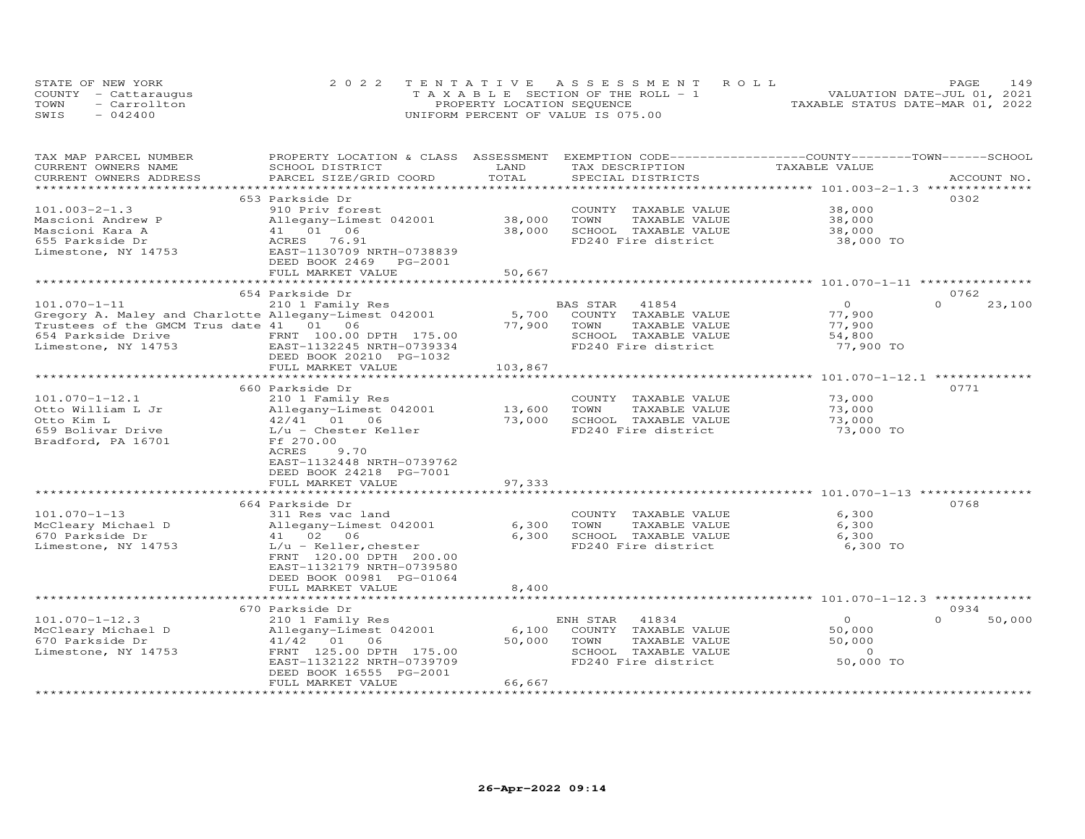|      | STATE OF NEW YORK    | 2022 TENTATIVE ASSESSMENT ROLL        | 149<br>PAGE                      |
|------|----------------------|---------------------------------------|----------------------------------|
|      | COUNTY - Cattaraugus | T A X A B L E SECTION OF THE ROLL - 1 | VALUATION DATE-JUL 01, 2021      |
| TOWN | - Carrollton         | PROPERTY LOCATION SEQUENCE            | TAXABLE STATUS DATE-MAR 01, 2022 |
| SWIS | $-042400$            | UNIFORM PERCENT OF VALUE IS 075.00    |                                  |

| TAX MAP PARCEL NUMBER                                 | PROPERTY LOCATION & CLASS ASSESSMENT         |                |                       | EXEMPTION CODE-----------------COUNTY-------TOWN------SCHOOL |                    |
|-------------------------------------------------------|----------------------------------------------|----------------|-----------------------|--------------------------------------------------------------|--------------------|
| CURRENT OWNERS NAME                                   | SCHOOL DISTRICT                              | LAND<br>TOTAL  | TAX DESCRIPTION       | TAXABLE VALUE                                                | ACCOUNT NO.        |
| CURRENT OWNERS ADDRESS<br>********************        | PARCEL SIZE/GRID COORD                       | ************** | SPECIAL DISTRICTS     | ****************** 101.003-2-1.3 **************              |                    |
|                                                       | 653 Parkside Dr                              |                |                       |                                                              | 0302               |
| $101.003 - 2 - 1.3$                                   | 910 Priv forest                              |                |                       | 38,000                                                       |                    |
|                                                       |                                              |                | COUNTY TAXABLE VALUE  |                                                              |                    |
| Mascioni Andrew P                                     | Allegany-Limest 042001                       | 38,000         | TOWN<br>TAXABLE VALUE | 38,000                                                       |                    |
| Mascioni Kara A                                       | 41 01 06                                     | 38,000         | SCHOOL TAXABLE VALUE  | 38,000                                                       |                    |
| 655 Parkside Dr                                       | ACRES 76.91                                  |                | FD240 Fire district   | 38,000 TO                                                    |                    |
| Limestone, NY 14753                                   | EAST-1130709 NRTH-0738839                    |                |                       |                                                              |                    |
|                                                       | DEED BOOK 2469<br>PG-2001                    | 50,667         |                       |                                                              |                    |
|                                                       | FULL MARKET VALUE<br>*********************** |                |                       |                                                              |                    |
|                                                       |                                              |                |                       |                                                              | 0762               |
|                                                       | 654 Parkside Dr                              |                |                       | $\circ$                                                      | $\Omega$           |
| $101.070 - 1 - 11$                                    | 210 1 Family Res                             |                | BAS STAR<br>41854     |                                                              | 23,100             |
| Gregory A. Maley and Charlotte Allegany-Limest 042001 |                                              | 5,700          | COUNTY TAXABLE VALUE  | 77,900                                                       |                    |
| Trustees of the GMCM Trus date 41 01 06               |                                              | 77,900         | TOWN<br>TAXABLE VALUE | 77,900                                                       |                    |
| 654 Parkside Drive                                    | FRNT 100.00 DPTH 175.00                      |                | SCHOOL TAXABLE VALUE  | 54,800                                                       |                    |
| Limestone, NY 14753                                   | EAST-1132245 NRTH-0739334                    |                | FD240 Fire district   | 77,900 TO                                                    |                    |
|                                                       | DEED BOOK 20210 PG-1032                      |                |                       |                                                              |                    |
|                                                       | FULL MARKET VALUE                            | 103,867        |                       |                                                              |                    |
|                                                       |                                              |                |                       |                                                              |                    |
|                                                       | 660 Parkside Dr                              |                |                       |                                                              | 0771               |
| $101.070 - 1 - 12.1$                                  | 210 1 Family Res                             |                | COUNTY TAXABLE VALUE  | 73,000                                                       |                    |
| Otto William L Jr                                     | Allegany-Limest 042001                       | 13,600         | TOWN<br>TAXABLE VALUE | 73,000                                                       |                    |
| Otto Kim L                                            | 42/41 01 06                                  | 73,000         | SCHOOL TAXABLE VALUE  | 73,000                                                       |                    |
| 659 Bolivar Drive                                     | $L/u$ - Chester Keller                       |                | FD240 Fire district   | 73,000 TO                                                    |                    |
| Bradford, PA 16701                                    | Ff 270.00                                    |                |                       |                                                              |                    |
|                                                       | ACRES<br>9.70                                |                |                       |                                                              |                    |
|                                                       | EAST-1132448 NRTH-0739762                    |                |                       |                                                              |                    |
|                                                       | DEED BOOK 24218 PG-7001                      |                |                       |                                                              |                    |
|                                                       | FULL MARKET VALUE                            | 97,333         |                       |                                                              |                    |
|                                                       | ************************                     | *************  |                       |                                                              |                    |
|                                                       | 664 Parkside Dr                              |                |                       |                                                              | 0768               |
| $101.070 - 1 - 13$                                    | 311 Res vac land                             |                | COUNTY TAXABLE VALUE  | 6,300                                                        |                    |
| McCleary Michael D                                    | Allegany-Limest 042001                       | 6,300          | TOWN<br>TAXABLE VALUE | 6,300                                                        |                    |
| 670 Parkside Dr                                       | 41 02 06                                     | 6,300          | SCHOOL TAXABLE VALUE  | 6,300                                                        |                    |
| Limestone, NY 14753                                   | $L/u$ - Keller, chester                      |                | FD240 Fire district   | 6,300 TO                                                     |                    |
|                                                       | FRNT 120.00 DPTH 200.00                      |                |                       |                                                              |                    |
|                                                       | EAST-1132179 NRTH-0739580                    |                |                       |                                                              |                    |
|                                                       | DEED BOOK 00981 PG-01064                     |                |                       |                                                              |                    |
|                                                       | FULL MARKET VALUE                            | 8,400          |                       |                                                              |                    |
|                                                       |                                              |                |                       | ******************************* 101.070-1-12.3 ************* |                    |
|                                                       | 670 Parkside Dr                              |                |                       |                                                              | 0934               |
| $101.070 - 1 - 12.3$                                  | 210 1 Family Res                             |                | ENH STAR<br>41834     | $\circ$                                                      | 50,000<br>$\Omega$ |
| McCleary Michael D                                    | Allegany-Limest 042001                       | 6,100          | COUNTY TAXABLE VALUE  | 50,000                                                       |                    |
| 670 Parkside Dr                                       | 41/42 01<br>06                               | 50,000         | TOWN<br>TAXABLE VALUE | 50,000                                                       |                    |
| Limestone, NY 14753                                   | FRNT 125.00 DPTH 175.00                      |                | SCHOOL TAXABLE VALUE  | $\Omega$                                                     |                    |
|                                                       | EAST-1132122 NRTH-0739709                    |                | FD240 Fire district   | 50,000 TO                                                    |                    |
|                                                       | DEED BOOK 16555 PG-2001                      |                |                       |                                                              |                    |
|                                                       | FULL MARKET VALUE                            | 66,667         |                       |                                                              |                    |
|                                                       |                                              |                |                       |                                                              |                    |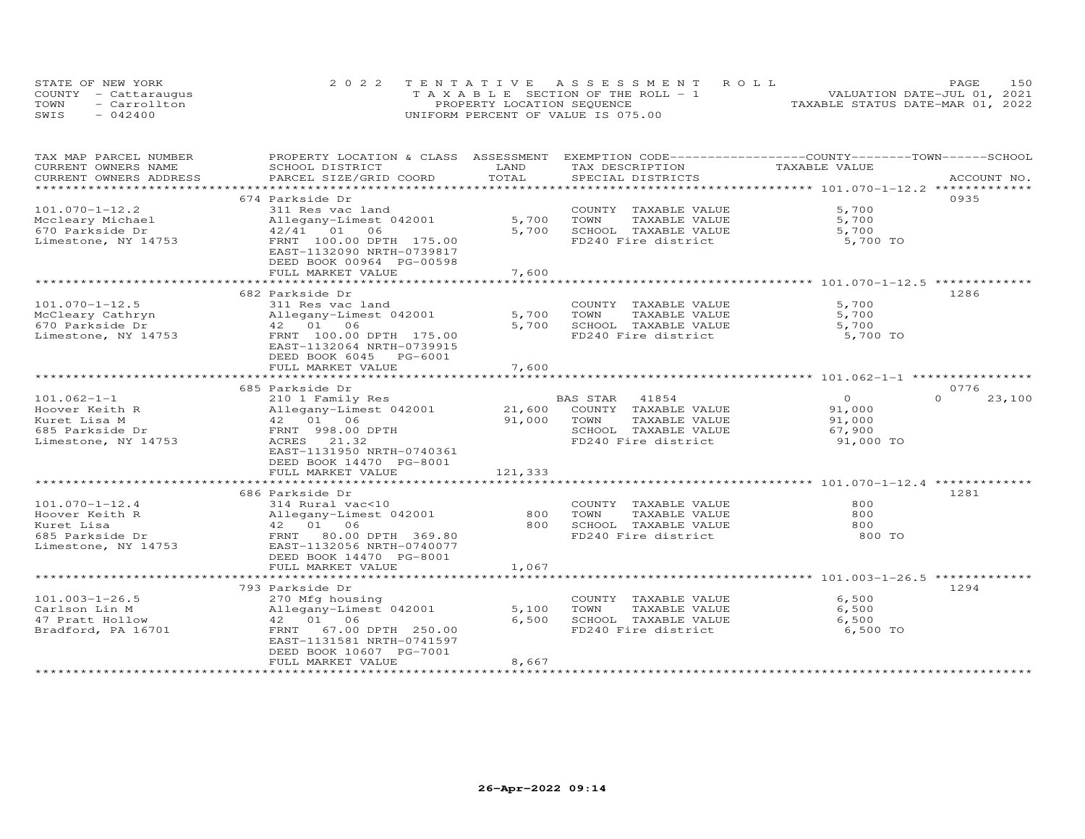|      | STATE OF NEW YORK    | 2022 TENTATIVE ASSESSMENT ROLL        | 150<br>PAGE.                     |
|------|----------------------|---------------------------------------|----------------------------------|
|      | COUNTY - Cattaraugus | T A X A B L E SECTION OF THE ROLL - 1 | VALUATION DATE-JUL 01, 2021      |
| TOWN | - Carrollton         | PROPERTY LOCATION SEQUENCE            | TAXABLE STATUS DATE-MAR 01, 2022 |
| SWIS | $-042400$            | UNIFORM PERCENT OF VALUE IS 075.00    |                                  |

| TAX MAP PARCEL NUMBER  | PROPERTY LOCATION & CLASS ASSESSMENT                 |               | EXEMPTION CODE-----------------COUNTY-------TOWN------SCHOOL |               |                    |
|------------------------|------------------------------------------------------|---------------|--------------------------------------------------------------|---------------|--------------------|
| CURRENT OWNERS NAME    | SCHOOL DISTRICT                                      | LAND          | TAX DESCRIPTION                                              | TAXABLE VALUE |                    |
| CURRENT OWNERS ADDRESS | PARCEL SIZE/GRID COORD                               | TOTAL         | SPECIAL DISTRICTS                                            |               | ACCOUNT NO.        |
| *********************  | ***************************                          |               |                                                              |               |                    |
|                        | 674 Parkside Dr                                      |               |                                                              |               | 0935               |
| $101.070 - 1 - 12.2$   | 311 Res vac land                                     |               | COUNTY TAXABLE VALUE                                         | 5,700         |                    |
| Mccleary Michael       | Allegany-Limest 042001                               | 5,700         | TOWN<br>TAXABLE VALUE                                        | 5,700         |                    |
| 670 Parkside Dr        | 42/41 01<br>06                                       | 5,700         | SCHOOL TAXABLE VALUE                                         | 5,700         |                    |
| Limestone, NY 14753    | FRNT 100.00 DPTH 175.00                              |               | FD240 Fire district                                          | 5,700 TO      |                    |
|                        | EAST-1132090 NRTH-0739817                            |               |                                                              |               |                    |
|                        | DEED BOOK 00964 PG-00598                             |               |                                                              |               |                    |
|                        | FULL MARKET VALUE                                    | 7,600         |                                                              |               |                    |
|                        |                                                      |               |                                                              |               |                    |
|                        |                                                      |               |                                                              |               |                    |
|                        | 682 Parkside Dr                                      |               |                                                              |               | 1286               |
| $101.070 - 1 - 12.5$   | 311 Res vac land                                     |               | COUNTY TAXABLE VALUE                                         | 5,700         |                    |
| McCleary Cathryn       | Allegany-Limest 042001                               | 5,700         | TOWN<br>TAXABLE VALUE                                        | 5,700         |                    |
| 670 Parkside Dr        | 42 01<br>06                                          | 5,700         | SCHOOL TAXABLE VALUE                                         | 5,700         |                    |
| Limestone, NY 14753    | FRNT 100.00 DPTH 175.00                              |               | FD240 Fire district                                          | 5,700 TO      |                    |
|                        | EAST-1132064 NRTH-0739915                            |               |                                                              |               |                    |
|                        | DEED BOOK 6045 PG-6001                               |               |                                                              |               |                    |
|                        | FULL MARKET VALUE                                    | 7,600         |                                                              |               |                    |
|                        |                                                      |               |                                                              |               |                    |
|                        | 685 Parkside Dr                                      |               |                                                              |               | 0776               |
| $101.062 - 1 - 1$      | 210 1 Family Res                                     |               | 41854<br>BAS STAR                                            | $\Omega$      | $\Omega$<br>23,100 |
| Hoover Keith R         | Allegany-Limest 042001                               | 21,600        | COUNTY TAXABLE VALUE                                         | 91,000        |                    |
| Kuret Lisa M           | 42 01 06                                             | 91,000        | TOWN<br>TAXABLE VALUE                                        | 91,000        |                    |
| 685 Parkside Dr        | FRNT 998.00 DPTH                                     |               | SCHOOL TAXABLE VALUE                                         | 67,900        |                    |
| Limestone, NY 14753    | ACRES 21.32                                          |               | FD240 Fire district                                          | 91,000 TO     |                    |
|                        | EAST-1131950 NRTH-0740361                            |               |                                                              |               |                    |
|                        | DEED BOOK 14470 PG-8001                              |               |                                                              |               |                    |
|                        | FULL MARKET VALUE                                    | 121,333       |                                                              |               |                    |
|                        | ***********************                              | ************* |                                                              |               |                    |
|                        | 686 Parkside Dr                                      |               |                                                              |               | 1281               |
| $101.070 - 1 - 12.4$   | 314 Rural vac<10                                     |               | COUNTY TAXABLE VALUE                                         | 800           |                    |
| Hoover Keith R         | Allegany-Limest 042001                               | 800           | TOWN<br>TAXABLE VALUE                                        | 800           |                    |
| Kuret Lisa             | 42  01  06                                           | 800           | SCHOOL TAXABLE VALUE                                         | 800           |                    |
| 685 Parkside Dr        | FRNT 80.00 DPTH 369.80                               |               | FD240 Fire district                                          | 800 TO        |                    |
| Limestone, NY 14753    | EAST-1132056 NRTH-0740077                            |               |                                                              |               |                    |
|                        |                                                      |               |                                                              |               |                    |
|                        | DEED BOOK 14470 PG-8001                              |               |                                                              |               |                    |
|                        | FULL MARKET VALUE<br>******************************* | 1,067         |                                                              |               |                    |
|                        |                                                      |               |                                                              |               |                    |
|                        | 793 Parkside Dr                                      |               |                                                              |               | 1294               |
| $101.003 - 1 - 26.5$   | 270 Mfg housing                                      |               | COUNTY TAXABLE VALUE                                         | 6,500         |                    |
| Carlson Lin M          | Allegany-Limest 042001                               | 5,100         | TOWN<br>TAXABLE VALUE                                        | 6,500         |                    |
| 47 Pratt Hollow        | 42 01<br>06                                          | 6,500         | SCHOOL TAXABLE VALUE                                         | 6,500         |                    |
| Bradford, PA 16701     | FRNT 67.00 DPTH 250.00                               |               | FD240 Fire district                                          | 6,500 TO      |                    |
|                        | EAST-1131581 NRTH-0741597                            |               |                                                              |               |                    |
|                        | DEED BOOK 10607 PG-7001                              |               |                                                              |               |                    |
|                        | FULL MARKET VALUE                                    | 8,667         |                                                              |               |                    |
|                        |                                                      |               |                                                              |               |                    |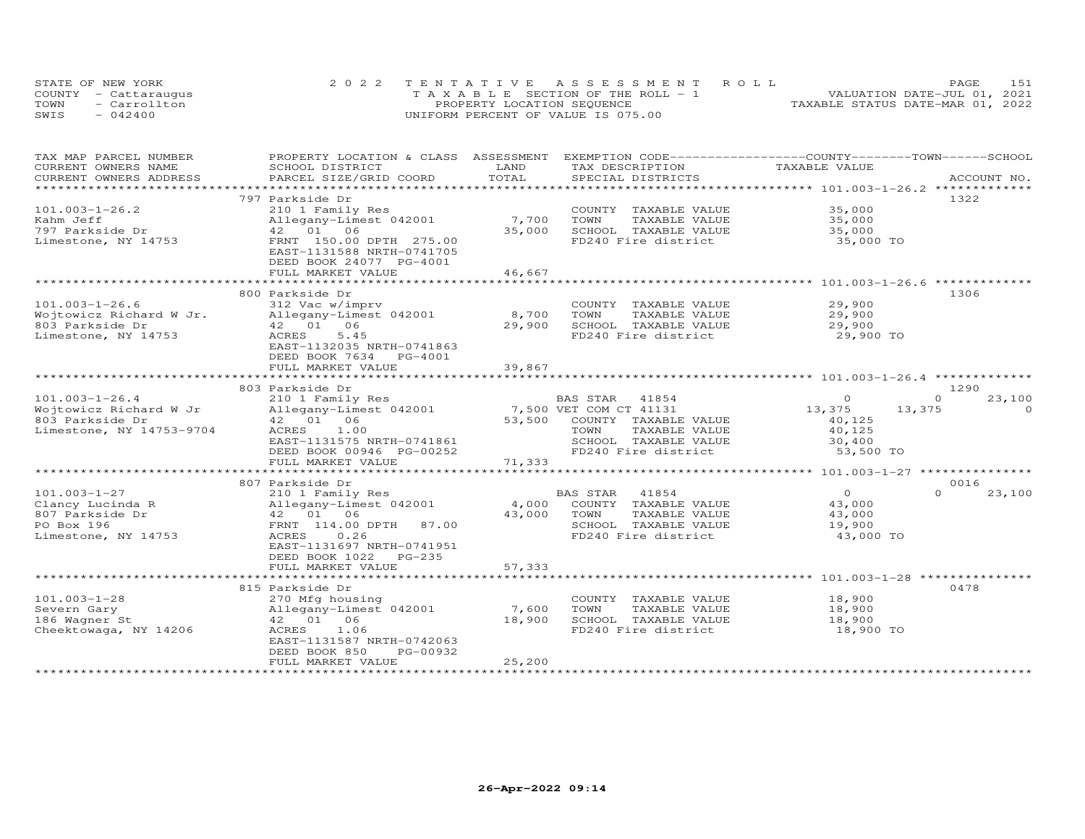|      | STATE OF NEW YORK    | 2022 TENTATIVE ASSESSMENT ROLL        | PAGE                             |
|------|----------------------|---------------------------------------|----------------------------------|
|      | COUNTY - Cattaraugus | T A X A B L E SECTION OF THE ROLL - 1 | VALUATION DATE-JUL 01, 2021      |
| TOWN | - Carrollton         | PROPERTY LOCATION SEQUENCE            | TAXABLE STATUS DATE-MAR 01, 2022 |
| SWIS | $-042400$            | UNIFORM PERCENT OF VALUE IS 075.00    |                                  |

| TAX MAP PARCEL NUMBER    | PROPERTY LOCATION & CLASS                                                                            | ASSESSMENT | EXEMPTION CODE-----------------COUNTY-------TOWN------SCHOOL |                                                 |                    |
|--------------------------|------------------------------------------------------------------------------------------------------|------------|--------------------------------------------------------------|-------------------------------------------------|--------------------|
| CURRENT OWNERS NAME      | SCHOOL DISTRICT                                                                                      | LAND       | TAX DESCRIPTION                                              | TAXABLE VALUE                                   |                    |
| CURRENT OWNERS ADDRESS   | PARCEL SIZE/GRID COORD                                                                               | TOTAL      | SPECIAL DISTRICTS                                            |                                                 | ACCOUNT NO.        |
|                          | ********************                                                                                 |            |                                                              |                                                 |                    |
|                          | 797 Parkside Dr                                                                                      |            |                                                              |                                                 | 1322               |
| $101.003 - 1 - 26.2$     | 210 1 Family Res                                                                                     |            | COUNTY TAXABLE VALUE                                         | 35,000                                          |                    |
| Kahm Jeff                | Allegany-Limest 042001                                                                               | 7,700      | TOWN<br>TAXABLE VALUE                                        | 35,000                                          |                    |
| 797 Parkside Dr          | 42 01 06                                                                                             | 35,000     | SCHOOL TAXABLE VALUE                                         | 35,000                                          |                    |
| Limestone, NY 14753      | FRNT 150.00 DPTH 275.00<br>EAST-1131588 NRTH-0741705<br>DEED BOOK 24077 PG-4001<br>FULL MARKET VALUE | 46,667     | FD240 Fire district                                          | 35,000 TO                                       |                    |
|                          |                                                                                                      |            |                                                              |                                                 |                    |
|                          | 800 Parkside Dr                                                                                      |            |                                                              |                                                 | 1306               |
| $101.003 - 1 - 26.6$     | 312 Vac w/imprv                                                                                      |            | COUNTY TAXABLE VALUE                                         | 29,900                                          |                    |
| Wojtowicz Richard W Jr.  | Allegany-Limest 042001                                                                               | 8,700      | TAXABLE VALUE<br>TOWN                                        | 29,900                                          |                    |
| 803 Parkside Dr          | 42 01<br>06                                                                                          | 29,900     | SCHOOL TAXABLE VALUE                                         | 29,900                                          |                    |
| Limestone, NY 14753      | 5.45<br>ACRES                                                                                        |            | FD240 Fire district                                          | 29,900 TO                                       |                    |
|                          | EAST-1132035 NRTH-0741863<br>DEED BOOK 7634<br>PG-4001                                               |            |                                                              |                                                 |                    |
|                          | FULL MARKET VALUE                                                                                    | 39,867     |                                                              |                                                 |                    |
|                          |                                                                                                      |            |                                                              |                                                 |                    |
|                          | 803 Parkside Dr                                                                                      |            |                                                              |                                                 | 1290               |
| $101.003 - 1 - 26.4$     | 210 1 Family Res                                                                                     |            | BAS STAR<br>41854                                            | $\Omega$                                        | $\Omega$<br>23,100 |
| Wojtowicz Richard W Jr   | Allegany-Limest 042001                                                                               |            | 7,500 VET COM CT 41131                                       | 13,375<br>13,375                                | $\Omega$           |
| 803 Parkside Dr          | 42 01 06                                                                                             | 53,500     | COUNTY TAXABLE VALUE                                         | 40,125                                          |                    |
| Limestone, NY 14753-9704 | 1.00<br>ACRES                                                                                        |            | TOWN<br>TAXABLE VALUE                                        | 40,125                                          |                    |
|                          | EAST-1131575 NRTH-0741861                                                                            |            | SCHOOL TAXABLE VALUE                                         | 30,400                                          |                    |
|                          | DEED BOOK 00946 PG-00252                                                                             |            | FD240 Fire district                                          | 53,500 TO                                       |                    |
|                          | FULL MARKET VALUE                                                                                    | 71,333     |                                                              |                                                 |                    |
|                          |                                                                                                      |            |                                                              | ***************** 101.003-1-27 **************** |                    |
|                          | 807 Parkside Dr                                                                                      |            |                                                              |                                                 | 0016               |
| $101.003 - 1 - 27$       | 210 1 Family Res                                                                                     |            | 41854<br>BAS STAR                                            | $\Omega$                                        | $\Omega$<br>23,100 |
| Clancy Lucinda R         | Allegany-Limest 042001                                                                               | 4,000      | COUNTY TAXABLE VALUE                                         | 43,000                                          |                    |
| 807 Parkside Dr          | 42 01 06                                                                                             | 43,000     | TOWN<br>TAXABLE VALUE                                        | 43,000                                          |                    |
| PO Box 196               | FRNT 114.00 DPTH<br>87.00                                                                            |            | SCHOOL TAXABLE VALUE                                         | 19,900                                          |                    |
| Limestone, NY 14753      | 0.26<br>ACRES<br>EAST-1131697 NRTH-0741951<br>DEED BOOK 1022<br>PG-235                               |            | FD240 Fire district                                          | 43,000 TO                                       |                    |
|                          | FULL MARKET VALUE                                                                                    | 57,333     |                                                              |                                                 |                    |
|                          |                                                                                                      |            |                                                              | ******************* 101.003-1-28 *********      |                    |
|                          | 815 Parkside Dr                                                                                      |            |                                                              |                                                 | 0478               |
| $101.003 - 1 - 28$       | 270 Mfg housing                                                                                      |            | COUNTY TAXABLE VALUE                                         | 18,900                                          |                    |
| Severn Gary              | Allegany-Limest 042001                                                                               | 7,600      | TOWN<br>TAXABLE VALUE                                        | 18,900                                          |                    |
| 186 Wagner St            | 42 01 06                                                                                             | 18,900     | SCHOOL TAXABLE VALUE                                         | 18,900                                          |                    |
| Cheektowaga, NY 14206    | ACRES<br>1.06<br>EAST-1131587 NRTH-0742063<br>DEED BOOK 850<br>PG-00932                              |            | FD240 Fire district                                          | 18,900 TO                                       |                    |
|                          | FULL MARKET VALUE                                                                                    | 25,200     |                                                              |                                                 |                    |
|                          |                                                                                                      |            |                                                              |                                                 |                    |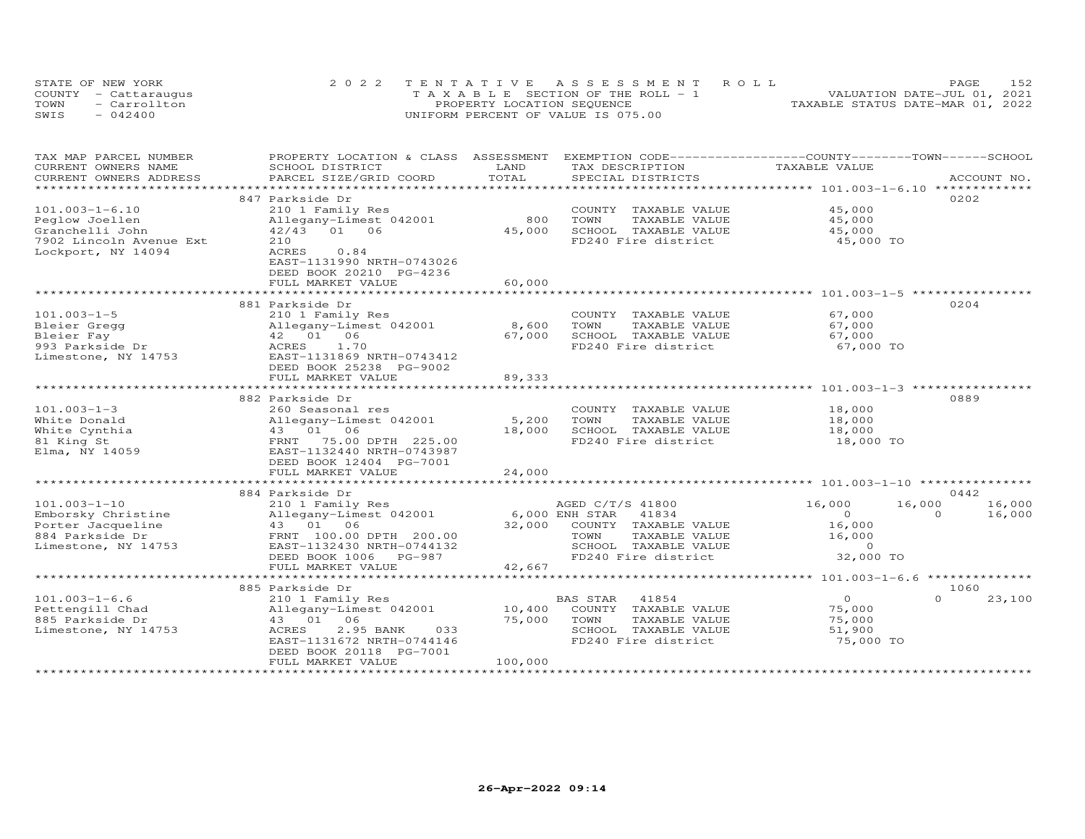| STATE OF NEW YORK    | 2022 TENTATIVE ASSESSMENT ROLL        | 152<br>PAGE.                     |
|----------------------|---------------------------------------|----------------------------------|
| COUNTY - Cattaraugus | T A X A B L E SECTION OF THE ROLL - 1 | VALUATION DATE-JUL 01, 2021      |
| TOWN<br>- Carrollton | PROPERTY LOCATION SEQUENCE            | TAXABLE STATUS DATE-MAR 01, 2022 |
| SWIS<br>$-042400$    | UNIFORM PERCENT OF VALUE IS 075.00    |                                  |

| TAX MAP PARCEL NUMBER   | PROPERTY LOCATION & CLASS                      | ASSESSMENT            | EXEMPTION CODE-----------------COUNTY-------TOWN------SCHOOL |                                             |                    |
|-------------------------|------------------------------------------------|-----------------------|--------------------------------------------------------------|---------------------------------------------|--------------------|
| CURRENT OWNERS NAME     | SCHOOL DISTRICT                                | LAND                  | TAX DESCRIPTION                                              | TAXABLE VALUE                               |                    |
| CURRENT OWNERS ADDRESS  | PARCEL SIZE/GRID COORD                         | TOTAL<br>***********  | SPECIAL DISTRICTS                                            |                                             | ACCOUNT NO.        |
|                         |                                                |                       |                                                              | ************ 101.003-1-6.10 **************  |                    |
|                         | 847 Parkside Dr                                |                       |                                                              |                                             | 0202               |
| $101.003 - 1 - 6.10$    | 210 1 Family Res                               |                       | COUNTY TAXABLE VALUE                                         | 45,000                                      |                    |
| Peglow Joellen          | Allegany-Limest 042001                         | 800                   | TOWN<br>TAXABLE VALUE                                        | 45,000                                      |                    |
| Granchelli John         | 42/43 01 06                                    | 45,000                | SCHOOL TAXABLE VALUE                                         | 45,000                                      |                    |
| 7902 Lincoln Avenue Ext | 210                                            |                       | FD240 Fire district                                          | 45,000 TO                                   |                    |
| Lockport, NY 14094      | ACRES<br>0.84                                  |                       |                                                              |                                             |                    |
|                         | EAST-1131990 NRTH-0743026                      |                       |                                                              |                                             |                    |
|                         | DEED BOOK 20210 PG-4236                        |                       |                                                              |                                             |                    |
|                         | FULL MARKET VALUE<br>************************* | 60,000<br>*********** |                                                              |                                             |                    |
|                         |                                                |                       |                                                              |                                             |                    |
|                         | 881 Parkside Dr                                |                       |                                                              |                                             | 0204               |
| $101.003 - 1 - 5$       | 210 1 Family Res                               |                       | COUNTY TAXABLE VALUE                                         | 67,000                                      |                    |
| Bleier Gregg            | Allegany-Limest 042001                         | 8,600                 | TOWN<br>TAXABLE VALUE                                        | 67,000                                      |                    |
| Bleier Fay              | 42 01 06                                       | 67,000                | SCHOOL TAXABLE VALUE                                         | 67,000                                      |                    |
| 993 Parkside Dr         | ACRES<br>1.70                                  |                       | FD240 Fire district                                          | 67,000 TO                                   |                    |
| Limestone, NY 14753     | EAST-1131869 NRTH-0743412                      |                       |                                                              |                                             |                    |
|                         | DEED BOOK 25238 PG-9002                        |                       |                                                              |                                             |                    |
|                         | FULL MARKET VALUE                              | 89,333                |                                                              |                                             |                    |
|                         |                                                |                       |                                                              | ********** 101.003-1-3 **                   |                    |
|                         | 882 Parkside Dr                                |                       |                                                              |                                             | 0889               |
| $101.003 - 1 - 3$       | 260 Seasonal res                               |                       | COUNTY TAXABLE VALUE                                         | 18,000                                      |                    |
| White Donald            | Allegany-Limest 042001                         | 5,200                 | TOWN<br>TAXABLE VALUE                                        | 18,000                                      |                    |
| White Cynthia           | 43 01 06                                       | 18,000                | SCHOOL TAXABLE VALUE                                         | 18,000                                      |                    |
| 81 King St              | 75.00 DPTH 225.00<br>FRNT                      |                       | FD240 Fire district                                          | 18,000 TO                                   |                    |
| Elma, NY 14059          | EAST-1132440 NRTH-0743987                      |                       |                                                              |                                             |                    |
|                         | DEED BOOK 12404 PG-7001                        |                       |                                                              |                                             |                    |
|                         | FULL MARKET VALUE                              | 24,000                |                                                              |                                             |                    |
|                         |                                                |                       |                                                              |                                             |                    |
|                         | 884 Parkside Dr                                |                       |                                                              |                                             | 0442               |
| $101.003 - 1 - 10$      | 210 1 Family Res                               |                       | AGED C/T/S 41800                                             | 16,000<br>16,000                            | 16,000             |
| Emborsky Christine      | Allegany-Limest 042001                         |                       | 6,000 ENH STAR<br>41834                                      | $\circ$                                     | 16,000<br>$\Omega$ |
| Porter Jacqueline       | 43 01 06                                       | 32,000                | COUNTY TAXABLE VALUE                                         | 16,000                                      |                    |
| 884 Parkside Dr         | FRNT 100.00 DPTH 200.00                        |                       | TOWN<br>TAXABLE VALUE                                        | 16,000                                      |                    |
| Limestone, NY 14753     | EAST-1132430 NRTH-0744132                      |                       | SCHOOL TAXABLE VALUE                                         | $\sim$ 0                                    |                    |
|                         | DEED BOOK 1006 PG-987                          |                       | FD240 Fire district                                          | 32,000 TO                                   |                    |
|                         | FULL MARKET VALUE                              | 42,667                |                                                              |                                             |                    |
|                         |                                                |                       |                                                              | ************* 101.003-1-6.6 *************** |                    |
|                         | 885 Parkside Dr                                |                       |                                                              |                                             | 1060               |
| $101.003 - 1 - 6.6$     | 210 1 Family Res                               |                       | BAS STAR<br>41854                                            | $\overline{0}$                              | $\Omega$<br>23,100 |
| Pettengill Chad         | Allegany-Limest 042001                         | 10,400                | COUNTY TAXABLE VALUE                                         | 75,000                                      |                    |
| 885 Parkside Dr         | 43 01 06                                       | 75,000                | TOWN<br>TAXABLE VALUE                                        | 75,000                                      |                    |
| Limestone, NY 14753     | 2.95 BANK<br>033<br>ACRES                      |                       | SCHOOL TAXABLE VALUE                                         | 51,900                                      |                    |
|                         | EAST-1131672 NRTH-0744146                      |                       | FD240 Fire district                                          | 75,000 TO                                   |                    |
|                         | DEED BOOK 20118 PG-7001                        |                       |                                                              |                                             |                    |
|                         | FULL MARKET VALUE                              | 100,000               |                                                              |                                             |                    |
|                         |                                                |                       |                                                              |                                             |                    |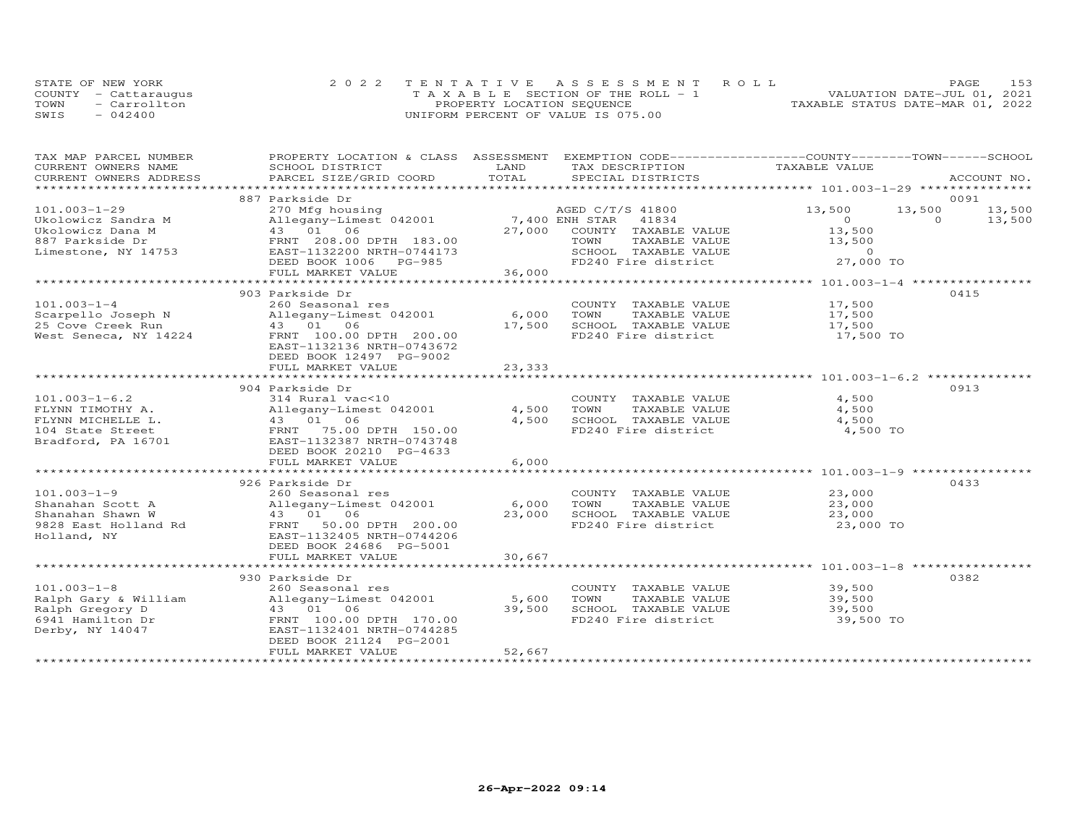|      | STATE OF NEW YORK    | 2022 TENTATIVE ASSESSMENT ROLL        | 153<br>PAGE                      |
|------|----------------------|---------------------------------------|----------------------------------|
|      | COUNTY - Cattaraugus | T A X A B L E SECTION OF THE ROLL - 1 | VALUATION DATE-JUL 01, 2021      |
| TOWN | - Carrollton         | PROPERTY LOCATION SEQUENCE            | TAXABLE STATUS DATE-MAR 01, 2022 |
| SWIS | $-042400$            | UNIFORM PERCENT OF VALUE IS 075.00    |                                  |

| TAX MAP PARCEL NUMBER                                                                                                                                            | PROPERTY LOCATION & CLASS ASSESSMENT                      |                | EXEMPTION CODE-----------------COUNTY-------TOWN------SCHOOL |                                             |          |             |
|------------------------------------------------------------------------------------------------------------------------------------------------------------------|-----------------------------------------------------------|----------------|--------------------------------------------------------------|---------------------------------------------|----------|-------------|
| CURRENT OWNERS NAME                                                                                                                                              | SCHOOL DISTRICT                                           | LAND           | TAX DESCRIPTION                                              | TAXABLE VALUE                               |          |             |
| CURRENT OWNERS ADDRESS                                                                                                                                           | PARCEL SIZE/GRID COORD                                    | TOTAL          | SPECIAL DISTRICTS                                            |                                             |          | ACCOUNT NO. |
|                                                                                                                                                                  |                                                           |                |                                                              |                                             |          |             |
|                                                                                                                                                                  | 887 Parkside Dr                                           |                |                                                              |                                             |          | 0091        |
| $101.003 - 1 - 29$                                                                                                                                               | 270 Mfg housing                                           |                | AGED C/T/S 41800                                             | 13,500                                      | 13,500   | 13,500      |
| Ukolowicz Sandra M                                                                                                                                               | Allegany-Limest 042001                                    | 7,400 ENH STAR | 41834                                                        | $\overline{O}$                              | $\Omega$ | 13,500      |
| Ukolowicz Dana M                                                                                                                                                 | 43 01 06                                                  | 27,000         | COUNTY TAXABLE VALUE                                         | 13,500                                      |          |             |
| 887 Parkside Dr                                                                                                                                                  | FRNT 208.00 DPTH 183.00                                   |                | TAXABLE VALUE<br>TOWN<br>SCHOOL TAXABLE VALUE                | 13,500<br>$\overline{a}$ and $\overline{a}$ |          |             |
| Limestone, NY 14753                                                                                                                                              | EAST-1132200 NRTH-0744173<br>DEED BOOK 1006 PG-985        |                | FD240 Fire district                                          | 27,000 TO                                   |          |             |
|                                                                                                                                                                  |                                                           |                |                                                              |                                             |          |             |
|                                                                                                                                                                  | FULL MARKET VALUE                                         | 36,000         |                                                              |                                             |          |             |
|                                                                                                                                                                  | 903 Parkside Dr                                           |                |                                                              |                                             |          | 0415        |
| $101.003 - 1 - 4$                                                                                                                                                | 260 Seasonal res                                          |                | COUNTY TAXABLE VALUE                                         | 17,500                                      |          |             |
|                                                                                                                                                                  | Allegany-Limest 042001                                    | 6,000          | TOWN<br>TAXABLE VALUE                                        | 17,500                                      |          |             |
|                                                                                                                                                                  |                                                           | 17,500         | SCHOOL TAXABLE VALUE                                         | 17,500                                      |          |             |
| West Seneca, NY 14224                                                                                                                                            | FRNT 100.00 DPTH 200.00                                   |                | FD240 Fire district                                          | 17,500 TO                                   |          |             |
|                                                                                                                                                                  | EAST-1132136 NRTH-0743672                                 |                |                                                              |                                             |          |             |
|                                                                                                                                                                  | DEED BOOK 12497 PG-9002                                   |                |                                                              |                                             |          |             |
|                                                                                                                                                                  | FULL MARKET VALUE                                         | 23,333         |                                                              |                                             |          |             |
|                                                                                                                                                                  |                                                           |                |                                                              |                                             |          |             |
|                                                                                                                                                                  | 904 Parkside Dr                                           |                |                                                              |                                             |          | 0913        |
| $101.003 - 1 - 6.2$                                                                                                                                              | 314 Rural vac<10                                          |                | COUNTY TAXABLE VALUE                                         | 4,500                                       |          |             |
| FLYNN TIMOTHY A.                                                                                                                                                 | Allegany-Limest 042001                                    | 4,500          | TOWN<br>TAXABLE VALUE                                        | 4,500                                       |          |             |
| FLYNN MICHELLE L.                                                                                                                                                | 43 01 06<br>FRNT 75.00 DPTH 150.00<br>100007 NPTH-0743748 | 4,500          | SCHOOL TAXABLE VALUE                                         | 4,500                                       |          |             |
| 104 State Street                                                                                                                                                 |                                                           |                | FD240 Fire district                                          | 4,500 TO                                    |          |             |
| Bradford, PA 16701                                                                                                                                               | EAST-1132387 NRTH-0743748                                 |                |                                                              |                                             |          |             |
|                                                                                                                                                                  | DEED BOOK 20210 PG-4633                                   |                |                                                              |                                             |          |             |
|                                                                                                                                                                  | FULL MARKET VALUE                                         | 6,000          |                                                              |                                             |          |             |
|                                                                                                                                                                  |                                                           |                |                                                              |                                             |          |             |
|                                                                                                                                                                  | 926 Parkside Dr                                           |                |                                                              |                                             |          | 0433        |
| $101.003 - 1 - 9$                                                                                                                                                | 260 Seasonal res                                          |                | COUNTY TAXABLE VALUE                                         | 23,000                                      |          |             |
| Shanahan Scott A                                                                                                                                                 | Allegany-Limest 042001                                    | 6,000          | TOWN<br>TAXABLE VALUE                                        | 23,000                                      |          |             |
| Shanahan Shawn W                                                                                                                                                 | 43 01 06                                                  | 23,000         | SCHOOL TAXABLE VALUE                                         | 23,000                                      |          |             |
| 9828 East Holland Rd                                                                                                                                             | 50.00 DPTH 200.00<br>FRNT                                 |                | FD240 Fire district                                          | 23,000 TO                                   |          |             |
| Holland, NY                                                                                                                                                      | EAST-1132405 NRTH-0744206                                 |                |                                                              |                                             |          |             |
|                                                                                                                                                                  | DEED BOOK 24686 PG-5001                                   |                |                                                              |                                             |          |             |
|                                                                                                                                                                  | FULL MARKET VALUE                                         | 30,667         |                                                              |                                             |          |             |
|                                                                                                                                                                  |                                                           |                |                                                              |                                             |          |             |
|                                                                                                                                                                  | 930 Parkside Dr                                           |                |                                                              |                                             |          | 0382        |
| $101.003 - 1 - 8$                                                                                                                                                | 260 Seasonal res                                          |                | COUNTY TAXABLE VALUE                                         | 39,500                                      |          |             |
|                                                                                                                                                                  |                                                           | 5,600          | TOWN<br>TAXABLE VALUE                                        | 39,500                                      |          |             |
| Ralph Gary & William Milegany-Limest 042001<br>Ralph Gregory D 43 01 06<br>6941 Hamilton Dr FRNT 100.00 DPTH 170.00<br>Derby, NY 14047 EAST-1132401 NRTH-0744285 |                                                           | 39,500         | SCHOOL TAXABLE VALUE                                         | 39,500                                      |          |             |
|                                                                                                                                                                  |                                                           |                | FD240 Fire district                                          | 39,500 TO                                   |          |             |
|                                                                                                                                                                  |                                                           |                |                                                              |                                             |          |             |
|                                                                                                                                                                  | DEED BOOK 21124 PG-2001                                   |                |                                                              |                                             |          |             |
|                                                                                                                                                                  | FULL MARKET VALUE                                         | 52,667         |                                                              |                                             |          |             |
|                                                                                                                                                                  |                                                           |                |                                                              |                                             |          |             |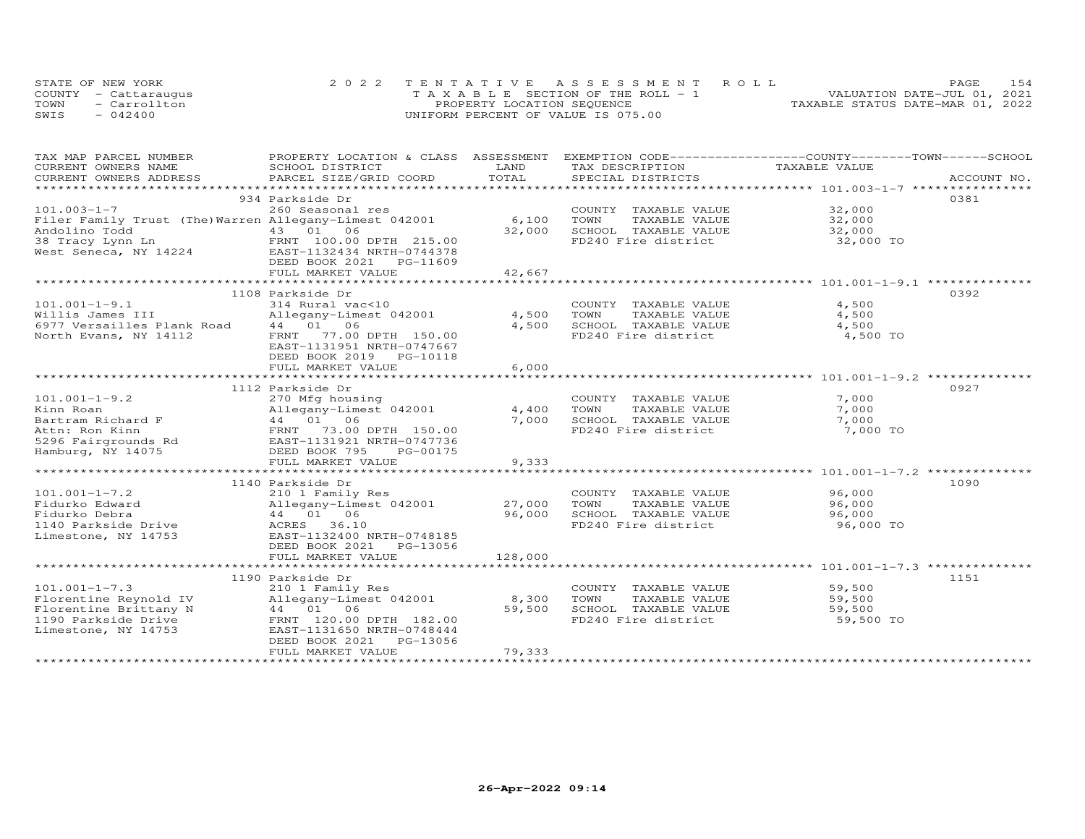|      | STATE OF NEW YORK    | 2022 TENTATIVE ASSESSMENT ROLL        | 154<br>PAGE.                     |
|------|----------------------|---------------------------------------|----------------------------------|
|      | COUNTY - Cattaraugus | T A X A B L E SECTION OF THE ROLL - 1 | VALUATION DATE-JUL 01, 2021      |
| TOWN | - Carrollton         | PROPERTY LOCATION SEQUENCE            | TAXABLE STATUS DATE-MAR 01, 2022 |
| SWIS | $-042400$            | UNIFORM PERCENT OF VALUE IS 075.00    |                                  |

| TAX MAP PARCEL NUMBER                                                                                                                                                                                                                   | PROPERTY LOCATION & CLASS ASSESSMENT EXEMPTION CODE----------------COUNTY-------TOWN------SCHOOL |                     |                                                   |               |             |
|-----------------------------------------------------------------------------------------------------------------------------------------------------------------------------------------------------------------------------------------|--------------------------------------------------------------------------------------------------|---------------------|---------------------------------------------------|---------------|-------------|
| CURRENT OWNERS NAME                                                                                                                                                                                                                     | SCHOOL DISTRICT                                                                                  | LAND                | TAX DESCRIPTION                                   | TAXABLE VALUE |             |
| CURRENT OWNERS ADDRESS                                                                                                                                                                                                                  | PARCEL SIZE/GRID COORD                                                                           | TOTAL               | SPECIAL DISTRICTS                                 |               | ACCOUNT NO. |
|                                                                                                                                                                                                                                         |                                                                                                  |                     |                                                   |               |             |
|                                                                                                                                                                                                                                         | 934 Parkside Dr                                                                                  |                     |                                                   |               | 0381        |
| $101.003 - 1 - 7$                                                                                                                                                                                                                       | 260 Seasonal res                                                                                 |                     | COUNTY TAXABLE VALUE 32,000                       |               |             |
| Filer Family Trust (The) Warren Allegany-Limest 042001                                                                                                                                                                                  |                                                                                                  | 6,100               | TOWN      TAXABLE VALUE<br>SCHOOL   TAXABLE VALUE | 32,000        |             |
|                                                                                                                                                                                                                                         |                                                                                                  | 32,000              |                                                   | 32,000        |             |
| Andolino Todd<br>38 Tracy Lynn Ln<br>38 Tracy Lynn Ln<br>West Seneca, NY 14224<br>The CAST-1132434 NRTH-0744378<br>There Islam Castle Castle Castle Castle Castle Castle Castle Castle Castle Castle Castle Castle Castle Castle Castle |                                                                                                  |                     | FD240 Fire district                               | 32,000 TO     |             |
|                                                                                                                                                                                                                                         |                                                                                                  |                     |                                                   |               |             |
|                                                                                                                                                                                                                                         | DEED BOOK 2021 PG-11609<br>FULL MARKET VALUE                                                     |                     |                                                   |               |             |
|                                                                                                                                                                                                                                         |                                                                                                  | 42,667              |                                                   |               |             |
|                                                                                                                                                                                                                                         |                                                                                                  | ******************* |                                                   |               |             |
|                                                                                                                                                                                                                                         | 1108 Parkside Dr                                                                                 |                     |                                                   |               | 0392        |
| $101.001 - 1 - 9.1$                                                                                                                                                                                                                     | 314 Rural vac<10                                                                                 |                     | COUNTY TAXABLE VALUE                              | 4,500         |             |
| Willis James III                                                                                                                                                                                                                        | Allegany-Limest 042001                                                                           | 4,500               | TOWN<br>TAXABLE VALUE                             | 4,500         |             |
| 6977 Versailles Plank Road 44 01 06                                                                                                                                                                                                     |                                                                                                  | 4,500               | SCHOOL TAXABLE VALUE                              | 4,500         |             |
| North Evans, NY 14112                                                                                                                                                                                                                   | FRNT 77.00 DPTH 150.00                                                                           |                     | FD240 Fire district                               | 4,500 TO      |             |
|                                                                                                                                                                                                                                         | EAST-1131951 NRTH-0747667                                                                        |                     |                                                   |               |             |
|                                                                                                                                                                                                                                         | DEED BOOK 2019    PG-10118                                                                       |                     |                                                   |               |             |
|                                                                                                                                                                                                                                         | FULL MARKET VALUE                                                                                | 6,000               |                                                   |               |             |
|                                                                                                                                                                                                                                         |                                                                                                  |                     |                                                   |               |             |
|                                                                                                                                                                                                                                         | 1112 Parkside Dr                                                                                 |                     |                                                   |               | 0927        |
| $101.001 - 1 - 9.2$                                                                                                                                                                                                                     | 270 Mfg housing                                                                                  |                     | COUNTY TAXABLE VALUE                              | 7,000         |             |
| Kinn Roan                                                                                                                                                                                                                               | Allegany-Limest 042001                                                                           | 4,400               | TOWN<br>TAXABLE VALUE                             | 7,000         |             |
| Bartram Richard F                                                                                                                                                                                                                       | 270 Higany-Limest 042001<br>Allegany-Limest 042001<br>44 01 06<br>FRNT 73.00 DPTH 150.00         | 7,000               | SCHOOL TAXABLE VALUE                              | 7,000         |             |
| Attn: Ron Kinn                                                                                                                                                                                                                          |                                                                                                  |                     | FD240 Fire district                               | 7,000 TO      |             |
|                                                                                                                                                                                                                                         |                                                                                                  |                     |                                                   |               |             |
|                                                                                                                                                                                                                                         |                                                                                                  |                     |                                                   |               |             |
|                                                                                                                                                                                                                                         | FULL MARKET VALUE                                                                                | 9,333               |                                                   |               |             |
|                                                                                                                                                                                                                                         |                                                                                                  |                     |                                                   |               |             |
|                                                                                                                                                                                                                                         | 1140 Parkside Dr                                                                                 |                     |                                                   |               | 1090        |
| $101.001 - 1 - 7.2$                                                                                                                                                                                                                     |                                                                                                  |                     |                                                   | 96,000        |             |
|                                                                                                                                                                                                                                         | 210 1 Family Res                                                                                 |                     | COUNTY TAXABLE VALUE<br>TAXABLE VALUE<br>TOWN     |               |             |
| Fidurko Edward                                                                                                                                                                                                                          | Allegany-Limest 042001<br>44 01 06                                                               | 27,000              |                                                   | 96,000        |             |
| Fidurko Debra                                                                                                                                                                                                                           |                                                                                                  | 96,000              | SCHOOL TAXABLE VALUE<br>FD240 Fire district       | 96,000        |             |
| 1140 Parkside Drive                                                                                                                                                                                                                     | ACRES 36.10                                                                                      |                     |                                                   | 96,000 TO     |             |
| Limestone, NY 14753                                                                                                                                                                                                                     | EAST-1132400 NRTH-0748185                                                                        |                     |                                                   |               |             |
|                                                                                                                                                                                                                                         | DEED BOOK 2021    PG-13056                                                                       |                     |                                                   |               |             |
|                                                                                                                                                                                                                                         | FULL MARKET VALUE                                                                                | 128,000             |                                                   |               |             |
|                                                                                                                                                                                                                                         |                                                                                                  |                     |                                                   |               |             |
|                                                                                                                                                                                                                                         | 1190 Parkside Dr                                                                                 |                     |                                                   |               | 1151        |
| $101.001 - 1 - 7.3$                                                                                                                                                                                                                     | 210 1 Family Res                                                                                 |                     | COUNTY TAXABLE VALUE                              | 59,500        |             |
| Florentine Reynold IV<br>Plorentine Brittany N and A4 01 06<br>1190 Parkside Drive FRNT 120.00 DPTH 182.00<br>Limestone, NY 14753 EAST-1131650 NRTH-0748444                                                                             | Allegany-Limest 042001 8,300                                                                     |                     | TOWN<br>TAXABLE VALUE                             | 59,500        |             |
|                                                                                                                                                                                                                                         |                                                                                                  | 59,500              | SCHOOL TAXABLE VALUE                              | 59,500        |             |
|                                                                                                                                                                                                                                         |                                                                                                  |                     | FD240 Fire district                               | 59,500 TO     |             |
|                                                                                                                                                                                                                                         |                                                                                                  |                     |                                                   |               |             |
|                                                                                                                                                                                                                                         | DEED BOOK 2021<br>PG-13056                                                                       |                     |                                                   |               |             |
|                                                                                                                                                                                                                                         | FULL MARKET VALUE                                                                                | 79,333              |                                                   |               |             |
|                                                                                                                                                                                                                                         |                                                                                                  |                     |                                                   |               |             |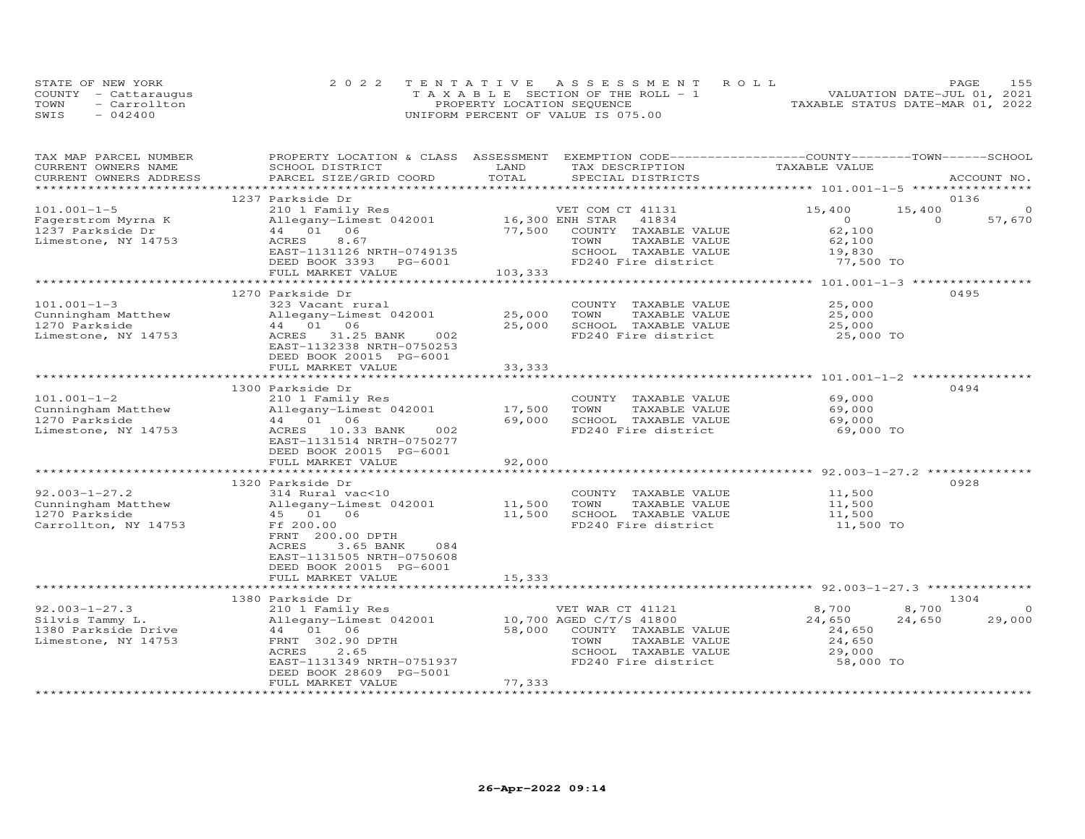|      | STATE OF NEW YORK    | 2022 TENTATIVE ASSESSMENT ROLL        | 155<br>PAGE.                     |
|------|----------------------|---------------------------------------|----------------------------------|
|      | COUNTY - Cattarauqus | T A X A B L E SECTION OF THE ROLL - 1 | VALUATION DATE-JUL 01, 2021      |
| TOWN | - Carrollton         | PROPERTY LOCATION SEQUENCE            | TAXABLE STATUS DATE-MAR 01, 2022 |
| SWIS | $-042400$            | UNIFORM PERCENT OF VALUE IS 075.00    |                                  |

| TAX MAP PARCEL NUMBER                         | PROPERTY LOCATION & CLASS ASSESSMENT EXEMPTION CODE----------------COUNTY-------TOWN------SCHOOL | LAND            |                                      | TAXABLE VALUE                            |          |             |
|-----------------------------------------------|--------------------------------------------------------------------------------------------------|-----------------|--------------------------------------|------------------------------------------|----------|-------------|
| CURRENT OWNERS NAME<br>CURRENT OWNERS ADDRESS | SCHOOL DISTRICT<br>PARCEL SIZE/GRID COORD                                                        | TOTAL           | TAX DESCRIPTION<br>SPECIAL DISTRICTS |                                          |          | ACCOUNT NO. |
|                                               |                                                                                                  |                 |                                      |                                          |          |             |
|                                               | 1237 Parkside Dr                                                                                 |                 |                                      |                                          |          | 0136        |
| $101.001 - 1 - 5$                             | 210 1 Family Res                                                                                 |                 | VET COM CT 41131                     | 15,400                                   | 15,400   | $\circ$     |
| Fagerstrom Myrna K                            | Allegany-Limest 042001                                                                           | 16,300 ENH STAR | 41834                                | $\circ$                                  | $\Omega$ | 57,670      |
| 1237 Parkside Dr                              | 44 01 06                                                                                         | 77,500          | COUNTY TAXABLE VALUE                 | 62,100                                   |          |             |
| Limestone, NY 14753                           | 8.67<br>ACRES                                                                                    |                 | TOWN<br>TAXABLE VALUE                | 62,100                                   |          |             |
|                                               | EAST-1131126 NRTH-0749135                                                                        |                 | SCHOOL TAXABLE VALUE                 | 19,830                                   |          |             |
|                                               | DEED BOOK 3393 PG-6001                                                                           |                 | FD240 Fire district                  | 77,500 TO                                |          |             |
|                                               | FULL MARKET VALUE                                                                                | 103,333         |                                      |                                          |          |             |
|                                               |                                                                                                  |                 |                                      |                                          |          |             |
|                                               | 1270 Parkside Dr                                                                                 |                 |                                      |                                          |          | 0495        |
| $101.001 - 1 - 3$                             | 323 Vacant rural                                                                                 |                 | COUNTY TAXABLE VALUE                 | 25,000                                   |          |             |
| Cunningham Matthew                            | Allegany-Limest 042001                                                                           | 25,000          | TOWN<br>TAXABLE VALUE                | 25,000                                   |          |             |
| 1270 Parkside                                 | 44 01 06                                                                                         | 25,000          | SCHOOL TAXABLE VALUE                 | 25,000                                   |          |             |
| Limestone, NY 14753                           | ACRES 31.25 BANK<br>002                                                                          |                 | FD240 Fire district                  | 25,000 TO                                |          |             |
|                                               | EAST-1132338 NRTH-0750253                                                                        |                 |                                      |                                          |          |             |
|                                               | DEED BOOK 20015 PG-6001                                                                          |                 |                                      |                                          |          |             |
|                                               | FULL MARKET VALUE                                                                                | 33, 333         |                                      |                                          |          |             |
|                                               |                                                                                                  | ************    |                                      |                                          |          |             |
|                                               | 1300 Parkside Dr                                                                                 |                 |                                      |                                          |          | 0494        |
| $101.001 - 1 - 2$                             | 210 1 Family Res                                                                                 |                 | COUNTY TAXABLE VALUE                 | 69,000                                   |          |             |
| Cunningham Matthew                            | Allegany-Limest 042001                                                                           | 17,500          | TOWN<br>TAXABLE VALUE                | 69,000                                   |          |             |
| 1270 Parkside                                 | 44 01 06<br>002                                                                                  | 69,000          | SCHOOL TAXABLE VALUE                 | 69,000<br>69,000 TO                      |          |             |
| Limestone, NY 14753                           | ACRES 10.33 BANK                                                                                 |                 | FD240 Fire district                  |                                          |          |             |
|                                               | EAST-1131514 NRTH-0750277<br>DEED BOOK 20015 PG-6001                                             |                 |                                      |                                          |          |             |
|                                               | FULL MARKET VALUE                                                                                | 92,000          |                                      |                                          |          |             |
|                                               |                                                                                                  |                 |                                      | *********************** 92.003-1-27.2 ** |          |             |
|                                               | 1320 Parkside Dr                                                                                 |                 |                                      |                                          |          | 0928        |
| $92.003 - 1 - 27.2$                           | 314 Rural vac<10                                                                                 |                 | COUNTY TAXABLE VALUE                 | 11,500                                   |          |             |
| Cunningham Matthew                            | Allegany-Limest 042001                                                                           | 11,500          | TOWN<br>TAXABLE VALUE                | 11,500                                   |          |             |
| 1270 Parkside                                 | 45 01 06                                                                                         | 11,500          | SCHOOL TAXABLE VALUE                 | 11,500                                   |          |             |
| Carrollton, NY 14753                          | Ff 200.00                                                                                        |                 | FD240 Fire district                  | 11,500 TO                                |          |             |
|                                               | FRNT 200.00 DPTH                                                                                 |                 |                                      |                                          |          |             |
|                                               | 3.65 BANK<br>084<br>ACRES                                                                        |                 |                                      |                                          |          |             |
|                                               | EAST-1131505 NRTH-0750608                                                                        |                 |                                      |                                          |          |             |
|                                               | DEED BOOK 20015 PG-6001                                                                          |                 |                                      |                                          |          |             |
|                                               | FULL MARKET VALUE                                                                                | 15,333          |                                      |                                          |          |             |
|                                               | ******************************                                                                   |                 |                                      |                                          |          |             |
|                                               | 1380 Parkside Dr                                                                                 |                 |                                      |                                          |          | 1304        |
| $92.003 - 1 - 27.3$                           | 210 1 Family Res                                                                                 |                 | VET WAR CT 41121                     | 8,700                                    | 8,700    | $\Omega$    |
| Silvis Tammy L.                               | Allegany-Limest 042001                                                                           |                 | 10,700 AGED C/T/S 41800              | 24,650                                   | 24,650   | 29,000      |
| 1380 Parkside Drive                           | 44 01 06                                                                                         | 58,000          | COUNTY TAXABLE VALUE                 | 24,650                                   |          |             |
| Limestone, NY 14753                           | FRNT 302.90 DPTH                                                                                 |                 | TOWN<br>TAXABLE VALUE                | 24,650                                   |          |             |
|                                               | 2.65<br>ACRES                                                                                    |                 | SCHOOL TAXABLE VALUE                 | 29,000                                   |          |             |
|                                               | EAST-1131349 NRTH-0751937                                                                        |                 | FD240 Fire district                  | 58,000 TO                                |          |             |
|                                               | DEED BOOK 28609 PG-5001                                                                          |                 |                                      |                                          |          |             |
|                                               | FULL MARKET VALUE                                                                                | 77,333          |                                      |                                          |          |             |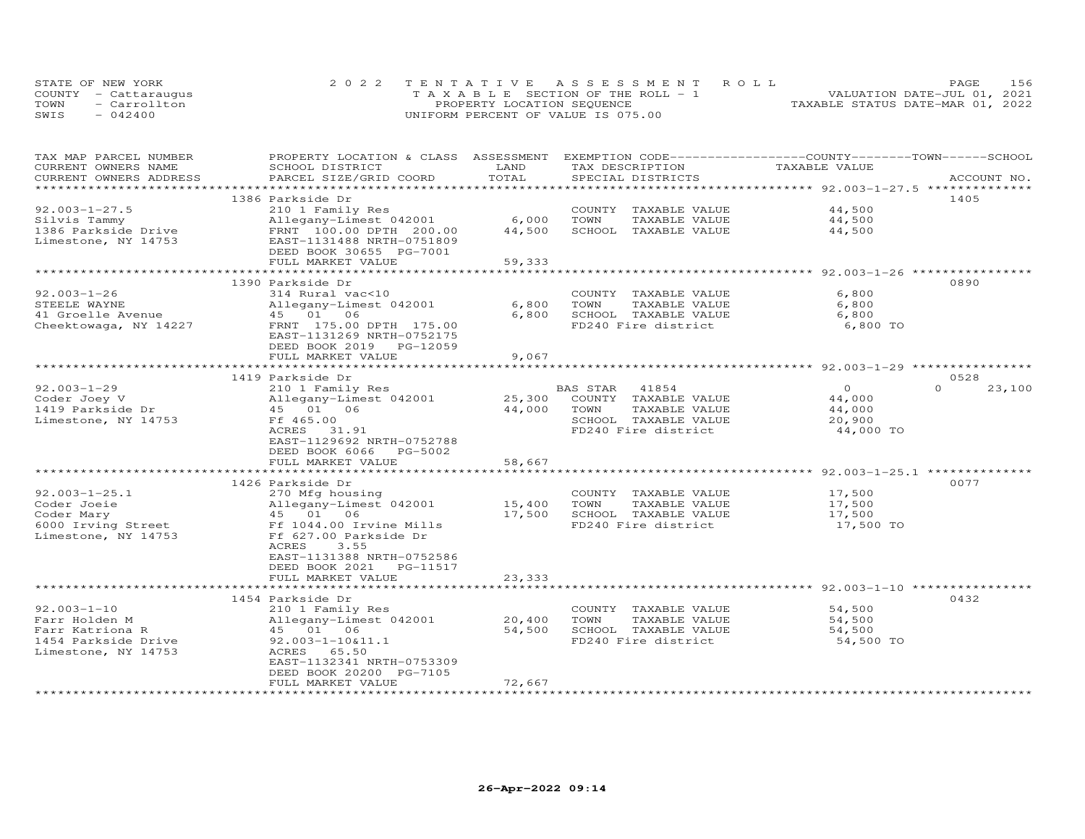| STATE OF NEW YORK      | 2022 TENTATIVE ASSESSMENT ROLL        | 156<br>PAGE.                     |
|------------------------|---------------------------------------|----------------------------------|
| COUNTY - Cattaraugus   | T A X A B L E SECTION OF THE ROLL - 1 | VALUATION DATE-JUL 01, 2021      |
| TOWN<br>$=$ Carrollton | PROPERTY LOCATION SEQUENCE            | TAXABLE STATUS DATE-MAR 01, 2022 |
| SWIS<br>$-042400$      | UNIFORM PERCENT OF VALUE IS 075.00    |                                  |

| TAX MAP PARCEL NUMBER<br>CURRENT OWNERS NAME | PROPERTY LOCATION & CLASS ASSESSMENT<br>SCHOOL DISTRICT | LAND                                    | EXEMPTION CODE-----------------COUNTY-------TOWN------SCHOOL<br>TAX DESCRIPTION | TAXABLE VALUE                                           |                            |
|----------------------------------------------|---------------------------------------------------------|-----------------------------------------|---------------------------------------------------------------------------------|---------------------------------------------------------|----------------------------|
| CURRENT OWNERS ADDRESS                       | PARCEL SIZE/GRID COORD                                  | TOTAL<br>****************************** | SPECIAL DISTRICTS                                                               | ************************ 92.003-1-27.5 **************   | ACCOUNT NO.                |
|                                              | 1386 Parkside Dr                                        |                                         |                                                                                 |                                                         | 1405                       |
| $92.003 - 1 - 27.5$                          | 210 1 Family Res                                        |                                         | COUNTY TAXABLE VALUE                                                            | 44,500                                                  |                            |
| Silvis Tammy                                 | Allegany-Limest 042001                                  | 6,000                                   | TOWN<br>TAXABLE VALUE                                                           | 44,500                                                  |                            |
| 1386 Parkside Drive                          | FRNT 100.00 DPTH 200.00                                 | 44,500                                  | SCHOOL TAXABLE VALUE                                                            | 44,500                                                  |                            |
| Limestone, NY 14753                          | EAST-1131488 NRTH-0751809<br>DEED BOOK 30655 PG-7001    |                                         |                                                                                 |                                                         |                            |
|                                              | FULL MARKET VALUE                                       | 59,333                                  |                                                                                 |                                                         |                            |
|                                              | *************************                               |                                         |                                                                                 | ************************* 92.003-1-26 ***************** |                            |
|                                              | 1390 Parkside Dr                                        |                                         |                                                                                 |                                                         | 0890                       |
| $92.003 - 1 - 26$                            | 314 Rural vac<10                                        |                                         | COUNTY TAXABLE VALUE                                                            | 6,800                                                   |                            |
| STEELE WAYNE<br>41 Groelle Avenue            | Allegany-Limest 042001<br>45 01 06                      | 6,800<br>6,800                          | TOWN<br>TAXABLE VALUE<br>SCHOOL TAXABLE VALUE                                   | 6,800<br>6,800                                          |                            |
| Cheektowaga, NY 14227                        | FRNT 175.00 DPTH 175.00                                 |                                         | FD240 Fire district                                                             | 6,800 TO                                                |                            |
|                                              | EAST-1131269 NRTH-0752175                               |                                         |                                                                                 |                                                         |                            |
|                                              | DEED BOOK 2019<br>PG-12059                              |                                         |                                                                                 |                                                         |                            |
|                                              | FULL MARKET VALUE                                       | 9,067                                   |                                                                                 |                                                         |                            |
|                                              | **************************                              |                                         |                                                                                 |                                                         |                            |
| $92.003 - 1 - 29$                            | 1419 Parkside Dr<br>210 1 Family Res                    |                                         | 41854<br>BAS STAR                                                               | $\circ$                                                 | 0528<br>$\Omega$<br>23,100 |
| Coder Joey V                                 | Allegany-Limest 042001                                  | 25,300                                  | COUNTY TAXABLE VALUE                                                            | 44,000                                                  |                            |
| 1419 Parkside Dr                             | 45 01 06                                                | 44,000                                  | TOWN<br>TAXABLE VALUE                                                           | 44,000                                                  |                            |
| Limestone, NY 14753                          | Ff 465.00                                               |                                         | SCHOOL TAXABLE VALUE                                                            | 20,900                                                  |                            |
|                                              | ACRES<br>31.91                                          |                                         | FD240 Fire district                                                             | 44,000 TO                                               |                            |
|                                              | EAST-1129692 NRTH-0752788                               |                                         |                                                                                 |                                                         |                            |
|                                              | DEED BOOK 6066<br>PG-5002                               |                                         |                                                                                 |                                                         |                            |
|                                              | FULL MARKET VALUE<br>******************************     | 58,667<br>***************               | ******************************** 92.003-1-25.1 **************                   |                                                         |                            |
|                                              | 1426 Parkside Dr                                        |                                         |                                                                                 |                                                         | 0077                       |
| $92.003 - 1 - 25.1$                          | 270 Mfg housing                                         |                                         | COUNTY TAXABLE VALUE                                                            | 17,500                                                  |                            |
| Coder Joeie                                  | Allegany-Limest 042001                                  | 15,400                                  | TOWN<br>TAXABLE VALUE                                                           | 17,500                                                  |                            |
| Coder Mary                                   | 45 01 06                                                | 17,500                                  | SCHOOL TAXABLE VALUE                                                            | 17,500                                                  |                            |
| 6000 Irving Street                           | Ff 1044.00 Irvine Mills                                 |                                         | FD240 Fire district                                                             | 17,500 TO                                               |                            |
| Limestone, NY 14753                          | Ff 627.00 Parkside Dr<br>3.55<br>ACRES                  |                                         |                                                                                 |                                                         |                            |
|                                              | EAST-1131388 NRTH-0752586                               |                                         |                                                                                 |                                                         |                            |
|                                              | DEED BOOK 2021<br>PG-11517                              |                                         |                                                                                 |                                                         |                            |
|                                              | FULL MARKET VALUE                                       | 23,333                                  |                                                                                 |                                                         |                            |
|                                              | ********************                                    |                                         | ******************************* 92.003-1-10 *****                               |                                                         |                            |
|                                              | 1454 Parkside Dr                                        |                                         |                                                                                 |                                                         | 0432                       |
| $92.003 - 1 - 10$                            | 210 1 Family Res                                        | 20,400                                  | COUNTY TAXABLE VALUE<br>TOWN                                                    | 54,500                                                  |                            |
| Farr Holden M<br>Farr Katriona R             | Allegany-Limest 042001<br>45 01 06                      | 54,500                                  | TAXABLE VALUE<br>SCHOOL TAXABLE VALUE                                           | 54,500<br>54,500                                        |                            |
| 1454 Parkside Drive                          | 92.003-1-10&11.1                                        |                                         | FD240 Fire district                                                             | 54,500 TO                                               |                            |
| Limestone, NY 14753                          | ACRES<br>65.50                                          |                                         |                                                                                 |                                                         |                            |
|                                              | EAST-1132341 NRTH-0753309                               |                                         |                                                                                 |                                                         |                            |
|                                              | DEED BOOK 20200 PG-7105                                 |                                         |                                                                                 |                                                         |                            |
|                                              | FULL MARKET VALUE                                       | 72,667                                  |                                                                                 |                                                         |                            |
|                                              |                                                         |                                         |                                                                                 |                                                         |                            |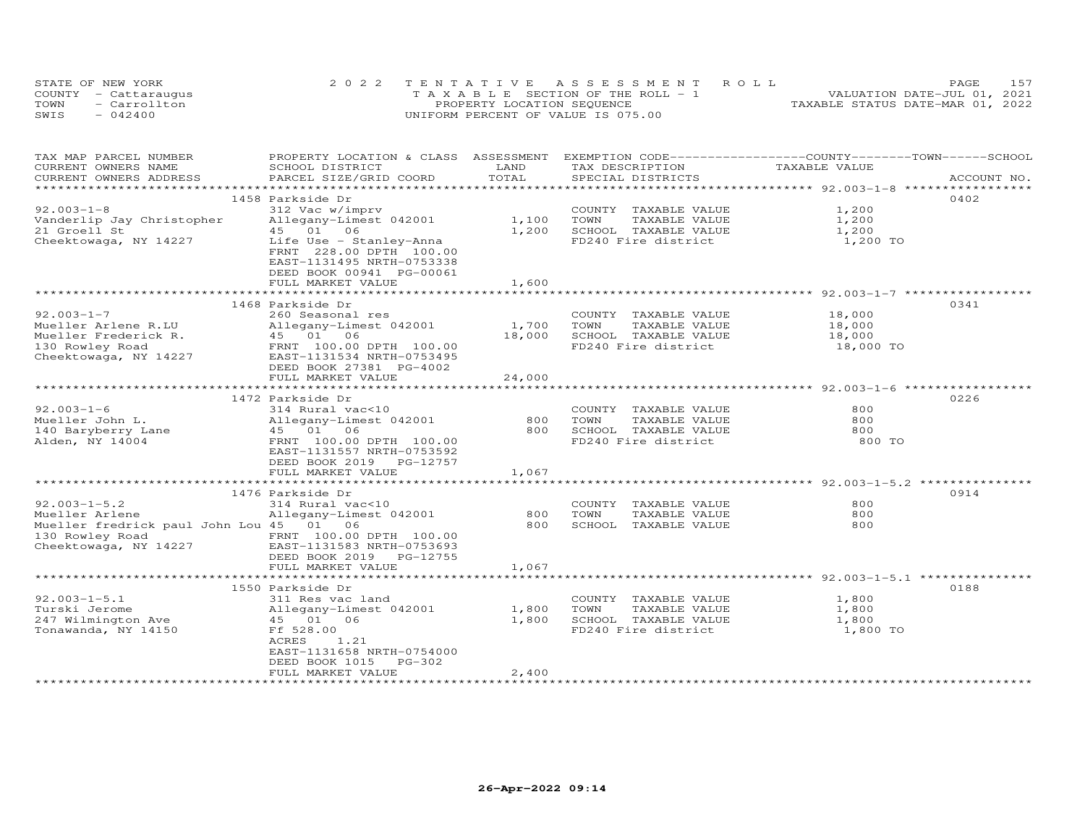| STATE OF NEW YORK |                      | 2022 TENTATIVE ASSESSMENT ROLL        | PAGE.                            |
|-------------------|----------------------|---------------------------------------|----------------------------------|
|                   | COUNTY - Cattaraugus | T A X A B L E SECTION OF THE ROLL - 1 | VALUATION DATE-JUL 01, 2021      |
| TOWN              | - Carrollton         | PROPERTY LOCATION SEQUENCE            | TAXABLE STATUS DATE-MAR 01, 2022 |
| SWIS              | $-042400$            | UNIFORM PERCENT OF VALUE IS 075.00    |                                  |

| TAX MAP PARCEL NUMBER                    | PROPERTY LOCATION & CLASS ASSESSMENT |        | EXEMPTION CODE-----------------COUNTY-------TOWN------SCHOOL |               |             |
|------------------------------------------|--------------------------------------|--------|--------------------------------------------------------------|---------------|-------------|
| CURRENT OWNERS NAME                      | SCHOOL DISTRICT                      | LAND   | TAX DESCRIPTION                                              | TAXABLE VALUE |             |
| CURRENT OWNERS ADDRESS                   | PARCEL SIZE/GRID COORD               | TOTAL  | SPECIAL DISTRICTS                                            |               | ACCOUNT NO. |
|                                          |                                      |        |                                                              |               |             |
|                                          | 1458 Parkside Dr                     |        |                                                              |               | 0402        |
| $92.003 - 1 - 8$                         | 312 Vac w/imprv                      |        | COUNTY TAXABLE VALUE                                         | 1,200         |             |
| Vanderlip Jay Christopher                | Allegany-Limest 042001               | 1,100  | TOWN<br>TAXABLE VALUE                                        | 1,200         |             |
| 21 Groell St                             | 45 01 06                             | 1,200  | SCHOOL TAXABLE VALUE                                         | 1,200         |             |
| Cheektowaga, NY 14227                    | Life Use - Stanley-Anna              |        | FD240 Fire district                                          | 1,200 TO      |             |
|                                          | FRNT 228.00 DPTH 100.00              |        |                                                              |               |             |
|                                          | EAST-1131495 NRTH-0753338            |        |                                                              |               |             |
|                                          | DEED BOOK 00941 PG-00061             |        |                                                              |               |             |
|                                          | FULL MARKET VALUE                    | 1,600  |                                                              |               |             |
|                                          |                                      |        |                                                              |               |             |
|                                          | 1468 Parkside Dr                     |        |                                                              |               | 0341        |
| $92.003 - 1 - 7$                         | 260 Seasonal res                     |        | COUNTY TAXABLE VALUE                                         | 18,000        |             |
| Mueller Arlene R.LU                      | Allegany-Limest 042001               | 1,700  | TOWN<br>TAXABLE VALUE                                        | 18,000        |             |
| Mueller Frederick R.<br>130 Rowley Road  | 45 01 06                             | 18,000 | SCHOOL TAXABLE VALUE                                         | 18,000        |             |
| 130 Rowley Road                          | FRNT 100.00 DPTH 100.00              |        | FD240 Fire district                                          | 18,000 TO     |             |
| Cheektowaga, NY 14227                    | EAST-1131534 NRTH-0753495            |        |                                                              |               |             |
|                                          | DEED BOOK 27381 PG-4002              |        |                                                              |               |             |
|                                          | FULL MARKET VALUE                    | 24,000 |                                                              |               |             |
|                                          |                                      |        |                                                              |               |             |
|                                          | 1472 Parkside Dr                     |        |                                                              |               | 0226        |
| $92.003 - 1 - 6$                         | 314 Rural vac<10                     |        | COUNTY TAXABLE VALUE                                         | 800           |             |
| Mueller John L.                          | Allegany-Limest 042001               | 800    | TOWN<br>TAXABLE VALUE                                        | 800           |             |
| 140 Baryberry Lane                       | 45 01 06                             | 800    | SCHOOL TAXABLE VALUE                                         | 800           |             |
| Alden, NY 14004                          | FRNT 100.00 DPTH 100.00              |        | FD240 Fire district                                          | 800 TO        |             |
|                                          | EAST-1131557 NRTH-0753592            |        |                                                              |               |             |
|                                          | DEED BOOK 2019 PG-12757              |        |                                                              |               |             |
|                                          | FULL MARKET VALUE                    | 1,067  |                                                              |               |             |
|                                          |                                      |        |                                                              |               |             |
|                                          | 1476 Parkside Dr                     |        |                                                              |               | 0914        |
| $92.003 - 1 - 5.2$                       | 314 Rural vac<10                     |        | COUNTY TAXABLE VALUE                                         | 800           |             |
| Mueller Arlene                           | Allegany-Limest 042001               | 800    | TOWN<br>TAXABLE VALUE                                        | 800           |             |
| Mueller fredrick paul John Lou 45 01 06  |                                      | 800    | SCHOOL TAXABLE VALUE                                         | 800           |             |
| 130 Rowley Road<br>Cheektowaga, NY 14227 | FRNT 100.00 DPTH 100.00              |        |                                                              |               |             |
|                                          | EAST-1131583 NRTH-0753693            |        |                                                              |               |             |
|                                          | DEED BOOK 2019 PG-12755              |        |                                                              |               |             |
|                                          | FULL MARKET VALUE                    | 1,067  |                                                              |               |             |
|                                          |                                      |        |                                                              |               |             |
|                                          | 1550 Parkside Dr                     |        |                                                              |               | 0188        |
| $92.003 - 1 - 5.1$                       | 311 Res vac land                     |        | COUNTY TAXABLE VALUE                                         | 1,800         |             |
| Turski Jerome                            | Allegany-Limest 042001               | 1,800  | TOWN<br>TAXABLE VALUE                                        | 1,800         |             |
| 247 Wilmington Ave                       | 45 01 06                             | 1,800  | SCHOOL TAXABLE VALUE                                         | 1,800         |             |
| Tonawanda, NY 14150                      | Ff 528.00                            |        | FD240 Fire district                                          | 1,800 TO      |             |
|                                          | 1.21<br>ACRES                        |        |                                                              |               |             |
|                                          | EAST-1131658 NRTH-0754000            |        |                                                              |               |             |
|                                          | PG-302<br>DEED BOOK 1015             |        |                                                              |               |             |
|                                          | FULL MARKET VALUE                    | 2,400  |                                                              |               |             |
|                                          |                                      |        |                                                              |               |             |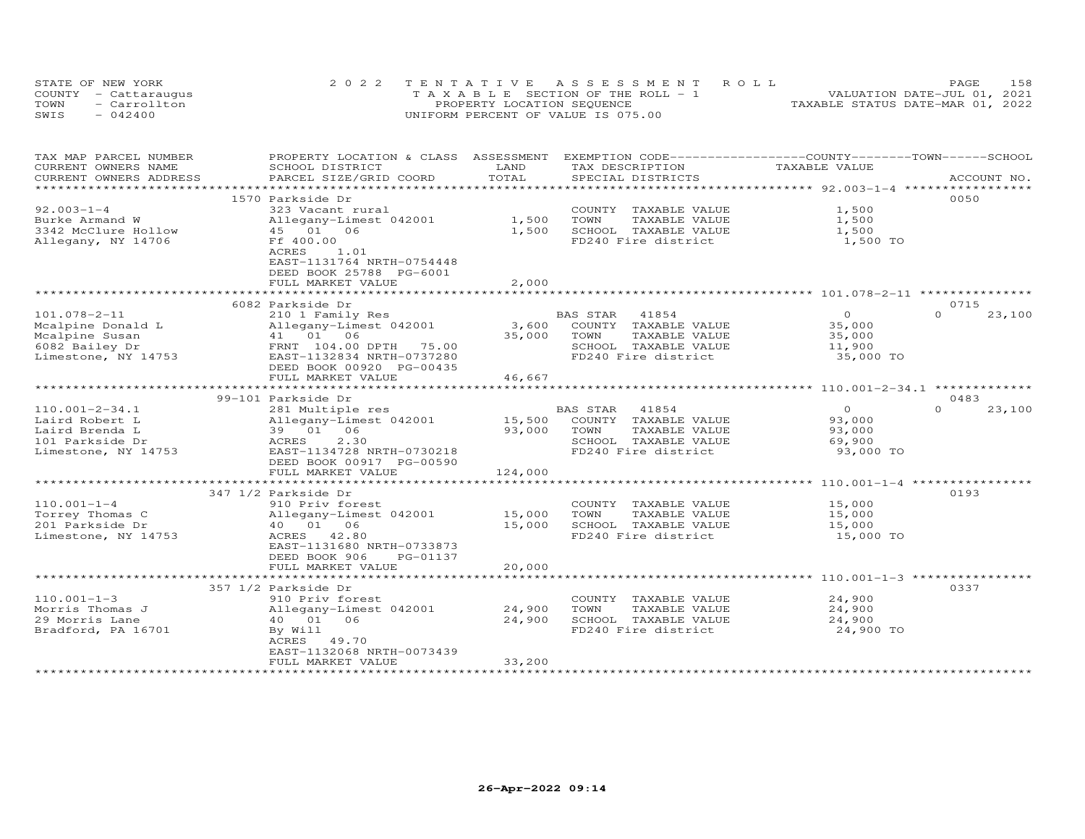|      | STATE OF NEW YORK    | 2022 TENTATIVE ASSESSMENT ROLL        | 158<br>PAGE.                     |
|------|----------------------|---------------------------------------|----------------------------------|
|      | COUNTY - Cattaraugus | T A X A B L E SECTION OF THE ROLL - 1 | VALUATION DATE-JUL 01, 2021      |
| TOWN | $=$ Carrollton       | PROPERTY LOCATION SEQUENCE            | TAXABLE STATUS DATE-MAR 01, 2022 |
| SWIS | $-042400$            | UNIFORM PERCENT OF VALUE IS 075.00    |                                  |

| TAX MAP PARCEL NUMBER                         | PROPERTY LOCATION & CLASS ASSESSMENT       | LAND    | EXEMPTION CODE------------------COUNTY-------TOWN------SCHOOL | TAXABLE VALUE                 |                    |
|-----------------------------------------------|--------------------------------------------|---------|---------------------------------------------------------------|-------------------------------|--------------------|
| CURRENT OWNERS NAME<br>CURRENT OWNERS ADDRESS | SCHOOL DISTRICT<br>PARCEL SIZE/GRID COORD  | TOTAL   | TAX DESCRIPTION<br>SPECIAL DISTRICTS                          |                               | ACCOUNT NO.        |
| ******************                            |                                            |         |                                                               |                               |                    |
|                                               | 1570 Parkside Dr                           |         |                                                               |                               | 0050               |
| $92.003 - 1 - 4$                              | 323 Vacant rural                           |         | COUNTY TAXABLE VALUE                                          | 1,500                         |                    |
| Burke Armand W                                | Allegany-Limest 042001                     | 1,500   | TOWN<br>TAXABLE VALUE                                         | 1,500                         |                    |
| 3342 McClure Hollow                           | 45 01 06                                   | 1,500   | SCHOOL TAXABLE VALUE                                          | 1,500                         |                    |
| Allegany, NY 14706                            | Ff 400.00                                  |         | FD240 Fire district                                           | 1,500 TO                      |                    |
|                                               | ACRES<br>1.01                              |         |                                                               |                               |                    |
|                                               |                                            |         |                                                               |                               |                    |
|                                               | EAST-1131764 NRTH-0754448                  |         |                                                               |                               |                    |
|                                               | DEED BOOK 25788 PG-6001                    |         |                                                               |                               |                    |
|                                               | FULL MARKET VALUE<br>********************* | 2,000   |                                                               |                               |                    |
|                                               |                                            |         |                                                               | ************ 101.078-2-11 *** |                    |
|                                               | 6082 Parkside Dr                           |         |                                                               |                               | 0715               |
| 101.078-2-11                                  | 210 1 Family Res                           |         | BAS STAR<br>41854                                             | $\overline{0}$                | $\Omega$<br>23,100 |
| Mcalpine Donald L                             | Allegany-Limest 042001                     | 3,600   | COUNTY TAXABLE VALUE                                          | 35,000                        |                    |
| Mcalpine Susan                                | 41 01 06                                   | 35,000  | TOWN<br>TAXABLE VALUE                                         | 35,000                        |                    |
| 6082 Bailey Dr                                | FRNT 104.00 DPTH<br>75.00                  |         | SCHOOL TAXABLE VALUE                                          | 11,900                        |                    |
| Limestone, NY 14753                           | EAST-1132834 NRTH-0737280                  |         | FD240 Fire district                                           | 35,000 TO                     |                    |
|                                               | DEED BOOK 00920 PG-00435                   |         |                                                               |                               |                    |
|                                               | FULL MARKET VALUE                          | 46,667  |                                                               |                               |                    |
|                                               |                                            |         |                                                               | $***********110.001-2-34.1$   |                    |
|                                               | 99-101 Parkside Dr                         |         |                                                               |                               | 0483               |
| $110.001 - 2 - 34.1$                          | 281 Multiple res                           |         | BAS STAR<br>41854                                             | $\Omega$                      | $\Omega$<br>23,100 |
| Laird Robert L                                | Allegany-Limest 042001                     | 15,500  | COUNTY TAXABLE VALUE                                          | 93,000                        |                    |
| Laird Brenda L                                | 39 01 06                                   | 93,000  | TOWN<br>TAXABLE VALUE                                         | 93,000                        |                    |
| 101 Parkside Dr                               | 2.30<br>ACRES                              |         | SCHOOL TAXABLE VALUE                                          | 69,900                        |                    |
| Limestone, NY 14753                           | EAST-1134728 NRTH-0730218                  |         | FD240 Fire district                                           | 93,000 TO                     |                    |
|                                               | DEED BOOK 00917 PG-00590                   |         |                                                               |                               |                    |
|                                               | FULL MARKET VALUE                          | 124,000 |                                                               |                               |                    |
|                                               |                                            |         |                                                               |                               |                    |
|                                               | 347 1/2 Parkside Dr                        |         |                                                               |                               | 0193               |
| $110.001 - 1 - 4$                             | 910 Priv forest                            |         | COUNTY TAXABLE VALUE                                          | 15,000                        |                    |
| Torrey Thomas C                               | Allegany-Limest 042001                     | 15,000  | TOWN<br>TAXABLE VALUE                                         | 15,000                        |                    |
| 201 Parkside Dr                               | 40  01  06                                 | 15,000  | SCHOOL TAXABLE VALUE                                          | 15,000                        |                    |
| Limestone, NY 14753                           | ACRES 42.80                                |         | FD240 Fire district                                           | 15,000 TO                     |                    |
|                                               | EAST-1131680 NRTH-0733873                  |         |                                                               |                               |                    |
|                                               | DEED BOOK 906<br>PG-01137                  |         |                                                               |                               |                    |
|                                               | FULL MARKET VALUE                          | 20,000  |                                                               |                               |                    |
|                                               |                                            |         |                                                               |                               |                    |
|                                               | 357 1/2 Parkside Dr                        |         |                                                               |                               | 0337               |
| $110.001 - 1 - 3$                             | 910 Priv forest                            |         | COUNTY TAXABLE VALUE                                          | 24,900                        |                    |
| Morris Thomas J                               | Allegany-Limest 042001                     | 24,900  | TOWN<br>TAXABLE VALUE                                         | 24,900                        |                    |
| 29 Morris Lane                                | 40  01  06                                 | 24,900  | SCHOOL TAXABLE VALUE                                          | 24,900                        |                    |
| Bradford, PA 16701                            |                                            |         | FD240 Fire district                                           | 24,900 TO                     |                    |
|                                               | By Will<br>ACRES 49.70                     |         |                                                               |                               |                    |
|                                               | EAST-1132068 NRTH-0073439                  |         |                                                               |                               |                    |
|                                               | FULL MARKET VALUE                          | 33,200  |                                                               |                               |                    |
|                                               |                                            |         |                                                               |                               |                    |
|                                               |                                            |         |                                                               |                               |                    |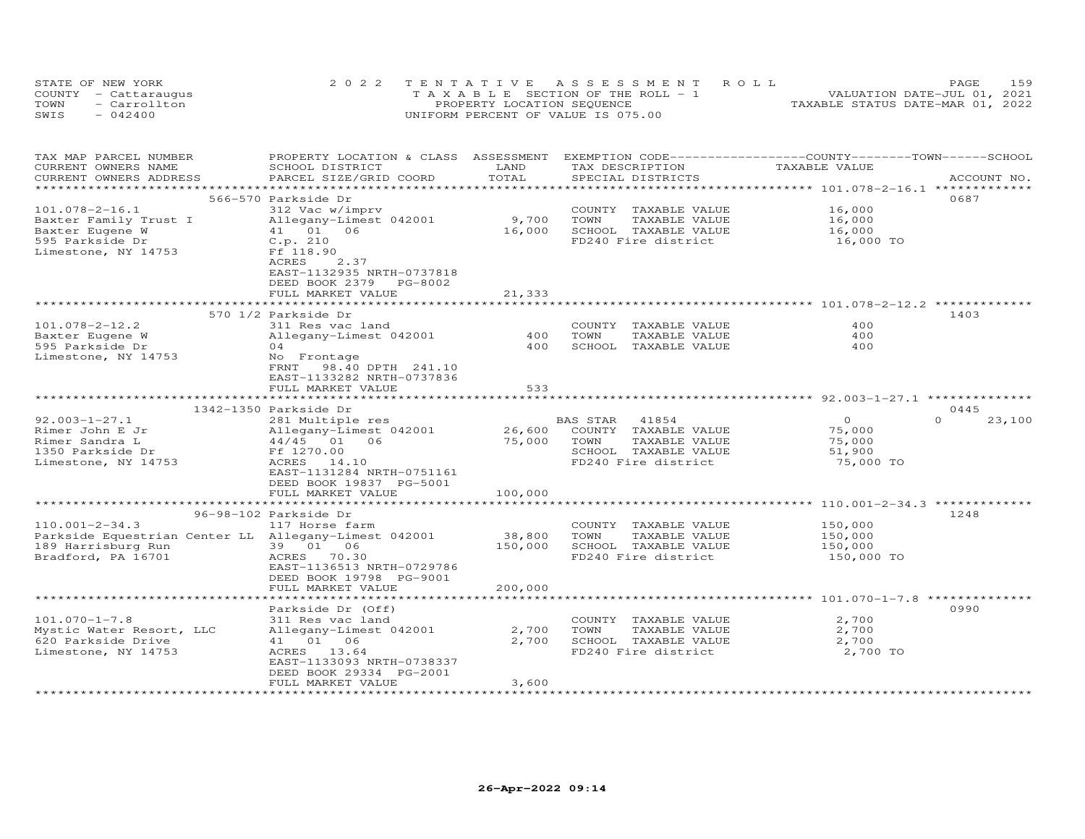| STATE OF NEW YORK    | 2022 TENTATIVE ASSESSMENT ROLL        | PAGE                             | 159 |
|----------------------|---------------------------------------|----------------------------------|-----|
| COUNTY - Cattaraugus | T A X A B L E SECTION OF THE ROLL - 1 | VALUATION DATE-JUL 01, 2021      |     |
| TOWN<br>- Carrollton | PROPERTY LOCATION SEQUENCE            | TAXABLE STATUS DATE-MAR 01, 2022 |     |
| $-042400$<br>SWIS    | UNIFORM PERCENT OF VALUE IS 075.00    |                                  |     |

| TAX MAP PARCEL NUMBER                                | PROPERTY LOCATION & CLASS ASSESSMENT |                                  | EXEMPTION CODE-----------------COUNTY-------TOWN------SCHOOL |                                                     |                    |
|------------------------------------------------------|--------------------------------------|----------------------------------|--------------------------------------------------------------|-----------------------------------------------------|--------------------|
| CURRENT OWNERS NAME                                  | SCHOOL DISTRICT                      | LAND                             | TAX DESCRIPTION                                              | TAXABLE VALUE                                       |                    |
| CURRENT OWNERS ADDRESS                               | PARCEL SIZE/GRID COORD               | TOTAL<br>*********************** | SPECIAL DISTRICTS                                            | ******************** 101.078-2-16.1 *************   | ACCOUNT NO.        |
|                                                      |                                      |                                  |                                                              |                                                     | 0687               |
|                                                      | 566-570 Parkside Dr                  |                                  |                                                              | 16,000                                              |                    |
| $101.078 - 2 - 16.1$                                 | 312 Vac w/imprv                      |                                  | COUNTY TAXABLE VALUE<br>TOWN<br>TAXABLE VALUE                | 16,000                                              |                    |
| Baxter Family Trust I<br>Baxter Eugene W             | Allegany-Limest 042001<br>41 01 06   | 9,700<br>16,000                  | SCHOOL TAXABLE VALUE                                         | 16,000                                              |                    |
| 595 Parkside Dr                                      | C.p. 210                             |                                  | FD240 Fire district                                          | 16,000 TO                                           |                    |
| Limestone, NY 14753                                  | Ff 118.90                            |                                  |                                                              |                                                     |                    |
|                                                      | 2.37<br>ACRES                        |                                  |                                                              |                                                     |                    |
|                                                      | EAST-1132935 NRTH-0737818            |                                  |                                                              |                                                     |                    |
|                                                      | DEED BOOK 2379 PG-8002               |                                  |                                                              |                                                     |                    |
|                                                      | FULL MARKET VALUE                    | 21,333                           |                                                              |                                                     |                    |
|                                                      | **********************               |                                  |                                                              |                                                     |                    |
|                                                      | 570 1/2 Parkside Dr                  |                                  |                                                              |                                                     | 1403               |
| $101.078 - 2 - 12.2$                                 | 311 Res vac land                     |                                  | COUNTY TAXABLE VALUE                                         | 400                                                 |                    |
| Baxter Eugene W                                      | Allegany-Limest 042001               | 400                              | TOWN<br>TAXABLE VALUE                                        | 400                                                 |                    |
| 595 Parkside Dr                                      | 04                                   | 400                              | SCHOOL TAXABLE VALUE                                         | 400                                                 |                    |
| Limestone, NY 14753                                  | No Frontage                          |                                  |                                                              |                                                     |                    |
|                                                      | FRNT 98.40 DPTH 241.10               |                                  |                                                              |                                                     |                    |
|                                                      | EAST-1133282 NRTH-0737836            |                                  |                                                              |                                                     |                    |
|                                                      | FULL MARKET VALUE                    | 533                              |                                                              |                                                     |                    |
|                                                      |                                      |                                  |                                                              |                                                     |                    |
|                                                      | 1342-1350 Parkside Dr                |                                  |                                                              |                                                     | 0445               |
| $92.003 - 1 - 27.1$                                  | 281 Multiple res                     |                                  | BAS STAR<br>41854                                            | $\Omega$                                            | $\Omega$<br>23,100 |
| Rimer John E Jr                                      | Allegany-Limest 042001               | 26,600                           | COUNTY TAXABLE VALUE                                         | 75,000                                              |                    |
| Rimer Sandra L                                       | 44/45 01 06                          | 75,000                           | TOWN<br>TAXABLE VALUE                                        | 75,000                                              |                    |
| 1350 Parkside Dr                                     | Ff 1270.00                           |                                  | SCHOOL TAXABLE VALUE                                         | 51,900                                              |                    |
| Limestone, NY 14753                                  | ACRES 14.10                          |                                  | FD240 Fire district                                          | 75,000 TO                                           |                    |
|                                                      | EAST-1131284 NRTH-0751161            |                                  |                                                              |                                                     |                    |
|                                                      | DEED BOOK 19837 PG-5001              |                                  |                                                              |                                                     |                    |
|                                                      | FULL MARKET VALUE                    | 100,000                          |                                                              |                                                     |                    |
|                                                      |                                      |                                  |                                                              |                                                     |                    |
|                                                      | 96-98-102 Parkside Dr                |                                  |                                                              |                                                     | 1248               |
| $110.001 - 2 - 34.3$                                 | 117 Horse farm                       |                                  | COUNTY TAXABLE VALUE                                         | 150,000                                             |                    |
| Parkside Equestrian Center LL Allegany-Limest 042001 |                                      | 38,800                           | TOWN<br>TAXABLE VALUE                                        | 150,000                                             |                    |
| 189 Harrisburg Run                                   | 39 01 06                             | 150,000                          | SCHOOL TAXABLE VALUE                                         | 150,000                                             |                    |
| Bradford, PA 16701                                   | ACRES 70.30                          |                                  | FD240 Fire district                                          | 150,000 TO                                          |                    |
|                                                      | EAST-1136513 NRTH-0729786            |                                  |                                                              |                                                     |                    |
|                                                      | DEED BOOK 19798 PG-9001              |                                  |                                                              |                                                     |                    |
|                                                      | FULL MARKET VALUE                    | 200,000                          |                                                              |                                                     |                    |
|                                                      | *********************                | * * * * * * * * * * * * *        |                                                              | ************************ 101.070-1-7.8 ************ |                    |
|                                                      | Parkside Dr (Off)                    |                                  |                                                              |                                                     | 0990               |
| $101.070 - 1 - 7.8$                                  | 311 Res vac land                     |                                  | COUNTY TAXABLE VALUE                                         | 2,700                                               |                    |
| Mystic Water Resort, LLC                             | Allegany-Limest 042001               | 2,700                            | TOWN<br>TAXABLE VALUE                                        | 2,700                                               |                    |
| 620 Parkside Drive                                   | 41 01 06                             | 2,700                            | SCHOOL TAXABLE VALUE                                         | 2,700                                               |                    |
| Limestone, NY 14753                                  | ACRES 13.64                          |                                  | FD240 Fire district                                          | 2,700 TO                                            |                    |
|                                                      | EAST-1133093 NRTH-0738337            |                                  |                                                              |                                                     |                    |
|                                                      | DEED BOOK 29334 PG-2001              |                                  |                                                              |                                                     |                    |
|                                                      | FULL MARKET VALUE                    | 3,600                            |                                                              |                                                     |                    |
|                                                      |                                      |                                  |                                                              |                                                     |                    |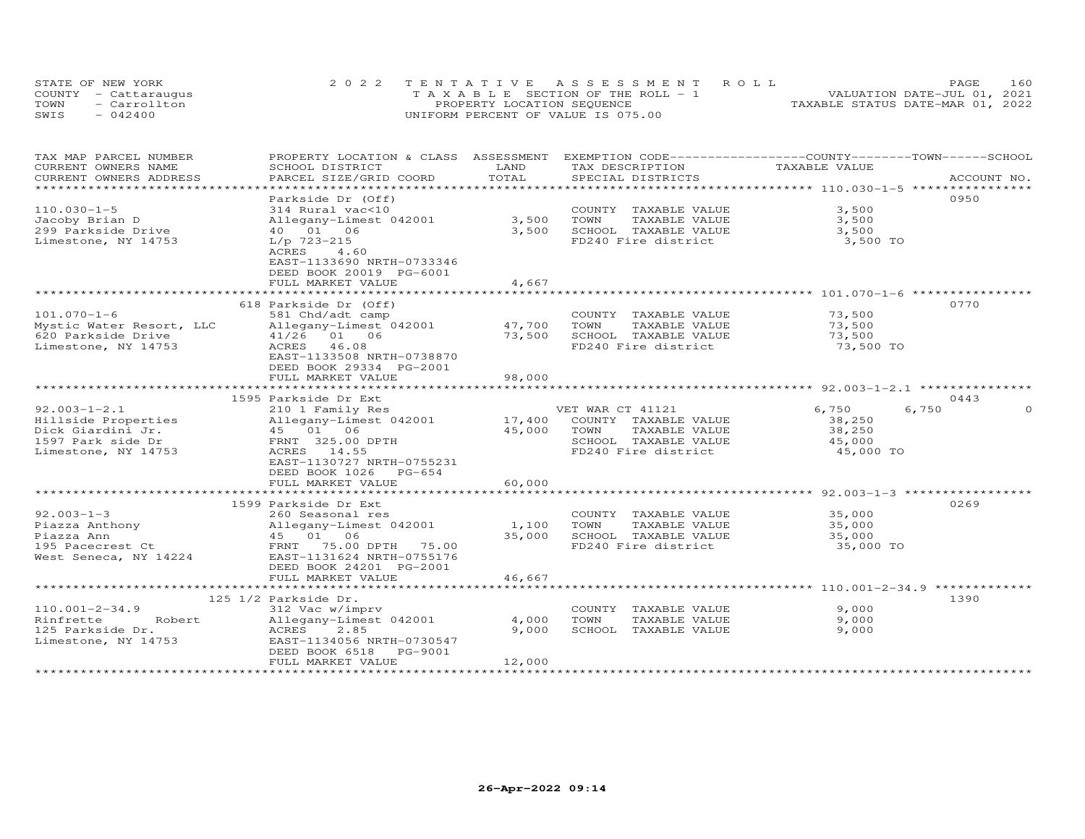|      | STATE OF NEW YORK    | 2022 TENTATIVE ASSESSMENT ROLL        | 160<br>PAGE.                     |
|------|----------------------|---------------------------------------|----------------------------------|
|      | COUNTY - Cattaraugus | T A X A B L E SECTION OF THE ROLL - 1 | VALUATION DATE-JUL 01, 2021      |
| TOWN | - Carrollton         | PROPERTY LOCATION SEQUENCE            | TAXABLE STATUS DATE-MAR 01, 2022 |
| SWIS | $-042400$            | UNIFORM PERCENT OF VALUE IS 075.00    |                                  |

| TAX MAP PARCEL NUMBER                         | PROPERTY LOCATION & CLASS ASSESSMENT      | LAND   | EXEMPTION CODE-----------------COUNTY-------TOWN------SCHOOL |               |             |
|-----------------------------------------------|-------------------------------------------|--------|--------------------------------------------------------------|---------------|-------------|
| CURRENT OWNERS NAME<br>CURRENT OWNERS ADDRESS | SCHOOL DISTRICT<br>PARCEL SIZE/GRID COORD | TOTAL  | TAX DESCRIPTION<br>SPECIAL DISTRICTS                         | TAXABLE VALUE | ACCOUNT NO. |
| *********************                         |                                           |        |                                                              |               |             |
|                                               | Parkside Dr (Off)                         |        |                                                              |               | 0950        |
| $110.030 - 1 - 5$                             | 314 Rural vac<10                          |        | COUNTY TAXABLE VALUE                                         | 3,500         |             |
| Jacoby Brian D                                | Allegany-Limest 042001                    | 3,500  | TOWN<br>TAXABLE VALUE                                        | 3,500         |             |
| 299 Parkside Drive                            | 40  01  06                                | 3,500  | SCHOOL TAXABLE VALUE                                         | 3,500         |             |
| Limestone, NY 14753                           | $L/p$ 723-215                             |        | FD240 Fire district                                          | 3,500 TO      |             |
|                                               | ACRES<br>4.60                             |        |                                                              |               |             |
|                                               | EAST-1133690 NRTH-0733346                 |        |                                                              |               |             |
|                                               | DEED BOOK 20019 PG-6001                   |        |                                                              |               |             |
|                                               | FULL MARKET VALUE                         | 4,667  |                                                              |               |             |
|                                               |                                           |        |                                                              |               |             |
|                                               | 618 Parkside Dr (Off)                     |        |                                                              |               | 0770        |
| $101.070 - 1 - 6$                             | 581 Chd/adt camp                          |        | COUNTY TAXABLE VALUE                                         | 73,500        |             |
| Mystic Water Resort, LLC                      | Allegany-Limest 042001                    | 47,700 | TOWN<br>TAXABLE VALUE                                        | 73,500        |             |
| 620 Parkside Drive                            | 41/26 01 06                               | 73,500 | SCHOOL TAXABLE VALUE                                         | 73,500        |             |
| Limestone, NY 14753                           | ACRES 46.08                               |        | FD240 Fire district                                          | 73,500 TO     |             |
|                                               | EAST-1133508 NRTH-0738870                 |        |                                                              |               |             |
|                                               | DEED BOOK 29334 PG-2001                   |        |                                                              |               |             |
|                                               | FULL MARKET VALUE                         | 98,000 |                                                              |               |             |
|                                               |                                           |        |                                                              |               |             |
|                                               | 1595 Parkside Dr Ext                      |        |                                                              |               | 0443        |
| $92.003 - 1 - 2.1$                            | 210 1 Family Res                          |        | VET WAR CT 41121                                             | 6,750         | 6,750       |
| Hillside Properties                           | Allegany-Limest 042001                    | 17,400 | COUNTY TAXABLE VALUE                                         | 38,250        |             |
| Dick Giardini Jr.                             | 45 01 06                                  | 45,000 | TOWN<br>TAXABLE VALUE                                        | 38,250        |             |
| 1597 Park side Dr                             | FRNT 325.00 DPTH                          |        | SCHOOL TAXABLE VALUE                                         | 45,000        |             |
| Limestone, NY 14753                           | ACRES 14.55                               |        | FD240 Fire district                                          | 45,000 TO     |             |
|                                               | EAST-1130727 NRTH-0755231                 |        |                                                              |               |             |
|                                               | DEED BOOK 1026 PG-654                     |        |                                                              |               |             |
|                                               | FULL MARKET VALUE                         | 60,000 |                                                              |               |             |
|                                               |                                           |        |                                                              |               |             |
|                                               | 1599 Parkside Dr Ext                      |        |                                                              |               | 0269        |
| $92.003 - 1 - 3$                              | 260 Seasonal res                          |        | COUNTY TAXABLE VALUE                                         | 35,000        |             |
| Piazza Anthony                                | Allegany-Limest 042001                    | 1,100  | TOWN<br>TAXABLE VALUE                                        | 35,000        |             |
| Piazza Ann                                    | 45 01 06                                  | 35,000 | SCHOOL TAXABLE VALUE                                         | 35,000        |             |
| 195 Pacecrest Ct                              | 75.00 DPTH<br>FRNT<br>75.00               |        | FD240 Fire district                                          | 35,000 TO     |             |
| West Seneca, NY 14224                         | EAST-1131624 NRTH-0755176                 |        |                                                              |               |             |
|                                               | DEED BOOK 24201 PG-2001                   |        |                                                              |               |             |
|                                               | FULL MARKET VALUE                         | 46,667 |                                                              |               |             |
|                                               |                                           |        |                                                              |               |             |
|                                               | 125 1/2 Parkside Dr.                      |        |                                                              |               | 1390        |
| $110.001 - 2 - 34.9$                          | 312 Vac w/imprv                           |        | COUNTY<br>TAXABLE VALUE                                      | 9,000         |             |
| Rinfrette<br>Robert                           | Allegany-Limest 042001                    | 4,000  | TOWN<br>TAXABLE VALUE                                        | 9,000         |             |
| 125 Parkside Dr.                              | ACRES<br>2.85                             | 9,000  | SCHOOL TAXABLE VALUE                                         | 9,000         |             |
| Limestone, NY 14753                           | EAST-1134056 NRTH-0730547                 |        |                                                              |               |             |
|                                               | DEED BOOK 6518<br>PG-9001                 |        |                                                              |               |             |
|                                               | FULL MARKET VALUE                         | 12,000 |                                                              |               |             |
|                                               |                                           |        |                                                              |               |             |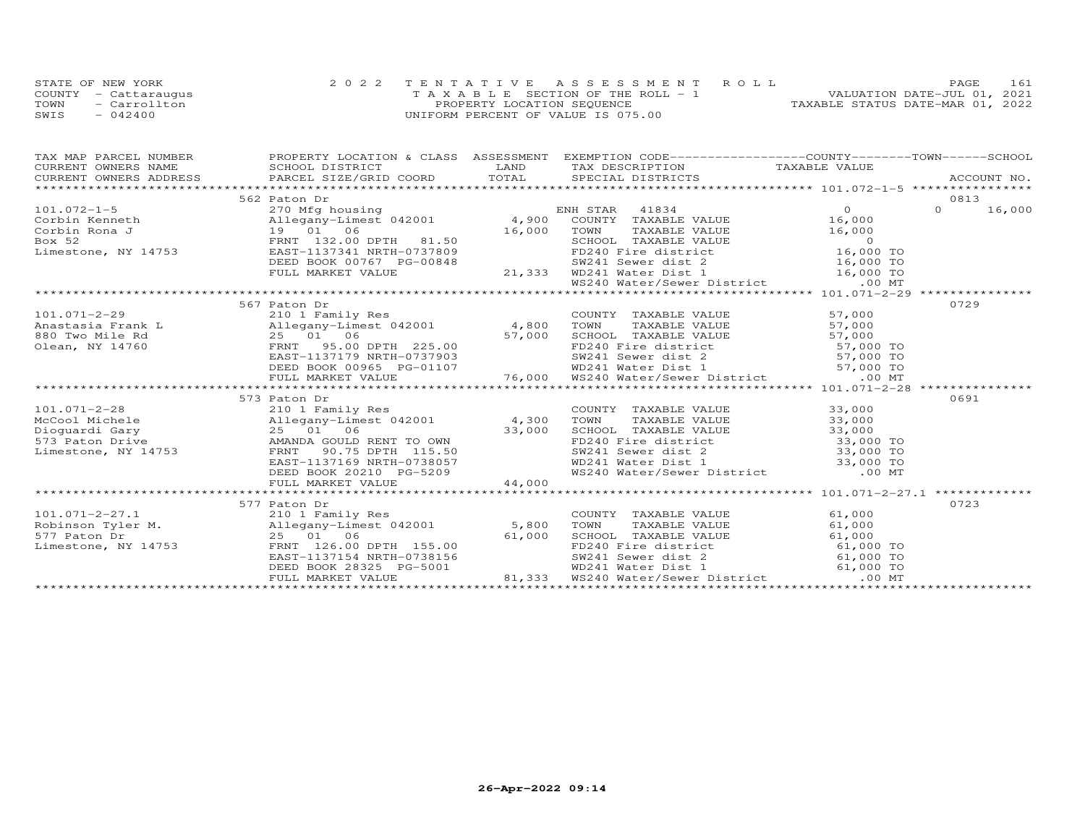|      | STATE OF NEW YORK    | 2022 TENTATIVE ASSESSMENT ROLL        | 161<br>PAGE.                     |
|------|----------------------|---------------------------------------|----------------------------------|
|      | COUNTY - Cattaraugus | T A X A B L E SECTION OF THE ROLL - 1 | VALUATION DATE-JUL 01, 2021      |
| TOWN | - Carrollton         | PROPERTY LOCATION SEQUENCE            | TAXABLE STATUS DATE-MAR 01, 2022 |
| SWIS | $-042400$            | UNIFORM PERCENT OF VALUE IS 075.00    |                                  |

| TAX MAP PARCEL NUMBER | PROPERTY LOCATION & CLASS ASSESSMENT EXEMPTION CODE----------------COUNTY-------TOWN------SCHOOL                                                                                                                                                                |                                                                                                                                                                                                                               |      |  |
|-----------------------|-----------------------------------------------------------------------------------------------------------------------------------------------------------------------------------------------------------------------------------------------------------------|-------------------------------------------------------------------------------------------------------------------------------------------------------------------------------------------------------------------------------|------|--|
|                       |                                                                                                                                                                                                                                                                 |                                                                                                                                                                                                                               |      |  |
|                       | TAX PARCEL NOTIGER ACCOUNT NO ENGINE TO THE CONTRACT CONTRACT CONTRACT CONTRACT CONTRACT CONTRACT CONTRACT CONTRACT CONTRACT CONTRACT CONTRACT CONTRACT CONTRACT CONTRACT CONTRACT CONTRACT CONTRACT CONTRACT CONTRACT CONTRAC                                  |                                                                                                                                                                                                                               |      |  |
|                       |                                                                                                                                                                                                                                                                 |                                                                                                                                                                                                                               |      |  |
|                       | 562 Paton Dr                                                                                                                                                                                                                                                    |                                                                                                                                                                                                                               | 0813 |  |
|                       |                                                                                                                                                                                                                                                                 |                                                                                                                                                                                                                               |      |  |
|                       |                                                                                                                                                                                                                                                                 |                                                                                                                                                                                                                               |      |  |
|                       |                                                                                                                                                                                                                                                                 |                                                                                                                                                                                                                               |      |  |
|                       |                                                                                                                                                                                                                                                                 |                                                                                                                                                                                                                               |      |  |
|                       |                                                                                                                                                                                                                                                                 |                                                                                                                                                                                                                               |      |  |
|                       |                                                                                                                                                                                                                                                                 |                                                                                                                                                                                                                               |      |  |
|                       |                                                                                                                                                                                                                                                                 |                                                                                                                                                                                                                               |      |  |
|                       |                                                                                                                                                                                                                                                                 |                                                                                                                                                                                                                               |      |  |
|                       |                                                                                                                                                                                                                                                                 |                                                                                                                                                                                                                               |      |  |
|                       | 567 Paton Dr                                                                                                                                                                                                                                                    |                                                                                                                                                                                                                               | 0729 |  |
|                       |                                                                                                                                                                                                                                                                 |                                                                                                                                                                                                                               |      |  |
|                       |                                                                                                                                                                                                                                                                 |                                                                                                                                                                                                                               |      |  |
|                       |                                                                                                                                                                                                                                                                 |                                                                                                                                                                                                                               |      |  |
|                       |                                                                                                                                                                                                                                                                 |                                                                                                                                                                                                                               |      |  |
|                       |                                                                                                                                                                                                                                                                 |                                                                                                                                                                                                                               |      |  |
|                       |                                                                                                                                                                                                                                                                 |                                                                                                                                                                                                                               |      |  |
|                       |                                                                                                                                                                                                                                                                 |                                                                                                                                                                                                                               |      |  |
|                       |                                                                                                                                                                                                                                                                 |                                                                                                                                                                                                                               |      |  |
|                       | 573 Paton Dr                                                                                                                                                                                                                                                    |                                                                                                                                                                                                                               | 0691 |  |
|                       |                                                                                                                                                                                                                                                                 |                                                                                                                                                                                                                               |      |  |
|                       | 101.071-2-28 COUNT<br>McCool Michele 210 1 Family Res<br>Dioguardi Gary 25 01 06 33,000 SCHOO<br>573 Paton Drive AMANDA GOULD RENT TO OWN FD240<br>Limestone, NY 14753 FRNT 90.75 DPTH 115.50 SW241                                                             |                                                                                                                                                                                                                               |      |  |
|                       |                                                                                                                                                                                                                                                                 |                                                                                                                                                                                                                               |      |  |
|                       |                                                                                                                                                                                                                                                                 |                                                                                                                                                                                                                               |      |  |
|                       |                                                                                                                                                                                                                                                                 |                                                                                                                                                                                                                               |      |  |
|                       |                                                                                                                                                                                                                                                                 |                                                                                                                                                                                                                               |      |  |
|                       |                                                                                                                                                                                                                                                                 | COUNTY TAXABLE VALUE 33,000<br>TOWN TAXABLE VALUE 33,000<br>SCHOOL TAXABLE VALUE 33,000<br>FD240 Fire district 33,000 TO<br>SW241 Sewer dist 2 33,000 TO<br>WD241 Water Dist 1 33,000 TO<br>WS240 Water/Sewer District .00 MT |      |  |
|                       | EAST-1137169 NRTH-0738057 WD241 Water Dist 1 33,000 TO<br>DEED BOOK 20210 PG-5209 WS240 Water/Sewer District .00 MT<br>FULL MARKET VALUE 44,000 44,000 FOR THE 2008 2011 FULL MARKET VALUE 44,000                                                               |                                                                                                                                                                                                                               |      |  |
|                       |                                                                                                                                                                                                                                                                 |                                                                                                                                                                                                                               |      |  |
|                       | 577 Paton Dr                                                                                                                                                                                                                                                    |                                                                                                                                                                                                                               | 0723 |  |
|                       |                                                                                                                                                                                                                                                                 |                                                                                                                                                                                                                               |      |  |
|                       |                                                                                                                                                                                                                                                                 |                                                                                                                                                                                                                               |      |  |
|                       |                                                                                                                                                                                                                                                                 |                                                                                                                                                                                                                               |      |  |
|                       |                                                                                                                                                                                                                                                                 |                                                                                                                                                                                                                               |      |  |
|                       |                                                                                                                                                                                                                                                                 |                                                                                                                                                                                                                               |      |  |
|                       | 101.071-2-27.1<br>210 1 Family Res<br>Robinson Tyler M.<br>210 1 Family Res<br>210 1 Family Res<br>210 1 Family Res<br>210 1 Family Res<br>210 1 Family Res<br>25 01 06<br>25 01 06<br>25 01 06<br>25 01 06<br>25 01 06<br>25 01 06<br>25 01 06<br>25 01 06<br> |                                                                                                                                                                                                                               |      |  |
|                       |                                                                                                                                                                                                                                                                 |                                                                                                                                                                                                                               |      |  |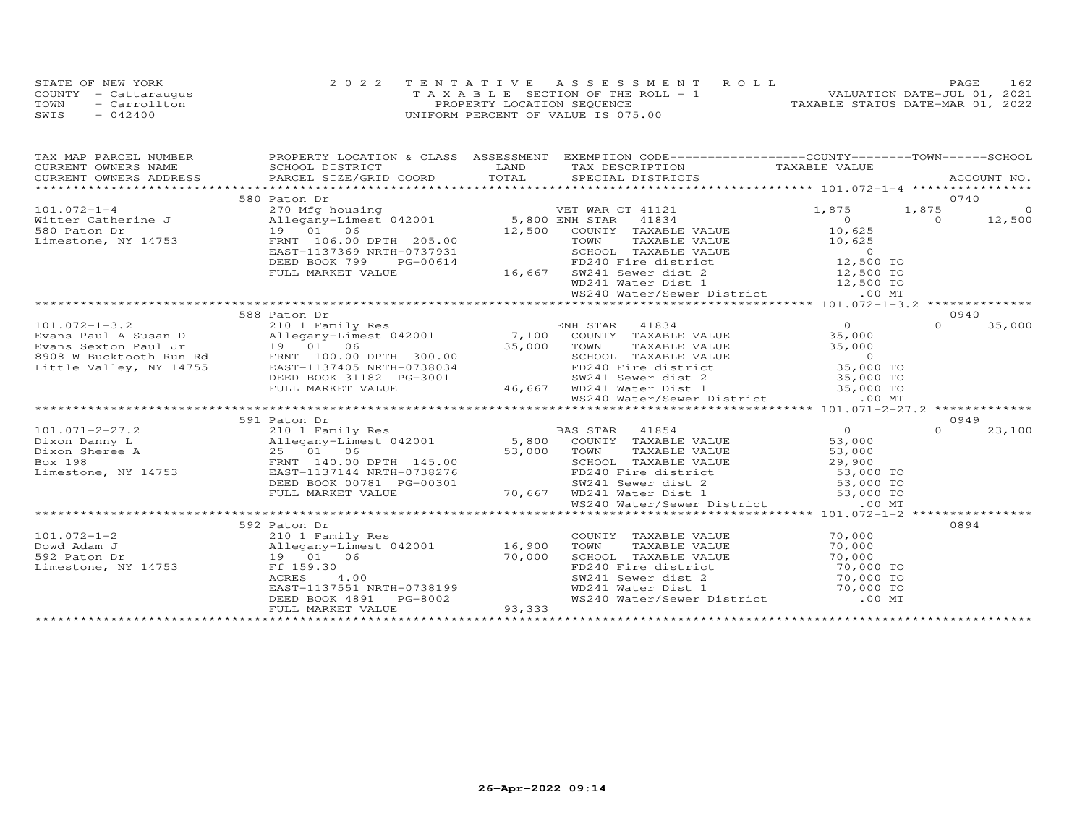|      | STATE OF NEW YORK    | 2022 TENTATIVE ASSESSMENT ROLL        | 162<br><b>PAGE</b>               |
|------|----------------------|---------------------------------------|----------------------------------|
|      | COUNTY - Cattaraugus | T A X A B L E SECTION OF THE ROLL - 1 | VALUATION DATE-JUL 01, 2021      |
| TOWN | - Carrollton         | PROPERTY LOCATION SEQUENCE            | TAXABLE STATUS DATE-MAR 01, 2022 |
| SWIS | $-042400$            | UNIFORM PERCENT OF VALUE IS 075.00    |                                  |

| 0740<br>580 Paton Dr                                                                                                                                                                                                                                                     | TAX MAP PARCEL NUMBER |  | PROPERTY LOCATION & CLASS ASSESSMENT EXEMPTION CODE----------------COUNTY-------TOWN------SCHOOL |  |                |
|--------------------------------------------------------------------------------------------------------------------------------------------------------------------------------------------------------------------------------------------------------------------------|-----------------------|--|--------------------------------------------------------------------------------------------------|--|----------------|
|                                                                                                                                                                                                                                                                          |                       |  |                                                                                                  |  |                |
|                                                                                                                                                                                                                                                                          |                       |  |                                                                                                  |  |                |
|                                                                                                                                                                                                                                                                          |                       |  |                                                                                                  |  |                |
|                                                                                                                                                                                                                                                                          |                       |  |                                                                                                  |  |                |
|                                                                                                                                                                                                                                                                          |                       |  |                                                                                                  |  | $\overline{0}$ |
|                                                                                                                                                                                                                                                                          |                       |  |                                                                                                  |  | 12,500         |
|                                                                                                                                                                                                                                                                          |                       |  |                                                                                                  |  |                |
|                                                                                                                                                                                                                                                                          |                       |  |                                                                                                  |  |                |
| 101.072-1-4<br>Witter Catherine J<br>Witter Catherine J<br>Mitter Catherine J<br>Mitter Catherine J<br>270 Milegany-Limest 042001<br>19 01 06<br>12,500 ENGLE VALUE<br>10,625<br>TOWN TAXABLE VALUE<br>TOWN TAXABLE VALUE<br>10,625<br>10,625<br>10,625<br>              |                       |  |                                                                                                  |  |                |
|                                                                                                                                                                                                                                                                          |                       |  |                                                                                                  |  |                |
|                                                                                                                                                                                                                                                                          |                       |  |                                                                                                  |  |                |
|                                                                                                                                                                                                                                                                          |                       |  |                                                                                                  |  |                |
| FRNT 106.00 DPTH 205.00<br>EAST-1137369 NRTH-0737931 SCHOOL TAXABLE VALUE 10,625<br>DEED BOOK 799 PG-00614 FD240 Fire district 12,500 TO<br>FULL MARKET VALUE 16,667 SW241 Sever dist 2 12,500 TO<br>*********************************                                   |                       |  |                                                                                                  |  |                |
| 588 Paton Dr<br>0940                                                                                                                                                                                                                                                     |                       |  |                                                                                                  |  |                |
| $\Omega$                                                                                                                                                                                                                                                                 |                       |  |                                                                                                  |  | 35,000         |
|                                                                                                                                                                                                                                                                          |                       |  |                                                                                                  |  |                |
|                                                                                                                                                                                                                                                                          |                       |  |                                                                                                  |  |                |
|                                                                                                                                                                                                                                                                          |                       |  |                                                                                                  |  |                |
|                                                                                                                                                                                                                                                                          |                       |  |                                                                                                  |  |                |
|                                                                                                                                                                                                                                                                          |                       |  |                                                                                                  |  |                |
|                                                                                                                                                                                                                                                                          |                       |  |                                                                                                  |  |                |
|                                                                                                                                                                                                                                                                          |                       |  |                                                                                                  |  |                |
|                                                                                                                                                                                                                                                                          |                       |  |                                                                                                  |  |                |
| 0949<br>591 Paton Dr                                                                                                                                                                                                                                                     |                       |  |                                                                                                  |  |                |
| 101.071-2-27.2<br>Dixon Danny L<br>Dixon Sheree A<br>Dixon Sheree A<br>25 01 06<br>EX 198<br>EX 198<br>EX 19753<br>EXENE BOX 198<br>EXENE 29,900<br>EXENE BOX 198<br>EXENE 29,900<br>EXENE BOX 198<br>DEED BOX 00781 PG-00301<br>DEED BOX 00781 PG-00301<br><br>$\Omega$ |                       |  |                                                                                                  |  | 23,100         |
|                                                                                                                                                                                                                                                                          |                       |  |                                                                                                  |  |                |
|                                                                                                                                                                                                                                                                          |                       |  |                                                                                                  |  |                |
|                                                                                                                                                                                                                                                                          |                       |  |                                                                                                  |  |                |
|                                                                                                                                                                                                                                                                          |                       |  |                                                                                                  |  |                |
|                                                                                                                                                                                                                                                                          |                       |  |                                                                                                  |  |                |
|                                                                                                                                                                                                                                                                          |                       |  |                                                                                                  |  |                |
|                                                                                                                                                                                                                                                                          |                       |  |                                                                                                  |  |                |
|                                                                                                                                                                                                                                                                          |                       |  |                                                                                                  |  |                |
| 0894<br>592 Paton Dr                                                                                                                                                                                                                                                     |                       |  |                                                                                                  |  |                |
| COUNTY TAXABLE VALUE 70,000<br>TOWN TAXABLE VALUE 70,000                                                                                                                                                                                                                 |                       |  |                                                                                                  |  |                |
| TOWN                                                                                                                                                                                                                                                                     |                       |  |                                                                                                  |  |                |
|                                                                                                                                                                                                                                                                          |                       |  |                                                                                                  |  |                |
|                                                                                                                                                                                                                                                                          |                       |  |                                                                                                  |  |                |
| CONSULTATION CONTROLLER TO, 000 TO<br>SCHOOL TAXABLE VALUE 70, 000 TO<br>FD240 Fire district 70, 000 TO<br>WD241 Water Dist 1 70, 000 TO<br>WS240 Water/Sewer District .00 MT                                                                                            |                       |  |                                                                                                  |  |                |
|                                                                                                                                                                                                                                                                          |                       |  |                                                                                                  |  |                |
| 11 1375 1<br>RACRES 4.00<br>EAST-1137551 NRTH-0738199<br>DEED BOOK 4891 PG-8002 93,333                                                                                                                                                                                   |                       |  |                                                                                                  |  |                |
|                                                                                                                                                                                                                                                                          |                       |  |                                                                                                  |  |                |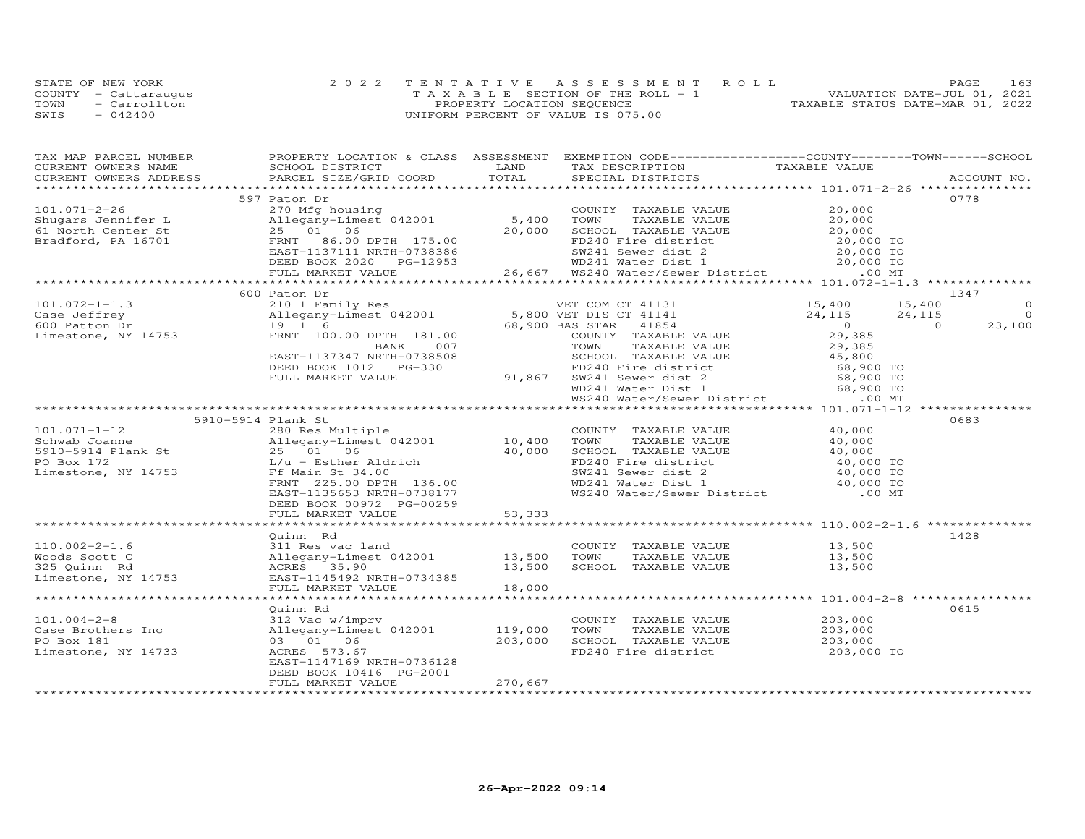|      | STATE OF NEW YORK    | 2022 TENTATIVE ASSESSMENT ROLL        | PAGE                             | 163 |
|------|----------------------|---------------------------------------|----------------------------------|-----|
|      | COUNTY - Cattaraugus | T A X A B L E SECTION OF THE ROLL - 1 | VALUATION DATE-JUL 01, 2021      |     |
| TOWN | - Carrollton         | PROPERTY LOCATION SEQUENCE            | TAXABLE STATUS DATE-MAR 01, 2022 |     |
| SWIS | $-042400$            | UNIFORM PERCENT OF VALUE IS 075.00    |                                  |     |

| TAX MAP PARCEL NUMBER                    | PROPERTY LOCATION & CLASS ASSESSMENT EXEMPTION CODE----------------COUNTY-------TOWN------SCHOOL |         |                                                                                              |                                                      |                    |
|------------------------------------------|--------------------------------------------------------------------------------------------------|---------|----------------------------------------------------------------------------------------------|------------------------------------------------------|--------------------|
| CURRENT OWNERS NAME                      | SCHOOL DISTRICT                                                                                  | LAND    | TAX DESCRIPTION                                                                              | TAXABLE VALUE                                        |                    |
| CURRENT OWNERS ADDRESS                   | PARCEL SIZE/GRID COORD                                                                           | TOTAL   | SPECIAL DISTRICTS                                                                            |                                                      | ACCOUNT NO.        |
|                                          |                                                                                                  |         |                                                                                              |                                                      | 0778               |
| $101.071 - 2 - 26$                       | 597 Paton Dr<br>270 Mfg housing                                                                  |         | COUNTY TAXABLE VALUE                                                                         | 20,000                                               |                    |
|                                          | Allegany-Limest 042001                                                                           | 5,400   | TOWN                                                                                         | 20,000                                               |                    |
| Shugars Jennifer L<br>61 North Center St | 25 01 06                                                                                         | 20,000  | TAXABLE VALUE<br>SCHOOL TAXABLE VALUE                                                        | 20,000                                               |                    |
| Bradford, PA 16701                       | 86.00 DPTH 175.00<br>FRNT                                                                        |         | FD240 Fire district                                                                          |                                                      |                    |
|                                          | EAST-1137111 NRTH-0738386                                                                        |         | SW241 Sewer dist 2                                                                           | 20,000 TO<br>20,000 TO                               |                    |
|                                          | DEED BOOK 2020 PG-12953                                                                          |         |                                                                                              |                                                      |                    |
|                                          | FULL MARKET VALUE                                                                                |         | 20,000 TO<br>26,667 WS240 Water Dist 1 20,000 TO<br>26,667 WS240 Water/Sewer District .00 MT |                                                      |                    |
|                                          |                                                                                                  |         |                                                                                              |                                                      |                    |
|                                          | 600 Paton Dr                                                                                     |         |                                                                                              |                                                      | 1347               |
| $101.072 - 1 - 1.3$                      | 210 1 Family Res                                                                                 |         | VET COM CT 41131                                                                             | 15,400                                               | 15,400<br>$\Omega$ |
| Case Jeffrey                             | Allegany-Limest 042001                                                                           |         | 5,800 VET DIS CT 41141                                                                       | 24,115                                               | 24,115<br>$\Omega$ |
| 600 Patton Dr                            | 19 1 6                                                                                           |         | 68,900 BAS STAR 41854                                                                        | $\overline{O}$                                       | 23,100<br>$\Omega$ |
| Limestone, NY 14753                      | FRNT 100.00 DPTH 181.00                                                                          |         | COUNTY TAXABLE VALUE                                                                         | 29,385                                               |                    |
|                                          | BANK<br>007                                                                                      |         | TOWN<br>TAXABLE VALUE                                                                        | 29,385                                               |                    |
|                                          | EAST-1137347 NRTH-0738508                                                                        |         | SCHOOL TAXABLE VALUE                                                                         | 45,800                                               |                    |
|                                          | DEED BOOK 1012 PG-330                                                                            |         | FD240 Fire district                                                                          | 68,900 TO                                            |                    |
|                                          | FULL MARKET VALUE                                                                                | 91,867  |                                                                                              |                                                      |                    |
|                                          |                                                                                                  |         | SW241 Sewer dist 2<br>WD241 Water Dist 1                                                     | 68,900 TO<br>68,900 TO<br>68,900 TO                  |                    |
|                                          |                                                                                                  |         | WS240 Water/Sewer District                                                                   | $.00$ MT                                             |                    |
|                                          |                                                                                                  |         |                                                                                              |                                                      |                    |
|                                          | 5910-5914 Plank St                                                                               |         |                                                                                              |                                                      | 0683               |
| $101.071 - 1 - 12$                       | 280 Res Multiple                                                                                 |         | COUNTY TAXABLE VALUE                                                                         | 40,000                                               |                    |
| Schwab Joanne                            | Allegany-Limest 042001                                                                           | 10,400  | TOWN<br>TAXABLE VALUE                                                                        | 40,000                                               |                    |
| 5910-5914 Plank St                       | 25 01 06                                                                                         | 40,000  | SCHOOL TAXABLE VALUE                                                                         | 40,000                                               |                    |
| PO Box 172                               | L/u - Esther Aldrich                                                                             |         | FD240 Fire district                                                                          | 40,000 TO                                            |                    |
| Limestone, NY 14753                      | Ff Main St 34.00                                                                                 |         | SW241 Sewer dist 2                                                                           | 40,000 TO                                            |                    |
|                                          | FRNT 225.00 DPTH 136.00                                                                          |         | WD241 Water Dist 1                                                                           | 40,000 TO                                            |                    |
|                                          | EAST-1135653 NRTH-0738177                                                                        |         | WS240 Water/Sewer District                                                                   | .00 MT                                               |                    |
|                                          | DEED BOOK 00972 PG-00259                                                                         |         |                                                                                              |                                                      |                    |
|                                          | FULL MARKET VALUE                                                                                | 53,333  |                                                                                              |                                                      |                    |
|                                          |                                                                                                  |         |                                                                                              |                                                      |                    |
|                                          | Quinn Rd                                                                                         |         |                                                                                              |                                                      | 1428               |
| $110.002 - 2 - 1.6$                      | 311 Res vac land                                                                                 |         | COUNTY TAXABLE VALUE                                                                         | 13,500                                               |                    |
| Woods Scott C                            | Allegany-Limest 042001                                                                           | 13,500  | TOWN<br>TAXABLE VALUE                                                                        | 13,500                                               |                    |
| 325 Quinn Rd                             | ACRES 35.90                                                                                      | 13,500  | SCHOOL TAXABLE VALUE                                                                         | 13,500                                               |                    |
| Limestone, NY 14753                      | EAST-1145492 NRTH-0734385                                                                        |         |                                                                                              |                                                      |                    |
|                                          | FULL MARKET VALUE                                                                                | 18,000  |                                                                                              |                                                      |                    |
|                                          |                                                                                                  |         |                                                                                              | *********************** 101.004-2-8 **************** |                    |
|                                          | Quinn Rd                                                                                         |         |                                                                                              |                                                      | 0615               |
| $101.004 - 2 - 8$<br>Case Brothers Inc   | 312 Vac w/imprv<br>Allegany-Limest 042001                                                        | 119,000 | COUNTY TAXABLE VALUE<br>TOWN<br>TAXABLE VALUE                                                | 203,000<br>203,000                                   |                    |
| PO Box 181                               | 03 01 06                                                                                         |         | SCHOOL TAXABLE VALUE                                                                         |                                                      |                    |
| Limestone, NY 14733                      | ACRES 573.67                                                                                     | 203,000 | FD240 Fire district                                                                          | 203,000<br>203,000 TO                                |                    |
|                                          | EAST-1147169 NRTH-0736128                                                                        |         |                                                                                              |                                                      |                    |
|                                          | DEED BOOK 10416 PG-2001                                                                          |         |                                                                                              |                                                      |                    |
|                                          | FULL MARKET VALUE                                                                                | 270,667 |                                                                                              |                                                      |                    |
|                                          |                                                                                                  |         |                                                                                              |                                                      |                    |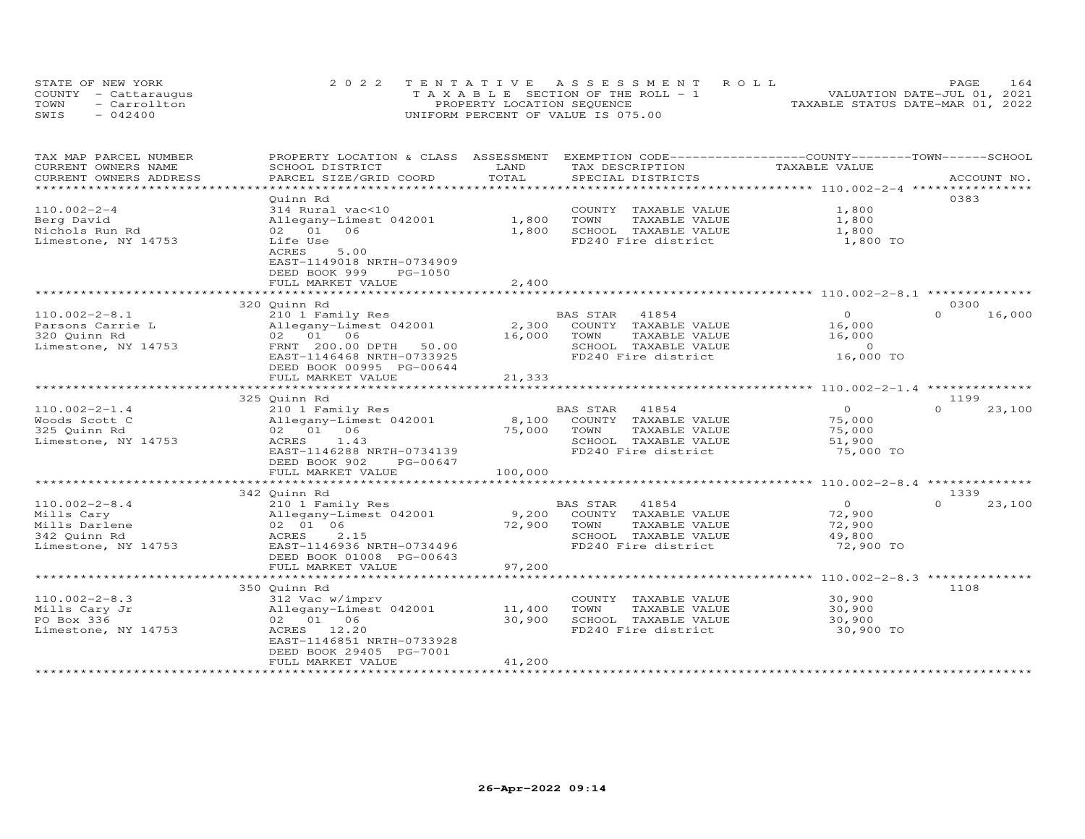| STATE OF NEW YORK    | 2022 TENTATIVE ASSESSMENT ROLL        | 164<br><b>PAGE</b>               |
|----------------------|---------------------------------------|----------------------------------|
| COUNTY - Cattaraugus | T A X A B L E SECTION OF THE ROLL - 1 | VALUATION DATE-JUL 01, 2021      |
| TOWN<br>- Carrollton | PROPERTY LOCATION SEQUENCE            | TAXABLE STATUS DATE-MAR 01, 2022 |
| SWIS<br>$-042400$    | UNIFORM PERCENT OF VALUE IS 075.00    |                                  |

| TAX MAP PARCEL NUMBER  | PROPERTY LOCATION & CLASS ASSESSMENT |         | EXEMPTION CODE-----------------COUNTY-------TOWN------SCHOOL |                                                |                    |
|------------------------|--------------------------------------|---------|--------------------------------------------------------------|------------------------------------------------|--------------------|
| CURRENT OWNERS NAME    | SCHOOL DISTRICT                      | LAND    | TAX DESCRIPTION                                              | TAXABLE VALUE                                  |                    |
| CURRENT OWNERS ADDRESS | PARCEL SIZE/GRID COORD               | TOTAL   | SPECIAL DISTRICTS                                            |                                                | ACCOUNT NO.        |
|                        |                                      |         |                                                              |                                                |                    |
|                        | Ouinn Rd                             |         |                                                              |                                                | 0383               |
| $110.002 - 2 - 4$      | 314 Rural vac<10                     |         | COUNTY TAXABLE VALUE                                         | 1,800                                          |                    |
| Berg David             | Allegany-Limest 042001               | 1,800   | TOWN<br>TAXABLE VALUE                                        | 1,800                                          |                    |
| Nichols Run Rd         | 02 01 06                             | 1,800   | SCHOOL TAXABLE VALUE                                         | 1,800                                          |                    |
| Limestone, NY 14753    | Life Use                             |         | FD240 Fire district                                          | 1,800 TO                                       |                    |
|                        | 5.00<br>ACRES                        |         |                                                              |                                                |                    |
|                        | EAST-1149018 NRTH-0734909            |         |                                                              |                                                |                    |
|                        | DEED BOOK 999<br>PG-1050             |         |                                                              |                                                |                    |
|                        | FULL MARKET VALUE                    | 2,400   |                                                              |                                                |                    |
|                        | **********************               |         |                                                              |                                                |                    |
|                        | 320 Quinn Rd                         |         |                                                              |                                                | 0300               |
| $110.002 - 2 - 8.1$    | 210 1 Family Res                     |         | BAS STAR<br>41854                                            | $\overline{O}$                                 | $\Omega$<br>16,000 |
| Parsons Carrie L       | Allegany-Limest 042001               | 2,300   | COUNTY TAXABLE VALUE                                         | 16,000                                         |                    |
| 320 Quinn Rd           | 02 01 06                             | 16,000  | TOWN<br>TAXABLE VALUE                                        | 16,000                                         |                    |
| Limestone, NY 14753    | FRNT 200.00 DPTH<br>50.00            |         | SCHOOL TAXABLE VALUE                                         | $\circ$                                        |                    |
|                        | EAST-1146468 NRTH-0733925            |         | FD240 Fire district                                          | 16,000 TO                                      |                    |
|                        | DEED BOOK 00995 PG-00644             |         |                                                              |                                                |                    |
|                        | FULL MARKET VALUE                    | 21,333  |                                                              |                                                |                    |
|                        |                                      |         |                                                              | **************** 110.002-2-1.4 *************** |                    |
|                        | 325 Quinn Rd                         |         |                                                              |                                                | 1199               |
| $110.002 - 2 - 1.4$    | 210 1 Family Res                     |         | BAS STAR<br>41854                                            | $\overline{O}$                                 | $\Omega$<br>23,100 |
| Woods Scott C          | Allegany-Limest 042001               | 8,100   | COUNTY TAXABLE VALUE                                         | 75,000                                         |                    |
| 325 Quinn Rd           | 02 01 06                             | 75,000  | TOWN<br>TAXABLE VALUE                                        | 75,000                                         |                    |
| Limestone, NY 14753    | ACRES<br>1.43                        |         | SCHOOL TAXABLE VALUE                                         | 51,900                                         |                    |
|                        | EAST-1146288 NRTH-0734139            |         | FD240 Fire district                                          | 75,000 TO                                      |                    |
|                        | DEED BOOK 902<br>PG-00647            |         |                                                              |                                                |                    |
|                        | FULL MARKET VALUE                    | 100,000 |                                                              |                                                |                    |
|                        | ******************                   |         |                                                              | ************ 110.002-2-8.4 ***************     |                    |
|                        | 342 Quinn Rd                         |         |                                                              |                                                | 1339               |
| $110.002 - 2 - 8.4$    | 210 1 Family Res                     |         | BAS STAR<br>41854                                            | $\overline{O}$                                 | $\Omega$<br>23,100 |
| Mills Cary             | Allegany-Limest 042001               | 9,200   | COUNTY TAXABLE VALUE                                         | 72,900                                         |                    |
| Mills Darlene          | 02 01 06                             | 72,900  | TOWN<br>TAXABLE VALUE                                        | 72,900                                         |                    |
| 342 Quinn Rd           | ACRES<br>2.15                        |         | SCHOOL TAXABLE VALUE                                         | 49,800                                         |                    |
| Limestone, NY 14753    | EAST-1146936 NRTH-0734496            |         | FD240 Fire district                                          | 72,900 TO                                      |                    |
|                        | DEED BOOK 01008 PG-00643             |         |                                                              |                                                |                    |
|                        | FULL MARKET VALUE                    | 97,200  |                                                              |                                                |                    |
|                        | **********************               |         |                                                              | **************** 110.002-2-8.3 ********        |                    |
|                        | 350 Quinn Rd                         |         |                                                              |                                                | 1108               |
| $110.002 - 2 - 8.3$    | 312 Vac w/imprv                      |         | COUNTY TAXABLE VALUE                                         | 30,900                                         |                    |
| Mills Cary Jr          | Allegany-Limest 042001               | 11,400  | TOWN<br>TAXABLE VALUE                                        | 30,900                                         |                    |
| PO Box 336             | 02 01 06                             | 30,900  | SCHOOL TAXABLE VALUE                                         | 30,900                                         |                    |
| Limestone, NY 14753    | ACRES 12.20                          |         | FD240 Fire district                                          | 30,900 TO                                      |                    |
|                        | EAST-1146851 NRTH-0733928            |         |                                                              |                                                |                    |
|                        | DEED BOOK 29405 PG-7001              |         |                                                              |                                                |                    |
|                        | FULL MARKET VALUE                    | 41,200  |                                                              |                                                |                    |
|                        |                                      |         |                                                              |                                                |                    |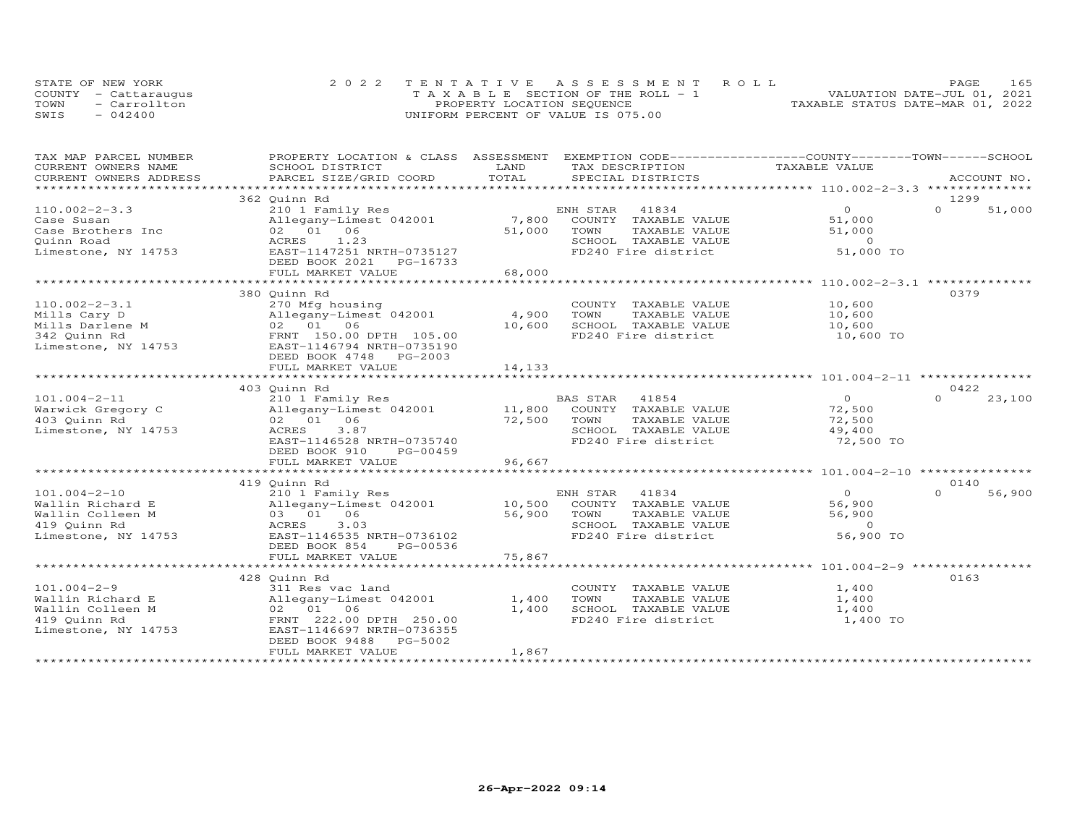|      | STATE OF NEW YORK    | 2022 TENTATIVE ASSESSMENT ROLL        | 165<br>PAGE.                     |
|------|----------------------|---------------------------------------|----------------------------------|
|      | COUNTY - Cattaraugus | T A X A B L E SECTION OF THE ROLL - 1 | VALUATION DATE-JUL 01, 2021      |
| TOWN | - Carrollton         | PROPERTY LOCATION SEQUENCE            | TAXABLE STATUS DATE-MAR 01, 2022 |
| SWIS | $-042400$            | UNIFORM PERCENT OF VALUE IS 075.00    |                                  |

| TAX MAP PARCEL NUMBER  | PROPERTY LOCATION & CLASS ASSESSMENT EXEMPTION CODE----------------COUNTY-------TOWN-----SCHOOL |        |                                                                                                |                          |                    |
|------------------------|-------------------------------------------------------------------------------------------------|--------|------------------------------------------------------------------------------------------------|--------------------------|--------------------|
| CURRENT OWNERS NAME    | SCHOOL DISTRICT                                                                                 | LAND   | TAX DESCRIPTION                                                                                | TAXABLE VALUE            |                    |
| CURRENT OWNERS ADDRESS | PARCEL SIZE/GRID COORD                                                                          | TOTAL  | SPECIAL DISTRICTS                                                                              |                          | ACCOUNT NO.        |
| *********************  |                                                                                                 |        |                                                                                                |                          |                    |
|                        | 362 Quinn Rd                                                                                    |        |                                                                                                |                          | 1299               |
| $110.002 - 2 - 3.3$    | 210 1 Family Res                                                                                |        | ENH STAR<br>41834                                                                              | $\circ$                  | $\Omega$<br>51,000 |
| Case Susan             | Allegany-Limest 042001                                                                          | 7,800  | COUNTY TAXABLE VALUE                                                                           | 51,000                   |                    |
| Case Brothers Inc      | 02 01 06                                                                                        | 51,000 | TOWN<br>TAXABLE VALUE                                                                          | 51,000                   |                    |
| Quinn Road             | ACRES<br>1.23                                                                                   |        | SCHOOL TAXABLE VALUE                                                                           | $\overline{0}$           |                    |
| Limestone, NY 14753    | EAST-1147251 NRTH-0735127                                                                       |        | FD240 Fire district                                                                            | 51,000 TO                |                    |
|                        | DEED BOOK 2021 PG-16733                                                                         |        |                                                                                                |                          |                    |
|                        | FULL MARKET VALUE                                                                               | 68,000 |                                                                                                |                          |                    |
|                        |                                                                                                 |        |                                                                                                |                          |                    |
|                        | 380 Quinn Rd                                                                                    |        |                                                                                                |                          | 0379               |
| $110.002 - 2 - 3.1$    | 270 Mfg housing                                                                                 |        | COUNTY TAXABLE VALUE                                                                           | 10,600                   |                    |
| Mills Cary D           | Allegany-Limest 042001                                                                          | 4,900  | TAXABLE VALUE<br>TOWN                                                                          | 10,600                   |                    |
| Mills Darlene M        | 02 01 06                                                                                        | 10,600 | SCHOOL TAXABLE VALUE                                                                           | 10,600                   |                    |
| 342 Quinn Rd           | FRNT 150.00 DPTH 105.00                                                                         |        | FD240 Fire district                                                                            | 10,600 TO                |                    |
| Limestone, NY 14753    | EAST-1146794 NRTH-0735190                                                                       |        |                                                                                                |                          |                    |
|                        | DEED BOOK 4748 PG-2003                                                                          |        |                                                                                                |                          |                    |
|                        | FULL MARKET VALUE                                                                               | 14,133 |                                                                                                |                          |                    |
|                        |                                                                                                 |        |                                                                                                |                          |                    |
|                        | 403 Quinn Rd                                                                                    |        |                                                                                                |                          | 0422               |
| $101.004 - 2 - 11$     | 210 1 Family Res                                                                                |        | <b>BAS STAR</b>                                                                                | $\overline{0}$           | 23,100<br>$\Omega$ |
| Warwick Gregory C      | Allegany-Limest 042001                                                                          |        |                                                                                                | 72,500                   |                    |
| 403 Quinn Rd           | 02 01 06                                                                                        | 72,500 | BAS SIAR (11.0)<br>11,800 COUNTY TAXABLE VALUE<br>----- TAVARLE VALUE<br>TAXABLE VALUE<br>TOWN | 72,500                   |                    |
| Limestone, NY 14753    | 3.87<br>ACRES                                                                                   |        | SCHOOL TAXABLE VALUE                                                                           | 49,400                   |                    |
|                        | EAST-1146528 NRTH-0735740                                                                       |        | FD240 Fire district                                                                            | 72,500 TO                |                    |
|                        | DEED BOOK 910<br>PG-00459                                                                       |        |                                                                                                |                          |                    |
|                        | FULL MARKET VALUE                                                                               | 96,667 |                                                                                                |                          |                    |
|                        |                                                                                                 |        |                                                                                                |                          |                    |
|                        | 419 Quinn Rd                                                                                    |        |                                                                                                |                          | 0140               |
| $101.004 - 2 - 10$     | 210 1 Family Res                                                                                |        | ENH STAR<br>41834                                                                              | $\Omega$                 | 56,900<br>$\Omega$ |
|                        |                                                                                                 | 10,500 |                                                                                                | 56,900                   |                    |
| Wallin Richard E       | Allegany-Limest 042001                                                                          |        | COUNTY TAXABLE VALUE                                                                           |                          |                    |
| Wallin Colleen M       | 03 01 06                                                                                        | 56,900 | TOWN<br>TAXABLE VALUE                                                                          | 56,900<br>$\overline{0}$ |                    |
| 419 Quinn Rd           | 3.03<br>ACRES                                                                                   |        | SCHOOL TAXABLE VALUE                                                                           |                          |                    |
| Limestone, NY 14753    | EAST-1146535 NRTH-0736102                                                                       |        | FD240 Fire district                                                                            | 56,900 TO                |                    |
|                        | DEED BOOK 854<br>PG-00536                                                                       |        |                                                                                                |                          |                    |
|                        | FULL MARKET VALUE                                                                               | 75,867 |                                                                                                |                          |                    |
|                        |                                                                                                 |        |                                                                                                |                          |                    |
|                        | 428 Quinn Rd                                                                                    |        |                                                                                                |                          | 0163               |
| $101.004 - 2 - 9$      | 311 Res vac land                                                                                |        | COUNTY TAXABLE VALUE                                                                           | 1,400                    |                    |
| Wallin Richard E       | Allegany-Limest 042001                                                                          | 1,400  | TOWN<br>TAXABLE VALUE                                                                          | 1,400                    |                    |
| Wallin Colleen M       | 02 01 06                                                                                        | 1,400  | SCHOOL TAXABLE VALUE                                                                           | 1,400                    |                    |
| 419 Quinn Rd           | FRNT 222.00 DPTH 250.00                                                                         |        | FD240 Fire district                                                                            | 1,400 TO                 |                    |
| Limestone, NY 14753    | EAST-1146697 NRTH-0736355                                                                       |        |                                                                                                |                          |                    |
|                        | PG-5002<br>DEED BOOK 9488                                                                       |        |                                                                                                |                          |                    |
|                        | FULL MARKET VALUE                                                                               | 1,867  |                                                                                                |                          |                    |
|                        |                                                                                                 |        |                                                                                                |                          |                    |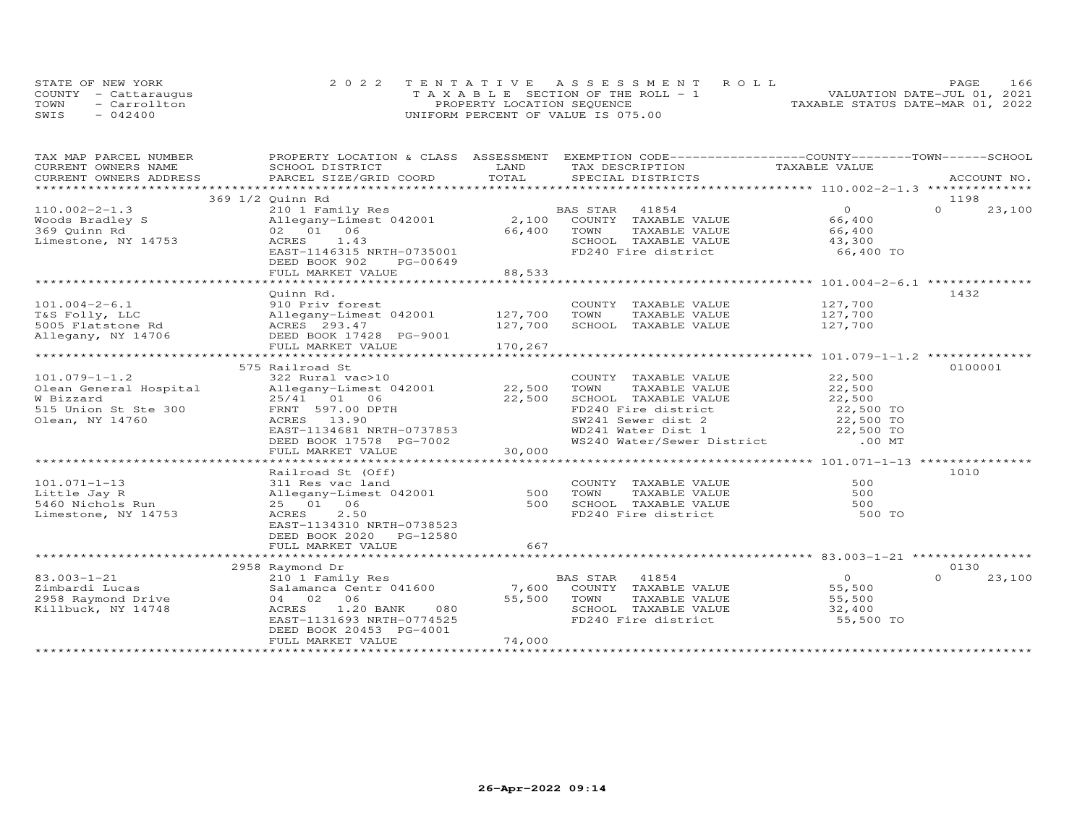|      | STATE OF NEW YORK    | 2022 TENTATIVE ASSESSMENT ROLL           | 166<br>PAGE.                     |
|------|----------------------|------------------------------------------|----------------------------------|
|      | COUNTY - Cattaraugus | $T A X A B I F$ SECTION OF THE ROLL $-1$ | VALUATION DATE-JUL 01, 2021      |
| TOWN | - Carrollton         | PROPERTY LOCATION SEQUENCE               | TAXABLE STATUS DATE-MAR 01, 2022 |
| SWIS | $-042400$            | UNIFORM PERCENT OF VALUE IS 075.00       |                                  |

| TAX MAP PARCEL NUMBER                                                                                                                                                                                                          |                                |                        | PROPERTY LOCATION & CLASS ASSESSMENT EXEMPTION CODE----------------COUNTY-------TOWN-----SCHOOL |                     |                    |
|--------------------------------------------------------------------------------------------------------------------------------------------------------------------------------------------------------------------------------|--------------------------------|------------------------|-------------------------------------------------------------------------------------------------|---------------------|--------------------|
| CURRENT OWNERS NAME                                                                                                                                                                                                            | SCHOOL DISTRICT                | LAND                   | TAX DESCRIPTION                                                                                 | TAXABLE VALUE       |                    |
|                                                                                                                                                                                                                                |                                |                        |                                                                                                 |                     |                    |
| .CURRENT OWNERS ADDRESS PARCEL SIZE/GRID COORD TOTAL SPECIAL DISTRICTS ACCOUNT NO ACCOUNT NO ARCOUNT NO ARE THE SERVER AND THE SERVER ASSESS THE SERVER SERVER AND THE SERVER SERVER AND THE SERVER SERVER AND THE SERVER SERV |                                |                        |                                                                                                 |                     |                    |
|                                                                                                                                                                                                                                | 369 1/2 Quinn Rd               |                        |                                                                                                 |                     | 1198               |
| $110.002 - 2 - 1.3$                                                                                                                                                                                                            | 210 1 Family Res               |                        | BAS STAR<br>41854                                                                               | $\overline{0}$      | $\Omega$<br>23,100 |
| Woods Bradley S                                                                                                                                                                                                                | Allegany-Limest 042001         |                        | 2,100 COUNTY TAXABLE VALUE                                                                      | 66,400              |                    |
| 369 Quinn Rd                                                                                                                                                                                                                   | 02 01 06                       | 66,400                 | TAXABLE VALUE<br>TOWN                                                                           | 66,400              |                    |
| Limestone, NY 14753                                                                                                                                                                                                            | 1.43<br>ACRES                  |                        | SCHOOL TAXABLE VALUE                                                                            |                     |                    |
|                                                                                                                                                                                                                                | EAST-1146315 NRTH-0735001      |                        | FD240 Fire district                                                                             | 43,300<br>66,400 TO |                    |
|                                                                                                                                                                                                                                | DEED BOOK 902<br>PG-00649      |                        |                                                                                                 |                     |                    |
|                                                                                                                                                                                                                                | FULL MARKET VALUE              | 88,533                 |                                                                                                 |                     |                    |
|                                                                                                                                                                                                                                |                                |                        |                                                                                                 |                     |                    |
|                                                                                                                                                                                                                                |                                |                        |                                                                                                 |                     |                    |
|                                                                                                                                                                                                                                | Quinn Rd.                      |                        |                                                                                                 |                     | 1432               |
| $101.004 - 2 - 6.1$                                                                                                                                                                                                            | 910 Priv forest                |                        | COUNTY TAXABLE VALUE 127,700                                                                    |                     |                    |
| T&S Folly, LLC                                                                                                                                                                                                                 | Allegany-Limest 042001 127,700 |                        | TOWN<br>TAXABLE VALUE                                                                           | 127,700             |                    |
| 5005 Flatstone Rd                                                                                                                                                                                                              | ACRES 293.47                   | 127,700                | SCHOOL TAXABLE VALUE                                                                            | 127,700             |                    |
| Allegany, NY 14706                                                                                                                                                                                                             | DEED BOOK 17428 PG-9001        |                        |                                                                                                 |                     |                    |
|                                                                                                                                                                                                                                | FULL MARKET VALUE              | 170,267                |                                                                                                 |                     |                    |
|                                                                                                                                                                                                                                |                                |                        |                                                                                                 |                     |                    |
|                                                                                                                                                                                                                                | 575 Railroad St                |                        |                                                                                                 |                     | 0100001            |
| $101.079 - 1 - 1.2$                                                                                                                                                                                                            | 322 Rural vac>10               |                        | COUNTY TAXABLE VALUE                                                                            | 22,500              |                    |
| Olean General Hospital                                                                                                                                                                                                         | Allegany-Limest 042001 22,500  |                        | TOWN<br>TAXABLE VALUE                                                                           | 22,500              |                    |
| W Bizzard                                                                                                                                                                                                                      | 25/41 01 06                    | 22,500                 |                                                                                                 | 22,500              |                    |
| 515 Union St Ste 300                                                                                                                                                                                                           | FRNT 597.00 DPTH               |                        | SCHOOL TAXABLE VALUE<br>FD240 Fire district                                                     | 22,500 TO           |                    |
| Olean, NY 14760                                                                                                                                                                                                                | ACRES 13.90                    |                        |                                                                                                 |                     |                    |
|                                                                                                                                                                                                                                | EAST-1134681 NRTH-0737853      |                        | SW241 Sewer dist 2 22,500 TO<br>WD241 Water Dist 1 22,500 TO                                    |                     |                    |
|                                                                                                                                                                                                                                | DEED BOOK 17578 PG-7002        |                        | WS240 Water/Sewer District .00 MT                                                               |                     |                    |
|                                                                                                                                                                                                                                | FULL MARKET VALUE              | $5 - 7002$<br>$30,000$ |                                                                                                 |                     |                    |
|                                                                                                                                                                                                                                |                                |                        |                                                                                                 |                     |                    |
|                                                                                                                                                                                                                                | Railroad St (Off)              |                        |                                                                                                 |                     | 1010               |
|                                                                                                                                                                                                                                |                                |                        |                                                                                                 | 500                 |                    |
| $101.071 - 1 - 13$                                                                                                                                                                                                             | 311 Res vac land               |                        | COUNTY TAXABLE VALUE<br>TOWN<br>TAXABLE VALUE                                                   | 500                 |                    |
| Little Jay R                                                                                                                                                                                                                   | Allegany-Limest 042001         | 500                    |                                                                                                 |                     |                    |
| 5460 Nichols Run                                                                                                                                                                                                               | 25 01 06                       | 500                    | SCHOOL TAXABLE VALUE                                                                            | 500                 |                    |
| Limestone, NY 14753                                                                                                                                                                                                            | 2.50<br>ACRES                  |                        | FD240 Fire district                                                                             | 500 TO              |                    |
|                                                                                                                                                                                                                                | EAST-1134310 NRTH-0738523      |                        |                                                                                                 |                     |                    |
|                                                                                                                                                                                                                                | DEED BOOK 2020 PG-12580        |                        |                                                                                                 |                     |                    |
|                                                                                                                                                                                                                                | FULL MARKET VALUE              | 667                    |                                                                                                 |                     |                    |
|                                                                                                                                                                                                                                |                                |                        |                                                                                                 |                     |                    |
|                                                                                                                                                                                                                                | 2958 Raymond Dr                |                        |                                                                                                 |                     | 0130               |
| $83.003 - 1 - 21$                                                                                                                                                                                                              | 210 1 Family Res               |                        | BAS STAR 41854                                                                                  | $\overline{O}$      | $\Omega$<br>23,100 |
| Zimbardi Lucas                                                                                                                                                                                                                 | Salamanca Centr 041600 7,600   |                        | COUNTY TAXABLE VALUE                                                                            | 55,500              |                    |
| 2958 Raymond Drive                                                                                                                                                                                                             | 04 02 06                       | 55,500                 | TOWN<br>TAXABLE VALUE                                                                           | 55,500              |                    |
| Killbuck, NY 14748                                                                                                                                                                                                             | ACRES<br>1.20 BANK<br>080      |                        | SCHOOL TAXABLE VALUE                                                                            | 32,400              |                    |
|                                                                                                                                                                                                                                | EAST-1131693 NRTH-0774525      |                        | FD240 Fire district                                                                             | 55,500 TO           |                    |
|                                                                                                                                                                                                                                | DEED BOOK 20453 PG-4001        |                        |                                                                                                 |                     |                    |
|                                                                                                                                                                                                                                | FULL MARKET VALUE              | 74,000                 |                                                                                                 |                     |                    |
|                                                                                                                                                                                                                                |                                |                        |                                                                                                 |                     |                    |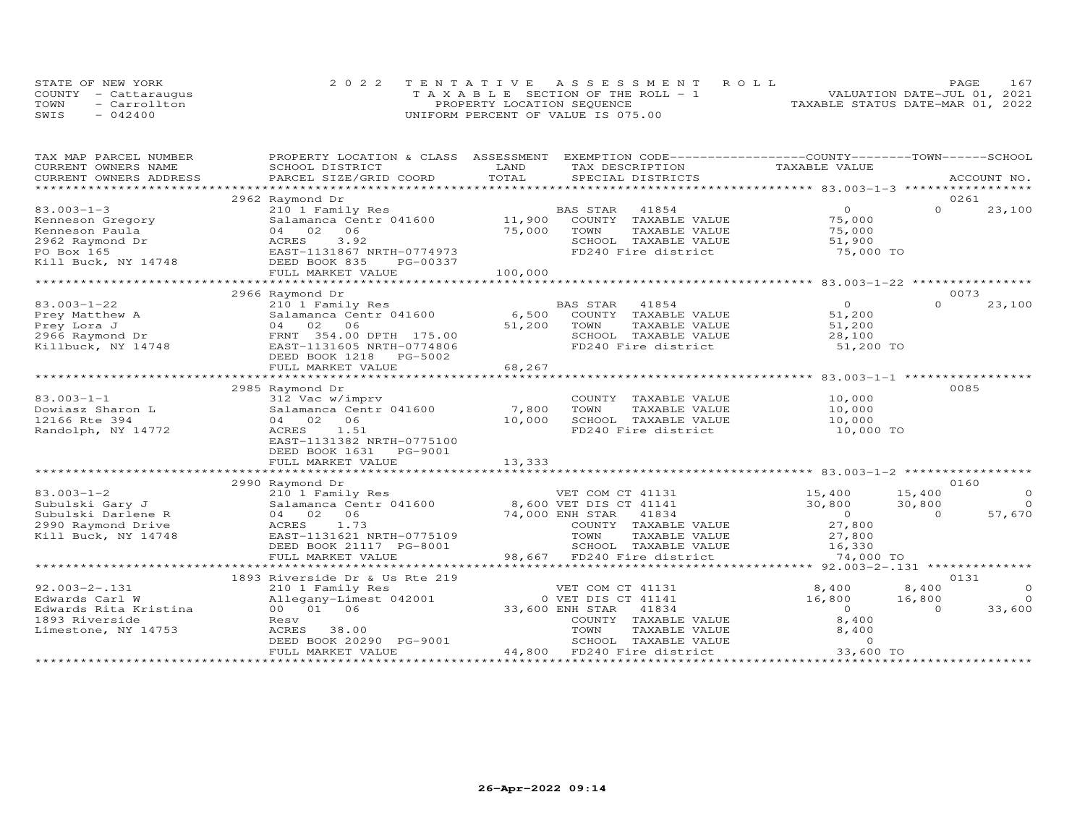|      | STATE OF NEW YORK    | 2022 TENTATIVE ASSESSMENT ROLL        | 167<br>PAGE                      |
|------|----------------------|---------------------------------------|----------------------------------|
|      | COUNTY - Cattaraugus | T A X A B L E SECTION OF THE ROLL - 1 | VALUATION DATE-JUL 01, 2021      |
| TOWN | - Carrollton         | PROPERTY LOCATION SEQUENCE            | TAXABLE STATUS DATE-MAR 01, 2022 |
| SWIS | $-042400$            | UNIFORM PERCENT OF VALUE IS 075.00    |                                  |

| TAX MAP PARCEL NUMBER                                                                                                                                                                                                                                | PROPERTY LOCATION & CLASS ASSESSMENT                                                                                                                                                               |         | EXEMPTION CODE------------------COUNTY-------TOWN------SCHOOL       |                                                |          |                |
|------------------------------------------------------------------------------------------------------------------------------------------------------------------------------------------------------------------------------------------------------|----------------------------------------------------------------------------------------------------------------------------------------------------------------------------------------------------|---------|---------------------------------------------------------------------|------------------------------------------------|----------|----------------|
| CURRENT OWNERS NAME                                                                                                                                                                                                                                  | SCHOOL DISTRICT                                                                                                                                                                                    | LAND    | TAX DESCRIPTION TAXABLE VALUE                                       |                                                |          |                |
|                                                                                                                                                                                                                                                      | CONNEIN OWNERS ADDRESS FORCEL SIZE/GRID COORD FOTAL SEECIAL DISTRICTS ACCOUNT NO.<br>TOTAL SEECIAL DISTRICTS PROVIDED ACCOUNT NO. ACCOUNT AND SEECIAL DISTRICTS ACCOUNT AND A PROVIDENT ASSESS FOR |         |                                                                     |                                                |          |                |
|                                                                                                                                                                                                                                                      |                                                                                                                                                                                                    |         |                                                                     |                                                |          |                |
|                                                                                                                                                                                                                                                      | 2962 Raymond Dr                                                                                                                                                                                    |         |                                                                     |                                                | 0261     |                |
| $83.003 - 1 - 3$                                                                                                                                                                                                                                     | 210 1 Family Res BA<br>Salamanca Centr 041600 11,900                                                                                                                                               |         | 41854<br>BAS STAR                                                   | $\overline{O}$                                 | $\Omega$ | 23,100         |
| Kenneson Gregory<br>Examples on Gregory<br>Examples a property and the contract of the contract of the contract of the contract of the contract of the contract of the contract of the contract of the contract of the contract of the contract of t |                                                                                                                                                                                                    |         | COUNTY TAXABLE VALUE                                                | 75,000                                         |          |                |
|                                                                                                                                                                                                                                                      |                                                                                                                                                                                                    |         | TOWN<br>TAXABLE VALUE                                               | 75,000                                         |          |                |
|                                                                                                                                                                                                                                                      |                                                                                                                                                                                                    |         | SCHOOL TAXABLE VALUE<br>SCHOOL TAXABLE VALUE<br>FD240 Fire district | 51,900                                         |          |                |
|                                                                                                                                                                                                                                                      |                                                                                                                                                                                                    |         |                                                                     | 75,000 TO                                      |          |                |
|                                                                                                                                                                                                                                                      |                                                                                                                                                                                                    |         |                                                                     |                                                |          |                |
|                                                                                                                                                                                                                                                      | FULL MARKET VALUE                                                                                                                                                                                  | 100,000 |                                                                     |                                                |          |                |
|                                                                                                                                                                                                                                                      |                                                                                                                                                                                                    |         |                                                                     |                                                |          |                |
|                                                                                                                                                                                                                                                      | 2966 Raymond Dr                                                                                                                                                                                    |         |                                                                     |                                                |          | 0073           |
| $83.003 - 1 - 22$                                                                                                                                                                                                                                    | 210 1 Family Res BA<br>Salamanca Centr 041600 6,500                                                                                                                                                |         | BAS STAR<br>41854<br>AS STAR - 41854<br>COUNTY - TAXABLE VALUE      | $\overline{O}$                                 | $\Omega$ | 23,100         |
|                                                                                                                                                                                                                                                      |                                                                                                                                                                                                    |         |                                                                     | 51,200                                         |          |                |
|                                                                                                                                                                                                                                                      | 04 02 06                                                                                                                                                                                           | 51,200  | TOWN<br>TAXABLE VALUE                                               | 51,200                                         |          |                |
|                                                                                                                                                                                                                                                      | FRNT 354.00 DPTH 175.00                                                                                                                                                                            |         | SCHOOL TAXABLE VALUE                                                | 28,100                                         |          |                |
| Prey Matthew A<br>Prey Lora J<br>2966 Raymond Dr<br>Killbuck, NY 14748                                                                                                                                                                               | EAST-1131605 NRTH-0774806                                                                                                                                                                          |         | FD240 Fire district                                                 | 51,200 TO                                      |          |                |
|                                                                                                                                                                                                                                                      | DEED BOOK 1218 PG-5002                                                                                                                                                                             |         |                                                                     |                                                |          |                |
|                                                                                                                                                                                                                                                      | FULL MARKET VALUE                                                                                                                                                                                  | 68,267  |                                                                     |                                                |          |                |
|                                                                                                                                                                                                                                                      |                                                                                                                                                                                                    |         |                                                                     |                                                |          |                |
|                                                                                                                                                                                                                                                      | 2985 Raymond Dr                                                                                                                                                                                    |         |                                                                     |                                                |          | 0085           |
| $83.003 - 1 - 1$                                                                                                                                                                                                                                     |                                                                                                                                                                                                    |         | COUNTY TAXABLE VALUE                                                |                                                |          |                |
| Dowiasz Sharon L                                                                                                                                                                                                                                     | $312$ Vac w/imprv<br>Salamanca Centr 041600 7,800                                                                                                                                                  |         | TOWN<br>TAXABLE VALUE                                               | 10,000<br>10,000                               |          |                |
| 12166 Rte 394                                                                                                                                                                                                                                        | 04 02 06                                                                                                                                                                                           | 10,000  | SCHOOL TAXABLE VALUE                                                |                                                |          |                |
| Randolph, NY 14772                                                                                                                                                                                                                                   | ACRES 1.51                                                                                                                                                                                         |         | FD240 Fire district                                                 | 10,000<br>10,000 TO                            |          |                |
|                                                                                                                                                                                                                                                      | EAST-1131382 NRTH-0775100                                                                                                                                                                          |         |                                                                     |                                                |          |                |
|                                                                                                                                                                                                                                                      | DEED BOOK 1631    PG-9001                                                                                                                                                                          |         |                                                                     |                                                |          |                |
|                                                                                                                                                                                                                                                      | FULL MARKET VALUE                                                                                                                                                                                  | 13,333  |                                                                     |                                                |          |                |
|                                                                                                                                                                                                                                                      |                                                                                                                                                                                                    |         |                                                                     |                                                |          |                |
|                                                                                                                                                                                                                                                      | 2990 Raymond Dr                                                                                                                                                                                    |         |                                                                     |                                                |          | 0160           |
| $83.003 - 1 - 2$                                                                                                                                                                                                                                     | Examples<br>210 1 Family Res<br>210 1 Family Res<br>21.000 FMH STAR 41834                                                                                                                          |         |                                                                     | 15,400<br>30,800                               | 15,400   | $\overline{O}$ |
| Subulski Gary J                                                                                                                                                                                                                                      |                                                                                                                                                                                                    |         |                                                                     |                                                | 30,800   | $\overline{O}$ |
| Subulski Darlene R                                                                                                                                                                                                                                   | 04 02 06                                                                                                                                                                                           |         |                                                                     |                                                | $\Omega$ | 57,670         |
| 2990 Raymond Drive                                                                                                                                                                                                                                   | ACRES 1.73                                                                                                                                                                                         |         | 74,000 ENH STAR 41834<br>COUNTY TAXABLE<br>COUNTY TAXABLE VALUE     | $\overline{0}$<br>27 ° 00                      |          |                |
| Kill Buck, NY 14748                                                                                                                                                                                                                                  | EAST-1131621 NRTH-0775109                                                                                                                                                                          |         | TOWN                                                                |                                                |          |                |
|                                                                                                                                                                                                                                                      | DEED BOOK 21117 PG-8001                                                                                                                                                                            |         |                                                                     | TAXABLE VALUE $27,800$<br>TAXABLE VALUE 16,330 |          |                |
|                                                                                                                                                                                                                                                      | FULL MARKET VALUE                                                                                                                                                                                  |         | SCHOOL TAXABLE VALUE<br>98,667 FD240 Fire district                  | 74,000 TO                                      |          |                |
|                                                                                                                                                                                                                                                      |                                                                                                                                                                                                    |         |                                                                     |                                                |          |                |
|                                                                                                                                                                                                                                                      | 1893 Riverside Dr & Us Rte 219                                                                                                                                                                     |         |                                                                     |                                                |          | 0131           |
| $92.003 - 2 - .131$                                                                                                                                                                                                                                  |                                                                                                                                                                                                    |         |                                                                     | 8,400                                          | 8,400    | $\overline{0}$ |
| Edwards Carl W                                                                                                                                                                                                                                       |                                                                                                                                                                                                    |         |                                                                     | 16,800                                         | 16,800   | $\overline{O}$ |
| Edwards Rita Kristina                                                                                                                                                                                                                                |                                                                                                                                                                                                    |         |                                                                     | $\overline{0}$                                 | $\Omega$ | 33,600         |
| 1893 Riverside                                                                                                                                                                                                                                       |                                                                                                                                                                                                    |         |                                                                     | 8,400                                          |          |                |
| Limestone, NY 14753                                                                                                                                                                                                                                  |                                                                                                                                                                                                    |         |                                                                     | 8,400                                          |          |                |
|                                                                                                                                                                                                                                                      |                                                                                                                                                                                                    |         |                                                                     | $\Omega$                                       |          |                |
|                                                                                                                                                                                                                                                      |                                                                                                                                                                                                    |         |                                                                     | 33,600 TO                                      |          |                |
|                                                                                                                                                                                                                                                      |                                                                                                                                                                                                    |         |                                                                     |                                                |          |                |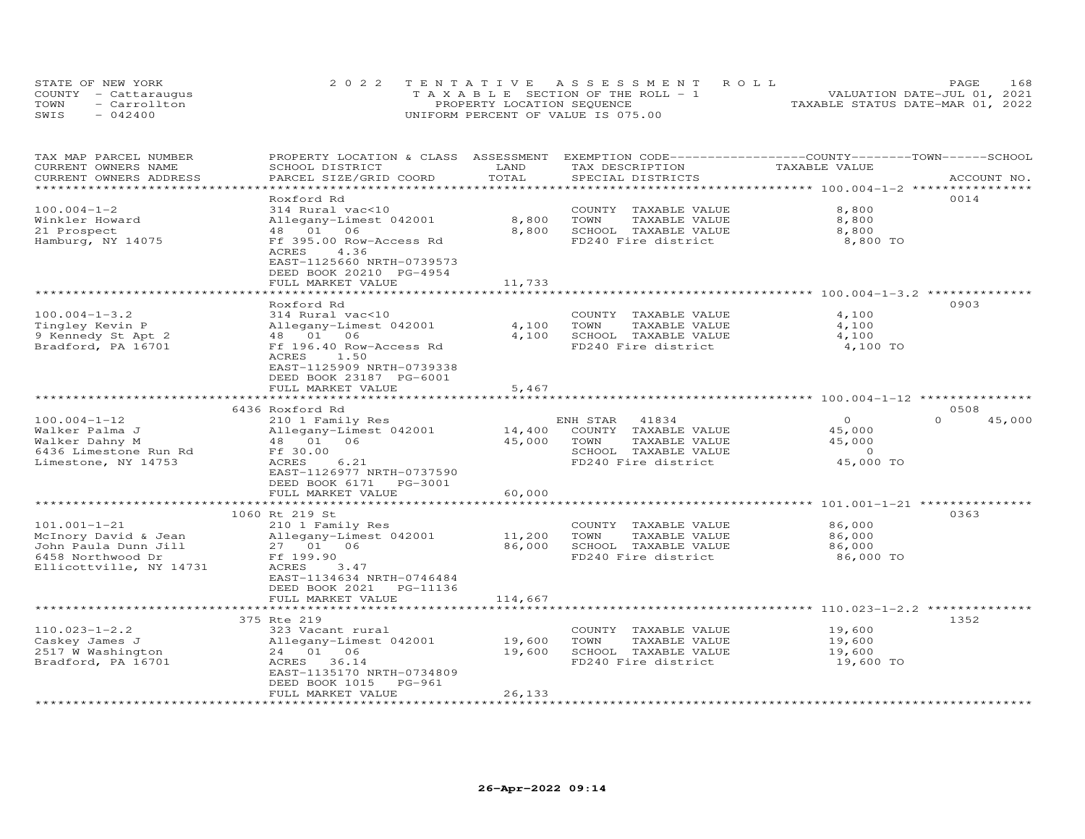| STATE OF NEW YORK |                      | 2022 TENTATIVE ASSESSMENT ROLL        | 168<br><b>PAGE</b>               |
|-------------------|----------------------|---------------------------------------|----------------------------------|
|                   | COUNTY - Cattaraugus | T A X A B L E SECTION OF THE ROLL - 1 | VALUATION DATE-JUL 01, 2021      |
| TOWN              | - Carrollton         | PROPERTY LOCATION SEQUENCE            | TAXABLE STATUS DATE-MAR 01, 2022 |
| SWIS              | $-042400$            | UNIFORM PERCENT OF VALUE IS 075.00    |                                  |

| TAX MAP PARCEL NUMBER<br>PROPERTY LOCATION & CLASS ASSESSMENT EXEMPTION CODE-----------------COUNTY-------TOWN------SCHOOL<br>TAXABLE VALUE<br>CURRENT OWNERS NAME<br>SCHOOL DISTRICT<br>LAND<br>TAX DESCRIPTION |                    |
|------------------------------------------------------------------------------------------------------------------------------------------------------------------------------------------------------------------|--------------------|
| TOTAL<br>CURRENT OWNERS ADDRESS<br>PARCEL SIZE/GRID COORD<br>SPECIAL DISTRICTS<br>********************<br>*************************** 100.004-1-2 *****************                                              | ACCOUNT NO.        |
| Roxford Rd                                                                                                                                                                                                       | 0014               |
| $100.004 - 1 - 2$<br>8,800<br>314 Rural vac<10<br>COUNTY TAXABLE VALUE                                                                                                                                           |                    |
| 8,800<br>TAXABLE VALUE<br>8,800<br>Winkler Howard<br>Allegany-Limest 042001<br>TOWN                                                                                                                              |                    |
| 21 Prospect<br>06<br>8,800<br>SCHOOL TAXABLE VALUE<br>8,800<br>48 01                                                                                                                                             |                    |
| Hamburg, NY 14075<br>Ff 395.00 Row-Access Rd<br>FD240 Fire district<br>8,800 TO                                                                                                                                  |                    |
| 4.36<br>ACRES                                                                                                                                                                                                    |                    |
| EAST-1125660 NRTH-0739573                                                                                                                                                                                        |                    |
| DEED BOOK 20210 PG-4954                                                                                                                                                                                          |                    |
| FULL MARKET VALUE<br>11,733                                                                                                                                                                                      |                    |
| ******************** 100.004-1-3.2 ********<br>********                                                                                                                                                          |                    |
| Roxford Rd                                                                                                                                                                                                       | 0903               |
| $100.004 - 1 - 3.2$<br>314 Rural vac<10<br>4,100<br>COUNTY TAXABLE VALUE                                                                                                                                         |                    |
| 4,100<br>TAXABLE VALUE<br>Tingley Kevin P<br>Allegany-Limest 042001<br>TOWN<br>4,100                                                                                                                             |                    |
| 48 01 06<br>4,100<br>SCHOOL TAXABLE VALUE<br>4,100<br>9 Kennedy St Apt 2                                                                                                                                         |                    |
| Ff 196.40 Row-Access Rd<br>FD240 Fire district<br>Bradford, PA 16701<br>4,100 TO                                                                                                                                 |                    |
| ACRES<br>1.50                                                                                                                                                                                                    |                    |
| EAST-1125909 NRTH-0739338                                                                                                                                                                                        |                    |
| DEED BOOK 23187 PG-6001                                                                                                                                                                                          |                    |
| 5,467<br>FULL MARKET VALUE                                                                                                                                                                                       |                    |
| *****************************<br>**********                                                                                                                                                                      |                    |
| 6436 Roxford Rd                                                                                                                                                                                                  | 0508               |
| $100.004 - 1 - 12$<br>$\overline{0}$<br>210 1 Family Res<br>ENH STAR<br>41834                                                                                                                                    | $\Omega$<br>45,000 |
| Walker Palma J<br>Allegany-Limest 042001<br>14,400<br>COUNTY TAXABLE VALUE<br>45,000                                                                                                                             |                    |
| 45,000<br>Walker Dahny M<br>48  01  06<br>TOWN<br>TAXABLE VALUE<br>45,000<br>SCHOOL TAXABLE VALUE<br>$\overline{0}$                                                                                              |                    |
| 6436 Limestone Run Rd<br>Ff 30.00<br>FD240 Fire district<br>45,000 TO<br>Limestone, NY 14753<br>ACRES<br>6.21                                                                                                    |                    |
| EAST-1126977 NRTH-0737590                                                                                                                                                                                        |                    |
| DEED BOOK 6171 PG-3001                                                                                                                                                                                           |                    |
| 60,000<br>FULL MARKET VALUE                                                                                                                                                                                      |                    |
| *******************************<br>*************<br>************************ 101.001-1-21 ****************                                                                                                       |                    |
| 1060 Rt 219 St                                                                                                                                                                                                   | 0363               |
| $101.001 - 1 - 21$<br>210 1 Family Res<br>COUNTY TAXABLE VALUE<br>86,000                                                                                                                                         |                    |
| Allegany-Limest 042001<br>11,200<br>TOWN<br>TAXABLE VALUE<br>86,000<br>McInory David & Jean                                                                                                                      |                    |
| 86,000<br>SCHOOL TAXABLE VALUE<br>John Paula Dunn Jill<br>27  01  06<br>86,000                                                                                                                                   |                    |
| FD240 Fire district<br>6458 Northwood Dr<br>Ff 199.90<br>86,000 TO                                                                                                                                               |                    |
| Ellicottville, NY 14731<br>ACRES<br>3.47                                                                                                                                                                         |                    |
| EAST-1134634 NRTH-0746484                                                                                                                                                                                        |                    |
| DEED BOOK 2021<br>PG-11136                                                                                                                                                                                       |                    |
| 114,667<br>FULL MARKET VALUE                                                                                                                                                                                     |                    |
| **** 110.023-1-2.2 ************                                                                                                                                                                                  |                    |
| 375 Rte 219                                                                                                                                                                                                      | 1352               |
| $110.023 - 1 - 2.2$<br>323 Vacant rural<br>COUNTY TAXABLE VALUE<br>19,600                                                                                                                                        |                    |
| 19,600<br>Caskey James J<br>Allegany-Limest 042001<br>TOWN<br>TAXABLE VALUE<br>19,600                                                                                                                            |                    |
| 2517 W Washington<br>24 01 06<br>19,600<br>SCHOOL TAXABLE VALUE<br>19,600                                                                                                                                        |                    |
| Bradford, PA 16701<br>36.14<br>FD240 Fire district<br>19,600 TO<br>ACRES                                                                                                                                         |                    |
| EAST-1135170 NRTH-0734809                                                                                                                                                                                        |                    |
| DEED BOOK 1015<br>PG-961                                                                                                                                                                                         |                    |
| FULL MARKET VALUE<br>26,133<br>**********************                                                                                                                                                            |                    |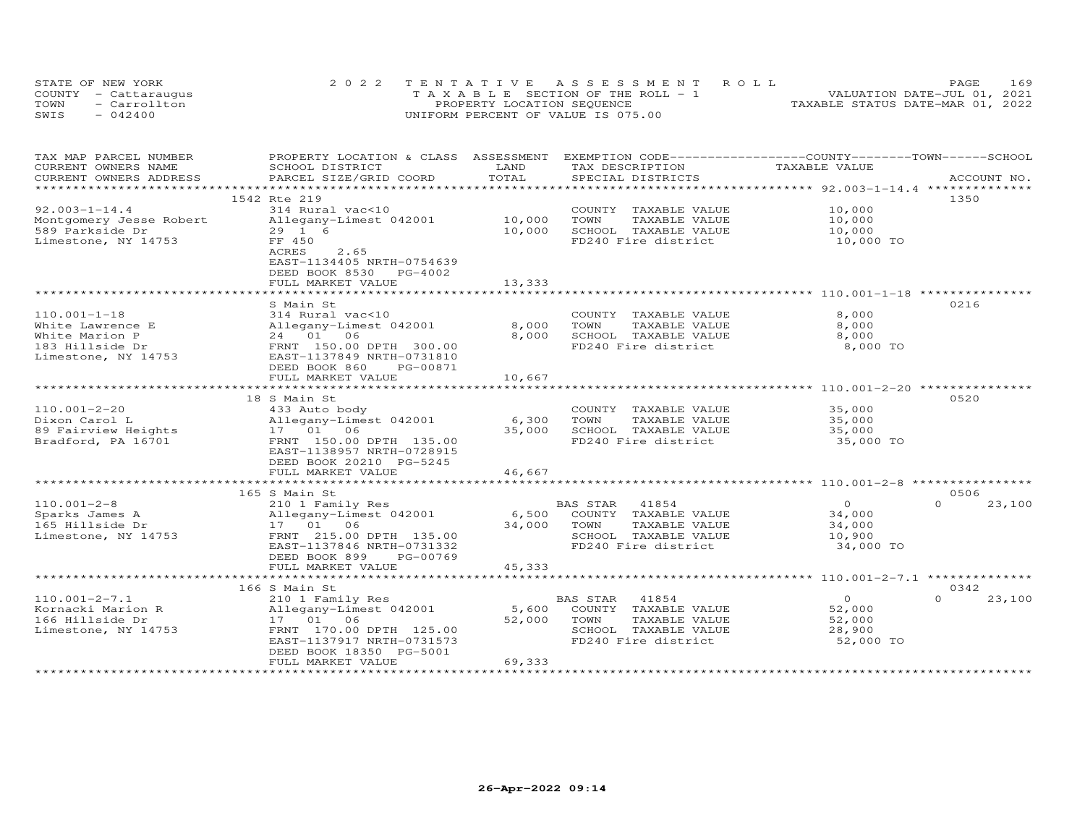| STATE OF NEW YORK    | 2022 TENTATIVE ASSESSMENT ROLL        | 169<br><b>PAGE</b>               |
|----------------------|---------------------------------------|----------------------------------|
| COUNTY - Cattaraugus | T A X A B L E SECTION OF THE ROLL - 1 | VALUATION DATE-JUL 01, 2021      |
| TOWN<br>- Carrollton | PROPERTY LOCATION SEQUENCE            | TAXABLE STATUS DATE-MAR 01, 2022 |
| SWIS<br>$-042400$    | UNIFORM PERCENT OF VALUE IS 075.00    |                                  |

| TAX MAP PARCEL NUMBER<br>CURRENT OWNERS NAME | PROPERTY LOCATION & CLASS ASSESSMENT<br>SCHOOL DISTRICT | LAND           | EXEMPTION CODE-----------------COUNTY-------TOWN------SCHOOL<br>TAX DESCRIPTION | TAXABLE VALUE  |                    |
|----------------------------------------------|---------------------------------------------------------|----------------|---------------------------------------------------------------------------------|----------------|--------------------|
| CURRENT OWNERS ADDRESS                       | PARCEL SIZE/GRID COORD                                  | TOTAL          | SPECIAL DISTRICTS                                                               |                | ACCOUNT NO.        |
| *************************                    |                                                         |                |                                                                                 |                |                    |
|                                              | 1542 Rte 219                                            |                |                                                                                 |                | 1350               |
| $92.003 - 1 - 14.4$                          | 314 Rural vac<10                                        |                | COUNTY TAXABLE VALUE                                                            | 10,000         |                    |
| Montgomery Jesse Robert                      | Allegany-Limest 042001                                  | 10,000         | TOWN<br>TAXABLE VALUE                                                           | 10,000         |                    |
| 589 Parkside Dr                              | 29 1 6                                                  | 10,000         | SCHOOL TAXABLE VALUE                                                            | 10,000         |                    |
| Limestone, NY 14753                          | FF 450                                                  |                | FD240 Fire district                                                             | 10,000 TO      |                    |
|                                              | ACRES<br>2.65                                           |                |                                                                                 |                |                    |
|                                              | EAST-1134405 NRTH-0754639                               |                |                                                                                 |                |                    |
|                                              | DEED BOOK 8530 PG-4002                                  |                |                                                                                 |                |                    |
|                                              | FULL MARKET VALUE                                       | 13,333         |                                                                                 |                |                    |
|                                              |                                                         |                |                                                                                 |                |                    |
|                                              | S Main St                                               |                |                                                                                 |                | 0216               |
| $110.001 - 1 - 18$                           | 314 Rural vac<10                                        |                | COUNTY TAXABLE VALUE                                                            | 8,000          |                    |
| White Lawrence E                             | Allegany-Limest 042001                                  | 8,000          | TOWN<br>TAXABLE VALUE                                                           | 8,000          |                    |
|                                              |                                                         | 8,000          | SCHOOL TAXABLE VALUE                                                            | 8,000          |                    |
| White Marion P                               | 24 01 06                                                |                |                                                                                 |                |                    |
| 183 Hillside Dr                              | FRNT 150.00 DPTH 300.00                                 |                | FD240 Fire district                                                             | 8,000 TO       |                    |
| Limestone, NY 14753                          | EAST-1137849 NRTH-0731810                               |                |                                                                                 |                |                    |
|                                              | DEED BOOK 860<br>PG-00871                               |                |                                                                                 |                |                    |
|                                              | FULL MARKET VALUE                                       | 10,667         |                                                                                 |                |                    |
|                                              |                                                         |                |                                                                                 |                |                    |
|                                              | 18 S Main St                                            |                |                                                                                 |                | 0520               |
| $110.001 - 2 - 20$                           | 433 Auto body                                           |                | COUNTY TAXABLE VALUE                                                            | 35,000         |                    |
| Dixon Carol L                                | Allegany-Limest 042001                                  | 6,300          | TOWN<br>TAXABLE VALUE                                                           | 35,000         |                    |
| 89 Fairview Heights                          | 17  01  06                                              | 35,000         | SCHOOL TAXABLE VALUE<br>FD240 Fire district                                     | 35,000         |                    |
| Bradford, PA 16701                           | FRNT 150.00 DPTH 135.00                                 |                |                                                                                 | 35,000 TO      |                    |
|                                              | EAST-1138957 NRTH-0728915                               |                |                                                                                 |                |                    |
|                                              | DEED BOOK 20210 PG-5245                                 |                |                                                                                 |                |                    |
|                                              | FULL MARKET VALUE                                       | 46,667         |                                                                                 |                |                    |
|                                              | ***********************************                     | ************** |                                                                                 |                |                    |
|                                              | 165 S Main St                                           |                |                                                                                 |                | 0506               |
| $110.001 - 2 - 8$                            | 210 1 Family Res                                        |                | 41854<br>BAS STAR                                                               | $\overline{0}$ | $\Omega$<br>23,100 |
| Sparks James A                               | Allegany-Limest 042001                                  |                | 6,500 COUNTY TAXABLE VALUE                                                      | 34,000         |                    |
| 165 Hillside Dr                              | 17  01  06                                              | 34,000         | TOWN<br>TAXABLE VALUE                                                           | 34,000         |                    |
| Limestone, NY 14753                          | FRNT 215.00 DPTH 135.00                                 |                | SCHOOL TAXABLE VALUE                                                            | 10,900         |                    |
|                                              | EAST-1137846 NRTH-0731332                               |                | FD240 Fire district                                                             | 34,000 TO      |                    |
|                                              | DEED BOOK 899<br>PG-00769                               |                |                                                                                 |                |                    |
|                                              | FULL MARKET VALUE                                       | 45,333         |                                                                                 |                |                    |
|                                              |                                                         |                |                                                                                 |                |                    |
|                                              | 166 S Main St                                           |                |                                                                                 |                | 0342               |
| $110.001 - 2 - 7.1$                          | 210 1 Family Res                                        |                | BAS STAR<br>41854                                                               | $\overline{O}$ | $\Omega$<br>23,100 |
| Kornacki Marion R                            | Allegany-Limest 042001 5,600                            |                | COUNTY TAXABLE VALUE                                                            | 52,000         |                    |
| 166 Hillside Dr                              | 17 01 06                                                | 52,000         | TOWN<br>TAXABLE VALUE                                                           | 52,000         |                    |
| Limestone, NY 14753                          | FRNT 170.00 DPTH 125.00                                 |                | SCHOOL TAXABLE VALUE                                                            | 28,900         |                    |
|                                              | EAST-1137917 NRTH-0731573                               |                | FD240 Fire district                                                             | 52,000 TO      |                    |
|                                              | DEED BOOK 18350 PG-5001                                 |                |                                                                                 |                |                    |
|                                              | FULL MARKET VALUE                                       | 69,333         |                                                                                 |                |                    |
|                                              |                                                         |                |                                                                                 |                |                    |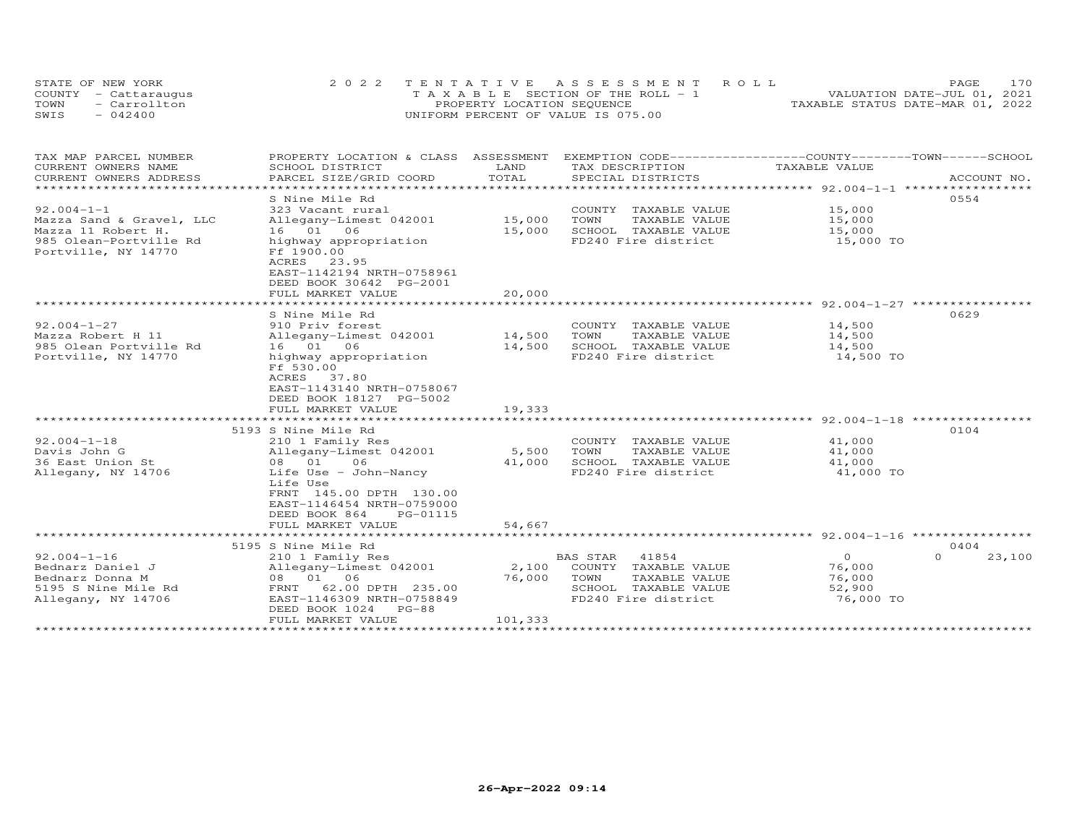| STATE OF NEW YORK    | 2022 TENTATIVE ASSESSMENT ROLL        | 170<br><b>PAGE</b>               |
|----------------------|---------------------------------------|----------------------------------|
| COUNTY - Cattaraugus | T A X A B L E SECTION OF THE ROLL - 1 | VALUATION DATE-JUL 01, 2021      |
| TOWN<br>- Carrollton | PROPERTY LOCATION SEQUENCE            | TAXABLE STATUS DATE-MAR 01, 2022 |
| $-042400$<br>SWIS    | UNIFORM PERCENT OF VALUE IS 075.00    |                                  |

| TAX MAP PARCEL NUMBER     | PROPERTY LOCATION & CLASS ASSESSMENT |               | EXEMPTION CODE-----------------COUNTY-------TOWN------SCHOOL   |               |                    |
|---------------------------|--------------------------------------|---------------|----------------------------------------------------------------|---------------|--------------------|
| CURRENT OWNERS NAME       | SCHOOL DISTRICT                      | LAND          | TAX DESCRIPTION                                                | TAXABLE VALUE |                    |
| CURRENT OWNERS ADDRESS    | PARCEL SIZE/GRID COORD               | TOTAL         | SPECIAL DISTRICTS                                              |               | ACCOUNT NO.        |
| ************************* |                                      |               |                                                                |               |                    |
|                           | S Nine Mile Rd                       |               |                                                                |               | 0554               |
| $92.004 - 1 - 1$          | 323 Vacant rural                     |               | COUNTY TAXABLE VALUE                                           | 15,000        |                    |
| Mazza Sand & Gravel, LLC  | Allegany-Limest 042001               | 15,000        | TOWN<br>TAXABLE VALUE                                          | 15,000        |                    |
| Mazza 11 Robert H.        | 16  01  06                           | 15,000        | SCHOOL TAXABLE VALUE                                           | 15,000        |                    |
| 985 Olean-Portville Rd    | highway appropriation                |               | FD240 Fire district                                            | 15,000 TO     |                    |
| Portville, NY 14770       | Ff 1900.00                           |               |                                                                |               |                    |
|                           | ACRES 23.95                          |               |                                                                |               |                    |
|                           | EAST-1142194 NRTH-0758961            |               |                                                                |               |                    |
|                           | DEED BOOK 30642 PG-2001              |               |                                                                |               |                    |
|                           | FULL MARKET VALUE                    | 20,000        |                                                                |               |                    |
|                           | ****************************         | ************* | ********************************* 92.004-1-27 **************** |               |                    |
|                           | S Nine Mile Rd                       |               |                                                                |               | 0629               |
| $92.004 - 1 - 27$         | 910 Priv forest                      |               | COUNTY TAXABLE VALUE                                           | 14,500        |                    |
| Mazza Robert H 11         | Allegany-Limest 042001               | 14,500        | TOWN<br>TAXABLE VALUE                                          | 14,500        |                    |
| 985 Olean Portville Rd    | 16 01 06                             | 14,500        | SCHOOL TAXABLE VALUE                                           | 14,500        |                    |
| Portville, NY 14770       | highway appropriation                |               | FD240 Fire district                                            | 14,500 TO     |                    |
|                           | Ff 530.00                            |               |                                                                |               |                    |
|                           | ACRES<br>37.80                       |               |                                                                |               |                    |
|                           | EAST-1143140 NRTH-0758067            |               |                                                                |               |                    |
|                           | DEED BOOK 18127 PG-5002              |               |                                                                |               |                    |
|                           | FULL MARKET VALUE                    | 19,333        |                                                                |               |                    |
|                           |                                      |               |                                                                |               |                    |
|                           | 5193 S Nine Mile Rd                  |               |                                                                |               | 0104               |
| $92.004 - 1 - 18$         | 210 1 Family Res                     |               | COUNTY TAXABLE VALUE                                           | 41,000        |                    |
|                           |                                      | 5,500         | TOWN                                                           |               |                    |
| Davis John G              | Allegany-Limest 042001               |               | TAXABLE VALUE                                                  | 41,000        |                    |
| 36 East Union St          | 08 01<br>06                          | 41,000        | SCHOOL TAXABLE VALUE                                           | 41,000        |                    |
| Allegany, NY 14706        | Life Use - John-Nancy                |               | FD240 Fire district                                            | 41,000 TO     |                    |
|                           | Life Use                             |               |                                                                |               |                    |
|                           | FRNT 145.00 DPTH 130.00              |               |                                                                |               |                    |
|                           | EAST-1146454 NRTH-0759000            |               |                                                                |               |                    |
|                           | DEED BOOK 864<br>PG-01115            |               |                                                                |               |                    |
|                           | FULL MARKET VALUE                    | 54,667        |                                                                |               |                    |
|                           | ********************************     |               |                                                                |               |                    |
|                           | 5195 S Nine Mile Rd                  |               |                                                                |               | 0404               |
| $92.004 - 1 - 16$         | 210 1 Family Res                     |               | BAS STAR 41854                                                 | $\Omega$      | $\Omega$<br>23,100 |
| Bednarz Daniel J          | Allegany-Limest 042001               | 2,100         | COUNTY TAXABLE VALUE                                           | 76,000        |                    |
| Bednarz Donna M           | 08 01 06                             | 76,000        | TOWN<br>TAXABLE VALUE                                          | 76,000        |                    |
| 5195 S Nine Mile Rd       | FRNT 62.00 DPTH 235.00               |               | SCHOOL TAXABLE VALUE                                           | 52,900        |                    |
| Allegany, NY 14706        | EAST-1146309 NRTH-0758849            |               | FD240 Fire district                                            | 76,000 TO     |                    |
|                           | DEED BOOK 1024<br>$PG-88$            |               |                                                                |               |                    |
|                           | FULL MARKET VALUE                    | 101,333       |                                                                |               |                    |
|                           |                                      |               |                                                                |               |                    |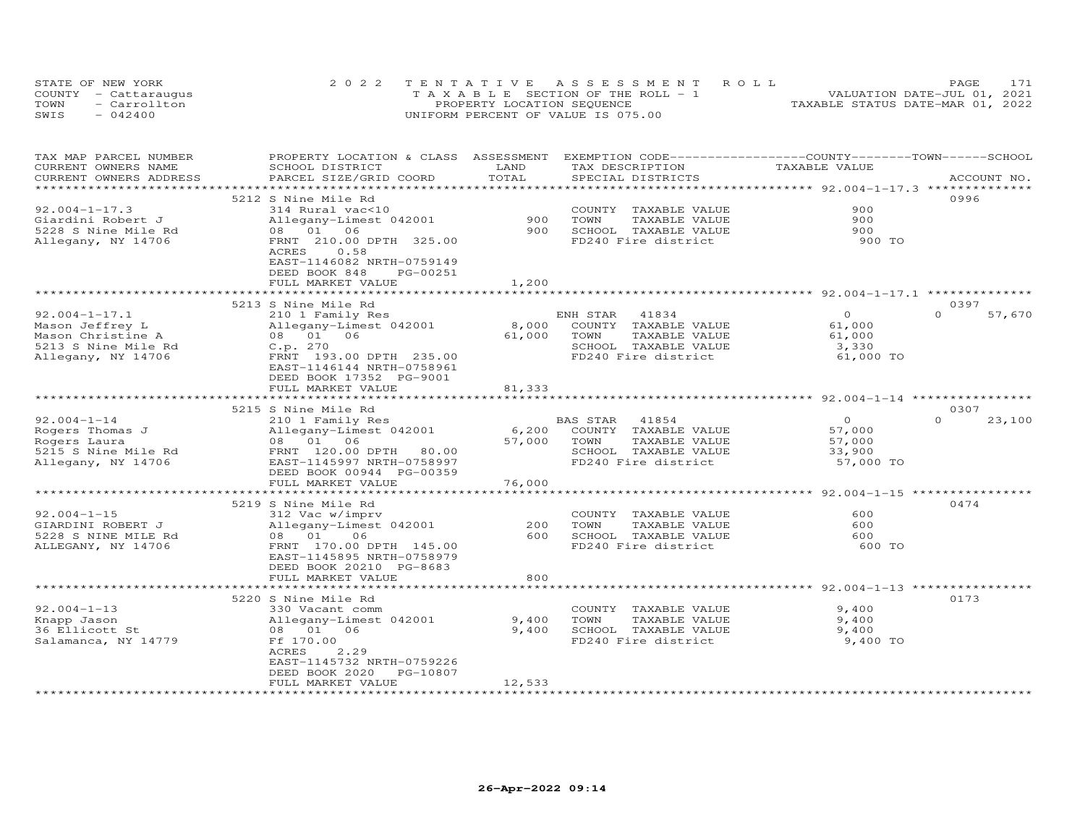|      | STATE OF NEW YORK    | 2022 TENTATIVE ASSESSMENT ROLL        | PAGE.                            |
|------|----------------------|---------------------------------------|----------------------------------|
|      | COUNTY - Cattaraugus | T A X A B L E SECTION OF THE ROLL - 1 | VALUATION DATE-JUL 01, 2021      |
| TOWN | - Carrollton         | PROPERTY LOCATION SEQUENCE            | TAXABLE STATUS DATE-MAR 01, 2022 |
| SWIS | $-042400$            | UNIFORM PERCENT OF VALUE IS 075.00    |                                  |

| TAX MAP PARCEL NUMBER<br>CURRENT OWNERS NAME      | PROPERTY LOCATION & CLASS ASSESSMENT<br>SCHOOL DISTRICT | LAND          | EXEMPTION CODE-----------------COUNTY-------TOWN------SCHOOL<br>TAX DESCRIPTION | TAXABLE VALUE    |                    |
|---------------------------------------------------|---------------------------------------------------------|---------------|---------------------------------------------------------------------------------|------------------|--------------------|
| CURRENT OWNERS ADDRESS<br>*********************** | PARCEL SIZE/GRID COORD                                  | TOTAL         | SPECIAL DISTRICTS                                                               |                  | ACCOUNT NO.        |
|                                                   | 5212 S Nine Mile Rd                                     |               |                                                                                 |                  | 0996               |
| $92.004 - 1 - 17.3$                               | 314 Rural vac<10                                        |               | COUNTY TAXABLE VALUE                                                            | 900              |                    |
| Giardini Robert J                                 | Allegany-Limest 042001                                  | 900           | TOWN<br>TAXABLE VALUE                                                           | 900              |                    |
| 5228 S Nine Mile Rd                               | 08  01  06                                              | 900           | SCHOOL TAXABLE VALUE                                                            | 900              |                    |
| Allegany, NY 14706                                | FRNT 210.00 DPTH 325.00                                 |               | FD240 Fire district                                                             | 900 TO           |                    |
|                                                   | ACRES<br>0.58                                           |               |                                                                                 |                  |                    |
|                                                   | EAST-1146082 NRTH-0759149                               |               |                                                                                 |                  |                    |
|                                                   | DEED BOOK 848<br>PG-00251                               |               |                                                                                 |                  |                    |
|                                                   | FULL MARKET VALUE                                       | 1,200         |                                                                                 |                  |                    |
|                                                   | ****************************                            | ************* |                                                                                 |                  |                    |
|                                                   | 5213 S Nine Mile Rd                                     |               |                                                                                 |                  | 0397               |
| $92.004 - 1 - 17.1$                               | 210 1 Family Res                                        |               | ENH STAR<br>41834                                                               | $\Omega$         | $\Omega$<br>57,670 |
| Mason Jeffrey L                                   | Allegany-Limest 042001                                  | 8,000         | COUNTY TAXABLE VALUE                                                            | 61,000           |                    |
| Mason Christine A                                 | 08 01 06                                                | 61,000        | TOWN<br>TAXABLE VALUE                                                           | 61,000           |                    |
| 5213 S Nine Mile Rd                               | C.p. 270                                                |               | SCHOOL TAXABLE VALUE                                                            | 3,330            |                    |
| Allegany, NY 14706                                | FRNT 193.00 DPTH 235.00                                 |               | FD240 Fire district                                                             | 61,000 TO        |                    |
|                                                   | EAST-1146144 NRTH-0758961                               |               |                                                                                 |                  |                    |
|                                                   | DEED BOOK 17352 PG-9001                                 |               |                                                                                 |                  |                    |
|                                                   | FULL MARKET VALUE                                       | 81,333        |                                                                                 |                  |                    |
|                                                   |                                                         |               |                                                                                 |                  |                    |
|                                                   | 5215 S Nine Mile Rd                                     |               |                                                                                 |                  | 0307               |
| $92.004 - 1 - 14$                                 | 210 1 Family Res                                        |               | BAS STAR<br>41854                                                               | $\overline{0}$   | $\Omega$<br>23,100 |
| Rogers Thomas J                                   | Allegany-Limest 042001                                  | 6,200         | COUNTY TAXABLE VALUE                                                            | 57,000           |                    |
| Rogers Laura<br>5215 S Nine Mile Rd               | 08  01  06<br>FRNT 120.00 DPTH<br>80.00                 | 57,000        | TOWN<br>TAXABLE VALUE<br>SCHOOL TAXABLE VALUE                                   | 57,000<br>33,900 |                    |
| Allegany, NY 14706                                | EAST-1145997 NRTH-0758997                               |               | FD240 Fire district                                                             | 57,000 TO        |                    |
|                                                   | DEED BOOK 00944 PG-00359                                |               |                                                                                 |                  |                    |
|                                                   | FULL MARKET VALUE                                       | 76,000        |                                                                                 |                  |                    |
|                                                   | ************************                                |               |                                                                                 |                  |                    |
|                                                   | 5219 S Nine Mile Rd                                     |               |                                                                                 |                  | 0474               |
| $92.004 - 1 - 15$                                 | 312 Vac w/imprv                                         |               | COUNTY TAXABLE VALUE                                                            | 600              |                    |
| GIARDINI ROBERT J                                 | Allegany-Limest 042001                                  | 200           | TAXABLE VALUE<br>TOWN                                                           | 600              |                    |
| 5228 S NINE MILE Rd                               | 08 01<br>06                                             | 600           | SCHOOL TAXABLE VALUE                                                            | 600              |                    |
| ALLEGANY, NY 14706                                | FRNT 170.00 DPTH 145.00                                 |               | FD240 Fire district                                                             | 600 TO           |                    |
|                                                   | EAST-1145895 NRTH-0758979                               |               |                                                                                 |                  |                    |
|                                                   | DEED BOOK 20210 PG-8683                                 |               |                                                                                 |                  |                    |
|                                                   | FULL MARKET VALUE                                       | 800           |                                                                                 |                  |                    |
|                                                   |                                                         |               |                                                                                 |                  |                    |
|                                                   | 5220 S Nine Mile Rd                                     |               |                                                                                 |                  | 0173               |
| $92.004 - 1 - 13$                                 | 330 Vacant comm                                         |               | COUNTY TAXABLE VALUE                                                            | 9,400            |                    |
| Knapp Jason                                       | Allegany-Limest 042001                                  | 9,400         | TOWN<br>TAXABLE VALUE                                                           | 9,400            |                    |
| 36 Ellicott St                                    | 08  01  06                                              | 9,400         | SCHOOL TAXABLE VALUE                                                            | 9,400            |                    |
| Salamanca, NY 14779                               | Ff 170.00                                               |               | FD240 Fire district                                                             | 9,400 TO         |                    |
|                                                   | ACRES<br>2.29                                           |               |                                                                                 |                  |                    |
|                                                   | EAST-1145732 NRTH-0759226<br>DEED BOOK 2020<br>PG-10807 |               |                                                                                 |                  |                    |
|                                                   | FULL MARKET VALUE                                       | 12,533        |                                                                                 |                  |                    |
|                                                   |                                                         |               |                                                                                 |                  |                    |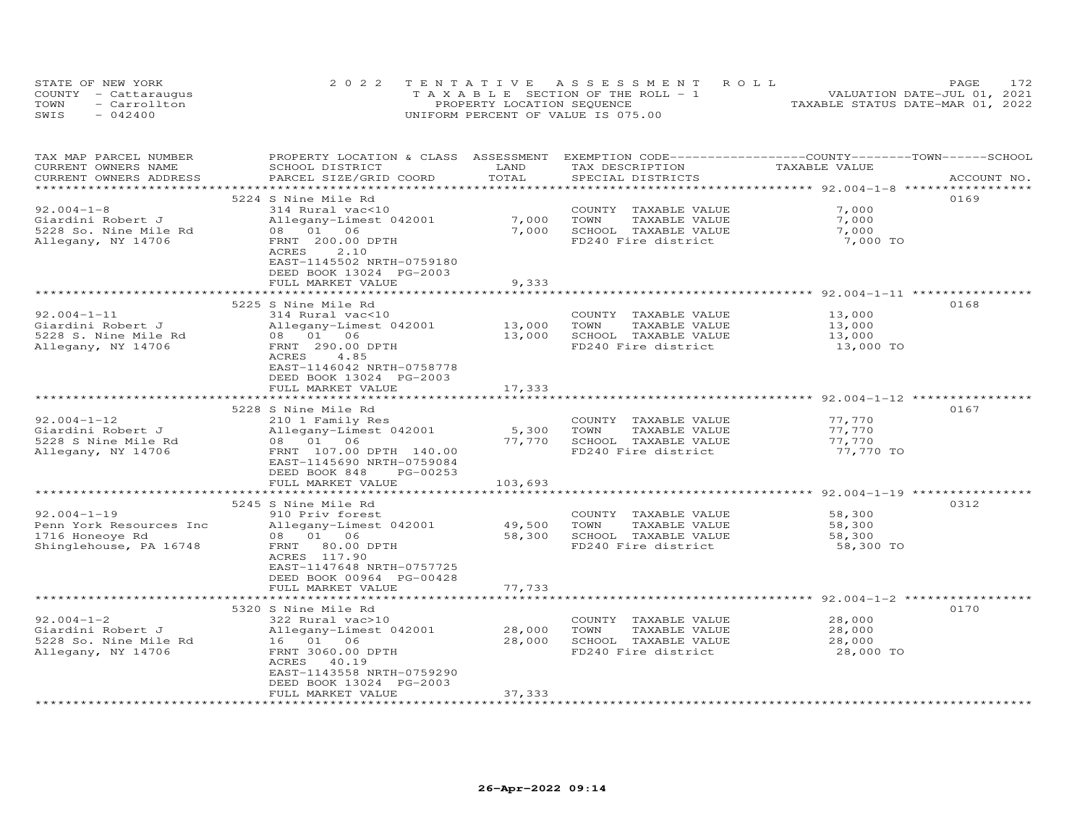| STATE OF NEW YORK    | 2022 TENTATIVE ASSESSMENT ROLL        | 172.<br>PAGE.                    |
|----------------------|---------------------------------------|----------------------------------|
| COUNTY - Cattaraugus | T A X A B L E SECTION OF THE ROLL - 1 | VALUATION DATE-JUL 01, 2021      |
| - Carrollton<br>TOWN | PROPERTY LOCATION SEQUENCE            | TAXABLE STATUS DATE-MAR 01, 2022 |
| SWIS<br>$-042400$    | UNIFORM PERCENT OF VALUE IS 075.00    |                                  |

| TAX MAP PARCEL NUMBER<br>CURRENT OWNERS NAME<br>CURRENT OWNERS ADDRESS                                           | PROPERTY LOCATION & CLASS ASSESSMENT<br>SCHOOL DISTRICT<br>PARCEL SIZE/GRID COORD                                                                                                                                              | LAND<br>TOTAL                                     | EXEMPTION CODE-----------------COUNTY-------TOWN------SCHOOL<br>TAX DESCRIPTION<br>SPECIAL DISTRICTS | TAXABLE VALUE                                                                                           | ACCOUNT NO. |
|------------------------------------------------------------------------------------------------------------------|--------------------------------------------------------------------------------------------------------------------------------------------------------------------------------------------------------------------------------|---------------------------------------------------|------------------------------------------------------------------------------------------------------|---------------------------------------------------------------------------------------------------------|-------------|
|                                                                                                                  | ****************************                                                                                                                                                                                                   | ************************                          |                                                                                                      | *********************** 92.004-1-8 ******************                                                   |             |
| $92.004 - 1 - 8$<br>Giardini Robert J<br>5228 So. Nine Mile Rd<br>Allegany, NY 14706                             | 5224 S Nine Mile Rd<br>314 Rural vac<10<br>Allegany-Limest 042001<br>08  01  06<br>FRNT 200.00 DPTH<br>2.10<br>ACRES<br>EAST-1145502 NRTH-0759180                                                                              | 7,000<br>7,000                                    | COUNTY TAXABLE VALUE<br>TOWN<br>TAXABLE VALUE<br>SCHOOL TAXABLE VALUE<br>FD240 Fire district         | 7,000<br>7,000<br>7,000<br>7,000 TO                                                                     | 0169        |
|                                                                                                                  | DEED BOOK 13024 PG-2003<br>FULL MARKET VALUE<br>*********************                                                                                                                                                          | 9,333                                             |                                                                                                      | ******************** 92.004-1-11 ************                                                           |             |
| $92.004 - 1 - 11$<br>Giardini Robert J<br>5228 S. Nine Mile Rd<br>Allegany, NY 14706                             | 5225 S Nine Mile Rd<br>314 Rural vac<10<br>Allegany-Limest 042001<br>08 01 06<br>FRNT 290.00 DPTH<br>ACRES<br>4.85<br>EAST-1146042 NRTH-0758778                                                                                | 13,000<br>13,000                                  | COUNTY TAXABLE VALUE<br>TOWN<br>TAXABLE VALUE<br>SCHOOL TAXABLE VALUE<br>FD240 Fire district         | 13,000<br>13,000<br>13,000<br>13,000 TO                                                                 | 0168        |
|                                                                                                                  | DEED BOOK 13024 PG-2003<br>FULL MARKET VALUE<br>**************************                                                                                                                                                     | 17,333<br>**************                          |                                                                                                      | ******************************* 92.004-1-12 *****************                                           |             |
| $92.004 - 1 - 12$<br>Giardini Robert J<br>5228 S Nine Mile Rd<br>Allegany, NY 14706                              | 5228 S Nine Mile Rd<br>210 1 Family Res<br>Allegany-Limest 042001<br>08 01 06<br>FRNT 107.00 DPTH 140.00<br>EAST-1145690 NRTH-0759084<br>DEED BOOK 848<br>PG-00253<br>FULL MARKET VALUE                                        | 5,300<br>77,770<br>103,693                        | COUNTY TAXABLE VALUE<br>TOWN<br>TAXABLE VALUE<br>SCHOOL TAXABLE VALUE<br>FD240 Fire district         | 77,770<br>77,770<br>77,770<br>77,770 TO                                                                 | 0167        |
| $92.004 - 1 - 19$<br>Penn York Resources Inc<br>1716 Honeoye Rd<br>Shinglehouse, PA 16748                        | 5245 S Nine Mile Rd<br>910 Priv forest<br>Allegany-Limest 042001<br>08  01  06<br>FRNT 80.00 DPTH<br>ACRES 117.90<br>EAST-1147648 NRTH-0757725<br>DEED BOOK 00964 PG-00428<br>FULL MARKET VALUE                                | 49,500<br>58,300<br>77,733                        | COUNTY TAXABLE VALUE<br>TOWN<br>TAXABLE VALUE<br>SCHOOL TAXABLE VALUE<br>FD240 Fire district         | ******************************** 92.004-1-19 ***************<br>58,300<br>58,300<br>58,300<br>58,300 TO | 0312        |
| $92.004 - 1 - 2$<br>Giardini Robert J<br>5228 So. Nine Mile Rd<br>Allegany, NY 14706<br>************************ | 5320 S Nine Mile Rd<br>322 Rural vac>10<br>Allegany-Limest 042001<br>16 01 06<br>FRNT 3060.00 DPTH<br>ACRES<br>40.19<br>EAST-1143558 NRTH-0759290<br>DEED BOOK 13024 PG-2003<br>FULL MARKET VALUE<br>************************* | 28,000<br>28,000<br>37,333<br>******************* | COUNTY<br>TAXABLE VALUE<br>TOWN<br>TAXABLE VALUE<br>SCHOOL TAXABLE VALUE<br>FD240 Fire district      | 28,000<br>28,000<br>28,000<br>28,000 TO                                                                 | 0170        |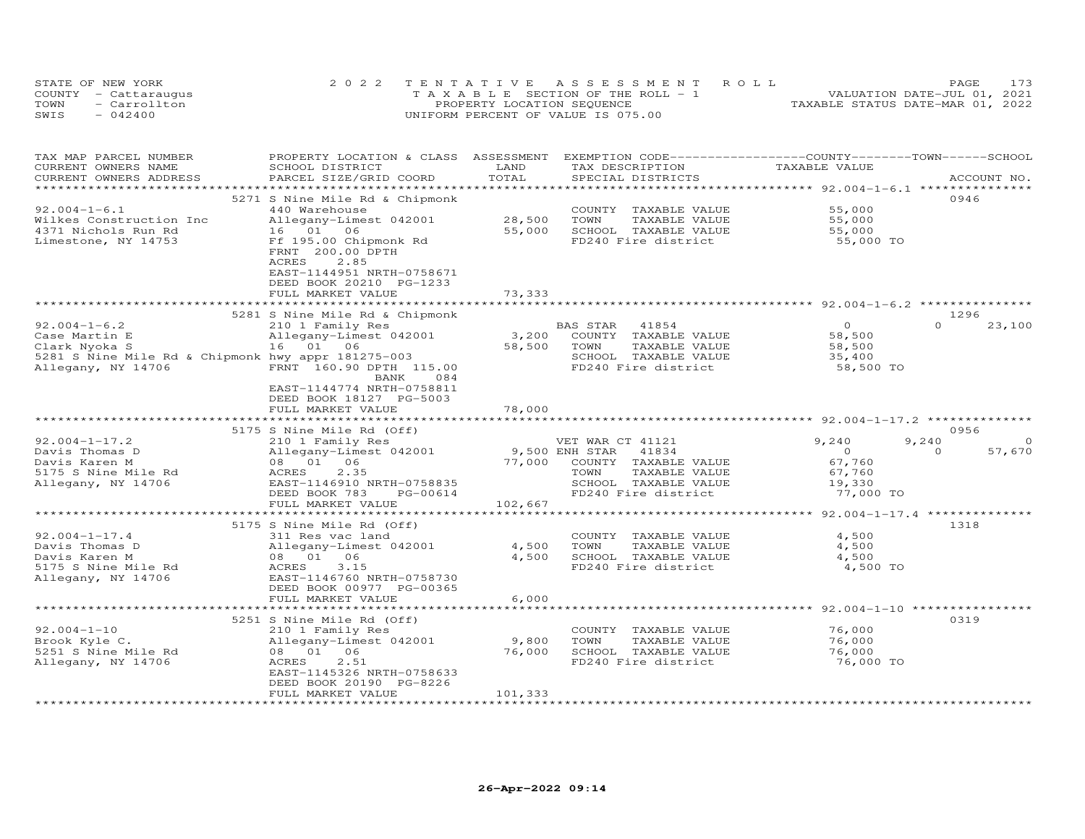| STATE OF NEW YORK    | 2022 TENTATIVE ASSESSMENT ROLL        | PAGE.                            |
|----------------------|---------------------------------------|----------------------------------|
| COUNTY - Cattaraugus | T A X A B L E SECTION OF THE ROLL - 1 | VALUATION DATE-JUL 01, 2021      |
| - Carrollton<br>TOWN | PROPERTY LOCATION SEQUENCE            | TAXABLE STATUS DATE-MAR 01, 2022 |
| SWIS<br>$-042400$    | UNIFORM PERCENT OF VALUE IS 075.00    |                                  |

| TAX MAP PARCEL NUMBER                              | PROPERTY LOCATION & CLASS ASSESSMENT                                                    |                | EXEMPTION CODE-----------------COUNTY-------TOWN-----SCHOOL |                |                    |
|----------------------------------------------------|-----------------------------------------------------------------------------------------|----------------|-------------------------------------------------------------|----------------|--------------------|
| CURRENT OWNERS NAME                                | SCHOOL DISTRICT                                                                         | LAND           | TAX DESCRIPTION                                             | TAXABLE VALUE  |                    |
| CURRENT OWNERS ADDRESS                             | PARCEL SIZE/GRID COORD                                                                  | TOTAL          | SPECIAL DISTRICTS                                           |                | ACCOUNT NO.        |
|                                                    |                                                                                         |                |                                                             |                |                    |
|                                                    | 5271 S Nine Mile Rd & Chipmonk                                                          |                |                                                             |                | 0946               |
| $92.004 - 1 - 6.1$                                 | 440 Warehouse                                                                           |                | COUNTY TAXABLE VALUE                                        | 55,000         |                    |
| Wilkes Construction Inc                            | Allegany-Limest 042001                                                                  | 28,500         | TOWN<br>TAXABLE VALUE                                       | 55,000         |                    |
| 4371 Nichols Run Rd                                | 16  01  06                                                                              | 55,000         | SCHOOL TAXABLE VALUE                                        | 55,000         |                    |
| Limestone, NY 14753                                | Ff 195.00 Chipmonk Rd<br>FRNT 200.00 DPTH<br>2.85<br>ACRES<br>EAST-1144951 NRTH-0758671 |                | FD240 Fire district                                         | 55,000 TO      |                    |
|                                                    | DEED BOOK 20210 PG-1233                                                                 |                |                                                             |                |                    |
|                                                    | FULL MARKET VALUE                                                                       | 73,333         |                                                             |                |                    |
|                                                    |                                                                                         |                |                                                             |                |                    |
|                                                    | 5281 S Nine Mile Rd & Chipmonk                                                          |                |                                                             |                | 1296               |
| $92.004 - 1 - 6.2$                                 | 210 1 Family Res                                                                        |                | 41854<br>BAS STAR                                           | $\Omega$       | $\Omega$<br>23,100 |
| Case Martin E                                      | Allegany-Limest 042001                                                                  | 3,200          | COUNTY TAXABLE VALUE                                        | 58,500         |                    |
| Clark Nyoka S                                      | 16 01 06                                                                                | 58,500         | TOWN<br>TAXABLE VALUE                                       | 58,500         |                    |
| 5281 S Nine Mile Rd & Chipmonk hwy appr 181275-003 |                                                                                         |                | SCHOOL TAXABLE VALUE                                        | 35,400         |                    |
| Allegany, NY 14706                                 | FRNT 160.90 DPTH 115.00<br>084<br>BANK                                                  |                | FD240 Fire district                                         | 58,500 TO      |                    |
|                                                    | EAST-1144774 NRTH-0758811<br>DEED BOOK 18127 PG-5003                                    |                |                                                             |                |                    |
|                                                    | FULL MARKET VALUE                                                                       | 78,000         |                                                             |                |                    |
|                                                    | 5175 S Nine Mile Rd (Off)                                                               |                |                                                             |                | 0956               |
| $92.004 - 1 - 17.2$                                | 210 1 Family Res                                                                        |                | VET WAR CT 41121                                            | 9,240          | 9,240<br>$\Omega$  |
| Davis Thomas D                                     | Allegany-Limest 042001                                                                  | 9,500 ENH STAR | 41834                                                       | $\overline{0}$ | $\Omega$<br>57,670 |
| Davis Karen M                                      | 08 01 06                                                                                | 77,000         | COUNTY TAXABLE VALUE                                        | 67,760         |                    |
| 5175 S Nine Mile Rd                                | 2.35<br>ACRES                                                                           |                | TOWN<br>TAXABLE VALUE                                       | 67,760         |                    |
| Allegany, NY 14706                                 | EAST-1146910 NRTH-0758835                                                               |                | SCHOOL TAXABLE VALUE                                        | 19,330         |                    |
|                                                    | DEED BOOK 783<br>PG-00614                                                               |                | FD240 Fire district                                         | 77,000 TO      |                    |
|                                                    | FULL MARKET VALUE                                                                       | 102,667        |                                                             |                |                    |
|                                                    |                                                                                         |                |                                                             |                |                    |
|                                                    | 5175 S Nine Mile Rd (Off)                                                               |                |                                                             |                | 1318               |
| $92.004 - 1 - 17.4$                                | 311 Res vac land                                                                        |                | COUNTY TAXABLE VALUE                                        | 4,500          |                    |
| Davis Thomas D                                     | Allegany-Limest 042001                                                                  | 4,500          | TOWN<br>TAXABLE VALUE                                       | 4,500          |                    |
| Davis Karen M                                      | 08 01 06                                                                                | 4,500          | SCHOOL TAXABLE VALUE                                        | 4,500          |                    |
| 5175 S Nine Mile Rd                                | ACRES<br>3.15                                                                           |                | FD240 Fire district                                         | 4,500 TO       |                    |
| Allegany, NY 14706                                 | EAST-1146760 NRTH-0758730                                                               |                |                                                             |                |                    |
|                                                    | DEED BOOK 00977 PG-00365                                                                |                |                                                             |                |                    |
|                                                    | FULL MARKET VALUE                                                                       | 6,000          |                                                             |                |                    |
|                                                    |                                                                                         |                |                                                             |                |                    |
|                                                    | 5251 S Nine Mile Rd (Off)                                                               |                |                                                             |                | 0319               |
| $92.004 - 1 - 10$                                  | 210 1 Family Res                                                                        |                | COUNTY TAXABLE VALUE                                        | 76,000         |                    |
| Brook Kyle C.                                      | Allegany-Limest 042001                                                                  | 9,800          | TOWN<br>TAXABLE VALUE                                       | 76,000         |                    |
| 5251 S Nine Mile Rd                                | 08  01  06                                                                              | 76,000         | SCHOOL TAXABLE VALUE                                        | 76,000         |                    |
| Allegany, NY 14706                                 | 2.51<br>ACRES                                                                           |                | FD240 Fire district                                         | 76,000 TO      |                    |
|                                                    | EAST-1145326 NRTH-0758633                                                               |                |                                                             |                |                    |
|                                                    | DEED BOOK 20190 PG-8226                                                                 | 101,333        |                                                             |                |                    |
|                                                    | FULL MARKET VALUE                                                                       |                |                                                             |                |                    |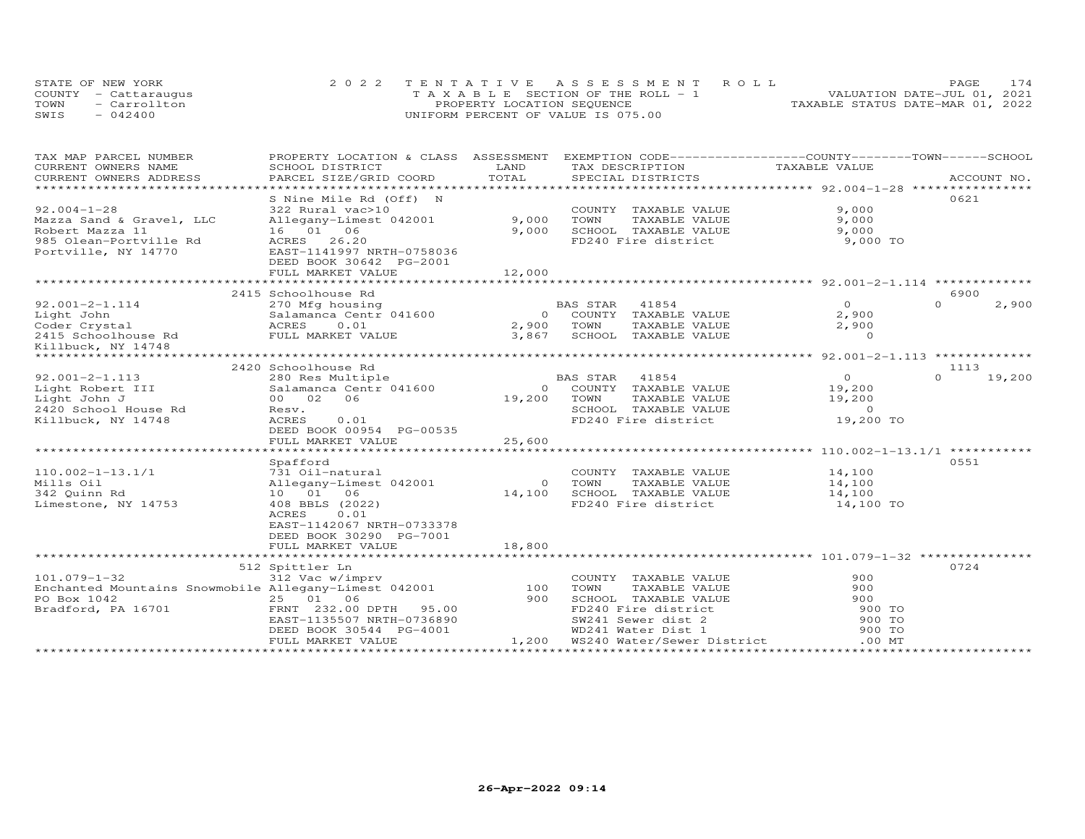| STATE OF NEW YORK    | 2022 TENTATIVE ASSESSMENT ROLL        | 174<br><b>PAGE</b>               |
|----------------------|---------------------------------------|----------------------------------|
| COUNTY - Cattaraugus | T A X A B L E SECTION OF THE ROLL - 1 | VALUATION DATE-JUL 01, 2021      |
| TOWN<br>- Carrollton | PROPERTY LOCATION SEQUENCE            | TAXABLE STATUS DATE-MAR 01, 2022 |
| SWIS<br>$-042400$    | UNIFORM PERCENT OF VALUE IS 075.00    |                                  |

| TAX MAP PARCEL NUMBER                                 | PROPERTY LOCATION & CLASS ASSESSMENT EXEMPTION CODE----------------COUNTY-------TOWN-----SCHOOL |                 |          |                                      | TAXABLE VALUE  |          |             |
|-------------------------------------------------------|-------------------------------------------------------------------------------------------------|-----------------|----------|--------------------------------------|----------------|----------|-------------|
| CURRENT OWNERS NAME<br>CURRENT OWNERS ADDRESS         | SCHOOL DISTRICT<br>PARCEL SIZE/GRID COORD                                                       | LAND<br>TOTAL   |          | TAX DESCRIPTION<br>SPECIAL DISTRICTS |                |          | ACCOUNT NO. |
| ************************                              |                                                                                                 |                 |          |                                      |                |          |             |
|                                                       | S Nine Mile Rd (Off) N                                                                          |                 |          |                                      |                | 0621     |             |
| $92.004 - 1 - 28$                                     | 322 Rural vac>10                                                                                |                 |          | COUNTY TAXABLE VALUE                 | 9,000          |          |             |
| Mazza Sand & Gravel, LLC                              | Allegany-Limest 042001                                                                          | 9,000           | TOWN     | TAXABLE VALUE                        | 9,000          |          |             |
| Robert Mazza 11                                       | 16 01 06                                                                                        | 9,000           |          | SCHOOL TAXABLE VALUE                 | 9,000          |          |             |
| 985 Olean-Portville Rd                                | ACRES<br>26.20                                                                                  |                 |          | FD240 Fire district                  | 9,000 TO       |          |             |
| Portville, NY 14770                                   | EAST-1141997 NRTH-0758036                                                                       |                 |          |                                      |                |          |             |
|                                                       | DEED BOOK 30642 PG-2001                                                                         |                 |          |                                      |                |          |             |
|                                                       | FULL MARKET VALUE                                                                               | 12,000          |          |                                      |                |          |             |
|                                                       |                                                                                                 |                 |          |                                      |                |          |             |
|                                                       | 2415 Schoolhouse Rd                                                                             |                 |          |                                      |                | 6900     |             |
| $92.001 - 2 - 1.114$                                  | 270 Mfg housing                                                                                 |                 | BAS STAR | 41854                                | $\overline{0}$ | $\Omega$ | 2,900       |
| Light John                                            | Salamanca Centr 041600                                                                          | $\overline{O}$  |          | COUNTY TAXABLE VALUE                 | 2,900          |          |             |
| Coder Crystal                                         | ACRES<br>0.01                                                                                   | 2,900           | TOWN     | TAXABLE VALUE                        | 2,900          |          |             |
| 2415 Schoolhouse Rd FULL MARKET VALUE                 |                                                                                                 | 3,867           |          | SCHOOL TAXABLE VALUE                 | $\Omega$       |          |             |
| Killbuck, NY 14748                                    |                                                                                                 |                 |          |                                      |                |          |             |
|                                                       |                                                                                                 |                 |          |                                      |                |          |             |
|                                                       | 2420 Schoolhouse Rd                                                                             |                 |          |                                      |                | 1113     |             |
| $92.001 - 2 - 1.113$                                  | 280 Res Multiple                                                                                |                 | BAS STAR | 41854                                | $\overline{O}$ | $\Omega$ | 19,200      |
| Light Robert III                                      | Salamanca Centr 041600                                                                          | $\circ$         |          | COUNTY TAXABLE VALUE                 | 19,200         |          |             |
| Light John J                                          | 00 02 06                                                                                        | 19,200          | TOWN     | TAXABLE VALUE                        | 19,200         |          |             |
| 2420 School House Rd                                  | Resv.                                                                                           |                 |          | SCHOOL TAXABLE VALUE                 | $\sim$ 0       |          |             |
| Killbuck, NY 14748                                    | ACRES<br>0.01                                                                                   |                 |          | FD240 Fire district                  | 19,200 TO      |          |             |
|                                                       | DEED BOOK 00954 PG-00535                                                                        |                 |          |                                      |                |          |             |
|                                                       | FULL MARKET VALUE                                                                               | 25,600          |          |                                      |                |          |             |
|                                                       | *******************************                                                                 | *************** |          |                                      |                |          |             |
|                                                       | Spafford                                                                                        |                 |          |                                      |                | 0551     |             |
| $110.002 - 1 - 13.1/1$                                | 731 Oil-natural                                                                                 |                 |          | COUNTY TAXABLE VALUE                 | 14,100         |          |             |
| Mills Oil                                             | Allegany-Limest 042001                                                                          | $\Omega$        | TOWN     | TAXABLE VALUE                        | 14,100         |          |             |
| 342 Quinn Rd                                          | 10 01 06                                                                                        | 14,100          |          | SCHOOL TAXABLE VALUE                 | 14,100         |          |             |
| Limestone, NY 14753                                   | 408 BBLS (2022)                                                                                 |                 |          | FD240 Fire district                  | 14,100 TO      |          |             |
|                                                       | 0.01<br>ACRES                                                                                   |                 |          |                                      |                |          |             |
|                                                       | EAST-1142067 NRTH-0733378                                                                       |                 |          |                                      |                |          |             |
|                                                       | DEED BOOK 30290 PG-7001                                                                         |                 |          |                                      |                |          |             |
|                                                       | FULL MARKET VALUE                                                                               | 18,800          |          |                                      |                |          |             |
|                                                       | 512 Spittler Ln                                                                                 |                 |          |                                      |                | 0724     |             |
| $101.079 - 1 - 32$                                    | 312 Vac w/imprv                                                                                 |                 |          | COUNTY TAXABLE VALUE                 | 900            |          |             |
| Enchanted Mountains Snowmobile Allegany-Limest 042001 |                                                                                                 | 100             | TOWN     | TAXABLE VALUE                        | 900            |          |             |
| PO Box 1042                                           | 25 01 06                                                                                        | 900             |          | SCHOOL TAXABLE VALUE                 | 900            |          |             |
| Bradford, PA 16701                                    | FRNT 232.00 DPTH 95.00                                                                          |                 |          | FD240 Fire district                  | 900 TO         |          |             |
|                                                       | EAST-1135507 NRTH-0736890                                                                       |                 |          | SW241 Sewer dist 2                   | 900 TO         |          |             |
|                                                       | DEED BOOK 30544 PG-4001                                                                         |                 |          | WD241 Water Dist 1                   | 900 TO         |          |             |
|                                                       | FULL MARKET VALUE                                                                               | 1,200           |          | WS240 Water/Sewer District           | .00MT          |          |             |
|                                                       |                                                                                                 |                 |          |                                      |                |          |             |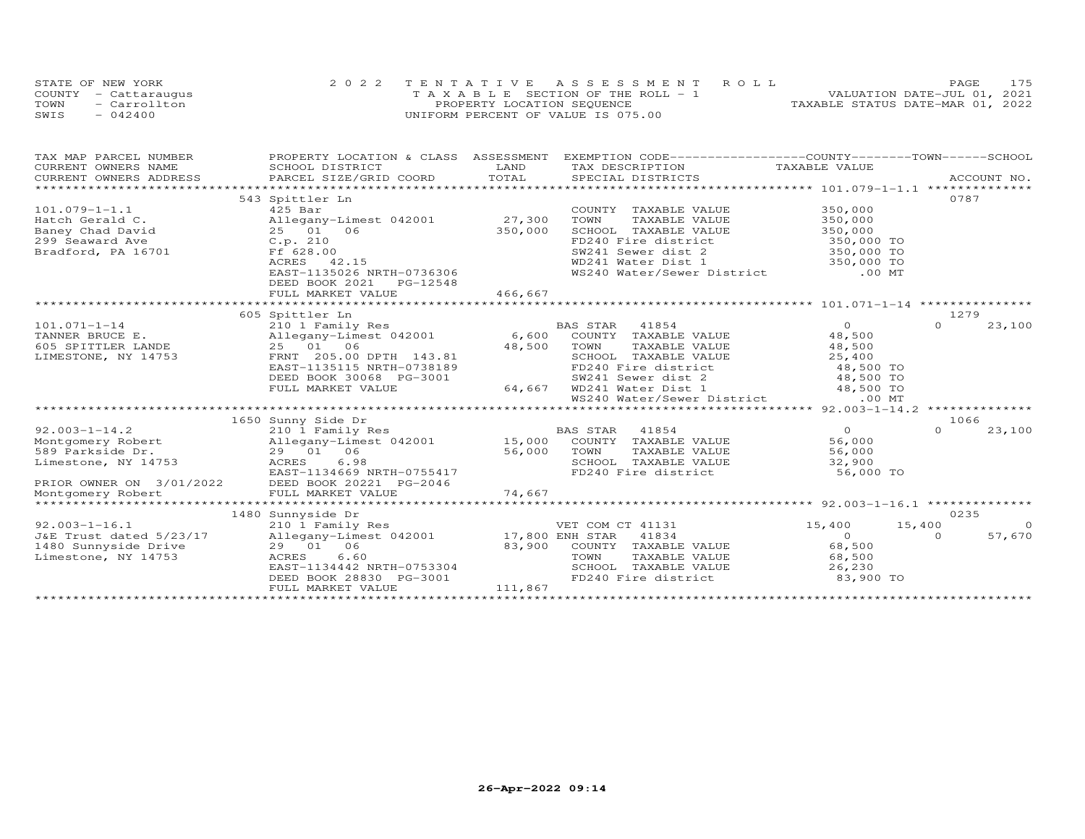|      | STATE OF NEW YORK    | 2022 TENTATIVE ASSESSMENT ROLL        | 175<br>PAGE.                     |
|------|----------------------|---------------------------------------|----------------------------------|
|      | COUNTY - Cattaraugus | T A X A B L E SECTION OF THE ROLL - 1 | VALUATION DATE-JUL 01, 2021      |
| TOWN | - Carrollton         | PROPERTY LOCATION SEQUENCE            | TAXABLE STATUS DATE-MAR 01, 2022 |
| SWIS | $-042400$            | UNIFORM PERCENT OF VALUE IS 075.00    |                                  |

| CURRENT OWNERS NAME<br>SCHOOL DISTRICT<br>LAND<br>TAX DESCRIPTION<br>TAXABLE VALUE<br>COURIENT OWNERS ADDRESS FORCEL SIZE/GRID COORD TOTAL SECIAL DISTRICTS ACCOUNT NO.<br>TOTAL SECIAL DISTRICTS PARCEL ACCOUNT NO. ACCOUNT AND PRECIAL DISTRICTS ACCOUNT NO.<br>CURRENT OWNERS ADDRESS<br>0787<br>543 Spittler Ln<br>$101.079 - 1 - 1.1$<br>$425$ Bar<br>COUNTY TAXABLE VALUE<br>350,000<br>Allegany-Limest 042001 27,300<br>350,000<br>TAXABLE VALUE<br>Hatch Gerald C.<br>TOWN<br>Baney Chad David<br>25 01 06<br>350,000<br>SCHOOL TAXABLE VALUE<br>350,000<br>FD240 Fire district 350,000 TO<br>SW241 Sewer dist 2 350,000 TO<br>299 Seaward Ave<br>C.p. 210<br>Bradford, PA 16701<br>Ff 628.00<br>SW241 Sewer dist 2 350,000 TO<br>WD241 Water Dist 1 350,000 TO<br>ACRES 42.15<br>WS240 Water/Sewer District .00 MT<br>EAST-1135026 NRTH-0736306<br>DEED BOOK 2021    PG-12548<br>466,667<br>FULL MARKET VALUE | TAX MAP PARCEL NUMBER |  | PROPERTY LOCATION & CLASS ASSESSMENT EXEMPTION CODE----------------COUNTY-------TOWN-----SCHOOL |         |
|------------------------------------------------------------------------------------------------------------------------------------------------------------------------------------------------------------------------------------------------------------------------------------------------------------------------------------------------------------------------------------------------------------------------------------------------------------------------------------------------------------------------------------------------------------------------------------------------------------------------------------------------------------------------------------------------------------------------------------------------------------------------------------------------------------------------------------------------------------------------------------------------------------------------|-----------------------|--|-------------------------------------------------------------------------------------------------|---------|
|                                                                                                                                                                                                                                                                                                                                                                                                                                                                                                                                                                                                                                                                                                                                                                                                                                                                                                                        |                       |  |                                                                                                 |         |
|                                                                                                                                                                                                                                                                                                                                                                                                                                                                                                                                                                                                                                                                                                                                                                                                                                                                                                                        |                       |  |                                                                                                 |         |
|                                                                                                                                                                                                                                                                                                                                                                                                                                                                                                                                                                                                                                                                                                                                                                                                                                                                                                                        |                       |  |                                                                                                 |         |
|                                                                                                                                                                                                                                                                                                                                                                                                                                                                                                                                                                                                                                                                                                                                                                                                                                                                                                                        |                       |  |                                                                                                 |         |
|                                                                                                                                                                                                                                                                                                                                                                                                                                                                                                                                                                                                                                                                                                                                                                                                                                                                                                                        |                       |  |                                                                                                 |         |
|                                                                                                                                                                                                                                                                                                                                                                                                                                                                                                                                                                                                                                                                                                                                                                                                                                                                                                                        |                       |  |                                                                                                 |         |
|                                                                                                                                                                                                                                                                                                                                                                                                                                                                                                                                                                                                                                                                                                                                                                                                                                                                                                                        |                       |  |                                                                                                 |         |
|                                                                                                                                                                                                                                                                                                                                                                                                                                                                                                                                                                                                                                                                                                                                                                                                                                                                                                                        |                       |  |                                                                                                 |         |
|                                                                                                                                                                                                                                                                                                                                                                                                                                                                                                                                                                                                                                                                                                                                                                                                                                                                                                                        |                       |  |                                                                                                 |         |
|                                                                                                                                                                                                                                                                                                                                                                                                                                                                                                                                                                                                                                                                                                                                                                                                                                                                                                                        |                       |  |                                                                                                 |         |
|                                                                                                                                                                                                                                                                                                                                                                                                                                                                                                                                                                                                                                                                                                                                                                                                                                                                                                                        |                       |  |                                                                                                 |         |
|                                                                                                                                                                                                                                                                                                                                                                                                                                                                                                                                                                                                                                                                                                                                                                                                                                                                                                                        |                       |  |                                                                                                 |         |
|                                                                                                                                                                                                                                                                                                                                                                                                                                                                                                                                                                                                                                                                                                                                                                                                                                                                                                                        |                       |  |                                                                                                 |         |
|                                                                                                                                                                                                                                                                                                                                                                                                                                                                                                                                                                                                                                                                                                                                                                                                                                                                                                                        |                       |  |                                                                                                 |         |
| 1279<br>605 Spittler Ln                                                                                                                                                                                                                                                                                                                                                                                                                                                                                                                                                                                                                                                                                                                                                                                                                                                                                                |                       |  |                                                                                                 |         |
| $\overline{O}$<br>$\Omega$<br>$101.071 - 1 - 14$                                                                                                                                                                                                                                                                                                                                                                                                                                                                                                                                                                                                                                                                                                                                                                                                                                                                       |                       |  |                                                                                                 | 23,100  |
| TANNER BRUCE E.<br>605 SPITTLER LANDE<br>48,500                                                                                                                                                                                                                                                                                                                                                                                                                                                                                                                                                                                                                                                                                                                                                                                                                                                                        |                       |  |                                                                                                 |         |
| 25 01 06<br>48,500<br>48,500<br>TOWN<br>TAXABLE VALUE                                                                                                                                                                                                                                                                                                                                                                                                                                                                                                                                                                                                                                                                                                                                                                                                                                                                  |                       |  |                                                                                                 |         |
| LIMESTONE, NY 14753<br>FRNT 205.00 DPTH 143.81<br>SCHOOL TAXABLE VALUE<br>25,400                                                                                                                                                                                                                                                                                                                                                                                                                                                                                                                                                                                                                                                                                                                                                                                                                                       |                       |  |                                                                                                 |         |
| EAST-1135115 NRTH-0738189<br>FD240 Fire district<br>48,500 TO<br>48,500 TO                                                                                                                                                                                                                                                                                                                                                                                                                                                                                                                                                                                                                                                                                                                                                                                                                                             |                       |  |                                                                                                 |         |
| DEED BOOK 30068 PG-3001<br>SW241 Sewer dist 2                                                                                                                                                                                                                                                                                                                                                                                                                                                                                                                                                                                                                                                                                                                                                                                                                                                                          |                       |  |                                                                                                 |         |
| $48,500$ TO<br>$90$ MT<br>FULL MARKET VALUE<br>64,667 WD241 Water Dist 1                                                                                                                                                                                                                                                                                                                                                                                                                                                                                                                                                                                                                                                                                                                                                                                                                                               |                       |  |                                                                                                 |         |
| WS240 Water/Sewer District<br>$.00$ MT                                                                                                                                                                                                                                                                                                                                                                                                                                                                                                                                                                                                                                                                                                                                                                                                                                                                                 |                       |  |                                                                                                 |         |
|                                                                                                                                                                                                                                                                                                                                                                                                                                                                                                                                                                                                                                                                                                                                                                                                                                                                                                                        |                       |  |                                                                                                 |         |
| 1066<br>1650 Sunny Side Dr                                                                                                                                                                                                                                                                                                                                                                                                                                                                                                                                                                                                                                                                                                                                                                                                                                                                                             |                       |  |                                                                                                 |         |
| $92.003 - 1 - 14.2$<br>210 1 Family Res<br>BAS STAR 41854<br>$\overline{O}$<br>$\Omega$                                                                                                                                                                                                                                                                                                                                                                                                                                                                                                                                                                                                                                                                                                                                                                                                                                |                       |  |                                                                                                 | 23,100  |
| Montgomery Robert Milegany-Limest 042001 15,000 COUNTY TAXABLE VALUE<br>56,000                                                                                                                                                                                                                                                                                                                                                                                                                                                                                                                                                                                                                                                                                                                                                                                                                                         |                       |  |                                                                                                 |         |
| 29 01 06<br>56,000<br>589 Parkside Dr.<br>TOWN<br>TAXABLE VALUE<br>56,000                                                                                                                                                                                                                                                                                                                                                                                                                                                                                                                                                                                                                                                                                                                                                                                                                                              |                       |  |                                                                                                 |         |
| ACRES 6.98<br>SCHOOL TAXABLE VALUE<br>FD240 Fire district<br>32,900<br>Limestone, NY 14753                                                                                                                                                                                                                                                                                                                                                                                                                                                                                                                                                                                                                                                                                                                                                                                                                             |                       |  |                                                                                                 |         |
| EAST-1134669 NRTH-0755417<br>56,000 TO                                                                                                                                                                                                                                                                                                                                                                                                                                                                                                                                                                                                                                                                                                                                                                                                                                                                                 |                       |  |                                                                                                 |         |
|                                                                                                                                                                                                                                                                                                                                                                                                                                                                                                                                                                                                                                                                                                                                                                                                                                                                                                                        |                       |  |                                                                                                 |         |
|                                                                                                                                                                                                                                                                                                                                                                                                                                                                                                                                                                                                                                                                                                                                                                                                                                                                                                                        |                       |  |                                                                                                 |         |
|                                                                                                                                                                                                                                                                                                                                                                                                                                                                                                                                                                                                                                                                                                                                                                                                                                                                                                                        |                       |  |                                                                                                 |         |
| 0235<br>1480 Sunnyside Dr                                                                                                                                                                                                                                                                                                                                                                                                                                                                                                                                                                                                                                                                                                                                                                                                                                                                                              |                       |  |                                                                                                 |         |
| 15,400<br>$92.003 - 1 - 16.1$<br>210 1 Family Res<br>VET COM CT 41131<br>15,400                                                                                                                                                                                                                                                                                                                                                                                                                                                                                                                                                                                                                                                                                                                                                                                                                                        |                       |  |                                                                                                 | $\circ$ |
| Allegany-Limest 042001 17,800 ENH STAR<br>$\overline{O}$<br>J&E Trust dated 5/23/17<br>41834<br>$\Omega$                                                                                                                                                                                                                                                                                                                                                                                                                                                                                                                                                                                                                                                                                                                                                                                                               |                       |  |                                                                                                 | 57,670  |
| 1480 Sunnyside Drive 29 01 06<br>83,900 COUNTY TAXABLE VALUE<br>68,500                                                                                                                                                                                                                                                                                                                                                                                                                                                                                                                                                                                                                                                                                                                                                                                                                                                 |                       |  |                                                                                                 |         |
| Limestone, NY 14753<br>ACRES<br>6.60<br>TOWN<br>68,500<br>TAXABLE VALUE                                                                                                                                                                                                                                                                                                                                                                                                                                                                                                                                                                                                                                                                                                                                                                                                                                                |                       |  |                                                                                                 |         |
| EAST-1134442 NRTH-0753304<br>SCHOOL TAXABLE VALUE<br>26,230                                                                                                                                                                                                                                                                                                                                                                                                                                                                                                                                                                                                                                                                                                                                                                                                                                                            |                       |  |                                                                                                 |         |
| FD240 Fire district<br>DEED BOOK 28830 PG-3001<br>83,900 TO<br>111,867                                                                                                                                                                                                                                                                                                                                                                                                                                                                                                                                                                                                                                                                                                                                                                                                                                                 |                       |  |                                                                                                 |         |
| FULL MARKET VALUE                                                                                                                                                                                                                                                                                                                                                                                                                                                                                                                                                                                                                                                                                                                                                                                                                                                                                                      |                       |  |                                                                                                 |         |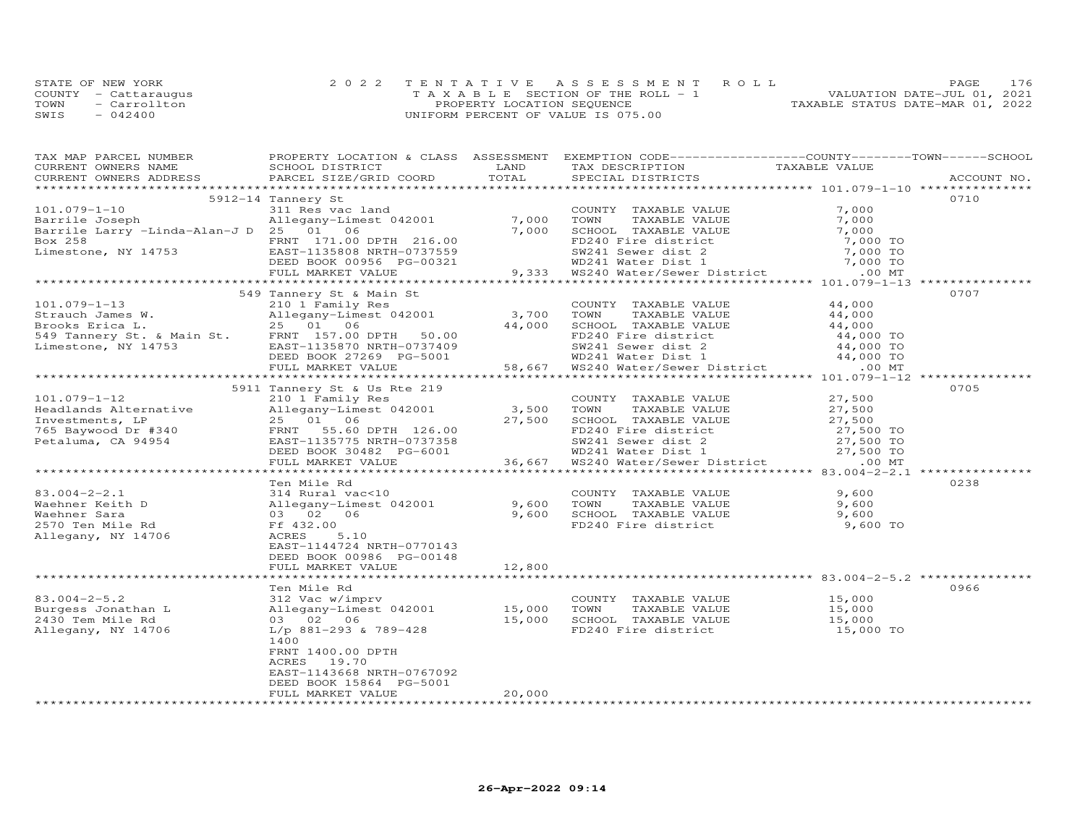|      | STATE OF NEW YORK    | 2022 TENTATIVE ASSESSMENT ROLL     |  |                                  | PAGE | 176 |
|------|----------------------|------------------------------------|--|----------------------------------|------|-----|
|      | COUNTY - Cattaraugus | TAXABLE SECTION OF THE ROLL - 1    |  | VALUATION DATE-JUL 01, 2021      |      |     |
| TOWN | - Carrollton         | PROPERTY LOCATION SEQUENCE         |  | TAXABLE STATUS DATE-MAR 01, 2022 |      |     |
| SWIS | $-042400$            | UNIFORM PERCENT OF VALUE IS 075.00 |  |                                  |      |     |

| TAX MAP PARCEL NUMBER                                                                                                                                                                                                                       | PROPERTY LOCATION & CLASS ASSESSMENT EXEMPTION CODE----------------COUNTY-------TOWN------SCHOOL |        |                                                                                                                                                                             |                     |             |
|---------------------------------------------------------------------------------------------------------------------------------------------------------------------------------------------------------------------------------------------|--------------------------------------------------------------------------------------------------|--------|-----------------------------------------------------------------------------------------------------------------------------------------------------------------------------|---------------------|-------------|
| CURRENT OWNERS NAME                                                                                                                                                                                                                         | SCHOOL DISTRICT                                                                                  | LAND   | TAX DESCRIPTION TAXABLE VALUE<br>SPECIAL DISTRICTS                                                                                                                          |                     |             |
| CURRENT OWNERS ADDRESS                                                                                                                                                                                                                      | PARCEL SIZE/GRID COORD                                                                           | TOTAL  | SPECIAL DISTRICTS                                                                                                                                                           |                     | ACCOUNT NO. |
|                                                                                                                                                                                                                                             |                                                                                                  |        |                                                                                                                                                                             |                     |             |
|                                                                                                                                                                                                                                             | 5912-14 Tannery St                                                                               |        |                                                                                                                                                                             |                     | 0710        |
| $101.079 - 1 - 10$                                                                                                                                                                                                                          | 311 Res vac land                                                                                 |        | COUNTY TAXABLE VALUE                                                                                                                                                        | 7,000               |             |
| Barrile Joseph                                                                                                                                                                                                                              | Allegany-Limest 042001 7,000<br>25 01 06 7,000                                                   |        | TOWN      TAXABLE VALUE<br>SCHOOL   TAXABLE VALUE                                                                                                                           | 7,000               |             |
| Barrile Larry -Linda-Alan-J D 25 01 06                                                                                                                                                                                                      |                                                                                                  |        |                                                                                                                                                                             | 7,000               |             |
| Box 258 FRNT 171.00 DPTH 216.00<br>Limestone, NY 14753 EAST-1135808 NRTH-0737559<br>DEED BOOK 00956 PG-00321                                                                                                                                |                                                                                                  |        | FD240 Fire district<br>SW241 Sewer dist 2<br>WD241 Water Dist 1<br>9,333 WS240 Water/Sewer District<br>9,333 WS240 Water/Sewer District<br>9,333 WS240 Water/Sewer District |                     |             |
|                                                                                                                                                                                                                                             |                                                                                                  |        |                                                                                                                                                                             |                     |             |
|                                                                                                                                                                                                                                             |                                                                                                  |        |                                                                                                                                                                             |                     |             |
|                                                                                                                                                                                                                                             | FULL MARKET VALUE                                                                                |        |                                                                                                                                                                             |                     |             |
|                                                                                                                                                                                                                                             |                                                                                                  |        |                                                                                                                                                                             |                     |             |
|                                                                                                                                                                                                                                             | 549 Tannery St & Main St                                                                         |        |                                                                                                                                                                             |                     | 0707        |
| $101.079 - 1 - 13$                                                                                                                                                                                                                          | 210 1 Family Res                                                                                 |        | COUNTY TAXABLE VALUE 44,000                                                                                                                                                 |                     |             |
|                                                                                                                                                                                                                                             |                                                                                                  |        |                                                                                                                                                                             |                     |             |
|                                                                                                                                                                                                                                             |                                                                                                  |        |                                                                                                                                                                             |                     |             |
|                                                                                                                                                                                                                                             |                                                                                                  |        |                                                                                                                                                                             |                     |             |
|                                                                                                                                                                                                                                             |                                                                                                  |        |                                                                                                                                                                             |                     |             |
|                                                                                                                                                                                                                                             |                                                                                                  |        |                                                                                                                                                                             |                     |             |
| 101.079-1-13<br>Strauch James W. Allegany-Limest 042001<br>Strauch James W. Allegany-Limest 042001<br>25 01 06 216 02001 700N TAXABLE VALUE<br>26 14,000 50001 724,000 70001 724,000 70<br>24,000 70 FD240 Fire district<br>24,000 70<br>24 |                                                                                                  |        |                                                                                                                                                                             |                     |             |
|                                                                                                                                                                                                                                             |                                                                                                  |        |                                                                                                                                                                             |                     |             |
|                                                                                                                                                                                                                                             | 5911 Tannery St & Us Rte 219                                                                     |        |                                                                                                                                                                             |                     | 0705        |
| $101.079 - 1 - 12$                                                                                                                                                                                                                          | 210 1 Family Res                                                                                 |        | COUNTY TAXABLE VALUE                                                                                                                                                        | 27,500              |             |
|                                                                                                                                                                                                                                             | Allegany-Limest 042001                                                                           | 3,500  |                                                                                                                                                                             |                     |             |
|                                                                                                                                                                                                                                             |                                                                                                  |        |                                                                                                                                                                             |                     |             |
| Headlands Alternative<br>Investments, LP<br>765 Baywood Dr #340<br>Petaluma, CA 94954<br>Petaluma, CA 94954<br>Petaluma, CA 94954<br>Petaluma Petaluma Petaluma Petaluma Petaluma Petaluma Petaluma Petaluma Petaluma Petaluma Petaluma Pe  |                                                                                                  |        |                                                                                                                                                                             |                     |             |
|                                                                                                                                                                                                                                             |                                                                                                  |        |                                                                                                                                                                             |                     |             |
|                                                                                                                                                                                                                                             | DEED BOOK 30482 PG-6001                                                                          |        | 27,500 TO<br>SW241 Swer dist 2<br>WD241 Water Dist 1 27,500 TO<br>WS240 Water/Sewer District 1 00 MT                                                                        |                     |             |
|                                                                                                                                                                                                                                             | FULL MARKET VALUE                                                                                | 36,667 |                                                                                                                                                                             |                     |             |
|                                                                                                                                                                                                                                             |                                                                                                  |        |                                                                                                                                                                             |                     |             |
|                                                                                                                                                                                                                                             | Ten Mile Rd                                                                                      |        |                                                                                                                                                                             |                     | 0238        |
|                                                                                                                                                                                                                                             |                                                                                                  |        | COUNTY TAXABLE VALUE 9,600<br>TOWN TAXABLE VALUE 9,600                                                                                                                      |                     |             |
|                                                                                                                                                                                                                                             |                                                                                                  |        | TOWN TAXABLE VALUE 9,600<br>SCHOOL TAXABLE VALUE 9,600<br>FD240 Fire district 9,600 TO                                                                                      |                     |             |
|                                                                                                                                                                                                                                             |                                                                                                  |        |                                                                                                                                                                             |                     |             |
|                                                                                                                                                                                                                                             |                                                                                                  |        |                                                                                                                                                                             |                     |             |
| Allegany, NY 14706                                                                                                                                                                                                                          | ACRES<br>5.10                                                                                    |        |                                                                                                                                                                             |                     |             |
|                                                                                                                                                                                                                                             | EAST-1144724 NRTH-0770143                                                                        |        |                                                                                                                                                                             |                     |             |
|                                                                                                                                                                                                                                             | DEED BOOK 00986 PG-00148                                                                         |        |                                                                                                                                                                             |                     |             |
|                                                                                                                                                                                                                                             | FULL MARKET VALUE                                                                                | 12,800 |                                                                                                                                                                             |                     |             |
|                                                                                                                                                                                                                                             |                                                                                                  |        |                                                                                                                                                                             |                     |             |
|                                                                                                                                                                                                                                             |                                                                                                  |        |                                                                                                                                                                             |                     | 0966        |
| $83.004 - 2 - 5.2$                                                                                                                                                                                                                          |                                                                                                  |        | COUNTY TAXABLE VALUE 15,000                                                                                                                                                 |                     |             |
| Burgess Jonathan L<br>2430 Tem Mile Rd                                                                                                                                                                                                      |                                                                                                  |        | TAXABLE VALUE                                                                                                                                                               | 15,000              |             |
| 2430 Tem Mile Rd                                                                                                                                                                                                                            |                                                                                                  |        | SCHOOL TAXABLE VALUE                                                                                                                                                        |                     |             |
| Allegany, NY 14706                                                                                                                                                                                                                          |                                                                                                  |        | FD240 Fire district                                                                                                                                                         | 15,000<br>15,000 TO |             |
|                                                                                                                                                                                                                                             | 1400                                                                                             |        |                                                                                                                                                                             |                     |             |
|                                                                                                                                                                                                                                             | FRNT 1400.00 DPTH                                                                                |        |                                                                                                                                                                             |                     |             |
|                                                                                                                                                                                                                                             | ACRES<br>19.70                                                                                   |        |                                                                                                                                                                             |                     |             |
|                                                                                                                                                                                                                                             | EAST-1143668 NRTH-0767092                                                                        |        |                                                                                                                                                                             |                     |             |
|                                                                                                                                                                                                                                             | DEED BOOK 15864 PG-5001                                                                          |        |                                                                                                                                                                             |                     |             |
| ************************                                                                                                                                                                                                                    | FULL MARKET VALUE                                                                                | 20,000 |                                                                                                                                                                             |                     |             |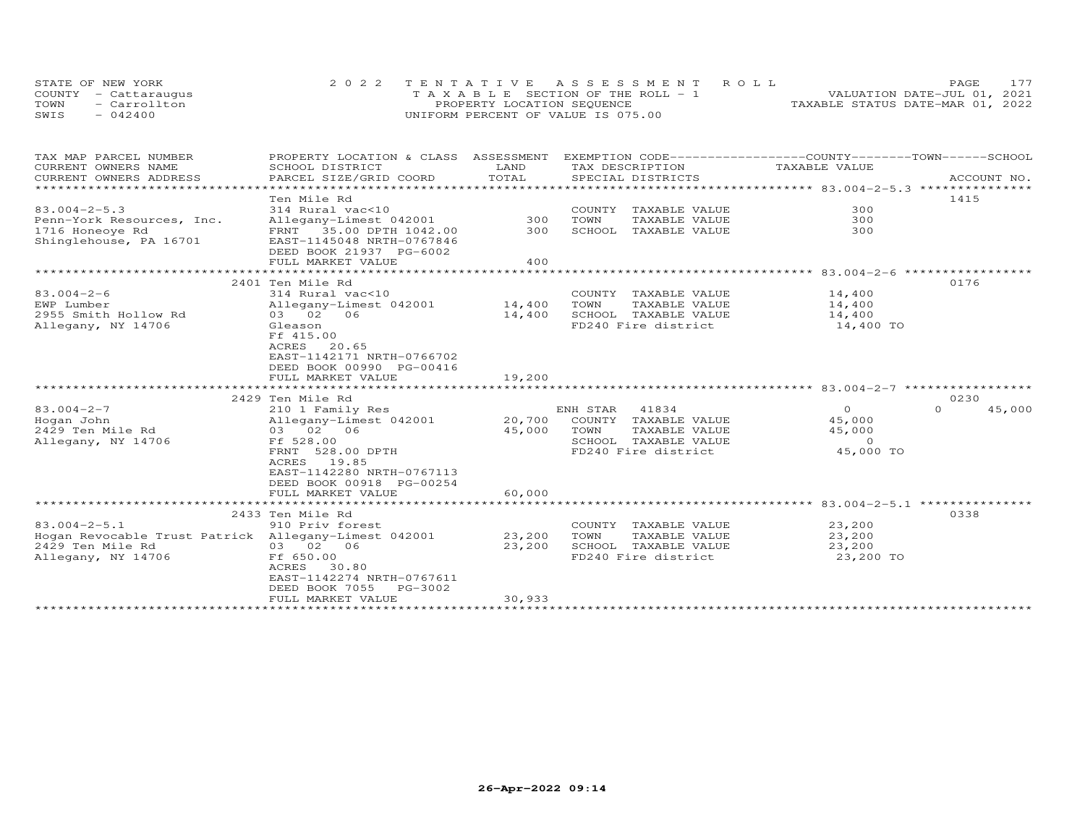|      | STATE OF NEW YORK    | 2022 TENTATIVE ASSESSMENT ROLL        | 177<br><b>PAGE</b>               |  |
|------|----------------------|---------------------------------------|----------------------------------|--|
|      | COUNTY - Cattaraugus | T A X A B L E SECTION OF THE ROLL - 1 | VALUATION DATE-JUL 01, 2021      |  |
| TOWN | - Carrollton         | PROPERTY LOCATION SEQUENCE            | TAXABLE STATUS DATE-MAR 01, 2022 |  |
| SWIS | $-042400$            | UNIFORM PERCENT OF VALUE IS 075.00    |                                  |  |

| TAX MAP PARCEL NUMBER                                | PROPERTY LOCATION & CLASS ASSESSMENT               |                           |                         | EXEMPTION CODE-----------------COUNTY-------TOWN------SCHOOL |                    |
|------------------------------------------------------|----------------------------------------------------|---------------------------|-------------------------|--------------------------------------------------------------|--------------------|
| CURRENT OWNERS NAME                                  | SCHOOL DISTRICT                                    | LAND                      | TAX DESCRIPTION         | TAXABLE VALUE                                                |                    |
| CURRENT OWNERS ADDRESS                               | PARCEL SIZE/GRID COORD                             | TOTAL                     | SPECIAL DISTRICTS       |                                                              | ACCOUNT NO.        |
|                                                      | Ten Mile Rd                                        |                           |                         |                                                              | 1415               |
| $83.004 - 2 - 5.3$                                   | 314 Rural vac<10                                   |                           | COUNTY<br>TAXABLE VALUE | 300                                                          |                    |
| Penn-York Resources, Inc.                            | Allegany-Limest 042001                             | 300                       | TOWN<br>TAXABLE VALUE   | 300                                                          |                    |
| 1716 Honeoye Rd                                      | FRNT 35.00 DPTH 1042.00                            | 300                       | SCHOOL TAXABLE VALUE    | 300                                                          |                    |
| Shinglehouse, PA 16701                               | EAST-1145048 NRTH-0767846                          |                           |                         |                                                              |                    |
|                                                      | DEED BOOK 21937 PG-6002                            |                           |                         |                                                              |                    |
|                                                      | FULL MARKET VALUE                                  | 400                       |                         |                                                              |                    |
|                                                      | **************************                         | ************************* |                         | ***************** 83.004-2-6 ******                          |                    |
|                                                      | 2401 Ten Mile Rd                                   |                           |                         |                                                              | 0176               |
| $83.004 - 2 - 6$                                     | 314 Rural vac<10                                   |                           | COUNTY TAXABLE VALUE    | 14,400                                                       |                    |
| EWP Lumber                                           | Allegany-Limest 042001                             | 14,400                    | TOWN<br>TAXABLE VALUE   | 14,400                                                       |                    |
| 2955 Smith Hollow Rd                                 | 03 02 06                                           | 14,400                    | SCHOOL TAXABLE VALUE    | 14,400                                                       |                    |
| Allegany, NY 14706                                   | Gleason                                            |                           | FD240 Fire district     | 14,400 TO                                                    |                    |
|                                                      | Ff 415.00<br>ACRES 20.65                           |                           |                         |                                                              |                    |
|                                                      | EAST-1142171 NRTH-0766702                          |                           |                         |                                                              |                    |
|                                                      | DEED BOOK 00990 PG-00416                           |                           |                         |                                                              |                    |
|                                                      | FULL MARKET VALUE                                  | 19,200                    |                         |                                                              |                    |
|                                                      |                                                    |                           |                         |                                                              |                    |
|                                                      | 2429 Ten Mile Rd                                   |                           |                         |                                                              | 0230               |
| $83.004 - 2 - 7$                                     | 210 1 Family Res                                   |                           | ENH STAR<br>41834       | $\overline{O}$                                               | $\Omega$<br>45,000 |
| Hogan John                                           | Allegany-Limest 042001                             | 20,700                    | COUNTY TAXABLE VALUE    | 45,000                                                       |                    |
| 2429 Ten Mile Rd                                     | 03 02 06                                           | 45,000                    | TOWN<br>TAXABLE VALUE   | 45,000                                                       |                    |
| Allegany, NY 14706                                   | Ff 528.00                                          |                           | SCHOOL<br>TAXABLE VALUE | $\Omega$                                                     |                    |
|                                                      | FRNT 528.00 DPTH                                   |                           | FD240 Fire district     | 45,000 TO                                                    |                    |
|                                                      | ACRES<br>19.85                                     |                           |                         |                                                              |                    |
|                                                      | EAST-1142280 NRTH-0767113                          |                           |                         |                                                              |                    |
|                                                      | DEED BOOK 00918 PG-00254                           |                           |                         |                                                              |                    |
|                                                      | FULL MARKET VALUE<br>***************************** | 60,000                    |                         | ******************* 83.004-2-5.1 **************              |                    |
|                                                      | 2433 Ten Mile Rd                                   |                           |                         |                                                              | 0338               |
| $83.004 - 2 - 5.1$                                   | 910 Priv forest                                    |                           | COUNTY TAXABLE VALUE    | 23,200                                                       |                    |
| Hogan Revocable Trust Patrick Allegany-Limest 042001 |                                                    | 23,200                    | TOWN<br>TAXABLE VALUE   | 23,200                                                       |                    |
| 2429 Ten Mile Rd                                     | 03 02 06                                           | 23,200                    | SCHOOL TAXABLE VALUE    | 23,200                                                       |                    |
| Allegany, NY 14706                                   | Ff 650.00                                          |                           | FD240 Fire district     | 23,200 TO                                                    |                    |
|                                                      | ACRES<br>30.80                                     |                           |                         |                                                              |                    |
|                                                      | EAST-1142274 NRTH-0767611                          |                           |                         |                                                              |                    |
|                                                      | DEED BOOK 7055<br>PG-3002                          |                           |                         |                                                              |                    |
|                                                      | FULL MARKET VALUE                                  | 30,933                    |                         |                                                              |                    |
|                                                      |                                                    |                           |                         |                                                              |                    |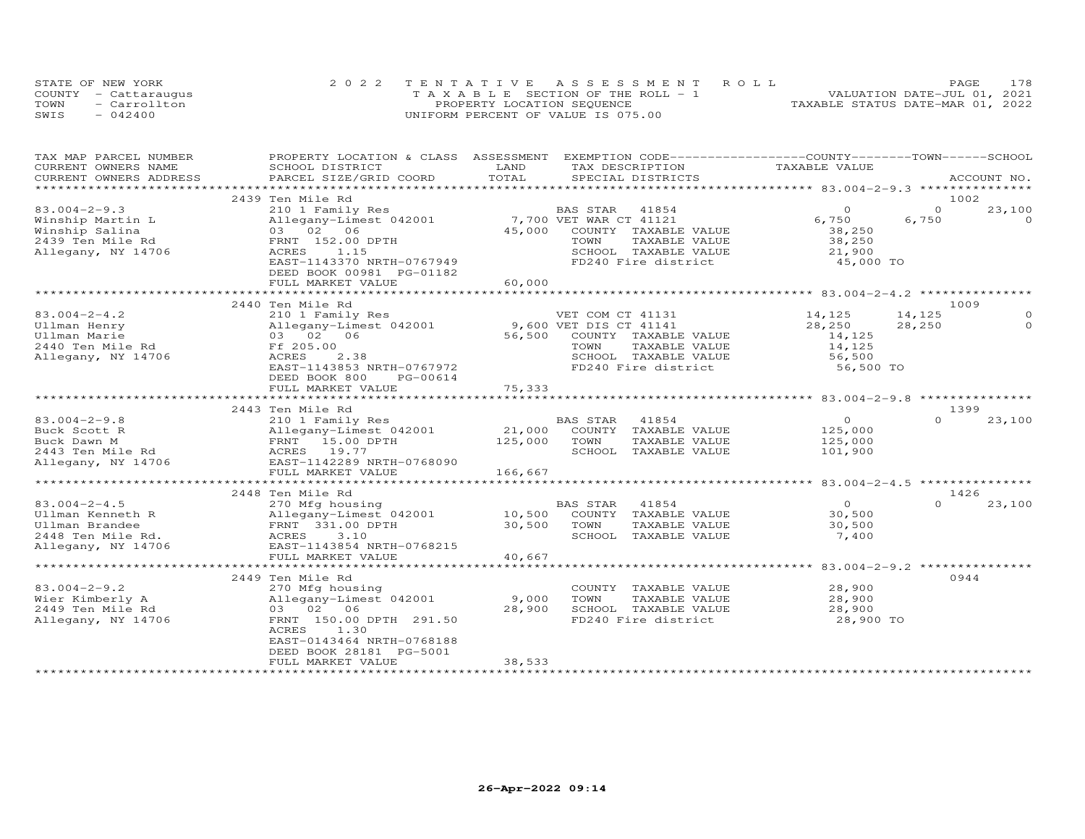|      | STATE OF NEW YORK    | 2022 TENTATIVE ASSESSMENT ROLL        | 178<br>PAGE.                     |
|------|----------------------|---------------------------------------|----------------------------------|
|      | COUNTY - Cattaraugus | T A X A B L E SECTION OF THE ROLL - 1 | VALUATION DATE-JUL 01, 2021      |
| TOWN | - Carrollton         | PROPERTY LOCATION SEQUENCE            | TAXABLE STATUS DATE-MAR 01, 2022 |
| SWIS | $-042400$            | UNIFORM PERCENT OF VALUE IS 075.00    |                                  |

| TAX MAP PARCEL NUMBER   | PROPERTY LOCATION & CLASS ASSESSMENT          |                       | EXEMPTION CODE-----------------COUNTY-------TOWN------SCHOOL |                                         |          |             |
|-------------------------|-----------------------------------------------|-----------------------|--------------------------------------------------------------|-----------------------------------------|----------|-------------|
| CURRENT OWNERS NAME     | SCHOOL DISTRICT                               | LAND                  | TAX DESCRIPTION                                              | TAXABLE VALUE                           |          |             |
| CURRENT OWNERS ADDRESS  | PARCEL SIZE/GRID COORD                        | TOTAL                 | SPECIAL DISTRICTS                                            |                                         |          | ACCOUNT NO. |
| *********************** |                                               |                       |                                                              |                                         |          |             |
|                         | 2439 Ten Mile Rd                              |                       |                                                              |                                         |          | 1002        |
| $83.004 - 2 - 9.3$      | 210 1 Family Res                              |                       | BAS STAR<br>41854                                            | $\circ$                                 | $\Omega$ | 23,100      |
| Winship Martin L        | Allegany-Limest 042001                        |                       | 7,700 VET WAR CT 41121                                       | 6,750                                   | 6,750    | $\Omega$    |
| Winship Salina          | 03 02 06                                      | 45,000                | COUNTY TAXABLE VALUE                                         | 38,250                                  |          |             |
| 2439 Ten Mile Rd        | FRNT 152.00 DPTH                              |                       | TOWN<br>TAXABLE VALUE                                        | 38,250                                  |          |             |
| Allegany, NY 14706      | ACRES<br>1.15                                 |                       | SCHOOL TAXABLE VALUE                                         | 21,900                                  |          |             |
|                         | EAST-1143370 NRTH-0767949                     |                       | FD240 Fire district                                          | 45,000 TO                               |          |             |
|                         | DEED BOOK 00981 PG-01182                      |                       |                                                              |                                         |          |             |
|                         | FULL MARKET VALUE                             | 60,000                |                                                              |                                         |          |             |
|                         |                                               |                       |                                                              |                                         |          |             |
|                         | 2440 Ten Mile Rd                              |                       |                                                              |                                         |          | 1009        |
| $83.004 - 2 - 4.2$      | 210 1 Family Res                              |                       | VET COM CT 41131                                             | 14,125                                  | 14,125   | $\Omega$    |
| Ullman Henry            | Allegany-Limest 042001                        |                       | 9,600 VET DIS CT 41141                                       | 28,250                                  | 28,250   | $\Omega$    |
| Ullman Marie            | 03 02 06                                      | 56,500                | COUNTY TAXABLE VALUE                                         | 14,125                                  |          |             |
| 2440 Ten Mile Rd        | Ff 205.00                                     |                       | TOWN<br>TAXABLE VALUE                                        | 14,125                                  |          |             |
| Allegany, NY 14706      | ACRES<br>2.38                                 |                       | SCHOOL TAXABLE VALUE                                         | 56,500                                  |          |             |
|                         | EAST-1143853 NRTH-0767972                     |                       | FD240 Fire district                                          | 56,500 TO                               |          |             |
|                         | DEED BOOK 800<br>PG-00614                     |                       |                                                              |                                         |          |             |
|                         | FULL MARKET VALUE                             | 75,333                |                                                              |                                         |          |             |
|                         | *************************                     |                       |                                                              |                                         |          |             |
|                         | 2443 Ten Mile Rd                              |                       |                                                              |                                         |          | 1399        |
|                         |                                               |                       |                                                              | $\overline{O}$                          | $\Omega$ |             |
| $83.004 - 2 - 9.8$      | 210 1 Family Res                              |                       | 41854<br>BAS STAR                                            |                                         |          | 23,100      |
| Buck Scott R            | Allegany-Limest 042001                        | 21,000                | COUNTY TAXABLE VALUE                                         | 125,000                                 |          |             |
| Buck Dawn M             | FRNT 15.00 DPTH                               | 125,000               | TOWN<br>TAXABLE VALUE                                        | 125,000                                 |          |             |
| 2443 Ten Mile Rd        | ACRES 19.77                                   |                       | SCHOOL TAXABLE VALUE                                         | 101,900                                 |          |             |
| Allegany, NY 14706      | EAST-1142289 NRTH-0768090                     |                       |                                                              |                                         |          |             |
|                         | FULL MARKET VALUE<br>************************ | 166,667<br>********** |                                                              |                                         |          |             |
|                         |                                               |                       |                                                              | ********* 83.004-2-4.5 **************** |          |             |
|                         | 2448 Ten Mile Rd                              |                       |                                                              |                                         |          | 1426        |
| $83.004 - 2 - 4.5$      | 270 Mfg housing                               |                       | BAS STAR<br>41854                                            | $\overline{O}$                          | $\Omega$ | 23,100      |
| Ullman Kenneth R        | Allegany-Limest 042001                        | 10,500                | COUNTY TAXABLE VALUE                                         | 30,500                                  |          |             |
| Ullman Brandee          | FRNT 331.00 DPTH                              | 30,500                | TOWN<br>TAXABLE VALUE                                        | 30,500                                  |          |             |
| 2448 Ten Mile Rd.       | Allega)<br>FRNT<br>ACRES<br>3.10              |                       | SCHOOL TAXABLE VALUE                                         | 7,400                                   |          |             |
| Allegany, NY 14706      | EAST-1143854 NRTH-0768215                     |                       |                                                              |                                         |          |             |
|                         | FULL MARKET VALUE                             | 40,667                |                                                              |                                         |          |             |
|                         | ************************                      | * * * * * * * * * *   |                                                              | *********** 83.004-2-9.2 ************** |          |             |
|                         | 2449 Ten Mile Rd                              |                       |                                                              |                                         |          | 0944        |
| $83.004 - 2 - 9.2$      | 270 Mfg housing                               |                       | COUNTY TAXABLE VALUE                                         | 28,900                                  |          |             |
| Wier Kimberly A         | Allegany-Limest 042001                        | 9,000                 | TOWN<br>TAXABLE VALUE                                        | 28,900                                  |          |             |
| 2449 Ten Mile Rd        | 03 02 06                                      | 28,900                | SCHOOL TAXABLE VALUE                                         | 28,900                                  |          |             |
| Allegany, NY 14706      | FRNT 150.00 DPTH 291.50                       |                       | FD240 Fire district                                          | 28,900 TO                               |          |             |
|                         | ACRES<br>1.30                                 |                       |                                                              |                                         |          |             |
|                         | EAST-0143464 NRTH-0768188                     |                       |                                                              |                                         |          |             |
|                         | DEED BOOK 28181 PG-5001                       |                       |                                                              |                                         |          |             |
|                         | FULL MARKET VALUE                             | 38,533                |                                                              |                                         |          |             |
|                         |                                               |                       |                                                              |                                         |          |             |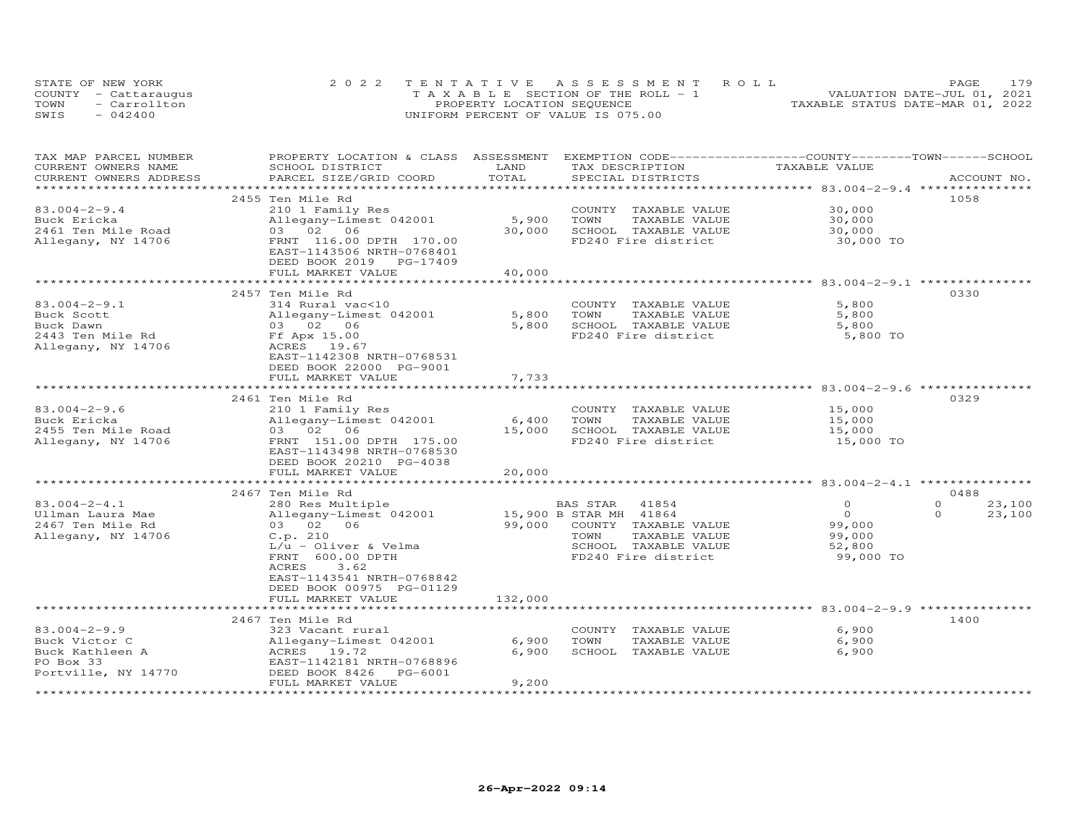| STATE OF NEW YORK    | 2022 TENTATIVE ASSESSMENT ROLL        |                                  | PAGE                        | 179 |
|----------------------|---------------------------------------|----------------------------------|-----------------------------|-----|
| COUNTY - Cattaraugus | T A X A B L E SECTION OF THE ROLL - 1 |                                  | VALUATION DATE-JUL 01, 2021 |     |
| TOWN<br>- Carrollton | PROPERTY LOCATION SEQUENCE            | TAXABLE STATUS DATE-MAR 01, 2022 |                             |     |
| SWIS<br>$-042400$    | UNIFORM PERCENT OF VALUE IS 075.00    |                                  |                             |     |

| TAX MAP PARCEL NUMBER<br>CURRENT OWNERS NAME | PROPERTY LOCATION & CLASS ASSESSMENT<br>SCHOOL DISTRICT | LAND    | EXEMPTION CODE-----------------COUNTY-------TOWN------SCHOOL<br>TAX DESCRIPTION | TAXABLE VALUE |                    |
|----------------------------------------------|---------------------------------------------------------|---------|---------------------------------------------------------------------------------|---------------|--------------------|
| CURRENT OWNERS ADDRESS                       | PARCEL SIZE/GRID COORD                                  | TOTAL   | SPECIAL DISTRICTS                                                               |               | ACCOUNT NO.        |
| ***********************                      |                                                         |         |                                                                                 |               |                    |
|                                              | 2455 Ten Mile Rd                                        |         |                                                                                 |               | 1058               |
| $83.004 - 2 - 9.4$                           | 210 1 Family Res                                        |         | COUNTY TAXABLE VALUE                                                            | 30,000        |                    |
| Buck Ericka                                  | Allegany-Limest 042001                                  | 5,900   | TOWN<br>TAXABLE VALUE                                                           | 30,000        |                    |
| 2461 Ten Mile Road                           | 03 02 06                                                | 30,000  | SCHOOL TAXABLE VALUE                                                            | 30,000        |                    |
| Allegany, NY 14706                           | FRNT 116.00 DPTH 170.00                                 |         | FD240 Fire district                                                             | 30,000 TO     |                    |
|                                              | EAST-1143506 NRTH-0768401                               |         |                                                                                 |               |                    |
|                                              | DEED BOOK 2019 PG-17409                                 |         |                                                                                 |               |                    |
|                                              | FULL MARKET VALUE                                       | 40,000  |                                                                                 |               |                    |
|                                              |                                                         |         |                                                                                 |               |                    |
|                                              | 2457 Ten Mile Rd                                        |         |                                                                                 |               | 0330               |
| $83.004 - 2 - 9.1$                           | 314 Rural vac<10                                        |         | COUNTY TAXABLE VALUE                                                            | 5,800         |                    |
| Buck Scott                                   | Allegany-Limest 042001                                  | 5,800   | TOWN<br>TAXABLE VALUE                                                           | 5,800         |                    |
| Buck Dawn                                    | 03 02 06                                                | 5,800   | SCHOOL TAXABLE VALUE                                                            | 5,800         |                    |
| 2443 Ten Mile Rd                             | Ff Apx 15.00                                            |         | FD240 Fire district                                                             | 5,800 TO      |                    |
| Allegany, NY 14706                           | ACRES 19.67                                             |         |                                                                                 |               |                    |
|                                              | EAST-1142308 NRTH-0768531                               |         |                                                                                 |               |                    |
|                                              | DEED BOOK 22000 PG-9001                                 |         |                                                                                 |               |                    |
|                                              | FULL MARKET VALUE                                       | 7,733   |                                                                                 |               |                    |
|                                              |                                                         |         |                                                                                 |               |                    |
|                                              | 2461 Ten Mile Rd                                        |         |                                                                                 |               | 0329               |
| $83.004 - 2 - 9.6$                           | 210 1 Family Res                                        |         | COUNTY TAXABLE VALUE                                                            | 15,000        |                    |
| Buck Ericka                                  | Allegany-Limest 042001                                  | 6,400   | TOWN<br>TAXABLE VALUE                                                           | 15,000        |                    |
| 2455 Ten Mile Road                           | 03 02 06                                                | 15,000  | SCHOOL TAXABLE VALUE                                                            | 15,000        |                    |
| Allegany, NY 14706                           | FRNT 151.00 DPTH 175.00                                 |         | FD240 Fire district                                                             | 15,000 TO     |                    |
|                                              | EAST-1143498 NRTH-0768530                               |         |                                                                                 |               |                    |
|                                              | DEED BOOK 20210 PG-4038                                 |         |                                                                                 |               |                    |
|                                              | FULL MARKET VALUE                                       | 20,000  |                                                                                 |               |                    |
|                                              |                                                         |         |                                                                                 |               |                    |
|                                              | 2467 Ten Mile Rd                                        |         |                                                                                 |               | 0488               |
| $83.004 - 2 - 4.1$                           | 280 Res Multiple                                        |         | BAS STAR 41854                                                                  | $\circ$       | $\Omega$<br>23,100 |
| Ullman Laura Mae                             | Allegany-Limest 042001                                  |         |                                                                                 | $\Omega$      | $\Omega$<br>23,100 |
| 2467 Ten Mile Rd                             | 03 02 06                                                |         | 15,900 B STAR MH 41864<br>99,000 COUNTY TAXABLE VALUE                           | 99,000        |                    |
| Allegany, NY 14706                           | C.p. 210                                                |         | TAXABLE VALUE<br>TOWN                                                           | 99,000        |                    |
|                                              | L/u - Oliver & Velma                                    |         | SCHOOL TAXABLE VALUE                                                            | 52,800        |                    |
|                                              | FRNT 600.00 DPTH                                        |         | FD240 Fire district                                                             | 99,000 TO     |                    |
|                                              | ACRES<br>3.62                                           |         |                                                                                 |               |                    |
|                                              | EAST-1143541 NRTH-0768842                               |         |                                                                                 |               |                    |
|                                              | DEED BOOK 00975 PG-01129                                |         |                                                                                 |               |                    |
|                                              | FULL MARKET VALUE                                       | 132,000 |                                                                                 |               |                    |
|                                              |                                                         |         |                                                                                 |               |                    |
|                                              | 2467 Ten Mile Rd                                        |         |                                                                                 |               | 1400               |
| $83.004 - 2 - 9.9$                           | 323 Vacant rural                                        |         | COUNTY TAXABLE VALUE                                                            | 6,900         |                    |
| Buck Victor C                                | Allegany-Limest 042001                                  | 6,900   | TOWN<br>TAXABLE VALUE                                                           | 6,900         |                    |
| Buck Kathleen A                              | ACRES 19.72                                             | 6,900   | SCHOOL TAXABLE VALUE                                                            | 6,900         |                    |
| PO Box 33                                    | EAST-1142181 NRTH-0768896                               |         |                                                                                 |               |                    |
| Portville, NY 14770                          | DEED BOOK 8426<br>PG-6001                               |         |                                                                                 |               |                    |
|                                              | FULL MARKET VALUE                                       | 9,200   |                                                                                 |               |                    |
|                                              |                                                         |         |                                                                                 |               |                    |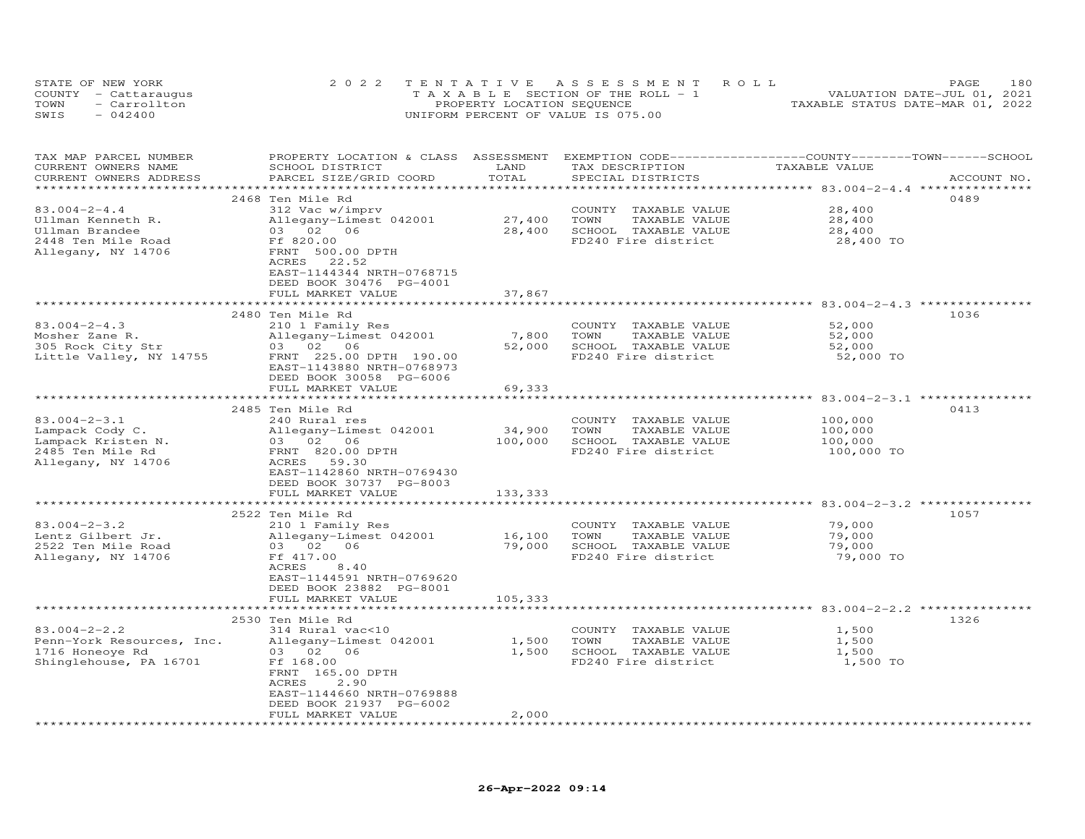|      | STATE OF NEW YORK    | 2022 TENTATIVE ASSESSMENT ROLL        | 180<br>PAGE.                     |
|------|----------------------|---------------------------------------|----------------------------------|
|      | COUNTY - Cattaraugus | T A X A B L E SECTION OF THE ROLL - 1 | VALUATION DATE-JUL 01, 2021      |
| TOWN | - Carrollton         | PROPERTY LOCATION SEQUENCE            | TAXABLE STATUS DATE-MAR 01, 2022 |
| SWIS | $-042400$            | UNIFORM PERCENT OF VALUE IS 075.00    |                                  |

| TAX MAP PARCEL NUMBER     | PROPERTY LOCATION & CLASS ASSESSMENT |                | EXEMPTION CODE-----------------COUNTY-------TOWN------SCHOOL |                                            |             |
|---------------------------|--------------------------------------|----------------|--------------------------------------------------------------|--------------------------------------------|-------------|
| CURRENT OWNERS NAME       | SCHOOL DISTRICT                      | LAND           | TAX DESCRIPTION                                              | TAXABLE VALUE                              |             |
| CURRENT OWNERS ADDRESS    | PARCEL SIZE/GRID COORD               | TOTAL          | SPECIAL DISTRICTS                                            |                                            | ACCOUNT NO. |
| *******************       |                                      |                |                                                              | ******************* 83.004-2-4.4 ********* |             |
|                           | 2468 Ten Mile Rd                     |                |                                                              |                                            | 0489        |
|                           |                                      |                |                                                              |                                            |             |
| $83.004 - 2 - 4.4$        | 312 Vac w/imprv                      |                | COUNTY TAXABLE VALUE                                         | 28,400                                     |             |
| Ullman Kenneth R.         | Allegany-Limest 042001               | 27,400         | TOWN<br>TAXABLE VALUE                                        | 28,400                                     |             |
| Ullman Brandee            | 03 02 06                             | 28,400         | SCHOOL TAXABLE VALUE                                         | 28,400                                     |             |
| 2448 Ten Mile Road        | Ff 820.00                            |                | FD240 Fire district                                          | 28,400 TO                                  |             |
| Allegany, NY 14706        | FRNT 500.00 DPTH                     |                |                                                              |                                            |             |
|                           | ACRES 22.52                          |                |                                                              |                                            |             |
|                           | EAST-1144344 NRTH-0768715            |                |                                                              |                                            |             |
|                           | DEED BOOK 30476 PG-4001              |                |                                                              |                                            |             |
|                           |                                      |                |                                                              |                                            |             |
|                           | FULL MARKET VALUE                    | 37,867         |                                                              |                                            |             |
|                           |                                      | ************** |                                                              |                                            |             |
|                           | 2480 Ten Mile Rd                     |                |                                                              |                                            | 1036        |
| $83.004 - 2 - 4.3$        | 210 1 Family Res                     |                | COUNTY TAXABLE VALUE                                         | 52,000                                     |             |
| Mosher Zane R.            | Allegany-Limest 042001               | 7,800          | TOWN<br>TAXABLE VALUE                                        | 52,000                                     |             |
| 305 Rock City Str         | 03 02 06                             | 52,000         | SCHOOL TAXABLE VALUE                                         | 52,000                                     |             |
| Little Valley, NY 14755   | FRNT 225.00 DPTH 190.00              |                | FD240 Fire district                                          | 52,000 TO                                  |             |
|                           | EAST-1143880 NRTH-0768973            |                |                                                              |                                            |             |
|                           |                                      |                |                                                              |                                            |             |
|                           | DEED BOOK 30058 PG-6006              |                |                                                              |                                            |             |
|                           | FULL MARKET VALUE                    | 69,333         |                                                              |                                            |             |
|                           |                                      |                |                                                              |                                            |             |
|                           | 2485 Ten Mile Rd                     |                |                                                              |                                            | 0413        |
| $83.004 - 2 - 3.1$        | 240 Rural res                        |                | COUNTY TAXABLE VALUE                                         | 100,000                                    |             |
| Lampack Cody C.           | Allegany-Limest 042001               | 34,900         | TOWN<br>TAXABLE VALUE                                        | 100,000                                    |             |
| Lampack Kristen N.        | 03 02 06                             | 100,000        | SCHOOL TAXABLE VALUE                                         | 100,000                                    |             |
| 2485 Ten Mile Rd          | FRNT 820.00 DPTH                     |                | FD240 Fire district                                          | 100,000 TO                                 |             |
|                           |                                      |                |                                                              |                                            |             |
| Allegany, NY 14706        | ACRES 59.30                          |                |                                                              |                                            |             |
|                           | EAST-1142860 NRTH-0769430            |                |                                                              |                                            |             |
|                           | DEED BOOK 30737 PG-8003              |                |                                                              |                                            |             |
|                           | FULL MARKET VALUE                    | 133,333        |                                                              |                                            |             |
|                           |                                      |                |                                                              |                                            |             |
|                           | 2522 Ten Mile Rd                     |                |                                                              |                                            | 1057        |
| $83.004 - 2 - 3.2$        | 210 1 Family Res                     |                | COUNTY TAXABLE VALUE                                         | 79,000                                     |             |
| Lentz Gilbert Jr.         | Allegany-Limest 042001               | 16,100         | TOWN<br>TAXABLE VALUE                                        | 79,000                                     |             |
| 2522 Ten Mile Road        | 03 02 06                             | 79,000         | SCHOOL TAXABLE VALUE                                         | 79,000                                     |             |
|                           |                                      |                | FD240 Fire district                                          |                                            |             |
| Allegany, NY 14706        | Ff 417.00                            |                |                                                              | 79,000 TO                                  |             |
|                           | ACRES 8.40                           |                |                                                              |                                            |             |
|                           | EAST-1144591 NRTH-0769620            |                |                                                              |                                            |             |
|                           | DEED BOOK 23882 PG-8001              |                |                                                              |                                            |             |
|                           | FULL MARKET VALUE                    | 105,333        |                                                              |                                            |             |
|                           | ***************************          |                |                                                              |                                            |             |
|                           | 2530 Ten Mile Rd                     |                |                                                              |                                            | 1326        |
| $83.004 - 2 - 2.2$        | 314 Rural vac<10                     |                | COUNTY TAXABLE VALUE                                         | 1,500                                      |             |
| Penn-York Resources, Inc. | Allegany-Limest 042001               | 1,500          | TOWN<br>TAXABLE VALUE                                        | 1,500                                      |             |
|                           | 03 02 06                             | 1,500          |                                                              | 1,500                                      |             |
| 1716 Honeoye Rd           |                                      |                | SCHOOL TAXABLE VALUE                                         |                                            |             |
| Shinglehouse, PA 16701    | Ff 168.00                            |                | FD240 Fire district                                          | 1,500 TO                                   |             |
|                           | FRNT 165.00 DPTH                     |                |                                                              |                                            |             |
|                           | ACRES<br>2,90                        |                |                                                              |                                            |             |
|                           | EAST-1144660 NRTH-0769888            |                |                                                              |                                            |             |
|                           | DEED BOOK 21937 PG-6002              |                |                                                              |                                            |             |
|                           | FULL MARKET VALUE                    | 2,000          |                                                              |                                            |             |
|                           |                                      |                |                                                              |                                            |             |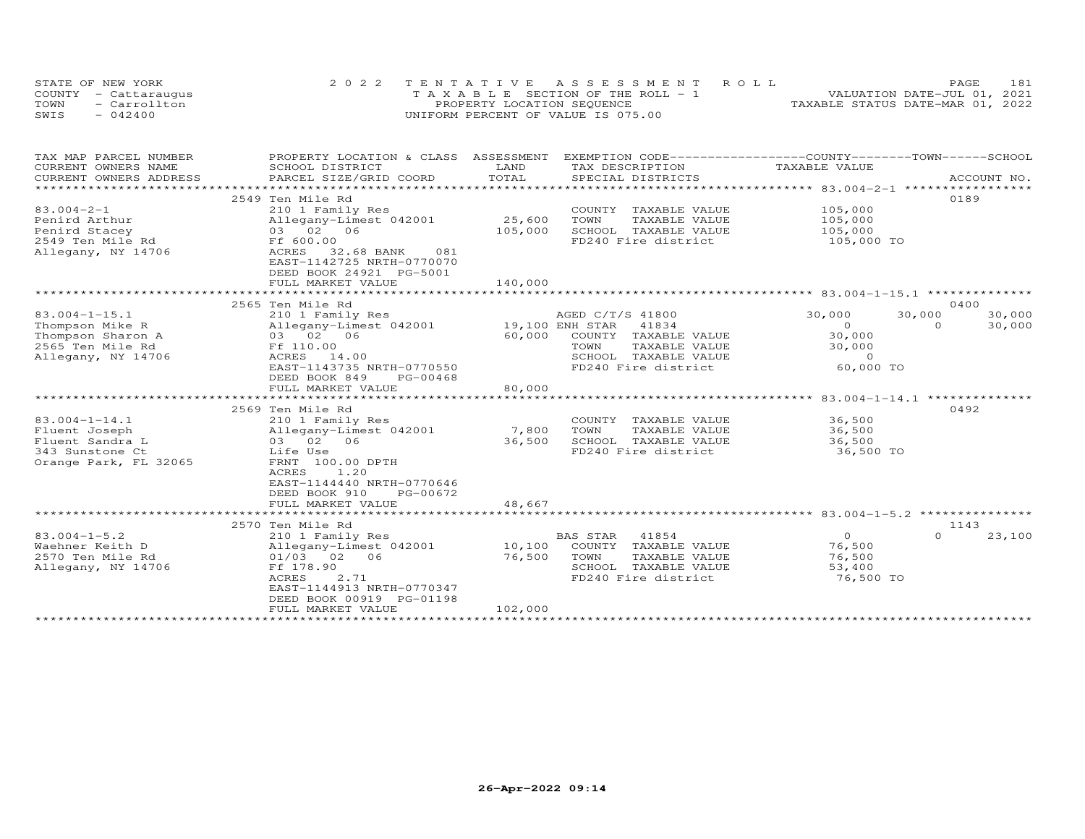| STATE OF NEW YORK    | 2022 TENTATIVE ASSESSMENT ROLL        |                                  | PAGE                        | 181 |
|----------------------|---------------------------------------|----------------------------------|-----------------------------|-----|
| COUNTY - Cattaraugus | T A X A B L E SECTION OF THE ROLL - 1 |                                  | VALUATION DATE-JUL 01, 2021 |     |
| - Carrollton<br>TOWN | PROPERTY LOCATION SEQUENCE            | TAXABLE STATUS DATE-MAR 01, 2022 |                             |     |
| $-042400$<br>SWIS    | UNIFORM PERCENT OF VALUE IS 075.00    |                                  |                             |     |

| TAX MAP PARCEL NUMBER    | PROPERTY LOCATION & CLASS  | ASSESSMENT      | EXEMPTION CODE-----------------COUNTY-------TOWN------SCHOOL |                                                      |                    |
|--------------------------|----------------------------|-----------------|--------------------------------------------------------------|------------------------------------------------------|--------------------|
| CURRENT OWNERS NAME      | SCHOOL DISTRICT            | LAND            | TAX DESCRIPTION                                              | TAXABLE VALUE                                        |                    |
| CURRENT OWNERS ADDRESS   | PARCEL SIZE/GRID COORD     | TOTAL           | SPECIAL DISTRICTS                                            |                                                      | ACCOUNT NO.        |
| ************************ |                            |                 |                                                              |                                                      |                    |
|                          | 2549 Ten Mile Rd           |                 |                                                              |                                                      | 0189               |
| $83.004 - 2 - 1$         | 210 1 Family Res           |                 | COUNTY TAXABLE VALUE                                         | 105,000                                              |                    |
| Penird Arthur            | Allegany-Limest 042001     | 25,600          | TOWN<br>TAXABLE VALUE                                        | 105,000                                              |                    |
| Penird Stacey            | 03 02 06                   | 105,000         | SCHOOL TAXABLE VALUE                                         | 105,000                                              |                    |
| 2549 Ten Mile Rd         | Ff 600.00                  |                 | FD240 Fire district                                          | 105,000 TO                                           |                    |
| Allegany, NY 14706       | ACRES<br>32.68 BANK<br>081 |                 |                                                              |                                                      |                    |
|                          | EAST-1142725 NRTH-0770070  |                 |                                                              |                                                      |                    |
|                          | DEED BOOK 24921 PG-5001    |                 |                                                              |                                                      |                    |
|                          | FULL MARKET VALUE          | 140,000         |                                                              |                                                      |                    |
|                          |                            |                 |                                                              |                                                      |                    |
|                          | 2565 Ten Mile Rd           |                 |                                                              |                                                      | 0400               |
| $83.004 - 1 - 15.1$      | 210 1 Family Res           |                 | AGED C/T/S 41800                                             | 30,000                                               | 30,000<br>30,000   |
| Thompson Mike R          | Allegany-Limest 042001     | 19,100 ENH STAR | 41834                                                        | $\Omega$                                             | 30,000<br>$\Omega$ |
| Thompson Sharon A        | 03 02 06                   | 60,000          | COUNTY TAXABLE VALUE                                         | 30,000                                               |                    |
| 2565 Ten Mile Rd         | Ff 110.00                  |                 | TOWN<br>TAXABLE VALUE                                        | 30,000                                               |                    |
| Allegany, NY 14706       | ACRES 14.00                |                 | SCHOOL TAXABLE VALUE                                         | $\Omega$                                             |                    |
|                          | EAST-1143735 NRTH-0770550  |                 | FD240 Fire district                                          | 60,000 TO                                            |                    |
|                          | DEED BOOK 849<br>PG-00468  |                 |                                                              |                                                      |                    |
|                          | FULL MARKET VALUE          | 80,000          |                                                              |                                                      |                    |
|                          | **********************     | ************    |                                                              | ***************** 83.004-1-14.1 ***************      |                    |
|                          | 2569 Ten Mile Rd           |                 |                                                              |                                                      | 0492               |
| $83.004 - 1 - 14.1$      | 210 1 Family Res           |                 | COUNTY TAXABLE VALUE                                         | 36,500                                               |                    |
| Fluent Joseph            | Allegany-Limest 042001     | 7,800           | TOWN<br>TAXABLE VALUE                                        | 36,500                                               |                    |
| Fluent Sandra L          | 03 02 06                   | 36,500          | SCHOOL TAXABLE VALUE                                         | 36,500                                               |                    |
| 343 Sunstone Ct          | Life Use                   |                 | FD240 Fire district                                          | 36,500 TO                                            |                    |
| Orange Park, FL 32065    | FRNT 100.00 DPTH           |                 |                                                              |                                                      |                    |
|                          | ACRES<br>1.20              |                 |                                                              |                                                      |                    |
|                          | EAST-1144440 NRTH-0770646  |                 |                                                              |                                                      |                    |
|                          | DEED BOOK 910<br>PG-00672  |                 |                                                              |                                                      |                    |
|                          | FULL MARKET VALUE          | 48,667          |                                                              |                                                      |                    |
|                          | ***********************    |                 |                                                              | ********************** 83.004-1-5.2 **************** |                    |
|                          | 2570 Ten Mile Rd           |                 |                                                              |                                                      | 1143               |
| $83.004 - 1 - 5.2$       | 210 1 Family Res           |                 | <b>BAS STAR</b><br>41854                                     | $\circ$                                              | $\Omega$<br>23,100 |
| Waehner Keith D          | Allegany-Limest 042001     | 10,100          | COUNTY TAXABLE VALUE                                         | 76,500                                               |                    |
| 2570 Ten Mile Rd         | 01/03 02 06                | 76,500          | TOWN<br>TAXABLE VALUE                                        | 76,500                                               |                    |
| Allegany, NY 14706       | Ff 178.90                  |                 | SCHOOL TAXABLE VALUE                                         | 53,400                                               |                    |
|                          | 2.71<br>ACRES              |                 | FD240 Fire district                                          | 76,500 TO                                            |                    |
|                          | EAST-1144913 NRTH-0770347  |                 |                                                              |                                                      |                    |
|                          | DEED BOOK 00919 PG-01198   |                 |                                                              |                                                      |                    |
|                          | FULL MARKET VALUE          | 102,000         |                                                              |                                                      |                    |
|                          |                            |                 |                                                              |                                                      |                    |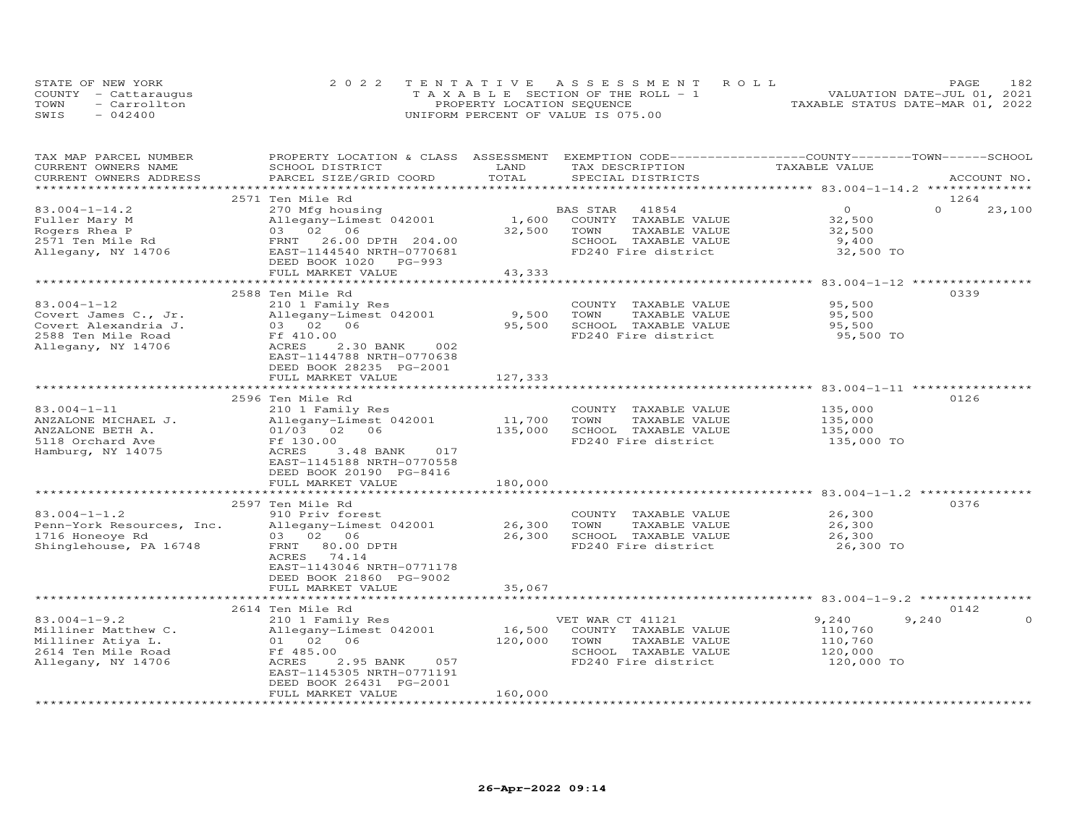|      | STATE OF NEW YORK    | 2022 TENTATIVE ASSESSMENT ROLL        | PAGE                             | 182 |
|------|----------------------|---------------------------------------|----------------------------------|-----|
|      | COUNTY - Cattaraugus | T A X A B L E SECTION OF THE ROLL - 1 | VALUATION DATE-JUL 01, 2021      |     |
| TOWN | - Carrollton         | PROPERTY LOCATION SEQUENCE            | TAXABLE STATUS DATE-MAR 01, 2022 |     |
| SWIS | $-042400$            | UNIFORM PERCENT OF VALUE IS 075.00    |                                  |     |

| TAX MAP PARCEL NUMBER     | PROPERTY LOCATION & CLASS ASSESSMENT |         | EXEMPTION CODE-----------------COUNTY-------TOWN-----SCHOOL |                                     |                    |
|---------------------------|--------------------------------------|---------|-------------------------------------------------------------|-------------------------------------|--------------------|
| CURRENT OWNERS NAME       | SCHOOL DISTRICT                      | LAND    | TAX DESCRIPTION                                             | TAXABLE VALUE                       |                    |
| CURRENT OWNERS ADDRESS    | PARCEL SIZE/GRID COORD               | TOTAL   | SPECIAL DISTRICTS                                           |                                     | ACCOUNT NO.        |
|                           |                                      |         |                                                             |                                     |                    |
|                           | 2571 Ten Mile Rd                     |         |                                                             |                                     | 1264               |
| $83.004 - 1 - 14.2$       | 270 Mfg housing                      |         | BAS STAR<br>41854                                           | $\Omega$                            | $\Omega$<br>23,100 |
| Fuller Mary M             | Allegany-Limest 042001               | 1,600   | COUNTY TAXABLE VALUE                                        | 32,500                              |                    |
| Rogers Rhea P             | 03 02 06                             | 32,500  | TOWN<br>TAXABLE VALUE                                       | 32,500                              |                    |
| 2571 Ten Mile Rd          | 26.00 DPTH 204.00<br>FRNT            |         | SCHOOL TAXABLE VALUE                                        | 9,400                               |                    |
| Allegany, NY 14706        | EAST-1144540 NRTH-0770681            |         | FD240 Fire district                                         | 32,500 TO                           |                    |
|                           | DEED BOOK 1020 PG-993                |         |                                                             |                                     |                    |
|                           |                                      |         |                                                             |                                     |                    |
|                           | FULL MARKET VALUE                    | 43,333  |                                                             |                                     |                    |
|                           |                                      |         |                                                             | ****************** 83.004-1-12 **** |                    |
|                           | 2588 Ten Mile Rd                     |         |                                                             |                                     | 0339               |
| $83.004 - 1 - 12$         | 210 1 Family Res                     |         | COUNTY TAXABLE VALUE                                        | 95,500                              |                    |
| Covert James C., Jr.      | Allegany-Limest 042001               | 9,500   | TOWN<br>TAXABLE VALUE                                       | 95,500                              |                    |
| Covert Alexandria J.      | 03 02 06                             | 95,500  | SCHOOL TAXABLE VALUE                                        | 95,500                              |                    |
| 2588 Ten Mile Road        | Ff 410.00                            |         | FD240 Fire district                                         | 95,500 TO                           |                    |
| Allegany, NY 14706        | ACRES<br>2.30 BANK<br>002            |         |                                                             |                                     |                    |
|                           | EAST-1144788 NRTH-0770638            |         |                                                             |                                     |                    |
|                           | DEED BOOK 28235 PG-2001              |         |                                                             |                                     |                    |
|                           | FULL MARKET VALUE                    | 127,333 |                                                             |                                     |                    |
|                           |                                      |         |                                                             |                                     |                    |
|                           |                                      |         |                                                             |                                     | 0126               |
|                           | 2596 Ten Mile Rd                     |         |                                                             |                                     |                    |
| $83.004 - 1 - 11$         | 210 1 Family Res                     |         | COUNTY TAXABLE VALUE                                        | 135,000                             |                    |
| ANZALONE MICHAEL J.       | Allegany-Limest 042001               | 11,700  | TOWN<br>TAXABLE VALUE                                       | 135,000                             |                    |
| ANZALONE BETH A.          | 01/03 02<br>06                       | 135,000 | SCHOOL TAXABLE VALUE                                        | 135,000                             |                    |
| 5118 Orchard Ave          | Ff 130.00                            |         | FD240 Fire district                                         | 135,000 TO                          |                    |
| Hamburg, NY 14075         | ACRES<br>3.48 BANK<br>017            |         |                                                             |                                     |                    |
|                           | EAST-1145188 NRTH-0770558            |         |                                                             |                                     |                    |
|                           | DEED BOOK 20190 PG-8416              |         |                                                             |                                     |                    |
|                           | FULL MARKET VALUE                    | 180,000 |                                                             |                                     |                    |
|                           |                                      |         |                                                             |                                     |                    |
|                           | 2597 Ten Mile Rd                     |         |                                                             |                                     | 0376               |
| $83.004 - 1 - 1.2$        | 910 Priv forest                      |         | COUNTY TAXABLE VALUE                                        | 26,300                              |                    |
| Penn-York Resources, Inc. | Allegany-Limest 042001               | 26,300  | TOWN<br>TAXABLE VALUE                                       | 26,300                              |                    |
| 1716 Honeoye Rd           | 03 02 06                             | 26,300  | SCHOOL TAXABLE VALUE                                        | 26,300                              |                    |
|                           |                                      |         |                                                             |                                     |                    |
| Shinglehouse, PA 16748    | FRNT 80.00 DPTH                      |         | FD240 Fire district                                         | 26,300 TO                           |                    |
|                           | 74.14<br>ACRES                       |         |                                                             |                                     |                    |
|                           | EAST-1143046 NRTH-0771178            |         |                                                             |                                     |                    |
|                           | DEED BOOK 21860 PG-9002              |         |                                                             |                                     |                    |
|                           | FULL MARKET VALUE                    | 35,067  |                                                             |                                     |                    |
|                           |                                      |         |                                                             |                                     |                    |
|                           | 2614 Ten Mile Rd                     |         |                                                             |                                     | 0142               |
| $83.004 - 1 - 9.2$        | 210 1 Family Res                     |         | VET WAR CT 41121                                            | 9,240                               | 9,240<br>0         |
| Milliner Matthew C.       | Allegany-Limest 042001               | 16,500  | COUNTY TAXABLE VALUE                                        | 110,760                             |                    |
| Milliner Atiya L.         | 01 02 06                             | 120,000 | TOWN<br>TAXABLE VALUE                                       | 110,760                             |                    |
| 2614 Ten Mile Road        | Ff 485.00                            |         | SCHOOL TAXABLE VALUE                                        | 120,000                             |                    |
| Allegany, NY 14706        | ACRES<br>2.95 BANK<br>057            |         | FD240 Fire district                                         | 120,000 TO                          |                    |
|                           | EAST-1145305 NRTH-0771191            |         |                                                             |                                     |                    |
|                           |                                      |         |                                                             |                                     |                    |
|                           | DEED BOOK 26431 PG-2001              |         |                                                             |                                     |                    |
|                           | FULL MARKET VALUE                    | 160,000 |                                                             |                                     |                    |
|                           |                                      |         |                                                             |                                     |                    |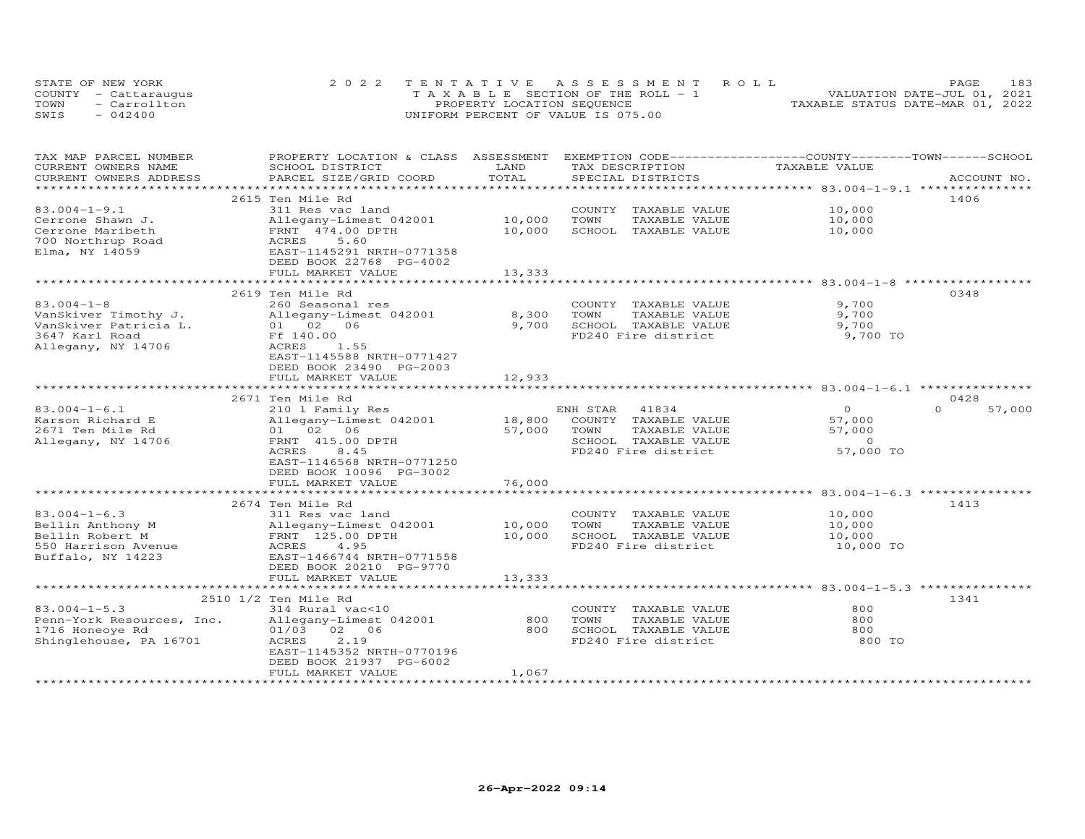| STATE OF NEW YORK |                      | 2022 TENTATIVE ASSESSMENT ROLL        | 183<br>PAGE.                     |
|-------------------|----------------------|---------------------------------------|----------------------------------|
|                   | COUNTY - Cattaraugus | T A X A B L E SECTION OF THE ROLL - 1 | VALUATION DATE-JUL 01, 2021      |
| TOWN              | - Carrollton         | PROPERTY LOCATION SEQUENCE            | TAXABLE STATUS DATE-MAR 01, 2022 |
| SWIS              | $-042400$            | UNIFORM PERCENT OF VALUE IS 075.00    |                                  |

| TAX MAP PARCEL NUMBER                         | PROPERTY LOCATION & CLASS ASSESSMENT                |                     | EXEMPTION CODE------------------COUNTY-------TOWN------SCHOOL |                                                                   |                  |
|-----------------------------------------------|-----------------------------------------------------|---------------------|---------------------------------------------------------------|-------------------------------------------------------------------|------------------|
| CURRENT OWNERS NAME<br>CURRENT OWNERS ADDRESS | SCHOOL DISTRICT<br>PARCEL SIZE/GRID COORD           | LAND<br>TOTAL       | TAX DESCRIPTION<br>SPECIAL DISTRICTS                          | TAXABLE VALUE                                                     | ACCOUNT NO.      |
|                                               |                                                     |                     |                                                               |                                                                   |                  |
|                                               | 2615 Ten Mile Rd                                    |                     |                                                               |                                                                   | 1406             |
| $83.004 - 1 - 9.1$                            | 311 Res vac land                                    |                     | COUNTY TAXABLE VALUE                                          | 10,000                                                            |                  |
| Cerrone Shawn J.                              | Allegany-Limest 042001                              | 10,000              | TOWN<br>TAXABLE VALUE                                         | 10,000                                                            |                  |
| Cerrone Maribeth                              | FRNT 474.00 DPTH                                    | 10,000              | SCHOOL TAXABLE VALUE                                          | 10,000                                                            |                  |
|                                               | 5.60<br>ACRES                                       |                     |                                                               |                                                                   |                  |
| 700 Northrup Road                             | EAST-1145291 NRTH-0771358                           |                     |                                                               |                                                                   |                  |
| Elma, NY 14059                                |                                                     |                     |                                                               |                                                                   |                  |
|                                               | DEED BOOK 22768 PG-4002                             |                     |                                                               |                                                                   |                  |
|                                               | FULL MARKET VALUE                                   | 13,333              |                                                               |                                                                   |                  |
|                                               | 2619 Ten Mile Rd                                    |                     |                                                               |                                                                   | 0348             |
| $83.004 - 1 - 8$                              | 260 Seasonal res                                    |                     | COUNTY TAXABLE VALUE                                          | 9,700                                                             |                  |
|                                               |                                                     |                     | TAXABLE VALUE                                                 | 9,700                                                             |                  |
| VanSkiver Timothy J.<br>VanSkiver Patricia L. | Allegany-Limest 042001<br>01 02 06                  | 8,300<br>9,700      | TOWN<br>SCHOOL TAXABLE VALUE                                  |                                                                   |                  |
|                                               |                                                     |                     |                                                               | 9,700                                                             |                  |
| 3647 Karl Road                                | Ff 140.00                                           |                     | FD240 Fire district                                           | 9,700 TO                                                          |                  |
| Allegany, NY 14706                            | ACRES<br>1.55                                       |                     |                                                               |                                                                   |                  |
|                                               | EAST-1145588 NRTH-0771427                           |                     |                                                               |                                                                   |                  |
|                                               | DEED BOOK 23490 PG-2003                             |                     |                                                               |                                                                   |                  |
|                                               | FULL MARKET VALUE<br>***********************        | 12,933              |                                                               |                                                                   |                  |
|                                               |                                                     |                     |                                                               |                                                                   |                  |
|                                               | 2671 Ten Mile Rd                                    |                     |                                                               |                                                                   | 0428<br>$\Omega$ |
| $83.004 - 1 - 6.1$                            | 210 1 Family Res                                    |                     | ENH STAR<br>41834                                             | $\overline{0}$                                                    | 57,000           |
| Karson Richard E                              | Allegany-Limest 042001                              | 18,800              | COUNTY TAXABLE VALUE                                          | 57,000                                                            |                  |
| 2671 Ten Mile Rd                              | 01 02 06                                            | 57,000              | TAXABLE VALUE<br>TOWN                                         | 57,000                                                            |                  |
| Allegany, NY 14706                            | FRNT 415.00 DPTH                                    |                     | SCHOOL TAXABLE VALUE                                          | $\circ$                                                           |                  |
|                                               | ACRES<br>8.45                                       |                     | FD240 Fire district                                           | 57,000 TO                                                         |                  |
|                                               | EAST-1146568 NRTH-0771250                           |                     |                                                               |                                                                   |                  |
|                                               | DEED BOOK 10096 PG-3002                             |                     |                                                               |                                                                   |                  |
|                                               | FULL MARKET VALUE<br>****************************** | 76,000              |                                                               | ******************************** 83.004-1-6.3 ****************    |                  |
|                                               |                                                     |                     |                                                               |                                                                   |                  |
|                                               | 2674 Ten Mile Rd                                    |                     |                                                               |                                                                   | 1413             |
| $83.004 - 1 - 6.3$                            | 311 Res vac land                                    |                     | COUNTY TAXABLE VALUE                                          | 10,000                                                            |                  |
| Bellin Anthony M                              | Allegany-Limest 042001                              | 10,000              | TOWN<br>TAXABLE VALUE                                         | 10,000                                                            |                  |
| Bellin Robert M                               | FRNT 125.00 DPTH                                    | 10,000              | SCHOOL TAXABLE VALUE                                          | 10,000                                                            |                  |
| 550 Harrison Avenue                           | ACRES<br>4.95                                       |                     | FD240 Fire district                                           | 10,000 TO                                                         |                  |
| Buffalo, NY 14223                             | EAST-1466744 NRTH-0771558                           |                     |                                                               |                                                                   |                  |
|                                               | DEED BOOK 20210 PG-9770                             |                     |                                                               |                                                                   |                  |
|                                               | FULL MARKET VALUE<br>***************************    | 13,333<br>********* |                                                               |                                                                   |                  |
|                                               |                                                     |                     |                                                               | *********************************** 83.004-1-5.3 **************** |                  |
|                                               | 2510 1/2 Ten Mile Rd                                |                     |                                                               |                                                                   | 1341             |
| $83.004 - 1 - 5.3$                            | 314 Rural vac<10                                    |                     | COUNTY TAXABLE VALUE                                          | 800                                                               |                  |
| Penn-York Resources, Inc.                     | Allegany-Limest 042001                              | 800                 | TOWN<br>TAXABLE VALUE                                         | 800                                                               |                  |
| 1716 Honeoye Rd                               | 01/03 02 06                                         | 800                 | SCHOOL TAXABLE VALUE                                          | 800                                                               |                  |
| Shinglehouse, PA 16701                        | 2.19<br>ACRES                                       |                     | FD240 Fire district                                           | 800 TO                                                            |                  |
|                                               | EAST-1145352 NRTH-0770196                           |                     |                                                               |                                                                   |                  |
|                                               | DEED BOOK 21937 PG-6002                             |                     |                                                               |                                                                   |                  |
|                                               | FULL MARKET VALUE                                   | 1,067               |                                                               |                                                                   |                  |
|                                               |                                                     |                     |                                                               |                                                                   |                  |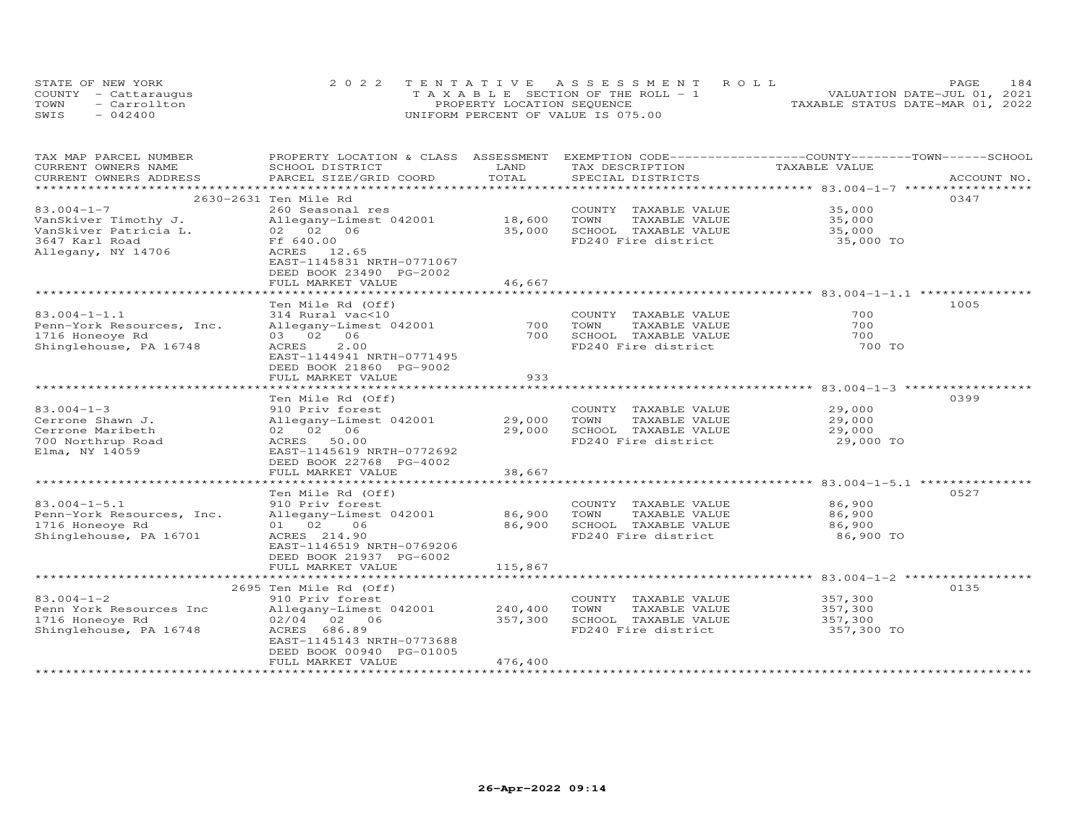| STATE OF NEW YORK    | 2022 TENTATIVE ASSESSMENT ROLL        | PAGE.                            | 184 |
|----------------------|---------------------------------------|----------------------------------|-----|
| COUNTY - Cattaraugus | T A X A B L E SECTION OF THE ROLL - 1 | VALUATION DATE-JUL 01, 2021      |     |
| - Carrollton<br>TOWN | PROPERTY LOCATION SEQUENCE            | TAXABLE STATUS DATE-MAR 01, 2022 |     |
| SWIS<br>$-042400$    | UNIFORM PERCENT OF VALUE IS 075.00    |                                  |     |

| TAX MAP PARCEL NUMBER<br>CURRENT OWNERS NAME | PROPERTY LOCATION & CLASS ASSESSMENT<br>SCHOOL DISTRICT | LAND                | EXEMPTION CODE-----------------COUNTY-------TOWN------SCHOOL<br>TAX DESCRIPTION | TAXABLE VALUE                                      |             |
|----------------------------------------------|---------------------------------------------------------|---------------------|---------------------------------------------------------------------------------|----------------------------------------------------|-------------|
| CURRENT OWNERS ADDRESS                       | PARCEL SIZE/GRID COORD                                  | TOTAL               | SPECIAL DISTRICTS                                                               |                                                    | ACCOUNT NO. |
|                                              |                                                         | ******************* |                                                                                 | ************************ 83.004-1-7 ***********    |             |
|                                              | 2630-2631 Ten Mile Rd                                   |                     |                                                                                 |                                                    | 0347        |
| $83.004 - 1 - 7$                             | 260 Seasonal res                                        |                     | COUNTY TAXABLE VALUE                                                            | 35,000                                             |             |
| VanSkiver Timothy J.                         | Allegany-Limest 042001                                  | 18,600              | TOWN<br>TAXABLE VALUE                                                           | 35,000                                             |             |
| VanSkiver Patricia L.                        | 02 02 06                                                | 35,000              | SCHOOL TAXABLE VALUE                                                            | 35,000                                             |             |
| 3647 Karl Road                               | Ff 640.00                                               |                     | FD240 Fire district                                                             | 35,000 TO                                          |             |
| Allegany, NY 14706                           | ACRES 12.65                                             |                     |                                                                                 |                                                    |             |
|                                              | EAST-1145831 NRTH-0771067                               |                     |                                                                                 |                                                    |             |
|                                              | DEED BOOK 23490 PG-2002                                 |                     |                                                                                 |                                                    |             |
|                                              | FULL MARKET VALUE                                       | 46,667              |                                                                                 |                                                    |             |
|                                              |                                                         |                     |                                                                                 |                                                    |             |
|                                              | Ten Mile Rd (Off)                                       |                     |                                                                                 |                                                    | 1005        |
| $83.004 - 1 - 1.1$                           | 314 Rural vac<10                                        |                     | COUNTY TAXABLE VALUE                                                            | 700                                                |             |
| Penn-York Resources, Inc.                    | Allegany-Limest 042001                                  | 700                 | TOWN<br>TAXABLE VALUE                                                           | 700                                                |             |
| 1716 Honeoye Rd                              | 03 02 06                                                | 700                 | SCHOOL TAXABLE VALUE                                                            | 700                                                |             |
| Shinglehouse, PA 16748                       | 2.00<br>ACRES                                           |                     | FD240 Fire district                                                             | 700 TO                                             |             |
|                                              | EAST-1144941 NRTH-0771495                               |                     |                                                                                 |                                                    |             |
|                                              | DEED BOOK 21860 PG-9002                                 |                     |                                                                                 |                                                    |             |
|                                              | FULL MARKET VALUE                                       | 933                 |                                                                                 |                                                    |             |
|                                              |                                                         |                     |                                                                                 |                                                    |             |
|                                              | Ten Mile Rd (Off)                                       |                     |                                                                                 |                                                    | 0399        |
| $83.004 - 1 - 3$                             | 910 Priv forest                                         |                     | COUNTY TAXABLE VALUE                                                            | 29,000                                             |             |
| Cerrone Shawn J.                             | Allegany-Limest 042001                                  | 29,000              | TOWN<br>TAXABLE VALUE                                                           | 29,000                                             |             |
| Cerrone Maribeth                             | 02 02 06                                                | 29,000              | SCHOOL TAXABLE VALUE                                                            | 29,000                                             |             |
| 700 Northrup Road                            | 50.00<br>ACRES                                          |                     | FD240 Fire district                                                             | 29,000 TO                                          |             |
| Elma, NY 14059                               | EAST-1145619 NRTH-0772692                               |                     |                                                                                 |                                                    |             |
|                                              | DEED BOOK 22768 PG-4002                                 |                     |                                                                                 |                                                    |             |
|                                              | FULL MARKET VALUE                                       | 38,667              |                                                                                 |                                                    |             |
|                                              |                                                         |                     |                                                                                 | ********************* 83.004-1-5.1 *************** |             |
|                                              | Ten Mile Rd (Off)                                       |                     |                                                                                 |                                                    | 0527        |
| $83.004 - 1 - 5.1$                           | 910 Priv forest                                         |                     | COUNTY TAXABLE VALUE                                                            | 86,900                                             |             |
| Penn-York Resources, Inc.                    | Allegany-Limest 042001                                  | 86,900              | TOWN<br>TAXABLE VALUE                                                           | 86,900                                             |             |
| 1716 Honeoye Rd                              | 06<br>01 02                                             | 86,900              | SCHOOL TAXABLE VALUE                                                            | 86,900                                             |             |
| Shinglehouse, PA 16701                       | ACRES 214.90                                            |                     | FD240 Fire district                                                             | 86,900 TO                                          |             |
|                                              | EAST-1146519 NRTH-0769206                               |                     |                                                                                 |                                                    |             |
|                                              | DEED BOOK 21937 PG-6002                                 |                     |                                                                                 |                                                    |             |
|                                              | FULL MARKET VALUE                                       | 115,867             |                                                                                 |                                                    |             |
|                                              |                                                         |                     |                                                                                 |                                                    |             |
|                                              | 2695 Ten Mile Rd (Off)                                  |                     |                                                                                 |                                                    | 0135        |
| $83.004 - 1 - 2$                             | 910 Priv forest                                         |                     | COUNTY TAXABLE VALUE                                                            | 357,300                                            |             |
| Penn York Resources Inc                      | Allegany-Limest 042001                                  | 240,400             | TOWN<br>TAXABLE VALUE                                                           | 357,300                                            |             |
| 1716 Honeove Rd                              | 02/04 02 06                                             | 357,300             | SCHOOL TAXABLE VALUE                                                            | 357,300                                            |             |
| Shinglehouse, PA 16748                       | ACRES 686.89                                            |                     | FD240 Fire district                                                             | 357,300 TO                                         |             |
|                                              | EAST-1145143 NRTH-0773688                               |                     |                                                                                 |                                                    |             |
|                                              | DEED BOOK 00940 PG-01005                                |                     |                                                                                 |                                                    |             |
|                                              | FULL MARKET VALUE                                       | 476,400             |                                                                                 |                                                    |             |
|                                              |                                                         |                     |                                                                                 |                                                    |             |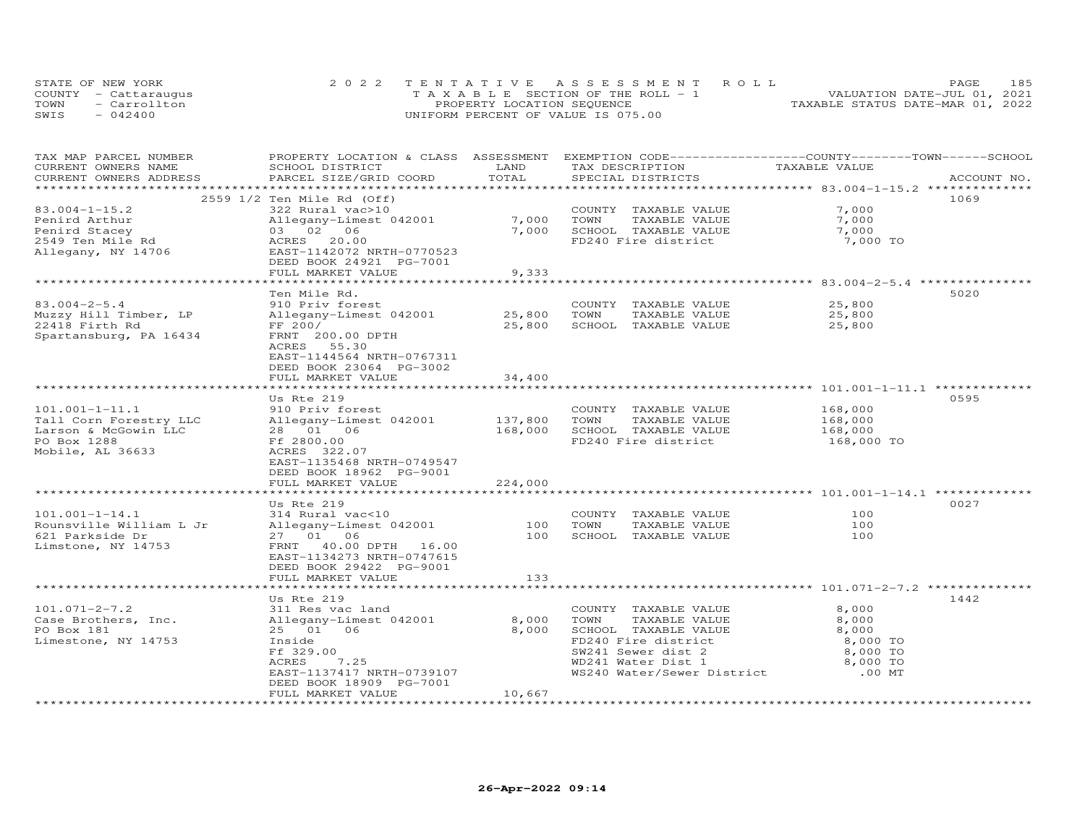| STATE OF NEW YORK    | 2022 TENTATIVE ASSESSMENT ROLL        | PAGE                             | 185 |
|----------------------|---------------------------------------|----------------------------------|-----|
| COUNTY - Cattaraugus | T A X A B L E SECTION OF THE ROLL - 1 | VALUATION DATE-JUL 01, 2021      |     |
| TOWN<br>- Carrollton | PROPERTY LOCATION SEQUENCE            | TAXABLE STATUS DATE-MAR 01, 2022 |     |
| SWIS<br>$-042400$    | UNIFORM PERCENT OF VALUE IS 075.00    |                                  |     |

| TAX MAP PARCEL NUMBER   | PROPERTY LOCATION & CLASS ASSESSMENT EXEMPTION CODE----------------COUNTY-------TOWN-----SCHOOL |         |                            |                    |             |
|-------------------------|-------------------------------------------------------------------------------------------------|---------|----------------------------|--------------------|-------------|
| CURRENT OWNERS NAME     | SCHOOL DISTRICT                                                                                 | LAND    | TAX DESCRIPTION            | TAXABLE VALUE      |             |
| CURRENT OWNERS ADDRESS  | PARCEL SIZE/GRID COORD                                                                          | TOTAL   | SPECIAL DISTRICTS          |                    | ACCOUNT NO. |
|                         |                                                                                                 |         |                            |                    |             |
|                         | 2559 1/2 Ten Mile Rd (Off)                                                                      |         |                            |                    | 1069        |
| $83.004 - 1 - 15.2$     | 322 Rural vac>10                                                                                |         | COUNTY TAXABLE VALUE       | 7,000              |             |
| Penird Arthur           | Allegany-Limest 042001                                                                          | 7,000   | TOWN<br>TAXABLE VALUE      | 7,000              |             |
| Penird Stacey           | 03 02 06                                                                                        | 7,000   | SCHOOL TAXABLE VALUE       | 7,000              |             |
| 2549 Ten Mile Rd        | ACRES 20.00                                                                                     |         | FD240 Fire district        | 7,000 TO           |             |
| Allegany, NY 14706      | EAST-1142072 NRTH-0770523                                                                       |         |                            |                    |             |
|                         | DEED BOOK 24921 PG-7001                                                                         |         |                            |                    |             |
|                         | FULL MARKET VALUE                                                                               | 9,333   |                            |                    |             |
|                         |                                                                                                 |         |                            |                    |             |
|                         | Ten Mile Rd.                                                                                    |         |                            |                    | 5020        |
| $83.004 - 2 - 5.4$      | 910 Priv forest                                                                                 |         | COUNTY TAXABLE VALUE       | 25,800             |             |
| Muzzy Hill Timber, LP   | Allegany-Limest 042001 25,800                                                                   |         | TOWN<br>TAXABLE VALUE      | 25,800             |             |
| 22418 Firth Rd          | FF 200/                                                                                         | 25,800  | SCHOOL TAXABLE VALUE       | 25,800             |             |
| Spartansburg, PA 16434  | FRNT 200.00 DPTH                                                                                |         |                            |                    |             |
|                         | ACRES 55.30                                                                                     |         |                            |                    |             |
|                         | EAST-1144564 NRTH-0767311                                                                       |         |                            |                    |             |
|                         | DEED BOOK 23064 PG-3002                                                                         |         |                            |                    |             |
|                         | FULL MARKET VALUE                                                                               | 34,400  |                            |                    |             |
|                         |                                                                                                 |         |                            |                    |             |
|                         | Us Rte 219                                                                                      |         |                            |                    | 0595        |
| $101.001 - 1 - 11.1$    | 910 Priv forest                                                                                 |         | COUNTY TAXABLE VALUE       | 168,000            |             |
| Tall Corn Forestry LLC  | Allegany-Limest 042001                                                                          | 137,800 | TOWN<br>TAXABLE VALUE      |                    |             |
| Larson & McGowin LLC    | 28 01 06                                                                                        | 168,000 | SCHOOL TAXABLE VALUE       | 168,000<br>168,000 |             |
| PO Box 1288             | Ff 2800.00                                                                                      |         | FD240 Fire district        |                    |             |
|                         |                                                                                                 |         |                            | 168,000 TO         |             |
| Mobile, AL 36633        | ACRES 322.07                                                                                    |         |                            |                    |             |
|                         | EAST-1135468 NRTH-0749547                                                                       |         |                            |                    |             |
|                         | DEED BOOK 18962 PG-9001                                                                         |         |                            |                    |             |
|                         | FULL MARKET VALUE                                                                               | 224,000 |                            |                    |             |
|                         |                                                                                                 |         |                            |                    |             |
|                         | Us Rte 219                                                                                      |         |                            | 100                | 0027        |
| $101.001 - 1 - 14.1$    | 314 Rural vac<10                                                                                |         | COUNTY TAXABLE VALUE       |                    |             |
| Rounsville William L Jr | Allegany-Limest 042001                                                                          | 100     | TAXABLE VALUE<br>TOWN      | 100                |             |
| 621 Parkside Dr         | 27 01 06                                                                                        | 100     | SCHOOL TAXABLE VALUE       | 100                |             |
| Limstone, NY 14753      | FRNT 40.00 DPTH 16.00                                                                           |         |                            |                    |             |
|                         | EAST-1134273 NRTH-0747615                                                                       |         |                            |                    |             |
|                         | DEED BOOK 29422 PG-9001                                                                         |         |                            |                    |             |
|                         | FULL MARKET VALUE                                                                               | 133     |                            |                    |             |
|                         |                                                                                                 |         |                            |                    |             |
|                         | Us Rte 219                                                                                      |         |                            |                    | 1442        |
| $101.071 - 2 - 7.2$     | 311 Res vac land                                                                                |         | COUNTY TAXABLE VALUE       | 8,000              |             |
| Case Brothers, Inc.     | Allegany-Limest 042001                                                                          | 8,000   | TOWN<br>TAXABLE VALUE      | 8,000              |             |
| PO Box 181              | 25 01 06                                                                                        | 8,000   | SCHOOL TAXABLE VALUE       | 8,000              |             |
| Limestone, NY 14753     | Inside                                                                                          |         | FD240 Fire district        | 8,000 TO           |             |
|                         | Ff 329.00                                                                                       |         | SW241 Sewer dist 2         | 8,000 TO           |             |
|                         | 7.25<br>ACRES                                                                                   |         | WD241 Water Dist 1         | 8,000 TO           |             |
|                         | EAST-1137417 NRTH-0739107                                                                       |         | WS240 Water/Sewer District | .00 MT             |             |
|                         | DEED BOOK 18909 PG-7001                                                                         |         |                            |                    |             |
|                         | FULL MARKET VALUE                                                                               | 10,667  |                            |                    |             |
|                         |                                                                                                 |         |                            |                    |             |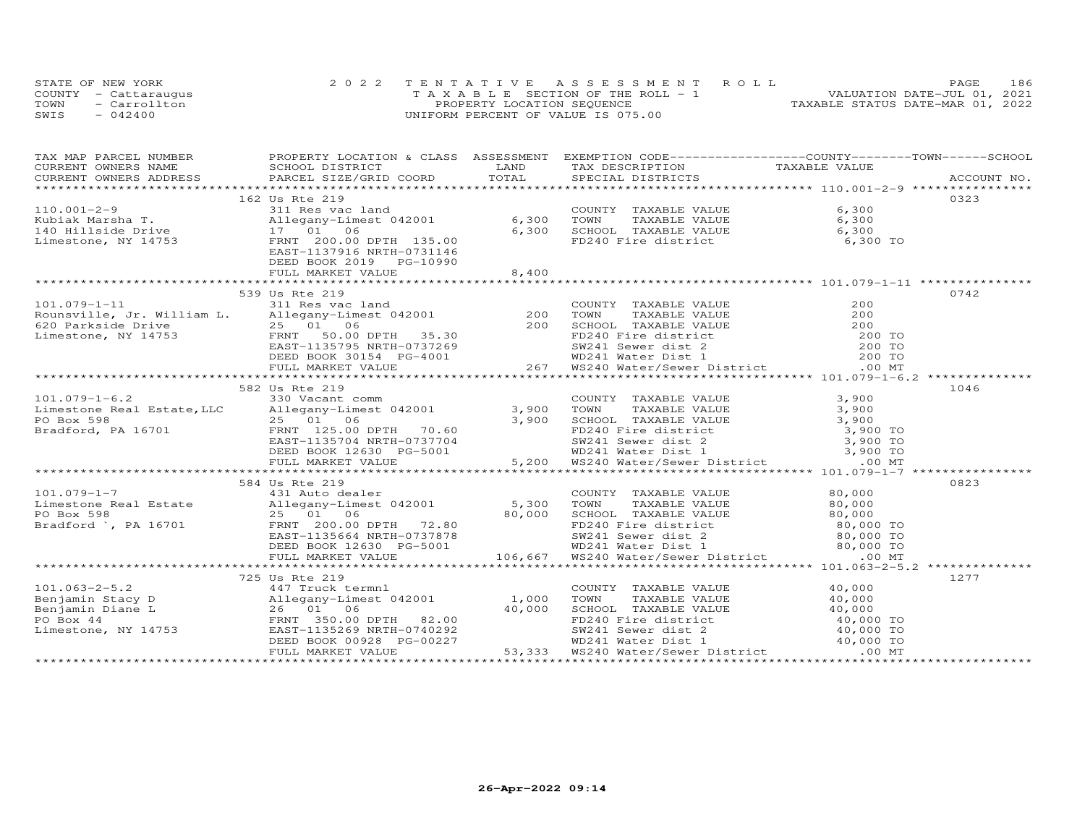|      | STATE OF NEW YORK    | 2022 TENTATIVE ASSESSMENT ROLL        | 186<br>PAGE                      |
|------|----------------------|---------------------------------------|----------------------------------|
|      | COUNTY - Cattarauqus | T A X A B L E SECTION OF THE ROLL - 1 | VALUATION DATE-JUL 01, 2021      |
| TOWN | - Carrollton         | PROPERTY LOCATION SEQUENCE            | TAXABLE STATUS DATE-MAR 01, 2022 |
| SWIS | $-042400$            | UNIFORM PERCENT OF VALUE IS 075.00    |                                  |

| CURRENT OWNERS NAME SCHOOL DISTRICT<br>TAX DESCRIPTION TAXABLE VALUE<br><b>LAND</b><br>162 Us Rte 219<br>0323<br>311 Res vac land<br>COUNTY TAXABLE VALUE<br>$110.001 - 2 - 9$<br>6,300<br>DEED BOOK 2019    PG-10990<br>FULL MARKET VALUE<br>8,400<br>0742<br>539 Us Rte 219<br>339 US Ree 219<br>Nounsville, Jr. William L. 311 Res vac land<br>EQ Parkside Drive 25 01 0620 Parkside Drive 25 01 0620 Parkside Drive 25 01 0620 Parkside Drive 25 01 0620 Parkside Drive 25 01 0620 Parkside Drive 25 01 0620 EA |
|---------------------------------------------------------------------------------------------------------------------------------------------------------------------------------------------------------------------------------------------------------------------------------------------------------------------------------------------------------------------------------------------------------------------------------------------------------------------------------------------------------------------|
|                                                                                                                                                                                                                                                                                                                                                                                                                                                                                                                     |
|                                                                                                                                                                                                                                                                                                                                                                                                                                                                                                                     |
|                                                                                                                                                                                                                                                                                                                                                                                                                                                                                                                     |
|                                                                                                                                                                                                                                                                                                                                                                                                                                                                                                                     |
|                                                                                                                                                                                                                                                                                                                                                                                                                                                                                                                     |
|                                                                                                                                                                                                                                                                                                                                                                                                                                                                                                                     |
|                                                                                                                                                                                                                                                                                                                                                                                                                                                                                                                     |
|                                                                                                                                                                                                                                                                                                                                                                                                                                                                                                                     |
|                                                                                                                                                                                                                                                                                                                                                                                                                                                                                                                     |
|                                                                                                                                                                                                                                                                                                                                                                                                                                                                                                                     |
|                                                                                                                                                                                                                                                                                                                                                                                                                                                                                                                     |
|                                                                                                                                                                                                                                                                                                                                                                                                                                                                                                                     |
|                                                                                                                                                                                                                                                                                                                                                                                                                                                                                                                     |
|                                                                                                                                                                                                                                                                                                                                                                                                                                                                                                                     |
|                                                                                                                                                                                                                                                                                                                                                                                                                                                                                                                     |
|                                                                                                                                                                                                                                                                                                                                                                                                                                                                                                                     |
|                                                                                                                                                                                                                                                                                                                                                                                                                                                                                                                     |
|                                                                                                                                                                                                                                                                                                                                                                                                                                                                                                                     |
|                                                                                                                                                                                                                                                                                                                                                                                                                                                                                                                     |
|                                                                                                                                                                                                                                                                                                                                                                                                                                                                                                                     |
|                                                                                                                                                                                                                                                                                                                                                                                                                                                                                                                     |
| 1046<br>582 Us Rte 219                                                                                                                                                                                                                                                                                                                                                                                                                                                                                              |
|                                                                                                                                                                                                                                                                                                                                                                                                                                                                                                                     |
|                                                                                                                                                                                                                                                                                                                                                                                                                                                                                                                     |
| 101.079-1-6.2<br>Limestone Real Estate, LLC 330 Vacant comm<br>PO Box 598<br>Bradford, PA 16701<br>ERNT 125.00 DPTH 70.60<br>ERNT 1135704 NRTH-0737704<br>ERST-1135704 NRTH-0737704<br>DEED BOOK 12630 PG-5001<br>TAXABLE VALUE 3,900<br>SCUNTY                                                                                                                                                                                                                                                                     |
|                                                                                                                                                                                                                                                                                                                                                                                                                                                                                                                     |
|                                                                                                                                                                                                                                                                                                                                                                                                                                                                                                                     |
|                                                                                                                                                                                                                                                                                                                                                                                                                                                                                                                     |
|                                                                                                                                                                                                                                                                                                                                                                                                                                                                                                                     |
|                                                                                                                                                                                                                                                                                                                                                                                                                                                                                                                     |
| 0823<br>584 Us Rte 219                                                                                                                                                                                                                                                                                                                                                                                                                                                                                              |
|                                                                                                                                                                                                                                                                                                                                                                                                                                                                                                                     |
|                                                                                                                                                                                                                                                                                                                                                                                                                                                                                                                     |
|                                                                                                                                                                                                                                                                                                                                                                                                                                                                                                                     |
|                                                                                                                                                                                                                                                                                                                                                                                                                                                                                                                     |
|                                                                                                                                                                                                                                                                                                                                                                                                                                                                                                                     |
|                                                                                                                                                                                                                                                                                                                                                                                                                                                                                                                     |
|                                                                                                                                                                                                                                                                                                                                                                                                                                                                                                                     |
|                                                                                                                                                                                                                                                                                                                                                                                                                                                                                                                     |
| 1277<br>725 Us Rte 219                                                                                                                                                                                                                                                                                                                                                                                                                                                                                              |
|                                                                                                                                                                                                                                                                                                                                                                                                                                                                                                                     |
|                                                                                                                                                                                                                                                                                                                                                                                                                                                                                                                     |
|                                                                                                                                                                                                                                                                                                                                                                                                                                                                                                                     |
|                                                                                                                                                                                                                                                                                                                                                                                                                                                                                                                     |
|                                                                                                                                                                                                                                                                                                                                                                                                                                                                                                                     |
|                                                                                                                                                                                                                                                                                                                                                                                                                                                                                                                     |
| 101.063-2-5.2<br>Benjamin Stacy D<br>Benjamin Diane L<br>26 01 06<br>Empigany-Limest 042001<br>26 01 06<br>EMINITY 12000 TOWN TAXABLE VALUE<br>26 01 06<br>26 01 06<br>26 01 06<br>26 01 06<br>26 01 06<br>26 01 06<br>26 01 06<br>26 01 06<br>26 01 06<br>27                                                                                                                                                                                                                                                       |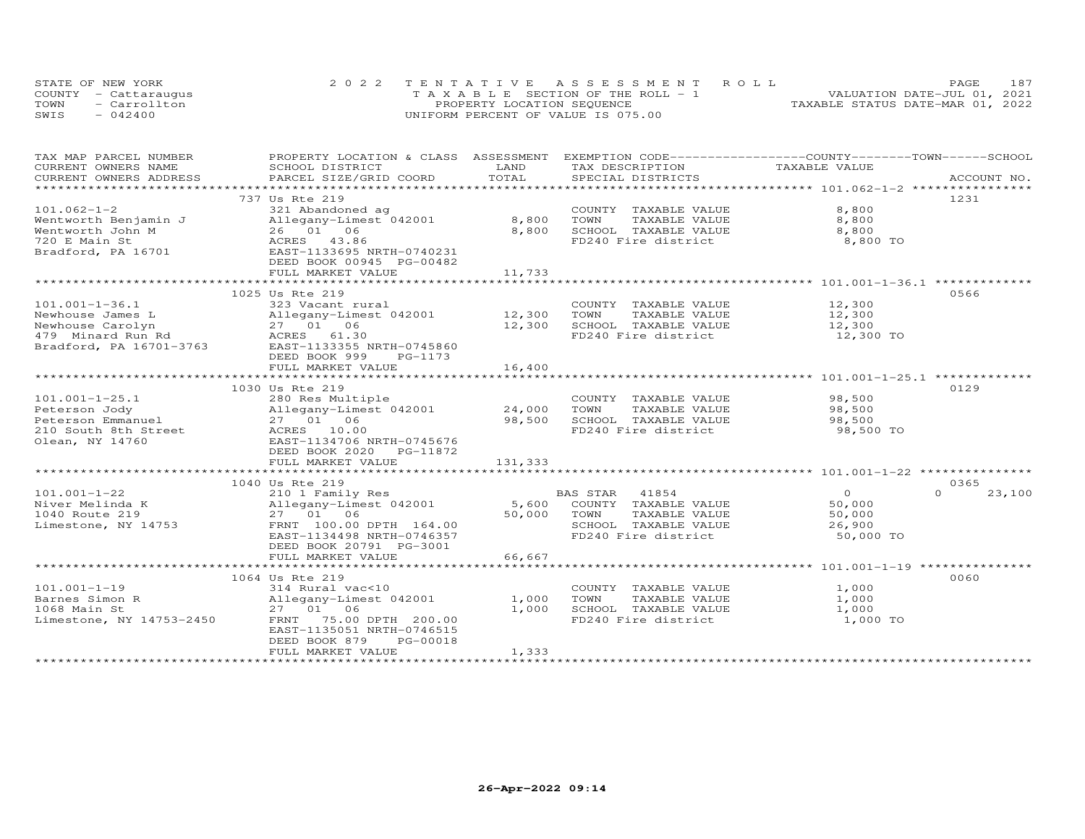| STATE OF NEW YORK |                      | 2022 TENTATIVE ASSESSMENT ROLL        | 187<br>PAGE.                     |
|-------------------|----------------------|---------------------------------------|----------------------------------|
|                   | COUNTY - Cattaraugus | T A X A B L E SECTION OF THE ROLL - 1 | VALUATION DATE-JUL 01, 2021      |
| TOWN              | - Carrollton         | PROPERTY LOCATION SEQUENCE            | TAXABLE STATUS DATE-MAR 01, 2022 |
| SWIS              | $-042400$            | UNIFORM PERCENT OF VALUE IS 075.00    |                                  |

| TAX MAP PARCEL NUMBER    | PROPERTY LOCATION & CLASS ASSESSMENT                                                                                                                    |         | EXEMPTION CODE------------------COUNTY-------TOWN------SCHOOL |               |                    |
|--------------------------|---------------------------------------------------------------------------------------------------------------------------------------------------------|---------|---------------------------------------------------------------|---------------|--------------------|
| CURRENT OWNERS NAME      | SCHOOL DISTRICT                                                                                                                                         | LAND    | TAX DESCRIPTION                                               | TAXABLE VALUE |                    |
| CURRENT OWNERS ADDRESS   | PARCEL SIZE/GRID COORD                                                                                                                                  | TOTAL   | SPECIAL DISTRICTS                                             |               | ACCOUNT NO.        |
| **********************   |                                                                                                                                                         |         |                                                               |               |                    |
|                          | 737 Us Rte 219                                                                                                                                          |         |                                                               |               | 1231               |
| $101.062 - 1 - 2$        | 321 Abandoned ag                                                                                                                                        |         | COUNTY TAXABLE VALUE                                          | 8,800         |                    |
| Wentworth Benjamin J     | Allegany-Limest 042001                                                                                                                                  | 8,800   | TOWN<br>TAXABLE VALUE                                         | 8,800         |                    |
|                          |                                                                                                                                                         | 8,800   | SCHOOL TAXABLE VALUE                                          | 8,800         |                    |
|                          |                                                                                                                                                         |         | FD240 Fire district                                           | 8,800 TO      |                    |
|                          | Wentworth Benjamin J<br>Wentworth John M 26 01 06<br>720 E Main St<br>26 Bradford, PA 16701 ACRES 43.86<br>Bradford, PA 16701 BAST-1133695 NRTH-0740231 |         |                                                               |               |                    |
|                          | DEED BOOK 00945 PG-00482                                                                                                                                |         |                                                               |               |                    |
|                          | FULL MARKET VALUE                                                                                                                                       | 11,733  |                                                               |               |                    |
|                          |                                                                                                                                                         |         |                                                               |               |                    |
|                          | 1025 Us Rte 219                                                                                                                                         |         |                                                               |               | 0566               |
| $101.001 - 1 - 36.1$     | 323 Vacant rural                                                                                                                                        |         | COUNTY TAXABLE VALUE                                          | 12,300        |                    |
|                          |                                                                                                                                                         | 12,300  | TOWN<br>TAXABLE VALUE                                         | 12,300        |                    |
|                          |                                                                                                                                                         | 12,300  | SCHOOL TAXABLE VALUE                                          | 12,300        |                    |
|                          | Newhouse James L<br>Newhouse Carolyn<br>Newhouse Carolyn<br>27 01 06<br>479 Minard Run Rd<br>ACRES 61.30                                                |         | FD240 Fire district                                           | 12,300 TO     |                    |
|                          | Bradford, PA 16701-3763 EAST-1133355 NRTH-0745860                                                                                                       |         |                                                               |               |                    |
|                          | DEED BOOK 999<br>PG-1173                                                                                                                                |         |                                                               |               |                    |
|                          | FULL MARKET VALUE                                                                                                                                       | 16,400  |                                                               |               |                    |
|                          |                                                                                                                                                         |         |                                                               |               |                    |
|                          | 1030 Us Rte 219                                                                                                                                         |         |                                                               |               | 0129               |
|                          |                                                                                                                                                         |         |                                                               |               |                    |
| $101.001 - 1 - 25.1$     | 280 Res Multiple<br>Allegany-Limest 042001                                                                                                              |         | COUNTY TAXABLE VALUE                                          | 98,500        |                    |
| Peterson Jody            |                                                                                                                                                         | 24,000  | TOWN<br>TAXABLE VALUE                                         | 98,500        |                    |
| Peterson Emmanuel        | 27 01 06                                                                                                                                                | 98,500  | SCHOOL TAXABLE VALUE                                          | 98,500        |                    |
| 210 South 8th Street     | ACRES 10.00                                                                                                                                             |         | FD240 Fire district                                           | 98,500 TO     |                    |
| Olean, NY 14760          | EAST-1134706 NRTH-0745676                                                                                                                               |         |                                                               |               |                    |
|                          | DEED BOOK 2020 PG-11872                                                                                                                                 |         |                                                               |               |                    |
|                          | FULL MARKET VALUE                                                                                                                                       | 131,333 |                                                               |               |                    |
|                          |                                                                                                                                                         |         |                                                               |               |                    |
|                          | 1040 Us Rte 219                                                                                                                                         |         |                                                               |               | 0365               |
| $101.001 - 1 - 22$       | 210 1 Family Res                                                                                                                                        |         | BAS STAR 41854                                                | $\Omega$      | $\Omega$<br>23,100 |
| Niver Melinda K          | Allegany-Limest $042001$                                                                                                                                | 5,600   | COUNTY TAXABLE VALUE                                          | 50,000        |                    |
| 1040 Route 219           | 27 01 06                                                                                                                                                | 50,000  | TOWN<br>TAXABLE VALUE                                         | 50,000        |                    |
| Limestone, NY 14753      | FRNT 100.00 DPTH 164.00                                                                                                                                 |         | SCHOOL TAXABLE VALUE                                          | 26,900        |                    |
|                          | EAST-1134498 NRTH-0746357                                                                                                                               |         | FD240 Fire district                                           | 50,000 TO     |                    |
|                          | DEED BOOK 20791 PG-3001                                                                                                                                 |         |                                                               |               |                    |
|                          | FULL MARKET VALUE                                                                                                                                       | 66,667  |                                                               |               |                    |
|                          |                                                                                                                                                         |         |                                                               |               |                    |
|                          | 1064 Us Rte 219                                                                                                                                         |         |                                                               |               | 0060               |
| $101.001 - 1 - 19$       | 314 Rural vac<10                                                                                                                                        |         | COUNTY TAXABLE VALUE                                          | 1,000         |                    |
| Barnes Simon R           | Allegany-Limest 042001                                                                                                                                  | 1,000   | TOWN<br>TAXABLE VALUE                                         | 1,000         |                    |
| 1068 Main St             | 27 01 06                                                                                                                                                | 1,000   | SCHOOL TAXABLE VALUE                                          | 1,000         |                    |
| Limestone, NY 14753-2450 | FRNT 75.00 DPTH 200.00                                                                                                                                  |         | FD240 Fire district                                           | 1,000 TO      |                    |
|                          | EAST-1135051 NRTH-0746515                                                                                                                               |         |                                                               |               |                    |
|                          | DEED BOOK 879<br>PG-00018                                                                                                                               |         |                                                               |               |                    |
|                          | FULL MARKET VALUE                                                                                                                                       | 1,333   |                                                               |               |                    |
|                          |                                                                                                                                                         |         |                                                               |               |                    |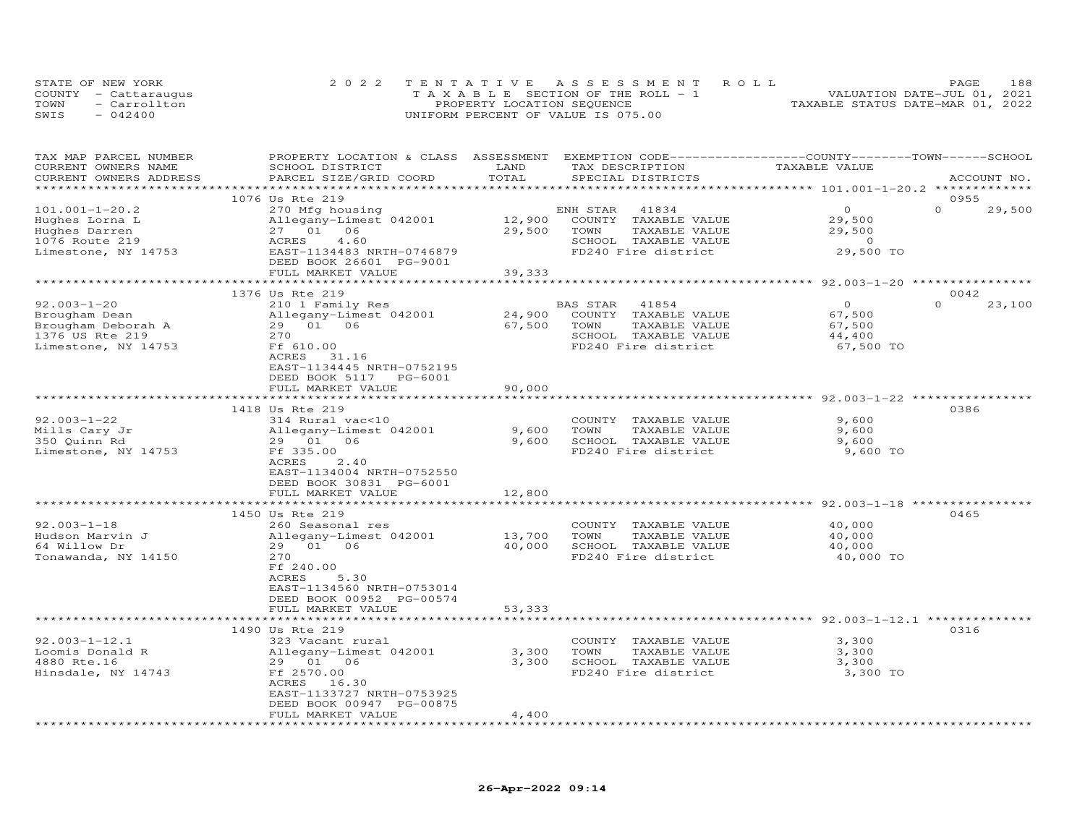|      | STATE OF NEW YORK    | 2022 TENTATIVE ASSESSMENT ROLL        | 188<br>PAGE                      |
|------|----------------------|---------------------------------------|----------------------------------|
|      | COUNTY - Cattaraugus | T A X A B L E SECTION OF THE ROLL - 1 | VALUATION DATE-JUL 01, 2021      |
| TOWN | - Carrollton         | PROPERTY LOCATION SEQUENCE            | TAXABLE STATUS DATE-MAR 01, 2022 |
| SWIS | $-042400$            | UNIFORM PERCENT OF VALUE IS 075.00    |                                  |

| TAX MAP PARCEL NUMBER  | PROPERTY LOCATION & CLASS ASSESSMENT EXEMPTION CODE----------------COUNTY-------TOWN------SCHOOL |                    |                                               |                                                               |                    |
|------------------------|--------------------------------------------------------------------------------------------------|--------------------|-----------------------------------------------|---------------------------------------------------------------|--------------------|
| CURRENT OWNERS NAME    | SCHOOL DISTRICT                                                                                  | LAND               | TAX DESCRIPTION                               | TAXABLE VALUE                                                 |                    |
| CURRENT OWNERS ADDRESS | PARCEL SIZE/GRID COORD                                                                           | TOTAL              | SPECIAL DISTRICTS                             |                                                               | ACCOUNT NO.        |
|                        |                                                                                                  |                    |                                               | ******************** 101.001-1-20.2 *************             |                    |
|                        | 1076 Us Rte 219                                                                                  |                    |                                               |                                                               | 0955               |
| $101.001 - 1 - 20.2$   | 270 Mfg housing                                                                                  |                    | ENH STAR<br>41834                             | $\Omega$                                                      | $\Omega$<br>29,500 |
| Hughes Lorna L         | Allegany-Limest 042001                                                                           | 12,900             | COUNTY TAXABLE VALUE                          | 29,500                                                        |                    |
| Hughes Darren          | 27 01 06                                                                                         | 29,500             | TOWN<br>TAXABLE VALUE                         | 29,500                                                        |                    |
| 1076 Route 219         | 4.60<br>ACRES                                                                                    |                    | SCHOOL TAXABLE VALUE                          | $\overline{0}$                                                |                    |
| Limestone, NY 14753    | EAST-1134483 NRTH-0746879                                                                        |                    | FD240 Fire district                           | 29,500 TO                                                     |                    |
|                        | DEED BOOK 26601 PG-9001                                                                          |                    |                                               |                                                               |                    |
|                        | FULL MARKET VALUE<br>***********************                                                     | 39,333             |                                               |                                                               |                    |
|                        |                                                                                                  |                    |                                               |                                                               |                    |
|                        | 1376 Us Rte 219                                                                                  |                    |                                               | $\Omega$                                                      | 0042<br>$\Omega$   |
| $92.003 - 1 - 20$      | 210 1 Family Res                                                                                 |                    | 41854<br>BAS STAR                             |                                                               | 23,100             |
| Brougham Dean          | Allegany-Limest 042001                                                                           | 24,900             | COUNTY TAXABLE VALUE                          | 67,500                                                        |                    |
| Brougham Deborah A     | 29 01 06                                                                                         | 67,500             | TOWN<br>TAXABLE VALUE                         | 67,500                                                        |                    |
| 1376 US Rte 219        | 270                                                                                              |                    | SCHOOL TAXABLE VALUE                          | 44,400                                                        |                    |
| Limestone, NY 14753    | Ff 610.00                                                                                        |                    | FD240 Fire district                           | 67,500 TO                                                     |                    |
|                        | ACRES<br>31.16                                                                                   |                    |                                               |                                                               |                    |
|                        | EAST-1134445 NRTH-0752195                                                                        |                    |                                               |                                                               |                    |
|                        | DEED BOOK 5117 PG-6001                                                                           |                    |                                               |                                                               |                    |
|                        | FULL MARKET VALUE                                                                                | 90,000             |                                               |                                                               |                    |
|                        | 1418 Us Rte 219                                                                                  |                    |                                               |                                                               | 0386               |
| $92.003 - 1 - 22$      |                                                                                                  |                    |                                               |                                                               |                    |
| Mills Cary Jr          | 314 Rural vac<10<br>Allegany-Limest 042001                                                       | 9,600              | COUNTY TAXABLE VALUE<br>TOWN<br>TAXABLE VALUE | 9,600<br>9,600                                                |                    |
| 350 Quinn Rd           | 29 01 06                                                                                         | 9,600              | SCHOOL TAXABLE VALUE                          | 9,600                                                         |                    |
|                        | Ff 335.00                                                                                        |                    | FD240 Fire district                           | 9,600 TO                                                      |                    |
| Limestone, NY 14753    | ACRES<br>2.40                                                                                    |                    |                                               |                                                               |                    |
|                        | EAST-1134004 NRTH-0752550                                                                        |                    |                                               |                                                               |                    |
|                        | DEED BOOK 30831 PG-6001                                                                          |                    |                                               |                                                               |                    |
|                        | FULL MARKET VALUE                                                                                | 12,800             |                                               |                                                               |                    |
|                        | *******************************                                                                  |                    |                                               |                                                               |                    |
|                        | 1450 Us Rte 219                                                                                  |                    |                                               |                                                               | 0465               |
| $92.003 - 1 - 18$      | 260 Seasonal res                                                                                 |                    | COUNTY TAXABLE VALUE                          | 40,000                                                        |                    |
| Hudson Marvin J        | Allegany-Limest 042001                                                                           | 13,700             | TOWN<br>TAXABLE VALUE                         | 40,000                                                        |                    |
| 64 Willow Dr           | 29 01 06                                                                                         | 40,000             | SCHOOL TAXABLE VALUE                          | 40,000                                                        |                    |
| Tonawanda, NY 14150    | 270                                                                                              |                    | FD240 Fire district                           | 40,000 TO                                                     |                    |
|                        | Ff 240.00                                                                                        |                    |                                               |                                                               |                    |
|                        | 5.30<br>ACRES                                                                                    |                    |                                               |                                                               |                    |
|                        | EAST-1134560 NRTH-0753014                                                                        |                    |                                               |                                                               |                    |
|                        | DEED BOOK 00952 PG-00574                                                                         |                    |                                               |                                                               |                    |
|                        | FULL MARKET VALUE                                                                                | 53,333             |                                               |                                                               |                    |
|                        | ************************                                                                         | ****************** |                                               | ********************************* 92.003-1-12.1 ************* |                    |
|                        | 1490 Us Rte 219                                                                                  |                    |                                               |                                                               | 0316               |
| $92.003 - 1 - 12.1$    | 323 Vacant rural                                                                                 |                    | COUNTY TAXABLE VALUE                          | 3,300                                                         |                    |
| Loomis Donald R        | Allegany-Limest 042001                                                                           | 3,300              | TOWN<br>TAXABLE VALUE                         | 3,300                                                         |                    |
| 4880 Rte.16            | 29 01 06                                                                                         | 3,300              | SCHOOL TAXABLE VALUE                          | 3,300                                                         |                    |
| Hinsdale, NY 14743     | Ff 2570.00                                                                                       |                    | FD240 Fire district                           | 3,300 TO                                                      |                    |
|                        | ACRES 16.30                                                                                      |                    |                                               |                                                               |                    |
|                        | EAST-1133727 NRTH-0753925                                                                        |                    |                                               |                                                               |                    |
|                        | DEED BOOK 00947 PG-00875                                                                         |                    |                                               |                                                               |                    |
|                        | FULL MARKET VALUE                                                                                | 4,400              |                                               |                                                               |                    |
|                        |                                                                                                  |                    |                                               |                                                               |                    |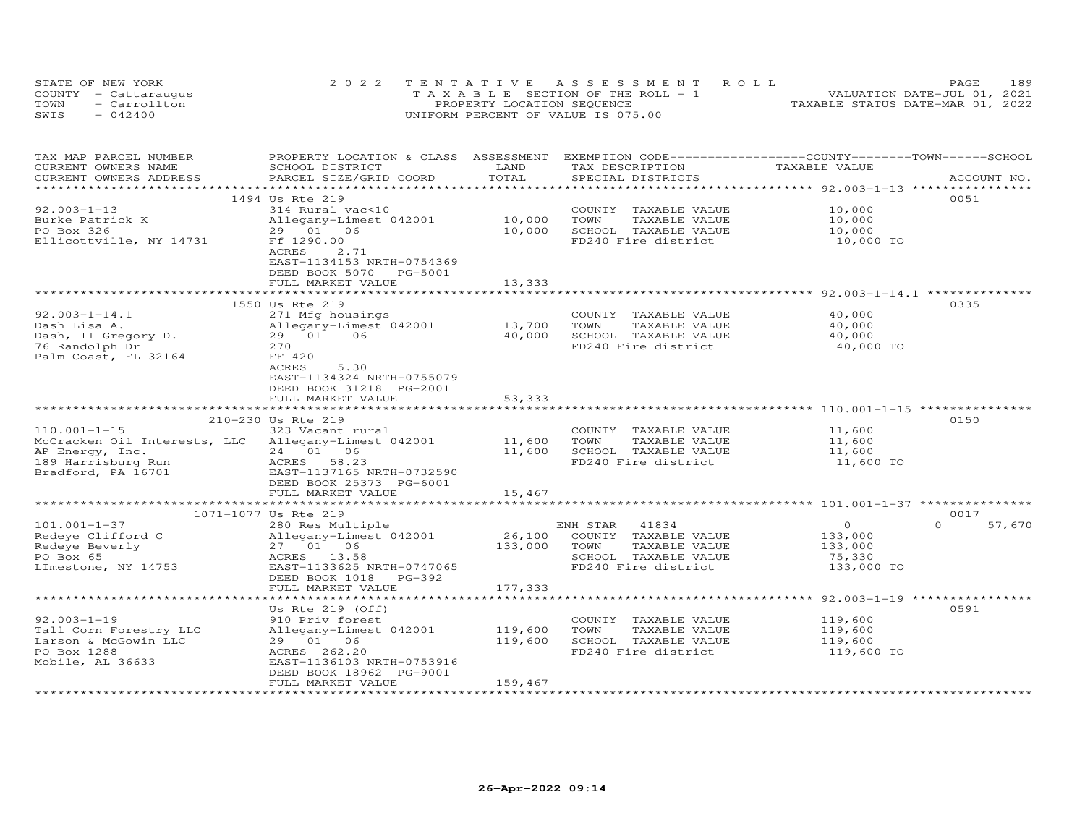| STATE OF NEW YORK    | 2022 TENTATIVE ASSESSMENT ROLL        | 189<br>PAGE.                     |
|----------------------|---------------------------------------|----------------------------------|
| COUNTY - Cattaraugus | T A X A B L E SECTION OF THE ROLL - 1 | VALUATION DATE-JUL 01, 2021      |
| TOWN<br>- Carrollton | PROPERTY LOCATION SEQUENCE            | TAXABLE STATUS DATE-MAR 01, 2022 |
| SWIS<br>$-042400$    | UNIFORM PERCENT OF VALUE IS 075.00    |                                  |

| TAX MAP PARCEL NUMBER<br>CURRENT OWNERS NAME                                                  | PROPERTY LOCATION & CLASS ASSESSMENT EXEMPTION CODE----------------COUNTY-------TOWN------SCHOOL<br>SCHOOL DISTRICT                              | LAND<br>TOTAL                | TAX DESCRIPTION                                                                                                   | TAXABLE VALUE                                         |                  |
|-----------------------------------------------------------------------------------------------|--------------------------------------------------------------------------------------------------------------------------------------------------|------------------------------|-------------------------------------------------------------------------------------------------------------------|-------------------------------------------------------|------------------|
| CURRENT OWNERS ADDRESS                                                                        | PARCEL SIZE/GRID COORD                                                                                                                           |                              | SPECIAL DISTRICTS                                                                                                 |                                                       | ACCOUNT NO.      |
| $92.003 - 1 - 13$                                                                             | 1494 Us Rte 219<br>314 Rural vac<10                                                                                                              |                              | COUNTY TAXABLE VALUE                                                                                              | 10,000                                                | 0051             |
| Burke Patrick K<br>PO Box 326<br>Ellicottville, NY 14731                                      | Allegany-Limest 042001<br>29 01 06<br>Ff 1290.00<br>ACRES<br>2.71<br>EAST-1134153 NRTH-0754369                                                   | 10,000<br>10,000             | TOWN<br>TAXABLE VALUE<br>SCHOOL TAXABLE VALUE<br>FD240 Fire district                                              | 10,000<br>10,000<br>10,000 TO                         |                  |
|                                                                                               | DEED BOOK 5070<br>PG-5001<br>FULL MARKET VALUE                                                                                                   | 13,333                       |                                                                                                                   |                                                       |                  |
|                                                                                               | 1550 Us Rte 219                                                                                                                                  |                              |                                                                                                                   |                                                       | 0335             |
| $92.003 - 1 - 14.1$                                                                           | 271 Mfg housings                                                                                                                                 |                              | COUNTY TAXABLE VALUE                                                                                              | 40,000                                                |                  |
| Dash Lisa A.                                                                                  | Allegany-Limest 042001                                                                                                                           | 13,700                       | TOWN<br>TAXABLE VALUE                                                                                             | 40,000                                                |                  |
| Dash, II Gregory D.<br>76 Randolph Dr<br>Palm Coast, FL 32164                                 | 29 01<br>06<br>270<br>FF 420                                                                                                                     | 40,000                       | SCHOOL TAXABLE VALUE<br>FD240 Fire district                                                                       | 40,000<br>40,000 TO                                   |                  |
|                                                                                               | ACRES<br>5.30<br>EAST-1134324 NRTH-0755079<br>DEED BOOK 31218 PG-2001<br>FULL MARKET VALUE                                                       | 53,333                       |                                                                                                                   |                                                       |                  |
|                                                                                               | ******************************                                                                                                                   | **************               | **************************************110.001-1-15 ****************                                               |                                                       |                  |
|                                                                                               | 210-230 Us Rte 219                                                                                                                               |                              |                                                                                                                   |                                                       | 0150             |
| $110.001 - 1 - 15$                                                                            | 323 Vacant rural                                                                                                                                 |                              | COUNTY TAXABLE VALUE                                                                                              | 11,600                                                |                  |
| McCracken Oil Interests, LLC Allegany-Limest 042001                                           |                                                                                                                                                  | 11,600                       | TOWN<br>TAXABLE VALUE                                                                                             | 11,600                                                |                  |
| AP Energy, Inc.                                                                               | 24 01 06                                                                                                                                         | 11,600                       | SCHOOL TAXABLE VALUE                                                                                              | 11,600                                                |                  |
| 189 Harrisburg Run<br>Bradford, PA 16701                                                      | ACRES 58.23<br>EAST-1137165 NRTH-0732590<br>DEED BOOK 25373 PG-6001                                                                              |                              | FD240 Fire district                                                                                               | 11,600 TO                                             |                  |
|                                                                                               | FULL MARKET VALUE                                                                                                                                | 15,467                       |                                                                                                                   |                                                       |                  |
|                                                                                               |                                                                                                                                                  |                              |                                                                                                                   |                                                       |                  |
|                                                                                               | 1071-1077 Us Rte 219                                                                                                                             |                              |                                                                                                                   |                                                       | 0017<br>$\Omega$ |
| $101.001 - 1 - 37$<br>Redeye Clifford C<br>Redeye Beverly<br>PO Box 65<br>LImestone, NY 14753 | 280 Res Multiple<br>Allegany-Limest 042001<br>27 01 06<br>ACRES 13.58<br>EAST-1133625 NRTH-0747065<br>DEED BOOK 1018 PG-392<br>FULL MARKET VALUE | 26,100<br>133,000<br>177,333 | ENH STAR<br>41834<br>COUNTY TAXABLE VALUE<br>TOWN<br>TAXABLE VALUE<br>SCHOOL TAXABLE VALUE<br>FD240 Fire district | $\circ$<br>133,000<br>133,000<br>75,330<br>133,000 TO | 57,670           |
|                                                                                               |                                                                                                                                                  |                              |                                                                                                                   |                                                       |                  |
|                                                                                               | Us Rte $219$ (Off)                                                                                                                               |                              |                                                                                                                   |                                                       | 0591             |
| $92.003 - 1 - 19$                                                                             | 910 Priv forest                                                                                                                                  |                              | COUNTY TAXABLE VALUE                                                                                              | 119,600                                               |                  |
| Tall Corn Forestry LLC                                                                        | Allegany-Limest 042001                                                                                                                           | 119,600                      | TAXABLE VALUE<br>TOWN                                                                                             | 119,600                                               |                  |
| Larson & McGowin LLC                                                                          | 29 01 06                                                                                                                                         | 119,600                      | SCHOOL TAXABLE VALUE                                                                                              | 119,600                                               |                  |
| PO Box 1288<br>Mobile, AL 36633                                                               | ACRES 262.20<br>EAST-1136103 NRTH-0753916<br>DEED BOOK 18962 PG-9001<br>FULL MARKET VALUE                                                        | 159,467                      | FD240 Fire district                                                                                               | 119,600 TO                                            |                  |
|                                                                                               |                                                                                                                                                  |                              |                                                                                                                   |                                                       |                  |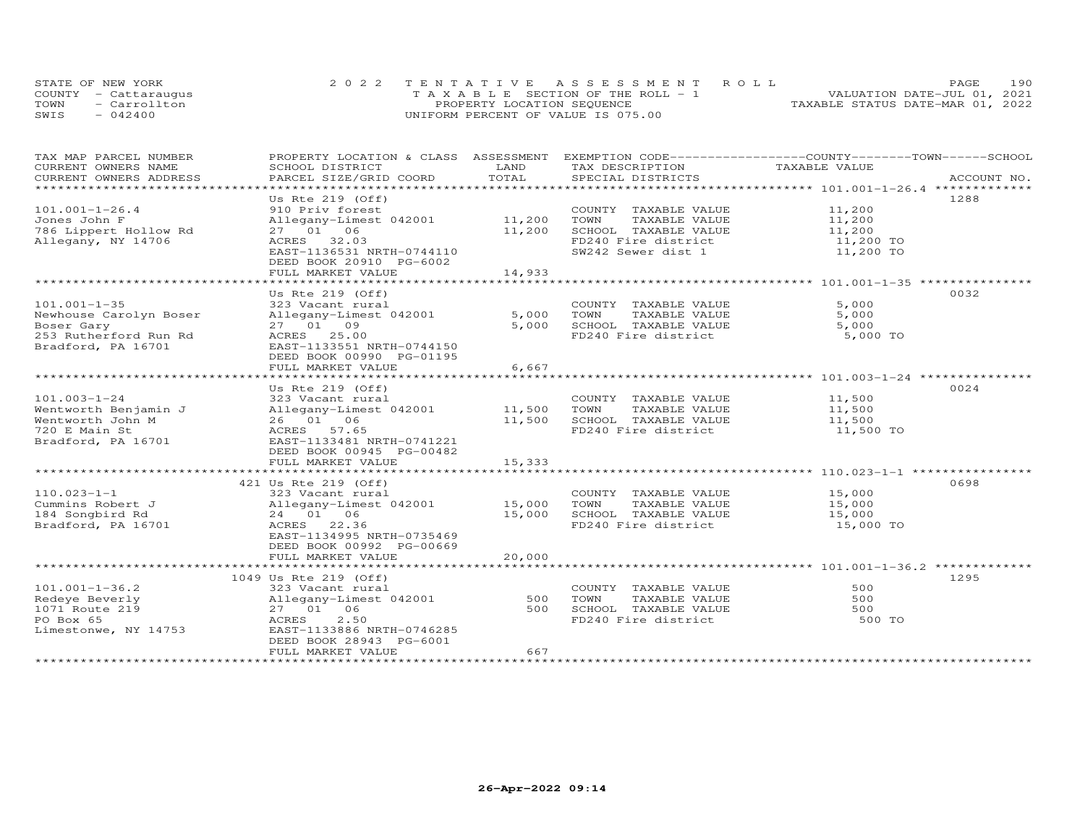|      | STATE OF NEW YORK    | 2022 TENTATIVE ASSESSMENT ROLL     | 190<br>PAGE.                     |
|------|----------------------|------------------------------------|----------------------------------|
|      | COUNTY - Cattaraugus | TAXABLE SECTION OF THE ROLL - 1    | VALUATION DATE-JUL 01, 2021      |
| TOWN | - Carrollton         | PROPERTY LOCATION SEQUENCE         | TAXABLE STATUS DATE-MAR 01, 2022 |
| SWIS | $-042400$            | UNIFORM PERCENT OF VALUE IS 075.00 |                                  |

| TAX MAP PARCEL NUMBER<br>CURRENT OWNERS NAME | PROPERTY LOCATION & CLASS                             | ASSESSMENT<br>LAND |                                      | EXEMPTION CODE-----------------COUNTY-------TOWN------SCHOOL<br>TAXABLE VALUE |             |
|----------------------------------------------|-------------------------------------------------------|--------------------|--------------------------------------|-------------------------------------------------------------------------------|-------------|
| CURRENT OWNERS ADDRESS                       | SCHOOL DISTRICT<br>PARCEL SIZE/GRID COORD             | TOTAL              | TAX DESCRIPTION<br>SPECIAL DISTRICTS |                                                                               | ACCOUNT NO. |
| *************************                    |                                                       |                    |                                      |                                                                               |             |
|                                              | Us Rte $219$ (Off)                                    |                    |                                      | 1288                                                                          |             |
| $101.001 - 1 - 26.4$                         | 910 Priv forest                                       |                    | COUNTY TAXABLE VALUE                 | 11,200                                                                        |             |
| Jones John F                                 | Allegany-Limest 042001                                | 11,200             | TOWN<br>TAXABLE VALUE                | 11,200                                                                        |             |
| 786 Lippert Hollow Rd                        | 27 01 06                                              | 11,200             | SCHOOL TAXABLE VALUE                 | 11,200                                                                        |             |
| Allegany, NY 14706                           | ACRES<br>32.03                                        |                    | FD240 Fire district                  | 11,200 TO                                                                     |             |
|                                              | EAST-1136531 NRTH-0744110                             |                    | SW242 Sewer dist 1                   | 11,200 TO                                                                     |             |
|                                              | DEED BOOK 20910 PG-6002                               |                    |                                      |                                                                               |             |
|                                              | FULL MARKET VALUE                                     | 14,933             |                                      |                                                                               |             |
|                                              |                                                       |                    |                                      |                                                                               |             |
|                                              | Us Rte $219$ (Off)                                    |                    |                                      | 0032                                                                          |             |
| $101.001 - 1 - 35$                           | 323 Vacant rural                                      |                    | COUNTY TAXABLE VALUE                 | 5,000                                                                         |             |
| Newhouse Carolyn Boser                       | Allegany-Limest 042001                                | 5,000              | TOWN<br>TAXABLE VALUE                | 5,000                                                                         |             |
| Boser Gary                                   | 27 01 09                                              | 5,000              | SCHOOL TAXABLE VALUE                 | 5,000                                                                         |             |
| 253 Rutherford Run Rd                        | ACRES 25.00                                           |                    | FD240 Fire district                  | 5,000 TO                                                                      |             |
| Bradford, PA 16701                           | EAST-1133551 NRTH-0744150                             |                    |                                      |                                                                               |             |
|                                              | DEED BOOK 00990 PG-01195                              |                    |                                      |                                                                               |             |
|                                              | FULL MARKET VALUE                                     | 6,667              |                                      |                                                                               |             |
|                                              | ***********************                               | *********          |                                      |                                                                               |             |
|                                              | Us Rte $219$ (Off)                                    |                    |                                      | 0024                                                                          |             |
| $101.003 - 1 - 24$                           | 323 Vacant rural                                      |                    | COUNTY TAXABLE VALUE                 | 11,500                                                                        |             |
| Wentworth Benjamin J                         | Allegany-Limest 042001                                | 11,500             | TOWN<br>TAXABLE VALUE                | 11,500                                                                        |             |
| Wentworth John M                             | 26 01 06                                              | 11,500             | SCHOOL TAXABLE VALUE                 | 11,500                                                                        |             |
| 720 E Main St                                | ACRES 57.65                                           |                    | FD240 Fire district                  | 11,500 TO                                                                     |             |
| Bradford, PA 16701                           | EAST-1133481 NRTH-0741221                             |                    |                                      |                                                                               |             |
|                                              | DEED BOOK 00945 PG-00482                              |                    |                                      |                                                                               |             |
|                                              | FULL MARKET VALUE                                     | 15,333             |                                      |                                                                               |             |
|                                              |                                                       |                    |                                      |                                                                               |             |
|                                              | 421 Us Rte 219 (Off)                                  |                    |                                      | 0698                                                                          |             |
| $110.023 - 1 - 1$                            | 323 Vacant rural                                      |                    | COUNTY TAXABLE VALUE                 | 15,000                                                                        |             |
| Cummins Robert J                             | Allegany-Limest 042001                                | 15,000             | TOWN<br>TAXABLE VALUE                | 15,000                                                                        |             |
| 184 Songbird Rd                              | 24 01 06                                              | 15,000             | SCHOOL TAXABLE VALUE                 | 15,000                                                                        |             |
| Bradford, PA 16701                           | ACRES 22.36                                           |                    | FD240 Fire district                  | 15,000 TO                                                                     |             |
|                                              | EAST-1134995 NRTH-0735469<br>DEED BOOK 00992 PG-00669 |                    |                                      |                                                                               |             |
|                                              |                                                       |                    |                                      |                                                                               |             |
|                                              | FULL MARKET VALUE                                     | 20,000             |                                      |                                                                               |             |
|                                              | 1049 Us Rte 219 (Off)                                 |                    |                                      | 1295                                                                          |             |
| $101.001 - 1 - 36.2$                         | 323 Vacant rural                                      |                    | COUNTY TAXABLE VALUE                 | 500                                                                           |             |
| Redeve Beverly                               | Allegany-Limest 042001                                | 500                | TOWN<br>TAXABLE VALUE                | 500                                                                           |             |
| 1071 Route 219                               | 27 01 06                                              | 500                | SCHOOL TAXABLE VALUE                 | 500                                                                           |             |
| PO Box 65                                    | 2.50<br>ACRES                                         |                    | FD240 Fire district                  | 500 TO                                                                        |             |
| Limestonwe, NY 14753                         | EAST-1133886 NRTH-0746285                             |                    |                                      |                                                                               |             |
|                                              | DEED BOOK 28943 PG-6001                               |                    |                                      |                                                                               |             |
|                                              | FULL MARKET VALUE                                     | 667                |                                      |                                                                               |             |
|                                              |                                                       |                    |                                      |                                                                               |             |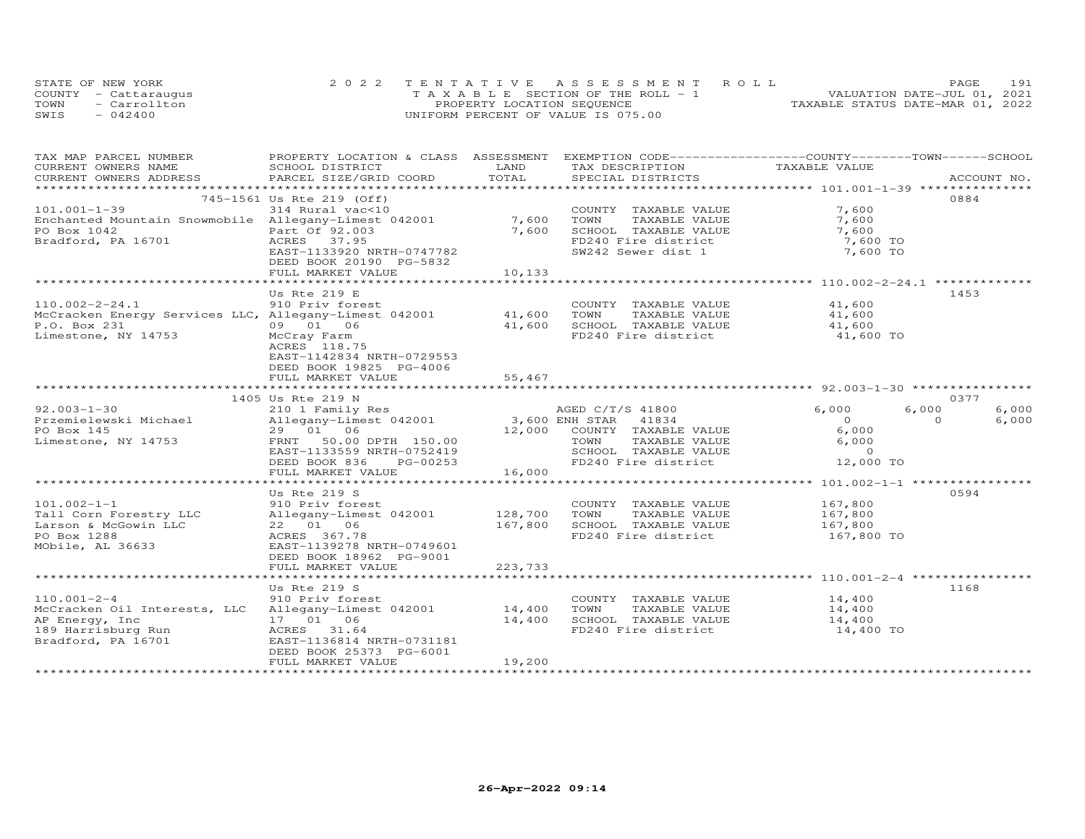| STATE OF NEW YORK    | 2022 TENTATIVE ASSESSMENT ROLL        | 191<br>PAGE.                     |
|----------------------|---------------------------------------|----------------------------------|
| COUNTY - Cattaraugus | T A X A B L E SECTION OF THE ROLL - 1 | VALUATION DATE-JUL 01, 2021      |
| - Carrollton<br>TOWN | PROPERTY LOCATION SEQUENCE            | TAXABLE STATUS DATE-MAR 01, 2022 |
| SWIS<br>$-042400$    | UNIFORM PERCENT OF VALUE IS 075.00    |                                  |

| TAX MAP PARCEL NUMBER                                 | PROPERTY LOCATION & CLASS ASSESSMENT       |                                     | EXEMPTION CODE-----------------COUNTY-------TOWN------SCHOOL |                                          |                   |       |
|-------------------------------------------------------|--------------------------------------------|-------------------------------------|--------------------------------------------------------------|------------------------------------------|-------------------|-------|
| CURRENT OWNERS NAME                                   | SCHOOL DISTRICT                            | LAND                                | TAX DESCRIPTION                                              | TAXABLE VALUE                            |                   |       |
| CURRENT OWNERS ADDRESS                                | PARCEL SIZE/GRID COORD                     | TOTAL                               | SPECIAL DISTRICTS                                            |                                          | ACCOUNT NO.       |       |
|                                                       | 745-1561 Us Rte 219 (Off)                  |                                     |                                                              |                                          | 0884              |       |
| $101.001 - 1 - 39$                                    | 314 Rural vac<10                           |                                     | COUNTY TAXABLE VALUE                                         | 7,600                                    |                   |       |
| Enchanted Mountain Snowmobile Allegany-Limest 042001  |                                            | 7,600                               | TOWN<br>TAXABLE VALUE                                        | 7,600                                    |                   |       |
| PO Box 1042                                           | Part Of 92.003                             | 7,600                               | SCHOOL TAXABLE VALUE                                         | 7,600                                    |                   |       |
| Bradford, PA 16701                                    | ACRES 37.95                                |                                     | FD240 Fire district                                          | 7,600 TO                                 |                   |       |
|                                                       | EAST-1133920 NRTH-0747782                  |                                     | SW242 Sewer dist 1                                           | 7,600 TO                                 |                   |       |
|                                                       | DEED BOOK 20190 PG-5832                    |                                     |                                                              |                                          |                   |       |
|                                                       | FULL MARKET VALUE                          | 10,133                              |                                                              |                                          |                   |       |
|                                                       |                                            |                                     |                                                              |                                          |                   |       |
|                                                       | Us Rte $219$ E                             |                                     |                                                              |                                          | 1453              |       |
| $110.002 - 2 - 24.1$                                  | 910 Priv forest                            |                                     | COUNTY TAXABLE VALUE                                         | 41,600                                   |                   |       |
| McCracken Energy Services LLC, Allegany-Limest 042001 |                                            | 41,600                              | TOWN<br>TAXABLE VALUE                                        | 41,600                                   |                   |       |
| P.O. Box 231                                          | 09 01 06                                   | 41,600                              | SCHOOL TAXABLE VALUE                                         | 41,600                                   |                   |       |
| Limestone, NY 14753                                   | McCray Farm                                |                                     | FD240 Fire district                                          | 41,600 TO                                |                   |       |
|                                                       | ACRES 118.75                               |                                     |                                                              |                                          |                   |       |
|                                                       | EAST-1142834 NRTH-0729553                  |                                     |                                                              |                                          |                   |       |
|                                                       | DEED BOOK 19825 PG-4006                    |                                     |                                                              |                                          |                   |       |
|                                                       | FULL MARKET VALUE                          | 55,467                              |                                                              |                                          |                   |       |
|                                                       |                                            |                                     |                                                              |                                          |                   |       |
| $92.003 - 1 - 30$                                     | 1405 Us Rte 219 N                          |                                     |                                                              |                                          | 0377              | 6,000 |
| Przemielewski Michael                                 | 210 1 Family Res<br>Allegany-Limest 042001 | 3,600 ENH STAR                      | AGED C/T/S 41800                                             | 6,000<br>$\overline{0}$                  | 6,000<br>$\Omega$ | 6,000 |
| PO Box 145                                            | 29 01 06                                   |                                     | 41834<br>12,000 COUNTY TAXABLE VALUE                         | 6,000                                    |                   |       |
| Limestone, NY 14753                                   | FRNT<br>50.00 DPTH 150.00                  |                                     | TOWN<br>TAXABLE VALUE                                        | 6,000                                    |                   |       |
|                                                       | EAST-1133559 NRTH-0752419                  |                                     | SCHOOL TAXABLE VALUE                                         | $\overline{0}$                           |                   |       |
|                                                       | DEED BOOK 836<br>PG-00253                  |                                     | FD240 Fire district                                          | 12,000 TO                                |                   |       |
|                                                       | FULL MARKET VALUE                          | 16,000                              |                                                              |                                          |                   |       |
|                                                       | ********************                       | بله بله بله بله بله بله بله بله بله |                                                              | ************ 101.002-1-1 *************** |                   |       |
|                                                       | Us Rte 219 S                               |                                     |                                                              |                                          | 0594              |       |
| $101.002 - 1 - 1$                                     | 910 Priv forest                            |                                     | COUNTY TAXABLE VALUE                                         | 167,800                                  |                   |       |
| Tall Corn Forestry LLC                                | Allegany-Limest 042001                     | 128,700                             | TOWN<br>TAXABLE VALUE                                        | 167,800                                  |                   |       |
| Larson & McGowin LLC                                  | 22 01 06                                   | 167,800                             | SCHOOL TAXABLE VALUE                                         | 167,800                                  |                   |       |
| PO Box 1288                                           | ACRES 367.78                               |                                     | FD240 Fire district                                          | 167,800 TO                               |                   |       |
| MObile, AL 36633                                      | EAST-1139278 NRTH-0749601                  |                                     |                                                              |                                          |                   |       |
|                                                       | DEED BOOK 18962 PG-9001                    |                                     |                                                              |                                          |                   |       |
|                                                       | FULL MARKET VALUE                          | 223,733                             |                                                              |                                          |                   |       |
|                                                       |                                            |                                     |                                                              |                                          |                   |       |
|                                                       | Us Rte 219 S                               |                                     |                                                              |                                          | 1168              |       |
| $110.001 - 2 - 4$                                     | 910 Priv forest                            |                                     | COUNTY TAXABLE VALUE                                         | 14,400                                   |                   |       |
| McCracken Oil Interests, LLC                          | Allegany-Limest 042001                     | 14,400                              | TOWN<br>TAXABLE VALUE                                        | 14,400                                   |                   |       |
| AP Energy, Inc                                        | 17 01 06                                   | 14,400                              | SCHOOL TAXABLE VALUE<br>FD240 Fire district                  | 14,400<br>14,400 TO                      |                   |       |
| 189 Harrisburg Run<br>Bradford, PA 16701              | ACRES 31.64<br>EAST-1136814 NRTH-0731181   |                                     |                                                              |                                          |                   |       |
|                                                       | DEED BOOK 25373 PG-6001                    |                                     |                                                              |                                          |                   |       |
|                                                       | FULL MARKET VALUE                          | 19,200                              |                                                              |                                          |                   |       |
|                                                       |                                            |                                     |                                                              |                                          |                   |       |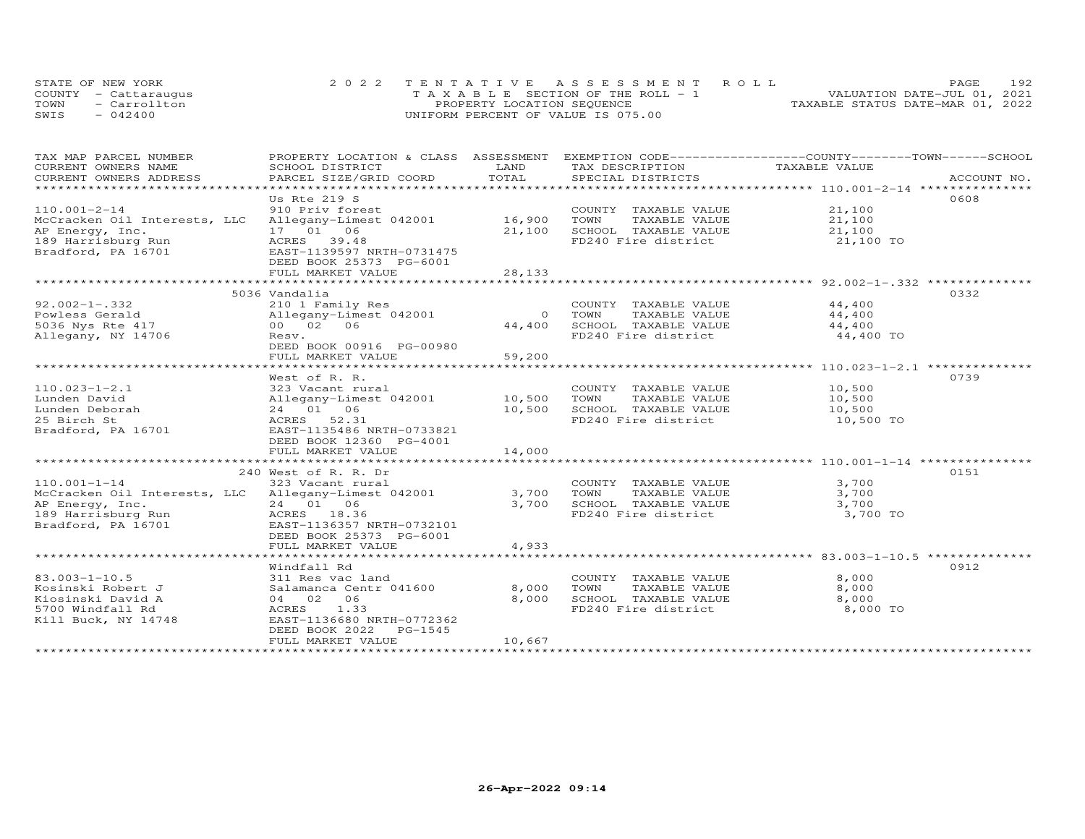|      | STATE OF NEW YORK    | 2022 TENTATIVE ASSESSMENT ROLL        | 192<br><b>PAGE</b>               |
|------|----------------------|---------------------------------------|----------------------------------|
|      | COUNTY - Cattaraugus | T A X A B L E SECTION OF THE ROLL - 1 | VALUATION DATE-JUL 01, 2021      |
| TOWN | - Carrollton         | PROPERTY LOCATION SEQUENCE            | TAXABLE STATUS DATE-MAR 01, 2022 |
| SWIS | $-042400$            | UNIFORM PERCENT OF VALUE IS 075.00    |                                  |

| TAX MAP PARCEL NUMBER                               | PROPERTY LOCATION & CLASS ASSESSMENT           |                | EXEMPTION CODE-----------------COUNTY-------TOWN------SCHOOL |                  |             |
|-----------------------------------------------------|------------------------------------------------|----------------|--------------------------------------------------------------|------------------|-------------|
| CURRENT OWNERS NAME<br>CURRENT OWNERS ADDRESS       | SCHOOL DISTRICT                                | LAND<br>TOTAL  | TAX DESCRIPTION<br>SPECIAL DISTRICTS                         | TAXABLE VALUE    | ACCOUNT NO. |
| ***********************                             | PARCEL SIZE/GRID COORD                         |                |                                                              |                  |             |
|                                                     | Us Rte 219 S                                   |                |                                                              |                  | 0608        |
| $110.001 - 2 - 14$                                  | 910 Priv forest                                |                | COUNTY TAXABLE VALUE 21,100                                  |                  |             |
| McCracken Oil Interests, LLC                        | Allegany-Limest 042001                         | 16,900         | TOWN<br>TAXABLE VALUE                                        | 21,100           |             |
| AP Energy, Inc.                                     | 17 01 06                                       | 21,100         | SCHOOL TAXABLE VALUE                                         | 21,100           |             |
| 189 Harrisburg Run                                  | ACRES 39.48                                    |                | FD240 Fire district                                          | 21,100 TO        |             |
| Bradford, PA 16701                                  | EAST-1139597 NRTH-0731475                      |                |                                                              |                  |             |
|                                                     | DEED BOOK 25373 PG-6001                        |                |                                                              |                  |             |
|                                                     | FULL MARKET VALUE                              | 28,133         |                                                              |                  |             |
|                                                     |                                                |                |                                                              |                  |             |
|                                                     | 5036 Vandalia                                  |                |                                                              |                  | 0332        |
| $92.002 - 1 - .332$                                 | 210 1 Family Res                               |                | COUNTY TAXABLE VALUE 44,400                                  |                  |             |
| Powless Gerald                                      | Allegany-Limest 042001                         | $\overline{O}$ | TOWN<br>TAXABLE VALUE                                        | 44,400           |             |
| 5036 Nys Rte 417                                    | 00 02 06                                       | 44,400         | SCHOOL TAXABLE VALUE                                         | 44,400           |             |
| Allegany, NY 14706                                  | Resv.                                          |                | FD240 Fire district                                          | 44,400 TO        |             |
|                                                     | DEED BOOK 00916 PG-00980                       |                |                                                              |                  |             |
|                                                     | FULL MARKET VALUE                              | 59,200         |                                                              |                  |             |
|                                                     |                                                |                |                                                              |                  |             |
|                                                     | West of R. R.                                  |                |                                                              |                  | 0739        |
| $110.023 - 1 - 2.1$                                 | 323 Vacant rural                               | 10,500         | COUNTY TAXABLE VALUE                                         | 10,500<br>10,500 |             |
| Lunden David<br>Lunden Deborah                      | Allegany-Limest 042001<br>24 01 06             | 10,500         | TOWN<br>TAXABLE VALUE<br>SCHOOL TAXABLE VALUE                | 10,500           |             |
| 25 Birch St                                         | ACRES 52.31                                    |                | FD240 Fire district                                          | 10,500 TO        |             |
| Bradford, PA 16701                                  | EAST-1135486 NRTH-0733821                      |                |                                                              |                  |             |
|                                                     | DEED BOOK 12360 PG-4001                        |                |                                                              |                  |             |
|                                                     | FULL MARKET VALUE                              | 14,000         |                                                              |                  |             |
|                                                     |                                                |                |                                                              |                  |             |
|                                                     | 240 West of R. R. Dr                           |                |                                                              |                  | 0151        |
| $110.001 - 1 - 14$                                  | 323 Vacant rural                               |                | COUNTY TAXABLE VALUE                                         | 3,700            |             |
| McCracken Oil Interests, LLC Allegany-Limest 042001 |                                                | 3,700          | TOWN<br>TAXABLE VALUE                                        | 3,700            |             |
| AP Energy, Inc.                                     | 24 01 06                                       | 3,700          | SCHOOL TAXABLE VALUE                                         | 3,700            |             |
| 189 Harrisburg Run                                  | ACRES 18.36                                    |                | FD240 Fire district                                          | 3,700 TO         |             |
| Bradford, PA 16701                                  | EAST-1136357 NRTH-0732101                      |                |                                                              |                  |             |
|                                                     | DEED BOOK 25373 PG-6001                        |                |                                                              |                  |             |
|                                                     | FULL MARKET VALUE                              | 4,933          |                                                              |                  |             |
|                                                     |                                                |                |                                                              |                  |             |
|                                                     | Windfall Rd                                    |                |                                                              |                  | 0912        |
| $83.003 - 1 - 10.5$                                 | 311 Res vac land                               |                | COUNTY TAXABLE VALUE                                         | 8,000            |             |
| Kosinski Robert J                                   | Salamanca Centr 041600                         | 8,000          | TOWN<br>TAXABLE VALUE                                        | 8,000            |             |
| Kiosinski David A                                   | 04 02 06                                       | 8,000          | SCHOOL TAXABLE VALUE                                         | 8,000            |             |
| 5700 Windfall Rd                                    | ACRES<br>1.33                                  |                | FD240 Fire district                                          | 8,000 TO         |             |
| Kill Buck, NY 14748                                 | EAST-1136680 NRTH-0772362                      |                |                                                              |                  |             |
|                                                     | DEED BOOK 2022<br>PG-1545<br>FULL MARKET VALUE | 10,667         |                                                              |                  |             |
|                                                     |                                                |                |                                                              |                  |             |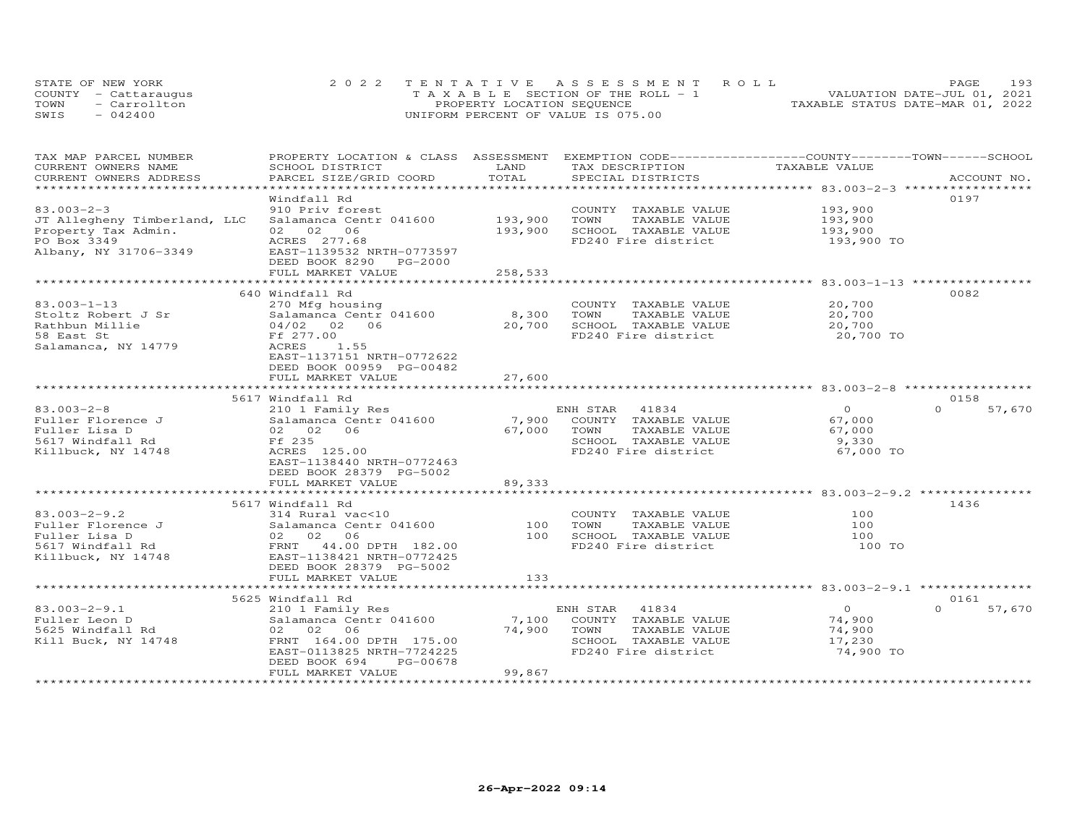|      | STATE OF NEW YORK    | 2022 TENTATIVE ASSESSMENT ROLL        | 193<br><b>PAGE</b>               |
|------|----------------------|---------------------------------------|----------------------------------|
|      | COUNTY - Cattaraugus | T A X A B L E SECTION OF THE ROLL - 1 | VALUATION DATE-JUL 01, 2021      |
| TOWN | - Carrollton         | PROPERTY LOCATION SEQUENCE            | TAXABLE STATUS DATE-MAR 01, 2022 |
| SWIS | $-042400$            | UNIFORM PERCENT OF VALUE IS 075.00    |                                  |

| TAX MAP PARCEL NUMBER                         | PROPERTY LOCATION & CLASS ASSESSMENT EXEMPTION CODE----------------COUNTY-------TOWN------SCHOOL |               |                       | TAXABLE VALUE  |                    |
|-----------------------------------------------|--------------------------------------------------------------------------------------------------|---------------|-----------------------|----------------|--------------------|
| CURRENT OWNERS NAME<br>CURRENT OWNERS ADDRESS | SCHOOL DISTRICT                                                                                  | LAND<br>TOTAL | TAX DESCRIPTION       |                | ACCOUNT NO.        |
|                                               | PARCEL SIZE/GRID COORD                                                                           |               | SPECIAL DISTRICTS     |                |                    |
|                                               | Windfall Rd                                                                                      |               |                       |                | 0197               |
| $83.003 - 2 - 3$                              |                                                                                                  |               |                       | 193,900        |                    |
|                                               | 910 Priv forest                                                                                  |               | COUNTY TAXABLE VALUE  |                |                    |
| JT Allegheny Timberland, LLC                  | Salamanca Centr 041600                                                                           | 193,900       | TOWN<br>TAXABLE VALUE | 193,900        |                    |
| Property Tax Admin.                           | 02 02<br>06                                                                                      | 193,900       | SCHOOL TAXABLE VALUE  | 193,900        |                    |
| PO Box 3349                                   | ACRES 277.68                                                                                     |               | FD240 Fire district   | 193,900 TO     |                    |
| Albany, NY 31706-3349                         | EAST-1139532 NRTH-0773597                                                                        |               |                       |                |                    |
|                                               | DEED BOOK 8290 PG-2000                                                                           |               |                       |                |                    |
|                                               | FULL MARKET VALUE                                                                                | 258,533       |                       |                |                    |
|                                               |                                                                                                  |               |                       |                |                    |
|                                               | 640 Windfall Rd                                                                                  |               |                       |                | 0082               |
| $83.003 - 1 - 13$                             | 270 Mfg housing                                                                                  |               | COUNTY TAXABLE VALUE  | 20,700         |                    |
| Stoltz Robert J Sr                            | Salamanca Centr 041600                                                                           | 8,300         | TOWN<br>TAXABLE VALUE | 20,700         |                    |
| Rathbun Millie                                | 04/02 02 06                                                                                      | 20,700        | SCHOOL TAXABLE VALUE  | 20,700         |                    |
| 58 East St                                    | Ff 277.00                                                                                        |               | FD240 Fire district   | 20,700 TO      |                    |
| Salamanca, NY 14779                           | ACRES<br>1.55                                                                                    |               |                       |                |                    |
|                                               | EAST-1137151 NRTH-0772622                                                                        |               |                       |                |                    |
|                                               | DEED BOOK 00959 PG-00482                                                                         |               |                       |                |                    |
|                                               | FULL MARKET VALUE                                                                                | 27,600        |                       |                |                    |
|                                               |                                                                                                  | **********    |                       |                |                    |
|                                               | 5617 Windfall Rd                                                                                 |               |                       |                | 0158               |
| $83.003 - 2 - 8$                              | 210 1 Family Res                                                                                 |               | ENH STAR<br>41834     | $\overline{0}$ | 57,670<br>$\Omega$ |
| Fuller Florence J                             | Salamanca Centr 041600                                                                           | 7,900         | COUNTY TAXABLE VALUE  | 67,000         |                    |
| Fuller Lisa D                                 | 02 02 06                                                                                         | 67,000        | TOWN<br>TAXABLE VALUE | 67,000         |                    |
| 5617 Windfall Rd                              | Ff 235                                                                                           |               | SCHOOL TAXABLE VALUE  | 9,330          |                    |
| Killbuck, NY 14748                            | ACRES 125.00                                                                                     |               | FD240 Fire district   | 67,000 TO      |                    |
|                                               | EAST-1138440 NRTH-0772463                                                                        |               |                       |                |                    |
|                                               | DEED BOOK 28379 PG-5002                                                                          |               |                       |                |                    |
|                                               | FULL MARKET VALUE                                                                                | 89,333        |                       |                |                    |
|                                               |                                                                                                  |               |                       |                |                    |
|                                               | 5617 Windfall Rd                                                                                 |               |                       |                | 1436               |
| $83.003 - 2 - 9.2$                            | 314 Rural vac<10                                                                                 |               | COUNTY TAXABLE VALUE  | 100            |                    |
| Fuller Florence J                             | Salamanca Centr 041600                                                                           | 100           | TAXABLE VALUE<br>TOWN | 100            |                    |
| Fuller Lisa D                                 | 02 02 06                                                                                         | 100           | SCHOOL TAXABLE VALUE  | 100            |                    |
| 5617 Windfall Rd                              | FRNT 44.00 DPTH 182.00                                                                           |               | FD240 Fire district   | 100 TO         |                    |
| Killbuck, NY 14748                            | EAST-1138421 NRTH-0772425                                                                        |               |                       |                |                    |
|                                               | DEED BOOK 28379 PG-5002                                                                          |               |                       |                |                    |
|                                               | FULL MARKET VALUE                                                                                | 133           |                       |                |                    |
|                                               | *****************************                                                                    |               |                       |                |                    |
|                                               | 5625 Windfall Rd                                                                                 |               |                       |                | 0161               |
| $83.003 - 2 - 9.1$                            |                                                                                                  |               | ENH STAR<br>41834     | $\overline{O}$ | $\Omega$<br>57,670 |
|                                               | 210 1 Family Res<br>Salamanca Centr 041600                                                       | 7,100         | COUNTY TAXABLE VALUE  | 74,900         |                    |
| Fuller Leon D                                 |                                                                                                  | 74,900        |                       |                |                    |
| 5625 Windfall Rd                              | 02 02 06                                                                                         |               | TOWN<br>TAXABLE VALUE | 74,900         |                    |
| Kill Buck, NY 14748                           | FRNT 164.00 DPTH 175.00                                                                          |               | SCHOOL TAXABLE VALUE  | 17,230         |                    |
|                                               | EAST-0113825 NRTH-7724225                                                                        |               | FD240 Fire district   | 74,900 TO      |                    |
|                                               | PG-00678<br>DEED BOOK 694                                                                        |               |                       |                |                    |
|                                               | FULL MARKET VALUE                                                                                | 99,867        |                       |                |                    |
|                                               |                                                                                                  |               |                       |                |                    |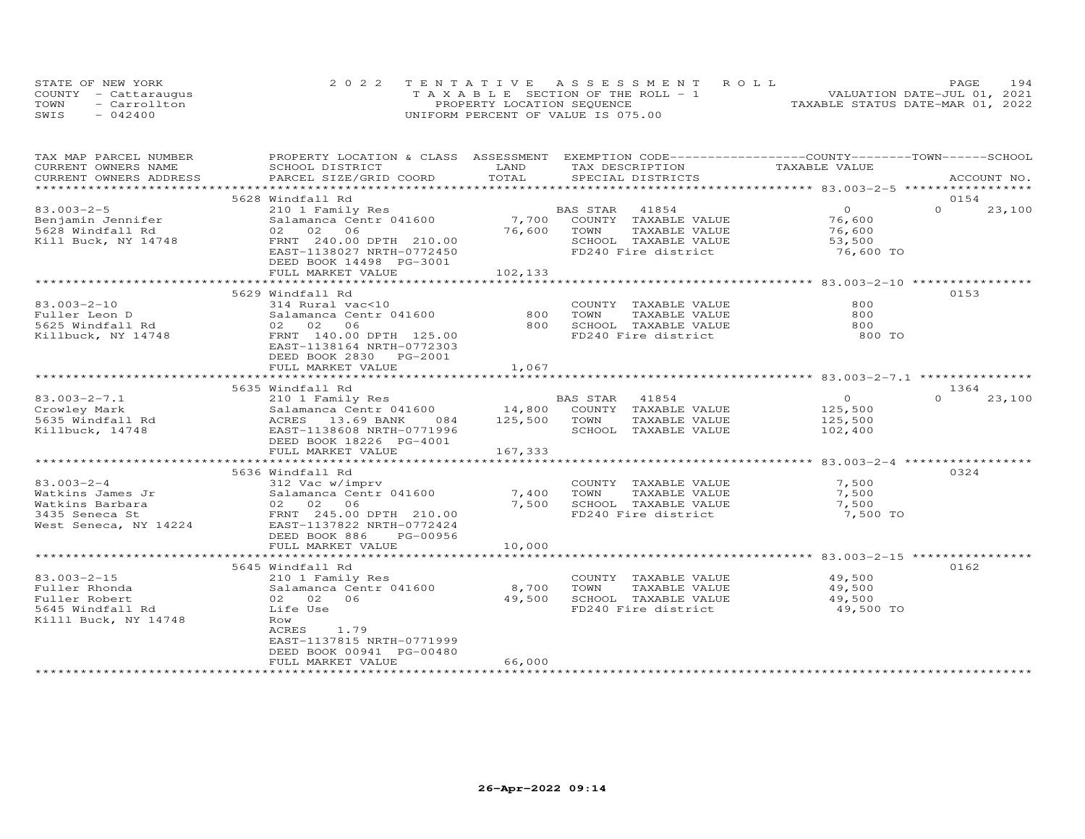|      | STATE OF NEW YORK    | 2022 TENTATIVE ASSESSMENT ROLL        | 194<br>PAGE                      |
|------|----------------------|---------------------------------------|----------------------------------|
|      | COUNTY - Cattaraugus | T A X A B L E SECTION OF THE ROLL - 1 | VALUATION DATE-JUL 01, 2021      |
| TOWN | - Carrollton         | PROPERTY LOCATION SEQUENCE            | TAXABLE STATUS DATE-MAR 01, 2022 |
| SWIS | $-042400$            | UNIFORM PERCENT OF VALUE IS 075.00    |                                  |

| TAX MAP PARCEL NUMBER                                                                             | PROPERTY LOCATION & CLASS ASSESSMENT EXEMPTION CODE-----------------COUNTY-------TOWN------SCHOOL                                                                                                                                                                                                             |                  |                                                                           |                       |                    |
|---------------------------------------------------------------------------------------------------|---------------------------------------------------------------------------------------------------------------------------------------------------------------------------------------------------------------------------------------------------------------------------------------------------------------|------------------|---------------------------------------------------------------------------|-----------------------|--------------------|
| CURRENT OWNERS NAME                                                                               | SCHOOL DISTRICT                                                                                                                                                                                                                                                                                               | LAND             | TAX DESCRIPTION                                                           | TAXABLE VALUE         |                    |
| CURRENT OWNERS ADDRESS                                                                            | PARCEL SIZE/GRID COORD                                                                                                                                                                                                                                                                                        | TOTAL            | SPECIAL DISTRICTS                                                         |                       | ACCOUNT NO.        |
|                                                                                                   |                                                                                                                                                                                                                                                                                                               |                  |                                                                           |                       |                    |
|                                                                                                   | 5628 Windfall Rd                                                                                                                                                                                                                                                                                              |                  |                                                                           |                       | 0154               |
| $83.003 - 2 - 5$                                                                                  | 210 1 Family Res BP<br>Salamanca Centr 041600 7,700                                                                                                                                                                                                                                                           |                  | BAS STAR 41854                                                            | $\overline{O}$        | $\Omega$<br>23,100 |
| Benjamin Jennifer                                                                                 |                                                                                                                                                                                                                                                                                                               |                  | COUNTY TAXABLE VALUE 76,600                                               |                       |                    |
| 5628 Windfall Rd                                                                                  | 02 02 06                                                                                                                                                                                                                                                                                                      | 76,600           | TAXABLE VALUE<br>TOWN                                                     | 76,600                |                    |
| Kill Buck, NY 14748                                                                               | FRNT 240.00 DPTH 210.00                                                                                                                                                                                                                                                                                       |                  | SCHOOL TAXABLE VALUE                                                      | $\frac{16}{53}$ , 500 |                    |
|                                                                                                   | EAST-1138027 NRTH-0772450                                                                                                                                                                                                                                                                                     |                  | FD240 Fire district                                                       | 76,600 TO             |                    |
|                                                                                                   | DEED BOOK 14498 PG-3001                                                                                                                                                                                                                                                                                       |                  |                                                                           |                       |                    |
|                                                                                                   | FULL MARKET VALUE                                                                                                                                                                                                                                                                                             | 102, 133         |                                                                           |                       |                    |
|                                                                                                   |                                                                                                                                                                                                                                                                                                               |                  |                                                                           |                       |                    |
|                                                                                                   | 5629 Windfall Rd                                                                                                                                                                                                                                                                                              |                  |                                                                           |                       | 0153               |
| $83.003 - 2 - 10$                                                                                 | 314 Rural vac<10                                                                                                                                                                                                                                                                                              |                  | COUNTY TAXABLE VALUE                                                      | 800                   |                    |
| Fuller Leon D                                                                                     | Salamanca Centr 041600                                                                                                                                                                                                                                                                                        | 800              |                                                                           | 800                   |                    |
| Fuller Leon D<br>5625 Windfall Rd                                                                 | Salamanc<br>02     02<br>06                                                                                                                                                                                                                                                                                   | 800              | TOWN      TAXABLE VALUE<br>SCHOOL   TAXABLE VALUE<br>———————————————————— | 800                   |                    |
| Killbuck, NY 14748                                                                                | FRNT 140.00 DPTH 125.00                                                                                                                                                                                                                                                                                       |                  | FD240 Fire district                                                       | 800 TO                |                    |
|                                                                                                   | EAST-1138164 NRTH-0772303                                                                                                                                                                                                                                                                                     |                  |                                                                           |                       |                    |
|                                                                                                   | DEED BOOK 2830 PG-2001                                                                                                                                                                                                                                                                                        |                  |                                                                           |                       |                    |
|                                                                                                   | FULL MARKET VALUE                                                                                                                                                                                                                                                                                             | 1,067            |                                                                           |                       |                    |
|                                                                                                   |                                                                                                                                                                                                                                                                                                               |                  |                                                                           |                       |                    |
|                                                                                                   | 5635 Windfall Rd                                                                                                                                                                                                                                                                                              |                  |                                                                           |                       | 1364               |
| $83.003 - 2 - 7.1$                                                                                | 210 1 Family Res                                                                                                                                                                                                                                                                                              |                  | BAS STAR 41854                                                            | $\overline{O}$        | $\Omega$<br>23,100 |
|                                                                                                   | $\frac{210}{21}$ $\frac{1}{21}$ $\frac{1}{21}$ $\frac{1}{21}$ $\frac{1}{21}$ $\frac{1}{21}$ $\frac{1}{21}$ $\frac{1}{21}$ $\frac{1}{21}$ $\frac{1}{21}$ $\frac{1}{21}$ $\frac{1}{21}$ $\frac{1}{21}$ $\frac{1}{21}$ $\frac{1}{21}$ $\frac{1}{21}$ $\frac{1}{21}$ $\frac{1}{21}$ $\frac{1}{21}$ $\frac{1}{21}$ |                  | COUNTY TAXABLE VALUE                                                      | 125,500               |                    |
|                                                                                                   |                                                                                                                                                                                                                                                                                                               | 084 125,500 TOWN | TAXABLE VALUE                                                             | 125,500               |                    |
| Crowley Mark<br>Salamanca Centr 041<br>5635 Windfall Rd<br>Killbuck, 14748<br>EAST-1138608 NRTH-0 | EAST-1138608 NRTH-0771996                                                                                                                                                                                                                                                                                     |                  | SCHOOL TAXABLE VALUE                                                      | 102,400               |                    |
|                                                                                                   | DEED BOOK 18226 PG-4001                                                                                                                                                                                                                                                                                       |                  |                                                                           |                       |                    |
|                                                                                                   | FULL MARKET VALUE                                                                                                                                                                                                                                                                                             | 167,333          |                                                                           |                       |                    |
|                                                                                                   |                                                                                                                                                                                                                                                                                                               |                  |                                                                           |                       |                    |
|                                                                                                   | 5636 Windfall Rd                                                                                                                                                                                                                                                                                              |                  |                                                                           |                       | 0324               |
| $83.003 - 2 - 4$                                                                                  |                                                                                                                                                                                                                                                                                                               |                  |                                                                           |                       |                    |
|                                                                                                   | 312 Vac w/imprv<br>Salamanca Centr 041600 7,400                                                                                                                                                                                                                                                               |                  | COUNTY TAXABLE VALUE                                                      | 7,500                 |                    |
|                                                                                                   |                                                                                                                                                                                                                                                                                                               |                  | TOWN<br>TAXABLE VALUE                                                     | 7,500                 |                    |
|                                                                                                   |                                                                                                                                                                                                                                                                                                               | 7,500            | SCHOOL TAXABLE VALUE 7,500<br>FD240 Fire district 7,500 TO                |                       |                    |
|                                                                                                   |                                                                                                                                                                                                                                                                                                               |                  |                                                                           |                       |                    |
|                                                                                                   |                                                                                                                                                                                                                                                                                                               |                  |                                                                           |                       |                    |
|                                                                                                   | DEED BOOK 886<br>PG-00956                                                                                                                                                                                                                                                                                     |                  |                                                                           |                       |                    |
|                                                                                                   | FULL MARKET VALUE                                                                                                                                                                                                                                                                                             | 10,000           |                                                                           |                       |                    |
|                                                                                                   |                                                                                                                                                                                                                                                                                                               |                  |                                                                           |                       |                    |
|                                                                                                   | 5645 Windfall Rd                                                                                                                                                                                                                                                                                              |                  |                                                                           |                       | 0162               |
| $83.003 - 2 - 15$                                                                                 | 210 1 Family Res                                                                                                                                                                                                                                                                                              |                  | COUNTY TAXABLE VALUE 49,500                                               |                       |                    |
| Fuller Rhonda                                                                                     | Salamanca Centr 041600 8,700                                                                                                                                                                                                                                                                                  |                  | TOWN<br>TAXABLE VALUE                                                     | 49,500                |                    |
| Fuller Robert                                                                                     | 02 02 06                                                                                                                                                                                                                                                                                                      | 49,500           | SCHOOL TAXABLE VALUE 49,500                                               |                       |                    |
| 5645 Windfall Rd                                                                                  | Life Use                                                                                                                                                                                                                                                                                                      |                  | FD240 Fire district                                                       | 49,500 TO             |                    |
| Killl Buck, NY 14748                                                                              | Row                                                                                                                                                                                                                                                                                                           |                  |                                                                           |                       |                    |
|                                                                                                   | ACRES<br>1.79                                                                                                                                                                                                                                                                                                 |                  |                                                                           |                       |                    |
|                                                                                                   | EAST-1137815 NRTH-0771999                                                                                                                                                                                                                                                                                     |                  |                                                                           |                       |                    |
|                                                                                                   | DEED BOOK 00941 PG-00480                                                                                                                                                                                                                                                                                      |                  |                                                                           |                       |                    |
|                                                                                                   | FULL MARKET VALUE                                                                                                                                                                                                                                                                                             | 66,000           |                                                                           |                       |                    |
|                                                                                                   |                                                                                                                                                                                                                                                                                                               |                  |                                                                           |                       |                    |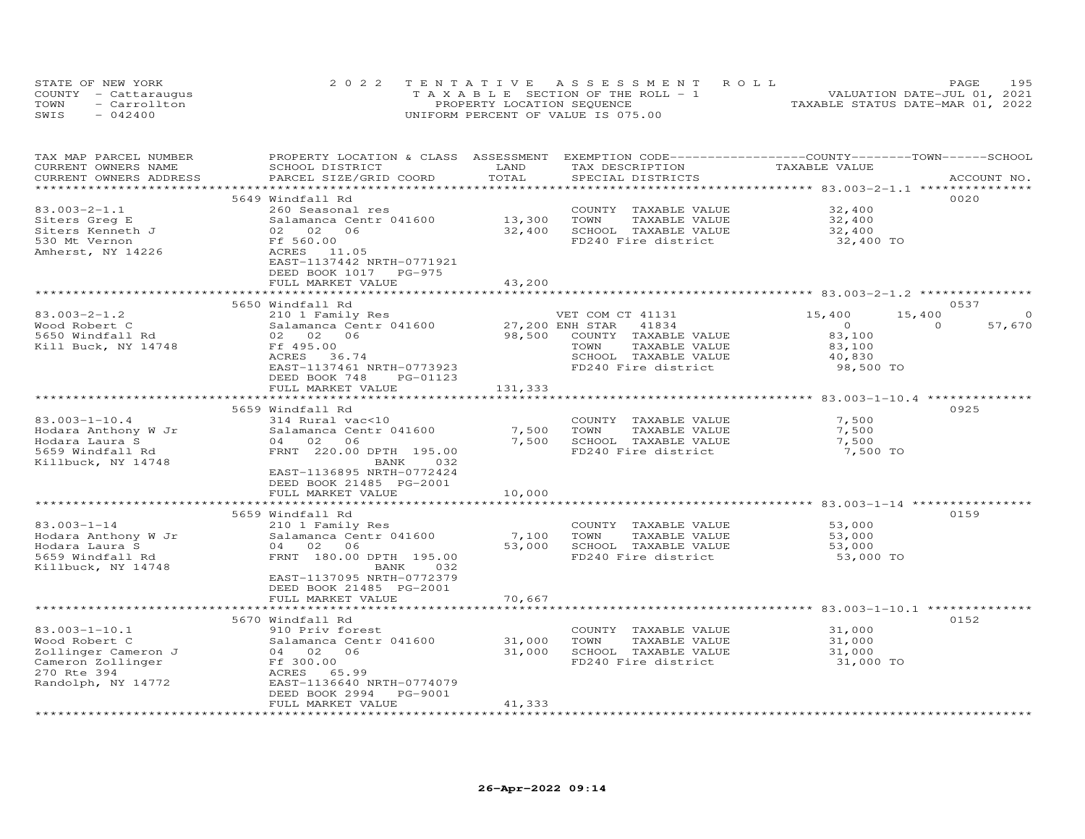| STATE OF NEW YORK    | 2022 TENTATIVE ASSESSMENT ROLL        |                                  | PAGE                        | 195 |
|----------------------|---------------------------------------|----------------------------------|-----------------------------|-----|
| COUNTY - Cattaraugus | T A X A B L E SECTION OF THE ROLL - 1 |                                  | VALUATION DATE-JUL 01, 2021 |     |
| TOWN<br>- Carrollton | PROPERTY LOCATION SEQUENCE            | TAXABLE STATUS DATE-MAR 01, 2022 |                             |     |
| SWIS<br>$-042400$    | UNIFORM PERCENT OF VALUE IS 075.00    |                                  |                             |     |

| TAX MAP PARCEL NUMBER<br>CURRENT OWNERS NAME<br>CURRENT OWNERS ADDRESS                   | PROPERTY LOCATION & CLASS ASSESSMENT EXEMPTION CODE----------------COUNTY-------TOWN-----SCHOOL<br>SCHOOL DISTRICT<br>PARCEL SIZE/GRID COORD | LAND<br>TOTAL    | TAX DESCRIPTION<br>SPECIAL DISTRICTS          | TAXABLE VALUE       | ACCOUNT NO.              |
|------------------------------------------------------------------------------------------|----------------------------------------------------------------------------------------------------------------------------------------------|------------------|-----------------------------------------------|---------------------|--------------------------|
|                                                                                          |                                                                                                                                              |                  |                                               |                     |                          |
| $83.003 - 2 - 1.1$<br>Siters Greq E                                                      | 5649 Windfall Rd<br>260 Seasonal res<br>Salamanca Centr 041600                                                                               |                  | COUNTY TAXABLE VALUE<br>TOWN<br>TAXABLE VALUE | 32,400<br>32,400    | 0020                     |
| Siters Kenneth J                                                                         | 3a1amanca<br>02 02<br>Ff 560.00<br>06                                                                                                        | 13,300<br>32,400 | SCHOOL TAXABLE VALUE                          | 32,400              |                          |
| 530 Mt Vernon                                                                            |                                                                                                                                              |                  | FD240 Fire district                           | 32,400 TO           |                          |
| Amherst, NY 14226                                                                        | ACRES 11.05<br>EAST-1137442 NRTH-0771921<br>DEED BOOK 1017 PG-975                                                                            |                  |                                               |                     |                          |
|                                                                                          | FULL MARKET VALUE                                                                                                                            | 43,200           |                                               |                     |                          |
|                                                                                          |                                                                                                                                              |                  |                                               |                     |                          |
|                                                                                          | 5650 Windfall Rd                                                                                                                             |                  |                                               |                     | 0537                     |
| $83.003 - 2 - 1.2$                                                                       | 210 1 Family Res                                                                                                                             |                  | VET COM CT 41131                              | 15,400              | 15,400<br>$\Omega$       |
| Wood Robert C                                                                            | Salamanca Centr 041600                                                                                                                       |                  | 27,200 ENH STAR 41834                         | $\overline{0}$      | $\overline{O}$<br>57,670 |
| 5650 Windfall Rd                                                                         | 0202<br>06                                                                                                                                   |                  | 98,500 COUNTY TAXABLE VALUE                   | 83,100              |                          |
| Kill Buck, NY 14748                                                                      | Ff 495.00                                                                                                                                    |                  | TOWN<br>TAXABLE VALUE                         | 83,100              |                          |
|                                                                                          | ACRES 36.74                                                                                                                                  |                  | SCHOOL TAXABLE VALUE                          | 40,830<br>98,500 TO |                          |
|                                                                                          | EAST-1137461 NRTH-0773923                                                                                                                    |                  | FD240 Fire district                           |                     |                          |
|                                                                                          | DEED BOOK 748<br>PG-01123                                                                                                                    |                  |                                               |                     |                          |
|                                                                                          | FULL MARKET VALUE                                                                                                                            | 131,333          |                                               |                     |                          |
|                                                                                          | 5659 Windfall Rd                                                                                                                             |                  |                                               |                     | 0925                     |
| $83.003 - 1 - 10.4$                                                                      | 314 Rural vac<10                                                                                                                             |                  | COUNTY TAXABLE VALUE                          | 7,500               |                          |
| Hodara Anthony W Jr                                                                      | Salamanca Centr 041600                                                                                                                       | 7,500 TOWN       | TAXABLE VALUE                                 | 7,500               |                          |
| Hodara Laura S                                                                           |                                                                                                                                              |                  | 7,500 SCHOOL TAXABLE VALUE                    | 7,500               |                          |
| 5659 Windfall Rd                                                                         | Salamanca Cer<br>04   02   06<br>FRNT  220.00<br>FRNT 220.00 DPTH 195.00                                                                     |                  | FD240 Fire district                           | 7,500 TO            |                          |
| Killbuck, NY 14748                                                                       | BANK<br>032                                                                                                                                  |                  |                                               |                     |                          |
|                                                                                          | EAST-1136895 NRTH-0772424                                                                                                                    |                  |                                               |                     |                          |
|                                                                                          | DEED BOOK 21485 PG-2001                                                                                                                      |                  |                                               |                     |                          |
|                                                                                          | FULL MARKET VALUE                                                                                                                            | 10,000           |                                               |                     |                          |
|                                                                                          |                                                                                                                                              |                  |                                               |                     |                          |
|                                                                                          | 5659 Windfall Rd                                                                                                                             |                  |                                               |                     | 0159                     |
| $83.003 - 1 - 14$                                                                        | 210 1 Family Res                                                                                                                             |                  | COUNTY TAXABLE VALUE                          | 53,000              |                          |
| Hodara Anthony W Jr                                                                      |                                                                                                                                              | 7,100 TOWN       | TAXABLE VALUE                                 | 53,000              |                          |
| Hodara Laura S                                                                           | Salamanca Centr 041600<br>04 02 06                                                                                                           |                  | 53,000 SCHOOL TAXABLE VALUE                   | 53,000              |                          |
| 5659 Windfall Rd                                                                         | FRNT 180.00 DPTH 195.00                                                                                                                      |                  | FD240 Fire district                           | 53,000 TO           |                          |
| Killbuck, NY 14748                                                                       | BANK<br>032                                                                                                                                  |                  |                                               |                     |                          |
|                                                                                          | EAST-1137095 NRTH-0772379                                                                                                                    |                  |                                               |                     |                          |
|                                                                                          | DEED BOOK 21485 PG-2001                                                                                                                      |                  |                                               |                     |                          |
|                                                                                          | FULL MARKET VALUE                                                                                                                            | 70,667           |                                               |                     |                          |
|                                                                                          | ************************                                                                                                                     |                  |                                               |                     |                          |
|                                                                                          | 5670 Windfall Rd                                                                                                                             |                  |                                               |                     | 0152                     |
| $83.003 - 1 - 10.1$                                                                      | 910 Priv forest                                                                                                                              |                  | COUNTY TAXABLE VALUE                          | 31,000              |                          |
| Wood Robert C                                                                            | Salamanca Centr 041600                                                                                                                       | 31,000           | TOWN<br>TAXABLE VALUE                         | 31,000              |                          |
| Zollinger Cameron J $04$ 02 06<br>Cameron Zollinger Ff 300.00<br>270 Rte 394 ACRES 65.99 |                                                                                                                                              | 31,000           | SCHOOL TAXABLE VALUE<br>FD240 Fire district   | 31,000              |                          |
|                                                                                          | ACRES 65.99                                                                                                                                  |                  |                                               | 31,000 TO           |                          |
| Randolph, NY 14772                                                                       | EAST-1136640 NRTH-0774079                                                                                                                    |                  |                                               |                     |                          |
|                                                                                          | DEED BOOK 2994<br>PG-9001                                                                                                                    |                  |                                               |                     |                          |
|                                                                                          | FULL MARKET VALUE                                                                                                                            | 41,333           |                                               |                     |                          |
|                                                                                          |                                                                                                                                              |                  |                                               |                     |                          |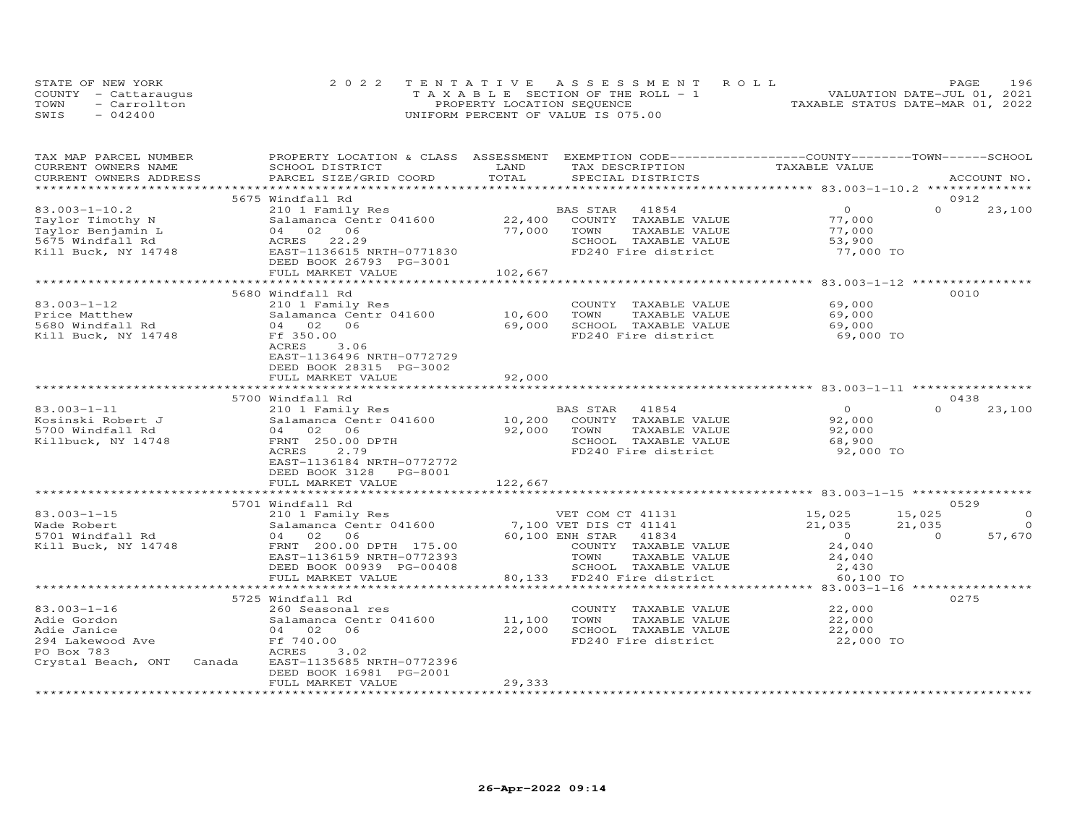|      | STATE OF NEW YORK    | 2022 TENTATIVE ASSESSMENT ROLL        | 196<br>PAGE                      |
|------|----------------------|---------------------------------------|----------------------------------|
|      | COUNTY - Cattaraugus | T A X A B L E SECTION OF THE ROLL - 1 | VALUATION DATE-JUL 01, 2021      |
| TOWN | - Carrollton         | PROPERTY LOCATION SEQUENCE            | TAXABLE STATUS DATE-MAR 01, 2022 |
| SWIS | $-042400$            | UNIFORM PERCENT OF VALUE IS 075.00    |                                  |

| TAX MAP PARCEL NUMBER<br>CURRENT OWNERS NAME | PROPERTY LOCATION & CLASS ASSESSMENT EXEMPTION CODE----------------COUNTY-------TOWN-----SCHOOL<br>SCHOOL DISTRICT | LAND    | TAX DESCRIPTION                                                 | TAXABLE VALUE    |                    |
|----------------------------------------------|--------------------------------------------------------------------------------------------------------------------|---------|-----------------------------------------------------------------|------------------|--------------------|
| CURRENT OWNERS ADDRESS                       | PARCEL SIZE/GRID COORD                                                                                             | TOTAL   | SPECIAL DISTRICTS                                               |                  | ACCOUNT NO.        |
|                                              |                                                                                                                    |         |                                                                 |                  |                    |
|                                              | 5675 Windfall Rd                                                                                                   |         |                                                                 |                  | 0912               |
| $83.003 - 1 - 10.2$                          | 210 1 Family Res                                                                                                   |         | 41854<br>BAS STAR                                               | $\circ$          | $\Omega$<br>23,100 |
| Taylor Timothy N                             | Salamanca Centr 041600                                                                                             | 22,400  | COUNTY TAXABLE VALUE                                            | 77,000           |                    |
| Taylor Benjamin L                            | 04 02 06                                                                                                           | 77,000  | TOWN<br>TAXABLE VALUE                                           | 77,000           |                    |
| 5675 Windfall Rd                             | 22.29<br>ACRES                                                                                                     |         | SCHOOL TAXABLE VALUE                                            | 53,900           |                    |
| Kill Buck, NY 14748                          | EAST-1136615 NRTH-0771830                                                                                          |         | FD240 Fire district                                             | 77,000 TO        |                    |
|                                              | DEED BOOK 26793 PG-3001                                                                                            |         |                                                                 |                  |                    |
|                                              | FULL MARKET VALUE                                                                                                  | 102,667 |                                                                 |                  |                    |
|                                              |                                                                                                                    |         |                                                                 |                  |                    |
|                                              | 5680 Windfall Rd                                                                                                   |         |                                                                 |                  | 0010               |
| $83.003 - 1 - 12$                            | 210 1 Family Res                                                                                                   |         | COUNTY TAXABLE VALUE                                            | 69,000           |                    |
| Price Matthew                                | Salamanca Centr 041600                                                                                             | 10,600  | TOWN<br>TAXABLE VALUE                                           | 69,000           |                    |
| 5680 Windfall Rd                             | 04 02 06                                                                                                           | 69,000  | SCHOOL TAXABLE VALUE                                            | 69,000           |                    |
| Kill Buck, NY 14748                          | Ff 350.00                                                                                                          |         | FD240 Fire district                                             | 69,000 TO        |                    |
|                                              | ACRES<br>3.06                                                                                                      |         |                                                                 |                  |                    |
|                                              | EAST-1136496 NRTH-0772729                                                                                          |         |                                                                 |                  |                    |
|                                              | DEED BOOK 28315 PG-3002                                                                                            |         |                                                                 |                  |                    |
|                                              | FULL MARKET VALUE                                                                                                  | 92,000  |                                                                 |                  |                    |
|                                              |                                                                                                                    |         |                                                                 |                  | 0438               |
| $83.003 - 1 - 11$                            | 5700 Windfall Rd<br>210 1 Family Res                                                                               |         | BAS STAR<br>41854                                               | $\Omega$         | $\Omega$<br>23,100 |
| Kosinski Robert J                            | Salamanca Centr 041600                                                                                             | 10,200  | COUNTY TAXABLE VALUE                                            | 92,000           |                    |
| 5700 Windfall Rd                             | 06<br>04 02                                                                                                        | 92,000  | TOWN<br>TAXABLE VALUE                                           | 92,000           |                    |
| Killbuck, NY 14748                           | FRNT 250.00 DPTH                                                                                                   |         | SCHOOL TAXABLE VALUE                                            | 68,900           |                    |
|                                              | ACRES<br>2.79                                                                                                      |         | FD240 Fire district                                             | 92,000 TO        |                    |
|                                              | EAST-1136184 NRTH-0772772                                                                                          |         |                                                                 |                  |                    |
|                                              | DEED BOOK 3128<br>PG-8001                                                                                          |         |                                                                 |                  |                    |
|                                              | FULL MARKET VALUE                                                                                                  | 122,667 |                                                                 |                  |                    |
|                                              |                                                                                                                    |         |                                                                 |                  |                    |
|                                              | 5701 Windfall Rd                                                                                                   |         |                                                                 |                  | 0529               |
| $83.003 - 1 - 15$                            | 210 1 Family Res                                                                                                   |         | VET COM CT 41131                                                | 15,025<br>15,025 | $\circ$            |
| Wade Robert                                  | Salamanca Centr 041600                                                                                             |         | 7,100 VET DIS CT 41141                                          | 21,035<br>21,035 | $\Omega$           |
| 5701 Windfall Rd                             | 04 02 06                                                                                                           |         | 60,100 ENH STAR 41834                                           | $\overline{0}$   | 57,670<br>$\Omega$ |
| Kill Buck, NY 14748                          | FRNT 200.00 DPTH 175.00                                                                                            |         | COUNTY TAXABLE VALUE                                            | 24,040           |                    |
|                                              | EAST-1136159 NRTH-0772393                                                                                          |         | TOWN<br>TAXABLE VALUE                                           | 24,040           |                    |
|                                              | DEED BOOK 00939 PG-00408                                                                                           |         | SCHOOL TAXABLE VALUE                                            | 2,430            |                    |
|                                              | FULL MARKET VALUE                                                                                                  |         | 80,133 FD240 Fire district                                      | 60,100 TO        |                    |
|                                              | ************************                                                                                           |         | ********************************** 83.003-1-16 **************** |                  |                    |
|                                              | 5725 Windfall Rd                                                                                                   |         |                                                                 |                  | 0275               |
| $83.003 - 1 - 16$                            | 260 Seasonal res                                                                                                   |         | COUNTY TAXABLE VALUE                                            | 22,000           |                    |
| Adie Gordon                                  | Salamanca Centr 041600                                                                                             | 11,100  | TAXABLE VALUE<br>TOWN                                           | 22,000           |                    |
| Adie Janice                                  | 04 02 06                                                                                                           | 22,000  | SCHOOL TAXABLE VALUE                                            | 22,000           |                    |
| 294 Lakewood Ave                             | Ff 740.00                                                                                                          |         | FD240 Fire district                                             | 22,000 TO        |                    |
| PO Box 783                                   | ACRES<br>3.02                                                                                                      |         |                                                                 |                  |                    |
| Crystal Beach, ONT                           | EAST-1135685 NRTH-0772396<br>Canada                                                                                |         |                                                                 |                  |                    |
|                                              | DEED BOOK 16981 PG-2001                                                                                            |         |                                                                 |                  |                    |
|                                              | FULL MARKET VALUE                                                                                                  | 29,333  |                                                                 |                  |                    |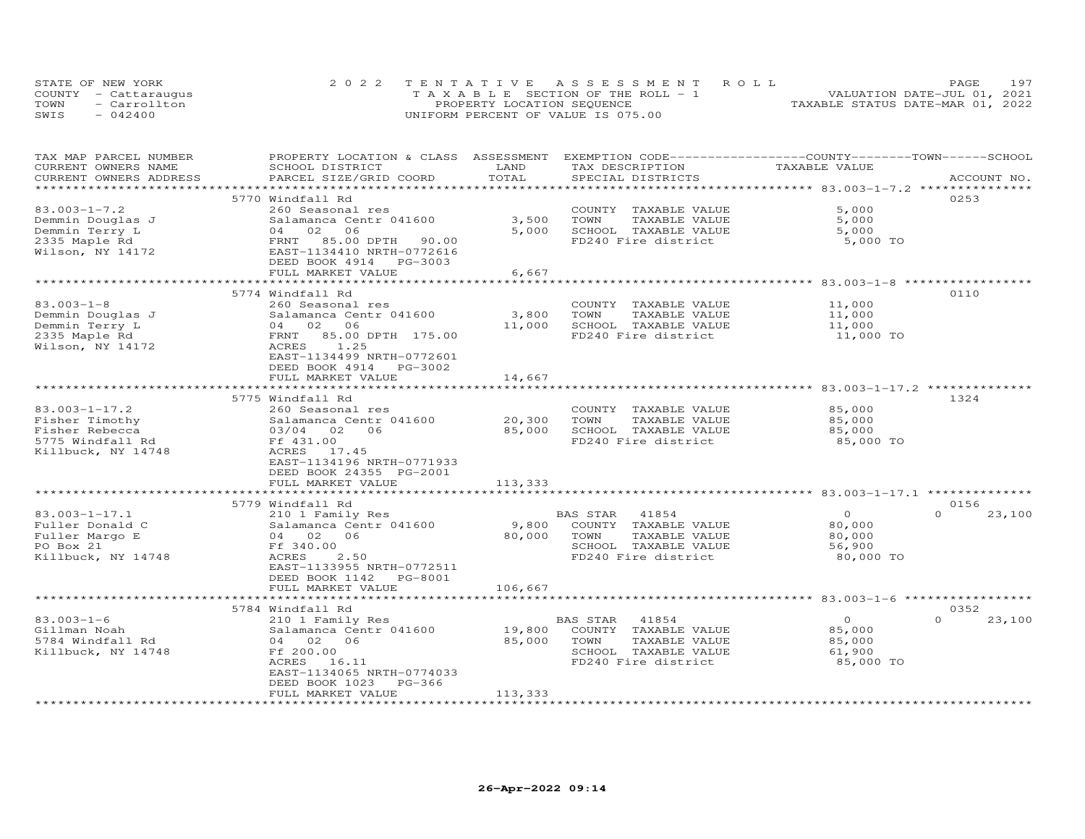| STATE OF NEW YORK    | 2022 TENTATIVE ASSESSMENT ROLL        | PAGE                             | 197 |
|----------------------|---------------------------------------|----------------------------------|-----|
| COUNTY - Cattaraugus | T A X A B L E SECTION OF THE ROLL - 1 | VALUATION DATE-JUL 01, 2021      |     |
| - Carrollton<br>TOWN | PROPERTY LOCATION SEQUENCE            | TAXABLE STATUS DATE-MAR 01, 2022 |     |
| $-042400$<br>SWIS    | UNIFORM PERCENT OF VALUE IS 075.00    |                                  |     |

| TAX MAP PARCEL NUMBER    | PROPERTY LOCATION & CLASS ASSESSMENT       |         | EXEMPTION CODE-----------------COUNTY-------TOWN------SCHOOL |                                            |                    |
|--------------------------|--------------------------------------------|---------|--------------------------------------------------------------|--------------------------------------------|--------------------|
| CURRENT OWNERS NAME      | SCHOOL DISTRICT                            | LAND    | TAX DESCRIPTION                                              | TAXABLE VALUE                              |                    |
| CURRENT OWNERS ADDRESS   | PARCEL SIZE/GRID COORD                     | TOTAL   | SPECIAL DISTRICTS                                            |                                            | ACCOUNT NO.        |
|                          |                                            |         |                                                              |                                            |                    |
|                          | 5770 Windfall Rd                           |         |                                                              |                                            | 0253               |
| $83.003 - 1 - 7.2$       | 260 Seasonal res                           |         | COUNTY TAXABLE VALUE                                         | 5,000                                      |                    |
| Demmin Douglas J         | Salamanca Centr 041600                     | 3,500   | TOWN<br>TAXABLE VALUE                                        | 5,000                                      |                    |
| Demmin Terry L           | 04 02 06                                   | 5,000   | SCHOOL TAXABLE VALUE                                         | 5,000                                      |                    |
| 2335 Maple Rd            | FRNT 85.00 DPTH 90.00                      |         | FD240 Fire district                                          | 5,000 TO                                   |                    |
| Wilson, NY 14172         | EAST-1134410 NRTH-0772616                  |         |                                                              |                                            |                    |
|                          | DEED BOOK 4914 PG-3003                     |         |                                                              |                                            |                    |
|                          | FULL MARKET VALUE                          | 6,667   |                                                              |                                            |                    |
|                          |                                            |         |                                                              |                                            |                    |
|                          | 5774 Windfall Rd                           |         |                                                              |                                            | 0110               |
| $83.003 - 1 - 8$         | 260 Seasonal res                           |         | COUNTY TAXABLE VALUE                                         | 11,000                                     |                    |
| Demmin Douglas J         | Salamanca Centr 041600                     | 3,800   | TOWN<br>TAXABLE VALUE                                        | 11,000                                     |                    |
|                          | 04 02 06                                   |         | SCHOOL TAXABLE VALUE                                         |                                            |                    |
| Demmin Terry L           |                                            | 11,000  |                                                              | 11,000                                     |                    |
| 2335 Maple Rd            | FRNT 85.00 DPTH 175.00                     |         | FD240 Fire district                                          | 11,000 TO                                  |                    |
| Wilson, NY 14172         | ACRES<br>1.25                              |         |                                                              |                                            |                    |
|                          | EAST-1134499 NRTH-0772601                  |         |                                                              |                                            |                    |
|                          | DEED BOOK 4914<br>PG-3002                  |         |                                                              |                                            |                    |
|                          | FULL MARKET VALUE                          | 14,667  |                                                              |                                            |                    |
|                          |                                            |         |                                                              |                                            |                    |
|                          | 5775 Windfall Rd                           |         |                                                              |                                            | 1324               |
| $83.003 - 1 - 17.2$      | 260 Seasonal res                           |         | COUNTY TAXABLE VALUE                                         | 85,000                                     |                    |
| Fisher Timothy           | Salamanca Centr 041600                     | 20,300  | TAXABLE VALUE<br>TOWN                                        | 85,000                                     |                    |
| Fisher Rebecca           | 03/04 02 06                                | 85,000  | SCHOOL TAXABLE VALUE                                         | 85,000                                     |                    |
| 5775 Windfall Rd         | Ff 431.00                                  |         | FD240 Fire district                                          | 85,000 TO                                  |                    |
| Killbuck, NY 14748       | ACRES 17.45                                |         |                                                              |                                            |                    |
|                          | EAST-1134196 NRTH-0771933                  |         |                                                              |                                            |                    |
|                          | DEED BOOK 24355 PG-2001                    |         |                                                              |                                            |                    |
|                          | FULL MARKET VALUE                          | 113,333 |                                                              |                                            |                    |
|                          | *********************                      |         |                                                              | ************ 83.003-1-17.1 *************** |                    |
|                          | 5779 Windfall Rd                           |         |                                                              |                                            | 0156               |
| $83.003 - 1 - 17.1$      |                                            |         | BAS STAR 41854                                               | $\Omega$                                   | $\Omega$<br>23,100 |
| Fuller Donald C          | 210 1 Family Res<br>Salamanca Centr 041600 |         | COUNTY TAXABLE VALUE                                         | 80,000                                     |                    |
|                          |                                            | 9,800   |                                                              |                                            |                    |
| Fuller Margo E           | 04 02 06                                   | 80,000  | TAXABLE VALUE<br>TOWN                                        | 80,000                                     |                    |
| PO Box 21                | Ff 340.00                                  |         | SCHOOL TAXABLE VALUE                                         | 56,900                                     |                    |
| Killbuck, NY 14748       | <b>ACRES</b><br>2.50                       |         | FD240 Fire district                                          | 80,000 TO                                  |                    |
|                          | EAST-1133955 NRTH-0772511                  |         |                                                              |                                            |                    |
|                          | DEED BOOK 1142 PG-8001                     |         |                                                              |                                            |                    |
|                          | FULL MARKET VALUE                          | 106,667 |                                                              |                                            |                    |
|                          |                                            |         |                                                              |                                            |                    |
|                          | 5784 Windfall Rd                           |         |                                                              |                                            | 0352               |
| $83.003 - 1 - 6$         | 210 1 Family Res                           |         | BAS STAR<br>41854                                            | $\overline{O}$                             | $\Omega$<br>23,100 |
| Gillman Noah             | Salamanca Centr 041600                     | 19,800  | COUNTY TAXABLE VALUE                                         | 85,000                                     |                    |
| 5784 Windfall Rd         | 04 02 06                                   | 85,000  | TOWN<br>TAXABLE VALUE                                        | 85,000                                     |                    |
| Killbuck, NY 14748       | Ff 200.00                                  |         | SCHOOL TAXABLE VALUE                                         | 61,900                                     |                    |
|                          | ACRES 16.11                                |         | FD240 Fire district                                          | 85,000 TO                                  |                    |
|                          | EAST-1134065 NRTH-0774033                  |         |                                                              |                                            |                    |
|                          | DEED BOOK 1023<br>$PG-366$                 |         |                                                              |                                            |                    |
|                          | FULL MARKET VALUE                          | 113,333 |                                                              |                                            |                    |
| ************************ |                                            |         |                                                              |                                            |                    |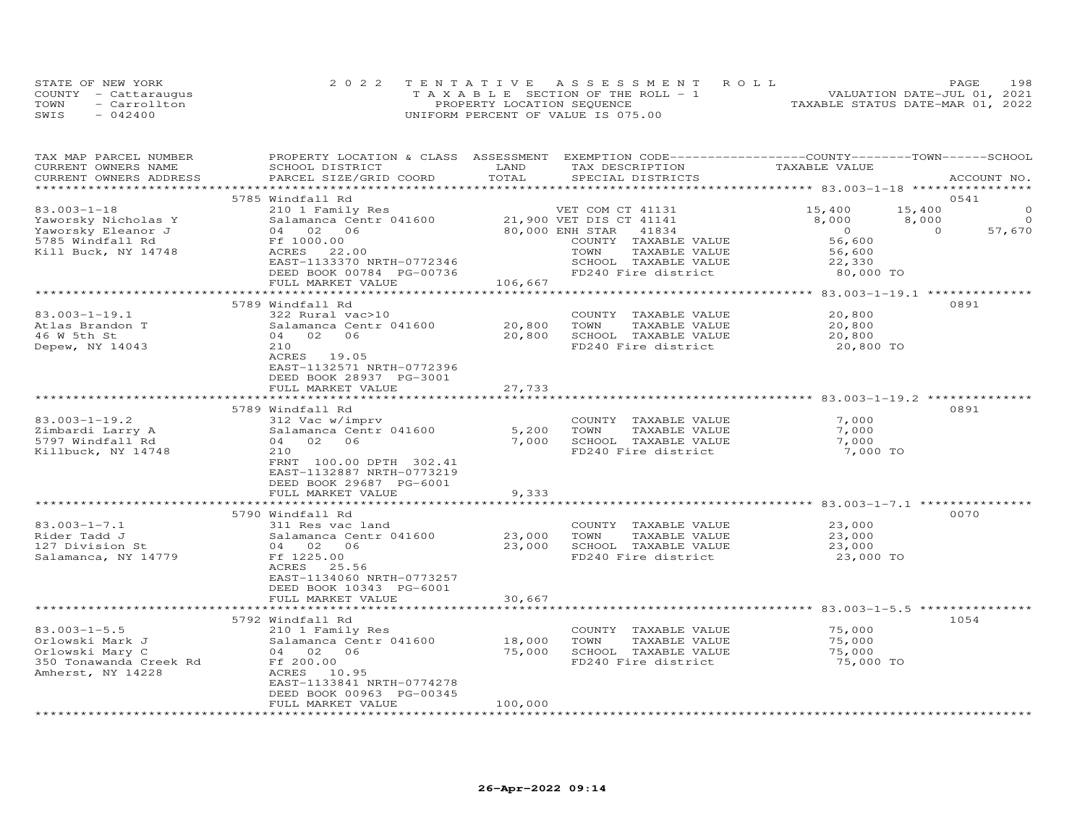|      | STATE OF NEW YORK    | 2022 TENTATIVE ASSESSMENT ROLL        |                                  | PAGE                        | 198 |
|------|----------------------|---------------------------------------|----------------------------------|-----------------------------|-----|
|      | COUNTY - Cattaraugus | T A X A B L E SECTION OF THE ROLL - 1 |                                  | VALUATION DATE-JUL 01, 2021 |     |
| TOWN | - Carrollton         | PROPERTY LOCATION SEQUENCE            | TAXABLE STATUS DATE-MAR 01, 2022 |                             |     |
| SWIS | $-042400$            | UNIFORM PERCENT OF VALUE IS 075.00    |                                  |                             |     |

| TAX MAP PARCEL NUMBER<br>CURRENT OWNERS NAME<br>CURRENT OWNERS ADDRESS | PROPERTY LOCATION & CLASS ASSESSMENT EXEMPTION CODE----------------COUNTY-------TOWN-----SCHOOL<br>SCHOOL DISTRICT<br>PARCEL SIZE/GRID COORD | LAND<br>TOTAL          | TAX DESCRIPTION<br>SPECIAL DISTRICTS | TAXABLE VALUE                                 | ACCOUNT NO.              |
|------------------------------------------------------------------------|----------------------------------------------------------------------------------------------------------------------------------------------|------------------------|--------------------------------------|-----------------------------------------------|--------------------------|
|                                                                        |                                                                                                                                              |                        |                                      |                                               |                          |
|                                                                        | 5785 Windfall Rd                                                                                                                             |                        |                                      |                                               | 0541                     |
| $83.003 - 1 - 18$                                                      | 210 1 Family Res                                                                                                                             |                        | VET COM CT 41131                     | 15,400                                        | 15,400<br>$\Omega$       |
| Yaworsky Nicholas Y                                                    | Salamanca Centr 041600                                                                                                                       |                        | 21,900 VET DIS CT 41141              | 8,000                                         | 8,000<br>$\Omega$        |
| Yaworsky Eleanor J                                                     | 04 02 06                                                                                                                                     |                        | 41834<br>80,000 ENH STAR             | $\overline{0}$                                | $\overline{0}$<br>57,670 |
| 5785 Windfall Rd                                                       | Ff 1000.00                                                                                                                                   |                        | COUNTY TAXABLE VALUE                 | 56,600                                        |                          |
| Kill Buck, NY 14748                                                    | ACRES<br>22.00                                                                                                                               |                        | TAXABLE VALUE<br>TOWN                | 56,600                                        |                          |
|                                                                        | EAST-1133370 NRTH-0772346                                                                                                                    |                        | SCHOOL TAXABLE VALUE                 | 22,330                                        |                          |
|                                                                        | DEED BOOK 00784 PG-00736                                                                                                                     |                        | FD240 Fire district                  | 80,000 TO                                     |                          |
|                                                                        | FULL MARKET VALUE                                                                                                                            | 106,667                |                                      |                                               |                          |
|                                                                        | ***************************                                                                                                                  | ********************** |                                      | *************** 83.003-1-19.1 *************** |                          |
|                                                                        | 5789 Windfall Rd                                                                                                                             |                        |                                      |                                               | 0891                     |
| $83.003 - 1 - 19.1$                                                    | 322 Rural vac>10                                                                                                                             |                        | COUNTY TAXABLE VALUE                 | 20,800                                        |                          |
| Atlas Brandon T                                                        | Salamanca Centr 041600                                                                                                                       | 20,800                 | TOWN<br>TAXABLE VALUE                | 20,800                                        |                          |
| 46 W 5th St                                                            | 06<br>04 02                                                                                                                                  | 20,800                 | SCHOOL TAXABLE VALUE                 | 20,800                                        |                          |
| Depew, NY 14043                                                        | 210                                                                                                                                          |                        | FD240 Fire district                  | 20,800 TO                                     |                          |
|                                                                        | ACRES 19.05                                                                                                                                  |                        |                                      |                                               |                          |
|                                                                        | EAST-1132571 NRTH-0772396                                                                                                                    |                        |                                      |                                               |                          |
|                                                                        | DEED BOOK 28937 PG-3001                                                                                                                      |                        |                                      |                                               |                          |
|                                                                        | FULL MARKET VALUE                                                                                                                            | 27,733                 |                                      |                                               |                          |
|                                                                        | *************************                                                                                                                    |                        |                                      |                                               |                          |
|                                                                        | 5789 Windfall Rd                                                                                                                             |                        |                                      |                                               | 0891                     |
| $83.003 - 1 - 19.2$                                                    | 312 Vac w/imprv                                                                                                                              |                        | COUNTY TAXABLE VALUE                 | 7,000                                         |                          |
| Zimbardi Larry A                                                       | Salamanca Centr 041600                                                                                                                       | 5,200                  | TOWN<br>TAXABLE VALUE                | 7,000                                         |                          |
| 5797 Windfall Rd                                                       | 04 02 06                                                                                                                                     | 7,000                  | SCHOOL TAXABLE VALUE                 | 7,000                                         |                          |
| Killbuck, NY 14748                                                     | 210                                                                                                                                          |                        | FD240 Fire district                  | 7,000 TO                                      |                          |
|                                                                        | FRNT 100.00 DPTH 302.41                                                                                                                      |                        |                                      |                                               |                          |
|                                                                        | EAST-1132887 NRTH-0773219                                                                                                                    |                        |                                      |                                               |                          |
|                                                                        | DEED BOOK 29687 PG-6001                                                                                                                      |                        |                                      |                                               |                          |
|                                                                        | FULL MARKET VALUE                                                                                                                            | 9,333                  |                                      |                                               |                          |
|                                                                        | ***********************                                                                                                                      | *************          |                                      |                                               |                          |
|                                                                        | 5790 Windfall Rd                                                                                                                             |                        |                                      |                                               | 0070                     |
| $83.003 - 1 - 7.1$                                                     | 311 Res vac land                                                                                                                             |                        | COUNTY TAXABLE VALUE                 | 23,000                                        |                          |
| Rider Tadd J                                                           | Salamanca Centr 041600                                                                                                                       | 23,000                 | TOWN<br>TAXABLE VALUE                | 23,000                                        |                          |
| 127 Division St                                                        | 04 02 06                                                                                                                                     | 23,000                 | SCHOOL TAXABLE VALUE                 | 23,000                                        |                          |
| Salamanca, NY 14779                                                    | Ff 1225.00                                                                                                                                   |                        | FD240 Fire district                  | 23,000 TO                                     |                          |
|                                                                        | ACRES 25.56                                                                                                                                  |                        |                                      |                                               |                          |
|                                                                        | EAST-1134060 NRTH-0773257                                                                                                                    |                        |                                      |                                               |                          |
|                                                                        | DEED BOOK 10343 PG-6001                                                                                                                      |                        |                                      |                                               |                          |
|                                                                        | FULL MARKET VALUE                                                                                                                            | 30,667                 |                                      |                                               |                          |
|                                                                        |                                                                                                                                              |                        |                                      |                                               |                          |
|                                                                        | 5792 Windfall Rd                                                                                                                             |                        |                                      |                                               | 1054                     |
| $83.003 - 1 - 5.5$                                                     | 210 1 Family Res                                                                                                                             |                        | COUNTY TAXABLE VALUE                 | 75,000                                        |                          |
| Orlowski Mark J                                                        | Salamanca Centr 041600                                                                                                                       | 18,000                 | TOWN<br>TAXABLE VALUE                | 75,000                                        |                          |
| Orlowski Mary C                                                        | 04 02 06                                                                                                                                     | 75,000                 | SCHOOL TAXABLE VALUE                 | 75,000                                        |                          |
| 350 Tonawanda Creek Rd                                                 | Ff 200.00                                                                                                                                    |                        | FD240 Fire district                  | 75,000 TO                                     |                          |
| Amherst, NY 14228                                                      | ACRES 10.95                                                                                                                                  |                        |                                      |                                               |                          |
|                                                                        | EAST-1133841 NRTH-0774278                                                                                                                    |                        |                                      |                                               |                          |
|                                                                        | DEED BOOK 00963 PG-00345                                                                                                                     |                        |                                      |                                               |                          |
|                                                                        | FULL MARKET VALUE                                                                                                                            | 100,000                |                                      |                                               |                          |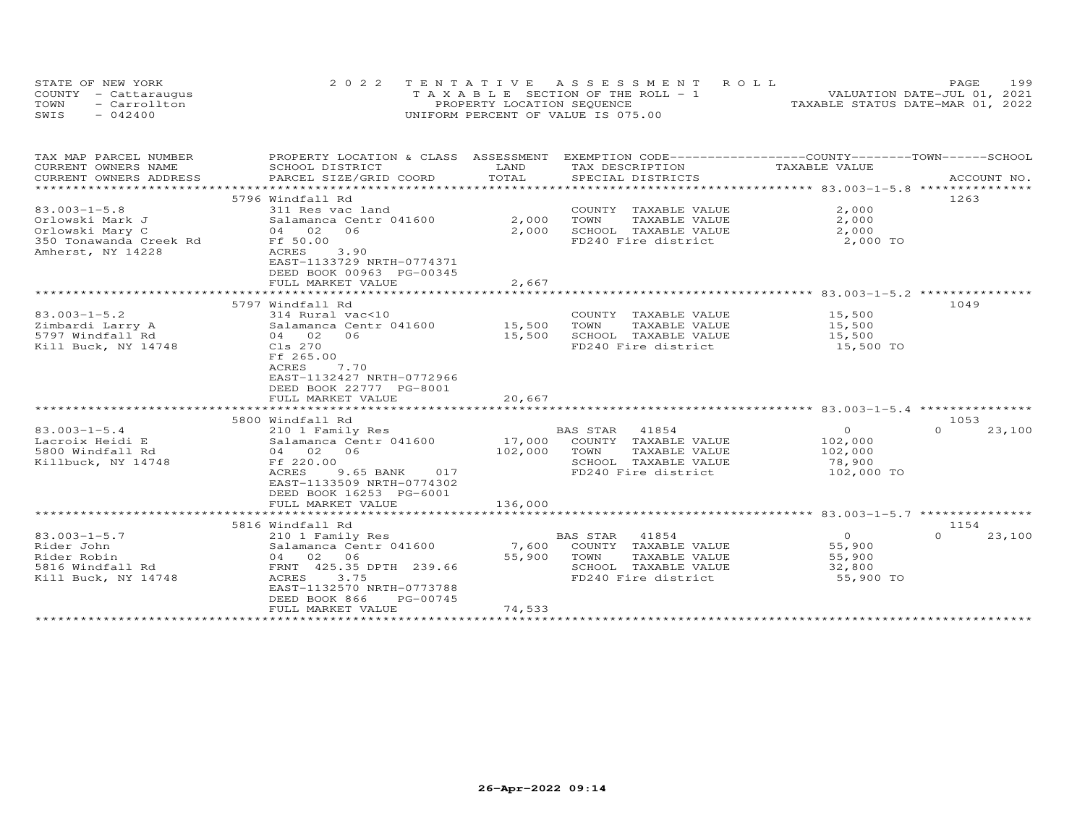| STATE OF NEW YORK    | 2022 TENTATIVE ASSESSMENT ROLL        | PAGE                             | 199 |
|----------------------|---------------------------------------|----------------------------------|-----|
| COUNTY - Cattaraugus | T A X A B L E SECTION OF THE ROLL - 1 | VALUATION DATE-JUL 01, 2021      |     |
| TOWN<br>- Carrollton | PROPERTY LOCATION SEQUENCE            | TAXABLE STATUS DATE-MAR 01, 2022 |     |
| $-042400$<br>SWIS    | UNIFORM PERCENT OF VALUE IS 075.00    |                                  |     |

| TAX MAP PARCEL NUMBER  | PROPERTY LOCATION & CLASS ASSESSMENT EXEMPTION CODE----------------COUNTY-------TOWN-----SCHOOL |         |                             |                    |                    |
|------------------------|-------------------------------------------------------------------------------------------------|---------|-----------------------------|--------------------|--------------------|
| CURRENT OWNERS NAME    | SCHOOL DISTRICT                                                                                 | LAND    | TAX DESCRIPTION             | TAXABLE VALUE      |                    |
| CURRENT OWNERS ADDRESS | PARCEL SIZE/GRID COORD                                                                          | TOTAL   | SPECIAL DISTRICTS           |                    | ACCOUNT NO.        |
|                        |                                                                                                 |         |                             |                    |                    |
|                        | 5796 Windfall Rd                                                                                |         |                             |                    | 1263               |
| $83.003 - 1 - 5.8$     | 311 Res vac land                                                                                |         | COUNTY TAXABLE VALUE        | 2,000              |                    |
| Orlowski Mark J        | Salamanca Centr 041600                                                                          | 2,000   | TOWN<br>TAXABLE VALUE       | 2,000              |                    |
| Orlowski Mary C        | 04 02 06                                                                                        | 2,000   | SCHOOL TAXABLE VALUE        | 2,000              |                    |
| 350 Tonawanda Creek Rd | Ff 50.00<br>ACRES                                                                               |         | FD240 Fire district         | 2,000 TO           |                    |
| Amherst, NY 14228      | 3.90<br>EAST-1133729 NRTH-0774371                                                               |         |                             |                    |                    |
|                        | DEED BOOK 00963 PG-00345                                                                        |         |                             |                    |                    |
|                        | FULL MARKET VALUE                                                                               | 2,667   |                             |                    |                    |
|                        |                                                                                                 |         |                             |                    |                    |
|                        | 5797 Windfall Rd                                                                                |         |                             |                    | 1049               |
| $83.003 - 1 - 5.2$     | 314 Rural vac<10                                                                                |         | COUNTY TAXABLE VALUE        | 15,500             |                    |
| Zimbardi Larry A       | $314 \text{ Nular}$ vaces                                                                       |         | TOWN<br>TAXABLE VALUE       | 15,500             |                    |
| 5797 Windfall Rd       | 04 02 06                                                                                        | 15,500  | SCHOOL TAXABLE VALUE        | 15,500             |                    |
| Kill Buck, NY 14748    | Cls 270                                                                                         |         | FD240 Fire district         | 15,500 TO          |                    |
|                        | Ff 265.00                                                                                       |         |                             |                    |                    |
|                        | 7.70<br>ACRES                                                                                   |         |                             |                    |                    |
|                        | EAST-1132427 NRTH-0772966                                                                       |         |                             |                    |                    |
|                        | DEED BOOK 22777 PG-8001                                                                         |         |                             |                    |                    |
|                        | FULL MARKET VALUE                                                                               | 20,667  |                             |                    |                    |
|                        | 5800 Windfall Rd                                                                                |         |                             |                    | 1053               |
| $83.003 - 1 - 5.4$     | 210 1 Family Res                                                                                |         | BAS STAR<br>41854           | $\overline{O}$     | $\Omega$<br>23,100 |
| Lacroix Heidi E        | Salamanca Centr 041600                                                                          |         | 17,000 COUNTY TAXABLE VALUE |                    |                    |
| 5800 Windfall Rd       |                                                                                                 | 102,000 | TOWN<br>TAXABLE VALUE       | 102,000<br>102,000 |                    |
| Killbuck, NY 14748     | $04 \n02 \n06$<br>Ff 220.00                                                                     |         | SCHOOL TAXABLE VALUE        | 78,900             |                    |
|                        | ACRES<br>9.65 BANK 017                                                                          |         | FD240 Fire district         | 102,000 TO         |                    |
|                        | EAST-1133509 NRTH-0774302                                                                       |         |                             |                    |                    |
|                        | DEED BOOK 16253 PG-6001                                                                         |         |                             |                    |                    |
|                        | FULL MARKET VALUE                                                                               | 136,000 |                             |                    |                    |
|                        |                                                                                                 |         |                             |                    |                    |
|                        | 5816 Windfall Rd                                                                                |         |                             |                    | 1154               |
| $83.003 - 1 - 5.7$     | 210 1 Family Res                                                                                |         | <b>BAS STAR</b> 41854       | $\Omega$           | $\Omega$<br>23,100 |
| Rider John             | Salamanca Centr 041600                                                                          |         | 7,600 COUNTY TAXABLE VALUE  | 55,900             |                    |
| Rider Robin            | 04 02 06                                                                                        | 55,900  | TOWN<br>TAXABLE VALUE       | 55,900             |                    |
| 5816 Windfall Rd       | FRNT 425.35 DPTH 239.66                                                                         |         | SCHOOL TAXABLE VALUE        | 32,800             |                    |
| Kill Buck, NY 14748    | 3.75<br>ACRES<br>EAST-1132570 NRTH-0773788                                                      |         | FD240 Fire district         | 55,900 TO          |                    |
|                        | DEED BOOK 866<br>PG-00745                                                                       |         |                             |                    |                    |
|                        | FULL MARKET VALUE                                                                               | 74,533  |                             |                    |                    |
|                        |                                                                                                 |         |                             |                    |                    |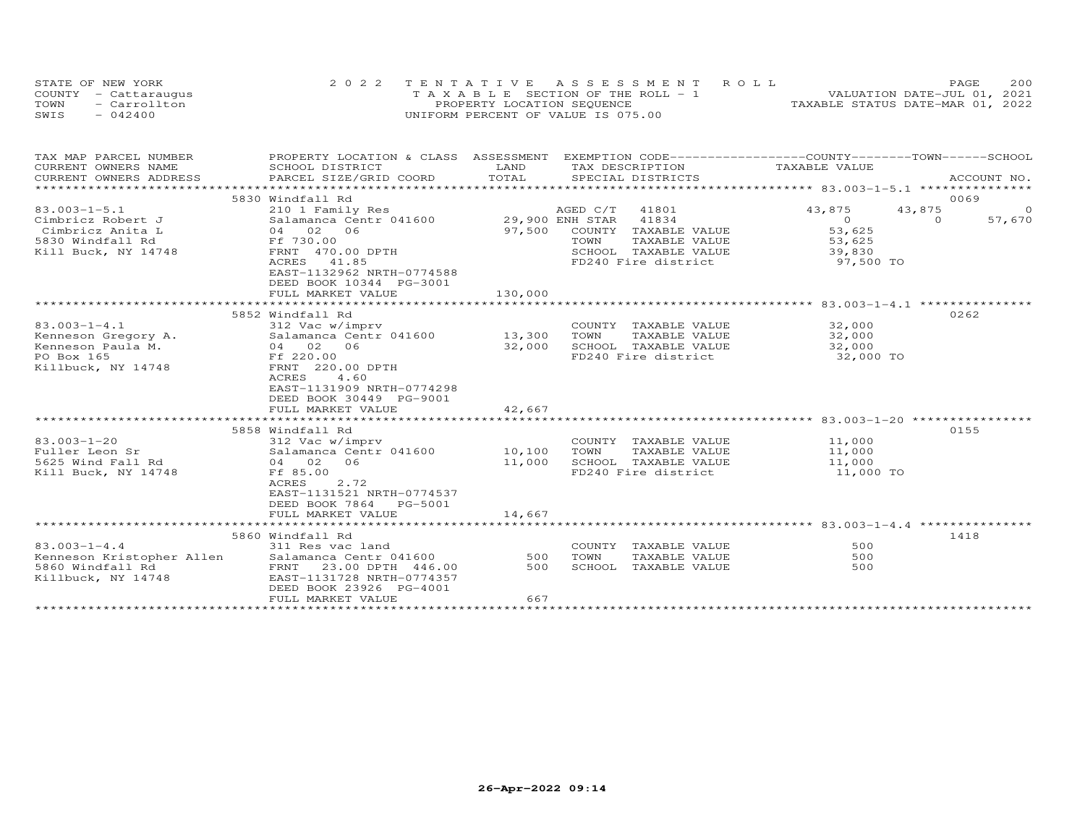| STATE OF NEW YORK    | 2022 TENTATIVE ASSESSMENT ROLL                 | 200<br>PAGE                      |
|----------------------|------------------------------------------------|----------------------------------|
| COUNTY - Cattaraugus | $T A X A B I F S E C T I ON OF THE RO I J - 1$ | VALUATION DATE-JUL 01, 2021      |
| TOWN<br>- Carrollton | PROPERTY LOCATION SEOUENCE                     | TAXABLE STATUS DATE-MAR 01, 2022 |
| SWIS<br>$-042400$    | UNIFORM PERCENT OF VALUE IS 075.00             |                                  |

| TAX MAP PARCEL NUMBER                                         | PROPERTY LOCATION & CLASS ASSESSMENT EXEMPTION CODE----------------COUNTY-------TOWN------SCHOOL                                                                               |         |                |                                                                                               |                               |                |         |
|---------------------------------------------------------------|--------------------------------------------------------------------------------------------------------------------------------------------------------------------------------|---------|----------------|-----------------------------------------------------------------------------------------------|-------------------------------|----------------|---------|
| CURRENT OWNERS NAME                                           | SCHOOL DISTRICT                                                                                                                                                                | LAND    |                | TAX DESCRIPTION                                                                               | TAXABLE VALUE                 |                |         |
| CURRENT OWNERS ADDRESS                                        | CONNEIN OWNERS ADDRESS FORCEL SIZE/GRID COORD FOTAL SEECIAL DISTRICTS FOR ACCOUNT NO.<br>CURRENT OWNERS ADDRESS PARCEL SIZE/GRID COORD TOTAL SEECIAL DISTRICTS FOR ACCOUNT NO. |         |                |                                                                                               |                               |                |         |
|                                                               |                                                                                                                                                                                |         |                |                                                                                               |                               |                |         |
|                                                               | 5830 Windfall Rd                                                                                                                                                               |         |                |                                                                                               |                               |                | 0069    |
| $83.003 - 1 - 5.1$                                            | 210 1 Family Res                                                                                                                                                               |         | AGED C/T 41801 |                                                                                               | 43,875                        | 43,875         | $\circ$ |
| Cimbricz Robert J                                             | Salamanca Centr 041600 29,900 ENH STAR 41834                                                                                                                                   |         |                |                                                                                               | $0$ 53,625                    | $\overline{a}$ | 57,670  |
| Cimbricz Anita L                                              | 04 02 06<br>04 02<br>Ff 730.00                                                                                                                                                 |         |                | 97,500 COUNTY TAXABLE VALUE                                                                   |                               |                |         |
| 5830 Windfall Rd                                              |                                                                                                                                                                                |         | TOWN           | TAXABLE VALUE                                                                                 | 53,625                        |                |         |
| Kill Buck, NY 14748                                           | FRNT 470.00 DPTH                                                                                                                                                               |         |                | SCHOOL TAXABLE VALUE 39,830                                                                   |                               |                |         |
|                                                               | ACRES 41.85                                                                                                                                                                    |         |                | FD240 Fire district                                                                           | 97,500 TO                     |                |         |
|                                                               | EAST-1132962 NRTH-0774588                                                                                                                                                      |         |                |                                                                                               |                               |                |         |
|                                                               | DEED BOOK 10344 PG-3001                                                                                                                                                        |         |                |                                                                                               |                               |                |         |
|                                                               | FULL MARKET VALUE                                                                                                                                                              | 130,000 |                |                                                                                               |                               |                |         |
|                                                               |                                                                                                                                                                                |         |                |                                                                                               |                               |                |         |
|                                                               | 5852 Windfall Rd                                                                                                                                                               |         |                |                                                                                               |                               |                | 0262    |
| $83.003 - 1 - 4.1$                                            | 312 Vac w/imprv                                                                                                                                                                |         |                | COUNTY TAXABLE VALUE                                                                          | 32,000                        |                |         |
|                                                               |                                                                                                                                                                                |         | TOWN           | TAXABLE VALUE                                                                                 | $32,000$<br>$32,000$          |                |         |
|                                                               | Kenneson Gregory A. Salamanca Centr 041600 13,300<br>Kenneson Paula M. 04 02 06 32,000<br>PO Box 165 Ff 220.00                                                                 |         |                | SCHOOL TAXABLE VALUE<br>FD240 Fire district                                                   |                               |                |         |
|                                                               | FRNT 220.00 DPTH                                                                                                                                                               |         |                |                                                                                               | 32,000 TO                     |                |         |
| Killbuck, NY 14748                                            | 4.60<br>ACRES                                                                                                                                                                  |         |                |                                                                                               |                               |                |         |
|                                                               | EAST-1131909 NRTH-0774298                                                                                                                                                      |         |                |                                                                                               |                               |                |         |
|                                                               | DEED BOOK 30449 PG-9001                                                                                                                                                        |         |                |                                                                                               |                               |                |         |
|                                                               | FULL MARKET VALUE                                                                                                                                                              | 42,667  |                |                                                                                               |                               |                |         |
|                                                               |                                                                                                                                                                                |         |                |                                                                                               |                               |                |         |
|                                                               | 5858 Windfall Rd                                                                                                                                                               |         |                |                                                                                               |                               |                | 0155    |
| $83.003 - 1 - 20$                                             | 312 Vac w/imprv                                                                                                                                                                |         |                |                                                                                               |                               |                |         |
| Fuller Leon Sr                                                | 312 vac<br>Salamanca Cen <sup>.</sup><br>04 02 06<br>Salamanca Centr 041600 10,100                                                                                             |         | TOWN           | COUNTY TAXABLE VALUE $11,000$<br>TOWN TAXABLE VALUE $11,000$<br>SCHOOL TAXABLE VALUE $11,000$ |                               |                |         |
| 5625 Wind Fall Rd                                             |                                                                                                                                                                                | 11,000  |                | SCHOOL TAXABLE VALUE                                                                          |                               |                |         |
| Kill Buck, NY 14748                                           | Ff 85.00                                                                                                                                                                       |         |                |                                                                                               | FD240 Fire district 11,000 TO |                |         |
|                                                               | ACRES<br>2.72                                                                                                                                                                  |         |                |                                                                                               |                               |                |         |
|                                                               | EAST-1131521 NRTH-0774537                                                                                                                                                      |         |                |                                                                                               |                               |                |         |
|                                                               | DEED BOOK 7864 PG-5001                                                                                                                                                         |         |                |                                                                                               |                               |                |         |
|                                                               |                                                                                                                                                                                |         |                |                                                                                               |                               |                |         |
|                                                               |                                                                                                                                                                                |         |                |                                                                                               |                               |                |         |
|                                                               | 5860 Windfall Rd                                                                                                                                                               |         |                |                                                                                               |                               |                | 1418    |
| $83.003 - 1 - 4.4$                                            |                                                                                                                                                                                |         |                | COUNTY TAXABLE VALUE                                                                          | 500                           |                |         |
| 83.003-1-4.4<br>Kenneson Kristopher Allen<br>5860 Windfall Rd |                                                                                                                                                                                |         | TOWN           | TAXABLE VALUE                                                                                 | 500                           |                |         |
|                                                               | FRNT 23.00 DPTH 446.00                                                                                                                                                         |         |                | SCHOOL TAXABLE VALUE                                                                          | 500                           |                |         |
| Killbuck, NY 14748                                            | Salamanca Centr 041600<br>FRNT 23.00 DPTH 446.00 500<br>EAST-1131700 TH 446.00 500<br>EAST-1131728 NRTH-0774357                                                                |         |                |                                                                                               |                               |                |         |
|                                                               | DEED BOOK 23926 PG-4001                                                                                                                                                        |         |                |                                                                                               |                               |                |         |
|                                                               | FULL MARKET VALUE                                                                                                                                                              | 667     |                |                                                                                               |                               |                |         |
|                                                               |                                                                                                                                                                                |         |                |                                                                                               |                               |                |         |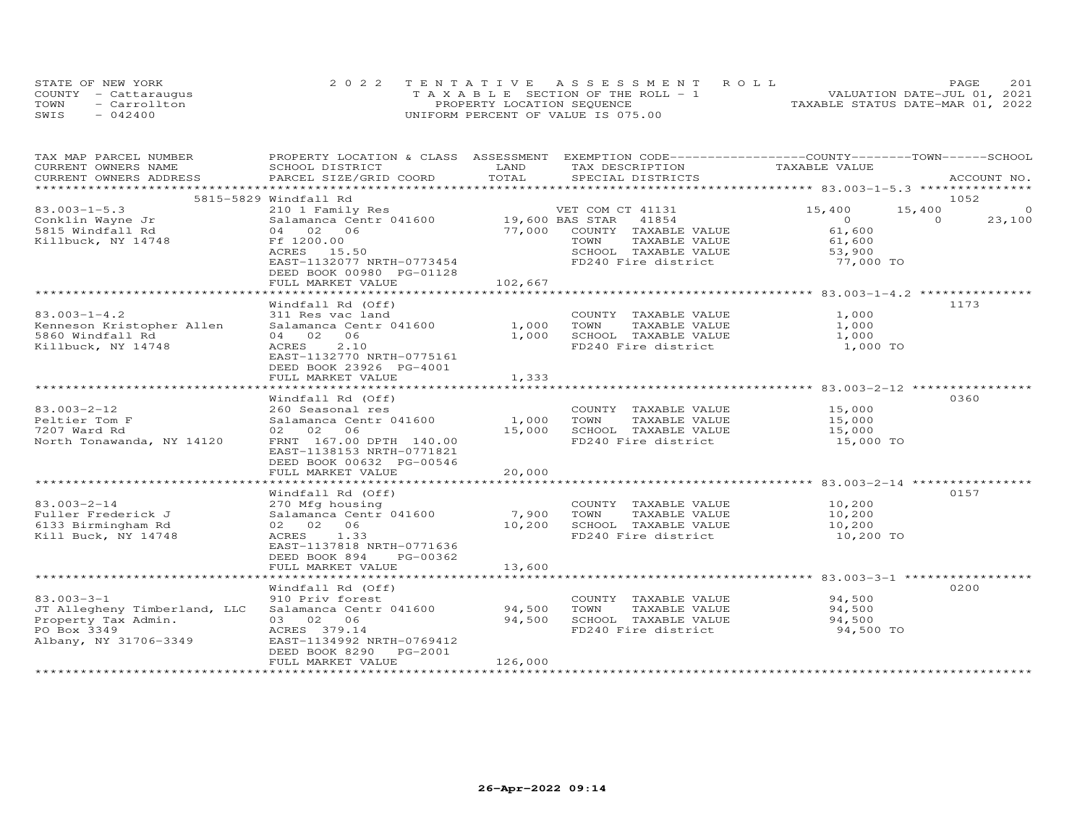|      | STATE OF NEW YORK    | 2022 TENTATIVE ASSESSMENT ROLL        | 201<br>PAGE.                     |
|------|----------------------|---------------------------------------|----------------------------------|
|      | COUNTY - Cattaraugus | T A X A B L E SECTION OF THE ROLL - 1 | VALUATION DATE-JUL 01, 2021      |
| TOWN | - Carrollton         | PROPERTY LOCATION SEQUENCE            | TAXABLE STATUS DATE-MAR 01, 2022 |
| SWIS | $-042400$            | UNIFORM PERCENT OF VALUE IS 075.00    |                                  |

| TAX MAP PARCEL NUMBER                                                      | PROPERTY LOCATION & CLASS ASSESSMENT EXEMPTION CODE----------------COUNTY-------TOWN------SCHOOL |               |                                                                                                  |                      |                          |
|----------------------------------------------------------------------------|--------------------------------------------------------------------------------------------------|---------------|--------------------------------------------------------------------------------------------------|----------------------|--------------------------|
| CURRENT OWNERS NAME<br>CURRENT OWNERS ADDRESS                              | SCHOOL DISTRICT<br>PARCEL SIZE/GRID COORD                                                        | LAND<br>TOTAL | TAX DESCRIPTION<br>SPECIAL DISTRICTS                                                             | TAXABLE VALUE        | ACCOUNT NO.              |
|                                                                            |                                                                                                  |               |                                                                                                  |                      |                          |
|                                                                            | 5815-5829 Windfall Rd                                                                            |               |                                                                                                  |                      | 1052                     |
|                                                                            |                                                                                                  |               |                                                                                                  | 15,400               | 15,400<br>$\circ$        |
| JJ.OUJ-1-5.3<br>Conklin Wayne Jr<br>5815 Windfall Rd<br>Killbuck, NY 14740 |                                                                                                  |               |                                                                                                  | $\overline{O}$       | $\overline{0}$<br>23,100 |
|                                                                            | 04 02 06                                                                                         |               |                                                                                                  |                      |                          |
| Killbuck, NY 14748                                                         | Ff 1200.00                                                                                       |               | 19,600 BAS STAR = 41854<br>77,000 COUNTY TAXABLE VALUE = 61,600<br>TOWN = TAXABLE VALUE = 61,600 |                      |                          |
|                                                                            |                                                                                                  |               |                                                                                                  |                      |                          |
|                                                                            |                                                                                                  |               | CONN CANDLE VALUE<br>SCHOOL TAXABLE VALUE<br>FD240 Fire district 53,900 TO                       |                      |                          |
|                                                                            | DEED BOOK 00980 PG-01128                                                                         |               |                                                                                                  |                      |                          |
|                                                                            |                                                                                                  |               |                                                                                                  |                      |                          |
|                                                                            |                                                                                                  |               |                                                                                                  |                      |                          |
|                                                                            | Windfall Rd (Off)                                                                                |               |                                                                                                  |                      | 1173                     |
| $83.003 - 1 - 4.2$                                                         | 311 Res vac land                                                                                 |               | COUNTY TAXABLE VALUE                                                                             | 1,000                |                          |
| Kenneson Kristopher Allen                                                  | Salamanca Centr 041600 1,000 TOWN                                                                |               | TAXABLE VALUE                                                                                    | 1,000                |                          |
| 5860 Windfall Rd                                                           | 04 02 06                                                                                         |               | 1,000 SCHOOL TAXABLE VALUE 1,000                                                                 |                      |                          |
| Killbuck, NY 14748                                                         | ACRES<br>2.10                                                                                    |               | FD240 Fire district                                                                              | 1,000 TO             |                          |
|                                                                            | EAST-1132770 NRTH-0775161                                                                        |               |                                                                                                  |                      |                          |
|                                                                            | DEED BOOK 23926 PG-4001                                                                          |               |                                                                                                  |                      |                          |
|                                                                            | FULL MARKET VALUE                                                                                | 1,333         |                                                                                                  |                      |                          |
|                                                                            |                                                                                                  |               |                                                                                                  |                      |                          |
|                                                                            | Windfall Rd (Off)                                                                                |               |                                                                                                  |                      | 0360                     |
| 83.003-2-12                                                                | 260 Seasonal res                                                                                 |               | COUNTY TAXABLE VALUE 15,000                                                                      |                      |                          |
| Peltier Tom F                                                              | Salamanca Centr 041600 1,000                                                                     |               | TOWN<br>TAXABLE VALUE                                                                            |                      |                          |
| 7207 Ward Rd                                                               | 02 02 06                                                                                         |               |                                                                                                  | $15,000$<br>$15,000$ |                          |
| North Tonawanda, NY 14120                                                  | FRNT 167.00 DPTH 140.00                                                                          |               | 15,000 SCHOOL TAXABLE VALUE 15,000<br>FD240 Fire district 15,000 TO                              |                      |                          |
|                                                                            | EAST-1138153 NRTH-0771821                                                                        |               |                                                                                                  |                      |                          |
|                                                                            | DEED BOOK 00632 PG-00546                                                                         |               |                                                                                                  |                      |                          |
|                                                                            | FULL MARKET VALUE                                                                                | 20,000        |                                                                                                  |                      |                          |
|                                                                            |                                                                                                  |               | ***********************************83.003-2-14 *********************************                 |                      |                          |
|                                                                            | Windfall Rd (Off)                                                                                |               |                                                                                                  |                      | 0157                     |
| $83.003 - 2 - 14$                                                          | 270 Mfg housing                                                                                  |               | COUNTY TAXABLE VALUE 10,200<br>TOWN TAXABLE VALUE 10,200                                         |                      |                          |
| Fuller Frederick J                                                         | Salamanca Centr 041600 7,900                                                                     |               |                                                                                                  |                      |                          |
| 6133 Birmingham Rd                                                         | 02 02 06                                                                                         | 10,200        |                                                                                                  |                      |                          |
| Kill Buck, NY 14748                                                        | ACRES 1.33                                                                                       |               | TOWN TAXABLE VALUE<br>SCHOOL TAXABLE VALUE 10,200<br>TRA10 Fire district 10,200 TO               |                      |                          |
|                                                                            | EAST-1137818 NRTH-0771636                                                                        |               |                                                                                                  |                      |                          |
|                                                                            | DEED BOOK 894<br>PG-00362                                                                        |               |                                                                                                  |                      |                          |
|                                                                            | FULL MARKET VALUE                                                                                | 13,600        |                                                                                                  |                      |                          |
|                                                                            |                                                                                                  |               |                                                                                                  |                      |                          |
|                                                                            | Windfall Rd (Off)                                                                                |               |                                                                                                  |                      | 0200                     |
| $83.003 - 3 - 1$                                                           | 910 Priv forest                                                                                  |               | COUNTY TAXABLE VALUE 94,500                                                                      |                      |                          |
| JT Allegheny Timberland, LLC                                               | Salamanca Centr 041600 94,500                                                                    |               | TOWN                                                                                             | TAXABLE VALUE 94,500 |                          |
| Property Tax Admin.                                                        | 03 02 06                                                                                         | 94,500        |                                                                                                  | 94,500               |                          |
| PO Box 3349                                                                | ACRES 379.14                                                                                     |               | SCHOOL TAXABLE VALUE<br>FD240 Fire district                                                      | 94,500 TO            |                          |
| Albany, NY 31706-3349                                                      | EAST-1134992 NRTH-0769412                                                                        |               |                                                                                                  |                      |                          |
|                                                                            | DEED BOOK 8290<br>PG-2001                                                                        |               |                                                                                                  |                      |                          |
|                                                                            | FULL MARKET VALUE                                                                                | 126,000       |                                                                                                  |                      |                          |
|                                                                            |                                                                                                  |               |                                                                                                  |                      |                          |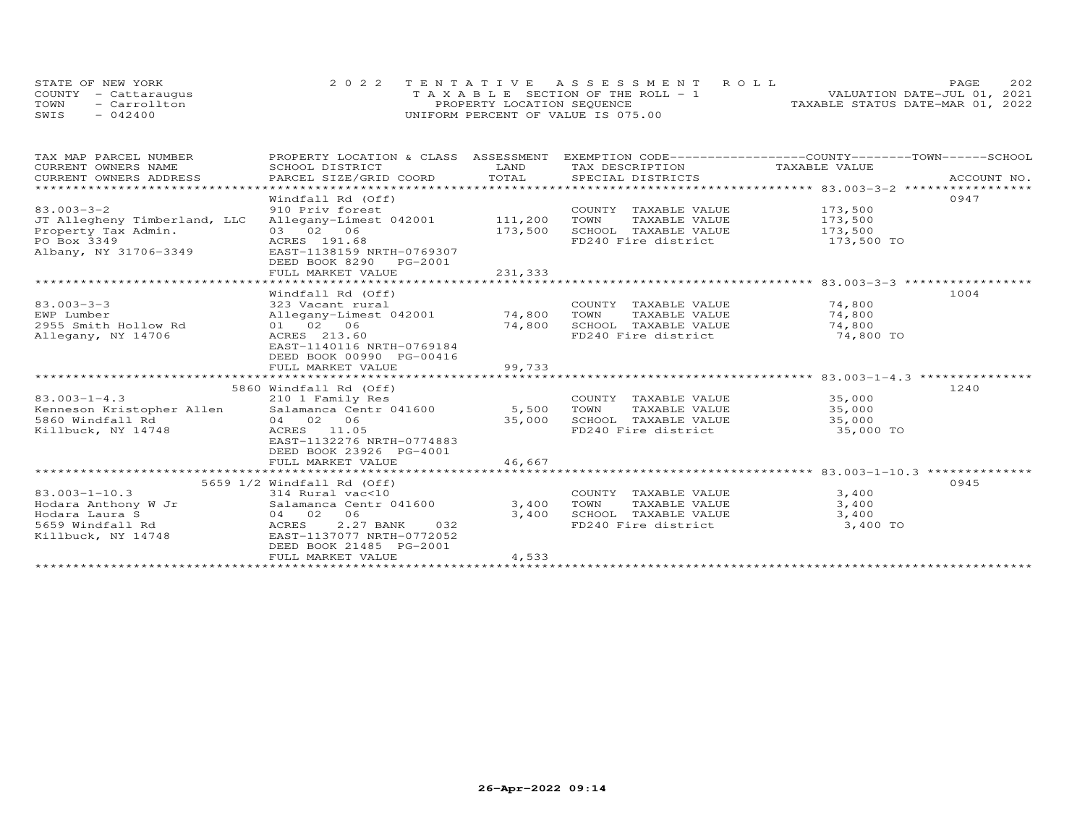| STATE OF NEW YORK    | 2022 TENTATIVE ASSESSMENT ROLL        | 202<br><b>PAGE</b>               |
|----------------------|---------------------------------------|----------------------------------|
| COUNTY - Cattaraugus | T A X A B L E SECTION OF THE ROLL - 1 | VALUATION DATE-JUL 01, 2021      |
| TOWN<br>- Carrollton | PROPERTY LOCATION SEQUENCE            | TAXABLE STATUS DATE-MAR 01, 2022 |
| $-042400$<br>SWIS    | UNIFORM PERCENT OF VALUE IS 075.00    |                                  |

| TAX MAP PARCEL NUMBER                            | PROPERTY LOCATION & CLASS ASSESSMENT EXEMPTION CODE----------------COUNTY-------TOWN-----SCHOOL |         |                                             |                                                  |             |
|--------------------------------------------------|-------------------------------------------------------------------------------------------------|---------|---------------------------------------------|--------------------------------------------------|-------------|
| CURRENT OWNERS NAME                              | SCHOOL DISTRICT                                                                                 | LAND    | TAX DESCRIPTION TAXABLE VALUE               |                                                  |             |
| CURRENT OWNERS ADDRESS                           | PARCEL SIZE/GRID COORD                                                                          | TOTAL   | SPECIAL DISTRICTS                           |                                                  | ACCOUNT NO. |
|                                                  |                                                                                                 |         |                                             |                                                  |             |
|                                                  | Windfall Rd (Off)                                                                               |         |                                             |                                                  | 0947        |
| $83.003 - 3 - 2$                                 | 910 Priv forest                                                                                 |         | COUNTY TAXABLE VALUE 173,500                |                                                  |             |
| JT Allegheny Timberland, LLC                     | Allegany-Limest 042001 111,200                                                                  |         | TOWN<br>TAXABLE VALUE                       | 173,500                                          |             |
| Property Tax Admin.                              | 03 02 06                                                                                        | 173,500 | SCHOOL TAXABLE VALUE 173,500                |                                                  |             |
| PO Box 3349                                      | ACRES 191.68                                                                                    |         | FD240 Fire district                         | 173,500 TO                                       |             |
| Albany, NY 31706-3349                            | EAST-1138159 NRTH-0769307                                                                       |         |                                             |                                                  |             |
|                                                  | DEED BOOK 8290 PG-2001                                                                          |         |                                             |                                                  |             |
|                                                  | FULL MARKET VALUE                                                                               | 231,333 |                                             |                                                  |             |
|                                                  |                                                                                                 |         |                                             | ****************** 83.003-3-3 ****************** |             |
|                                                  | Windfall Rd (Off)                                                                               |         |                                             |                                                  | 1004        |
| $83.003 - 3 - 3$                                 | 323 Vacant rural                                                                                |         | COUNTY TAXABLE VALUE 74,800                 |                                                  |             |
| EWP Lumber                                       | Allegany-Limest 042001 74,800                                                                   |         | TOWN<br>TAXABLE VALUE                       | 74,800                                           |             |
| 2955 Smith Hollow Rd                             | 01 02 06                                                                                        | 74,800  | SCHOOL TAXABLE VALUE                        | 74,800                                           |             |
| Allegany, NY 14706                               | ACRES 213.60                                                                                    |         | FD240 Fire district                         | 74,800<br>74,800 TO                              |             |
|                                                  | EAST-1140116 NRTH-0769184                                                                       |         |                                             |                                                  |             |
|                                                  | DEED BOOK 00990 PG-00416                                                                        |         |                                             |                                                  |             |
|                                                  | FULL MARKET VALUE                                                                               | 99,733  |                                             |                                                  |             |
|                                                  |                                                                                                 |         |                                             |                                                  |             |
|                                                  | 5860 Windfall Rd (Off)                                                                          |         |                                             |                                                  | 1240        |
| $83.003 - 1 - 4.3$                               | 210 1 Family Res                                                                                |         | COUNTY TAXABLE VALUE 35,000                 |                                                  |             |
|                                                  |                                                                                                 | 5,500   |                                             |                                                  |             |
| Kenneson Kristopher Allen Salamanca Centr 041600 |                                                                                                 |         | TOWN TAXABLE VALUE                          | 35,000                                           |             |
| 5860 Windfall Rd                                 | 04 02 06                                                                                        | 35,000  | SCHOOL TAXABLE VALUE                        | 35,000                                           |             |
| Killbuck, NY 14748                               | ACRES 11.05                                                                                     |         | FD240 Fire district                         | 35,000 TO                                        |             |
|                                                  | EAST-1132276 NRTH-0774883                                                                       |         |                                             |                                                  |             |
|                                                  | DEED BOOK 23926 PG-4001                                                                         |         |                                             |                                                  |             |
|                                                  | FULL MARKET VALUE                                                                               | 46,667  |                                             |                                                  |             |
|                                                  |                                                                                                 |         |                                             |                                                  |             |
|                                                  | 5659 1/2 Windfall Rd (Off)                                                                      |         |                                             |                                                  | 0945        |
| $83.003 - 1 - 10.3$                              | 314 Rural vac<10                                                                                |         | COUNTY TAXABLE VALUE                        | 3,400                                            |             |
| Hodara Anthony W Jr Salamanca Centr 041600       |                                                                                                 | 3,400   | TAXABLE VALUE<br>TOWN                       | 3,400                                            |             |
| Hodara Laura S                                   | 04 02<br>06                                                                                     | 3,400   | SCHOOL TAXABLE VALUE<br>FD240 Fire district | 3,400                                            |             |
| 5659 Windfall Rd                                 | 2.27 BANK<br>ACRES<br>032                                                                       |         |                                             | 3,400 TO                                         |             |
| Killbuck, NY 14748                               | EAST-1137077 NRTH-0772052                                                                       |         |                                             |                                                  |             |
|                                                  | DEED BOOK 21485 PG-2001                                                                         |         |                                             |                                                  |             |
|                                                  | FULL MARKET VALUE                                                                               | 4,533   |                                             |                                                  |             |
|                                                  |                                                                                                 |         |                                             |                                                  |             |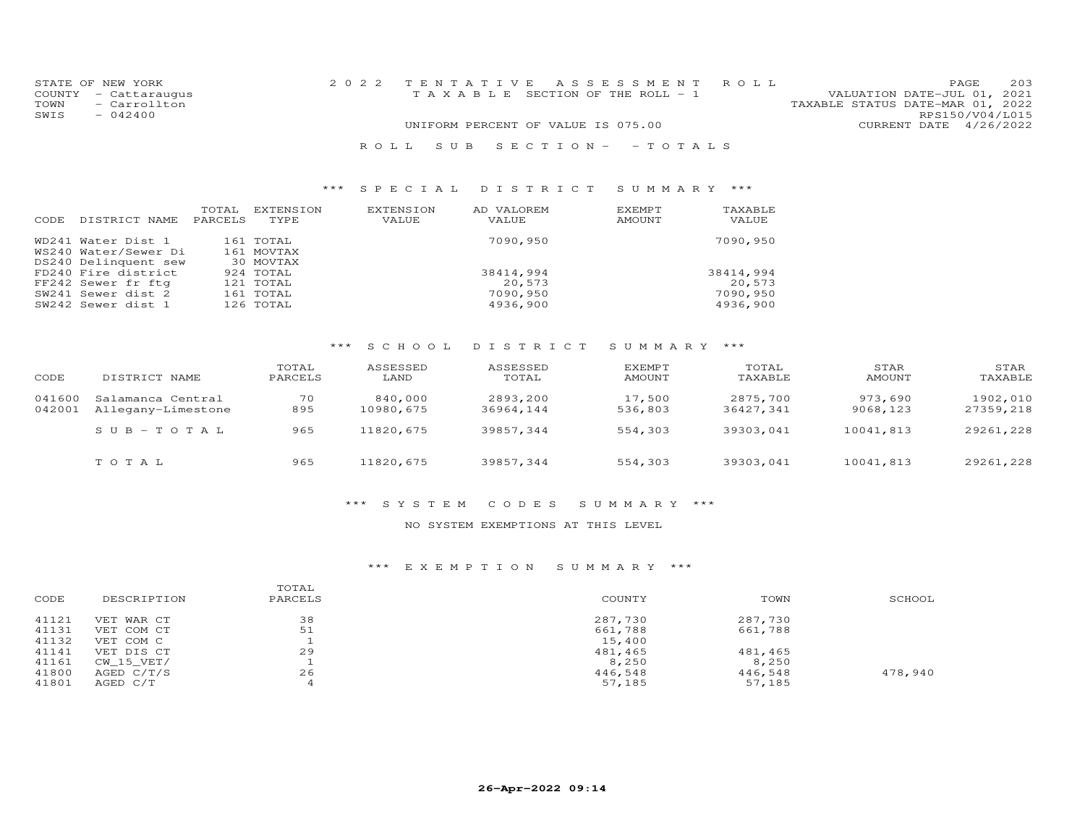| STATE OF NEW YORK    | 2022 TENTATIVE ASSESSMENT ROLL        | 203<br>PAGE                      |
|----------------------|---------------------------------------|----------------------------------|
| COUNTY - Cattaraugus | T A X A B L E SECTION OF THE ROLL - 1 | VALUATION DATE-JUL 01, 2021      |
| - Carrollton<br>TOWN |                                       | TAXABLE STATUS DATE-MAR 01, 2022 |
| SWIS<br>$-042400$    |                                       | RPS150/V04/L015                  |
|                      | UNIFORM PERCENT OF VALUE IS 075.00    | CURRENT DATE 4/26/2022           |

#### R O L L S U B S E C T I O N - - T O T A L S

#### \*\*\* S P E C I A L D I S T R I C T S U M M A R Y \*\*\*

| CODE | DISTRICT NAME        | TOTAL<br>PARCELS | EXTENSION<br>TYPE | EXTENSION<br>VALUE | AD VALOREM<br>VALUE | EXEMPT<br><b>AMOUNT</b> | TAXABLE<br>VALUE |
|------|----------------------|------------------|-------------------|--------------------|---------------------|-------------------------|------------------|
|      | WD241 Water Dist 1   |                  | 161 TOTAL         |                    | 7090,950            |                         | 7090,950         |
|      | WS240 Water/Sewer Di |                  | 161 MOVTAX        |                    |                     |                         |                  |
|      | DS240 Delinquent sew |                  | 30 MOVTAX         |                    |                     |                         |                  |
|      | FD240 Fire district  |                  | 924 TOTAL         |                    | 38414,994           |                         | 38414,994        |
|      | FF242 Sewer fr ftg   |                  | 121 TOTAL         |                    | 20,573              |                         | 20,573           |
|      | SW241 Sewer dist 2   |                  | 161 TOTAL         |                    | 7090,950            |                         | 7090,950         |
|      | SW242 Sewer dist 1   |                  | 126 TOTAL         |                    | 4936,900            |                         | 4936,900         |

# \*\*\* S C H O O L D I S T R I C T S U M M A R Y \*\*\*

| CODE             | DISTRICT NAME                           | TOTAL<br>PARCELS | ASSESSED<br>LAND     | ASSESSED<br>TOTAL     | EXEMPT<br><b>AMOUNT</b> | TOTAL<br>TAXABLE      | STAR<br><b>AMOUNT</b> | STAR<br>TAXABLE       |
|------------------|-----------------------------------------|------------------|----------------------|-----------------------|-------------------------|-----------------------|-----------------------|-----------------------|
| 041600<br>042001 | Salamanca Central<br>Allegany-Limestone | 70<br>895        | 840,000<br>10980,675 | 2893,200<br>36964,144 | 17,500<br>536,803       | 2875,700<br>36427,341 | 973,690<br>9068,123   | 1902,010<br>27359,218 |
|                  | $SUB-TOTAL$                             | 965              | 11820,675            | 39857.344             | 554,303                 | 39303,041             | 10041,813             | 29261,228             |
|                  | TOTAL                                   | 965              | 11820,675            | 39857,344             | 554,303                 | 39303,041             | 10041,813             | 29261,228             |

#### \*\*\* S Y S T E M C O D E S S U M M A R Y \*\*\*

#### NO SYSTEM EXEMPTIONS AT THIS LEVEL

#### \*\*\* E X E M P T I O N S U M M A R Y \*\*\*

| CODE  | DESCRIPTION | TOTAL<br>PARCELS | COUNTY  | TOWN    | SCHOOL  |
|-------|-------------|------------------|---------|---------|---------|
| 41121 | VET WAR CT  | 38               | 287,730 | 287,730 |         |
| 41131 | VET COM CT  | 51               | 661,788 | 661,788 |         |
| 41132 | VET COM C   |                  | 15,400  |         |         |
| 41141 | VET DIS CT  | 29               | 481,465 | 481,465 |         |
| 41161 | CW 15 VET/  |                  | 8,250   | 8,250   |         |
| 41800 | AGED C/T/S  | 26               | 446,548 | 446,548 | 478,940 |
| 41801 | AGED C/T    |                  | 57,185  | 57,185  |         |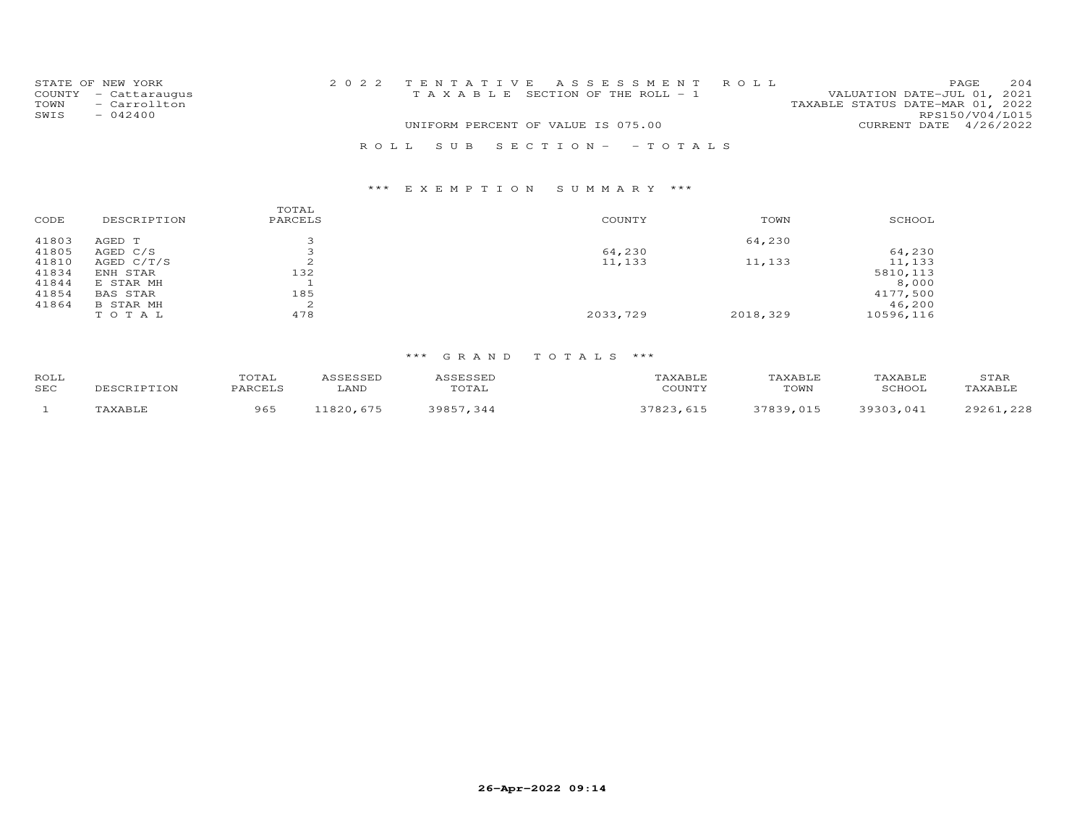|      | STATE OF NEW YORK    |                                    |  | 2022 TENTATIVE ASSESSMENT ROLL        |                                  |                 | PAGE. | 204 |
|------|----------------------|------------------------------------|--|---------------------------------------|----------------------------------|-----------------|-------|-----|
|      | COUNTY - Cattaraugus |                                    |  | T A X A B L E SECTION OF THE ROLL - 1 | VALUATION DATE-JUL 01, 2021      |                 |       |     |
| TOWN | - Carrollton         |                                    |  |                                       | TAXABLE STATUS DATE-MAR 01, 2022 |                 |       |     |
| SWIS | $-042400$            |                                    |  |                                       |                                  | RPS150/V04/L015 |       |     |
|      |                      | UNIFORM PERCENT OF VALUE IS 075.00 |  |                                       | CURRENT DATE 4/26/2022           |                 |       |     |
|      |                      |                                    |  | ROLL SUB SECTION- - TOTALS            |                                  |                 |       |     |

# \*\*\* E X E M P T I O N S U M M A R Y \*\*\*

| 41803<br>64,230<br>AGED T<br>41805<br>64,230<br>AGED C/S<br>ینه<br>41810<br>$\sim$<br>11,133<br>11,133<br>AGED $C/T/S$<br>∠<br>132<br>41834<br>ENH STAR<br>41844<br>E STAR MH<br>41854<br>185<br><b>BAS STAR</b><br>41864<br>2<br>B STAR MH<br>478<br>2033,729<br>2018,329<br>TOTAL | CODE | DESCRIPTION | TOTAL<br>PARCELS | COUNTY | TOWN | SCHOOL    |
|-------------------------------------------------------------------------------------------------------------------------------------------------------------------------------------------------------------------------------------------------------------------------------------|------|-------------|------------------|--------|------|-----------|
|                                                                                                                                                                                                                                                                                     |      |             |                  |        |      |           |
|                                                                                                                                                                                                                                                                                     |      |             |                  |        |      | 64,230    |
|                                                                                                                                                                                                                                                                                     |      |             |                  |        |      | 11,133    |
|                                                                                                                                                                                                                                                                                     |      |             |                  |        |      | 5810,113  |
|                                                                                                                                                                                                                                                                                     |      |             |                  |        |      | 8,000     |
|                                                                                                                                                                                                                                                                                     |      |             |                  |        |      | 4177,500  |
|                                                                                                                                                                                                                                                                                     |      |             |                  |        |      | 46,200    |
|                                                                                                                                                                                                                                                                                     |      |             |                  |        |      | 10596,116 |

# \*\*\* G R A N D T O T A L S \*\*\*

| <b>ROLL</b> | TOTAL          | <b>ACCECCEP</b> |                                |                         | <b><i>FAXABLF</i></b> | TAXABLE     | STAF                                                                                                                              |
|-------------|----------------|-----------------|--------------------------------|-------------------------|-----------------------|-------------|-----------------------------------------------------------------------------------------------------------------------------------|
| SEC         | <b>PARCELS</b> | LAND            | $m \wedge m \wedge r$<br>.utal | $C$ $C$ $T$ $N$ $T$ $V$ | TOWN                  | 771700      | LAXABLE                                                                                                                           |
|             | 965            | 1000            | <b>ROQF</b><br>-34.            |                         |                       | さひさいさ<br>04 | つのつぐ<br>$\cap$<br>the contract of the contract of the contract of the contract of the contract of the contract of the contract of |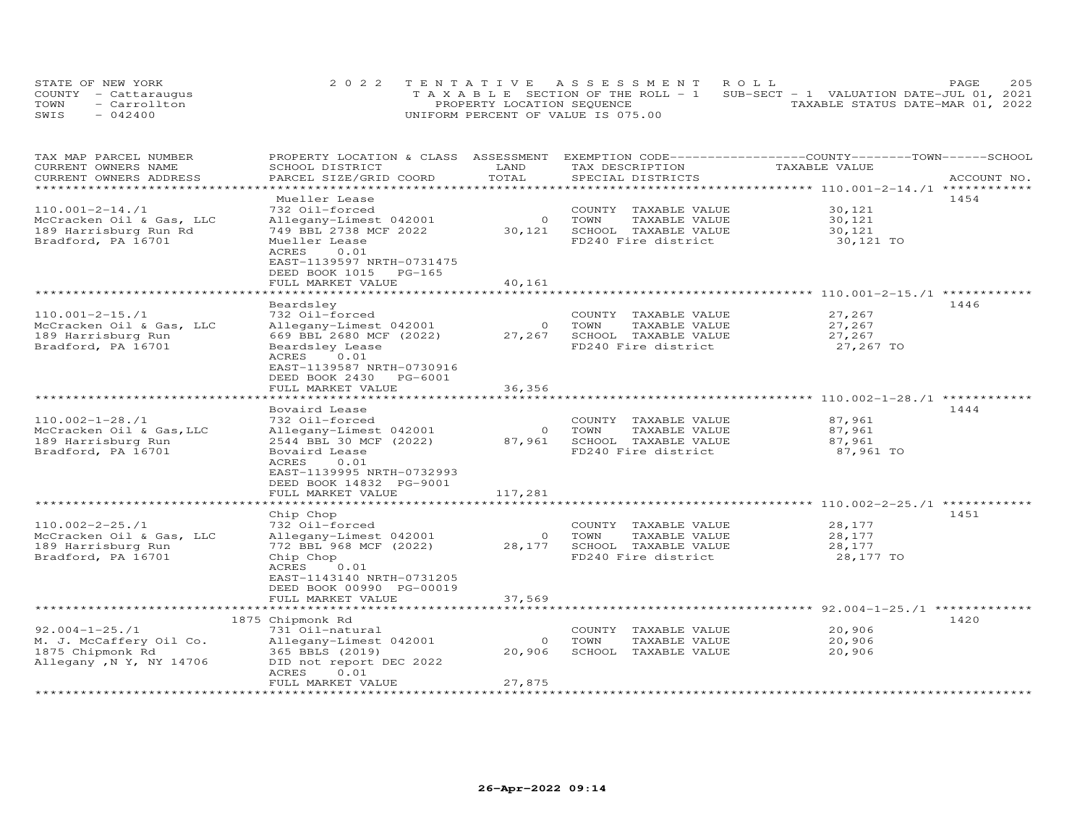| STATE OF NEW YORK    | 2022 TENTATIVE ASSESSMENT ROLL                                                 | 205<br>PAGE.                     |
|----------------------|--------------------------------------------------------------------------------|----------------------------------|
| COUNTY - Cattaraugus | T A X A B L E SECTION OF THE ROLL - 1 SUB-SECT - 1 VALUATION DATE-JUL 01, 2021 |                                  |
| - Carrollton<br>TOWN | PROPERTY LOCATION SEQUENCE                                                     | TAXABLE STATUS DATE-MAR 01, 2022 |
| SWIS<br>$-042400$    | UNIFORM PERCENT OF VALUE IS 075.00                                             |                                  |

| TAX MAP PARCEL NUMBER                          | PROPERTY LOCATION & CLASS                         | ASSESSMENT        |                                                  | EXEMPTION CODE-----------------COUNTY-------TOWN-----SCHOOL |             |
|------------------------------------------------|---------------------------------------------------|-------------------|--------------------------------------------------|-------------------------------------------------------------|-------------|
| CURRENT OWNERS NAME<br>CURRENT OWNERS ADDRESS  | SCHOOL DISTRICT<br>PARCEL SIZE/GRID COORD         | LAND<br>TOTAL     | TAX DESCRIPTION<br>SPECIAL DISTRICTS             | TAXABLE VALUE                                               | ACCOUNT NO. |
| *********************                          | *********************                             | **********        |                                                  |                                                             |             |
|                                                | Mueller Lease                                     |                   |                                                  |                                                             | 1454        |
| $110.001 - 2 - 14.71$                          | 732 Oil-forced                                    |                   | COUNTY TAXABLE VALUE                             | 30,121                                                      |             |
| McCracken Oil & Gas, LLC                       | Allegany-Limest 042001                            | $\circ$           | TOWN<br>TAXABLE VALUE<br>SCHOOL TAXABLE VALUE    | 30,121                                                      |             |
| 189 Harrisburg Run Rd<br>Bradford, PA 16701    | 749 BBL 2738 MCF 2022<br>Mueller Lease            | 30,121            | FD240 Fire district                              | 30,121<br>30,121 TO                                         |             |
|                                                | ACRES<br>0.01                                     |                   |                                                  |                                                             |             |
|                                                | EAST-1139597 NRTH-0731475                         |                   |                                                  |                                                             |             |
|                                                | DEED BOOK 1015<br>$PG-165$                        |                   |                                                  |                                                             |             |
|                                                | FULL MARKET VALUE                                 | 40,161            |                                                  |                                                             |             |
|                                                |                                                   | ************      |                                                  |                                                             |             |
|                                                | Beardsley                                         |                   |                                                  |                                                             | 1446        |
| $110.001 - 2 - 15.71$                          | 732 Oil-forced                                    |                   | COUNTY TAXABLE VALUE                             | 27,267                                                      |             |
| McCracken Oil & Gas, LLC<br>189 Harrisburg Run | Allegany-Limest 042001<br>669 BBL 2680 MCF (2022) | $\circ$<br>27,267 | TOWN<br>TAXABLE VALUE<br>SCHOOL TAXABLE VALUE    | 27,267<br>27,267                                            |             |
| Bradford, PA 16701                             | Beardsley Lease                                   |                   | FD240 Fire district                              | 27,267 TO                                                   |             |
|                                                | 0.01<br>ACRES                                     |                   |                                                  |                                                             |             |
|                                                | EAST-1139587 NRTH-0730916                         |                   |                                                  |                                                             |             |
|                                                | DEED BOOK 2430<br>PG-6001                         |                   |                                                  |                                                             |             |
|                                                | FULL MARKET VALUE                                 | 36,356            |                                                  |                                                             |             |
|                                                | ******************                                |                   |                                                  | ************************ 110.002-1-28./1                    |             |
|                                                | Bovaird Lease                                     |                   |                                                  |                                                             | 1444        |
| $110.002 - 1 - 28.71$                          | 732 Oil-forced                                    |                   | COUNTY TAXABLE VALUE                             | 87,961                                                      |             |
| McCracken Oil & Gas, LLC                       | Allegany-Limest 042001                            | $\circ$           | TOWN<br>TAXABLE VALUE                            | 87,961                                                      |             |
| 189 Harrisburg Run<br>Bradford, PA 16701       | 2544 BBL 30 MCF (2022)<br>Bovaird Lease           | 87,961            | SCHOOL TAXABLE VALUE<br>FD240 Fire district      | 87,961<br>87,961 TO                                         |             |
|                                                | ACRES<br>0.01                                     |                   |                                                  |                                                             |             |
|                                                | EAST-1139995 NRTH-0732993                         |                   |                                                  |                                                             |             |
|                                                | DEED BOOK 14832 PG-9001                           |                   |                                                  |                                                             |             |
|                                                | FULL MARKET VALUE                                 | 117,281           |                                                  |                                                             |             |
|                                                |                                                   |                   |                                                  | **************** 110.002-2-25./1                            |             |
|                                                | Chip Chop                                         |                   |                                                  |                                                             | 1451        |
| $110.002 - 2 - 25.71$                          | 732 Oil-forced                                    | $\circ$           | COUNTY TAXABLE VALUE<br>TOWN<br>TAXABLE VALUE    | 28,177<br>28,177                                            |             |
| McCracken Oil & Gas, LLC<br>189 Harrisburg Run | Allegany-Limest 042001<br>772 BBL 968 MCF (2022)  | 28,177            | SCHOOL TAXABLE VALUE                             | 28,177                                                      |             |
| Bradford, PA 16701                             | Chip Chop                                         |                   | FD240 Fire district                              | 28,177 TO                                                   |             |
|                                                | ACRES<br>0.01                                     |                   |                                                  |                                                             |             |
|                                                | EAST-1143140 NRTH-0731205                         |                   |                                                  |                                                             |             |
|                                                | DEED BOOK 00990 PG-00019                          |                   |                                                  |                                                             |             |
|                                                | FULL MARKET VALUE                                 | 37,569            |                                                  |                                                             |             |
|                                                | ***********************                           | ***********       |                                                  | ****************************** 92.004-1-25./1 ************* |             |
|                                                | 1875 Chipmonk Rd                                  |                   |                                                  |                                                             | 1420        |
| $92.004 - 1 - 25.71$                           | 731 Oil-natural                                   |                   | COUNTY TAXABLE VALUE                             | 20,906                                                      |             |
| M. J. McCaffery Oil Co.<br>1875 Chipmonk Rd    | Allegany-Limest 042001<br>365 BBLS (2019)         | $\circ$<br>20,906 | TOWN<br>TAXABLE VALUE<br>SCHOOL<br>TAXABLE VALUE | 20,906<br>20,906                                            |             |
| Allegany, N Y, NY 14706                        | DID not report DEC 2022                           |                   |                                                  |                                                             |             |
|                                                | ACRES<br>0.01                                     |                   |                                                  |                                                             |             |
|                                                | FULL MARKET VALUE                                 | 27,875            |                                                  |                                                             |             |
|                                                | **********************                            |                   |                                                  |                                                             |             |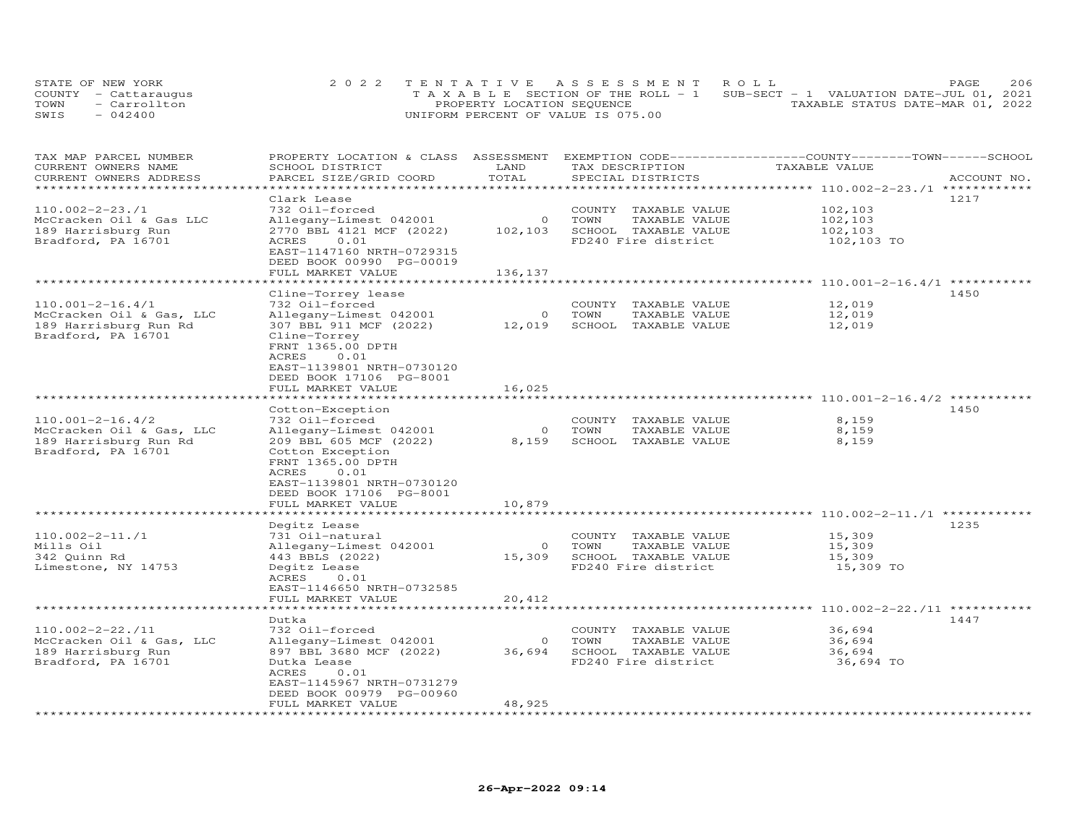| STATE OF NEW YORK    | 2022 TENTATIVE ASSESSMENT ROLL                                                 | PAGE.                            | 206 |
|----------------------|--------------------------------------------------------------------------------|----------------------------------|-----|
| COUNTY - Cattaraugus | T A X A B L E SECTION OF THE ROLL - 1 SUB-SECT - 1 VALUATION DATE-JUL 01, 2021 |                                  |     |
| - Carrollton<br>TOWN | PROPERTY LOCATION SEQUENCE                                                     | TAXABLE STATUS DATE-MAR 01, 2022 |     |
| SWIS<br>$-042400$    | UNIFORM PERCENT OF VALUE IS 075.00                                             |                                  |     |

| TAX MAP PARCEL NUMBER<br>CURRENT OWNERS NAME | PROPERTY LOCATION & CLASS ASSESSMENT<br>SCHOOL DISTRICT | LAND<br>TOTAL | TAX DESCRIPTION         | EXEMPTION CODE-----------------COUNTY-------TOWN------SCHOOL<br>TAXABLE VALUE |             |
|----------------------------------------------|---------------------------------------------------------|---------------|-------------------------|-------------------------------------------------------------------------------|-------------|
| CURRENT OWNERS ADDRESS                       | PARCEL SIZE/GRID COORD                                  | **********    | SPECIAL DISTRICTS       | ************************ 110.002-2-23./1 ************                         | ACCOUNT NO. |
|                                              | Clark Lease                                             |               |                         |                                                                               | 1217        |
| $110.002 - 2 - 23.71$                        | 732 Oil-forced                                          |               | COUNTY TAXABLE VALUE    | 102,103                                                                       |             |
| McCracken Oil & Gas LLC                      | Allegany-Limest 042001                                  | $\circ$       | TAXABLE VALUE<br>TOWN   | 102,103                                                                       |             |
| 189 Harrisburg Run                           | 2770 BBL 4121 MCF (2022)                                | 102,103       | SCHOOL TAXABLE VALUE    | 102,103                                                                       |             |
| Bradford, PA 16701                           | 0.01<br>ACRES                                           |               | FD240 Fire district     | 102,103 TO                                                                    |             |
|                                              | EAST-1147160 NRTH-0729315<br>DEED BOOK 00990 PG-00019   |               |                         |                                                                               |             |
|                                              | FULL MARKET VALUE                                       | 136,137       |                         |                                                                               |             |
|                                              | ***************                                         |               |                         | *************** 110.001-2-16.4/1 ***********                                  |             |
|                                              | Cline-Torrey lease                                      |               |                         |                                                                               | 1450        |
| $110.001 - 2 - 16.4/1$                       | 732 Oil-forced                                          |               | COUNTY<br>TAXABLE VALUE | 12,019                                                                        |             |
| McCracken Oil & Gas, LLC                     | Allegany-Limest 042001                                  | $\circ$       | TOWN<br>TAXABLE VALUE   | 12,019                                                                        |             |
| 189 Harrisburg Run Rd                        | 307 BBL 911 MCF (2022)                                  | 12,019        | SCHOOL TAXABLE VALUE    | 12,019                                                                        |             |
| Bradford, PA 16701                           | Cline-Torrey<br>FRNT 1365.00 DPTH                       |               |                         |                                                                               |             |
|                                              | ACRES<br>0.01                                           |               |                         |                                                                               |             |
|                                              | EAST-1139801 NRTH-0730120                               |               |                         |                                                                               |             |
|                                              | DEED BOOK 17106 PG-8001                                 |               |                         |                                                                               |             |
|                                              | FULL MARKET VALUE                                       | 16,025        |                         |                                                                               |             |
|                                              | *************************                               |               |                         |                                                                               |             |
|                                              | Cotton-Exception                                        |               |                         |                                                                               | 1450        |
| $110.001 - 2 - 16.4/2$                       | 732 Oil-forced                                          |               | COUNTY TAXABLE VALUE    | 8,159                                                                         |             |
| McCracken Oil & Gas, LLC                     | Allegany-Limest 042001                                  | $\circ$       | TOWN<br>TAXABLE VALUE   | 8,159                                                                         |             |
| 189 Harrisburg Run Rd                        | 209 BBL 605 MCF (2022)                                  | 8,159         | SCHOOL TAXABLE VALUE    | 8,159                                                                         |             |
| Bradford, PA 16701                           | Cotton Exception                                        |               |                         |                                                                               |             |
|                                              | FRNT 1365.00 DPTH                                       |               |                         |                                                                               |             |
|                                              | 0.01<br>ACRES                                           |               |                         |                                                                               |             |
|                                              | EAST-1139801 NRTH-0730120                               |               |                         |                                                                               |             |
|                                              | DEED BOOK 17106 PG-8001                                 |               |                         |                                                                               |             |
|                                              | FULL MARKET VALUE                                       | 10,879        |                         |                                                                               |             |
|                                              |                                                         |               |                         | ******************************* 110.002-2-11./1                               |             |
|                                              | Degitz Lease                                            |               |                         |                                                                               | 1235        |
| $110.002 - 2 - 11.71$                        | 731 Oil-natural                                         |               | COUNTY TAXABLE VALUE    | 15,309                                                                        |             |
| Mills Oil                                    | Allegany-Limest 042001                                  | $\circ$       | TOWN<br>TAXABLE VALUE   | 15,309                                                                        |             |
| 342 Quinn Rd                                 | 443 BBLS (2022)                                         | 15,309        | SCHOOL TAXABLE VALUE    | 15,309                                                                        |             |
| Limestone, NY 14753                          | Degitz Lease                                            |               | FD240 Fire district     | 15,309 TO                                                                     |             |
|                                              | 0.01<br>ACRES                                           |               |                         |                                                                               |             |
|                                              | EAST-1146650 NRTH-0732585                               |               |                         |                                                                               |             |
|                                              | FULL MARKET VALUE<br>****************                   | 20,412        |                         | ******************** 110.002-2-22./11 ******                                  |             |
|                                              | Dutka                                                   |               |                         |                                                                               | 1447        |
| $110.002 - 2 - 22.711$                       | 732 Oil-forced                                          |               | COUNTY TAXABLE VALUE    | 36,694                                                                        |             |
| McCracken Oil & Gas, LLC                     | Allegany-Limest 042001                                  | $\circ$       | TOWN<br>TAXABLE VALUE   | 36,694                                                                        |             |
| 189 Harrisburg Run                           | 897 BBL 3680 MCF (2022)                                 | 36,694        | SCHOOL TAXABLE VALUE    | 36,694                                                                        |             |
| Bradford, PA 16701                           | Dutka Lease                                             |               | FD240 Fire district     | 36,694 TO                                                                     |             |
|                                              | 0.01<br>ACRES                                           |               |                         |                                                                               |             |
|                                              | EAST-1145967 NRTH-0731279                               |               |                         |                                                                               |             |
|                                              | DEED BOOK 00979 PG-00960                                |               |                         |                                                                               |             |
|                                              | FULL MARKET VALUE                                       | 48,925        |                         |                                                                               |             |
| **********************                       |                                                         |               |                         |                                                                               |             |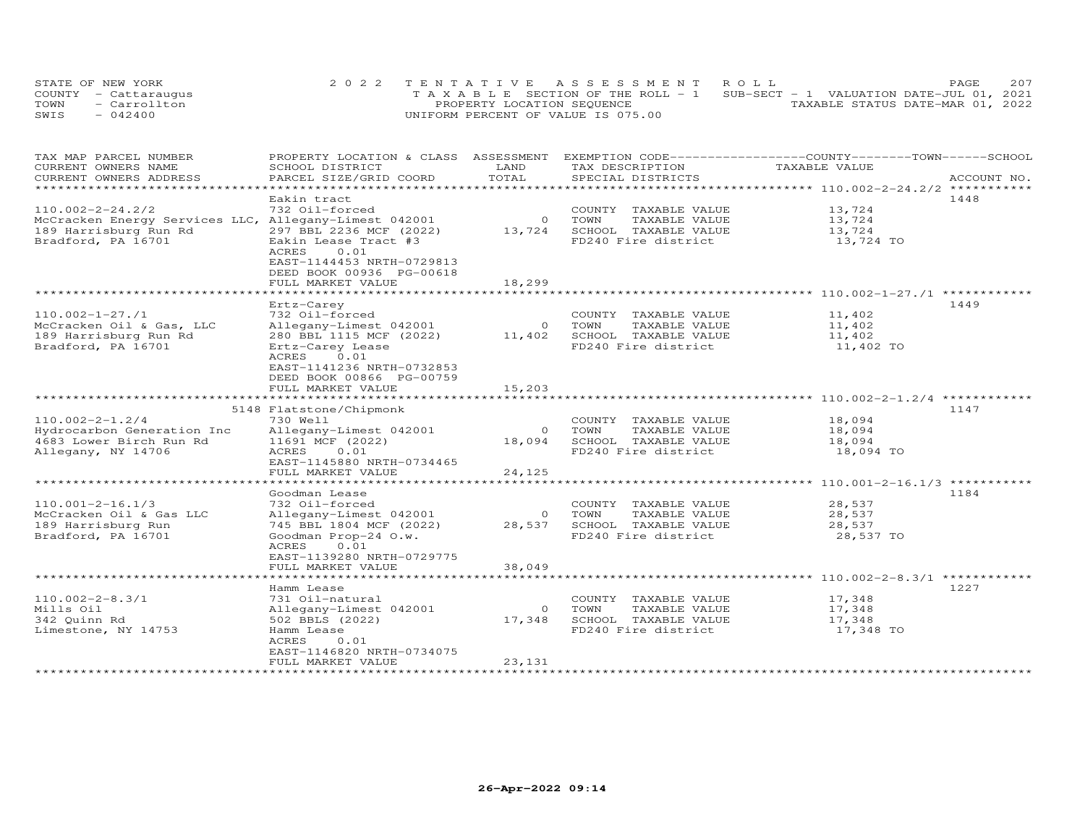| STATE OF NEW YORK    | 2022 TENTATIVE ASSESSMENT ROLL                                                 | 207<br>PAGE.                     |
|----------------------|--------------------------------------------------------------------------------|----------------------------------|
| COUNTY - Cattaraugus | T A X A B L E SECTION OF THE ROLL - 1 SUB-SECT - 1 VALUATION DATE-JUL 01, 2021 |                                  |
| - Carrollton<br>TOWN | PROPERTY LOCATION SEQUENCE                                                     | TAXABLE STATUS DATE-MAR 01, 2022 |
| SWIS<br>$-042400$    | UNIFORM PERCENT OF VALUE IS 075.00                                             |                                  |

| TAX MAP PARCEL NUMBER<br>CURRENT OWNERS NAME          | PROPERTY LOCATION & CLASS ASSESSMENT<br>SCHOOL DISTRICT | LAND               | TAX DESCRIPTION                               | EXEMPTION CODE-----------------COUNTY-------TOWN------SCHOOL<br>TAXABLE VALUE |             |
|-------------------------------------------------------|---------------------------------------------------------|--------------------|-----------------------------------------------|-------------------------------------------------------------------------------|-------------|
| CURRENT OWNERS ADDRESS                                | PARCEL SIZE/GRID COORD                                  | TOTAL              | SPECIAL DISTRICTS                             |                                                                               | ACCOUNT NO. |
| *******************                                   |                                                         |                    |                                               |                                                                               |             |
|                                                       | Eakin tract                                             |                    |                                               |                                                                               | 1448        |
| $110.002 - 2 - 24.2/2$                                | 732 Oil-forced                                          |                    | COUNTY TAXABLE VALUE                          | 13,724                                                                        |             |
| McCracken Energy Services LLC, Allegany-Limest 042001 |                                                         | $\overline{O}$     | TOWN<br>TAXABLE VALUE                         | 13,724                                                                        |             |
| 189 Harrisburg Run Rd                                 | 297 BBL 2236 MCF (2022)                                 | 13,724             | SCHOOL TAXABLE VALUE                          | 13,724                                                                        |             |
| Bradford, PA 16701                                    | Eakin Lease Tract #3                                    |                    | FD240 Fire district                           | 13,724 TO                                                                     |             |
|                                                       | ACRES<br>0.01                                           |                    |                                               |                                                                               |             |
|                                                       | EAST-1144453 NRTH-0729813                               |                    |                                               |                                                                               |             |
|                                                       | DEED BOOK 00936 PG-00618                                |                    |                                               |                                                                               |             |
|                                                       | FULL MARKET VALUE<br>********************               | 18,299             |                                               | *********************************** 110.002-1-27./1                           |             |
|                                                       |                                                         |                    |                                               |                                                                               |             |
|                                                       | Ertz-Carey                                              |                    |                                               |                                                                               | 1449        |
| $110.002 - 1 - 27.71$                                 | 732 Oil-forced                                          |                    | COUNTY TAXABLE VALUE                          | 11,402                                                                        |             |
| McCracken Oil & Gas, LLC                              | Allegany-Limest 042001                                  | $\overline{O}$     | TOWN<br>TAXABLE VALUE                         | 11,402                                                                        |             |
| 189 Harrisburg Run Rd                                 | 280 BBL 1115 MCF (2022)                                 | 11,402             | SCHOOL TAXABLE VALUE                          | 11,402                                                                        |             |
| Bradford, PA 16701                                    | Ertz-Carey Lease                                        |                    | FD240 Fire district                           | 11,402 TO                                                                     |             |
|                                                       | 0.01<br>ACRES                                           |                    |                                               |                                                                               |             |
|                                                       | EAST-1141236 NRTH-0732853                               |                    |                                               |                                                                               |             |
|                                                       | DEED BOOK 00866 PG-00759                                |                    |                                               |                                                                               |             |
|                                                       | FULL MARKET VALUE<br>*********************              | 15,203<br>******** |                                               | ******************** 110.002-2-1.2/4 ***********                              |             |
|                                                       |                                                         |                    |                                               |                                                                               | 1147        |
|                                                       | 5148 Flatstone/Chipmonk                                 |                    |                                               |                                                                               |             |
| $110.002 - 2 - 1.2/4$                                 | 730 Well                                                | $\circ$            | COUNTY TAXABLE VALUE<br>TOWN<br>TAXABLE VALUE | 18,094                                                                        |             |
| Hydrocarbon Generation Inc<br>4683 Lower Birch Run Rd | Allegany-Limest 042001<br>11691 MCF (2022)              | 18,094             | SCHOOL TAXABLE VALUE                          | 18,094<br>18,094                                                              |             |
| Allegany, NY 14706                                    | ACRES<br>0.01                                           |                    | FD240 Fire district                           | 18,094 TO                                                                     |             |
|                                                       | EAST-1145880 NRTH-0734465                               |                    |                                               |                                                                               |             |
|                                                       | FULL MARKET VALUE                                       | 24,125             |                                               |                                                                               |             |
|                                                       |                                                         |                    |                                               |                                                                               |             |
|                                                       | Goodman Lease                                           |                    |                                               |                                                                               | 1184        |
| $110.001 - 2 - 16.1/3$                                | 732 Oil-forced                                          |                    | COUNTY TAXABLE VALUE                          | 28,537                                                                        |             |
| McCracken Oil & Gas LLC                               | Allegany-Limest 042001                                  | $\overline{O}$     | TOWN<br>TAXABLE VALUE                         | 28,537                                                                        |             |
| 189 Harrisburg Run                                    | 745 BBL 1804 MCF (2022)                                 | 28,537             | SCHOOL TAXABLE VALUE                          | 28,537                                                                        |             |
| Bradford, PA 16701                                    | Goodman Prop-24 O.w.                                    |                    | FD240 Fire district                           | 28,537 TO                                                                     |             |
|                                                       | ACRES<br>0.01                                           |                    |                                               |                                                                               |             |
|                                                       | EAST-1139280 NRTH-0729775                               |                    |                                               |                                                                               |             |
|                                                       | FULL MARKET VALUE                                       | 38,049             |                                               |                                                                               |             |
|                                                       | *****************************                           |                    |                                               |                                                                               |             |
|                                                       | Hamm Lease                                              |                    |                                               |                                                                               | 1227        |
| $110.002 - 2 - 8.3/1$                                 | 731 Oil-natural                                         |                    | COUNTY TAXABLE VALUE                          | 17,348                                                                        |             |
| Mills Oil                                             | Allegany-Limest 042001                                  | $\Omega$           | TOWN<br>TAXABLE VALUE                         | 17,348                                                                        |             |
| 342 Quinn Rd                                          | 502 BBLS (2022)                                         | 17,348             | SCHOOL TAXABLE VALUE                          | 17,348                                                                        |             |
| Limestone, NY 14753                                   | Hamm Lease                                              |                    | FD240 Fire district                           | 17,348 TO                                                                     |             |
|                                                       | ACRES<br>0.01                                           |                    |                                               |                                                                               |             |
|                                                       | EAST-1146820 NRTH-0734075                               |                    |                                               |                                                                               |             |
|                                                       | FULL MARKET VALUE                                       | 23,131             |                                               |                                                                               |             |
|                                                       |                                                         |                    |                                               |                                                                               |             |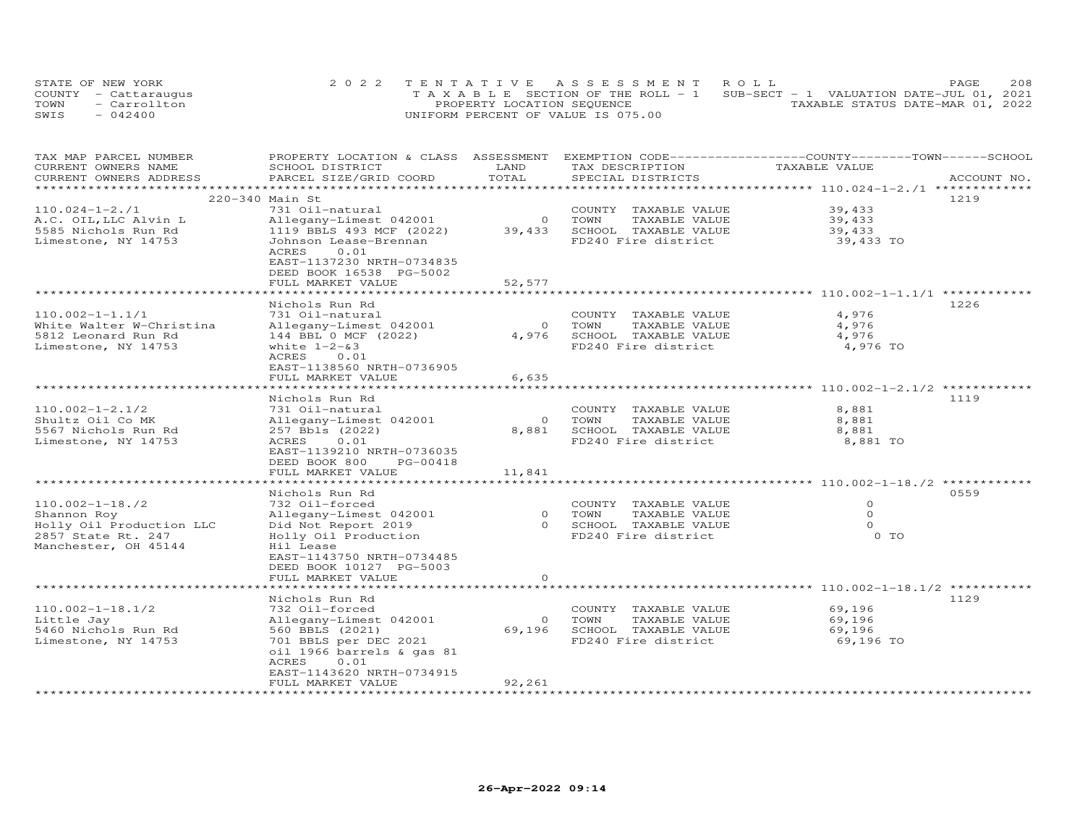| STATE OF NEW YORK    | 2022 TENTATIVE ASSESSMENT ROLL                                                 | 208<br>PAGE.                     |
|----------------------|--------------------------------------------------------------------------------|----------------------------------|
| COUNTY - Cattaraugus | T A X A B L E SECTION OF THE ROLL - 1 SUB-SECT - 1 VALUATION DATE-JUL 01, 2021 |                                  |
| TOWN<br>- Carrollton | PROPERTY LOCATION SEQUENCE                                                     | TAXABLE STATUS DATE-MAR 01, 2022 |
| SWIS<br>$-042400$    | UNIFORM PERCENT OF VALUE IS 075.00                                             |                                  |

| TAX MAP PARCEL NUMBER<br>CURRENT OWNERS NAME | PROPERTY LOCATION & CLASS ASSESSMENT<br>SCHOOL DISTRICT | LAND                | TAX DESCRIPTION                             | EXEMPTION CODE-----------------COUNTY-------TOWN------SCHOOL<br>TAXABLE VALUE |             |
|----------------------------------------------|---------------------------------------------------------|---------------------|---------------------------------------------|-------------------------------------------------------------------------------|-------------|
| CURRENT OWNERS ADDRESS                       | PARCEL SIZE/GRID COORD                                  | TOTAL               | SPECIAL DISTRICTS                           |                                                                               | ACCOUNT NO. |
| *********************                        |                                                         |                     |                                             |                                                                               |             |
|                                              | 220-340 Main St                                         |                     |                                             |                                                                               | 1219        |
| $110.024 - 1 - 2.71$                         | 731 Oil-natural                                         |                     | COUNTY TAXABLE VALUE                        | 39,433                                                                        |             |
| A.C. OIL, LLC Alvin L                        | Allegany-Limest 042001                                  | $\circ$             | TOWN<br>TAXABLE VALUE                       | 39,433                                                                        |             |
| 5585 Nichols Run Rd                          | 1119 BBLS 493 MCF (2022)                                | 39,433              | SCHOOL TAXABLE VALUE                        | 39,433                                                                        |             |
| Limestone, NY 14753                          | Johnson Lease-Brennan                                   |                     | FD240 Fire district                         | 39,433 TO                                                                     |             |
|                                              | 0.01<br>ACRES<br>EAST-1137230 NRTH-0734835              |                     |                                             |                                                                               |             |
|                                              | DEED BOOK 16538 PG-5002                                 |                     |                                             |                                                                               |             |
|                                              | FULL MARKET VALUE                                       | 52,577              |                                             |                                                                               |             |
|                                              |                                                         |                     |                                             |                                                                               |             |
|                                              | Nichols Run Rd                                          |                     |                                             |                                                                               | 1226        |
| $110.002 - 1 - 1.1/1$                        | 731 Oil-natural                                         |                     | COUNTY TAXABLE VALUE                        | 4,976                                                                         |             |
| White Walter W-Christina                     | Allegany-Limest 042001                                  | $\overline{O}$      | TOWN<br>TAXABLE VALUE                       | 4,976                                                                         |             |
| 5812 Leonard Run Rd                          | 144 BBL 0 MCF (2022)                                    | 4,976               | SCHOOL TAXABLE VALUE                        | 4,976                                                                         |             |
| Limestone, NY 14753                          | white $1-2-83$                                          |                     | FD240 Fire district                         | 4,976 TO                                                                      |             |
|                                              | 0.01<br>ACRES                                           |                     |                                             |                                                                               |             |
|                                              | EAST-1138560 NRTH-0736905                               |                     |                                             |                                                                               |             |
|                                              | FULL MARKET VALUE                                       | 6,635               |                                             |                                                                               |             |
|                                              | ***********************                                 |                     |                                             |                                                                               |             |
|                                              | Nichols Run Rd                                          |                     |                                             |                                                                               | 1119        |
| $110.002 - 1 - 2.1/2$                        | 731 Oil-natural                                         |                     | COUNTY TAXABLE VALUE                        | 8,881                                                                         |             |
| Shultz Oil Co MK                             | Allegany-Limest 042001                                  | $\circ$             | TAXABLE VALUE<br>TOWN                       | 8,881                                                                         |             |
| 5567 Nichols Run Rd                          | 257 Bbls (2022)                                         | 8,881               | SCHOOL TAXABLE VALUE                        | 8,881                                                                         |             |
| Limestone, NY 14753                          | 0.01<br>ACRES                                           |                     | FD240 Fire district                         | 8,881 TO                                                                      |             |
|                                              | EAST-1139210 NRTH-0736035                               |                     |                                             |                                                                               |             |
|                                              | DEED BOOK 800<br>PG-00418<br>FULL MARKET VALUE          | 11,841              |                                             |                                                                               |             |
|                                              |                                                         |                     |                                             |                                                                               |             |
|                                              | Nichols Run Rd                                          |                     |                                             |                                                                               | 0559        |
| $110.002 - 1 - 18.72$                        | 732 Oil-forced                                          |                     | COUNTY TAXABLE VALUE                        | $\circ$                                                                       |             |
| Shannon Roy                                  | Allegany-Limest 042001                                  | $\overline{O}$      | TOWN<br>TAXABLE VALUE                       | $\circ$                                                                       |             |
| Holly Oil Production LLC                     | Did Not Report 2019                                     |                     | 0 SCHOOL TAXABLE VALUE                      | $\Omega$                                                                      |             |
| 2857 State Rt. 247                           | Holly Oil Production                                    |                     | FD240 Fire district                         | 0 TO                                                                          |             |
| Manchester, OH 45144                         | Hil Lease                                               |                     |                                             |                                                                               |             |
|                                              | EAST-1143750 NRTH-0734485                               |                     |                                             |                                                                               |             |
|                                              | DEED BOOK 10127 PG-5003                                 |                     |                                             |                                                                               |             |
|                                              | FULL MARKET VALUE                                       | $\circ$             |                                             |                                                                               |             |
|                                              |                                                         |                     |                                             | *********** 110.002-1-18.1/2                                                  |             |
|                                              | Nichols Run Rd                                          |                     |                                             |                                                                               | 1129        |
| $110.002 - 1 - 18.1/2$                       | 732 Oil-forced                                          |                     | COUNTY TAXABLE VALUE                        | 69,196                                                                        |             |
| Little Jay                                   | Allegany-Limest 042001                                  | $\circ$             | TOWN<br>TAXABLE VALUE                       | 69,196                                                                        |             |
| 5460 Nichols Run Rd                          | 560 BBLS (2021)                                         | 69,196              | SCHOOL TAXABLE VALUE<br>FD240 Fire district | 69,196                                                                        |             |
| Limestone, NY 14753                          | 701 BBLS per DEC 2021<br>oil 1966 barrels & gas 81      |                     |                                             | 69,196 TO                                                                     |             |
|                                              | 0.01<br>ACRES                                           |                     |                                             |                                                                               |             |
|                                              | EAST-1143620 NRTH-0734915                               |                     |                                             |                                                                               |             |
|                                              | FULL MARKET VALUE                                       | 92,261              |                                             |                                                                               |             |
| **********************                       | ***********************                                 | ******************* |                                             |                                                                               |             |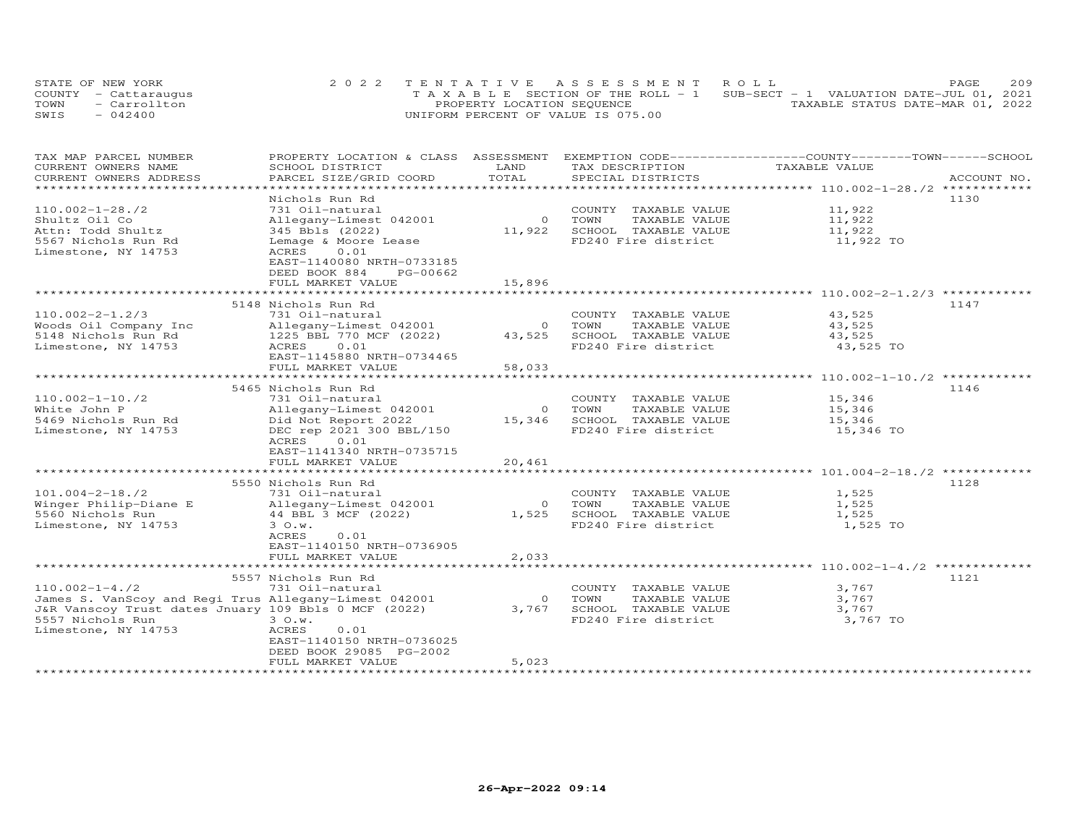| STATE OF NEW YORK    | 2022 TENTATIVE ASSESSMENT ROLL                                                 | PAGE                             | 209 |
|----------------------|--------------------------------------------------------------------------------|----------------------------------|-----|
| COUNTY - Cattaraugus | T A X A B L E SECTION OF THE ROLL - 1 SUB-SECT - 1 VALUATION DATE-JUL 01, 2021 |                                  |     |
| - Carrollton<br>TOWN | PROPERTY LOCATION SEQUENCE                                                     | TAXABLE STATUS DATE-MAR 01, 2022 |     |
| $-042400$<br>SWIS    | UNIFORM PERCENT OF VALUE IS 075.00                                             |                                  |     |

| TAX MAP PARCEL NUMBER<br>CURRENT OWNERS NAME          | PROPERTY LOCATION & CLASS ASSESSMENT<br>SCHOOL DISTRICT | LAND           | TAX DESCRIPTION             | EXEMPTION CODE------------------COUNTY-------TOWN-----SCHOOL<br>TAXABLE VALUE |             |
|-------------------------------------------------------|---------------------------------------------------------|----------------|-----------------------------|-------------------------------------------------------------------------------|-------------|
| CURRENT OWNERS ADDRESS                                | PARCEL SIZE/GRID COORD                                  | TOTAL          | SPECIAL DISTRICTS           |                                                                               | ACCOUNT NO. |
| *********************                                 |                                                         |                |                             |                                                                               |             |
|                                                       | Nichols Run Rd                                          |                |                             |                                                                               | 1130        |
| $110.002 - 1 - 28.72$                                 | 731 Oil-natural                                         |                | COUNTY TAXABLE VALUE        | 11,922                                                                        |             |
| Shultz Oil Co                                         | Allegany-Limest 042001                                  | $\overline{O}$ | TOWN<br>TAXABLE VALUE       | 11,922                                                                        |             |
| Attn: Todd Shultz                                     | 345 Bbls (2022)                                         | 11,922         | SCHOOL TAXABLE VALUE        | 11,922                                                                        |             |
| 5567 Nichols Run Rd                                   | Lemage & Moore Lease                                    |                | FD240 Fire district         | 11,922 TO                                                                     |             |
| Limestone, NY 14753                                   | ACRES<br>0.01                                           |                |                             |                                                                               |             |
|                                                       | EAST-1140080 NRTH-0733185                               |                |                             |                                                                               |             |
|                                                       | DEED BOOK 884<br>PG-00662                               |                |                             |                                                                               |             |
|                                                       | FULL MARKET VALUE                                       | 15,896         |                             |                                                                               |             |
|                                                       |                                                         |                |                             |                                                                               |             |
|                                                       | 5148 Nichols Run Rd                                     |                |                             |                                                                               | 1147        |
| $110.002 - 2 - 1.2/3$                                 | 731 Oil-natural                                         |                | COUNTY TAXABLE VALUE        | 43,525                                                                        |             |
| Woods Oil Company Inc                                 | Allegany-Limest 042001                                  |                | 0 TOWN<br>TAXABLE VALUE     | 43,525                                                                        |             |
| 5148 Nichols Run Rd                                   | 1225 BBL 770 MCF (2022)                                 | 43,525         | SCHOOL TAXABLE VALUE        | 43,525                                                                        |             |
| Limestone, NY 14753                                   | 0.01<br>ACRES                                           |                | FD240 Fire district         | 43,525 TO                                                                     |             |
|                                                       | EAST-1145880 NRTH-0734465                               |                |                             |                                                                               |             |
|                                                       | FULL MARKET VALUE                                       | 58,033         |                             |                                                                               |             |
|                                                       |                                                         |                |                             |                                                                               |             |
|                                                       | 5465 Nichols Run Rd                                     |                |                             |                                                                               | 1146        |
| $110.002 - 1 - 10.72$                                 | 731 Oil-natural                                         |                | COUNTY TAXABLE VALUE        | 15,346                                                                        |             |
| White John P                                          | Allegany-Limest 042001                                  |                | 0 TOWN<br>TAXABLE VALUE     | 15,346                                                                        |             |
| 5469 Nichols Run Rd                                   | Did Not Report 2022                                     |                | 15,346 SCHOOL TAXABLE VALUE | 15,346                                                                        |             |
| Limestone, NY 14753                                   | DEC rep 2021 300 BBL/150                                |                | FD240 Fire district         | 15,346 TO                                                                     |             |
|                                                       | ACRES<br>0.01<br>EAST-1141340 NRTH-0735715              |                |                             |                                                                               |             |
|                                                       | FULL MARKET VALUE                                       | 20,461         |                             |                                                                               |             |
|                                                       |                                                         |                |                             |                                                                               |             |
|                                                       | 5550 Nichols Run Rd                                     |                |                             |                                                                               | 1128        |
| $101.004 - 2 - 18.72$                                 | 731 Oil-natural                                         |                | COUNTY TAXABLE VALUE        | 1,525                                                                         |             |
| Winger Philip-Diane E                                 | Allegany-Limest 042001                                  | $\circ$        | TOWN<br>TAXABLE VALUE       | 1,525                                                                         |             |
| 5560 Nichols Run                                      | 44 BBL 3 MCF (2022)                                     | 1,525          | SCHOOL TAXABLE VALUE        | 1,525                                                                         |             |
| Limestone, NY 14753                                   | 3 O.w.                                                  |                | FD240 Fire district         | 1,525 TO                                                                      |             |
|                                                       | ACRES<br>0.01                                           |                |                             |                                                                               |             |
|                                                       | EAST-1140150 NRTH-0736905                               |                |                             |                                                                               |             |
|                                                       | FULL MARKET VALUE                                       | 2,033          |                             |                                                                               |             |
|                                                       |                                                         |                |                             |                                                                               |             |
|                                                       | 5557 Nichols Run Rd                                     |                |                             |                                                                               | 1121        |
| $110.002 - 1 - 4.72$                                  | 731 Oil-natural                                         |                | COUNTY TAXABLE VALUE        | 3,767                                                                         |             |
| James S. VanScoy and Regi Trus Allegany-Limest 042001 |                                                         | $\circ$        | TOWN<br>TAXABLE VALUE       | 3,767                                                                         |             |
| J&R Vanscoy Trust dates Jnuary 109 Bbls 0 MCF (2022)  |                                                         | 3,767          | SCHOOL TAXABLE VALUE        | 3,767                                                                         |             |
| 5557 Nichols Run                                      | 3 O.w.                                                  |                | FD240 Fire district         | 3,767 TO                                                                      |             |
| Limestone, NY 14753                                   | ACRES<br>0.01                                           |                |                             |                                                                               |             |
|                                                       | EAST-1140150 NRTH-0736025                               |                |                             |                                                                               |             |
|                                                       | DEED BOOK 29085 PG-2002                                 |                |                             |                                                                               |             |
|                                                       | FULL MARKET VALUE                                       | 5,023          |                             |                                                                               |             |
|                                                       |                                                         |                |                             |                                                                               |             |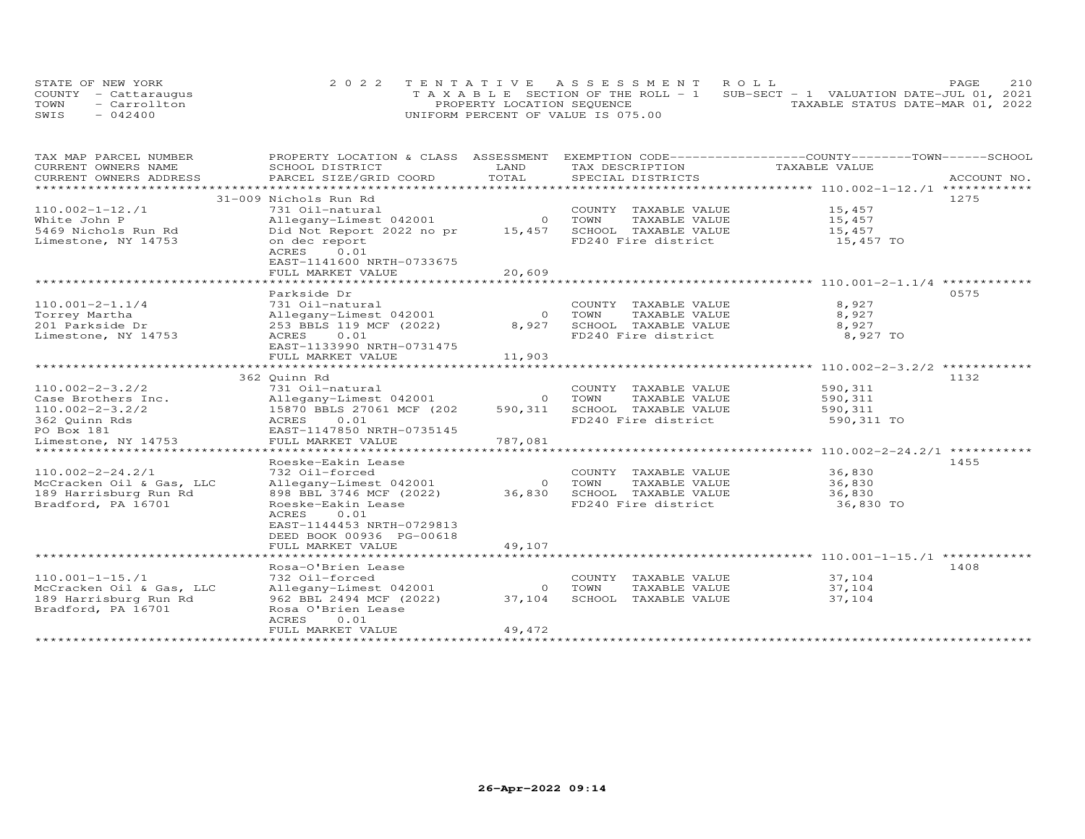| STATE OF NEW YORK    | 2022 TENTATIVE ASSESSMENT ROLL                                                 |                                  | PAGE | 210 |
|----------------------|--------------------------------------------------------------------------------|----------------------------------|------|-----|
| COUNTY - Cattaraugus | T A X A B L E SECTION OF THE ROLL - 1 SUB-SECT - 1 VALUATION DATE-JUL 01, 2021 |                                  |      |     |
| - Carrollton<br>TOWN | PROPERTY LOCATION SEQUENCE                                                     | TAXABLE STATUS DATE-MAR 01, 2022 |      |     |
| $-042400$<br>SWIS    | UNIFORM PERCENT OF VALUE IS 075.00                                             |                                  |      |     |

| TAX MAP PARCEL NUMBER                            | PROPERTY LOCATION & CLASS ASSESSMENT             |                |                       | EXEMPTION CODE-----------------COUNTY-------TOWN------SCHOOL |             |
|--------------------------------------------------|--------------------------------------------------|----------------|-----------------------|--------------------------------------------------------------|-------------|
| CURRENT OWNERS NAME                              | SCHOOL DISTRICT                                  | LAND           | TAX DESCRIPTION       | TAXABLE VALUE                                                |             |
| CURRENT OWNERS ADDRESS<br>********************** | PARCEL SIZE/GRID COORD                           | TOTAL          | SPECIAL DISTRICTS     |                                                              | ACCOUNT NO. |
|                                                  |                                                  |                |                       |                                                              |             |
|                                                  | 31-009 Nichols Run Rd                            |                |                       |                                                              | 1275        |
| $110.002 - 1 - 12.71$                            | 731 Oil-natural                                  |                | COUNTY TAXABLE VALUE  | 15,457                                                       |             |
| White John P                                     | Allegany-Limest 042001                           | $\overline{O}$ | TOWN<br>TAXABLE VALUE | 15,457                                                       |             |
| 5469 Nichols Run Rd                              | Did Not Report 2022 no pr                        | 15,457         | SCHOOL TAXABLE VALUE  | 15,457                                                       |             |
| Limestone, NY 14753                              | on dec report                                    |                | FD240 Fire district   | 15,457 TO                                                    |             |
|                                                  | ACRES<br>0.01                                    |                |                       |                                                              |             |
|                                                  | EAST-1141600 NRTH-0733675                        |                |                       |                                                              |             |
|                                                  | FULL MARKET VALUE<br>*************************** | 20,609         |                       |                                                              |             |
|                                                  | Parkside Dr                                      |                |                       |                                                              | 0575        |
| $110.001 - 2 - 1.1/4$                            | 731 Oil-natural                                  |                | COUNTY TAXABLE VALUE  | 8,927                                                        |             |
| Torrey Martha                                    | Allegany-Limest 042001                           | $\circ$        | TAXABLE VALUE<br>TOWN | 8,927                                                        |             |
| 201 Parkside Dr                                  | 253 BBLS 119 MCF (2022)                          | 8,927          | SCHOOL TAXABLE VALUE  | 8,927                                                        |             |
| Limestone, NY 14753                              | 0.01<br>ACRES                                    |                | FD240 Fire district   | 8,927 TO                                                     |             |
|                                                  | EAST-1133990 NRTH-0731475                        |                |                       |                                                              |             |
|                                                  | FULL MARKET VALUE                                | 11,903         |                       |                                                              |             |
|                                                  |                                                  |                |                       |                                                              |             |
|                                                  | 362 Quinn Rd                                     |                |                       |                                                              | 1132        |
| $110.002 - 2 - 3.2/2$                            | 731 Oil-natural                                  |                | COUNTY TAXABLE VALUE  | 590,311                                                      |             |
| Case Brothers Inc.                               | Allegany-Limest 042001                           | $\circ$        | TOWN<br>TAXABLE VALUE | 590,311                                                      |             |
| $110.002 - 2 - 3.2/2$                            | 15870 BBLS 27061 MCF (202                        | 590,311        | SCHOOL TAXABLE VALUE  | 590,311                                                      |             |
| 362 Quinn Rds                                    | ACRES<br>0.01                                    |                | FD240 Fire district   | 590,311 TO                                                   |             |
| PO Box 181                                       | EAST-1147850 NRTH-0735145                        |                |                       |                                                              |             |
| Limestone, NY 14753                              | FULL MARKET VALUE                                | 787,081        |                       |                                                              |             |
| **************************                       |                                                  |                |                       |                                                              |             |
|                                                  | Roeske-Eakin Lease                               |                |                       |                                                              | 1455        |
| $110.002 - 2 - 24.2/1$                           | 732 Oil-forced                                   |                | COUNTY TAXABLE VALUE  | 36,830                                                       |             |
| McCracken Oil & Gas, LLC                         | Allegany-Limest 042001                           | $\Omega$       | TOWN<br>TAXABLE VALUE | 36,830                                                       |             |
| 189 Harrisburg Run Rd                            | 898 BBL 3746 MCF (2022)                          | 36,830         | SCHOOL TAXABLE VALUE  | 36,830                                                       |             |
| Bradford, PA 16701                               | Roeske-Eakin Lease                               |                | FD240 Fire district   | 36,830 TO                                                    |             |
|                                                  | ACRES<br>0.01                                    |                |                       |                                                              |             |
|                                                  | EAST-1144453 NRTH-0729813                        |                |                       |                                                              |             |
|                                                  | DEED BOOK 00936 PG-00618                         |                |                       |                                                              |             |
|                                                  | FULL MARKET VALUE                                | 49,107         |                       |                                                              |             |
|                                                  |                                                  |                |                       |                                                              |             |
|                                                  | Rosa-O'Brien Lease                               |                |                       |                                                              | 1408        |
| $110.001 - 1 - 15.71$                            | 732 Oil-forced                                   |                | COUNTY TAXABLE VALUE  | 37,104                                                       |             |
| McCracken Oil & Gas, LLC                         | Allegany-Limest 042001                           | $\circ$        | TOWN<br>TAXABLE VALUE | 37,104                                                       |             |
| 189 Harrisburg Run Rd                            | 962 BBL 2494 MCF (2022)                          | 37,104         | SCHOOL TAXABLE VALUE  | 37,104                                                       |             |
| Bradford, PA 16701                               | Rosa O'Brien Lease                               |                |                       |                                                              |             |
|                                                  | ACRES<br>0.01                                    |                |                       |                                                              |             |
|                                                  | FULL MARKET VALUE                                | 49,472         |                       |                                                              |             |
|                                                  |                                                  |                |                       |                                                              |             |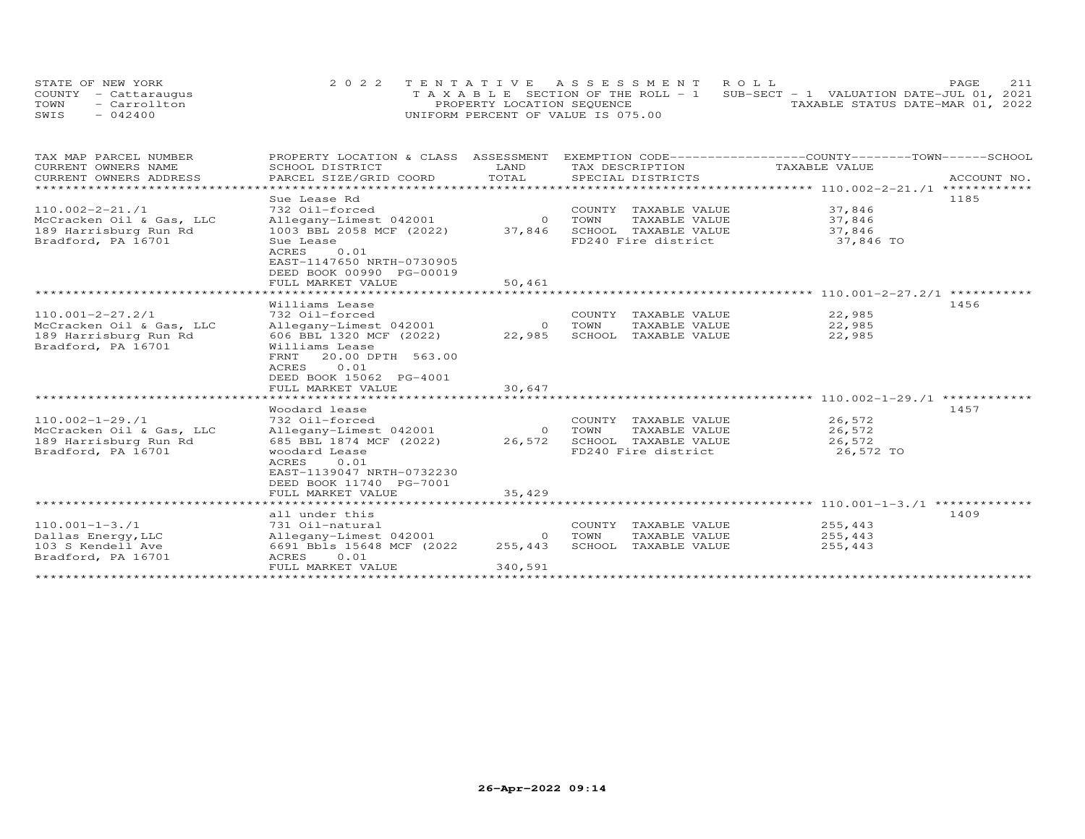| STATE OF NEW YORK    | 2022 TENTATIVE ASSESSMENT ROLL                                                 |                                  | <b>PAGE</b> | 211 |
|----------------------|--------------------------------------------------------------------------------|----------------------------------|-------------|-----|
| COUNTY - Cattaraugus | T A X A B L E SECTION OF THE ROLL - 1 SUB-SECT - 1 VALUATION DATE-JUL 01, 2021 |                                  |             |     |
| TOWN<br>- Carrollton | PROPERTY LOCATION SEQUENCE                                                     | TAXABLE STATUS DATE-MAR 01, 2022 |             |     |
| SWIS<br>$-042400$    | UNIFORM PERCENT OF VALUE IS 075.00                                             |                                  |             |     |

| TAX MAP PARCEL NUMBER    | PROPERTY LOCATION & CLASS ASSESSMENT |                |        |                             | EXEMPTION CODE-----------------COUNTY-------TOWN------SCHOOL   |             |
|--------------------------|--------------------------------------|----------------|--------|-----------------------------|----------------------------------------------------------------|-------------|
| CURRENT OWNERS NAME      | SCHOOL DISTRICT                      | LAND           |        | TAX DESCRIPTION             | TAXABLE VALUE                                                  |             |
| CURRENT OWNERS ADDRESS   | PARCEL SIZE/GRID COORD               | TOTAL          |        | SPECIAL DISTRICTS           |                                                                | ACCOUNT NO. |
|                          |                                      |                |        |                             |                                                                |             |
|                          | Sue Lease Rd                         |                |        |                             |                                                                | 1185        |
| $110.002 - 2 - 21.71$    | 732 Oil-forced                       |                |        | COUNTY TAXABLE VALUE        | 37,846                                                         |             |
| McCracken Oil & Gas, LLC | Allegany-Limest 042001               |                | 0 TOWN | TAXABLE VALUE               | 37,846                                                         |             |
| 189 Harrisburg Run Rd    | $1003$ BBL 2058 MCF (2022)           |                |        | 37,846 SCHOOL TAXABLE VALUE | 37,846                                                         |             |
| Bradford, PA 16701       | Sue Lease                            |                |        | FD240 Fire district         | 37,846 TO                                                      |             |
|                          | 0.01<br>ACRES                        |                |        |                             |                                                                |             |
|                          | EAST-1147650 NRTH-0730905            |                |        |                             |                                                                |             |
|                          | DEED BOOK 00990 PG-00019             |                |        |                             |                                                                |             |
|                          | FULL MARKET VALUE                    | 50,461         |        |                             |                                                                |             |
|                          | ***********************              |                |        |                             |                                                                |             |
|                          | Williams Lease                       |                |        |                             |                                                                | 1456        |
| $110.001 - 2 - 27.2/1$   | 732 Oil-forced                       |                |        | COUNTY TAXABLE VALUE        | 22,985                                                         |             |
| McCracken Oil & Gas, LLC | Allegany-Limest 042001               | $\circ$        | TOWN   | TAXABLE VALUE               | 22,985                                                         |             |
| 189 Harrisburg Run Rd    | 606 BBL 1320 MCF (2022)              | 22,985         |        | SCHOOL TAXABLE VALUE        | 22,985                                                         |             |
| Bradford, PA 16701       | Williams Lease                       |                |        |                             |                                                                |             |
|                          | 20.00 DPTH 563.00<br>FRNT            |                |        |                             |                                                                |             |
|                          | 0.01<br>ACRES                        |                |        |                             |                                                                |             |
|                          | DEED BOOK 15062 PG-4001              |                |        |                             |                                                                |             |
|                          | FULL MARKET VALUE                    | 30,647         |        |                             |                                                                |             |
|                          |                                      |                |        |                             | ********************************* 110.002-1-29./1 ************ |             |
|                          | Woodard lease                        |                |        |                             |                                                                | 1457        |
| $110.002 - 1 - 29.71$    | 732 Oil-forced                       |                |        | COUNTY TAXABLE VALUE        | 26,572                                                         |             |
| McCracken Oil & Gas, LLC | Allegany-Limest 042001               | $\overline{O}$ | TOWN   | TAXABLE VALUE               | 26,572                                                         |             |
| 189 Harrisburg Run Rd    | 685 BBL 1874 MCF (2022)              | 26,572         |        | SCHOOL TAXABLE VALUE        | 26,572                                                         |             |
| Bradford, PA 16701       | woodard Lease                        |                |        | FD240 Fire district         | 26,572 TO                                                      |             |
|                          | ACRES<br>0.01                        |                |        |                             |                                                                |             |
|                          | EAST-1139047 NRTH-0732230            |                |        |                             |                                                                |             |
|                          | DEED BOOK 11740 PG-7001              |                |        |                             |                                                                |             |
|                          | FULL MARKET VALUE                    | 35,429         |        |                             |                                                                |             |
|                          |                                      |                |        |                             |                                                                |             |
|                          | all under this                       |                |        |                             |                                                                | 1409        |
| $110.001 - 1 - 3.71$     | 731 Oil-natural                      |                |        | COUNTY TAXABLE VALUE        | 255,443                                                        |             |
| Dallas Energy, LLC       | Allegany-Limest 042001               | $\circ$        | TOWN   | TAXABLE VALUE               | 255,443                                                        |             |
| 103 S Kendell Ave        | 6691 Bbls 15648 MCF (2022            | 255,443        |        | SCHOOL TAXABLE VALUE        | 255,443                                                        |             |
| Bradford, PA 16701       | ACRES<br>0.01                        |                |        |                             |                                                                |             |
|                          | FULL MARKET VALUE                    | 340,591        |        |                             |                                                                |             |
|                          |                                      |                |        |                             |                                                                |             |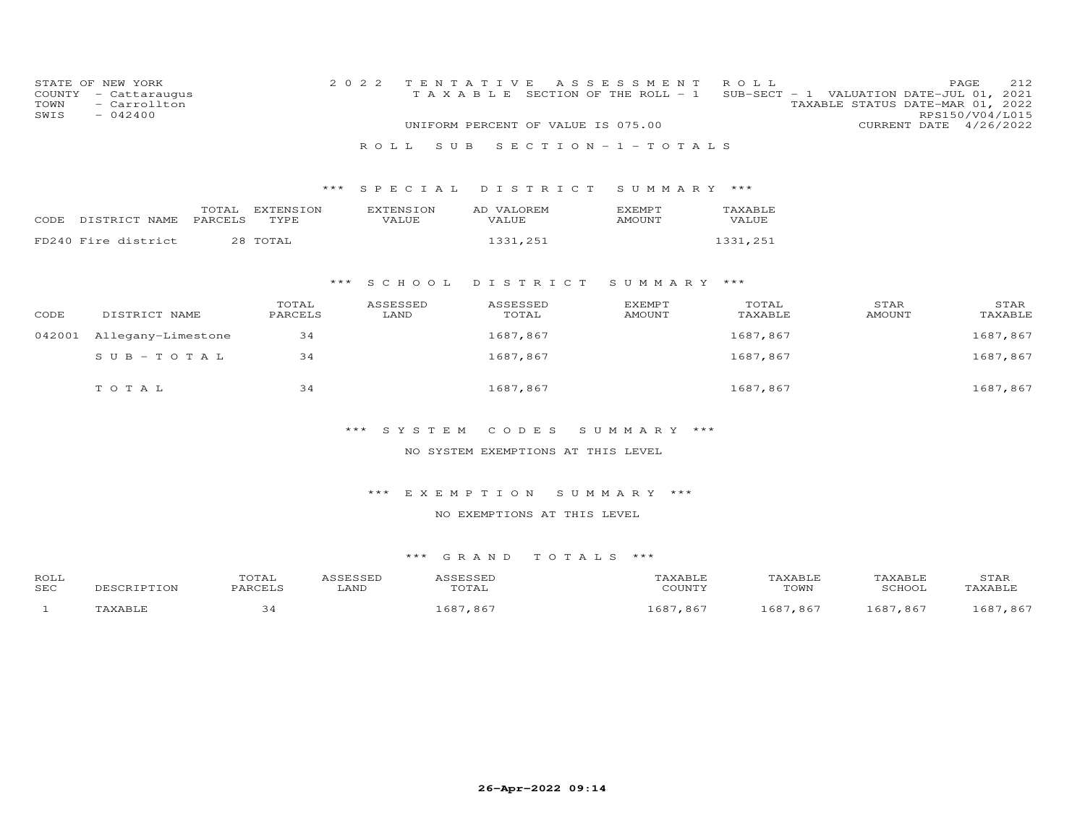| COUNTY<br>TOWN<br>SWIS | STATE OF NEW YORK<br>- Cattaraugus<br>- Carrollton<br>$-042400$ |                  |                   | 2 0 2 2          | TAXABLE                   | TENTATIVE                          | A S S E S S M E N T<br>SECTION OF THE ROLL - 1 | ROLL             |                 |                   | PAGE<br>212<br>SUB-SECT - 1 VALUATION DATE-JUL 01, 2021<br>TAXABLE STATUS DATE-MAR 01, 2022<br>RPS150/V04/L015 |
|------------------------|-----------------------------------------------------------------|------------------|-------------------|------------------|---------------------------|------------------------------------|------------------------------------------------|------------------|-----------------|-------------------|----------------------------------------------------------------------------------------------------------------|
|                        |                                                                 |                  |                   |                  |                           | UNIFORM PERCENT OF VALUE IS 075.00 |                                                |                  |                 |                   | CURRENT DATE 4/26/2022                                                                                         |
|                        |                                                                 |                  |                   |                  | ROLL<br>S U B             |                                    | SECTION $-1$ -TOTALS                           |                  |                 |                   |                                                                                                                |
|                        |                                                                 |                  |                   |                  |                           |                                    |                                                |                  |                 |                   |                                                                                                                |
|                        |                                                                 |                  |                   | ***              | S P E C I A L             | DISTRICT                           | SUMMARY ***                                    |                  |                 |                   |                                                                                                                |
| CODE                   | DISTRICT NAME                                                   | TOTAL<br>PARCELS | EXTENSION<br>TYPE |                  | <b>EXTENSION</b><br>VALUE | AD VALOREM<br><b>VALUE</b>         | <b>EXEMPT</b><br><b>AMOUNT</b>                 | TAXABLE<br>VALUE |                 |                   |                                                                                                                |
|                        | FD240 Fire district                                             |                  | 28 TOTAL          |                  |                           | 1331,251                           |                                                | 1331,251         |                 |                   |                                                                                                                |
|                        |                                                                 |                  |                   |                  |                           |                                    |                                                |                  |                 |                   |                                                                                                                |
|                        |                                                                 |                  |                   | $***$            | S C H O O L               | DISTRICT                           | SUMMARY ***                                    |                  |                 |                   |                                                                                                                |
|                        |                                                                 |                  | TOTAL             |                  | ASSESSED                  | ASSESSED                           | <b>EXEMPT</b>                                  | TOTAL            |                 | STAR              | STAR                                                                                                           |
| CODE                   | DISTRICT NAME                                                   |                  | PARCELS           |                  | LAND                      | TOTAL                              | <b>AMOUNT</b>                                  | TAXABLE          |                 | <b>AMOUNT</b>     | TAXABLE                                                                                                        |
| 042001                 | Allegany-Limestone                                              |                  | 34                |                  |                           | 1687,867                           |                                                | 1687,867         |                 |                   | 1687,867                                                                                                       |
|                        | $S$ U B - T O T A L                                             |                  | 34                |                  |                           | 1687,867                           |                                                | 1687,867         |                 |                   | 1687,867                                                                                                       |
|                        |                                                                 |                  |                   |                  |                           |                                    |                                                |                  |                 |                   |                                                                                                                |
|                        | TOTAL                                                           |                  | 34                |                  |                           | 1687,867                           |                                                | 1687,867         |                 |                   | 1687,867                                                                                                       |
|                        |                                                                 |                  |                   |                  |                           |                                    |                                                |                  |                 |                   |                                                                                                                |
|                        |                                                                 |                  |                   |                  | ***<br>SYSTEM             | CODES                              | SUMMARY ***                                    |                  |                 |                   |                                                                                                                |
|                        |                                                                 |                  |                   |                  |                           | NO SYSTEM EXEMPTIONS AT THIS LEVEL |                                                |                  |                 |                   |                                                                                                                |
|                        |                                                                 |                  |                   |                  |                           |                                    |                                                |                  |                 |                   |                                                                                                                |
|                        |                                                                 |                  |                   |                  | $***$<br>EXEMPTION        |                                    | SUMMARY ***                                    |                  |                 |                   |                                                                                                                |
|                        |                                                                 |                  |                   |                  |                           | NO EXEMPTIONS AT THIS LEVEL        |                                                |                  |                 |                   |                                                                                                                |
|                        |                                                                 |                  |                   |                  |                           |                                    |                                                |                  |                 |                   |                                                                                                                |
|                        |                                                                 |                  |                   |                  | *** GRAND                 | TOTALS ***                         |                                                |                  |                 |                   |                                                                                                                |
|                        |                                                                 |                  |                   |                  |                           |                                    |                                                |                  |                 |                   |                                                                                                                |
| ROLL<br>SEC            | DESCRIPTION                                                     |                  | TOTAL<br>PARCELS  | ASSESSED<br>LAND | ASSESSED                  | TOTAL                              | TAXABLE<br>COUNTY                              |                  | TAXABLE<br>TOWN | TAXABLE<br>SCHOOL | STAR<br>TAXABLE                                                                                                |

| SEC | DESCRIPTION    | PARCELL | LAND | $T$ $\cap$ $T$ $\cap$ $T$ $\cap$ $T$ $T$<br>UIAL | 70 TINTTV<br>$\cdot$ . OUN 1 $\cdot$ | TOWN | SCHOOI                                                           | TAXABLE      |
|-----|----------------|---------|------|--------------------------------------------------|--------------------------------------|------|------------------------------------------------------------------|--------------|
|     | <b>LAVART.</b> | っさ      |      | , 86                                             | $\sim$ $\sim$ $\sim$<br>,867<br>ᅩoo  | ,86  | ⊥687<br>,867<br>$\sim$ $\sim$ $\sim$ $\sim$ $\sim$ $\sim$ $\sim$ | 1687<br>,867 |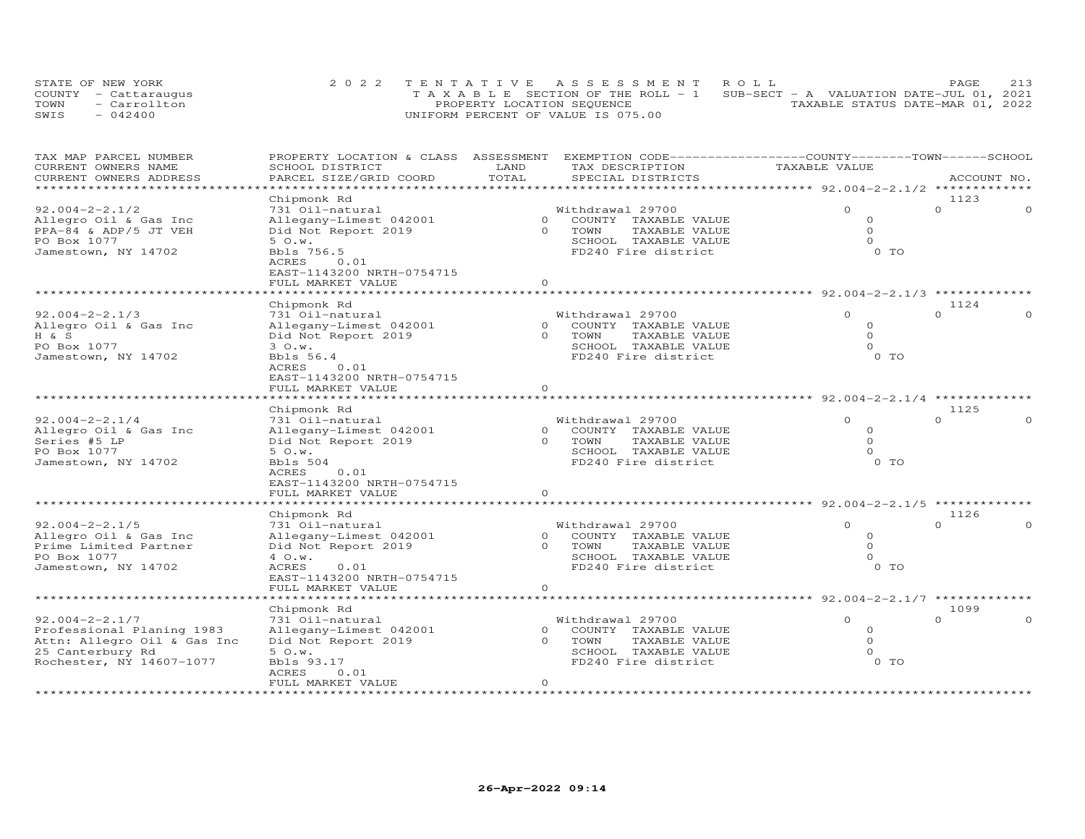| STATE OF NEW YORK    | 2022 TENTATIVE ASSESSMENT ROLL                                                 |                                  | PAGE | 213 |
|----------------------|--------------------------------------------------------------------------------|----------------------------------|------|-----|
| COUNTY - Cattaraugus | T A X A B L E SECTION OF THE ROLL - 1 SUB-SECT - A VALUATION DATE-JUL 01, 2021 |                                  |      |     |
| TOWN<br>- Carrollton | PROPERTY LOCATION SEQUENCE                                                     | TAXABLE STATUS DATE-MAR 01, 2022 |      |     |
| SWIS<br>$-042400$    | UNIFORM PERCENT OF VALUE IS 075.00                                             |                                  |      |     |

| TAX MAP PARCEL NUMBER<br>CURRENT OWNERS NAME | PROPERTY LOCATION & CLASS ASSESSMENT<br>SCHOOL DISTRICT | LAND           | EXEMPTION CODE-----------------COUNTY-------TOWN------SCHOOL<br>TAX DESCRIPTION | TAXABLE VALUE                           |                  |
|----------------------------------------------|---------------------------------------------------------|----------------|---------------------------------------------------------------------------------|-----------------------------------------|------------------|
| CURRENT OWNERS ADDRESS                       | PARCEL SIZE/GRID COORD                                  | TOTAL          | SPECIAL DISTRICTS                                                               |                                         | ACCOUNT NO.      |
|                                              | Chipmonk Rd                                             |                |                                                                                 |                                         | 1123             |
| $92.004 - 2 - 2.1/2$                         | 731 Oil-natural                                         |                | Withdrawal 29700                                                                | $\Omega$                                | $\Omega$         |
| Allegro Oil & Gas Inc                        | Allegany-Limest 042001                                  | $\overline{0}$ | COUNTY TAXABLE VALUE                                                            | $\circ$                                 |                  |
| PPA-84 & ADP/5 JT VEH                        | Did Not Report 2019                                     | $\Omega$       | TOWN<br>TAXABLE VALUE                                                           | $\circ$                                 |                  |
| PO Box 1077                                  | 50.w.                                                   |                | SCHOOL TAXABLE VALUE                                                            | $\Omega$                                |                  |
| Jamestown, NY 14702                          | Bbls 756.5                                              |                | FD240 Fire district                                                             | $0$ TO                                  |                  |
|                                              | ACRES<br>0.01                                           |                |                                                                                 |                                         |                  |
|                                              | EAST-1143200 NRTH-0754715                               |                |                                                                                 |                                         |                  |
|                                              | FULL MARKET VALUE<br>******************                 | $\circ$        | **************************                                                      |                                         |                  |
|                                              |                                                         |                |                                                                                 | ************* 92.004-2-2.1/3 ********** |                  |
| $92.004 - 2 - 2.1/3$                         | Chipmonk Rd<br>731 Oil-natural                          |                | Withdrawal 29700                                                                | $\Omega$                                | 1124<br>$\Omega$ |
| Allegro Oil & Gas Inc                        | Allegany-Limest 042001                                  | $\overline{0}$ | COUNTY TAXABLE VALUE                                                            | $\circ$                                 |                  |
| H & S                                        | Did Not Report 2019                                     | $\Omega$       | TOWN<br>TAXABLE VALUE                                                           | $\Omega$                                |                  |
| PO Box 1077                                  | 30.w.                                                   |                | SCHOOL TAXABLE VALUE                                                            | $\Omega$                                |                  |
| Jamestown, NY 14702                          | Bbls 56.4                                               |                | FD240 Fire district                                                             | 0 TO                                    |                  |
|                                              | ACRES<br>0.01                                           |                |                                                                                 |                                         |                  |
|                                              | EAST-1143200 NRTH-0754715                               |                |                                                                                 |                                         |                  |
|                                              | FULL MARKET VALUE                                       | $\circ$        |                                                                                 |                                         |                  |
|                                              |                                                         |                |                                                                                 | ************* 92.004-2-2.1/4 ******     |                  |
|                                              | Chipmonk Rd                                             |                |                                                                                 |                                         | 1125             |
| $92.004 - 2 - 2.1/4$                         | 731 Oil-natural                                         |                | Withdrawal 29700                                                                | $\Omega$                                | $\Omega$         |
| Allegro Oil & Gas Inc                        | Allegany-Limest 042001                                  | $\overline{0}$ | COUNTY TAXABLE VALUE                                                            | $\Omega$                                |                  |
| Series #5 LP                                 | Did Not Report 2019                                     | $\Omega$       | TOWN<br>TAXABLE VALUE                                                           | $\Omega$                                |                  |
| PO Box 1077                                  | 50. w.                                                  |                | SCHOOL TAXABLE VALUE                                                            | $\cap$                                  |                  |
| Jamestown, NY 14702                          | Bbls 504                                                |                | FD240 Fire district                                                             | $0$ TO                                  |                  |
|                                              | ACRES<br>0.01                                           |                |                                                                                 |                                         |                  |
|                                              | EAST-1143200 NRTH-0754715                               |                |                                                                                 |                                         |                  |
|                                              | FULL MARKET VALUE                                       | $\circ$        |                                                                                 |                                         |                  |
|                                              |                                                         |                |                                                                                 |                                         |                  |
|                                              | Chipmonk Rd                                             |                |                                                                                 |                                         | 1126             |
| $92.004 - 2 - 2.1/5$                         | 731 Oil-natural                                         |                | Withdrawal 29700                                                                | $\Omega$                                | $\Omega$         |
| Allegro Oil & Gas Inc                        | Allegany-Limest 042001                                  | $\overline{0}$ | COUNTY TAXABLE VALUE                                                            | 0                                       |                  |
| Prime Limited Partner                        | Did Not Report 2019                                     | $\Omega$       | TOWN<br>TAXABLE VALUE                                                           | $\Omega$                                |                  |
| PO Box 1077                                  | 4 O.w.                                                  |                | SCHOOL TAXABLE VALUE                                                            | $\Omega$                                |                  |
| Jamestown, NY 14702                          | ACRES<br>0.01                                           |                | FD240 Fire district                                                             | 0 TO                                    |                  |
|                                              | EAST-1143200 NRTH-0754715                               | $\circ$        |                                                                                 |                                         |                  |
|                                              | FULL MARKET VALUE                                       |                | *******************                                                             | ******* 92.004-2-2.1/7 *******          |                  |
|                                              | Chipmonk Rd                                             |                |                                                                                 |                                         | 1099             |
| $92.004 - 2 - 2.1/7$                         | 731 Oil-natural                                         |                | Withdrawal 29700                                                                | $\Omega$                                | $\Omega$         |
| Professional Planing 1983                    | Allegany-Limest 042001                                  | $\overline{0}$ | COUNTY TAXABLE VALUE                                                            | $\circ$                                 |                  |
| Attn: Allegro Oil & Gas Inc                  | Did Not Report 2019                                     | $\Omega$       | TOWN<br>TAXABLE VALUE                                                           | $\Omega$                                |                  |
| 25 Canterbury Rd                             | 50.w.                                                   |                | SCHOOL TAXABLE VALUE                                                            | $\cap$                                  |                  |
| Rochester, NY 14607-1077                     | Bbls 93.17                                              |                | FD240 Fire district                                                             | $0$ TO                                  |                  |
|                                              | ACRES<br>0.01                                           |                |                                                                                 |                                         |                  |
|                                              | FULL MARKET VALUE                                       | $\circ$        |                                                                                 |                                         |                  |
|                                              |                                                         |                |                                                                                 |                                         |                  |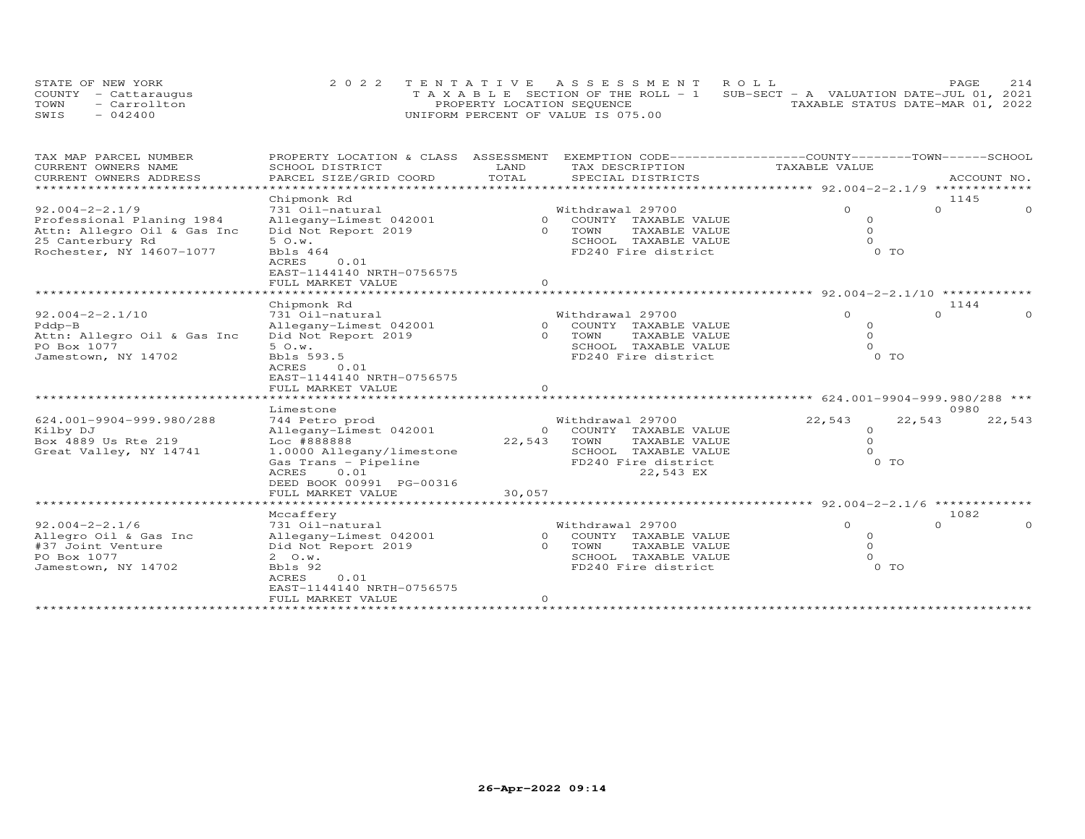| STATE OF NEW YORK    | 2022 TENTATIVE ASSESSMENT ROLL                                                 |                                  | PAGE | 2.14 |
|----------------------|--------------------------------------------------------------------------------|----------------------------------|------|------|
| COUNTY - Cattaraugus | T A X A B L E SECTION OF THE ROLL - 1 SUB-SECT - A VALUATION DATE-JUL 01, 2021 |                                  |      |      |
| - Carrollton<br>TOWN | PROPERTY LOCATION SEQUENCE                                                     | TAXABLE STATUS DATE-MAR 01, 2022 |      |      |
| $-042400$<br>SWIS    | UNIFORM PERCENT OF VALUE IS 075.00                                             |                                  |      |      |

| TAX MAP PARCEL NUMBER<br>CURRENT OWNERS NAME | PROPERTY LOCATION & CLASS ASSESSMENT<br>SCHOOL DISTRICT | LAND                     | EXEMPTION CODE-----------------COUNTY-------TOWN------SCHOOL<br>TAX DESCRIPTION | TAXABLE VALUE                          |          |             |
|----------------------------------------------|---------------------------------------------------------|--------------------------|---------------------------------------------------------------------------------|----------------------------------------|----------|-------------|
| CURRENT OWNERS ADDRESS                       | PARCEL SIZE/GRID COORD                                  | TOTAL                    | SPECIAL DISTRICTS                                                               |                                        |          | ACCOUNT NO. |
| *************************                    |                                                         |                          |                                                                                 |                                        |          |             |
|                                              | Chipmonk Rd                                             |                          |                                                                                 |                                        | 1145     |             |
| $92.004 - 2 - 2.1/9$                         | 731 Oil-natural                                         |                          | Withdrawal 29700                                                                | $\Omega$                               | $\Omega$ | $\Omega$    |
| Professional Planing 1984                    | Allegany-Limest 042001                                  | $\Omega$                 | COUNTY TAXABLE VALUE                                                            | $\circ$                                |          |             |
| Attn: Allegro Oil & Gas Inc                  | Did Not Report 2019                                     | $\Omega$                 | TOWN<br>TAXABLE VALUE                                                           | $\Omega$                               |          |             |
| 25 Canterbury Rd                             | 50. w.                                                  |                          | SCHOOL TAXABLE VALUE                                                            | $\Omega$                               |          |             |
| Rochester, NY 14607-1077                     | Bbls 464                                                |                          | FD240 Fire district                                                             | 0 <sub>T</sub>                         |          |             |
|                                              | <b>ACRES</b><br>0.01                                    |                          |                                                                                 |                                        |          |             |
|                                              | EAST-1144140 NRTH-0756575                               |                          |                                                                                 |                                        |          |             |
|                                              | FULL MARKET VALUE                                       | $\Omega$                 |                                                                                 |                                        |          |             |
|                                              |                                                         |                          |                                                                                 | **** 92.004-2-2.1/10 *******           | 1144     |             |
| $92.004 - 2 - 2.1/10$                        | Chipmonk Rd<br>731 Oil-natural                          |                          | Withdrawal 29700                                                                | $\Omega$                               | $\Omega$ | $\Omega$    |
| Pddp-B                                       | Allegany-Limest 042001                                  | $\Omega$                 | COUNTY TAXABLE VALUE                                                            | $\Omega$                               |          |             |
| Attn: Allegro Oil & Gas Inc                  | Did Not Report 2019                                     |                          | 0 TOWN<br>TAXABLE VALUE                                                         | $\Omega$                               |          |             |
| PO Box 1077                                  | 50.w.                                                   |                          | SCHOOL TAXABLE VALUE                                                            | $\Omega$                               |          |             |
| Jamestown, NY 14702                          | Bbls 593.5                                              |                          | FD240 Fire district                                                             | $0$ TO                                 |          |             |
|                                              | 0.01<br>ACRES                                           |                          |                                                                                 |                                        |          |             |
|                                              | EAST-1144140 NRTH-0756575                               |                          |                                                                                 |                                        |          |             |
|                                              | FULL MARKET VALUE                                       | $\Omega$                 |                                                                                 |                                        |          |             |
|                                              |                                                         |                          |                                                                                 |                                        |          |             |
|                                              | Limestone                                               |                          |                                                                                 |                                        | 0980     |             |
| 624.001-9904-999.980/288                     | 744 Petro prod                                          |                          | Withdrawal 29700                                                                | 22,543                                 | 22,543   | 22,543      |
| Kilby DJ                                     | Allegany-Limest 042001                                  |                          | 0 COUNTY TAXABLE VALUE                                                          | $\circ$                                |          |             |
| Box 4889 Us Rte 219                          | Loc #888888                                             | 22,543                   | TOWN<br>TAXABLE VALUE                                                           | $\circ$                                |          |             |
| Great Valley, NY 14741                       | 1.0000 Allegany/limestone                               |                          | SCHOOL<br>TAXABLE VALUE                                                         | $\Omega$                               |          |             |
|                                              | Gas Trans - Pipeline                                    |                          | FD240 Fire district                                                             | 0 TO                                   |          |             |
|                                              | <b>ACRES</b><br>0.01<br>DEED BOOK 00991 PG-00316        |                          | 22,543 EX                                                                       |                                        |          |             |
|                                              | FULL MARKET VALUE                                       | 30,057                   |                                                                                 |                                        |          |             |
|                                              |                                                         | ************************ |                                                                                 | *********** 92.004-2-2.1/6 *********** |          |             |
|                                              | Mccaffery                                               |                          |                                                                                 |                                        | 1082     |             |
| $92.004 - 2 - 2.1/6$                         | 731 Oil-natural                                         |                          | Withdrawal 29700                                                                | $\Omega$                               | $\Omega$ | $\Omega$    |
| Allegro Oil & Gas Inc                        | Allegany-Limest 042001                                  |                          | 0 COUNTY TAXABLE VALUE                                                          | $\Omega$                               |          |             |
| #37 Joint Venture                            | Did Not Report 2019                                     | $\Omega$                 | TOWN<br>TAXABLE VALUE                                                           | $\Omega$                               |          |             |
| PO Box 1077                                  | $2 \quad 0. w.$                                         |                          | SCHOOL TAXABLE VALUE                                                            | $\Omega$                               |          |             |
| Jamestown, NY 14702                          | Bbls 92                                                 |                          | FD240 Fire district                                                             | $0$ TO                                 |          |             |
|                                              | 0.01<br><b>ACRES</b>                                    |                          |                                                                                 |                                        |          |             |
|                                              | EAST-1144140 NRTH-0756575                               |                          |                                                                                 |                                        |          |             |
|                                              | FULL MARKET VALUE                                       | $\circ$                  |                                                                                 |                                        |          |             |
|                                              |                                                         |                          |                                                                                 |                                        |          |             |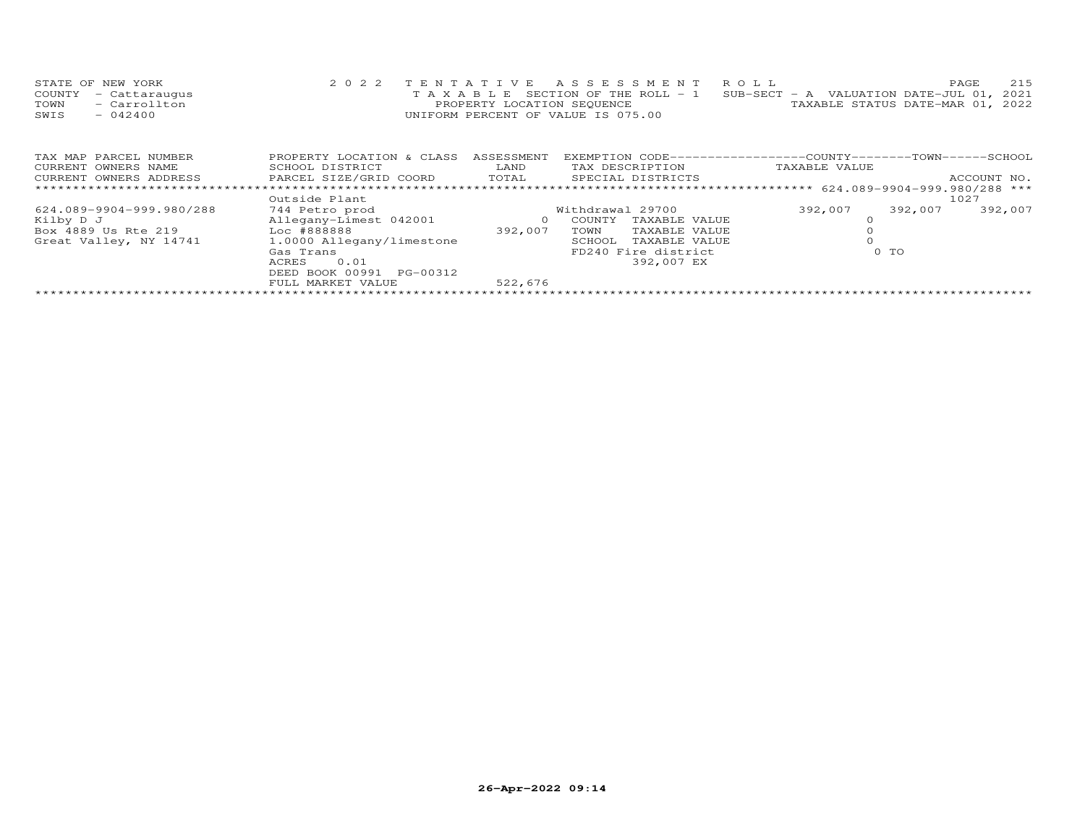| STATE OF NEW YORK    | 2022 TENTATIVE ASSESSMENT ROLL                                                 | 215<br>PAGE.                     |
|----------------------|--------------------------------------------------------------------------------|----------------------------------|
| COUNTY - Cattaraugus | T A X A B L E SECTION OF THE ROLL - 1 SUB-SECT - A VALUATION DATE-JUL 01, 2021 |                                  |
| TOWN - Carrollton    | PROPERTY LOCATION SEQUENCE                                                     | TAXABLE STATUS DATE-MAR 01, 2022 |
| $-042400$<br>SWIS    | UNIFORM PERCENT OF VALUE IS 075.00                                             |                                  |

| TAX MAP PARCEL NUMBER    | PROPERTY LOCATION & CLASS | ASSESSMENT | EXEMPTION CODE--------  | -----------COUNTY--------TOWN------SCHOOL |         |             |  |
|--------------------------|---------------------------|------------|-------------------------|-------------------------------------------|---------|-------------|--|
| CURRENT OWNERS NAME      | SCHOOL DISTRICT           |            | TAX DESCRIPTION         | TAXABLE VALUE                             |         |             |  |
| CURRENT OWNERS ADDRESS   | PARCEL SIZE/GRID COORD    | TOTAL      | SPECIAL DISTRICTS       |                                           |         | ACCOUNT NO. |  |
|                          |                           |            |                         |                                           |         |             |  |
|                          | Outside Plant             |            |                         |                                           |         | 1027        |  |
| 624.089-9904-999.980/288 | 744 Petro prod            |            | Withdrawal 29700        | 392,007                                   | 392,007 | 392,007     |  |
| Kilby D J                | Allegany-Limest 042001    |            | TAXABLE VALUE<br>COUNTY |                                           |         |             |  |
| Box 4889 Us Rte 219      | Loc #888888               | 392,007    | TOWN<br>TAXABLE VALUE   |                                           |         |             |  |
| Great Valley, NY 14741   | 1.0000 Allegany/limestone |            | TAXABLE VALUE<br>SCHOOL |                                           |         |             |  |
|                          | Gas Trans                 |            | FD240 Fire district     |                                           | $0$ TO  |             |  |
|                          | ACRES<br>0.01             |            | 392,007 EX              |                                           |         |             |  |
|                          | DEED BOOK 00991 PG-00312  |            |                         |                                           |         |             |  |
|                          | FULL MARKET VALUE         | 522,676    |                         |                                           |         |             |  |
|                          |                           |            |                         |                                           |         |             |  |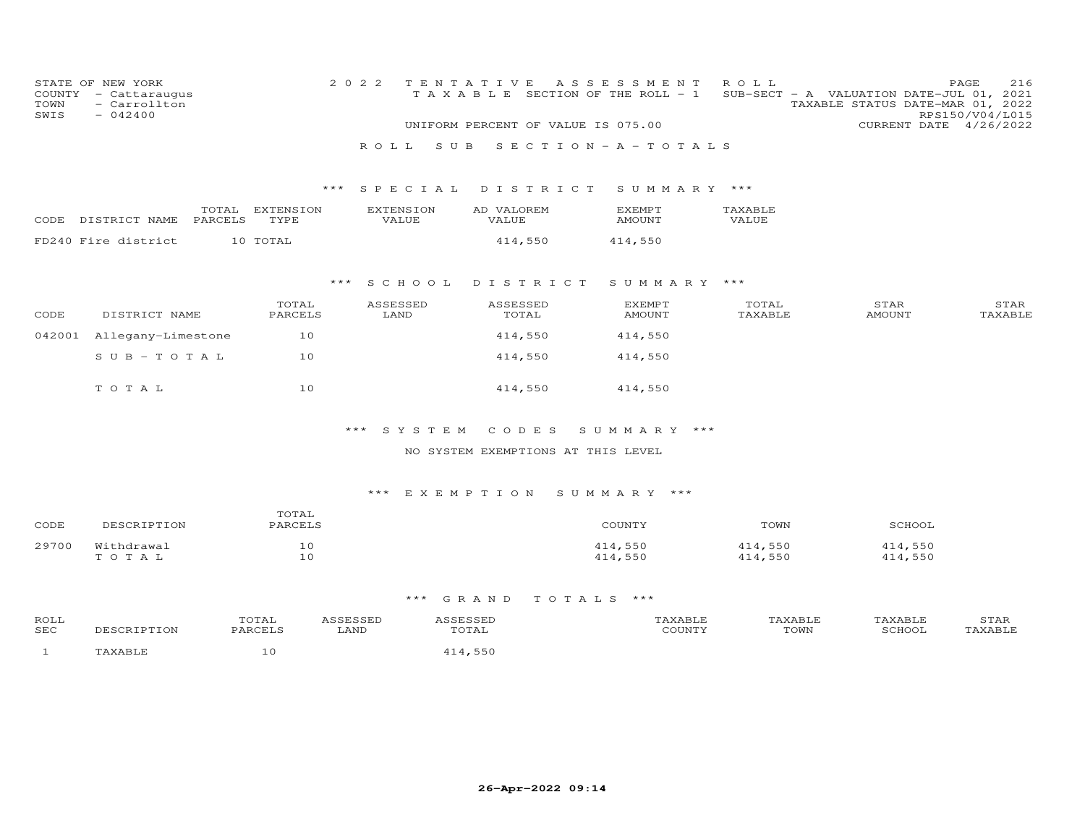| COUNTY<br>TOWN<br>SWIS | STATE OF NEW YORK<br>- Cattaraugus<br>- Carrollton<br>$-042400$ |                  |                   | 2 0 2 2 | ROLL. |                                  | TENTATIVE<br>TAXABLE<br>S U B |                            |          |  | A S S E S S M E N T<br>SECTION OF THE ROLL - 1<br>UNIFORM PERCENT OF VALUE IS 075.00<br>$S E C T I O N - A - T O T A L S$ | ROLL                    |                       | PAGE<br>SUB-SECT - A VALUATION DATE-JUL 01, 2021<br>TAXABLE STATUS DATE-MAR 01, 2022<br>RPS150/V04/L015<br>CURRENT DATE 4/26/2022 | 216             |
|------------------------|-----------------------------------------------------------------|------------------|-------------------|---------|-------|----------------------------------|-------------------------------|----------------------------|----------|--|---------------------------------------------------------------------------------------------------------------------------|-------------------------|-----------------------|-----------------------------------------------------------------------------------------------------------------------------------|-----------------|
|                        |                                                                 |                  |                   |         |       |                                  |                               |                            |          |  |                                                                                                                           |                         |                       |                                                                                                                                   |                 |
|                        |                                                                 |                  |                   | ***     |       | SPECIAL                          |                               |                            | DISTRICT |  | SUMMARY ***                                                                                                               |                         |                       |                                                                                                                                   |                 |
| CODE                   | DISTRICT NAME                                                   | TOTAL<br>PARCELS | EXTENSION<br>TYPE |         |       | <b>EXTENSION</b><br><b>VALUE</b> |                               | AD VALOREM<br><b>VALUE</b> |          |  | EXEMPT<br><b>AMOUNT</b>                                                                                                   | TAXABLE<br><b>VALUE</b> |                       |                                                                                                                                   |                 |
|                        | FD240 Fire district                                             |                  | 10 TOTAL          |         |       |                                  |                               | 414,550                    |          |  | 414,550                                                                                                                   |                         |                       |                                                                                                                                   |                 |
|                        |                                                                 |                  |                   |         |       |                                  |                               |                            |          |  |                                                                                                                           |                         |                       |                                                                                                                                   |                 |
|                        |                                                                 |                  |                   | $***$   |       | S C H O O L                      |                               |                            | DISTRICT |  | SUMMARY ***                                                                                                               |                         |                       |                                                                                                                                   |                 |
| CODE                   | DISTRICT NAME                                                   |                  | TOTAL<br>PARCELS  |         |       | ASSESSED<br>LAND                 |                               | ASSESSED<br>TOTAL          |          |  | <b>EXEMPT</b><br>AMOUNT                                                                                                   | TOTAL<br>TAXABLE        | STAR<br><b>AMOUNT</b> |                                                                                                                                   | STAR<br>TAXABLE |
| 042001                 | Allegany-Limestone                                              |                  | 10                |         |       |                                  |                               | 414,550                    |          |  | 414,550                                                                                                                   |                         |                       |                                                                                                                                   |                 |
|                        | $SUB - TO TAL$                                                  |                  | 10                |         |       |                                  |                               | 414,550                    |          |  | 414,550                                                                                                                   |                         |                       |                                                                                                                                   |                 |
|                        | TOTAL                                                           |                  | 10                |         |       |                                  |                               | 414,550                    |          |  | 414,550                                                                                                                   |                         |                       |                                                                                                                                   |                 |
|                        |                                                                 |                  |                   | ***     |       | SYSTEM                           |                               |                            | CODES    |  | SUMMARY ***                                                                                                               |                         |                       |                                                                                                                                   |                 |

### NO SYSTEM EXEMPTIONS AT THIS LEVEL

# \*\*\* E X E M P T I O N S U M M A R Y \*\*\*

| CODE  | DESCRIPTION | TOTAL<br>PARCELS | COUNTY  | TOWN    | SCHOOL  |
|-------|-------------|------------------|---------|---------|---------|
| 29700 | Withdrawal  | 10               | 414,550 | 414,550 | 414,550 |
|       | TOTAL       | 10               | 414,550 | 414,550 | 414,550 |

# \*\*\* G R A N D T O T A L S \*\*\*

| ROLL<br>SEC | $\sim$ $\sim$ $\sim$ $\sim$ $\sim$<br><b>DADCET</b><br>LANI |  | , . <del>. .</del> .<br>$\sqrt{2}$<br>------ | $m \wedge r$<br>TOMN | - - - <del>-</del> |
|-------------|-------------------------------------------------------------|--|----------------------------------------------|----------------------|--------------------|
|             |                                                             |  |                                              |                      |                    |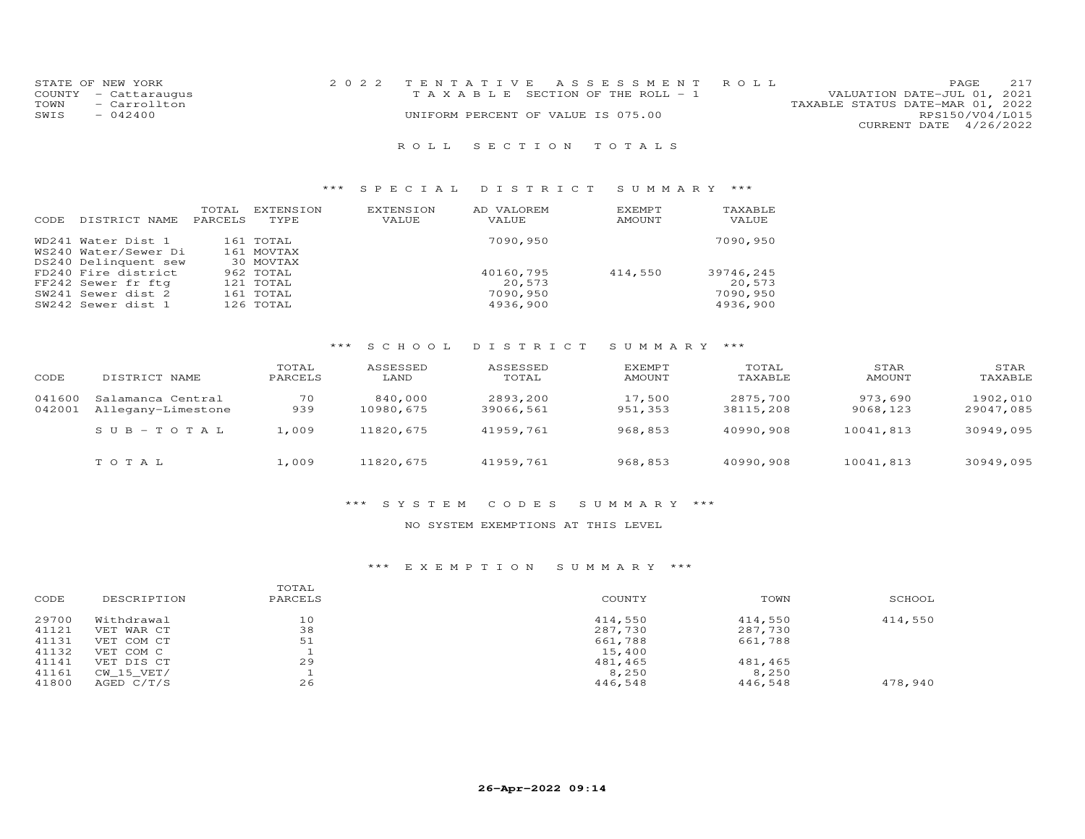| STATE OF NEW YORK    | 2022 TENTATIVE ASSESSMENT ROLL     | 217<br><b>PAGE</b>               |
|----------------------|------------------------------------|----------------------------------|
| COUNTY - Cattaraugus | TAXABLE SECTION OF THE ROLL - 1    | VALUATION DATE-JUL 01, 2021      |
| TOWN<br>- Carrollton |                                    | TAXABLE STATUS DATE-MAR 01, 2022 |
| SWIS<br>$-042400$    | UNIFORM PERCENT OF VALUE IS 075.00 | RPS150/V04/L015                  |
|                      |                                    | CURRENT DATE 4/26/2022           |
|                      |                                    |                                  |

# R O L L S E C T I O N T O T A L S

# \*\*\* S P E C I A L D I S T R I C T S U M M A R Y \*\*\*

| CODE | DISTRICT NAME        | TOTAL<br>PARCELS | EXTENSION<br>TYPE | EXTENSION<br>VALUE | AD VALOREM<br>VALUE | EXEMPT<br>AMOUNT | TAXABLE<br>VALUE |
|------|----------------------|------------------|-------------------|--------------------|---------------------|------------------|------------------|
|      | WD241 Water Dist 1   |                  | 161 TOTAL         |                    | 7090,950            |                  | 7090,950         |
|      | WS240 Water/Sewer Di |                  | 161 MOVTAX        |                    |                     |                  |                  |
|      | DS240 Delinquent sew |                  | 30 MOVTAX         |                    |                     |                  |                  |
|      | FD240 Fire district  |                  | 962 TOTAL         |                    | 40160,795           | 414,550          | 39746.245        |
|      | FF242 Sewer fr ftg   |                  | 121 TOTAL         |                    | 20,573              |                  | 20,573           |
|      | SW241 Sewer dist 2   |                  | 161 TOTAL         |                    | 7090,950            |                  | 7090,950         |
|      | SW242 Sewer dist 1   |                  | 126 TOTAL         |                    | 4936,900            |                  | 4936,900         |

# \*\*\* S C H O O L D I S T R I C T S U M M A R Y \*\*\*

| CODE             | DISTRICT NAME                           | TOTAL<br>PARCELS | ASSESSED<br>LAND     | ASSESSED<br>TOTAL     | <b>EXEMPT</b><br>AMOUNT | TOTAL<br>TAXABLE      | STAR<br><b>AMOUNT</b> | STAR<br>TAXABLE       |
|------------------|-----------------------------------------|------------------|----------------------|-----------------------|-------------------------|-----------------------|-----------------------|-----------------------|
| 041600<br>042001 | Salamanca Central<br>Allegany-Limestone | 70<br>939        | 840,000<br>10980,675 | 2893,200<br>39066,561 | 17,500<br>951,353       | 2875,700<br>38115,208 | 973,690<br>9068,123   | 1902,010<br>29047,085 |
|                  | $SUB - TO TAL$                          | 1,009            | 11820,675            | 41959,761             | 968,853                 | 40990,908             | 10041,813             | 30949,095             |
|                  | TOTAL                                   | 1,009            | 11820,675            | 41959,761             | 968,853                 | 40990,908             | 10041,813             | 30949,095             |

### \*\*\* S Y S T E M C O D E S S U M M A R Y \*\*\*

# NO SYSTEM EXEMPTIONS AT THIS LEVEL

|                                                 | SCHOOL  |
|-------------------------------------------------|---------|
| 29700<br>Withdrawal<br>10<br>414,550<br>414,550 | 414,550 |
| 38<br>41121<br>287,730<br>287,730<br>VET WAR CT |         |
| 51<br>41131<br>661,788<br>661,788<br>VET COM CT |         |
| 41132<br>15,400<br>VET COM C                    |         |
| 29<br>41141<br>481,465<br>481,465<br>VET DIS CT |         |
| 41161<br>8,250<br>CW 15 VET/<br>8,250           |         |
| 26<br>41800<br>446,548<br>446,548<br>AGED C/T/S | 478,940 |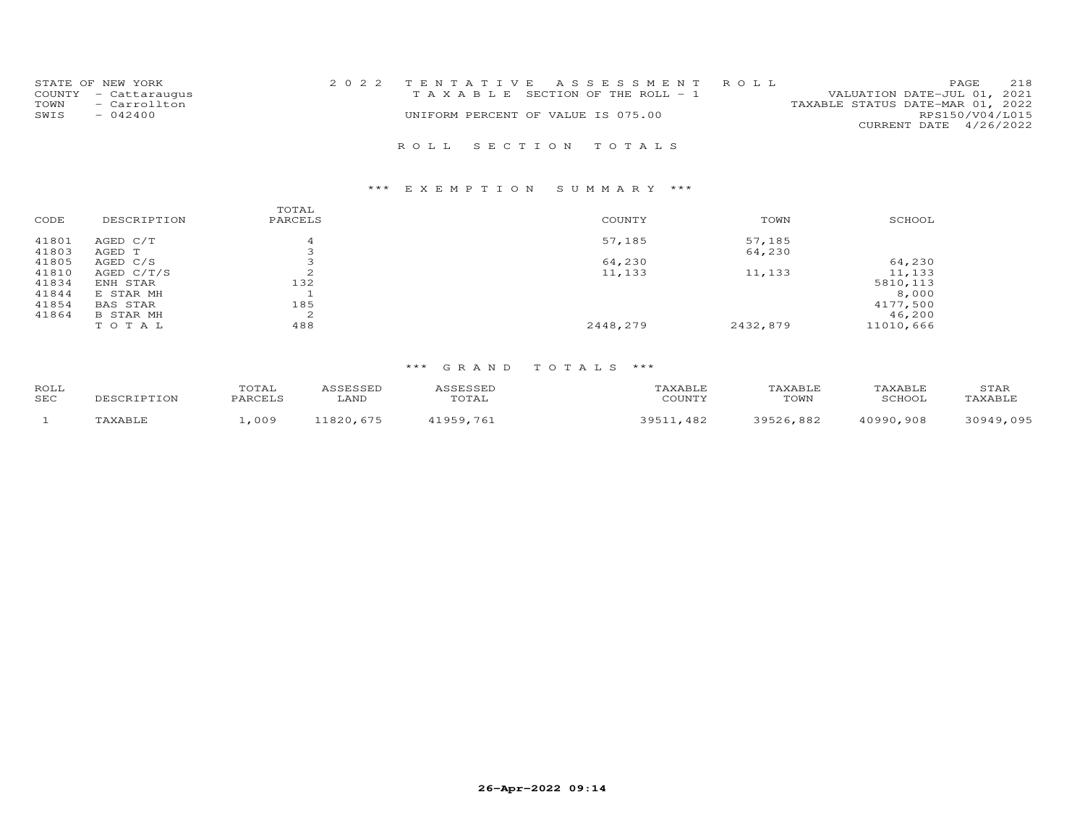| STATE OF NEW YORK    |  |                                    | 2022 TENTATIVE ASSESSMENT ROLL        |                                  | PAGE                   | 218 |
|----------------------|--|------------------------------------|---------------------------------------|----------------------------------|------------------------|-----|
| COUNTY - Cattaraugus |  |                                    | T A X A B L E SECTION OF THE ROLL - 1 | VALUATION DATE-JUL 01, 2021      |                        |     |
| - Carrollton<br>TOWN |  |                                    |                                       | TAXABLE STATUS DATE-MAR 01, 2022 |                        |     |
| SWIS<br>$-042400$    |  | UNIFORM PERCENT OF VALUE IS 075.00 |                                       |                                  | RPS150/V04/L015        |     |
|                      |  |                                    |                                       |                                  | CURRENT DATE 4/26/2022 |     |
|                      |  |                                    |                                       |                                  |                        |     |
|                      |  | ROLL SECTION TOTALS                |                                       |                                  |                        |     |

# \*\*\* E X E M P T I O N S U M M A R Y \*\*\*

| CODE  | DESCRIPTION      | TOTAL<br>PARCELS | COUNTY   | TOWN     | SCHOOL    |
|-------|------------------|------------------|----------|----------|-----------|
| 41801 | AGED C/T         |                  | 57,185   | 57,185   |           |
| 41803 | AGED T           |                  |          | 64,230   |           |
| 41805 | AGED C/S         | З                | 64,230   |          | 64,230    |
| 41810 | AGED $C/T/S$     | $\sim$<br>∠      | 11,133   | 11,133   | 11,133    |
| 41834 | ENH STAR         | 132              |          |          | 5810, 113 |
| 41844 | E STAR MH        |                  |          |          | 8,000     |
| 41854 | BAS STAR         | 185              |          |          | 4177,500  |
| 41864 | <b>B STAR MH</b> | 2                |          |          | 46,200    |
|       | TOTAL            | 488              | 2448,279 | 2432,879 | 11010,666 |
|       |                  |                  |          |          |           |

| ROLL       |             | TOTAL   | <i>I</i> GEFSSED | ASSESSED  | TAXABLE       | TAXABLE   | TAXABLE   | STAR      |
|------------|-------------|---------|------------------|-----------|---------------|-----------|-----------|-----------|
| <b>SEC</b> | DESCRIPTION | PARCELS | LAND             | TOTAL     | COUNTY        | TOWN      | SCHOOL    | TAXABLE   |
|            | TAXABLE     | .009    | 11820,675        | 11959.761 | 39511<br>.482 | 39526.882 | 40990,908 | 30949,095 |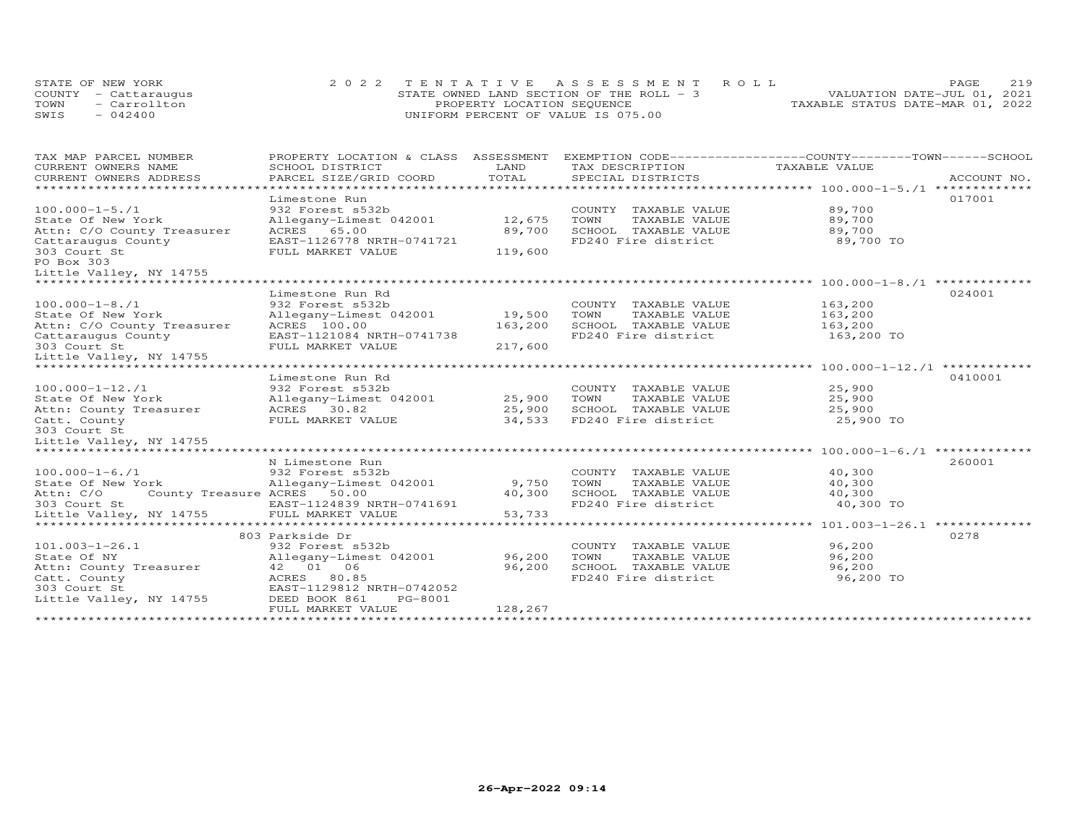| STATE OF NEW YORK    |                                    | 2022 TENTATIVE ASSESSMENT ROLL             |                                  | PAGE. | 219 |
|----------------------|------------------------------------|--------------------------------------------|----------------------------------|-------|-----|
| COUNTY - Cattaraugus |                                    | STATE OWNED LAND SECTION OF THE ROLL $-$ 3 | VALUATION DATE-JUL 01, 2021      |       |     |
| - Carrollton<br>TOWN | PROPERTY LOCATION SEQUENCE         |                                            | TAXABLE STATUS DATE-MAR 01, 2022 |       |     |
| $-042400$<br>SWIS    | UNIFORM PERCENT OF VALUE IS 075.00 |                                            |                                  |       |     |

| TAX MAP PARCEL NUMBER                    | PROPERTY LOCATION & CLASS ASSESSMENT EXEMPTION CODE----------------COUNTY-------TOWN-----SCHOOL |         |                                             |               |             |
|------------------------------------------|-------------------------------------------------------------------------------------------------|---------|---------------------------------------------|---------------|-------------|
| CURRENT OWNERS NAME                      | SCHOOL DISTRICT                                                                                 | LAND    | TAX DESCRIPTION                             | TAXABLE VALUE |             |
| CURRENT OWNERS ADDRESS                   | PARCEL SIZE/GRID COORD                                                                          | TOTAL   | SPECIAL DISTRICTS                           |               | ACCOUNT NO. |
|                                          |                                                                                                 |         |                                             |               |             |
|                                          | Limestone Run                                                                                   |         |                                             |               | 017001      |
| $100.000 - 1 - 5.71$                     | 932 Forest s532b                                                                                |         | COUNTY TAXABLE VALUE                        | 89,700        |             |
| State Of New York                        | Allegany-Limest 042001                                                                          | 12,675  | TAXABLE VALUE<br>TOWN                       | 89,700        |             |
| Attn: C/O County Treasurer               | ACRES 65.00                                                                                     | 89,700  | SCHOOL TAXABLE VALUE                        | 89,700        |             |
| Cattaraugus County                       | EAST-1126778 NRTH-0741721                                                                       |         | FD240 Fire district                         | 89,700 TO     |             |
| 303 Court St<br>PO Box 303               | FULL MARKET VALUE                                                                               | 119,600 |                                             |               |             |
| Little Valley, NY 14755                  |                                                                                                 |         |                                             |               |             |
| *****************************            |                                                                                                 |         |                                             |               |             |
|                                          | Limestone Run Rd                                                                                |         |                                             |               | 024001      |
| $100.000 - 1 - 8.71$                     | 932 Forest s532b                                                                                |         | COUNTY TAXABLE VALUE                        | 163,200       |             |
| State Of New York                        | Allegany-Limest 042001                                                                          | 19,500  | TOWN<br>TAXABLE VALUE                       | 163,200       |             |
| Attn: C/O County Treasurer               | ACRES 100.00                                                                                    | 163,200 | SCHOOL TAXABLE VALUE                        | 163,200       |             |
| Cattaraugus County                       | EAST-1121084 NRTH-0741738                                                                       |         | FD240 Fire district                         | 163,200 TO    |             |
| 303 Court St                             | FULL MARKET VALUE                                                                               | 217,600 |                                             |               |             |
| Little Valley, NY 14755                  |                                                                                                 |         |                                             |               |             |
|                                          |                                                                                                 |         |                                             |               |             |
|                                          | Limestone Run Rd                                                                                |         |                                             |               | 0410001     |
| $100.000 - 1 - 12.71$                    | 932 Forest s532b                                                                                |         | COUNTY TAXABLE VALUE                        | 25,900        |             |
| State Of New York                        | Allegany-Limest 042001                                                                          | 25,900  | TOWN<br>TAXABLE VALUE                       | 25,900        |             |
| Attn: County Treasurer                   | ACRES 30.82                                                                                     | 25,900  | SCHOOL TAXABLE VALUE                        | 25,900        |             |
| Catt. County                             | FULL MARKET VALUE                                                                               | 34,533  | FD240 Fire district                         | 25,900 TO     |             |
| 303 Court St                             |                                                                                                 |         |                                             |               |             |
| Little Valley, NY 14755                  |                                                                                                 |         |                                             |               |             |
| *****************************            |                                                                                                 |         |                                             |               |             |
|                                          | N Limestone Run                                                                                 |         |                                             |               | 260001      |
| $100.000 - 1 - 6.71$                     | 932 Forest s532b                                                                                |         | COUNTY TAXABLE VALUE                        | 40,300        |             |
| State Of New York                        | Allegany-Limest 042001                                                                          | 9,750   | TOWN<br>TAXABLE VALUE                       | 40,300        |             |
| County Treasure ACRES 50.00<br>Attn: C/O |                                                                                                 | 40,300  | SCHOOL TAXABLE VALUE<br>FD240 Fire district | 40,300        |             |
| 303 Court St<br>Little Valley, NY 14755  | EAST-1124839 NRTH-0741691                                                                       |         |                                             | 40,300 TO     |             |
|                                          |                                                                                                 |         |                                             |               |             |
|                                          | 803 Parkside Dr                                                                                 |         |                                             |               | 0278        |
| $101.003 - 1 - 26.1$                     | 932 Forest s532b                                                                                |         | COUNTY TAXABLE VALUE                        | 96,200        |             |
| State Of NY                              | Allegany-Limest 042001                                                                          | 96,200  | TOWN<br>TAXABLE VALUE                       | 96,200        |             |
| Attn: County Treasurer                   | 42 01 06                                                                                        | 96,200  | SCHOOL TAXABLE VALUE                        | 96,200        |             |
| Catt. County                             | ACRES 80.85                                                                                     |         | FD240 Fire district                         | 96,200 TO     |             |
| 303 Court St                             | EAST-1129812 NRTH-0742052                                                                       |         |                                             |               |             |
| Little Valley, NY 14755                  | DEED BOOK 861<br>PG-8001                                                                        |         |                                             |               |             |
|                                          | FULL MARKET VALUE                                                                               | 128,267 |                                             |               |             |
|                                          |                                                                                                 |         |                                             |               |             |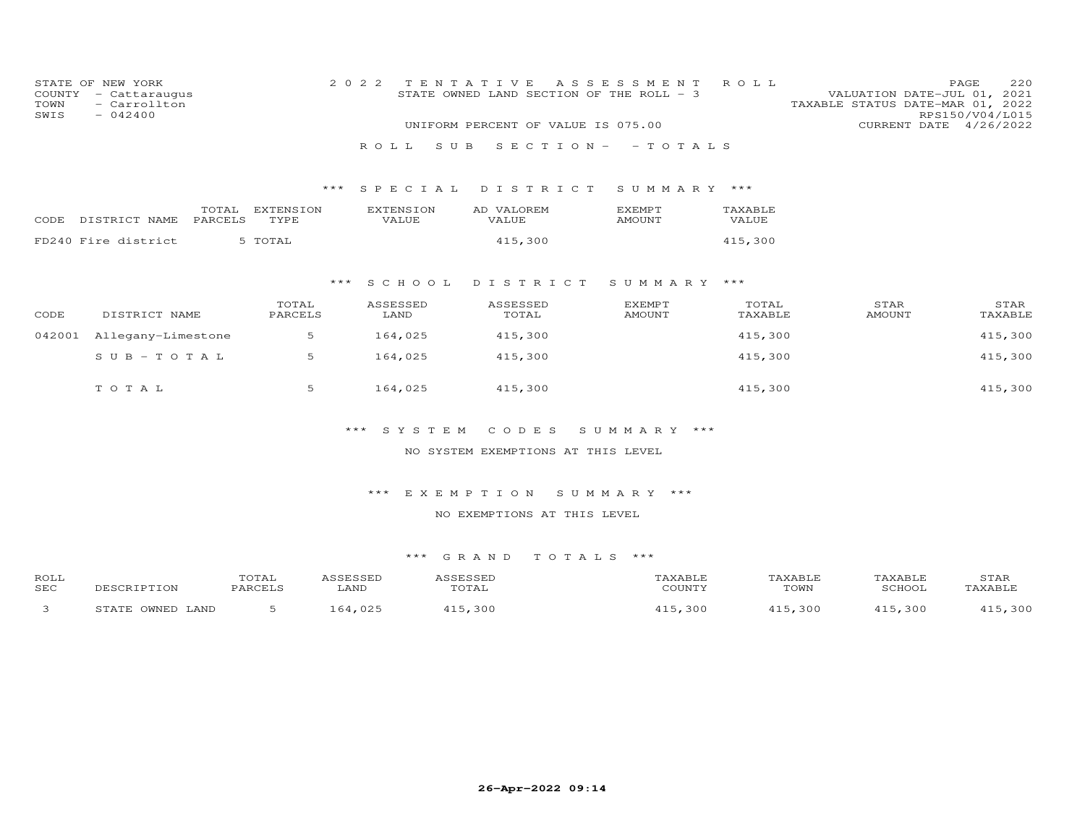| TOWN<br>SWIS       | STATE OF NEW YORK<br>COUNTY - Cattaraugus<br>- Carrollton<br>$-042400$ |                   | 2 0 2 2                   | TENTATIVE<br>STATE OWNED LAND SECTION OF THE ROLL - 3 | A S S E S S M E N T            | ROLL             | VALUATION DATE-JUL 01, 2021<br>TAXABLE STATUS DATE-MAR 01, 2022 | PAGE<br>220<br>RPS150/V04/L015 |
|--------------------|------------------------------------------------------------------------|-------------------|---------------------------|-------------------------------------------------------|--------------------------------|------------------|-----------------------------------------------------------------|--------------------------------|
|                    |                                                                        |                   |                           | UNIFORM PERCENT OF VALUE IS 075.00                    |                                |                  | CURRENT DATE 4/26/2022                                          |                                |
|                    |                                                                        |                   | ROLL                      | S U B                                                 | $S E C T I ON - - TO T AL S$   |                  |                                                                 |                                |
|                    |                                                                        |                   | *** SPECIAL               | DISTRICT                                              | SUMMARY ***                    |                  |                                                                 |                                |
|                    | TOTAL<br>CODE DISTRICT NAME<br>PARCELS                                 | EXTENSION<br>TYPE | <b>EXTENSION</b><br>VALUE | AD VALOREM<br>VALUE                                   | <b>EXEMPT</b><br><b>AMOUNT</b> | TAXABLE<br>VALUE |                                                                 |                                |
|                    | FD240 Fire district                                                    | 5 TOTAL           |                           | 415,300                                               |                                | 415,300          |                                                                 |                                |
|                    |                                                                        |                   | $***$<br>S C H O O L      | DISTRICT                                              | SUMMARY ***                    |                  |                                                                 |                                |
| CODE               | DISTRICT NAME                                                          | TOTAL<br>PARCELS  | ASSESSED<br>LAND          | ASSESSED<br>TOTAL                                     | <b>EXEMPT</b><br><b>AMOUNT</b> | TOTAL<br>TAXABLE | STAR<br><b>AMOUNT</b>                                           | STAR<br>TAXABLE                |
| 042001             | Allegany-Limestone                                                     | 5                 | 164,025                   | 415,300                                               |                                | 415,300          |                                                                 | 415,300                        |
|                    | $S \cup B - TO T A L$                                                  | 5                 | 164,025                   | 415,300                                               |                                | 415,300          |                                                                 | 415,300                        |
|                    | TOTAL                                                                  | 5                 | 164,025                   | 415,300                                               |                                | 415,300          |                                                                 | 415,300                        |
|                    |                                                                        |                   | ***<br>SYSTEM             | CODES                                                 | SUMMARY ***                    |                  |                                                                 |                                |
|                    |                                                                        |                   |                           | NO SYSTEM EXEMPTIONS AT THIS LEVEL                    |                                |                  |                                                                 |                                |
|                    |                                                                        |                   | $***$                     | EXEMPTION                                             | SUMMARY ***                    |                  |                                                                 |                                |
|                    |                                                                        |                   |                           | NO EXEMPTIONS AT THIS LEVEL                           |                                |                  |                                                                 |                                |
|                    |                                                                        |                   |                           | *** GRAND<br>TOTALS ***                               |                                |                  |                                                                 |                                |
| ROLL<br><b>SEC</b> | DESCRIPTION                                                            | TOTAL<br>PARCELS  | ASSESSED<br>LAND          | ASSESSED<br>TOTAL                                     | TAXABLE<br>COUNTY              |                  | TAXABLE<br>TAXABLE<br>TOWN<br>SCHOOL                            | STAR<br>TAXABLE                |
| 3                  | STATE OWNED LAND                                                       | 5                 | 164,025                   | 415,300                                               | 415,300                        |                  | 415,300<br>415,300                                              | 415,300                        |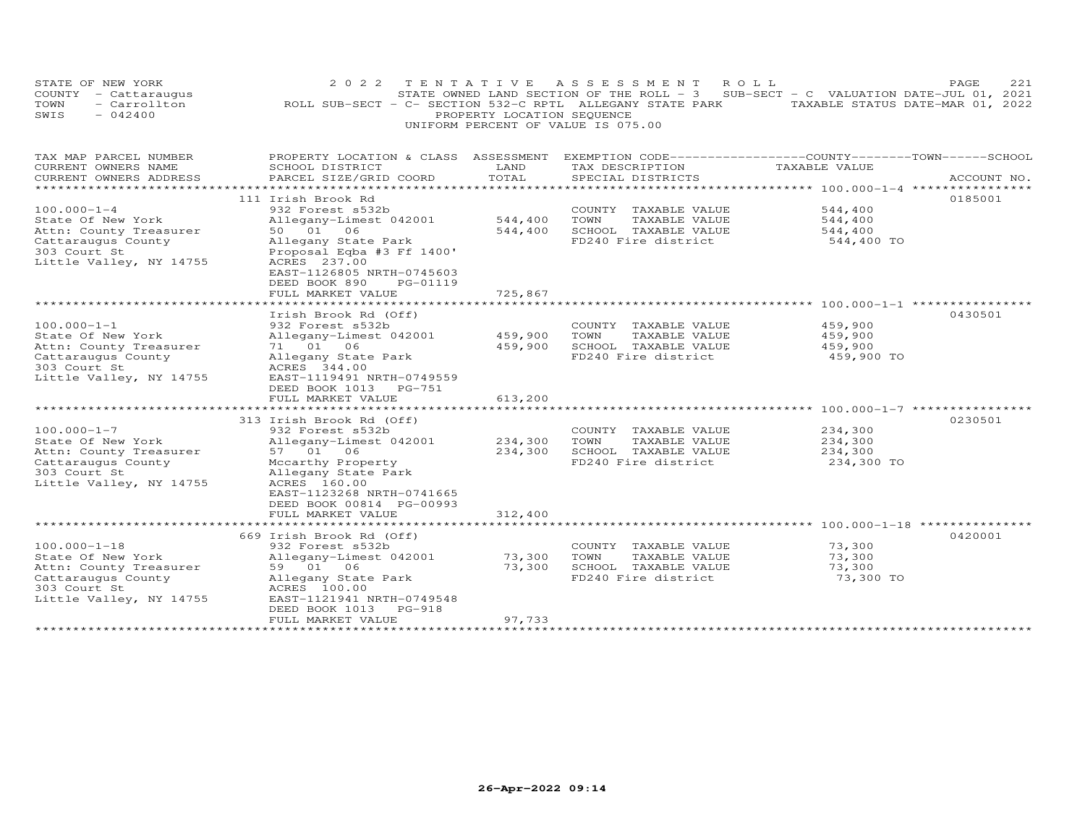|      | STATE OF NEW YORK                  | 2022 TENTATIVE ASSESSMENT ROLL                            |                                                                                     |  |  |  |                                  | PAGE | 221 |
|------|------------------------------------|-----------------------------------------------------------|-------------------------------------------------------------------------------------|--|--|--|----------------------------------|------|-----|
|      | COUNTY - Cattaraugus               |                                                           | STATE OWNED LAND SECTION OF THE ROLL - $3$ SUB-SECT - C VALUATION DATE-JUL 01, 2021 |  |  |  |                                  |      |     |
| TOWN | - Carrollton                       | ROLL SUB-SECT - C- SECTION 532-C RPTL ALLEGANY STATE PARK |                                                                                     |  |  |  | TAXABLE STATUS DATE-MAR 01, 2022 |      |     |
| SWIS | $-042400$                          |                                                           | PROPERTY LOCATION SEQUENCE                                                          |  |  |  |                                  |      |     |
|      | UNIFORM PERCENT OF VALUE IS 075.00 |                                                           |                                                                                     |  |  |  |                                  |      |     |

| TAX MAP PARCEL NUMBER<br>CURRENT OWNERS NAME<br>CURRENT OWNERS ADDRESS                                                                                     | PROPERTY LOCATION & CLASS ASSESSMENT<br>SCHOOL DISTRICT<br>PARCEL SIZE/GRID COORD                                                                                                                                               | LAND<br>TOTAL                                    | EXEMPTION CODE-----------------COUNTY-------TOWN------SCHOOL<br>TAX DESCRIPTION<br>SPECIAL DISTRICTS | TAXABLE VALUE                               | ACCOUNT NO. |
|------------------------------------------------------------------------------------------------------------------------------------------------------------|---------------------------------------------------------------------------------------------------------------------------------------------------------------------------------------------------------------------------------|--------------------------------------------------|------------------------------------------------------------------------------------------------------|---------------------------------------------|-------------|
| *********************<br>$100.000 - 1 - 4$<br>State Of New York<br>Attn: County Treasurer<br>Cattaraugus County<br>303 Court St<br>Little Valley, NY 14755 | 111 Irish Brook Rd<br>932 Forest s532b<br>Allegany-Limest 042001<br>50 01 06<br>Allegany State Park<br>Proposal Eqba #3 Ff 1400'<br>ACRES 237.00<br>EAST-1126805 NRTH-0745603<br>DEED BOOK 890<br>PG-01119<br>FULL MARKET VALUE | ***************<br>544,400<br>544,400<br>725,867 | COUNTY TAXABLE VALUE<br>TOWN<br>TAXABLE VALUE<br>SCHOOL TAXABLE VALUE<br>FD240 Fire district         | 544,400<br>544,400<br>544,400<br>544,400 TO | 0185001     |
|                                                                                                                                                            |                                                                                                                                                                                                                                 |                                                  |                                                                                                      |                                             |             |
| $100.000 - 1 - 1$<br>State Of New York<br>Attn: County Treasurer<br>Cattaraugus County<br>303 Court St<br>Little Valley, NY 14755                          | Irish Brook Rd (Off)<br>932 Forest s532b<br>Allegany-Limest 042001<br>71 01 06<br>Allegany State Park<br>ACRES 344.00<br>EAST-1119491 NRTH-0749559<br>DEED BOOK 1013 PG-751<br>FULL MARKET VALUE                                | 459,900<br>459,900<br>613,200                    | COUNTY TAXABLE VALUE<br>TOWN<br>TAXABLE VALUE<br>SCHOOL TAXABLE VALUE<br>FD240 Fire district         | 459,900<br>459,900<br>459,900<br>459,900 TO | 0430501     |
|                                                                                                                                                            | **************************                                                                                                                                                                                                      |                                                  |                                                                                                      |                                             |             |
| $100.000 - 1 - 7$<br>State Of New York<br>Attn: County Treasurer<br>Cattaraugus County<br>303 Court St<br>Little Valley, NY 14755                          | 313 Irish Brook Rd (Off)<br>932 Forest s532b<br>Allegany-Limest 042001<br>57 01 06<br>Mccarthy Property<br>Allegany State Park<br>ACRES 160.00<br>EAST-1123268 NRTH-0741665<br>DEED BOOK 00814 PG-00993<br>FULL MARKET VALUE    | 234,300<br>234,300<br>312,400                    | COUNTY TAXABLE VALUE<br>TOWN<br>TAXABLE VALUE<br>SCHOOL TAXABLE VALUE<br>FD240 Fire district         | 234,300<br>234,300<br>234,300<br>234,300 TO | 0230501     |
|                                                                                                                                                            |                                                                                                                                                                                                                                 |                                                  |                                                                                                      |                                             |             |
| $100.000 - 1 - 18$<br>State Of New York<br>Attn: County Treasurer<br>Cattaraugus County<br>303 Court St<br>Little Valley, NY 14755                         | 669 Irish Brook Rd (Off)<br>932 Forest s532b<br>Allegany-Limest 042001<br>59 01 06<br>Allegany State Park<br>ACRES 100.00<br>EAST-1121941 NRTH-0749548<br>DEED BOOK 1013 PG-918<br>FULL MARKET VALUE                            | 73,300<br>73,300<br>97,733                       | COUNTY TAXABLE VALUE<br>TAXABLE VALUE<br>TOWN<br>SCHOOL TAXABLE VALUE<br>FD240 Fire district         | 73,300<br>73,300<br>73,300<br>73,300 TO     | 0420001     |
|                                                                                                                                                            |                                                                                                                                                                                                                                 |                                                  |                                                                                                      |                                             |             |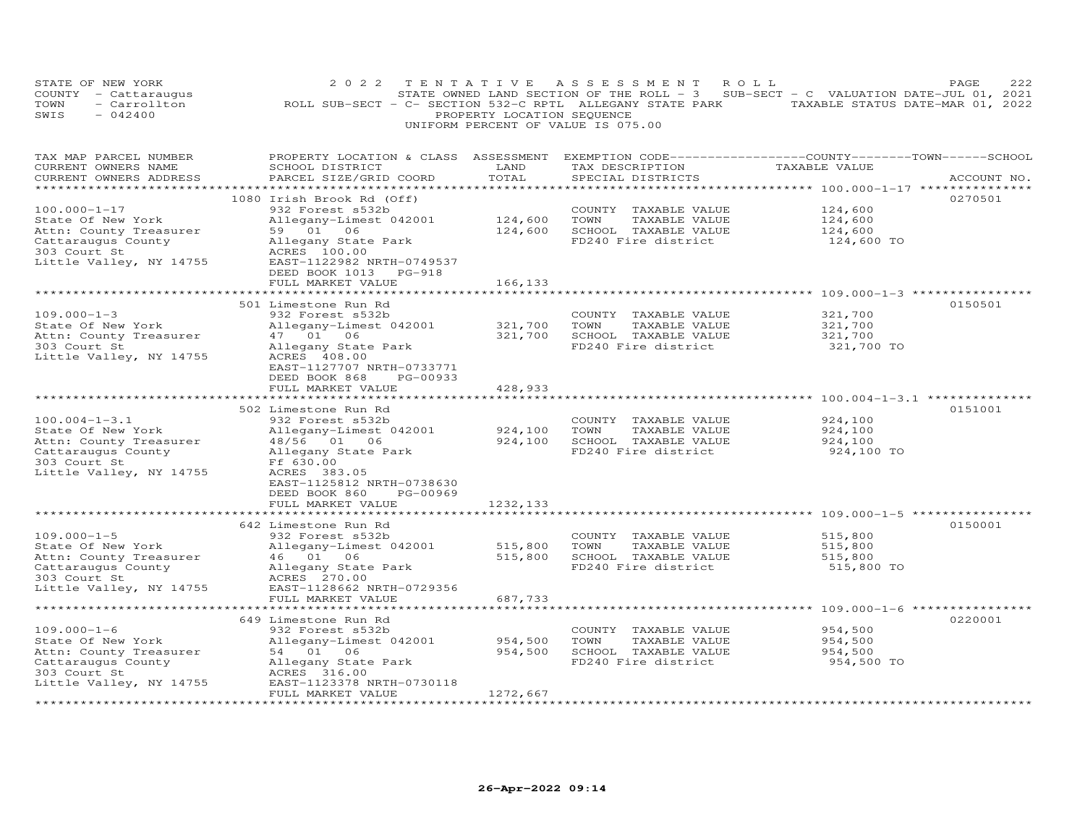|      | STATE OF NEW YORK                  |  | 2022 TENTATIVE ASSESSMENT ROLL                            |  |  |  |  |                            |  |  |  |  |                                                                                     | <b>PAGE</b> | 2.2.2 |
|------|------------------------------------|--|-----------------------------------------------------------|--|--|--|--|----------------------------|--|--|--|--|-------------------------------------------------------------------------------------|-------------|-------|
|      | COUNTY - Cattaraugus               |  |                                                           |  |  |  |  |                            |  |  |  |  | STATE OWNED LAND SECTION OF THE ROLL - $3$ SUB-SECT - C VALUATION DATE-JUL 01, 2021 |             |       |
| TOWN | - Carrollton                       |  | ROLL SUB-SECT - C- SECTION 532-C RPTL ALLEGANY STATE PARK |  |  |  |  |                            |  |  |  |  | TAXABLE STATUS DATE-MAR 01, 2022                                                    |             |       |
| SWIS | $-042400$                          |  |                                                           |  |  |  |  | PROPERTY LOCATION SEOUENCE |  |  |  |  |                                                                                     |             |       |
|      | UNIFORM PERCENT OF VALUE IS 075.00 |  |                                                           |  |  |  |  |                            |  |  |  |  |                                                                                     |             |       |

| TAX MAP PARCEL NUMBER   | PROPERTY LOCATION & CLASS ASSESSMENT |           | EXEMPTION CODE-----------------COUNTY-------TOWN------SCHOOL |               |             |
|-------------------------|--------------------------------------|-----------|--------------------------------------------------------------|---------------|-------------|
| CURRENT OWNERS NAME     | SCHOOL DISTRICT                      | LAND      | TAX DESCRIPTION                                              | TAXABLE VALUE |             |
| CURRENT OWNERS ADDRESS  | PARCEL SIZE/GRID COORD               | TOTAL     | SPECIAL DISTRICTS                                            |               | ACCOUNT NO. |
| *********************** |                                      |           |                                                              |               |             |
|                         | 1080 Irish Brook Rd (Off)            |           |                                                              |               | 0270501     |
| $100.000 - 1 - 17$      | 932 Forest s532b                     |           | COUNTY TAXABLE VALUE                                         | 124,600       |             |
| State Of New York       | Allegany-Limest 042001               | 124,600   | TOWN<br>TAXABLE VALUE                                        | 124,600       |             |
|                         | 59 01 06                             | 124,600   | SCHOOL TAXABLE VALUE                                         |               |             |
| Attn: County Treasurer  |                                      |           |                                                              | 124,600       |             |
| Cattaraugus County      | Allegany State Park                  |           | FD240 Fire district                                          | 124,600 TO    |             |
| 303 Court St            | ACRES 100.00                         |           |                                                              |               |             |
| Little Valley, NY 14755 | EAST-1122982 NRTH-0749537            |           |                                                              |               |             |
|                         | DEED BOOK 1013 PG-918                |           |                                                              |               |             |
|                         | FULL MARKET VALUE                    | 166,133   |                                                              |               |             |
|                         |                                      |           |                                                              |               |             |
|                         | 501 Limestone Run Rd                 |           |                                                              |               | 0150501     |
| $109.000 - 1 - 3$       | 932 Forest s532b                     |           | COUNTY TAXABLE VALUE                                         | 321,700       |             |
| State Of New York       | Allegany-Limest 042001               | 321,700   | TOWN<br>TAXABLE VALUE                                        | 321,700       |             |
| Attn: County Treasurer  | 47 01 06                             | 321,700   | SCHOOL TAXABLE VALUE                                         | 321,700       |             |
| 303 Court St            | Allegany State Park                  |           | FD240 Fire district                                          | 321,700 TO    |             |
|                         |                                      |           |                                                              |               |             |
| Little Valley, NY 14755 | ACRES 408.00                         |           |                                                              |               |             |
|                         | EAST-1127707 NRTH-0733771            |           |                                                              |               |             |
|                         | DEED BOOK 868<br>PG-00933            |           |                                                              |               |             |
|                         | FULL MARKET VALUE                    | 428,933   |                                                              |               |             |
|                         |                                      |           |                                                              |               |             |
|                         | 502 Limestone Run Rd                 |           |                                                              |               | 0151001     |
| $100.004 - 1 - 3.1$     | 932 Forest s532b                     |           | COUNTY TAXABLE VALUE                                         | 924,100       |             |
| State Of New York       | Allegany-Limest 042001               | 924,100   | TOWN<br>TAXABLE VALUE                                        | 924,100       |             |
| Attn: County Treasurer  | 48/56 01 06                          | 924,100   | SCHOOL TAXABLE VALUE                                         | 924,100       |             |
| Cattaraugus County      | Allegany State Park                  |           | FD240 Fire district                                          | 924,100 TO    |             |
| 303 Court St            | Ff 630.00                            |           |                                                              |               |             |
| Little Valley, NY 14755 | ACRES 383.05                         |           |                                                              |               |             |
|                         | EAST-1125812 NRTH-0738630            |           |                                                              |               |             |
|                         |                                      |           |                                                              |               |             |
|                         | DEED BOOK 860<br>PG-00969            |           |                                                              |               |             |
|                         | FULL MARKET VALUE                    | 1232, 133 |                                                              |               |             |
|                         |                                      |           |                                                              |               |             |
|                         | 642 Limestone Run Rd                 |           |                                                              |               | 0150001     |
| $109.000 - 1 - 5$       | 932 Forest s532b                     |           | COUNTY TAXABLE VALUE                                         | 515,800       |             |
| State Of New York       | Allegany-Limest 042001               | 515,800   | TOWN<br>TAXABLE VALUE                                        | 515,800       |             |
| Attn: County Treasurer  | 46 01 06                             | 515,800   | SCHOOL TAXABLE VALUE                                         | 515,800       |             |
| Cattaraugus County      | Allegany State Park                  |           | FD240 Fire district                                          | 515,800 TO    |             |
| 303 Court St            | ACRES 270.00                         |           |                                                              |               |             |
| Little Valley, NY 14755 | EAST-1128662 NRTH-0729356            |           |                                                              |               |             |
|                         | FULL MARKET VALUE                    | 687,733   |                                                              |               |             |
|                         |                                      |           |                                                              |               |             |
|                         | 649 Limestone Run Rd                 |           |                                                              |               | 0220001     |
| $109.000 - 1 - 6$       | 932 Forest s532b                     |           | COUNTY TAXABLE VALUE                                         | 954,500       |             |
|                         |                                      |           |                                                              |               |             |
| State Of New York       | Allegany-Limest 042001               | 954,500   | TOWN<br>TAXABLE VALUE                                        | 954,500       |             |
| Attn: County Treasurer  | 54 01 06                             | 954,500   | SCHOOL TAXABLE VALUE                                         | 954,500       |             |
| Cattaraugus County      | Allegany State Park                  |           | FD240 Fire district                                          | 954,500 TO    |             |
| 303 Court St            | ACRES 316.00                         |           |                                                              |               |             |
| Little Valley, NY 14755 | EAST-1123378 NRTH-0730118            |           |                                                              |               |             |
|                         | FULL MARKET VALUE                    | 1272,667  |                                                              |               |             |
|                         |                                      |           |                                                              |               |             |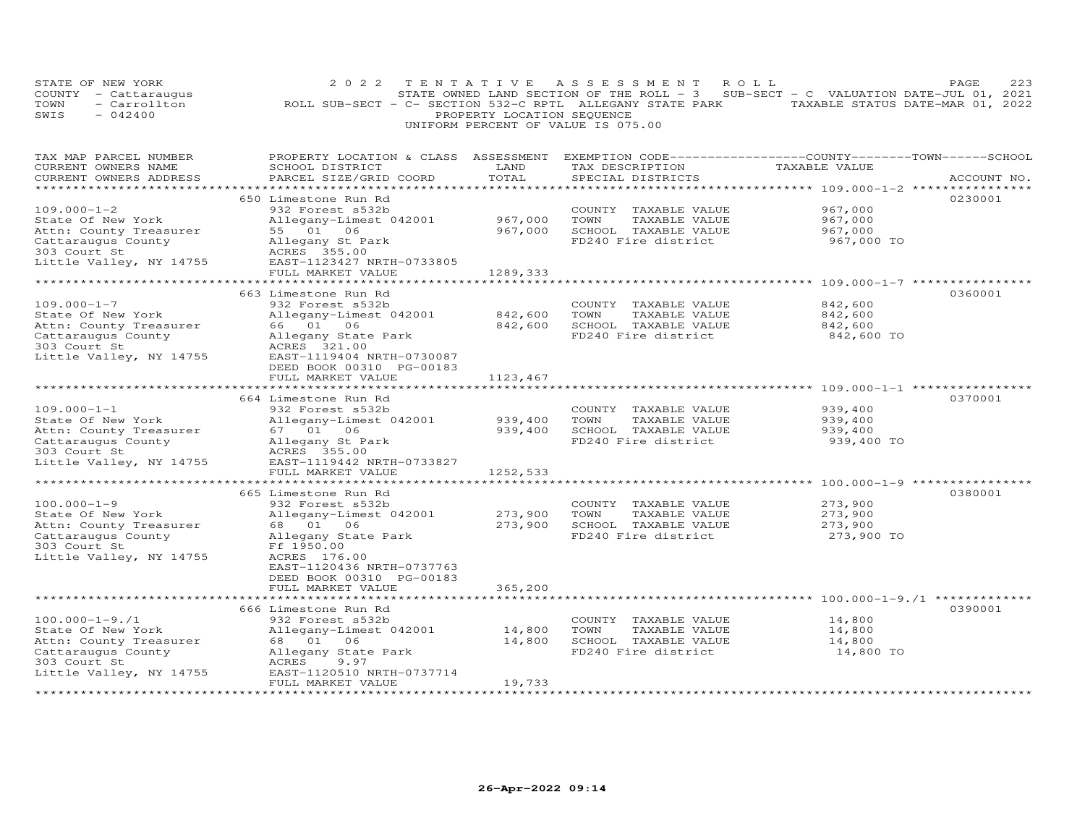| STATE OF NEW YORK<br>COUNTY - Cattaraugus<br>TOWN<br>- Carrollton<br>SWIS<br>$-042400$                                               | 2 0 2 2<br>TENTATIVE<br>ROLL SUB-SECT - C- SECTION 532-C RPTL ALLEGANY STATE PARK TAXABLE STATUS DATE-MAR 01, 2022                                                                                                                                                | PROPERTY LOCATION SEQUENCE                | A S S E S S M E N T<br>STATE OWNED LAND SECTION OF THE ROLL - 3 SUB-SECT - C VALUATION DATE-JUL 01, 2021<br>UNIFORM PERCENT OF VALUE IS 075.00 | ROLL                                                                                                    | PAGE<br>223 |
|--------------------------------------------------------------------------------------------------------------------------------------|-------------------------------------------------------------------------------------------------------------------------------------------------------------------------------------------------------------------------------------------------------------------|-------------------------------------------|------------------------------------------------------------------------------------------------------------------------------------------------|---------------------------------------------------------------------------------------------------------|-------------|
| TAX MAP PARCEL NUMBER<br>CURRENT OWNERS NAME<br>CURRENT OWNERS ADDRESS                                                               | PROPERTY LOCATION & CLASS ASSESSMENT EXEMPTION CODE----------------COUNTY-------TOWN------SCHOOL<br>SCHOOL DISTRICT<br>PARCEL SIZE/GRID COORD                                                                                                                     | LAND<br>TOTAL<br>***********              | TAX DESCRIPTION<br>SPECIAL DISTRICTS                                                                                                           | TAXABLE VALUE                                                                                           | ACCOUNT NO. |
| $109.000 - 1 - 2$<br>State Of New York<br>Attn: County Treasurer<br>Cattaraugus County<br>303 Court St<br>Little Valley, NY 14755    | 650 Limestone Run Rd<br>932 Forest s532b<br>Allegany-Limest 042001<br>55 01 06<br>Allegany St Park<br>ACRES 355.00<br>EAST-1123427 NRTH-0733805<br>FULL MARKET VALUE                                                                                              | 967,000<br>967,000<br>1289,333            | COUNTY TAXABLE VALUE<br>TOWN<br>TAXABLE VALUE<br>SCHOOL TAXABLE VALUE<br>FD240 Fire district                                                   | 967,000<br>967,000<br>967,000<br>967,000 TO                                                             | 0230001     |
| $109.000 - 1 - 7$<br>State Of New York<br>Attn: County Treasurer<br>Cattaraugus County<br>303 Court St<br>Little Valley, NY 14755    | 663 Limestone Run Rd<br>932 Forest s532b<br>Allegany-Limest 042001<br>66 01 06<br>Allegany State Park<br>ACRES 321.00<br>EAST-1119404 NRTH-0730087<br>DEED BOOK 00310 PG-00183                                                                                    | **********<br>842,600<br>842,600          | COUNTY TAXABLE VALUE<br>TOWN<br>TAXABLE VALUE<br>SCHOOL TAXABLE VALUE<br>FD240 Fire district                                                   | ************************ 109.000-1-7 *****************<br>842,600<br>842,600<br>842,600<br>842,600 TO   | 0360001     |
| $109.000 - 1 - 1$<br>State Of New York<br>Attn: County Treasurer<br>Cattaraugus County<br>303 Court St<br>Little Valley, NY 14755    | FULL MARKET VALUE<br>*******************************<br>664 Limestone Run Rd<br>932 Forest s532b<br>Allegany-Limest 042001<br>67  01  06<br>Allegany St Park<br>ACRES 355.00<br>EAST-1119442 NRTH-0733827                                                         | 1123,467<br>939,400<br>939,400            | COUNTY TAXABLE VALUE<br>TOWN<br>TAXABLE VALUE<br>SCHOOL TAXABLE VALUE<br>FD240 Fire district                                                   | 939,400<br>939,400<br>939,400<br>939,400 TO                                                             | 0370001     |
| $100.000 - 1 - 9$<br>State Of New York<br>Attn: County Treasurer<br>Cattaraugus County<br>303 Court St<br>Little Valley, NY 14755    | FULL MARKET VALUE<br>665 Limestone Run Rd<br>932 Forest s532b<br>Allegany-Limest 042001<br>68  01  06<br>Allegany State Park<br>Ff 1950.00<br>ACRES 176.00<br>EAST-1120436 NRTH-0737763<br>DEED BOOK 00310 PG-00183<br>FULL MARKET VALUE<br>********************* | 1252,533<br>273,900<br>273,900<br>365,200 | COUNTY TAXABLE VALUE<br>TOWN<br>TAXABLE VALUE<br>SCHOOL TAXABLE VALUE<br>FD240 Fire district                                                   | ********** 100.000-1-9 ****<br>273,900<br>273,900<br>273,900<br>273,900 TO                              | 0380001     |
| $100.000 - 1 - 9.71$<br>State Of New York<br>Attn: County Treasurer<br>Cattaraugus County<br>303 Court St<br>Little Valley, NY 14755 | 666 Limestone Run Rd<br>932 Forest s532b<br>Allegany-Limest 042001<br>68  01  06<br>Allegany State Park<br>ACRES<br>9.97<br>EAST-1120510 NRTH-0737714<br>FULL MARKET VALUE<br>********************                                                                | 14,800<br>14,800<br>19,733                | COUNTY TAXABLE VALUE<br>TOWN<br>TAXABLE VALUE<br>SCHOOL TAXABLE VALUE<br>FD240 Fire district                                                   | ****************************** 100.000-1-9./1 **************<br>14,800<br>14,800<br>14,800<br>14,800 TO | 0390001     |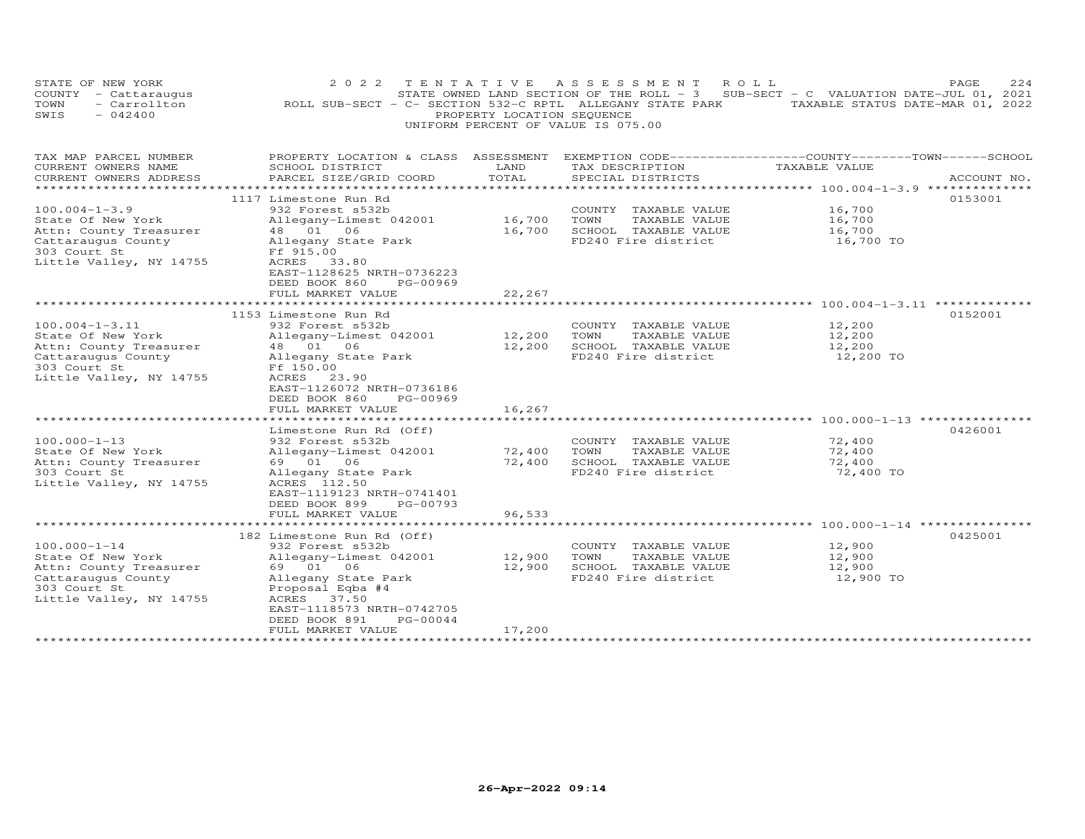| STATE OF NEW YORK<br>COUNTY - Cattaraugus<br>- Carrollton<br>TOWN<br>$-042400$<br>SWIS                                               | 2 0 2 2<br>TENTATIVE<br>ROLL SUB-SECT - C- SECTION 532-C RPTL ALLEGANY STATE PARK TAXABLE STATUS DATE-MAR 01, 2022                                                                                                                       | PROPERTY LOCATION SEQUENCE             | A S S E S S M E N T<br>ROLL<br>STATE OWNED LAND SECTION OF THE ROLL - 3<br>UNIFORM PERCENT OF VALUE IS 075.00 | SUB-SECT - C VALUATION DATE-JUL 01, 2021 | 224<br>PAGE |
|--------------------------------------------------------------------------------------------------------------------------------------|------------------------------------------------------------------------------------------------------------------------------------------------------------------------------------------------------------------------------------------|----------------------------------------|---------------------------------------------------------------------------------------------------------------|------------------------------------------|-------------|
| TAX MAP PARCEL NUMBER<br>CURRENT OWNERS NAME<br>CURRENT OWNERS ADDRESS                                                               | PROPERTY LOCATION & CLASS ASSESSMENT EXEMPTION CODE----------------COUNTY-------TOWN------SCHOOL<br>SCHOOL DISTRICT<br>PARCEL SIZE/GRID COORD                                                                                            | LAND<br>TOTAL                          | TAX DESCRIPTION<br>SPECIAL DISTRICTS                                                                          | TAXABLE VALUE                            | ACCOUNT NO. |
|                                                                                                                                      |                                                                                                                                                                                                                                          |                                        |                                                                                                               |                                          |             |
| $100.004 - 1 - 3.9$<br>State Of New York<br>Attn: County Treasurer<br>Cattaraugus County<br>303 Court St<br>Little Valley, NY 14755  | 1117 Limestone Run Rd<br>932 Forest s532b<br>Allegany-Limest 042001<br>48  01  06<br>Allegany State Park<br>Ff 915.00<br>ACRES 33.80<br>EAST-1128625 NRTH-0736223<br>DEED BOOK 860<br>PG-00969                                           | 16,700<br>16,700                       | COUNTY TAXABLE VALUE<br>TOWN<br>TAXABLE VALUE<br>SCHOOL TAXABLE VALUE<br>FD240 Fire district                  | 16,700<br>16,700<br>16,700<br>16,700 TO  | 0153001     |
|                                                                                                                                      | FULL MARKET VALUE                                                                                                                                                                                                                        | 22,267                                 |                                                                                                               |                                          |             |
| $100.004 - 1 - 3.11$<br>State Of New York<br>Attn: County Treasurer<br>Cattaraugus County<br>303 Court St<br>Little Valley, NY 14755 | 1153 Limestone Run Rd<br>932 Forest s532b<br>Allegany-Limest 042001<br>48  01  06<br>Allegany State Park<br>Ff 150.00<br>ACRES 23.90<br>EAST-1126072 NRTH-0736186<br>DEED BOOK 860<br>PG-00969<br>FULL MARKET VALUE<br>***************** | 12,200<br>12,200<br>16,267<br>******** | COUNTY TAXABLE VALUE<br>TOWN<br>TAXABLE VALUE<br>SCHOOL TAXABLE VALUE<br>FD240 Fire district                  | 12,200<br>12,200<br>12,200<br>12,200 TO  | 0152001     |
|                                                                                                                                      | Limestone Run Rd (Off)                                                                                                                                                                                                                   |                                        |                                                                                                               |                                          | 0426001     |
| $100.000 - 1 - 13$<br>State Of New York<br>Attn: County Treasurer<br>303 Court St<br>Little Valley, NY 14755                         | 932 Forest s532b<br>Allegany-Limest 042001<br>69 01 06<br>Allegany State Park<br>ACRES 112.50<br>EAST-1119123 NRTH-0741401<br>DEED BOOK 899<br>PG-00793<br>FULL MARKET VALUE                                                             | 72,400<br>72,400<br>96,533             | COUNTY TAXABLE VALUE<br>TOWN<br>TAXABLE VALUE<br>SCHOOL TAXABLE VALUE<br>FD240 Fire district                  | 72,400<br>72,400<br>72,400<br>72,400 TO  |             |
|                                                                                                                                      | ***********************                                                                                                                                                                                                                  | * * * * * * * * * * * *                |                                                                                                               |                                          |             |
| $100.000 - 1 - 14$<br>State Of New York<br>Attn: County Treasurer<br>Cattaraugus County<br>303 Court St<br>Little Valley, NY 14755   | 182 Limestone Run Rd (Off)<br>932 Forest s532b<br>Allegany-Limest 042001<br>69 01 06<br>Allegany State Park<br>Proposal Eqba #4<br>ACRES 37.50<br>EAST-1118573 NRTH-0742705<br>DEED BOOK 891<br>PG-00044<br>FULL MARKET VALUE            | 12,900<br>12,900<br>17,200             | COUNTY TAXABLE VALUE<br>TOWN<br>TAXABLE VALUE<br>SCHOOL TAXABLE VALUE<br>FD240 Fire district                  | 12,900<br>12,900<br>12,900<br>12,900 TO  | 0425001     |
|                                                                                                                                      |                                                                                                                                                                                                                                          |                                        |                                                                                                               |                                          |             |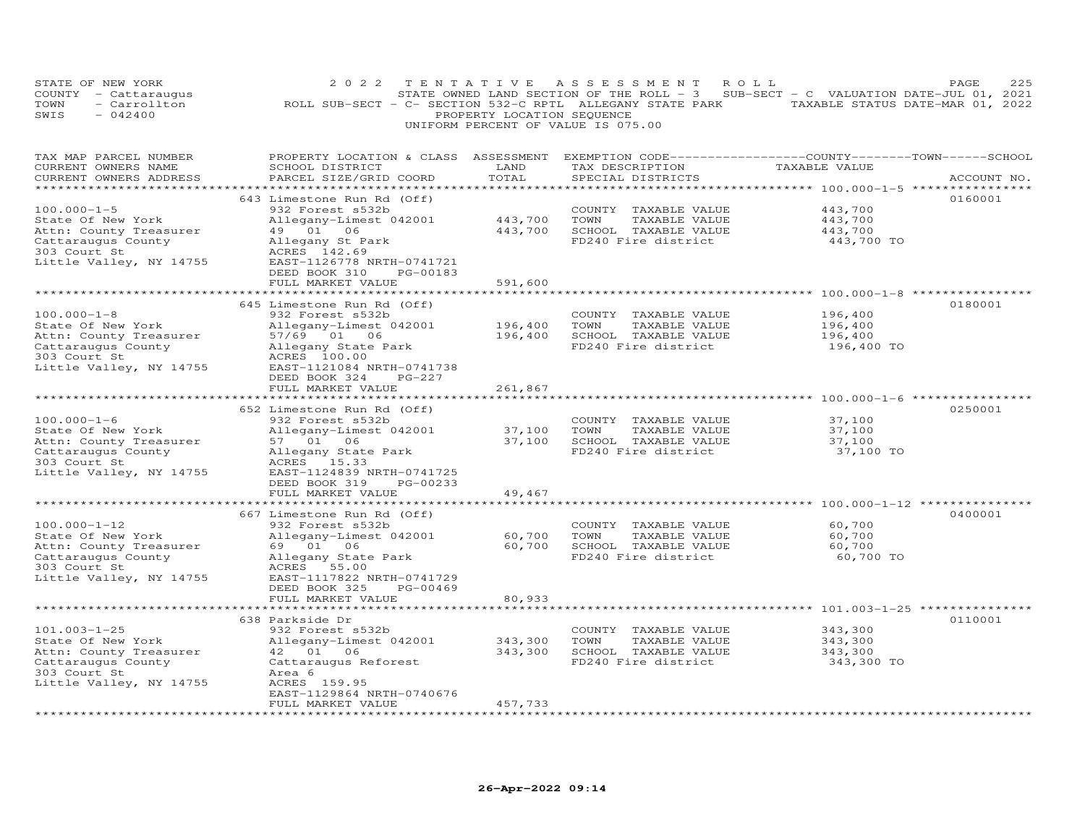|      | STATE OF NEW YORK                       |  | 2022 TENTATIVE ASSESSMENT ROLL                            |  |  |  |  |  |  |  |  |                                                                                     |                                  | PAGE |  | 22.5 |
|------|-----------------------------------------|--|-----------------------------------------------------------|--|--|--|--|--|--|--|--|-------------------------------------------------------------------------------------|----------------------------------|------|--|------|
|      | COUNTY - Cattaraugus                    |  |                                                           |  |  |  |  |  |  |  |  | STATE OWNED LAND SECTION OF THE ROLL - $3$ SUB-SECT - C VALUATION DATE-JUL 01, 2021 |                                  |      |  |      |
| TOWN | - Carrollton                            |  | ROLL SUB-SECT - C- SECTION 532-C RPTL ALLEGANY STATE PARK |  |  |  |  |  |  |  |  |                                                                                     | TAXABLE STATUS DATE-MAR 01, 2022 |      |  |      |
| SWIS | $-042400$<br>PROPERTY LOCATION SEOUENCE |  |                                                           |  |  |  |  |  |  |  |  |                                                                                     |                                  |      |  |      |
|      | UNIFORM PERCENT OF VALUE IS 075.00      |  |                                                           |  |  |  |  |  |  |  |  |                                                                                     |                                  |      |  |      |

| TAX MAP PARCEL NUMBER   | PROPERTY LOCATION & CLASS ASSESSMENT |         | EXEMPTION CODE-----------------COUNTY-------TOWN-----SCHOOL |                                        |             |
|-------------------------|--------------------------------------|---------|-------------------------------------------------------------|----------------------------------------|-------------|
| CURRENT OWNERS NAME     | SCHOOL DISTRICT                      | LAND    | TAX DESCRIPTION                                             | TAXABLE VALUE                          |             |
| CURRENT OWNERS ADDRESS  | PARCEL SIZE/GRID COORD               | TOTAL   | SPECIAL DISTRICTS                                           |                                        | ACCOUNT NO. |
|                         |                                      |         |                                                             | ***************** 100.000-1-5 ******** |             |
|                         | 643 Limestone Run Rd (Off)           |         |                                                             |                                        | 0160001     |
| $100.000 - 1 - 5$       | 932 Forest s532b                     |         |                                                             | 443,700                                |             |
|                         |                                      |         | COUNTY TAXABLE VALUE                                        |                                        |             |
| State Of New York       | Allegany-Limest 042001               | 443,700 | TOWN<br>TAXABLE VALUE                                       | 443,700                                |             |
| Attn: County Treasurer  | 49 01 06                             | 443,700 | SCHOOL TAXABLE VALUE                                        | 443,700                                |             |
| Cattaraugus County      | Allegany St Park                     |         | FD240 Fire district                                         | 443,700 TO                             |             |
| 303 Court St            | ACRES 142.69                         |         |                                                             |                                        |             |
| Little Valley, NY 14755 | EAST-1126778 NRTH-0741721            |         |                                                             |                                        |             |
|                         | DEED BOOK 310<br>PG-00183            |         |                                                             |                                        |             |
|                         | FULL MARKET VALUE                    | 591,600 |                                                             |                                        |             |
|                         |                                      |         |                                                             |                                        |             |
|                         | 645 Limestone Run Rd (Off)           |         |                                                             |                                        | 0180001     |
| $100.000 - 1 - 8$       | 932 Forest s532b                     |         | COUNTY TAXABLE VALUE                                        | 196,400                                |             |
| State Of New York       | Allegany-Limest 042001               | 196,400 | TOWN<br>TAXABLE VALUE                                       | 196,400                                |             |
| Attn: County Treasurer  | 57/69 01 06                          | 196,400 | SCHOOL TAXABLE VALUE                                        | 196,400                                |             |
| Cattaraugus County      | Allegany State Park                  |         | FD240 Fire district                                         | 196,400 TO                             |             |
|                         |                                      |         |                                                             |                                        |             |
| 303 Court St            | ACRES 100.00                         |         |                                                             |                                        |             |
| Little Valley, NY 14755 | EAST-1121084 NRTH-0741738            |         |                                                             |                                        |             |
|                         | DEED BOOK 324<br>$PG-227$            |         |                                                             |                                        |             |
|                         | FULL MARKET VALUE                    | 261,867 |                                                             |                                        |             |
|                         |                                      |         |                                                             |                                        |             |
|                         | 652 Limestone Run Rd (Off)           |         |                                                             |                                        | 0250001     |
| $100.000 - 1 - 6$       | 932 Forest s532b                     |         | COUNTY TAXABLE VALUE                                        | 37,100                                 |             |
| State Of New York       | Allegany-Limest 042001               | 37,100  | TOWN<br>TAXABLE VALUE                                       | 37,100                                 |             |
| Attn: County Treasurer  | 57 01 06                             |         | 37,100 SCHOOL TAXABLE VALUE                                 | 37,100                                 |             |
| Cattaraugus County      | Allegany State Park                  |         | FD240 Fire district                                         | 37,100 TO                              |             |
| 303 Court St            | ACRES 15.33                          |         |                                                             |                                        |             |
| Little Valley, NY 14755 | EAST-1124839 NRTH-0741725            |         |                                                             |                                        |             |
|                         | DEED BOOK 319<br>PG-00233            |         |                                                             |                                        |             |
|                         | FULL MARKET VALUE                    | 49,467  |                                                             |                                        |             |
|                         |                                      |         |                                                             |                                        |             |
|                         | 667 Limestone Run Rd (Off)           |         |                                                             |                                        | 0400001     |
| $100.000 - 1 - 12$      |                                      |         |                                                             | 60,700                                 |             |
|                         | 932 Forest s532b                     |         | COUNTY TAXABLE VALUE                                        |                                        |             |
| State Of New York       | Allegany-Limest 042001               | 60,700  | TOWN<br>TAXABLE VALUE                                       | 60,700                                 |             |
| Attn: County Treasurer  | 69 01 06                             | 60,700  | SCHOOL TAXABLE VALUE                                        | 60,700                                 |             |
| Cattaraugus County      | Allegany State Park                  |         | FD240 Fire district                                         | 60,700 TO                              |             |
| 303 Court St            | ACRES 55.00                          |         |                                                             |                                        |             |
| Little Valley, NY 14755 | EAST-1117822 NRTH-0741729            |         |                                                             |                                        |             |
|                         | DEED BOOK 325<br>PG-00469            |         |                                                             |                                        |             |
|                         | FULL MARKET VALUE                    | 80,933  |                                                             |                                        |             |
|                         | ***********************              |         |                                                             |                                        |             |
|                         | 638 Parkside Dr                      |         |                                                             |                                        | 0110001     |
| $101.003 - 1 - 25$      | 932 Forest s532b                     |         | COUNTY TAXABLE VALUE                                        | 343,300                                |             |
| State Of New York       | Allegany-Limest 042001               | 343,300 | TOWN<br>TAXABLE VALUE                                       | 343,300                                |             |
| Attn: County Treasurer  | 42  01  06                           | 343,300 | SCHOOL TAXABLE VALUE                                        | 343,300                                |             |
| Cattaraugus County      | Cattaraugus Reforest                 |         | FD240 Fire district                                         | 343,300 TO                             |             |
| 303 Court St            | Area 6                               |         |                                                             |                                        |             |
| Little Valley, NY 14755 | ACRES 159.95                         |         |                                                             |                                        |             |
|                         | EAST-1129864 NRTH-0740676            |         |                                                             |                                        |             |
|                         |                                      |         |                                                             |                                        |             |
|                         | FULL MARKET VALUE                    | 457,733 |                                                             |                                        |             |
|                         |                                      |         |                                                             |                                        |             |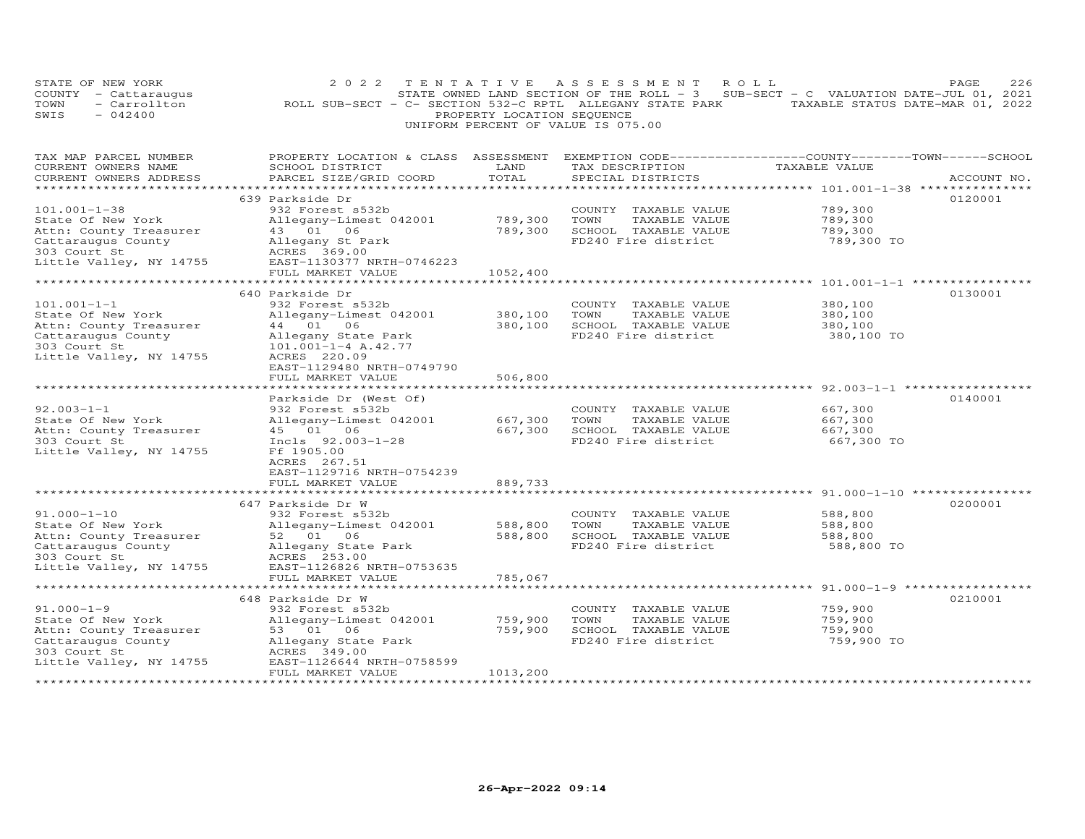| STATE OF NEW YORK<br>COUNTY - Cattaraugus<br>- Carrollton<br>TOWN<br>SWIS<br>$-042400$             | 2 0 2 2<br>TENTATIVE<br>ROLL SUB-SECT - C- SECTION 532-C RPTL ALLEGANY STATE PARK | PROPERTY LOCATION SEQUENCE | A S S E S S M E N T<br>STATE OWNED LAND SECTION OF THE ROLL - 3<br>UNIFORM PERCENT OF VALUE IS 075.00 | ROLL<br>SUB-SECT - C VALUATION DATE-JUL 01, 2021                              | 226<br>PAGE<br>TAXABLE STATUS DATE-MAR 01, 2022 |
|----------------------------------------------------------------------------------------------------|-----------------------------------------------------------------------------------|----------------------------|-------------------------------------------------------------------------------------------------------|-------------------------------------------------------------------------------|-------------------------------------------------|
| TAX MAP PARCEL NUMBER<br>CURRENT OWNERS NAME<br>CURRENT OWNERS ADDRESS<br>************************ | PROPERTY LOCATION & CLASS ASSESSMENT<br>SCHOOL DISTRICT<br>PARCEL SIZE/GRID COORD | LAND<br>TOTAL              | TAX DESCRIPTION<br>SPECIAL DISTRICTS                                                                  | EXEMPTION CODE-----------------COUNTY-------TOWN------SCHOOL<br>TAXABLE VALUE | ACCOUNT NO.                                     |
|                                                                                                    | 639 Parkside Dr                                                                   |                            |                                                                                                       |                                                                               | 0120001                                         |
| $101.001 - 1 - 38$                                                                                 | 932 Forest s532b                                                                  |                            | COUNTY TAXABLE VALUE                                                                                  | 789,300                                                                       |                                                 |
| State Of New York                                                                                  | Allegany-Limest 042001                                                            | 789,300                    | TOWN<br>TAXABLE VALUE                                                                                 | 789,300                                                                       |                                                 |
| Attn: County Treasurer                                                                             | 43 01 06                                                                          | 789,300                    | SCHOOL TAXABLE VALUE                                                                                  | 789,300                                                                       |                                                 |
| Cattaraugus County<br>303 Court St                                                                 | Allegany St Park<br>ACRES 369.00                                                  |                            | FD240 Fire district                                                                                   | 789,300 TO                                                                    |                                                 |
| Little Valley, NY 14755                                                                            | EAST-1130377 NRTH-0746223                                                         |                            |                                                                                                       |                                                                               |                                                 |
|                                                                                                    | FULL MARKET VALUE                                                                 | 1052,400                   |                                                                                                       |                                                                               |                                                 |
|                                                                                                    |                                                                                   | * * * * * * * * * * * *    |                                                                                                       | ******************************** 101.001-1-1 ****************                 |                                                 |
|                                                                                                    | 640 Parkside Dr                                                                   |                            |                                                                                                       |                                                                               | 0130001                                         |
| $101.001 - 1 - 1$<br>State Of New York                                                             | 932 Forest s532b<br>Allegany-Limest 042001                                        | 380,100                    | COUNTY TAXABLE VALUE<br>TOWN<br>TAXABLE VALUE                                                         | 380,100<br>380,100                                                            |                                                 |
| Attn: County Treasurer                                                                             | 44 01 06                                                                          | 380,100                    | SCHOOL TAXABLE VALUE                                                                                  | 380,100                                                                       |                                                 |
| Cattaraugus County                                                                                 | Allegany State Park                                                               |                            | FD240 Fire district                                                                                   | 380,100 TO                                                                    |                                                 |
| 303 Court St                                                                                       | $101.001 - 1 - 4$ A.42.77                                                         |                            |                                                                                                       |                                                                               |                                                 |
| Little Valley, NY 14755                                                                            | ACRES 220.09                                                                      |                            |                                                                                                       |                                                                               |                                                 |
|                                                                                                    | EAST-1129480 NRTH-0749790<br>FULL MARKET VALUE                                    | 506,800                    |                                                                                                       |                                                                               |                                                 |
|                                                                                                    | *********************                                                             |                            |                                                                                                       |                                                                               |                                                 |
|                                                                                                    | Parkside Dr (West Of)                                                             |                            |                                                                                                       |                                                                               | 0140001                                         |
| $92.003 - 1 - 1$                                                                                   | 932 Forest s532b                                                                  |                            | COUNTY TAXABLE VALUE                                                                                  | 667,300                                                                       |                                                 |
| State Of New York                                                                                  | Allegany-Limest 042001                                                            | 667,300                    | TOWN<br>TAXABLE VALUE                                                                                 | 667,300                                                                       |                                                 |
| Attn: County Treasurer<br>303 Court St                                                             | 45 01 06<br>Incls 92.003-1-28                                                     | 667,300                    | SCHOOL TAXABLE VALUE<br>FD240 Fire district                                                           | 667,300<br>667,300 TO                                                         |                                                 |
| Little Valley, NY 14755                                                                            | Ff 1905.00                                                                        |                            |                                                                                                       |                                                                               |                                                 |
|                                                                                                    | ACRES 267.51                                                                      |                            |                                                                                                       |                                                                               |                                                 |
|                                                                                                    | EAST-1129716 NRTH-0754239                                                         |                            |                                                                                                       |                                                                               |                                                 |
|                                                                                                    | FULL MARKET VALUE<br>*******************                                          | 889,733                    |                                                                                                       | ********* 91.000-1-10 **************                                          |                                                 |
|                                                                                                    | 647 Parkside Dr W                                                                 |                            |                                                                                                       |                                                                               | 0200001                                         |
| $91.000 - 1 - 10$                                                                                  | 932 Forest s532b                                                                  |                            | COUNTY TAXABLE VALUE                                                                                  | 588,800                                                                       |                                                 |
| State Of New York                                                                                  | Allegany-Limest 042001                                                            | 588,800                    | TOWN<br>TAXABLE VALUE                                                                                 | 588,800                                                                       |                                                 |
| Attn: County Treasurer                                                                             | 52 01 06                                                                          | 588,800                    | SCHOOL TAXABLE VALUE                                                                                  | 588,800                                                                       |                                                 |
| Cattaraugus County<br>303 Court St                                                                 | Allegany State Park<br>ACRES 253.00                                               |                            | FD240 Fire district                                                                                   | 588,800 TO                                                                    |                                                 |
| Little Valley, NY 14755                                                                            | EAST-1126826 NRTH-0753635                                                         |                            |                                                                                                       |                                                                               |                                                 |
|                                                                                                    | FULL MARKET VALUE                                                                 | 785,067                    |                                                                                                       |                                                                               |                                                 |
| **********************                                                                             | **************************                                                        | *********                  |                                                                                                       | ****************************** 91.000-1-9 *****************                   |                                                 |
|                                                                                                    | 648 Parkside Dr W                                                                 |                            |                                                                                                       |                                                                               | 0210001                                         |
| $91.000 - 1 - 9$                                                                                   | 932 Forest s532b                                                                  |                            | COUNTY TAXABLE VALUE                                                                                  | 759,900                                                                       |                                                 |
| State Of New York<br>Attn: County Treasurer                                                        | Allegany-Limest 042001<br>53 01 06                                                | 759,900<br>759,900         | TOWN<br>TAXABLE VALUE<br>SCHOOL TAXABLE VALUE                                                         | 759,900<br>759,900                                                            |                                                 |
| Cattaraugus County                                                                                 | Allegany State Park                                                               |                            | FD240 Fire district                                                                                   | 759,900 TO                                                                    |                                                 |
| 303 Court St                                                                                       | ACRES 349.00                                                                      |                            |                                                                                                       |                                                                               |                                                 |
| Little Valley, NY 14755                                                                            | EAST-1126644 NRTH-0758599                                                         |                            |                                                                                                       |                                                                               |                                                 |
|                                                                                                    | FULL MARKET VALUE<br>*******************                                          | 1013,200<br>*********      |                                                                                                       |                                                                               |                                                 |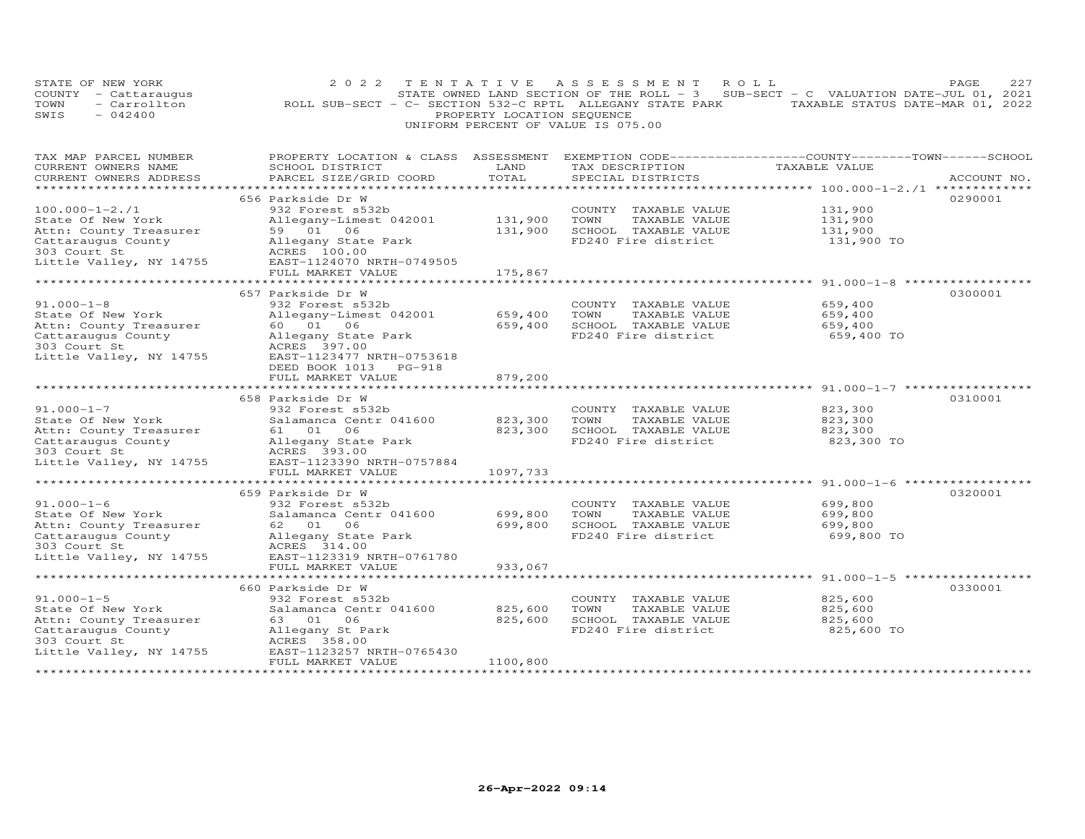|      | STATE OF NEW YORK    |                                                           |                                    | 2022 TENTATIVE ASSESSMENT ROLL |                                                                                     | PAGE. | 227 |
|------|----------------------|-----------------------------------------------------------|------------------------------------|--------------------------------|-------------------------------------------------------------------------------------|-------|-----|
|      | COUNTY - Cattaraugus |                                                           |                                    |                                | STATE OWNED LAND SECTION OF THE ROLL - $3$ SUB-SECT - C VALUATION DATE-JUL 01, 2021 |       |     |
| TOWN | - Carrollton         | ROLL SUB-SECT - C- SECTION 532-C RPTL ALLEGANY STATE PARK |                                    |                                | TAXABLE STATUS DATE-MAR 01, 2022                                                    |       |     |
| SWIS | $-042400$            |                                                           | PROPERTY LOCATION SEOUENCE         |                                |                                                                                     |       |     |
|      |                      |                                                           | UNIFORM PERCENT OF VALUE IS 075.00 |                                |                                                                                     |       |     |

| TAX MAP PARCEL NUMBER                                                                                                                                       | PROPERTY LOCATION & CLASS ASSESSMENT EXEMPTION CODE----------------COUNTY-------TOWN------SCHOOL |          |                       |               |             |
|-------------------------------------------------------------------------------------------------------------------------------------------------------------|--------------------------------------------------------------------------------------------------|----------|-----------------------|---------------|-------------|
| CURRENT OWNERS NAME                                                                                                                                         | SCHOOL DISTRICT                                                                                  | LAND     | TAX DESCRIPTION       | TAXABLE VALUE |             |
| CURRENT OWNERS ADDRESS                                                                                                                                      | PARCEL SIZE/GRID COORD                                                                           | TOTAL    | SPECIAL DISTRICTS     |               | ACCOUNT NO. |
|                                                                                                                                                             |                                                                                                  |          |                       |               |             |
|                                                                                                                                                             | 656 Parkside Dr W                                                                                |          |                       |               | 0290001     |
| $100.000 - 1 - 2.71$                                                                                                                                        | 932 Forest s532b                                                                                 |          | COUNTY TAXABLE VALUE  | 131,900       |             |
|                                                                                                                                                             |                                                                                                  |          |                       |               |             |
| State Of New York                                                                                                                                           | Allegany-Limest 042001                                                                           | 131,900  | TOWN<br>TAXABLE VALUE | 131,900       |             |
| Attn: County Treasurer                                                                                                                                      | 59 01 06                                                                                         | 131,900  | SCHOOL TAXABLE VALUE  | 131,900       |             |
| Cattaraugus County                                                                                                                                          | Allegany State Park                                                                              |          | FD240 Fire district   | 131,900 TO    |             |
| 303 Court St                                                                                                                                                | ACRES 100.00                                                                                     |          |                       |               |             |
| Little Valley, NY 14755                                                                                                                                     | EAST-1124070 NRTH-0749505                                                                        |          |                       |               |             |
|                                                                                                                                                             | FULL MARKET VALUE                                                                                | 175,867  |                       |               |             |
|                                                                                                                                                             |                                                                                                  |          |                       |               |             |
|                                                                                                                                                             | 657 Parkside Dr W                                                                                |          |                       |               | 0300001     |
| $91.000 - 1 - 8$                                                                                                                                            |                                                                                                  |          |                       |               |             |
|                                                                                                                                                             | 932 Forest s532b                                                                                 |          | COUNTY TAXABLE VALUE  | 659,400       |             |
| State Of New York                                                                                                                                           | Allegany-Limest 042001                                                                           | 659,400  | TOWN<br>TAXABLE VALUE | 659,400       |             |
| Attn: County Treasurer                                                                                                                                      | 60 01 06                                                                                         | 659,400  | SCHOOL TAXABLE VALUE  | 659,400       |             |
| Cattaraugus County                                                                                                                                          | Allegany State Park                                                                              |          | FD240 Fire district   | 659,400 TO    |             |
| 303 Court St                                                                                                                                                | ACRES 397.00                                                                                     |          |                       |               |             |
| Little Valley, NY 14755                                                                                                                                     | EAST-1123477 NRTH-0753618                                                                        |          |                       |               |             |
|                                                                                                                                                             | DEED BOOK 1013 PG-918                                                                            |          |                       |               |             |
|                                                                                                                                                             | FULL MARKET VALUE                                                                                | 879,200  |                       |               |             |
|                                                                                                                                                             |                                                                                                  |          |                       |               |             |
|                                                                                                                                                             |                                                                                                  |          |                       |               |             |
|                                                                                                                                                             | 658 Parkside Dr W                                                                                |          |                       |               | 0310001     |
| $91.000 - 1 - 7$                                                                                                                                            | 932 Forest s532b                                                                                 |          | COUNTY TAXABLE VALUE  | 823,300       |             |
| State Of New York                                                                                                                                           | Salamanca Centr 041600 823,300                                                                   |          | TOWN<br>TAXABLE VALUE | 823,300       |             |
| Attn: County Treasurer                                                                                                                                      | 61 01 06                                                                                         | 823,300  | SCHOOL TAXABLE VALUE  | 823,300       |             |
|                                                                                                                                                             |                                                                                                  |          | FD240 Fire district   | 823,300 TO    |             |
|                                                                                                                                                             |                                                                                                  |          |                       |               |             |
|                                                                                                                                                             | Little Valley, NY 14755 EAST-1123390 NRTH-0757884                                                |          |                       |               |             |
|                                                                                                                                                             | FULL MARKET VALUE                                                                                | 1097,733 |                       |               |             |
|                                                                                                                                                             |                                                                                                  |          |                       |               |             |
|                                                                                                                                                             |                                                                                                  |          |                       |               |             |
|                                                                                                                                                             | 659 Parkside Dr W                                                                                |          |                       |               | 0320001     |
| $91.000 - 1 - 6$                                                                                                                                            | 932 Forest s532b                                                                                 |          | COUNTY TAXABLE VALUE  | 699,800       |             |
| State Of New York                                                                                                                                           | Salamanca Centr 041600                                                                           | 699,800  | TOWN<br>TAXABLE VALUE | 699,800       |             |
| Attn: County Treasurer 62 01 06                                                                                                                             |                                                                                                  | 699,800  | SCHOOL TAXABLE VALUE  | 699,800       |             |
|                                                                                                                                                             |                                                                                                  |          | FD240 Fire district   | 699,800 TO    |             |
| Cattaraugus County Milegany State Park<br>303 Court St                           ACRES     314.00<br>Little Valley, NY 14755           EAST-1123319 NRTH-07 |                                                                                                  |          |                       |               |             |
|                                                                                                                                                             | EAST-1123319 NRTH-0761780                                                                        |          |                       |               |             |
|                                                                                                                                                             | FULL MARKET VALUE                                                                                | 933,067  |                       |               |             |
|                                                                                                                                                             |                                                                                                  |          |                       |               |             |
|                                                                                                                                                             |                                                                                                  |          |                       |               |             |
|                                                                                                                                                             | 660 Parkside Dr W                                                                                |          |                       |               | 0330001     |
| $91.000 - 1 - 5$                                                                                                                                            | 932 Forest s532b                                                                                 |          | COUNTY TAXABLE VALUE  | 825,600       |             |
| State Of New York                                                                                                                                           | Salamanca Centr 041600                                                                           | 825,600  | TOWN<br>TAXABLE VALUE | 825,600       |             |
| Attn: County Treasurer                                                                                                                                      | 63 01 06                                                                                         | 825,600  | SCHOOL TAXABLE VALUE  | 825,600       |             |
| Cattaraugus County                                                                                                                                          | Allegany St Park                                                                                 |          | FD240 Fire district   | 825,600 TO    |             |
| 303 Court St                                                                                                                                                | ACRES 358.00                                                                                     |          |                       |               |             |
| Little Valley, NY 14755                                                                                                                                     | EAST-1123257 NRTH-0765430                                                                        |          |                       |               |             |
|                                                                                                                                                             |                                                                                                  |          |                       |               |             |
|                                                                                                                                                             | FULL MARKET VALUE                                                                                | 1100,800 |                       |               |             |
|                                                                                                                                                             |                                                                                                  |          |                       |               |             |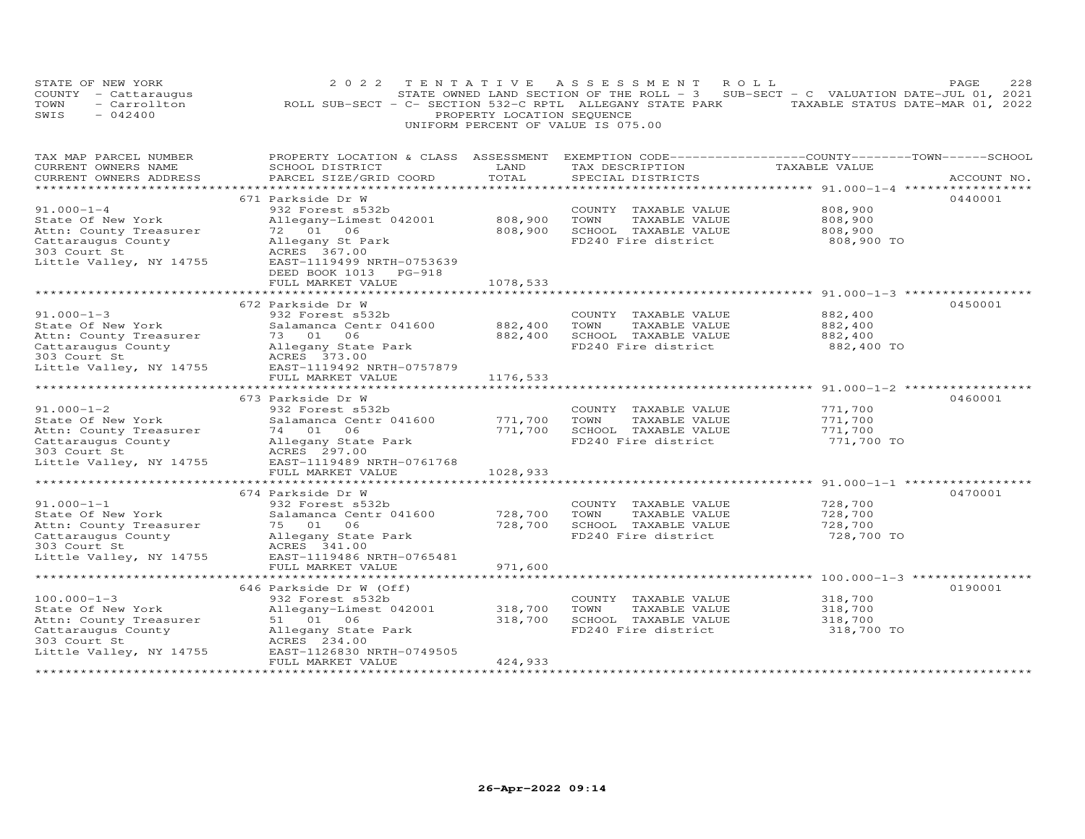|                                    | STATE OF NEW YORK    |  | 2022 TENTATIVE ASSESSMENT ROLL                                                    |  |                                  | PAGE. | 228 |  |
|------------------------------------|----------------------|--|-----------------------------------------------------------------------------------|--|----------------------------------|-------|-----|--|
|                                    | COUNTY - Cattaraugus |  | STATE OWNED LAND SECTION OF THE ROLL - 3 SUB-SECT - C VALUATION DATE-JUL 01, 2021 |  |                                  |       |     |  |
| TOWN                               | - Carrollton         |  | ROLL SUB-SECT - C- SECTION 532-C RPTL ALLEGANY STATE PARK                         |  | TAXABLE STATUS DATE-MAR 01, 2022 |       |     |  |
| SWIS                               | $-042400$            |  | PROPERTY LOCATION SEQUENCE                                                        |  |                                  |       |     |  |
| UNIFORM PERCENT OF VALUE IS 075.00 |                      |  |                                                                                   |  |                                  |       |     |  |

| TAX MAP PARCEL NUMBER                                 | PROPERTY LOCATION & CLASS ASSESSMENT |            | EXEMPTION CODE-----------------COUNTY-------TOWN------SCHOOL |                                                    |             |
|-------------------------------------------------------|--------------------------------------|------------|--------------------------------------------------------------|----------------------------------------------------|-------------|
| CURRENT OWNERS NAME                                   | SCHOOL DISTRICT                      | LAND       | TAX DESCRIPTION                                              | TAXABLE VALUE                                      |             |
| CURRENT OWNERS ADDRESS                                | PARCEL SIZE/GRID COORD               | TOTAL      | SPECIAL DISTRICTS                                            |                                                    | ACCOUNT NO. |
|                                                       |                                      |            |                                                              |                                                    |             |
|                                                       | 671 Parkside Dr W                    |            |                                                              |                                                    | 0440001     |
| $91.000 - 1 - 4$                                      | 932 Forest s532b                     |            | COUNTY TAXABLE VALUE                                         | 808,900                                            |             |
| State Of New York                                     | Allegany-Limest 042001               | 808,900    | TOWN<br>TAXABLE VALUE                                        | 808,900                                            |             |
| Attn: County Treasurer                                | 72 01 06                             | 808,900    | SCHOOL TAXABLE VALUE                                         | 808,900                                            |             |
| Cattaraugus County                                    | Allegany St Park                     |            | FD240 Fire district                                          | 808,900 TO                                         |             |
| 303 Court St                                          | ACRES 367.00                         |            |                                                              |                                                    |             |
| Little Valley, NY 14755                               | EAST-1119499 NRTH-0753639            |            |                                                              |                                                    |             |
|                                                       | DEED BOOK 1013 PG-918                |            |                                                              |                                                    |             |
|                                                       | FULL MARKET VALUE                    | 1078,533   |                                                              |                                                    |             |
|                                                       |                                      |            |                                                              |                                                    |             |
|                                                       | 672 Parkside Dr W                    |            |                                                              |                                                    | 0450001     |
| $91.000 - 1 - 3$                                      | 932 Forest s532b                     |            | COUNTY TAXABLE VALUE                                         | 882,400                                            |             |
| State Of New York                                     | Salamanca Centr 041600               | 882,400    | TOWN<br>TAXABLE VALUE                                        | 882,400                                            |             |
|                                                       | 73 01 06                             | 882,400    | SCHOOL TAXABLE VALUE                                         | 882,400                                            |             |
| Attn: County Treasurer                                |                                      |            | FD240 Fire district                                          | 882,400 TO                                         |             |
| Cattaraugus County                                    | Allegany State Park                  |            |                                                              |                                                    |             |
| 303 Court St                                          | ACRES 373.00                         |            |                                                              |                                                    |             |
| Little Valley, NY 14755                               | EAST-1119492 NRTH-0757879            |            |                                                              |                                                    |             |
|                                                       | FULL MARKET VALUE                    | 1176,533   |                                                              |                                                    |             |
|                                                       |                                      |            |                                                              |                                                    |             |
|                                                       | 673 Parkside Dr W                    |            |                                                              |                                                    | 0460001     |
| $91.000 - 1 - 2$                                      | 932 Forest s532b                     |            | COUNTY TAXABLE VALUE                                         | 771,700                                            |             |
| State Of New York                                     | Salamanca Centr 041600               | 771,700    | TOWN<br>TAXABLE VALUE                                        | 771,700                                            |             |
| Attn: County Treasurer                                | 74 01 06                             | 771,700    | SCHOOL TAXABLE VALUE                                         | 771,700                                            |             |
| Cattaraugus County                                    | Allegany State Park                  |            | FD240 Fire district                                          | 771,700 TO                                         |             |
| 303 Court St                                          | ACRES 297.00                         |            |                                                              |                                                    |             |
| Little Valley, NY 14755                               | EAST-1119489 NRTH-0761768            |            |                                                              |                                                    |             |
|                                                       | FULL MARKET VALUE                    | 1028,933   |                                                              |                                                    |             |
|                                                       | ******************************       | ********** |                                                              | ********************* 91.000-1-1 ***************** |             |
|                                                       | 674 Parkside Dr W                    |            |                                                              |                                                    | 0470001     |
| $91.000 - 1 - 1$                                      | 932 Forest s532b                     |            | COUNTY TAXABLE VALUE                                         | 728,700                                            |             |
| State Of New York                                     | Salamanca Centr 041600               | 728,700    | TOWN<br>TAXABLE VALUE                                        | 728,700                                            |             |
| Attn: County Treasurer                                | 75 01 06                             | 728,700    | SCHOOL TAXABLE VALUE                                         | 728,700                                            |             |
| Cattaraugus County                                    | Allegany State Park                  |            | FD240 Fire district                                          | 728,700 TO                                         |             |
| an an Albanya (1980).<br>Mga barangay<br>303 Court St | ACRES 341.00                         |            |                                                              |                                                    |             |
| Little Valley, NY 14755                               | EAST-1119486 NRTH-0765481            |            |                                                              |                                                    |             |
|                                                       | FULL MARKET VALUE                    | 971,600    |                                                              |                                                    |             |
|                                                       |                                      |            |                                                              |                                                    |             |
|                                                       | 646 Parkside Dr W (Off)              |            |                                                              |                                                    | 0190001     |
| $100.000 - 1 - 3$                                     | 932 Forest s532b                     |            | COUNTY TAXABLE VALUE                                         | 318,700                                            |             |
| State Of New York                                     | Allegany-Limest 042001               | 318,700    | TOWN<br>TAXABLE VALUE                                        | 318,700                                            |             |
| Attn: County Treasurer                                | 51 01 06                             | 318,700    | SCHOOL TAXABLE VALUE                                         | 318,700                                            |             |
| Cattaraugus County                                    | Allegany State Park                  |            | FD240 Fire district                                          | 318,700 TO                                         |             |
| 303 Court St                                          | ACRES 234.00                         |            |                                                              |                                                    |             |
| Little Valley, NY 14755                               | EAST-1126830 NRTH-0749505            |            |                                                              |                                                    |             |
|                                                       | FULL MARKET VALUE                    | 424,933    |                                                              |                                                    |             |
|                                                       |                                      |            |                                                              |                                                    |             |
|                                                       |                                      |            |                                                              |                                                    |             |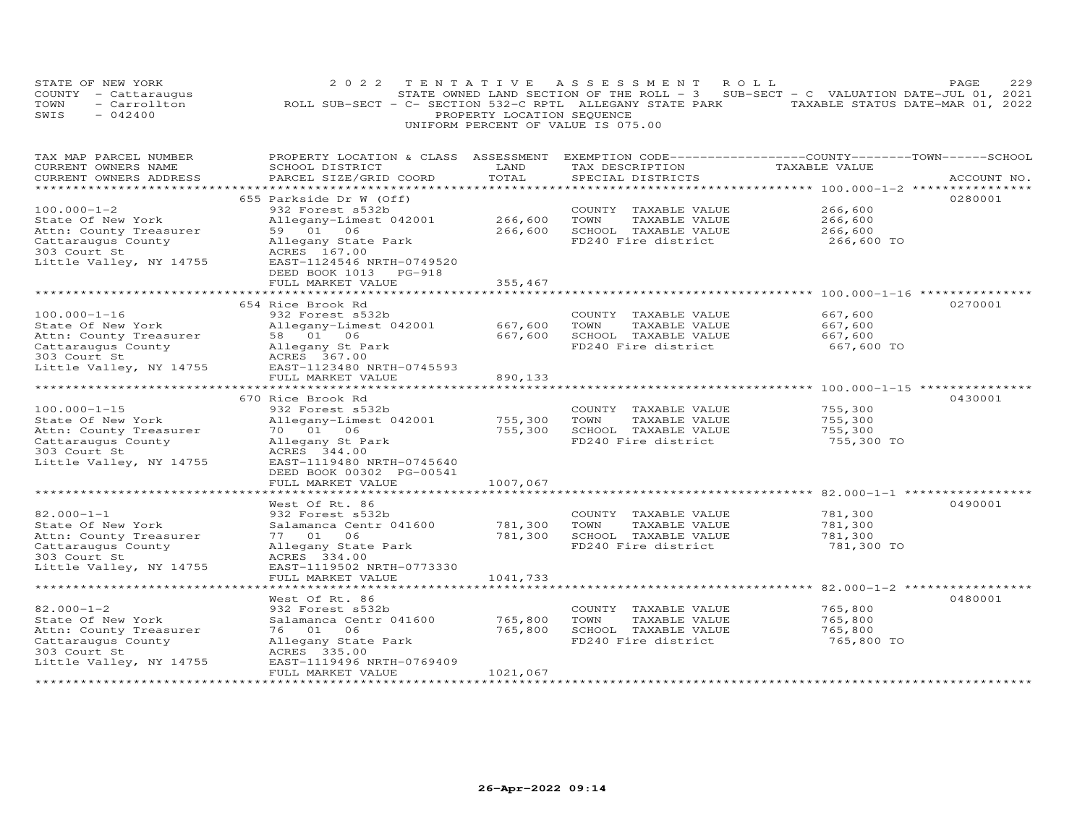|      | STATE OF NEW YORK                       |                                                           |  |                                    |  |  |  | 2022 TENTATIVE ASSESSMENT ROLL |                                                                                     | <b>PAGE</b> | 229 |
|------|-----------------------------------------|-----------------------------------------------------------|--|------------------------------------|--|--|--|--------------------------------|-------------------------------------------------------------------------------------|-------------|-----|
|      | COUNTY - Cattaraugus                    |                                                           |  |                                    |  |  |  |                                | STATE OWNED LAND SECTION OF THE ROLL - $3$ SUB-SECT - C VALUATION DATE-JUL 01, 2021 |             |     |
| TOWN | - Carrollton                            | ROLL SUB-SECT - C- SECTION 532-C RPTL ALLEGANY STATE PARK |  |                                    |  |  |  |                                | TAXABLE STATUS DATE-MAR 01, 2022                                                    |             |     |
| SWIS | $-042400$<br>PROPERTY LOCATION SEQUENCE |                                                           |  |                                    |  |  |  |                                |                                                                                     |             |     |
|      |                                         |                                                           |  | UNIFORM PERCENT OF VALUE IS 075.00 |  |  |  |                                |                                                                                     |             |     |

| TAX MAP PARCEL NUMBER   | PROPERTY LOCATION & CLASS ASSESSMENT EXEMPTION CODE----------------COUNTY-------TOWN------SCHOOL |          |                       |               |             |
|-------------------------|--------------------------------------------------------------------------------------------------|----------|-----------------------|---------------|-------------|
| CURRENT OWNERS NAME     | SCHOOL DISTRICT                                                                                  | LAND     | TAX DESCRIPTION       | TAXABLE VALUE |             |
| CURRENT OWNERS ADDRESS  | PARCEL SIZE/GRID COORD                                                                           | TOTAL    | SPECIAL DISTRICTS     |               | ACCOUNT NO. |
|                         |                                                                                                  |          |                       |               |             |
|                         | 655 Parkside Dr W (Off)                                                                          |          |                       |               | 0280001     |
| $100.000 - 1 - 2$       | 932 Forest s532b                                                                                 |          | COUNTY TAXABLE VALUE  | 266,600       |             |
| State Of New York       | Allegany-Limest 042001                                                                           | 266,600  | TOWN<br>TAXABLE VALUE | 266,600       |             |
| Attn: County Treasurer  | 59 01 06                                                                                         | 266,600  | SCHOOL TAXABLE VALUE  | 266,600       |             |
| Cattaraugus County      | Allegany State Park                                                                              |          | FD240 Fire district   | 266,600 TO    |             |
| 303 Court St            | ACRES 167.00                                                                                     |          |                       |               |             |
| Little Valley, NY 14755 | EAST-1124546 NRTH-0749520                                                                        |          |                       |               |             |
|                         | DEED BOOK 1013 PG-918                                                                            |          |                       |               |             |
|                         | FULL MARKET VALUE                                                                                | 355,467  |                       |               |             |
|                         |                                                                                                  |          |                       |               |             |
|                         | 654 Rice Brook Rd                                                                                |          |                       |               | 0270001     |
| $100.000 - 1 - 16$      | 932 Forest s532b                                                                                 |          | COUNTY TAXABLE VALUE  | 667,600       |             |
| State Of New York       | Allegany-Limest 042001                                                                           | 667,600  | TOWN<br>TAXABLE VALUE | 667,600       |             |
| Attn: County Treasurer  | 58 01 06                                                                                         | 667,600  | SCHOOL TAXABLE VALUE  | 667,600       |             |
| Cattaraugus County      | Allegany St Park<br>ACRES 367.00                                                                 |          | FD240 Fire district   | 667,600 TO    |             |
| 303 Court St            |                                                                                                  |          |                       |               |             |
| Little Valley, NY 14755 | EAST-1123480 NRTH-0745593                                                                        |          |                       |               |             |
|                         | FULL MARKET VALUE                                                                                | 890,133  |                       |               |             |
|                         |                                                                                                  |          |                       |               |             |
|                         | 670 Rice Brook Rd                                                                                |          |                       |               | 0430001     |
| $100.000 - 1 - 15$      | 932 Forest s532b                                                                                 |          | COUNTY TAXABLE VALUE  | 755,300       |             |
| State Of New York       | Allegany-Limest 042001                                                                           | 755,300  | TOWN<br>TAXABLE VALUE | 755,300       |             |
| Attn: County Treasurer  | 70 01 06                                                                                         | 755,300  | SCHOOL TAXABLE VALUE  | 755,300       |             |
| Cattaraugus County      | Allegany St Park                                                                                 |          | FD240 Fire district   | 755,300 TO    |             |
| 303 Court St            | ACRES 344.00                                                                                     |          |                       |               |             |
| Little Valley, NY 14755 | EAST-1119480 NRTH-0745640                                                                        |          |                       |               |             |
|                         | DEED BOOK 00302 PG-00541                                                                         |          |                       |               |             |
|                         | FULL MARKET VALUE                                                                                | 1007,067 |                       |               |             |
|                         |                                                                                                  |          |                       |               |             |
|                         | West Of Rt. 86                                                                                   |          |                       |               | 0490001     |
| $82.000 - 1 - 1$        | 932 Forest s532b                                                                                 |          | COUNTY TAXABLE VALUE  | 781,300       |             |
| State Of New York       | Salamanca Centr 041600                                                                           | 781,300  | TOWN<br>TAXABLE VALUE | 781,300       |             |
| Attn: County Treasurer  | 77 01 06                                                                                         | 781,300  | SCHOOL TAXABLE VALUE  | 781,300       |             |
| Cattaraugus County      | Allegany State Park                                                                              |          | FD240 Fire district   | 781,300 TO    |             |
| 303 Court St            | ACRES 334.00                                                                                     |          |                       |               |             |
| Little Valley, NY 14755 | EAST-1119502 NRTH-0773330                                                                        |          |                       |               |             |
|                         | FULL MARKET VALUE                                                                                | 1041,733 |                       |               |             |
|                         |                                                                                                  |          |                       |               |             |
|                         | West Of Rt. 86                                                                                   |          |                       |               | 0480001     |
| $82.000 - 1 - 2$        | 932 Forest s532b                                                                                 |          | COUNTY TAXABLE VALUE  | 765,800       |             |
| State Of New York       | Salamanca Centr 041600                                                                           | 765,800  | TOWN<br>TAXABLE VALUE | 765,800       |             |
| Attn: County Treasurer  | 76 01 06                                                                                         | 765,800  | SCHOOL TAXABLE VALUE  | 765,800       |             |
| Cattaraugus County      | Allegany State Park                                                                              |          | FD240 Fire district   | 765,800 TO    |             |
| 303 Court St            | ACRES 335.00                                                                                     |          |                       |               |             |
| Little Valley, NY 14755 | EAST-1119496 NRTH-0769409                                                                        |          |                       |               |             |
|                         | FULL MARKET VALUE                                                                                | 1021,067 |                       |               |             |
|                         |                                                                                                  |          |                       |               |             |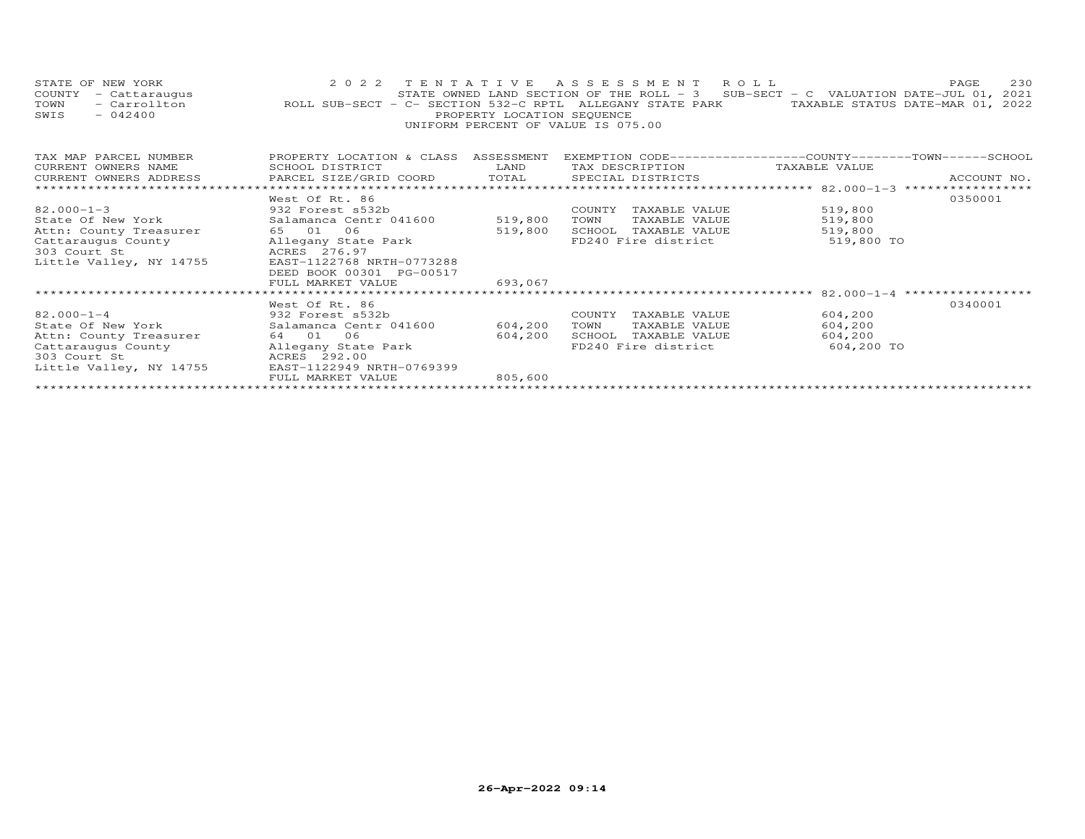| STATE OF NEW YORK<br>COUNTY<br>- Cattaraugus<br>- Carrollton<br>TOWN<br>$-042400$<br>SWIS                                        | 2022 TENTATIVE ASSESSMENT ROLL<br>ROLL SUB-SECT - C- SECTION 532-C RPTL ALLEGANY STATE PARK TAXABLE STATUS DATE-MAR 01, 2022                                                                     | PROPERTY LOCATION SEQUENCE    | UNIFORM PERCENT OF VALUE IS 075.00                                                              |                               | 230<br>PAGE<br>STATE OWNED LAND SECTION OF THE ROLL - 3 SUB-SECT - C VALUATION DATE-JUL 01, 2021 |
|----------------------------------------------------------------------------------------------------------------------------------|--------------------------------------------------------------------------------------------------------------------------------------------------------------------------------------------------|-------------------------------|-------------------------------------------------------------------------------------------------|-------------------------------|--------------------------------------------------------------------------------------------------|
| TAX MAP PARCEL NUMBER<br>CURRENT OWNERS NAME<br>CURRENT OWNERS ADDRESS                                                           | PROPERTY LOCATION & CLASS ASSESSMENT EXEMPTION CODE----------------COUNTY-------TOWN------SCHOOL<br><b>Example 12 TEAND</b><br>SCHOOL DISTRICT<br>PARCEL SIZE/GRID COORD TOTAL SPECIAL DISTRICTS |                               | TAX DESCRIPTION                                                                                 | TAXABLE VALUE                 | ACCOUNT NO.                                                                                      |
| $82.000 - 1 - 3$<br>State Of New York<br>Attn: County Treasurer<br>Cattaraugus County<br>303 Court St<br>Little Valley, NY 14755 | West Of Rt. 86<br>932 Forest s532b<br>Salamanca Centr 041600<br>65 01 06<br>Allegany State Park<br>ACRES 276.97<br>EAST-1122768 NRTH-0773288<br>DEED BOOK 00301 PG-00517<br>FULL MARKET VALUE    | 519,800<br>519,800<br>693,067 | COUNTY TAXABLE VALUE<br>TOWN<br>TAXABLE VALUE<br>SCHOOL TAXABLE VALUE<br>FD240 Fire district    | 519,800<br>519,800<br>519,800 | 0350001<br>519,800 TO                                                                            |
| $82.000 - 1 - 4$<br>State Of New York<br>Attn: County Treasurer<br>Cattaraugus County<br>303 Court St<br>Little Valley, NY 14755 | West Of Rt. 86<br>932 Forest s532b<br>Salamanca Centr 041600<br>64 01 06<br>Allegany State Park<br>ACRES 292.00<br>EAST-1122949 NRTH-0769399<br>FULL MARKET VALUE                                | 604,200<br>604,200<br>805,600 | COUNTY TAXABLE VALUE<br>TOWN<br>TAXABLE VALUE<br>SCHOOL<br>TAXABLE VALUE<br>FD240 Fire district | 604,200<br>604,200<br>604,200 | ************************* 82.000-1-4 ******************<br>0340001<br>604,200 TO                 |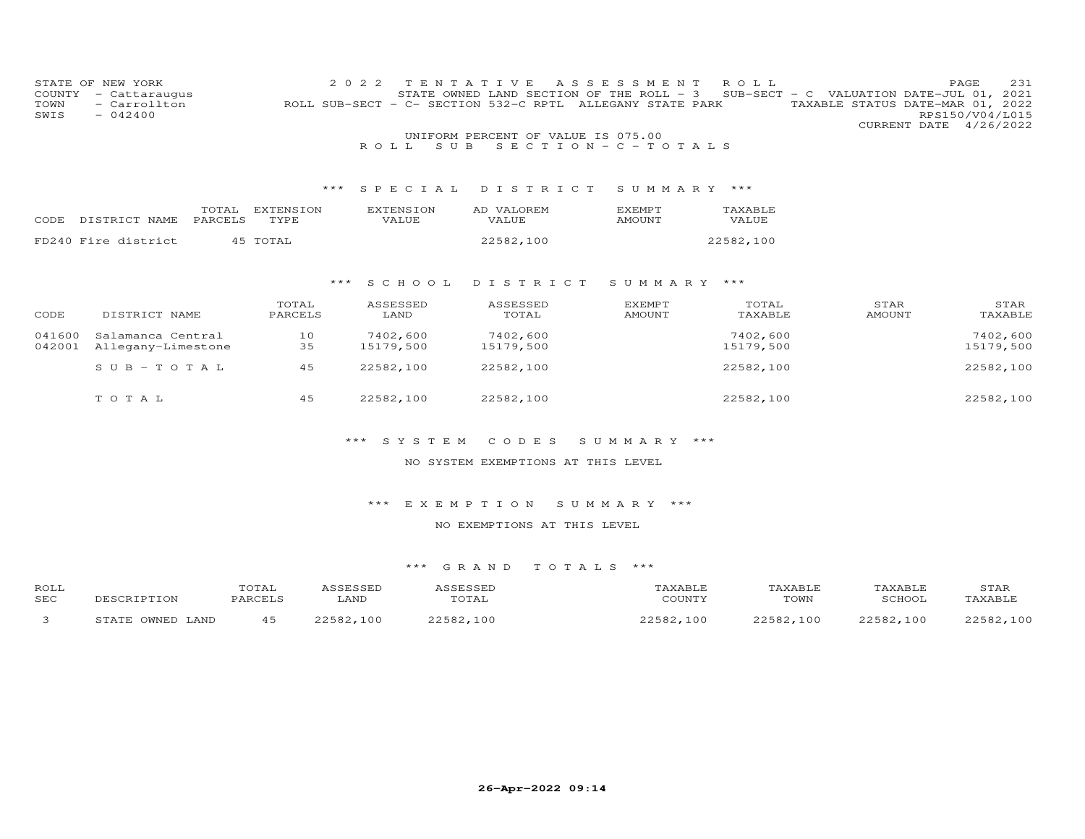|                | STATE OF NEW YORK             |         |                  | 2 0 2 2 | TENTAT           |       | T V E                                 | A S S E S S M E N T                                             | ROLL      |                                                                     |               |                        | PAGE            | 231       |
|----------------|-------------------------------|---------|------------------|---------|------------------|-------|---------------------------------------|-----------------------------------------------------------------|-----------|---------------------------------------------------------------------|---------------|------------------------|-----------------|-----------|
| COUNTY<br>TOWN | - Cattaraugus<br>- Carrollton |         |                  |         |                  |       | ROLL SUB-SECT - C- SECTION 532-C RPTL | STATE OWNED LAND SECTION OF THE ROLL - 3<br>ALLEGANY STATE PARK | SUB-SECT  | - C VALUATION DATE-JUL 01, 2021<br>TAXABLE STATUS DATE-MAR 01, 2022 |               |                        |                 |           |
| SWIS           | $-042400$                     |         |                  |         |                  |       |                                       |                                                                 |           |                                                                     |               |                        | RPS150/V04/L015 |           |
|                |                               |         |                  |         |                  |       |                                       |                                                                 |           |                                                                     |               | CURRENT DATE 4/26/2022 |                 |           |
|                |                               |         |                  |         |                  |       | UNIFORM PERCENT OF VALUE IS 075.00    |                                                                 |           |                                                                     |               |                        |                 |           |
|                |                               |         |                  |         | ROLL             | S U B |                                       | SECTION - $C$ - TOTALS                                          |           |                                                                     |               |                        |                 |           |
|                |                               |         |                  |         |                  |       |                                       |                                                                 |           |                                                                     |               |                        |                 |           |
|                |                               |         |                  |         |                  |       |                                       |                                                                 |           |                                                                     |               |                        |                 |           |
|                |                               |         |                  |         |                  |       |                                       |                                                                 |           |                                                                     |               |                        |                 |           |
|                |                               |         |                  | $***$   | SPECIAL          |       | DISTRICT                              | SUMMARY ***                                                     |           |                                                                     |               |                        |                 |           |
|                |                               | TOTAL   | <b>EXTENSION</b> |         | <b>EXTENSION</b> |       | AD VALOREM                            | EXEMPT                                                          | TAXABLE   |                                                                     |               |                        |                 |           |
| CODE           | DISTRICT NAME                 | PARCELS | TYPE             |         | VALUE            |       | VALUE                                 | <b>AMOUNT</b>                                                   | VALUE     |                                                                     |               |                        |                 |           |
|                |                               |         |                  |         |                  |       |                                       |                                                                 |           |                                                                     |               |                        |                 |           |
|                | FD240 Fire district           |         | 45 TOTAL         |         |                  |       | 22582,100                             |                                                                 | 22582,100 |                                                                     |               |                        |                 |           |
|                |                               |         |                  |         |                  |       |                                       |                                                                 |           |                                                                     |               |                        |                 |           |
|                |                               |         |                  |         |                  |       |                                       |                                                                 |           |                                                                     |               |                        |                 |           |
|                |                               |         |                  | ***     | SCHOOL           |       | DISTRICT                              | SUMMARY ***                                                     |           |                                                                     |               |                        |                 |           |
|                |                               |         |                  |         |                  |       |                                       |                                                                 |           |                                                                     |               |                        |                 |           |
|                |                               |         | TOTAL            |         | ASSESSED         |       | ASSESSED                              | EXEMPT                                                          | TOTAL     |                                                                     | STAR          |                        |                 | STAR      |
| CODE           | DISTRICT NAME                 |         | PARCELS          |         | LAND             |       | TOTAL                                 | <b>AMOUNT</b>                                                   | TAXABLE   |                                                                     | <b>AMOUNT</b> |                        |                 | TAXABLE   |
| 041600         | Salamanca Central             |         | 10               |         | 7402,600         |       | 7402,600                              |                                                                 | 7402,600  |                                                                     |               |                        |                 | 7402,600  |
| 042001         | Allegany-Limestone            |         | 35               |         | 15179,500        |       | 15179,500                             |                                                                 | 15179,500 |                                                                     |               |                        |                 | 15179,500 |
|                |                               |         |                  |         |                  |       |                                       |                                                                 |           |                                                                     |               |                        |                 |           |
|                | $SUB - TO TAL$                |         | 45               |         | 22582,100        |       | 22582,100                             |                                                                 | 22582,100 |                                                                     |               |                        |                 | 22582,100 |
|                |                               |         |                  |         |                  |       |                                       |                                                                 |           |                                                                     |               |                        |                 |           |
|                | TOTAL                         |         | 45               |         | 22582,100        |       | 22582,100                             |                                                                 | 22582,100 |                                                                     |               |                        |                 | 22582,100 |
|                |                               |         |                  |         |                  |       |                                       |                                                                 |           |                                                                     |               |                        |                 |           |

# \*\*\* S Y S T E M C O D E S S U M M A R Y \*\*\*

# NO SYSTEM EXEMPTIONS AT THIS LEVEL

# \*\*\* E X E M P T I O N S U M M A R Y \*\*\*

# NO EXEMPTIONS AT THIS LEVEL

| ROLL       |                                                                 | TOTAL  |                                              |                      |                                       | YABLE        | TAXABLE.     | STAF           |
|------------|-----------------------------------------------------------------|--------|----------------------------------------------|----------------------|---------------------------------------|--------------|--------------|----------------|
| <b>SEC</b> |                                                                 | DADCPT | LAND                                         | UIAL                 | COUNTY                                | TOWN         | 3CHOO1       | <b>TAXABLF</b> |
|            | $\bigcap M$ <sub><math>\bigcap T</math></sub> $\bigcap$<br>LAND |        | 100<br>$\cap$ $\cap$ $\subset$ $\cap$ $\cap$ | $E \cap \cap$<br>100 | $\cap$ $\subset$ $\cap$ $\cap$<br>100 | つつにOつ<br>100 | つつちのつ<br>100 | 22502<br>100   |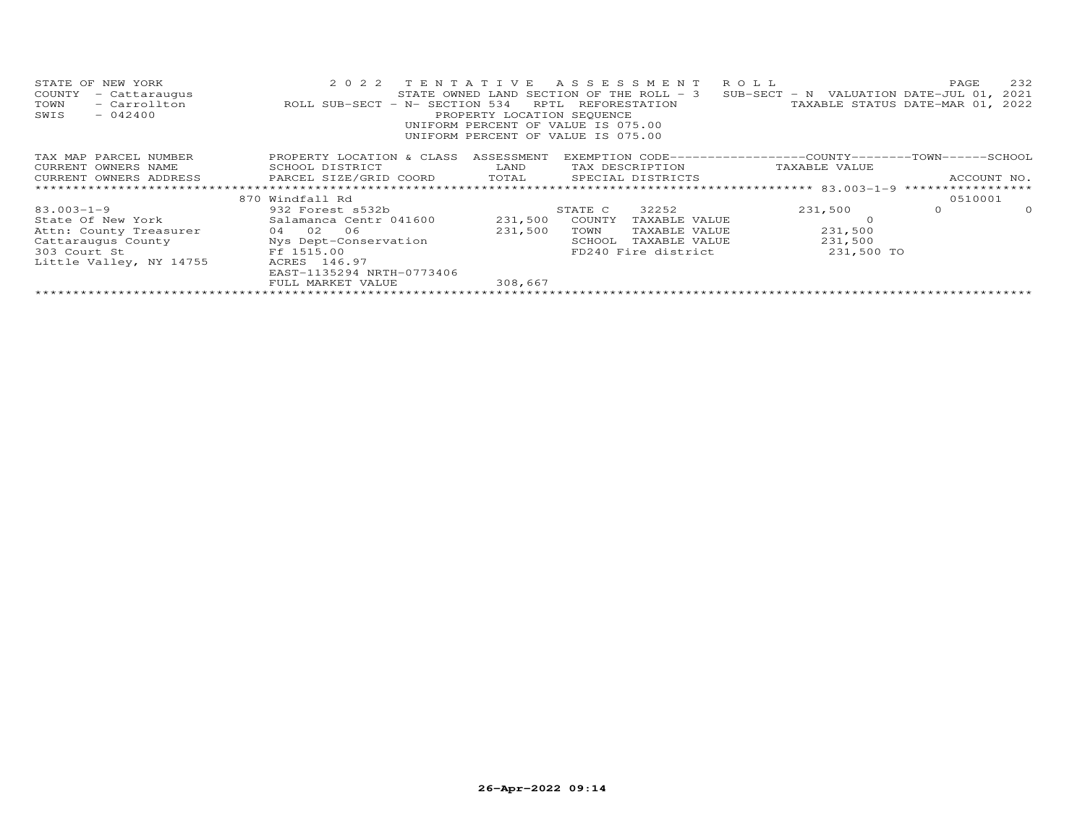| STATE OF NEW YORK<br>COUNTY<br>- Cattaraugus<br>- Carrollton<br>TOWN<br>SWIS<br>$-042400$ | 2022 TENTATIVE<br>ROLL SUB-SECT - N- SECTION 534 | RPTL<br>PROPERTY LOCATION SEQUENCE | A S S E S S M E N T<br>STATE OWNED LAND SECTION OF THE ROLL - 3<br>REFORESTATION<br>UNIFORM PERCENT OF VALUE IS 075.00<br>UNIFORM PERCENT OF VALUE IS 075.00 | R O L L<br>SUB-SECT - N VALUATION DATE-JUL 01, 2021          | 232<br>PAGE<br>TAXABLE STATUS DATE-MAR 01, 2022 |
|-------------------------------------------------------------------------------------------|--------------------------------------------------|------------------------------------|--------------------------------------------------------------------------------------------------------------------------------------------------------------|--------------------------------------------------------------|-------------------------------------------------|
| TAX MAP PARCEL NUMBER                                                                     | PROPERTY LOCATION & CLASS                        | ASSESSMENT                         |                                                                                                                                                              | EXEMPTION CODE-----------------COUNTY-------TOWN------SCHOOL |                                                 |
| CURRENT OWNERS NAME                                                                       | SCHOOL DISTRICT                                  | LAND                               | TAX DESCRIPTION                                                                                                                                              | TAXABLE VALUE                                                |                                                 |
| CURRENT OWNERS ADDRESS THE PARCEL SIZE/GRID COORD TOTAL                                   |                                                  |                                    | SPECIAL DISTRICTS                                                                                                                                            |                                                              | ACCOUNT NO.                                     |
|                                                                                           |                                                  |                                    |                                                                                                                                                              |                                                              |                                                 |
|                                                                                           | 870 Windfall Rd                                  |                                    |                                                                                                                                                              |                                                              | 0510001                                         |
| $83.003 - 1 - 9$                                                                          | 932 Forest s532b                                 |                                    | 32252<br>STATE C                                                                                                                                             | 231,500                                                      | $\Omega$<br>$\Omega$                            |
| State Of New York                                                                         | Salamanca Centr 041600                           | 231,500                            | COUNTY<br>TAXABLE VALUE                                                                                                                                      |                                                              |                                                 |
| Attn: County Treasurer                                                                    | 04 02 06                                         | 231,500                            | TOWN<br>TAXABLE VALUE                                                                                                                                        | 231,500                                                      |                                                 |
| Cattaraugus County                                                                        | Nys Dept-Conservation                            |                                    | SCHOOL<br>TAXABLE VALUE                                                                                                                                      | 231,500                                                      |                                                 |
| Ff 1515.00<br>303 Court St                                                                |                                                  |                                    | FD240 Fire district                                                                                                                                          | 231,500 TO                                                   |                                                 |
| Little Valley, NY 14755                                                                   | ACRES 146.97                                     |                                    |                                                                                                                                                              |                                                              |                                                 |
|                                                                                           | EAST-1135294 NRTH-0773406                        |                                    |                                                                                                                                                              |                                                              |                                                 |
|                                                                                           | FULL MARKET VALUE                                | 308,667                            |                                                                                                                                                              |                                                              |                                                 |
|                                                                                           |                                                  |                                    |                                                                                                                                                              |                                                              |                                                 |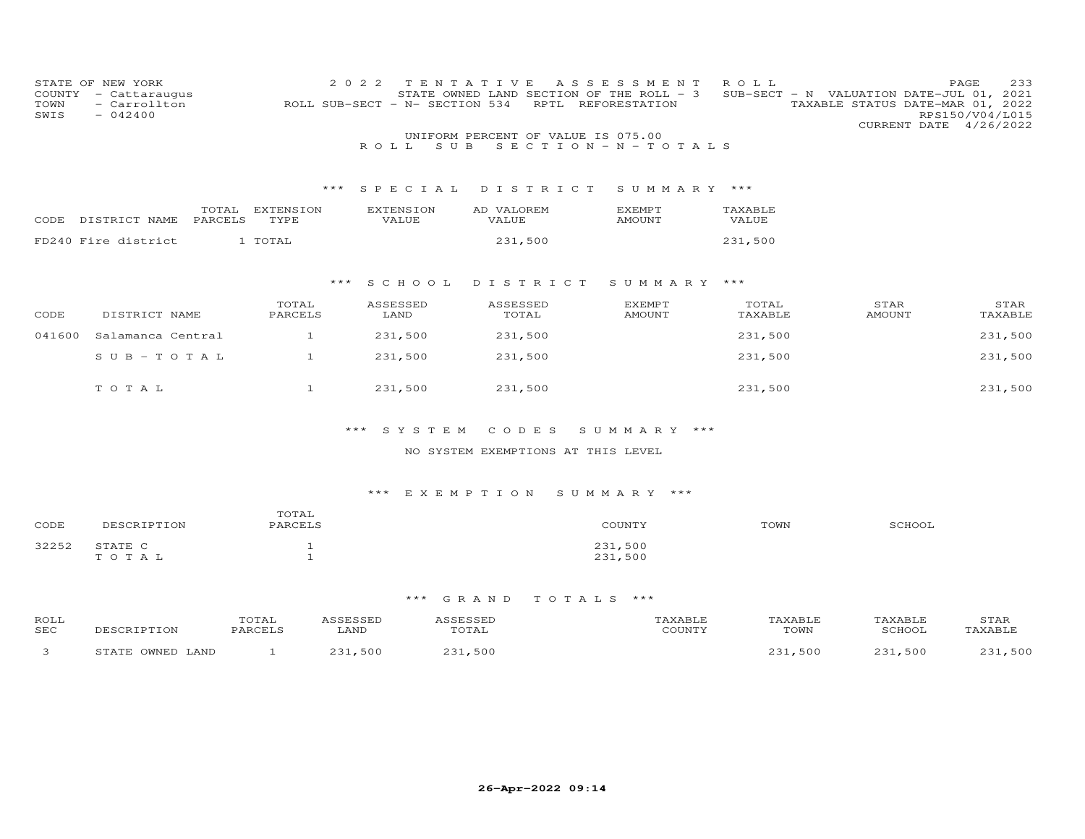| STATE OF NEW YORK<br>- Cattaraugus<br>- Carrollton<br>$-042400$ |              | 2 0 2 2                                                                                  |            | REFORESTATION                                                                                                                                                          | ROLL                                                               |                                                                                                                                                   | 233<br>PAGE<br>RPS150/V04/L015<br>CURRENT DATE 4/26/2022                                                                 |
|-----------------------------------------------------------------|--------------|------------------------------------------------------------------------------------------|------------|------------------------------------------------------------------------------------------------------------------------------------------------------------------------|--------------------------------------------------------------------|---------------------------------------------------------------------------------------------------------------------------------------------------|--------------------------------------------------------------------------------------------------------------------------|
|                                                                 |              |                                                                                          |            |                                                                                                                                                                        |                                                                    |                                                                                                                                                   |                                                                                                                          |
|                                                                 |              | ROLL.                                                                                    | S U B      |                                                                                                                                                                        |                                                                    |                                                                                                                                                   |                                                                                                                          |
|                                                                 |              |                                                                                          |            |                                                                                                                                                                        |                                                                    |                                                                                                                                                   |                                                                                                                          |
|                                                                 |              |                                                                                          |            |                                                                                                                                                                        |                                                                    |                                                                                                                                                   |                                                                                                                          |
|                                                                 | EXTENSION    |                                                                                          | AD VALOREM | <b>EXEMPT</b>                                                                                                                                                          | TAXABLE                                                            |                                                                                                                                                   |                                                                                                                          |
| CODE DISTRICT NAME                                              | TYPE         | <b>VALUE</b>                                                                             | VALUE      | <b>AMOUNT</b>                                                                                                                                                          | <b>VALUE</b>                                                       |                                                                                                                                                   |                                                                                                                          |
| FD240 Fire district                                             | 1 TOTAL      |                                                                                          | 231,500    |                                                                                                                                                                        | 231,500                                                            |                                                                                                                                                   |                                                                                                                          |
|                                                                 |              |                                                                                          |            |                                                                                                                                                                        |                                                                    |                                                                                                                                                   |                                                                                                                          |
|                                                                 |              |                                                                                          |            |                                                                                                                                                                        |                                                                    |                                                                                                                                                   |                                                                                                                          |
|                                                                 |              | ***                                                                                      |            |                                                                                                                                                                        |                                                                    |                                                                                                                                                   |                                                                                                                          |
|                                                                 | TOTAL        |                                                                                          | ASSESSED   | EXEMPT                                                                                                                                                                 | TOTAL                                                              | STAR                                                                                                                                              | STAR                                                                                                                     |
| DISTRICT NAME                                                   | PARCELS      | LAND                                                                                     | TOTAL      | AMOUNT                                                                                                                                                                 |                                                                    | <b>AMOUNT</b>                                                                                                                                     | TAXABLE                                                                                                                  |
|                                                                 | $\mathbf{1}$ |                                                                                          | 231,500    |                                                                                                                                                                        |                                                                    |                                                                                                                                                   | 231,500                                                                                                                  |
|                                                                 |              |                                                                                          |            |                                                                                                                                                                        |                                                                    |                                                                                                                                                   | 231,500                                                                                                                  |
|                                                                 |              |                                                                                          |            |                                                                                                                                                                        |                                                                    |                                                                                                                                                   |                                                                                                                          |
|                                                                 |              |                                                                                          |            |                                                                                                                                                                        |                                                                    |                                                                                                                                                   | 231,500                                                                                                                  |
|                                                                 |              |                                                                                          |            |                                                                                                                                                                        |                                                                    |                                                                                                                                                   |                                                                                                                          |
|                                                                 |              |                                                                                          |            |                                                                                                                                                                        |                                                                    |                                                                                                                                                   |                                                                                                                          |
|                                                                 |              | ***                                                                                      | CODES      |                                                                                                                                                                        |                                                                    |                                                                                                                                                   |                                                                                                                          |
|                                                                 | TOTAL        | TOTAL<br>PARCELS<br>Salamanca Central<br>$SUB - TO T AL$<br>$\mathbf{1}$<br>$\mathbf{1}$ | $***$      | TENTATIVE<br>ROLL SUB-SECT - N- SECTION 534<br>SPECIAL<br><b>EXTENSION</b><br>S C H O O L<br>ASSESSED<br>231,500<br>231,500<br>231,500<br>231,500<br>231,500<br>SYSTEM | RPTL<br>UNIFORM PERCENT OF VALUE IS 075.00<br>DISTRICT<br>DISTRICT | A S S E S S M E N T<br>STATE OWNED LAND SECTION OF THE ROLL - 3<br>$S E C T I O N - N - T O T A L S$<br>SUMMARY ***<br>SUMMARY ***<br>SUMMARY *** | SUB-SECT - N VALUATION DATE-JUL 01, 2021<br>TAXABLE STATUS DATE-MAR 01, 2022<br>TAXABLE<br>231,500<br>231,500<br>231,500 |

# NO SYSTEM EXEMPTIONS AT THIS LEVEL

# \*\*\* E X E M P T I O N S U M M A R Y \*\*\*

| CODE  | DESCRIPTION      | TOTAL<br>PARCELS | COUNTY             | TOWN | SCHOOL |
|-------|------------------|------------------|--------------------|------|--------|
| 32252 | STATE C<br>TOTAL |                  | 231,500<br>231,500 |      |        |

| ROLL<br><b>SEC</b> | <b>TON</b>                   | $\sim$ m $\sim$ $\sim$<br>OTAL:<br>PARCELS | LAND                  | TOTAL | CCT1 | TOWN | COUOOT | STAR |
|--------------------|------------------------------|--------------------------------------------|-----------------------|-------|------|------|--------|------|
|                    | $\bigcap \text{MME}$<br>∟AND |                                            | $\sim$ $\sim$<br>50 C | 500   |      | 500  | 500    | 500  |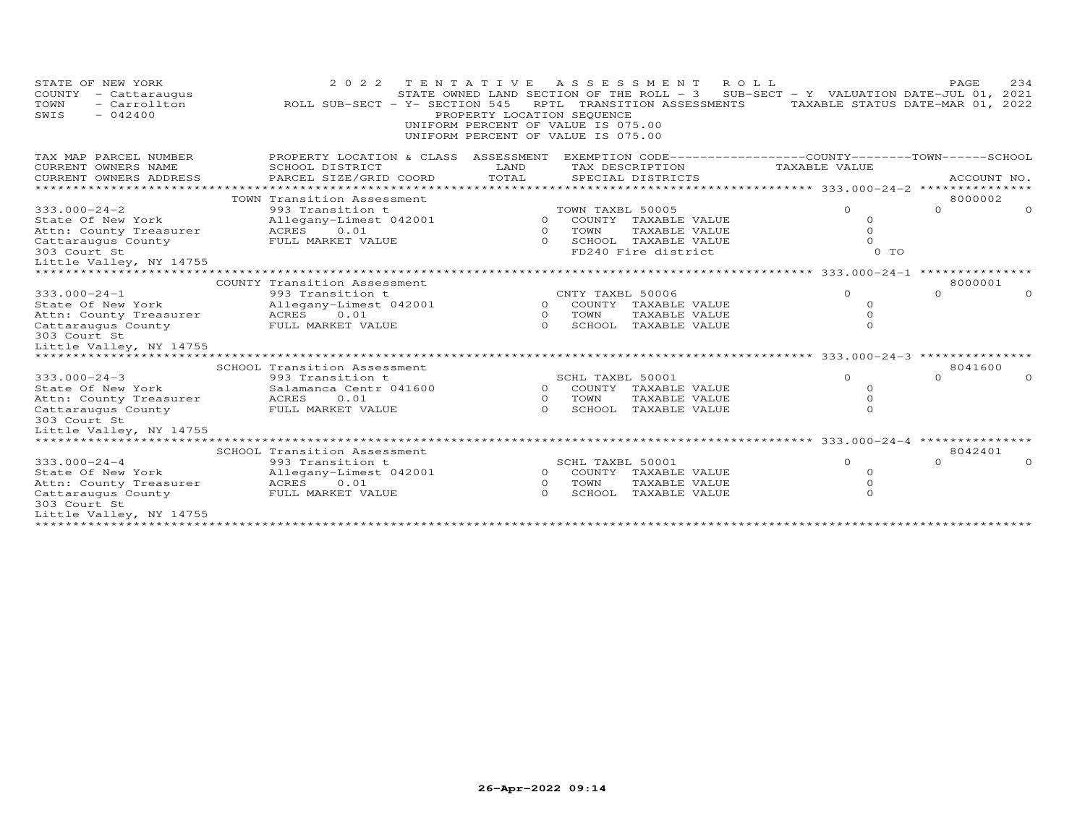| STATE OF NEW YORK<br>COUNTY<br>- Cattaraugus<br>- Carrollton<br>TOWN<br>$-042400$<br>SWIS | 2 0 2 2<br>ROLL SUB-SECT - Y- SECTION 545                                                         | TENTATIVE<br>PROPERTY LOCATION SEQUENCE<br>UNIFORM PERCENT OF VALUE IS 075.00<br>UNIFORM PERCENT OF VALUE IS 075.00 |                  | A S S E S S M E N T<br>R O L L<br>STATE OWNED LAND SECTION OF THE ROLL - 3<br>RPTL TRANSITION ASSESSMENTS | SUB-SECT - Y VALUATION DATE-JUL 01, 2021<br>TAXABLE STATUS DATE-MAR 01, 2022 | PAGE.    | 234         |
|-------------------------------------------------------------------------------------------|---------------------------------------------------------------------------------------------------|---------------------------------------------------------------------------------------------------------------------|------------------|-----------------------------------------------------------------------------------------------------------|------------------------------------------------------------------------------|----------|-------------|
| TAX MAP PARCEL NUMBER                                                                     | PROPERTY LOCATION & CLASS ASSESSMENT EXEMPTION CODE-----------------COUNTY-------TOWN------SCHOOL |                                                                                                                     |                  |                                                                                                           |                                                                              |          |             |
| CURRENT OWNERS NAME                                                                       | SCHOOL DISTRICT                                                                                   | LAND                                                                                                                |                  | TAX DESCRIPTION                                                                                           | TAXABLE VALUE                                                                |          |             |
| CURRENT OWNERS ADDRESS                                                                    | PARCEL SIZE/GRID COORD                                                                            | TOTAL                                                                                                               |                  | SPECIAL DISTRICTS                                                                                         |                                                                              |          | ACCOUNT NO. |
|                                                                                           |                                                                                                   |                                                                                                                     |                  |                                                                                                           |                                                                              |          |             |
|                                                                                           | TOWN Transition Assessment                                                                        |                                                                                                                     |                  |                                                                                                           |                                                                              | 8000002  |             |
| $333.000 - 24 - 2$                                                                        | 993 Transition t                                                                                  |                                                                                                                     | TOWN TAXBL 50005 |                                                                                                           | $\Omega$                                                                     | $\Omega$ |             |
| State Of New York                                                                         | Allegany-Limest 042001<br>ACRES<br>0.01                                                           | $\circ$                                                                                                             | TOWN             | 0 COUNTY TAXABLE VALUE<br>TAXABLE VALUE                                                                   | $\circ$<br>$\circ$                                                           |          |             |
| Attn: County Treasurer<br>Cattaraugus County                                              | FULL MARKET VALUE                                                                                 | $\Omega$                                                                                                            |                  | SCHOOL TAXABLE VALUE                                                                                      | $\Omega$                                                                     |          |             |
| 303 Court St                                                                              |                                                                                                   |                                                                                                                     |                  | FD240 Fire district                                                                                       | 0 TO                                                                         |          |             |
| Little Valley, NY 14755                                                                   |                                                                                                   |                                                                                                                     |                  |                                                                                                           |                                                                              |          |             |
| *********************                                                                     |                                                                                                   |                                                                                                                     |                  |                                                                                                           |                                                                              |          |             |
|                                                                                           | COUNTY Transition Assessment                                                                      |                                                                                                                     |                  |                                                                                                           |                                                                              | 8000001  |             |
| $333.000 - 24 - 1$                                                                        | 993 Transition t                                                                                  |                                                                                                                     | CNTY TAXBL 50006 |                                                                                                           | $\Omega$                                                                     | $\Omega$ |             |
| State Of New York                                                                         | Allegany-Limest 042001                                                                            |                                                                                                                     |                  | 0 COUNTY TAXABLE VALUE                                                                                    | $\circ$                                                                      |          |             |
| Attn: County Treasurer                                                                    | ACRES 0.01                                                                                        |                                                                                                                     | 0 TOWN           | TAXABLE VALUE                                                                                             | $\circ$                                                                      |          |             |
| Cattaraugus County<br>303 Court St                                                        | FULL MARKET VALUE                                                                                 | $\cap$                                                                                                              |                  | SCHOOL TAXABLE VALUE                                                                                      | $\Omega$                                                                     |          |             |
| Little Valley, NY 14755                                                                   |                                                                                                   |                                                                                                                     |                  |                                                                                                           |                                                                              |          |             |
| **********************                                                                    |                                                                                                   |                                                                                                                     |                  |                                                                                                           |                                                                              |          |             |
|                                                                                           | SCHOOL Transition Assessment                                                                      |                                                                                                                     |                  |                                                                                                           |                                                                              | 8041600  |             |
| $333.000 - 24 - 3$                                                                        | 993 Transition t                                                                                  |                                                                                                                     | SCHL TAXBL 50001 |                                                                                                           | $\Omega$                                                                     | $\cap$   |             |
| State Of New York                                                                         | Salamanca Centr 041600                                                                            |                                                                                                                     |                  | 0 COUNTY TAXABLE VALUE                                                                                    | $\Omega$                                                                     |          |             |
| Attn: County Treasurer                                                                    | 0.01<br>ACRES<br>FULL MARKET VALUE                                                                | $\overline{O}$<br>$\cap$                                                                                            | TOWN             | TAXABLE VALUE<br>SCHOOL TAXABLE VALUE                                                                     |                                                                              |          |             |
| Cattaraugus County<br>303 Court St                                                        |                                                                                                   |                                                                                                                     |                  |                                                                                                           |                                                                              |          |             |
| Little Valley, NY 14755                                                                   |                                                                                                   |                                                                                                                     |                  |                                                                                                           |                                                                              |          |             |
| *********************                                                                     |                                                                                                   |                                                                                                                     |                  |                                                                                                           |                                                                              |          |             |
|                                                                                           | SCHOOL Transition Assessment                                                                      |                                                                                                                     |                  |                                                                                                           |                                                                              | 8042401  |             |
| $333.000 - 24 - 4$                                                                        | 993 Transition t                                                                                  |                                                                                                                     | SCHL TAXBL 50001 |                                                                                                           | $\Omega$                                                                     | $\Omega$ |             |
| State Of New York                                                                         | Allegany-Limest 042001                                                                            |                                                                                                                     |                  | 0 COUNTY TAXABLE VALUE                                                                                    | $\Omega$                                                                     |          |             |
| Attn: County Treasurer                                                                    | ACRES<br>0.01                                                                                     | $\Omega$                                                                                                            | TOWN             | TAXABLE VALUE                                                                                             | $\Omega$                                                                     |          |             |
| Cattaraugus County<br>303 Court St                                                        | FULL MARKET VALUE                                                                                 | $\Omega$                                                                                                            |                  | SCHOOL TAXABLE VALUE                                                                                      | $\Omega$                                                                     |          |             |
| Little Valley, NY 14755                                                                   |                                                                                                   |                                                                                                                     |                  |                                                                                                           |                                                                              |          |             |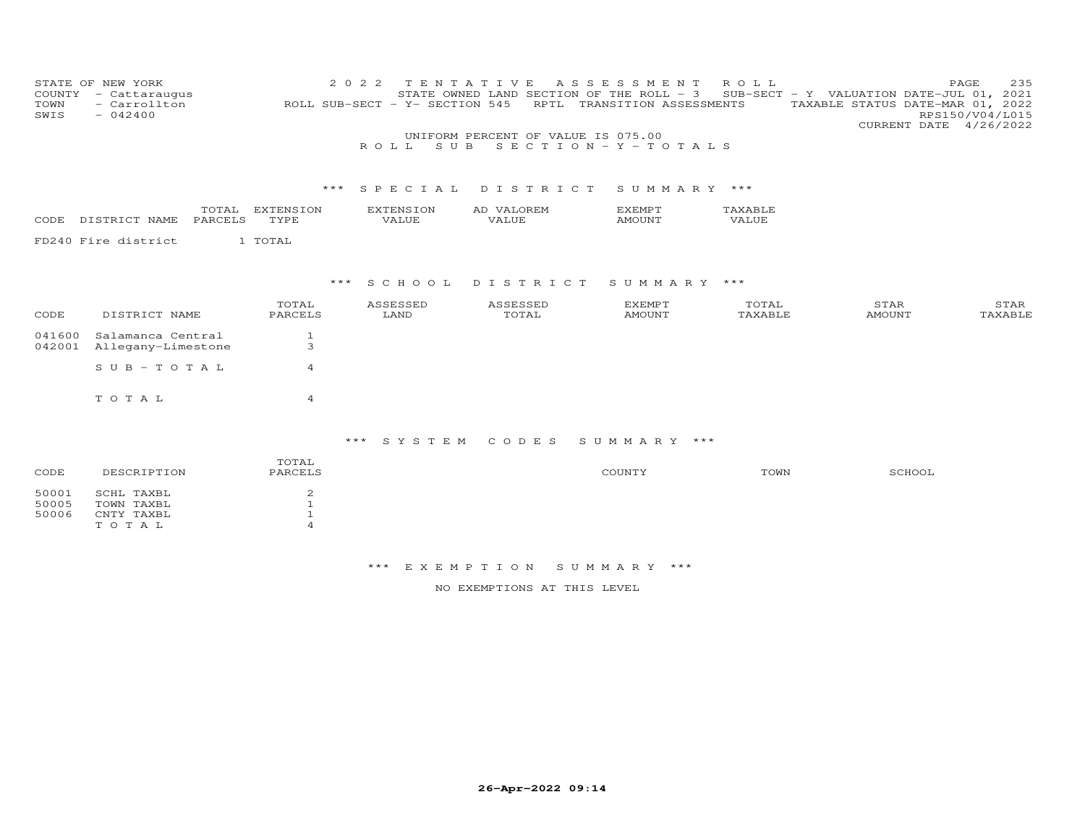| COUNTY<br>TOWN<br>SWIS  | STATE OF NEW YORK<br>- Cattaraugus<br>- Carrollton<br>$-042400$ |                                                                 | 2 0 2 2<br>ROLL SUB-SECT - Y- SECTION 545<br>ROLL.<br>S U B | TENTATIVE<br>STATE OWNED LAND SECTION OF THE ROLL - 3<br>UNIFORM PERCENT OF VALUE IS 075.00 | A S S E S S M E N T<br>RPTL TRANSITION ASSESSMENTS<br>SECTION - Y - TOTALS | R O L L          | SUB-SECT - Y VALUATION DATE-JUL 01, 2021<br>TAXABLE STATUS DATE-MAR 01, 2022<br>CURRENT DATE 4/26/2022 | PAGE<br>235<br>RPS150/V04/L015 |
|-------------------------|-----------------------------------------------------------------|-----------------------------------------------------------------|-------------------------------------------------------------|---------------------------------------------------------------------------------------------|----------------------------------------------------------------------------|------------------|--------------------------------------------------------------------------------------------------------|--------------------------------|
|                         |                                                                 | $***$                                                           | SPECIAL                                                     | DISTRICT                                                                                    | SUMMARY ***                                                                |                  |                                                                                                        |                                |
| CODE                    | TOTAL<br>DISTRICT NAME<br>PARCELS                               | EXTENSION<br>TYPE                                               | EXTENSION<br>VALUE                                          | AD VALOREM<br>VALUE                                                                         | <b>EXEMPT</b><br><b>AMOUNT</b>                                             | TAXABLE<br>VALUE |                                                                                                        |                                |
|                         | FD240 Fire district                                             | 1 TOTAL                                                         |                                                             |                                                                                             |                                                                            |                  |                                                                                                        |                                |
|                         |                                                                 | * * *                                                           | S C H O O L                                                 | DISTRICT                                                                                    | SUMMARY ***                                                                |                  |                                                                                                        |                                |
| CODE                    | DISTRICT NAME                                                   | TOTAL<br>PARCELS                                                | ASSESSED<br>LAND                                            | ASSESSED<br>TOTAL                                                                           | <b>EXEMPT</b><br><b>AMOUNT</b>                                             | TOTAL<br>TAXABLE | STAR<br><b>AMOUNT</b>                                                                                  | STAR<br>TAXABLE                |
| 041600<br>042001        | Salamanca Central<br>Allegany-Limestone                         | $\mathbf{1}$<br>3                                               |                                                             |                                                                                             |                                                                            |                  |                                                                                                        |                                |
|                         | $SUB - TO TAL$                                                  | $\overline{4}$                                                  |                                                             |                                                                                             |                                                                            |                  |                                                                                                        |                                |
|                         | TOTAL                                                           | $\overline{4}$                                                  |                                                             |                                                                                             |                                                                            |                  |                                                                                                        |                                |
|                         |                                                                 |                                                                 | *** SYSTEM                                                  | CODES                                                                                       | SUMMARY ***                                                                |                  |                                                                                                        |                                |
| CODE                    | DESCRIPTION                                                     | TOTAL<br>PARCELS                                                |                                                             |                                                                                             | COUNTY                                                                     | TOWN             | SCHOOL                                                                                                 |                                |
| 50001<br>50005<br>50006 | SCHL TAXBL<br>TOWN TAXBL<br>CNTY TAXBL<br>TOTAL                 | $\overline{c}$<br>$\mathbf 1$<br>$\mathbf{1}$<br>$\overline{a}$ |                                                             |                                                                                             |                                                                            |                  |                                                                                                        |                                |

\*\*\* E X E M P T I O N S U M M A R Y \*\*\*

NO EXEMPTIONS AT THIS LEVEL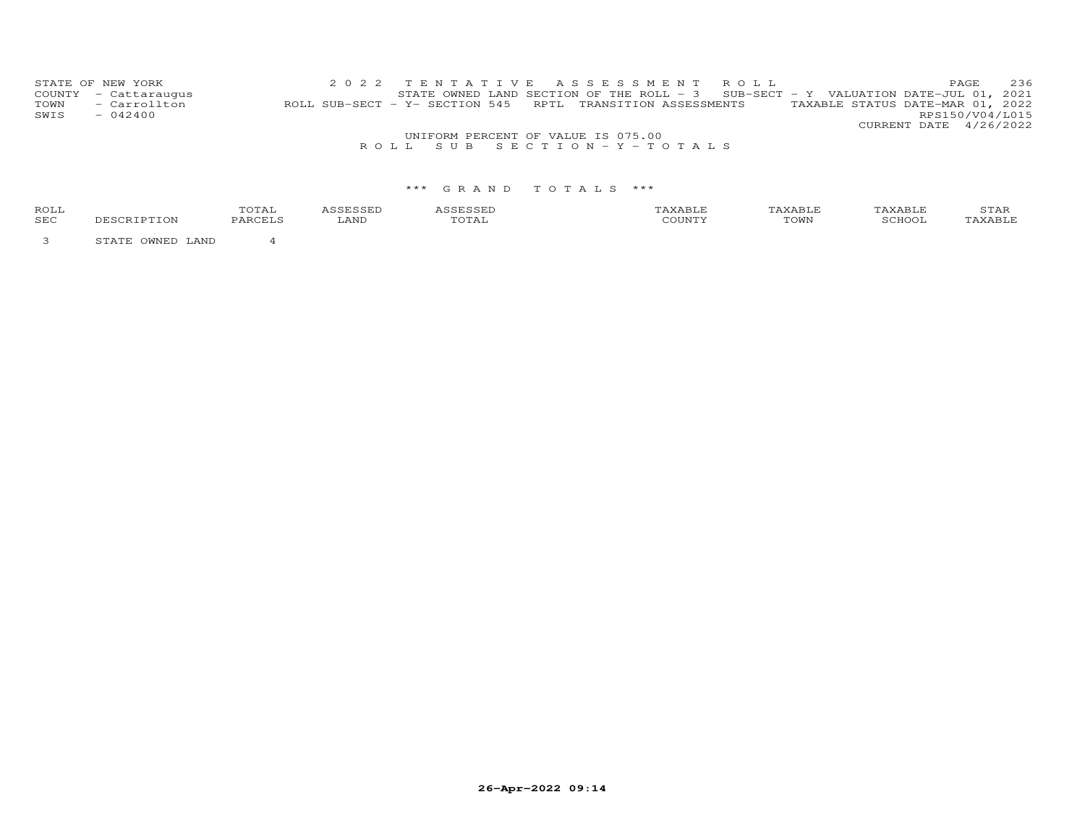|              | STATE OF NEW YORK<br>COUNTY - Cattaraugus |                                                            |  |  |                                    |  | 2022 TENTATIVE ASSESSMENT ROLL<br>STATE OWNED LAND SECTION OF THE ROLL - $3$ SUB-SECT - Y VALUATION DATE-JUL 01, 2021 |                                  |                        | PAGE.           | 236 |
|--------------|-------------------------------------------|------------------------------------------------------------|--|--|------------------------------------|--|-----------------------------------------------------------------------------------------------------------------------|----------------------------------|------------------------|-----------------|-----|
| TOWN<br>SWIS | - Carrollton<br>$-042400$                 | ROLL SUB-SECT - Y- SECTION 545 RPTL TRANSITION ASSESSMENTS |  |  |                                    |  |                                                                                                                       | TAXABLE STATUS DATE-MAR 01, 2022 |                        | RPS150/V04/L015 |     |
|              |                                           |                                                            |  |  |                                    |  |                                                                                                                       |                                  | CURRENT DATE 4/26/2022 |                 |     |
|              |                                           |                                                            |  |  | UNIFORM PERCENT OF VALUE IS 075.00 |  |                                                                                                                       |                                  |                        |                 |     |
|              |                                           |                                                            |  |  | ROLL SUB SECTION-Y-TOTALS          |  |                                                                                                                       |                                  |                        |                 |     |

| ROLI | $\Delta$ |      |            |          |      | <u>، ۲۰۰۱ ب</u> |
|------|----------|------|------------|----------|------|-----------------|
| SEC  | ∙∠д.     | LAND | $\sim$ $-$ | $-77777$ | TOWN |                 |

3 STATE OWNED LAND 4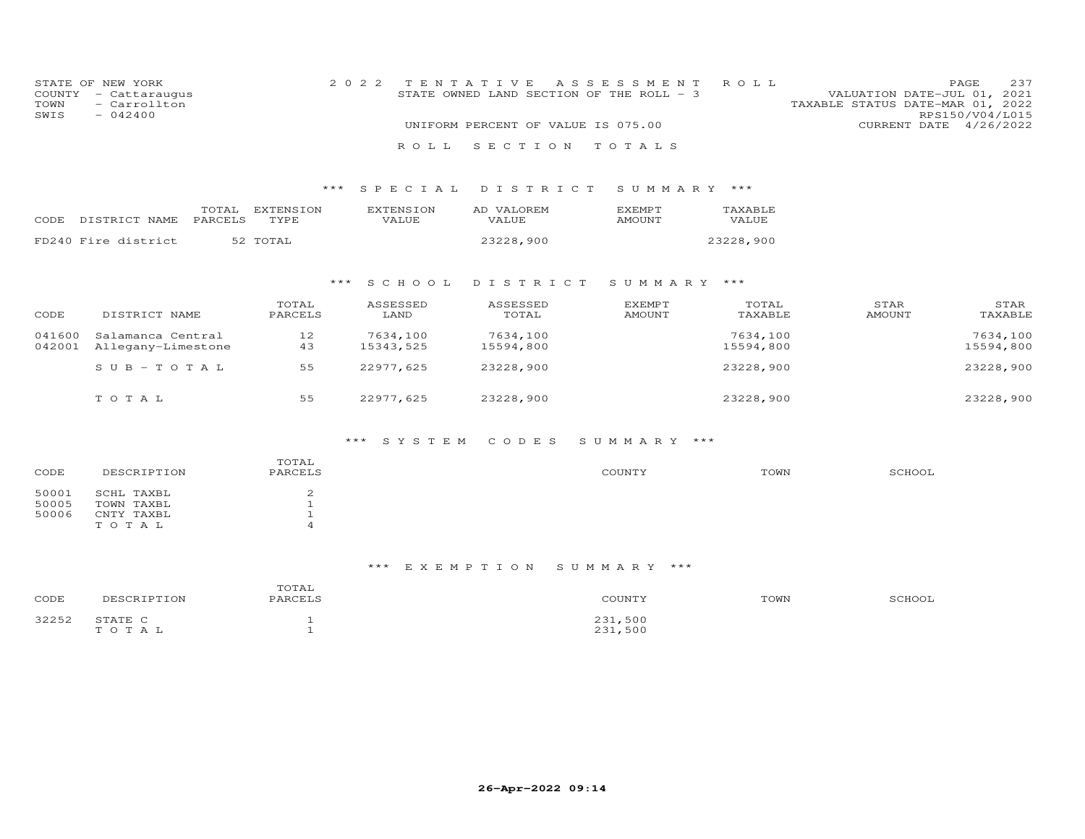| COUNTY<br>TOWN<br>SWIS  | STATE OF NEW YORK<br>- Cattaraugus<br>- Carrollton<br>$-042400$ |                                                                 | 2 0 2 2                          | TENTATIVE<br>STATE OWNED LAND SECTION OF THE ROLL - 3 | A S S E S S M E N T            | ROLL                  | VALUATION DATE-JUL 01, 2021<br>TAXABLE STATUS DATE-MAR 01, 2022 | 237<br>PAGE<br>RPS150/V04/L015 |
|-------------------------|-----------------------------------------------------------------|-----------------------------------------------------------------|----------------------------------|-------------------------------------------------------|--------------------------------|-----------------------|-----------------------------------------------------------------|--------------------------------|
|                         |                                                                 |                                                                 |                                  | UNIFORM PERCENT OF VALUE IS 075.00                    |                                |                       | CURRENT DATE 4/26/2022                                          |                                |
|                         |                                                                 |                                                                 | ROLL                             | SECTION                                               | TOTALS                         |                       |                                                                 |                                |
|                         |                                                                 | ***                                                             | SPECIAL                          | DISTRICT                                              | SUMMARY ***                    |                       |                                                                 |                                |
| CODE                    | TOTAL<br>PARCELS<br>DISTRICT NAME                               | <b>EXTENSION</b><br>TYPE                                        | <b>EXTENSION</b><br><b>VALUE</b> | AD VALOREM<br>VALUE                                   | <b>EXEMPT</b><br><b>AMOUNT</b> | TAXABLE<br>VALUE      |                                                                 |                                |
|                         | FD240 Fire district                                             | 52 TOTAL                                                        |                                  | 23228,900                                             |                                | 23228,900             |                                                                 |                                |
|                         |                                                                 | $***$                                                           | SCHOOL                           | DISTRICT                                              | SUMMARY ***                    |                       |                                                                 |                                |
| CODE                    | DISTRICT NAME                                                   | TOTAL<br>PARCELS                                                | ASSESSED<br>LAND                 | ASSESSED<br>TOTAL                                     | <b>EXEMPT</b><br><b>AMOUNT</b> | TOTAL<br>TAXABLE      | STAR<br><b>AMOUNT</b>                                           | STAR<br>TAXABLE                |
| 041600<br>042001        | Salamanca Central<br>Allegany-Limestone                         | 12<br>43                                                        | 7634,100<br>15343,525            | 7634,100<br>15594,800                                 |                                | 7634,100<br>15594,800 |                                                                 | 7634,100<br>15594,800          |
|                         | $S$ U B - T O T A L                                             | 55                                                              | 22977,625                        | 23228,900                                             |                                | 23228,900             |                                                                 | 23228,900                      |
|                         | TOTAL                                                           | 55                                                              | 22977,625                        | 23228,900                                             |                                | 23228,900             |                                                                 | 23228,900                      |
|                         |                                                                 |                                                                 | *** SYSTEM                       | CODES                                                 | SUMMARY ***                    |                       |                                                                 |                                |
| CODE                    | DESCRIPTION                                                     | TOTAL<br>PARCELS                                                |                                  |                                                       | COUNTY                         | TOWN                  | SCHOOL                                                          |                                |
| 50001<br>50005<br>50006 | SCHL TAXBL<br>TOWN TAXBL<br>CNTY TAXBL<br>TOTAL                 | $\overline{c}$<br>$\mathbf 1$<br>$\mathbf{1}$<br>$\overline{A}$ |                                  |                                                       |                                |                       |                                                                 |                                |

| CODE  | DESCRIPTION      | TOTAL<br>PARCELS | COUNTY             | TOWN | SCHOOL |
|-------|------------------|------------------|--------------------|------|--------|
| 32252 | STATE C<br>TOTAL |                  | 231,500<br>231,500 |      |        |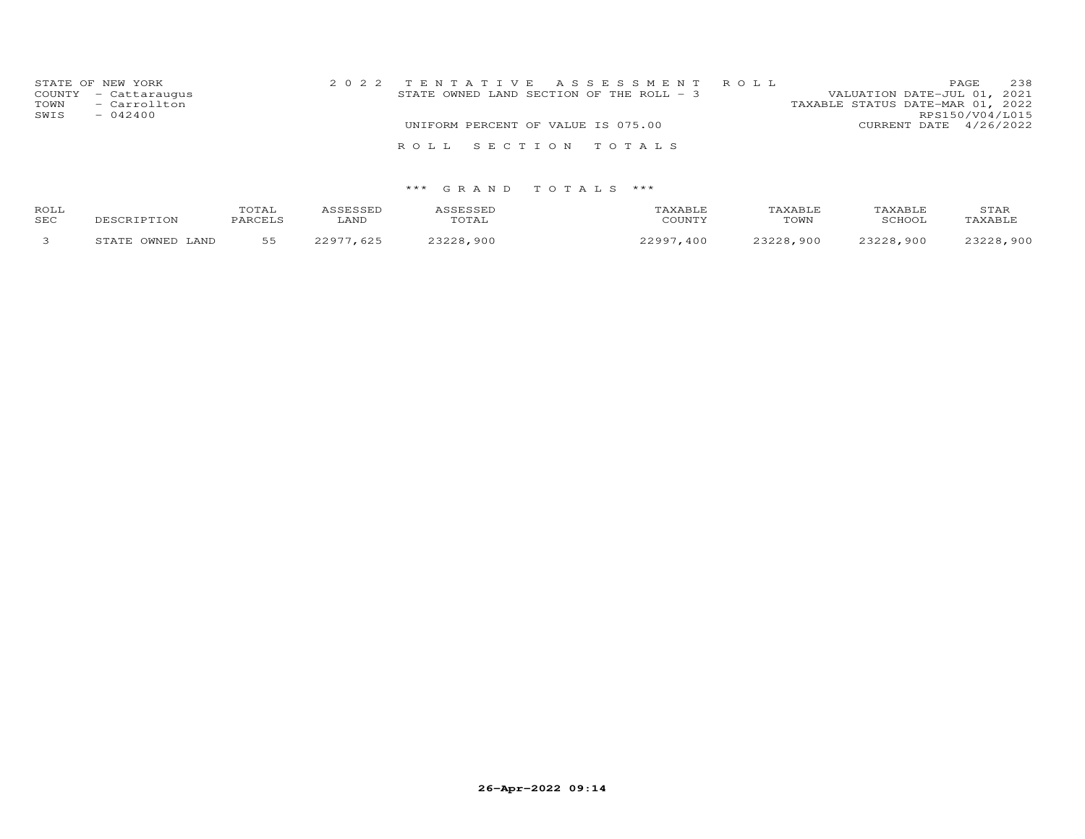| STATE OF NEW YORK<br>COUNTY - Cattaraugus<br>- Carrollton<br>TOWN<br>SWIS<br>$-042400$ | 2022 TENTATIVE ASSESSMENT ROLL<br>STATE OWNED LAND SECTION OF THE ROLL - 3 | 238<br>PAGE<br>VALUATION DATE-JUL 01, 2021<br>TAXABLE STATUS DATE-MAR 01, 2022<br>RPS150/V04/L015 |
|----------------------------------------------------------------------------------------|----------------------------------------------------------------------------|---------------------------------------------------------------------------------------------------|
|                                                                                        | UNIFORM PERCENT OF VALUE IS 075.00                                         | CURRENT DATE 4/26/2022                                                                            |
|                                                                                        | ROLL SECTION TOTALS                                                        |                                                                                                   |

| ROLL<br>SEC | DESCRIPTION               | <b>TOTA1</b><br>UIAL<br>PARCELS | 1 C C F C C F D<br>LAND | TOTAL         | TAXABLF<br>COUNTY | TAXABLE<br>TOWN | TAXABLE.<br><b>RCHOOL</b> | STAR<br>TAXABLE |
|-------------|---------------------------|---------------------------------|-------------------------|---------------|-------------------|-----------------|---------------------------|-----------------|
|             | OWNED.<br>LAND<br>חים מיד | 55                              | 625                     | いつつつの<br>.900 | ר ממר<br>,400     | 22220<br>.900   | 23228,900                 | 23228,900       |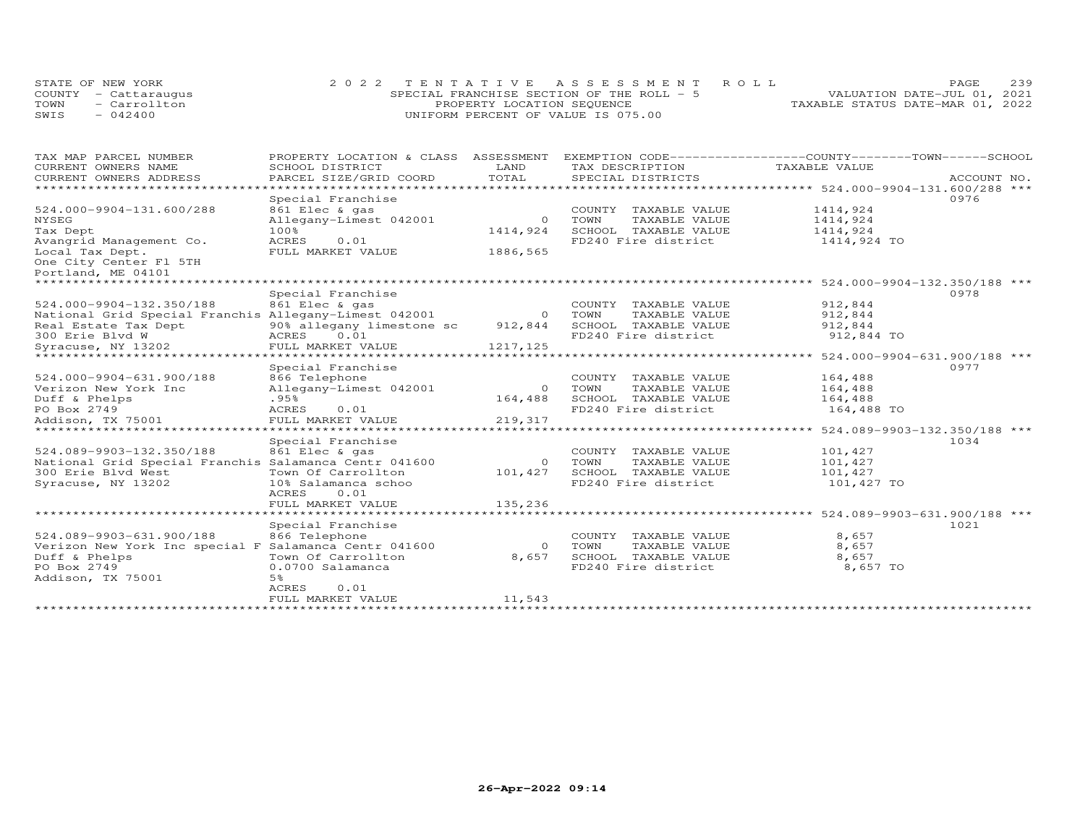|      | STATE OF NEW YORK    | 2022 TENTATIVE ASSESSMENT ROLL            | 239<br>PAGE                      |
|------|----------------------|-------------------------------------------|----------------------------------|
|      | COUNTY - Cattaraugus | SPECIAL FRANCHISE SECTION OF THE ROLL - 5 | VALUATION DATE-JUL 01, 2021      |
| TOWN | - Carrollton         | PROPERTY LOCATION SEQUENCE                | TAXABLE STATUS DATE-MAR 01, 2022 |
| SWIS | $-042400$            | UNIFORM PERCENT OF VALUE IS 075.00        |                                  |

| TAXABLE VALUE<br>SCHOOL DISTRICT<br>LAND<br>TAX DESCRIPTION<br>TOTAL<br>PARCEL SIZE/GRID COORD<br>SPECIAL DISTRICTS<br>ACCOUNT NO.<br>Special Franchise<br>0976<br>861 Elec & gas<br>COUNTY TAXABLE VALUE<br>1414,924<br>Allegany-Limest 042001<br>TOWN<br>TAXABLE VALUE<br>1414,924<br>$\Omega$<br>1414,924<br>100%<br>SCHOOL TAXABLE VALUE<br>1414,924<br>FD240 Fire district<br>1414,924 TO<br>ACRES<br>0.01<br>1886,565<br>FULL MARKET VALUE<br>*********************<br>Special Franchise<br>0978<br>861 Elec & gas<br>912,844<br>COUNTY TAXABLE VALUE<br>National Grid Special Franchis Allegany-Limest 042001<br>912,844<br>TOWN<br>TAXABLE VALUE<br>$\Omega$<br>90% allegany limestone sc<br>912,844<br>SCHOOL TAXABLE VALUE<br>912,844<br>ACRES 0.01<br>FD240 Fire district<br>912,844 TO<br>FULL MARKET VALUE<br>1217,125<br>**********************<br>*********** 524.000-9904-631.900/188 ***<br>0977<br>Special Franchise<br>866 Telephone<br>164,488<br>COUNTY TAXABLE VALUE<br>Allegany-Limest 042001<br>164,488<br>TOWN<br>TAXABLE VALUE<br>$\Omega$<br>.95%<br>164,488<br>SCHOOL TAXABLE VALUE<br>164,488<br>PO Box 2749<br>FD240 Fire district<br>164,488 TO<br>ACRES<br>0.01<br>219,317<br>Addison, TX 75001<br>FULL MARKET VALUE<br>*********** 524.089-9903-132.350/188 ***<br>Special Franchise<br>1034<br>524.089-9903-132.350/188<br>861 Elec & gas<br>COUNTY TAXABLE VALUE<br>101,427<br>National Grid Special Franchis Salamanca Centr 041600<br>TOWN<br>TAXABLE VALUE<br>101,427<br>$\circ$<br>101,427<br>SCHOOL TAXABLE VALUE<br>300 Erie Blvd West<br>Town Of Carrollton<br>101,427<br>FD240 Fire district<br>Syracuse, NY 13202<br>10% Salamanca schoo<br>101,427 TO<br>ACRES<br>0.01<br>FULL MARKET VALUE<br>135,236<br>*******************<br>******************* 524.089-9903-631.900/188 ***<br>1021<br>Special Franchise<br>524.089-9903-631.900/188<br>8,657<br>866 Telephone<br>COUNTY TAXABLE VALUE<br>Verizon New York Inc special F Salamanca Centr 041600<br>TOWN<br>8,657<br>$\Omega$<br>TAXABLE VALUE<br>8,657<br>SCHOOL TAXABLE VALUE<br>8,657<br>Duff & Phelps<br>Town Of Carrollton<br>PO Box 2749<br>0.0700 Salamanca<br>FD240 Fire district<br>8,657 TO<br>5%<br>Addison, TX 75001<br>ACRES<br>0.01<br>11,543<br>FULL MARKET VALUE | TAX MAP PARCEL NUMBER          | PROPERTY LOCATION & CLASS | ASSESSMENT | EXEMPTION CODE------------------COUNTY-------TOWN-----SCHOOL |  |
|------------------------------------------------------------------------------------------------------------------------------------------------------------------------------------------------------------------------------------------------------------------------------------------------------------------------------------------------------------------------------------------------------------------------------------------------------------------------------------------------------------------------------------------------------------------------------------------------------------------------------------------------------------------------------------------------------------------------------------------------------------------------------------------------------------------------------------------------------------------------------------------------------------------------------------------------------------------------------------------------------------------------------------------------------------------------------------------------------------------------------------------------------------------------------------------------------------------------------------------------------------------------------------------------------------------------------------------------------------------------------------------------------------------------------------------------------------------------------------------------------------------------------------------------------------------------------------------------------------------------------------------------------------------------------------------------------------------------------------------------------------------------------------------------------------------------------------------------------------------------------------------------------------------------------------------------------------------------------------------------------------------------------------------------------------------------------------------------------------------------------------------------------------------------------------------------------------------------------------------------------------------------------------|--------------------------------|---------------------------|------------|--------------------------------------------------------------|--|
|                                                                                                                                                                                                                                                                                                                                                                                                                                                                                                                                                                                                                                                                                                                                                                                                                                                                                                                                                                                                                                                                                                                                                                                                                                                                                                                                                                                                                                                                                                                                                                                                                                                                                                                                                                                                                                                                                                                                                                                                                                                                                                                                                                                                                                                                                    | CURRENT OWNERS NAME            |                           |            |                                                              |  |
|                                                                                                                                                                                                                                                                                                                                                                                                                                                                                                                                                                                                                                                                                                                                                                                                                                                                                                                                                                                                                                                                                                                                                                                                                                                                                                                                                                                                                                                                                                                                                                                                                                                                                                                                                                                                                                                                                                                                                                                                                                                                                                                                                                                                                                                                                    | CURRENT OWNERS ADDRESS         |                           |            |                                                              |  |
|                                                                                                                                                                                                                                                                                                                                                                                                                                                                                                                                                                                                                                                                                                                                                                                                                                                                                                                                                                                                                                                                                                                                                                                                                                                                                                                                                                                                                                                                                                                                                                                                                                                                                                                                                                                                                                                                                                                                                                                                                                                                                                                                                                                                                                                                                    |                                |                           |            |                                                              |  |
|                                                                                                                                                                                                                                                                                                                                                                                                                                                                                                                                                                                                                                                                                                                                                                                                                                                                                                                                                                                                                                                                                                                                                                                                                                                                                                                                                                                                                                                                                                                                                                                                                                                                                                                                                                                                                                                                                                                                                                                                                                                                                                                                                                                                                                                                                    |                                |                           |            |                                                              |  |
|                                                                                                                                                                                                                                                                                                                                                                                                                                                                                                                                                                                                                                                                                                                                                                                                                                                                                                                                                                                                                                                                                                                                                                                                                                                                                                                                                                                                                                                                                                                                                                                                                                                                                                                                                                                                                                                                                                                                                                                                                                                                                                                                                                                                                                                                                    | 524.000-9904-131.600/288       |                           |            |                                                              |  |
|                                                                                                                                                                                                                                                                                                                                                                                                                                                                                                                                                                                                                                                                                                                                                                                                                                                                                                                                                                                                                                                                                                                                                                                                                                                                                                                                                                                                                                                                                                                                                                                                                                                                                                                                                                                                                                                                                                                                                                                                                                                                                                                                                                                                                                                                                    | NYSEG                          |                           |            |                                                              |  |
|                                                                                                                                                                                                                                                                                                                                                                                                                                                                                                                                                                                                                                                                                                                                                                                                                                                                                                                                                                                                                                                                                                                                                                                                                                                                                                                                                                                                                                                                                                                                                                                                                                                                                                                                                                                                                                                                                                                                                                                                                                                                                                                                                                                                                                                                                    | Tax Dept                       |                           |            |                                                              |  |
|                                                                                                                                                                                                                                                                                                                                                                                                                                                                                                                                                                                                                                                                                                                                                                                                                                                                                                                                                                                                                                                                                                                                                                                                                                                                                                                                                                                                                                                                                                                                                                                                                                                                                                                                                                                                                                                                                                                                                                                                                                                                                                                                                                                                                                                                                    | Avangrid Management Co.        |                           |            |                                                              |  |
|                                                                                                                                                                                                                                                                                                                                                                                                                                                                                                                                                                                                                                                                                                                                                                                                                                                                                                                                                                                                                                                                                                                                                                                                                                                                                                                                                                                                                                                                                                                                                                                                                                                                                                                                                                                                                                                                                                                                                                                                                                                                                                                                                                                                                                                                                    | Local Tax Dept.                |                           |            |                                                              |  |
|                                                                                                                                                                                                                                                                                                                                                                                                                                                                                                                                                                                                                                                                                                                                                                                                                                                                                                                                                                                                                                                                                                                                                                                                                                                                                                                                                                                                                                                                                                                                                                                                                                                                                                                                                                                                                                                                                                                                                                                                                                                                                                                                                                                                                                                                                    | One City Center Fl 5TH         |                           |            |                                                              |  |
|                                                                                                                                                                                                                                                                                                                                                                                                                                                                                                                                                                                                                                                                                                                                                                                                                                                                                                                                                                                                                                                                                                                                                                                                                                                                                                                                                                                                                                                                                                                                                                                                                                                                                                                                                                                                                                                                                                                                                                                                                                                                                                                                                                                                                                                                                    | Portland, ME 04101             |                           |            |                                                              |  |
|                                                                                                                                                                                                                                                                                                                                                                                                                                                                                                                                                                                                                                                                                                                                                                                                                                                                                                                                                                                                                                                                                                                                                                                                                                                                                                                                                                                                                                                                                                                                                                                                                                                                                                                                                                                                                                                                                                                                                                                                                                                                                                                                                                                                                                                                                    |                                |                           |            |                                                              |  |
|                                                                                                                                                                                                                                                                                                                                                                                                                                                                                                                                                                                                                                                                                                                                                                                                                                                                                                                                                                                                                                                                                                                                                                                                                                                                                                                                                                                                                                                                                                                                                                                                                                                                                                                                                                                                                                                                                                                                                                                                                                                                                                                                                                                                                                                                                    |                                |                           |            |                                                              |  |
|                                                                                                                                                                                                                                                                                                                                                                                                                                                                                                                                                                                                                                                                                                                                                                                                                                                                                                                                                                                                                                                                                                                                                                                                                                                                                                                                                                                                                                                                                                                                                                                                                                                                                                                                                                                                                                                                                                                                                                                                                                                                                                                                                                                                                                                                                    | 524.000-9904-132.350/188       |                           |            |                                                              |  |
|                                                                                                                                                                                                                                                                                                                                                                                                                                                                                                                                                                                                                                                                                                                                                                                                                                                                                                                                                                                                                                                                                                                                                                                                                                                                                                                                                                                                                                                                                                                                                                                                                                                                                                                                                                                                                                                                                                                                                                                                                                                                                                                                                                                                                                                                                    |                                |                           |            |                                                              |  |
|                                                                                                                                                                                                                                                                                                                                                                                                                                                                                                                                                                                                                                                                                                                                                                                                                                                                                                                                                                                                                                                                                                                                                                                                                                                                                                                                                                                                                                                                                                                                                                                                                                                                                                                                                                                                                                                                                                                                                                                                                                                                                                                                                                                                                                                                                    | Real Estate Tax Dept           |                           |            |                                                              |  |
|                                                                                                                                                                                                                                                                                                                                                                                                                                                                                                                                                                                                                                                                                                                                                                                                                                                                                                                                                                                                                                                                                                                                                                                                                                                                                                                                                                                                                                                                                                                                                                                                                                                                                                                                                                                                                                                                                                                                                                                                                                                                                                                                                                                                                                                                                    | 300 Erie Blvd W                |                           |            |                                                              |  |
|                                                                                                                                                                                                                                                                                                                                                                                                                                                                                                                                                                                                                                                                                                                                                                                                                                                                                                                                                                                                                                                                                                                                                                                                                                                                                                                                                                                                                                                                                                                                                                                                                                                                                                                                                                                                                                                                                                                                                                                                                                                                                                                                                                                                                                                                                    | Syracuse, NY 13202             |                           |            |                                                              |  |
|                                                                                                                                                                                                                                                                                                                                                                                                                                                                                                                                                                                                                                                                                                                                                                                                                                                                                                                                                                                                                                                                                                                                                                                                                                                                                                                                                                                                                                                                                                                                                                                                                                                                                                                                                                                                                                                                                                                                                                                                                                                                                                                                                                                                                                                                                    | ****************************** |                           |            |                                                              |  |
|                                                                                                                                                                                                                                                                                                                                                                                                                                                                                                                                                                                                                                                                                                                                                                                                                                                                                                                                                                                                                                                                                                                                                                                                                                                                                                                                                                                                                                                                                                                                                                                                                                                                                                                                                                                                                                                                                                                                                                                                                                                                                                                                                                                                                                                                                    |                                |                           |            |                                                              |  |
|                                                                                                                                                                                                                                                                                                                                                                                                                                                                                                                                                                                                                                                                                                                                                                                                                                                                                                                                                                                                                                                                                                                                                                                                                                                                                                                                                                                                                                                                                                                                                                                                                                                                                                                                                                                                                                                                                                                                                                                                                                                                                                                                                                                                                                                                                    | 524.000-9904-631.900/188       |                           |            |                                                              |  |
|                                                                                                                                                                                                                                                                                                                                                                                                                                                                                                                                                                                                                                                                                                                                                                                                                                                                                                                                                                                                                                                                                                                                                                                                                                                                                                                                                                                                                                                                                                                                                                                                                                                                                                                                                                                                                                                                                                                                                                                                                                                                                                                                                                                                                                                                                    | Verizon New York Inc           |                           |            |                                                              |  |
|                                                                                                                                                                                                                                                                                                                                                                                                                                                                                                                                                                                                                                                                                                                                                                                                                                                                                                                                                                                                                                                                                                                                                                                                                                                                                                                                                                                                                                                                                                                                                                                                                                                                                                                                                                                                                                                                                                                                                                                                                                                                                                                                                                                                                                                                                    | Duff & Phelps                  |                           |            |                                                              |  |
|                                                                                                                                                                                                                                                                                                                                                                                                                                                                                                                                                                                                                                                                                                                                                                                                                                                                                                                                                                                                                                                                                                                                                                                                                                                                                                                                                                                                                                                                                                                                                                                                                                                                                                                                                                                                                                                                                                                                                                                                                                                                                                                                                                                                                                                                                    |                                |                           |            |                                                              |  |
|                                                                                                                                                                                                                                                                                                                                                                                                                                                                                                                                                                                                                                                                                                                                                                                                                                                                                                                                                                                                                                                                                                                                                                                                                                                                                                                                                                                                                                                                                                                                                                                                                                                                                                                                                                                                                                                                                                                                                                                                                                                                                                                                                                                                                                                                                    |                                |                           |            |                                                              |  |
|                                                                                                                                                                                                                                                                                                                                                                                                                                                                                                                                                                                                                                                                                                                                                                                                                                                                                                                                                                                                                                                                                                                                                                                                                                                                                                                                                                                                                                                                                                                                                                                                                                                                                                                                                                                                                                                                                                                                                                                                                                                                                                                                                                                                                                                                                    |                                |                           |            |                                                              |  |
|                                                                                                                                                                                                                                                                                                                                                                                                                                                                                                                                                                                                                                                                                                                                                                                                                                                                                                                                                                                                                                                                                                                                                                                                                                                                                                                                                                                                                                                                                                                                                                                                                                                                                                                                                                                                                                                                                                                                                                                                                                                                                                                                                                                                                                                                                    |                                |                           |            |                                                              |  |
|                                                                                                                                                                                                                                                                                                                                                                                                                                                                                                                                                                                                                                                                                                                                                                                                                                                                                                                                                                                                                                                                                                                                                                                                                                                                                                                                                                                                                                                                                                                                                                                                                                                                                                                                                                                                                                                                                                                                                                                                                                                                                                                                                                                                                                                                                    |                                |                           |            |                                                              |  |
|                                                                                                                                                                                                                                                                                                                                                                                                                                                                                                                                                                                                                                                                                                                                                                                                                                                                                                                                                                                                                                                                                                                                                                                                                                                                                                                                                                                                                                                                                                                                                                                                                                                                                                                                                                                                                                                                                                                                                                                                                                                                                                                                                                                                                                                                                    |                                |                           |            |                                                              |  |
|                                                                                                                                                                                                                                                                                                                                                                                                                                                                                                                                                                                                                                                                                                                                                                                                                                                                                                                                                                                                                                                                                                                                                                                                                                                                                                                                                                                                                                                                                                                                                                                                                                                                                                                                                                                                                                                                                                                                                                                                                                                                                                                                                                                                                                                                                    |                                |                           |            |                                                              |  |
|                                                                                                                                                                                                                                                                                                                                                                                                                                                                                                                                                                                                                                                                                                                                                                                                                                                                                                                                                                                                                                                                                                                                                                                                                                                                                                                                                                                                                                                                                                                                                                                                                                                                                                                                                                                                                                                                                                                                                                                                                                                                                                                                                                                                                                                                                    |                                |                           |            |                                                              |  |
|                                                                                                                                                                                                                                                                                                                                                                                                                                                                                                                                                                                                                                                                                                                                                                                                                                                                                                                                                                                                                                                                                                                                                                                                                                                                                                                                                                                                                                                                                                                                                                                                                                                                                                                                                                                                                                                                                                                                                                                                                                                                                                                                                                                                                                                                                    |                                |                           |            |                                                              |  |
|                                                                                                                                                                                                                                                                                                                                                                                                                                                                                                                                                                                                                                                                                                                                                                                                                                                                                                                                                                                                                                                                                                                                                                                                                                                                                                                                                                                                                                                                                                                                                                                                                                                                                                                                                                                                                                                                                                                                                                                                                                                                                                                                                                                                                                                                                    |                                |                           |            |                                                              |  |
|                                                                                                                                                                                                                                                                                                                                                                                                                                                                                                                                                                                                                                                                                                                                                                                                                                                                                                                                                                                                                                                                                                                                                                                                                                                                                                                                                                                                                                                                                                                                                                                                                                                                                                                                                                                                                                                                                                                                                                                                                                                                                                                                                                                                                                                                                    |                                |                           |            |                                                              |  |
|                                                                                                                                                                                                                                                                                                                                                                                                                                                                                                                                                                                                                                                                                                                                                                                                                                                                                                                                                                                                                                                                                                                                                                                                                                                                                                                                                                                                                                                                                                                                                                                                                                                                                                                                                                                                                                                                                                                                                                                                                                                                                                                                                                                                                                                                                    |                                |                           |            |                                                              |  |
|                                                                                                                                                                                                                                                                                                                                                                                                                                                                                                                                                                                                                                                                                                                                                                                                                                                                                                                                                                                                                                                                                                                                                                                                                                                                                                                                                                                                                                                                                                                                                                                                                                                                                                                                                                                                                                                                                                                                                                                                                                                                                                                                                                                                                                                                                    |                                |                           |            |                                                              |  |
|                                                                                                                                                                                                                                                                                                                                                                                                                                                                                                                                                                                                                                                                                                                                                                                                                                                                                                                                                                                                                                                                                                                                                                                                                                                                                                                                                                                                                                                                                                                                                                                                                                                                                                                                                                                                                                                                                                                                                                                                                                                                                                                                                                                                                                                                                    |                                |                           |            |                                                              |  |
|                                                                                                                                                                                                                                                                                                                                                                                                                                                                                                                                                                                                                                                                                                                                                                                                                                                                                                                                                                                                                                                                                                                                                                                                                                                                                                                                                                                                                                                                                                                                                                                                                                                                                                                                                                                                                                                                                                                                                                                                                                                                                                                                                                                                                                                                                    |                                |                           |            |                                                              |  |
|                                                                                                                                                                                                                                                                                                                                                                                                                                                                                                                                                                                                                                                                                                                                                                                                                                                                                                                                                                                                                                                                                                                                                                                                                                                                                                                                                                                                                                                                                                                                                                                                                                                                                                                                                                                                                                                                                                                                                                                                                                                                                                                                                                                                                                                                                    |                                |                           |            |                                                              |  |
|                                                                                                                                                                                                                                                                                                                                                                                                                                                                                                                                                                                                                                                                                                                                                                                                                                                                                                                                                                                                                                                                                                                                                                                                                                                                                                                                                                                                                                                                                                                                                                                                                                                                                                                                                                                                                                                                                                                                                                                                                                                                                                                                                                                                                                                                                    |                                |                           |            |                                                              |  |
|                                                                                                                                                                                                                                                                                                                                                                                                                                                                                                                                                                                                                                                                                                                                                                                                                                                                                                                                                                                                                                                                                                                                                                                                                                                                                                                                                                                                                                                                                                                                                                                                                                                                                                                                                                                                                                                                                                                                                                                                                                                                                                                                                                                                                                                                                    |                                |                           |            |                                                              |  |
|                                                                                                                                                                                                                                                                                                                                                                                                                                                                                                                                                                                                                                                                                                                                                                                                                                                                                                                                                                                                                                                                                                                                                                                                                                                                                                                                                                                                                                                                                                                                                                                                                                                                                                                                                                                                                                                                                                                                                                                                                                                                                                                                                                                                                                                                                    |                                |                           |            |                                                              |  |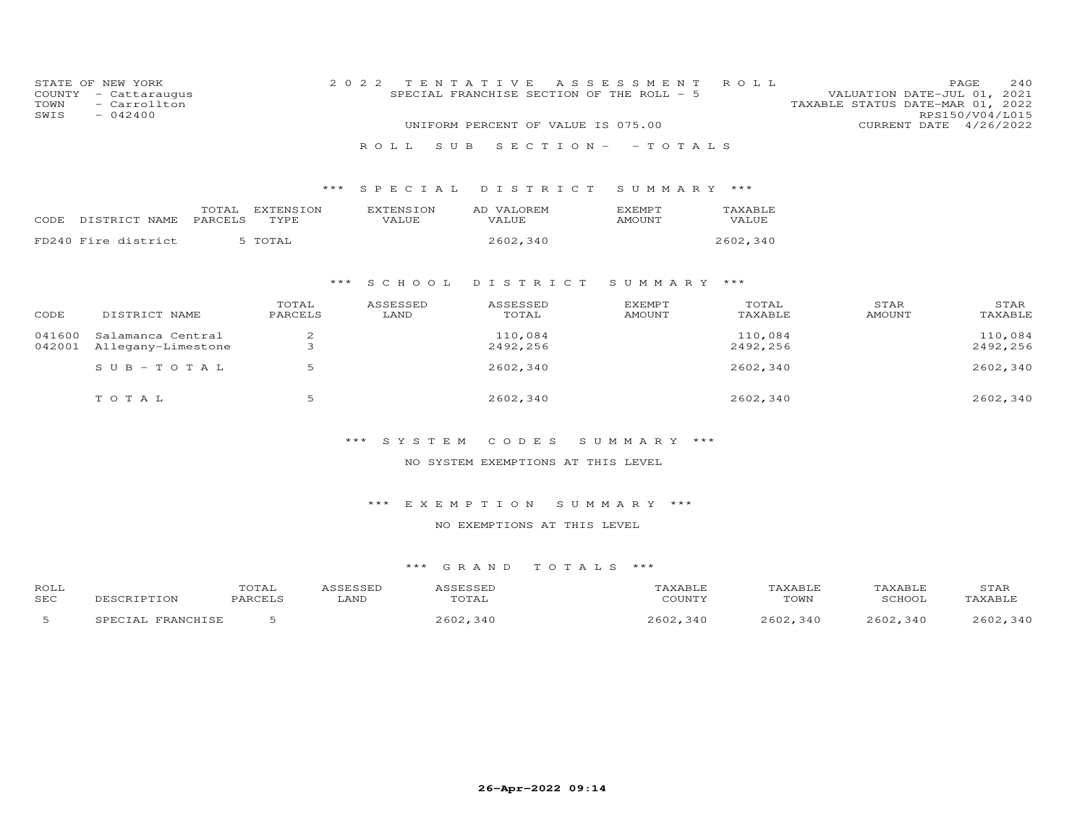| COUNTY<br>TOWN<br>SWIS | STATE OF NEW YORK<br>- Cattaraugus<br>- Carrollton<br>$-042400$ |                  |                     | 2 0 2 2                   | TENTATIVE<br>SPECIAL FRANCHISE SECTION OF THE ROLL - 5<br>UNIFORM PERCENT OF VALUE IS 075.00 | A S S E S S M E N T             | ROLL                | VALUATION DATE-JUL 01, 2021<br>TAXABLE STATUS DATE-MAR 01, 2022 | 240<br>PAGE<br>RPS150/V04/L015<br>CURRENT DATE 4/26/2022 |
|------------------------|-----------------------------------------------------------------|------------------|---------------------|---------------------------|----------------------------------------------------------------------------------------------|---------------------------------|---------------------|-----------------------------------------------------------------|----------------------------------------------------------|
|                        |                                                                 |                  |                     | ROLL                      | S U B                                                                                        | $S E C T I O N - - T O T A L S$ |                     |                                                                 |                                                          |
|                        |                                                                 |                  |                     |                           |                                                                                              |                                 |                     |                                                                 |                                                          |
|                        |                                                                 |                  |                     | ***<br>SPECIAL            | DISTRICT                                                                                     | SUMMARY ***                     |                     |                                                                 |                                                          |
| CODE                   | DISTRICT NAME                                                   | TOTAL<br>PARCELS | EXTENSION<br>TYPE   | <b>EXTENSION</b><br>VALUE | AD VALOREM<br>VALUE                                                                          | EXEMPT<br>AMOUNT                | TAXABLE<br>VALUE    |                                                                 |                                                          |
|                        | FD240 Fire district                                             |                  | 5 TOTAL             |                           | 2602,340                                                                                     |                                 | 2602,340            |                                                                 |                                                          |
|                        |                                                                 |                  |                     |                           |                                                                                              |                                 |                     |                                                                 |                                                          |
|                        |                                                                 |                  |                     | * * *<br>S C H O O L      | DISTRICT                                                                                     | SUMMARY ***                     |                     |                                                                 |                                                          |
| CODE                   | DISTRICT NAME                                                   |                  | TOTAL<br>PARCELS    | ASSESSED<br>LAND          | ASSESSED<br>TOTAL                                                                            | EXEMPT<br>AMOUNT                | TOTAL<br>TAXABLE    | STAR<br>AMOUNT                                                  | STAR<br>TAXABLE                                          |
| 041600<br>042001       | Salamanca Central<br>Allegany-Limestone                         |                  | $\overline{c}$<br>3 |                           | 110,084<br>2492,256                                                                          |                                 | 110,084<br>2492,256 |                                                                 | 110,084<br>2492,256                                      |
|                        | $S \cup B - TO T A L$                                           |                  | 5                   |                           | 2602,340                                                                                     |                                 | 2602,340            |                                                                 | 2602,340                                                 |
|                        | TOTAL                                                           |                  | 5                   |                           | 2602,340                                                                                     |                                 | 2602,340            |                                                                 | 2602,340                                                 |
|                        |                                                                 |                  |                     | *** SYSTEM                | CODES                                                                                        | SUMMARY ***                     |                     |                                                                 |                                                          |

NO SYSTEM EXEMPTIONS AT THIS LEVEL

\*\*\* E X E M P T I O N S U M M A R Y \*\*\*

NO EXEMPTIONS AT THIS LEVEL

| <b>ROLI</b> | $- - -$<br>OTAL: |                                           |              |                                           |       |       | ) TUL |
|-------------|------------------|-------------------------------------------|--------------|-------------------------------------------|-------|-------|-------|
| <b>SEC</b>  |                  | $\mathcal{L}$ $\mathcal{L}$ $\mathcal{L}$ |              | $\sim$ $\sim$ $\sim$ $\sim$ $\sim$ $\sim$ | TOWN  |       |       |
|             |                  |                                           | $\mathbf{u}$ | 3 A I<br>$\sim$ $\sim$                    | ۰ ۸ ۲ | : 4 C |       |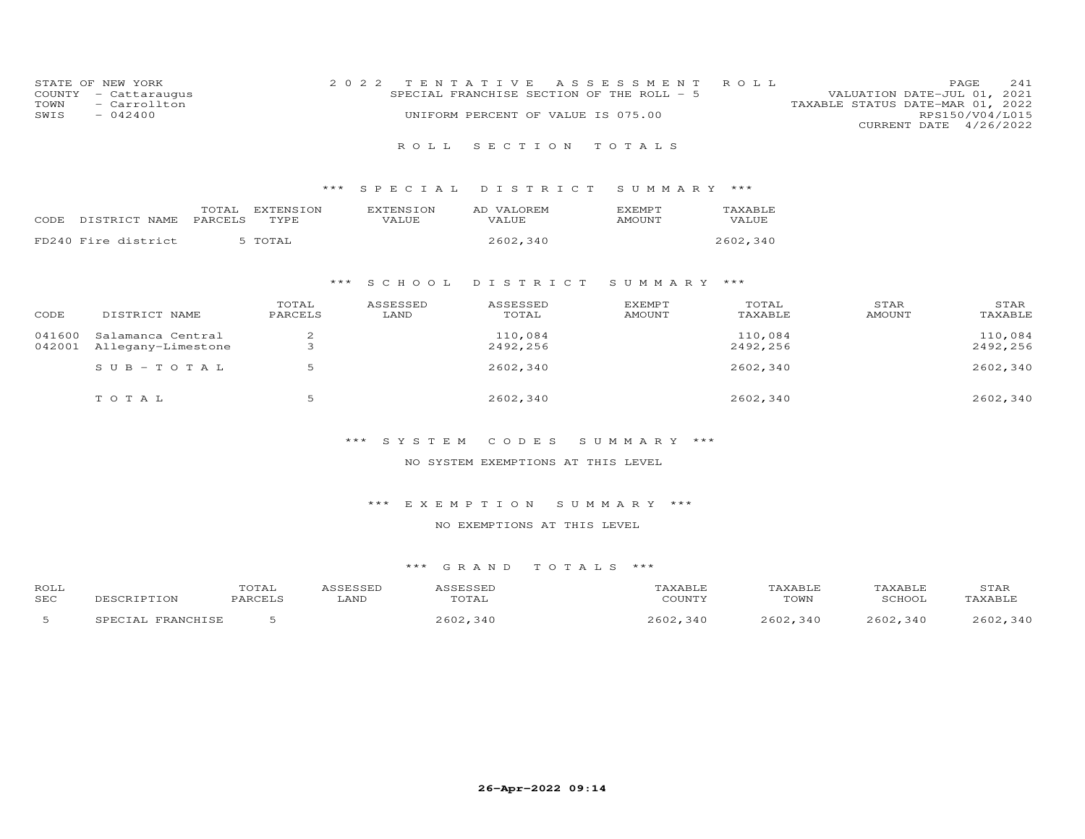| STATE OF NEW YORK                            | 2022 TENTATIVE ASSESSMENT ROLL<br>SPECIAL FRANCHISE SECTION OF THE ROLL $-5$ | 241<br>PAGE.                                                    |
|----------------------------------------------|------------------------------------------------------------------------------|-----------------------------------------------------------------|
| COUNTY - Cattaraugus<br>- Carrollton<br>TOWN |                                                                              | VALUATION DATE-JUL 01, 2021<br>TAXABLE STATUS DATE-MAR 01, 2022 |
| $-042400$<br>SWIS                            | UNIFORM PERCENT OF VALUE IS 075.00                                           | RPS150/V04/L015                                                 |
|                                              |                                                                              | CURRENT DATE 4/26/2022                                          |

# R O L L S E C T I O N T O T A L S

# \*\*\* S P E C I A L D I S T R I C T S U M M A R Y \*\*\*

|       |                     | TOTAL   | EXTENSION | <b>EXTENSION</b> | AD VALOREM | <b>F.XFMPT</b> | TAXABLE  |
|-------|---------------------|---------|-----------|------------------|------------|----------------|----------|
| CODE. | DISTRICT NAME       | PARCELS | TYPE.     | <b>VALUE</b>     | VALUE.     | AMOUNT         | VALUE.   |
|       | FD240 Fire district |         | 5 TOTAL   |                  | 2602,340   |                | 2602,340 |

#### \*\*\* S C H O O L D I S T R I C T S U M M A R Y \*\*\*

|        |                    | TOTAL   | ASSESSED | ASSESSED | <b>EXEMPT</b> | TOTAL    | STAR          | STAR     |
|--------|--------------------|---------|----------|----------|---------------|----------|---------------|----------|
| CODE   | DISTRICT NAME      | PARCELS | LAND     | TOTAL    | <b>AMOUNT</b> | TAXABLE  | <b>AMOUNT</b> | TAXABLE  |
| 041600 | Salamanca Central  |         |          | 110,084  |               | 110,084  |               | 110,084  |
| 042001 | Allegany-Limestone | ت       |          | 2492,256 |               | 2492,256 |               | 2492,256 |
|        | $SUB - TO T AL$    |         |          | 2602,340 |               | 2602,340 |               | 2602,340 |
|        | TOTAL              |         |          | 2602,340 |               | 2602,340 |               | 2602,340 |

# \*\*\* S Y S T E M C O D E S S U M M A R Y \*\*\*

### NO SYSTEM EXEMPTIONS AT THIS LEVEL

#### \*\*\* E X E M P T I O N S U M M A R Y \*\*\*

#### NO EXEMPTIONS AT THIS LEVEL

| ROLL       |             | TOTAL    |      |               | ∖XABLE  | 'AXABLF     |             | STAR        |
|------------|-------------|----------|------|---------------|---------|-------------|-------------|-------------|
| <b>SEC</b> |             | $\Omega$ | LAND | $\perp$ A     | CCTNTT1 | TOWN        | SCHOOT      | AXABLE      |
|            | ED ANOUT CE |          |      | 2600<br>. 340 | , 340   | ,340<br>つよの | つよへつ<br>340 | つよのつ<br>310 |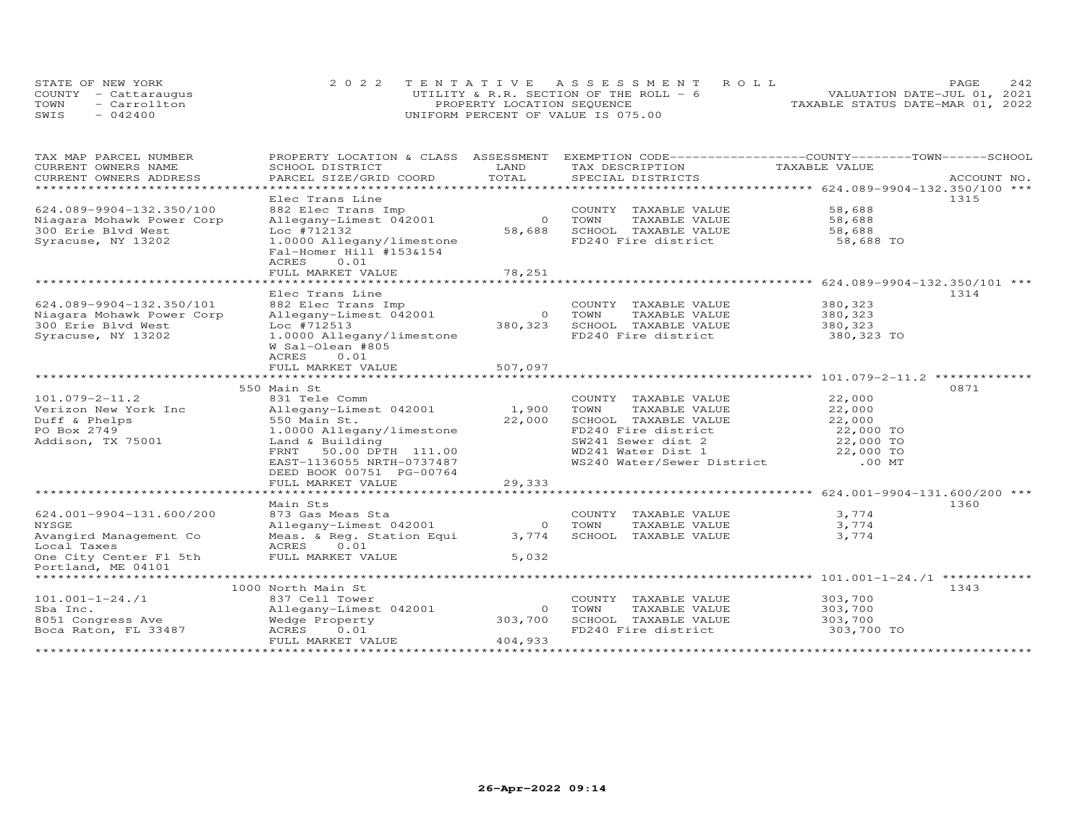| STATE OF NEW YORK |                      | 2022 TENTATIVE ASSESSMENT ROLL          | 2.42<br>PAGE.                    |
|-------------------|----------------------|-----------------------------------------|----------------------------------|
|                   | COUNTY - Cattaraugus | UTILITY & R.R. SECTION OF THE ROLL $-6$ | VALUATION DATE-JUL 01, 2021      |
| TOWN              | - Carrollton         | PROPERTY LOCATION SEQUENCE              | TAXABLE STATUS DATE-MAR 01, 2022 |
| SWIS              | $-042400$            | UNIFORM PERCENT OF VALUE IS 075.00      |                                  |

| TAX MAP PARCEL NUMBER                               | PROPERTY LOCATION & CLASS ASSESSMENT                 | LAND                   | EXEMPTION CODE------------------COUNTY-------TOWN-----SCHOOL |                                                      |             |
|-----------------------------------------------------|------------------------------------------------------|------------------------|--------------------------------------------------------------|------------------------------------------------------|-------------|
| CURRENT OWNERS NAME                                 | SCHOOL DISTRICT                                      | TOTAL                  | TAX DESCRIPTION                                              | TAXABLE VALUE                                        |             |
| CURRENT OWNERS ADDRESS<br>************************* | PARCEL SIZE/GRID COORD                               |                        | SPECIAL DISTRICTS                                            |                                                      | ACCOUNT NO. |
|                                                     | Elec Trans Line                                      |                        |                                                              |                                                      | 1315        |
| 624.089-9904-132.350/100                            | 882 Elec Trans Imp                                   |                        | COUNTY TAXABLE VALUE                                         | 58,688                                               |             |
|                                                     |                                                      | $\Omega$               |                                                              |                                                      |             |
| Niagara Mohawk Power Corp<br>300 Erie Blvd West     | Allegany-Limest 042001<br>Loc #712132                | 58,688                 | TOWN<br>TAXABLE VALUE<br>SCHOOL TAXABLE VALUE                | 58,688<br>58,688                                     |             |
|                                                     |                                                      |                        | FD240 Fire district                                          | 58,688 TO                                            |             |
| Syracuse, NY 13202                                  | 1.0000 Allegany/limestone<br>Fal-Homer Hill #153&154 |                        |                                                              |                                                      |             |
|                                                     | 0.01<br>ACRES                                        |                        |                                                              |                                                      |             |
|                                                     | FULL MARKET VALUE                                    | 78,251                 |                                                              |                                                      |             |
|                                                     | **************************                           | ********************** |                                                              | *********************** 624.089-9904-132.350/101 *** |             |
|                                                     | Elec Trans Line                                      |                        |                                                              |                                                      | 1314        |
| 624.089-9904-132.350/101                            | 882 Elec Trans Imp                                   |                        | COUNTY TAXABLE VALUE                                         | 380, 323                                             |             |
| Niagara Mohawk Power Corp                           | Allegany-Limest 042001                               | $\Omega$               | TOWN<br>TAXABLE VALUE                                        | 380, 323                                             |             |
| 300 Erie Blvd West                                  | Loc #712513                                          | 380, 323               | SCHOOL TAXABLE VALUE                                         | 380,323                                              |             |
| Syracuse, NY 13202                                  | 1.0000 Allegany/limestone                            |                        | FD240 Fire district                                          | 380,323 TO                                           |             |
|                                                     | W Sal-Olean #805                                     |                        |                                                              |                                                      |             |
|                                                     | ACRES<br>0.01                                        |                        |                                                              |                                                      |             |
|                                                     | FULL MARKET VALUE                                    | 507,097                |                                                              |                                                      |             |
|                                                     |                                                      |                        |                                                              |                                                      |             |
|                                                     | 550 Main St                                          |                        |                                                              |                                                      | 0871        |
| $101.079 - 2 - 11.2$                                | 831 Tele Comm                                        |                        | COUNTY TAXABLE VALUE                                         | 22,000                                               |             |
| Verizon New York Inc                                | Allegany-Limest 042001                               | 1,900                  | TOWN<br>TAXABLE VALUE                                        | 22,000                                               |             |
| Duff & Phelps                                       | 550 Main St.                                         | 22,000                 | SCHOOL TAXABLE VALUE                                         | 22,000                                               |             |
| PO Box 2749                                         | 1.0000 Allegany/limestone                            |                        | FD240 Fire district                                          | 22,000 TO                                            |             |
| Addison, TX 75001                                   | Land & Building                                      |                        | SW241 Sewer dist 2                                           | 22,000 TO                                            |             |
|                                                     | FRNT<br>50.00 DPTH 111.00                            |                        | WD241 Water Dist 1                                           | 22,000 TO                                            |             |
|                                                     | EAST-1136055 NRTH-0737487                            |                        | WS240 Water/Sewer District                                   | $.00$ MT                                             |             |
|                                                     | DEED BOOK 00751 PG-00764                             |                        |                                                              |                                                      |             |
|                                                     | FULL MARKET VALUE                                    | 29,333                 |                                                              |                                                      |             |
|                                                     | ************************                             | ************           |                                                              | *********************** 624.001-9904-131.600/200 *** |             |
|                                                     | Main Sts                                             |                        |                                                              |                                                      | 1360        |
| 624.001-9904-131.600/200                            | 873 Gas Meas Sta                                     |                        | COUNTY<br>TAXABLE VALUE                                      | 3,774                                                |             |
| NYSGE                                               | Allegany-Limest 042001                               | $\circ$                | TOWN<br>TAXABLE VALUE                                        | 3,774                                                |             |
| Avangird Management Co                              | Meas. & Req. Station Equi                            | 3,774                  | SCHOOL TAXABLE VALUE                                         | 3,774                                                |             |
| Local Taxes                                         | ACRES<br>0.01                                        |                        |                                                              |                                                      |             |
| One City Center Fl 5th                              | FULL MARKET VALUE                                    | 5,032                  |                                                              |                                                      |             |
| Portland, ME 04101                                  |                                                      |                        |                                                              |                                                      |             |
| ************************                            |                                                      |                        |                                                              |                                                      |             |
|                                                     | 1000 North Main St                                   |                        |                                                              |                                                      | 1343        |
| $101.001 - 1 - 24.71$                               | 837 Cell Tower                                       |                        | COUNTY TAXABLE VALUE                                         | 303,700                                              |             |
| Sba Inc.                                            | Allegany-Limest 042001                               | $\Omega$               | TOWN<br>TAXABLE VALUE                                        | 303,700                                              |             |
| 8051 Congress Ave                                   | Wedge Property                                       | 303,700                | SCHOOL TAXABLE VALUE                                         | 303,700                                              |             |
| Boca Raton, FL 33487                                | ACRES<br>0.01                                        |                        | FD240 Fire district                                          | 303,700 TO                                           |             |
|                                                     | FULL MARKET VALUE                                    | 404,933                |                                                              |                                                      |             |
|                                                     |                                                      |                        |                                                              |                                                      |             |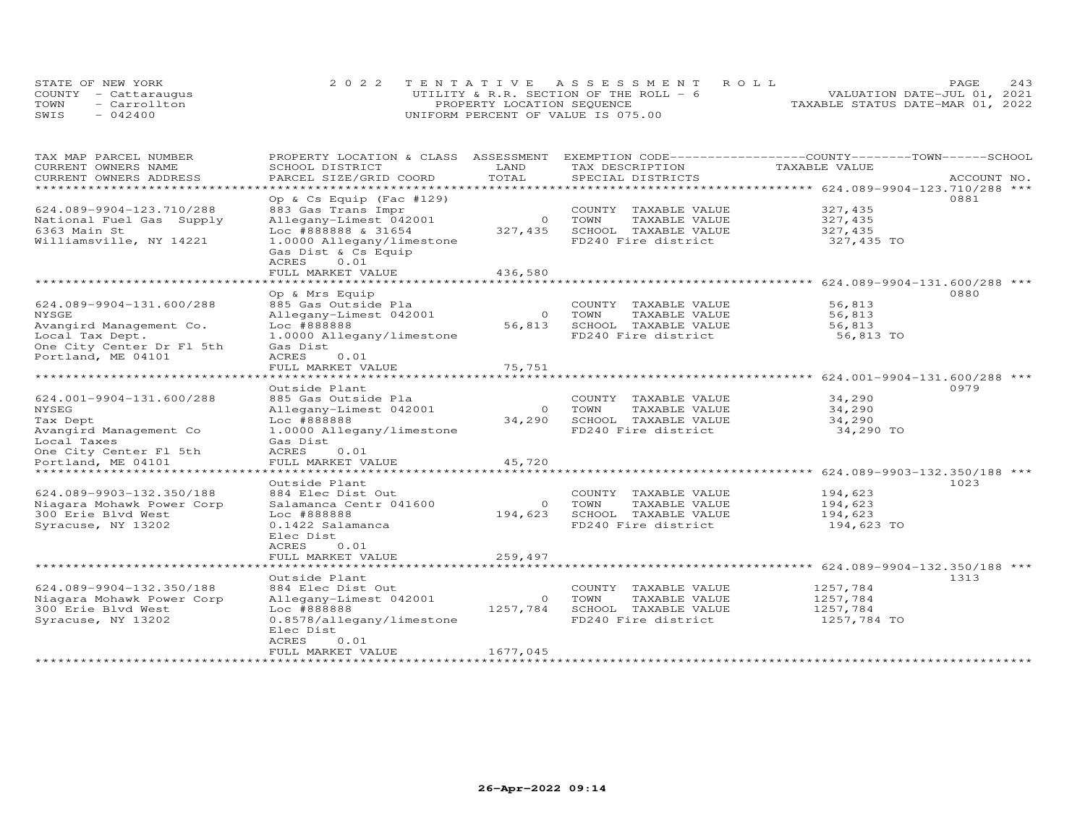|      | STATE OF NEW YORK    | 2022 TENTATIVE ASSESSMENT ROLL           | 2.43<br><b>PAGE</b>              |
|------|----------------------|------------------------------------------|----------------------------------|
|      | COUNTY - Cattaraugus | UTILITY & R.R. SECTION OF THE ROLL - $6$ | VALUATION DATE-JUL 01, 2021      |
| TOWN | - Carrollton         | PROPERTY LOCATION SEQUENCE               | TAXABLE STATUS DATE-MAR 01, 2022 |
| SWIS | $-042400$            | UNIFORM PERCENT OF VALUE IS 075.00       |                                  |

| TAX MAP PARCEL NUMBER     | PROPERTY LOCATION & CLASS ASSESSMENT EXEMPTION CODE----------------COUNTY-------TOWN------SCHOOL |                |                                       |                                                        |             |  |
|---------------------------|--------------------------------------------------------------------------------------------------|----------------|---------------------------------------|--------------------------------------------------------|-------------|--|
| CURRENT OWNERS NAME       | SCHOOL DISTRICT                                                                                  | LAND           | TAX DESCRIPTION                       | TAXABLE VALUE                                          |             |  |
| CURRENT OWNERS ADDRESS    | PARCEL SIZE/GRID COORD                                                                           | TOTAL          | SPECIAL DISTRICTS                     |                                                        | ACCOUNT NO. |  |
| **********************    | *******************                                                                              |                |                                       |                                                        |             |  |
|                           | Op & Cs Equip (Fac #129)                                                                         |                |                                       |                                                        | 0881        |  |
| 624.089-9904-123.710/288  | 883 Gas Trans Impr                                                                               |                | COUNTY TAXABLE VALUE                  | 327,435                                                |             |  |
| National Fuel Gas Supply  | Allegany-Limest 042001                                                                           |                | 0 TOWN<br>TAXABLE VALUE               | 327,435                                                |             |  |
| 6363 Main St              | Loc #888888 & 31654                                                                              | 327,435        | SCHOOL TAXABLE VALUE                  | 327,435                                                |             |  |
| Williamsville, NY 14221   | 1.0000 Allegany/limestone                                                                        |                | FD240 Fire district                   | 327,435 TO                                             |             |  |
|                           | Gas Dist & Cs Equip                                                                              |                |                                       |                                                        |             |  |
|                           | ACRES<br>0.01                                                                                    |                |                                       |                                                        |             |  |
|                           | FULL MARKET VALUE                                                                                | 436,580        |                                       |                                                        |             |  |
|                           | *******************                                                                              | ***********    |                                       | ************************* 624.089-9904-131.600/288 *** |             |  |
|                           | Op & Mrs Equip                                                                                   |                |                                       |                                                        | 0880        |  |
| 624.089-9904-131.600/288  | 885 Gas Outside Pla                                                                              |                | COUNTY TAXABLE VALUE                  | 56,813                                                 |             |  |
| NYSGE                     | Allegany-Limest 042001                                                                           | $\overline{0}$ | TOWN<br>TAXABLE VALUE                 | 56,813                                                 |             |  |
| Avangird Management Co.   | Loc #888888                                                                                      | 56,813         | SCHOOL TAXABLE VALUE                  | 56,813                                                 |             |  |
| Local Tax Dept.           | 1.0000 Allegany/limestone                                                                        |                | FD240 Fire district                   | 56,813 TO                                              |             |  |
| One City Center Dr Fl 5th | Gas Dist                                                                                         |                |                                       |                                                        |             |  |
| Portland, ME 04101        | ACRES<br>0.01                                                                                    |                |                                       |                                                        |             |  |
|                           | FULL MARKET VALUE                                                                                | 75,751         |                                       |                                                        |             |  |
|                           |                                                                                                  |                |                                       |                                                        |             |  |
|                           | Outside Plant                                                                                    |                |                                       |                                                        | 0979        |  |
| 624.001-9904-131.600/288  | 885 Gas Outside Pla                                                                              |                |                                       | 34,290                                                 |             |  |
| NYSEG                     | Allegany-Limest 042001                                                                           |                | COUNTY TAXABLE VALUE<br>0 TOWN        | 34,290                                                 |             |  |
|                           |                                                                                                  |                | TAXABLE VALUE<br>SCHOOL TAXABLE VALUE |                                                        |             |  |
| Tax Dept                  | Loc #888888                                                                                      | 34,290         |                                       | 34,290                                                 |             |  |
| Avangird Management Co    | 1.0000 Allegany/limestone                                                                        |                | FD240 Fire district                   | 34,290 TO                                              |             |  |
| Local Taxes               | Gas Dist                                                                                         |                |                                       |                                                        |             |  |
| One City Center Fl 5th    | ACRES<br>0.01                                                                                    |                |                                       |                                                        |             |  |
| Portland, ME 04101        | FULL MARKET VALUE                                                                                | 45,720         |                                       |                                                        |             |  |
|                           |                                                                                                  |                |                                       |                                                        |             |  |
|                           | Outside Plant                                                                                    |                |                                       |                                                        | 1023        |  |
| 624.089-9903-132.350/188  | 884 Elec Dist Out                                                                                |                | COUNTY TAXABLE VALUE                  | 194,623                                                |             |  |
| Niagara Mohawk Power Corp | Salamanca Centr 041600                                                                           | $\overline{O}$ | TAXABLE VALUE<br>TOWN                 | 194,623                                                |             |  |
| 300 Erie Blvd West        | Loc #888888                                                                                      | 194,623        | SCHOOL TAXABLE VALUE                  | 194,623                                                |             |  |
| Syracuse, NY 13202        | 0.1422 Salamanca                                                                                 |                | FD240 Fire district                   | 194,623 TO                                             |             |  |
|                           | Elec Dist                                                                                        |                |                                       |                                                        |             |  |
|                           | ACRES<br>0.01                                                                                    |                |                                       |                                                        |             |  |
|                           | FULL MARKET VALUE                                                                                | 259,497        |                                       |                                                        |             |  |
|                           | ***************************                                                                      |                |                                       |                                                        |             |  |
|                           | Outside Plant                                                                                    |                |                                       |                                                        | 1313        |  |
| 624.089-9904-132.350/188  | 884 Elec Dist Out                                                                                |                | COUNTY TAXABLE VALUE                  | 1257,784                                               |             |  |
| Niagara Mohawk Power Corp | Allegany-Limest 042001                                                                           | $\circ$        | TOWN<br>TAXABLE VALUE                 | 1257,784                                               |             |  |
| 300 Erie Blvd West        | Loc #888888                                                                                      | 1257,784       | SCHOOL TAXABLE VALUE                  | 1257,784                                               |             |  |
| Syracuse, NY 13202        | 0.8578/allegany/limestone                                                                        |                | FD240 Fire district                   | 1257,784 TO                                            |             |  |
|                           | Elec Dist                                                                                        |                |                                       |                                                        |             |  |
|                           | 0.01<br>ACRES                                                                                    |                |                                       |                                                        |             |  |
|                           | FULL MARKET VALUE                                                                                | 1677,045       |                                       |                                                        |             |  |
|                           |                                                                                                  |                |                                       |                                                        |             |  |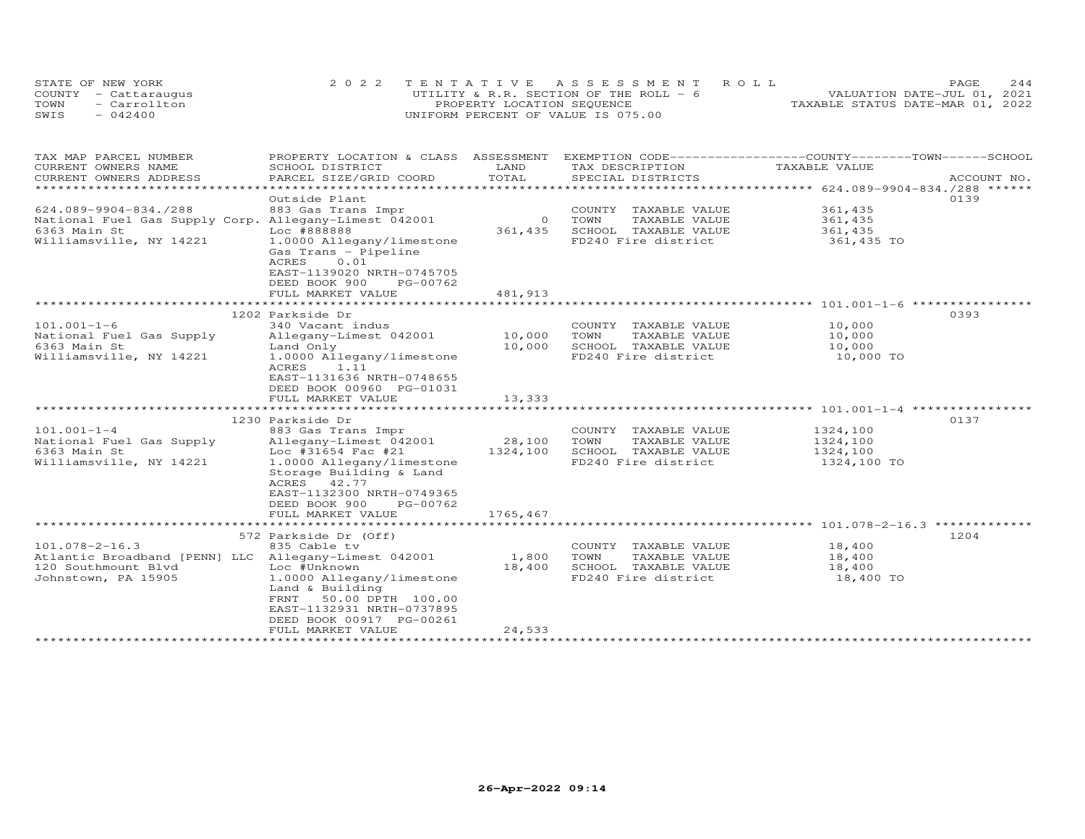|      | STATE OF NEW YORK    | 2022 TENTATIVE ASSESSMENT ROLL           |                                  | PAGE.                       | 2.44 |
|------|----------------------|------------------------------------------|----------------------------------|-----------------------------|------|
|      | COUNTY - Cattaraugus | UTILITY & R.R. SECTION OF THE ROLL - $6$ |                                  | VALUATION DATE-JUL 01, 2021 |      |
| TOWN | - Carrollton         | PROPERTY LOCATION SEQUENCE               | TAXABLE STATUS DATE-MAR 01, 2022 |                             |      |
| SWIS | $-042400$            | UNIFORM PERCENT OF VALUE IS 075.00       |                                  |                             |      |

| TAX MAP PARCEL NUMBER                                 | PROPERTY LOCATION & CLASS ASSESSMENT |                | EXEMPTION CODE-----------------COUNTY-------TOWN------SCHOOL |               |             |  |
|-------------------------------------------------------|--------------------------------------|----------------|--------------------------------------------------------------|---------------|-------------|--|
| CURRENT OWNERS NAME                                   | SCHOOL DISTRICT                      | LAND           | TAX DESCRIPTION                                              | TAXABLE VALUE |             |  |
| CURRENT OWNERS ADDRESS                                | PARCEL SIZE/GRID COORD               | TOTAL          | SPECIAL DISTRICTS                                            |               | ACCOUNT NO. |  |
| ******************************                        |                                      |                |                                                              |               |             |  |
|                                                       | Outside Plant                        |                |                                                              |               | 0139        |  |
| 624.089-9904-834./288                                 | 883 Gas Trans Impr                   |                | COUNTY TAXABLE VALUE                                         | 361,435       |             |  |
| National Fuel Gas Supply Corp. Allegany-Limest 042001 |                                      | $\overline{O}$ | TOWN<br>TAXABLE VALUE                                        | 361,435       |             |  |
| 6363 Main St                                          | Loc #888888                          | 361,435        | SCHOOL TAXABLE VALUE                                         | 361,435       |             |  |
| Williamsville, NY 14221                               | 1.0000 Allegany/limestone            |                | FD240 Fire district                                          | 361,435 TO    |             |  |
|                                                       | Gas Trans - Pipeline                 |                |                                                              |               |             |  |
|                                                       | 0.01<br>ACRES                        |                |                                                              |               |             |  |
|                                                       | EAST-1139020 NRTH-0745705            |                |                                                              |               |             |  |
|                                                       | DEED BOOK 900<br>PG-00762            |                |                                                              |               |             |  |
|                                                       | FULL MARKET VALUE                    | 481,913        |                                                              |               |             |  |
|                                                       |                                      |                |                                                              |               |             |  |
|                                                       | 1202 Parkside Dr                     |                |                                                              |               | 0393        |  |
| $101.001 - 1 - 6$                                     | 340 Vacant indus                     |                | COUNTY TAXABLE VALUE                                         | 10,000        |             |  |
| National Fuel Gas Supply                              | Allegany-Limest 042001               | 10,000         | TOWN<br>TAXABLE VALUE                                        | 10,000        |             |  |
| 6363 Main St                                          | Land Only                            | 10,000         | SCHOOL TAXABLE VALUE                                         | 10,000        |             |  |
| Williamsville, NY 14221                               | 1.0000 Allegany/limestone            |                | FD240 Fire district                                          | 10,000 TO     |             |  |
|                                                       | ACRES 1.11                           |                |                                                              |               |             |  |
|                                                       | EAST-1131636 NRTH-0748655            |                |                                                              |               |             |  |
|                                                       | DEED BOOK 00960 PG-01031             |                |                                                              |               |             |  |
|                                                       | FULL MARKET VALUE                    | 13,333         |                                                              |               |             |  |
|                                                       |                                      |                |                                                              |               |             |  |
|                                                       | 1230 Parkside Dr                     |                |                                                              |               | 0137        |  |
| $101.001 - 1 - 4$                                     | 883 Gas Trans Impr                   |                | COUNTY TAXABLE VALUE                                         | 1324,100      |             |  |
| National Fuel Gas Supply                              | Allegany-Limest 042001               | 28,100         | TOWN<br>TAXABLE VALUE                                        | 1324,100      |             |  |
| 6363 Main St                                          | Loc #31654 Fac #21                   | 1324,100       | SCHOOL TAXABLE VALUE                                         | 1324,100      |             |  |
| Williamsville, NY 14221                               | 1.0000 Allegany/limestone            |                | FD240 Fire district                                          | 1324,100 TO   |             |  |
|                                                       | Storage Building & Land              |                |                                                              |               |             |  |
|                                                       | ACRES 42.77                          |                |                                                              |               |             |  |
|                                                       | EAST-1132300 NRTH-0749365            |                |                                                              |               |             |  |
|                                                       | DEED BOOK 900<br>PG-00762            |                |                                                              |               |             |  |
|                                                       | FULL MARKET VALUE                    | 1765,467       |                                                              |               |             |  |
|                                                       |                                      |                |                                                              |               |             |  |
|                                                       | 572 Parkside Dr (Off)                |                |                                                              |               | 1204        |  |
| $101.078 - 2 - 16.3$                                  | 835 Cable tv                         |                | COUNTY TAXABLE VALUE                                         | 18,400        |             |  |
| Atlantic Broadband [PENN] LLC Allegany-Limest 042001  |                                      | 1,800          | TOWN<br>TAXABLE VALUE                                        | 18,400        |             |  |
| 120 Southmount Blvd                                   | Loc #Unknown                         | 18,400         | SCHOOL TAXABLE VALUE                                         | 18,400        |             |  |
| Johnstown, PA 15905                                   | 1.0000 Allegany/limestone            |                | FD240 Fire district                                          | 18,400 TO     |             |  |
|                                                       | Land & Building                      |                |                                                              |               |             |  |
|                                                       | FRNT<br>50.00 DPTH 100.00            |                |                                                              |               |             |  |
|                                                       | EAST-1132931 NRTH-0737895            |                |                                                              |               |             |  |
|                                                       | DEED BOOK 00917 PG-00261             |                |                                                              |               |             |  |
|                                                       | FULL MARKET VALUE                    | 24,533         |                                                              |               |             |  |
|                                                       |                                      |                |                                                              |               |             |  |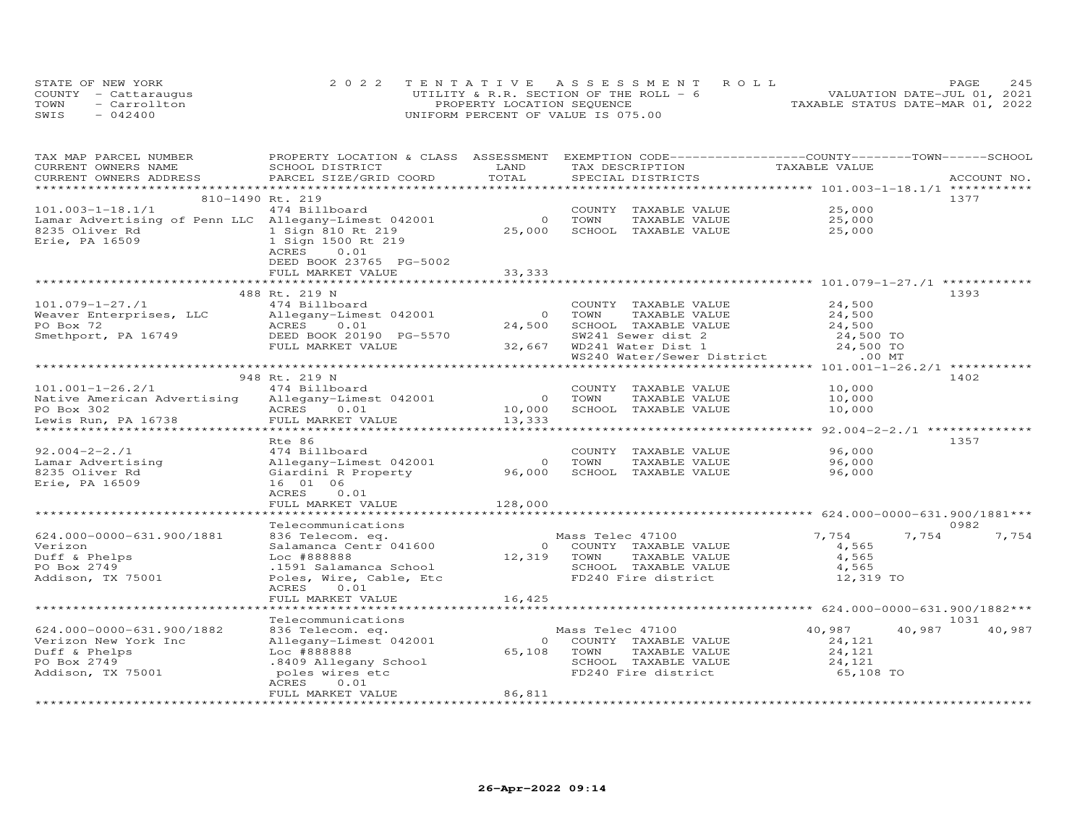|      | STATE OF NEW YORK    | 2022 TENTATIVE ASSESSMENT ROLL           | 245<br>PAGE.                     |
|------|----------------------|------------------------------------------|----------------------------------|
|      | COUNTY - Cattaraugus | UTILITY & R.R. SECTION OF THE ROLL - $6$ | VALUATION DATE-JUL 01, 2021      |
| TOWN | - Carrollton         | PROPERTY LOCATION SEQUENCE               | TAXABLE STATUS DATE-MAR 01, 2022 |
| SWIS | $-042400$            | UNIFORM PERCENT OF VALUE IS 075.00       |                                  |

| TAX MAP PARCEL NUMBER<br>CURRENT OWNERS NAME         | SCHOOL DISTRICT                      | LAND             | TAX DESCRIPTION                               | PROPERTY LOCATION & CLASS ASSESSMENT EXEMPTION CODE----------------COUNTY-------TOWN-----SCHOOL<br>TAXABLE VALUE |             |
|------------------------------------------------------|--------------------------------------|------------------|-----------------------------------------------|------------------------------------------------------------------------------------------------------------------|-------------|
| CURRENT OWNERS ADDRESS                               | PARCEL SIZE/GRID COORD               | TOTAL            | SPECIAL DISTRICTS                             |                                                                                                                  | ACCOUNT NO. |
|                                                      |                                      |                  |                                               |                                                                                                                  |             |
| 810-1490 Rt. 219                                     |                                      |                  |                                               |                                                                                                                  | 1377        |
| $101.003 - 1 - 18.1/1$                               | 474 Billboard                        |                  | COUNTY TAXABLE VALUE                          | 25,000                                                                                                           |             |
| Lamar Advertising of Penn LLC Allegany-Limest 042001 |                                      | $\circ$          | TOWN<br>TAXABLE VALUE                         | 25,000                                                                                                           |             |
| 8235 Oliver Rd                                       | 1 Sign 810 Rt 219                    | 25,000           | SCHOOL TAXABLE VALUE                          | 25,000                                                                                                           |             |
| Erie, PA 16509                                       | 1 Sign 1500 Rt 219                   |                  |                                               |                                                                                                                  |             |
|                                                      | ACRES<br>0.01                        |                  |                                               |                                                                                                                  |             |
|                                                      | DEED BOOK 23765 PG-5002              |                  |                                               |                                                                                                                  |             |
|                                                      | FULL MARKET VALUE                    | 33, 333          |                                               |                                                                                                                  |             |
|                                                      |                                      |                  |                                               |                                                                                                                  |             |
|                                                      | 488 Rt. 219 N                        |                  |                                               |                                                                                                                  | 1393        |
| $101.079 - 1 - 27.71$                                | 474 Billboard                        |                  | COUNTY TAXABLE VALUE                          | 24,500                                                                                                           |             |
| Weaver Enterprises, LLC                              | Allegany-Limest 042001               | $\Omega$         | TOWN<br>TAXABLE VALUE                         | 24,500                                                                                                           |             |
| PO Box 72                                            | 0.01<br>ACRES                        | 24,500           | SCHOOL TAXABLE VALUE                          | 24,500                                                                                                           |             |
| Smethport, PA 16749                                  | DEED BOOK 20190 PG-5570              |                  | SW241 Sewer dist 2                            | 24,500 TO                                                                                                        |             |
|                                                      | FULL MARKET VALUE                    | 32,667           | WD241 Water Dist 1                            | 24,500 TO                                                                                                        |             |
|                                                      | ***************                      |                  | WS240 Water/Sewer District                    | $.00$ MT                                                                                                         |             |
|                                                      |                                      |                  |                                               | **************************** 101.001-1-26.2/1 *********                                                          |             |
|                                                      | 948 Rt. 219 N                        |                  |                                               |                                                                                                                  | 1402        |
| $101.001 - 1 - 26.2/1$                               | 474 Billboard                        |                  | COUNTY TAXABLE VALUE                          | 10,000                                                                                                           |             |
| Native American Advertising                          | Allegany-Limest 042001<br>0.01       | $\circ$          | TOWN<br>TAXABLE VALUE<br>SCHOOL TAXABLE VALUE | 10,000                                                                                                           |             |
| PO Box 302                                           | ACRES<br>FULL MARKET VALUE           | 10,000<br>13,333 |                                               | 10,000                                                                                                           |             |
| Lewis Run, PA 16738                                  |                                      |                  |                                               | ******************************** 92.004–2–2./1 **************                                                    |             |
|                                                      | Rte 86                               |                  |                                               |                                                                                                                  | 1357        |
| $92.004 - 2 - 2.71$                                  | 474 Billboard                        |                  | COUNTY TAXABLE VALUE                          | 96,000                                                                                                           |             |
| Lamar Advertising                                    | Allegany-Limest 042001               | $\circ$          | TOWN<br>TAXABLE VALUE                         | 96,000                                                                                                           |             |
| 8235 Oliver Rd                                       | Giardini R Property                  | 96,000           | SCHOOL TAXABLE VALUE                          | 96,000                                                                                                           |             |
| Erie, PA 16509                                       | 16 01 06                             |                  |                                               |                                                                                                                  |             |
|                                                      | ACRES<br>0.01                        |                  |                                               |                                                                                                                  |             |
|                                                      | FULL MARKET VALUE                    | 128,000          |                                               |                                                                                                                  |             |
|                                                      | ******************                   | ***********      |                                               |                                                                                                                  |             |
|                                                      | Telecommunications                   |                  |                                               |                                                                                                                  | 0982        |
| 624.000-0000-631.900/1881                            | 836 Telecom. eq.                     |                  | Mass Telec 47100                              | 7,754<br>7,754                                                                                                   | 7,754       |
| Verizon                                              | Salamanca Centr 041600               | $\Omega$         | COUNTY TAXABLE VALUE                          | 4,565                                                                                                            |             |
| Duff & Phelps                                        | Loc #888888                          | 12,319           | TOWN<br>TAXABLE VALUE                         | 4,565                                                                                                            |             |
| PO Box 2749                                          | .1591 Salamanca School               |                  | SCHOOL TAXABLE VALUE                          | 4,565                                                                                                            |             |
| Addison, TX 75001                                    | Poles, Wire, Cable, Etc              |                  | FD240 Fire district                           | 12,319 TO                                                                                                        |             |
|                                                      | 0.01<br>ACRES                        |                  |                                               |                                                                                                                  |             |
|                                                      | FULL MARKET VALUE                    | 16,425           |                                               |                                                                                                                  |             |
|                                                      |                                      |                  |                                               |                                                                                                                  |             |
|                                                      | Telecommunications                   |                  |                                               |                                                                                                                  | 1031        |
| 624.000-0000-631.900/1882                            | 836 Telecom. eq.                     |                  | Mass Telec 47100                              | 40,987<br>40,987                                                                                                 | 40,987      |
| Verizon New York Inc                                 | Allegany-Limest 042001               | $\circ$          | COUNTY TAXABLE VALUE                          | 24,121                                                                                                           |             |
| Duff & Phelps<br>PO Box 2749                         | Loc #888888<br>.8409 Allegany School | 65,108           | TOWN<br>TAXABLE VALUE<br>SCHOOL TAXABLE VALUE | 24,121<br>24,121                                                                                                 |             |
| Addison, TX 75001                                    | poles wires etc                      |                  | FD240 Fire district                           | 65,108 TO                                                                                                        |             |
|                                                      | 0.01<br>ACRES                        |                  |                                               |                                                                                                                  |             |
|                                                      | FULL MARKET VALUE                    | 86,811           |                                               |                                                                                                                  |             |
|                                                      |                                      |                  |                                               |                                                                                                                  |             |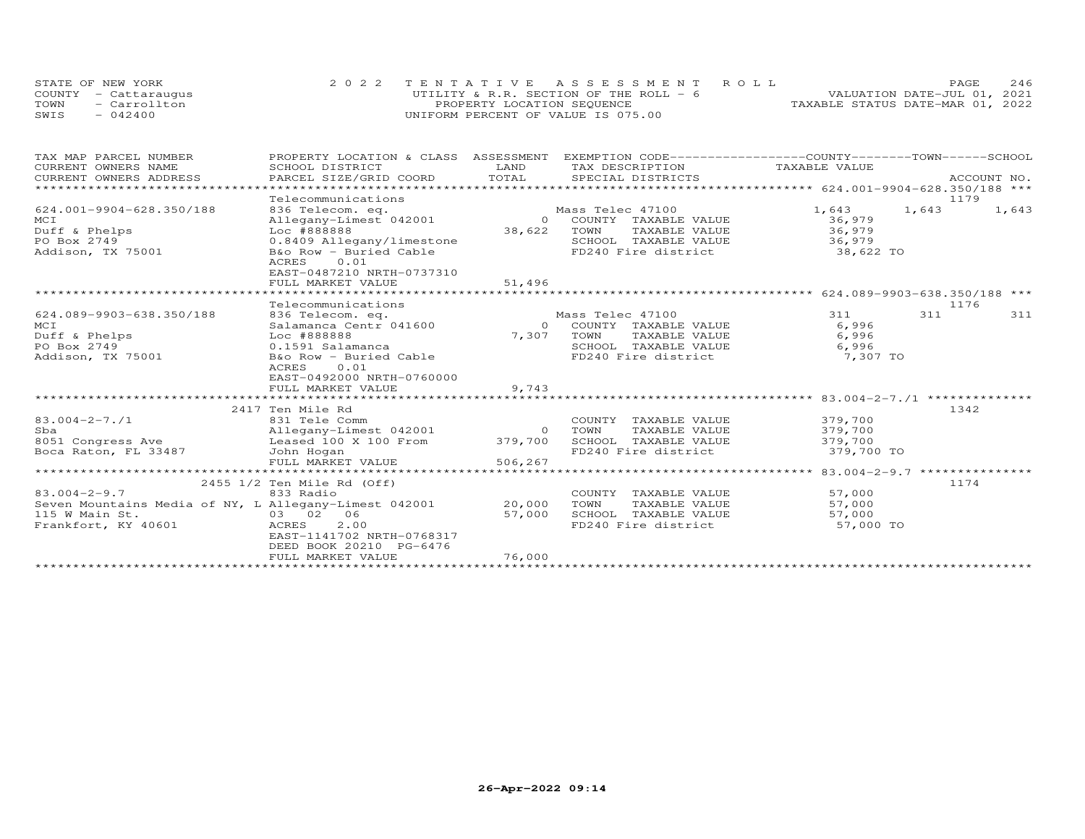|      | STATE OF NEW YORK    | 2022 TENTATIVE ASSESSMENT ROLL         | 246<br>PAGE.                     |
|------|----------------------|----------------------------------------|----------------------------------|
|      | COUNTY - Cattaraugus | UTILITY & R.R. SECTION OF THE ROLL - 6 | VALUATION DATE-JUL 01, 2021      |
|      | TOWN - Carrollton    | PROPERTY LOCATION SEQUENCE             | TAXABLE STATUS DATE-MAR 01, 2022 |
| SWIS | $-042400$            | UNIFORM PERCENT OF VALUE IS 075.00     |                                  |

| TAX MAP PARCEL NUMBER                                        | PROPERTY LOCATION & CLASS ASSESSMENT EXEMPTION CODE----------------COUNTY-------TOWN-----SCHOOL |            |                                                              |                                                       |       |       |
|--------------------------------------------------------------|-------------------------------------------------------------------------------------------------|------------|--------------------------------------------------------------|-------------------------------------------------------|-------|-------|
| CURRENT OWNERS NAME                                          | SCHOOL DISTRICT                                                                                 | LAND       | TAX DESCRIPTION TAXABLE VALUE                                |                                                       |       |       |
| CURRENT OWNERS ADDRESS                                       |                                                                                                 |            |                                                              |                                                       |       |       |
|                                                              |                                                                                                 |            |                                                              |                                                       |       |       |
|                                                              | Telecommunications                                                                              |            |                                                              |                                                       |       | 1179  |
| 624.001-9904-628.350/188                                     | 836 Telecom. eq.                                                                                |            | Mass Telec 47100                                             | 1,643                                                 | 1,643 | 1,643 |
| MCI                                                          | Allegany-Limest 042001                                                                          |            | 0 COUNTY TAXABLE VALUE                                       | 36,979                                                |       |       |
| Duff & Phelps                                                | Loc #888888                                                                                     |            | 38,622 TOWN TAXABLE VALUE                                    | 36,979                                                |       |       |
| PO Box 2749                                                  | 0.8409 Allegany/limestone                                                                       |            | SCHOOL TAXABLE VALUE                                         | 36,979                                                |       |       |
| Addison, TX 75001                                            | B&o Row - Buried Cable                                                                          |            | FD240 Fire district                                          | 38,622 TO                                             |       |       |
|                                                              | 0.01<br>ACRES                                                                                   |            |                                                              |                                                       |       |       |
|                                                              | EAST-0487210 NRTH-0737310                                                                       |            |                                                              |                                                       |       |       |
|                                                              | FULL MARKET VALUE                                                                               | 51,496     |                                                              |                                                       |       |       |
|                                                              |                                                                                                 |            |                                                              |                                                       |       |       |
|                                                              | Telecommunications                                                                              |            |                                                              |                                                       |       | 1176  |
| 624.089-9903-638.350/188                                     | 836 Telecom. eq.<br>Salamanca Centr 041600                                                      |            | Mass Telec 47100                                             | 311                                                   | 311   | 311   |
| MCI                                                          |                                                                                                 |            | 0 COUNTY TAXABLE VALUE                                       | 6,996                                                 |       |       |
| Duff & Phelps                                                | Aramanca Centr<br>Loc #888888<br>0.1591 Salamanca<br>B&o Porr —                                 | 7,307 TOWN | TAXABLE VALUE                                                | 6,996                                                 |       |       |
| PO Box 2749                                                  |                                                                                                 |            | SCHOOL TAXABLE VALUE<br>FD240 Fire district                  | 6,996                                                 |       |       |
| Addison, TX 75001                                            | B&o Row - Buried Cable                                                                          |            |                                                              | $7,307$ TO                                            |       |       |
|                                                              | 0.01<br>ACRES                                                                                   |            |                                                              |                                                       |       |       |
|                                                              | EAST-0492000 NRTH-0760000                                                                       |            |                                                              |                                                       |       |       |
|                                                              | FULL MARKET VALUE                                                                               | 9,743      |                                                              |                                                       |       |       |
|                                                              |                                                                                                 |            |                                                              |                                                       |       |       |
|                                                              | 2417 Ten Mile Rd                                                                                |            |                                                              |                                                       |       | 1342  |
| $83.004 - 2 - 7.1$                                           | 831 Tele Comm<br>Allegany-Limest 042001<br>-                                                    |            | COUNTY TAXABLE VALUE                                         | 379,700                                               |       |       |
| Sba                                                          |                                                                                                 |            |                                                              |                                                       |       |       |
| 8051 Congress Ave<br>Boca Raton, FL 33487                    |                                                                                                 |            | SCHOOL TAXABLE VALUE<br>FD240 Fire district                  | TAXABLE VALUE 379,700<br>TAXABLE VALUE 379,700        |       |       |
|                                                              |                                                                                                 |            |                                                              | 379,700 TO                                            |       |       |
|                                                              | FULL MARKET VALUE                                                                               | 506,267    |                                                              |                                                       |       |       |
|                                                              |                                                                                                 |            |                                                              | *********************** 83.004-2-9.7 **************** |       |       |
|                                                              | 2455 1/2 Ten Mile Rd (Off)                                                                      |            |                                                              |                                                       |       | 1174  |
| $83.004 - 2 - 9.7$                                           | 833 Radio                                                                                       |            | COUNTY TAXABLE VALUE 57,000                                  |                                                       |       |       |
| Seven Mountains Media of NY, L Allegany-Limest 042001 20,000 |                                                                                                 |            | TOWN                                                         | TAXABLE VALUE 57,000                                  |       |       |
| 115 W Main St.                                               | $03 \t 02 \t 06$                                                                                | 57,000     | SCHOOL TAXABLE VALUE 57,000<br>FD240 Fire district 57,000 TO |                                                       |       |       |
| Frankfort, KY 40601                                          | ACRES<br>2.00                                                                                   |            |                                                              |                                                       |       |       |
|                                                              | EAST-1141702 NRTH-0768317                                                                       |            |                                                              |                                                       |       |       |
|                                                              | DEED BOOK 20210 PG-6476                                                                         |            |                                                              |                                                       |       |       |
|                                                              | FULL MARKET VALUE                                                                               | 76,000     |                                                              |                                                       |       |       |
|                                                              |                                                                                                 |            |                                                              |                                                       |       |       |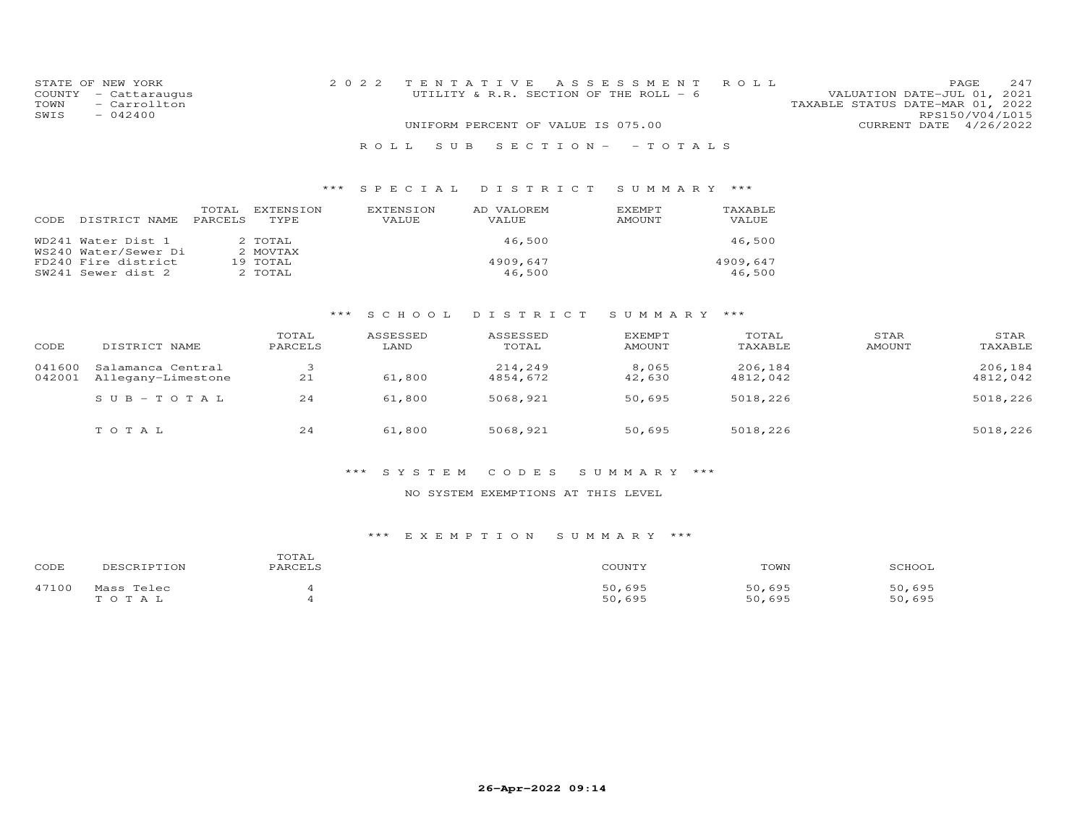| STATE OF NEW YORK |                      |                                    |  | 2022 TENTATIVE ASSESSMENT ROLL         |                                  | PAGE.           | 2.47 |
|-------------------|----------------------|------------------------------------|--|----------------------------------------|----------------------------------|-----------------|------|
|                   | COUNTY - Cattaraugus |                                    |  | UTILITY & R.R. SECTION OF THE ROLL - 6 | VALUATION DATE-JUL 01, 2021      |                 |      |
| TOWN              | - Carrollton         |                                    |  |                                        | TAXABLE STATUS DATE-MAR 01, 2022 |                 |      |
| SWIS              | $-042400$            |                                    |  |                                        |                                  | RPS150/V04/L015 |      |
|                   |                      | UNIFORM PERCENT OF VALUE IS 075.00 |  |                                        | CURRENT DATE 4/26/2022           |                 |      |
|                   |                      |                                    |  | ROLL SUB SECTION- - TOTALS             |                                  |                 |      |

# \*\*\* S P E C I A L D I S T R I C T S U M M A R Y \*\*\*

| CODE. | DISTRICT NAME                              | TOTAL<br><b>PARCELS</b> | <b>EXTENSION</b><br>TYPE. | EXTENSION<br>VALUE | AD VALOREM<br>VALUE | EXEMPT<br>AMOUNT | TAXABLE<br>VALUE   |
|-------|--------------------------------------------|-------------------------|---------------------------|--------------------|---------------------|------------------|--------------------|
|       | WD241 Water Dist 1<br>WS240 Water/Sewer Di |                         | 2 TOTAL<br>2 MOVTAX       |                    | 46,500              |                  | 46,500             |
|       | FD240 Fire district<br>SW241 Sewer dist 2  |                         | 19 TOTAL<br>2 TOTAL       |                    | 4909,647<br>46,500  |                  | 4909.647<br>46,500 |

# \*\*\* S C H O O L D I S T R I C T S U M M A R Y \*\*\*

| CODE             | DISTRICT NAME                           | TOTAL<br>PARCELS | ASSESSED<br>LAND | ASSESSED<br>TOTAL   | EXEMPT<br>AMOUNT | TOTAL<br>TAXABLE    | STAR<br>AMOUNT | STAR<br>TAXABLE     |
|------------------|-----------------------------------------|------------------|------------------|---------------------|------------------|---------------------|----------------|---------------------|
| 041600<br>042001 | Salamanca Central<br>Allegany-Limestone | 21               | 61,800           | 214,249<br>4854,672 | 8,065<br>42,630  | 206,184<br>4812,042 |                | 206,184<br>4812,042 |
|                  | SUB-TOTAL                               | 24               | 61,800           | 5068,921            | 50,695           | 5018,226            |                | 5018,226            |
|                  | TOTAL                                   | 24               | 61,800           | 5068,921            | 50,695           | 5018,226            |                | 5018,226            |

# \*\*\* S Y S T E M C O D E S S U M M A R Y \*\*\*

### NO SYSTEM EXEMPTIONS AT THIS LEVEL

| CODE  | DESCRIPTION             | TOTAL<br>PARCELS | COUNTY           | TOWN             | SCHOOL           |
|-------|-------------------------|------------------|------------------|------------------|------------------|
| 47100 | Mass Telec<br>T O T A L |                  | 50,695<br>50,695 | 50,695<br>50,695 | 50,695<br>50,695 |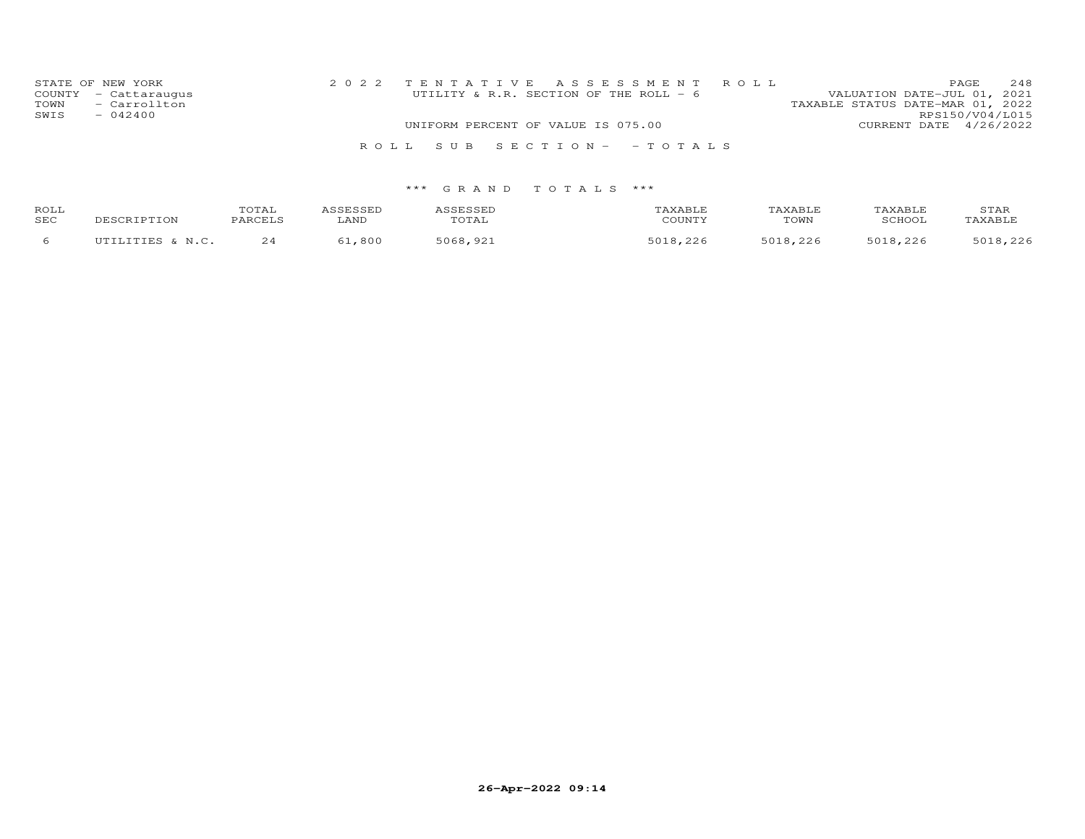| STATE OF NEW YORK<br>COUNTY - Cattaraugus<br>TOWN<br>- Carrollton<br>SWIS<br>$-042400$ | 2022 TENTATIVE ASSESSMENT ROLL<br>UTILITY & R.R. SECTION OF THE ROLL - 6 | 248<br>PAGE<br>VALUATION DATE-JUL 01, 2021<br>TAXABLE STATUS DATE-MAR 01, 2022<br>RPS150/V04/L015 |
|----------------------------------------------------------------------------------------|--------------------------------------------------------------------------|---------------------------------------------------------------------------------------------------|
|                                                                                        | UNIFORM PERCENT OF VALUE IS 075.00                                       | CURRENT DATE $4/26/2022$                                                                          |
|                                                                                        | ROLL SUB SECTION- - TOTALS                                               |                                                                                                   |

| ROLL<br>SEC | DESCRIPTION                          | TOTAL<br><b>PARCELS</b> | LAND | <b>SESSEL</b><br>JIAL | AXABLF<br>COUNTY | <b>TAXABLE</b><br>TOWN | TAXABI.F<br>SCHOOI | STAR<br>'AXABLE                   |
|-------------|--------------------------------------|-------------------------|------|-----------------------|------------------|------------------------|--------------------|-----------------------------------|
|             | TITTT.TTTFC C<br>$\mathbb{N}$ $\cap$ | $\sim$ $\lambda$<br>24  | 800  | 5068<br>രാ-           | 5010<br>. 226    | つつよ<br>5 N 1 Q         | $= 0.10$           | つつよ<br>$E \cap 1$ $\cap$<br>، ے ے |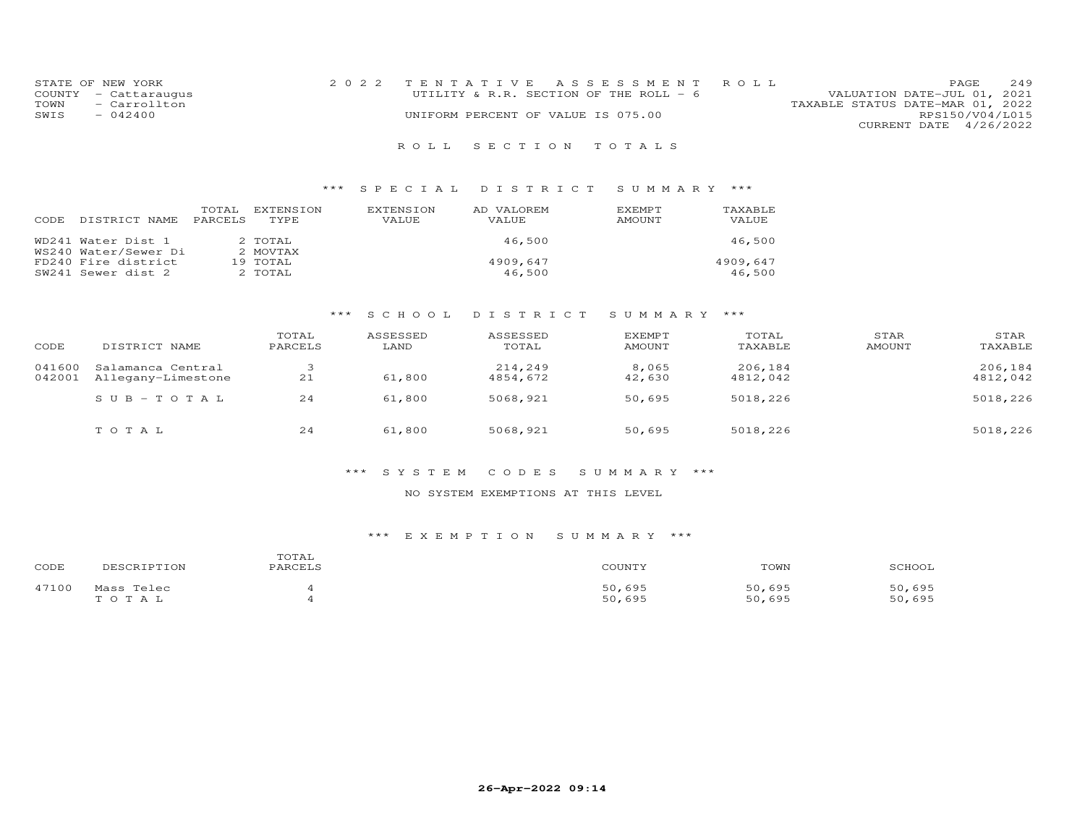| STATE OF NEW YORK    | 2022 TENTATIVE ASSESSMENT ROLL     |                                        |                                  | <b>PAGE</b>            | 2.49 |
|----------------------|------------------------------------|----------------------------------------|----------------------------------|------------------------|------|
| COUNTY - Cattaraugus |                                    | UTILITY & R.R. SECTION OF THE ROLL - 6 | VALUATION DATE-JUL 01, 2021      |                        |      |
| TOWN - Carrollton    |                                    |                                        | TAXABLE STATUS DATE-MAR 01, 2022 |                        |      |
| SWIS<br>$-042400$    | UNIFORM PERCENT OF VALUE IS 075.00 |                                        |                                  | RPS150/V04/L015        |      |
|                      |                                    |                                        |                                  | CURRENT DATE 4/26/2022 |      |

# R O L L S E C T I O N T O T A L S

# \*\*\* S P E C I A L D I S T R I C T S U M M A R Y \*\*\*

| <b>CODE</b> | DISTRICT NAME                              | TOTAL<br>PARCELS | <b>EXTENSION</b><br>TYPE. | <b>EXTENSION</b><br>VALUE | AD VALOREM<br>VALUE | <b>EXEMPT</b><br>AMOUNT | TAXABLE<br>VALUE   |
|-------------|--------------------------------------------|------------------|---------------------------|---------------------------|---------------------|-------------------------|--------------------|
|             | WD241 Water Dist 1<br>WS240 Water/Sewer Di |                  | 2 TOTAL<br>2 MOVTAX       |                           | 46,500              |                         | 46,500             |
|             | FD240 Fire district<br>SW241 Sewer dist 2  |                  | 19 TOTAL<br>2 TOTAL       |                           | 4909,647<br>46,500  |                         | 4909.647<br>46,500 |

# \*\*\* S C H O O L D I S T R I C T S U M M A R Y \*\*\*

| CODE             | DISTRICT NAME                           | TOTAL<br>PARCELS | ASSESSED<br>LAND | ASSESSED<br>TOTAL   | <b>EXEMPT</b><br><b>AMOUNT</b> | TOTAL<br>TAXABLE    | STAR<br>AMOUNT | STAR<br>TAXABLE     |
|------------------|-----------------------------------------|------------------|------------------|---------------------|--------------------------------|---------------------|----------------|---------------------|
| 041600<br>042001 | Salamanca Central<br>Allegany-Limestone | 21               | 61,800           | 214,249<br>4854,672 | 8,065<br>42,630                | 206,184<br>4812,042 |                | 206,184<br>4812,042 |
|                  | $SUB - TO T AL$                         | 24               | 61,800           | 5068,921            | 50,695                         | 5018,226            |                | 5018,226            |
|                  | TOTAL                                   | 24               | 61,800           | 5068,921            | 50,695                         | 5018,226            |                | 5018,226            |

# \*\*\* S Y S T E M C O D E S S U M M A R Y \*\*\*

### NO SYSTEM EXEMPTIONS AT THIS LEVEL

| CODE  | DESCRIPTION         | TOTAL<br>PARCELS | COUNTY           | TOWN             | SCHOOL           |
|-------|---------------------|------------------|------------------|------------------|------------------|
| 47100 | Mass Telec<br>TOTAL |                  | 50,695<br>50,695 | 50,695<br>50,695 | 50,695<br>50,695 |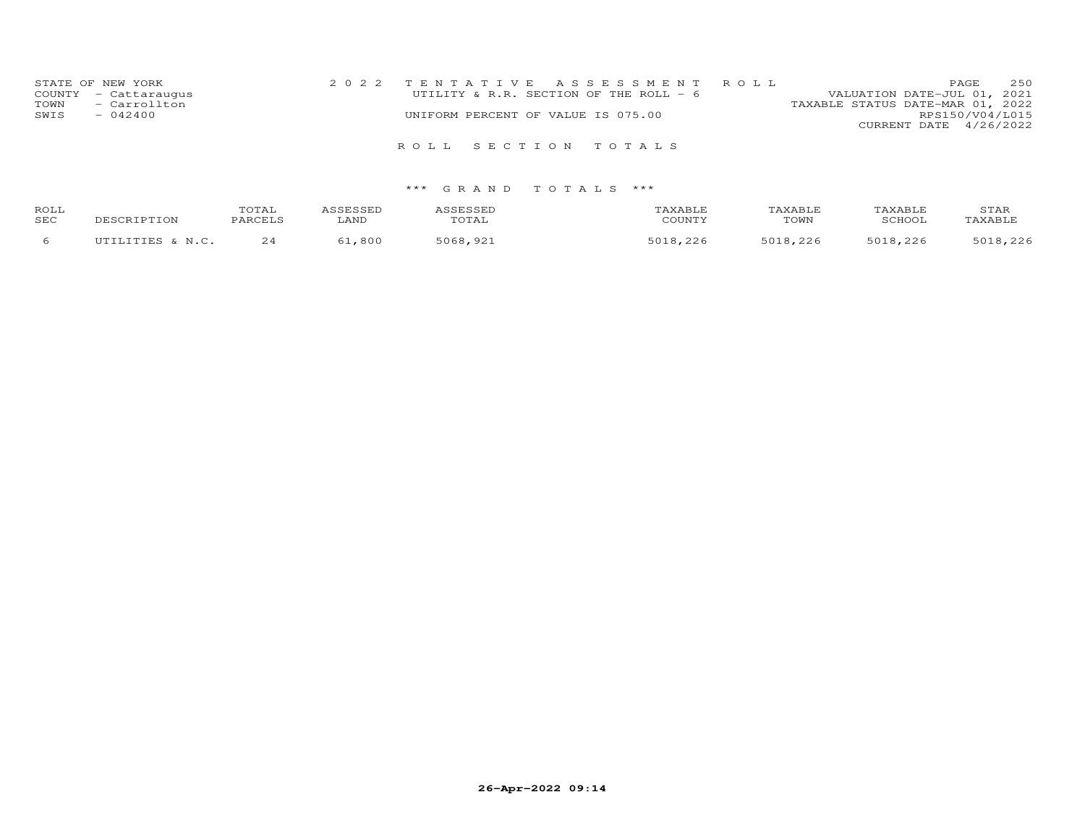| STATE OF NEW YORK    | 2022 TENTATIVE ASSESSMENT ROLL         | 250<br>PAGE.                     |
|----------------------|----------------------------------------|----------------------------------|
| COUNTY - Cattaraugus | UTILITY & R.R. SECTION OF THE ROLL - 6 | VALUATION DATE-JUL 01, 2021      |
| - Carrollton<br>TOWN |                                        | TAXABLE STATUS DATE-MAR 01, 2022 |
| SWIS<br>$-042400$    | UNIFORM PERCENT OF VALUE IS 075.00     | RPS150/V04/L015                  |
|                      |                                        | CURRENT DATE 4/26/2022           |
|                      | ROLL SECTION TOTALS                    |                                  |

| ROLL<br>SEC | MOTPTON<br>. | TOTAL<br><b>DARCETS</b> | LAND     | TOTAL        | CCTNTT1    | TOWN | 'AXABLE<br>SCHOOL | STAR<br>TAXABLE |
|-------------|--------------|-------------------------|----------|--------------|------------|------|-------------------|-----------------|
|             | LITTES & M C |                         | $-0.800$ | 5068<br>്രാ* | $E \cap 1$ | 5010 | 5018 226          | 5018 226        |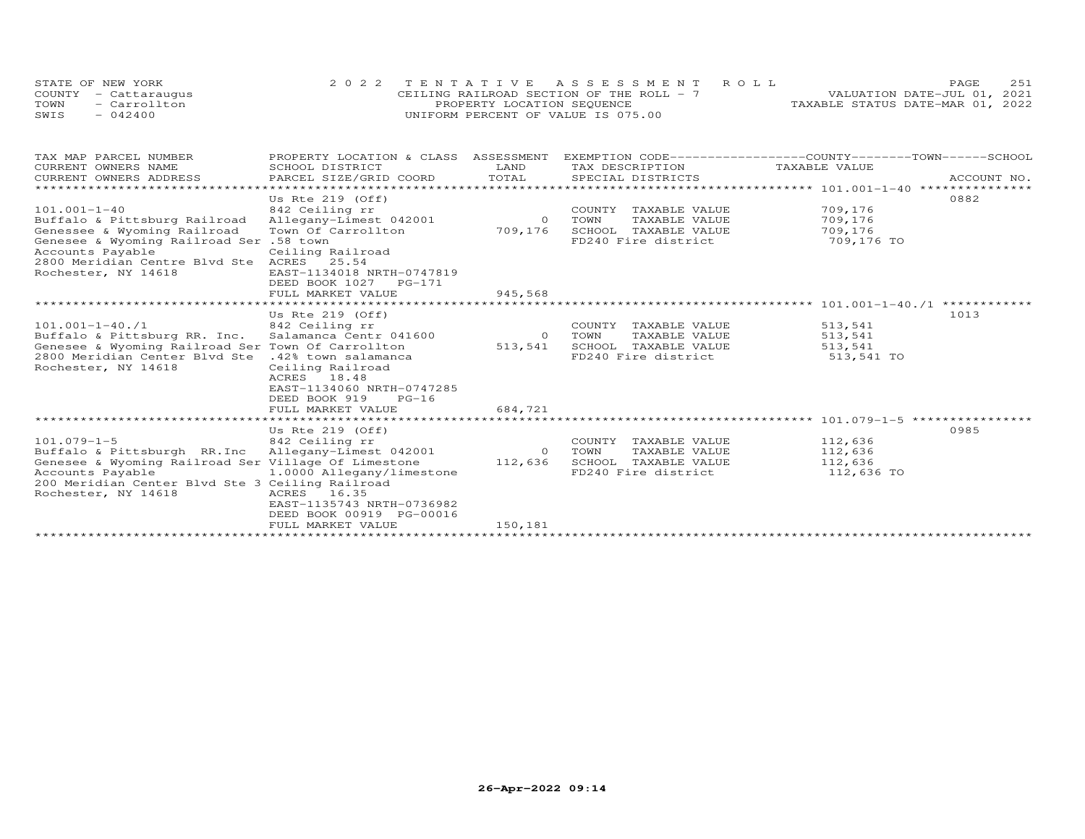|      | STATE OF NEW YORK    | 2022 TENTATIVE ASSESSMENT ROLL           |  |                                  | PAGE. | 2.51 |
|------|----------------------|------------------------------------------|--|----------------------------------|-------|------|
|      | COUNTY - Cattaraugus | CEILING RAILROAD SECTION OF THE ROLL - 7 |  | VALUATION DATE-JUL 01, 2021      |       |      |
| TOWN | - Carrollton         | PROPERTY LOCATION SEQUENCE               |  | TAXABLE STATUS DATE-MAR 01, 2022 |       |      |
| SWIS | $-042400$            | UNIFORM PERCENT OF VALUE IS 075.00       |  |                                  |       |      |

| TAX MAP PARCEL NUMBER                                                         | PROPERTY LOCATION & CLASS ASSESSMENT |          | EXEMPTION CODE------------------COUNTY-------TOWN------SCHOOL |               |             |
|-------------------------------------------------------------------------------|--------------------------------------|----------|---------------------------------------------------------------|---------------|-------------|
| CURRENT OWNERS NAME                                                           | SCHOOL DISTRICT                      | LAND     | TAX DESCRIPTION                                               | TAXABLE VALUE |             |
| CURRENT OWNERS ADDRESS                                                        | PARCEL SIZE/GRID COORD TOTAL         |          | SPECIAL DISTRICTS                                             |               | ACCOUNT NO. |
|                                                                               |                                      |          |                                                               |               |             |
|                                                                               | Us Rte $219$ (Off)                   |          |                                                               |               | 0882        |
| $101.001 - 1 - 40$                                                            | 842 Ceiling rr                       |          | COUNTY<br>TAXABLE VALUE                                       | 709,176       |             |
| Buffalo & Pittsburg Railroad                                                  | Allegany-Limest 042001               | $\sim$ 0 | TOWN<br>TAXABLE VALUE 709,176                                 |               |             |
| Genessee & Wyoming Railroad                                                   | Town Of Carrollton                   | 709,176  | SCHOOL TAXABLE VALUE 709,176                                  |               |             |
| Genesee & Wyoming Railroad Ser .58 town                                       |                                      |          | FD240 Fire district 709,176 TO                                |               |             |
| Accounts Payable                                                              | Ceiling Railroad                     |          |                                                               |               |             |
| 2800 Meridian Centre Blvd Ste ACRES 25.54                                     |                                      |          |                                                               |               |             |
| Rochester, NY 14618                                                           | EAST-1134018 NRTH-0747819            |          |                                                               |               |             |
|                                                                               | DEED BOOK 1027 PG-171                |          |                                                               |               |             |
|                                                                               | FULL MARKET VALUE                    | 945,568  |                                                               |               |             |
|                                                                               |                                      |          |                                                               |               |             |
|                                                                               | Us Rte $219$ (Off)                   |          |                                                               |               | 1013        |
| $101.001 - 1 - 40.71$                                                         |                                      |          | COUNTY TAXABLE VALUE                                          | 513,541       |             |
| 101.001-1-40./1<br>Buffalo & Pittsburg RR. Inc. Salamanca Centr 041600 0 TOWN |                                      |          | TAXABLE VALUE 513,541                                         |               |             |
| Genesee & Wyoming Railroad Ser Town Of Carrollton                             |                                      | 513,541  | SCHOOL TAXABLE VALUE 513,541                                  |               |             |
| 2800 Meridian Center Blvd Ste .42% town salamanca                             |                                      |          | FD240 Fire district                                           | 513,541 TO    |             |
| Rochester, NY 14618                                                           | Ceiling Railroad                     |          |                                                               |               |             |
|                                                                               | ACRES 18.48                          |          |                                                               |               |             |
|                                                                               | EAST-1134060 NRTH-0747285            |          |                                                               |               |             |
|                                                                               | DEED BOOK 919<br>$PG-16$             |          |                                                               |               |             |
|                                                                               |                                      |          |                                                               |               |             |
|                                                                               | FULL MARKET VALUE                    | 684,721  |                                                               |               |             |
|                                                                               |                                      |          |                                                               |               |             |
|                                                                               | Us Rte $219$ (Off)                   |          |                                                               |               | 0985        |
| $101.079 - 1 - 5$                                                             | 842 Ceiling rr                       |          | COUNTY TAXABLE VALUE                                          | 112,636       |             |
|                                                                               |                                      |          | TAXABLE VALUE                                                 | 112,636       |             |
| Genesee & Wyoming Railroad Ser Village Of Limestone                           |                                      | 112,636  | SCHOOL TAXABLE VALUE                                          | 112,636       |             |
| Accounts Payable 1.0000 Allegany/limestone                                    |                                      |          | FD240 Fire district                                           | 112,636 TO    |             |
| 200 Meridian Center Blvd Ste 3 Ceiling Railroad                               |                                      |          |                                                               |               |             |
| Rochester, NY 14618                                                           | ACRES 16.35                          |          |                                                               |               |             |
|                                                                               | EAST-1135743 NRTH-0736982            |          |                                                               |               |             |
|                                                                               | DEED BOOK 00919 PG-00016             |          |                                                               |               |             |
|                                                                               | FULL MARKET VALUE                    | 150,181  |                                                               |               |             |
|                                                                               |                                      |          |                                                               |               |             |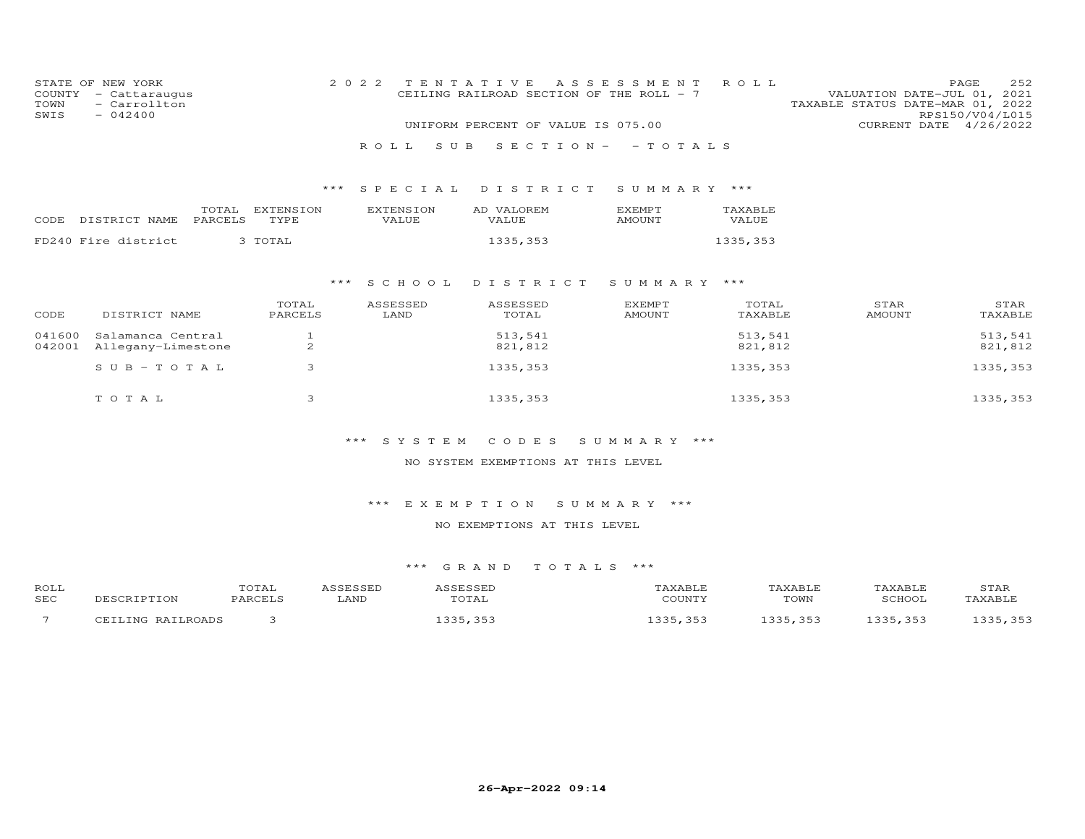| COUNTY<br>TOWN<br>SWIS | STATE OF NEW YORK<br>- Cattaraugus<br>- Carrollton<br>$-042400$ |                   | 2 0 2 2<br>TENTATIVE<br>A S S E S S M E N T<br>CEILING RAILROAD SECTION OF THE ROLL - 7<br>UNIFORM PERCENT OF VALUE IS 075.00 |                     |                                 | ROLL               | 252<br>PAGE<br>VALUATION DATE-JUL 01, 2021<br>TAXABLE STATUS DATE-MAR 01, 2022<br>RPS150/V04/L015<br>CURRENT DATE 4/26/2022 |  |  |
|------------------------|-----------------------------------------------------------------|-------------------|-------------------------------------------------------------------------------------------------------------------------------|---------------------|---------------------------------|--------------------|-----------------------------------------------------------------------------------------------------------------------------|--|--|
|                        |                                                                 |                   | ROLL<br>S U B                                                                                                                 |                     | $S E C T I O N - - T O T A L S$ |                    |                                                                                                                             |  |  |
|                        |                                                                 |                   |                                                                                                                               |                     |                                 |                    |                                                                                                                             |  |  |
|                        |                                                                 | ***               | SPECIAL                                                                                                                       | DISTRICT            | SUMMARY ***                     |                    |                                                                                                                             |  |  |
| CODE                   | TOTAL<br>DISTRICT NAME<br>PARCELS                               | EXTENSION<br>TYPE | <b>EXTENSION</b><br>VALUE                                                                                                     | AD VALOREM<br>VALUE | <b>EXEMPT</b><br>AMOUNT         | TAXABLE<br>VALUE   |                                                                                                                             |  |  |
|                        | FD240 Fire district                                             | 3 TOTAL           |                                                                                                                               | 1335,353            |                                 | 1335, 353          |                                                                                                                             |  |  |
|                        |                                                                 |                   |                                                                                                                               |                     |                                 |                    |                                                                                                                             |  |  |
|                        |                                                                 | ***               | S C H O O L                                                                                                                   | DISTRICT            | SUMMARY ***                     |                    |                                                                                                                             |  |  |
| CODE                   | DISTRICT NAME                                                   | TOTAL<br>PARCELS  | ASSESSED<br>LAND                                                                                                              | ASSESSED<br>TOTAL   | <b>EXEMPT</b><br><b>AMOUNT</b>  | TOTAL<br>TAXABLE   | STAR<br>STAR<br>AMOUNT<br>TAXABLE                                                                                           |  |  |
| 041600<br>042001       | Salamanca Central<br>Allegany-Limestone                         | $\mathbf{1}$<br>2 |                                                                                                                               | 513,541<br>821,812  |                                 | 513,541<br>821,812 | 513,541<br>821,812                                                                                                          |  |  |
|                        | $SUB - TO TAL$                                                  | 3                 |                                                                                                                               | 1335, 353           |                                 | 1335, 353          | 1335, 353                                                                                                                   |  |  |
|                        | TOTAL                                                           | 3                 |                                                                                                                               | 1335, 353           |                                 | 1335,353           | 1335, 353                                                                                                                   |  |  |

# \*\*\* S Y S T E M C O D E S S U M M A R Y \*\*\*

# NO SYSTEM EXEMPTIONS AT THIS LEVEL

\*\*\* E X E M P T I O N S U M M A R Y \*\*\*

# NO EXEMPTIONS AT THIS LEVEL

| ROLL                     |                   | TOTAL   | ASSESSED | ASSESSED  | TAXABLE  | TAXABLE | TAXABLE  | STAR     |
|--------------------------|-------------------|---------|----------|-----------|----------|---------|----------|----------|
| <b>SEC</b>               | DESCRIPTION       | PARCELS | LAND     | TOTAL     | COUNTY   | TOWN    | SCHOOL   | TAXABLE  |
| $\overline{\phantom{0}}$ | CEILING RAILROADS |         |          | 1335, 353 | .335,353 | 335,353 | 1335,353 | 1335,353 |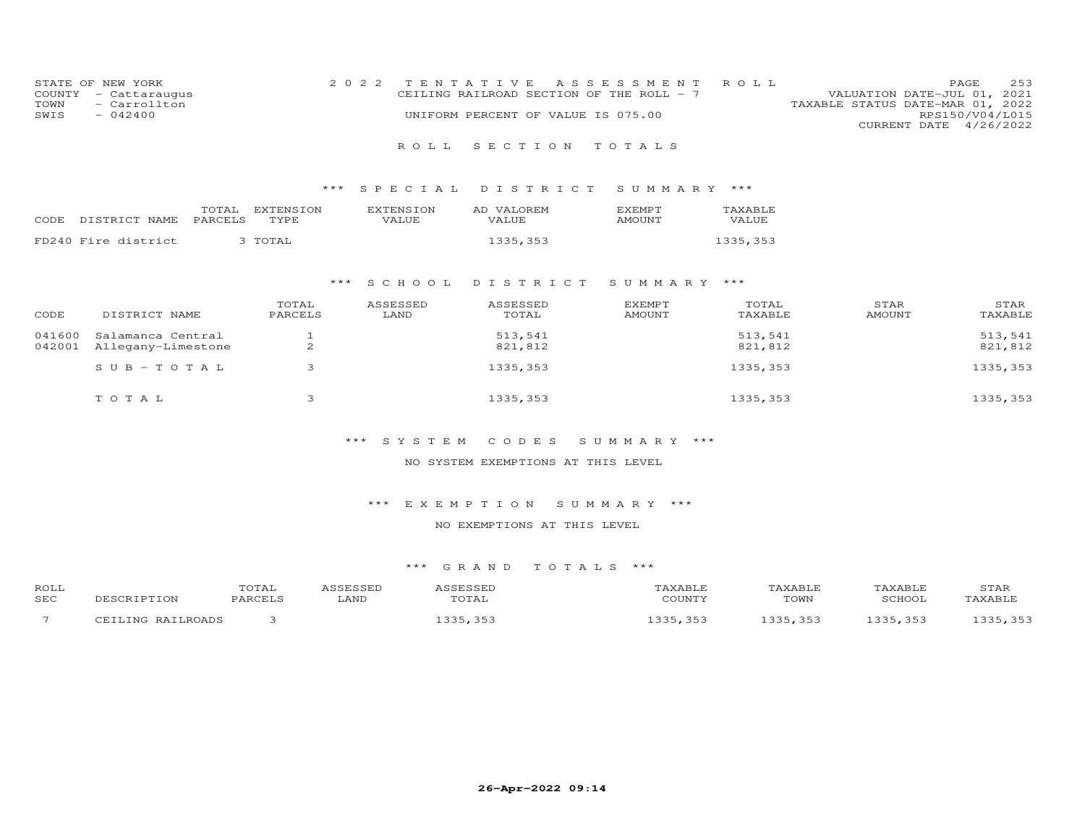|      | STATE OF NEW YORK    | 2022 TENTATIVE ASSESSMENT ROLL           |  |  |                                  |                        | PAGE | 2.53 |
|------|----------------------|------------------------------------------|--|--|----------------------------------|------------------------|------|------|
|      | COUNTY - Cattaraugus | CEILING RAILROAD SECTION OF THE ROLL - 7 |  |  | VALUATION DATE-JUL 01, 2021      |                        |      |      |
| TOWN | - Carrollton         |                                          |  |  | TAXABLE STATUS DATE-MAR 01, 2022 |                        |      |      |
| SWIS | $-042400$            | UNIFORM PERCENT OF VALUE IS 075.00       |  |  |                                  | RPS150/V04/L015        |      |      |
|      |                      |                                          |  |  |                                  | CURRENT DATE 4/26/2022 |      |      |
|      |                      |                                          |  |  |                                  |                        |      |      |

### R O L L S E C T I O N T O T A L S

### \*\*\* S P E C I A L D I S T R I C T S U M M A R Y \*\*\*

| CODE | DISTRICT NAME       | TOTAL<br>PARCELS | EXTENSION<br>TYPE. | <b>EXTENSION</b><br>VALUE | AD VALOREM<br><b>VALUE</b> | <b>FXEMPT</b><br>AMOUNT | <b>TAXABLE</b><br>VALUE |
|------|---------------------|------------------|--------------------|---------------------------|----------------------------|-------------------------|-------------------------|
|      |                     |                  |                    |                           |                            |                         |                         |
|      | FD240 Fire district |                  | 3 TOTAL            |                           | 1335,353                   |                         | 1335,353                |

### \*\*\* S C H O O L D I S T R I C T S U M M A R Y \*\*\*

| CODE   | DISTRICT NAME                           | TOTAL<br>PARCELS | ASSESSED<br>LAND | ASSESSED<br>TOTAL  | <b>EXEMPT</b><br>AMOUNT | TOTAL<br>TAXABLE   | STAR<br>AMOUNT | STAR<br>TAXABLE    |
|--------|-----------------------------------------|------------------|------------------|--------------------|-------------------------|--------------------|----------------|--------------------|
| 041600 | Salamanca Central<br>Allegany-Limestone | $\mathcal{L}$    |                  | 513,541<br>821,812 |                         | 513,541<br>821,812 |                | 513,541<br>821,812 |
| 042001 | $SUB - TO T AL$                         | ▵                |                  | 1335,353           |                         | 1335,353           |                | 1335, 353          |
|        | TOTAL                                   |                  |                  | 1335,353           |                         | 1335,353           |                | 1335, 353          |

### \*\*\* S Y S T E M C O D E S S U M M A R Y \*\*\*

### NO SYSTEM EXEMPTIONS AT THIS LEVEL

### \*\*\* E X E M P T I O N S U M M A R Y \*\*\*

### NO EXEMPTIONS AT THIS LEVEL

| ROLL                     |                   | TOTAL   | J C C F C C F F | A C C L C C L L   | AXABLE <sup>.</sup> | TAXABLE               | TAXABLE | STAR     |
|--------------------------|-------------------|---------|-----------------|-------------------|---------------------|-----------------------|---------|----------|
| SEC                      | DESCRIPTION       | PARCELS | LAND            | TOTAL             | COUNTY              | TOWN                  | SCHOOL  | TAXABLE  |
| $\overline{\phantom{0}}$ | CEILING RAILROADS |         |                 | . 357<br>ママト<br>. | エつつに<br>353         | 1335 353<br>- - - - - | 335 353 | 1335 353 |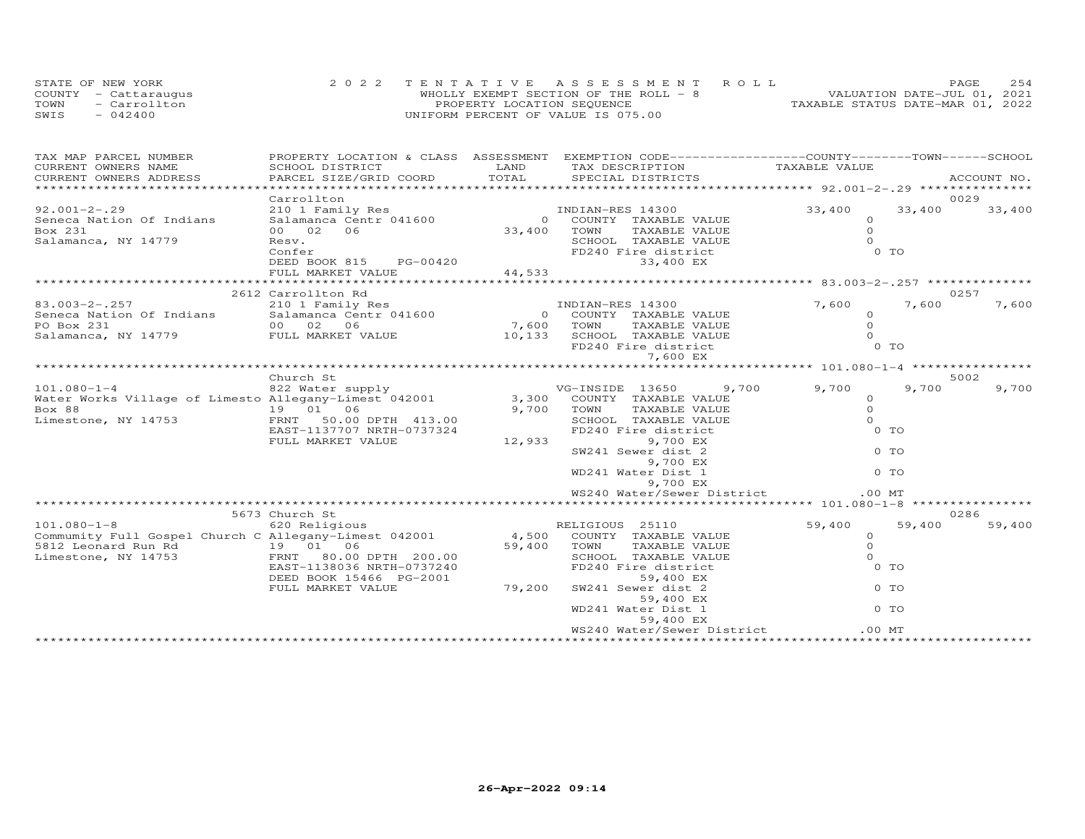| STATE OF NEW YORK    | 2022 TENTATIVE ASSESSMENT ROLL        | 2.54<br><b>PAGE</b>              |  |
|----------------------|---------------------------------------|----------------------------------|--|
| COUNTY - Cattaraugus | WHOLLY EXEMPT SECTION OF THE ROLL - 8 | VALUATION DATE-JUL 01, 2021      |  |
| TOWN<br>- Carrollton | PROPERTY LOCATION SEQUENCE            | TAXABLE STATUS DATE-MAR 01, 2022 |  |
| $-042400$<br>SWIS    | UNIFORM PERCENT OF VALUE IS 075.00    |                                  |  |

| TAX MAP PARCEL NUMBER                                                                                                                                                |                                                                   |                         | PROPERTY LOCATION & CLASS ASSESSMENT EXEMPTION CODE----------------COUNTY-------TOWN------SCHOOL |               |                |             |
|----------------------------------------------------------------------------------------------------------------------------------------------------------------------|-------------------------------------------------------------------|-------------------------|--------------------------------------------------------------------------------------------------|---------------|----------------|-------------|
| CURRENT OWNERS NAME                                                                                                                                                  | SCHOOL DISTRICT                                                   | LAND                    | TAX DESCRIPTION                                                                                  | TAXABLE VALUE |                |             |
| CURRENT OWNERS ADDRESS                                                                                                                                               |                                                                   |                         |                                                                                                  |               |                | ACCOUNT NO. |
|                                                                                                                                                                      |                                                                   |                         |                                                                                                  |               |                |             |
|                                                                                                                                                                      | Carrollton                                                        |                         |                                                                                                  |               |                | 0029        |
| $92.001 - 2 - .29$                                                                                                                                                   | 210 1 Family Res<br>210 1 Family Res<br>210 1 - TIMBIAN-RES 14300 |                         |                                                                                                  | 33,400        | 33,400         | 33,400      |
| Seneca Nation Of Indians                                                                                                                                             | Salamanca Centr 041600                                            | 0 COUNTY<br>33,400 TOWN | 0 COUNTY TAXABLE VALUE                                                                           | $\circ$       |                |             |
| Box 231                                                                                                                                                              | 00 02 06                                                          |                         | TAXABLE VALUE                                                                                    | $\Omega$      |                |             |
| Salamanca, NY 14779                                                                                                                                                  | Resv.                                                             |                         | SCHOOL TAXABLE VALUE<br>FD240 Fire district                                                      | $\Omega$      |                |             |
|                                                                                                                                                                      | Confer                                                            |                         |                                                                                                  | $0$ TO        |                |             |
|                                                                                                                                                                      | DEED BOOK 815 PG-00420                                            |                         | 33,400 EX                                                                                        |               |                |             |
|                                                                                                                                                                      | FULL MARKET VALUE                                                 | 44,533                  |                                                                                                  |               |                |             |
|                                                                                                                                                                      | *************************                                         |                         |                                                                                                  |               |                |             |
|                                                                                                                                                                      | 2612 Carrollton Rd                                                |                         |                                                                                                  |               |                | 0257        |
|                                                                                                                                                                      |                                                                   |                         | INDIAN-RES 14300                                                                                 | 7,600         | 7,600          | 7,600       |
| 83.003-2-.257<br>Seneca Nation Of Indians<br>PO Box 231 00 02 06<br>Salamanca, NY 14779 FULL MARKET VALUE                                                            |                                                                   |                         | 0 COUNTY TAXABLE VALUE                                                                           | $\Omega$      |                |             |
|                                                                                                                                                                      |                                                                   | 7,600 TOWN              |                                                                                                  |               |                |             |
|                                                                                                                                                                      |                                                                   |                         |                                                                                                  |               |                |             |
|                                                                                                                                                                      |                                                                   |                         | 7,600 TOWN TAXABLE VALUE 0<br>10,133 SCHOOL TAXABLE VALUE 0<br>FD240 Fire district 0 TO          |               |                |             |
|                                                                                                                                                                      |                                                                   |                         | 7,600 EX                                                                                         |               |                |             |
|                                                                                                                                                                      |                                                                   |                         |                                                                                                  |               |                |             |
|                                                                                                                                                                      | Church St                                                         |                         |                                                                                                  |               |                | 5002        |
| 101.080-1-4           822 Water supply                VG-INSIDE 13650    9<br>Water Works Village of Limesto Allegany-Limest 042001      3,300  COUNTY TAXABLE VALUE |                                                                   |                         | VG-INSIDE 13650<br>9,700                                                                         | 9,700         | 9,700          | 9,700       |
|                                                                                                                                                                      |                                                                   |                         |                                                                                                  | $\circ$       |                |             |
| Box 88                                                                                                                                                               | 19  01  06                                                        | 9,700 TOWN              | TAXABLE VALUE                                                                                    | $\circ$       |                |             |
| Limestone, NY 14753                                                                                                                                                  | FRNT 50.00 DPTH 413.00                                            |                         | SCHOOL TAXABLE VALUE                                                                             | $\Omega$      |                |             |
|                                                                                                                                                                      | EAST-1137707 NRTH-0737324                                         |                         | FD240 Fire district                                                                              |               | 0 <sub>T</sub> |             |
|                                                                                                                                                                      | FULL MARKET VALUE                                                 | 12,933                  | 9,700 EX                                                                                         |               |                |             |
|                                                                                                                                                                      |                                                                   |                         | SW241 Sewer dist 2                                                                               |               | $0$ TO         |             |
|                                                                                                                                                                      |                                                                   |                         | 9,700 EX                                                                                         |               |                |             |
|                                                                                                                                                                      |                                                                   |                         | WD241 Water Dist 1                                                                               |               | $0$ TO         |             |
|                                                                                                                                                                      |                                                                   |                         | 9,700 EX                                                                                         |               |                |             |
|                                                                                                                                                                      |                                                                   |                         | WS240 Water/Sewer District                                                                       | .00MT         |                |             |
|                                                                                                                                                                      |                                                                   |                         |                                                                                                  |               |                |             |
|                                                                                                                                                                      | 5673 Church St                                                    |                         |                                                                                                  |               |                | 0286        |
| $101.080 - 1 - 8$                                                                                                                                                    | 620 Religious                                                     |                         | RELIGIOUS 25110                                                                                  | 59,400        | 59,400         | 59,400      |
| Commumity Full Gospel Church C Allegany-Limest 042001                                                                                                                |                                                                   |                         | 4,500 COUNTY TAXABLE VALUE                                                                       | $\circ$       |                |             |
| 5812 Leonard Run Rd<br>Limestone, NY 14753 FRNT 80.00                                                                                                                |                                                                   |                         | 59,400 TOWN<br>TAXABLE VALUE                                                                     | $\Omega$      |                |             |
| Limestone, NY 14753                                                                                                                                                  | FRNT 80.00 DPTH 200.00                                            |                         | SCHOOL TAXABLE VALUE                                                                             | $\Omega$      |                |             |
|                                                                                                                                                                      | EAST-1138036 NRTH-0737240                                         |                         | FD240 Fire district                                                                              |               | 0 TO           |             |
|                                                                                                                                                                      | DEED BOOK 15466 PG-2001                                           |                         | 59,400 EX                                                                                        |               |                |             |
|                                                                                                                                                                      | FULL MARKET VALUE                                                 | 79,200                  | SW241 Sewer dist 2                                                                               |               | 0 TO           |             |
|                                                                                                                                                                      |                                                                   |                         | 59,400 EX                                                                                        |               |                |             |
|                                                                                                                                                                      |                                                                   |                         | WD241 Water Dist 1                                                                               |               | $0$ TO         |             |
|                                                                                                                                                                      |                                                                   |                         | 59,400 EX                                                                                        |               |                |             |
|                                                                                                                                                                      |                                                                   |                         | WS240 Water/Sewer District                                                                       | $.00$ MT      |                |             |
|                                                                                                                                                                      |                                                                   |                         |                                                                                                  |               |                |             |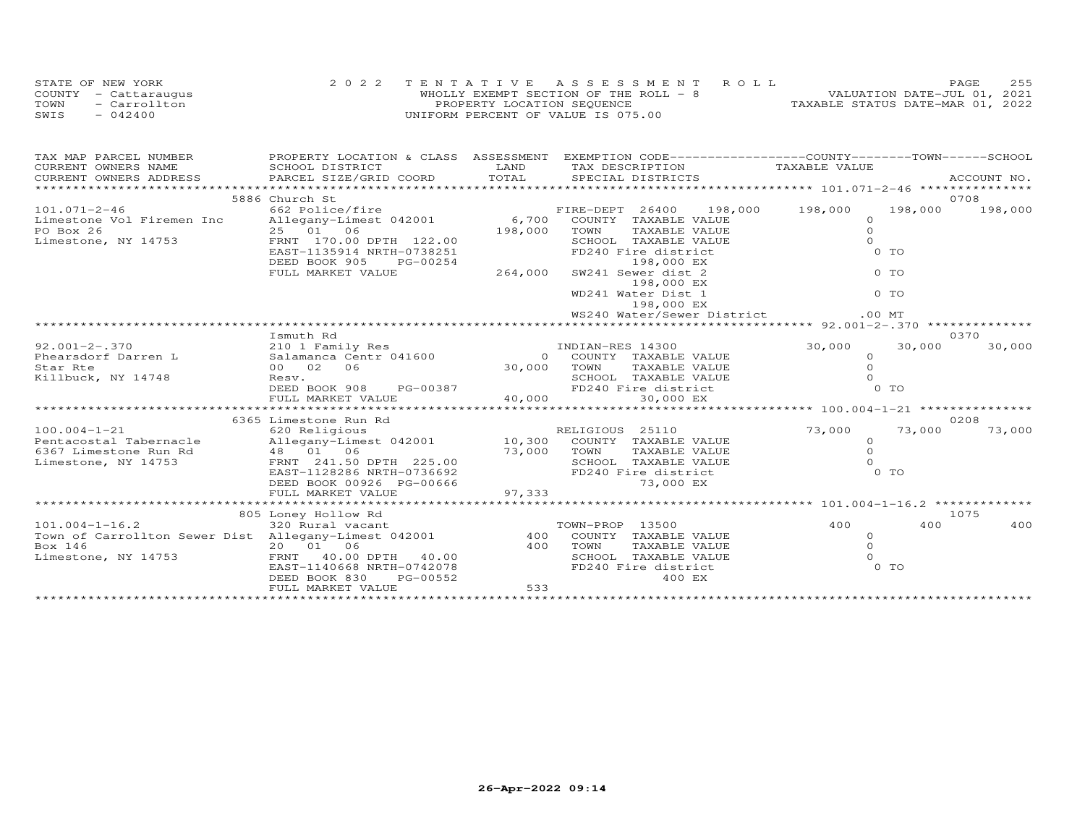|      | STATE OF NEW YORK    | 2022 TENTATIVE ASSESSMENT ROLL        | 255<br>PAGE                      |
|------|----------------------|---------------------------------------|----------------------------------|
|      | COUNTY - Cattaraugus | WHOLLY EXEMPT SECTION OF THE ROLL - 8 | VALUATION DATE-JUL 01, 2021      |
| TOWN | - Carrollton         | PROPERTY LOCATION SEQUENCE            | TAXABLE STATUS DATE-MAR 01, 2022 |
| SWIS | $-042400$            | UNIFORM PERCENT OF VALUE IS 075.00    |                                  |

| TAX MAP PARCEL NUMBER                                                                                                                                                                                                                                                               |                                                                          |             | PROPERTY LOCATION & CLASS ASSESSMENT EXEMPTION CODE----------------COUNTY-------TOWN-----SCHOOL |                      |                |         |
|-------------------------------------------------------------------------------------------------------------------------------------------------------------------------------------------------------------------------------------------------------------------------------------|--------------------------------------------------------------------------|-------------|-------------------------------------------------------------------------------------------------|----------------------|----------------|---------|
| CURRENT OWNERS NAME                                                                                                                                                                                                                                                                 | SCHOOL DISTRICT                                                          | <b>LAND</b> | TAX DESCRIPTION                                                                                 | TAXABLE VALUE        |                |         |
| CURRENT OWNERS ADDRESS                                                                                                                                                                                                                                                              |                                                                          |             |                                                                                                 |                      |                |         |
|                                                                                                                                                                                                                                                                                     |                                                                          |             |                                                                                                 |                      |                |         |
|                                                                                                                                                                                                                                                                                     | 5886 Church St                                                           |             |                                                                                                 |                      |                | 0708    |
| $101.071 - 2 - 46$                                                                                                                                                                                                                                                                  | 662 Police/fire                                                          |             | FIRE-DEPT 26400 198,000 198,000                                                                 |                      | 198,000        | 198,000 |
| Limestone Vol Firemen Inc                                                                                                                                                                                                                                                           | Allegany-Limest 042001 6,700 COUNTY TAXABLE VALUE                        |             |                                                                                                 | $\Omega$             |                |         |
| PO Box 26                                                                                                                                                                                                                                                                           | 25 01 06<br>25    01     06<br>FRNT   170.00  DPTH   122.00              | 198,000     | TOWN<br>TAXABLE VALUE                                                                           | $\circ$              |                |         |
| Limestone, NY 14753                                                                                                                                                                                                                                                                 |                                                                          |             | SCHOOL TAXABLE VALUE                                                                            | $\Omega$             |                |         |
|                                                                                                                                                                                                                                                                                     | EAST-1135914 NRTH-0738251<br>DEED BOOK 905<br>PG-00254                   |             | FD240 Fire district                                                                             |                      | 0 TO           |         |
|                                                                                                                                                                                                                                                                                     | FULL MARKET VALUE                                                        | 264,000     | 198,000 EX<br>SW241 Sewer dist 2                                                                |                      | $0$ TO         |         |
|                                                                                                                                                                                                                                                                                     |                                                                          |             | 198,000 EX                                                                                      |                      |                |         |
|                                                                                                                                                                                                                                                                                     |                                                                          |             | WD241 Water Dist 1                                                                              |                      | $0$ TO         |         |
|                                                                                                                                                                                                                                                                                     |                                                                          |             | 198,000 EX                                                                                      |                      |                |         |
|                                                                                                                                                                                                                                                                                     |                                                                          |             | WS240 Water/Sewer District                                                                      | $.00$ MT             |                |         |
|                                                                                                                                                                                                                                                                                     |                                                                          |             |                                                                                                 |                      |                |         |
|                                                                                                                                                                                                                                                                                     | Ismuth Rd                                                                |             |                                                                                                 |                      |                | 0370    |
| $92,001 - 2 - .370$                                                                                                                                                                                                                                                                 | 210 1 Family Res                                                         |             | INDIAN-RES 14300                                                                                | 30,000               | 30,000         | 30,000  |
| Phearsdorf Darren L                                                                                                                                                                                                                                                                 | Salamanca Centr 041600                                                   |             | 0 COUNTY TAXABLE VALUE<br>30,000 TOWN TAXABLE VALUE                                             | $\circ$              |                |         |
| Star Rte                                                                                                                                                                                                                                                                            | 00 02 06                                                                 |             |                                                                                                 | $\circ$              |                |         |
| Killbuck, NY 14748                                                                                                                                                                                                                                                                  | Resv.                                                                    |             | TOWN TAXABLE VALUE<br>SCHOOL TAXABLE VALUE (<br>FD240 Fire district                             | $\Omega$             |                |         |
|                                                                                                                                                                                                                                                                                     | DEED BOOK 908 PG-00387                                                   |             |                                                                                                 |                      | 0 <sub>T</sub> |         |
|                                                                                                                                                                                                                                                                                     | FULL MARKET VALUE                                                        |             |                                                                                                 |                      |                |         |
|                                                                                                                                                                                                                                                                                     |                                                                          |             |                                                                                                 |                      |                |         |
|                                                                                                                                                                                                                                                                                     | 6365 Limestone Run Rd                                                    |             |                                                                                                 |                      |                | 0208    |
| $100.004 - 1 - 21$                                                                                                                                                                                                                                                                  | 620 Religious                                                            |             | RELIGIOUS 25110                                                                                 | 73,000               | 73,000         | 73,000  |
| Pentacostal Tabernacle allegany-Limest 042001 10,300 COUNTY TAXABLE VALUE                                                                                                                                                                                                           |                                                                          |             | TAXABLE VALUE                                                                                   | $\Omega$<br>$\Omega$ |                |         |
| 6367 Limestone Run Rd $\begin{array}{ccc} 48 & 01 & 06 \\ 1.50 & 25.00 & 73,000 \\ 1.50 & 225.00 & 500 \\ 2.50 & 2.500 & 2.50 \\ 6.50 & 2.500 & 2.50 \\ 2.50 & 2.500 & 2.50 \\ 2.50 & 2.500 & 2.50 \\ 2.50 & 2.500 & 2.50 \\ 2.50 & 2.500 & 2.50 \\ 2.50 & 2.500 & 2.50 \\ 2.50 & $ |                                                                          |             | SCHOOL TAXABLE VALUE                                                                            |                      |                |         |
|                                                                                                                                                                                                                                                                                     |                                                                          |             | FD240 Fire district                                                                             |                      | $0$ TO         |         |
|                                                                                                                                                                                                                                                                                     |                                                                          |             | 73,000 EX                                                                                       |                      |                |         |
|                                                                                                                                                                                                                                                                                     | DEED BOOK 00926 PG-00666<br>FULL MARKET VALUE 97,333                     |             |                                                                                                 |                      |                |         |
|                                                                                                                                                                                                                                                                                     |                                                                          |             |                                                                                                 |                      |                |         |
|                                                                                                                                                                                                                                                                                     | 805 Loney Hollow Rd                                                      |             |                                                                                                 |                      |                | 1075    |
| $101.004 - 1 - 16.2$                                                                                                                                                                                                                                                                | 320 Rural vacant                                                         |             | TOWN-PROP 13500                                                                                 | 400                  | 400            | 400     |
| Town of Carrollton Sewer Dist Allegany-Limest 042001 400 COUNTY TAXABLE VALUE                                                                                                                                                                                                       |                                                                          |             |                                                                                                 | $\circ$              |                |         |
| Box 146                                                                                                                                                                                                                                                                             | $20$ $01$ $06$<br>FRNT $40.00$ DPTH $40.00$<br>EAST-1140668 NRTH-0742078 |             | TOWN<br>TAXABLE VALUE                                                                           | $\circ$              |                |         |
| Limestone, NY 14753                                                                                                                                                                                                                                                                 |                                                                          |             | SCHOOL TAXABLE VALUE                                                                            | $\Omega$             |                |         |
|                                                                                                                                                                                                                                                                                     |                                                                          |             | FD240 Fire district                                                                             |                      | 0 TO           |         |
|                                                                                                                                                                                                                                                                                     | DEED BOOK 830<br>PG-00552                                                |             | 400 EX                                                                                          |                      |                |         |
|                                                                                                                                                                                                                                                                                     | FULL MARKET VALUE                                                        | 533         |                                                                                                 |                      |                |         |
|                                                                                                                                                                                                                                                                                     |                                                                          |             |                                                                                                 |                      |                |         |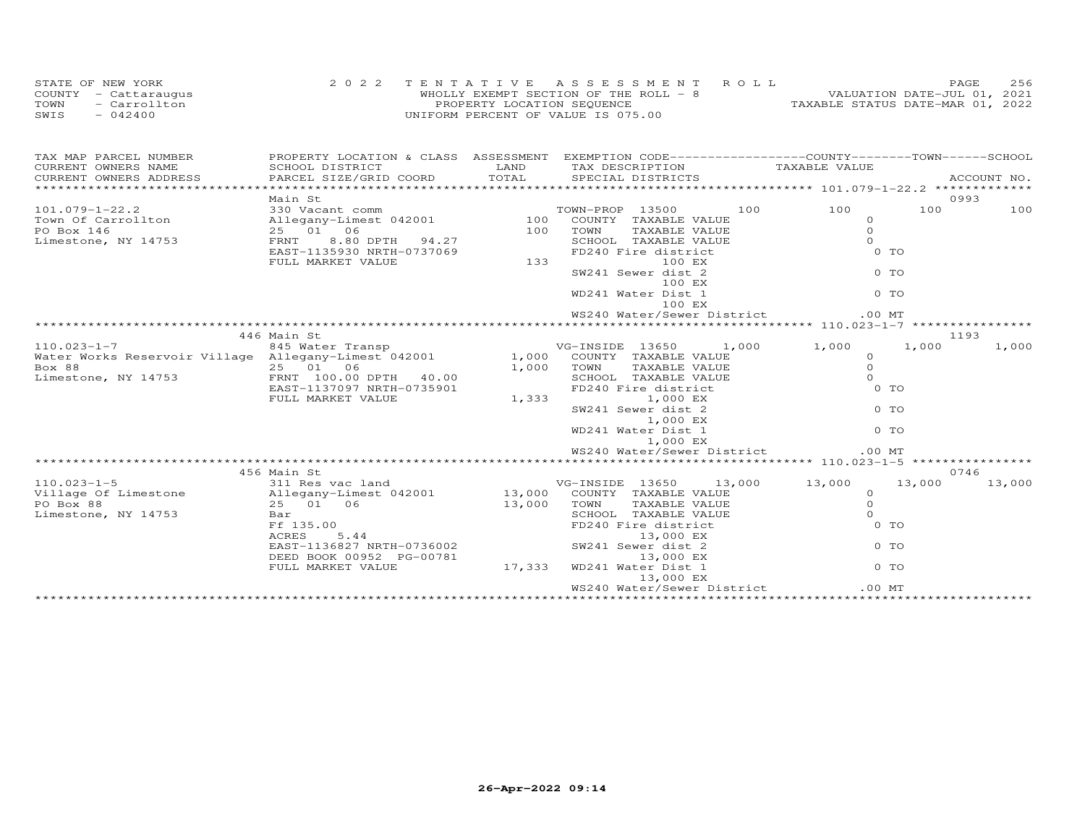| STATE OF NEW YORK    | 2022 TENTATIVE ASSESSMENT ROLL        | PAGE.                            | 256 |
|----------------------|---------------------------------------|----------------------------------|-----|
| COUNTY - Cattaraugus | WHOLLY EXEMPT SECTION OF THE ROLL - 8 | VALUATION DATE-JUL 01, 2021      |     |
| TOWN<br>- Carrollton | PROPERTY LOCATION SEOUENCE            | TAXABLE STATUS DATE-MAR 01, 2022 |     |
| SWIS<br>$-042400$    | UNIFORM PERCENT OF VALUE IS 075.00    |                                  |     |

| TAX MAP PARCEL NUMBER<br>CURRENT OWNERS NAME                                                                                                                                                                                             | PROPERTY LOCATION & CLASS ASSESSMENT EXEMPTION CODE----------------COUNTY-------TOWN------SCHOOL<br>SCHOOL DISTRICT                                                                             |       |          |                    |                                                                                                   |        |        |
|------------------------------------------------------------------------------------------------------------------------------------------------------------------------------------------------------------------------------------------|-------------------------------------------------------------------------------------------------------------------------------------------------------------------------------------------------|-------|----------|--------------------|---------------------------------------------------------------------------------------------------|--------|--------|
|                                                                                                                                                                                                                                          |                                                                                                                                                                                                 |       |          |                    | LAND TAX DESCRIPTION TAXABLE VALUE COORD TOTAL SPECIAL DISTRICTS                                  |        |        |
|                                                                                                                                                                                                                                          |                                                                                                                                                                                                 |       |          |                    |                                                                                                   |        |        |
|                                                                                                                                                                                                                                          | Main St                                                                                                                                                                                         |       |          |                    |                                                                                                   |        | 0993   |
|                                                                                                                                                                                                                                          |                                                                                                                                                                                                 |       |          |                    |                                                                                                   | 100    | 100    |
|                                                                                                                                                                                                                                          |                                                                                                                                                                                                 |       |          |                    |                                                                                                   |        |        |
|                                                                                                                                                                                                                                          |                                                                                                                                                                                                 |       |          |                    | $\circ$                                                                                           |        |        |
|                                                                                                                                                                                                                                          |                                                                                                                                                                                                 |       |          |                    |                                                                                                   |        |        |
|                                                                                                                                                                                                                                          |                                                                                                                                                                                                 |       |          |                    | $0$ TO                                                                                            |        |        |
| 101.079-1-22.2<br>Town Of Carrollton allegany-Limest 042001 100 COUNTY TAXABLE VALUE<br>PO Box 146 25 01 06 25 01 100 TOWN TAXABLE VALUE<br>Limestone, NY 14753 FRNT 8.80 DPTH 94.27 50HOOL TAXABLE VALUE<br>EXEST-1135930 NRTH-073706   |                                                                                                                                                                                                 |       |          |                    | $\begin{array}{c} 0 \\ 0 \\ 0 \\ 0 \end{array}$                                                   |        |        |
|                                                                                                                                                                                                                                          |                                                                                                                                                                                                 |       |          | SW241 Sewer dist 2 |                                                                                                   |        |        |
|                                                                                                                                                                                                                                          |                                                                                                                                                                                                 |       |          | 100 EX             |                                                                                                   |        |        |
|                                                                                                                                                                                                                                          |                                                                                                                                                                                                 |       |          | WD241 Water Dist 1 |                                                                                                   |        |        |
|                                                                                                                                                                                                                                          |                                                                                                                                                                                                 |       |          | 100 EX             |                                                                                                   |        |        |
|                                                                                                                                                                                                                                          |                                                                                                                                                                                                 |       |          |                    | WS240 Water/Sewer District<br>$.00$ MT                                                            |        |        |
|                                                                                                                                                                                                                                          |                                                                                                                                                                                                 |       |          |                    |                                                                                                   |        |        |
|                                                                                                                                                                                                                                          | 446 Main St                                                                                                                                                                                     |       |          |                    |                                                                                                   | 1193   |        |
| 110.023-1-7 845 Water Transp vG-INSIDE 13650 1,000 1,000 1,000 1,000<br>Water Works Reservoir Village Allegany-Limest 042001 1,000 COUNTY TAXABLE VALUE 0                                                                                |                                                                                                                                                                                                 |       |          |                    |                                                                                                   |        | 1,000  |
|                                                                                                                                                                                                                                          |                                                                                                                                                                                                 |       |          |                    | COUNTY TAXABLE VALUE<br>TOWN TAXABLE VALUE 0<br>SCHOOL TAXABLE VALUE 0<br>FD240 Fire district 0 T |        |        |
|                                                                                                                                                                                                                                          |                                                                                                                                                                                                 |       |          |                    |                                                                                                   |        |        |
| Box 88<br>Limestone, NY 14753 $\begin{array}{cccc} 25 & 01 & 06 & 1,000 & 1000 \end{array}$ SCHOOL TAXABLE VALUE                                                                                                                         |                                                                                                                                                                                                 |       |          |                    |                                                                                                   |        |        |
|                                                                                                                                                                                                                                          | EAST-1137097 NRTH-0735901<br>FULL MARKET VALUE                                                                                                                                                  |       |          |                    | 0 TO                                                                                              |        |        |
|                                                                                                                                                                                                                                          |                                                                                                                                                                                                 | 1,333 |          | 1,000 EX           |                                                                                                   |        |        |
|                                                                                                                                                                                                                                          |                                                                                                                                                                                                 |       |          | SW241 Sewer dist 2 | 0 TO                                                                                              |        |        |
|                                                                                                                                                                                                                                          |                                                                                                                                                                                                 |       |          | 1,000 EX           |                                                                                                   |        |        |
|                                                                                                                                                                                                                                          |                                                                                                                                                                                                 |       |          | WD241 Water Dist 1 | 0 TO                                                                                              |        |        |
|                                                                                                                                                                                                                                          |                                                                                                                                                                                                 |       | 1,000 EX |                    |                                                                                                   |        |        |
|                                                                                                                                                                                                                                          |                                                                                                                                                                                                 |       |          |                    | WS240 Water/Sewer District<br>.00MT                                                               |        |        |
|                                                                                                                                                                                                                                          |                                                                                                                                                                                                 |       |          |                    |                                                                                                   |        |        |
|                                                                                                                                                                                                                                          | 456 Main St                                                                                                                                                                                     |       |          |                    |                                                                                                   |        | 0746   |
| 110.023-1-5<br>VG-INSIDE 13650 13,000 13,000 13,000<br>VG-INSIDE 13650 13,000 13,000 13,000<br>VG-INSIDE 13650 13,000 13,000 13,000 13,000 13,000 13,000 13,000 13,000<br>PO Box 88 25 01 06 13,000 TOWN TAXABLE VALUE 0<br>Limestone, N |                                                                                                                                                                                                 |       |          |                    |                                                                                                   | 13,000 | 13,000 |
|                                                                                                                                                                                                                                          |                                                                                                                                                                                                 |       |          |                    |                                                                                                   |        |        |
|                                                                                                                                                                                                                                          |                                                                                                                                                                                                 |       |          |                    |                                                                                                   |        |        |
|                                                                                                                                                                                                                                          |                                                                                                                                                                                                 |       |          |                    |                                                                                                   |        |        |
|                                                                                                                                                                                                                                          |                                                                                                                                                                                                 |       |          |                    |                                                                                                   |        |        |
|                                                                                                                                                                                                                                          |                                                                                                                                                                                                 |       |          |                    |                                                                                                   |        |        |
|                                                                                                                                                                                                                                          |                                                                                                                                                                                                 |       |          |                    |                                                                                                   |        |        |
|                                                                                                                                                                                                                                          |                                                                                                                                                                                                 |       |          |                    |                                                                                                   |        |        |
|                                                                                                                                                                                                                                          |                                                                                                                                                                                                 |       |          |                    |                                                                                                   |        |        |
|                                                                                                                                                                                                                                          | 25 01 02<br>Bar<br>Ff 135.00 F185.00 F1240 Fire district<br>ACRES 5.44 13,000 EX<br>EAST-1136827 NRTH-0736002 SW241 Sever dist 2 0 TO<br>TIP BOOK 00952 PG-00781 17 333 WD241 Water Dist 1 0 TO |       |          |                    |                                                                                                   |        |        |
|                                                                                                                                                                                                                                          |                                                                                                                                                                                                 |       |          |                    | WS240 Water/Sewer District<br>$.00$ MT                                                            |        |        |
|                                                                                                                                                                                                                                          |                                                                                                                                                                                                 |       |          |                    |                                                                                                   |        |        |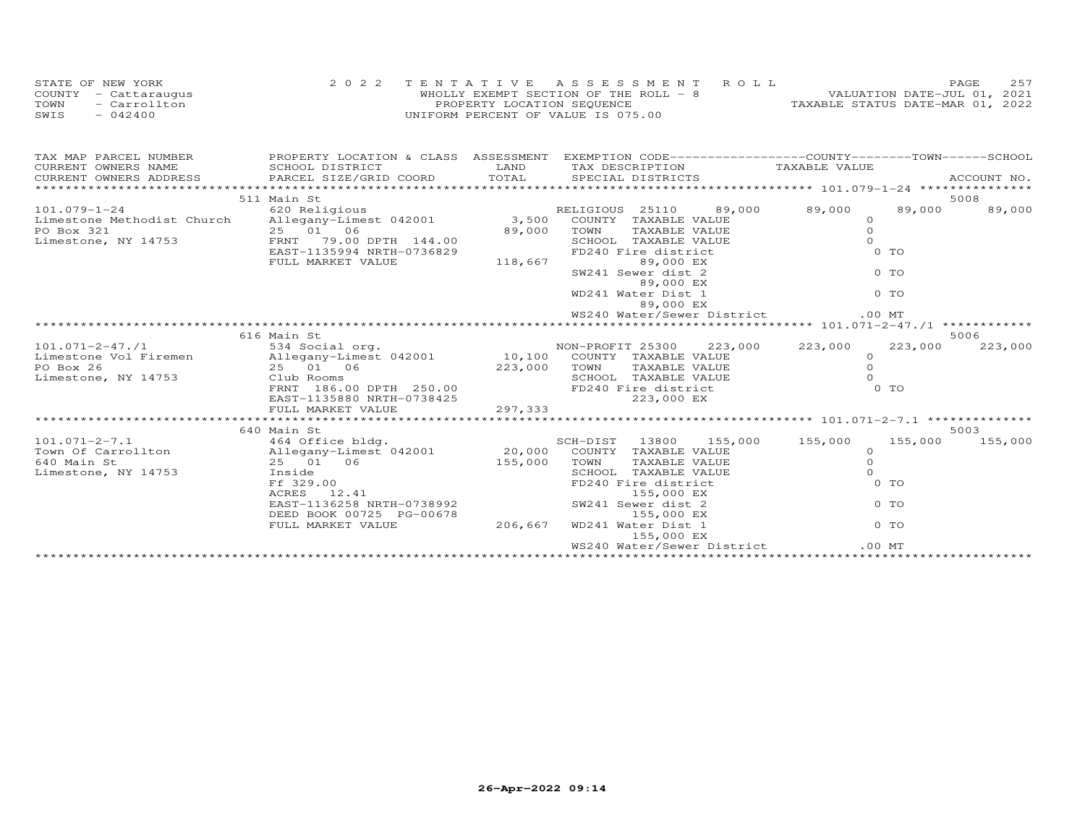|      | STATE OF NEW YORK    | 2022 TENTATIVE ASSESSMENT ROLL        | 257<br><b>PAGE</b>               |
|------|----------------------|---------------------------------------|----------------------------------|
|      | COUNTY - Cattaraugus | WHOLLY EXEMPT SECTION OF THE ROLL - 8 | VALUATION DATE-JUL 01, 2021      |
| TOWN | - Carrollton         | PROPERTY LOCATION SEQUENCE            | TAXABLE STATUS DATE-MAR 01, 2022 |
| SWIS | $-042400$            | UNIFORM PERCENT OF VALUE IS 075.00    |                                  |

| 511 Main St                                                                                                                                                                                                                                                                          |                                                                                                       |          | 5008   |
|--------------------------------------------------------------------------------------------------------------------------------------------------------------------------------------------------------------------------------------------------------------------------------------|-------------------------------------------------------------------------------------------------------|----------|--------|
| 101.079-1-24<br>Limestone Methodist Church Allegany-Limest 042001 3,500 COUNTY TAXABLE VALUE 0                                                                                                                                                                                       |                                                                                                       |          | 89,000 |
| PO Box 321 25 01 06 89,000 TOWN TAXABLE VALUE<br>Limestone, NY 14753 ERNT 7135994 NRTH-0736829 EDIL MARKET VALUE<br>ENST 135994 NRTH-0736829 EVILL MARKET VALUE<br>EVILL MARKET VALUE<br>EVILL MARKET VALUE<br>EVILL MARKET VALUE<br>EVILL                                           |                                                                                                       |          |        |
|                                                                                                                                                                                                                                                                                      |                                                                                                       | $\Omega$ |        |
|                                                                                                                                                                                                                                                                                      |                                                                                                       | $\Omega$ |        |
|                                                                                                                                                                                                                                                                                      |                                                                                                       | $0$ TO   |        |
|                                                                                                                                                                                                                                                                                      |                                                                                                       |          |        |
|                                                                                                                                                                                                                                                                                      |                                                                                                       |          |        |
|                                                                                                                                                                                                                                                                                      |                                                                                                       |          |        |
|                                                                                                                                                                                                                                                                                      | $89,000$ EX<br>$80,000$ EX<br>$89,000$ EX<br>$89,000$ EX<br>WD241 Water Dist 1<br>$89,000$ EX<br>0 TO |          |        |
|                                                                                                                                                                                                                                                                                      |                                                                                                       |          |        |
|                                                                                                                                                                                                                                                                                      |                                                                                                       |          |        |
|                                                                                                                                                                                                                                                                                      |                                                                                                       |          |        |
| 616 Main St                                                                                                                                                                                                                                                                          |                                                                                                       |          | 5006   |
|                                                                                                                                                                                                                                                                                      |                                                                                                       |          |        |
|                                                                                                                                                                                                                                                                                      |                                                                                                       |          |        |
|                                                                                                                                                                                                                                                                                      |                                                                                                       |          |        |
|                                                                                                                                                                                                                                                                                      |                                                                                                       |          |        |
|                                                                                                                                                                                                                                                                                      |                                                                                                       |          |        |
|                                                                                                                                                                                                                                                                                      |                                                                                                       |          |        |
|                                                                                                                                                                                                                                                                                      |                                                                                                       |          |        |
| 101.071-2-47./1<br>101.071-2-47./1<br>Limestone Vol Firemen allegany-Limest 042001<br>PO Box 26 223,000 223,000 223,000 223,000 223,000<br>223,000 TOWN TAXABLE VALUE<br>223,000 TOWN TAXABLE VALUE<br>223,000 TOWN TAXABLE VALUE<br>223,00                                          |                                                                                                       |          |        |
| 640 Main St                                                                                                                                                                                                                                                                          |                                                                                                       |          | 5003   |
|                                                                                                                                                                                                                                                                                      |                                                                                                       |          |        |
|                                                                                                                                                                                                                                                                                      |                                                                                                       |          |        |
|                                                                                                                                                                                                                                                                                      |                                                                                                       |          |        |
|                                                                                                                                                                                                                                                                                      |                                                                                                       |          |        |
|                                                                                                                                                                                                                                                                                      |                                                                                                       |          |        |
|                                                                                                                                                                                                                                                                                      |                                                                                                       |          |        |
|                                                                                                                                                                                                                                                                                      |                                                                                                       |          |        |
|                                                                                                                                                                                                                                                                                      |                                                                                                       |          |        |
|                                                                                                                                                                                                                                                                                      |                                                                                                       |          |        |
| $\begin{array}{cccccc} 101.071-2-7.1 & 640 \text{ Main St} & 101.071-2-7.1 & 640 \text{ Main St} & 155,000 & 155,000 & 155,000 & 155,000 & 155,000 & 155,000 & 155,000 & 155,000 & 155,000 & 155,000 & 155,000 & 155,000 & 155,000 & 155,000 & 155,000 & 155,000 & 155,000 & 155,00$ | 155,000 EX                                                                                            |          |        |
|                                                                                                                                                                                                                                                                                      |                                                                                                       |          |        |
|                                                                                                                                                                                                                                                                                      |                                                                                                       |          |        |
|                                                                                                                                                                                                                                                                                      |                                                                                                       |          |        |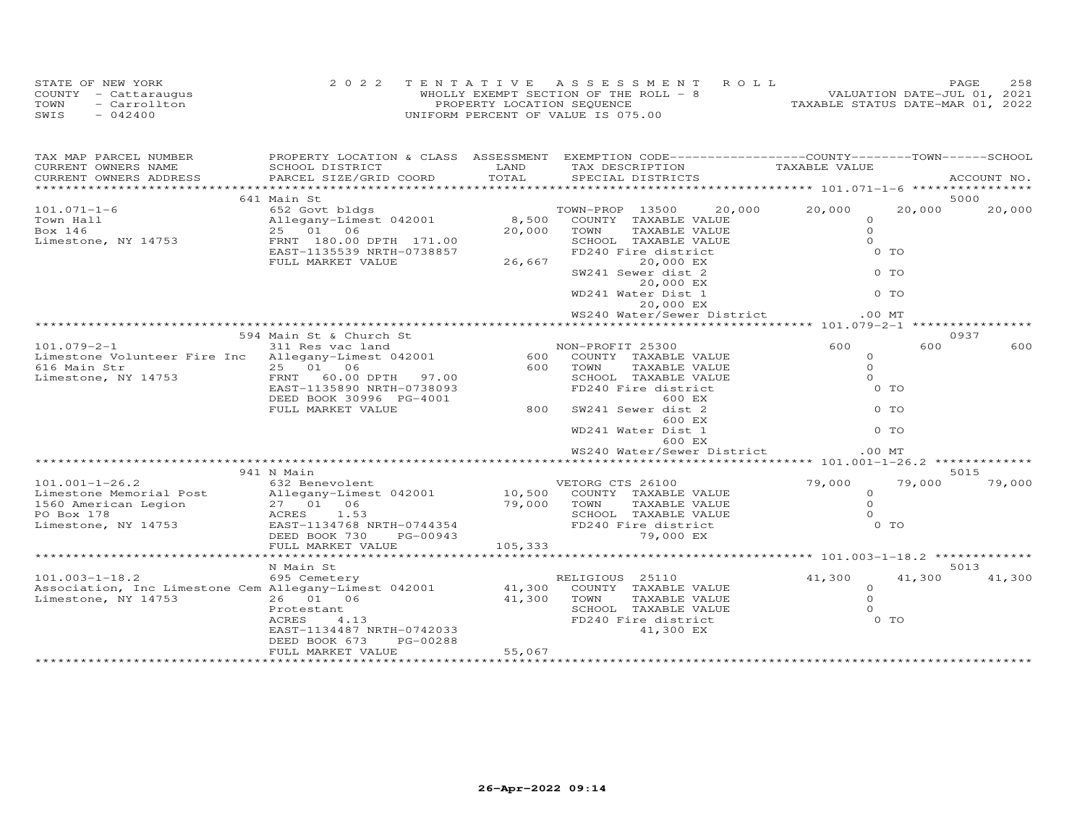| STATE OF NEW YORK    | 2022 TENTATIVE ASSESSMENT ROLL        | PAGE                             | 2.58 |
|----------------------|---------------------------------------|----------------------------------|------|
| COUNTY - Cattaraugus | WHOLLY EXEMPT SECTION OF THE ROLL - 8 | VALUATION DATE-JUL 01, 2021      |      |
| TOWN<br>- Carrollton | PROPERTY LOCATION SEQUENCE            | TAXABLE STATUS DATE-MAR 01, 2022 |      |
| $-042400$<br>SWIS    | UNIFORM PERCENT OF VALUE IS 075.00    |                                  |      |

| TAX MAP PARCEL NUMBER                                                                                                                                   | PROPERTY LOCATION & CLASS ASSESSMENT |             |                                             | EXEMPTION CODE------------------COUNTY-------TOWN------SCHOOL |                     |                |             |
|---------------------------------------------------------------------------------------------------------------------------------------------------------|--------------------------------------|-------------|---------------------------------------------|---------------------------------------------------------------|---------------------|----------------|-------------|
| CURRENT OWNERS NAME                                                                                                                                     | SCHOOL DISTRICT                      | LAND        | TAX DESCRIPTION                             |                                                               | TAXABLE VALUE       |                |             |
| CURRENT OWNERS ADDRESS                                                                                                                                  | PARCEL SIZE/GRID COORD               | TOTAL       | SPECIAL DISTRICTS                           |                                                               |                     |                | ACCOUNT NO. |
|                                                                                                                                                         |                                      |             |                                             |                                                               |                     |                |             |
|                                                                                                                                                         | 641 Main St                          |             |                                             |                                                               |                     |                | 5000        |
| $101.071 - 1 - 6$                                                                                                                                       | 652 Govt bldgs                       |             | TOWN-PROP 13500                             | 20,000                                                        | 20,000              | 20,000         | 20,000      |
| Town Hall<br>Box 146                                                                                                                                    | Allegany-Limest 042001<br>25 01 06   | 20,000      | 8,500 COUNTY TAXABLE VALUE<br>TOWN          | TAXABLE VALUE                                                 | $\circ$<br>$\Omega$ |                |             |
|                                                                                                                                                         | FRNT 180.00 DPTH 171.00              |             |                                             |                                                               | $\Omega$            |                |             |
| Limestone, NY 14753                                                                                                                                     | EAST-1135539 NRTH-0738857            |             | SCHOOL TAXABLE VALUE<br>FD240 Fire district |                                                               |                     | 0 TO           |             |
|                                                                                                                                                         | FULL MARKET VALUE                    | 26,667      |                                             | 20,000 EX                                                     |                     |                |             |
|                                                                                                                                                         |                                      |             | SW241 Sewer dist 2                          |                                                               |                     | $0$ TO         |             |
|                                                                                                                                                         |                                      |             |                                             | 20,000 EX                                                     |                     |                |             |
|                                                                                                                                                         |                                      |             | WD241 Water Dist 1                          |                                                               |                     | $0$ TO         |             |
|                                                                                                                                                         |                                      |             |                                             | 20,000 EX                                                     |                     |                |             |
|                                                                                                                                                         |                                      |             |                                             | WS240 Water/Sewer District                                    |                     | .00MT          |             |
|                                                                                                                                                         |                                      |             |                                             |                                                               |                     |                |             |
|                                                                                                                                                         | 594 Main St & Church St              |             |                                             |                                                               |                     |                | 0937        |
| $101.079 - 2 - 1$                                                                                                                                       | 311 Res vac land                     |             | NON-PROFIT 25300                            |                                                               | 600                 | 600            | 600         |
| Limestone Volunteer Fire Inc Allegany-Limest 042001                                                                                                     |                                      |             | 600 COUNTY TAXABLE VALUE                    |                                                               | $\circ$             |                |             |
| 616 Main Str                                                                                                                                            | 25 01 06                             | 600         | TOWN                                        | TAXABLE VALUE                                                 | $\Omega$            |                |             |
| Limestone, NY 14753                                                                                                                                     | 97.00<br>FRNT 60.00 DPTH             |             | SCHOOL TAXABLE VALUE                        |                                                               | $\Omega$            |                |             |
|                                                                                                                                                         | EAST-1135890 NRTH-0738093            |             | FD240 Fire district                         |                                                               |                     | 0 TO           |             |
|                                                                                                                                                         | DEED BOOK 30996 PG-4001              |             |                                             | 600 EX                                                        |                     |                |             |
|                                                                                                                                                         | FULL MARKET VALUE                    | 800         | SW241 Sewer dist 2                          |                                                               |                     | $0$ TO         |             |
|                                                                                                                                                         |                                      |             |                                             | 600 EX                                                        |                     |                |             |
|                                                                                                                                                         |                                      |             | WD241 Water Dist 1                          |                                                               |                     | 0 <sub>T</sub> |             |
|                                                                                                                                                         |                                      |             |                                             | 600 EX                                                        |                     |                |             |
|                                                                                                                                                         |                                      |             |                                             | WS240 Water/Sewer District                                    |                     | .00MT          |             |
|                                                                                                                                                         |                                      |             |                                             |                                                               |                     |                |             |
|                                                                                                                                                         | 941 N Main                           |             |                                             |                                                               |                     |                | 5015        |
| $101.001 - 1 - 26.2$                                                                                                                                    | 632 Benevolent                       |             | VETORG CTS 26100                            |                                                               | 79,000              | 79,000         | 79,000      |
|                                                                                                                                                         |                                      |             | 10,500 COUNTY TAXABLE VALUE                 |                                                               | $\circ$             |                |             |
|                                                                                                                                                         |                                      |             | 79,000 TOWN                                 | TAXABLE VALUE                                                 | $\Omega$            |                |             |
|                                                                                                                                                         |                                      |             | SCHOOL TAXABLE VALUE                        |                                                               | $\Omega$            |                |             |
| Limestone Memorial Post<br>1560 American Legion 1560 American Legion 27 01 06<br>PO Box 178 ACRES 1.53<br>Limestone, NY 14753 EAST-1134768 NRTH-0744354 |                                      |             | FD240 Fire district                         |                                                               |                     | 0 <sub>T</sub> |             |
|                                                                                                                                                         | DEED BOOK 730<br>PG-00943            |             |                                             | 79,000 EX                                                     |                     |                |             |
|                                                                                                                                                         | FULL MARKET VALUE                    | 105,333     |                                             |                                                               |                     |                |             |
|                                                                                                                                                         | ***********************              |             |                                             |                                                               |                     |                |             |
|                                                                                                                                                         | N Main St                            |             |                                             |                                                               |                     |                | 5013        |
| $101.003 - 1 - 18.2$                                                                                                                                    | 695 Cemetery                         |             | RELIGIOUS 25110                             |                                                               | 41,300              | 41,300         | 41,300      |
| Association, Inc Limestone Cem Allegany-Limest 042001                                                                                                   |                                      |             | 41,300 COUNTY TAXABLE VALUE                 |                                                               | $\circ$             |                |             |
| Limestone, NY 14753                                                                                                                                     | 26 01 06                             | 41,300 TOWN |                                             | TAXABLE VALUE                                                 | $\circ$             |                |             |
|                                                                                                                                                         | Protestant                           |             | SCHOOL TAXABLE VALUE                        |                                                               | $\Omega$            |                |             |
|                                                                                                                                                         | 4.13<br>ACRES                        |             | FD240 Fire district                         |                                                               |                     | $0$ TO         |             |
|                                                                                                                                                         | EAST-1134487 NRTH-0742033            |             |                                             | 41,300 EX                                                     |                     |                |             |
|                                                                                                                                                         | PG-00288<br>DEED BOOK 673            |             |                                             |                                                               |                     |                |             |
|                                                                                                                                                         | FULL MARKET VALUE                    | 55,067      |                                             |                                                               |                     |                |             |
|                                                                                                                                                         |                                      |             |                                             |                                                               |                     |                |             |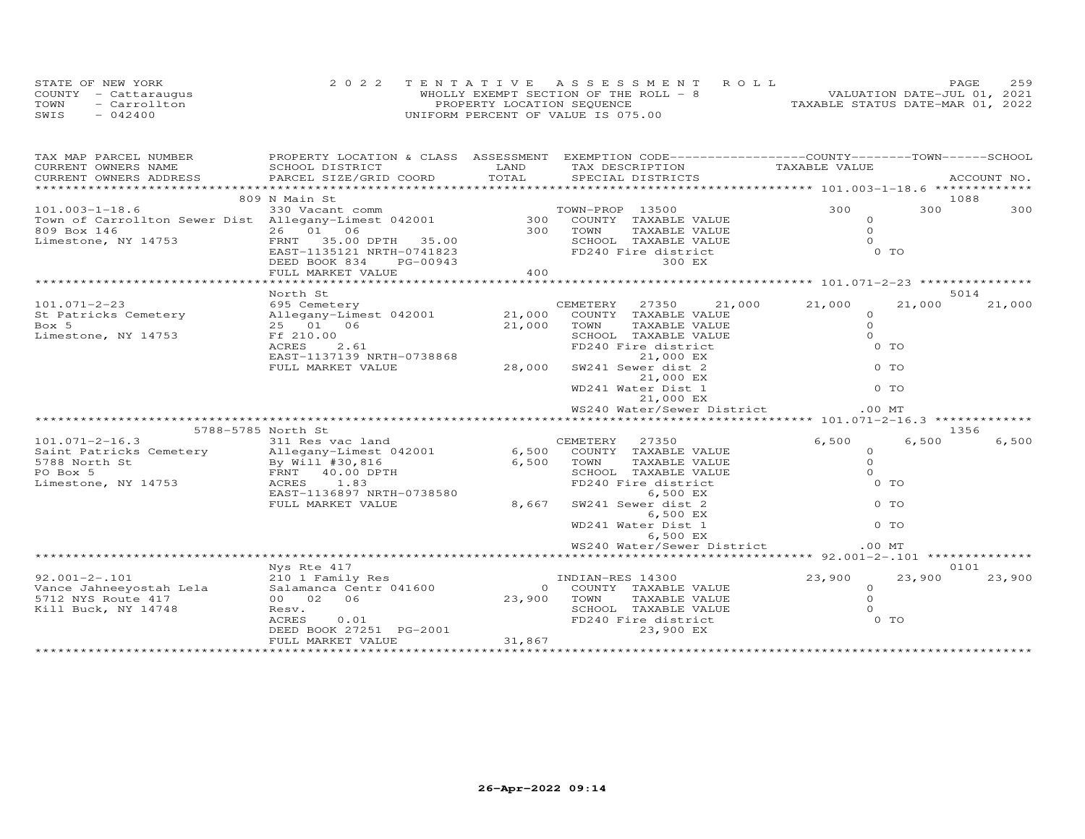| STATE OF NEW YORK    | 2022 TENTATIVE ASSESSMENT ROLL        | 2.59<br>PAGE.                    |  |
|----------------------|---------------------------------------|----------------------------------|--|
| COUNTY - Cattaraugus | WHOLLY EXEMPT SECTION OF THE ROLL - 8 | VALUATION DATE-JUL 01, 2021      |  |
| TOWN<br>- Carrollton | PROPERTY LOCATION SEQUENCE            | TAXABLE STATUS DATE-MAR 01, 2022 |  |
| SWIS<br>$-042400$    | UNIFORM PERCENT OF VALUE IS 075.00    |                                  |  |

| TAX MAP PARCEL NUMBER                                                                                                                                                                                                                                                                                                                                                                                                  |                                                                                                    |                               | PROPERTY LOCATION & CLASS ASSESSMENT EXEMPTION CODE----------------COUNTY-------TOWN------SCHOOL |                      |        |        |
|------------------------------------------------------------------------------------------------------------------------------------------------------------------------------------------------------------------------------------------------------------------------------------------------------------------------------------------------------------------------------------------------------------------------|----------------------------------------------------------------------------------------------------|-------------------------------|--------------------------------------------------------------------------------------------------|----------------------|--------|--------|
|                                                                                                                                                                                                                                                                                                                                                                                                                        |                                                                                                    |                               |                                                                                                  | TAXABLE VALUE        |        |        |
| $\begin{tabular}{lllllllllll} \texttt{CURRENT OWNLERS} & & & & & & & & & \\ \texttt{\# \texttt{201.003--1-18.6}} & & & & & & & & & & \\ \texttt{\# \texttt{202.1--18.6}} & & & & & & & & & \\ \texttt{\# \texttt{203.1--18.6}} & & & & & & & & & \\ \texttt{\# \texttt{204.1--18.6}} & & & & & & & & & \\ \texttt{\# \texttt{204.1--18.6}} & & & & & & & & & \\ \texttt{\# \texttt{204.1--18.6}} & & & & & & & & & \\$ |                                                                                                    |                               |                                                                                                  |                      |        |        |
|                                                                                                                                                                                                                                                                                                                                                                                                                        |                                                                                                    |                               |                                                                                                  |                      |        | 1088   |
|                                                                                                                                                                                                                                                                                                                                                                                                                        |                                                                                                    |                               |                                                                                                  |                      | 300    | 300    |
|                                                                                                                                                                                                                                                                                                                                                                                                                        |                                                                                                    |                               |                                                                                                  |                      |        |        |
| 10WH OF CALLENDARY 14753<br>809 Box 146<br>Limestone, NY 14753<br>EAST-1135121 NRTH-0741823<br>DEED BOOK 834 PG-00943                                                                                                                                                                                                                                                                                                  |                                                                                                    |                               |                                                                                                  |                      |        |        |
|                                                                                                                                                                                                                                                                                                                                                                                                                        |                                                                                                    |                               |                                                                                                  |                      |        |        |
|                                                                                                                                                                                                                                                                                                                                                                                                                        |                                                                                                    |                               |                                                                                                  |                      |        |        |
|                                                                                                                                                                                                                                                                                                                                                                                                                        |                                                                                                    |                               | 300 EX                                                                                           |                      |        |        |
|                                                                                                                                                                                                                                                                                                                                                                                                                        | FULL MARKET VALUE                                                                                  | 400                           |                                                                                                  |                      |        |        |
|                                                                                                                                                                                                                                                                                                                                                                                                                        |                                                                                                    |                               |                                                                                                  |                      |        |        |
|                                                                                                                                                                                                                                                                                                                                                                                                                        | North St<br>NOTIN SI<br>695 Cemetery                                                               |                               |                                                                                                  |                      |        | 5014   |
| $101.071 - 2 - 23$                                                                                                                                                                                                                                                                                                                                                                                                     |                                                                                                    |                               | CEMETERY 27350 21,000 21,000                                                                     |                      | 21,000 | 21,000 |
| St Patricks Cemetery<br>Box 5 31 11 125 11 12 12001 21,000 COUNTY TAXABLE VALUE<br>Box 5 31 25 01 06 21,000 TOWN TAXABLE VALUE                                                                                                                                                                                                                                                                                         |                                                                                                    |                               |                                                                                                  | $\Omega$<br>$\Omega$ |        |        |
| Ff 210.00                                                                                                                                                                                                                                                                                                                                                                                                              |                                                                                                    |                               | SCHOOL TAXABLE VALUE                                                                             | $\Omega$             |        |        |
| Limestone, NY 14753                                                                                                                                                                                                                                                                                                                                                                                                    | $.00$<br>2.61<br>ACRES                                                                             |                               | FD240 Fire district                                                                              | $0$ TO               |        |        |
|                                                                                                                                                                                                                                                                                                                                                                                                                        |                                                                                                    |                               | 21,000 EX                                                                                        |                      |        |        |
|                                                                                                                                                                                                                                                                                                                                                                                                                        | EAST-1137139 NRTH-0738868 28,000 SW241 Sewer dist 2<br>FULL MARKET VALUE 28,000 SW241 Sewer dist 2 |                               |                                                                                                  |                      |        |        |
|                                                                                                                                                                                                                                                                                                                                                                                                                        |                                                                                                    |                               | 21,000 EX                                                                                        |                      |        |        |
|                                                                                                                                                                                                                                                                                                                                                                                                                        |                                                                                                    |                               | WD241 Water Dist 1                                                                               | O TO<br>O TO         |        |        |
|                                                                                                                                                                                                                                                                                                                                                                                                                        |                                                                                                    |                               | 21,000 EX                                                                                        |                      |        |        |
|                                                                                                                                                                                                                                                                                                                                                                                                                        |                                                                                                    |                               |                                                                                                  |                      |        |        |
|                                                                                                                                                                                                                                                                                                                                                                                                                        |                                                                                                    |                               |                                                                                                  |                      |        |        |
| 5788-5785 North St                                                                                                                                                                                                                                                                                                                                                                                                     |                                                                                                    |                               |                                                                                                  |                      |        | 1356   |
| 101.071-2-16.3<br>Saint Patricks Cemetery 311 Res vac land CEMETERY 27350<br>Allegany-Limest 042001 6,500 COUNTY TAXABLE VALUE                                                                                                                                                                                                                                                                                         |                                                                                                    |                               |                                                                                                  | 6,500                | 6,500  | 6,500  |
|                                                                                                                                                                                                                                                                                                                                                                                                                        |                                                                                                    |                               |                                                                                                  | $\Omega$             |        |        |
| 5788 North St                                                                                                                                                                                                                                                                                                                                                                                                          |                                                                                                    |                               | TAXABLE VALUE                                                                                    | $\Omega$             |        |        |
| PO Box 5                                                                                                                                                                                                                                                                                                                                                                                                               | By Will #30,816<br>By Will #30,816<br>FRNT 40.00 DPTH<br>14753 ACRES 1.83                          | 6,500 TOWN<br>SCHOO:<br>FD240 | SCHOOL TAXABLE VALUE                                                                             | $\Omega$             |        |        |
| Limestone, NY 14753                                                                                                                                                                                                                                                                                                                                                                                                    |                                                                                                    |                               | FD240 Fire district                                                                              | $0$ TO               |        |        |
|                                                                                                                                                                                                                                                                                                                                                                                                                        | EAST-1136897 NRTH-0738580<br>FULL MARKET VALUE                                                     | 8,667                         | 6,500 EX<br>SW241 Sewer dist 2                                                                   | 0 <sub>T</sub>       |        |        |
|                                                                                                                                                                                                                                                                                                                                                                                                                        |                                                                                                    |                               | 6,500 EX                                                                                         |                      |        |        |
|                                                                                                                                                                                                                                                                                                                                                                                                                        |                                                                                                    |                               | WD241 Water Dist 1                                                                               | $0$ TO               |        |        |
|                                                                                                                                                                                                                                                                                                                                                                                                                        |                                                                                                    |                               | 6,500 EX                                                                                         |                      |        |        |
|                                                                                                                                                                                                                                                                                                                                                                                                                        |                                                                                                    |                               | WS240 Water/Sewer District                                                                       | $.00$ MT             |        |        |
|                                                                                                                                                                                                                                                                                                                                                                                                                        |                                                                                                    |                               |                                                                                                  |                      |        |        |
|                                                                                                                                                                                                                                                                                                                                                                                                                        | Nys Rte 417                                                                                        |                               |                                                                                                  |                      |        | 0101   |
|                                                                                                                                                                                                                                                                                                                                                                                                                        |                                                                                                    |                               | INDIAN-RES 14300                                                                                 | 23,900               | 23,900 | 23,900 |
| 92.001-2-.101 210 1 Family Res<br>Vance Jahneeyostah Lela Salamanca Centr 041600<br>5712 NYS Route 417 00 02 06                                                                                                                                                                                                                                                                                                        |                                                                                                    |                               | 0 COUNTY TAXABLE VALUE                                                                           | $\circ$              |        |        |
|                                                                                                                                                                                                                                                                                                                                                                                                                        |                                                                                                    | 23,900 TOWN                   |                                                                                                  | $\Omega$             |        |        |
| Kill Buck, NY 14748                                                                                                                                                                                                                                                                                                                                                                                                    | Resv.                                                                                              |                               | TAXABLE VALUE<br>SCHOOL TAXABLE VALUE<br>FD240 Fire district<br>23,900 EX                        | $\Omega$             |        |        |
|                                                                                                                                                                                                                                                                                                                                                                                                                        | RESV.<br>ACRES 0.01<br>DEED BOOK 27251 PG-2001                                                     |                               |                                                                                                  |                      | 0 TO   |        |
|                                                                                                                                                                                                                                                                                                                                                                                                                        |                                                                                                    |                               |                                                                                                  |                      |        |        |
|                                                                                                                                                                                                                                                                                                                                                                                                                        | FULL MARKET VALUE                                                                                  | 31,867                        |                                                                                                  |                      |        |        |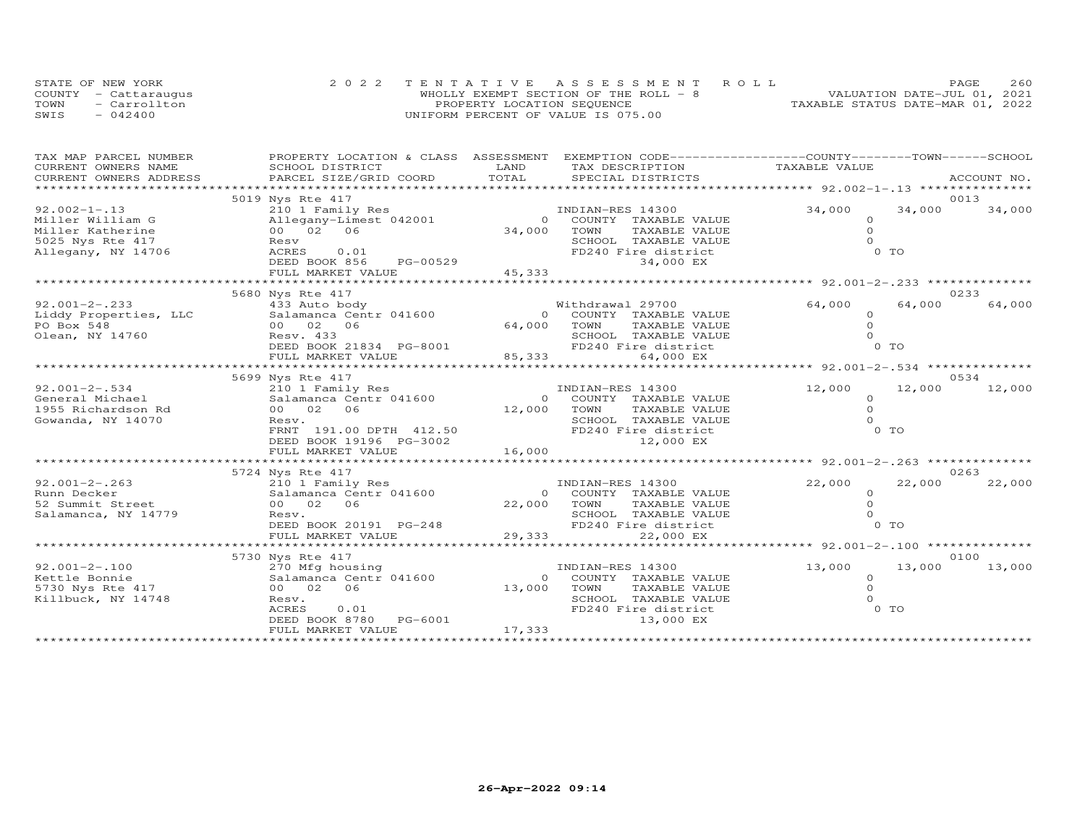|      | STATE OF NEW YORK    |                                    | 2022 TENTATIVE ASSESSMENT ROLL        |                                  | PAGE. | 260 |
|------|----------------------|------------------------------------|---------------------------------------|----------------------------------|-------|-----|
|      | COUNTY - Cattaraugus |                                    | WHOLLY EXEMPT SECTION OF THE ROLL - 8 | VALUATION DATE-JUL 01, 2021      |       |     |
| TOWN | - Carrollton         | PROPERTY LOCATION SEQUENCE         |                                       | TAXABLE STATUS DATE-MAR 01, 2022 |       |     |
| SWIS | $-042400$            | UNIFORM PERCENT OF VALUE IS 075.00 |                                       |                                  |       |     |

| TAX MAP PARCEL NUMBER                         | PROPERTY LOCATION & CLASS ASSESSMENT EXEMPTION CODE----------------COUNTY-------TOWN------SCHOOL                            |                                          |                                             |                      |        |                |
|-----------------------------------------------|-----------------------------------------------------------------------------------------------------------------------------|------------------------------------------|---------------------------------------------|----------------------|--------|----------------|
| CURRENT OWNERS NAME<br>CURRENT OWNERS ADDRESS | SCHOOL DISTRICT<br>PARCEL SIZE/GRID COORD                                                                                   | LAND<br>TOTAL                            | TAX DESCRIPTION<br>SPECIAL DISTRICTS        | TAXABLE VALUE        |        | ACCOUNT NO.    |
| **********************************            |                                                                                                                             |                                          |                                             |                      |        |                |
|                                               | 5019 Nys Rte 417                                                                                                            |                                          |                                             |                      |        | 0013           |
| $92.002 - 1 - .13$                            | 210 1 Family Res                                                                                                            |                                          | INDIAN-RES 14300                            | 34,000               | 34,000 | 34,000         |
| Miller William G                              | Allegany-Limest 042001                                                                                                      |                                          | $\Omega$<br>COUNTY TAXABLE VALUE            | $\Omega$             |        |                |
| Miller Katherine                              | 00 02 06                                                                                                                    | 34,000                                   | TOWN<br>TAXABLE VALUE                       | $\Omega$             |        |                |
| 5025 Nys Rte 417                              | Resv                                                                                                                        |                                          | SCHOOL TAXABLE VALUE                        | $\cap$               |        |                |
| Allegany, NY 14706                            | <b>ACRES</b><br>0.01                                                                                                        |                                          | FD240 Fire district                         |                      | $0$ TO |                |
|                                               | PG-00529<br>DEED BOOK 856                                                                                                   |                                          | 34,000 EX                                   |                      |        |                |
|                                               | FULL MARKET VALUE                                                                                                           | 45, 333                                  |                                             |                      |        |                |
|                                               |                                                                                                                             |                                          |                                             |                      |        |                |
| $92.001 - 2 - .233$                           | 5680 Nys Rte 417<br>433 Auto body                                                                                           |                                          | Withdrawal 29700                            | 64,000               | 64,000 | 0233<br>64,000 |
|                                               | Liddy Properties, LLC<br>PO Box 548<br>Olean, NY 14760<br>Design and Communication of Central Offers, NY 14760<br>Resv. 433 |                                          | 0 COUNTY TAXABLE VALUE                      | $\Omega$             |        |                |
|                                               |                                                                                                                             | 64,000                                   | TOWN<br>TAXABLE VALUE                       | $\Omega$             |        |                |
|                                               |                                                                                                                             |                                          | SCHOOL TAXABLE VALUE                        | $\Omega$             |        |                |
|                                               | DEED BOOK 21834 PG-8001                                                                                                     |                                          | FD240 Fire district                         |                      | 0 TO   |                |
|                                               | FULL MARKET VALUE                                                                                                           | $\frac{50022}{5001}$<br>85,333<br>85,333 | 64,000 EX                                   |                      |        |                |
|                                               |                                                                                                                             |                                          |                                             |                      |        |                |
|                                               | 5699 Nys Rte 417                                                                                                            |                                          |                                             |                      |        | 0534           |
| $92.001 - 2 - .534$                           | 210 1 Family Res                                                                                                            |                                          | INDIAN-RES 14300                            | 12,000               | 12,000 | 12,000         |
| General Michael                               | Salamanca Centr 041600                                                                                                      |                                          | 0 COUNTY TAXABLE VALUE                      | $\circ$              |        |                |
| 1955 Richardson Rd                            | 00 02 06                                                                                                                    | 12,000 TOWN                              | TAXABLE VALUE                               | $\circ$              |        |                |
| Gowanda, NY 14070                             | Resv.                                                                                                                       |                                          | SCHOOL TAXABLE VALUE                        | $\Omega$             |        |                |
|                                               | FRNT 191.00 DPTH 412.50                                                                                                     |                                          | FD240 Fire district                         |                      | 0 TO   |                |
|                                               | DEED BOOK 19196 PG-3002                                                                                                     |                                          | 12,000 EX                                   |                      |        |                |
|                                               | FULL MARKET VALUE                                                                                                           | 16,000                                   |                                             |                      |        |                |
|                                               |                                                                                                                             |                                          |                                             |                      |        |                |
|                                               | 5724 Nys Rte 417                                                                                                            |                                          |                                             |                      |        | 0263           |
| $92.001 - 2 - .263$                           | 210 1 Family Res                                                                                                            |                                          | INDIAN-RES 14300                            | 22,000               | 22,000 | 22,000         |
| Runn Decker                                   | Salamanca Centr 041600                                                                                                      |                                          | 0 COUNTY TAXABLE VALUE                      | $\Omega$<br>$\Omega$ |        |                |
| 52 Summit Street                              | 00 02 06                                                                                                                    |                                          | 22,000 TOWN<br>TAXABLE VALUE                | $\Omega$             |        |                |
| Salamanca, NY 14779                           | Resv.<br>DEED BOOK 20191 PG-248                                                                                             |                                          | SCHOOL TAXABLE VALUE<br>FD240 Fire district |                      | $0$ TO |                |
|                                               | FULL MARKET VALUE                                                                                                           | 29,333                                   | 22,000 EX                                   |                      |        |                |
|                                               |                                                                                                                             | ***************                          |                                             |                      |        |                |
|                                               | 5730 Nys Rte 417                                                                                                            |                                          |                                             |                      |        | 0100           |
| $92.001 - 2 - .100$                           | 270 Mfg housing                                                                                                             |                                          | INDIAN-RES 14300                            | 13,000               | 13,000 | 13,000         |
| Kettle Bonnie                                 | Salamanca Centr 041600                                                                                                      |                                          | COUNTY TAXABLE VALUE<br>$\circ$             | $\Omega$             |        |                |
| 5730 Nys Rte 417                              | 00 02 06                                                                                                                    | 13,000                                   | TOWN<br>TAXABLE VALUE                       | $\Omega$             |        |                |
| Killbuck, NY 14748                            | Resv.                                                                                                                       |                                          | SCHOOL TAXABLE VALUE                        |                      |        |                |
|                                               | ACRES<br>0.01                                                                                                               |                                          | FD240 Fire district                         |                      | $0$ TO |                |
|                                               | DEED BOOK 8780 PG-6001                                                                                                      |                                          | 13,000 EX                                   |                      |        |                |
|                                               | FULL MARKET VALUE                                                                                                           | 17,333                                   |                                             |                      |        |                |
|                                               |                                                                                                                             |                                          |                                             |                      |        |                |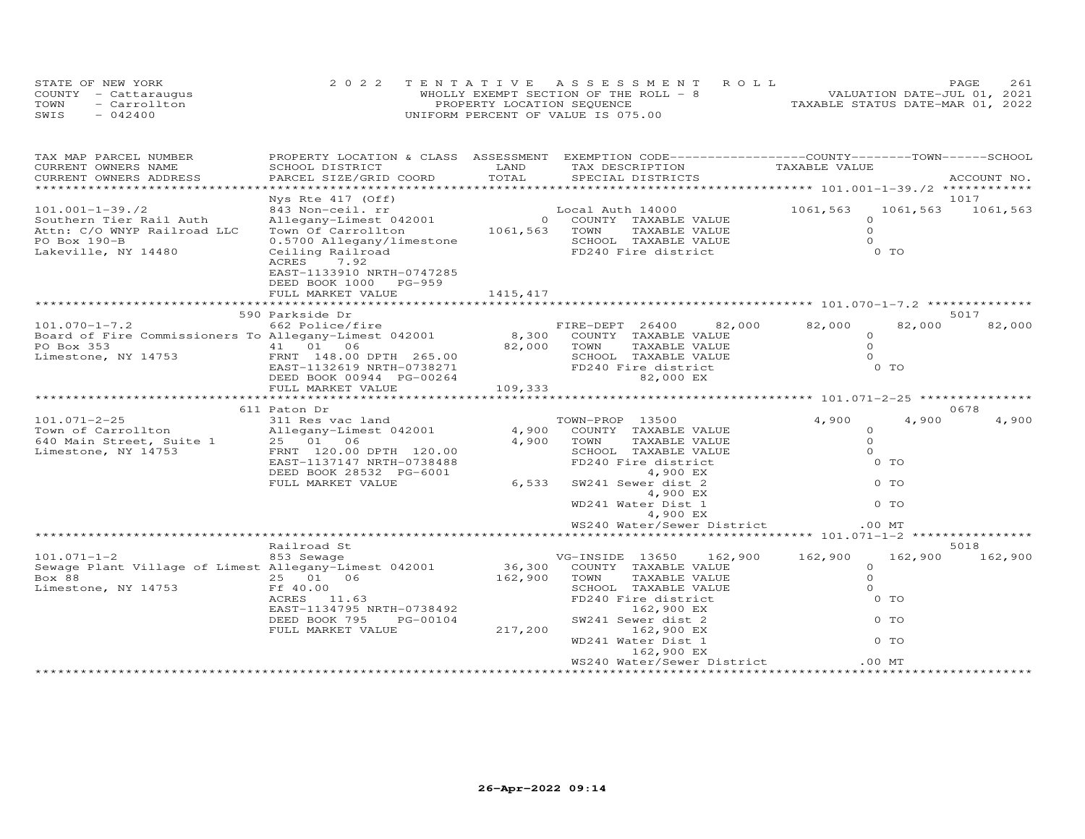|      | STATE OF NEW YORK    |                                    | 2022 TENTATIVE ASSESSMENT ROLL        |                                  | PAGE | 261 |
|------|----------------------|------------------------------------|---------------------------------------|----------------------------------|------|-----|
|      | COUNTY - Cattaraugus |                                    | WHOLLY EXEMPT SECTION OF THE ROLL - 8 | VALUATION DATE-JUL 01, 2021      |      |     |
| TOWN | - Carrollton         | PROPERTY LOCATION SEQUENCE         |                                       | TAXABLE STATUS DATE-MAR 01, 2022 |      |     |
| SWIS | $-042400$            | UNIFORM PERCENT OF VALUE IS 075.00 |                                       |                                  |      |     |

| TAX MAP PARCEL NUMBER                                               |                           |               | PROPERTY LOCATION & CLASS ASSESSMENT EXEMPTION CODE-----------------COUNTY-------TOWN------SCHOOL |                |                      |
|---------------------------------------------------------------------|---------------------------|---------------|---------------------------------------------------------------------------------------------------|----------------|----------------------|
| CURRENT OWNERS NAME                                                 | SCHOOL DISTRICT           | LAND          | TAX DESCRIPTION                                                                                   | TAXABLE VALUE  |                      |
| CURRENT OWNERS ADDRESS                                              | PARCEL SIZE/GRID COORD    | TOTAL         | SPECIAL DISTRICTS                                                                                 |                | ACCOUNT NO.          |
|                                                                     |                           |               |                                                                                                   |                |                      |
|                                                                     | Nys Rte 417 (Off)         |               |                                                                                                   |                | 1017                 |
| $101.001 - 1 - 39.72$                                               | 843 Non-ceil. rr          |               | Local Auth 14000                                                                                  | 1061,563       | 1061,563<br>1061,563 |
| Southern Tier Rail Auth                                             | Allegany-Limest 042001    |               | 0 COUNTY TAXABLE VALUE                                                                            | $\circ$        |                      |
| Attn: C/O WNYP Railroad LLC                                         | Town Of Carrollton        | 1061,563 TOWN | TAXABLE VALUE                                                                                     | $\circ$        |                      |
| PO Box 190-B                                                        | 0.5700 Allegany/limestone |               | SCHOOL TAXABLE VALUE                                                                              | $\Omega$       |                      |
| Lakeville, NY 14480                                                 | Ceiling Railroad          |               | FD240 Fire district                                                                               | 0 <sub>T</sub> |                      |
|                                                                     | 7.92<br>ACRES             |               |                                                                                                   |                |                      |
|                                                                     | EAST-1133910 NRTH-0747285 |               |                                                                                                   |                |                      |
|                                                                     | DEED BOOK 1000 PG-959     |               |                                                                                                   |                |                      |
|                                                                     | FULL MARKET VALUE         | 1415,417      |                                                                                                   |                |                      |
|                                                                     |                           |               |                                                                                                   |                |                      |
|                                                                     | 590 Parkside Dr           |               |                                                                                                   |                | 5017                 |
| $101.070 - 1 - 7.2$                                                 | 662 Police/fire           |               | FIRE-DEPT 26400<br>82,000                                                                         | 82,000         | 82,000<br>82,000     |
| Board of Fire Commissioners To Allegany-Limest 042001               |                           |               | 8,300 COUNTY TAXABLE VALUE                                                                        | $\circ$        |                      |
| PO Box 353                                                          | 41 01 06                  |               | 82,000 TOWN<br>TAXABLE VALUE                                                                      | $\circ$        |                      |
| Limestone, NY 14753                                                 | FRNT 148.00 DPTH 265.00   |               | SCHOOL TAXABLE VALUE                                                                              | $\Omega$       |                      |
|                                                                     | EAST-1132619 NRTH-0738271 |               | FD240 Fire district                                                                               | $0$ TO         |                      |
|                                                                     | DEED BOOK 00944 PG-00264  |               | 82,000 EX                                                                                         |                |                      |
|                                                                     | FULL MARKET VALUE         | 109,333       |                                                                                                   |                |                      |
|                                                                     |                           |               |                                                                                                   |                |                      |
|                                                                     | 611 Paton Dr              |               |                                                                                                   |                | 0678                 |
| $101.071 - 2 - 25$                                                  | 311 Res vac land          |               | TOWN-PROP 13500                                                                                   | 4,900          | 4,900<br>4,900       |
| Town of Carrollton                                                  | Allegany-Limest 042001    | 4,900         | COUNTY TAXABLE VALUE                                                                              | $\Omega$       |                      |
| 640 Main Street, Suite 1 25 01 06<br>Limestone NY 14753 FRNT 120.00 |                           | 4,900         | TOWN<br>TAXABLE VALUE                                                                             | $\circ$        |                      |
| Limestone, NY 14753                                                 | FRNT 120.00 DPTH 120.00   |               | SCHOOL TAXABLE VALUE                                                                              | $\Omega$       |                      |
|                                                                     | EAST-1137147 NRTH-0738488 |               | FD240 Fire district                                                                               | 0 <sub>T</sub> |                      |
|                                                                     | DEED BOOK 28532 PG-6001   |               | 4,900 EX                                                                                          |                |                      |
|                                                                     | FULL MARKET VALUE         | 6,533         | SW241 Sewer dist 2                                                                                | $0$ TO         |                      |
|                                                                     |                           |               | 4,900 EX                                                                                          |                |                      |
|                                                                     |                           |               | WD241 Water Dist 1                                                                                | $0$ TO         |                      |
|                                                                     |                           |               | 4,900 EX                                                                                          |                |                      |
|                                                                     |                           |               | WS240 Water/Sewer District                                                                        | .00MT          |                      |
|                                                                     |                           |               |                                                                                                   |                |                      |
|                                                                     | Railroad St               |               |                                                                                                   |                | 5018                 |
| $101.071 - 1 - 2$                                                   | 853 Sewage                |               | VG-INSIDE 13650<br>162,900                                                                        | 162,900        | 162,900<br>162,900   |
| Sewage Plant Village of Limest Allegany-Limest 042001               |                           | 36,300        | COUNTY TAXABLE VALUE                                                                              | $\circ$        |                      |
| Box 88                                                              | 25 01 06                  | 162,900       | TAXABLE VALUE<br>TOWN                                                                             | $\Omega$       |                      |
| Limestone, NY 14753                                                 | Ff 40.00                  |               | SCHOOL TAXABLE VALUE                                                                              | $\circ$        |                      |
|                                                                     | ACRES 11.63               |               | FD240 Fire district                                                                               | $0$ TO         |                      |
|                                                                     | EAST-1134795 NRTH-0738492 |               | 162,900 EX                                                                                        |                |                      |
|                                                                     | DEED BOOK 795<br>PG-00104 |               | SW241 Sewer dist 2                                                                                | 0 TO           |                      |
|                                                                     | FULL MARKET VALUE         | 217,200       | 162,900 EX                                                                                        |                |                      |
|                                                                     |                           |               | WD241 Water Dist 1                                                                                | 0 TO           |                      |
|                                                                     |                           |               |                                                                                                   |                |                      |
|                                                                     |                           |               | 162,900 EX                                                                                        |                |                      |
|                                                                     |                           |               | WS240 Water/Sewer District                                                                        | $.00$ MT       |                      |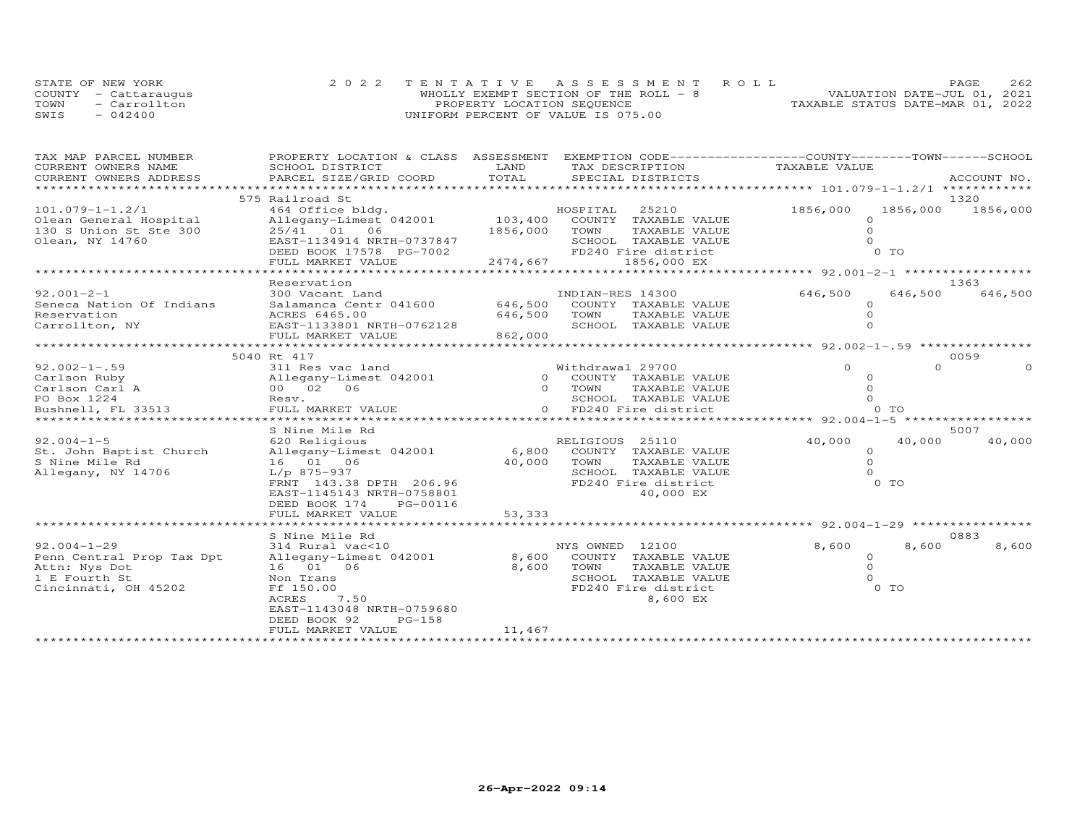| STATE OF NEW YORK    | 2022 TENTATIVE ASSESSMENT ROLL        | PAGE                             | 2.62 |
|----------------------|---------------------------------------|----------------------------------|------|
| COUNTY - Cattaraugus | WHOLLY EXEMPT SECTION OF THE ROLL - 8 | VALUATION DATE-JUL 01, 2021      |      |
| - Carrollton<br>TOWN | PROPERTY LOCATION SEOUENCE            | TAXABLE STATUS DATE-MAR 01, 2022 |      |
| SWIS<br>$-042400$    | UNIFORM PERCENT OF VALUE IS 075.00    |                                  |      |

| TAX MAP PARCEL NUMBER                     |                                                |          | PROPERTY LOCATION & CLASS ASSESSMENT EXEMPTION CODE----------------COUNTY-------TOWN-----SCHOOL |                                         |                      |
|-------------------------------------------|------------------------------------------------|----------|-------------------------------------------------------------------------------------------------|-----------------------------------------|----------------------|
| CURRENT OWNERS NAME                       | SCHOOL DISTRICT                                | LAND     | TAX DESCRIPTION                                                                                 | TAXABLE VALUE                           |                      |
| CURRENT OWNERS ADDRESS                    | PARCEL SIZE/GRID COORD                         | TOTAL    | SPECIAL DISTRICTS                                                                               |                                         | ACCOUNT NO.          |
| **********************                    |                                                |          |                                                                                                 |                                         |                      |
|                                           | 575 Railroad St                                |          |                                                                                                 |                                         | 1320                 |
| $101.079 - 1 - 1.2/1$                     | 464 Office bldg.                               |          | HOSPITAL 25210                                                                                  | 1856,000                                | 1856,000<br>1856,000 |
| Olean General Hospital                    | Allegany-Limest 042001                         | 103,400  | COUNTY TAXABLE VALUE                                                                            | $\Omega$                                |                      |
| 130 S Union St Ste 300                    | 25/41 01 06                                    | 1856,000 | TOWN<br>TAXABLE VALUE                                                                           | $\Omega$                                |                      |
| Olean, NY 14760                           | EAST-1134914 NRTH-0737847                      |          | SCHOOL TAXABLE VALUE                                                                            | $\Omega$                                |                      |
|                                           | DEED BOOK 17578 PG-7002                        |          | FD240 Fire district                                                                             | $0$ TO                                  |                      |
|                                           | FULL MARKET VALUE                              | 2474,667 | 1856,000 EX                                                                                     |                                         |                      |
|                                           |                                                |          |                                                                                                 |                                         |                      |
|                                           | Reservation                                    |          |                                                                                                 |                                         | 1363                 |
| $92.001 - 2 - 1$                          | 300 Vacant Land                                |          | INDIAN-RES 14300                                                                                | 646,500                                 | 646,500<br>646,500   |
| Seneca Nation Of Indians                  | Salamanca Centr 041600                         | 646,500  | COUNTY TAXABLE VALUE                                                                            | $\circ$                                 |                      |
| Reservation                               | ACRES 6465.00                                  | 646,500  | TOWN<br>TAXABLE VALUE                                                                           | $\circ$                                 |                      |
| Carrollton, NY                            | EAST-1133801 NRTH-0762128                      |          | SCHOOL TAXABLE VALUE                                                                            | $\Omega$                                |                      |
|                                           | FULL MARKET VALUE                              | 862,000  |                                                                                                 |                                         |                      |
|                                           |                                                |          |                                                                                                 |                                         |                      |
|                                           | 5040 Rt 417                                    |          |                                                                                                 |                                         | 0059                 |
| $92.002 - 1 - .59$                        | 311 Res vac land                               |          | Withdrawal 29700                                                                                | $\Omega$                                | $\Omega$             |
| Carlson Ruby                              | Allegany-Limest 042001                         |          | 0 COUNTY TAXABLE VALUE                                                                          | $\Omega$                                |                      |
| Carlson Carl A                            | 00 02 06                                       |          | 0 TOWN<br>TAXABLE VALUE                                                                         | $\Omega$                                |                      |
| PO Box 1224                               | Resv.                                          |          | SCHOOL TAXABLE VALUE                                                                            |                                         |                      |
| Bushnell, FL 33513                        | FULL MARKET VALUE                              |          | 0 FD240 Fire district                                                                           | $0$ TO                                  |                      |
|                                           | S Nine Mile Rd                                 |          |                                                                                                 | *************** 92.004-1-5 ************ | 5007                 |
| $92.004 - 1 - 5$                          |                                                |          |                                                                                                 | 40,000                                  |                      |
|                                           | 620 Religious                                  | 6,800    | RELIGIOUS 25110<br>COUNTY TAXABLE VALUE                                                         | $\Omega$                                | 40,000<br>40,000     |
| St. John Baptist Church<br>S Nine Mile Rd | Allegany-Limest 042001<br>16  01  06           | 40,000   | TOWN                                                                                            | $\circ$                                 |                      |
|                                           |                                                |          | TAXABLE VALUE                                                                                   | $\Omega$                                |                      |
| Allegany, NY 14706                        | L/p 875-937<br>FRNT 143.38 DPTH 206.96         |          | SCHOOL TAXABLE VALUE<br>FD240 Fire district                                                     | 0 TO                                    |                      |
|                                           |                                                |          | 40,000 EX                                                                                       |                                         |                      |
|                                           | EAST-1145143 NRTH-0758801                      |          |                                                                                                 |                                         |                      |
|                                           | DEED BOOK 174<br>PG-00116<br>FULL MARKET VALUE | 53,333   |                                                                                                 |                                         |                      |
|                                           |                                                |          |                                                                                                 |                                         |                      |
|                                           | S Nine Mile Rd                                 |          |                                                                                                 |                                         | 0883                 |
| $92.004 - 1 - 29$                         | 314 Rural vac<10                               |          | NYS OWNED 12100                                                                                 | 8,600                                   | 8,600<br>8,600       |
| Penn Central Prop Tax Dpt                 | Allegany-Limest 042001                         | 8,600    | COUNTY TAXABLE VALUE                                                                            | $\circ$                                 |                      |
| Attn: Nys Dot                             | 16 01 06                                       | 8,600    | TOWN<br>TAXABLE VALUE                                                                           | $\circ$                                 |                      |
| 1 E Fourth St                             | Non Trans                                      |          | SCHOOL TAXABLE VALUE                                                                            | $\Omega$                                |                      |
| Cincinnati, OH 45202                      | Ff 150.00                                      |          | FD240 Fire district                                                                             | 0 TO                                    |                      |
|                                           | ACRES<br>7.50                                  |          | 8,600 EX                                                                                        |                                         |                      |
|                                           | EAST-1143048 NRTH-0759680                      |          |                                                                                                 |                                         |                      |
|                                           | DEED BOOK 92<br>$PG-158$                       |          |                                                                                                 |                                         |                      |
|                                           | FULL MARKET VALUE                              | 11,467   |                                                                                                 |                                         |                      |
|                                           |                                                |          |                                                                                                 |                                         |                      |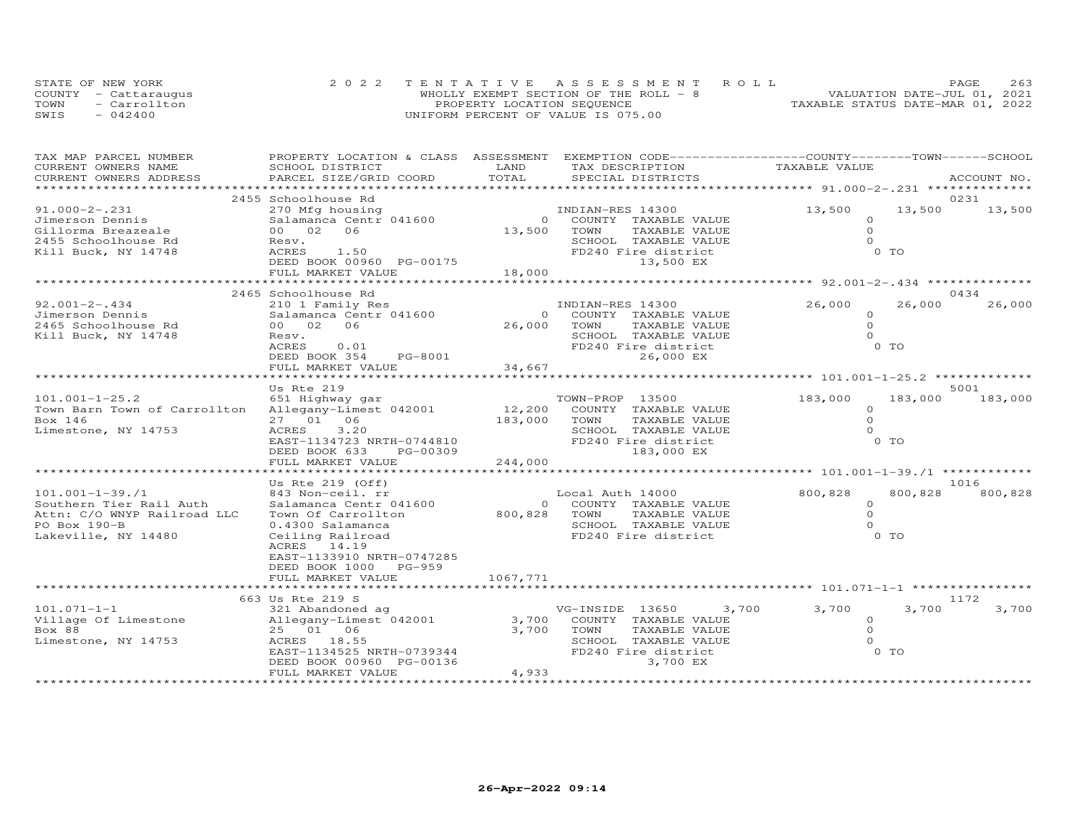|      | STATE OF NEW YORK    | 2022 TENTATIVE ASSESSMENT ROLL         |                                  | PAGE | 263 |
|------|----------------------|----------------------------------------|----------------------------------|------|-----|
|      | COUNTY - Cattarauqus | WHOLLY EXEMPT SECTION OF THE ROLL $-8$ | VALUATION DATE-JUL 01, 2021      |      |     |
| TOWN | - Carrollton         | PROPERTY LOCATION SEQUENCE             | TAXABLE STATUS DATE-MAR 01, 2022 |      |     |
| SWIS | $-042400$            | UNIFORM PERCENT OF VALUE IS 075.00     |                                  |      |     |

| TAX MAP PARCEL NUMBER        | PROPERTY LOCATION & CLASS ASSESSMENT |                       | EXEMPTION CODE-----------------COUNTY-------TOWN-----SCHOOL |                                                    |                |             |
|------------------------------|--------------------------------------|-----------------------|-------------------------------------------------------------|----------------------------------------------------|----------------|-------------|
| CURRENT OWNERS NAME          | SCHOOL DISTRICT                      | LAND                  | TAX DESCRIPTION                                             | TAXABLE VALUE                                      |                |             |
| CURRENT OWNERS ADDRESS       | PARCEL SIZE/GRID COORD               | TOTAL                 | SPECIAL DISTRICTS                                           |                                                    |                | ACCOUNT NO. |
|                              |                                      | ********************* |                                                             | ******************** 91.000-2-.231 *************** |                |             |
|                              | 2455 Schoolhouse Rd                  |                       |                                                             |                                                    |                | 0231        |
| $91.000 - 2 - .231$          | 270 Mfg housing                      |                       | INDIAN-RES 14300                                            | 13,500                                             | 13,500         | 13,500      |
| Jimerson Dennis              | Salamanca Centr 041600               | $\Omega$              | COUNTY TAXABLE VALUE                                        | $\Omega$                                           |                |             |
| Gillorma Breazeale           | 00 02 06                             | 13,500                | TAXABLE VALUE<br>TOWN                                       | $\circ$                                            |                |             |
| 2455 Schoolhouse Rd          | Resv.                                |                       | SCHOOL TAXABLE VALUE                                        | $\Omega$                                           |                |             |
| Kill Buck, NY 14748          | ACRES<br>1.50                        |                       | FD240 Fire district                                         |                                                    | 0 <sub>T</sub> |             |
|                              | DEED BOOK 00960 PG-00175             |                       | 13,500 EX                                                   |                                                    |                |             |
|                              | FULL MARKET VALUE                    | 18,000                |                                                             |                                                    |                |             |
|                              |                                      |                       |                                                             |                                                    |                |             |
|                              | 2465 Schoolhouse Rd                  |                       |                                                             |                                                    |                | 0434        |
| $92.001 - 2 - .434$          | 210 1 Family Res                     |                       | INDIAN-RES 14300                                            | 26,000                                             | 26,000         | 26,000      |
| Jimerson Dennis              | Salamanca Centr 041600               | $\Omega$              | COUNTY TAXABLE VALUE                                        | $\Omega$                                           |                |             |
| 2465 Schoolhouse Rd          | 00 02<br>06                          | 26,000                | TOWN<br>TAXABLE VALUE                                       | $\Omega$                                           |                |             |
| Kill Buck, NY 14748          | Resv.                                |                       | SCHOOL TAXABLE VALUE                                        | $\Omega$                                           |                |             |
|                              | ACRES<br>0.01                        |                       | FD240 Fire district                                         |                                                    | 0 <sub>T</sub> |             |
|                              | DEED BOOK 354<br><b>PG-8001</b>      |                       | 26,000 EX                                                   |                                                    |                |             |
|                              | FULL MARKET VALUE                    | 34,667                |                                                             |                                                    |                |             |
|                              |                                      |                       | ************************ 101.001-1-25.2 **                  |                                                    |                |             |
|                              | Us Rte 219                           |                       |                                                             |                                                    |                | 5001        |
| $101.001 - 1 - 25.2$         | 651 Highway gar                      |                       | TOWN-PROP 13500                                             | 183,000<br>$\Omega$                                | 183,000        | 183,000     |
| Town Barn Town of Carrollton | Allegany-Limest 042001               | 12,200                | COUNTY TAXABLE VALUE                                        | $\Omega$                                           |                |             |
| Box 146                      | 27 01 06<br>ACRES<br>3,20            | 183,000               | TOWN<br>TAXABLE VALUE<br>SCHOOL TAXABLE VALUE               | $\Omega$                                           |                |             |
| Limestone, NY 14753          | EAST-1134723 NRTH-0744810            |                       | FD240 Fire district                                         |                                                    | 0 <sub>T</sub> |             |
|                              |                                      |                       | 183,000 EX                                                  |                                                    |                |             |
|                              | DEED BOOK 633<br>PG-00309            | 244,000               |                                                             |                                                    |                |             |
|                              | FULL MARKET VALUE                    |                       |                                                             |                                                    |                |             |
|                              | Us Rte $219$ (Off)                   |                       |                                                             |                                                    |                | 1016        |
| $101.001 - 1 - 39.71$        | 843 Non-ceil. rr                     |                       | Local Auth 14000                                            | 800,828                                            | 800,828        | 800,828     |
| Southern Tier Rail Auth      | Salamanca Centr 041600               |                       | COUNTY TAXABLE VALUE<br>$\Omega$                            | $\circ$                                            |                |             |
| Attn: C/O WNYP Railroad LLC  | Town Of Carrollton                   | 800,828               | TAXABLE VALUE<br>TOWN                                       | $\circ$                                            |                |             |
| PO Box 190-B                 | 0.4300 Salamanca                     |                       | SCHOOL TAXABLE VALUE                                        | $\Omega$                                           |                |             |
| Lakeville, NY 14480          | Ceiling Railroad                     |                       | FD240 Fire district                                         |                                                    | 0 <sub>T</sub> |             |
|                              | 14.19<br>ACRES                       |                       |                                                             |                                                    |                |             |
|                              | EAST-1133910 NRTH-0747285            |                       |                                                             |                                                    |                |             |
|                              | DEED BOOK 1000<br>PG-959             |                       |                                                             |                                                    |                |             |
|                              | FULL MARKET VALUE                    | 1067,771              |                                                             |                                                    |                |             |
|                              |                                      |                       |                                                             |                                                    |                |             |
|                              | 663 Us Rte 219 S                     |                       |                                                             |                                                    |                | 1172        |
| $101.071 - 1 - 1$            | 321 Abandoned ag                     |                       | VG-INSIDE 13650<br>3,700                                    | 3,700                                              | 3,700          | 3,700       |
| Village Of Limestone         | Allegany-Limest 042001               | 3,700                 | COUNTY TAXABLE VALUE                                        | $\Omega$                                           |                |             |
| Box 88                       | 25 01 06                             | 3,700                 | TAXABLE VALUE<br>TOWN                                       | $\Omega$                                           |                |             |
| Limestone, NY 14753          | ACRES 18.55                          |                       | SCHOOL TAXABLE VALUE                                        |                                                    |                |             |
|                              | EAST-1134525 NRTH-0739344            |                       | FD240 Fire district                                         |                                                    | $0$ TO         |             |
|                              | DEED BOOK 00960 PG-00136             |                       | 3,700 EX                                                    |                                                    |                |             |
|                              | FULL MARKET VALUE                    | 4,933                 |                                                             |                                                    |                |             |
|                              |                                      | *******************   |                                                             |                                                    |                |             |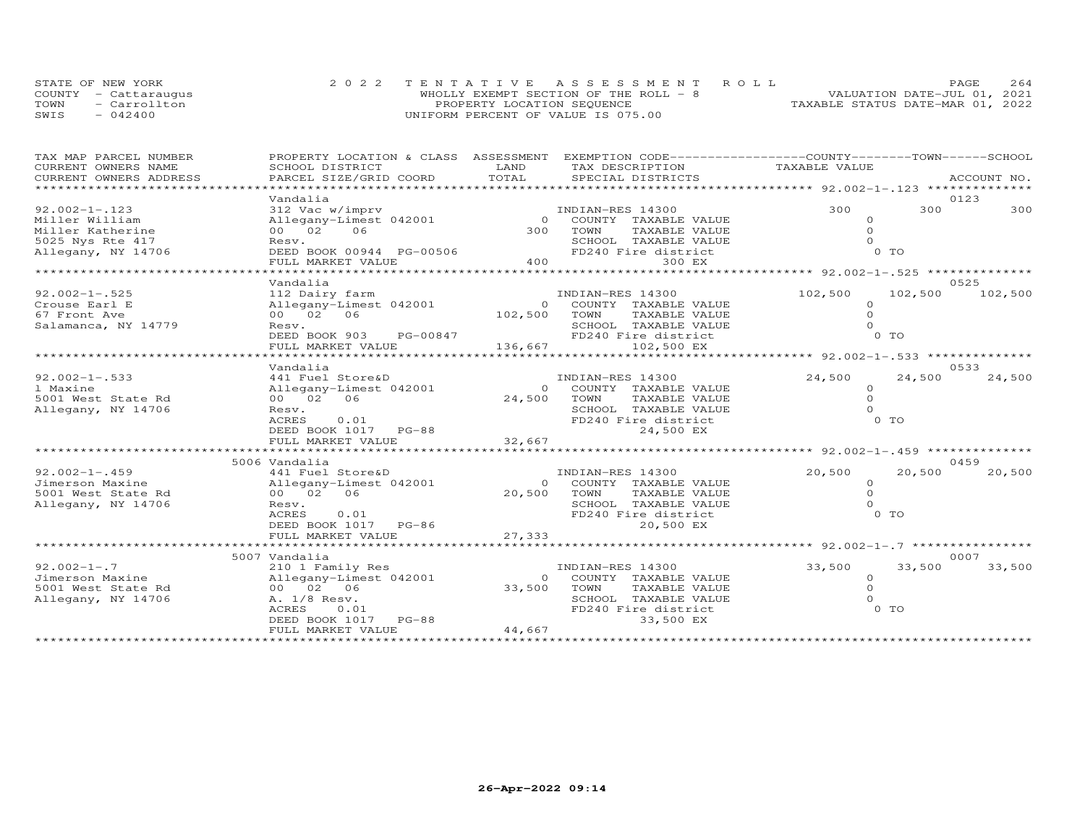|      | STATE OF NEW YORK    | 2022 TENTATIVE ASSESSMENT ROLL        |                                  | <b>PAGE</b> | 2.64 |
|------|----------------------|---------------------------------------|----------------------------------|-------------|------|
|      | COUNTY - Cattaraugus | WHOLLY EXEMPT SECTION OF THE ROLL - 8 | VALUATION DATE-JUL 01, 2021      |             |      |
| TOWN | - Carrollton         | PROPERTY LOCATION SEQUENCE            | TAXABLE STATUS DATE-MAR 01, 2022 |             |      |
| SWIS | $-042400$            | UNIFORM PERCENT OF VALUE IS 075.00    |                                  |             |      |

| TAX MAP PARCEL NUMBER  |                                          |                | PROPERTY LOCATION & CLASS ASSESSMENT EXEMPTION CODE----------------COUNTY-------TOWN-----SCHOOL |                                                   |         |             |
|------------------------|------------------------------------------|----------------|-------------------------------------------------------------------------------------------------|---------------------------------------------------|---------|-------------|
| CURRENT OWNERS NAME    | SCHOOL DISTRICT                          | LAND           | TAX DESCRIPTION                                                                                 | TAXABLE VALUE                                     |         |             |
| CURRENT OWNERS ADDRESS | PARCEL SIZE/GRID COORD                   | TOTAL          | SPECIAL DISTRICTS                                                                               |                                                   |         | ACCOUNT NO. |
| ****************       |                                          |                |                                                                                                 |                                                   |         |             |
|                        | Vandalia                                 |                |                                                                                                 |                                                   |         | 0123        |
| $92.002 - 1 - .123$    | 312 Vac w/imprv                          |                | INDIAN-RES 14300                                                                                | 300                                               | 300     | 300         |
| Miller William         | Allegany-Limest 042001                   |                | 0 COUNTY TAXABLE VALUE                                                                          | $\Omega$                                          |         |             |
| Miller Katherine       | 00 02 06                                 | 300            | TOWN<br>TAXABLE VALUE                                                                           | $\Omega$                                          |         |             |
| 5025 Nys Rte 417       | Resv.                                    |                | SCHOOL TAXABLE VALUE                                                                            |                                                   |         |             |
| Allegany, NY 14706     | DEED BOOK 00944 PG-00506                 |                | FD240 Fire district                                                                             |                                                   | 0 TO    |             |
|                        | FULL MARKET VALUE                        | 400            | 300 EX                                                                                          |                                                   |         |             |
|                        |                                          |                |                                                                                                 |                                                   |         |             |
|                        | Vandalia                                 |                |                                                                                                 |                                                   |         | 0.52.5      |
| $92.002 - 1 - .525$    | 112 Dairy farm                           |                | INDIAN-RES 14300                                                                                | 102,500                                           | 102,500 | 102,500     |
| Crouse Earl E          | Allegany-Limest 042001                   |                | 0 COUNTY TAXABLE VALUE                                                                          | $\Omega$                                          |         |             |
| 67 Front Ave           | 00 02 06                                 | 102,500 TOWN   | TAXABLE VALUE                                                                                   | $\Omega$                                          |         |             |
| Salamanca, NY 14779    | Resv.                                    |                | SCHOOL TAXABLE VALUE                                                                            | $\Omega$                                          |         |             |
|                        | DEED BOOK 903 PG-00847                   |                | FD240 Fire district                                                                             |                                                   | $0$ TO  |             |
|                        |                                          |                |                                                                                                 |                                                   |         |             |
|                        | FULL MARKET VALUE<br>******************* | 136,667        | 102,500 EX                                                                                      |                                                   |         |             |
|                        |                                          |                |                                                                                                 |                                                   |         |             |
|                        | Vandalia                                 |                |                                                                                                 |                                                   |         | 0533        |
| $92.002 - 1 - .533$    | 441 Fuel Store&D                         |                | INDIAN-RES 14300                                                                                | 24,500                                            | 24,500  | 24,500      |
| 1 Maxine               | Allegany-Limest 042001                   |                | 0 COUNTY TAXABLE VALUE                                                                          | $\Omega$                                          |         |             |
| 5001 West State Rd     | 00 02 06                                 | 24,500         | TOWN<br>TAXABLE VALUE                                                                           | $\Omega$                                          |         |             |
| Allegany, NY 14706     | Resv.                                    |                | SCHOOL TAXABLE VALUE                                                                            | $\Omega$                                          |         |             |
|                        | 0.01<br>ACRES                            |                | FD240 Fire district                                                                             |                                                   | 0 TO    |             |
|                        | DEED BOOK 1017 PG-88                     |                | 24,500 EX                                                                                       |                                                   |         |             |
|                        | FULL MARKET VALUE                        | 32,667         |                                                                                                 |                                                   |         |             |
|                        |                                          |                |                                                                                                 | ********************* 92.002-1-.459 ************* |         |             |
|                        | 5006 Vandalia                            |                |                                                                                                 |                                                   |         | 0459        |
| $92.002 - 1 - .459$    | 441 Fuel Store&D                         |                | INDIAN-RES 14300                                                                                | 20,500                                            | 20,500  | 20,500      |
| Jimerson Maxine        | Allegany-Limest 042001                   | $\Omega$       | COUNTY TAXABLE VALUE                                                                            | $\Omega$                                          |         |             |
| 5001 West State Rd     | 00 02 06                                 | 20,500         | TOWN<br>TAXABLE VALUE                                                                           | $\Omega$                                          |         |             |
| Allegany, NY 14706     | Resv.                                    |                | SCHOOL TAXABLE VALUE                                                                            | $\Omega$                                          |         |             |
|                        | ACRES<br>0.01                            |                | FD240 Fire district                                                                             |                                                   | 0 TO    |             |
|                        | DEED BOOK 1017 PG-86                     |                | 20,500 EX                                                                                       |                                                   |         |             |
|                        | FULL MARKET VALUE                        | 27,333         |                                                                                                 |                                                   |         |             |
|                        |                                          |                |                                                                                                 |                                                   |         |             |
|                        | 5007 Vandalia                            |                |                                                                                                 |                                                   |         | 0007        |
| $92.002 - 1 - .7$      | 210 1 Family Res                         |                | INDIAN-RES 14300                                                                                | 33,500                                            | 33,500  | 33,500      |
| Jimerson Maxine        | Allegany-Limest 042001                   | $\overline{O}$ | COUNTY TAXABLE VALUE                                                                            | $\circ$                                           |         |             |
| 5001 West State Rd     | 00 02 06                                 | 33,500         | TOWN<br>TAXABLE VALUE                                                                           | $\Omega$                                          |         |             |
| Allegany, NY 14706     | A. 1/8 Resv.                             |                | SCHOOL TAXABLE VALUE                                                                            | $\Omega$                                          |         |             |
|                        | ACRES<br>0.01                            |                | FD240 Fire district                                                                             |                                                   | 0 TO    |             |
|                        |                                          |                |                                                                                                 |                                                   |         |             |
|                        | DEED BOOK 1017 PG-88                     | 44,667         | 33,500 EX                                                                                       |                                                   |         |             |
|                        | FULL MARKET VALUE                        |                |                                                                                                 |                                                   |         |             |
|                        |                                          |                |                                                                                                 |                                                   |         |             |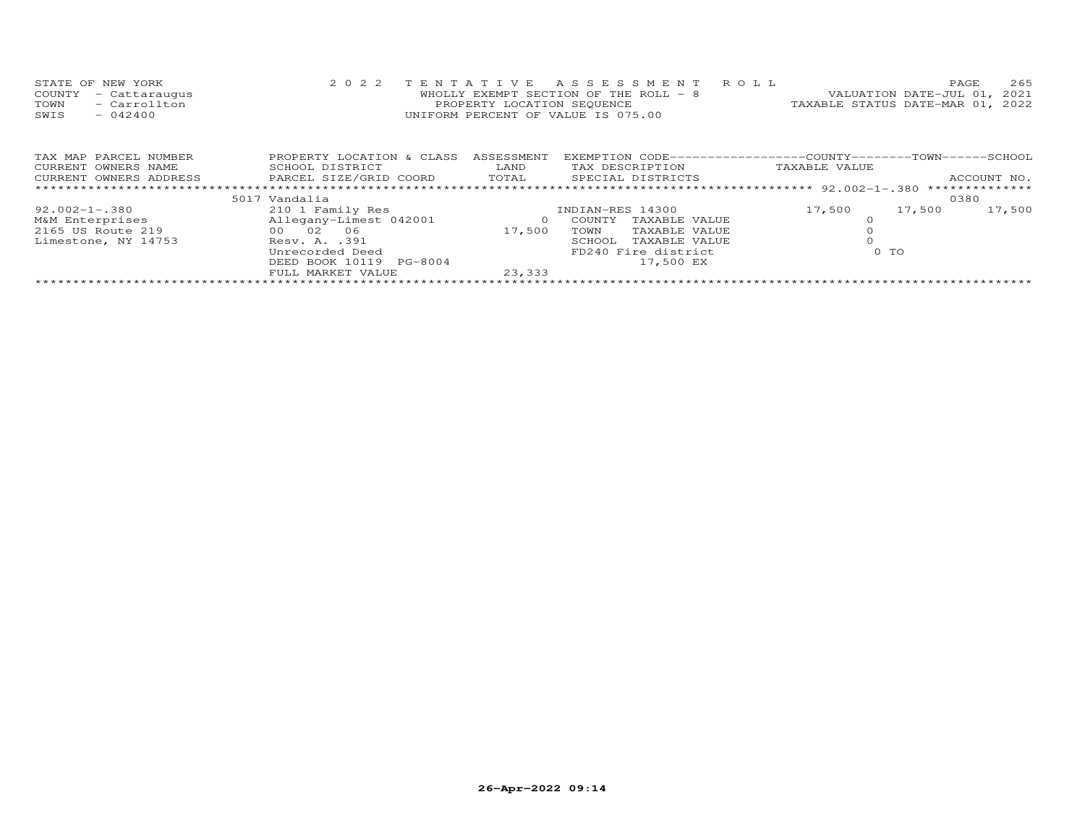| STATE OF NEW YORK       | 2 0 2 2                   |                            | TENTATIVE ASSESSMENT                   | R O L L                                                       | PAGE                        | 265         |
|-------------------------|---------------------------|----------------------------|----------------------------------------|---------------------------------------------------------------|-----------------------------|-------------|
| - Cattaraugus<br>COUNTY |                           |                            | WHOLLY EXEMPT SECTION OF THE ROLL $-8$ |                                                               | VALUATION DATE-JUL 01, 2021 |             |
| - Carrollton<br>TOWN    |                           | PROPERTY LOCATION SEQUENCE |                                        | TAXABLE STATUS DATE-MAR 01, 2022                              |                             |             |
| $-042400$<br>SWIS       |                           |                            | UNIFORM PERCENT OF VALUE IS 075.00     |                                                               |                             |             |
|                         |                           |                            |                                        |                                                               |                             |             |
|                         |                           |                            |                                        |                                                               |                             |             |
|                         |                           |                            |                                        |                                                               |                             |             |
| TAX MAP PARCEL NUMBER   | PROPERTY LOCATION & CLASS | ASSESSMENT                 |                                        | EXEMPTION CODE------------------COUNTY-------TOWN------SCHOOL |                             |             |
| CURRENT OWNERS NAME     | SCHOOL DISTRICT           | LAND                       | TAX DESCRIPTION                        | TAXABLE VALUE                                                 |                             |             |
| CURRENT OWNERS ADDRESS  | PARCEL SIZE/GRID COORD    | TOTAL                      | SPECIAL DISTRICTS                      |                                                               |                             | ACCOUNT NO. |
|                         |                           |                            |                                        |                                                               |                             |             |
|                         | 5017 Vandalia             |                            |                                        |                                                               | 0380                        |             |
| 92.002-1-.380           | 210 1 Family Res          |                            | INDIAN-RES 14300                       | 17,500                                                        | 17,500                      | 17,500      |
| M&M Enterprises         | Allegany-Limest 042001    | $\circ$                    | COUNTY<br>TAXABLE VALUE                |                                                               |                             |             |
| 2165 US Route 219       | 00 02 06                  | 17,500                     | TAXABLE VALUE<br>TOWN                  |                                                               |                             |             |
| Limestone, NY 14753     | Resv. A. .391             |                            | TAXABLE VALUE<br>SCHOOL                |                                                               |                             |             |
|                         | Unrecorded Deed           |                            | FD240 Fire district                    |                                                               | $0$ TO                      |             |
|                         | DEED BOOK 10119 PG-8004   |                            | 17,500 EX                              |                                                               |                             |             |
|                         | FULL MARKET VALUE         | 23,333                     |                                        |                                                               |                             |             |
|                         |                           |                            |                                        |                                                               |                             |             |

\*\*\*\*\*\*\*\*\*\*\*\*\*\*\*\*\*\*\*\*\*\*\*\*\*\*\*\*\*\*\*\*\*\*\*\*\*\*\*\*\*\*\*\*\*\*\*\*\*\*\*\*\*\*\*\*\*\*\*\*\*\*\*\*\*\*\*\*\*\*\*\*\*\*\*\*\*\*\*\*\*\*\*\*\*\*\*\*\*\*\*\*\*\*\*\*\*\*\*\*\*\*\*\*\*\*\*\*\*\*\*\*\*\*\*\*\*\*\*\*\*\*\*\*\*\*\*\*\*\*\*\*

### **26-Apr-2022 09:14**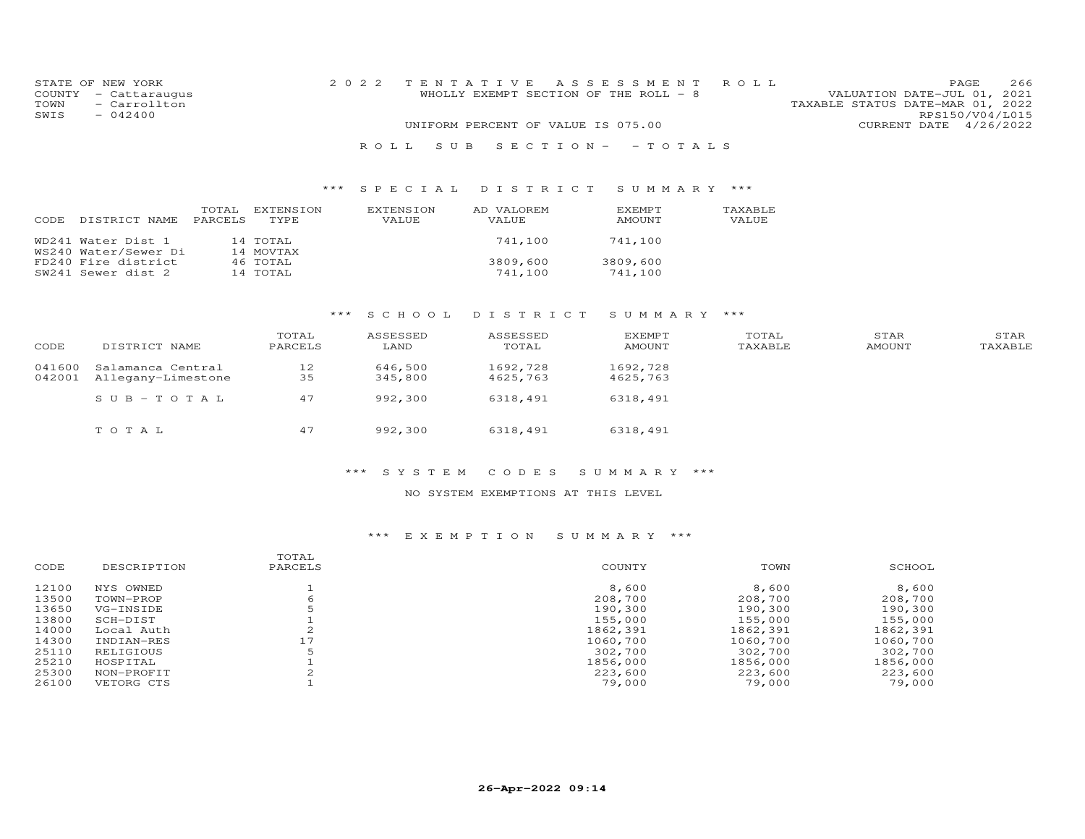|      | STATE OF NEW YORK    | 2022 TENTATIVE ASSESSMENT ROLL        |  |                                  |                        | PAGE. | 266 |
|------|----------------------|---------------------------------------|--|----------------------------------|------------------------|-------|-----|
|      | COUNTY - Cattaraugus | WHOLLY EXEMPT SECTION OF THE ROLL - 8 |  | VALUATION DATE-JUL 01, 2021      |                        |       |     |
| TOWN | - Carrollton         |                                       |  | TAXABLE STATUS DATE-MAR 01, 2022 |                        |       |     |
| SWIS | $-042400$            |                                       |  |                                  | RPS150/V04/L015        |       |     |
|      |                      | UNIFORM PERCENT OF VALUE IS 075.00    |  |                                  | CURRENT DATE 4/26/2022 |       |     |
|      |                      |                                       |  |                                  |                        |       |     |

# R O L L S U B S E C T I O N - - T O T A L S

### \*\*\* S P E C I A L D I S T R I C T S U M M A R Y \*\*\*

| CODE. | DISTRICT NAME                              | TOTAL<br><b>PARCELS</b> | EXTENSION<br>TYPE.    | EXTENSION<br>VALUE | AD VALOREM<br>VALUE | <b>EXEMPT</b><br>AMOUNT | TAXABLE<br>VALUE |
|-------|--------------------------------------------|-------------------------|-----------------------|--------------------|---------------------|-------------------------|------------------|
|       | WD241 Water Dist 1<br>WS240 Water/Sewer Di |                         | 14 TOTAL<br>14 MOVTAX |                    | 741,100             | 741,100                 |                  |
|       | FD240 Fire district<br>SW241 Sewer dist 2  |                         | 46 TOTAL<br>14 TOTAL  |                    | 3809,600<br>741,100 | 3809,600<br>741,100     |                  |

# \*\*\* S C H O O L D I S T R I C T S U M M A R Y \*\*\*

| CODE             | DISTRICT NAME                           | TOTAL<br>PARCELS | ASSESSED<br>LAND   | ASSESSED<br>TOTAL    | <b>EXEMPT</b><br>AMOUNT | TOTAL<br>TAXABLE | STAR<br>AMOUNT | STAR<br>TAXABLE |
|------------------|-----------------------------------------|------------------|--------------------|----------------------|-------------------------|------------------|----------------|-----------------|
| 041600<br>042001 | Salamanca Central<br>Allegany-Limestone | 12<br>35         | 646,500<br>345,800 | 1692,728<br>4625,763 | 1692,728<br>4625,763    |                  |                |                 |
|                  | $SUB - TO T AL$                         | 47               | 992,300            | 6318,491             | 6318,491                |                  |                |                 |
|                  | TOTAL                                   | 47               | 992,300            | 6318,491             | 6318,491                |                  |                |                 |

### \*\*\* S Y S T E M C O D E S S U M M A R Y \*\*\*

### NO SYSTEM EXEMPTIONS AT THIS LEVEL

| CODE  | DESCRIPTION | TOTAL<br>PARCELS | COUNTY   | TOWN     | SCHOOL   |
|-------|-------------|------------------|----------|----------|----------|
| 12100 | NYS OWNED   |                  | 8,600    | 8,600    | 8,600    |
| 13500 | TOWN-PROP   | 6                | 208,700  | 208,700  | 208,700  |
| 13650 | VG-INSIDE   |                  | 190,300  | 190,300  | 190,300  |
| 13800 | SCH-DIST    |                  | 155,000  | 155,000  | 155,000  |
| 14000 | Local Auth  |                  | 1862,391 | 1862,391 | 1862,391 |
| 14300 | INDIAN-RES  | 17               | 1060,700 | 1060,700 | 1060,700 |
| 25110 | RELIGIOUS   | .5               | 302,700  | 302,700  | 302,700  |
| 25210 | HOSPITAL    |                  | 1856,000 | 1856,000 | 1856,000 |
| 25300 | NON-PROFIT  |                  | 223,600  | 223,600  | 223,600  |
| 26100 | VETORG CTS  |                  | 79,000   | 79,000   | 79,000   |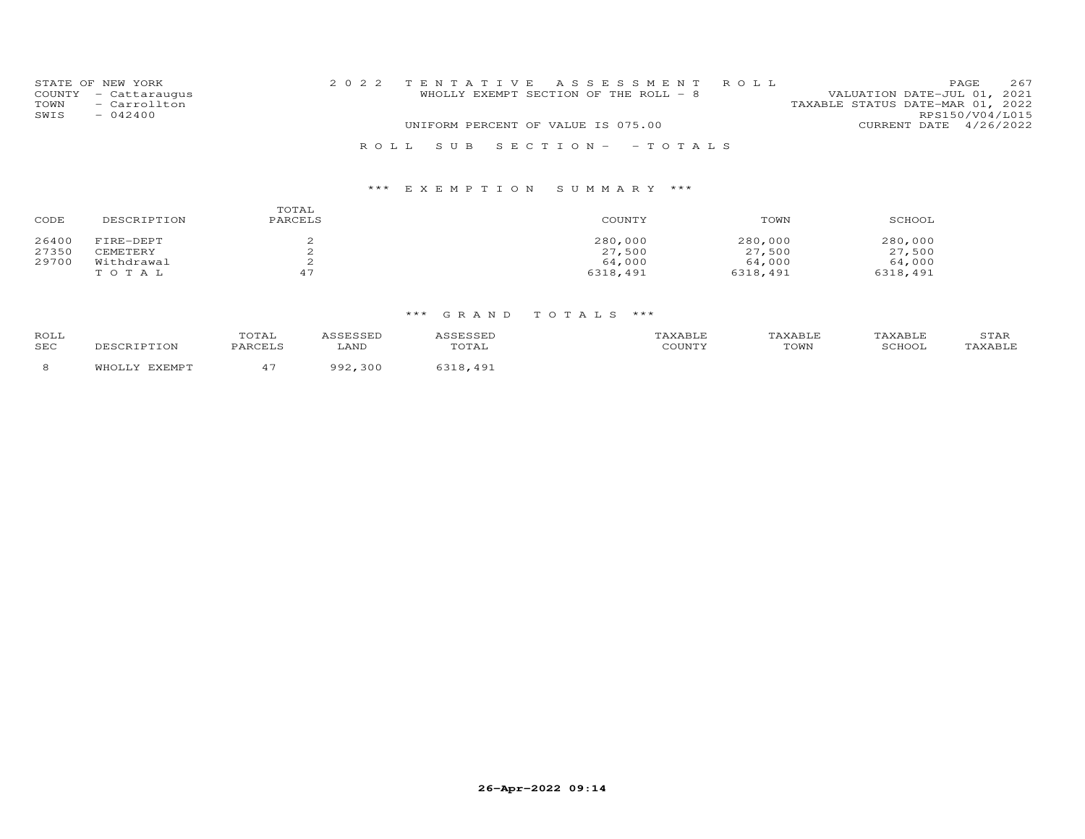|      | STATE OF NEW YORK                    | 2022 TENTATIVE ASSESSMENT ROLL |                                       |  |                                                                 |                        | PAGE            | 267 |
|------|--------------------------------------|--------------------------------|---------------------------------------|--|-----------------------------------------------------------------|------------------------|-----------------|-----|
| TOWN | COUNTY - Cattaraugus<br>- Carrollton |                                | WHOLLY EXEMPT SECTION OF THE ROLL - 8 |  | VALUATION DATE-JUL 01, 2021<br>TAXABLE STATUS DATE-MAR 01, 2022 |                        |                 |     |
| SWIS | $-042400$                            |                                |                                       |  |                                                                 |                        | RPS150/V04/L015 |     |
|      |                                      |                                | UNIFORM PERCENT OF VALUE IS 075.00    |  |                                                                 | CURRENT DATE 4/26/2022 |                 |     |
|      |                                      | ROLL SUB SECTION- -TOTALS      |                                       |  |                                                                 |                        |                 |     |

| CODE  | DESCRIPTION | TOTAL<br>PARCELS | COUNTY   | TOWN     | SCHOOL   |
|-------|-------------|------------------|----------|----------|----------|
| 26400 | FIRE-DEPT   |                  | 280,000  | 280,000  | 280,000  |
| 27350 | CEMETERY    |                  | 27,500   | 27,500   | 27,500   |
| 29700 | Withdrawal  |                  | 64,000   | 64,000   | 64,000   |
|       | TOTAL       | 47               | 6318,491 | 6318,491 | 6318,491 |

| ROLL<br>SEC | TOTAL<br>DADCET C | LANI       | \SSESSED<br>TOTAL | 'AXABLE<br>COUNTY | TAXABLE<br>TOWN | TAXABLE<br>SCHOOL | STAR<br>TAXABLE |
|-------------|-------------------|------------|-------------------|-------------------|-----------------|-------------------|-----------------|
|             |                   | ററി<br>300 | 318,491           |                   |                 |                   |                 |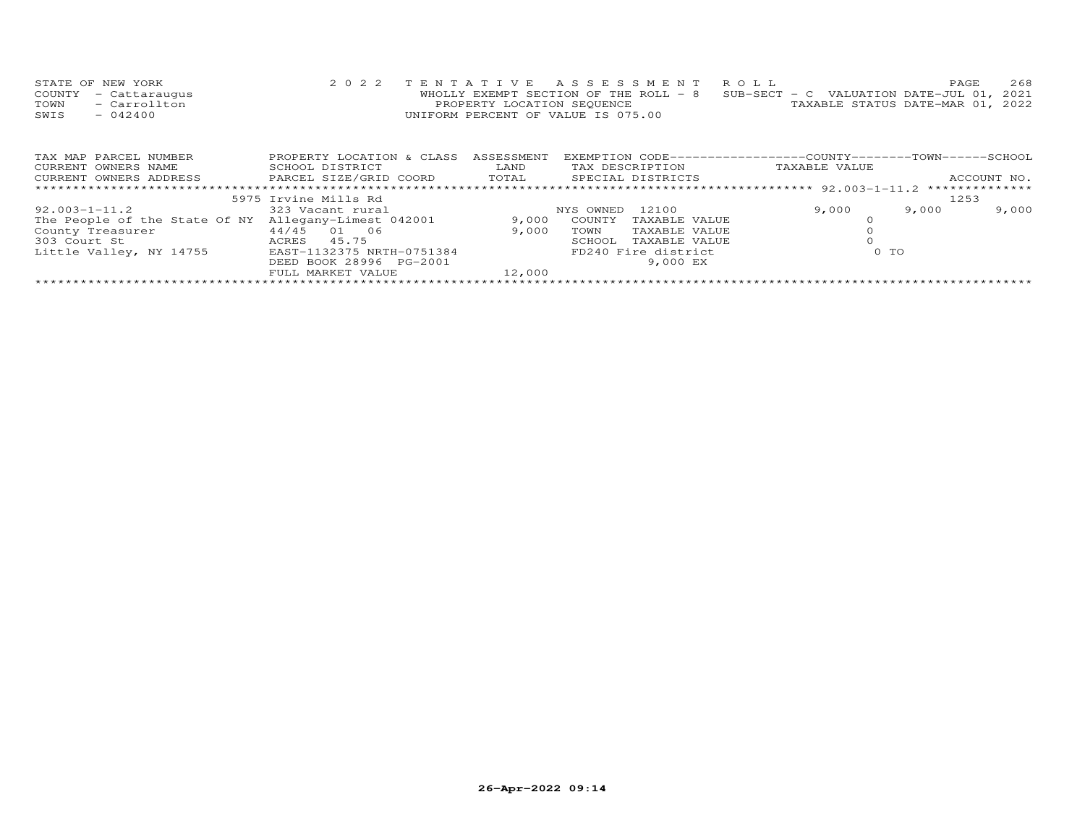| STATE OF NEW YORK    | 2022 TENTATIVE ASSESSMENT ROLL                                                 |                                  | PAGE | 268 |
|----------------------|--------------------------------------------------------------------------------|----------------------------------|------|-----|
| COUNTY - Cattaraugus | WHOLLY EXEMPT SECTION OF THE ROLL - 8 SUB-SECT - C VALUATION DATE-JUL 01, 2021 |                                  |      |     |
| - Carrollton<br>TOWN | PROPERTY LOCATION SEQUENCE                                                     | TAXABLE STATUS DATE-MAR 01, 2022 |      |     |
| $-042400$<br>SWIS    | UNIFORM PERCENT OF VALUE IS 075.00                                             |                                  |      |     |

| TAX MAP PARCEL NUMBER                                | PROPERTY LOCATION & CLASS | ASSESSMENT | EXEMPTION CODE-----------------COUNTY-------TOWN------SCHOOL |               |       |             |
|------------------------------------------------------|---------------------------|------------|--------------------------------------------------------------|---------------|-------|-------------|
| CURRENT OWNERS NAME                                  | SCHOOL DISTRICT           | LAND       | TAX DESCRIPTION                                              | TAXABLE VALUE |       |             |
| CURRENT OWNERS ADDRESS                               | PARCEL SIZE/GRID COORD    | TOTAL      | SPECIAL DISTRICTS                                            |               |       | ACCOUNT NO. |
|                                                      |                           |            |                                                              |               |       |             |
|                                                      | 5975 Irvine Mills Rd      |            |                                                              |               | 1253  |             |
| $92.003 - 1 - 11.2$                                  | 323 Vacant rural          |            | 12100<br>NYS OWNED                                           | 9,000         | 9,000 | 9,000       |
| The People of the State Of NY Allegany-Limest 042001 |                           | 9,000      | COUNTY<br>TAXABLE VALUE                                      |               |       |             |
| County Treasurer                                     | 44/45 01 06               | 9,000      | TAXABLE VALUE<br>TOWN                                        |               |       |             |
| 303 Court St                                         | 45.75<br>ACRES            |            | TAXABLE VALUE<br>SCHOOL                                      |               |       |             |
| Little Valley, NY 14755                              | EAST-1132375 NRTH-0751384 |            | FD240 Fire district                                          | 0 TO          |       |             |
|                                                      | DEED BOOK 28996 PG-2001   |            | 9,000 EX                                                     |               |       |             |
|                                                      | FULL MARKET VALUE         | 12,000     |                                                              |               |       |             |
|                                                      |                           |            |                                                              |               |       |             |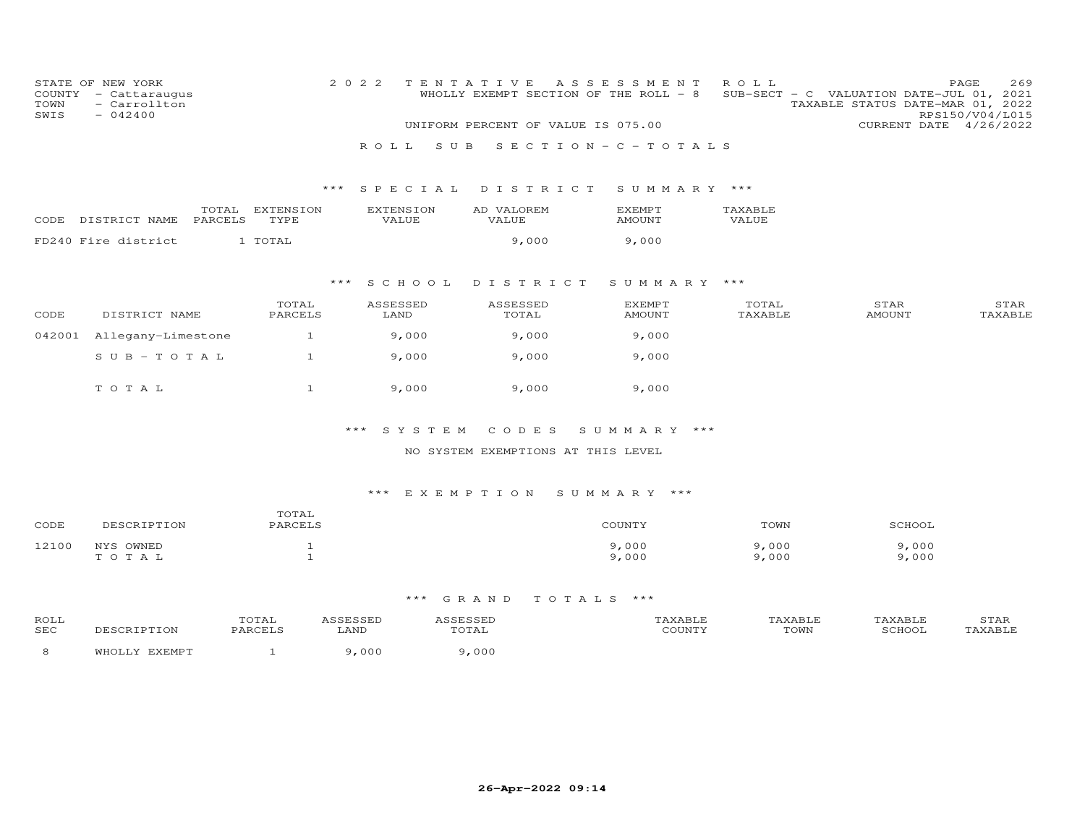| COUNTY<br>TOWN<br>SWIS | STATE OF NEW YORK<br>- Cattaraugus<br>- Carrollton<br>$-042400$ |                  |                   | 2 0 2 2<br>ROLL           | TENTATIVE<br>WHOLLY EXEMPT SECTION OF THE ROLL - 8<br>UNIFORM PERCENT OF VALUE IS 075.00<br>S U B | A S S E S S M E N T<br>$S E C T I O N - C - T O T A L S$ | ROLL             | SUB-SECT - C VALUATION DATE-JUL 01, 2021<br>TAXABLE STATUS DATE-MAR 01, 2022<br>CURRENT DATE 4/26/2022 | 269<br>PAGE<br>RPS150/V04/L015 |
|------------------------|-----------------------------------------------------------------|------------------|-------------------|---------------------------|---------------------------------------------------------------------------------------------------|----------------------------------------------------------|------------------|--------------------------------------------------------------------------------------------------------|--------------------------------|
|                        |                                                                 |                  |                   | S P E C I A L<br>***      | DISTRICT                                                                                          |                                                          | SUMMARY ***      |                                                                                                        |                                |
| CODE                   | DISTRICT NAME                                                   | TOTAL<br>PARCELS | EXTENSION<br>TYPE | <b>EXTENSION</b><br>VALUE | AD VALOREM<br>VALUE                                                                               | <b>EXEMPT</b><br><b>AMOUNT</b>                           | TAXABLE<br>VALUE |                                                                                                        |                                |
|                        | FD240 Fire district                                             |                  | 1 TOTAL           |                           | 9,000                                                                                             | 9,000                                                    |                  |                                                                                                        |                                |
|                        |                                                                 |                  |                   | ***<br>S C H O O L        | DISTRICT                                                                                          | SUMMARY ***                                              |                  |                                                                                                        |                                |
| CODE                   | DISTRICT NAME                                                   |                  | TOTAL<br>PARCELS  | ASSESSED<br>LAND          | ASSESSED<br>TOTAL                                                                                 | <b>EXEMPT</b><br><b>AMOUNT</b>                           | TOTAL<br>TAXABLE | STAR<br><b>AMOUNT</b>                                                                                  | STAR<br>TAXABLE                |
| 042001                 | Allegany-Limestone                                              |                  | $\mathbf{1}$      | 9,000                     | 9,000                                                                                             | 9,000                                                    |                  |                                                                                                        |                                |
|                        | $SUB - TO T AL$                                                 |                  | $\mathbf{1}$      | 9,000                     | 9,000                                                                                             | 9,000                                                    |                  |                                                                                                        |                                |
|                        | TOTAL                                                           |                  | $\mathbf{1}$      | 9,000                     | 9,000                                                                                             | 9,000                                                    |                  |                                                                                                        |                                |
|                        |                                                                 |                  |                   | $***$                     | SYSTEM<br>CODES                                                                                   | SUMMARY ***                                              |                  |                                                                                                        |                                |
|                        |                                                                 |                  |                   |                           | NO SYSTEM EXEMPTIONS AT THIS LEVEL                                                                |                                                          |                  |                                                                                                        |                                |
|                        |                                                                 |                  |                   |                           |                                                                                                   |                                                          |                  |                                                                                                        |                                |

| CODE  | DESCRIPTION | TOTAL<br>PARCELS | COUNTY | TOWN  | SCHOOL |
|-------|-------------|------------------|--------|-------|--------|
| 12100 | NYS OWNED   |                  | 9,000  | 9,000 | 9,000  |
|       | TOTAL       |                  | 9,000  | 9,000 | 9,000  |

| ROLL<br><b>SEC</b> | <b>RIPTION</b> | TOTAL<br>PARCELS | 1 C C F C C F F<br>LAND | TOTAL | TAXABLE<br>COUNTY | TAXABLE<br>TOWN | TAXABLE<br>SCHOOJ | STAR<br>'AXABLE |
|--------------------|----------------|------------------|-------------------------|-------|-------------------|-----------------|-------------------|-----------------|
|                    | FYFMDT<br>WHC  |                  | ,000                    | .000  |                   |                 |                   |                 |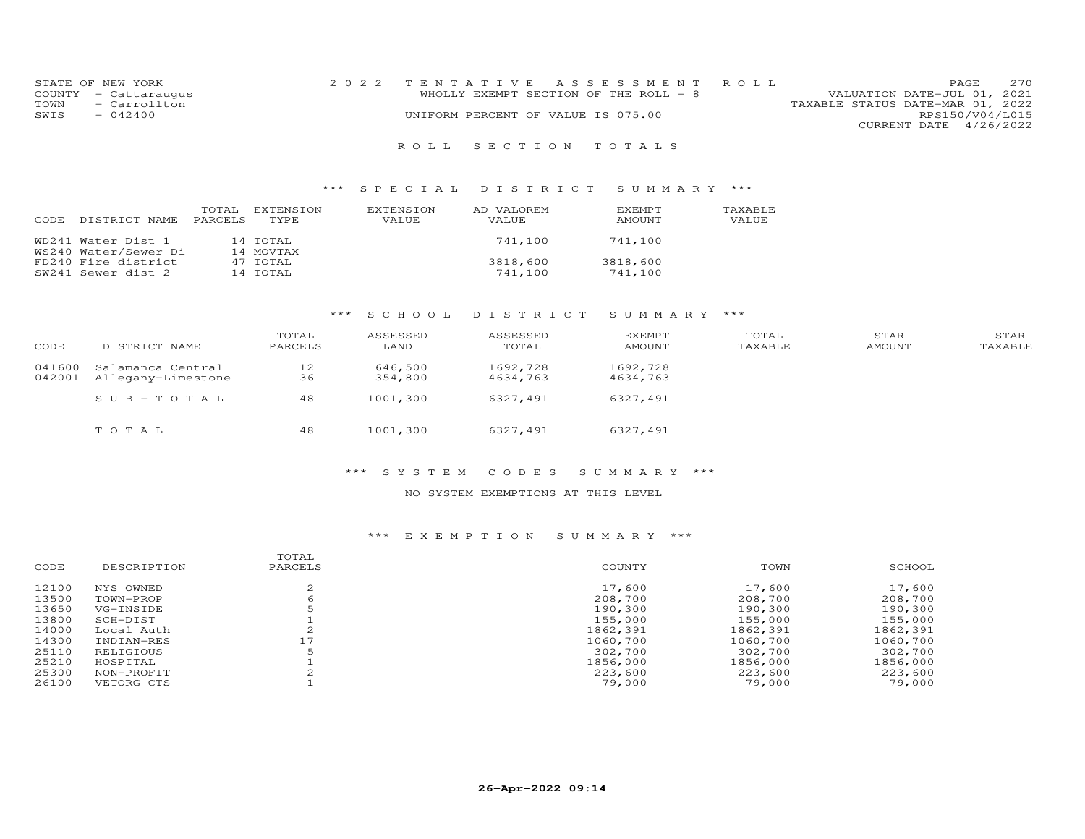| STATE OF NEW YORK    | 2022 TENTATIVE ASSESSMENT ROLL        |                                  | PAGE.                  | 2.70 |
|----------------------|---------------------------------------|----------------------------------|------------------------|------|
| COUNTY - Cattaraugus | WHOLLY EXEMPT SECTION OF THE ROLL - 8 | VALUATION DATE-JUL 01, 2021      |                        |      |
| TOWN<br>- Carrollton |                                       | TAXABLE STATUS DATE-MAR 01, 2022 |                        |      |
| SWIS<br>$-042400$    | UNIFORM PERCENT OF VALUE IS 075.00    |                                  | RPS150/V04/L015        |      |
|                      |                                       |                                  | CURRENT DATE 4/26/2022 |      |
|                      |                                       |                                  |                        |      |

### R O L L S E C T I O N T O T A L S

### \*\*\* S P E C I A L D I S T R I C T S U M M A R Y \*\*\*

| CODE. | DISTRICT NAME                              | TOTAL<br>PARCELS | EXTENSION<br>TYPE.    | EXTENSION<br>VALUE | AD VALOREM<br><b>VALUE</b> | <b>EXEMPT</b><br>AMOUNT | TAXABLE<br>VALUE |
|-------|--------------------------------------------|------------------|-----------------------|--------------------|----------------------------|-------------------------|------------------|
|       | WD241 Water Dist 1<br>WS240 Water/Sewer Di |                  | 14 TOTAL<br>14 MOVTAX |                    | 741,100                    | 741,100                 |                  |
|       | FD240 Fire district<br>SW241 Sewer dist 2  |                  | 47 TOTAL<br>14 TOTAL  |                    | 3818,600<br>741,100        | 3818,600<br>741,100     |                  |

# \*\*\* S C H O O L D I S T R I C T S U M M A R Y \*\*\*

| CODE             | DISTRICT NAME                           | TOTAL<br>PARCELS | ASSESSED<br>LAND   | ASSESSED<br>TOTAL    | <b>EXEMPT</b><br>AMOUNT | TOTAL<br>TAXABLE | STAR<br>AMOUNT | STAR<br>TAXABLE |
|------------------|-----------------------------------------|------------------|--------------------|----------------------|-------------------------|------------------|----------------|-----------------|
| 041600<br>042001 | Salamanca Central<br>Allegany-Limestone | 12<br>36         | 646,500<br>354,800 | 1692,728<br>4634,763 | 1692,728<br>4634,763    |                  |                |                 |
|                  | SUB-TOTAL                               | 48               | 1001,300           | 6327,491             | 6327,491                |                  |                |                 |
|                  | TOTAL                                   | 48               | 1001,300           | 6327,491             | 6327,491                |                  |                |                 |

### \*\*\* S Y S T E M C O D E S S U M M A R Y \*\*\*

### NO SYSTEM EXEMPTIONS AT THIS LEVEL

|       |             | TOTAL   |          |          |          |
|-------|-------------|---------|----------|----------|----------|
| CODE  | DESCRIPTION | PARCELS | COUNTY   | TOWN     | SCHOOL   |
| 12100 | NYS OWNED   |         | 17,600   | 17,600   | 17,600   |
| 13500 | TOWN-PROP   | 6       | 208,700  | 208,700  | 208,700  |
| 13650 | VG-INSIDE   |         | 190,300  | 190,300  | 190,300  |
| 13800 | SCH-DIST    |         | 155,000  | 155,000  | 155,000  |
| 14000 | Local Auth  |         | 1862,391 | 1862,391 | 1862,391 |
| 14300 | INDIAN-RES  | 17      | 1060,700 | 1060,700 | 1060,700 |
| 25110 | RELIGIOUS   |         | 302,700  | 302,700  | 302,700  |
| 25210 | HOSPITAL    |         | 1856,000 | 1856,000 | 1856,000 |
| 25300 | NON-PROFIT  |         | 223,600  | 223,600  | 223,600  |
| 26100 | VETORG CTS  |         | 79,000   | 79,000   | 79,000   |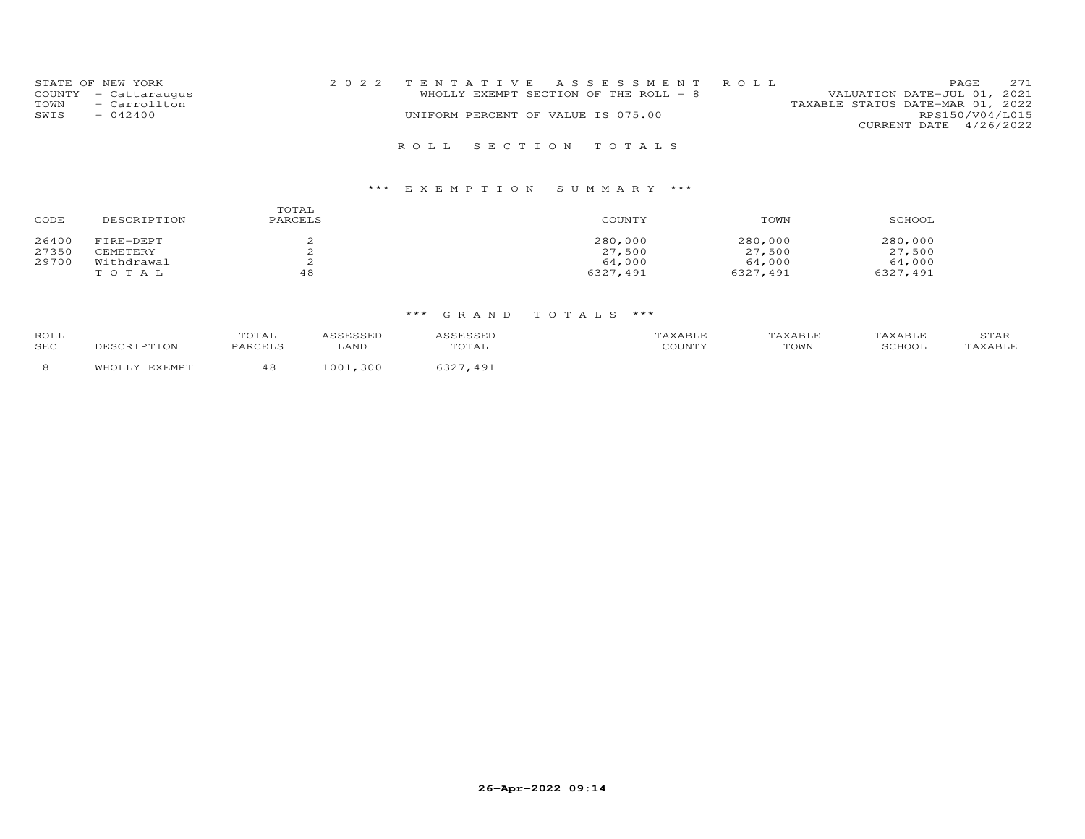| STATE OF NEW YORK<br>COUNTY - Cattaraugus<br>- Carrollton<br>TOWN<br>SWIS<br>$-042400$ | 2022 TENTATIVE ASSESSMENT ROLL<br>WHOLLY EXEMPT SECTION OF THE ROLL - 8<br>UNIFORM PERCENT OF VALUE IS 075.00 | PAGE<br>VALUATION DATE-JUL 01, 2021<br>TAXABLE STATUS DATE-MAR 01, 2022<br>RPS150/V04/L015<br>CURRENT DATE 4/26/2022 | 2.71 |
|----------------------------------------------------------------------------------------|---------------------------------------------------------------------------------------------------------------|----------------------------------------------------------------------------------------------------------------------|------|
|                                                                                        | ROLL SECTION TOTALS                                                                                           |                                                                                                                      |      |

| CODE  | DESCRIPTION | TOTAL<br>PARCELS | COUNTY   | TOWN     | SCHOOL   |
|-------|-------------|------------------|----------|----------|----------|
| 26400 | FIRE-DEPT   |                  | 280,000  | 280,000  | 280,000  |
| 27350 | CEMETERY    |                  | 27,500   | 27,500   | 27,500   |
| 29700 | Withdrawal  |                  | 64,000   | 64,000   | 64,000   |
|       | TOTAL       | 48               | 6327,491 | 6327,491 | 6327,491 |

| ROLL<br>SEC | TOTAL<br>DADCET C | '.ANI         | TOTAL                   | - --- - - -<br>COUNT' | <b>LAVART.</b><br>TOWN | <b>TAVARIE</b><br>SCHOOL | <b>STAR</b> |
|-------------|-------------------|---------------|-------------------------|-----------------------|------------------------|--------------------------|-------------|
|             | ᅩ.                | $\cap$<br>300 | $\Delta$ Q <sup>-</sup> |                       |                        |                          |             |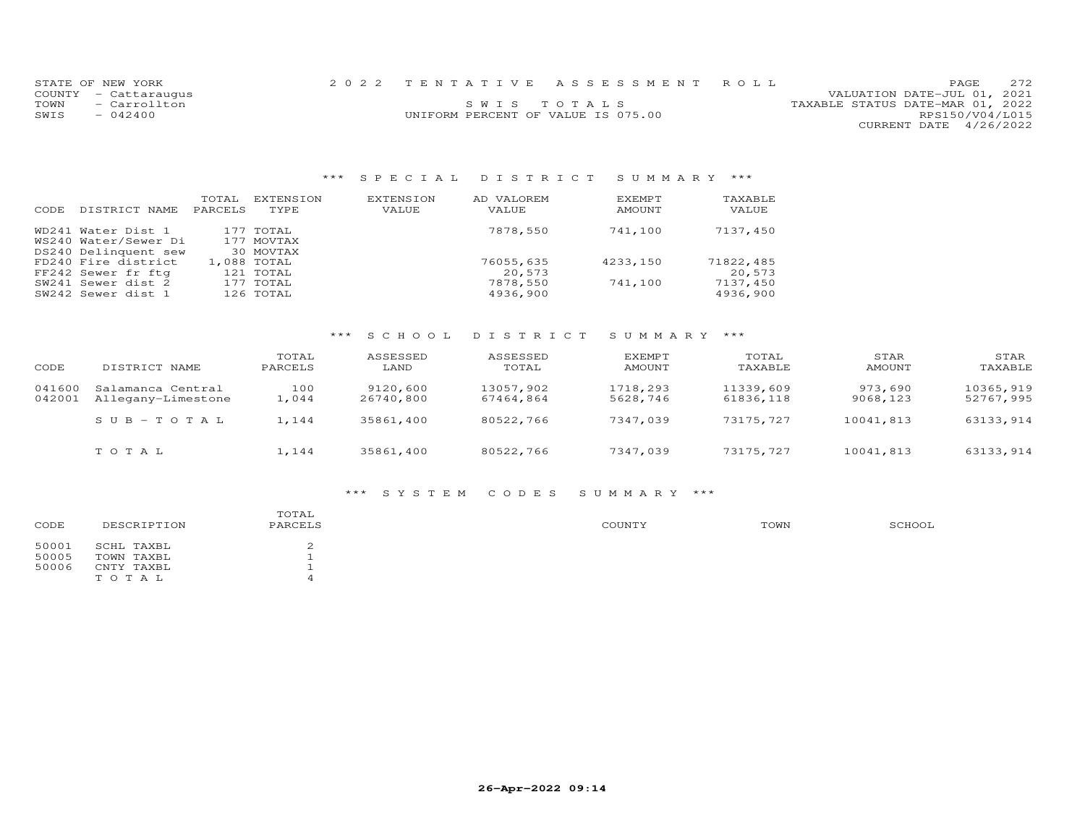|      | STATE OF NEW YORK    |                                    | 2022 TENTATIVE ASSESSMENT ROLL |                                  |                        | PAGE | 2.72 |
|------|----------------------|------------------------------------|--------------------------------|----------------------------------|------------------------|------|------|
|      | COUNTY - Cattaraugus |                                    |                                | VALUATION DATE-JUL 01, 2021      |                        |      |      |
| TOWN | - Carrollton         |                                    | SWIS TOTALS                    | TAXABLE STATUS DATE-MAR 01, 2022 |                        |      |      |
| SWIS | $-042400$            | UNIFORM PERCENT OF VALUE IS 075.00 |                                |                                  | RPS150/V04/L015        |      |      |
|      |                      |                                    |                                |                                  | CURRENT DATE 4/26/2022 |      |      |

# \*\*\* S P E C I A L D I S T R I C T S U M M A R Y \*\*\*

| CODE | DISTRICT NAME        | TOTAL<br>PARCELS | EXTENSION<br>TYPE | <b>EXTENSION</b><br>VALUE | AD VALOREM<br>VALUE | EXEMPT<br>AMOUNT | TAXABLE<br>VALUE |
|------|----------------------|------------------|-------------------|---------------------------|---------------------|------------------|------------------|
|      | WD241 Water Dist 1   |                  | 177 TOTAL         |                           | 7878,550            | 741,100          | 7137,450         |
|      | WS240 Water/Sewer Di |                  | 177 MOVTAX        |                           |                     |                  |                  |
|      | DS240 Delinquent sew |                  | 30 MOVTAX         |                           |                     |                  |                  |
|      | FD240 Fire district  |                  | 1,088 TOTAL       |                           | 76055,635           | 4233,150         | 71822,485        |
|      | FF242 Sewer fr ftg   |                  | 121 TOTAL         |                           | 20,573              |                  | 20,573           |
|      | SW241 Sewer dist 2   |                  | 177 TOTAL         |                           | 7878,550            | 741,100          | 7137,450         |
|      | SW242 Sewer dist 1   |                  | 126 TOTAL         |                           | 4936,900            |                  | 4936,900         |

# \*\*\* S C H O O L D I S T R I C T S U M M A R Y \*\*\*

| CODE             | DISTRICT NAME                           | TOTAL<br>PARCELS | ASSESSED<br>LAND      | ASSESSED<br>TOTAL      | EXEMPT<br>AMOUNT     | TOTAL<br>TAXABLE       | STAR<br>AMOUNT      | STAR<br>TAXABLE        |
|------------------|-----------------------------------------|------------------|-----------------------|------------------------|----------------------|------------------------|---------------------|------------------------|
| 041600<br>042001 | Salamanca Central<br>Allegany-Limestone | 100<br>1,044     | 9120,600<br>26740,800 | 13057,902<br>67464,864 | 1718,293<br>5628,746 | 11339,609<br>61836,118 | 973,690<br>9068,123 | 10365,919<br>52767,995 |
|                  | $SUB - TO T AL$                         | 1,144            | 35861,400             | 80522,766              | 7347,039             | 73175,727              | 10041,813           | 63133,914              |
|                  | тотаь                                   | 1,144            | 35861,400             | 80522,766              | 7347,039             | 73175,727              | 10041,813           | 63133,914              |

### \*\*\* S Y S T E M C O D E S S U M M A R Y \*\*\*

| CODE  | DESCRIPTION | TOTAL<br>PARCELS | COUNTY | TOWN | SCHOOL |
|-------|-------------|------------------|--------|------|--------|
| 50001 | SCHL TAXBL  |                  |        |      |        |
| 50005 | TOWN TAXBL  |                  |        |      |        |
| 50006 | CNTY TAXBL  |                  |        |      |        |
|       | TOTAL       |                  |        |      |        |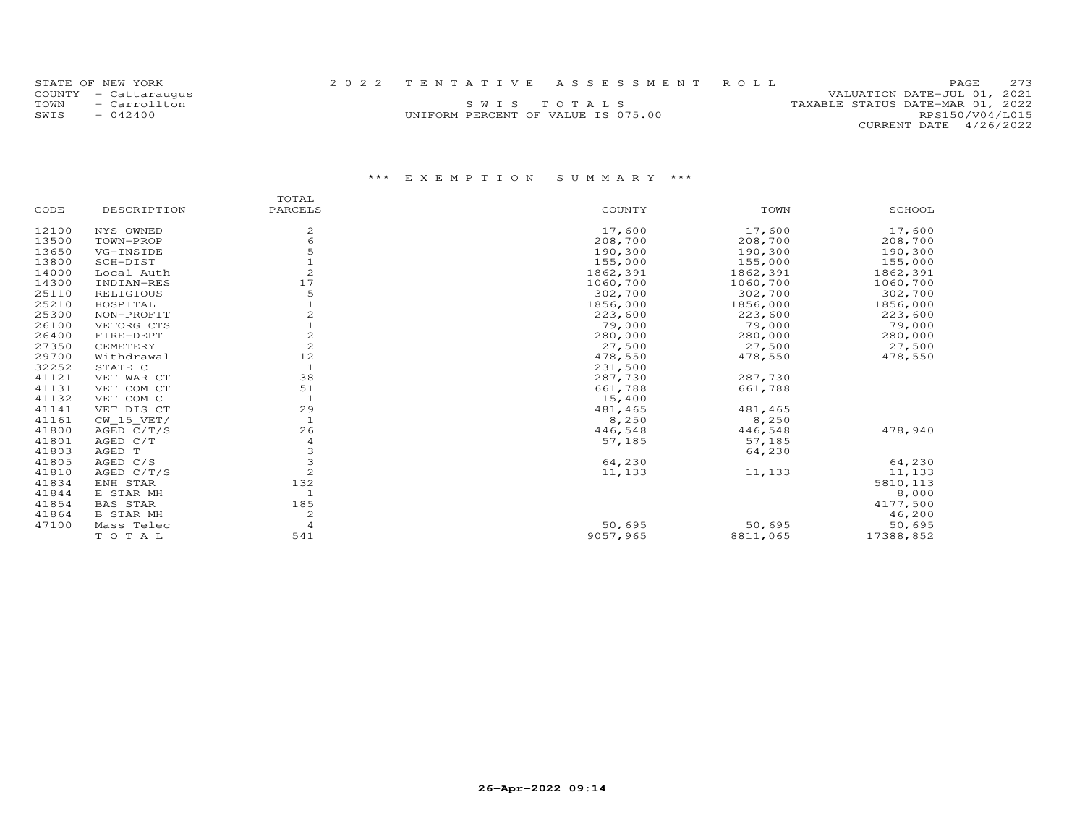| STATE OF NEW YORK    |                                    | 2022 TENTATIVE ASSESSMENT ROLL | <b>PAGE</b>                      | 2.73 |
|----------------------|------------------------------------|--------------------------------|----------------------------------|------|
| COUNTY - Cattaraugus |                                    |                                | VALUATION DATE-JUL 01, 2021      |      |
| TOWN - Carrollton    |                                    | SWIS TOTALS                    | TAXABLE STATUS DATE-MAR 01, 2022 |      |
| SWTS<br>$-042400$    | UNIFORM PERCENT OF VALUE IS 075.00 |                                | RPS150/V04/L015                  |      |
|                      |                                    |                                | CURRENT DATE 4/26/2022           |      |

|       |                  | TOTAL          |          |          |           |
|-------|------------------|----------------|----------|----------|-----------|
| CODE  | DESCRIPTION      | PARCELS        | COUNTY   | TOWN     | SCHOOL    |
| 12100 | NYS OWNED        | 2              | 17,600   | 17,600   | 17,600    |
| 13500 | TOWN-PROP        | 6              | 208,700  | 208,700  | 208,700   |
| 13650 | VG-INSIDE        |                | 190,300  | 190,300  | 190,300   |
| 13800 | SCH-DIST         |                | 155,000  | 155,000  | 155,000   |
| 14000 | Local Auth       |                | 1862,391 | 1862,391 | 1862,391  |
| 14300 | INDIAN-RES       | 17             | 1060,700 | 1060,700 | 1060,700  |
| 25110 | RELIGIOUS        | 5              | 302,700  | 302,700  | 302,700   |
| 25210 | HOSPITAL         |                | 1856,000 | 1856,000 | 1856,000  |
| 25300 | NON-PROFIT       |                | 223,600  | 223,600  | 223,600   |
| 26100 | VETORG CTS       |                | 79,000   | 79,000   | 79,000    |
| 26400 | FIRE-DEPT        |                | 280,000  | 280,000  | 280,000   |
| 27350 | CEMETERY         | $\overline{c}$ | 27,500   | 27,500   | 27,500    |
| 29700 | Withdrawal       | 12             | 478,550  | 478,550  | 478,550   |
| 32252 | STATE C          |                | 231,500  |          |           |
| 41121 | VET WAR CT       | 38             | 287,730  | 287,730  |           |
| 41131 | VET COM CT       | 51             | 661,788  | 661,788  |           |
| 41132 | VET COM C        |                | 15,400   |          |           |
| 41141 | VET DIS CT       | 29             | 481,465  | 481,465  |           |
| 41161 | CW 15 VET/       | $\mathbf{1}$   | 8,250    | 8,250    |           |
| 41800 | AGED $C/T/S$     | 26             | 446,548  | 446,548  | 478,940   |
| 41801 | AGED C/T         | 4              | 57,185   | 57,185   |           |
| 41803 | AGED T           |                |          | 64,230   |           |
| 41805 | AGED C/S         | 3              | 64,230   |          | 64,230    |
| 41810 | AGED $C/T/S$     | $\overline{c}$ | 11,133   | 11,133   | 11,133    |
| 41834 | ENH STAR         | 132            |          |          | 5810, 113 |
| 41844 | E STAR MH        | $\mathbf 1$    |          |          | 8,000     |
| 41854 | <b>BAS STAR</b>  | 185            |          |          | 4177,500  |
| 41864 | <b>B STAR MH</b> | 2              |          |          | 46,200    |
| 47100 | Mass Telec       | $\overline{4}$ | 50,695   | 50,695   | 50,695    |
|       | TO TAL           | 541            | 9057,965 | 8811,065 | 17388,852 |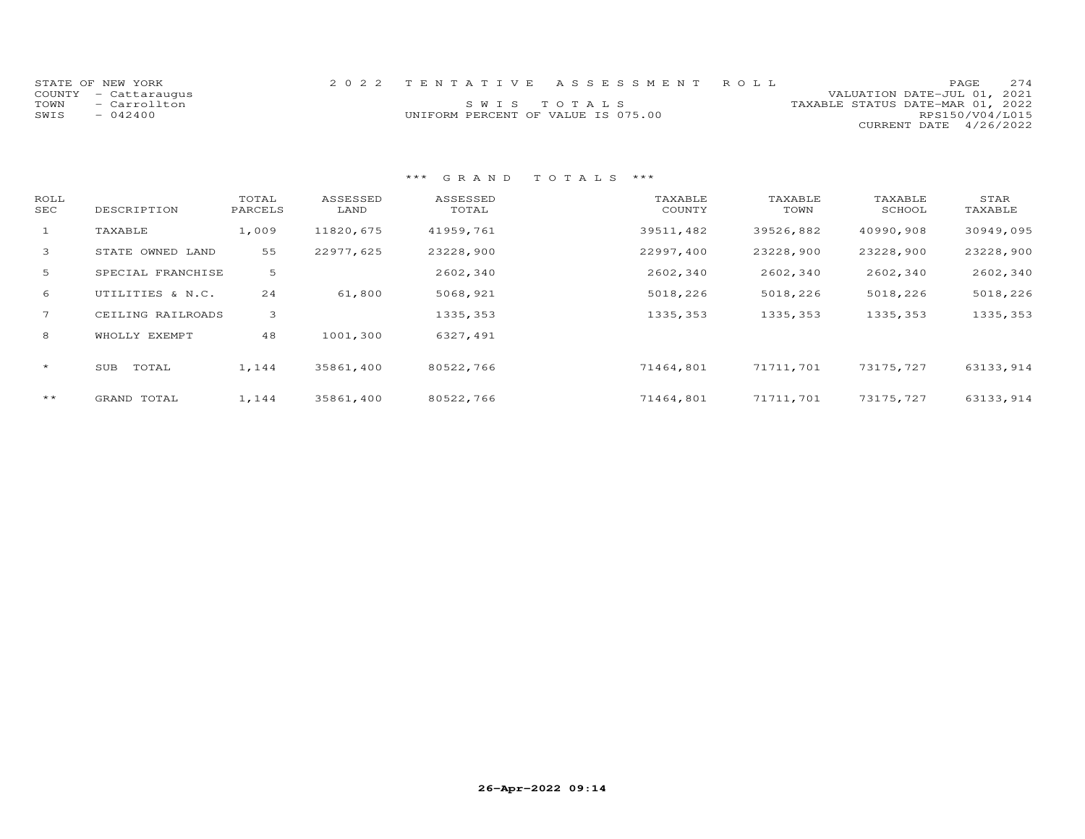|      | STATE OF NEW YORK    |                                    | 2022 TENTATIVE ASSESSMENT ROLL |                                  |                        | <b>PAGE</b> | 2.74 |
|------|----------------------|------------------------------------|--------------------------------|----------------------------------|------------------------|-------------|------|
|      |                      |                                    |                                |                                  |                        |             |      |
|      | COUNTY - Cattaraugus |                                    |                                | VALUATION DATE-JUL 01, 2021      |                        |             |      |
| TOWN | - Carrollton         |                                    | SWIS TOTALS                    | TAXABLE STATUS DATE-MAR 01, 2022 |                        |             |      |
| SWIS | $-042400$            | UNIFORM PERCENT OF VALUE IS 075.00 |                                |                                  | RPS150/V04/L015        |             |      |
|      |                      |                                    |                                |                                  | CURRENT DATE 4/26/2022 |             |      |

| ROLL<br>SEC  | DESCRIPTION       | TOTAL<br>PARCELS | ASSESSED<br>LAND | ASSESSED<br>TOTAL | TAXABLE<br>COUNTY | TAXABLE<br>TOWN | TAXABLE<br>SCHOOL | STAR<br>TAXABLE |
|--------------|-------------------|------------------|------------------|-------------------|-------------------|-----------------|-------------------|-----------------|
| $\mathbf{1}$ | TAXABLE           | 1,009            | 11820,675        | 41959,761         | 39511,482         | 39526,882       | 40990,908         | 30949,095       |
| $\mathbf{3}$ | STATE OWNED LAND  | 55               | 22977,625        | 23228,900         | 22997,400         | 23228,900       | 23228,900         | 23228,900       |
| 5            | SPECIAL FRANCHISE | 5                |                  | 2602,340          | 2602,340          | 2602,340        | 2602,340          | 2602,340        |
| 6            | UTILITIES & N.C.  | 24               | 61,800           | 5068,921          | 5018,226          | 5018,226        | 5018,226          | 5018,226        |
| 7            | CEILING RAILROADS | 3                |                  | 1335, 353         | 1335,353          | 1335,353        | 1335, 353         | 1335, 353       |
| 8            | WHOLLY EXEMPT     | 48               | 1001,300         | 6327,491          |                   |                 |                   |                 |
| $\star$      | TOTAL<br>SUB      | 1,144            | 35861,400        | 80522,766         | 71464,801         | 71711,701       | 73175,727         | 63133, 914      |
| $***$        | GRAND TOTAL       | 1,144            | 35861,400        | 80522,766         | 71464,801         | 71711,701       | 73175,727         | 63133, 914      |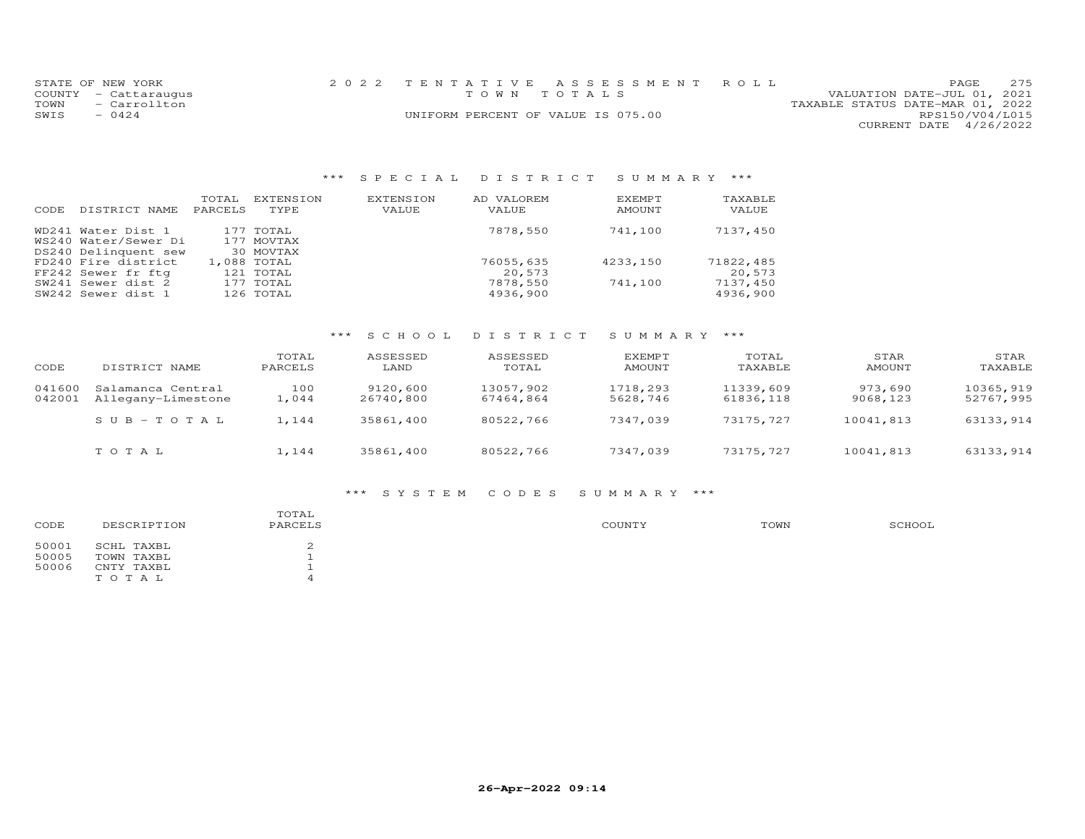|      | STATE OF NEW YORK    |  | 2022 TENTATIVE ASSESSMENT ROLL     |                                  | PAGE.                  | 275 |
|------|----------------------|--|------------------------------------|----------------------------------|------------------------|-----|
|      | COUNTY - Cattaraugus |  | TOWN TOTALS                        | VALUATION DATE-JUL 01, 2021      |                        |     |
| TOWN | - Carrollton         |  |                                    | TAXABLE STATUS DATE-MAR 01, 2022 |                        |     |
| SWIS | $-0424$              |  | UNIFORM PERCENT OF VALUE IS 075.00 |                                  | RPS150/V04/L015        |     |
|      |                      |  |                                    |                                  | CURRENT DATE 4/26/2022 |     |

# \*\*\* S P E C I A L D I S T R I C T S U M M A R Y \*\*\*

| CODE | DISTRICT NAME        | TOTAL<br>PARCELS | EXTENSION<br>TYPE | EXTENSION<br>VALUE | AD VALOREM<br>VALUE | EXEMPT<br>AMOUNT | TAXABLE<br>VALUE |
|------|----------------------|------------------|-------------------|--------------------|---------------------|------------------|------------------|
|      | WD241 Water Dist 1   |                  | 177 TOTAL         |                    | 7878,550            | 741,100          | 7137,450         |
|      | WS240 Water/Sewer Di |                  | 177 MOVTAX        |                    |                     |                  |                  |
|      | DS240 Delinquent sew |                  | 30 MOVTAX         |                    |                     |                  |                  |
|      | FD240 Fire district  |                  | 1,088 TOTAL       |                    | 76055,635           | 4233,150         | 71822,485        |
|      | FF242 Sewer fr ftg   |                  | 121 TOTAL         |                    | 20,573              |                  | 20,573           |
|      | SW241 Sewer dist 2   |                  | 177 TOTAL         |                    | 7878,550            | 741,100          | 7137,450         |
|      | SW242 Sewer dist 1   |                  | 126 TOTAL         |                    | 4936,900            |                  | 4936,900         |

# \*\*\* S C H O O L D I S T R I C T S U M M A R Y \*\*\*

| CODE             | DISTRICT NAME                           | TOTAL<br>PARCELS | ASSESSED<br>LAND      | ASSESSED<br>TOTAL      | EXEMPT<br>AMOUNT     | TOTAL<br>TAXABLE       | STAR<br>AMOUNT      | STAR<br>TAXABLE        |
|------------------|-----------------------------------------|------------------|-----------------------|------------------------|----------------------|------------------------|---------------------|------------------------|
| 041600<br>042001 | Salamanca Central<br>Allegany-Limestone | 100<br>1,044     | 9120,600<br>26740,800 | 13057,902<br>67464,864 | 1718,293<br>5628,746 | 11339,609<br>61836,118 | 973,690<br>9068,123 | 10365,919<br>52767,995 |
|                  | $SUB - TO T AL$                         | 1,144            | 35861,400             | 80522,766              | 7347,039             | 73175,727              | 10041,813           | 63133,914              |
|                  | тотаь                                   | 1,144            | 35861,400             | 80522,766              | 7347,039             | 73175,727              | 10041,813           | 63133,914              |

### \*\*\* S Y S T E M C O D E S S U M M A R Y \*\*\*

| CODE  | DESCRIPTION | TOTAL<br>PARCELS | COUNTY | TOWN | SCHOOL |
|-------|-------------|------------------|--------|------|--------|
| 50001 | SCHL TAXBL  |                  |        |      |        |
| 50005 | TOWN TAXBL  |                  |        |      |        |
| 50006 | CNTY TAXBL  |                  |        |      |        |
|       | TOTAL       |                  |        |      |        |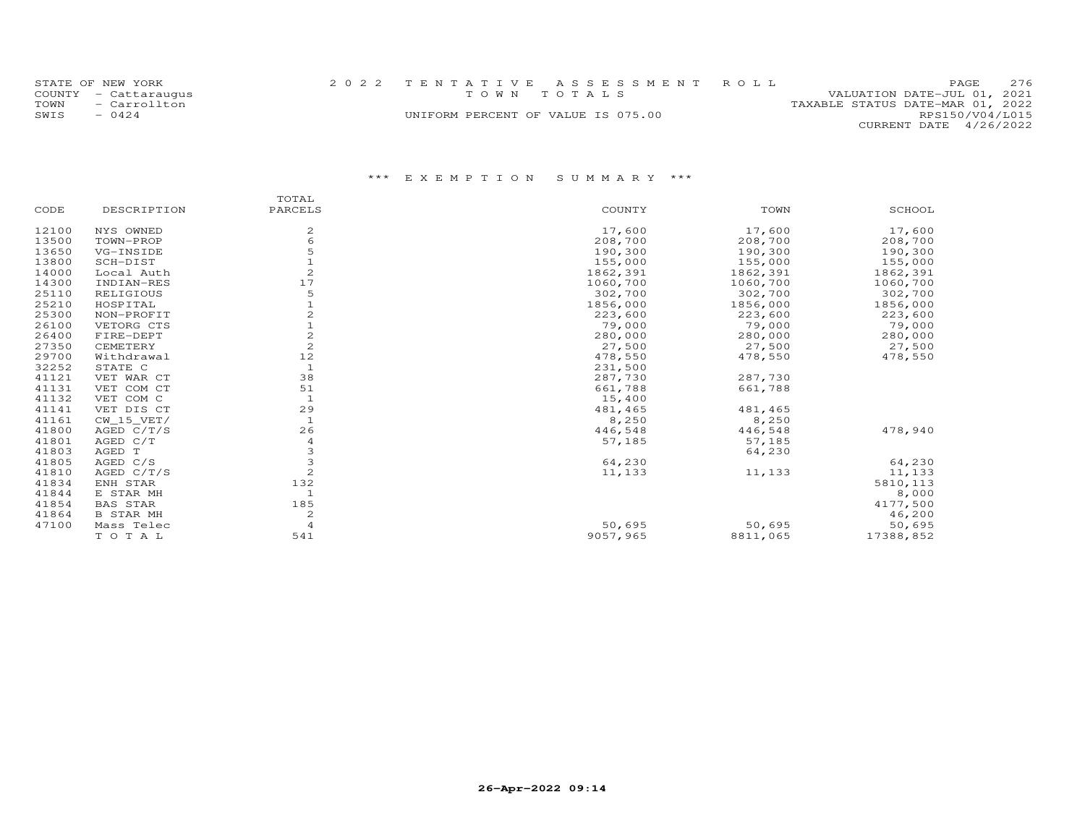|              | STATE OF NEW YORK<br>COUNTY - Cattaraugus | 2022 TENTATIVE ASSESSMENT ROLL     | TOWN TOTALS |  |                                  | PAGE.<br>VALUATION DATE-JUL 01, 2021 | 2.76 |
|--------------|-------------------------------------------|------------------------------------|-------------|--|----------------------------------|--------------------------------------|------|
| TOWN<br>SWIS | - Carrollton<br>$-0424$                   | UNIFORM PERCENT OF VALUE IS 075.00 |             |  | TAXABLE STATUS DATE-MAR 01, 2022 | RPS150/V04/L015                      |      |
|              |                                           |                                    |             |  |                                  | CURRENT DATE 4/26/2022               |      |

|       |                  | TOTAL          |          |          |           |
|-------|------------------|----------------|----------|----------|-----------|
| CODE  | DESCRIPTION      | PARCELS        | COUNTY   | TOWN     | SCHOOL    |
| 12100 | NYS OWNED        | $\mathbf{Z}$   | 17,600   | 17,600   | 17,600    |
| 13500 | TOWN-PROP        | 6              | 208,700  | 208,700  | 208,700   |
| 13650 | VG-INSIDE        | 5              | 190,300  | 190,300  | 190,300   |
| 13800 | SCH-DIST         |                | 155,000  | 155,000  | 155,000   |
| 14000 | Local Auth       |                | 1862,391 | 1862,391 | 1862,391  |
| 14300 | INDIAN-RES       | 17             | 1060,700 | 1060,700 | 1060,700  |
| 25110 | RELIGIOUS        | 5              | 302,700  | 302,700  | 302,700   |
| 25210 | HOSPITAL         |                | 1856,000 | 1856,000 | 1856,000  |
| 25300 | NON-PROFIT       |                | 223,600  | 223,600  | 223,600   |
| 26100 | VETORG CTS       |                | 79,000   | 79,000   | 79,000    |
| 26400 | FIRE-DEPT        |                | 280,000  | 280,000  | 280,000   |
| 27350 | CEMETERY         | $\overline{c}$ | 27,500   | 27,500   | 27,500    |
| 29700 | Withdrawal       | 12             | 478,550  | 478,550  | 478,550   |
| 32252 | STATE C          | $\mathbf{1}$   | 231,500  |          |           |
| 41121 | VET WAR CT       | 38             | 287,730  | 287,730  |           |
| 41131 | VET COM CT       | 51             | 661,788  | 661,788  |           |
| 41132 | VET COM C        | 1              | 15,400   |          |           |
| 41141 | VET DIS CT       | 29             | 481,465  | 481,465  |           |
| 41161 | CW 15 VET/       | $\mathbf{1}$   | 8,250    | 8,250    |           |
| 41800 | AGED $C/T/S$     | 26             | 446,548  | 446,548  | 478,940   |
| 41801 | AGED C/T         | $\overline{4}$ | 57,185   | 57,185   |           |
| 41803 | AGED T           | 3              |          | 64,230   |           |
| 41805 | AGED C/S         | 3              | 64,230   |          | 64,230    |
| 41810 | AGED $C/T/S$     | $\overline{c}$ | 11,133   | 11,133   | 11,133    |
| 41834 | ENH STAR         | 132            |          |          | 5810, 113 |
| 41844 | E STAR MH        | 1              |          |          | 8,000     |
| 41854 | <b>BAS STAR</b>  | 185            |          |          | 4177,500  |
| 41864 | <b>B STAR MH</b> | $\mathbf{Z}$   |          |          | 46,200    |
| 47100 | Mass Telec       | $\overline{4}$ | 50,695   | 50,695   | 50,695    |
|       | TOTAL            | 541            | 9057,965 | 8811,065 | 17388,852 |